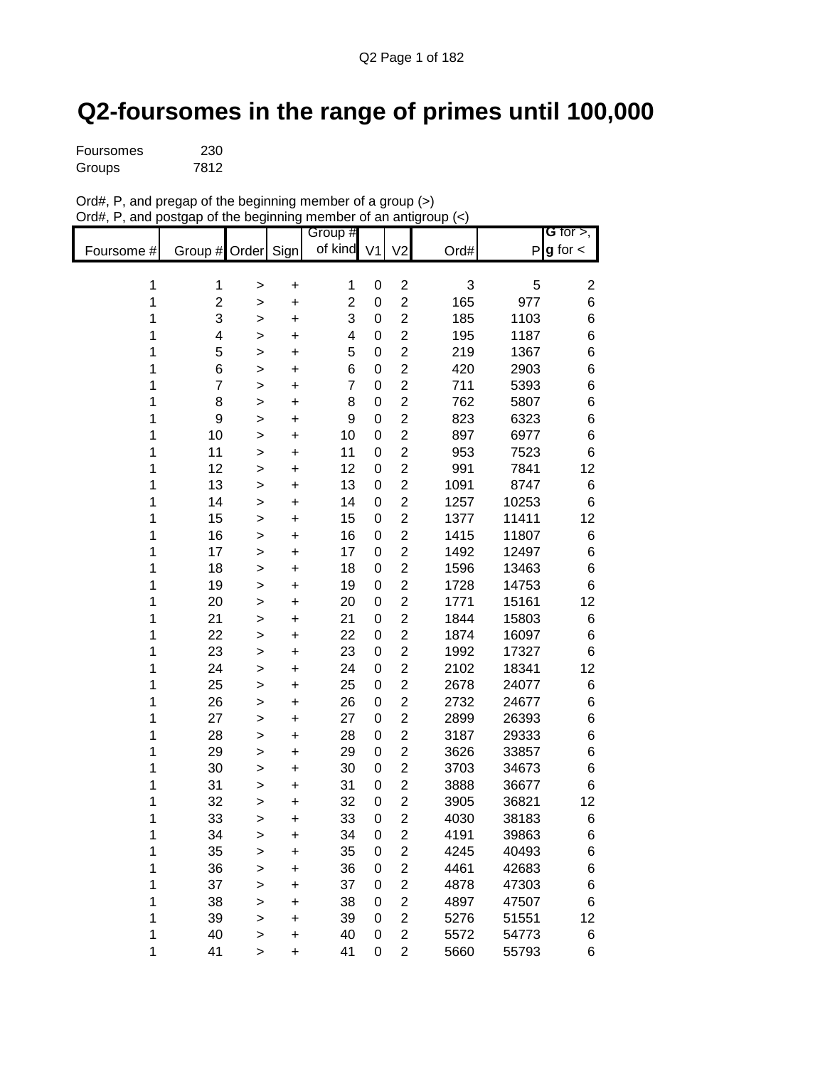## **Q2-foursomes in the range of primes until 100,000**

| Foursomes | 230  |
|-----------|------|
| Groups    | 7812 |

| Ord#, P, and pregap of the beginning member of a group (>)       |  |
|------------------------------------------------------------------|--|
| Ord#, P, and postgap of the beginning member of an antigroup (<) |  |

|            |                |              |           | Group #        |                  |                |      |       | G for $>$ ,      |
|------------|----------------|--------------|-----------|----------------|------------------|----------------|------|-------|------------------|
| Foursome # | Group #        | Order Sign   |           | of kind        | V <sub>1</sub>   | V <sub>2</sub> | Ord# | P     | $g$ for $\lt$    |
|            |                |              |           |                |                  |                |      |       |                  |
| 1          | 1              | >            | +         | 1              | 0                | $\overline{2}$ | 3    | 5     | $\boldsymbol{2}$ |
| 1          | $\overline{c}$ | >            | +         | $\overline{2}$ | $\boldsymbol{0}$ | $\overline{2}$ | 165  | 977   | $\,6$            |
| 1          | 3              | >            | $\ddot{}$ | 3              | 0                | $\overline{2}$ | 185  | 1103  | 6                |
| 1          | 4              | >            | +         | 4              | 0                | $\overline{2}$ | 195  | 1187  | $\,6$            |
| 1          | 5              | >            | +         | 5              | 0                | $\overline{2}$ | 219  | 1367  | $\,6$            |
| 1          | 6              | $\geq$       | +         | 6              | 0                | $\overline{2}$ | 420  | 2903  | $\,6$            |
| 1          | $\overline{7}$ | >            | +         | $\overline{7}$ | 0                | $\overline{2}$ | 711  | 5393  | $\,6$            |
| 1          | 8              | >            | +         | 8              | $\mathbf 0$      | $\overline{2}$ | 762  | 5807  | $\,6$            |
| 1          | 9              | $\geq$       | +         | 9              | 0                | $\overline{2}$ | 823  | 6323  | $\,6$            |
| 1          | 10             | >            | +         | 10             | 0                | $\overline{2}$ | 897  | 6977  | $\,6$            |
| 1          | 11             | $\geq$       | +         | 11             | 0                | $\overline{2}$ | 953  | 7523  | 6                |
| 1          | 12             | >            | +         | 12             | 0                | $\overline{2}$ | 991  | 7841  | 12               |
| 1          | 13             | $\geq$       | +         | 13             | 0                | $\overline{2}$ | 1091 | 8747  | $\,6$            |
| 1          | 14             | >            | +         | 14             | 0                | $\overline{2}$ | 1257 | 10253 | 6                |
| 1          | 15             | >            | $\ddot{}$ | 15             | 0                | $\overline{2}$ | 1377 | 11411 | 12               |
| 1          | 16             | >            | +         | 16             | 0                | $\overline{2}$ | 1415 | 11807 | $\,6$            |
| 1          | 17             | $\,>$        | +         | 17             | 0                | $\overline{2}$ | 1492 | 12497 | $\,6$            |
| 1          | 18             | $\geq$       | +         | 18             | 0                | $\overline{2}$ | 1596 | 13463 | $\,6$            |
| 1          | 19             | >            | $\ddot{}$ | 19             | 0                | $\overline{2}$ | 1728 | 14753 | 6                |
| 1          | 20             | >            | +         | 20             | 0                | $\overline{c}$ | 1771 | 15161 | 12               |
| 1          | 21             | >            | +         | 21             | 0                | $\overline{2}$ | 1844 | 15803 | $\,6$            |
| 1          | 22             | >            | +         | 22             | 0                | $\overline{c}$ | 1874 | 16097 | $\,6$            |
| 1          | 23             | >            | +         | 23             | 0                | $\overline{2}$ | 1992 | 17327 | $\,6$            |
| 1          | 24             | >            | +         | 24             | 0                | $\overline{2}$ | 2102 | 18341 | 12               |
| 1          | 25             | >            | +         | 25             | 0                | $\overline{2}$ | 2678 | 24077 | $\,6$            |
| 1          | 26             | $\,>$        | +         | 26             | 0                | $\overline{2}$ | 2732 | 24677 | $\,6$            |
| 1          | 27             | >            | +         | 27             | 0                | $\overline{2}$ | 2899 | 26393 | $\,6$            |
| 1          | 28             | $\geq$       | +         | 28             | 0                | $\overline{2}$ | 3187 | 29333 | $\,6$            |
| 1          | 29             | >            | +         | 29             | 0                | $\overline{2}$ | 3626 | 33857 | $\,6$            |
| 1          | 30             | >            | +         | 30             | 0                | $\overline{2}$ | 3703 | 34673 | $\,6$            |
| 1          | 31             | >            | +         | 31             | 0                | $\overline{2}$ | 3888 | 36677 | 6                |
| 1          | 32             | >            | +         | 32             | 0                | $\overline{2}$ | 3905 | 36821 | 12               |
| 1          | 33             | >            | +         | 33             | $\mathbf 0$      | $\overline{2}$ | 4030 | 38183 | $6\phantom{1}$   |
| 1          | 34             | >            | +         | 34             | 0                | $\overline{c}$ | 4191 | 39863 | 6                |
| 1          | 35             | $\mathbf{I}$ | $\ddot{}$ | 35             | 0                | $\overline{2}$ | 4245 | 40493 | $\,6$            |
| 1          | 36             | $\,$         | $\ddot{}$ | 36             | 0                | $\overline{2}$ | 4461 | 42683 | $\,6$            |
| 1          | 37             | $\, > \,$    | $\ddot{}$ | 37             | 0                | $\overline{c}$ | 4878 | 47303 | $\,6$            |
| 1          | 38             | $\, > \,$    | +         | 38             | 0                | $\overline{2}$ | 4897 | 47507 | $\,6$            |
| 1          | 39             | $\,>$        | +         | 39             | 0                | $\overline{2}$ | 5276 | 51551 | 12               |
| 1          | 40             | >            | +         | 40             | 0                | $\overline{2}$ | 5572 | 54773 | 6                |
| 1          | 41             | >            | +         | 41             | 0                | $\overline{2}$ | 5660 | 55793 | 6                |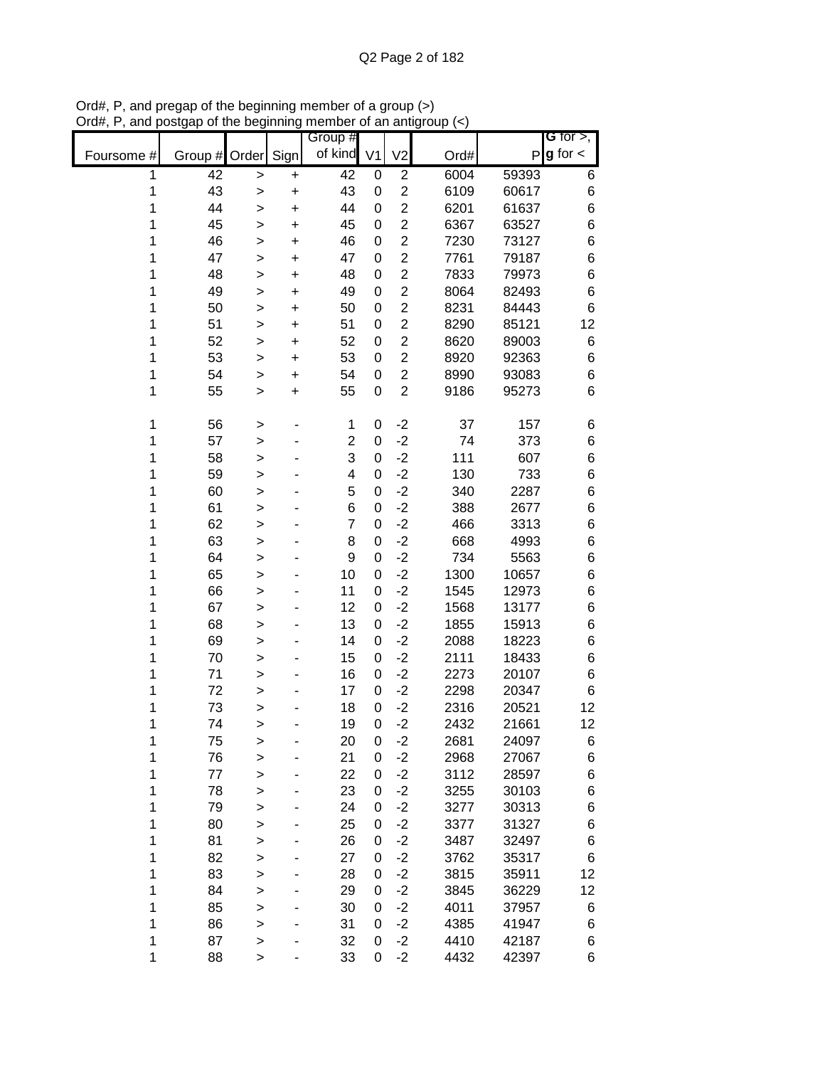|            |         |        |           | Group #        |   |                |      |       | G for $>$ ,     |
|------------|---------|--------|-----------|----------------|---|----------------|------|-------|-----------------|
| Foursome # | Group # | Order  | Sign      | of kind V1     |   | V <sub>2</sub> | Ord# |       | $P g$ for $\lt$ |
| 1          | 42      | >      | +         | 42             | 0 | $\overline{c}$ | 6004 | 59393 | 6               |
| 1          | 43      | >      | +         | 43             | 0 | $\overline{2}$ | 6109 | 60617 | 6               |
| 1          | 44      | >      | $\ddot{}$ | 44             | 0 | $\overline{2}$ | 6201 | 61637 | 6               |
| 1          | 45      | >      | +         | 45             | 0 | $\overline{2}$ | 6367 | 63527 | 6               |
| 1          | 46      | >      | +         | 46             | 0 | $\overline{2}$ | 7230 | 73127 | 6               |
| 1          | 47      | >      | +         | 47             | 0 | $\overline{2}$ | 7761 | 79187 | 6               |
| 1          | 48      | >      | $\ddot{}$ | 48             | 0 | $\overline{2}$ | 7833 | 79973 | 6               |
| 1          | 49      | >      | +         | 49             | 0 | $\overline{c}$ | 8064 | 82493 | 6               |
| 1          | 50      | >      | +         | 50             | 0 | $\overline{2}$ | 8231 | 84443 | 6               |
| 1          | 51      | >      | +         | 51             | 0 | $\overline{2}$ | 8290 | 85121 | 12              |
| 1          | 52      | >      | +         | 52             | 0 | $\overline{2}$ | 8620 | 89003 | 6               |
| 1          | 53      | >      | +         | 53             | 0 | $\overline{2}$ | 8920 | 92363 | 6               |
| 1          | 54      | >      | +         | 54             | 0 | $\overline{2}$ | 8990 | 93083 | 6               |
| 1          | 55      | >      | +         | 55             | 0 | $\overline{2}$ | 9186 | 95273 | 6               |
|            |         |        |           |                |   |                |      |       |                 |
| 1          | 56      | >      |           | 1              | 0 | $-2$           | 37   | 157   | 6               |
| 1          | 57      | >      |           | $\overline{2}$ | 0 | $-2$           | 74   | 373   | 6               |
| 1          | 58      | >      |           | 3              | 0 | $-2$           | 111  | 607   | 6               |
| 1          | 59      | >      |           | 4              | 0 | $-2$           | 130  | 733   | 6               |
| 1          | 60      | >      |           | 5              | 0 | $-2$           | 340  | 2287  | 6               |
| 1          | 61      | >      |           | 6              | 0 | $-2$           | 388  | 2677  | 6               |
| 1          | 62      | >      |           | $\overline{7}$ | 0 | $-2$           | 466  | 3313  | 6               |
| 1          | 63      | >      |           | 8              | 0 | $-2$           | 668  | 4993  | 6               |
| 1          | 64      | >      |           | 9              | 0 | $-2$           | 734  | 5563  | 6               |
| 1          | 65      | >      |           | 10             | 0 | $-2$           | 1300 | 10657 | 6               |
| 1          | 66      | >      |           | 11             | 0 | $-2$           | 1545 | 12973 | 6               |
| 1          | 67      | >      |           | 12             | 0 | $-2$           | 1568 | 13177 | 6               |
| 1          | 68      | >      |           | 13             | 0 | $-2$           | 1855 | 15913 | 6               |
| 1          | 69      | >      |           | 14             | 0 | $-2$           | 2088 | 18223 | 6               |
| 1          | 70      | >      |           | 15             | 0 | $-2$           | 2111 | 18433 | 6               |
| 1          | 71      | >      |           | 16             | 0 | $-2$           | 2273 | 20107 | 6               |
| 1          | 72      | >      |           | 17             | 0 | $-2$           | 2298 | 20347 | 6               |
| 1          | 73      | >      |           | 18             | 0 | $-2$           | 2316 | 20521 | 12              |
| 1          | 74      | $\geq$ |           | 19             | 0 | $-2$           | 2432 | 21661 | 12              |
| 1          | 75      | $\geq$ |           | 20             | 0 | $-2$           | 2681 | 24097 | 6               |
| 1          | 76      | >      |           | 21             | 0 | $-2$           | 2968 | 27067 | 6               |
| 1          | 77      | >      |           | 22             | 0 | $-2$           | 3112 | 28597 | 6               |
| 1          | 78      | >      |           | 23             | 0 | $-2$           | 3255 | 30103 | 6               |
| 1          | 79      | >      |           | 24             | 0 | $-2$           | 3277 | 30313 | 6               |
| 1          | 80      | >      |           | 25             | 0 | $-2$           | 3377 | 31327 | 6               |
| 1          | 81      | >      |           | 26             | 0 | $-2$           | 3487 | 32497 | 6               |
| 1          | 82      | >      |           | 27             | 0 | $-2$           | 3762 | 35317 | 6               |
| 1          | 83      | >      |           | 28             | 0 | $-2$           | 3815 | 35911 | 12              |
| 1          | 84      | >      |           | 29             | 0 | $-2$           | 3845 | 36229 | 12              |
| 1          | 85      | >      |           | 30             | 0 | $-2$           | 4011 | 37957 | 6               |
| 1          | 86      | >      |           | 31             | 0 | $-2$           | 4385 | 41947 | 6               |
| 1          | 87      | >      |           | 32             | 0 | $-2$           | 4410 | 42187 | 6               |
| 1          | 88      | >      |           | 33             | 0 | $-2$           | 4432 | 42397 | 6               |

Ord#, P, and pregap of the beginning member of a group (>) Ord#, P, and postgap of the beginning member of an antigroup (<)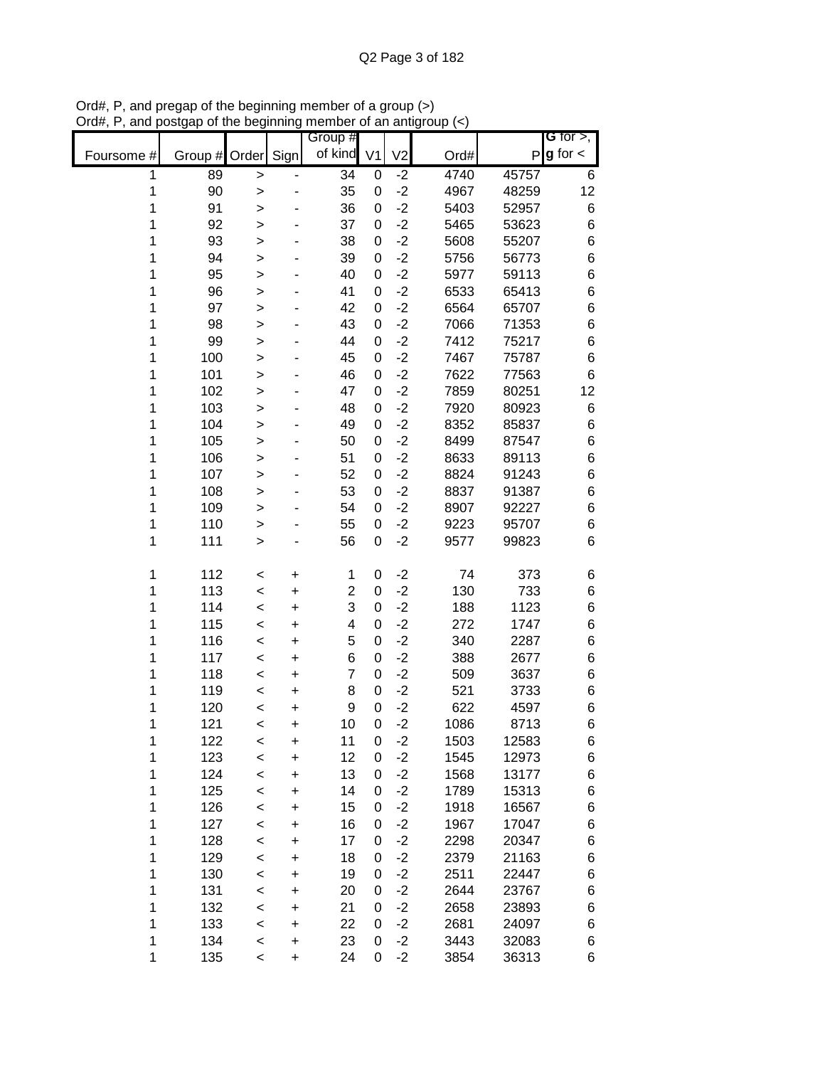|            |               |              |           | Group #         |                |                |      |       | <b>G</b> for $>$ , |
|------------|---------------|--------------|-----------|-----------------|----------------|----------------|------|-------|--------------------|
| Foursome # | Group # Order |              | Sign      | of kind         | V <sub>1</sub> | V <sub>2</sub> | Ord# |       | $P g$ for $\lt$    |
| 1          | 89            | $\mathbf{I}$ |           | $\overline{34}$ | 0              | $-2$           | 4740 | 45757 | 6                  |
| 1          | 90            | $\mathbf{I}$ |           | 35              | 0              | $-2$           | 4967 | 48259 | 12                 |
| 1          | 91            | >            |           | 36              | 0              | $-2$           | 5403 | 52957 | 6                  |
| 1          | 92            | >            |           | 37              | 0              | $-2$           | 5465 | 53623 | 6                  |
| 1          | 93            | >            |           | 38              | 0              | $-2$           | 5608 | 55207 | 6                  |
| 1          | 94            | >            |           | 39              | 0              | $-2$           | 5756 | 56773 | 6                  |
| 1          | 95            | >            |           | 40              | 0              | $-2$           | 5977 | 59113 | 6                  |
| 1          | 96            | $\geq$       |           | 41              | 0              | $-2$           | 6533 | 65413 | 6                  |
| 1          | 97            | >            |           | 42              | 0              | $-2$           | 6564 | 65707 | 6                  |
| 1          | 98            | >            |           | 43              | 0              | $-2$           | 7066 | 71353 | 6                  |
| 1          | 99            | >            |           | 44              | 0              | $-2$           | 7412 | 75217 | 6                  |
| 1          | 100           | >            |           | 45              | 0              | $-2$           | 7467 | 75787 | $\,6$              |
| 1          | 101           | >            |           | 46              | 0              | $-2$           | 7622 | 77563 | 6                  |
| 1          | 102           | $\geq$       |           | 47              | 0              | $-2$           | 7859 | 80251 | 12                 |
| 1          | 103           | >            |           | 48              | 0              | $-2$           | 7920 | 80923 | 6                  |
| 1          | 104           | $\geq$       |           | 49              | 0              | $-2$           | 8352 | 85837 | 6                  |
| 1          | 105           | $\geq$       |           | 50              | 0              | $-2$           | 8499 | 87547 | 6                  |
| 1          | 106           | >            |           | 51              | 0              | $-2$           | 8633 | 89113 | 6                  |
| 1          | 107           | $\geq$       |           | 52              | 0              | $-2$           | 8824 | 91243 | 6                  |
| 1          | 108           | >            |           | 53              | 0              | $-2$           | 8837 | 91387 | 6                  |
| 1          | 109           | >            |           | 54              | 0              | $-2$           | 8907 | 92227 | 6                  |
| 1          | 110           | >            |           | 55              | 0              | $-2$           | 9223 | 95707 | 6                  |
| 1          | 111           | $\mathbf{I}$ |           | 56              | 0              | $-2$           | 9577 | 99823 | 6                  |
| 1          | 112           | $\,<$        | +         | 1               | 0              | $-2$           | 74   | 373   | 6                  |
| 1          | 113           | $\,<$        | +         | $\overline{c}$  | 0              | $-2$           | 130  | 733   | 6                  |
| 1          | 114           | $\,<$        | +         | 3               | 0              | $-2$           | 188  | 1123  | 6                  |
| 1          | 115           | $\,<\,$      | +         | 4               | 0              | $-2$           | 272  | 1747  | 6                  |
| 1          | 116           | $\,<$        | +         | 5               | 0              | $-2$           | 340  | 2287  | 6                  |
| 1          | 117           | $\,<$        | +         | 6               | 0              | $-2$           | 388  | 2677  | 6                  |
| 1          | 118           | $\,<$        | +         | $\overline{7}$  | 0              | $-2$           | 509  | 3637  | 6                  |
| 1          | 119           | $\,<$        | +         | 8               | 0              | $-2$           | 521  | 3733  | 6                  |
| 1          | 120           | $\,<$        | +         | 9               | 0              | $-2$           | 622  | 4597  | 6                  |
| 1          | 121           | $\,<$        | $\ddot{}$ | 10              | 0              | $-2$           | 1086 | 8713  | 6                  |
| 1          | 122           | $\,<$        | +         | 11              | 0              | $-2$           | 1503 | 12583 | 6                  |
| 1          | 123           | $\,<$        | $\ddot{}$ | 12              | 0              | $-2$           | 1545 | 12973 | 6                  |
| 1          | 124           | $\,<\,$      | $\ddot{}$ | 13              | 0              | $-2$           | 1568 | 13177 | 6                  |
| 1          | 125           | $\,<\,$      | $\ddot{}$ | 14              | 0              | $-2$           | 1789 | 15313 | 6                  |
| 1          | 126           | $\,<$        | $\ddot{}$ | 15              | 0              | $-2$           | 1918 | 16567 | 6                  |
| 1          | 127           | $\prec$      | $\ddot{}$ | 16              | 0              | $-2$           | 1967 | 17047 | 6                  |
| 1          | 128           | $\prec$      | $\ddot{}$ | 17              | 0              | $-2$           | 2298 | 20347 | 6                  |
| 1          | 129           | $\prec$      | +         | 18              | 0              | $-2$           | 2379 | 21163 | 6                  |
| 1          | 130           | $\,<$        | +         | 19              | 0              | $-2$           | 2511 | 22447 | 6                  |
| 1          | 131           | $\,<$        | +         | 20              | 0              | $-2$           | 2644 | 23767 | 6                  |
| 1          | 132           | $\prec$      | +         | 21              | 0              | $-2$           | 2658 | 23893 | 6                  |
| 1          | 133           | $\prec$      | +         | 22              | 0              | $-2$           | 2681 | 24097 | 6                  |
| 1          | 134           | $\,<\,$      | +         | 23              | 0              | $-2$           | 3443 | 32083 | 6                  |
| 1          | 135           | $\,<\,$      | $\ddot{}$ | 24              | 0              | $-2$           | 3854 | 36313 | 6                  |

Ord#, P, and pregap of the beginning member of a group (>) Ord#, P, and postgap of the beginning member of an antigroup (<)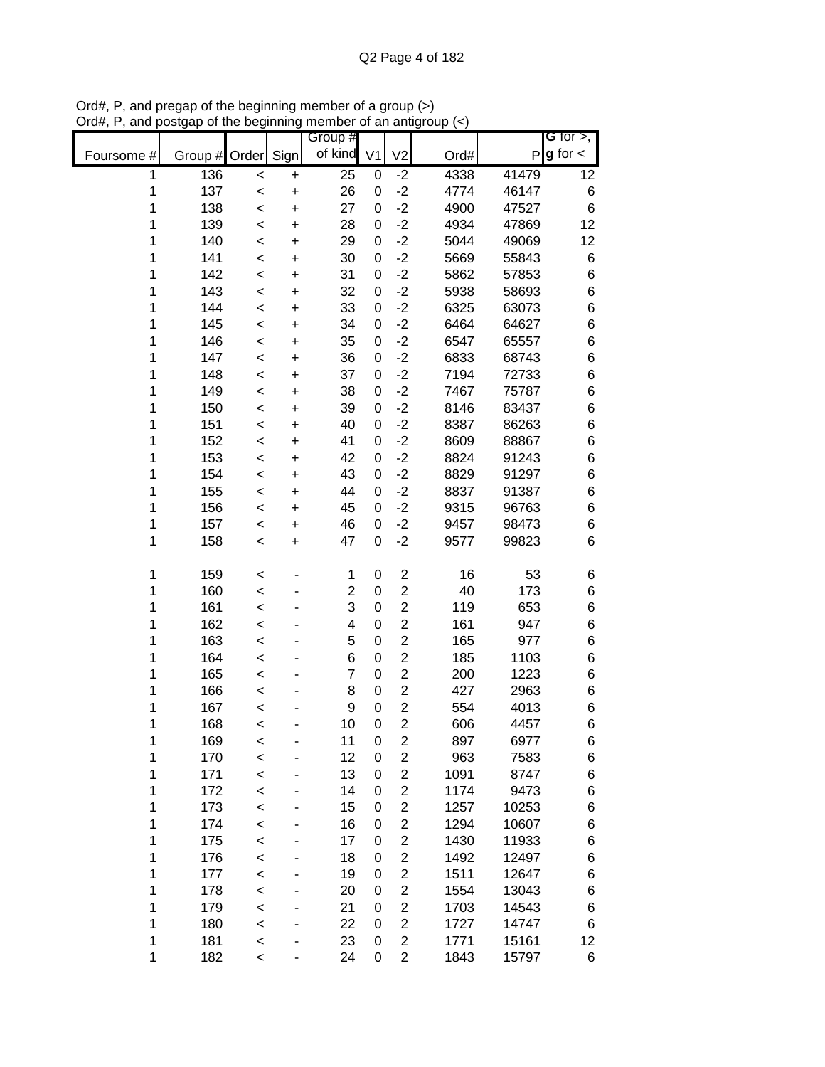|            |               |         |           | Group #        |             |                |      |       | G for $>$ ,   |
|------------|---------------|---------|-----------|----------------|-------------|----------------|------|-------|---------------|
| Foursome # | Group # Order |         | Sign      | of kind V1     |             | V <sub>2</sub> | Ord# | P     | $g$ for $\lt$ |
| 1          | 136           | $\,<$   | +         | 25             | 0           | $-2$           | 4338 | 41479 | 12            |
| 1          | 137           | $\prec$ | $\ddot{}$ | 26             | 0           | $-2$           | 4774 | 46147 | 6             |
| 1          | 138           | $\prec$ | $\ddot{}$ | 27             | 0           | $-2$           | 4900 | 47527 | 6             |
| 1          | 139           | $\prec$ | $\ddot{}$ | 28             | 0           | $-2$           | 4934 | 47869 | 12            |
| 1          | 140           | $\prec$ | $\ddot{}$ | 29             | 0           | $-2$           | 5044 | 49069 | 12            |
| 1          | 141           | $\prec$ | +         | 30             | 0           | $-2$           | 5669 | 55843 | 6             |
| 1          | 142           | $\,<$   | +         | 31             | 0           | $-2$           | 5862 | 57853 | 6             |
| 1          | 143           | $\,<$   | +         | 32             | 0           | $-2$           | 5938 | 58693 | 6             |
| 1          | 144           | $\,<$   | +         | 33             | 0           | $-2$           | 6325 | 63073 | 6             |
| 1          | 145           | $\,<$   | +         | 34             | 0           | $-2$           | 6464 | 64627 | $\,6$         |
| 1          | 146           | $\,<$   | +         | 35             | 0           | $-2$           | 6547 | 65557 | 6             |
| 1          | 147           | $\,<$   | +         | 36             | 0           | $-2$           | 6833 | 68743 | 6             |
| 1          | 148           | $\,<$   | $\ddot{}$ | 37             | 0           | $-2$           | 7194 | 72733 | 6             |
| 1          | 149           | $\,<$   | +         | 38             | 0           | $-2$           | 7467 | 75787 | 6             |
| 1          | 150           | $\prec$ | +         | 39             | 0           | $-2$           | 8146 | 83437 | 6             |
| 1          | 151           | $\prec$ | $\ddot{}$ | 40             | 0           | $-2$           | 8387 | 86263 | 6             |
| 1          | 152           | $\,<$   | $\ddot{}$ | 41             | 0           | $-2$           | 8609 | 88867 | 6             |
| 1          | 153           | $\,<$   | $\ddot{}$ | 42             | 0           | $-2$           | 8824 | 91243 | $\,6$         |
| 1          | 154           | $\,<$   | $\ddot{}$ | 43             | 0           | $-2$           | 8829 | 91297 | 6             |
| 1          | 155           | $\,<$   | +         | 44             | 0           | $-2$           | 8837 | 91387 | 6             |
| 1          | 156           | $\prec$ | $\ddot{}$ | 45             | 0           | $-2$           | 9315 | 96763 | 6             |
| 1          | 157           | $\prec$ | +         | 46             | 0           | $-2$           | 9457 | 98473 | 6             |
| 1          | 158           | $\prec$ | $\ddot{}$ | 47             | 0           | $-2$           | 9577 | 99823 | 6             |
| 1          | 159           | $\,<$   |           | 1              | 0           | $\mathbf 2$    | 16   | 53    | 6             |
| 1          | 160           | $\prec$ |           | $\overline{2}$ | 0           | $\overline{2}$ | 40   | 173   | 6             |
| 1          | 161           | $\,<$   |           | 3              | 0           | $\overline{2}$ | 119  | 653   | $\,6$         |
| 1          | 162           | $\,<$   |           | 4              | 0           | $\overline{2}$ | 161  | 947   | 6             |
| 1          | 163           | $\,<$   |           | 5              | 0           | $\overline{2}$ | 165  | 977   | 6             |
| 1          | 164           | $\,<$   |           | 6              | 0           | $\overline{c}$ | 185  | 1103  | 6             |
| 1          | 165           | $\,<$   |           | $\overline{7}$ | 0           | $\overline{c}$ | 200  | 1223  | 6             |
| 1          | 166           | $\prec$ |           | 8              | 0           | $\overline{c}$ | 427  | 2963  | 6             |
| 1          | 167           | $\prec$ |           | 9              | 0           | $\overline{2}$ | 554  | 4013  | 6             |
| 1          | 168           | $\,<$   |           | 10             | 0           | $\overline{c}$ | 606  | 4457  | 6             |
| 1          | 169           | $\,<$   |           | 11             | $\mathbf 0$ | $\overline{2}$ | 897  | 6977  | 6             |
| 1          | 170           | $\prec$ |           | 12             | 0           | $\overline{c}$ | 963  | 7583  | 6             |
| 1          | 171           | $\prec$ |           | 13             | 0           | $\overline{2}$ | 1091 | 8747  | 6             |
| 1          | 172           | $\prec$ |           | 14             | 0           | $\mathbf 2$    | 1174 | 9473  | 6             |
| 1          | 173           | $\,<$   |           | 15             | 0           | $\overline{2}$ | 1257 | 10253 | 6             |
| 1          | 174           | $\,<$   |           | 16             | 0           | $\mathbf 2$    | 1294 | 10607 | 6             |
| 1          | 175           | $\prec$ |           | 17             | 0           | $\overline{2}$ | 1430 | 11933 | 6             |
| 1          | 176           | $\,<$   |           | 18             | 0           | $\overline{2}$ | 1492 | 12497 | 6             |
| 1          | 177           | $\,<$   |           | 19             | 0           | $\overline{2}$ | 1511 | 12647 | 6             |
| 1          | 178           | $\,<$   |           | 20             | 0           | $\overline{2}$ | 1554 | 13043 | 6             |
| 1          | 179           | $\,<$   |           | 21             | 0           | $\overline{2}$ | 1703 | 14543 | 6             |
| 1          | 180           | $\,<$   |           | 22             | 0           | $\overline{2}$ | 1727 | 14747 | 6             |
| 1          | 181           | $\,<$   |           | 23             | 0           | $\overline{2}$ | 1771 | 15161 | 12            |
| 1          | 182           | $\,<$   |           | 24             | 0           | $\overline{c}$ | 1843 | 15797 | 6             |

Ord#, P, and pregap of the beginning member of a group (>) Ord#, P, and postgap of the beginning member of an antigroup (<)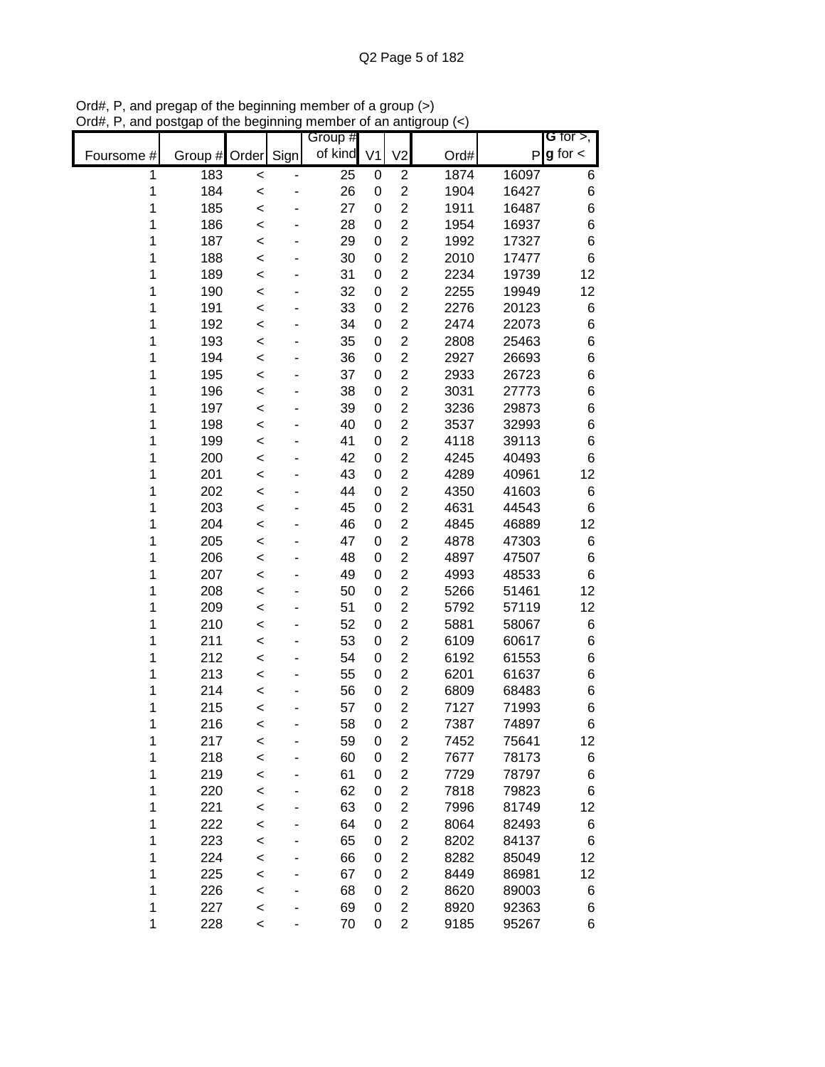|            |                    |         | Group # |                |                         |      |       | G for $>$ ,     |
|------------|--------------------|---------|---------|----------------|-------------------------|------|-------|-----------------|
| Foursome # | Group # Order Sign |         | of kind | V <sub>1</sub> | V <sub>2</sub>          | Ord# | P     | $\lg$ for $\lt$ |
| 1          | 183                | $\prec$ | 25      | 0              | $\overline{2}$          | 1874 | 16097 | 6               |
| 1          | 184                | $\prec$ | 26      | 0              | $\overline{2}$          | 1904 | 16427 | 6               |
| 1          | 185                | $\prec$ | 27      | 0              | $\overline{2}$          | 1911 | 16487 | 6               |
| 1          | 186                | $\prec$ | 28      | 0              | $\overline{2}$          | 1954 | 16937 | 6               |
| 1          | 187                | $\prec$ | 29      | 0              | $\overline{2}$          | 1992 | 17327 | 6               |
| 1          | 188                | $\prec$ | 30      | 0              | $\overline{2}$          | 2010 | 17477 | 6               |
| 1          | 189                | $\prec$ | 31      | 0              | $\overline{2}$          | 2234 | 19739 | 12              |
| 1          | 190                | $\,<$   | 32      | 0              | $\overline{2}$          | 2255 | 19949 | 12              |
| 1          | 191                | $\,<$   | 33      | 0              | $\overline{2}$          | 2276 | 20123 | 6               |
| 1          | 192                | $\,<$   | 34      | 0              | 2                       | 2474 | 22073 | 6               |
| 1          | 193                | $\,<$   | 35      | 0              | $\overline{2}$          | 2808 | 25463 | $\,6$           |
| 1          | 194                | <       | 36      | 0              | 2                       | 2927 | 26693 | 6               |
| 1          | 195                | $\prec$ | 37      | 0              | $\overline{2}$          | 2933 | 26723 | 6               |
| 1          | 196                | <       | 38      | 0              | $\overline{2}$          | 3031 | 27773 | 6               |
| 1          | 197                | $\,<$   | 39      | 0              | $\overline{2}$          | 3236 | 29873 | 6               |
| 1          | 198                | $\prec$ | 40      | 0              | $\overline{2}$          | 3537 | 32993 | 6               |
| 1          | 199                | $\prec$ | 41      | 0              | $\overline{2}$          | 4118 | 39113 | 6               |
| 1          | 200                | $\prec$ | 42      | 0              | $\overline{2}$          | 4245 | 40493 | 6               |
| 1          | 201                | $\prec$ | 43      | 0              | $\overline{2}$          | 4289 | 40961 | 12              |
| 1          | 202                | $\prec$ | 44      | 0              | $\overline{2}$          | 4350 | 41603 | 6               |
| 1          | 203                | $\,<$   | 45      | 0              | $\overline{2}$          | 4631 | 44543 | 6               |
| 1          | 204                | $\prec$ | 46      | 0              | $\overline{2}$          | 4845 | 46889 | 12              |
| 1          | 205                | $\prec$ | 47      | 0              | $\overline{2}$          | 4878 | 47303 | 6               |
| 1          | 206                | $\prec$ | 48      | 0              | $\overline{2}$          | 4897 | 47507 | 6               |
| 1          | 207                | $\,<$   | 49      | 0              | $\overline{2}$          | 4993 | 48533 | 6               |
| 1          | 208                | $\,<$   | 50      | 0              | $\overline{2}$          | 5266 | 51461 | 12              |
| 1          | 209                | $\,<$   | 51      | 0              | 2                       | 5792 | 57119 | 12              |
| 1          | 210                | $\,<$   | 52      | 0              | $\overline{2}$          | 5881 | 58067 | 6               |
| 1          | 211                | $\,<$   | 53      | 0              | $\overline{2}$          | 6109 | 60617 | 6               |
| 1          | 212                | $\,<$   | 54      | 0              | $\overline{2}$          | 6192 | 61553 | 6               |
| 1          | 213                | $\,<$   | 55      | 0              | $\overline{2}$          | 6201 | 61637 | 6               |
| 1          | 214                | $\,<$   | 56      | 0              | $\overline{2}$          | 6809 | 68483 | 6               |
| 1          | 215                | $\prec$ | 57      | 0              | $\overline{2}$          | 7127 | 71993 | 6               |
| 1          | 216                | $\prec$ | 58      | 0              | $\overline{2}$          | 7387 | 74897 | 6               |
| 1          | 217                | $\,<$   | 59      | 0              | 2                       | 7452 | 75641 | 12              |
| 1          | 218                | $\prec$ | 60      | 0              | $\overline{2}$          | 7677 | 78173 | 6               |
| 1          | 219                | $\prec$ | 61      | 0              | $\overline{2}$          | 7729 | 78797 | 6               |
| 1          | 220                | $\prec$ | 62      | 0              | $\overline{2}$          | 7818 | 79823 | 6               |
| 1          | 221                | $\prec$ | 63      | 0              | $\overline{c}$          | 7996 | 81749 | 12              |
| 1          | 222                | $\prec$ | 64      | 0              | $\overline{c}$          | 8064 | 82493 | 6               |
| 1          | 223                | $\prec$ | 65      | 0              | $\overline{c}$          | 8202 | 84137 | $\,6$           |
| 1          | 224                | $\prec$ | 66      | 0              | $\overline{c}$          | 8282 | 85049 | 12              |
| 1          | 225                | $\prec$ | 67      | 0              | $\overline{c}$          | 8449 | 86981 | 12              |
| 1          | 226                | $\prec$ | 68      | 0              | $\overline{\mathbf{c}}$ | 8620 | 89003 | 6               |
| 1          | 227                | $\,<$   | 69      | 0              | $\overline{2}$          | 8920 | 92363 | 6               |
| 1          | 228                | $\,<\,$ | 70      | 0              | $\overline{2}$          | 9185 | 95267 | 6               |

Ord#, P, and pregap of the beginning member of a group (>) Ord#, P, and postgap of the beginning member of an antigroup (<)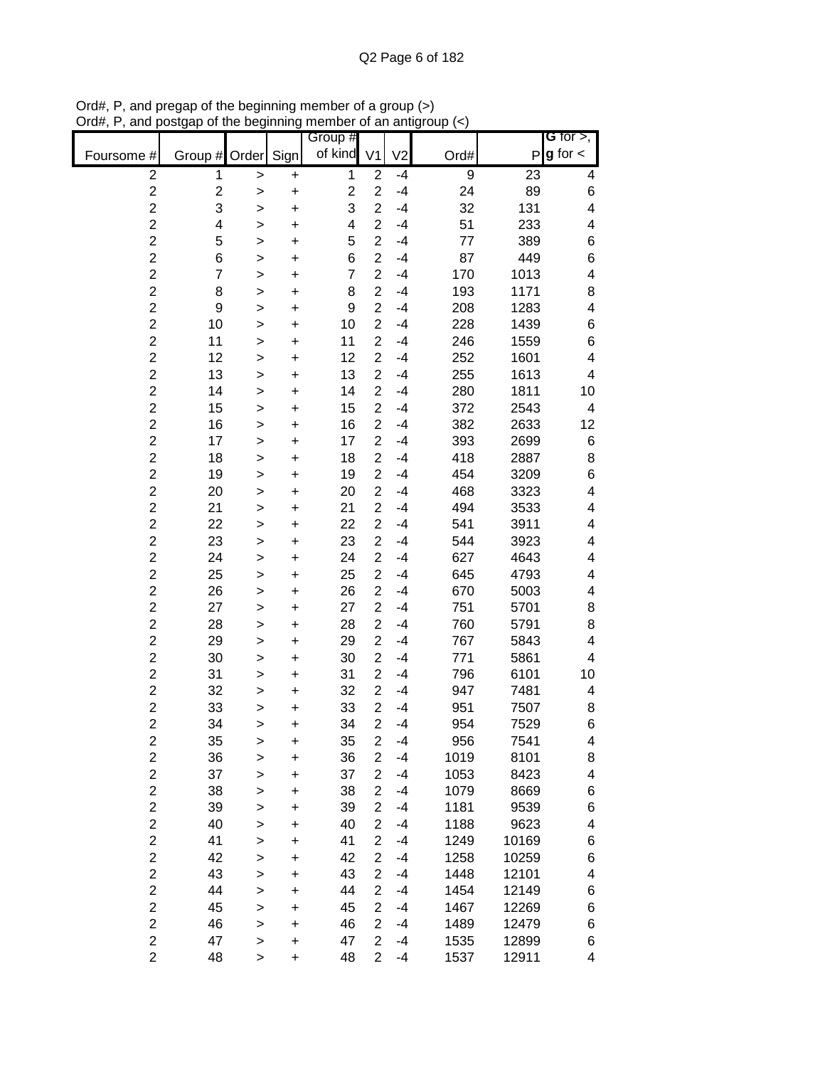|                         |                         |              |           | Group #                 |                  |                |      |       | G for $>$ ,             |
|-------------------------|-------------------------|--------------|-----------|-------------------------|------------------|----------------|------|-------|-------------------------|
| Foursome #              | Group #                 | Order        | Sign      | of kind                 | V <sub>1</sub>   | V <sub>2</sub> | Ord# | P     | $g$ for $\lt$           |
| $\mathbf 2$             | 1                       | $\mathbf{I}$ | +         | 1                       | $\overline{2}$   | $-4$           | 9    | 23    | 4                       |
| $\overline{\mathbf{c}}$ | $\overline{\mathbf{c}}$ | >            | +         | $\overline{c}$          | $\overline{2}$   | $-4$           | 24   | 89    | 6                       |
| $\overline{\mathbf{c}}$ | 3                       | >            | +         | 3                       | $\overline{2}$   | $-4$           | 32   | 131   | 4                       |
| $\overline{c}$          | 4                       | >            | +         | $\overline{\mathbf{4}}$ | $\overline{c}$   | $-4$           | 51   | 233   | 4                       |
| $\overline{c}$          | 5                       | >            | +         | 5                       | $\overline{2}$   | $-4$           | 77   | 389   | 6                       |
| $\overline{c}$          | 6                       | >            | +         | 6                       | $\overline{2}$   | $-4$           | 87   | 449   | 6                       |
| $\overline{c}$          | $\overline{7}$          | >            | +         | $\overline{7}$          | $\overline{2}$   | $-4$           | 170  | 1013  | 4                       |
| $\overline{c}$          | 8                       | >            | $\ddot{}$ | 8                       | $\overline{2}$   | $-4$           | 193  | 1171  | 8                       |
| $\overline{c}$          | 9                       | >            | +         | 9                       | $\overline{2}$   | $-4$           | 208  | 1283  | $\overline{\mathbf{4}}$ |
| $\overline{c}$          | 10                      | >            | +         | 10                      | $\overline{2}$   | $-4$           | 228  | 1439  | 6                       |
| $\overline{c}$          | 11                      | >            | +         | 11                      | $\overline{2}$   | $-4$           | 246  | 1559  | 6                       |
| $\overline{c}$          | 12                      | >            | +         | 12                      | $\overline{2}$   | $-4$           | 252  | 1601  | 4                       |
| $\overline{c}$          | 13                      | >            | +         | 13                      | $\overline{2}$   | $-4$           | 255  | 1613  | 4                       |
| $\overline{c}$          | 14                      | >            | +         | 14                      | $\overline{2}$   | $-4$           | 280  | 1811  | 10                      |
| $\overline{\mathbf{c}}$ | 15                      | >            | +         | 15                      | $\overline{2}$   | $-4$           | 372  | 2543  | 4                       |
| $\overline{c}$          | 16                      | >            | +         | 16                      | $\overline{2}$   | $-4$           | 382  | 2633  | 12                      |
| $\overline{\mathbf{c}}$ | 17                      | >            | +         | 17                      | $\overline{2}$   | $-4$           | 393  | 2699  | 6                       |
| $\overline{c}$          | 18                      | >            | +         | 18                      | $\overline{c}$   | $-4$           | 418  | 2887  | 8                       |
| $\overline{c}$          | 19                      | >            | +         | 19                      | $\overline{c}$   | $-4$           | 454  | 3209  | 6                       |
| $\overline{c}$          | 20                      | >            | +         | 20                      | $\overline{2}$   | $-4$           | 468  | 3323  | 4                       |
| $\overline{c}$          | 21                      | >            | +         | 21                      | $\overline{2}$   | $-4$           | 494  | 3533  | 4                       |
| $\overline{c}$          | 22                      | >            | +         | 22                      | $\overline{2}$   | $-4$           | 541  | 3911  | 4                       |
| $\overline{c}$          | 23                      | >            | +         | 23                      | $\overline{2}$   | $-4$           | 544  | 3923  | 4                       |
| $\overline{c}$          | 24                      | >            | +         | 24                      | $\overline{2}$   | $-4$           | 627  | 4643  | 4                       |
| $\overline{c}$          | 25                      | >            | +         | 25                      | $\overline{2}$   | $-4$           | 645  | 4793  | 4                       |
| $\overline{c}$          | 26                      | >            | +         | 26                      | $\overline{c}$   | $-4$           | 670  | 5003  | 4                       |
| $\overline{c}$          | 27                      | >            | +         | 27                      | $\overline{2}$   | $-4$           | 751  | 5701  | 8                       |
| $\overline{c}$          | 28                      | >            | +         | 28                      | $\overline{c}$   | $-4$           | 760  | 5791  | 8                       |
| $\overline{c}$          | 29                      | >            | +         | 29                      | $\overline{2}$   | $-4$           | 767  | 5843  | 4                       |
| $\overline{c}$          | 30                      | >            | +         | 30                      | $\overline{2}$   | $-4$           | 771  | 5861  | 4                       |
| $\overline{c}$          | 31                      | >            | +         | 31                      | $\overline{2}$   | $-4$           | 796  | 6101  | 10                      |
| $\overline{\mathbf{c}}$ | 32                      | >            | +         | 32                      | $\overline{2}$   | $-4$           | 947  | 7481  | 4                       |
| $\overline{c}$          | 33                      | >            | +         | 33                      | $\overline{2}$   | $-4$           | 951  | 7507  | 8                       |
| $\overline{2}$          | 34                      | >            | +         | 34                      | $\overline{2}$   | $-4$           | 954  | 7529  | 6                       |
| $\overline{c}$          | 35                      | $\mathbf{I}$ | +         | 35                      | $\boldsymbol{2}$ | $-4$           | 956  | 7541  | 4                       |
| $\overline{c}$          | 36                      | >            | +         | 36                      | $\overline{c}$   | $-4$           | 1019 | 8101  | 8                       |
| $\overline{c}$          | 37                      | >            | $\ddot{}$ | 37                      | $\overline{2}$   | $-4$           | 1053 | 8423  | 4                       |
| $\overline{2}$          | 38                      | >            | $\ddot{}$ | 38                      | $\overline{2}$   | $-4$           | 1079 | 8669  | 6                       |
| $\overline{2}$          | 39                      | >            | $\ddot{}$ | 39                      | $\overline{2}$   | $-4$           | 1181 | 9539  | 6                       |
| $\overline{2}$          | 40                      | >            | +         | 40                      | $\overline{2}$   | $-4$           | 1188 | 9623  | 4                       |
| $\overline{c}$          | 41                      | $\mathbf{I}$ | $\ddot{}$ | 41                      | $\overline{2}$   | $-4$           | 1249 | 10169 | 6                       |
| $\overline{c}$          | 42                      | $\mathbf{I}$ | $\ddot{}$ | 42                      | $\overline{c}$   | $-4$           | 1258 | 10259 | 6                       |
| $\overline{c}$          | 43                      | $\mathbf{I}$ | $\ddot{}$ | 43                      | $\overline{2}$   | $-4$           | 1448 | 12101 | 4                       |
| $\overline{c}$          | 44                      | $\mathbf{I}$ | +         | 44                      | $\overline{2}$   | $-4$           | 1454 | 12149 | 6                       |
| $\overline{c}$          | 45                      | >            | +         | 45                      | $\overline{2}$   | $-4$           | 1467 | 12269 | $\,$ 6 $\,$             |
| $\overline{c}$          | 46                      | >            | +         | 46                      | $\overline{2}$   | $-4$           | 1489 | 12479 | 6                       |
| $\overline{2}$          | 47                      | >            | +         | 47                      | $\overline{2}$   | $-4$           | 1535 | 12899 | 6                       |
| $\overline{2}$          | 48                      | >            | +         | 48                      | $\overline{2}$   | $-4$           | 1537 | 12911 | 4                       |

Ord#, P, and pregap of the beginning member of a group (>) Ord#, P, and postgap of the beginning member of an antigroup (<)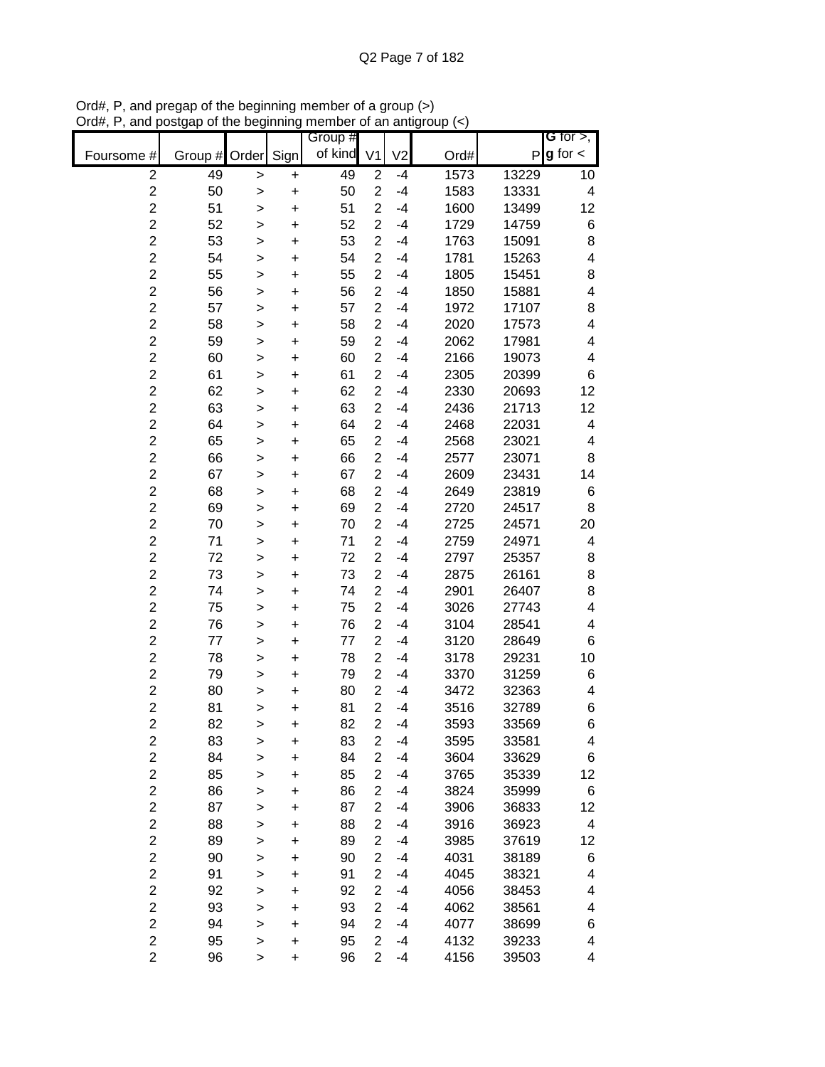|                         |               |              |           | Group # |                |                |      |       | G for $>$ ,             |
|-------------------------|---------------|--------------|-----------|---------|----------------|----------------|------|-------|-------------------------|
| Foursome #              | Group # Order |              | Sign      | of kind | V <sub>1</sub> | V <sub>2</sub> | Ord# | P     | $g$ for $\lt$           |
| $\overline{c}$          | 49            | >            | $\pmb{+}$ | 49      | $\overline{2}$ | $-4$           | 1573 | 13229 | 10                      |
| $\overline{c}$          | 50            | >            | $\ddot{}$ | 50      | $\overline{c}$ | $-4$           | 1583 | 13331 | $\overline{\mathbf{4}}$ |
| $\overline{c}$          | 51            | >            | $\ddot{}$ | 51      | $\overline{c}$ | $-4$           | 1600 | 13499 | 12                      |
| $\overline{c}$          | 52            | >            | +         | 52      | $\overline{2}$ | $-4$           | 1729 | 14759 | 6                       |
| $\overline{c}$          | 53            | $\mathbf{I}$ | $\ddot{}$ | 53      | $\overline{2}$ | $-4$           | 1763 | 15091 | 8                       |
| $\overline{c}$          | 54            | $\mathbf{I}$ | $\ddot{}$ | 54      | $\overline{c}$ | $-4$           | 1781 | 15263 | $\overline{\mathbf{4}}$ |
| $\overline{c}$          | 55            | $\geq$       | +         | 55      | $\overline{2}$ | $-4$           | 1805 | 15451 | 8                       |
| $\overline{c}$          | 56            | >            | +         | 56      | $\overline{c}$ | $-4$           | 1850 | 15881 | $\overline{\mathbf{4}}$ |
| $\overline{c}$          | 57            | >            | +         | 57      | $\overline{2}$ | $-4$           | 1972 | 17107 | 8                       |
| $\overline{c}$          | 58            | >            | +         | 58      | $\overline{2}$ | $-4$           | 2020 | 17573 | $\overline{\mathbf{4}}$ |
| $\overline{2}$          | 59            | >            | +         | 59      | $\overline{2}$ | $-4$           | 2062 | 17981 | 4                       |
| $\overline{c}$          | 60            | >            | +         | 60      | $\overline{2}$ | -4             | 2166 | 19073 | 4                       |
| $\overline{2}$          | 61            | $\mathbf{I}$ | +         | 61      | $\overline{2}$ | -4             | 2305 | 20399 | 6                       |
| $\overline{c}$          | 62            | >            | +         | 62      | $\overline{2}$ | -4             | 2330 | 20693 | 12                      |
| $\overline{2}$          | 63            | $\geq$       | $\ddot{}$ | 63      | $\overline{c}$ | $-4$           | 2436 | 21713 | 12                      |
| $\overline{c}$          | 64            | >            | +         | 64      | $\overline{2}$ | $-4$           | 2468 | 22031 | 4                       |
| $\overline{c}$          | 65            | >            | $\ddot{}$ | 65      | $\overline{2}$ | $-4$           | 2568 | 23021 | 4                       |
| $\overline{c}$          | 66            | >            | $\ddot{}$ | 66      | $\overline{c}$ | $-4$           | 2577 | 23071 | 8                       |
| $\overline{c}$          | 67            | >            | $\ddot{}$ | 67      | $\overline{c}$ | $-4$           | 2609 | 23431 | 14                      |
| $\overline{c}$          | 68            | >            | $\ddot{}$ | 68      | $\overline{2}$ | $-4$           | 2649 | 23819 | 6                       |
| $\overline{c}$          | 69            | >            | +         | 69      | $\overline{2}$ | $-4$           | 2720 | 24517 | 8                       |
| $\overline{c}$          | 70            | >            | $\ddot{}$ | 70      | $\overline{2}$ | $-4$           | 2725 | 24571 | 20                      |
| $\overline{c}$          | 71            | >            | $\ddot{}$ | 71      | $\overline{c}$ | $-4$           | 2759 | 24971 | 4                       |
| $\overline{c}$          | 72            | $\geq$       | $\ddot{}$ | 72      | $\overline{2}$ | $-4$           | 2797 | 25357 | 8                       |
| $\overline{c}$          | 73            | >            | +         | 73      | $\overline{c}$ | $-4$           | 2875 | 26161 | 8                       |
| $\overline{c}$          | 74            | >            | +         | 74      | $\overline{2}$ | $-4$           | 2901 | 26407 | 8                       |
| $\overline{c}$          | 75            | >            | +         | 75      | $\overline{2}$ | $-4$           | 3026 | 27743 | $\overline{\mathbf{4}}$ |
| $\overline{2}$          | 76            | >            | +         | 76      | $\overline{2}$ | -4             | 3104 | 28541 | 4                       |
| $\overline{\mathbf{c}}$ | 77            | >            | +         | 77      | $\overline{2}$ | -4             | 3120 | 28649 | 6                       |
| $\overline{2}$          | 78            | $\mathbf{I}$ | +         | 78      | $\overline{2}$ | -4             | 3178 | 29231 | 10                      |
| $\overline{\mathbf{c}}$ | 79            | >            | +         | 79      | $\overline{2}$ | -4             | 3370 | 31259 | 6                       |
| $\overline{2}$          | 80            | $\geq$       | +         | 80      | $\overline{2}$ | -4             | 3472 | 32363 | 4                       |
| $\overline{c}$          | 81            | $\geq$       | +         | 81      | $\overline{2}$ | -4             | 3516 | 32789 | 6                       |
| $\overline{2}$          | 82            | $\geq$       | $\ddot{}$ | 82      | $\overline{2}$ | $-4$           | 3593 | 33569 | 6                       |
| 2                       | 83            | >            | +         | 83      | $\overline{2}$ | $-4$           | 3595 | 33581 | 4                       |
| $\overline{2}$          | 84            | >            | $\ddot{}$ | 84      | $\overline{2}$ | $-4$           | 3604 | 33629 | 6                       |
| $\overline{c}$          | 85            | >            | +         | 85      | $\overline{c}$ | -4             | 3765 | 35339 | 12                      |
| $\overline{2}$          | 86            | >            | $\ddot{}$ | 86      | $\overline{2}$ | -4             | 3824 | 35999 | 6                       |
| $\overline{c}$          | 87            | >            | $\ddot{}$ | 87      | $\overline{c}$ | -4             | 3906 | 36833 | 12                      |
| $\overline{2}$          | 88            | $\geq$       | $\ddot{}$ | 88      | $\overline{c}$ | $-4$           | 3916 | 36923 | 4                       |
| $\overline{c}$          | 89            | >            | +         | 89      | $\overline{c}$ | -4             | 3985 | 37619 | 12                      |
| $\overline{c}$          | 90            | >            | +         | 90      | $\overline{2}$ | $-4$           | 4031 | 38189 | 6                       |
| $\overline{c}$          | 91            | >            | +         | 91      | $\overline{2}$ | $-4$           | 4045 | 38321 | 4                       |
| $\overline{2}$          | 92            | >            | +         | 92      | $\overline{2}$ | $-4$           | 4056 | 38453 | 4                       |
| $\overline{c}$          | 93            | >            | +         | 93      | $\overline{2}$ | -4             | 4062 | 38561 | 4                       |
| $\overline{c}$          | 94            | >            | +         | 94      | $\overline{2}$ | -4             | 4077 | 38699 | 6                       |
| $\overline{c}$          | 95            | >            | +         | 95      | $\overline{2}$ | -4             | 4132 | 39233 | 4                       |
| $\overline{2}$          | 96            | >            | +         | 96      | $\overline{2}$ | -4             | 4156 | 39503 | 4                       |

Ord#, P, and pregap of the beginning member of a group (>) Ord#, P, and postgap of the beginning member of an antigroup (<)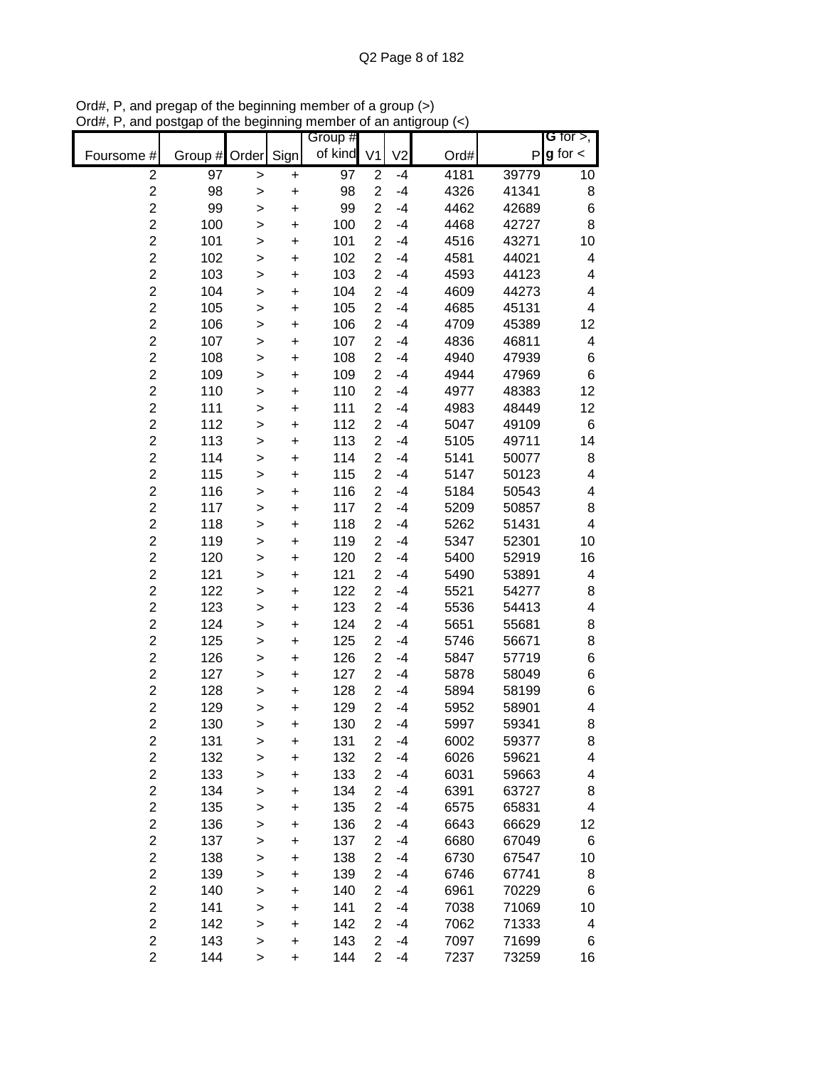|                |         |              |           | Group #    |                |                |      |       | G for $>$ ,              |
|----------------|---------|--------------|-----------|------------|----------------|----------------|------|-------|--------------------------|
| Foursome #     | Group # | Order        | Sign      | of kind V1 |                | V <sub>2</sub> | Ord# | Ρ     | $g$ for $\lt$            |
| $\mathbf 2$    | 97      | $\geq$       | +         | 97         | $\overline{2}$ | $-4$           | 4181 | 39779 | 10                       |
| $\overline{2}$ | 98      | >            | $\ddot{}$ | 98         | $\overline{2}$ | $-4$           | 4326 | 41341 | 8                        |
| $\overline{2}$ | 99      | >            | $\ddot{}$ | 99         | $\overline{2}$ | $-4$           | 4462 | 42689 | 6                        |
| $\overline{c}$ | 100     | >            | $\ddot{}$ | 100        | $\overline{2}$ | $-4$           | 4468 | 42727 | 8                        |
| $\overline{c}$ | 101     | $\,$         | $\ddot{}$ | 101        | $\overline{2}$ | $-4$           | 4516 | 43271 | 10                       |
| $\overline{c}$ | 102     | $\,$         | $\ddot{}$ | 102        | $\overline{c}$ | $-4$           | 4581 | 44021 | 4                        |
| $\overline{c}$ | 103     | $\mathbf{I}$ | $\ddot{}$ | 103        | $\overline{2}$ | $-4$           | 4593 | 44123 | 4                        |
| $\overline{c}$ | 104     | $\geq$       | +         | 104        | $\overline{2}$ | $-4$           | 4609 | 44273 | 4                        |
| $\overline{c}$ | 105     | $\,$         | $\ddot{}$ | 105        | $\overline{2}$ | $-4$           | 4685 | 45131 | 4                        |
| $\overline{2}$ | 106     | >            | +         | 106        | $\overline{2}$ | $-4$           | 4709 | 45389 | 12                       |
| $\overline{2}$ | 107     | >            | +         | 107        | $\overline{2}$ | $-4$           | 4836 | 46811 | 4                        |
| $\overline{c}$ | 108     | >            | +         | 108        | $\overline{2}$ | $-4$           | 4940 | 47939 | 6                        |
| $\overline{2}$ | 109     | $\mathbf{I}$ | $\ddot{}$ | 109        | $\overline{2}$ | $-4$           | 4944 | 47969 | 6                        |
| $\overline{2}$ | 110     | $\mathbf{I}$ | $\ddot{}$ | 110        | $\overline{2}$ | $-4$           | 4977 | 48383 | 12                       |
| $\overline{c}$ | 111     | $\geq$       | $\ddot{}$ | 111        | $\overline{2}$ | $-4$           | 4983 | 48449 | 12                       |
| $\overline{c}$ | 112     | >            | $\ddot{}$ | 112        | $\overline{c}$ | $-4$           | 5047 | 49109 | 6                        |
| $\overline{c}$ | 113     | $\mathbf{I}$ | $\ddot{}$ | 113        | $\overline{2}$ | $-4$           | 5105 | 49711 | 14                       |
| $\overline{c}$ | 114     | >            | $\ddot{}$ | 114        | $\overline{2}$ | $-4$           | 5141 | 50077 | 8                        |
| $\overline{c}$ | 115     | >            | $\ddot{}$ | 115        | $\overline{2}$ | $-4$           | 5147 | 50123 | 4                        |
| $\overline{c}$ | 116     | >            | $\ddot{}$ | 116        | $\overline{2}$ | $-4$           | 5184 | 50543 | $\overline{\mathcal{A}}$ |
| $\overline{c}$ | 117     | >            | $\ddot{}$ | 117        | $\overline{2}$ | $-4$           | 5209 | 50857 | 8                        |
| $\overline{c}$ | 118     | >            | $\ddot{}$ | 118        | $\overline{2}$ | $-4$           | 5262 | 51431 | $\overline{\mathbf{4}}$  |
| $\overline{c}$ | 119     | $\mathbf{I}$ | $\ddot{}$ | 119        | $\overline{c}$ | $-4$           | 5347 | 52301 | 10                       |
| $\overline{c}$ | 120     | $\,$         | $\ddot{}$ | 120        | $\overline{2}$ | $-4$           | 5400 | 52919 | 16                       |
| $\overline{c}$ | 121     | $\geq$       | +         | 121        | $\overline{2}$ | $-4$           | 5490 | 53891 | 4                        |
| $\overline{c}$ | 122     | >            | +         | 122        | $\overline{2}$ | $-4$           | 5521 | 54277 | 8                        |
| $\overline{2}$ | 123     | >            | +         | 123        | $\overline{2}$ | $-4$           | 5536 | 54413 | 4                        |
| $\overline{2}$ | 124     | >            | +         | 124        | $\overline{2}$ | $-4$           | 5651 | 55681 | 8                        |
| $\overline{c}$ | 125     | >            | +         | 125        | $\overline{2}$ | $-4$           | 5746 | 56671 | 8                        |
| $\overline{2}$ | 126     | $\mathbf{I}$ | $\ddot{}$ | 126        | $\overline{2}$ | $-4$           | 5847 | 57719 | 6                        |
| $\overline{c}$ | 127     | $\mathbf{I}$ | +         | 127        | $\overline{2}$ | $-4$           | 5878 | 58049 | 6                        |
| $\overline{c}$ | 128     | $\geq$       | +         | 128        | $\overline{2}$ | $-4$           | 5894 | 58199 | 6                        |
| $\overline{c}$ | 129     | $\mathbf{I}$ | +         | 129        | $\overline{2}$ | $-4$           | 5952 | 58901 | 4                        |
| $\overline{2}$ | 130     | $\geq$       | $\ddot{}$ | 130        | $\overline{2}$ | $-4$           | 5997 | 59341 | 8                        |
| $\overline{2}$ | 131     | >            | +         | 131        | $\mathbf{2}$   | $-4$           | 6002 | 59377 | 8                        |
| $\overline{2}$ | 132     | >            | $\ddot{}$ | 132        | $\overline{2}$ | $-4$           | 6026 | 59621 | 4                        |
| $\overline{2}$ | 133     | >            | $\ddot{}$ | 133        | $\overline{2}$ | $-4$           | 6031 | 59663 | 4                        |
| $\overline{c}$ | 134     | >            | $\ddot{}$ | 134        | $\overline{2}$ | $-4$           | 6391 | 63727 | 8                        |
| $\overline{2}$ | 135     | >            | $\ddot{}$ | 135        | $\overline{c}$ | $-4$           | 6575 | 65831 | $\overline{\mathbf{4}}$  |
| $\overline{2}$ | 136     | $\,$         | $\ddot{}$ | 136        | $\overline{2}$ | $-4$           | 6643 | 66629 | 12                       |
| $\overline{c}$ | 137     | $\geq$       | +         | 137        | $\overline{c}$ | $-4$           | 6680 | 67049 | 6                        |
| $\overline{2}$ | 138     | $\,$         | +         | 138        | $\overline{2}$ | $-4$           | 6730 | 67547 | 10                       |
| $\mathbf 2$    | 139     | >            | +         | 139        | $\overline{2}$ | $-4$           | 6746 | 67741 | 8                        |
| $\mathbf 2$    | 140     | $\,$         | +         | 140        | $\overline{2}$ | $-4$           | 6961 | 70229 | 6                        |
| $\mathbf 2$    | 141     | $\, > \,$    | +         | 141        | $\overline{2}$ | $-4$           | 7038 | 71069 | 10                       |
| $\overline{c}$ | 142     | $\geq$       | +         | 142        | $\overline{2}$ | $-4$           | 7062 | 71333 | 4                        |
| $\mathbf 2$    | 143     | $\,$         | $\ddot{}$ | 143        | $\overline{2}$ | $-4$           | 7097 | 71699 | 6                        |
| $\overline{2}$ | 144     | $\,$         | +         | 144        | $\overline{2}$ | $-4$           | 7237 | 73259 | 16                       |

Ord#, P, and pregap of the beginning member of a group (>) Ord#, P, and postgap of the beginning member of an antigroup (<)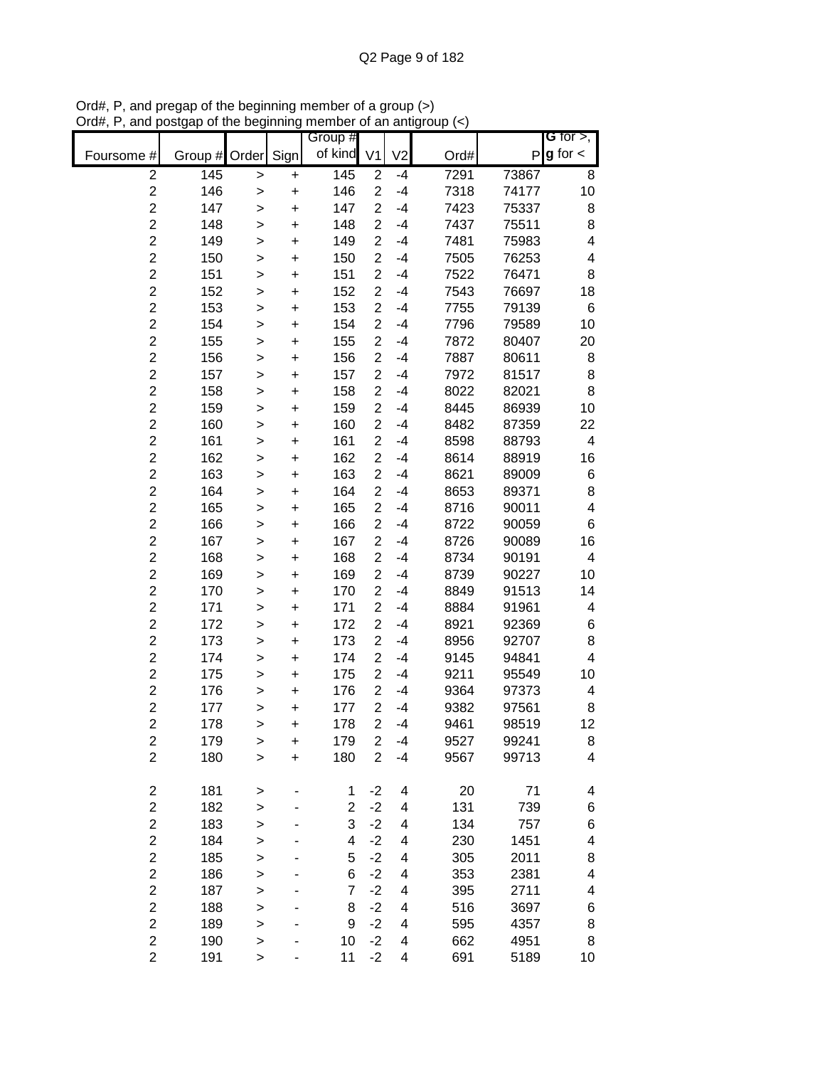| of kind<br>$g$ for $\lt$<br>V <sub>2</sub><br>Sign<br>V <sub>1</sub><br>Foursome #<br>Group # Order<br>Ord#<br>P<br>$\overline{2}$<br>145<br>145<br>7291<br>$\overline{2}$<br>73867<br>$-4$<br>8<br>$\mathbf{I}$<br>+<br>$\overline{c}$<br>$\overline{2}$<br>146<br>146<br>10<br>$-4$<br>7318<br>74177<br>$\ddot{}$<br>$\mathbf{I}$<br>$\overline{c}$<br>$\overline{c}$<br>147<br>147<br>7423<br>$-4$<br>75337<br>8<br>$\ddot{}$<br>><br>$\overline{c}$<br>$\overline{2}$<br>148<br>$-4$<br>148<br>7437<br>75511<br>8<br>$\ddot{}$<br>$\geq$<br>$\overline{c}$<br>$\overline{2}$<br>149<br>$\overline{\mathcal{A}}$<br>149<br>$-4$<br>7481<br>75983<br>$\ddot{}$<br>><br>$\overline{c}$<br>$\overline{2}$<br>150<br>150<br>$-4$<br>7505<br>76253<br>4<br>$\ddot{}$<br>><br>$\overline{c}$<br>$\overline{c}$<br>7522<br>76471<br>151<br>151<br>$-4$<br>8<br>$\ddot{}$<br>$\mathbf{I}$<br>$\overline{c}$<br>$\overline{c}$<br>152<br>152<br>$-4$<br>7543<br>76697<br>18<br>$\ddot{}$<br>$\geq$<br>$\overline{c}$<br>$\overline{c}$<br>153<br>153<br>$-4$<br>7755<br>79139<br>6<br>$\geq$<br>+<br>$\overline{c}$<br>$\overline{c}$<br>154<br>154<br>$-4$<br>7796<br>79589<br>10<br>+<br>><br>$\overline{c}$<br>155<br>$\overline{2}$<br>155<br>$-4$<br>7872<br>80407<br>20<br>+<br>><br>$\overline{2}$<br>156<br>$\overline{2}$<br>156<br>7887<br>80611<br>$-4$<br>8<br>+<br>><br>$\overline{c}$<br>157<br>$\overline{2}$<br>157<br>7972<br>81517<br>8<br>$-4$<br>+<br>><br>$\overline{c}$<br>158<br>$\overline{2}$<br>8022<br>158<br>82021<br>8<br>$-4$<br>$\ddot{}$<br>$\mathbf{I}$<br>$\overline{2}$<br>159<br>159<br>$\overline{2}$<br>$-4$<br>8445<br>86939<br>10<br>$\mathbf{I}$<br>+<br>$\overline{2}$<br>$\overline{c}$<br>160<br>160<br>$-4$<br>8482<br>87359<br>22<br>$\geq$<br>+<br>$\overline{c}$<br>$\overline{c}$<br>161<br>8598<br>161<br>$-4$<br>88793<br>4<br>$\ddot{}$<br>><br>$\overline{c}$<br>$\overline{2}$<br>162<br>162<br>$-4$<br>8614<br>88919<br>16<br>$\ddot{}$<br>><br>$\overline{c}$<br>$\overline{2}$<br>163<br>163<br>$-4$<br>8621<br>89009<br>6<br>$\ddot{}$<br>><br>$\overline{c}$<br>$\overline{2}$<br>164<br>164<br>$-4$<br>8653<br>89371<br>8<br>$\ddot{}$<br>><br>$\overline{c}$<br>$\overline{2}$<br>165<br>165<br>$-4$<br>8716<br>$\overline{\mathbf{4}}$<br>90011<br>$\ddot{}$<br>><br>$\overline{c}$<br>$\overline{2}$<br>166<br>166<br>$-4$<br>8722<br>90059<br>6<br>$\ddot{}$<br>><br>$\overline{c}$<br>$\overline{2}$<br>167<br>8726<br>167<br>$-4$<br>90089<br>16<br>$\ddot{}$<br>><br>$\overline{c}$<br>168<br>$\overline{c}$<br>8734<br>$\overline{\mathbf{4}}$<br>168<br>$-4$<br>90191<br>$\ddot{}$<br>><br>$\overline{c}$<br>$\overline{2}$<br>169<br>169<br>$-4$<br>8739<br>90227<br>10<br>$\ddot{}$<br>$\geq$<br>$\overline{c}$<br>$\overline{c}$<br>170<br>170<br>$-4$<br>8849<br>91513<br>14<br>><br>+<br>$\overline{c}$<br>$\overline{2}$<br>171<br>171<br>$-4$<br>8884<br>91961<br>4<br>+<br>><br>$\overline{2}$<br>$\overline{2}$<br>172<br>172<br>$-4$<br>8921<br>92369<br>6<br>+<br>><br>$\overline{2}$<br>$\overline{2}$<br>8<br>173<br>173<br>8956<br>92707<br>$-4$<br>+<br>><br>$\overline{2}$<br>174<br>174<br>$\overline{2}$<br>9145<br>94841<br>4<br>$-4$<br>+<br>><br>$\overline{c}$<br>$\overline{2}$<br>175<br>175<br>9211<br>95549<br>$-4$<br>10<br>$\ddot{}$<br>><br>$\overline{c}$<br>$\overline{2}$<br>176<br>176<br>9364<br>97373<br>$-4$<br>4<br>+<br>><br>$\overline{c}$<br>$\overline{2}$<br>177<br>177<br>9382<br>-4<br>97561<br>8<br>$\geq$<br>+<br>$\overline{2}$<br>$\overline{2}$<br>178<br>178<br>$-4$<br>9461<br>12<br>98519<br>$\geq$<br>$\ddot{}$<br>$\overline{2}$<br>179<br>$-4$<br>99241<br>$\overline{\mathbf{c}}$<br>179<br>9527<br>8<br>+<br>$\geq$<br>$\overline{2}$<br>$\overline{2}$<br>$\overline{\mathbf{4}}$<br>180<br>180<br>$-4$<br>9567<br>99713<br>$\ddot{}$<br>$\geq$<br>$\boldsymbol{2}$<br>181<br>20<br>71<br>$-2$<br>4<br>4<br>1<br>$\geq$<br>$\overline{2}$<br>$-2$<br>$\overline{c}$<br>182<br>131<br>739<br>4<br>6<br>$\geq$<br>$\overline{c}$<br>3<br>$-2$<br>134<br>183<br>4<br>757<br>6<br>$\geq$<br>$\overline{2}$<br>$-2$<br>4<br>184<br>4<br>4<br>230<br>1451<br>$\geq$<br>$\overline{2}$<br>$-2$<br>5<br>8<br>185<br>$\overline{\mathbf{4}}$<br>305<br>2011<br>><br>$\overline{2}$<br>$-2$<br>186<br>6<br>2381<br>4<br>4<br>353<br>><br>$\overline{2}$<br>$-2$<br>187<br>$\overline{7}$<br>4<br>395<br>2711<br>4<br>$\mathbf{I}$<br>$\overline{2}$<br>$-2$<br>188<br>8<br>4<br>516<br>3697<br>6<br>> |             |     |  | Group # |      |   |     |      | <b>G</b> for $>$ , |
|----------------------------------------------------------------------------------------------------------------------------------------------------------------------------------------------------------------------------------------------------------------------------------------------------------------------------------------------------------------------------------------------------------------------------------------------------------------------------------------------------------------------------------------------------------------------------------------------------------------------------------------------------------------------------------------------------------------------------------------------------------------------------------------------------------------------------------------------------------------------------------------------------------------------------------------------------------------------------------------------------------------------------------------------------------------------------------------------------------------------------------------------------------------------------------------------------------------------------------------------------------------------------------------------------------------------------------------------------------------------------------------------------------------------------------------------------------------------------------------------------------------------------------------------------------------------------------------------------------------------------------------------------------------------------------------------------------------------------------------------------------------------------------------------------------------------------------------------------------------------------------------------------------------------------------------------------------------------------------------------------------------------------------------------------------------------------------------------------------------------------------------------------------------------------------------------------------------------------------------------------------------------------------------------------------------------------------------------------------------------------------------------------------------------------------------------------------------------------------------------------------------------------------------------------------------------------------------------------------------------------------------------------------------------------------------------------------------------------------------------------------------------------------------------------------------------------------------------------------------------------------------------------------------------------------------------------------------------------------------------------------------------------------------------------------------------------------------------------------------------------------------------------------------------------------------------------------------------------------------------------------------------------------------------------------------------------------------------------------------------------------------------------------------------------------------------------------------------------------------------------------------------------------------------------------------------------------------------------------------------------------------------------------------------------------------------------------------------------------------------------------------------------------------------------------------------------------------------------------------------------------------------------------------------------------------------------------------------------------------------------------------------------------------------------------------------------------------------------------------------------------------------------------------------------------------------------------------------------------------------------------------------------------------------------------------------------------------------------------------------------------------------------------------------------------------------------------------------------------------------------------------------|-------------|-----|--|---------|------|---|-----|------|--------------------|
|                                                                                                                                                                                                                                                                                                                                                                                                                                                                                                                                                                                                                                                                                                                                                                                                                                                                                                                                                                                                                                                                                                                                                                                                                                                                                                                                                                                                                                                                                                                                                                                                                                                                                                                                                                                                                                                                                                                                                                                                                                                                                                                                                                                                                                                                                                                                                                                                                                                                                                                                                                                                                                                                                                                                                                                                                                                                                                                                                                                                                                                                                                                                                                                                                                                                                                                                                                                                                                                                                                                                                                                                                                                                                                                                                                                                                                                                                                                                                                                                                                                                                                                                                                                                                                                                                                                                                                                                                                                                                                                      |             |     |  |         |      |   |     |      |                    |
|                                                                                                                                                                                                                                                                                                                                                                                                                                                                                                                                                                                                                                                                                                                                                                                                                                                                                                                                                                                                                                                                                                                                                                                                                                                                                                                                                                                                                                                                                                                                                                                                                                                                                                                                                                                                                                                                                                                                                                                                                                                                                                                                                                                                                                                                                                                                                                                                                                                                                                                                                                                                                                                                                                                                                                                                                                                                                                                                                                                                                                                                                                                                                                                                                                                                                                                                                                                                                                                                                                                                                                                                                                                                                                                                                                                                                                                                                                                                                                                                                                                                                                                                                                                                                                                                                                                                                                                                                                                                                                                      |             |     |  |         |      |   |     |      |                    |
|                                                                                                                                                                                                                                                                                                                                                                                                                                                                                                                                                                                                                                                                                                                                                                                                                                                                                                                                                                                                                                                                                                                                                                                                                                                                                                                                                                                                                                                                                                                                                                                                                                                                                                                                                                                                                                                                                                                                                                                                                                                                                                                                                                                                                                                                                                                                                                                                                                                                                                                                                                                                                                                                                                                                                                                                                                                                                                                                                                                                                                                                                                                                                                                                                                                                                                                                                                                                                                                                                                                                                                                                                                                                                                                                                                                                                                                                                                                                                                                                                                                                                                                                                                                                                                                                                                                                                                                                                                                                                                                      |             |     |  |         |      |   |     |      |                    |
|                                                                                                                                                                                                                                                                                                                                                                                                                                                                                                                                                                                                                                                                                                                                                                                                                                                                                                                                                                                                                                                                                                                                                                                                                                                                                                                                                                                                                                                                                                                                                                                                                                                                                                                                                                                                                                                                                                                                                                                                                                                                                                                                                                                                                                                                                                                                                                                                                                                                                                                                                                                                                                                                                                                                                                                                                                                                                                                                                                                                                                                                                                                                                                                                                                                                                                                                                                                                                                                                                                                                                                                                                                                                                                                                                                                                                                                                                                                                                                                                                                                                                                                                                                                                                                                                                                                                                                                                                                                                                                                      |             |     |  |         |      |   |     |      |                    |
|                                                                                                                                                                                                                                                                                                                                                                                                                                                                                                                                                                                                                                                                                                                                                                                                                                                                                                                                                                                                                                                                                                                                                                                                                                                                                                                                                                                                                                                                                                                                                                                                                                                                                                                                                                                                                                                                                                                                                                                                                                                                                                                                                                                                                                                                                                                                                                                                                                                                                                                                                                                                                                                                                                                                                                                                                                                                                                                                                                                                                                                                                                                                                                                                                                                                                                                                                                                                                                                                                                                                                                                                                                                                                                                                                                                                                                                                                                                                                                                                                                                                                                                                                                                                                                                                                                                                                                                                                                                                                                                      |             |     |  |         |      |   |     |      |                    |
|                                                                                                                                                                                                                                                                                                                                                                                                                                                                                                                                                                                                                                                                                                                                                                                                                                                                                                                                                                                                                                                                                                                                                                                                                                                                                                                                                                                                                                                                                                                                                                                                                                                                                                                                                                                                                                                                                                                                                                                                                                                                                                                                                                                                                                                                                                                                                                                                                                                                                                                                                                                                                                                                                                                                                                                                                                                                                                                                                                                                                                                                                                                                                                                                                                                                                                                                                                                                                                                                                                                                                                                                                                                                                                                                                                                                                                                                                                                                                                                                                                                                                                                                                                                                                                                                                                                                                                                                                                                                                                                      |             |     |  |         |      |   |     |      |                    |
|                                                                                                                                                                                                                                                                                                                                                                                                                                                                                                                                                                                                                                                                                                                                                                                                                                                                                                                                                                                                                                                                                                                                                                                                                                                                                                                                                                                                                                                                                                                                                                                                                                                                                                                                                                                                                                                                                                                                                                                                                                                                                                                                                                                                                                                                                                                                                                                                                                                                                                                                                                                                                                                                                                                                                                                                                                                                                                                                                                                                                                                                                                                                                                                                                                                                                                                                                                                                                                                                                                                                                                                                                                                                                                                                                                                                                                                                                                                                                                                                                                                                                                                                                                                                                                                                                                                                                                                                                                                                                                                      |             |     |  |         |      |   |     |      |                    |
|                                                                                                                                                                                                                                                                                                                                                                                                                                                                                                                                                                                                                                                                                                                                                                                                                                                                                                                                                                                                                                                                                                                                                                                                                                                                                                                                                                                                                                                                                                                                                                                                                                                                                                                                                                                                                                                                                                                                                                                                                                                                                                                                                                                                                                                                                                                                                                                                                                                                                                                                                                                                                                                                                                                                                                                                                                                                                                                                                                                                                                                                                                                                                                                                                                                                                                                                                                                                                                                                                                                                                                                                                                                                                                                                                                                                                                                                                                                                                                                                                                                                                                                                                                                                                                                                                                                                                                                                                                                                                                                      |             |     |  |         |      |   |     |      |                    |
|                                                                                                                                                                                                                                                                                                                                                                                                                                                                                                                                                                                                                                                                                                                                                                                                                                                                                                                                                                                                                                                                                                                                                                                                                                                                                                                                                                                                                                                                                                                                                                                                                                                                                                                                                                                                                                                                                                                                                                                                                                                                                                                                                                                                                                                                                                                                                                                                                                                                                                                                                                                                                                                                                                                                                                                                                                                                                                                                                                                                                                                                                                                                                                                                                                                                                                                                                                                                                                                                                                                                                                                                                                                                                                                                                                                                                                                                                                                                                                                                                                                                                                                                                                                                                                                                                                                                                                                                                                                                                                                      |             |     |  |         |      |   |     |      |                    |
|                                                                                                                                                                                                                                                                                                                                                                                                                                                                                                                                                                                                                                                                                                                                                                                                                                                                                                                                                                                                                                                                                                                                                                                                                                                                                                                                                                                                                                                                                                                                                                                                                                                                                                                                                                                                                                                                                                                                                                                                                                                                                                                                                                                                                                                                                                                                                                                                                                                                                                                                                                                                                                                                                                                                                                                                                                                                                                                                                                                                                                                                                                                                                                                                                                                                                                                                                                                                                                                                                                                                                                                                                                                                                                                                                                                                                                                                                                                                                                                                                                                                                                                                                                                                                                                                                                                                                                                                                                                                                                                      |             |     |  |         |      |   |     |      |                    |
|                                                                                                                                                                                                                                                                                                                                                                                                                                                                                                                                                                                                                                                                                                                                                                                                                                                                                                                                                                                                                                                                                                                                                                                                                                                                                                                                                                                                                                                                                                                                                                                                                                                                                                                                                                                                                                                                                                                                                                                                                                                                                                                                                                                                                                                                                                                                                                                                                                                                                                                                                                                                                                                                                                                                                                                                                                                                                                                                                                                                                                                                                                                                                                                                                                                                                                                                                                                                                                                                                                                                                                                                                                                                                                                                                                                                                                                                                                                                                                                                                                                                                                                                                                                                                                                                                                                                                                                                                                                                                                                      |             |     |  |         |      |   |     |      |                    |
|                                                                                                                                                                                                                                                                                                                                                                                                                                                                                                                                                                                                                                                                                                                                                                                                                                                                                                                                                                                                                                                                                                                                                                                                                                                                                                                                                                                                                                                                                                                                                                                                                                                                                                                                                                                                                                                                                                                                                                                                                                                                                                                                                                                                                                                                                                                                                                                                                                                                                                                                                                                                                                                                                                                                                                                                                                                                                                                                                                                                                                                                                                                                                                                                                                                                                                                                                                                                                                                                                                                                                                                                                                                                                                                                                                                                                                                                                                                                                                                                                                                                                                                                                                                                                                                                                                                                                                                                                                                                                                                      |             |     |  |         |      |   |     |      |                    |
|                                                                                                                                                                                                                                                                                                                                                                                                                                                                                                                                                                                                                                                                                                                                                                                                                                                                                                                                                                                                                                                                                                                                                                                                                                                                                                                                                                                                                                                                                                                                                                                                                                                                                                                                                                                                                                                                                                                                                                                                                                                                                                                                                                                                                                                                                                                                                                                                                                                                                                                                                                                                                                                                                                                                                                                                                                                                                                                                                                                                                                                                                                                                                                                                                                                                                                                                                                                                                                                                                                                                                                                                                                                                                                                                                                                                                                                                                                                                                                                                                                                                                                                                                                                                                                                                                                                                                                                                                                                                                                                      |             |     |  |         |      |   |     |      |                    |
|                                                                                                                                                                                                                                                                                                                                                                                                                                                                                                                                                                                                                                                                                                                                                                                                                                                                                                                                                                                                                                                                                                                                                                                                                                                                                                                                                                                                                                                                                                                                                                                                                                                                                                                                                                                                                                                                                                                                                                                                                                                                                                                                                                                                                                                                                                                                                                                                                                                                                                                                                                                                                                                                                                                                                                                                                                                                                                                                                                                                                                                                                                                                                                                                                                                                                                                                                                                                                                                                                                                                                                                                                                                                                                                                                                                                                                                                                                                                                                                                                                                                                                                                                                                                                                                                                                                                                                                                                                                                                                                      |             |     |  |         |      |   |     |      |                    |
|                                                                                                                                                                                                                                                                                                                                                                                                                                                                                                                                                                                                                                                                                                                                                                                                                                                                                                                                                                                                                                                                                                                                                                                                                                                                                                                                                                                                                                                                                                                                                                                                                                                                                                                                                                                                                                                                                                                                                                                                                                                                                                                                                                                                                                                                                                                                                                                                                                                                                                                                                                                                                                                                                                                                                                                                                                                                                                                                                                                                                                                                                                                                                                                                                                                                                                                                                                                                                                                                                                                                                                                                                                                                                                                                                                                                                                                                                                                                                                                                                                                                                                                                                                                                                                                                                                                                                                                                                                                                                                                      |             |     |  |         |      |   |     |      |                    |
|                                                                                                                                                                                                                                                                                                                                                                                                                                                                                                                                                                                                                                                                                                                                                                                                                                                                                                                                                                                                                                                                                                                                                                                                                                                                                                                                                                                                                                                                                                                                                                                                                                                                                                                                                                                                                                                                                                                                                                                                                                                                                                                                                                                                                                                                                                                                                                                                                                                                                                                                                                                                                                                                                                                                                                                                                                                                                                                                                                                                                                                                                                                                                                                                                                                                                                                                                                                                                                                                                                                                                                                                                                                                                                                                                                                                                                                                                                                                                                                                                                                                                                                                                                                                                                                                                                                                                                                                                                                                                                                      |             |     |  |         |      |   |     |      |                    |
|                                                                                                                                                                                                                                                                                                                                                                                                                                                                                                                                                                                                                                                                                                                                                                                                                                                                                                                                                                                                                                                                                                                                                                                                                                                                                                                                                                                                                                                                                                                                                                                                                                                                                                                                                                                                                                                                                                                                                                                                                                                                                                                                                                                                                                                                                                                                                                                                                                                                                                                                                                                                                                                                                                                                                                                                                                                                                                                                                                                                                                                                                                                                                                                                                                                                                                                                                                                                                                                                                                                                                                                                                                                                                                                                                                                                                                                                                                                                                                                                                                                                                                                                                                                                                                                                                                                                                                                                                                                                                                                      |             |     |  |         |      |   |     |      |                    |
|                                                                                                                                                                                                                                                                                                                                                                                                                                                                                                                                                                                                                                                                                                                                                                                                                                                                                                                                                                                                                                                                                                                                                                                                                                                                                                                                                                                                                                                                                                                                                                                                                                                                                                                                                                                                                                                                                                                                                                                                                                                                                                                                                                                                                                                                                                                                                                                                                                                                                                                                                                                                                                                                                                                                                                                                                                                                                                                                                                                                                                                                                                                                                                                                                                                                                                                                                                                                                                                                                                                                                                                                                                                                                                                                                                                                                                                                                                                                                                                                                                                                                                                                                                                                                                                                                                                                                                                                                                                                                                                      |             |     |  |         |      |   |     |      |                    |
|                                                                                                                                                                                                                                                                                                                                                                                                                                                                                                                                                                                                                                                                                                                                                                                                                                                                                                                                                                                                                                                                                                                                                                                                                                                                                                                                                                                                                                                                                                                                                                                                                                                                                                                                                                                                                                                                                                                                                                                                                                                                                                                                                                                                                                                                                                                                                                                                                                                                                                                                                                                                                                                                                                                                                                                                                                                                                                                                                                                                                                                                                                                                                                                                                                                                                                                                                                                                                                                                                                                                                                                                                                                                                                                                                                                                                                                                                                                                                                                                                                                                                                                                                                                                                                                                                                                                                                                                                                                                                                                      |             |     |  |         |      |   |     |      |                    |
|                                                                                                                                                                                                                                                                                                                                                                                                                                                                                                                                                                                                                                                                                                                                                                                                                                                                                                                                                                                                                                                                                                                                                                                                                                                                                                                                                                                                                                                                                                                                                                                                                                                                                                                                                                                                                                                                                                                                                                                                                                                                                                                                                                                                                                                                                                                                                                                                                                                                                                                                                                                                                                                                                                                                                                                                                                                                                                                                                                                                                                                                                                                                                                                                                                                                                                                                                                                                                                                                                                                                                                                                                                                                                                                                                                                                                                                                                                                                                                                                                                                                                                                                                                                                                                                                                                                                                                                                                                                                                                                      |             |     |  |         |      |   |     |      |                    |
|                                                                                                                                                                                                                                                                                                                                                                                                                                                                                                                                                                                                                                                                                                                                                                                                                                                                                                                                                                                                                                                                                                                                                                                                                                                                                                                                                                                                                                                                                                                                                                                                                                                                                                                                                                                                                                                                                                                                                                                                                                                                                                                                                                                                                                                                                                                                                                                                                                                                                                                                                                                                                                                                                                                                                                                                                                                                                                                                                                                                                                                                                                                                                                                                                                                                                                                                                                                                                                                                                                                                                                                                                                                                                                                                                                                                                                                                                                                                                                                                                                                                                                                                                                                                                                                                                                                                                                                                                                                                                                                      |             |     |  |         |      |   |     |      |                    |
|                                                                                                                                                                                                                                                                                                                                                                                                                                                                                                                                                                                                                                                                                                                                                                                                                                                                                                                                                                                                                                                                                                                                                                                                                                                                                                                                                                                                                                                                                                                                                                                                                                                                                                                                                                                                                                                                                                                                                                                                                                                                                                                                                                                                                                                                                                                                                                                                                                                                                                                                                                                                                                                                                                                                                                                                                                                                                                                                                                                                                                                                                                                                                                                                                                                                                                                                                                                                                                                                                                                                                                                                                                                                                                                                                                                                                                                                                                                                                                                                                                                                                                                                                                                                                                                                                                                                                                                                                                                                                                                      |             |     |  |         |      |   |     |      |                    |
|                                                                                                                                                                                                                                                                                                                                                                                                                                                                                                                                                                                                                                                                                                                                                                                                                                                                                                                                                                                                                                                                                                                                                                                                                                                                                                                                                                                                                                                                                                                                                                                                                                                                                                                                                                                                                                                                                                                                                                                                                                                                                                                                                                                                                                                                                                                                                                                                                                                                                                                                                                                                                                                                                                                                                                                                                                                                                                                                                                                                                                                                                                                                                                                                                                                                                                                                                                                                                                                                                                                                                                                                                                                                                                                                                                                                                                                                                                                                                                                                                                                                                                                                                                                                                                                                                                                                                                                                                                                                                                                      |             |     |  |         |      |   |     |      |                    |
|                                                                                                                                                                                                                                                                                                                                                                                                                                                                                                                                                                                                                                                                                                                                                                                                                                                                                                                                                                                                                                                                                                                                                                                                                                                                                                                                                                                                                                                                                                                                                                                                                                                                                                                                                                                                                                                                                                                                                                                                                                                                                                                                                                                                                                                                                                                                                                                                                                                                                                                                                                                                                                                                                                                                                                                                                                                                                                                                                                                                                                                                                                                                                                                                                                                                                                                                                                                                                                                                                                                                                                                                                                                                                                                                                                                                                                                                                                                                                                                                                                                                                                                                                                                                                                                                                                                                                                                                                                                                                                                      |             |     |  |         |      |   |     |      |                    |
|                                                                                                                                                                                                                                                                                                                                                                                                                                                                                                                                                                                                                                                                                                                                                                                                                                                                                                                                                                                                                                                                                                                                                                                                                                                                                                                                                                                                                                                                                                                                                                                                                                                                                                                                                                                                                                                                                                                                                                                                                                                                                                                                                                                                                                                                                                                                                                                                                                                                                                                                                                                                                                                                                                                                                                                                                                                                                                                                                                                                                                                                                                                                                                                                                                                                                                                                                                                                                                                                                                                                                                                                                                                                                                                                                                                                                                                                                                                                                                                                                                                                                                                                                                                                                                                                                                                                                                                                                                                                                                                      |             |     |  |         |      |   |     |      |                    |
|                                                                                                                                                                                                                                                                                                                                                                                                                                                                                                                                                                                                                                                                                                                                                                                                                                                                                                                                                                                                                                                                                                                                                                                                                                                                                                                                                                                                                                                                                                                                                                                                                                                                                                                                                                                                                                                                                                                                                                                                                                                                                                                                                                                                                                                                                                                                                                                                                                                                                                                                                                                                                                                                                                                                                                                                                                                                                                                                                                                                                                                                                                                                                                                                                                                                                                                                                                                                                                                                                                                                                                                                                                                                                                                                                                                                                                                                                                                                                                                                                                                                                                                                                                                                                                                                                                                                                                                                                                                                                                                      |             |     |  |         |      |   |     |      |                    |
|                                                                                                                                                                                                                                                                                                                                                                                                                                                                                                                                                                                                                                                                                                                                                                                                                                                                                                                                                                                                                                                                                                                                                                                                                                                                                                                                                                                                                                                                                                                                                                                                                                                                                                                                                                                                                                                                                                                                                                                                                                                                                                                                                                                                                                                                                                                                                                                                                                                                                                                                                                                                                                                                                                                                                                                                                                                                                                                                                                                                                                                                                                                                                                                                                                                                                                                                                                                                                                                                                                                                                                                                                                                                                                                                                                                                                                                                                                                                                                                                                                                                                                                                                                                                                                                                                                                                                                                                                                                                                                                      |             |     |  |         |      |   |     |      |                    |
|                                                                                                                                                                                                                                                                                                                                                                                                                                                                                                                                                                                                                                                                                                                                                                                                                                                                                                                                                                                                                                                                                                                                                                                                                                                                                                                                                                                                                                                                                                                                                                                                                                                                                                                                                                                                                                                                                                                                                                                                                                                                                                                                                                                                                                                                                                                                                                                                                                                                                                                                                                                                                                                                                                                                                                                                                                                                                                                                                                                                                                                                                                                                                                                                                                                                                                                                                                                                                                                                                                                                                                                                                                                                                                                                                                                                                                                                                                                                                                                                                                                                                                                                                                                                                                                                                                                                                                                                                                                                                                                      |             |     |  |         |      |   |     |      |                    |
|                                                                                                                                                                                                                                                                                                                                                                                                                                                                                                                                                                                                                                                                                                                                                                                                                                                                                                                                                                                                                                                                                                                                                                                                                                                                                                                                                                                                                                                                                                                                                                                                                                                                                                                                                                                                                                                                                                                                                                                                                                                                                                                                                                                                                                                                                                                                                                                                                                                                                                                                                                                                                                                                                                                                                                                                                                                                                                                                                                                                                                                                                                                                                                                                                                                                                                                                                                                                                                                                                                                                                                                                                                                                                                                                                                                                                                                                                                                                                                                                                                                                                                                                                                                                                                                                                                                                                                                                                                                                                                                      |             |     |  |         |      |   |     |      |                    |
|                                                                                                                                                                                                                                                                                                                                                                                                                                                                                                                                                                                                                                                                                                                                                                                                                                                                                                                                                                                                                                                                                                                                                                                                                                                                                                                                                                                                                                                                                                                                                                                                                                                                                                                                                                                                                                                                                                                                                                                                                                                                                                                                                                                                                                                                                                                                                                                                                                                                                                                                                                                                                                                                                                                                                                                                                                                                                                                                                                                                                                                                                                                                                                                                                                                                                                                                                                                                                                                                                                                                                                                                                                                                                                                                                                                                                                                                                                                                                                                                                                                                                                                                                                                                                                                                                                                                                                                                                                                                                                                      |             |     |  |         |      |   |     |      |                    |
|                                                                                                                                                                                                                                                                                                                                                                                                                                                                                                                                                                                                                                                                                                                                                                                                                                                                                                                                                                                                                                                                                                                                                                                                                                                                                                                                                                                                                                                                                                                                                                                                                                                                                                                                                                                                                                                                                                                                                                                                                                                                                                                                                                                                                                                                                                                                                                                                                                                                                                                                                                                                                                                                                                                                                                                                                                                                                                                                                                                                                                                                                                                                                                                                                                                                                                                                                                                                                                                                                                                                                                                                                                                                                                                                                                                                                                                                                                                                                                                                                                                                                                                                                                                                                                                                                                                                                                                                                                                                                                                      |             |     |  |         |      |   |     |      |                    |
|                                                                                                                                                                                                                                                                                                                                                                                                                                                                                                                                                                                                                                                                                                                                                                                                                                                                                                                                                                                                                                                                                                                                                                                                                                                                                                                                                                                                                                                                                                                                                                                                                                                                                                                                                                                                                                                                                                                                                                                                                                                                                                                                                                                                                                                                                                                                                                                                                                                                                                                                                                                                                                                                                                                                                                                                                                                                                                                                                                                                                                                                                                                                                                                                                                                                                                                                                                                                                                                                                                                                                                                                                                                                                                                                                                                                                                                                                                                                                                                                                                                                                                                                                                                                                                                                                                                                                                                                                                                                                                                      |             |     |  |         |      |   |     |      |                    |
|                                                                                                                                                                                                                                                                                                                                                                                                                                                                                                                                                                                                                                                                                                                                                                                                                                                                                                                                                                                                                                                                                                                                                                                                                                                                                                                                                                                                                                                                                                                                                                                                                                                                                                                                                                                                                                                                                                                                                                                                                                                                                                                                                                                                                                                                                                                                                                                                                                                                                                                                                                                                                                                                                                                                                                                                                                                                                                                                                                                                                                                                                                                                                                                                                                                                                                                                                                                                                                                                                                                                                                                                                                                                                                                                                                                                                                                                                                                                                                                                                                                                                                                                                                                                                                                                                                                                                                                                                                                                                                                      |             |     |  |         |      |   |     |      |                    |
|                                                                                                                                                                                                                                                                                                                                                                                                                                                                                                                                                                                                                                                                                                                                                                                                                                                                                                                                                                                                                                                                                                                                                                                                                                                                                                                                                                                                                                                                                                                                                                                                                                                                                                                                                                                                                                                                                                                                                                                                                                                                                                                                                                                                                                                                                                                                                                                                                                                                                                                                                                                                                                                                                                                                                                                                                                                                                                                                                                                                                                                                                                                                                                                                                                                                                                                                                                                                                                                                                                                                                                                                                                                                                                                                                                                                                                                                                                                                                                                                                                                                                                                                                                                                                                                                                                                                                                                                                                                                                                                      |             |     |  |         |      |   |     |      |                    |
|                                                                                                                                                                                                                                                                                                                                                                                                                                                                                                                                                                                                                                                                                                                                                                                                                                                                                                                                                                                                                                                                                                                                                                                                                                                                                                                                                                                                                                                                                                                                                                                                                                                                                                                                                                                                                                                                                                                                                                                                                                                                                                                                                                                                                                                                                                                                                                                                                                                                                                                                                                                                                                                                                                                                                                                                                                                                                                                                                                                                                                                                                                                                                                                                                                                                                                                                                                                                                                                                                                                                                                                                                                                                                                                                                                                                                                                                                                                                                                                                                                                                                                                                                                                                                                                                                                                                                                                                                                                                                                                      |             |     |  |         |      |   |     |      |                    |
|                                                                                                                                                                                                                                                                                                                                                                                                                                                                                                                                                                                                                                                                                                                                                                                                                                                                                                                                                                                                                                                                                                                                                                                                                                                                                                                                                                                                                                                                                                                                                                                                                                                                                                                                                                                                                                                                                                                                                                                                                                                                                                                                                                                                                                                                                                                                                                                                                                                                                                                                                                                                                                                                                                                                                                                                                                                                                                                                                                                                                                                                                                                                                                                                                                                                                                                                                                                                                                                                                                                                                                                                                                                                                                                                                                                                                                                                                                                                                                                                                                                                                                                                                                                                                                                                                                                                                                                                                                                                                                                      |             |     |  |         |      |   |     |      |                    |
|                                                                                                                                                                                                                                                                                                                                                                                                                                                                                                                                                                                                                                                                                                                                                                                                                                                                                                                                                                                                                                                                                                                                                                                                                                                                                                                                                                                                                                                                                                                                                                                                                                                                                                                                                                                                                                                                                                                                                                                                                                                                                                                                                                                                                                                                                                                                                                                                                                                                                                                                                                                                                                                                                                                                                                                                                                                                                                                                                                                                                                                                                                                                                                                                                                                                                                                                                                                                                                                                                                                                                                                                                                                                                                                                                                                                                                                                                                                                                                                                                                                                                                                                                                                                                                                                                                                                                                                                                                                                                                                      |             |     |  |         |      |   |     |      |                    |
|                                                                                                                                                                                                                                                                                                                                                                                                                                                                                                                                                                                                                                                                                                                                                                                                                                                                                                                                                                                                                                                                                                                                                                                                                                                                                                                                                                                                                                                                                                                                                                                                                                                                                                                                                                                                                                                                                                                                                                                                                                                                                                                                                                                                                                                                                                                                                                                                                                                                                                                                                                                                                                                                                                                                                                                                                                                                                                                                                                                                                                                                                                                                                                                                                                                                                                                                                                                                                                                                                                                                                                                                                                                                                                                                                                                                                                                                                                                                                                                                                                                                                                                                                                                                                                                                                                                                                                                                                                                                                                                      |             |     |  |         |      |   |     |      |                    |
|                                                                                                                                                                                                                                                                                                                                                                                                                                                                                                                                                                                                                                                                                                                                                                                                                                                                                                                                                                                                                                                                                                                                                                                                                                                                                                                                                                                                                                                                                                                                                                                                                                                                                                                                                                                                                                                                                                                                                                                                                                                                                                                                                                                                                                                                                                                                                                                                                                                                                                                                                                                                                                                                                                                                                                                                                                                                                                                                                                                                                                                                                                                                                                                                                                                                                                                                                                                                                                                                                                                                                                                                                                                                                                                                                                                                                                                                                                                                                                                                                                                                                                                                                                                                                                                                                                                                                                                                                                                                                                                      |             |     |  |         |      |   |     |      |                    |
|                                                                                                                                                                                                                                                                                                                                                                                                                                                                                                                                                                                                                                                                                                                                                                                                                                                                                                                                                                                                                                                                                                                                                                                                                                                                                                                                                                                                                                                                                                                                                                                                                                                                                                                                                                                                                                                                                                                                                                                                                                                                                                                                                                                                                                                                                                                                                                                                                                                                                                                                                                                                                                                                                                                                                                                                                                                                                                                                                                                                                                                                                                                                                                                                                                                                                                                                                                                                                                                                                                                                                                                                                                                                                                                                                                                                                                                                                                                                                                                                                                                                                                                                                                                                                                                                                                                                                                                                                                                                                                                      |             |     |  |         |      |   |     |      |                    |
|                                                                                                                                                                                                                                                                                                                                                                                                                                                                                                                                                                                                                                                                                                                                                                                                                                                                                                                                                                                                                                                                                                                                                                                                                                                                                                                                                                                                                                                                                                                                                                                                                                                                                                                                                                                                                                                                                                                                                                                                                                                                                                                                                                                                                                                                                                                                                                                                                                                                                                                                                                                                                                                                                                                                                                                                                                                                                                                                                                                                                                                                                                                                                                                                                                                                                                                                                                                                                                                                                                                                                                                                                                                                                                                                                                                                                                                                                                                                                                                                                                                                                                                                                                                                                                                                                                                                                                                                                                                                                                                      |             |     |  |         |      |   |     |      |                    |
|                                                                                                                                                                                                                                                                                                                                                                                                                                                                                                                                                                                                                                                                                                                                                                                                                                                                                                                                                                                                                                                                                                                                                                                                                                                                                                                                                                                                                                                                                                                                                                                                                                                                                                                                                                                                                                                                                                                                                                                                                                                                                                                                                                                                                                                                                                                                                                                                                                                                                                                                                                                                                                                                                                                                                                                                                                                                                                                                                                                                                                                                                                                                                                                                                                                                                                                                                                                                                                                                                                                                                                                                                                                                                                                                                                                                                                                                                                                                                                                                                                                                                                                                                                                                                                                                                                                                                                                                                                                                                                                      |             |     |  |         |      |   |     |      |                    |
|                                                                                                                                                                                                                                                                                                                                                                                                                                                                                                                                                                                                                                                                                                                                                                                                                                                                                                                                                                                                                                                                                                                                                                                                                                                                                                                                                                                                                                                                                                                                                                                                                                                                                                                                                                                                                                                                                                                                                                                                                                                                                                                                                                                                                                                                                                                                                                                                                                                                                                                                                                                                                                                                                                                                                                                                                                                                                                                                                                                                                                                                                                                                                                                                                                                                                                                                                                                                                                                                                                                                                                                                                                                                                                                                                                                                                                                                                                                                                                                                                                                                                                                                                                                                                                                                                                                                                                                                                                                                                                                      |             |     |  |         |      |   |     |      |                    |
|                                                                                                                                                                                                                                                                                                                                                                                                                                                                                                                                                                                                                                                                                                                                                                                                                                                                                                                                                                                                                                                                                                                                                                                                                                                                                                                                                                                                                                                                                                                                                                                                                                                                                                                                                                                                                                                                                                                                                                                                                                                                                                                                                                                                                                                                                                                                                                                                                                                                                                                                                                                                                                                                                                                                                                                                                                                                                                                                                                                                                                                                                                                                                                                                                                                                                                                                                                                                                                                                                                                                                                                                                                                                                                                                                                                                                                                                                                                                                                                                                                                                                                                                                                                                                                                                                                                                                                                                                                                                                                                      |             |     |  |         |      |   |     |      |                    |
|                                                                                                                                                                                                                                                                                                                                                                                                                                                                                                                                                                                                                                                                                                                                                                                                                                                                                                                                                                                                                                                                                                                                                                                                                                                                                                                                                                                                                                                                                                                                                                                                                                                                                                                                                                                                                                                                                                                                                                                                                                                                                                                                                                                                                                                                                                                                                                                                                                                                                                                                                                                                                                                                                                                                                                                                                                                                                                                                                                                                                                                                                                                                                                                                                                                                                                                                                                                                                                                                                                                                                                                                                                                                                                                                                                                                                                                                                                                                                                                                                                                                                                                                                                                                                                                                                                                                                                                                                                                                                                                      |             |     |  |         |      |   |     |      |                    |
|                                                                                                                                                                                                                                                                                                                                                                                                                                                                                                                                                                                                                                                                                                                                                                                                                                                                                                                                                                                                                                                                                                                                                                                                                                                                                                                                                                                                                                                                                                                                                                                                                                                                                                                                                                                                                                                                                                                                                                                                                                                                                                                                                                                                                                                                                                                                                                                                                                                                                                                                                                                                                                                                                                                                                                                                                                                                                                                                                                                                                                                                                                                                                                                                                                                                                                                                                                                                                                                                                                                                                                                                                                                                                                                                                                                                                                                                                                                                                                                                                                                                                                                                                                                                                                                                                                                                                                                                                                                                                                                      | $\mathbf 2$ | 189 |  | 9       | $-2$ | 4 | 595 | 4357 | 8                  |
| $\geq$<br>$\overline{c}$<br>$-2$<br>190<br>10<br>4<br>662<br>4951<br>8                                                                                                                                                                                                                                                                                                                                                                                                                                                                                                                                                                                                                                                                                                                                                                                                                                                                                                                                                                                                                                                                                                                                                                                                                                                                                                                                                                                                                                                                                                                                                                                                                                                                                                                                                                                                                                                                                                                                                                                                                                                                                                                                                                                                                                                                                                                                                                                                                                                                                                                                                                                                                                                                                                                                                                                                                                                                                                                                                                                                                                                                                                                                                                                                                                                                                                                                                                                                                                                                                                                                                                                                                                                                                                                                                                                                                                                                                                                                                                                                                                                                                                                                                                                                                                                                                                                                                                                                                                               |             |     |  |         |      |   |     |      |                    |
| ><br>$\overline{2}$<br>191<br>11<br>$-2$<br>691<br>5189<br>4<br>10<br>$\mathbf{I}$                                                                                                                                                                                                                                                                                                                                                                                                                                                                                                                                                                                                                                                                                                                                                                                                                                                                                                                                                                                                                                                                                                                                                                                                                                                                                                                                                                                                                                                                                                                                                                                                                                                                                                                                                                                                                                                                                                                                                                                                                                                                                                                                                                                                                                                                                                                                                                                                                                                                                                                                                                                                                                                                                                                                                                                                                                                                                                                                                                                                                                                                                                                                                                                                                                                                                                                                                                                                                                                                                                                                                                                                                                                                                                                                                                                                                                                                                                                                                                                                                                                                                                                                                                                                                                                                                                                                                                                                                                   |             |     |  |         |      |   |     |      |                    |

Ord#, P, and pregap of the beginning member of a group (>) Ord#, P, and postgap of the beginning member of an antigroup (<)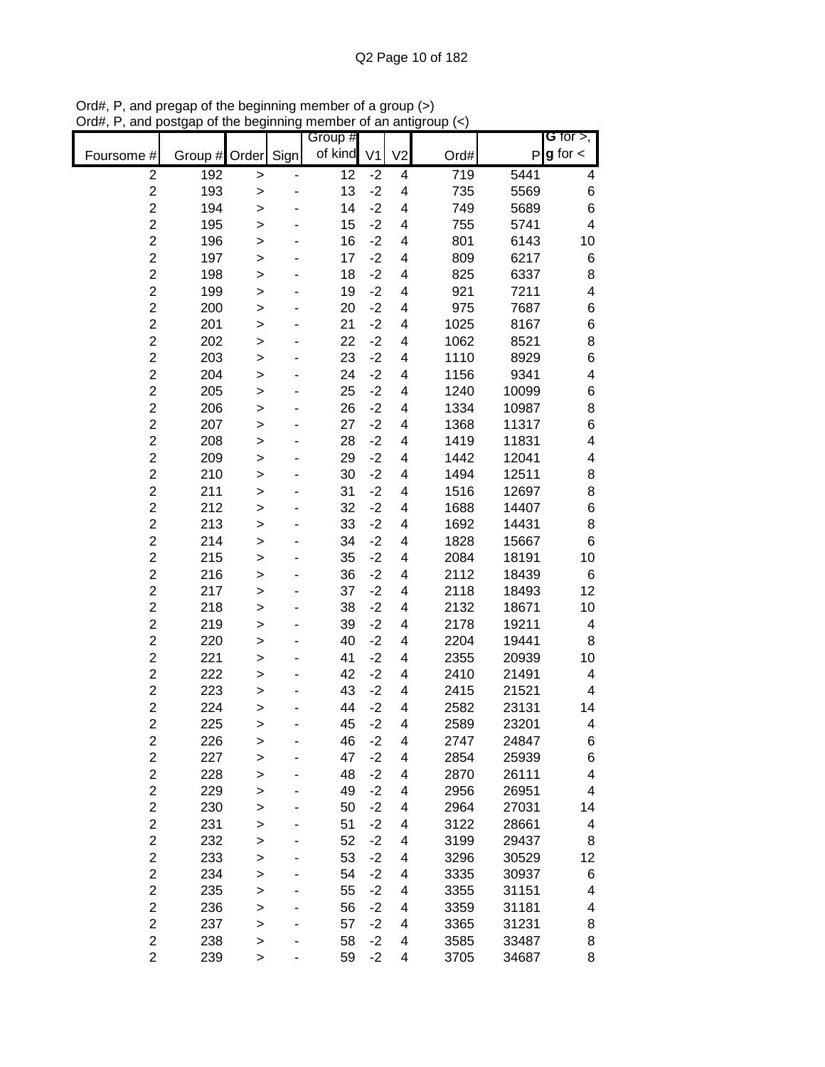|                         |               |              |      | Group # |                |                |      |       | G for $>$ ,              |
|-------------------------|---------------|--------------|------|---------|----------------|----------------|------|-------|--------------------------|
| Foursome #              | Group # Order |              | Sign | of kind | V <sub>1</sub> | V <sub>2</sub> | Ord# | P     | $g$ for $\lt$            |
| $\overline{c}$          | 192           | >            |      | 12      | $-2$           | 4              | 719  | 5441  | 4                        |
| $\overline{c}$          | 193           | >            |      | 13      | $-2$           | 4              | 735  | 5569  | $\,$ 6 $\,$              |
| $\overline{c}$          | 194           | >            |      | 14      | $-2$           | 4              | 749  | 5689  | $\,6$                    |
| $\overline{c}$          | 195           | $\geq$       |      | 15      | $-2$           | 4              | 755  | 5741  | $\overline{\mathcal{A}}$ |
| $\overline{c}$          | 196           | $\geq$       |      | 16      | $-2$           | 4              | 801  | 6143  | 10                       |
| $\overline{c}$          | 197           | $\geq$       |      | 17      | $-2$           | 4              | 809  | 6217  | 6                        |
| $\overline{c}$          | 198           | >            |      | 18      | $-2$           | 4              | 825  | 6337  | 8                        |
| $\overline{c}$          | 199           | >            |      | 19      | $-2$           | 4              | 921  | 7211  | 4                        |
| $\overline{c}$          | 200           | >            |      | 20      | $-2$           | 4              | 975  | 7687  | 6                        |
| $\overline{2}$          | 201           | >            |      | 21      | $-2$           | 4              | 1025 | 8167  | $\,$ 6 $\,$              |
| $\overline{c}$          | 202           | >            |      | 22      | $-2$           | 4              | 1062 | 8521  | 8                        |
| $\overline{2}$          | 203           | $\geq$       |      | 23      | $-2$           | 4              | 1110 | 8929  | $\,$ 6 $\,$              |
| $\overline{c}$          | 204           | $\geq$       |      | 24      | $-2$           | 4              | 1156 | 9341  | $\overline{\mathbf{4}}$  |
| $\overline{2}$          | 205           | $\geq$       |      | 25      | $-2$           | 4              | 1240 | 10099 | 6                        |
| $\overline{c}$          | 206           | >            |      | 26      | $-2$           | 4              | 1334 | 10987 | 8                        |
| $\overline{c}$          | 207           | >            |      | 27      | $-2$           | 4              | 1368 | 11317 | 6                        |
| $\overline{c}$          | 208           | >            |      | 28      | $-2$           | 4              | 1419 | 11831 | $\overline{\mathbf{4}}$  |
| $\overline{2}$          | 209           | >            |      | 29      | $-2$           | 4              | 1442 | 12041 | 4                        |
| $\overline{2}$          | 210           | >            |      | 30      | $-2$           | 4              | 1494 | 12511 | 8                        |
| $\overline{c}$          | 211           | >            |      | 31      | $-2$           | 4              | 1516 | 12697 | 8                        |
| $\overline{c}$          | 212           | >            |      | 32      | $-2$           | 4              | 1688 | 14407 | 6                        |
| $\overline{c}$          | 213           | >            |      | 33      | $-2$           | 4              | 1692 | 14431 | 8                        |
| $\overline{c}$          | 214           | $\geq$       |      | 34      | $-2$           | 4              | 1828 | 15667 | $\,6$                    |
| $\overline{c}$          | 215           | >            |      | 35      | $-2$           | 4              | 2084 | 18191 | 10                       |
| $\overline{c}$          | 216           | >            |      | 36      | $-2$           | 4              | 2112 | 18439 | 6                        |
| $\overline{c}$          | 217           | >            |      | 37      | $-2$           | 4              | 2118 | 18493 | 12                       |
| $\overline{2}$          | 218           | >            |      | 38      | $-2$           | 4              | 2132 | 18671 | 10                       |
| $\overline{c}$          | 219           | >            |      | 39      | $-2$           | 4              | 2178 | 19211 | 4                        |
| $\overline{c}$          | 220           | $\geq$       |      | 40      | $-2$           | 4              | 2204 | 19441 | 8                        |
| $\overline{c}$          | 221           | >            |      | 41      | $-2$           | 4              | 2355 | 20939 | 10                       |
| $\overline{c}$          | 222           | $\geq$       |      | 42      | $-2$           | 4              | 2410 | 21491 | 4                        |
| $\overline{c}$          | 223           | >            |      | 43      | $-2$           | 4              | 2415 | 21521 | 4                        |
| $\overline{c}$          | 224           | $\geq$       |      | 44      | $-2$           | 4              | 2582 | 23131 | 14                       |
| $\overline{2}$          | 225           | >            |      | 45      | $-2$           | 4              | 2589 | 23201 | 4                        |
| $\overline{c}$          | 226           | >            |      | 46      | $-2$           | 4              | 2747 | 24847 | 6                        |
| $\overline{c}$          | 227           | >            |      | 47      | $-2$           | 4              | 2854 | 25939 | 6                        |
| $\overline{c}$          | 228           | >            |      | 48      | $-2$           | 4              | 2870 | 26111 | 4                        |
| $\overline{c}$          | 229           | >            |      | 49      | $-2$           | 4              | 2956 | 26951 | 4                        |
| $\overline{2}$          | 230           | $\geq$       |      | 50      | $-2$           | 4              | 2964 | 27031 | 14                       |
| $\overline{c}$          | 231           | >            |      | 51      | $-2$           | 4              | 3122 | 28661 | 4                        |
| $\overline{c}$          | 232           | >            |      | 52      | $-2$           | 4              | 3199 | 29437 | 8                        |
| $\overline{2}$          | 233           | >            |      | 53      | $-2$           | 4              | 3296 | 30529 | 12                       |
| $\overline{c}$          | 234           | >            |      | 54      | $-2$           | 4              | 3335 | 30937 | 6                        |
| $\overline{c}$          | 235           | >            |      | 55      | $-2$           | 4              | 3355 | 31151 | 4                        |
| $\overline{c}$          | 236           | >            |      | 56      | $-2$           | 4              | 3359 | 31181 | 4                        |
| $\overline{c}$          | 237           | $\geq$       |      | 57      | $-2$           | 4              | 3365 | 31231 | 8                        |
| $\overline{\mathbf{c}}$ | 238           | >            |      | 58      | $-2$           | 4              | 3585 | 33487 | 8                        |
| $\overline{2}$          | 239           | $\mathbf{I}$ |      | 59      | $-2$           | 4              | 3705 | 34687 | 8                        |

Ord#, P, and pregap of the beginning member of a group (>) Ord#, P, and postgap of the beginning member of an antigroup (<)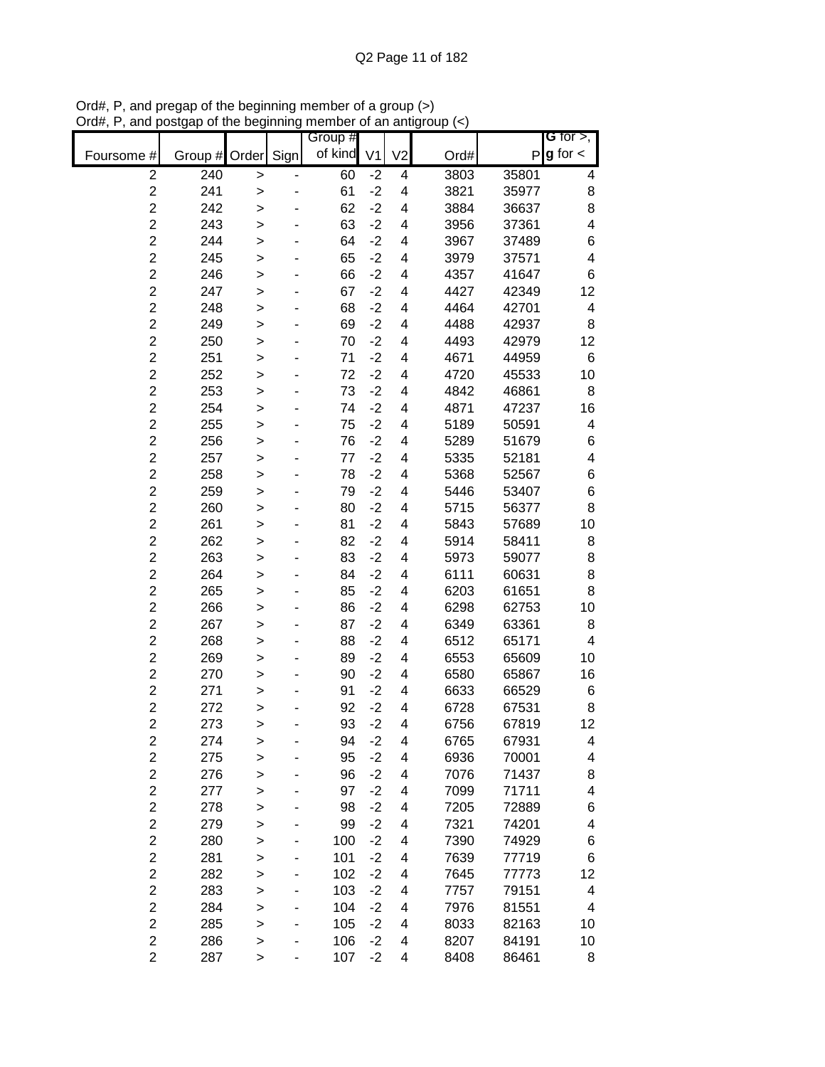|                         |         |              |      | Group # |                |                |      |              | G for $>$ ,             |
|-------------------------|---------|--------------|------|---------|----------------|----------------|------|--------------|-------------------------|
| Foursome #              | Group # | Order        | Sign | of kind | V <sub>1</sub> | V <sub>2</sub> | Ord# | $\mathsf{P}$ | $g$ for $\lt$           |
| $\overline{2}$          | 240     | $\, > \,$    |      | 60      | $-2$           | 4              | 3803 | 35801        | 4                       |
| $\overline{\mathbf{c}}$ | 241     | >            |      | 61      | $-2$           | 4              | 3821 | 35977        | 8                       |
| $\overline{c}$          | 242     | >            |      | 62      | $-2$           | 4              | 3884 | 36637        | 8                       |
| $\overline{c}$          | 243     | >            |      | 63      | $-2$           | 4              | 3956 | 37361        | $\overline{\mathbf{4}}$ |
| $\overline{c}$          | 244     | $\geq$       |      | 64      | $-2$           | 4              | 3967 | 37489        | 6                       |
| $\overline{c}$          | 245     | >            |      | 65      | $-2$           | 4              | 3979 | 37571        | $\overline{\mathbf{4}}$ |
| $\overline{c}$          | 246     | >            |      | 66      | $-2$           | 4              | 4357 | 41647        | 6                       |
| $\overline{c}$          | 247     | >            |      | 67      | $-2$           | 4              | 4427 | 42349        | 12                      |
| $\overline{2}$          | 248     | >            |      | 68      | $-2$           | 4              | 4464 | 42701        | 4                       |
| $\overline{\mathbf{c}}$ | 249     | >            |      | 69      | $-2$           | 4              | 4488 | 42937        | 8                       |
| $\overline{c}$          | 250     | $\mathbf{I}$ |      | 70      | $-2$           | 4              | 4493 | 42979        | 12                      |
| $\overline{c}$          | 251     | >            |      | 71      | $-2$           | 4              | 4671 | 44959        | 6                       |
| $\overline{c}$          | 252     | $\geq$       |      | 72      | $-2$           | 4              | 4720 | 45533        | 10                      |
| $\overline{c}$          | 253     | $\geq$       |      | 73      | $-2$           | 4              | 4842 | 46861        | 8                       |
| $\overline{c}$          | 254     | >            |      | 74      | $-2$           | 4              | 4871 | 47237        | 16                      |
| $\overline{c}$          | 255     | >            |      | 75      | $-2$           | 4              | 5189 | 50591        | 4                       |
| $\overline{2}$          | 256     | >            |      | 76      | $-2$           | 4              | 5289 | 51679        | 6                       |
| $\overline{2}$          | 257     | >            |      | 77      | $-2$           | 4              | 5335 | 52181        | $\overline{\mathbf{4}}$ |
| $\overline{2}$          | 258     | >            |      | 78      | $-2$           | 4              | 5368 | 52567        | 6                       |
| $\overline{c}$          | 259     | >            |      | 79      | $-2$           | 4              | 5446 | 53407        | 6                       |
| $\overline{c}$          | 260     | >            |      | 80      | $-2$           | 4              | 5715 | 56377        | 8                       |
| $\overline{c}$          | 261     | $\geq$       |      | 81      | $-2$           | 4              | 5843 | 57689        | 10                      |
| $\overline{c}$          | 262     | >            |      | 82      | $-2$           | 4              | 5914 | 58411        | 8                       |
| $\overline{c}$          | 263     | >            |      | 83      | $-2$           | 4              | 5973 | 59077        | 8                       |
| $\overline{c}$          | 264     | >            |      | 84      | $-2$           | 4              | 6111 | 60631        | 8                       |
| $\overline{2}$          | 265     | >            |      | 85      | $-2$           | 4              | 6203 | 61651        | 8                       |
| $\overline{\mathbf{c}}$ | 266     | >            |      | 86      | $-2$           | 4              | 6298 | 62753        | 10                      |
| $\overline{c}$          | 267     | $\mathbf{I}$ |      | 87      | $-2$           | 4              | 6349 | 63361        | 8                       |
| $\overline{c}$          | 268     | >            |      | 88      | $-2$           | 4              | 6512 | 65171        | 4                       |
| $\overline{c}$          | 269     | $\geq$       |      | 89      | $-2$           | 4              | 6553 | 65609        | 10                      |
| $\overline{c}$          | 270     | $\geq$       |      | 90      | $-2$           | 4              | 6580 | 65867        | 16                      |
| $\overline{c}$          | 271     | >            |      | 91      | $-2$           | 4              | 6633 | 66529        | 6                       |
| $\overline{c}$          | 272     | >            |      | 92      | $-2$           | 4              | 6728 | 67531        | 8                       |
| $\overline{2}$          | 273     | >            |      | 93      | $-2$           | 4              | 6756 | 67819        | 12                      |
| $\overline{\mathbf{c}}$ | 274     | >            |      | 94      | $-2$           | 4              | 6765 | 67931        | 4                       |
| $\overline{c}$          | 275     | $\mathbf{I}$ |      | 95      | $-2$           | 4              | 6936 | 70001        | 4                       |
| $\overline{\mathbf{c}}$ | 276     | >            |      | 96      | $-2$           | 4              | 7076 | 71437        | 8                       |
| $\overline{c}$          | 277     | $\geq$       |      | 97      | $-2$           | 4              | 7099 | 71711        | 4                       |
| $\overline{\mathbf{c}}$ | 278     | >            |      | 98      | $-2$           | 4              | 7205 | 72889        | 6                       |
| $\overline{c}$          | 279     |              |      | 99      | $-2$           | 4              | 7321 | 74201        | 4                       |
| $\overline{c}$          | 280     | >            |      | 100     | $-2$           | 4              | 7390 | 74929        | 6                       |
| $\overline{c}$          | 281     | >            |      | 101     | $-2$           | 4              | 7639 | 77719        | 6                       |
| $\overline{c}$          | 282     | >            |      | 102     | $-2$           | 4              | 7645 | 77773        | 12                      |
| $\overline{\mathbf{c}}$ | 283     | ><br>$\geq$  |      | 103     | $-2$           | 4              | 7757 | 79151        | 4                       |
| $\overline{c}$          | 284     |              |      | 104     | $-2$           | 4              | 7976 | 81551        | 4                       |
| $\overline{\mathbf{c}}$ | 285     | $\mathbf{I}$ |      | 105     | $-2$           | 4              | 8033 | 82163        | 10                      |
| $\overline{\mathbf{c}}$ | 286     | ><br>$\geq$  |      | 106     | $-2$           | 4              | 8207 | 84191        | 10                      |
| $\overline{c}$          | 287     |              |      | 107     | $-2$           | 4              | 8408 | 86461        | 8                       |
|                         |         | >            |      |         |                |                |      |              |                         |

Ord#, P, and pregap of the beginning member of a group (>) Ord#, P, and postgap of the beginning member of an antigroup (<)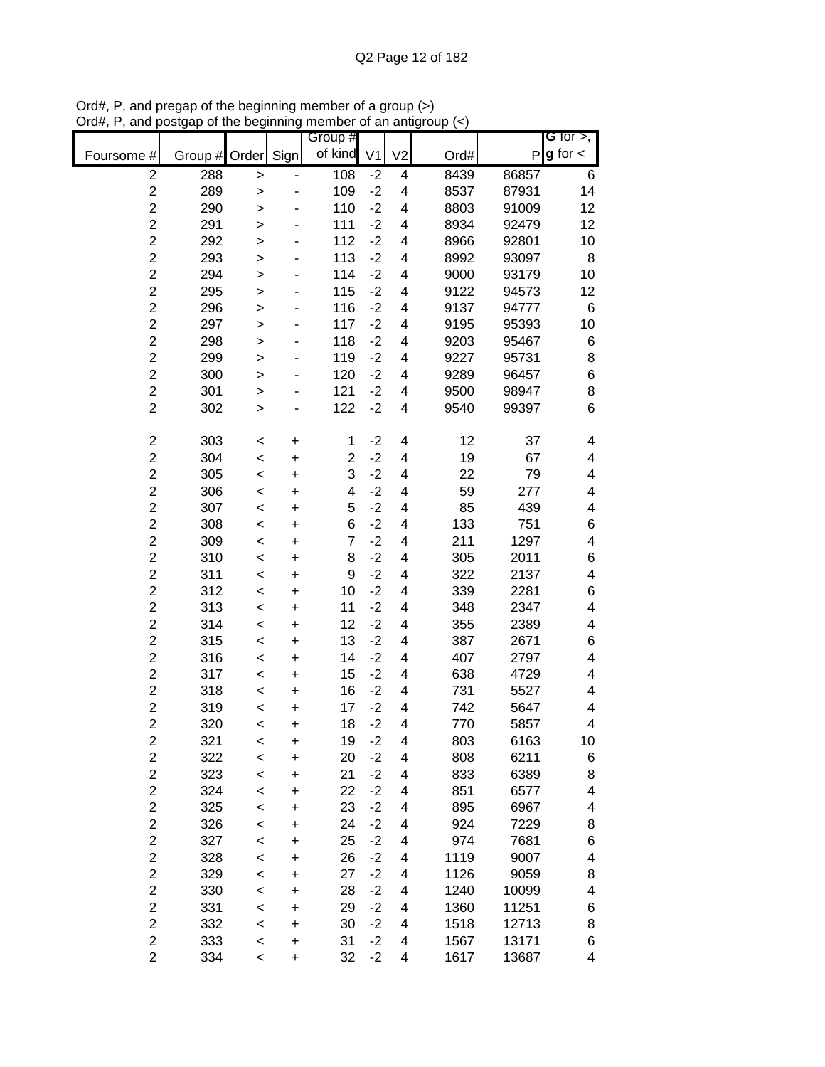|                         |               |         |           | Group #        |                |                |      |              | G for $>$ ,              |
|-------------------------|---------------|---------|-----------|----------------|----------------|----------------|------|--------------|--------------------------|
| Foursome #              | Group # Order |         | Sign      | of kind        | V <sub>1</sub> | V <sub>2</sub> | Ord# | $\mathsf{P}$ | $g$ for $\lt$            |
| $\overline{c}$          | 288           | >       |           | 108            | $-2$           | 4              | 8439 | 86857        | 6                        |
| $\overline{2}$          | 289           | >       |           | 109            | $-2$           | 4              | 8537 | 87931        | 14                       |
| $\overline{c}$          | 290           | >       |           | 110            | $-2$           | 4              | 8803 | 91009        | 12                       |
| $\overline{c}$          | 291           | $\geq$  |           | 111            | $-2$           | 4              | 8934 | 92479        | 12                       |
| $\overline{c}$          | 292           | >       |           | 112            | $-2$           | 4              | 8966 | 92801        | 10                       |
| $\overline{c}$          | 293           | $\geq$  |           | 113            | $-2$           | 4              | 8992 | 93097        | 8                        |
| $\overline{c}$          | 294           | >       |           | 114            | $-2$           | 4              | 9000 | 93179        | 10                       |
| $\overline{c}$          | 295           | >       |           | 115            | $-2$           | 4              | 9122 | 94573        | 12                       |
| $\overline{c}$          | 296           | >       |           | 116            | $-2$           | 4              | 9137 | 94777        | 6                        |
| $\overline{2}$          | 297           | >       |           | 117            | $-2$           | 4              | 9195 | 95393        | 10                       |
| $\overline{c}$          | 298           | >       |           | 118            | $-2$           | 4              | 9203 | 95467        | 6                        |
| $\overline{c}$          | 299           | $\geq$  |           | 119            | $-2$           | 4              | 9227 | 95731        | 8                        |
| $\overline{c}$          | 300           | >       |           | 120            | $-2$           | 4              | 9289 | 96457        | $\,$ 6 $\,$              |
| $\overline{\mathbf{c}}$ | 301           | $\geq$  |           | 121            | $-2$           | 4              | 9500 | 98947        | 8                        |
| $\overline{c}$          | 302           | >       |           | 122            | $-2$           | 4              | 9540 | 99397        | 6                        |
|                         |               |         |           |                |                |                |      |              |                          |
| $\overline{\mathbf{c}}$ | 303           | $\,<$   | +         | 1              | $-2$           | 4              | 12   | 37           | 4                        |
| $\overline{2}$          | 304           | $\,<$   | $\ddot{}$ | $\overline{2}$ | $-2$           | 4              | 19   | 67           | 4                        |
| $\overline{2}$          | 305           | $\,<$   | $\ddot{}$ | 3              | $-2$           | 4              | 22   | 79           | $\overline{\mathcal{A}}$ |
| $\overline{c}$          | 306           | $\,<$   | +         | 4              | $-2$           | 4              | 59   | 277          | 4                        |
| $\overline{2}$          | 307           | $\,<$   | $\ddot{}$ | 5              | $-2$           | 4              | 85   | 439          | 4                        |
| $\overline{c}$          | 308           | $\,<$   | $\ddot{}$ | 6              | $-2$           | 4              | 133  | 751          | 6                        |
| $\overline{c}$          | 309           | $\,<$   | +         | $\overline{7}$ | $-2$           | 4              | 211  | 1297         | $\overline{\mathcal{A}}$ |
| $\overline{c}$          | 310           | $\prec$ | +         | 8              | $-2$           | 4              | 305  | 2011         | 6                        |
| $\overline{c}$          | 311           | $\,<$   | +         | 9              | $-2$           | 4              | 322  | 2137         | $\overline{\mathcal{A}}$ |
| $\overline{c}$          | 312           | $\,<$   | +         | 10             | $-2$           | 4              | 339  | 2281         | 6                        |
| $\overline{c}$          | 313           | $\,<$   | +         | 11             | $-2$           | 4              | 348  | 2347         | $\overline{\mathbf{4}}$  |
| $\overline{c}$          | 314           | $\,<$   | +         | 12             | $-2$           | 4              | 355  | 2389         | 4                        |
| $\overline{c}$          | 315           | $\,<$   | +         | 13             | $-2$           | 4              | 387  | 2671         | 6                        |
| $\overline{c}$          | 316           | $\,<$   | +         | 14             | $-2$           | 4              | 407  | 2797         | 4                        |
| $\overline{2}$          | 317           | $\,<$   | $\ddot{}$ | 15             | $-2$           | 4              | 638  | 4729         | 4                        |
| $\overline{c}$          | 318           | $\prec$ | +         | 16             | $-2$           | 4              | 731  | 5527         | 4                        |
| $\overline{c}$          | 319           | $\prec$ | $\ddot{}$ | 17             | $-2$           | 4              | 742  | 5647         | 4                        |
| $\overline{2}$          | 320           | $\,<$   | $\ddot{}$ | 18             | $-2$           | 4              | 770  | 5857         | 4                        |
| $\overline{c}$          | 321           | $\,<$   | +         | 19             | $-2$           | 4              | 803  | 6163         | 10                       |
| $\overline{c}$          | 322           | $\,<$   | +         | 20             | $-2$           | 4              | 808  | 6211         | 6                        |
| $\overline{2}$          | 323           | $\,<$   | $\ddot{}$ | 21             | $-2$           | 4              | 833  | 6389         | 8                        |
| $\overline{c}$          | 324           | $\prec$ | +         | 22             | $-2$           | 4              | 851  | 6577         | $\overline{\mathbf{4}}$  |
| $\overline{2}$          | 325           | $\,<$   | +         | 23             | $-2$           | 4              | 895  | 6967         | 4                        |
| $\overline{\mathbf{c}}$ | 326           | $\prec$ | +         | 24             | $-2$           | 4              | 924  | 7229         | 8                        |
| $\overline{c}$          | 327           | $\prec$ | +         | 25             | $-2$           | 4              | 974  | 7681         | 6                        |
| $\overline{2}$          | 328           | $\,<$   | +         | 26             | $-2$           | 4              | 1119 | 9007         | 4                        |
| $\overline{c}$          | 329           | $\,<$   | +         | 27             | $-2$           | 4              | 1126 | 9059         | 8                        |
| $\overline{\mathbf{c}}$ | 330           | $\,<$   | +         | 28             | $-2$           | 4              | 1240 | 10099        | 4                        |
| $\overline{c}$          | 331           | $\,<$   | +         | 29             | $-2$           | 4              | 1360 | 11251        | 6                        |
| $\overline{c}$          | 332           | $\,<$   | +         | 30             | $-2$           | 4              | 1518 | 12713        | 8                        |
| $\overline{\mathbf{c}}$ | 333           | $\,<$   | +         | 31             | $-2$           | 4              | 1567 | 13171        | 6                        |
| $\overline{2}$          | 334           | $\,<\,$ | $\ddot{}$ | 32             | $-2$           | 4              | 1617 | 13687        | 4                        |

Ord#, P, and pregap of the beginning member of a group (>) Ord#, P, and postgap of the beginning member of an antigroup (<)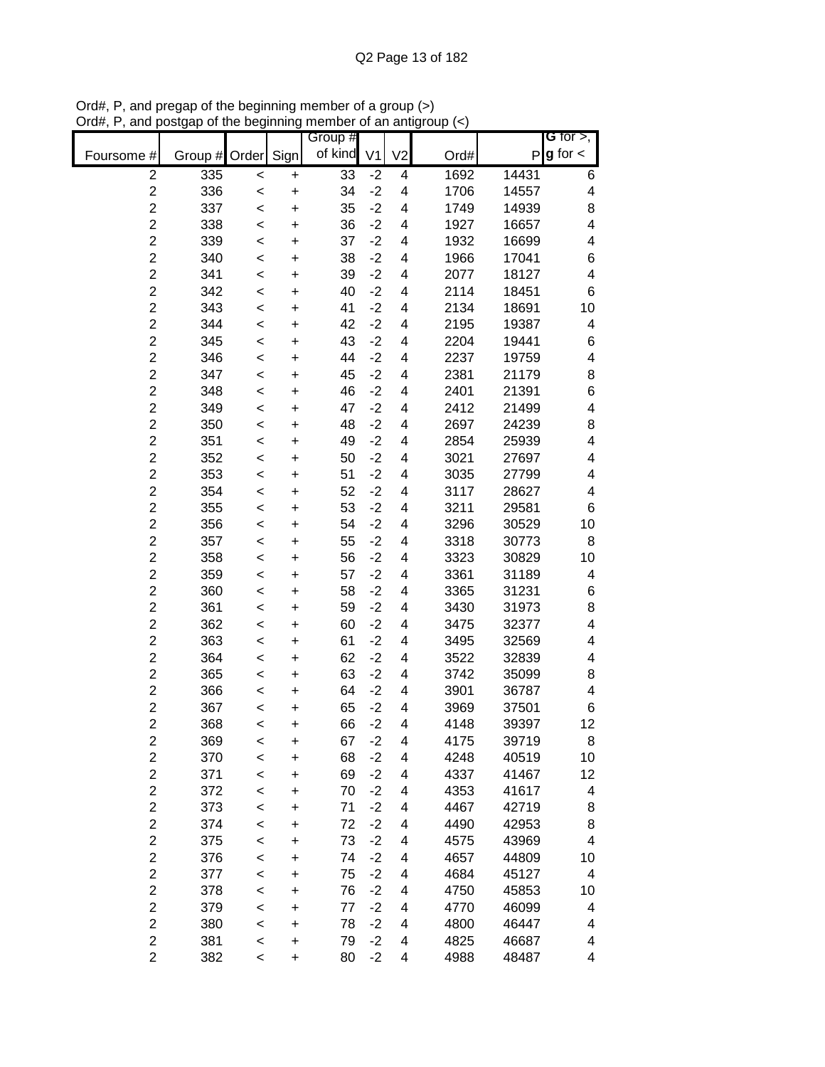|                         |               |         |           | Group # |                |                          |      |       | G for $>$ ,              |
|-------------------------|---------------|---------|-----------|---------|----------------|--------------------------|------|-------|--------------------------|
| Foursome #              | Group # Order |         | Sign      | of kind | V <sub>1</sub> | V <sub>2</sub>           | Ord# | P     | $g$ for $\lt$            |
| $\overline{c}$          | 335           | $\,<$   | +         | 33      | $-2$           | 4                        | 1692 | 14431 | 6                        |
| $\overline{c}$          | 336           | $\,<$   | $\ddot{}$ | 34      | $-2$           | 4                        | 1706 | 14557 | 4                        |
| $\overline{c}$          | 337           | $\prec$ | $\ddot{}$ | 35      | $-2$           | 4                        | 1749 | 14939 | 8                        |
| $\overline{c}$          | 338           | $\prec$ | $\ddot{}$ | 36      | $-2$           | $\overline{\mathbf{4}}$  | 1927 | 16657 | $\overline{\mathcal{A}}$ |
| $\overline{c}$          | 339           | $\prec$ | $\ddot{}$ | 37      | $-2$           | 4                        | 1932 | 16699 | 4                        |
| $\overline{c}$          | 340           | $\prec$ | $\ddot{}$ | 38      | $-2$           | 4                        | 1966 | 17041 | 6                        |
| $\overline{c}$          | 341           | $\prec$ | +         | 39      | $-2$           | 4                        | 2077 | 18127 | $\overline{\mathcal{A}}$ |
| $\overline{c}$          | 342           | $\prec$ | +         | 40      | $-2$           | $\overline{\mathcal{A}}$ | 2114 | 18451 | 6                        |
| $\overline{c}$          | 343           | <       | +         | 41      | $-2$           | 4                        | 2134 | 18691 | 10                       |
| $\overline{c}$          | 344           | <       | +         | 42      | $-2$           | 4                        | 2195 | 19387 | 4                        |
| $\overline{2}$          | 345           | <       | +         | 43      | $-2$           | 4                        | 2204 | 19441 | 6                        |
| $\overline{2}$          | 346           | <       | $\ddot{}$ | 44      | $-2$           | 4                        | 2237 | 19759 | 4                        |
| $\overline{c}$          | 347           | <       | $\ddot{}$ | 45      | $-2$           | 4                        | 2381 | 21179 | 8                        |
| $\overline{2}$          | 348           | <       | $\ddot{}$ | 46      | $-2$           | 4                        | 2401 | 21391 | 6                        |
| $\overline{c}$          | 349           | $\prec$ | $\ddot{}$ | 47      | $-2$           | 4                        | 2412 | 21499 | 4                        |
| $\overline{c}$          | 350           | $\prec$ | $\ddot{}$ | 48      | $-2$           | 4                        | 2697 | 24239 | 8                        |
| $\overline{c}$          | 351           | $\prec$ | $\ddot{}$ | 49      | $-2$           | 4                        | 2854 | 25939 | $\overline{\mathcal{A}}$ |
| $\overline{c}$          | 352           | <       | $\ddot{}$ | 50      | $-2$           | 4                        | 3021 | 27697 | 4                        |
| $\overline{c}$          | 353           | <       | $\ddot{}$ | 51      | $-2$           | 4                        | 3035 | 27799 | 4                        |
| $\overline{c}$          | 354           | $\prec$ | $\ddot{}$ | 52      | $-2$           | 4                        | 3117 | 28627 | 4                        |
| $\overline{c}$          | 355           | $\prec$ | $\ddot{}$ | 53      | $-2$           | $\overline{\mathbf{4}}$  | 3211 | 29581 | 6                        |
| $\overline{c}$          | 356           | $\prec$ | $\ddot{}$ | 54      | $-2$           | 4                        | 3296 | 30529 | 10                       |
| $\overline{c}$          | 357           | $\prec$ | $\ddot{}$ | 55      | $-2$           | 4                        | 3318 | 30773 | 8                        |
| $\overline{c}$          | 358           | $\prec$ | +         | 56      | $-2$           | 4                        | 3323 | 30829 | 10                       |
| $\overline{c}$          | 359           | $\prec$ | +         | 57      | $-2$           | 4                        | 3361 | 31189 | 4                        |
| $\overline{c}$          | 360           | <       | +         | 58      | $-2$           | 4                        | 3365 | 31231 | 6                        |
| $\overline{c}$          | 361           | <       | +         | 59      | $-2$           | 4                        | 3430 | 31973 | 8                        |
| $\overline{2}$          | 362           | <       | +         | 60      | $-2$           | 4                        | 3475 | 32377 | 4                        |
| $\overline{2}$          | 363           | <       | $\ddot{}$ | 61      | $-2$           | 4                        | 3495 | 32569 | 4                        |
| $\overline{c}$          | 364           | <       | +         | 62      | $-2$           | 4                        | 3522 | 32839 | 4                        |
| $\overline{2}$          | 365           | <       | $\ddot{}$ | 63      | $-2$           | 4                        | 3742 | 35099 | 8                        |
| $\overline{c}$          | 366           | $\prec$ | +         | 64      | $-2$           | $\overline{\mathcal{A}}$ | 3901 | 36787 | 4                        |
| $\overline{c}$          | 367           | $\prec$ | $\ddot{}$ | 65      | $-2$           | 4                        | 3969 | 37501 | 6                        |
| $\overline{2}$          | 368           | $\prec$ | $\ddot{}$ | 66      | $-2$           | 4                        | 4148 | 39397 | 12                       |
| $\overline{c}$          | 369           | $\prec$ | +         | 67      | $-2$           | 4                        | 4175 | 39719 | 8                        |
| $\overline{c}$          | 370           | $\prec$ | $\ddot{}$ | 68      | $-2$           | 4                        | 4248 | 40519 | 10                       |
| $\overline{2}$          | 371           | $\prec$ | $\ddot{}$ | 69      | $-2$           | $\overline{\mathcal{A}}$ | 4337 | 41467 | 12                       |
| $\overline{c}$          | 372           | $\prec$ | $\ddot{}$ | 70      | $-2$           | $\overline{\mathbf{4}}$  | 4353 | 41617 | 4                        |
| $\overline{2}$          | 373           | <       | $\ddot{}$ | 71      | $-2$           | 4                        | 4467 | 42719 | 8                        |
| $\overline{c}$          | 374           | $\prec$ | +         | 72      | $-2$           | $\overline{\mathcal{A}}$ | 4490 | 42953 | 8                        |
| $\overline{c}$          | 375           | $\prec$ | +         | 73      | $-2$           | $\overline{\mathbf{4}}$  | 4575 | 43969 | 4                        |
| $\overline{2}$          | 376           | $\prec$ | +         | 74      | $-2$           | $\overline{\mathbf{4}}$  | 4657 | 44809 | 10                       |
| $\overline{c}$          | 377           | $\prec$ | +         | 75      | $-2$           | $\overline{\mathbf{4}}$  | 4684 | 45127 | 4                        |
| $\overline{c}$          | 378           | <       | +         | 76      | $-2$           | 4                        | 4750 | 45853 | 10                       |
| $\overline{c}$          | 379           | $\prec$ | +         | 77      | $-2$           | 4                        | 4770 | 46099 | 4                        |
| $\overline{c}$          | 380           | <       | +         | 78      | $-2$           | $\overline{\mathbf{4}}$  | 4800 | 46447 | 4                        |
| $\overline{\mathbf{c}}$ | 381           | $\prec$ | +         | 79      | $-2$           | $\overline{\mathbf{4}}$  | 4825 | 46687 | 4                        |
| $\overline{2}$          | 382           | $\,<$   | $\ddot{}$ | 80      | $-2$           | 4                        | 4988 | 48487 | 4                        |

Ord#, P, and pregap of the beginning member of a group (>) Ord#, P, and postgap of the beginning member of an antigroup (<)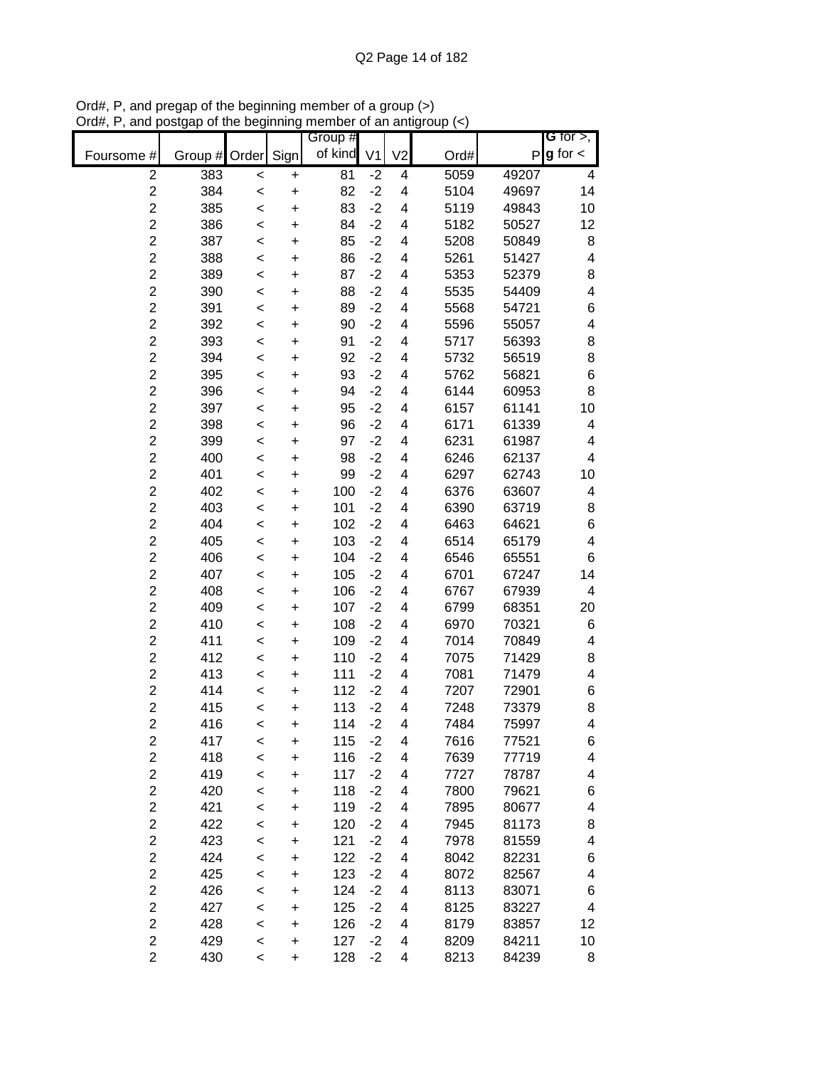|                         |               |         |           | Group # |                |                          |      |       | G for $>$ ,              |
|-------------------------|---------------|---------|-----------|---------|----------------|--------------------------|------|-------|--------------------------|
| Foursome #              | Group # Order |         | Sign      | of kind | V <sub>1</sub> | V <sub>2</sub>           | Ord# | P     | $g$ for $\lt$            |
| $\overline{2}$          | 383           | <       | +         | 81      | $-2$           | 4                        | 5059 | 49207 | 4                        |
| $\overline{c}$          | 384           | $\prec$ | $\ddot{}$ | 82      | $-2$           | $\overline{\mathbf{4}}$  | 5104 | 49697 | 14                       |
| $\overline{c}$          | 385           | $\prec$ | $\ddot{}$ | 83      | $-2$           | $\overline{\mathbf{4}}$  | 5119 | 49843 | 10                       |
| $\overline{c}$          | 386           | $\prec$ | $\ddot{}$ | 84      | $-2$           | 4                        | 5182 | 50527 | 12                       |
| $\overline{c}$          | 387           | $\prec$ | $\ddot{}$ | 85      | $-2$           | 4                        | 5208 | 50849 | 8                        |
| $\overline{c}$          | 388           | $\prec$ | +         | 86      | $-2$           | 4                        | 5261 | 51427 | 4                        |
| $\overline{c}$          | 389           | $\prec$ | +         | 87      | $-2$           | 4                        | 5353 | 52379 | 8                        |
| $\overline{c}$          | 390           | $\prec$ | +         | 88      | $-2$           | 4                        | 5535 | 54409 | $\overline{\mathcal{A}}$ |
| $\overline{c}$          | 391           | <       | +         | 89      | $-2$           | 4                        | 5568 | 54721 | 6                        |
| $\overline{c}$          | 392           | <       | +         | 90      | $-2$           | 4                        | 5596 | 55057 | 4                        |
| $\overline{2}$          | 393           | $\prec$ | $\ddot{}$ | 91      | $-2$           | 4                        | 5717 | 56393 | 8                        |
| $\overline{c}$          | 394           | $\prec$ | $\ddot{}$ | 92      | $-2$           | 4                        | 5732 | 56519 | 8                        |
| $\overline{2}$          | 395           | $\prec$ | $\ddot{}$ | 93      | $-2$           | 4                        | 5762 | 56821 | 6                        |
| $\overline{c}$          | 396           | $\prec$ | $\ddot{}$ | 94      | $-2$           | 4                        | 6144 | 60953 | 8                        |
| $\overline{c}$          | 397           | $\prec$ | $\ddot{}$ | 95      | $-2$           | 4                        | 6157 | 61141 | 10                       |
| $\overline{c}$          | 398           | $\prec$ | $\ddot{}$ | 96      | $-2$           | 4                        | 6171 | 61339 | 4                        |
| $\overline{c}$          | 399           | <       | $\ddot{}$ | 97      | $-2$           | 4                        | 6231 | 61987 | 4                        |
| $\overline{c}$          | 400           | $\prec$ | $\ddot{}$ | 98      | $-2$           | 4                        | 6246 | 62137 | 4                        |
| $\overline{c}$          | 401           | $\prec$ | $\ddot{}$ | 99      | $-2$           | 4                        | 6297 | 62743 | 10                       |
| $\overline{c}$          | 402           | $\prec$ | $\ddot{}$ | 100     | $-2$           | $\overline{\mathbf{4}}$  | 6376 | 63607 | 4                        |
| $\overline{c}$          | 403           | $\prec$ | $\ddot{}$ | 101     | $-2$           | 4                        | 6390 | 63719 | 8                        |
| $\overline{c}$          | 404           | $\prec$ | $\ddot{}$ | 102     | $-2$           | 4                        | 6463 | 64621 | 6                        |
| $\overline{c}$          | 405           | $\prec$ | +         | 103     | $-2$           | 4                        | 6514 | 65179 | $\overline{\mathcal{A}}$ |
| $\overline{c}$          | 406           | $\prec$ | +         | 104     | $-2$           | 4                        | 6546 | 65551 | 6                        |
| $\overline{c}$          | 407           | $\prec$ | +         | 105     | $-2$           | 4                        | 6701 | 67247 | 14                       |
| $\overline{2}$          | 408           | <       | +         | 106     | $-2$           | 4                        | 6767 | 67939 | 4                        |
| $\overline{2}$          | 409           | <       | +         | 107     | $-2$           | 4                        | 6799 | 68351 | 20                       |
| $\overline{2}$          | 410           | $\prec$ | $\ddot{}$ | 108     | $-2$           | 4                        | 6970 | 70321 | 6                        |
| $\overline{c}$          | 411           | <       | $\ddot{}$ | 109     | $-2$           | 4                        | 7014 | 70849 | 4                        |
| $\overline{2}$          | 412           | $\prec$ | $\ddot{}$ | 110     | $-2$           | 4                        | 7075 | 71429 | 8                        |
| $\overline{c}$          | 413           | $\prec$ | $\ddot{}$ | 111     | $-2$           | 4                        | 7081 | 71479 | 4                        |
| $\overline{c}$          | 414           | $\prec$ | $\ddot{}$ | 112     | $-2$           | $\overline{\mathcal{A}}$ | 7207 | 72901 | 6                        |
| $\overline{c}$          | 415           | $\prec$ | $\ddot{}$ | 113     | $-2$           | 4                        | 7248 | 73379 | 8                        |
| $\overline{2}$          | 416           | <       | $\ddot{}$ | 114     | $-2$           | 4                        | 7484 | 75997 | 4                        |
| $\overline{\mathbf{c}}$ | 417           | $\,<$   | +         | 115     | $-2$           | $\overline{\mathbf{4}}$  | 7616 | 77521 | 6                        |
| $\overline{c}$          | 418           | $\prec$ | $\ddot{}$ | 116     | $-2$           | $\overline{\mathbf{4}}$  | 7639 | 77719 | 4                        |
| $\overline{c}$          | 419           | $\prec$ | $\ddot{}$ | 117     | $-2$           | $\overline{\mathbf{4}}$  | 7727 | 78787 | 4                        |
| $\overline{2}$          | 420           | $\prec$ | $\ddot{}$ | 118     | $-2$           | $\overline{\mathcal{A}}$ | 7800 | 79621 | 6                        |
| $\overline{c}$          | 421           | $\prec$ | +         | 119     | $-2$           | $\overline{\mathcal{A}}$ | 7895 | 80677 | 4                        |
| $\overline{c}$          | 422           | $\prec$ | +         | 120     | $-2$           | $\overline{\mathcal{A}}$ | 7945 | 81173 | 8                        |
| $\overline{2}$          | 423           | $\prec$ | +         | 121     | $-2$           | 4                        | 7978 | 81559 | 4                        |
| $\overline{2}$          | 424           | $\prec$ | +         | 122     | $-2$           | 4                        | 8042 | 82231 | 6                        |
| $\overline{c}$          | 425           | $\prec$ | +         | 123     | $-2$           | $\overline{\mathcal{A}}$ | 8072 | 82567 | 4                        |
| $\overline{c}$          | 426           | $\prec$ | +         | 124     | $-2$           | 4                        | 8113 | 83071 | 6                        |
| $\overline{c}$          | 427           | <       | +         | 125     | $-2$           | 4                        | 8125 | 83227 | 4                        |
| $\overline{\mathbf{c}}$ | 428           | $\,<$   | +         | 126     | $-2$           | 4                        | 8179 | 83857 | 12                       |
| $\overline{c}$          | 429           | $\,<$   | $\ddot{}$ | 127     | $-2$           | 4                        | 8209 | 84211 | 10                       |
| $\overline{c}$          | 430           | $\,<\,$ | +         | 128     | $-2$           | 4                        | 8213 | 84239 | 8                        |

Ord#, P, and pregap of the beginning member of a group (>) Ord#, P, and postgap of the beginning member of an antigroup (<)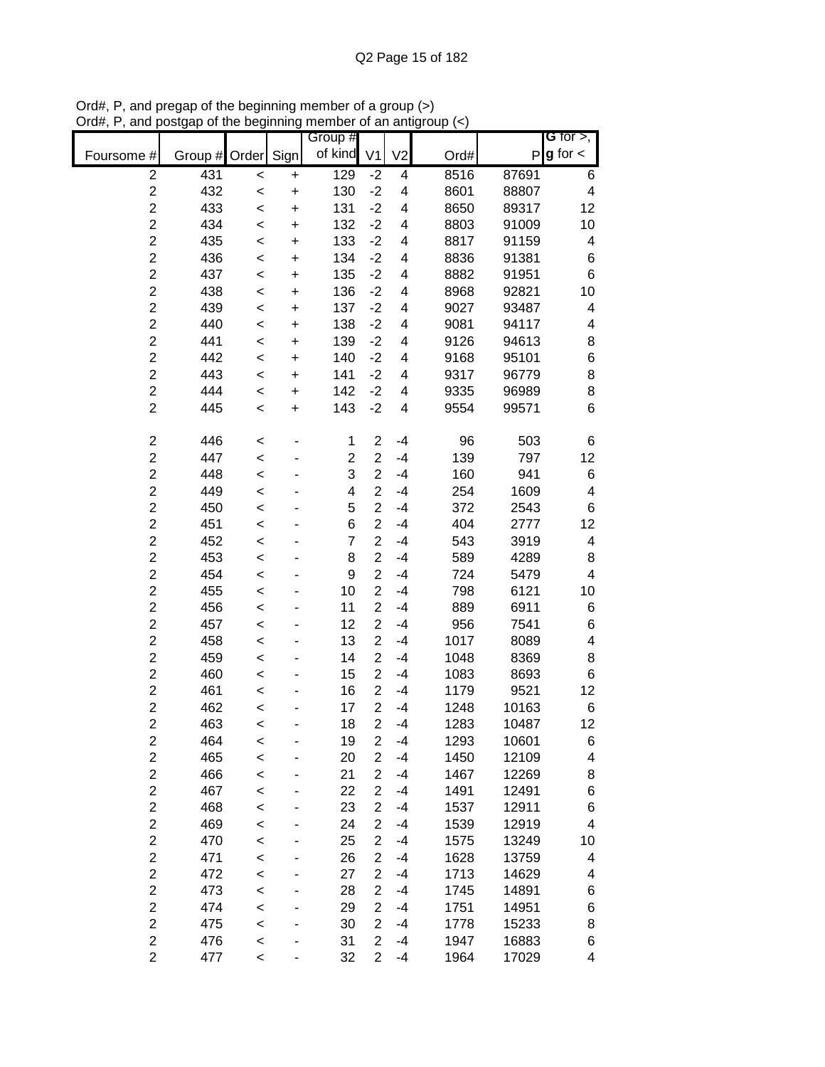|                         |         |         |           | Group #                 |                         |                          |      |       | G for $>$ ,             |
|-------------------------|---------|---------|-----------|-------------------------|-------------------------|--------------------------|------|-------|-------------------------|
| Foursome #              | Group # | Order   | Sign      | of kind                 | V <sub>1</sub>          | V <sub>2</sub>           | Ord# | P     | $g$ for $\lt$           |
| $\overline{2}$          | 431     | $\,<$   | $\ddot{}$ | 129                     | $-2$                    | 4                        | 8516 | 87691 | 6                       |
| $\boldsymbol{2}$        | 432     | $\,<$   | $\ddot{}$ | 130                     | $-2$                    | $\overline{\mathbf{4}}$  | 8601 | 88807 | $\overline{\mathbf{4}}$ |
| $\overline{c}$          | 433     | $\prec$ | $\ddot{}$ | 131                     | $-2$                    | $\overline{\mathbf{4}}$  | 8650 | 89317 | 12                      |
| $\overline{c}$          | 434     | $\prec$ | $\ddot{}$ | 132                     | $-2$                    | $\overline{\mathbf{4}}$  | 8803 | 91009 | 10                      |
| $\overline{c}$          | 435     | $\prec$ | $\ddot{}$ | 133                     | $-2$                    | 4                        | 8817 | 91159 | 4                       |
| $\overline{c}$          | 436     | $\prec$ | $\ddot{}$ | 134                     | $-2$                    | $\overline{\mathbf{4}}$  | 8836 | 91381 | 6                       |
| $\overline{c}$          | 437     | $\prec$ | $\ddot{}$ | 135                     | $-2$                    | $\overline{\mathcal{A}}$ | 8882 | 91951 | $\,6$                   |
| $\overline{c}$          | 438     | $\prec$ | +         | 136                     | $-2$                    | $\overline{\mathcal{A}}$ | 8968 | 92821 | 10                      |
| $\overline{2}$          | 439     | <       | $\ddot{}$ | 137                     | $-2$                    | 4                        | 9027 | 93487 | 4                       |
| $\overline{c}$          | 440     | <       | +         | 138                     | $-2$                    | $\overline{\mathcal{A}}$ | 9081 | 94117 | 4                       |
| $\overline{c}$          | 441     | $\prec$ | $\ddot{}$ | 139                     | $-2$                    | $\overline{\mathcal{A}}$ | 9126 | 94613 | 8                       |
| $\overline{c}$          | 442     | $\prec$ | $\ddot{}$ | 140                     | $-2$                    | $\overline{\mathcal{A}}$ | 9168 | 95101 | $\,$ 6 $\,$             |
| $\overline{c}$          | 443     | <       | $\ddot{}$ | 141                     | $-2$                    | 4                        | 9317 | 96779 | 8                       |
| $\overline{c}$          | 444     | $\prec$ | $\ddot{}$ | 142                     | $-2$                    | $\overline{\mathcal{A}}$ | 9335 | 96989 | 8                       |
| $\overline{2}$          | 445     | $\prec$ | $\ddot{}$ | 143                     | $-2$                    | $\overline{\mathbf{4}}$  | 9554 | 99571 | 6                       |
|                         |         |         |           |                         |                         |                          |      |       |                         |
| $\overline{c}$          | 446     | $\,<$   |           | 1                       | $\overline{2}$          | $-4$                     | 96   | 503   | 6                       |
| $\overline{c}$          | 447     | $\prec$ |           | $\overline{c}$          | $\overline{c}$          | $-4$                     | 139  | 797   | 12                      |
| $\overline{c}$          | 448     | <       |           | 3                       | $\overline{c}$          | $-4$                     | 160  | 941   | $\,$ 6 $\,$             |
| $\overline{c}$          | 449     | $\prec$ |           | $\overline{\mathbf{4}}$ | $\overline{2}$          | $-4$                     | 254  | 1609  | 4                       |
| $\overline{c}$          | 450     | $\prec$ |           | 5                       | $\overline{c}$          | $-4$                     | 372  | 2543  | 6                       |
| $\overline{c}$          | 451     | $\prec$ |           | 6                       | $\overline{c}$          | $-4$                     | 404  | 2777  | 12                      |
| $\overline{c}$          | 452     | $\prec$ |           | $\overline{7}$          | $\overline{c}$          | $-4$                     | 543  | 3919  | 4                       |
| $\overline{c}$          | 453     | $\prec$ |           | 8                       | $\overline{2}$          | $-4$                     | 589  | 4289  | 8                       |
| $\overline{c}$          | 454     | $\prec$ |           | 9                       | $\overline{2}$          | $-4$                     | 724  | 5479  | $\overline{\mathbf{4}}$ |
| $\overline{2}$          | 455     | <       |           | 10                      | $\overline{2}$          | $-4$                     | 798  | 6121  | 10                      |
| $\overline{c}$          | 456     | <       |           | 11                      | $\overline{2}$          | $-4$                     | 889  | 6911  | 6                       |
| $\overline{c}$          | 457     | <       |           | 12                      | $\overline{2}$          | $-4$                     | 956  | 7541  | 6                       |
| $\overline{c}$          | 458     | $\prec$ |           | 13                      | $\overline{2}$          | $-4$                     | 1017 | 8089  | 4                       |
| $\overline{c}$          | 459     | $\prec$ |           | 14                      | $\overline{2}$          | -4                       | 1048 | 8369  | 8                       |
| $\overline{c}$          | 460     | $\prec$ |           | 15                      | $\overline{c}$          | $-4$                     | 1083 | 8693  | 6                       |
| $\overline{c}$          | 461     | $\prec$ |           | 16                      | $\overline{2}$          | $-4$                     | 1179 | 9521  | 12                      |
| $\overline{c}$          | 462     | $\prec$ |           | 17                      | $\overline{2}$          | $-4$                     | 1248 | 10163 | 6                       |
| $\overline{2}$          | 463     | <       |           | 18                      | $\overline{2}$          | $-4$                     | 1283 | 10487 | 12                      |
| $\overline{\mathbf{c}}$ | 464     | <       |           | 19                      | $\overline{\mathbf{c}}$ | $-4$                     | 1293 | 10601 | 6                       |
| $\boldsymbol{2}$        | 465     | $\prec$ |           | 20                      | $\overline{2}$          | $-4$                     | 1450 | 12109 | 4                       |
| $\boldsymbol{2}$        | 466     | $\prec$ |           | 21                      | $\overline{c}$          | $-4$                     | 1467 | 12269 | 8                       |
| $\overline{c}$          | 467     | $\prec$ |           | 22                      | $\overline{c}$          | $-4$                     | 1491 | 12491 | $\,6$                   |
| $\overline{c}$          | 468     | $\prec$ |           | 23                      | $\overline{c}$          | $-4$                     | 1537 | 12911 | 6                       |
| $\overline{2}$          | 469     | $\prec$ |           | 24                      | $\overline{c}$          | $-4$                     | 1539 | 12919 | 4                       |
| $\overline{c}$          | 470     | $\prec$ |           | 25                      | $\overline{2}$          | $-4$                     | 1575 | 13249 | 10                      |
| $\overline{2}$          | 471     | <       |           | 26                      | $\overline{2}$          | $-4$                     | 1628 | 13759 | 4                       |
| $\overline{\mathbf{c}}$ | 472     | <       |           | 27                      | $\overline{2}$          | $-4$                     | 1713 | 14629 | 4                       |
| $\overline{\mathbf{c}}$ | 473     | <       |           | 28                      | $\overline{2}$          | $-4$                     | 1745 | 14891 | 6                       |
| $\overline{c}$          | 474     | <       |           | 29                      | $\overline{2}$          | $-4$                     | 1751 | 14951 | 6                       |
| $\overline{c}$          | 475     | $\prec$ |           | 30                      | $\overline{2}$          | $-4$                     | 1778 | 15233 | 8                       |
| $\overline{c}$          | 476     | <       |           | 31                      | $\overline{2}$          | -4                       | 1947 | 16883 | 6                       |
| $\overline{c}$          | 477     | $\,<$   |           | 32                      | $\overline{2}$          | $-4$                     | 1964 | 17029 | 4                       |

Ord#, P, and pregap of the beginning member of a group (>) Ord#, P, and postgap of the beginning member of an antigroup (<)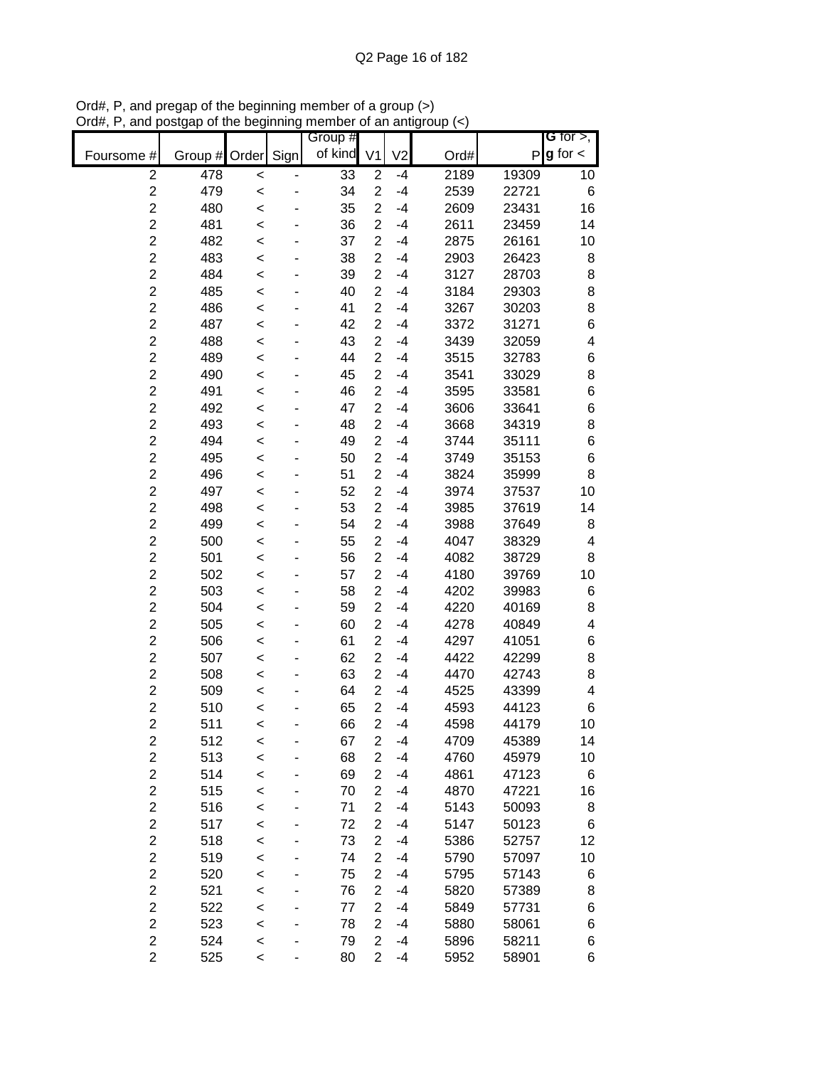|                         |               |         |      | Group # |                |                |      |              | G for $>$ ,   |
|-------------------------|---------------|---------|------|---------|----------------|----------------|------|--------------|---------------|
| Foursome #              | Group # Order |         | Sign | of kind | V <sub>1</sub> | V <sub>2</sub> | Ord# | $\mathsf{P}$ | $g$ for $\lt$ |
| $\overline{c}$          | 478           | $\,<$   |      | 33      | $\overline{c}$ | $-4$           | 2189 | 19309        | 10            |
| $\overline{2}$          | 479           | $\prec$ |      | 34      | $\overline{2}$ | $-4$           | 2539 | 22721        | $\,6$         |
| $\overline{2}$          | 480           | $\prec$ |      | 35      | $\overline{c}$ | $-4$           | 2609 | 23431        | 16            |
| $\overline{c}$          | 481           | $\prec$ |      | 36      | $\overline{c}$ | $-4$           | 2611 | 23459        | 14            |
| $\overline{c}$          | 482           | $\,<$   |      | 37      | $\overline{c}$ | $-4$           | 2875 | 26161        | 10            |
| $\overline{c}$          | 483           | $\prec$ |      | 38      | $\overline{c}$ | $-4$           | 2903 | 26423        | 8             |
| $\overline{c}$          | 484           | $\prec$ |      | 39      | $\overline{c}$ | $-4$           | 3127 | 28703        | 8             |
| $\overline{c}$          | 485           | $\prec$ |      | 40      | $\overline{2}$ | $-4$           | 3184 | 29303        | 8             |
| $\overline{c}$          | 486           | $\prec$ |      | 41      | $\overline{2}$ | $-4$           | 3267 | 30203        | 8             |
| $\overline{2}$          | 487           | <       |      | 42      | $\overline{2}$ | -4             | 3372 | 31271        | $\,$ 6 $\,$   |
| $\overline{c}$          | 488           | <       |      | 43      | $\overline{2}$ | -4             | 3439 | 32059        | 4             |
| $\overline{c}$          | 489           | $\prec$ |      | 44      | $\overline{2}$ | $-4$           | 3515 | 32783        | 6             |
| $\overline{c}$          | 490           | $\prec$ |      | 45      | $\overline{2}$ | $-4$           | 3541 | 33029        | 8             |
| $\overline{c}$          | 491           | <       |      | 46      | $\overline{c}$ | $-4$           | 3595 | 33581        | 6             |
| $\overline{c}$          | 492           | $\prec$ |      | 47      | $\overline{c}$ | $-4$           | 3606 | 33641        | 6             |
| $\overline{c}$          | 493           | $\prec$ |      | 48      | $\overline{2}$ | $-4$           | 3668 | 34319        | 8             |
| $\overline{c}$          | 494           | $\prec$ |      | 49      | $\overline{2}$ | $-4$           | 3744 | 35111        | 6             |
| $\overline{2}$          | 495           | $\prec$ |      | 50      | $\overline{2}$ | $-4$           | 3749 | 35153        | $\,$ 6 $\,$   |
| $\overline{2}$          | 496           | $\prec$ |      | 51      | $\overline{c}$ | $-4$           | 3824 | 35999        | 8             |
| $\overline{2}$          | 497           | $\prec$ |      | 52      | $\overline{c}$ | $-4$           | 3974 | 37537        | 10            |
| $\overline{c}$          | 498           | $\prec$ |      | 53      | $\overline{2}$ | $-4$           | 3985 | 37619        | 14            |
| $\overline{c}$          | 499           | $\prec$ |      | 54      | $\overline{c}$ | $-4$           | 3988 | 37649        | 8             |
| $\overline{c}$          | 500           | $\prec$ |      | 55      | $\overline{2}$ | $-4$           | 4047 | 38329        | 4             |
| $\overline{c}$          | 501           | $\prec$ |      | 56      | $\overline{2}$ | $-4$           | 4082 | 38729        | 8             |
| $\overline{c}$          | 502           | $\prec$ |      | 57      | $\overline{2}$ | $-4$           | 4180 | 39769        | 10            |
| $\overline{c}$          | 503           | $\,<$   |      | 58      | $\overline{2}$ | $-4$           | 4202 | 39983        | 6             |
| $\overline{2}$          | 504           | <       |      | 59      | $\overline{2}$ | $-4$           | 4220 | 40169        | 8             |
| $\overline{c}$          | 505           | <       |      | 60      | $\overline{2}$ | $-4$           | 4278 | 40849        | 4             |
| $\overline{c}$          | 506           | <       |      | 61      | $\overline{2}$ | $-4$           | 4297 | 41051        | 6             |
| $\overline{c}$          | 507           | $\,<$   |      | 62      | $\overline{2}$ | $-4$           | 4422 | 42299        | 8             |
| $\overline{c}$          | 508           | $\,<$   |      | 63      | $\overline{2}$ | $-4$           | 4470 | 42743        | 8             |
| $\overline{c}$          | 509           | $\prec$ |      | 64      | $\overline{2}$ | $-4$           | 4525 | 43399        | 4             |
| $\overline{c}$          | 510           | $\prec$ |      | 65      | $\overline{2}$ | $-4$           | 4593 | 44123        | 6             |
| $\overline{2}$          | 511           | <       |      | 66      | $\overline{2}$ | $-4$           | 4598 | 44179        | 10            |
| $\overline{c}$          | 512           | $\,<$   |      | 67      | 2              | $-4$           | 4709 | 45389        | 14            |
| $\overline{\mathbf{c}}$ | 513           | $\prec$ |      | 68      | $\overline{c}$ | $-4$           | 4760 | 45979        | 10            |
| $\overline{c}$          | 514           | $\prec$ |      | 69      | $\overline{2}$ | $-4$           | 4861 | 47123        | 6             |
| $\overline{c}$          | 515           | $\prec$ |      | 70      | $\overline{c}$ | $-4$           | 4870 | 47221        | 16            |
| $\overline{c}$          | 516           | $\prec$ |      | 71      | $\overline{2}$ | $-4$           | 5143 | 50093        | 8             |
| $\overline{c}$          | 517           | $\prec$ |      | 72      | $\overline{c}$ | $-4$           | 5147 | 50123        | 6             |
| $\overline{c}$          | 518           | $\prec$ |      | 73      | $\overline{2}$ | $-4$           | 5386 | 52757        | 12            |
| $\overline{c}$          | 519           | $\prec$ |      | 74      | $\overline{2}$ | $-4$           | 5790 | 57097        | 10            |
| $\overline{c}$          | 520           | $\prec$ |      | 75      | $\overline{2}$ | $-4$           | 5795 | 57143        | 6             |
| $\overline{c}$          | 521           | $\prec$ |      | 76      | $\overline{2}$ | $-4$           | 5820 | 57389        | 8             |
| $\overline{c}$          | 522           | $\prec$ |      | 77      | $\overline{2}$ | $-4$           | 5849 | 57731        | 6             |
| $\overline{2}$          | 523           | $\prec$ |      | 78      | $\overline{2}$ | $-4$           | 5880 | 58061        | 6             |
| $\overline{\mathbf{c}}$ | 524           | $\,<$   |      | 79      | $\overline{2}$ | $-4$           | 5896 | 58211        | 6             |
| $\overline{2}$          | 525           | $\,<$   |      | 80      | $\overline{2}$ | $-4$           | 5952 | 58901        | 6             |

Ord#, P, and pregap of the beginning member of a group (>) Ord#, P, and postgap of the beginning member of an antigroup (<)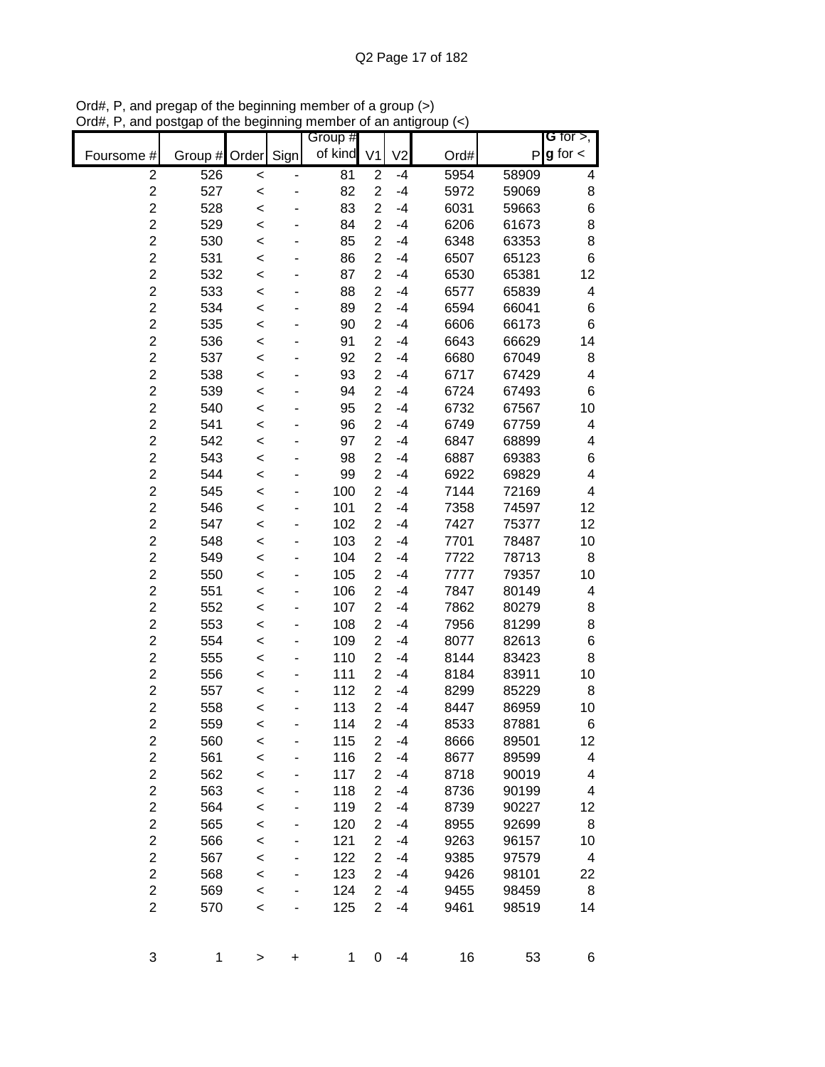|                         |               |              |      | Group # |                |                |      |       | G for $>$ ,   |
|-------------------------|---------------|--------------|------|---------|----------------|----------------|------|-------|---------------|
| Foursome #              | Group # Order |              | Sign | of kind | V <sub>1</sub> | V <sub>2</sub> | Ord# | P     | $g$ for $\lt$ |
| $\overline{c}$          | 526           | $\,<$        |      | 81      | $\overline{2}$ | $-4$           | 5954 | 58909 | 4             |
| $\overline{c}$          | 527           | $\prec$      |      | 82      | $\overline{c}$ | $-4$           | 5972 | 59069 | 8             |
| $\overline{c}$          | 528           | $\prec$      |      | 83      | $\overline{2}$ | $-4$           | 6031 | 59663 | 6             |
| $\overline{c}$          | 529           | $\prec$      |      | 84      | $\overline{2}$ | $-4$           | 6206 | 61673 | 8             |
| $\overline{c}$          | 530           | $\prec$      |      | 85      | $\overline{c}$ | $-4$           | 6348 | 63353 | 8             |
| $\overline{c}$          | 531           | $\prec$      |      | 86      | $\overline{2}$ | $-4$           | 6507 | 65123 | 6             |
| $\overline{c}$          | 532           | $\prec$      |      | 87      | $\overline{c}$ | $-4$           | 6530 | 65381 | 12            |
| $\overline{c}$          | 533           | $\prec$      |      | 88      | $\overline{c}$ | $-4$           | 6577 | 65839 | 4             |
| $\overline{c}$          | 534           | <            |      | 89      | $\overline{2}$ | $-4$           | 6594 | 66041 | 6             |
| $\overline{c}$          | 535           | <            |      | 90      | $\overline{2}$ | $-4$           | 6606 | 66173 | 6             |
| $\overline{2}$          | 536           | <            |      | 91      | $\overline{2}$ | $-4$           | 6643 | 66629 | 14            |
| $\overline{2}$          | 537           | $\prec$      |      | 92      | $\overline{2}$ | $-4$           | 6680 | 67049 | 8             |
| $\overline{c}$          | 538           | $\prec$      |      | 93      | $\overline{2}$ | $-4$           | 6717 | 67429 | 4             |
| $\overline{2}$          | 539           | <            |      | 94      | $\overline{2}$ | $-4$           | 6724 | 67493 | 6             |
| $\overline{c}$          | 540           | $\prec$      |      | 95      | $\overline{2}$ | $-4$           | 6732 | 67567 | 10            |
| $\overline{c}$          | 541           | $\prec$      |      | 96      | $\overline{2}$ | $-4$           | 6749 | 67759 | 4             |
| $\overline{c}$          | 542           | $\prec$      |      | 97      | $\overline{2}$ | $-4$           | 6847 | 68899 | 4             |
| $\overline{c}$          | 543           | $\prec$      |      | 98      | $\overline{2}$ | $-4$           | 6887 | 69383 | 6             |
| $\overline{c}$          | 544           | $\prec$      |      | 99      | $\overline{2}$ | $-4$           | 6922 | 69829 | 4             |
| $\overline{c}$          | 545           | $\prec$      |      | 100     | $\overline{2}$ | $-4$           | 7144 | 72169 | 4             |
| $\overline{c}$          | 546           | $\prec$      |      | 101     | $\overline{2}$ | $-4$           | 7358 | 74597 | 12            |
| $\overline{c}$          | 547           | $\prec$      |      | 102     | $\overline{c}$ | $-4$           | 7427 | 75377 | 12            |
| $\overline{c}$          | 548           | $\prec$      |      | 103     | $\overline{2}$ | $-4$           | 7701 | 78487 | 10            |
| $\overline{c}$          | 549           | $\prec$      |      | 104     | $\overline{2}$ | $-4$           | 7722 | 78713 | 8             |
| $\overline{c}$          | 550           | $\prec$      |      | 105     | $\overline{2}$ | $-4$           | 7777 | 79357 | 10            |
| $\overline{c}$          | 551           | <            |      | 106     | $\overline{2}$ | $-4$           | 7847 | 80149 | 4             |
| $\overline{c}$          | 552           | <            |      | 107     | $\overline{2}$ | $-4$           | 7862 | 80279 | 8             |
| $\overline{2}$          | 553           | <            |      | 108     | $\overline{2}$ | $-4$           | 7956 | 81299 | 8             |
| $\overline{2}$          | 554           | <            |      | 109     | $\overline{2}$ | $-4$           | 8077 | 82613 | 6             |
| $\overline{c}$          | 555           | <            |      | 110     | $\overline{2}$ | $-4$           | 8144 | 83423 | 8             |
| $\overline{2}$          | 556           | <            |      | 111     | $\overline{2}$ | $-4$           | 8184 | 83911 | 10            |
| $\overline{c}$          | 557           | $\prec$      |      | 112     | $\overline{2}$ | $-4$           | 8299 | 85229 | 8             |
| $\overline{c}$          | 558           | $\prec$      |      | 113     | $\overline{2}$ | $-4$           | 8447 | 86959 | 10            |
| $\overline{2}$          | 559           | <            |      | 114     | $\overline{2}$ | $-4$           | 8533 | 87881 | 6             |
| $\overline{2}$          | 560           | $\prec$      |      | 115     | 2              | $-4$           | 8666 | 89501 | 12            |
| $\overline{\mathbf{c}}$ | 561           | $\prec$      |      | 116     | $\overline{2}$ | $-4$           | 8677 | 89599 | 4             |
| $\overline{c}$          | 562           | $\prec$      |      | 117     | $\overline{2}$ | $-4$           | 8718 | 90019 | 4             |
| $\overline{c}$          | 563           | $\prec$      |      | 118     | $\overline{c}$ | $-4$           | 8736 | 90199 | 4             |
| $\overline{2}$          | 564           | $\prec$      |      | 119     | $\overline{2}$ | $-4$           | 8739 | 90227 | 12            |
| $\boldsymbol{2}$        | 565           | $\prec$      |      | 120     | $\overline{c}$ | $-4$           | 8955 | 92699 | 8             |
| $\overline{2}$          | 566           | $\prec$      |      | 121     | $\overline{2}$ | $-4$           | 9263 | 96157 | 10            |
| $\overline{2}$          | 567           | $\prec$      |      | 122     | $\overline{2}$ | $-4$           | 9385 | 97579 | 4             |
| $\overline{2}$          | 568           | $\prec$      |      | 123     | $\overline{2}$ | $-4$           | 9426 | 98101 | 22            |
| $\overline{\mathbf{c}}$ | 569           | $\prec$      |      | 124     | $\overline{2}$ | $-4$           | 9455 | 98459 | 8             |
| $\overline{2}$          | 570           | $\prec$      |      | 125     | $\overline{2}$ | $-4$           | 9461 | 98519 | 14            |
|                         |               |              |      |         |                |                |      |       |               |
|                         |               |              |      |         |                |                |      |       |               |
| 3                       | 1             | $\mathbf{I}$ | +    | 1       | 0              | $-4$           | 16   | 53    | 6             |

Ord#, P, and pregap of the beginning member of a group (>) Ord#, P, and postgap of the beginning member of an antigroup (<)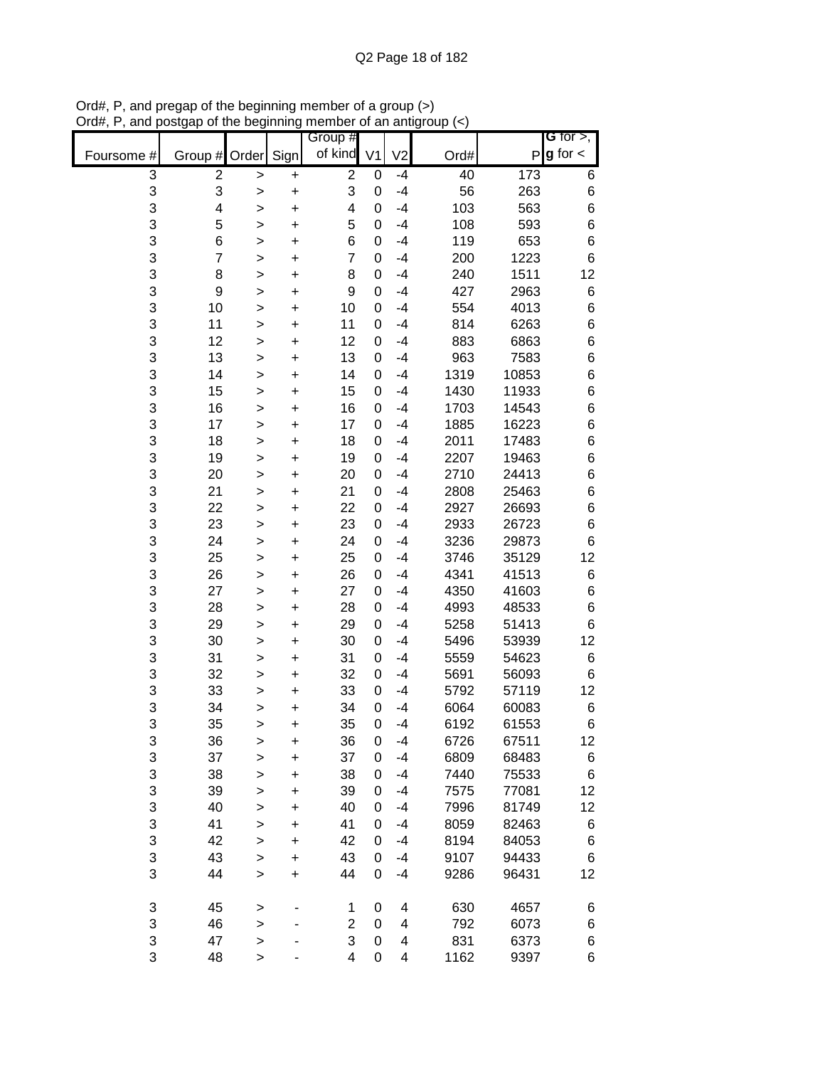| Group #                                                                                            | G for $>$ ,   |
|----------------------------------------------------------------------------------------------------|---------------|
| of kind<br>Sign<br>Order<br>V <sub>1</sub><br>V <sub>2</sub><br>Ord#<br>Foursome #<br>P<br>Group # | $g$ for $\lt$ |
| 3<br>$\mathbf 2$<br>$\overline{2}$<br>173<br>40<br>0<br>$-4$<br>$\,$<br>$\pmb{+}$                  | 6             |
| 3<br>3<br>3<br>56<br>263<br>0<br>$-4$<br>$\ddot{}$<br>>                                            | 6             |
| 3<br>4<br>4<br>103<br>563<br>0<br>$-4$<br>$\ddot{}$<br>>                                           | 6             |
| 3<br>5<br>5<br>108<br>593<br>0<br>$-4$<br>$\ddot{}$<br>>                                           | 6             |
| 3<br>6<br>6<br>119<br>653<br>0<br>$-4$<br>$\ddot{}$<br>$\mathbf{I}$                                | 6             |
| 3<br>$\overline{7}$<br>$\overline{7}$<br>1223<br>$-4$<br>200<br>0<br>$\ddot{}$<br>>                | 6             |
| 3<br>8<br>240<br>1511<br>8<br>0<br>$-4$<br>$\ddot{}$<br>$\geq$                                     | 12            |
| 3<br>9<br>9<br>427<br>2963<br>$-4$<br>0<br>$\ddot{}$<br>>                                          | 6             |
| 3<br>10<br>554<br>4013<br>10<br>$-4$<br>0<br>$\ddot{}$<br>>                                        | 6             |
| 3<br>11<br>814<br>6263<br>11<br>$-4$<br>0<br>$\pmb{+}$<br>>                                        | 6             |
| 3<br>12<br>883<br>12<br>6863<br>0<br>$-4$<br>$\ddot{}$<br>>                                        | 6             |
| 3<br>13<br>963<br>13<br>7583<br>0<br>$-4$<br>+<br>>                                                | 6             |
| 3<br>14<br>10853<br>14<br>$-4$<br>1319<br>0<br>$\ddot{}$<br>$\mathbf{I}$                           | 6             |
| 3<br>15<br>1430<br>11933<br>15<br>0<br>$-4$<br>$\ddot{}$<br>$\mathbf{I}$                           | 6             |
| 3<br>16<br>16<br>0<br>$-4$<br>1703<br>14543<br>$\geq$<br>$\ddot{}$                                 | 6             |
| 3<br>17<br>17<br>$-4$<br>1885<br>16223<br>0<br>$\ddot{}$<br>$\geq$                                 | 6             |
| 3<br>18<br>2011<br>17483<br>18<br>$-4$<br>0<br>$\ddot{}$<br>$\geq$                                 | 6             |
| 3<br>19<br>2207<br>19463<br>19<br>0<br>$-4$<br>$\ddot{}$<br>>                                      | 6             |
| 3<br>20<br>2710<br>24413<br>20<br>0<br>$-4$<br>$\ddot{}$<br>>                                      | 6             |
| 3<br>21<br>2808<br>25463<br>21<br>0<br>$-4$<br>$\ddot{}$<br>>                                      | 6             |
| 3<br>22<br>26693<br>22<br>0<br>$-4$<br>2927<br>$\ddot{}$<br>>                                      | 6             |
| 3<br>23<br>2933<br>26723<br>23<br>0<br>$-4$<br>$\ddot{}$<br>$\mathbf{I}$<br>3<br>$-4$              | 6             |
| 24<br>3236<br>24<br>0<br>29873<br>$\ddot{}$<br>$\,$<br>3<br>35129<br>$-4$                          | 6             |
| 25<br>3746<br>25<br>0<br>$\ddot{}$<br>$\,$<br>3<br>4341<br>26<br>26<br>$-4$<br>41513<br>0          | 12<br>6       |
| $\ddot{}$<br>><br>3<br>4350<br>27<br>27<br>$-4$<br>41603<br>0                                      | 6             |
| $\ddot{}$<br>><br>3<br>28<br>4993<br>28<br>$-4$<br>48533<br>0                                      | 6             |
| $\pmb{+}$<br>><br>3<br>29<br>5258<br>51413<br>29<br>0<br>$-4$<br>+<br>>                            | 6             |
| 3<br>30<br>30<br>5496<br>53939<br>0<br>$-4$<br>+<br>>                                              | 12            |
| 3<br>31<br>31<br>5559<br>54623<br>0<br>$-4$<br>$\ddot{}$<br>$\mathbf{I}$                           | 6             |
| 3<br>32<br>32<br>5691<br>56093<br>0<br>$-4$<br>$\ddot{}$<br>>                                      | 6             |
| 3<br>33<br>33<br>5792<br>57119<br>0<br>$-4$<br>$\ddot{}$<br>$\mathbf{I}$                           | 12            |
| 3<br>34<br>6064<br>60083<br>34<br>0<br>$-4$<br>$\mathbf{I}$<br>+                                   | 6             |
| 3<br>35<br>35<br>$-4$<br>6192<br>61553<br>0<br>$\ddot{}$<br>$\geq$                                 | 6             |
| 3<br>$-4$<br>6726<br>67511<br>36<br>36<br>0<br>+<br>>                                              | 12            |
| 3<br>37<br>37<br>$-4$<br>6809<br>68483<br>0<br>$\ddot{}$<br>>                                      | 6             |
| 3<br>38<br>38<br>7440<br>75533<br>0<br>$-4$<br>$\ddot{}$<br>>                                      | 6             |
| 3<br>39<br>39<br>77081<br>0<br>$-4$<br>7575<br>$\ddot{}$<br>$\mathbf{I}$                           | 12            |
| 3<br>40<br>40<br>7996<br>81749<br>0<br>$-4$<br>$\ddot{}$<br>$\mathbf{I}$                           | 12            |
| 3<br>41<br>41<br>82463<br>0<br>$-4$<br>8059<br>$\ddot{}$<br>$\, > \,$                              | 6             |
| 3<br>42<br>42<br>8194<br>84053<br>0<br>$-4$<br>$\ddot{}$<br>$\geq$                                 | 6             |
| 3<br>43<br>43<br>$-4$<br>9107<br>94433<br>0<br>$\ddot{}$<br>$\,$                                   | 6             |
| 3<br>44<br>44<br>$-4$<br>96431<br>0<br>9286<br>$\ddot{}$<br>$\,$                                   | 12            |
| 3<br>630<br>45<br>4657<br>0<br>4<br>1                                                              |               |
| $\, > \,$<br>3<br>46<br>$\overline{2}$<br>792<br>4<br>6073<br>0                                    | 6<br>6        |
| ><br>3<br>3<br>47<br>831<br>6373<br>0<br>4<br>$\geq$                                               | 6             |
| 3<br>48<br>4<br>0<br>1162<br>9397<br>4<br>$\,$                                                     | 6             |

Ord#, P, and pregap of the beginning member of a group (>) Ord#, P, and postgap of the beginning member of an antigroup (<)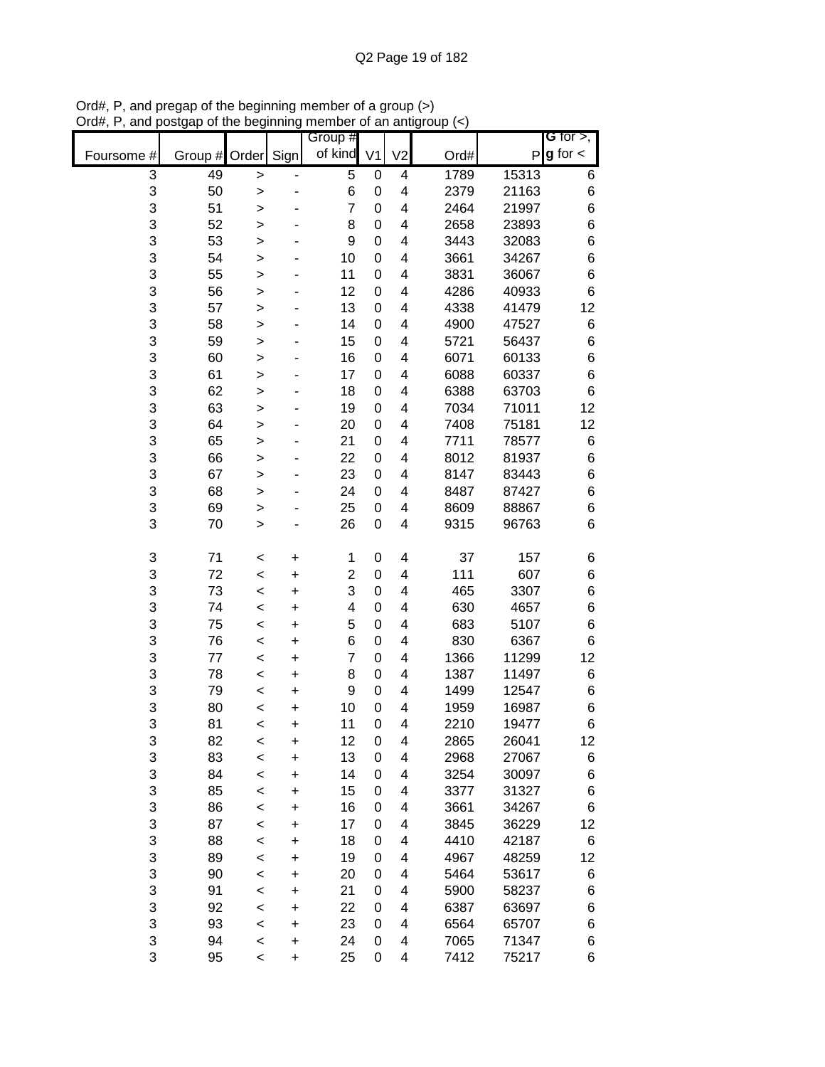|            |         |              |           | Group #                 |                |                         |      |       | G for $>$ ,     |
|------------|---------|--------------|-----------|-------------------------|----------------|-------------------------|------|-------|-----------------|
| Foursome # | Group # | Order        | Sign      | of kind                 | V <sub>1</sub> | V <sub>2</sub>          | Ord# | P     | $g$ for $\lt$   |
| 3          | 49      | $\, >$       |           | 5                       | 0              | $\overline{\mathbf{4}}$ | 1789 | 15313 | 6               |
| 3          | 50      | >            |           | 6                       | 0              | 4                       | 2379 | 21163 | 6               |
| 3          | 51      | >            |           | $\overline{7}$          | 0              | 4                       | 2464 | 21997 | $\,6$           |
| 3          | 52      | >            |           | 8                       | 0              | 4                       | 2658 | 23893 | $\,6$           |
| 3          | 53      | $\mathbf{I}$ |           | 9                       | 0              | 4                       | 3443 | 32083 | 6               |
| 3          | 54      | >            |           | 10                      | 0              | 4                       | 3661 | 34267 | $\,6$           |
| 3          | 55      | $\geq$       |           | 11                      | 0              | 4                       | 3831 | 36067 | $\,6$           |
| 3          | 56      | >            |           | 12                      | 0              | 4                       | 4286 | 40933 | $\,6$           |
| 3          | 57      | >            |           | 13                      | 0              | 4                       | 4338 | 41479 | 12              |
| 3          | 58      | >            |           | 14                      | 0              | 4                       | 4900 | 47527 | 6               |
| 3          | 59      | >            |           | 15                      | 0              | 4                       | 5721 | 56437 | $\,$ 6 $\,$     |
| 3          | 60      | $\mathbf{I}$ |           | 16                      | 0              | 4                       | 6071 | 60133 | 6               |
| 3          | 61      | $\mathbf{I}$ |           | 17                      | 0              | 4                       | 6088 | 60337 | $\,6$           |
| 3          | 62      | >            |           | 18                      | 0              | 4                       | 6388 | 63703 | $6\phantom{1}$  |
| 3          | 63      | $\geq$       |           | 19                      | 0              | 4                       | 7034 | 71011 | 12              |
| 3          | 64      | $\geq$       |           | 20                      | 0              | 4                       | 7408 | 75181 | 12              |
| 3          | 65      | $\geq$       |           | 21                      | 0              | 4                       | 7711 | 78577 | 6               |
| 3          | 66      | >            |           | 22                      | 0              | 4                       | 8012 | 81937 | $\,$ 6 $\,$     |
| 3          | 67      | >            |           | 23                      | 0              | 4                       | 8147 | 83443 | $\,$ 6 $\,$     |
| 3          | 68      | >            |           | 24                      | 0              | 4                       | 8487 | 87427 | 6               |
| 3          | 69      | >            |           | 25                      | 0              | 4                       | 8609 | 88867 | 6               |
| 3          | 70      | $\mathbf{I}$ |           | 26                      | 0              | 4                       | 9315 | 96763 | $6\phantom{1}6$ |
| 3          | 71      | <            | +         | 1                       | 0              | 4                       | 37   | 157   | 6               |
| 3          | 72      | $\prec$      | +         | $\overline{\mathbf{c}}$ | 0              | 4                       | 111  | 607   | $\,$ 6 $\,$     |
| 3          | 73      | $\prec$      | +         | 3                       | 0              | 4                       | 465  | 3307  | 6               |
| 3          | 74      | $\,<$        | +         | 4                       | 0              | 4                       | 630  | 4657  | $\,$ 6 $\,$     |
| 3          | 75      | <            | +         | 5                       | 0              | 4                       | 683  | 5107  | $\,6$           |
| 3          | 76      | $\,<$        | +         | 6                       | 0              | 4                       | 830  | 6367  | 6               |
| 3          | 77      | <            | +         | 7                       | 0              | 4                       | 1366 | 11299 | 12              |
| 3          | 78      | $\,<$        | +         | 8                       | 0              | 4                       | 1387 | 11497 | 6               |
| 3          | 79      | $\,<$        | +         | 9                       | 0              | 4                       | 1499 | 12547 | 6               |
| 3          | 80      | $\prec$      | +         | 10                      | 0              | 4                       | 1959 | 16987 | 6               |
| 3          | 81      | <            | $\ddot{}$ | 11                      | 0              | 4                       | 2210 | 19477 | 6               |
| 3          | 82      | $\,<$        | +         | 12                      | 0              | 4                       | 2865 | 26041 | 12              |
| 3          | 83      | $\prec$      | $\ddot{}$ | 13                      | 0              | 4                       | 2968 | 27067 | 6               |
| 3          | 84      | $\prec$      | +         | 14                      | 0              | 4                       | 3254 | 30097 | 6               |
| 3          | 85      | $\prec$      | $\ddot{}$ | 15                      | 0              | 4                       | 3377 | 31327 | 6               |
| 3          | 86      | $\,<$        | +         | 16                      | 0              | 4                       | 3661 | 34267 | 6               |
| 3          | 87      | $\prec$      | +         | 17                      | 0              | 4                       | 3845 | 36229 | 12              |
| 3          | 88      | $\prec$      | +         | 18                      | 0              | 4                       | 4410 | 42187 | 6               |
| 3          | 89      | $\prec$      | +         | 19                      | 0              | 4                       | 4967 | 48259 | 12              |
| 3          | 90      | $\prec$      | +         | 20                      | 0              | 4                       | 5464 | 53617 | 6               |
| 3          | 91      | $\prec$      | +         | 21                      | 0              | 4                       | 5900 | 58237 | 6               |
| 3          | 92      | <            | +         | 22                      | 0              | 4                       | 6387 | 63697 | 6               |
| 3          | 93      | $\,<$        | +         | 23                      | 0              | 4                       | 6564 | 65707 | 6               |
| 3          | 94      | $\,<$        | +         | 24                      | 0              | 4                       | 7065 | 71347 | 6               |
| 3          | 95      | $\,<$        | +         | 25                      | 0              | 4                       | 7412 | 75217 | 6               |

Ord#, P, and pregap of the beginning member of a group (>) Ord#, P, and postgap of the beginning member of an antigroup (<)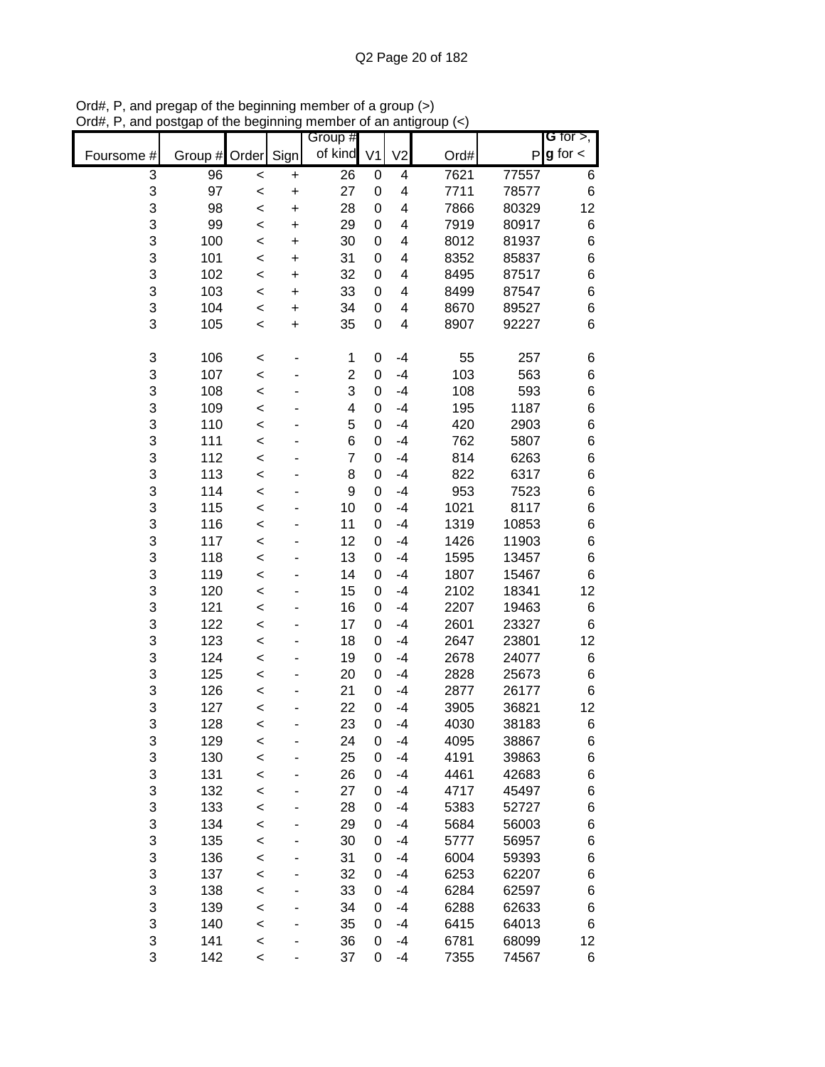|            |           |         |           | Group #        |                |                |      |       | <b>G</b> for $>$ , |
|------------|-----------|---------|-----------|----------------|----------------|----------------|------|-------|--------------------|
| Foursome # | Group $#$ | Order   | Sign      | of kind        | V <sub>1</sub> | V <sub>2</sub> | Ord# | P     | $g$ for $\lt$      |
| 3          | 96        | $\,<$   | $\pmb{+}$ | 26             | 0              | 4              | 7621 | 77557 | 6                  |
| 3          | 97        | $\,<$   | $\ddot{}$ | 27             | 0              | 4              | 7711 | 78577 | 6                  |
| 3          | 98        | $\prec$ | $\ddot{}$ | 28             | 0              | 4              | 7866 | 80329 | 12                 |
| 3          | 99        | $\prec$ | $\ddot{}$ | 29             | 0              | 4              | 7919 | 80917 | 6                  |
| 3          | 100       | $\prec$ | $\ddot{}$ | 30             | 0              | 4              | 8012 | 81937 | 6                  |
| 3          | 101       | $\prec$ | $\ddot{}$ | 31             | 0              | 4              | 8352 | 85837 | 6                  |
| 3          | 102       | $\prec$ | +         | 32             | 0              | 4              | 8495 | 87517 | 6                  |
| 3          | 103       | $\prec$ | $\ddot{}$ | 33             | 0              | 4              | 8499 | 87547 | 6                  |
| 3          | 104       | $\prec$ | +         | 34             | 0              | 4              | 8670 | 89527 | 6                  |
| 3          | 105       | <       | $\ddot{}$ | 35             | 0              | 4              | 8907 | 92227 | 6                  |
| 3          | 106       | $\prec$ |           | 1              | 0              | $-4$           | 55   | 257   | 6                  |
| 3          | 107       | $\prec$ |           | $\overline{2}$ | 0              | $-4$           | 103  | 563   | 6                  |
| 3          | 108       | $\prec$ |           | 3              | 0              | $-4$           | 108  | 593   | 6                  |
| 3          | 109       | $\prec$ |           | 4              | 0              | $-4$           | 195  | 1187  | 6                  |
| 3          | 110       | $\prec$ |           | 5              | 0              | $-4$           | 420  | 2903  | 6                  |
| 3          | 111       | $\prec$ |           | 6              | 0              | $-4$           | 762  | 5807  | 6                  |
| 3          | 112       | <       |           | $\overline{7}$ | 0              | $-4$           | 814  | 6263  | 6                  |
| 3          | 113       | $\prec$ |           | 8              | 0              | $-4$           | 822  | 6317  | 6                  |
| 3          | 114       | <       |           | 9              | 0              | $-4$           | 953  | 7523  | 6                  |
| 3          | 115       | $\prec$ |           | 10             | 0              | $-4$           | 1021 | 8117  | 6                  |
| 3          | 116       | $\prec$ |           | 11             | 0              | $-4$           | 1319 | 10853 | 6                  |
| 3          | 117       | $\prec$ |           | 12             | 0              | $-4$           | 1426 | 11903 | 6                  |
| 3          | 118       | $\prec$ |           | 13             | 0              | $-4$           | 1595 | 13457 | 6                  |
| 3          | 119       | $\prec$ |           | 14             | 0              | $-4$           | 1807 | 15467 | 6                  |
| 3          | 120       | <       |           | 15             | 0              | $-4$           | 2102 | 18341 | 12                 |
| 3          | 121       | <       |           | 16             | 0              | $-4$           | 2207 | 19463 | 6                  |
| 3          | 122       | <       |           | 17             | 0              | $-4$           | 2601 | 23327 | 6                  |
| 3          | 123       | <       |           | 18             | 0              | $-4$           | 2647 | 23801 | 12                 |
| 3          | 124       | <       |           | 19             | 0              | $-4$           | 2678 | 24077 | 6                  |
| 3          | 125       | $\prec$ |           | 20             | 0              | $-4$           | 2828 | 25673 | 6                  |
| 3          | 126       | $\prec$ |           | 21             | 0              | $-4$           | 2877 | 26177 | 6                  |
| 3          | 127       | $\prec$ |           | 22             | 0              | $-4$           | 3905 | 36821 | 12                 |
| 3          | 128       | <       |           | 23             | 0              | $-4$           | 4030 | 38183 | 6                  |
| 3          | 129       | <       |           | 24             | 0              | $-4$           | 4095 | 38867 | 6                  |
| 3          | 130       | $\prec$ |           | 25             | 0              | $-4$           | 4191 | 39863 | 6                  |
| 3          | 131       | $\prec$ |           | 26             | 0              | $-4$           | 4461 | 42683 | 6                  |
| 3          | 132       | $\prec$ |           | 27             | 0              | $-4$           | 4717 | 45497 | 6                  |
| 3          | 133       | $\prec$ |           | 28             | 0              | $-4$           | 5383 | 52727 | 6                  |
| 3          | 134       | $\prec$ |           | 29             | 0              | $-4$           | 5684 | 56003 | 6                  |
| 3          | 135       | $\prec$ |           | 30             | 0              | $-4$           | 5777 | 56957 | 6                  |
| 3          | 136       | $\prec$ |           | 31             | 0              | $-4$           | 6004 | 59393 | 6                  |
| 3          | 137       | $\prec$ |           | 32             | 0              | $-4$           | 6253 | 62207 | 6                  |
| 3          | 138       | $\prec$ |           | 33             | 0              | $-4$           | 6284 | 62597 | 6                  |
| 3          | 139       | <       |           | 34             | 0              | -4             | 6288 | 62633 | 6                  |
| 3          | 140       | <       |           | 35             | 0              | $-4$           | 6415 | 64013 | 6                  |
| 3          | 141       | $\prec$ |           | 36             | 0              | $-4$           | 6781 | 68099 | 12                 |
| 3          | 142       | $\,<$   |           | 37             | 0              | $-4$           | 7355 | 74567 | 6                  |

Ord#, P, and pregap of the beginning member of a group (>) Ord#, P, and postgap of the beginning member of an antigroup (<)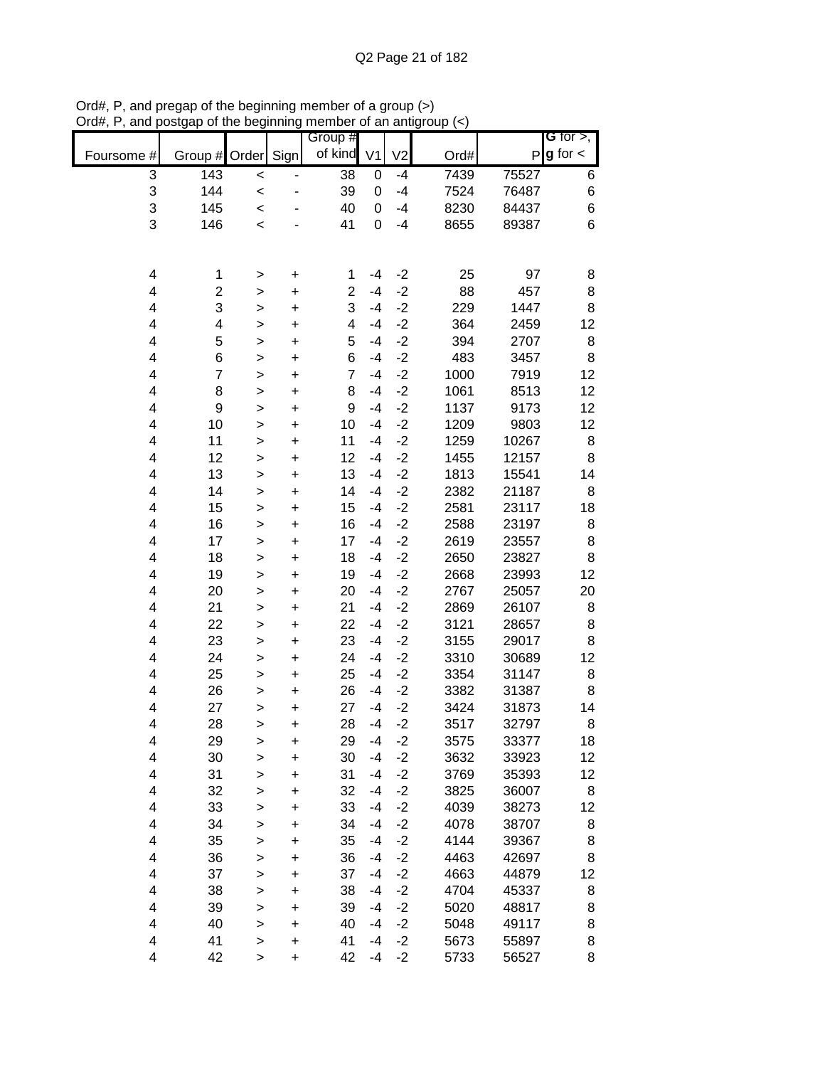|            |                         |              |           | Group #                 |                |                |      |       | G for $>$ ,   |
|------------|-------------------------|--------------|-----------|-------------------------|----------------|----------------|------|-------|---------------|
| Foursome # | Group #                 | Order        | Sign      | of kind                 | V <sub>1</sub> | V <sub>2</sub> | Ord# | P     | $g$ for $\lt$ |
| 3          | 143                     | $\prec$      |           | 38                      | 0              | $-4$           | 7439 | 75527 | 6             |
| 3          | 144                     | $\prec$      |           | 39                      | 0              | $-4$           | 7524 | 76487 | 6             |
| 3          | 145                     | $\prec$      |           | 40                      | 0              | $-4$           | 8230 | 84437 | 6             |
| 3          | 146                     | $\prec$      |           | 41                      | 0              | $-4$           | 8655 | 89387 | 6             |
|            |                         |              |           |                         |                |                |      |       |               |
|            |                         |              |           |                         |                |                |      |       |               |
| 4          | 1                       | $\, > \,$    | $\ddot{}$ | 1                       | -4             | $-2$           | 25   | 97    | 8             |
| 4          | $\overline{\mathbf{c}}$ | $\geq$       | $\ddot{}$ | $\overline{\mathbf{c}}$ | $-4$           | $-2$           | 88   | 457   | 8             |
| 4          | 3                       | $\geq$       | $\ddot{}$ | 3                       | $-4$           | $-2$           | 229  | 1447  | 8             |
| 4          | 4                       | $\geq$       | $\ddot{}$ | 4                       | $-4$           | $-2$           | 364  | 2459  | 12            |
| 4          | 5                       | $\geq$       | $\ddot{}$ | 5                       | $-4$           | $-2$           | 394  | 2707  | 8             |
| 4          | 6                       | $\mathbf{I}$ | $\ddot{}$ | 6                       | $-4$           | $-2$           | 483  | 3457  | 8             |
| 4          | $\overline{7}$          | $\,$         | $\ddot{}$ | $\overline{7}$          | $-4$           | $-2$           | 1000 | 7919  | 12            |
| 4          | 8                       | $\geq$       | $\ddot{}$ | 8                       | $-4$           | $-2$           | 1061 | 8513  | 12            |
| 4          | 9                       | $\geq$       | $\ddot{}$ | 9                       | $-4$           | $-2$           | 1137 | 9173  | 12            |
| 4          | 10                      | $\mathbf{I}$ | $\ddot{}$ | 10                      | $-4$           | $-2$           | 1209 | 9803  | 12            |
| 4          | 11                      | $\mathbf{I}$ | $\ddot{}$ | 11                      | $-4$           | $-2$           | 1259 | 10267 | 8             |
| 4          | 12                      | $\geq$       | $\ddot{}$ | 12                      | $-4$           | $-2$           | 1455 | 12157 | 8             |
| 4          | 13                      | $\geq$       | $\ddot{}$ | 13                      | $-4$           | $-2$           | 1813 | 15541 | 14            |
| 4          | 14                      | $\mathbf{I}$ | $\ddot{}$ | 14                      | $-4$           | $-2$           | 2382 | 21187 | 8             |
| 4          | 15                      | >            | $\ddot{}$ | 15                      | $-4$           | $-2$           | 2581 | 23117 | 18            |
| 4          | 16                      | $\,$         | $\ddot{}$ | 16                      | $-4$           | $-2$           | 2588 | 23197 | 8             |
| 4          | 17                      | $\geq$       | +         | 17                      | -4             | $-2$           | 2619 | 23557 | 8             |
| 4          | 18                      | $\geq$       | $\ddot{}$ | 18                      | $-4$           | $-2$           | 2650 | 23827 | 8             |
| 4          | 19                      | $\geq$       | $\ddot{}$ | 19                      | -4             | $-2$           | 2668 | 23993 | 12            |
| 4          | 20                      | $\geq$       | $\ddot{}$ | 20                      | -4             | $-2$           | 2767 | 25057 | 20            |
| 4          | 21                      | $\geq$       | $\ddot{}$ | 21                      | $-4$           | $-2$           | 2869 | 26107 | 8             |
| 4          | 22                      | $\geq$       | $\ddot{}$ | 22                      | $-4$           | $-2$           | 3121 | 28657 | 8             |
| 4          | 23                      | $\mathbf{I}$ | $\ddot{}$ | 23                      | $-4$           | $-2$           | 3155 | 29017 | 8             |
| 4          | 24                      | $\mathbf{I}$ | $\ddot{}$ | 24                      | $-4$           | $-2$           | 3310 | 30689 | 12            |
| 4          | 25                      | $\geq$       | $\ddot{}$ | 25                      | $-4$           | $-2$           | 3354 | 31147 | 8             |
| 4          | 26                      | $\geq$       | $\ddot{}$ | 26                      | -4             | $-2$           | 3382 | 31387 | 8             |
| 4          | 27                      | $\mathbf{I}$ | $\ddot{}$ | 27                      | $-4$           | $-2$           | 3424 | 31873 | 14            |
| 4          | 28                      | $\geq$       | $\ddot{}$ | 28                      | -4             | $-2$           | 3517 | 32797 | 8             |
| 4          | 29                      | >            | +         | 29                      | -4             | $-2$           | 3575 | 33377 | 18            |
| 4          | 30                      | >            | $\ddot{}$ | 30                      | $-4$           | $-2$           | 3632 | 33923 | 12            |
| 4          | 31                      | >            | +         | 31                      | $-4$           | $-2$           | 3769 | 35393 | 12            |
| 4          | 32                      | >            | +         | 32                      | $-4$           | $-2$           | 3825 | 36007 | 8             |
| 4          | 33                      | $\mathbf{I}$ | +         | 33                      | -4             | $-2$           | 4039 | 38273 | 12            |
| 4          | 34                      | $\geq$       | $\ddot{}$ | 34                      | -4             | $-2$           | 4078 | 38707 | 8             |
| 4          | 35                      | $\mathbf{I}$ | $\ddot{}$ | 35                      | -4             | $-2$           | 4144 | 39367 | 8             |
| 4          | 36                      | $\geq$       | $\ddot{}$ | 36                      | -4             | $-2$           | 4463 | 42697 | 8             |
| 4          | 37                      | $\geq$       | $\ddot{}$ | 37                      | $-4$           | $-2$           | 4663 | 44879 | 12            |
| 4          | 38                      | $\mathbf{I}$ | $\ddot{}$ | 38                      | -4             | $-2$           | 4704 | 45337 | 8             |
| 4          | 39                      | $\mathbf{I}$ | $\ddot{}$ | 39                      | $-4$           | $-2$           | 5020 | 48817 | 8             |
| 4          | 40                      | >            | $\ddot{}$ | 40                      | $-4$           | $-2$           | 5048 | 49117 | 8             |
| 4          | 41                      | $\,$         | $\ddot{}$ | 41                      | $-4$           | $-2$           | 5673 | 55897 | 8             |
| 4          | 42                      | $\,$         | $\ddot{}$ | 42                      | $-4$           | $-2$           | 5733 | 56527 | 8             |

Ord#, P, and pregap of the beginning member of a group (>) Ord#, P, and postgap of the beginning member of an antigroup (<)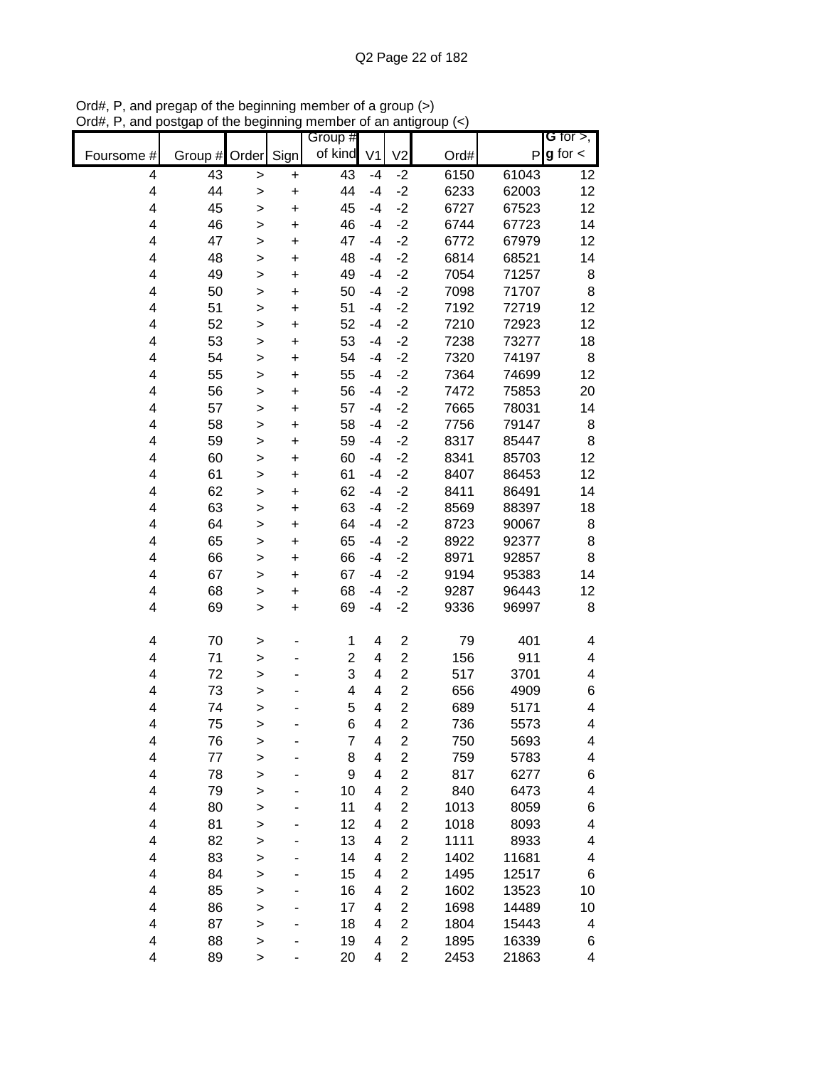| Group #                                                                                            | G for $>$ ,        |
|----------------------------------------------------------------------------------------------------|--------------------|
| of kind<br>Sign<br>Order<br>V <sub>1</sub><br>V <sub>2</sub><br>Ord#<br>Foursome #<br>Group #      | $g$ for $\lt$<br>P |
| 43<br>$-2$<br>6150<br>61043<br>43<br>4<br>$-4$<br>+<br>>                                           | 12                 |
| $-2$<br>44<br>4<br>44<br>$-4$<br>6233<br>62003<br>$\ddot{}$<br>>                                   | 12                 |
| 45<br>$-2$<br>67523<br>4<br>45<br>$-4$<br>6727<br>$\ddot{}$<br>>                                   | 12                 |
| 4<br>46<br>$-2$<br>67723<br>46<br>$-4$<br>6744<br>$\ddot{}$<br>>                                   | 14                 |
| 4<br>47<br>$-2$<br>47<br>$-4$<br>6772<br>67979<br>$\ddot{}$<br>$\geq$                              | 12                 |
| 4<br>48<br>$-2$<br>6814<br>48<br>$-4$<br>68521<br>+<br>>                                           | 14                 |
| $\overline{\mathbf{4}}$<br>49<br>$-2$<br>7054<br>71257<br>49<br>$-4$<br>+<br>>                     | 8                  |
| 50<br>7098<br>71707<br>4<br>50<br>$-4$<br>$-2$<br>+<br>>                                           | 8                  |
| 51<br>$-2$<br>7192<br>72719<br>4<br>51<br>$-4$<br>+<br>>                                           | 12                 |
| 52<br>52<br>$-4$<br>$-2$<br>7210<br>72923<br>4<br>+<br>>                                           | 12                 |
| 53<br>$-2$<br>73277<br>4<br>53<br>$-4$<br>7238<br>$\ddot{}$<br>$\mathbf{I}$                        | 18                 |
| 54<br>$-2$<br>7320<br>4<br>54<br>$-4$<br>74197<br>$\ddot{}$<br>$\mathbf{I}$                        | 8                  |
| 55<br>$-2$<br>4<br>55<br>$-4$<br>7364<br>74699<br>$\geq$<br>$\ddot{}$                              | 12                 |
| 56<br>$-2$<br>4<br>56<br>$-4$<br>7472<br>75853<br>$\mathbf{I}$<br>+                                | 20                 |
| $-2$<br>4<br>7665<br>78031<br>57<br>57<br>$-4$<br>$\ddot{}$<br>$\mathbf{I}$                        | 14                 |
| 4<br>58<br>$-2$<br>7756<br>79147<br>58<br>$-4$<br>$\ddot{}$<br>>                                   | 8                  |
| $-2$<br>4<br>59<br>59<br>$-4$<br>8317<br>85447<br>$\ddot{}$<br>><br>$-2$<br>$-4$                   | 8<br>12            |
| 4<br>60<br>8341<br>85703<br>60<br>$\ddot{}$<br>><br>$-2$<br>61<br>8407<br>86453<br>4<br>61<br>$-4$ | 12                 |
| $\ddot{}$<br>><br>4<br>62<br>$-2$<br>8411<br>86491<br>62<br>$-4$                                   | 14                 |
| $\ddot{}$<br>><br>63<br>4<br>$-2$<br>63<br>$-4$<br>8569<br>88397<br>$\ddot{}$                      | 18                 |
| ><br>4<br>64<br>$-2$<br>64<br>$-4$<br>8723<br>90067<br>$\ddot{}$                                   | 8                  |
| $\mathbf{I}$<br>4<br>65<br>65<br>$-4$<br>$-2$<br>8922<br>92377<br>+<br>>                           | 8                  |
| $\overline{\mathbf{4}}$<br>66<br>8971<br>66<br>$-4$<br>$-2$<br>92857<br>+<br>>                     | 8                  |
| 67<br>9194<br>4<br>67<br>$-4$<br>$-2$<br>95383<br>+<br>>                                           | 14                 |
| 68<br>4<br>68<br>$-4$<br>$-2$<br>9287<br>96443<br>+<br>>                                           | 12                 |
| 69<br>$-2$<br>4<br>69<br>$-4$<br>9336<br>96997<br>$\geq$<br>$\pmb{+}$                              | 8                  |
|                                                                                                    |                    |
| 70<br>$\overline{\mathbf{c}}$<br>79<br>401<br>4<br>1<br>4<br>>                                     | 4                  |
| $\overline{c}$<br>156<br>911<br>4<br>71<br>$\overline{2}$<br>4<br>$\geq$                           | 4                  |
| 3<br>$\overline{c}$<br>4<br>72<br>517<br>3701<br>4<br>$\geq$                                       | 4                  |
| $\overline{c}$<br>73<br>4<br>4<br>656<br>4909<br>4<br>$\mathbf{I}$                                 | 6                  |
| $\overline{c}$<br>4<br>74<br>5<br>689<br>4<br>5171<br>>                                            | 4                  |
| $\overline{c}$<br>6<br>4<br>75<br>4<br>736<br>5573<br>>                                            | 4                  |
| 76<br>$\overline{\mathbf{c}}$<br>5693<br>4<br>7<br>750<br>4<br>>                                   | 4                  |
| $\overline{2}$<br>4<br>77<br>759<br>5783<br>8<br>4<br>$\mathbf{I}$                                 | 4                  |
| 78<br>$\overline{\mathbf{c}}$<br>4<br>9<br>817<br>6277<br>4<br>>                                   | 6                  |
| $\overline{c}$<br>840<br>4<br>79<br>10<br>6473<br>4<br>$\geq$                                      | 4                  |
| $\overline{\mathbf{c}}$<br>4<br>80<br>11<br>1013<br>8059<br>4<br>>                                 | 6                  |
| $\overline{2}$<br>81<br>$\overline{\mathbf{4}}$<br>12<br>1018<br>8093<br>4<br>>                    | 4                  |
| $\overline{c}$<br>4<br>82<br>13<br>1111<br>8933<br>4<br>>                                          | 4                  |
| 83<br>2<br>1402<br>11681<br>4<br>14<br>4<br>>                                                      | 4                  |
| 84<br>2<br>1495<br>12517<br>4<br>15<br>4<br>$\geq$<br>2                                            | 6                  |
| 85<br>1602<br>4<br>16<br>13523<br>4<br>$\geq$<br>86<br>2<br>1698<br>4<br>17<br>14489<br>4          | 10<br>10           |
| $\mathbf{I}$<br>87<br>2<br>1804<br>4<br>18<br>15443<br>4<br>$\mathbf{I}$                           | 4                  |
| $\overline{c}$<br>88<br>16339<br>4<br>19<br>4<br>1895<br>$\mathbf{I}$                              | 6                  |
| $\overline{c}$<br>4<br>89<br>2453<br>20<br>4<br>21863<br>>                                         | 4                  |

Ord#, P, and pregap of the beginning member of a group (>) Ord#, P, and postgap of the beginning member of an antigroup (<)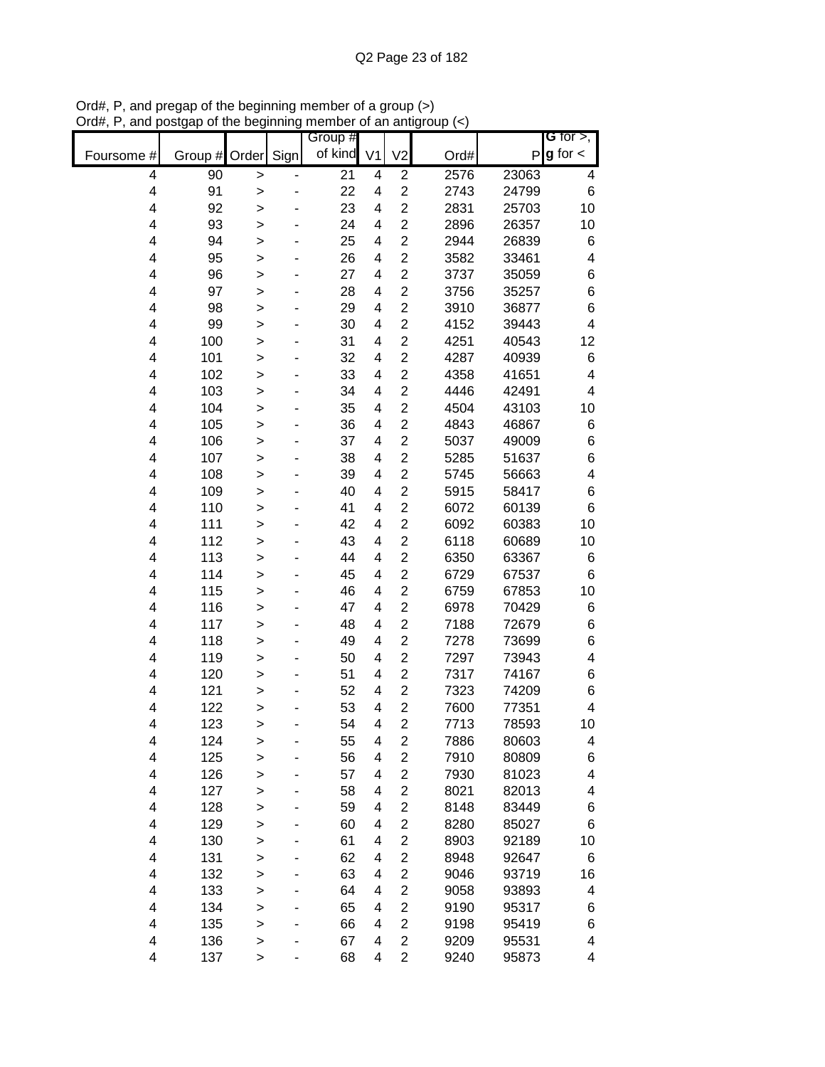|            |               |              |      | Group # |                |                         |      |       | G for $>$ ,             |
|------------|---------------|--------------|------|---------|----------------|-------------------------|------|-------|-------------------------|
| Foursome # | Group # Order |              | Sign | of kind | V <sub>1</sub> | V <sub>2</sub>          | Ord# | P     | $g$ for $\lt$           |
| 4          | 90            | >            |      | 21      | 4              | $\overline{2}$          | 2576 | 23063 | 4                       |
| 4          | 91            | >            |      | 22      | 4              | $\overline{2}$          | 2743 | 24799 | 6                       |
| 4          | 92            | >            |      | 23      | 4              | $\overline{2}$          | 2831 | 25703 | 10                      |
| 4          | 93            | $\geq$       |      | 24      | 4              | $\overline{2}$          | 2896 | 26357 | 10                      |
| 4          | 94            | >            |      | 25      | 4              | $\overline{c}$          | 2944 | 26839 | 6                       |
| 4          | 95            | $\geq$       |      | 26      | 4              | $\overline{c}$          | 3582 | 33461 | 4                       |
| 4          | 96            | >            |      | 27      | 4              | $\overline{c}$          | 3737 | 35059 | 6                       |
| 4          | 97            | >            |      | 28      | 4              | $\overline{c}$          | 3756 | 35257 | 6                       |
| 4          | 98            | >            |      | 29      | 4              | $\overline{c}$          | 3910 | 36877 | 6                       |
| 4          | 99            | >            |      | 30      | 4              | $\overline{c}$          | 4152 | 39443 | 4                       |
| 4          | 100           | >            |      | 31      | 4              | $\overline{c}$          | 4251 | 40543 | 12                      |
| 4          | 101           | $\geq$       |      | 32      | 4              | $\overline{c}$          | 4287 | 40939 | 6                       |
| 4          | 102           | >            |      | 33      | 4              | $\overline{c}$          | 4358 | 41651 | 4                       |
| 4          | 103           | >            |      | 34      | 4              | $\overline{c}$          | 4446 | 42491 | 4                       |
| 4          | 104           | $\geq$       |      | 35      | 4              | $\overline{c}$          | 4504 | 43103 | 10                      |
| 4          | 105           | >            |      | 36      | 4              | $\overline{2}$          | 4843 | 46867 | 6                       |
| 4          | 106           | >            |      | 37      | 4              | $\overline{c}$          | 5037 | 49009 | 6                       |
| 4          | 107           | >            |      | 38      | 4              | $\overline{2}$          | 5285 | 51637 | 6                       |
| 4          | 108           | >            |      | 39      | 4              | $\overline{c}$          | 5745 | 56663 | $\overline{\mathbf{4}}$ |
| 4          | 109           | >            |      | 40      | 4              | $\overline{c}$          | 5915 | 58417 | 6                       |
| 4          | 110           | >            |      | 41      | 4              | $\overline{2}$          | 6072 | 60139 | 6                       |
| 4          | 111           | >            |      | 42      | 4              | $\overline{c}$          | 6092 | 60383 | 10                      |
| 4          | 112           | $\geq$       |      | 43      | 4              | $\overline{c}$          | 6118 | 60689 | 10                      |
| 4          | 113           | >            |      | 44      | 4              | $\overline{c}$          | 6350 | 63367 | 6                       |
| 4          | 114           | >            |      | 45      | 4              | $\overline{2}$          | 6729 | 67537 | 6                       |
| 4          | 115           | >            |      | 46      | 4              | $\overline{2}$          | 6759 | 67853 | 10                      |
| 4          | 116           | >            |      | 47      | 4              | $\overline{2}$          | 6978 | 70429 | 6                       |
| 4          | 117           | >            |      | 48      | 4              | $\overline{2}$          | 7188 | 72679 | 6                       |
| 4          | 118           | $\geq$       |      | 49      | 4              | $\overline{2}$          | 7278 | 73699 | 6                       |
| 4          | 119           | >            |      | 50      | 4              | $\overline{2}$          | 7297 | 73943 | 4                       |
| 4          | 120           | >            |      | 51      | 4              | $\overline{2}$          | 7317 | 74167 | 6                       |
| 4          | 121           | >            |      | 52      | 4              | $\overline{2}$          | 7323 | 74209 | 6                       |
| 4          | 122           | $\geq$       |      | 53      | 4              | $\overline{2}$          | 7600 | 77351 | 4                       |
| 4          | 123           | >            |      | 54      | 4              | $\overline{2}$          | 7713 | 78593 | 10                      |
| 4          | 124           | >            |      | 55      | 4              | 2                       | 7886 | 80603 | 4                       |
| 4          | 125           | >            |      | 56      | 4              | $\overline{2}$          | 7910 | 80809 | 6                       |
| 4          | 126           | >            |      | 57      | 4              | $\overline{2}$          | 7930 | 81023 | 4                       |
| 4          | 127           | >            |      | 58      | 4              | $\overline{\mathbf{c}}$ | 8021 | 82013 | 4                       |
| 4          | 128           | $\geq$       |      | 59      | 4              | $\overline{c}$          | 8148 | 83449 | 6                       |
| 4          | 129           | >            |      | 60      | 4              | $\overline{\mathbf{c}}$ | 8280 | 85027 | 6                       |
| 4          | 130           | >            |      | 61      | 4              | $\overline{2}$          | 8903 | 92189 | 10                      |
| 4          | 131           | >            |      | 62      | 4              | $\overline{c}$          | 8948 | 92647 | 6                       |
| 4          | 132           | >            |      | 63      | 4              | $\overline{c}$          | 9046 | 93719 | 16                      |
| 4          | 133           | >            |      | 64      | 4              | 2                       | 9058 | 93893 | 4                       |
| 4          | 134           | >            |      | 65      | 4              | $\overline{c}$          | 9190 | 95317 | 6                       |
| 4          | 135           | $\mathbf{I}$ |      | 66      | 4              | $\overline{c}$          | 9198 | 95419 | 6                       |
| 4          | 136           | >            |      | 67      | 4              | $\overline{c}$          | 9209 | 95531 | 4                       |
| 4          | 137           | $\mathbf{I}$ |      | 68      | 4              | $\overline{c}$          | 9240 | 95873 | 4                       |

Ord#, P, and pregap of the beginning member of a group (>) Ord#, P, and postgap of the beginning member of an antigroup (<)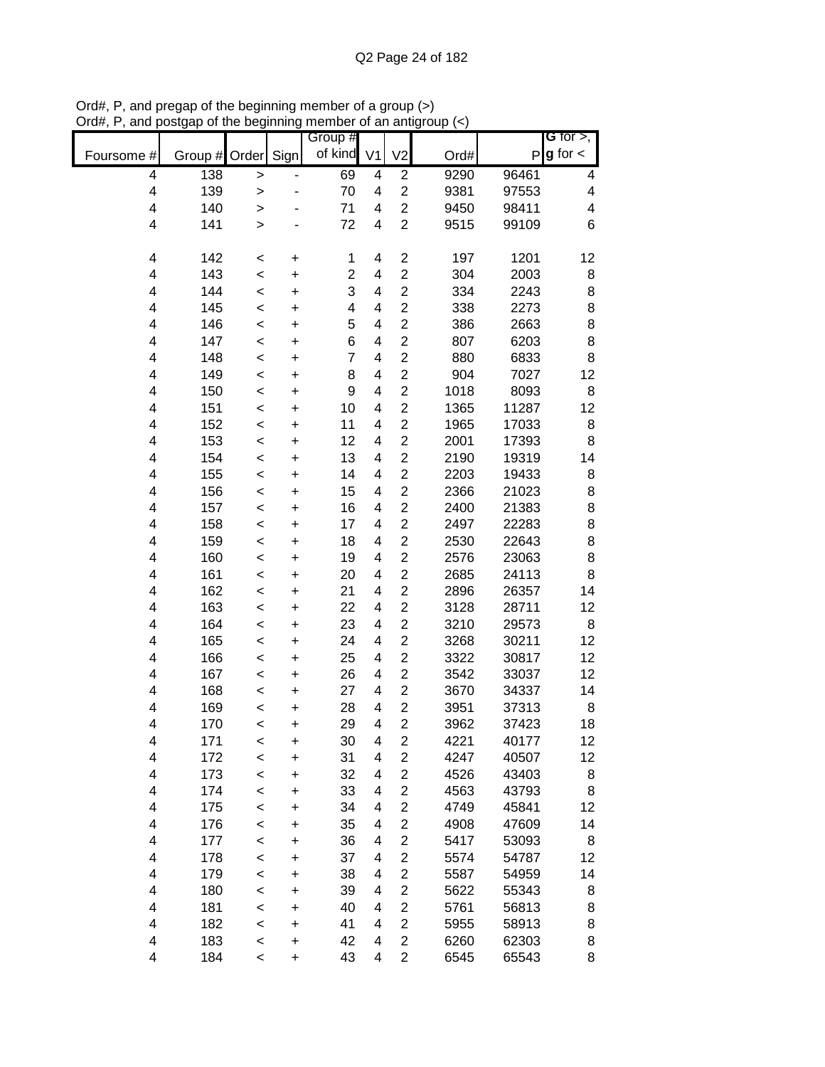|            |         |              |           | Group #        |                |                         |      |       | G for $>$ ,              |
|------------|---------|--------------|-----------|----------------|----------------|-------------------------|------|-------|--------------------------|
| Foursome # | Group # | Order        | Sign      | of kind        | V <sub>1</sub> | V <sub>2</sub>          | Ord# | P     | $g$ for $\lt$            |
| 4          | 138     | $\geq$       |           | 69             | 4              | $\overline{c}$          | 9290 | 96461 | 4                        |
| 4          | 139     | $\geq$       |           | 70             | 4              | $\overline{c}$          | 9381 | 97553 | 4                        |
| 4          | 140     | >            |           | 71             | 4              | $\overline{c}$          | 9450 | 98411 | $\overline{\mathcal{A}}$ |
| 4          | 141     | $\mathbf{I}$ |           | 72             | 4              | $\overline{c}$          | 9515 | 99109 | 6                        |
|            |         |              |           |                |                |                         |      |       |                          |
| 4          | 142     | $\prec$      | $\pmb{+}$ | 1              | 4              | $\overline{c}$          | 197  | 1201  | 12                       |
| 4          | 143     | $\prec$      | +         | $\overline{c}$ | 4              | $\overline{c}$          | 304  | 2003  | 8                        |
| 4          | 144     | $\,<$        | +         | 3              | 4              | $\overline{c}$          | 334  | 2243  | 8                        |
| 4          | 145     | $\,<$        | +         | 4              | 4              | $\overline{c}$          | 338  | 2273  | 8                        |
| 4          | 146     | $\prec$      | $\ddot{}$ | 5              | 4              | $\overline{c}$          | 386  | 2663  | 8                        |
| 4          | 147     | $\prec$      | $\ddot{}$ | 6              | 4              | $\overline{c}$          | 807  | 6203  | 8                        |
| 4          | 148     | $\prec$      | $\ddot{}$ | $\overline{7}$ | 4              | $\overline{c}$          | 880  | 6833  | 8                        |
| 4          | 149     | $\prec$      | $\ddot{}$ | 8              | 4              | $\overline{c}$          | 904  | 7027  | 12                       |
| 4          | 150     | $\prec$      | $\ddot{}$ | 9              | 4              | $\overline{c}$          | 1018 | 8093  | 8                        |
| 4          | 151     | $\prec$      | $\ddot{}$ | 10             | 4              | $\overline{c}$          | 1365 | 11287 | 12                       |
| 4          | 152     | $\prec$      | $\ddot{}$ | 11             | 4              | $\overline{c}$          | 1965 | 17033 | 8                        |
| 4          | 153     | $\prec$      | $\ddot{}$ | 12             | 4              | $\overline{2}$          | 2001 | 17393 | 8                        |
| 4          | 154     | $\prec$      | $\ddot{}$ | 13             | 4              | $\overline{c}$          | 2190 | 19319 | 14                       |
| 4          | 155     | $\prec$      | $\ddot{}$ | 14             | 4              | $\overline{c}$          | 2203 | 19433 | 8                        |
| 4          | 156     | $\prec$      | $\ddot{}$ | 15             | 4              | $\overline{c}$          | 2366 | 21023 | $\bf8$                   |
| 4          | 157     | $\prec$      | $\ddot{}$ | 16             | 4              | $\mathbf 2$             | 2400 | 21383 | 8                        |
| 4          | 158     | $\prec$      | +         | 17             | 4              | $\overline{c}$          | 2497 | 22283 | 8                        |
| 4          | 159     | $\prec$      | +         | 18             | 4              | $\overline{c}$          | 2530 | 22643 | 8                        |
| 4          | 160     | $\prec$      | +         | 19             | 4              | $\overline{2}$          | 2576 | 23063 | 8                        |
| 4          | 161     | $\,<$        | $\ddot{}$ | 20             | 4              | $\overline{c}$          | 2685 | 24113 | 8                        |
| 4          | 162     | $\prec$      | +         | 21             | 4              | $\overline{c}$          | 2896 | 26357 | 14                       |
| 4          | 163     | $\prec$      | $\ddot{}$ | 22             | 4              | $\overline{2}$          | 3128 | 28711 | 12                       |
| 4          | 164     | $\prec$      | $\ddot{}$ | 23             | 4              | $\overline{c}$          | 3210 | 29573 | 8                        |
| 4          | 165     | $\prec$      | $\ddot{}$ | 24             | 4              | $\overline{c}$          | 3268 | 30211 | 12                       |
| 4          | 166     | $\prec$      | $\ddot{}$ | 25             | 4              | $\overline{c}$          | 3322 | 30817 | 12                       |
| 4          | 167     | $\prec$      | $\ddot{}$ | 26             | 4              | $\overline{c}$          | 3542 | 33037 | 12                       |
| 4          | 168     | $\prec$      | $\ddot{}$ | 27             | 4              | $\overline{2}$          | 3670 | 34337 | 14                       |
| 4          | 169     | $\prec$      | $\ddot{}$ | 28             | 4              | $\overline{2}$          | 3951 | 37313 | 8                        |
| 4          | 170     | $\,<$        | $\ddot{}$ | 29             | 4              | $\overline{2}$          | 3962 | 37423 | 18                       |
| 4          | 171     | $\,<$        | +         | 30             | 4              | $\overline{c}$          | 4221 | 40177 | 12                       |
| 4          | 172     | $\prec$      | $\ddot{}$ | 31             | 4              | $\overline{c}$          | 4247 | 40507 | 12                       |
| 4          | 173     | $\prec$      | $\ddot{}$ | 32             | 4              | $\mathbf 2$             | 4526 | 43403 | 8                        |
| 4          | 174     | $\prec$      | +         | 33             | 4              | $\overline{\mathbf{c}}$ | 4563 | 43793 | 8                        |
| 4          | 175     | $\,<$        | +         | 34             | 4              | $\overline{2}$          | 4749 | 45841 | 12                       |
| 4          | 176     | $\prec$      | +         | 35             | 4              | $\overline{c}$          | 4908 | 47609 | 14                       |
| 4          | 177     | $\,<$        | +         | 36             | 4              | $\overline{c}$          | 5417 | 53093 | 8                        |
| 4          | 178     | $\,<$        | +         | 37             | 4              | $\overline{2}$          | 5574 | 54787 | 12                       |
| 4          | 179     | $\,<$        | $\ddot{}$ | 38             | 4              | $\overline{2}$          | 5587 | 54959 | 14                       |
| 4          | 180     | $\,<$        | $\ddot{}$ | 39             | 4              | $\overline{2}$          | 5622 | 55343 | 8                        |
| 4          | 181     | $\,<$        | $\ddot{}$ | 40             | 4              | $\overline{c}$          | 5761 | 56813 | 8                        |
| 4          | 182     | $\prec$      | $\ddot{}$ | 41             | 4              | $\overline{2}$          | 5955 | 58913 | 8                        |
| 4          | 183     | $\prec$      | $\ddot{}$ | 42             | 4              | $\overline{2}$          | 6260 | 62303 | 8                        |
| 4          | 184     | $\,<$        | $\ddot{}$ | 43             | 4              | $\overline{2}$          | 6545 | 65543 | 8                        |

Ord#, P, and pregap of the beginning member of a group (>) Ord#, P, and postgap of the beginning member of an antigroup (<)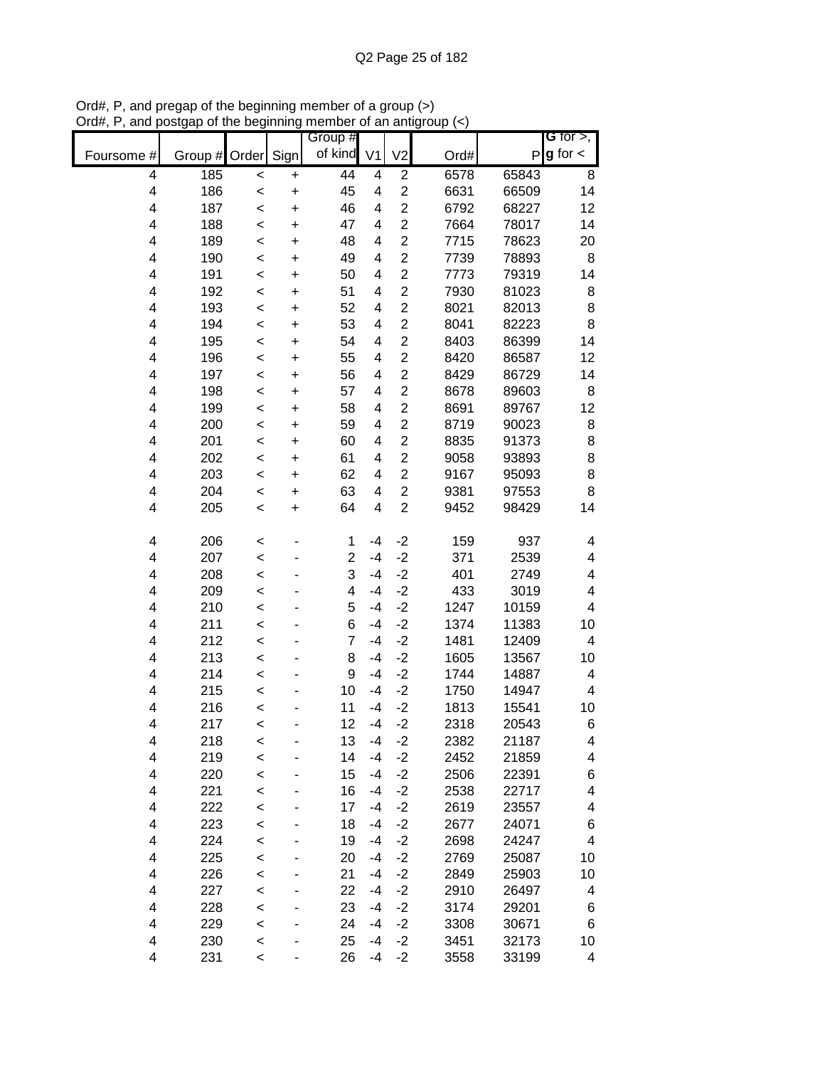|                         |               |         |           | Group #        |      |                |      |              | G for $>$ ,   |
|-------------------------|---------------|---------|-----------|----------------|------|----------------|------|--------------|---------------|
| Foursome #              | Group # Order |         | Sign      | of kind V1     |      | V <sub>2</sub> | Ord# | $\mathsf{P}$ | $g$ for $\lt$ |
| 4                       | 185           | $\prec$ | +         | 44             | 4    | $\overline{c}$ | 6578 | 65843        | 8             |
| 4                       | 186           | $\,<$   | $\ddot{}$ | 45             | 4    | $\overline{2}$ | 6631 | 66509        | 14            |
| $\overline{\mathbf{4}}$ | 187           | $\prec$ | $\ddot{}$ | 46             | 4    | $\overline{2}$ | 6792 | 68227        | 12            |
| 4                       | 188           | $\,<$   | $\ddot{}$ | 47             | 4    | $\overline{2}$ | 7664 | 78017        | 14            |
| 4                       | 189           | $\prec$ | $\ddot{}$ | 48             | 4    | $\overline{c}$ | 7715 | 78623        | 20            |
| 4                       | 190           | $\prec$ | $\ddot{}$ | 49             | 4    | $\overline{c}$ | 7739 | 78893        | 8             |
| $\overline{\mathbf{4}}$ | 191           | $\prec$ | $\ddot{}$ | 50             | 4    | $\overline{c}$ | 7773 | 79319        | 14            |
| $\overline{\mathbf{4}}$ | 192           | $\,<$   | $\ddot{}$ | 51             | 4    | $\overline{c}$ | 7930 | 81023        | 8             |
| 4                       | 193           | $\,<$   | +         | 52             | 4    | $\overline{c}$ | 8021 | 82013        | 8             |
| 4                       | 194           | $\,<$   | $\ddot{}$ | 53             | 4    | $\overline{2}$ | 8041 | 82223        | 8             |
| 4                       | 195           | $\,<$   | +         | 54             | 4    | $\overline{c}$ | 8403 | 86399        | 14            |
| 4                       | 196           | $\,<$   | $\ddot{}$ | 55             | 4    | $\overline{c}$ | 8420 | 86587        | 12            |
| 4                       | 197           | $\,<$   | $\ddot{}$ | 56             | 4    | $\overline{c}$ | 8429 | 86729        | 14            |
| 4                       | 198           | $\,<$   | $\ddot{}$ | 57             | 4    | $\overline{2}$ | 8678 | 89603        | 8             |
| 4                       | 199           | $\prec$ | $\ddot{}$ | 58             | 4    | $\overline{c}$ | 8691 | 89767        | 12            |
| 4                       | 200           | $\prec$ | $\ddot{}$ | 59             | 4    | $\overline{2}$ | 8719 | 90023        | 8             |
| 4                       | 201           | $\,<$   | $\ddot{}$ | 60             | 4    | $\overline{2}$ | 8835 | 91373        | 8             |
| $\overline{\mathbf{4}}$ | 202           | $\,<$   | $\ddot{}$ | 61             | 4    | $\overline{c}$ | 9058 | 93893        | 8             |
| $\overline{\mathbf{4}}$ | 203           | $\,<$   | $\ddot{}$ | 62             | 4    | $\overline{2}$ | 9167 | 95093        | 8             |
| $\overline{\mathbf{4}}$ | 204           | $\prec$ | $\ddot{}$ | 63             | 4    | $\overline{2}$ | 9381 | 97553        | 8             |
| 4                       | 205           | $\,<$   | $\ddot{}$ | 64             | 4    | $\overline{2}$ | 9452 | 98429        | 14            |
| 4                       | 206           | $\,<$   |           | 1              | $-4$ | $-2$           | 159  | 937          | 4             |
| $\overline{\mathbf{4}}$ | 207           | $\prec$ |           | $\overline{c}$ | $-4$ | $-2$           | 371  | 2539         | 4             |
| 4                       | 208           | $\,<$   |           | 3              | $-4$ | $-2$           | 401  | 2749         | 4             |
| 4                       | 209           | $\,<$   |           | 4              | $-4$ | $-2$           | 433  | 3019         | 4             |
| $\overline{\mathbf{4}}$ | 210           | $\,<$   |           | 5              | $-4$ | $-2$           | 1247 | 10159        | 4             |
| 4                       | 211           | $\,<$   |           | 6              | $-4$ | $-2$           | 1374 | 11383        | 10            |
| 4                       | 212           | $\,<$   |           | $\overline{7}$ | $-4$ | $-2$           | 1481 | 12409        | 4             |
| 4                       | 213           | $\,<$   |           | 8              | $-4$ | $-2$           | 1605 | 13567        | 10            |
| 4                       | 214           | $\,<$   |           | 9              | $-4$ | $-2$           | 1744 | 14887        | 4             |
| 4                       | 215           | $\prec$ |           | 10             | $-4$ | $-2$           | 1750 | 14947        | 4             |
| 4                       | 216           | $\prec$ |           | 11             | $-4$ | $-2$           | 1813 | 15541        | 10            |
| 4                       | 217           | $\prec$ |           | 12             | $-4$ | $-2$           | 2318 | 20543        | 6             |
| 4                       | 218           | <       |           | 13             | $-4$ | $-2$           | 2382 | 21187        | 4             |
| $\overline{\mathbf{4}}$ | 219           | $\,<$   |           | 14             | $-4$ | $-2$           | 2452 | 21859        | 4             |
| 4                       | 220           | $\,<$   |           | 15             | $-4$ | $-2$           | 2506 | 22391        | 6             |
| 4                       | 221           | $\,<$   |           | 16             | $-4$ | $-2$           | 2538 | 22717        | 4             |
| $\overline{\mathbf{4}}$ | 222           | $\prec$ |           | 17             | $-4$ | $-2$           | 2619 | 23557        | 4             |
| $\overline{\mathbf{4}}$ | 223           | $\,<$   |           | 18             | $-4$ | $-2$           | 2677 | 24071        | 6             |
| $\overline{\mathbf{4}}$ | 224           | $\prec$ |           | 19             | $-4$ | $-2$           | 2698 | 24247        | 4             |
| 4                       | 225           | $\prec$ |           | 20             | $-4$ | $-2$           | 2769 | 25087        | 10            |
| $\overline{\mathbf{4}}$ | 226           | $\prec$ |           | 21             | $-4$ | $-2$           | 2849 | 25903        | 10            |
| 4                       | 227           | $\prec$ |           | 22             | $-4$ | $-2$           | 2910 | 26497        | 4             |
| 4                       | 228           | $\prec$ |           | 23             | $-4$ | $-2$           | 3174 | 29201        | 6             |
| 4                       | 229           | $\,<$   |           | 24             | $-4$ | $-2$           | 3308 | 30671        | 6             |
| 4                       | 230           | $\,<$   |           | 25             | $-4$ | $-2$           | 3451 | 32173        | 10            |
| 4                       | 231           | $\,<$   |           | 26             | $-4$ | $-2$           | 3558 | 33199        | 4             |

Ord#, P, and pregap of the beginning member of a group (>) Ord#, P, and postgap of the beginning member of an antigroup (<)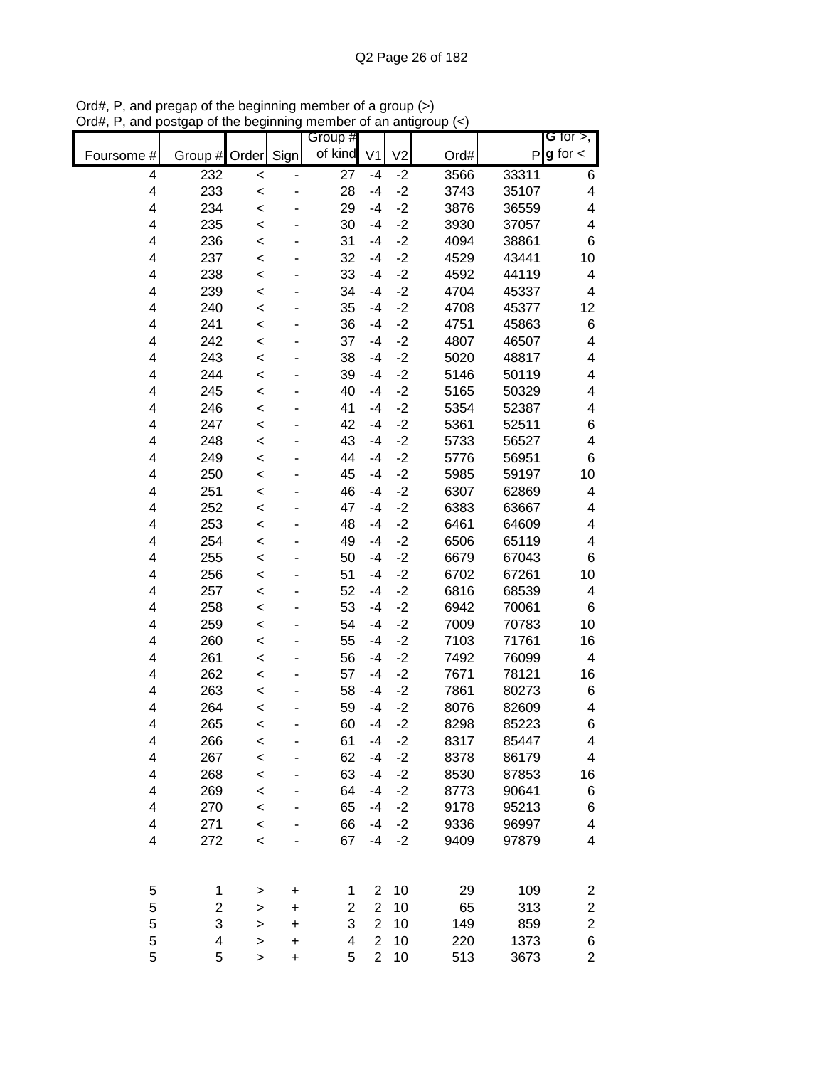|            |            |              |           | Group #         |                |                |              |                | G for $>$ ,              |
|------------|------------|--------------|-----------|-----------------|----------------|----------------|--------------|----------------|--------------------------|
| Foursome # | Group #    | Order        | Sign      | of kind         | V <sub>1</sub> | V <sub>2</sub> | Ord#         | P              | $g$ for $\lt$            |
| 4          | 232        | $\prec$      |           | $\overline{27}$ | $-4$           | $-2$           | 3566         | 33311          | 6                        |
| 4          | 233        | $\prec$      |           | 28              | $-4$           | $-2$           | 3743         | 35107          | $\overline{\mathcal{A}}$ |
| 4          | 234        | $\prec$      |           | 29              | $-4$           | $-2$           | 3876         | 36559          | 4                        |
| 4          | 235        | $\prec$      |           | 30              | $-4$           | $-2$           | 3930         | 37057          | $\overline{\mathcal{A}}$ |
| 4          | 236        | $\prec$      |           | 31              | $-4$           | $-2$           | 4094         | 38861          | 6                        |
| 4          | 237        | $\prec$      |           | 32              | $-4$           | $-2$           | 4529         | 43441          | 10                       |
| 4          | 238        | $\prec$      |           | 33              | $-4$           | $-2$           | 4592         | 44119          | 4                        |
| 4          | 239        | <            |           | 34              | $-4$           | $-2$           | 4704         | 45337          | 4                        |
| 4          | 240        | $\prec$      |           | 35              | $-4$           | $-2$           | 4708         | 45377          | 12                       |
| 4          | 241        | $\prec$      |           | 36              | $-4$           | $-2$           | 4751         | 45863          | 6                        |
| 4          | 242        | $\prec$      |           | 37              | $-4$           | $-2$           | 4807         | 46507          | 4                        |
| 4          | 243        | $\prec$      |           | 38              | $-4$           | $-2$           | 5020         | 48817          | 4                        |
| 4          | 244        | $\prec$      |           | 39              | $-4$           | $-2$           | 5146         | 50119          | 4                        |
| 4          | 245        | $\prec$      |           | 40              | $-4$           | $-2$           | 5165         | 50329          | 4                        |
| 4          | 246        | $\prec$      |           | 41              | $-4$           | $-2$           | 5354         | 52387          | 4                        |
| 4          | 247        | $\prec$      |           | 42              | $-4$           | $-2$           | 5361         | 52511          | 6                        |
| 4          | 248        | $\prec$      |           | 43              | $-4$           | $-2$           | 5733         | 56527          | 4                        |
| 4          | 249        | $\prec$      |           | 44              | $-4$           | $-2$           | 5776         | 56951          | 6                        |
| 4          | 250        | $\prec$      |           | 45              | $-4$           | $-2$           | 5985         | 59197          | 10                       |
| 4          | 251        | $\prec$      |           | 46              | $-4$           | $-2$           | 6307         | 62869          | 4                        |
| 4          | 252        | $\prec$      |           | 47              | $-4$           | $-2$           | 6383         | 63667          | 4                        |
| 4          | 253        | $\prec$      |           | 48              | $-4$           | $-2$           | 6461         | 64609          | 4                        |
| 4          | 254        | $\prec$      |           | 49              | $-4$           | $-2$           | 6506         | 65119          | 4                        |
| 4          | 255        | $\prec$      |           | 50              | $-4$           | $-2$           | 6679         | 67043          | 6                        |
| 4          | 256        | <            |           | 51              | $-4$           | $-2$           | 6702         | 67261          | 10                       |
| 4          | 257        | <            |           | 52              | $-4$           | $-2$           | 6816         | 68539          | 4                        |
| 4          | 258        | $\prec$      |           | 53              | $-4$           | $-2$           | 6942         | 70061          | 6                        |
| 4          | 259        | $\prec$      |           | 54              | $-4$           | $-2$<br>$-2$   | 7009         | 70783          | 10                       |
| 4          | 260        | $\prec$      |           | 55              | -4<br>$-4$     |                | 7103         | 71761          | 16                       |
| 4<br>4     | 261        | $\prec$      |           | 56              | $-4$           | $-2$<br>$-2$   | 7492         | 76099          | 4                        |
| 4          | 262<br>263 | $\prec$      |           | 57<br>58        | $-4$           | $-2$           | 7671<br>7861 | 78121          | 16                       |
| 4          | 264        | $\prec$      |           | 59              | $-4$           | $-2$           | 8076         | 80273<br>82609 | 6<br>4                   |
| 4          | 265        | $\prec$      |           | 60              | $-4$           | $-2$           | 8298         | 85223          | 6                        |
| 4          | 266        | <<br>$\prec$ |           | 61              | $-4$           | $-2$           | 8317         | 85447          | 4                        |
| 4          | 267        | $\prec$      |           | 62              | $-4$           | $-2$           | 8378         | 86179          | 4                        |
| 4          | 268        | $\prec$      |           | 63              | $-4$           | $-2$           | 8530         | 87853          | 16                       |
| 4          | 269        | $\prec$      |           | 64              | $-4$           | $-2$           | 8773         | 90641          | 6                        |
| 4          | 270        | $\prec$      |           | 65              | $-4$           | $-2$           | 9178         | 95213          | 6                        |
| 4          | 271        | $\prec$      |           | 66              | $-4$           | $-2$           | 9336         | 96997          | 4                        |
| 4          | 272        | $\prec$      |           | 67              | $-4$           | $-2$           | 9409         | 97879          | 4                        |
|            |            |              |           |                 |                |                |              |                |                          |
| 5          | 1          | $\,>$        | +         | 1               | $\overline{2}$ | 10             | 29           | 109            | 2                        |
| 5          | 2          | >            | +         | $\overline{c}$  | $\overline{2}$ | 10             | 65           | 313            | $\overline{\mathbf{c}}$  |
| 5          | 3          | >            | $\ddot{}$ | 3               | $\overline{2}$ | 10             | 149          | 859            | $\boldsymbol{2}$         |
| 5          | 4          | >            | +         | 4               | $\overline{2}$ | 10             | 220          | 1373           | 6                        |
| 5          | 5          | $\mathbf{I}$ | $\ddot{}$ | 5               | $\overline{2}$ | 10             | 513          | 3673           | $\overline{2}$           |

Ord#, P, and pregap of the beginning member of a group (>) Ord#, P, and postgap of the beginning member of an antigroup (<)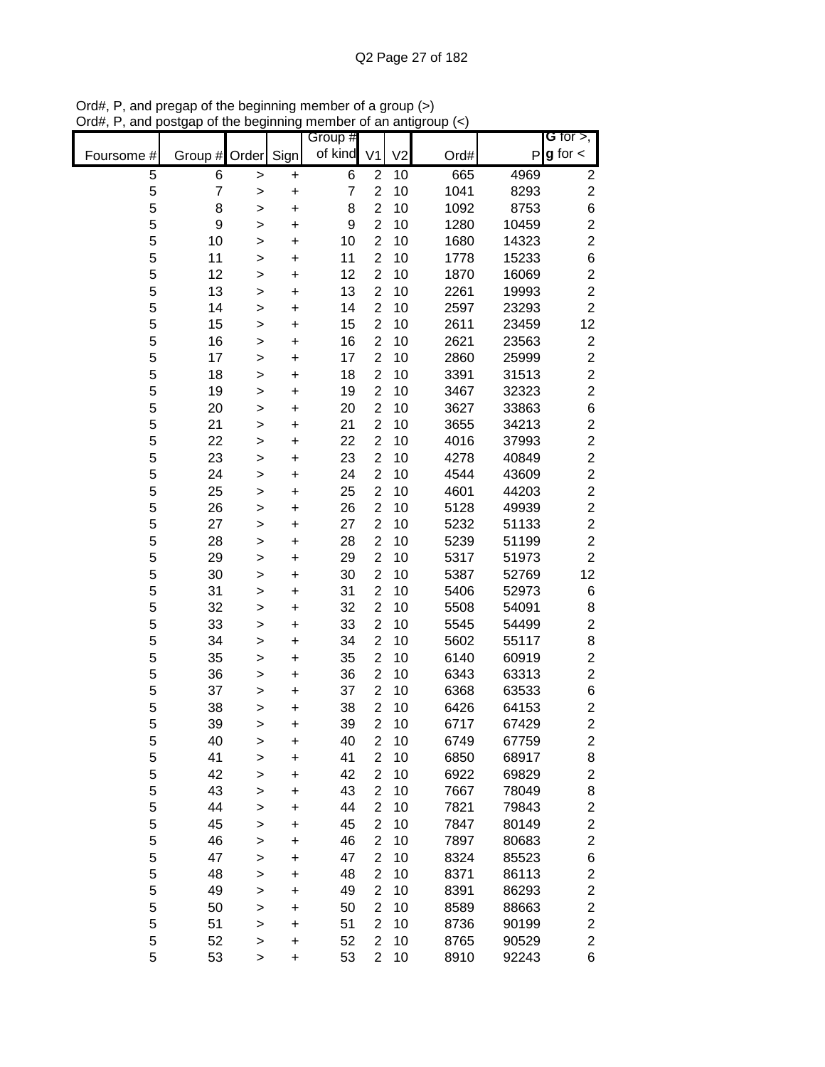|            |                |              |           | Group #        |                |                |      |       | G for $>$ ,             |
|------------|----------------|--------------|-----------|----------------|----------------|----------------|------|-------|-------------------------|
| Foursome # | Group # Order  |              | Sign      | of kind        | V <sub>1</sub> | V <sub>2</sub> | Ord# | P     | $g$ for $\lt$           |
| 5          | 6              | >            | $\pmb{+}$ | 6              | $\overline{2}$ | 10             | 665  | 4969  | $\overline{\mathbf{c}}$ |
| 5          | $\overline{7}$ | >            | $\ddot{}$ | $\overline{7}$ | $\overline{2}$ | 10             | 1041 | 8293  | $\overline{c}$          |
| 5          | 8              | >            | $\ddot{}$ | 8              | $\overline{c}$ | 10             | 1092 | 8753  | $\,$ 6 $\,$             |
| 5          | 9              | >            | +         | 9              | $\overline{2}$ | 10             | 1280 | 10459 | $\overline{\mathbf{c}}$ |
| 5          | 10             | $\mathbf{I}$ | $\ddot{}$ | 10             | $\overline{2}$ | 10             | 1680 | 14323 | $\overline{2}$          |
| 5          | 11             | $\mathbf{I}$ | $\ddot{}$ | 11             | $\overline{c}$ | 10             | 1778 | 15233 | $\,$ 6 $\,$             |
| 5          | 12             | $\geq$       | $\ddot{}$ | 12             | $\overline{2}$ | 10             | 1870 | 16069 | $\overline{\mathbf{c}}$ |
| 5          | 13             | >            | +         | 13             | $\overline{2}$ | 10             | 2261 | 19993 | $\overline{c}$          |
| 5          | 14             | >            | +         | 14             | $\overline{2}$ | 10             | 2597 | 23293 | $\overline{2}$          |
| 5          | 15             | >            | +         | 15             | $\overline{2}$ | 10             | 2611 | 23459 | 12                      |
| 5          | 16             | >            | +         | 16             | $\overline{2}$ | 10             | 2621 | 23563 | $\mathbf{2}$            |
| 5          | 17             | >            | +         | 17             | $\overline{2}$ | 10             | 2860 | 25999 | $\mathbf{2}$            |
| 5          | 18             | $\mathbf{I}$ | +         | 18             | $\overline{2}$ | 10             | 3391 | 31513 | $\overline{\mathbf{c}}$ |
| 5          | 19             | $\mathbf{I}$ | +         | 19             | $\overline{2}$ | 10             | 3467 | 32323 | $\overline{\mathbf{c}}$ |
| 5          | 20             | $\mathbf{I}$ | $\ddot{}$ | 20             | $\overline{2}$ | 10             | 3627 | 33863 | 6                       |
| 5          | 21             | >            | +         | 21             | $\overline{2}$ | 10             | 3655 | 34213 | $\overline{\mathbf{c}}$ |
| 5          | 22             | $\mathbf{I}$ | $\ddot{}$ | 22             | $\overline{2}$ | 10             | 4016 | 37993 | $\overline{c}$          |
| 5          | 23             | >            | $\ddot{}$ | 23             | $\overline{2}$ | 10             | 4278 | 40849 | $\overline{c}$          |
| 5          | 24             | >            | $\ddot{}$ | 24             | $\overline{2}$ | 10             | 4544 | 43609 | $\overline{c}$          |
| 5          | 25             | >            | $\ddot{}$ | 25             | $\overline{2}$ | 10             | 4601 | 44203 | $\overline{c}$          |
| 5          | 26             | >            | +         | 26             | $\overline{c}$ | 10             | 5128 | 49939 | $\overline{\mathbf{c}}$ |
| 5          | 27             | $\mathbf{I}$ | $\ddot{}$ | 27             | $\overline{2}$ | 10             | 5232 | 51133 | $\overline{c}$          |
| 5          | 28             | $\mathbf{I}$ | $\ddot{}$ | 28             | $\overline{c}$ | 10             | 5239 | 51199 | $\overline{c}$          |
| 5          | 29             | $\geq$       | $\ddot{}$ | 29             | $\overline{2}$ | 10             | 5317 | 51973 | $\overline{c}$          |
| 5          | 30             | >            | +         | 30             | $\overline{2}$ | 10             | 5387 | 52769 | 12                      |
| 5          | 31             | >            | +         | 31             | $\overline{2}$ | 10             | 5406 | 52973 | 6                       |
| 5          | 32             | >            | +         | 32             | $\overline{2}$ | 10             | 5508 | 54091 | 8                       |
| 5          | 33             | >            | +         | 33             | $\overline{2}$ | 10             | 5545 | 54499 | $\overline{c}$          |
| 5          | 34             | >            | +         | 34             | $\overline{2}$ | 10             | 5602 | 55117 | 8                       |
| 5          | 35             | $\mathbf{I}$ | +         | 35             | $\overline{2}$ | 10             | 6140 | 60919 | $\overline{c}$          |
| 5          | 36             | >            | +         | 36             | $\overline{2}$ | 10             | 6343 | 63313 | $\boldsymbol{2}$        |
| 5          | 37             | $\geq$       | +         | 37             | $\overline{2}$ | 10             | 6368 | 63533 | 6                       |
| 5          | 38             | $\geq$       | +         | 38             | $\overline{2}$ | 10             | 6426 | 64153 | $\overline{\mathbf{c}}$ |
| 5          | 39             | $\geq$       | $\ddot{}$ | 39             | $\overline{2}$ | 10             | 6717 | 67429 | $\overline{2}$          |
| 5          | 40             | >            | +         | 40             | $\overline{2}$ | 10             | 6749 | 67759 | $\overline{\mathbf{c}}$ |
| 5          | 41             | >            | $\ddot{}$ | 41             | $\overline{2}$ | 10             | 6850 | 68917 | 8                       |
| 5          | 42             | >            | +         | 42             | $\overline{2}$ | 10             | 6922 | 69829 | $\overline{c}$          |
| 5          | 43             | >            | $\ddot{}$ | 43             | $\overline{2}$ | 10             | 7667 | 78049 | 8                       |
| 5          | 44             | >            | $\ddot{}$ | 44             | $\overline{2}$ | 10             | 7821 | 79843 | $\overline{\mathbf{c}}$ |
| 5          | 45             | $\geq$       | $\ddot{}$ | 45             | $\overline{2}$ | 10             | 7847 | 80149 | $\overline{\mathbf{c}}$ |
| 5          | 46             | >            | +         | 46             | $\overline{2}$ | 10             | 7897 | 80683 | $\overline{\mathbf{c}}$ |
| 5          | 47             | >            | +         | 47             | $\overline{2}$ | 10             | 8324 | 85523 | 6                       |
| 5          | 48             | >            | +         | 48             | 2              | 10             | 8371 | 86113 | $\overline{\mathbf{c}}$ |
| 5          | 49             | >            | +         | 49             | $\overline{2}$ | 10             | 8391 | 86293 | $\overline{\mathbf{c}}$ |
| 5          | 50             | >            | +         | 50             | $\overline{2}$ | 10             | 8589 | 88663 | $\overline{c}$          |
| 5          | 51             | $\mathbf{I}$ | +         | 51             | 2              | 10             | 8736 | 90199 | $\overline{c}$          |
| 5          | 52             | >            | +         | 52             | $\overline{2}$ | 10             | 8765 | 90529 | $\overline{c}$          |
| 5          | 53             | >            | +         | 53             | $\overline{2}$ | 10             | 8910 | 92243 | 6                       |

Ord#, P, and pregap of the beginning member of a group (>) Ord#, P, and postgap of the beginning member of an antigroup (<)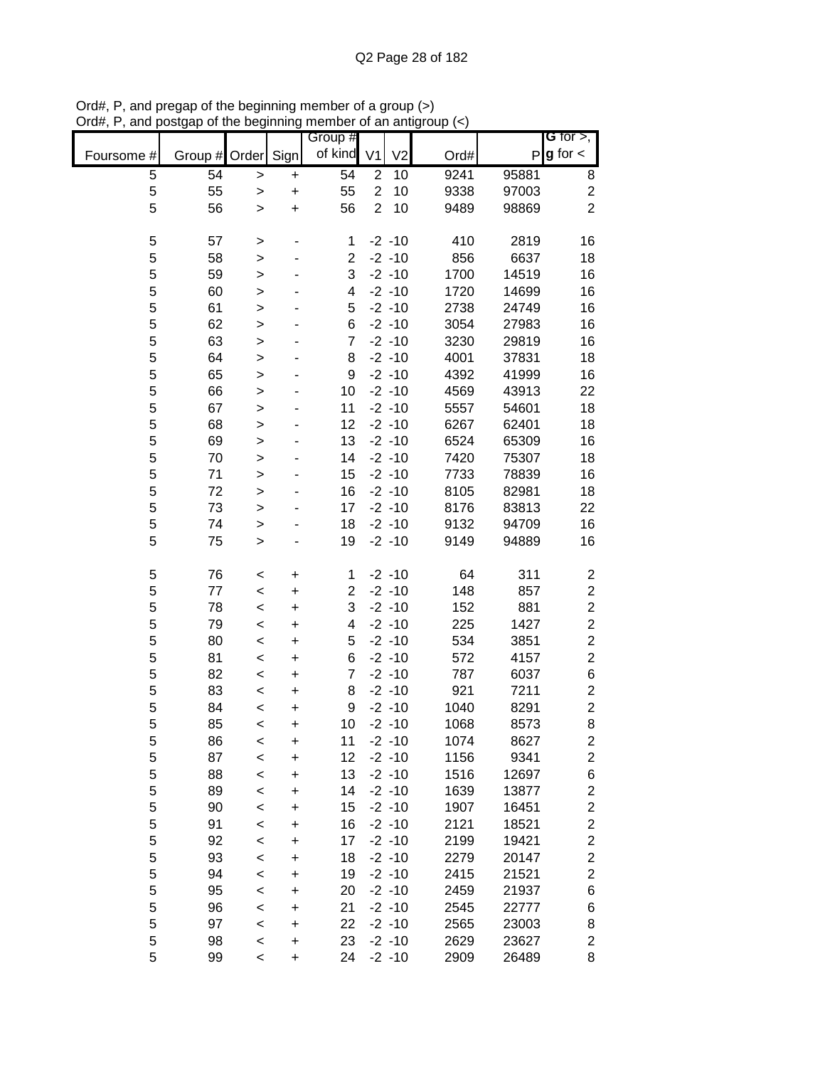|            |         |              |           | Group #        |                |                |      |       | <b>G</b> for $>$ ,      |
|------------|---------|--------------|-----------|----------------|----------------|----------------|------|-------|-------------------------|
| Foursome # | Group # | Order        | Sign      | of kind        | V <sub>1</sub> | V <sub>2</sub> | Ord# | P     | $g$ for $\lt$           |
| 5          | 54      | $\geq$       | $\ddot{}$ | 54             | $\overline{2}$ | 10             | 9241 | 95881 | 8                       |
| 5          | 55      | >            | $\ddot{}$ | 55             | $\overline{c}$ | 10             | 9338 | 97003 | $\overline{c}$          |
| 5          | 56      | $\mathbf{I}$ | $\ddot{}$ | 56             | $\overline{2}$ | 10             | 9489 | 98869 | $\overline{2}$          |
| 5          | 57      |              |           | 1              |                | $-2 - 10$      | 410  | 2819  | 16                      |
| 5          | 58      | ><br>>       |           | $\overline{2}$ |                | $-2 - 10$      | 856  | 6637  | 18                      |
| 5          | 59      | $\mathbf{I}$ |           | 3              |                | $-2 - 10$      | 1700 | 14519 | 16                      |
| 5          | 60      | $\geq$       |           | 4              |                | $-2 - 10$      | 1720 | 14699 | 16                      |
| 5          | 61      | $\geq$       |           | 5              |                | $-2 - 10$      | 2738 | 24749 | 16                      |
| 5          | 62      | $\geq$       |           | 6              |                | $-2 - 10$      | 3054 | 27983 | 16                      |
| 5          | 63      | $\geq$       |           | $\overline{7}$ |                | $-2 - 10$      | 3230 | 29819 | 16                      |
| 5          | 64      | $\geq$       |           | 8              |                | $-2 - 10$      | 4001 | 37831 | 18                      |
| 5          | 65      | $\geq$       |           | 9              |                | $-2 - 10$      | 4392 | 41999 | 16                      |
| 5          | 66      | $\geq$       |           | 10             |                | $-2 - 10$      | 4569 | 43913 | 22                      |
| 5          | 67      | $\mathbf{I}$ |           | 11             |                | $-2 - 10$      | 5557 | 54601 | 18                      |
| 5          | 68      | $\geq$       |           | 12             |                | $-2 - 10$      | 6267 | 62401 | 18                      |
| 5          | 69      | $\geq$       |           | 13             |                | $-2 - 10$      | 6524 | 65309 | 16                      |
| 5          | 70      | $\geq$       |           | 14             |                | $-2 - 10$      | 7420 | 75307 | 18                      |
| 5          | 71      | $\geq$       |           | 15             |                | $-2 - 10$      | 7733 | 78839 | 16                      |
| 5          | 72      | $\geq$       |           | 16             |                | $-2 - 10$      | 8105 | 82981 | 18                      |
| 5          | 73      | $\mathbf{I}$ |           | 17             |                | $-2 - 10$      | 8176 | 83813 | 22                      |
| 5          | 74      | >            |           | 18             |                | $-2 - 10$      | 9132 | 94709 | 16                      |
| 5          | 75      | >            |           | 19             |                | $-2 - 10$      | 9149 | 94889 | 16                      |
| 5          | 76      | $\,<$        | $\ddot{}$ | 1              |                | $-2 - 10$      | 64   | 311   | 2                       |
| 5          | 77      | $\,<$        | $\ddot{}$ | $\overline{2}$ |                | $-2 - 10$      | 148  | 857   | $\overline{\mathbf{c}}$ |
| 5          | 78      | $\,<$        | $\ddot{}$ | 3              |                | $-2 - 10$      | 152  | 881   | $\overline{\mathbf{c}}$ |
| 5          | 79      | $\prec$      | $\ddot{}$ | 4              |                | $-2 - 10$      | 225  | 1427  | $\overline{\mathbf{c}}$ |
| 5          | 80      | $\prec$      | $\ddot{}$ | 5              |                | $-2 - 10$      | 534  | 3851  | $\overline{\mathbf{c}}$ |
| 5          | 81      | $\prec$      | $\ddot{}$ | 6              |                | $-2 - 10$      | 572  | 4157  | $\overline{c}$          |
| 5          | 82      | $\prec$      | $\ddot{}$ | $\overline{7}$ |                | $-2 - 10$      | 787  | 6037  | 6                       |
| 5          | 83      | $\prec$      | $\ddot{}$ | 8              |                | $-2 - 10$      | 921  | 7211  | $\overline{\mathbf{c}}$ |
| 5          | 84      | $\prec$      | $\ddot{}$ | 9              |                | $-2 - 10$      | 1040 | 8291  | $\overline{\mathbf{c}}$ |
| 5          | 85      | $\,<$        | $\ddot{}$ | 10             |                | $-2 - 10$      | 1068 | 8573  | 8                       |
| 5          | 86      | $\,<$        | +         | 11             |                | $-2 - 10$      | 1074 | 8627  | 2                       |
| 5          | 87      | $\prec$      | $\ddot{}$ | 12             |                | $-2 - 10$      | 1156 | 9341  | $\mathbf{2}$            |
| 5          | 88      | $\,<$        | +         | 13             |                | $-2 - 10$      | 1516 | 12697 | 6                       |
| 5          | 89      | $\,<$        | +         | 14             |                | $-2 - 10$      | 1639 | 13877 | $\overline{\mathbf{c}}$ |
| 5          | 90      | $\prec$      | +         | 15             |                | $-2 - 10$      | 1907 | 16451 | $\overline{\mathbf{c}}$ |
| 5          | 91      | $\,<$        | +         | 16             |                | $-2 - 10$      | 2121 | 18521 | $\overline{c}$          |
| 5          | 92      | $\prec$      | +         | 17             |                | $-2 - 10$      | 2199 | 19421 | $\mathbf{2}$            |
| 5          | 93      | $\prec$      | $\ddot{}$ | 18             |                | $-2 - 10$      | 2279 | 20147 | $\mathbf{2}$            |
| 5          | 94      | $\prec$      | $\ddot{}$ | 19             |                | $-2 - 10$      | 2415 | 21521 | $\overline{\mathbf{c}}$ |
| 5          | 95      | $\prec$      | $\ddot{}$ | 20             |                | $-2 - 10$      | 2459 | 21937 | 6                       |
| 5          | 96      | $\prec$      | $\ddot{}$ | 21             |                | $-2 - 10$      | 2545 | 22777 | 6                       |
| 5          | 97      | $\prec$      | $\ddot{}$ | 22             |                | $-2 - 10$      | 2565 | 23003 | 8                       |
| 5          | 98      | $\prec$      | $\ddot{}$ | 23             |                | $-2 - 10$      | 2629 | 23627 | $\overline{c}$          |
| 5          | 99      | $\prec$      | $\ddot{}$ | 24             |                | $-2 - 10$      | 2909 | 26489 | 8                       |

Ord#, P, and pregap of the beginning member of a group (>) Ord#, P, and postgap of the beginning member of an antigroup (<)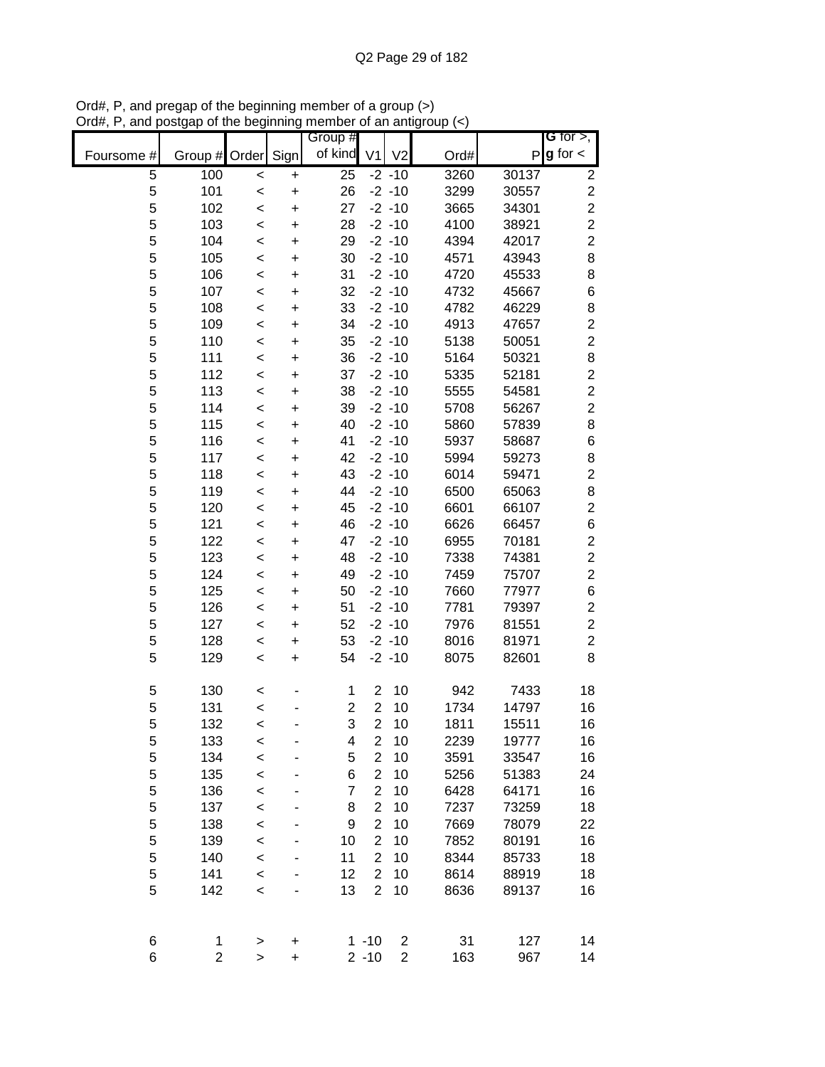|            |                |              |           | Group #         |                  |                |                   |       | <b>G</b> for $>$ ,      |
|------------|----------------|--------------|-----------|-----------------|------------------|----------------|-------------------|-------|-------------------------|
| Foursome # | Group # Order  |              | Sign      | of kind         | V <sub>1</sub>   | V <sub>2</sub> | Ord#              | P     | $g$ for $\lt$           |
| 5          | 100            | $\,<$        | +         | $\overline{25}$ |                  | $-2 - 10$      | $\overline{3260}$ | 30137 | 2                       |
| 5          | 101            | $\prec$      | $\ddot{}$ | 26              |                  | $-2 - 10$      | 3299              | 30557 | $\overline{c}$          |
| 5          | 102            | $\,<$        | $\ddot{}$ | 27              |                  | $-2 - 10$      | 3665              | 34301 | $\overline{c}$          |
| 5          | 103            | $\,<$        | +         | 28              |                  | $-2 - 10$      | 4100              | 38921 | $\overline{c}$          |
| 5          | 104            | $\prec$      | +         | 29              |                  | $-2 - 10$      | 4394              | 42017 | $\overline{c}$          |
| 5          | 105            | $\prec$      | +         | 30              |                  | $-2 - 10$      | 4571              | 43943 | $\,8\,$                 |
| 5          | 106            | $\prec$      | +         | 31              |                  | $-2 - 10$      | 4720              | 45533 | 8                       |
| 5          | 107            | $\,<$        | +         | 32              |                  | $-2 - 10$      | 4732              | 45667 | $\,$ 6 $\,$             |
| 5          | 108            | $\,<\,$      | +         | 33              |                  | $-2 - 10$      | 4782              | 46229 | 8                       |
| 5          | 109            | $\,<$        | $\ddot{}$ | 34              |                  | $-2 - 10$      | 4913              | 47657 | $\boldsymbol{2}$        |
| 5          | 110            | $\,<$        | $\ddot{}$ | 35              |                  | $-2 - 10$      | 5138              | 50051 | $\overline{\mathbf{c}}$ |
| 5          | 111            | $\prec$      | $\ddot{}$ | 36              |                  | $-2 - 10$      | 5164              | 50321 | 8                       |
| 5          | 112            | $\prec$      | $\ddot{}$ | 37              |                  | $-2 - 10$      | 5335              | 52181 | $\overline{\mathbf{c}}$ |
| 5          | 113            | $\prec$      | $\ddot{}$ | 38              |                  | $-2 - 10$      | 5555              | 54581 | $\overline{c}$          |
| 5          | 114            | $\prec$      | $\ddot{}$ | 39              |                  | $-2 - 10$      | 5708              | 56267 | $\overline{c}$          |
| 5          | 115            | $\,<\,$      | $\ddot{}$ | 40              |                  | $-2 - 10$      | 5860              | 57839 | 8                       |
| 5          | 116            | $\prec$      | $\ddot{}$ | 41              |                  | $-2 - 10$      | 5937              | 58687 | $\,6$                   |
| 5          | 117            | $\prec$      | $\ddot{}$ | 42              |                  | $-2 - 10$      | 5994              | 59273 | 8                       |
| 5          | 118            | $\,<$        | $\ddot{}$ | 43              |                  | $-2 - 10$      | 6014              | 59471 | $\overline{c}$          |
| 5          | 119            | $\prec$      | $\ddot{}$ | 44              |                  | $-2 - 10$      | 6500              | 65063 | 8                       |
| 5          | 120            | $\,<$        | +         | 45              |                  | $-2 - 10$      | 6601              | 66107 | $\overline{c}$          |
| 5          | 121            | $\prec$      | +         | 46              |                  | $-2 - 10$      | 6626              | 66457 | $\,$ 6 $\,$             |
| 5          | 122            | $\,<$        | +         | 47              |                  | $-2 - 10$      | 6955              | 70181 | $\overline{c}$          |
| 5          | 123            | $\,<$        | +         | 48              |                  | $-2 - 10$      | 7338              | 74381 | $\overline{c}$          |
| 5          | 124            | $\,<$        | +         | 49              |                  | $-2 - 10$      | 7459              | 75707 | $\overline{c}$          |
| 5          | 125            | $\,<\,$      | +         | 50              |                  | $-2 - 10$      | 7660              | 77977 | $\,6$                   |
| 5          | 126            | $\,<$        | +         | 51              |                  | $-2 - 10$      | 7781              | 79397 | $\boldsymbol{2}$        |
| 5          | 127            | $\,<\,$      | +         | 52              |                  | $-2 - 10$      | 7976              | 81551 | $\overline{\mathbf{c}}$ |
| 5          | 128            | $\,<$        | +         | 53              |                  | $-2 - 10$      | 8016              | 81971 | $\overline{\mathbf{c}}$ |
| 5          | 129            | $\prec$      | $\ddot{}$ | 54              |                  | $-2 - 10$      | 8075              | 82601 | 8                       |
| 5          | 130            | $\,<$        |           | 1               | $\overline{2}$   | 10             | 942               | 7433  | 18                      |
| 5          | 131            | $\prec$      |           | $\overline{c}$  | $\overline{c}$   | 10             | 1734              | 14797 | 16                      |
| 5          | 132            | $\,<$        |           | 3               | $\overline{2}$   | 10             | 1811              | 15511 | 16                      |
| 5          | 133            | $\prec$      |           | 4               | $\overline{2}$   | 10             | 2239              | 19777 | 16                      |
| 5          | 134            | $\prec$      |           | 5               | $\boldsymbol{2}$ | 10             | 3591              | 33547 | 16                      |
| 5          | 135            | $\prec$      |           | 6               | $\overline{2}$   | 10             | 5256              | 51383 | 24                      |
| 5          | 136            | $\prec$      |           | $\overline{7}$  | $\overline{2}$   | 10             | 6428              | 64171 | 16                      |
| 5          | 137            | $\prec$      |           | 8               | $\overline{2}$   | 10             | 7237              | 73259 | 18                      |
| 5          | 138            | $\prec$      |           | 9               | $\overline{2}$   | 10             | 7669              | 78079 | 22                      |
| 5          | 139            | $\prec$      |           | 10              | $\overline{2}$   | 10             | 7852              | 80191 | 16                      |
| 5          | 140            | $\prec$      |           | 11              | $\overline{2}$   | 10             | 8344              | 85733 | 18                      |
| 5          | 141            | $\prec$      |           | 12              | $\overline{2}$   | 10             | 8614              | 88919 | 18                      |
| 5          | 142            | $\prec$      |           | 13              | $\overline{2}$   | 10             | 8636              | 89137 | 16                      |
|            |                |              |           |                 |                  |                |                   |       |                         |
| 6          | 1              | $\geq$       | +         |                 | $1 - 10$         | $\overline{2}$ | 31                | 127   | 14                      |
| 6          | $\overline{c}$ | $\mathbf{I}$ | $\ddot{}$ |                 | $2 - 10$         | $\overline{2}$ | 163               | 967   | 14                      |

Ord#, P, and pregap of the beginning member of a group (>) Ord#, P, and postgap of the beginning member of an antigroup (<)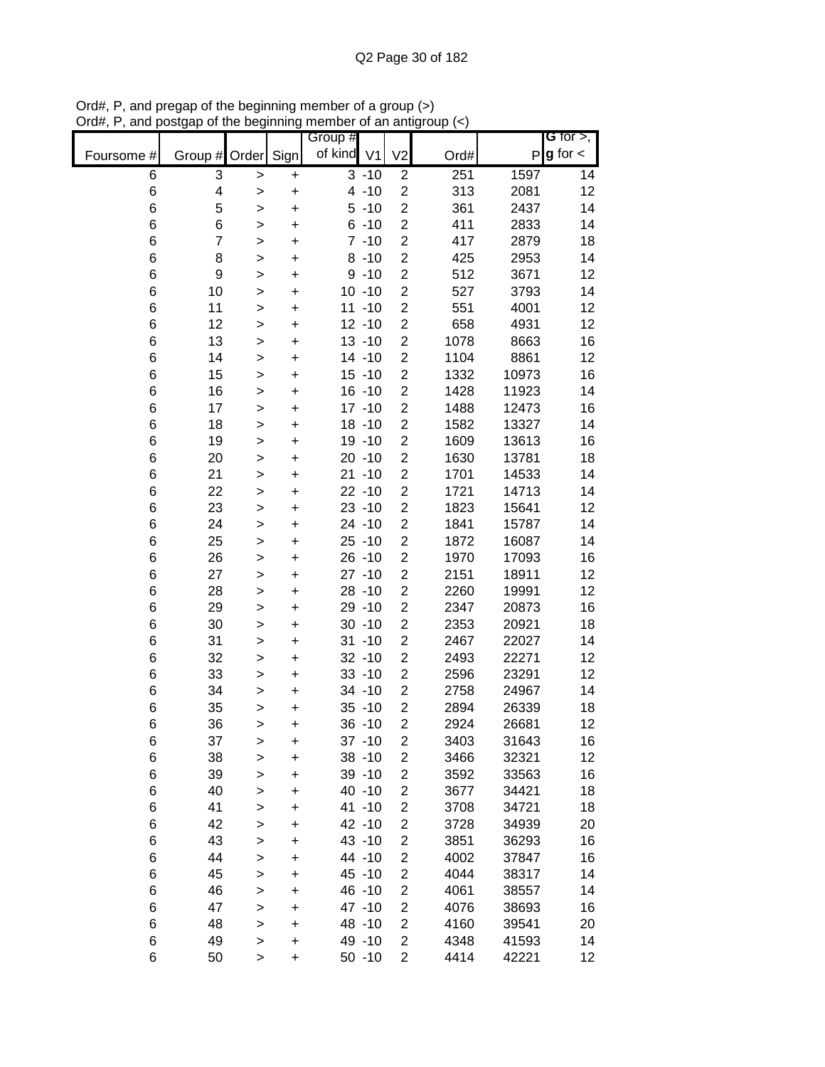|            |                  |              |           | Group #          |          |                                  |              |                | G for $>$ ,   |
|------------|------------------|--------------|-----------|------------------|----------|----------------------------------|--------------|----------------|---------------|
| Foursome # | Group #          | Order        | Sign      | of kind V1       |          | V <sub>2</sub>                   | Ord#         | Ρ              | $g$ for $\lt$ |
| 6          | 3                | >            | +         |                  | $3 - 10$ | $\overline{c}$                   | 251          | 1597           | 14            |
| $\,6$      | 4                | $\geq$       | $\ddot{}$ |                  | $4 - 10$ | $\overline{c}$                   | 313          | 2081           | 12            |
| $\,6$      | 5                | >            | $\ddot{}$ |                  | $5 - 10$ | $\overline{2}$                   | 361          | 2437           | 14            |
| $\,6$      | 6                | >            | $\ddot{}$ |                  | $6 - 10$ | $\overline{\mathbf{c}}$          | 411          | 2833           | 14            |
| $\,6$      | $\overline{7}$   | $\mathbf{I}$ | +         |                  | $7 - 10$ | $\overline{c}$                   | 417          | 2879           | 18            |
| $\,6$      | 8                | >            | +         |                  | $8 - 10$ | $\overline{\mathbf{c}}$          | 425          | 2953           | 14            |
| $\,6$      | $\boldsymbol{9}$ | >            | +         |                  | $9 - 10$ | $\overline{c}$                   | 512          | 3671           | 12            |
| 6          | 10               | >            | +         | $10 - 10$        |          | $\overline{c}$                   | 527          | 3793           | 14            |
| 6          | 11               | >            | +         | $11 - 10$        |          | $\overline{c}$                   | 551          | 4001           | 12            |
| 6          | 12               | >            | +         | $12 - 10$        |          | $\overline{c}$                   | 658          | 4931           | 12            |
| 6          | 13               | $\mathbf{I}$ | $\ddot{}$ | $13 - 10$        |          | $\overline{c}$                   | 1078         | 8663           | 16            |
| 6          | 14               | $\mathbf{I}$ | $\ddot{}$ | $14 - 10$        |          | $\overline{\mathbf{c}}$          | 1104         | 8861           | 12            |
| 6          | 15               | $\geq$       | $\ddot{}$ | $15 - 10$        |          | $\overline{c}$                   | 1332         | 10973          | 16            |
| 6          | 16               | $\geq$       | +         | $16 - 10$        |          | $\overline{\mathbf{c}}$          | 1428         | 11923          | 14            |
| 6          | 17               | $\mathbf{I}$ | $\ddot{}$ | $17 - 10$        |          | $\overline{c}$                   | 1488         | 12473          | 16            |
| 6          | 18               | >            | $\ddot{}$ | $18 - 10$        |          | $\overline{\mathbf{c}}$          | 1582         | 13327          | 14            |
| 6          | 19               | >            | $\ddot{}$ | 19 - 10          |          | $\overline{2}$                   | 1609         | 13613          | 16            |
| 6          | 20               | >            | $\ddot{}$ | $20 - 10$        |          | $\overline{\mathbf{c}}$          | 1630         | 13781          | 18            |
| 6          | 21               | >            | $\ddot{}$ | $21 - 10$        |          | $\overline{\mathbf{c}}$          | 1701         | 14533          | 14            |
| 6          | 22               | $\mathbf{I}$ | $\ddot{}$ | $22 - 10$        |          | $\overline{c}$                   | 1721         | 14713          | 14            |
| 6          | 23               | $\geq$       | $\ddot{}$ | $23 - 10$        |          | $\overline{\mathbf{c}}$          | 1823         | 15641          | 12            |
| 6          | 24               | $\mathbf{I}$ | $\ddot{}$ | $24 - 10$        |          | $\overline{\mathbf{c}}$          | 1841         | 15787          | 14            |
| 6          | 25               | >            | +         | $25 - 10$        |          | $\overline{\mathbf{c}}$          | 1872         | 16087          | 14            |
| 6          | 26               | >            | +         | $26 - 10$        |          | $\overline{2}$                   | 1970         | 17093          | 16            |
| 6          | 27               | >            | +         | $27 - 10$        |          | $\overline{c}$                   | 2151         | 18911          | 12            |
| 6          | 28               | >            | +         | $28 - 10$        |          | $\overline{\mathbf{c}}$          | 2260         | 19991          | 12            |
| 6          | 29               | >            | +         | 29 - 10          |          | $\overline{\mathbf{c}}$          | 2347         | 20873          | 16            |
| 6          | 30               | $\geq$       | +         | $30 - 10$        |          | $\overline{c}$                   | 2353         | 20921          | 18            |
| 6          | 31               | $\mathbf{I}$ | +         | $31 - 10$        |          | $\overline{\mathbf{c}}$          | 2467         | 22027          | 14            |
| 6          | 32               | $\geq$       | +         | $32 - 10$        |          | $\overline{c}$                   | 2493         | 22271          | 12            |
| 6          | 33               | $\mathbf{I}$ | +         | $33 - 10$        |          | $\overline{c}$                   | 2596         | 23291          | 12            |
| 6          | 34               | $\mathbf{I}$ | +         | 34 - 10          |          | $\overline{2}$                   | 2758         | 24967          | 14            |
| 6          | 35               | >            | +         | $35 - 10$        |          | $\overline{c}$                   | 2894         | 26339          | 18            |
| 6          | 36               | >            | $\ddot{}$ | $36 - 10$        |          | $\overline{2}$                   | 2924         | 26681          | 12            |
| 6          | 37               | >            | +         | $37 - 10$        |          | 2                                | 3403         | 31643          | 16            |
| 6          | 38               | $\mathbf{I}$ | $\ddot{}$ | 38 - 10          |          | $\overline{c}$                   | 3466         | 32321          | 12            |
| 6          | 39               | >            | $\ddot{}$ | 39 - 10          |          | $\overline{\mathbf{c}}$          | 3592         | 33563          | 16            |
| 6          | 40               | $\mathbf{I}$ | $\ddot{}$ | 40 -10           |          | $\overline{\mathbf{c}}$          | 3677         | 34421          | 18            |
| 6          | 41               | $\geq$       | +         | 41 -10           |          | $\overline{\mathbf{c}}$          | 3708         | 34721          | 18            |
| 6          | 42               | $\mathbf{I}$ | +         | 42 -10           |          | $\overline{c}$                   | 3728         | 34939          | 20            |
| 6          | 43               | >            | +         | 43 -10           |          | 2                                | 3851         | 36293          | 16            |
| 6          | 44               | >            | +         | 44 -10           |          | $\overline{c}$                   | 4002         | 37847          | 16            |
| 6          | 45               | $\mathbf{I}$ | +         | 45 - 10          |          | $\overline{c}$                   | 4044         | 38317          | 14            |
| 6          | 46               | >            | +         | 46 -10           |          | 2                                | 4061         | 38557          | 14            |
| 6<br>6     | 47               | $\mathbf{I}$ | +         | 47 -10<br>48 -10 |          | $\overline{c}$<br>$\overline{c}$ | 4076         | 38693          | 16            |
| 6          | 48<br>49         | $\mathbf{I}$ | +         | 49 - 10          |          | $\overline{c}$                   | 4160<br>4348 | 39541<br>41593 | 20<br>14      |
| 6          | 50               | $\geq$<br>>  | +<br>+    | $50 - 10$        |          | $\mathbf{2}$                     | 4414         | 42221          | 12            |
|            |                  |              |           |                  |          |                                  |              |                |               |

Ord#, P, and pregap of the beginning member of a group (>) Ord#, P, and postgap of the beginning member of an antigroup (<)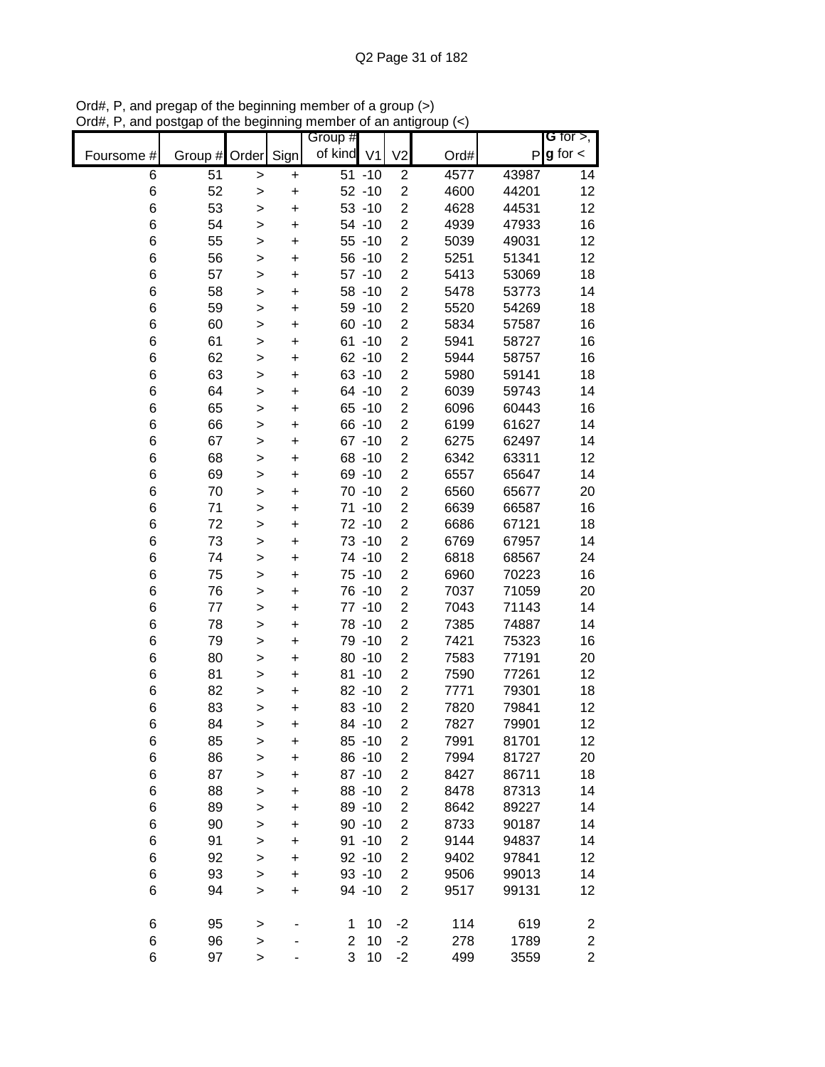|            |               |              |           | Group #        |                     |                         |      |       | <b>G</b> for $>$ ,      |
|------------|---------------|--------------|-----------|----------------|---------------------|-------------------------|------|-------|-------------------------|
| Foursome # | Group # Order |              | Sign      | of kind V1     |                     | V <sub>2</sub>          | Ord# | P     | $g$ for $\lt$           |
| 6          | 51            | $\geq$       | +         |                | $\overline{51}$ -10 | $\overline{c}$          | 4577 | 43987 | 14                      |
| $\,6$      | 52            | >            | $\ddot{}$ |                | $52 - 10$           | $\overline{2}$          | 4600 | 44201 | 12                      |
| 6          | 53            | >            | $\ddot{}$ |                | $53 - 10$           | $\overline{c}$          | 4628 | 44531 | 12                      |
| 6          | 54            | $\geq$       | $\ddot{}$ |                | 54 - 10             | $\overline{c}$          | 4939 | 47933 | 16                      |
| 6          | 55            | >            | +         |                | $55 - 10$           | $\overline{\mathbf{c}}$ | 5039 | 49031 | 12                      |
| 6          | 56            | >            | +         |                | $56 - 10$           | $\overline{2}$          | 5251 | 51341 | 12                      |
| 6          | 57            | >            | +         |                | $57 - 10$           | $\overline{\mathbf{c}}$ | 5413 | 53069 | 18                      |
| 6          | 58            | >            | +         |                | $58 - 10$           | $\overline{c}$          | 5478 | 53773 | 14                      |
| 6          | 59            | $\mathbf{I}$ | +         |                | 59 - 10             | $\overline{\mathbf{c}}$ | 5520 | 54269 | 18                      |
| 6          | 60            | $\mathbf{I}$ | $\ddot{}$ |                | $60 - 10$           | $\overline{c}$          | 5834 | 57587 | 16                      |
| 6          | 61            | $\mathbf{I}$ | $\ddot{}$ |                | $61 - 10$           | $\overline{c}$          | 5941 | 58727 | 16                      |
| 6          | 62            | $\geq$       | $\ddot{}$ |                | $62 - 10$           | $\overline{c}$          | 5944 | 58757 | 16                      |
| 6          | 63            | $\geq$       | $\ddot{}$ |                | $63 - 10$           | $\overline{\mathbf{c}}$ | 5980 | 59141 | 18                      |
| 6          | 64            | $\mathbf{I}$ | $\ddot{}$ |                | 64 -10              | $\overline{c}$          | 6039 | 59743 | 14                      |
| 6          | 65            | >            | $\ddot{}$ |                | $65 - 10$           | $\overline{c}$          | 6096 | 60443 | 16                      |
| $\,6$      | 66            | >            | $\ddot{}$ |                | 66 -10              | $\overline{c}$          | 6199 | 61627 | 14                      |
| $\,6$      | 67            | >            | $\ddot{}$ |                | $67 - 10$           | $\overline{\mathbf{c}}$ | 6275 | 62497 | 14                      |
| $\,6$      | 68            | $\mathbf{I}$ | $\ddot{}$ |                | 68 - 10             | $\overline{2}$          | 6342 | 63311 | 12                      |
| $\,6$      | 69            | $\mathbf{I}$ | $\ddot{}$ |                | 69 - 10             | $\overline{\mathbf{c}}$ | 6557 | 65647 | 14                      |
| 6          | 70            | $\mathbf{I}$ | $\ddot{}$ |                | $70 - 10$           | $\overline{\mathbf{c}}$ | 6560 | 65677 | 20                      |
| 6          | 71            | $\mathbf{I}$ | $\ddot{}$ |                | $71 - 10$           | $\overline{c}$          | 6639 | 66587 | 16                      |
| 6          | 72            | >            | +         |                | 72 -10              | $\overline{\mathbf{c}}$ | 6686 | 67121 | 18                      |
| 6          | 73            | >            | +         |                | 73 -10              | $\overline{2}$          | 6769 | 67957 | 14                      |
| 6          | 74            | >            | +         |                | 74 -10              | $\overline{c}$          | 6818 | 68567 | 24                      |
| $\,6$      | 75            | >            | +         |                | 75 - 10             | 2                       | 6960 | 70223 | 16                      |
| $\,6$      | 76            | >            | +         |                | 76 -10              | $\overline{\mathbf{c}}$ | 7037 | 71059 | 20                      |
| 6          | 77            | $\mathbf{I}$ | $\ddot{}$ |                | $77 - 10$           | $\overline{c}$          | 7043 | 71143 | 14                      |
| 6          | 78            | $\mathbf{I}$ | $\ddot{}$ |                | 78 -10              | $\overline{c}$          | 7385 | 74887 | 14                      |
| 6          | 79            | $\geq$       | $\ddot{}$ |                | 79 - 10             | $\overline{2}$          | 7421 | 75323 | 16                      |
| 6          | 80            | $\geq$       | +         |                | $80 - 10$           | $\overline{c}$          | 7583 | 77191 | 20                      |
| 6          | 81            | $\mathbf{I}$ | $\ddot{}$ |                | $81 - 10$           | $\overline{c}$          | 7590 | 77261 | 12                      |
| 6          | 82            | >            | +         |                | 82 - 10             | $\overline{2}$          | 7771 | 79301 | 18                      |
| 6          | 83            | $\mathbf{I}$ | $\ddot{}$ |                | $83 - 10$           | $\overline{2}$          | 7820 | 79841 | 12                      |
| 6          | 84            | >            | +         |                | 84 - 10             | $\overline{2}$          | 7827 | 79901 | 12                      |
| 6          | 85            | >            | +         |                | $85 - 10$           | $\overline{2}$          | 7991 | 81701 | 12                      |
| 6          | 86            | $\mathbf{I}$ | $\ddot{}$ |                | 86 - 10             | $\overline{\mathbf{c}}$ | 7994 | 81727 | 20                      |
| 6          | 87            | $\geq$       | $\ddot{}$ |                | $87 - 10$           | $\overline{\mathbf{c}}$ | 8427 | 86711 | 18                      |
| 6          | 88            | >            | +         |                | 88 - 10             | $\overline{\mathbf{c}}$ | 8478 | 87313 | 14                      |
| 6          | 89            | $\mathbf{I}$ | +         |                | 89 - 10             | $\overline{c}$          | 8642 | 89227 | 14                      |
| 6          | 90            | >            | +         |                | $90 - 10$           | $\overline{\mathbf{c}}$ | 8733 | 90187 | 14                      |
| 6          | 91            | $\geq$       | +         |                | $91 - 10$           | $\overline{\mathbf{c}}$ | 9144 | 94837 | 14                      |
| 6          | 92            | $\mathbf{I}$ | +         |                | $92 - 10$           | $\overline{2}$          | 9402 | 97841 | 12                      |
| 6          | 93            | $\mathbf{I}$ | $\ddot{}$ |                | $93 - 10$           | $\overline{2}$          | 9506 | 99013 | 14                      |
| 6          | 94            | $\mathbf{I}$ | $\ddot{}$ |                | 94 - 10             | $\overline{2}$          | 9517 | 99131 | 12                      |
| 6          | 95            | $\mathbf{I}$ |           | 1              | 10                  | $-2$                    | 114  | 619   | $\overline{\mathbf{c}}$ |
| 6          | 96            | $\geq$       |           | $\overline{2}$ | 10                  | $-2$                    | 278  | 1789  | $\overline{\mathbf{c}}$ |
| 6          | 97            | >            |           | 3              | 10                  | $-2$                    | 499  | 3559  | $\overline{2}$          |

Ord#, P, and pregap of the beginning member of a group (>) Ord#, P, and postgap of the beginning member of an antigroup (<)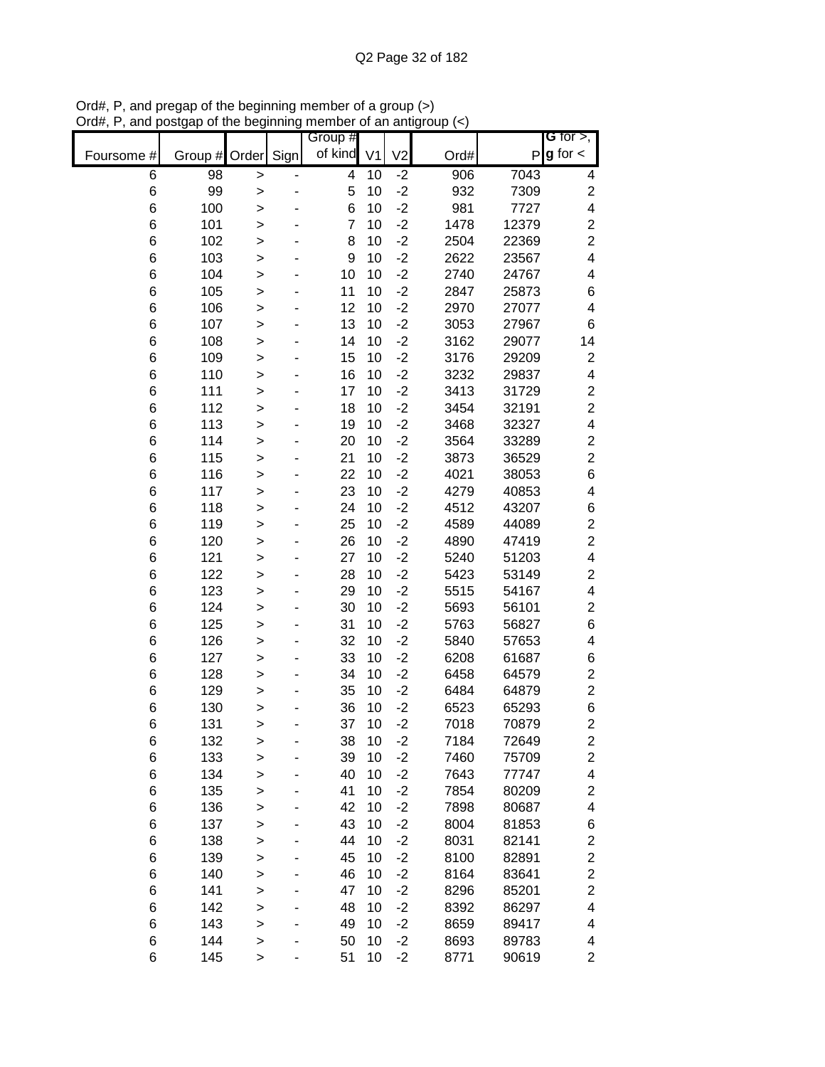|            |               |              |      | Group #        |                |                |      |       | G for $>$ ,              |
|------------|---------------|--------------|------|----------------|----------------|----------------|------|-------|--------------------------|
| Foursome # | Group # Order |              | Sign | of kind        | V <sub>1</sub> | V <sub>2</sub> | Ord# | P     | $g$ for $\lt$            |
| 6          | 98            | >            |      | 4              | 10             | $-2$           | 906  | 7043  | 4                        |
| $\,6$      | 99            | >            |      | 5              | 10             | $-2$           | 932  | 7309  | $\overline{c}$           |
| 6          | 100           | >            |      | 6              | 10             | $-2$           | 981  | 7727  | 4                        |
| 6          | 101           | $\mathbf{I}$ |      | $\overline{7}$ | 10             | $-2$           | 1478 | 12379 | $\overline{\mathbf{c}}$  |
| 6          | 102           | $\mathbf{I}$ |      | 8              | 10             | $-2$           | 2504 | 22369 | $\overline{c}$           |
| 6          | 103           | $\geq$       |      | 9              | 10             | $-2$           | 2622 | 23567 | $\overline{\mathbf{4}}$  |
| 6          | 104           | >            |      | 10             | 10             | $-2$           | 2740 | 24767 | $\overline{\mathcal{A}}$ |
| 6          | 105           | $\mathbf{I}$ |      | 11             | 10             | $-2$           | 2847 | 25873 | 6                        |
| 6          | 106           | >            |      | 12             | 10             | $-2$           | 2970 | 27077 | $\overline{\mathbf{4}}$  |
| 6          | 107           | >            |      | 13             | 10             | $-2$           | 3053 | 27967 | $\,6$                    |
| 6          | 108           | $\geq$       |      | 14             | 10             | $-2$           | 3162 | 29077 | 14                       |
| 6          | 109           | $\geq$       |      | 15             | 10             | $-2$           | 3176 | 29209 | $\overline{\mathbf{c}}$  |
| 6          | 110           | $\geq$       |      | 16             | 10             | $-2$           | 3232 | 29837 | 4                        |
| 6          | 111           | $\geq$       |      | 17             | 10             | $-2$           | 3413 | 31729 | $\overline{\mathbf{c}}$  |
| 6          | 112           | $\geq$       |      | 18             | 10             | $-2$           | 3454 | 32191 | $\overline{c}$           |
| 6          | 113           | >            |      | 19             | 10             | $-2$           | 3468 | 32327 | $\overline{\mathbf{4}}$  |
| 6          | 114           | >            |      | 20             | 10             | $-2$           | 3564 | 33289 | $\overline{\mathbf{c}}$  |
| 6          | 115           | >            |      | 21             | 10             | $-2$           | 3873 | 36529 | $\overline{c}$           |
| 6          | 116           | >            |      | 22             | 10             | $-2$           | 4021 | 38053 | 6                        |
| 6          | 117           | >            |      | 23             | 10             | $-2$           | 4279 | 40853 | 4                        |
| 6          | 118           | $\geq$       |      | 24             | 10             | $-2$           | 4512 | 43207 | 6                        |
| 6          | 119           | >            |      | 25             | 10             | $-2$           | 4589 | 44089 | $\boldsymbol{2}$         |
| 6          | 120           | $\geq$       |      | 26             | 10             | $-2$           | 4890 | 47419 | $\overline{c}$           |
| 6          | 121           | >            |      | 27             | 10             | $-2$           | 5240 | 51203 | $\overline{\mathbf{4}}$  |
| 6          | 122           | >            |      | 28             | 10             | $-2$           | 5423 | 53149 | $\overline{\mathbf{c}}$  |
| 6          | 123           | >            |      | 29             | 10             | $-2$           | 5515 | 54167 | $\overline{\mathcal{A}}$ |
| 6          | 124           | >            |      | 30             | 10             | $-2$           | 5693 | 56101 | $\overline{c}$           |
| 6          | 125           | >            |      | 31             | 10             | $-2$           | 5763 | 56827 | $\,$ 6 $\,$              |
| 6          | 126           | $\mathbf{I}$ |      | 32             | 10             | $-2$           | 5840 | 57653 | 4                        |
| 6          | 127           | >            |      | 33             | 10             | $-2$           | 6208 | 61687 | 6                        |
| 6          | 128           | $\mathbf{I}$ |      | 34             | 10             | $-2$           | 6458 | 64579 | $\boldsymbol{2}$         |
| 6          | 129           | >            |      | 35             | 10             | $-2$           | 6484 | 64879 | $\overline{c}$           |
| 6          | 130           | $\geq$       |      | 36             | 10             | $-2$           | 6523 | 65293 | 6                        |
| 6          | 131           | >            |      | 37             | 10             | $-2$           | 7018 | 70879 | $\overline{2}$           |
| 6          | 132           | >            |      | 38             | 10             | $-2$           | 7184 | 72649 | $\overline{\mathbf{c}}$  |
| $\,6$      | 133           | $\geq$       |      | 39             | 10             | $-2$           | 7460 | 75709 | $\mathbf{2}$             |
| 6          | 134           | >            |      | 40             | 10             | $-2$           | 7643 | 77747 | 4                        |
| 6          | 135           | >            |      | 41             | 10             | $-2$           | 7854 | 80209 | $\overline{\mathbf{c}}$  |
| 6          | 136           | $\geq$       |      | 42             | 10             | $-2$           | 7898 | 80687 | $\overline{\mathbf{4}}$  |
| 6          | 137           | >            |      | 43             | 10             | $-2$           | 8004 | 81853 | 6                        |
| 6          | 138           | >            |      | 44             | 10             | $-2$           | 8031 | 82141 | $\overline{\mathbf{c}}$  |
| 6          | 139           | >            |      | 45             | 10             | $-2$           | 8100 | 82891 | $\overline{\mathbf{c}}$  |
| 6          | 140           | >            |      | 46             | 10             | $-2$           | 8164 | 83641 | $\overline{\mathbf{c}}$  |
| 6          | 141           | >            |      | 47             | 10             | -2             | 8296 | 85201 | $\overline{\mathbf{c}}$  |
| 6          | 142           | $\geq$       |      | 48             | 10             | $-2$           | 8392 | 86297 | 4                        |
| 6          | 143           | $\mathbf{I}$ |      | 49             | 10             | $-2$           | 8659 | 89417 | 4                        |
| 6          | 144           | >            |      | 50             | 10             | $-2$           | 8693 | 89783 | 4                        |
| 6          | 145           | $\mathbf{I}$ |      | 51             | 10             | $-2$           | 8771 | 90619 | $\overline{c}$           |

Ord#, P, and pregap of the beginning member of a group (>) Ord#, P, and postgap of the beginning member of an antigroup (<)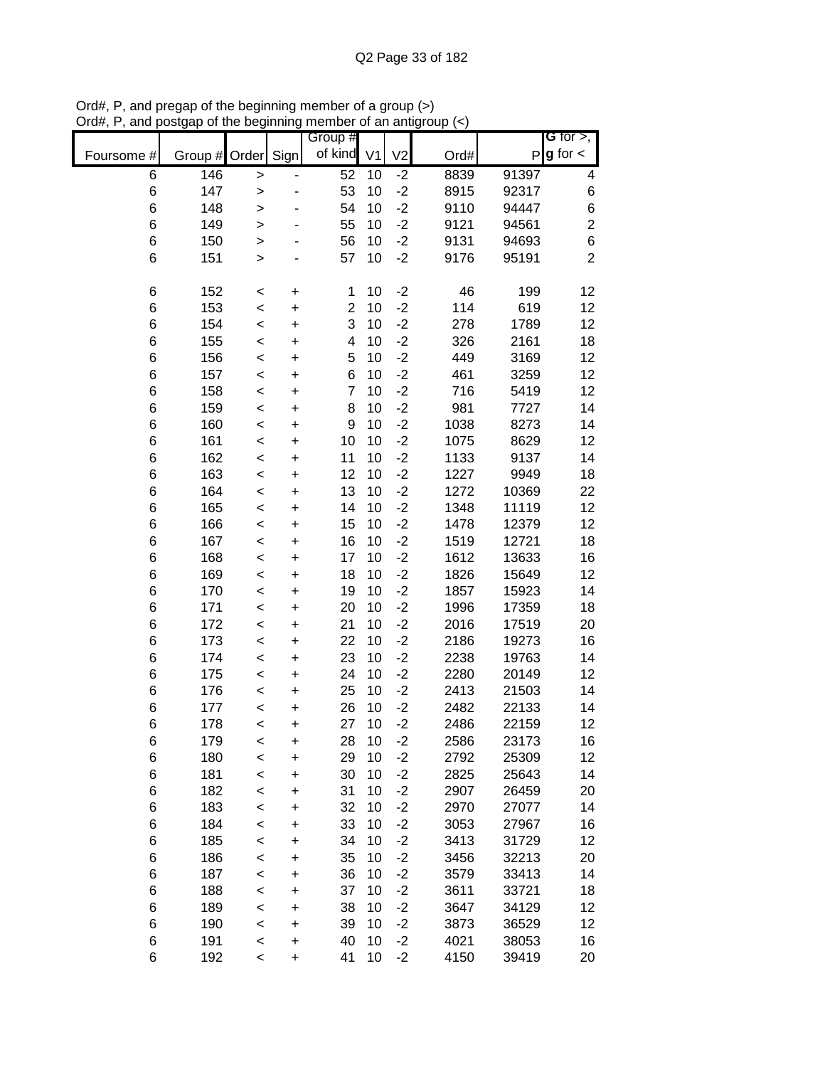|                |               |              |           | Group #                 |                |                |              |                | G for $>$ ,             |
|----------------|---------------|--------------|-----------|-------------------------|----------------|----------------|--------------|----------------|-------------------------|
| Foursome #     | Group # Order |              | Sign      | of kind                 | V <sub>1</sub> | V <sub>2</sub> | Ord#         | P              | $g$ for $\lt$           |
| 6              | 146           | >            |           | 52                      | 10             | $-2$           | 8839         | 91397          | 4                       |
| $\,6$          | 147           | $\geq$       |           | 53                      | 10             | $-2$           | 8915         | 92317          | 6                       |
| $\,6$          | 148           | $\geq$       |           | 54                      | 10             | $-2$           | 9110         | 94447          | 6                       |
| 6              | 149           | >            |           | 55                      | 10             | $-2$           | 9121         | 94561          | $\overline{\mathbf{c}}$ |
| $\,6$          | 150           | $\mathbf{I}$ |           | 56                      | 10             | $-2$           | 9131         | 94693          | 6                       |
| 6              | 151           | $\geq$       |           | 57                      | 10             | $-2$           | 9176         | 95191          | $\overline{2}$          |
|                |               |              |           |                         |                |                |              |                |                         |
| 6              | 152           | $\,<$        | +         | 1                       | 10             | $-2$           | 46           | 199            | 12                      |
| 6              | 153           | $\prec$      | +         | $\overline{2}$          | 10             | $-2$           | 114          | 619            | 12                      |
| 6              | 154           | $\prec$      | +         | 3                       | 10             | $-2$           | 278          | 1789           | 12                      |
| $\,6$          | 155           | $\prec$      | $\ddot{}$ | $\overline{\mathbf{4}}$ | 10             | $-2$           | 326          | 2161           | 18                      |
| 6              | 156           | $\prec$      | $\ddot{}$ | 5<br>6                  | 10<br>10       | $-2$           | 449          | 3169           | 12                      |
| 6              | 157           | $\prec$      | $\ddot{}$ | $\overline{7}$          | 10             | $-2$           | 461          | 3259           | 12                      |
| $\,6$          | 158           | $\prec$      | $\ddot{}$ |                         | 10             | $-2$<br>$-2$   | 716          | 5419           | 12                      |
| 6              | 159           | $\prec$      | $\ddot{}$ | 8<br>9                  | 10             | $-2$           | 981          | 7727<br>8273   | 14                      |
| $\,6$<br>$\,6$ | 160           | $\prec$      | $\ddot{}$ | 10                      |                | $-2$           | 1038         |                | 14                      |
|                | 161           | $\prec$      | $\ddot{}$ |                         | 10             | $-2$           | 1075         | 8629<br>9137   | 12                      |
| 6              | 162           | $\prec$      | $\ddot{}$ | 11<br>12                | 10<br>10       | $-2$           | 1133         |                | 14                      |
| $\,6$          | 163           | $\prec$      | $\ddot{}$ | 13                      | 10             | $-2$           | 1227         | 9949           | 18                      |
| $\,6$          | 164           | $\prec$      | $\ddot{}$ |                         |                |                | 1272         | 10369          | 22                      |
| $\,6$          | 165           | $\prec$      | $\ddot{}$ | 14                      | 10             | $-2$           | 1348         | 11119          | 12                      |
| 6              | 166           | $\prec$      | $\ddot{}$ | 15                      | 10             | $-2$           | 1478         | 12379          | 12                      |
| 6              | 167           | $\prec$      | +         | 16                      | 10             | $-2$           | 1519         | 12721          | 18                      |
| 6              | 168           | $\prec$      | +         | 17                      | 10             | $-2$           | 1612         | 13633          | 16                      |
| $\,6$          | 169           | $\prec$      | +         | 18                      | 10             | $-2$           | 1826         | 15649          | 12                      |
| 6              | 170           | <            | +         | 19                      | 10             | $-2$           | 1857         | 15923          | 14                      |
| 6              | 171           | <            | +         | 20                      | 10             | $-2$           | 1996         | 17359          | 18                      |
| $\,6$          | 172           | $\prec$      | $\ddot{}$ | 21                      | 10             | $-2$           | 2016         | 17519          | 20                      |
| $\,6$          | 173           | $\,<$        | $\ddot{}$ | 22                      | 10             | $-2$           | 2186         | 19273          | 16                      |
| 6              | 174           | $\prec$      | $\ddot{}$ | 23                      | 10             | $-2$           | 2238         | 19763          | 14                      |
| 6              | 175           | $\prec$      | $\ddot{}$ | 24                      | 10             | $-2$           | 2280         | 20149          | 12                      |
| 6              | 176           | $\prec$      | $\ddot{}$ | 25                      | 10             | $-2$           | 2413         | 21503          | 14                      |
| 6<br>6         | 177<br>178    | $\prec$      | $\ddot{}$ | 26<br>27                | 10<br>10       | $-2$<br>$-2$   | 2482<br>2486 | 22133<br>22159 | 14<br>12                |
|                |               | <            | $\ddot{}$ |                         | 10             | $-2$           | 2586         |                |                         |
| 6<br>6         | 179           | $\,<$        | +         | 28<br>29                | 10             | $-2$           |              | 23173          | 16<br>12                |
|                | 180           | $\prec$      | $\ddot{}$ |                         | 10             |                | 2792         | 25309          | 14                      |
| 6<br>6         | 181<br>182    | $\prec$      | +         | 30<br>31                | 10             | $-2$           | 2825         | 25643<br>26459 |                         |
| 6              |               | $\prec$      | +         |                         | 10             | $-2$           | 2907         |                | 20<br>14                |
|                | 183           | $\prec$      | +         | 32                      |                | $-2$           | 2970         | 27077          |                         |
| 6              | 184           | $\prec$      | +         | 33                      | 10             | $-2$           | 3053         | 27967          | 16                      |
| 6              | 185           | $\prec$      | +         | 34                      | 10             | $-2$           | 3413         | 31729          | 12                      |
| 6              | 186           | <            | +         | 35                      | 10             | $-2$           | 3456         | 32213          | 20                      |
| 6              | 187           | $\prec$      | +         | 36                      | 10             | $-2$           | 3579         | 33413          | 14                      |
| 6              | 188           | $\prec$      | +         | 37                      | 10             | $-2$           | 3611         | 33721          | 18                      |
| 6              | 189           | $\prec$      | +         | 38                      | 10             | $-2$           | 3647         | 34129          | 12                      |
| 6              | 190           | $\prec$      | +         | 39<br>40                | 10<br>10       | $-2$<br>$-2$   | 3873         | 36529          | 12                      |
| 6<br>6         | 191<br>192    | $\prec$      | $\ddot{}$ | 41                      | 10             | $-2$           | 4021<br>4150 | 38053<br>39419 | 16<br>20                |
|                |               | $\,<$        | +         |                         |                |                |              |                |                         |

Ord#, P, and pregap of the beginning member of a group (>) Ord#, P, and postgap of the beginning member of an antigroup (<)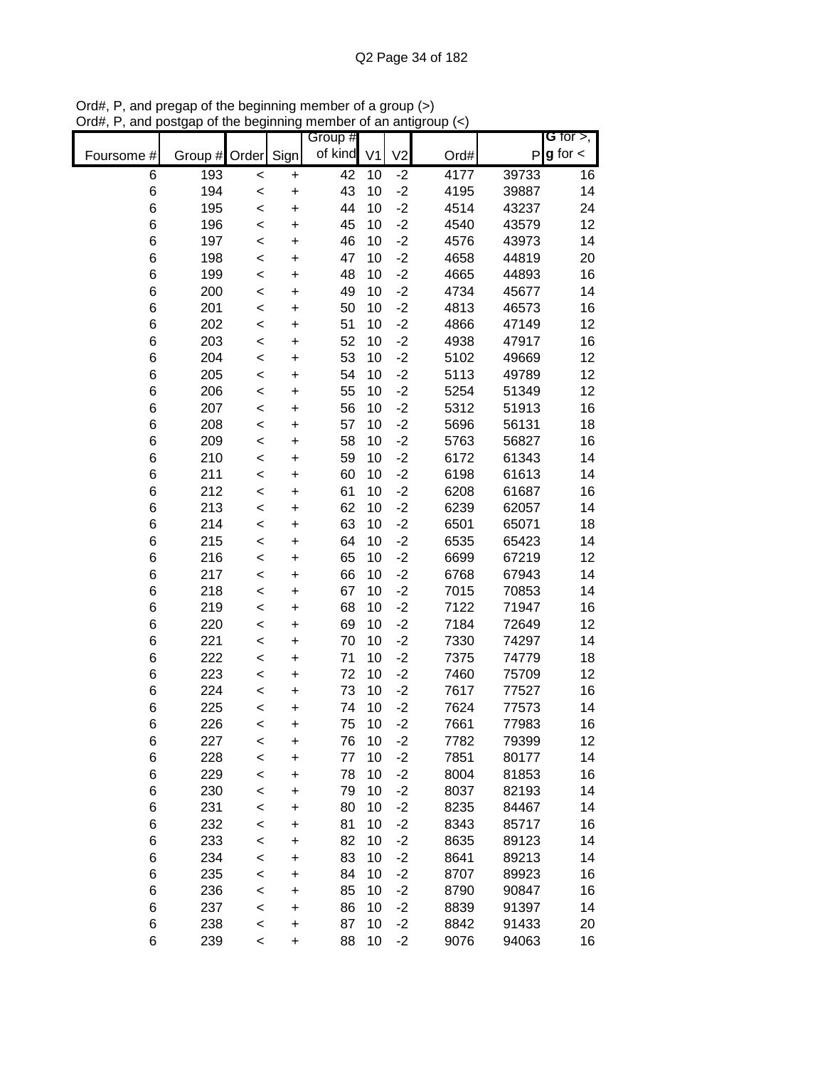|            |            |                  |                | Group #  |                |                |              |                | G for $>$ ,   |
|------------|------------|------------------|----------------|----------|----------------|----------------|--------------|----------------|---------------|
| Foursome # | Group #    | Order            | Sign           | of kind  | V <sub>1</sub> | V <sub>2</sub> | Ord#         | P              | $g$ for $\lt$ |
| 6          | 193        | $\prec$          | $\ddot{}$      | 42       | 10             | $-2$           | 4177         | 39733          | 16            |
| $\,6$      | 194        | $\prec$          | $\ddot{}$      | 43       | 10             | $-2$           | 4195         | 39887          | 14            |
| 6          | 195        | $\prec$          | $\ddot{}$      | 44       | 10             | $-2$           | 4514         | 43237          | 24            |
| 6          | 196        | $\prec$          | $\ddot{}$      | 45       | 10             | $-2$           | 4540         | 43579          | 12            |
| 6          | 197        | $\prec$          | $\ddot{}$      | 46       | 10             | $-2$           | 4576         | 43973          | 14            |
| 6          | 198        | $\prec$          | $\ddot{}$      | 47       | 10             | $-2$           | 4658         | 44819          | 20            |
| 6          | 199        | <                | $\ddot{}$      | 48       | 10             | $-2$           | 4665         | 44893          | 16            |
| $\,6$      | 200        | $\prec$          | +              | 49       | 10             | $-2$           | 4734         | 45677          | 14            |
| 6          | 201        | $\prec$          | $\ddot{}$      | 50       | 10             | $-2$           | 4813         | 46573          | 16            |
| 6          | 202        | $\prec$          | $\ddot{}$      | 51       | 10             | $-2$           | 4866         | 47149          | 12            |
| 6          | 203        | $\prec$          | $\ddot{}$      | 52       | 10             | $-2$           | 4938         | 47917          | 16            |
| 6          | 204        | $\prec$          | $\ddot{}$      | 53       | 10             | $-2$           | 5102         | 49669          | 12            |
| 6          | 205        | $\prec$          | $\ddot{}$      | 54       | 10             | $-2$           | 5113         | 49789          | 12            |
| 6          | 206        | $\prec$          | $\ddot{}$      | 55       | 10             | $-2$           | 5254         | 51349          | 12            |
| 6          | 207        | $\prec$          | $\ddot{}$      | 56       | 10             | $-2$           | 5312         | 51913          | 16            |
| 6          | 208        | $\prec$          | $\ddot{}$      | 57       | 10             | $-2$           | 5696         | 56131          | 18            |
| 6          | 209        | $\prec$          | $\ddot{}$      | 58       | 10             | $-2$           | 5763         | 56827          | 16            |
| 6          | 210        | $\prec$          | $\ddot{}$      | 59       | 10             | $-2$           | 6172         | 61343          | 14            |
| 6          | 211        | $\prec$          | $\ddot{}$      | 60       | 10             | $-2$           | 6198         | 61613          | 14            |
| 6          | 212        | $\prec$          | $\ddot{}$      | 61       | 10             | $-2$           | 6208         | 61687          | 16            |
| 6          | 213        | $\prec$          | $\ddot{}$      | 62       | 10             | $-2$           | 6239         | 62057          | 14            |
| 6          | 214        | $\prec$          | $\ddot{}$      | 63       | 10             | $-2$           | 6501         | 65071          | 18            |
| 6          | 215        | $\prec$          | +              | 64       | 10             | $-2$           | 6535         | 65423          | 14            |
| 6          | 216        | <                | +              | 65       | 10             | $-2$           | 6699         | 67219          | 12            |
| $\,6$      | 217        | <                | +              | 66       | 10             | $-2$           | 6768         | 67943          | 14            |
| $\,6$      | 218        | $\prec$          | $\ddot{}$      | 67       | 10             | $-2$           | 7015         | 70853          | 14            |
| 6          | 219        | $\prec$          | $\ddot{}$      | 68       | 10             | $-2$           | 7122         | 71947          | 16            |
| 6          | 220        | $\prec$          | $\ddot{}$      | 69       | 10             | $-2$           | 7184         | 72649          | 12            |
| 6          | 221        | $\prec$          | $\ddot{}$      | 70       | 10             | $-2$           | 7330         | 74297          | 14            |
| 6          | 222        | $\prec$          | $\ddot{}$      | 71       | 10             | $-2$           | 7375         | 74779          | 18            |
| 6          | 223        | $\prec$          | $\ddot{}$      | 72       | 10             | $-2$           | 7460         | 75709          | 12            |
| 6          | 224        | $\prec$          | $\ddot{}$      | 73       | 10             | $-2$           | 7617         | 77527          | 16            |
| 6          | 225        | $\prec$          | $\ddot{}$      | 74       | 10             | $-2$           | 7624         | 77573          | 14            |
| 6          | 226        | <                | $\ddot{}$      | 75       | 10             | $-2$           | 7661         | 77983          | 16            |
| 6          | 227        | <                | +              | 76       | 10             | $-2$           | 7782         | 79399          | 12            |
| 6          | 228        | $\prec$          | +              | 77       | 10             | $-2$           | 7851         | 80177          | 14            |
| 6          | 229        | $\prec$          | +              | 78       | 10             | $-2$           | 8004         | 81853          | 16            |
| 6          | 230        | $\prec$          | +              | 79       | 10             | $-2$           | 8037         | 82193          | 14            |
| 6          | 231        | $\prec$          | +              | 80       | 10             | $-2$           | 8235         | 84467          | 14            |
| 6          | 232        | <                | +              | 81       | 10             | $-2$           | 8343         | 85717          | 16            |
| 6          | 233        | $\prec$          | +              | 82       | 10             | $-2$           | 8635         | 89123          | 14            |
| 6          | 234        | $\prec$          | +              | 83<br>84 | 10<br>10       | $-2$<br>$-2$   | 8641         | 89213          | 14            |
| 6<br>6     | 235        | $\prec$          | +              | 85       | 10             | $-2$           | 8707<br>8790 | 89923<br>90847 | 16<br>16      |
| 6          | 236<br>237 | $\,<$            | +              | 86       | 10             | $-2$           | 8839         | 91397          | 14            |
| 6          | 238        | $\,<$            | +              | 87       | 10             | $-2$           | 8842         | 91433          | 20            |
| 6          | 239        | $\prec$<br>$\,<$ | +<br>$\ddot{}$ | 88       | 10             | $-2$           | 9076         | 94063          | 16            |
|            |            |                  |                |          |                |                |              |                |               |

Ord#, P, and pregap of the beginning member of a group (>) Ord#, P, and postgap of the beginning member of an antigroup (<)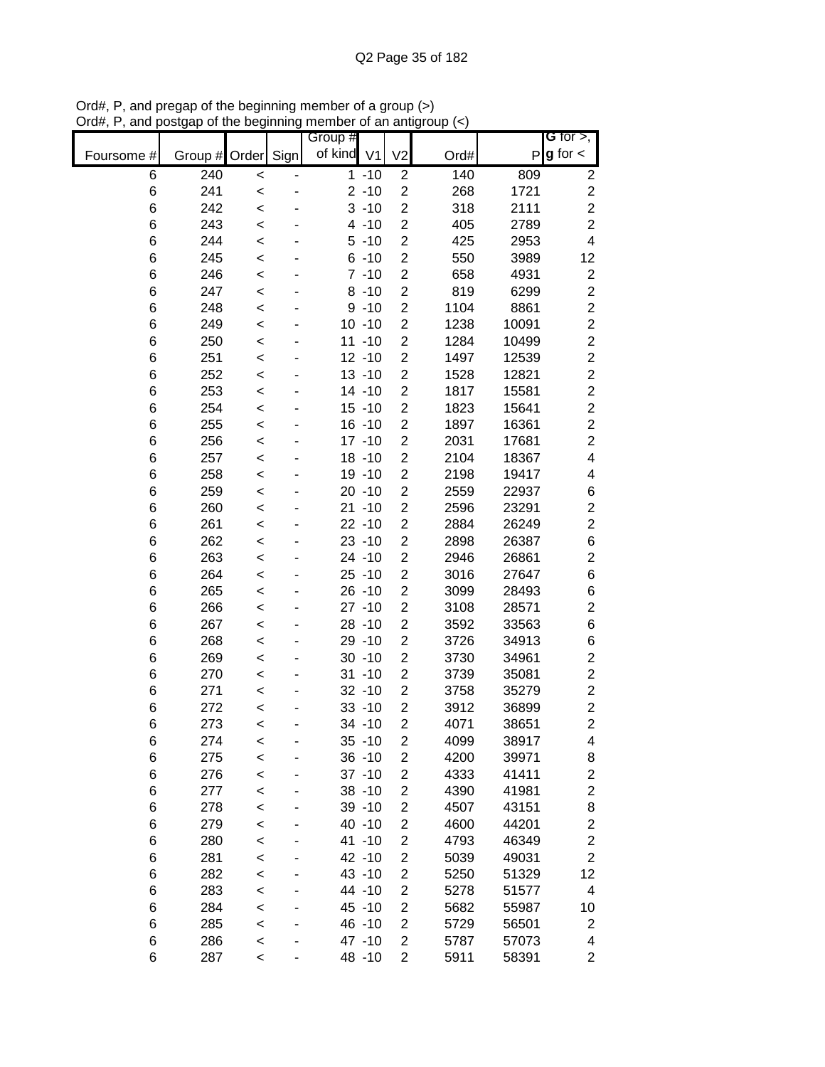|            |                    |         | Group #    |           |                         |      |       | G for $>$ ,              |
|------------|--------------------|---------|------------|-----------|-------------------------|------|-------|--------------------------|
| Foursome # | Group # Order Sign |         | of kind V1 |           | V <sub>2</sub>          | Ord# |       | $P g$ for $\lt$          |
| 6          | 240                | $\,<$   |            | $1 - 10$  | $\overline{2}$          | 140  | 809   | $\boldsymbol{2}$         |
| 6          | 241                | $\,<$   |            | $2 - 10$  | $\overline{2}$          | 268  | 1721  | $\boldsymbol{2}$         |
| 6          | 242                | $\,<$   |            | $3 - 10$  | $\overline{2}$          | 318  | 2111  | $\overline{c}$           |
| 6          | 243                | $\prec$ |            | $4 - 10$  | $\overline{2}$          | 405  | 2789  | $\overline{2}$           |
| 6          | 244                | $\,<$   |            | $5 - 10$  | $\overline{2}$          | 425  | 2953  | $\overline{\mathbf{4}}$  |
| 6          | 245                | $\,<$   |            | $6 - 10$  | $\overline{2}$          | 550  | 3989  | 12                       |
| 6          | 246                | $\prec$ |            | $7 - 10$  | $\overline{2}$          | 658  | 4931  | $\boldsymbol{2}$         |
| 6          | 247                | $\,<$   |            | $8 - 10$  | $\overline{2}$          | 819  | 6299  | $\overline{c}$           |
| 6          | 248                | $\,<$   |            | $9 - 10$  | $\overline{c}$          | 1104 | 8861  | $\overline{c}$           |
| 6          | 249                | $\,<$   |            | $10 - 10$ | $\overline{c}$          | 1238 | 10091 | $\overline{c}$           |
| 6          | 250                | $\,<$   |            | $11 - 10$ | $\overline{c}$          | 1284 | 10499 | $\overline{c}$           |
| 6          | 251                | $\,<$   |            | $12 - 10$ | $\overline{2}$          | 1497 | 12539 | $\overline{c}$           |
| 6          | 252                | $\,<$   |            | $13 - 10$ | $\overline{c}$          | 1528 | 12821 | $\overline{c}$           |
| 6          | 253                | $\,<$   |            | 14 -10    | $\overline{2}$          | 1817 | 15581 | $\overline{c}$           |
| 6          | 254                | $\prec$ |            | $15 - 10$ | $\overline{2}$          | 1823 | 15641 | $\overline{c}$           |
| 6          | 255                | $\prec$ |            | $16 - 10$ | $\overline{2}$          | 1897 | 16361 | $\overline{2}$           |
| 6          | 256                | $\,<$   |            | $17 - 10$ | $\overline{2}$          | 2031 | 17681 | $\overline{2}$           |
| 6          | 257                | $\,<$   |            | $18 - 10$ | $\overline{2}$          | 2104 | 18367 | $\overline{\mathcal{A}}$ |
| 6          | 258                | $\,<$   |            | 19 -10    | $\overline{2}$          | 2198 | 19417 | 4                        |
| 6          | 259                | $\,<$   |            | $20 - 10$ | $\overline{2}$          | 2559 | 22937 | $\,6$                    |
| 6          | 260                | $\prec$ |            | $21 - 10$ | $\overline{2}$          | 2596 | 23291 | $\overline{\mathbf{c}}$  |
| 6          | 261                | $\,<$   |            | $22 - 10$ | $\overline{c}$          | 2884 | 26249 | $\overline{2}$           |
| 6          | 262                | $\,<$   |            | $23 - 10$ | $\overline{c}$          | 2898 | 26387 | $\,$ 6 $\,$              |
| 6          | 263                | $\prec$ |            | $24 - 10$ | $\overline{c}$          | 2946 | 26861 | $\overline{\mathbf{c}}$  |
| 6          | 264                | $\prec$ |            | $25 - 10$ | $\overline{2}$          | 3016 | 27647 | $\,$ 6 $\,$              |
| 6          | 265                | $\,<$   |            | $26 - 10$ | 2                       | 3099 | 28493 | $\,6$                    |
| 6          | 266                | $\,<$   |            | $27 - 10$ | $\overline{2}$          | 3108 | 28571 | $\overline{c}$           |
| 6          | 267                | $\,<$   |            | $28 - 10$ | $\overline{2}$          | 3592 | 33563 | $\,6$                    |
| 6          | 268                | $\,<$   |            | 29 - 10   | $\overline{2}$          | 3726 | 34913 | 6                        |
| 6          | 269                | $\,<$   |            | $30 - 10$ | $\overline{c}$          | 3730 | 34961 | $\boldsymbol{2}$         |
| 6          | 270                | $\,<$   |            | $31 - 10$ | $\overline{c}$          | 3739 | 35081 | $\overline{c}$           |
| 6          | 271                | $\prec$ |            | $32 - 10$ | $\overline{c}$          | 3758 | 35279 | $\boldsymbol{2}$         |
| 6          | 272                | $\prec$ |            | $33 - 10$ | $\overline{c}$          | 3912 | 36899 | $\overline{2}$           |
| 6          | 273                | $\,<$   |            | 34 -10    | $\overline{2}$          | 4071 | 38651 | $\overline{2}$           |
| 6          | 274                | $\,<$   |            | $35 - 10$ | $\overline{c}$          | 4099 | 38917 | 4                        |
| 6          | 275                | $\prec$ |            | $36 - 10$ | $\overline{c}$          | 4200 | 39971 | 8                        |
| 6          | 276                | $\prec$ |            | $37 - 10$ | $\overline{c}$          | 4333 | 41411 | $\overline{c}$           |
| 6          | 277                | $\prec$ |            | $38 - 10$ | $\overline{\mathbf{c}}$ | 4390 | 41981 | $\overline{c}$           |
| 6          | 278                | $\prec$ |            | $39 - 10$ | $\overline{c}$          | 4507 | 43151 | 8                        |
| 6          | 279                | $\prec$ |            | 40 -10    | $\overline{c}$          | 4600 | 44201 | $\overline{c}$           |
| 6          | 280                | $\prec$ |            | 41 -10    | $\overline{2}$          | 4793 | 46349 | $\overline{c}$           |
| 6          | 281                | $\,<$   |            | 42 -10    | 2                       | 5039 | 49031 | $\overline{2}$           |
| 6          | 282                | $\,<$   |            | 43 -10    | $\overline{2}$          | 5250 | 51329 | 12                       |
| 6          | 283                | $\,<$   |            | 44 -10    | 2                       | 5278 | 51577 | 4                        |
| 6          | 284                | $\,<$   |            | 45 - 10   | $\overline{2}$          | 5682 | 55987 | 10                       |
| 6          | 285                | $\,<$   |            | 46 - 10   | $\overline{2}$          | 5729 | 56501 | $\overline{c}$           |
| 6          | 286                | $\,<$   |            | 47 -10    | $\overline{2}$          | 5787 | 57073 | 4                        |
| 6          | 287                | $\,<$   |            | 48 - 10   | $\overline{c}$          | 5911 | 58391 | $\overline{c}$           |

Ord#, P, and pregap of the beginning member of a group (>) Ord#, P, and postgap of the beginning member of an antigroup (<)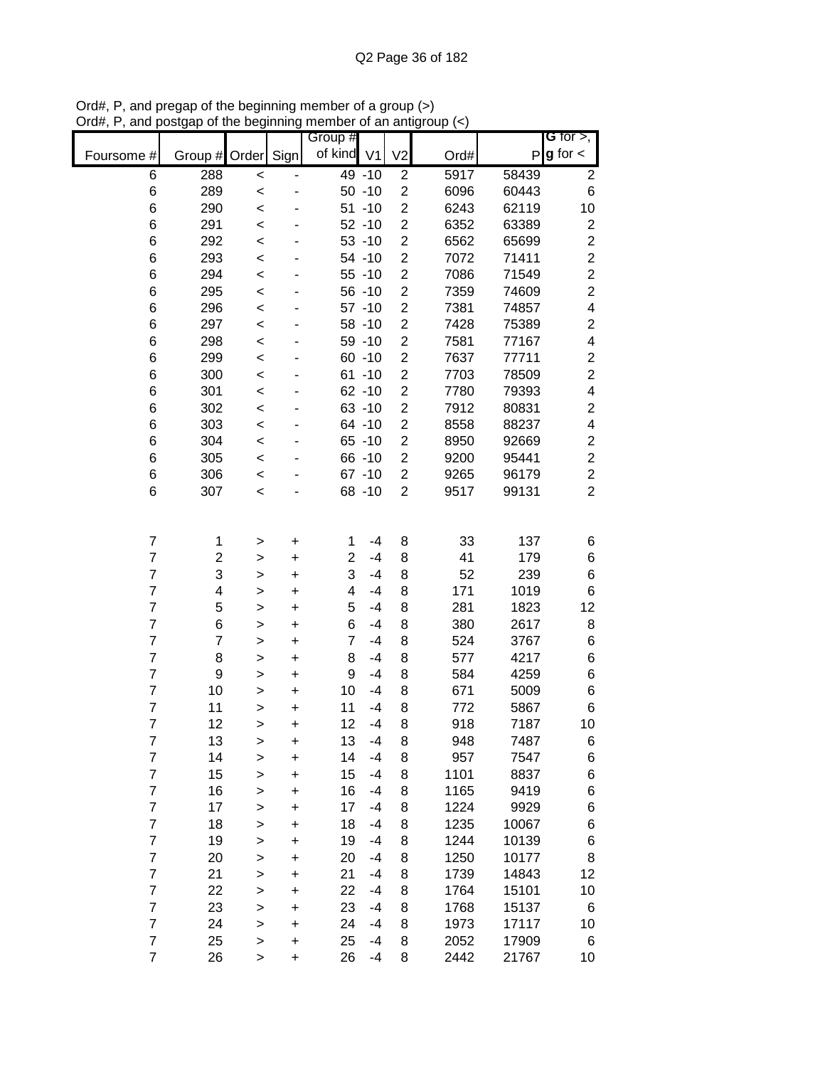|                         |                         |                    | .   .y    | ,,,,<br>uuuu<br>Group # |           |                         | $\sim$ $\sim$ $\sim$ $\sim$ $\sim$ |       | G for $>$ ,             |
|-------------------------|-------------------------|--------------------|-----------|-------------------------|-----------|-------------------------|------------------------------------|-------|-------------------------|
| Foursome #              | Group #                 | Order              | Sign      | of kind V1              |           | V <sub>2</sub>          | Ord#                               | P     | $g$ for $\lt$           |
| 6                       | 288                     |                    |           |                         | 49 - 10   | $\overline{\mathbf{c}}$ | 5917                               | 58439 | $\overline{\mathbf{c}}$ |
| 6                       | 289                     | $\prec$<br>$\prec$ |           |                         | $50 - 10$ | $\overline{c}$          | 6096                               | 60443 | 6                       |
| 6                       | 290                     | $\prec$            |           |                         | $51 - 10$ | $\overline{\mathbf{c}}$ | 6243                               | 62119 | 10                      |
| 6                       | 291                     | $\,<$              |           |                         | $52 - 10$ | $\overline{c}$          | 6352                               | 63389 | $\overline{\mathbf{c}}$ |
| 6                       | 292                     | $\prec$            |           |                         | $53 - 10$ | $\overline{c}$          | 6562                               | 65699 | $\boldsymbol{2}$        |
| 6                       | 293                     | $\prec$            |           |                         | 54 -10    | $\overline{2}$          | 7072                               | 71411 | $\overline{\mathbf{c}}$ |
| 6                       | 294                     | $\prec$            |           |                         | $55 - 10$ | $\overline{c}$          | 7086                               | 71549 | $\overline{\mathbf{c}}$ |
| 6                       | 295                     | $\prec$            |           |                         | $56 - 10$ | $\overline{c}$          | 7359                               | 74609 | $\overline{\mathbf{c}}$ |
| 6                       | 296                     | $\prec$            |           |                         | $57 - 10$ | $\overline{c}$          | 7381                               | 74857 | 4                       |
| 6                       | 297                     | $\prec$            |           |                         | 58 - 10   | $\overline{c}$          | 7428                               | 75389 | $\overline{\mathbf{c}}$ |
| 6                       | 298                     | $\prec$            |           |                         | 59 - 10   | $\overline{c}$          | 7581                               | 77167 | $\overline{\mathbf{4}}$ |
| 6                       | 299                     | $\prec$            |           |                         | $60 - 10$ | $\overline{c}$          | 7637                               | 77711 | $\overline{\mathbf{c}}$ |
| 6                       | 300                     | $\prec$            |           |                         | $61 - 10$ | $\overline{c}$          | 7703                               | 78509 | $\overline{\mathbf{c}}$ |
| 6                       | 301                     | $\prec$            |           |                         | $62 - 10$ | $\overline{c}$          | 7780                               | 79393 | 4                       |
| $\,6$                   | 302                     | $\prec$            |           |                         | $63 - 10$ | $\overline{\mathbf{c}}$ | 7912                               | 80831 | $\overline{c}$          |
| 6                       | 303                     | $\prec$            |           |                         | 64 -10    | $\overline{c}$          | 8558                               | 88237 | $\overline{\mathbf{4}}$ |
| 6                       | 304                     | $\prec$            |           |                         | $65 - 10$ | $\overline{\mathbf{c}}$ | 8950                               | 92669 | $\overline{\mathbf{c}}$ |
| $\,6$                   | 305                     | $\prec$            |           |                         | 66 -10    | $\overline{c}$          | 9200                               | 95441 | $\overline{c}$          |
| 6                       | 306                     | $\,<$              |           |                         | $67 - 10$ | $\overline{c}$          | 9265                               | 96179 | $\overline{c}$          |
| 6                       | 307                     | $\prec$            |           |                         | 68 - 10   | $\overline{2}$          | 9517                               | 99131 | $\overline{2}$          |
|                         |                         |                    |           |                         |           |                         |                                    |       |                         |
|                         |                         |                    |           |                         |           |                         |                                    |       |                         |
| $\overline{7}$          | 1                       | >                  | $\ddot{}$ | 1                       | $-4$      | 8                       | 33                                 | 137   | 6                       |
| $\overline{7}$          | $\overline{\mathbf{c}}$ | $\geq$             | $\ddot{}$ | $\overline{\mathbf{c}}$ | $-4$      | 8                       | 41                                 | 179   | 6                       |
| $\overline{7}$          | 3                       | $\geq$             | $\ddot{}$ | 3                       | $-4$      | 8                       | 52                                 | 239   | 6                       |
| $\overline{7}$          | 4                       | $\geq$             | $\ddot{}$ | 4                       | $-4$      | 8                       | 171                                | 1019  | 6                       |
| $\overline{7}$          | 5                       | $\mathbf{I}$       | $\ddot{}$ | 5                       | $-4$      | 8                       | 281                                | 1823  | 12                      |
| $\overline{7}$          | 6                       | >                  | $\ddot{}$ | 6                       | $-4$      | 8                       | 380                                | 2617  | 8                       |
| $\overline{7}$          | $\overline{7}$          | $\mathbf{I}$       | $\ddot{}$ | $\overline{7}$          | $-4$      | 8                       | 524                                | 3767  | 6                       |
| $\overline{7}$          | 8                       | $\mathbf{I}$       | $\ddot{}$ | 8                       | $-4$      | 8                       | 577                                | 4217  | 6                       |
| $\overline{7}$          | 9                       | $\geq$             | $\ddot{}$ | 9                       | $-4$      | 8                       | 584                                | 4259  | 6                       |
| $\overline{7}$          | 10                      | $\geq$             | $\ddot{}$ | 10                      | $-4$      | 8                       | 671                                | 5009  | 6                       |
| $\overline{7}$          | 11                      | $\geq$             | $\ddot{}$ | 11                      | $-4$      | 8                       | 772                                | 5867  | 6                       |
| $\overline{7}$          | 12                      | >                  | $\ddot{}$ | 12                      | $-4$      | 8                       | 918                                | 7187  | 10                      |
| $\overline{7}$          | 13                      | >                  | +         | 13                      | $-4$      | 8                       | 948                                | 7487  | 6                       |
| $\overline{7}$          | 14                      | >                  | +         | 14                      | $-4$      | 8                       | 957                                | 7547  | 6                       |
| $\overline{\mathbf{7}}$ | 15                      | >                  | +         | 15                      | $-4$      | 8                       | 1101                               | 8837  | 6                       |
| $\overline{7}$          | 16                      | $\geq$             | +         | 16                      | $-4$      | 8                       | 1165                               | 9419  | 6                       |
| $\overline{7}$          | 17                      | $\geq$             | $\ddot{}$ | 17                      | $-4$      | 8                       | 1224                               | 9929  | 6                       |
| $\overline{7}$          | 18                      | $\geq$             | $\ddot{}$ | 18                      | $-4$      | 8                       | 1235                               | 10067 | 6                       |
| $\overline{7}$          | 19                      | $\geq$             | $\ddot{}$ | 19                      | $-4$      | 8                       | 1244                               | 10139 | 6                       |
| $\overline{7}$          | 20                      | $\geq$             | $\ddot{}$ | 20                      | $-4$      | 8                       | 1250                               | 10177 | 8                       |
| $\overline{7}$          | 21                      | $\geq$             | $\ddot{}$ | 21                      | $-4$      | 8                       | 1739                               | 14843 | 12                      |
| $\overline{7}$          | 22                      | $\mathbf{I}$       | $\ddot{}$ | 22                      | $-4$      | 8                       | 1764                               | 15101 | 10                      |
| $\overline{7}$          | 23                      | $\mathbf{I}$       | $\ddot{}$ | 23                      | $-4$      | 8                       | 1768                               | 15137 | 6                       |
| $\overline{7}$          | 24                      | $\mathbf{I}$       | $\ddot{}$ | 24                      | $-4$      | 8                       | 1973                               | 17117 | 10                      |
| $\overline{7}$          | 25                      | >                  | $\ddot{}$ | 25                      | $-4$      | 8                       | 2052                               | 17909 | 6                       |
| $\overline{7}$          | 26                      | >                  | $\ddot{}$ | 26                      | $-4$      | 8                       | 2442                               | 21767 | 10                      |

Ord#, P, and pregap of the beginning member of a group (>) Ord#, P, and postgap of the beginning member of an antigroup (<)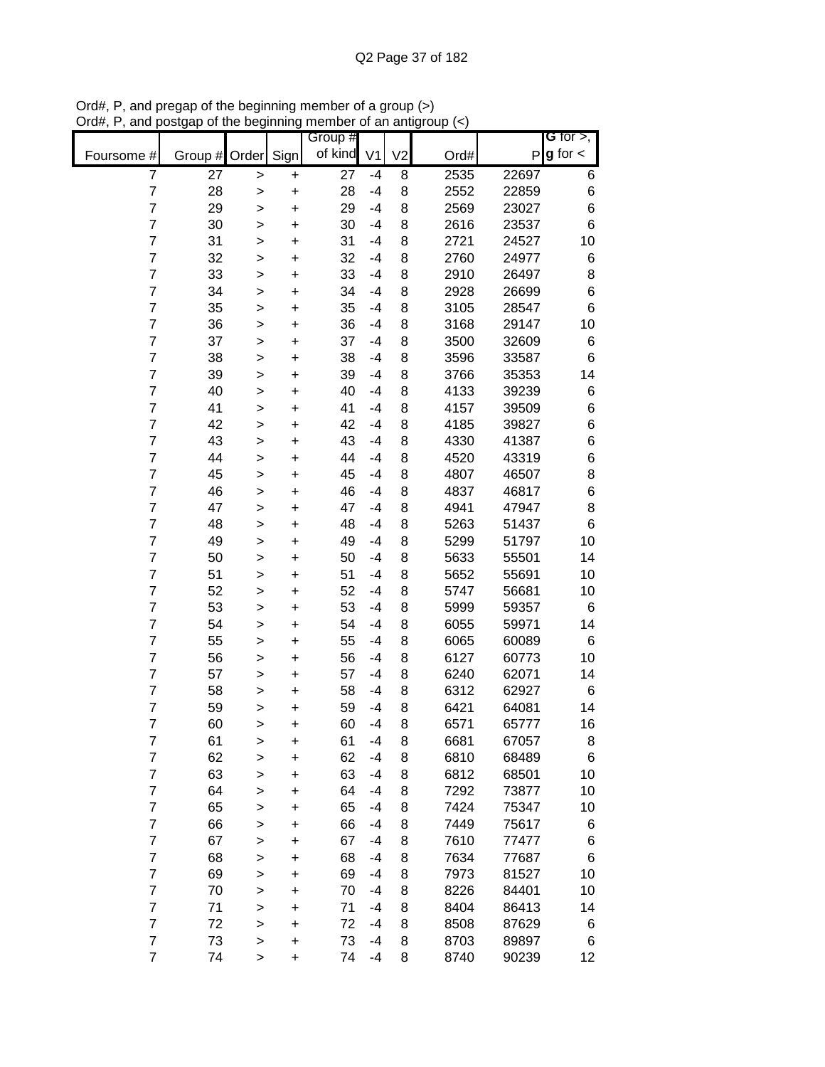|                |         |              |           | Group # |                |                |      |       | G for $>$ ,     |
|----------------|---------|--------------|-----------|---------|----------------|----------------|------|-------|-----------------|
| Foursome #     | Group # | Order        | Sign      | of kind | V <sub>1</sub> | V <sub>2</sub> | Ord# | Ρ     | $g$ for $\lt$   |
| $\overline{7}$ | 27      | >            | +         | 27      | $-4$           | 8              | 2535 | 22697 | 6               |
| $\overline{7}$ | 28      | >            | $\ddot{}$ | 28      | $-4$           | 8              | 2552 | 22859 | $\,6$           |
| $\overline{7}$ | 29      | >            | $\ddot{}$ | 29      | $-4$           | 8              | 2569 | 23027 | 6               |
| $\overline{7}$ | 30      | >            | $\ddot{}$ | 30      | -4             | 8              | 2616 | 23537 | 6               |
| $\overline{7}$ | 31      | $\geq$       | $\ddot{}$ | 31      | $-4$           | 8              | 2721 | 24527 | 10              |
| $\overline{7}$ | 32      | >            | +         | 32      | $-4$           | 8              | 2760 | 24977 | 6               |
| $\overline{7}$ | 33      | $\mathbf{I}$ | +         | 33      | $-4$           | 8              | 2910 | 26497 | 8               |
| $\overline{7}$ | 34      | >            | +         | 34      | -4             | 8              | 2928 | 26699 | $\,6$           |
| $\overline{7}$ | 35      | >            | +         | 35      | -4             | 8              | 3105 | 28547 | $6\phantom{1}6$ |
| $\overline{7}$ | 36      | >            | +         | 36      | -4             | 8              | 3168 | 29147 | 10              |
| $\overline{7}$ | 37      | $\mathbf{I}$ | $\ddot{}$ | 37      | -4             | 8              | 3500 | 32609 | 6               |
| $\overline{7}$ | 38      | $\mathbf{I}$ | $\ddot{}$ | 38      | -4             | 8              | 3596 | 33587 | 6               |
| $\overline{7}$ | 39      | $\geq$       | $\ddot{}$ | 39      | -4             | 8              | 3766 | 35353 | 14              |
| $\overline{7}$ | 40      | $\geq$       | +         | 40      | -4             | 8              | 4133 | 39239 | 6               |
| $\overline{7}$ | 41      | >            | $\ddot{}$ | 41      | $-4$           | 8              | 4157 | 39509 | 6               |
| $\overline{7}$ | 42      | >            | $\ddot{}$ | 42      | $-4$           | 8              | 4185 | 39827 | 6               |
| $\overline{7}$ | 43      | >            | $\ddot{}$ | 43      | $-4$           | 8              | 4330 | 41387 | 6               |
| $\overline{7}$ | 44      | >            | $\ddot{}$ | 44      | $-4$           | 8              | 4520 | 43319 | $\,6$           |
| $\overline{7}$ | 45      | >            | $\ddot{}$ | 45      | $-4$           | 8              | 4807 | 46507 | 8               |
| $\overline{7}$ | 46      | $\mathbf{I}$ | $\ddot{}$ | 46      | $-4$           | 8              | 4837 | 46817 | 6               |
| $\overline{7}$ | 47      | $\mathbf{I}$ | $\ddot{}$ | 47      | $-4$           | 8              | 4941 | 47947 | 8               |
| $\overline{7}$ | 48      | $\geq$       | $\ddot{}$ | 48      | $-4$           | 8              | 5263 | 51437 | $\,6$           |
| $\overline{7}$ | 49      | >            | +         | 49      | $-4$           | 8              | 5299 | 51797 | 10              |
| $\overline{7}$ | 50      | >            | +         | 50      | -4             | 8              | 5633 | 55501 | 14              |
| $\overline{7}$ | 51      | >            | +         | 51      | $-4$           | 8              | 5652 | 55691 | 10              |
| $\overline{7}$ | 52      | >            | +         | 52      | -4             | 8              | 5747 | 56681 | 10              |
| $\overline{7}$ | 53      | >            | +         | 53      | -4             | 8              | 5999 | 59357 | 6               |
| $\overline{7}$ | 54      | $\mathbf{I}$ | $\ddot{}$ | 54      | $-4$           | 8              | 6055 | 59971 | 14              |
| $\overline{7}$ | 55      | $\mathbf{I}$ | $\ddot{}$ | 55      | -4             | 8              | 6065 | 60089 | 6               |
| $\overline{7}$ | 56      | $\geq$       | $\ddot{}$ | 56      | -4             | 8              | 6127 | 60773 | 10              |
| $\overline{7}$ | 57      | $\geq$       | +         | 57      | -4             | 8              | 6240 | 62071 | 14              |
| $\overline{7}$ | 58      | >            | $\ddot{}$ | 58      | $-4$           | 8              | 6312 | 62927 | 6               |
| $\overline{7}$ | 59      | >            | +         | 59      | -4             | 8              | 6421 | 64081 | 14              |
| $\overline{7}$ | 60      | >            | $\ddot{}$ | 60      | $-4$           | 8              | 6571 | 65777 | 16              |
| $\overline{7}$ | 61      | >            | +         | 61      | $-4$           | 8              | 6681 | 67057 | 8               |
| $\overline{7}$ | 62      | >            | $\ddot{}$ | 62      | -4             | 8              | 6810 | 68489 | 6               |
| $\overline{7}$ | 63      | >            | +         | 63      | $-4$           | 8              | 6812 | 68501 | 10              |
| $\overline{7}$ | 64      | $\geq$       | +         | 64      | -4             | 8              | 7292 | 73877 | 10              |
| $\overline{7}$ | 65      | >            | +         | 65      | -4             | 8              | 7424 | 75347 | 10              |
| $\overline{7}$ | 66      | >            | +         | 66      | -4             | 8              | 7449 | 75617 | 6               |
| $\overline{7}$ | 67      | >            | +         | 67      | $-4$           | 8              | 7610 | 77477 | 6               |
| $\overline{7}$ | 68      | >            | +         | 68      | -4             | 8              | 7634 | 77687 | 6               |
| $\overline{7}$ | 69      | >            | +         | 69      | $-4$           | 8              | 7973 | 81527 | 10              |
| $\overline{7}$ | 70      | >            | +         | 70      | $-4$           | 8              | 8226 | 84401 | 10              |
| $\overline{7}$ | 71      | $\mathbf{I}$ | +         | 71      | $-4$           | 8              | 8404 | 86413 | 14              |
| $\overline{7}$ | 72      | $\mathbf{I}$ | +         | 72      | $-4$           | 8              | 8508 | 87629 | 6               |
| $\overline{7}$ | 73      | $\geq$       | +         | 73      | $-4$           | 8              | 8703 | 89897 | 6               |
| $\overline{7}$ | 74      | $\,$         | +         | 74      | $-4$           | 8              | 8740 | 90239 | 12              |

Ord#, P, and pregap of the beginning member of a group (>) Ord#, P, and postgap of the beginning member of an antigroup (<)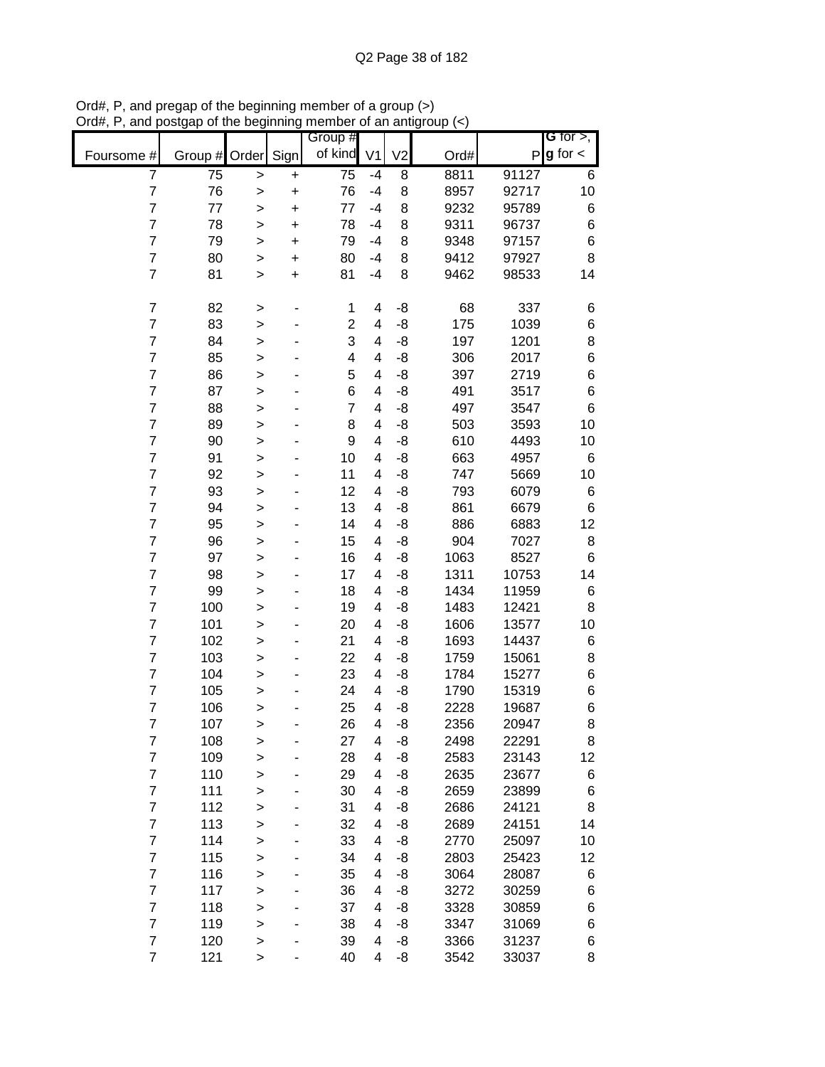|                         |               |              |           | Group #         |                |                |      |       | G for $>$ ,   |
|-------------------------|---------------|--------------|-----------|-----------------|----------------|----------------|------|-------|---------------|
| Foursome #              | Group # Order |              | Sign      | of kind         | V <sub>1</sub> | V <sub>2</sub> | Ord# | P     | $g$ for $\lt$ |
| $\overline{7}$          | 75            | >            | +         | $\overline{75}$ | $-4$           | 8              | 8811 | 91127 | 6             |
| $\overline{7}$          | 76            | $\mathbf{I}$ | $\ddot{}$ | 76              | $-4$           | 8              | 8957 | 92717 | 10            |
| $\overline{7}$          | 77            | >            | $\ddot{}$ | 77              | $-4$           | 8              | 9232 | 95789 | 6             |
| $\overline{7}$          | 78            | $\geq$       | $\ddot{}$ | 78              | -4             | 8              | 9311 | 96737 | 6             |
| $\overline{7}$          | 79            | >            | $\ddot{}$ | 79              | $-4$           | 8              | 9348 | 97157 | $\,$ 6 $\,$   |
| $\overline{7}$          | 80            | >            | $\ddot{}$ | 80              | -4             | 8              | 9412 | 97927 | 8             |
| $\overline{7}$          | 81            | >            | $\ddot{}$ | 81              | $-4$           | 8              | 9462 | 98533 | 14            |
| $\overline{7}$          | 82            | >            |           | 1               | 4              | -8             | 68   | 337   | 6             |
| $\overline{7}$          | 83            | $\mathbf{I}$ |           | $\overline{2}$  | 4              | -8             | 175  | 1039  | 6             |
| $\overline{7}$          | 84            | $\mathbf{I}$ |           | 3               | 4              | -8             | 197  | 1201  | 8             |
| $\overline{7}$          | 85            | $\geq$       |           | 4               | 4              | -8             | 306  | 2017  | $\,$ 6 $\,$   |
| $\overline{7}$          | 86            | $\geq$       |           | 5               | 4              | -8             | 397  | 2719  | $\,$ 6 $\,$   |
| $\overline{7}$          | 87            | >            |           | 6               | 4              | -8             | 491  | 3517  | $\,$ 6 $\,$   |
| $\overline{7}$          | 88            | >            |           | $\overline{7}$  | 4              | -8             | 497  | 3547  | $\,6$         |
| $\overline{7}$          | 89            | >            |           | 8               | 4              | -8             | 503  | 3593  | 10            |
| $\overline{7}$          | 90            | >            |           | 9               | 4              | -8             | 610  | 4493  | 10            |
| $\overline{7}$          | 91            | $\geq$       |           | 10              | 4              | -8             | 663  | 4957  | 6             |
| $\overline{7}$          | 92            | $\geq$       |           | 11              | 4              | -8             | 747  | 5669  | 10            |
| $\overline{7}$          | 93            |              |           | 12              | 4              | -8             | 793  | 6079  | 6             |
| $\overline{7}$          | 94            | >            |           | 13              | 4              | -8             | 861  | 6679  | $\,6$         |
| $\overline{7}$          | 95            | $\mathbf{I}$ |           | 14              | 4              | -8             | 886  | 6883  | 12            |
| $\overline{7}$          | 96            | >            |           | 15              | 4              | -8             | 904  | 7027  | 8             |
| $\overline{7}$          | 97            | >            |           | 16              | 4              |                | 1063 | 8527  | $\,6$         |
| $\overline{7}$          |               | >            |           |                 |                | -8             |      |       |               |
|                         | 98            | >            |           | 17              | 4              | -8             | 1311 | 10753 | 14            |
| $\overline{7}$          | 99            | >            |           | 18              | 4              | -8             | 1434 | 11959 | 6             |
| $\overline{7}$          | 100           | $\geq$       |           | 19              | 4              | -8             | 1483 | 12421 | 8             |
| $\overline{7}$          | 101           | >            |           | 20              | 4              | -8             | 1606 | 13577 | 10            |
| $\overline{7}$          | 102           | $\geq$       |           | 21              | 4              | -8             | 1693 | 14437 | 6             |
| $\overline{7}$          | 103           | >            |           | 22              | 4              | -8             | 1759 | 15061 | 8             |
| $\overline{7}$          | 104           | $\geq$       |           | 23              | 4              | -8             | 1784 | 15277 | 6             |
| $\overline{7}$          | 105           | >            |           | 24              | 4              | -8             | 1790 | 15319 | 6             |
| $\overline{7}$          | 106           | >            |           | 25              | 4              | -8             | 2228 | 19687 | $\,$ 6 $\,$   |
| $\overline{7}$          | 107           | >            |           | 26              | 4              | -8             | 2356 | 20947 | 8             |
| $\overline{7}$          | 108           | $\geq$       |           | 27              | 4              | -8             | 2498 | 22291 | 8             |
| $\overline{7}$          | 109           | $\mathbf{I}$ |           | 28              | 4              | -8             | 2583 | 23143 | 12            |
| $\overline{\mathbf{7}}$ | 110           | $\geq$       |           | 29              | 4              | -8             | 2635 | 23677 | 6             |
| $\overline{7}$          | 111           | $\geq$       |           | 30              | 4              | -8             | 2659 | 23899 | 6             |
| $\overline{7}$          | 112           | $\mathbf{I}$ |           | 31              | 4              | -8             | 2686 | 24121 | 8             |
| $\overline{7}$          | 113           | >            |           | 32              | 4              | -8             | 2689 | 24151 | 14            |
| $\overline{7}$          | 114           | >            |           | 33              | 4              | -8             | 2770 | 25097 | 10            |
| $\overline{7}$          | 115           | $\geq$       |           | 34              | 4              | -8             | 2803 | 25423 | 12            |
| $\overline{7}$          | 116           | $\mathbf{I}$ |           | 35              | 4              | -8             | 3064 | 28087 | 6             |
| $\overline{7}$          | 117           | $\mathbf{I}$ |           | 36              | 4              | -8             | 3272 | 30259 | 6             |
| $\overline{7}$          | 118           | $\mathbf{I}$ |           | 37              | 4              | -8             | 3328 | 30859 | 6             |
| $\overline{7}$          | 119           | $\geq$       |           | 38              | 4              | -8             | 3347 | 31069 | 6             |
| $\overline{\mathbf{7}}$ | 120           | $\mathbf{I}$ |           | 39              | 4              | -8             | 3366 | 31237 | 6             |
| $\overline{7}$          | 121           | $\,$         |           | 40              | 4              | -8             | 3542 | 33037 | 8             |

Ord#, P, and pregap of the beginning member of a group (>) Ord#, P, and postgap of the beginning member of an antigroup (<)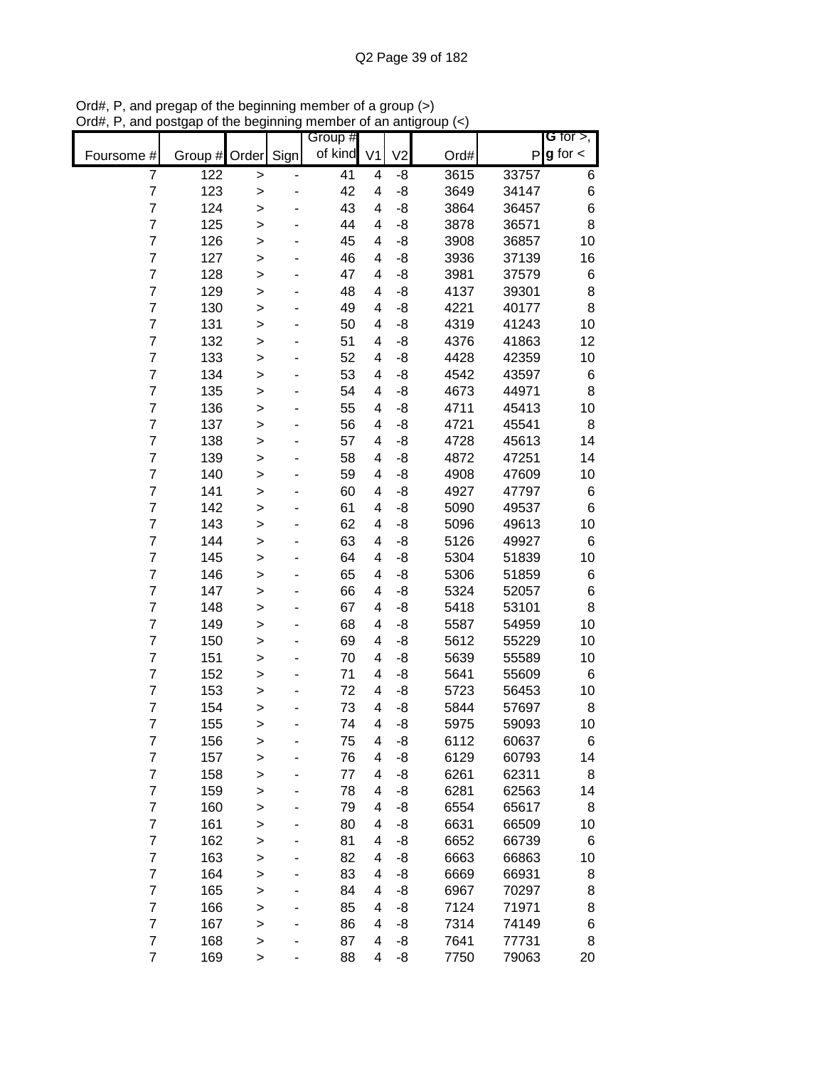|                |               |              |      | Group # |                |                |      |       | G for $>$ ,            |
|----------------|---------------|--------------|------|---------|----------------|----------------|------|-------|------------------------|
| Foursome #     | Group # Order |              | Sign | of kind | V <sub>1</sub> | V <sub>2</sub> | Ord# |       | $P$ <b>g</b> for $\lt$ |
| 7              | 122           | >            |      | 41      | 4              | -8             | 3615 | 33757 | 6                      |
| $\overline{7}$ | 123           | >            |      | 42      | 4              | -8             | 3649 | 34147 | $\,$ 6 $\,$            |
| 7              | 124           | $\mathbf{I}$ |      | 43      | 4              | -8             | 3864 | 36457 | 6                      |
| 7              | 125           | $\mathbf{I}$ |      | 44      | 4              | -8             | 3878 | 36571 | 8                      |
| 7              | 126           | >            |      | 45      | 4              | -8             | 3908 | 36857 | 10                     |
| $\overline{7}$ | 127           | $\geq$       |      | 46      | 4              | -8             | 3936 | 37139 | 16                     |
| $\overline{7}$ | 128           | $\geq$       |      | 47      | 4              | -8             | 3981 | 37579 | 6                      |
| $\overline{7}$ | 129           | $\geq$       |      | 48      | 4              | -8             | 4137 | 39301 | 8                      |
| $\overline{7}$ | 130           | >            |      | 49      | 4              | -8             | 4221 | 40177 | 8                      |
| 7              | 131           | >            |      | 50      | 4              | -8             | 4319 | 41243 | 10                     |
| 7              | 132           | $\mathbf{I}$ |      | 51      | 4              | -8             | 4376 | 41863 | 12                     |
| 7              | 133           | $\mathbf{I}$ |      | 52      | 4              | -8             | 4428 | 42359 | 10                     |
| $\overline{7}$ | 134           | $\mathbf{I}$ |      | 53      | 4              | -8             | 4542 | 43597 | 6                      |
| $\overline{7}$ | 135           | $\geq$       |      | 54      | 4              | -8             | 4673 | 44971 | 8                      |
| 7              | 136           | $\geq$       |      | 55      | 4              | -8             | 4711 | 45413 | 10                     |
| 7              | 137           | $\geq$       |      | 56      | 4              | -8             | 4721 | 45541 | 8                      |
| $\overline{7}$ | 138           | >            |      | 57      | 4              | -8             | 4728 | 45613 | 14                     |
| 7              | 139           | >            |      | 58      | 4              | -8             | 4872 | 47251 | 14                     |
| 7              | 140           | $\geq$       |      | 59      | 4              | -8             | 4908 | 47609 | 10                     |
| 7              | 141           | $\mathbf{I}$ |      | 60      | 4              | -8             | 4927 | 47797 | 6                      |
| $\overline{7}$ | 142           | $\mathbf{I}$ |      | 61      | 4              | -8             | 5090 | 49537 | 6                      |
| 7              | 143           | >            |      | 62      | 4              | -8             | 5096 | 49613 | 10                     |
| 7              | 144           | $\geq$       |      | 63      | 4              | -8             | 5126 | 49927 | 6                      |
| 7              | 145           | $\geq$       |      | 64      | 4              | -8             | 5304 | 51839 | 10                     |
| $\overline{7}$ | 146           | >            |      | 65      | 4              | -8             | 5306 | 51859 | 6                      |
| $\overline{7}$ | 147           | >            |      | 66      | 4              | -8             | 5324 | 52057 | 6                      |
| 7              | 148           | >            |      | 67      | 4              | -8             | 5418 | 53101 | 8                      |
| 7              | 149           | $\geq$       |      | 68      | 4              | -8             | 5587 | 54959 | 10                     |
| 7              | 150           | $\mathbf{I}$ |      | 69      | 4              | -8             | 5612 | 55229 | 10                     |
| $\overline{7}$ | 151           | >            |      | 70      | 4              | -8             | 5639 | 55589 | 10                     |
| 7              | 152           | $\geq$       |      | 71      | 4              | -8             | 5641 | 55609 | 6                      |
| 7              | 153           | $\geq$       |      | 72      | 4              | -8             | 5723 | 56453 | 10                     |
| $\overline{7}$ | 154           | $\geq$       |      | 73      | 4              | -8             | 5844 | 57697 | 8                      |
| $\overline{7}$ | 155           | >            |      | 74      | 4              | -8             | 5975 | 59093 | 10                     |
| $\overline{7}$ | 156           | >            |      | 75      | 4              | -8             | 6112 | 60637 | 6                      |
| $\overline{7}$ | 157           | >            |      | 76      | 4              | -8             | 6129 | 60793 | 14                     |
| $\overline{7}$ | 158           | >            |      | 77      | 4              | -8             | 6261 | 62311 | 8                      |
| $\overline{7}$ | 159           | >            |      | 78      | 4              | -8             | 6281 | 62563 | 14                     |
| $\overline{7}$ | 160           | $\geq$       |      | 79      | 4              | -8             | 6554 | 65617 | 8                      |
| $\overline{7}$ | 161           | >            |      | 80      | 4              | -8             | 6631 | 66509 | 10                     |
| $\overline{7}$ | 162           | >            |      | 81      | 4              | -8             | 6652 | 66739 | 6                      |
| $\overline{7}$ | 163           | >            |      | 82      | 4              | -8             | 6663 | 66863 | 10                     |
| $\overline{7}$ | 164           | >            |      | 83      | 4              | -8             | 6669 | 66931 | 8                      |
| 7              | 165           | >            |      | 84      | 4              | -8             | 6967 | 70297 | 8                      |
| 7              | 166           | >            |      | 85      | 4              | -8             | 7124 | 71971 | 8                      |
| 7              | 167           | $\mathbf{I}$ |      | 86      | 4              | -8             | 7314 | 74149 | 6                      |
| $\overline{7}$ | 168           | >            |      | 87      | 4              | -8             | 7641 | 77731 | 8                      |
| $\overline{7}$ | 169           | $\,$         |      | 88      | 4              | -8             | 7750 | 79063 | 20                     |

Ord#, P, and pregap of the beginning member of a group (>) Ord#, P, and postgap of the beginning member of an antigroup (<)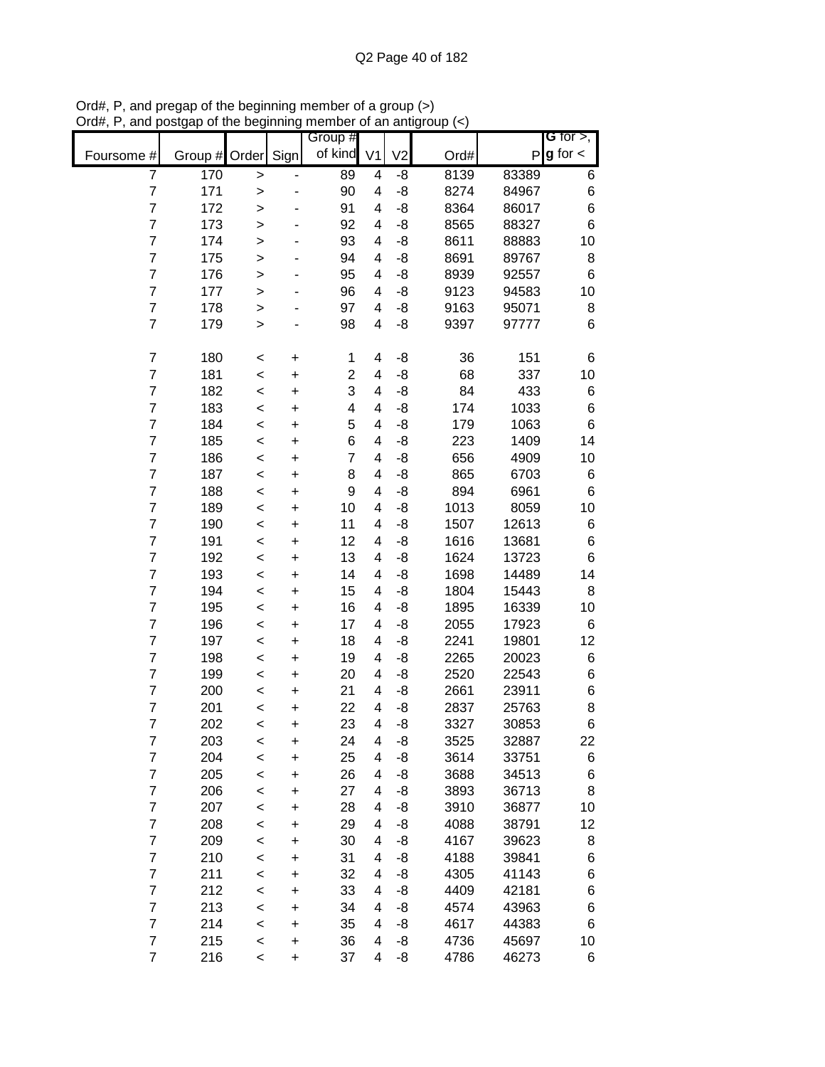|                         |                  |              |           | Group #         |                |                |      |       | G for $>$ ,   |
|-------------------------|------------------|--------------|-----------|-----------------|----------------|----------------|------|-------|---------------|
| Foursome #              | Group # Order    |              | Sign      | of kind         | V <sub>1</sub> | V <sub>2</sub> | Ord# | P     | $g$ for $\lt$ |
| $\overline{7}$          | $\overline{170}$ | $\geq$       |           | $\overline{89}$ | 4              | -8             | 8139 | 83389 | 6             |
| $\boldsymbol{7}$        | 171              | $\mathbf{I}$ |           | 90              | 4              | $-8$           | 8274 | 84967 | 6             |
| $\overline{7}$          | 172              | >            |           | 91              | 4              | -8             | 8364 | 86017 | 6             |
| $\overline{7}$          | 173              | $\mathbf{I}$ |           | 92              | 4              | -8             | 8565 | 88327 | 6             |
| $\overline{7}$          | 174              | $\mathbf{I}$ |           | 93              | 4              | -8             | 8611 | 88883 | 10            |
| $\overline{7}$          | 175              | $\mathbf{I}$ |           | 94              | 4              | -8             | 8691 | 89767 | 8             |
| $\overline{7}$          | 176              | >            |           | 95              | 4              | -8             | 8939 | 92557 | 6             |
| $\overline{7}$          | 177              | >            |           | 96              | 4              | -8             | 9123 | 94583 | 10            |
| $\overline{7}$          | 178              | $\geq$       |           | 97              | 4              | -8             | 9163 | 95071 | 8             |
| $\overline{7}$          | 179              | $\mathbf{I}$ |           | 98              | 4              | -8             | 9397 | 97777 | 6             |
| $\boldsymbol{7}$        | 180              | $\,<$        | $\ddot{}$ | 1               | 4              | -8             | 36   | 151   | 6             |
| $\overline{7}$          | 181              | $\prec$      | $\ddot{}$ | $\overline{c}$  | 4              | -8             | 68   | 337   | 10            |
| $\overline{\mathbf{7}}$ | 182              | $\prec$      | $\ddot{}$ | 3               | 4              | $-8$           | 84   | 433   | 6             |
| $\overline{7}$          | 183              | $\prec$      | $\ddot{}$ | 4               | 4              | $-8$           | 174  | 1033  | 6             |
| $\overline{7}$          | 184              | $\,<$        | $\ddot{}$ | 5               | 4              | -8             | 179  | 1063  | 6             |
| $\overline{7}$          | 185              | $\,<$        | $\ddot{}$ | 6               | 4              | -8             | 223  | 1409  | 14            |
| $\overline{7}$          | 186              | $\,<$        | $\ddot{}$ | $\overline{7}$  | 4              | -8             | 656  | 4909  | 10            |
| $\overline{7}$          | 187              | $\,<$        | $\ddot{}$ | 8               | 4              | -8             | 865  | 6703  | 6             |
| $\overline{7}$          | 188              | $\,<$        | $\ddot{}$ | 9               | 4              | -8             | 894  | 6961  | 6             |
| $\overline{7}$          | 189              | $\,<$        | $\ddot{}$ | 10              | 4              | -8             | 1013 | 8059  | 10            |
| $\overline{7}$          | 190              | $\,<$        | +         | 11              | 4              | -8             | 1507 | 12613 | 6             |
| $\overline{7}$          | 191              | $\,<$        | $\ddot{}$ | 12              | 4              | -8             | 1616 | 13681 | 6             |
| $\overline{7}$          | 192              | $\prec$      | +         | 13              | 4              | -8             | 1624 | 13723 | 6             |
| $\overline{7}$          | 193              | $\,<$        | $\ddot{}$ | 14              | 4              | -8             | 1698 | 14489 | 14            |
| $\overline{7}$          | 194              | $\,<$        | +         | 15              | 4              | -8             | 1804 | 15443 | 8             |
| $\overline{7}$          | 195              | $\prec$      | $\ddot{}$ | 16              | 4              | -8             | 1895 | 16339 | 10            |
| $\overline{7}$          | 196              | $\,<$        | $\ddot{}$ | 17              | 4              | -8             | 2055 | 17923 | 6             |
| $\overline{7}$          | 197              | $\,<$        | $\ddot{}$ | 18              | 4              | -8             | 2241 | 19801 | 12            |
| $\overline{7}$          | 198              | $\prec$      | $\ddot{}$ | 19              | 4              | -8             | 2265 | 20023 | 6             |
| $\overline{7}$          | 199              | $\,<$        | $\ddot{}$ | 20              | 4              | -8             | 2520 | 22543 | 6             |
| $\overline{7}$          | 200              | $\prec$      | $\ddot{}$ | 21              | 4              | -8             | 2661 | 23911 | 6             |
| $\overline{7}$          | 201              | $\,<$        | $\ddot{}$ | 22              | 4              | $-8$           | 2837 | 25763 | 8             |
| $\overline{7}$          | 202              | $\,<$        | $\ddot{}$ | 23              | 4              | -8             | 3327 | 30853 | 6             |
| $\overline{7}$          | 203              | $\,<$        | $\ddot{}$ | 24              | 4              | -8             | 3525 | 32887 | 22            |
| $\overline{7}$          | 204              | $\prec$      | $\ddot{}$ | 25              | 4              | -8             | 3614 | 33751 | 6             |
| $\overline{\mathbf{7}}$ | 205              | $\,<$        | $\ddot{}$ | 26              | 4              | -8             | 3688 | 34513 | 6             |
| $\overline{7}$          | 206              | $\,<$        | +         | 27              | 4              | -8             | 3893 | 36713 | 8             |
| $\overline{7}$          | 207              | $\prec$      | +         | 28              | 4              | -8             | 3910 | 36877 | 10            |
| $\overline{7}$          | 208              | $\,<$        | +         | 29              | 4              | -8             | 4088 | 38791 | 12            |
| $\overline{7}$          | 209              | $\,<$        | +         | 30              | 4              | -8             | 4167 | 39623 | 8             |
| $\overline{7}$          | 210              | $\,<$        | +         | 31              | 4              | -8             | 4188 | 39841 | 6             |
| $\overline{7}$          | 211              | $\,<$        | $\ddot{}$ | 32              | 4              | -8             | 4305 | 41143 | 6             |
| $\overline{7}$          | 212              | $\,<$        | $\ddot{}$ | 33              | 4              | -8             | 4409 | 42181 | 6             |
| $\overline{7}$          | 213              | $\,<$        | +         | 34              | 4              | -8             | 4574 | 43963 | 6             |
| $\overline{7}$          | 214              | $\,<$        | $\ddot{}$ | 35              | 4              | -8             | 4617 | 44383 | 6             |
| $\overline{7}$          | 215              | $\prec$      | $\ddot{}$ | 36              | 4              | -8             | 4736 | 45697 | 10            |
| $\overline{7}$          | 216              | $\,<$        | $\ddot{}$ | 37              | 4              | -8             | 4786 | 46273 | 6             |

Ord#, P, and pregap of the beginning member of a group (>) Ord#, P, and postgap of the beginning member of an antigroup (<)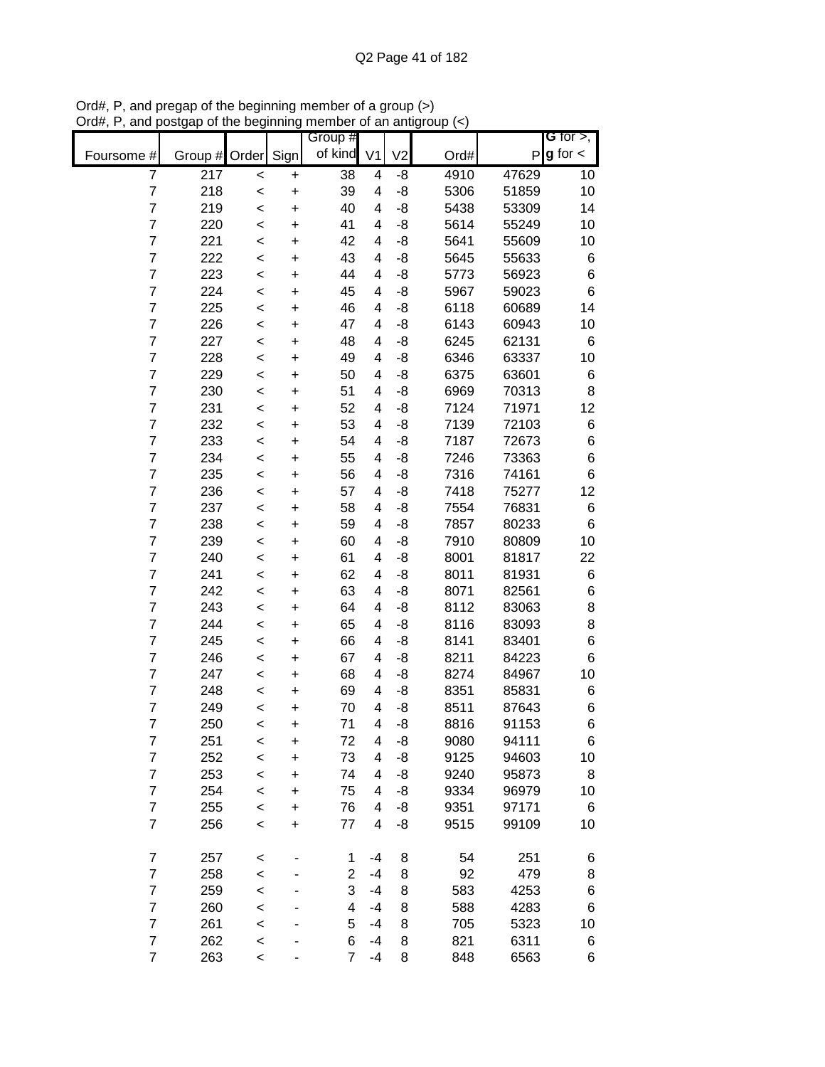|                |         |         |           | Group #        |                |                |      |       | G for $>$ ,     |
|----------------|---------|---------|-----------|----------------|----------------|----------------|------|-------|-----------------|
| Foursome #     | Group # | Order   | Sign      | of kind        | V <sub>1</sub> | V <sub>2</sub> | Ord# |       | $P g$ for $\lt$ |
| 7              | 217     | $\,<$   | +         | 38             | 4              | -8             | 4910 | 47629 | 10              |
| $\overline{7}$ | 218     | $\prec$ | $\ddot{}$ | 39             | 4              | -8             | 5306 | 51859 | 10              |
| $\overline{7}$ | 219     | $\prec$ | $\ddot{}$ | 40             | $\overline{4}$ | -8             | 5438 | 53309 | 14              |
| $\overline{7}$ | 220     | $\prec$ | $\ddot{}$ | 41             | 4              | -8             | 5614 | 55249 | 10              |
| $\overline{7}$ | 221     | $\prec$ | $\ddot{}$ | 42             | 4              | -8             | 5641 | 55609 | 10              |
| $\overline{7}$ | 222     | $\prec$ | +         | 43             | 4              | -8             | 5645 | 55633 | 6               |
| $\overline{7}$ | 223     | $\prec$ | +         | 44             | 4              | -8             | 5773 | 56923 | 6               |
| $\overline{7}$ | 224     | $\,<$   | +         | 45             | 4              | -8             | 5967 | 59023 | 6               |
| $\overline{7}$ | 225     | $\,<$   | +         | 46             | 4              | -8             | 6118 | 60689 | 14              |
| $\overline{7}$ | 226     | $\,<$   | +         | 47             | 4              | -8             | 6143 | 60943 | 10              |
| 7              | 227     | $\,<$   | $\ddot{}$ | 48             | 4              | -8             | 6245 | 62131 | 6               |
| $\overline{7}$ | 228     | $\,<$   | $\ddot{}$ | 49             | 4              | -8             | 6346 | 63337 | 10              |
| $\overline{7}$ | 229     | $\,<$   | $\ddot{}$ | 50             | 4              | -8             | 6375 | 63601 | 6               |
| $\overline{7}$ | 230     | $\,<$   | $\ddot{}$ | 51             | 4              | -8             | 6969 | 70313 | 8               |
| 7              | 231     | $\prec$ | $\ddot{}$ | 52             | 4              | -8             | 7124 | 71971 | 12              |
| $\overline{7}$ | 232     | $\,<$   | $\ddot{}$ | 53             | 4              | -8             | 7139 | 72103 | 6               |
| 7              | 233     | $\,<$   | $\ddot{}$ | 54             | 4              | -8             | 7187 | 72673 | $\,6$           |
| $\overline{7}$ | 234     | $\,<$   | $\ddot{}$ | 55             | 4              | -8             | 7246 | 73363 | $\,6$           |
| 7              | 235     | $\,<$   | $\ddot{}$ | 56             | 4              | -8             | 7316 | 74161 | 6               |
| $\overline{7}$ | 236     | $\,<$   | $\ddot{}$ | 57             | 4              | -8             | 7418 | 75277 | 12              |
| $\overline{7}$ | 237     | $\,<$   | $\ddot{}$ | 58             | 4              | -8             | 7554 | 76831 | 6               |
| $\overline{7}$ | 238     | $\,<$   | $\ddot{}$ | 59             | 4              | -8             | 7857 | 80233 | $\,6$           |
| $\overline{7}$ | 239     | $\,<$   | +         | 60             | 4              | -8             | 7910 | 80809 | 10              |
| $\overline{7}$ | 240     | $\,<$   | +         | 61             | 4              | -8             | 8001 | 81817 | 22              |
| $\overline{7}$ | 241     | $\,<$   | +         | 62             | 4              | -8             | 8011 | 81931 | 6               |
| $\overline{7}$ | 242     | $\,<$   | +         | 63             | 4              | -8             | 8071 | 82561 | 6               |
| $\overline{7}$ | 243     | $\,<$   | +         | 64             | 4              | -8             | 8112 | 83063 | 8               |
| $\overline{7}$ | 244     | $\,<$   | $\ddot{}$ | 65             | 4              | -8             | 8116 | 83093 | 8               |
| $\overline{7}$ | 245     | $\,<$   | $\ddot{}$ | 66             | 4              | -8             | 8141 | 83401 | 6               |
| $\overline{7}$ | 246     | $\,<$   | $\ddot{}$ | 67             | 4              | -8             | 8211 | 84223 | 6               |
| $\overline{7}$ | 247     | $\,<$   | $\ddot{}$ | 68             | 4              | -8             | 8274 | 84967 | 10              |
| 7              | 248     | $\,<$   | $\ddot{}$ | 69             | 4              | -8             | 8351 | 85831 | 6               |
| $\overline{7}$ | 249     | $\,<$   | $\ddot{}$ | 70             | 4              | -8             | 8511 | 87643 | 6               |
| $\overline{7}$ | 250     | $\,<$   | $\ddot{}$ | 71             | 4              | -8             | 8816 | 91153 | 6               |
| $\overline{7}$ | 251     | <       | +         | 72             | 4              | -8             | 9080 | 94111 | 6               |
| $\overline{7}$ | 252     | $\,<$   | $\ddot{}$ | 73             | 4              | -8             | 9125 | 94603 | 10              |
| $\overline{7}$ | 253     | $\,<$   | $\ddot{}$ | 74             | 4              | -8             | 9240 | 95873 | 8               |
| $\overline{7}$ | 254     | $\,<$   | $\ddot{}$ | 75             | 4              | -8             | 9334 | 96979 | 10              |
| $\overline{7}$ | 255     | $\prec$ | $\ddot{}$ | 76             | 4              | -8             | 9351 | 97171 | 6               |
| $\overline{7}$ | 256     | $\prec$ | $\ddot{}$ | 77             | 4              | -8             | 9515 | 99109 | 10              |
|                |         |         |           |                |                |                |      |       |                 |
| $\overline{7}$ | 257     | <       |           | 1              | -4             | 8              | 54   | 251   | 6               |
| $\overline{7}$ | 258     | $\,<$   |           | $\overline{2}$ | -4             | 8              | 92   | 479   | 8               |
| $\overline{7}$ | 259     | $\,<$   |           | 3              | -4             | 8              | 583  | 4253  | 6               |
| $\overline{7}$ | 260     | $\,<$   |           | 4              | -4             | 8              | 588  | 4283  | 6               |
| $\overline{7}$ | 261     | $\,<$   |           | 5              | -4             | 8              | 705  | 5323  | 10              |
| $\overline{7}$ | 262     | $\,<$   |           | 6              | $-4$           | 8              | 821  | 6311  | 6               |
| $\overline{7}$ | 263     | $\,<$   |           | $\overline{7}$ | $-4$           | 8              | 848  | 6563  | 6               |

Ord#, P, and pregap of the beginning member of a group (>) Ord#, P, and postgap of the beginning member of an antigroup (<)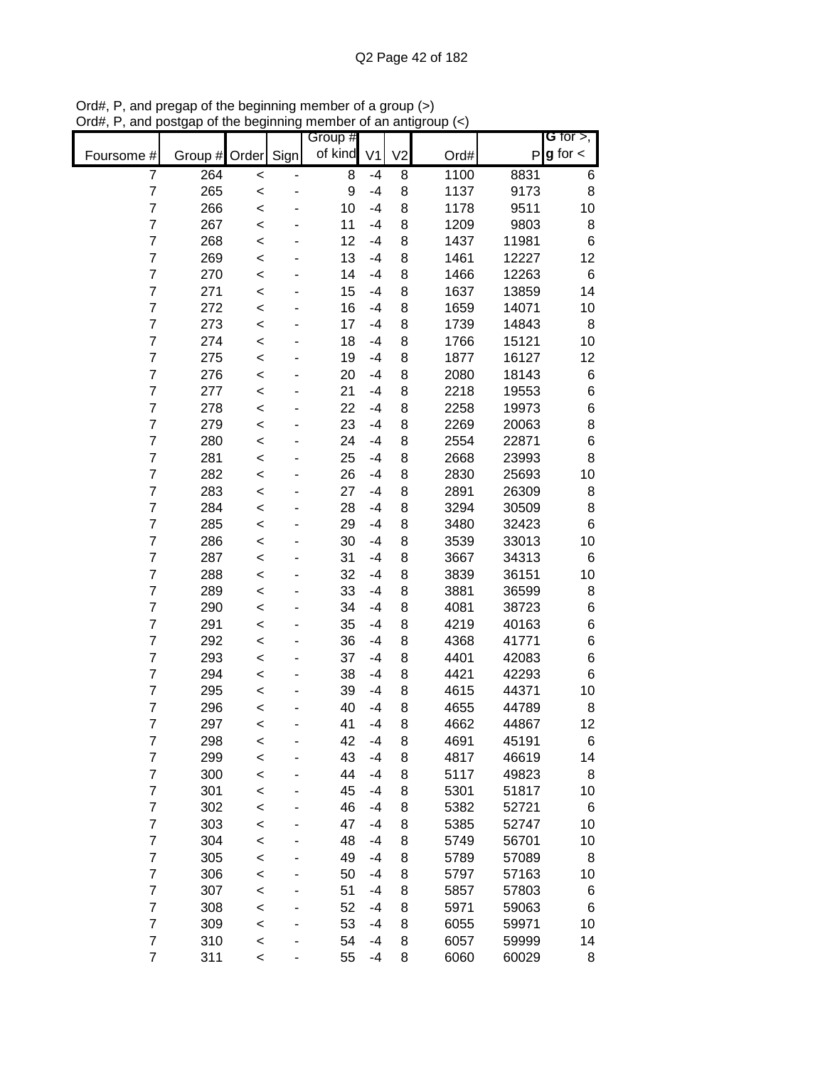|                |         |         |      | Group # |                |                |      |       | G for $>$ ,   |
|----------------|---------|---------|------|---------|----------------|----------------|------|-------|---------------|
| Foursome #     | Group # | Order   | Sign | of kind | V <sub>1</sub> | V <sub>2</sub> | Ord# | P     | $g$ for $\lt$ |
| 7              | 264     | $\prec$ |      | 8       | $-4$           | 8              | 1100 | 8831  | 6             |
| $\overline{7}$ | 265     | $\prec$ |      | 9       | $-4$           | 8              | 1137 | 9173  | 8             |
| 7              | 266     | $\prec$ |      | 10      | $-4$           | 8              | 1178 | 9511  | 10            |
| $\overline{7}$ | 267     | $\prec$ |      | 11      | $-4$           | 8              | 1209 | 9803  | 8             |
| $\overline{7}$ | 268     | $\prec$ |      | 12      | $-4$           | 8              | 1437 | 11981 | 6             |
| $\overline{7}$ | 269     | $\prec$ |      | 13      | $-4$           | 8              | 1461 | 12227 | 12            |
| $\overline{7}$ | 270     | $\prec$ |      | 14      | $-4$           | 8              | 1466 | 12263 | 6             |
| $\overline{7}$ | 271     | $\prec$ |      | 15      | $-4$           | 8              | 1637 | 13859 | 14            |
| $\overline{7}$ | 272     | $\,<$   |      | 16      | -4             | 8              | 1659 | 14071 | 10            |
| $\overline{7}$ | 273     | $\,<$   |      | 17      | -4             | 8              | 1739 | 14843 | 8             |
| 7              | 274     | $\prec$ |      | 18      | $-4$           | 8              | 1766 | 15121 | 10            |
| $\overline{7}$ | 275     | $\prec$ |      | 19      | -4             | 8              | 1877 | 16127 | 12            |
| $\overline{7}$ | 276     | $\,<$   |      | 20      | $-4$           | 8              | 2080 | 18143 | 6             |
| $\overline{7}$ | 277     | $\prec$ |      | 21      | $-4$           | 8              | 2218 | 19553 | 6             |
| 7              | 278     | $\prec$ |      | 22      | $-4$           | 8              | 2258 | 19973 | 6             |
| $\overline{7}$ | 279     | $\prec$ |      | 23      | $-4$           | 8              | 2269 | 20063 | 8             |
| 7              | 280     | $\,<$   |      | 24      | $-4$           | 8              | 2554 | 22871 | 6             |
| 7              | 281     | $\,<$   |      | 25      | $-4$           | 8              | 2668 | 23993 | 8             |
| $\overline{7}$ | 282     | $\,<$   |      | 26      | $-4$           | 8              | 2830 | 25693 | 10            |
| 7              | 283     | $\prec$ |      | 27      | $-4$           | 8              | 2891 | 26309 | 8             |
| 7              | 284     | $\prec$ |      | 28      | $-4$           | 8              | 3294 | 30509 | 8             |
| $\overline{7}$ | 285     | $\prec$ |      | 29      | $-4$           | 8              | 3480 | 32423 | 6             |
| $\overline{7}$ | 286     | $\prec$ |      | 30      | $-4$           | 8              | 3539 | 33013 | 10            |
| $\overline{7}$ | 287     | $\prec$ |      | 31      | $-4$           | 8              | 3667 | 34313 | 6             |
| $\overline{7}$ | 288     | $\prec$ |      | 32      | $-4$           | 8              | 3839 | 36151 | 10            |
| 7              | 289     | $\,<$   |      | 33      | -4             | 8              | 3881 | 36599 | 8             |
| $\overline{7}$ | 290     | $\,<$   |      | 34      | -4             | 8              | 4081 | 38723 | 6             |
| 7              | 291     | $\,<$   |      | 35      | -4             | 8              | 4219 | 40163 | 6             |
| $\overline{7}$ | 292     | $\prec$ |      | 36      | $-4$           | 8              | 4368 | 41771 | 6             |
| $\overline{7}$ | 293     | $\,<$   |      | 37      | -4             | 8              | 4401 | 42083 | 6             |
| $\overline{7}$ | 294     | $\prec$ |      | 38      | -4             | 8              | 4421 | 42293 | 6             |
| 7              | 295     | $\prec$ |      | 39      | $-4$           | 8              | 4615 | 44371 | 10            |
| $\overline{7}$ | 296     | $\prec$ |      | 40      | $-4$           | 8              | 4655 | 44789 | 8             |
| $\overline{7}$ | 297     | $\,<$   |      | 41      | $-4$           | 8              | 4662 | 44867 | 12            |
| $\overline{7}$ | 298     | <       |      | 42      | $-4$           | 8              | 4691 | 45191 | 6             |
| 7              | 299     | $\prec$ |      | 43      | $-4$           | 8              | 4817 | 46619 | 14            |
| $\overline{7}$ | 300     | $\prec$ |      | 44      | $-4$           | 8              | 5117 | 49823 | 8             |
| $\overline{7}$ | 301     | $\prec$ |      | 45      | $-4$           | 8              | 5301 | 51817 | 10            |
| $\overline{7}$ | 302     | $\prec$ |      | 46      | $-4$           | 8              | 5382 | 52721 | 6             |
| $\overline{7}$ | 303     | $\prec$ |      | 47      | $-4$           | 8              | 5385 | 52747 | 10            |
| $\overline{7}$ | 304     | $\prec$ |      | 48      | $-4$           | 8              | 5749 | 56701 | 10            |
| $\overline{7}$ | 305     | $\prec$ |      | 49      | $-4$           | 8              | 5789 | 57089 | 8             |
| $\overline{7}$ | 306     | $\,<$   |      | 50      | $-4$           | 8              | 5797 | 57163 | 10            |
| $\overline{7}$ | 307     | $\,<$   |      | 51      | $-4$           | 8              | 5857 | 57803 | 6             |
| 7              | 308     | $\prec$ |      | 52      | $-4$           | 8              | 5971 | 59063 | 6             |
| $\overline{7}$ | 309     | $\prec$ |      | 53      | $-4$           | 8              | 6055 | 59971 | 10            |
| $\overline{7}$ | 310     | $\,<$   |      | 54      | $-4$           | 8              | 6057 | 59999 | 14            |
| $\overline{7}$ | 311     | $\,<$   |      | 55      | $-4$           | 8              | 6060 | 60029 | 8             |

Ord#, P, and pregap of the beginning member of a group (>) Ord#, P, and postgap of the beginning member of an antigroup (<)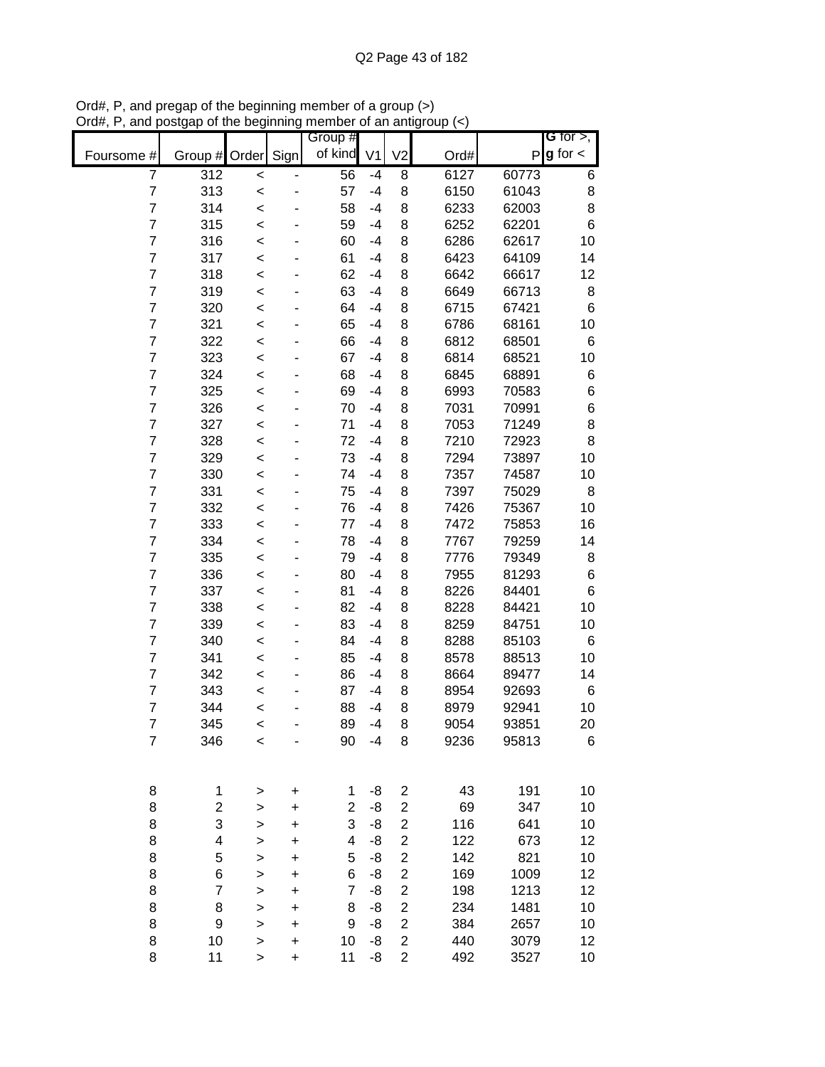|                |                  |              |           | Group #        |                |                         |      |       | G for $>$ ,   |
|----------------|------------------|--------------|-----------|----------------|----------------|-------------------------|------|-------|---------------|
| Foursome #     | Group #          | Order        | Sign      | of kind        | V <sub>1</sub> | V <sub>2</sub>          | Ord# | P     | $g$ for $\lt$ |
| 7              | 312              | $\prec$      |           | 56             | $-4$           | 8                       | 6127 | 60773 | 6             |
| $\overline{7}$ | 313              | $\prec$      |           | 57             | $-4$           | 8                       | 6150 | 61043 | 8             |
| 7              | 314              | $\prec$      |           | 58             | $-4$           | 8                       | 6233 | 62003 | 8             |
| $\overline{7}$ | 315              | $\prec$      |           | 59             | $-4$           | 8                       | 6252 | 62201 | 6             |
| $\overline{7}$ | 316              | $\prec$      |           | 60             | $-4$           | 8                       | 6286 | 62617 | 10            |
| $\overline{7}$ | 317              | $\prec$      |           | 61             | $-4$           | 8                       | 6423 | 64109 | 14            |
| $\overline{7}$ | 318              | $\prec$      |           | 62             | $-4$           | 8                       | 6642 | 66617 | 12            |
| $\overline{7}$ | 319              | $\prec$      |           | 63             | $-4$           | 8                       | 6649 | 66713 | 8             |
| $\overline{7}$ | 320              | $\,<$        |           | 64             | -4             | 8                       | 6715 | 67421 | 6             |
| $\overline{7}$ | 321              | $\,<$        |           | 65             | -4             | 8                       | 6786 | 68161 | 10            |
| 7              | 322              | $\prec$      |           | 66             | -4             | 8                       | 6812 | 68501 | 6             |
| $\overline{7}$ | 323              | $\prec$      |           | 67             | $-4$           | 8                       | 6814 | 68521 | 10            |
| $\overline{7}$ | 324              | $\prec$      |           | 68             | $-4$           | 8                       | 6845 | 68891 | 6             |
| $\overline{7}$ | 325              | $\prec$      |           | 69             | $-4$           | 8                       | 6993 | 70583 | 6             |
| 7              | 326              | $\prec$      |           | 70             | $-4$           | 8                       | 7031 | 70991 | 6             |
| $\overline{7}$ | 327              | $\prec$      |           | 71             | $-4$           | 8                       | 7053 | 71249 | 8             |
| 7              | 328              | $\,<$        |           | 72             | $-4$           | 8                       | 7210 | 72923 | 8             |
| $\overline{7}$ | 329              | $\prec$      |           | 73             | $-4$           | 8                       | 7294 | 73897 | 10            |
| $\overline{7}$ | 330              | $\prec$      |           | 74             | $-4$           | 8                       | 7357 | 74587 | 10            |
| 7              | 331              | $\prec$      |           | 75             | $-4$           | 8                       | 7397 | 75029 | 8             |
| $\overline{7}$ | 332              | $\prec$      |           | 76             | $-4$           | 8                       | 7426 | 75367 | 10            |
| $\overline{7}$ | 333              | $\prec$      |           | 77             | $-4$           | 8                       | 7472 | 75853 | 16            |
| $\overline{7}$ | 334              | $\prec$      |           | 78             | $-4$           | 8                       | 7767 | 79259 | 14            |
| $\overline{7}$ | 335              | $\prec$      |           | 79             | $-4$           | 8                       | 7776 | 79349 | 8             |
| $\overline{7}$ | 336              | $\prec$      |           | 80             | $-4$           | 8                       | 7955 | 81293 | 6             |
| 7              | 337              | $\,<$        |           | 81             | -4             | 8                       | 8226 | 84401 | 6             |
| $\overline{7}$ | 338              | $\,<$        |           | 82             | -4             | 8                       | 8228 | 84421 | 10            |
| 7              | 339              | $\,<$        |           | 83             | -4             | 8                       | 8259 | 84751 | 10            |
| $\overline{7}$ | 340              | $\prec$      |           | 84             | $-4$           | 8                       | 8288 | 85103 | 6             |
| $\overline{7}$ | 341              | $\,<$        |           | 85             | -4             | 8                       | 8578 | 88513 | 10            |
| $\overline{7}$ | 342              | $\prec$      |           | 86             | $-4$           | 8                       | 8664 | 89477 | 14            |
| $\overline{7}$ | 343              | $\prec$      |           | 87             | $-4$           | 8                       | 8954 | 92693 | 6             |
| $\overline{7}$ | 344              | $\prec$      |           | 88             | -4             | 8                       | 8979 | 92941 | 10            |
| $\overline{7}$ | 345              | $\,<$        |           | 89             | $-4$           | 8                       | 9054 | 93851 | 20            |
| $\overline{7}$ | 346              | <            |           | 90             | -4             | 8                       | 9236 | 95813 | 6             |
|                |                  |              |           |                |                |                         |      |       |               |
| 8              | $\mathbf 1$      | >            | +         | 1              | -8             | $\overline{c}$          | 43   | 191   | 10            |
| 8              | $\mathbf 2$      | >            | +         | 2              | -8             | $\overline{\mathbf{c}}$ | 69   | 347   | 10            |
| 8              | 3                | >            | +         | 3              | -8             | $\overline{c}$          | 116  | 641   | 10            |
| 8              | 4                | >            | +         | 4              | -8             | 2                       | 122  | 673   | 12            |
| 8              | 5                | >            | +         | 5              | -8             | 2                       | 142  | 821   | 10            |
| 8              | 6                | >            | +         | 6              | -8             | 2                       | 169  | 1009  | 12            |
| 8              | $\boldsymbol{7}$ | >            | +         | $\overline{7}$ | -8             | 2                       | 198  | 1213  | 12            |
| 8              | 8                | >            | $\ddot{}$ | 8              | -8             | $\overline{\mathbf{c}}$ | 234  | 1481  | 10            |
| 8              | 9                | >            | +         | 9              | -8             | 2                       | 384  | 2657  | 10            |
| 8              | 10               | $\mathbf{I}$ | +         | 10             | -8             | $\overline{\mathbf{c}}$ | 440  | 3079  | 12            |
| 8              | 11               | >            | $\ddot{}$ | 11             | -8             | $\overline{\mathbf{c}}$ | 492  | 3527  | 10            |

Ord#, P, and pregap of the beginning member of a group (>) Ord#, P, and postgap of the beginning member of an antigroup (<)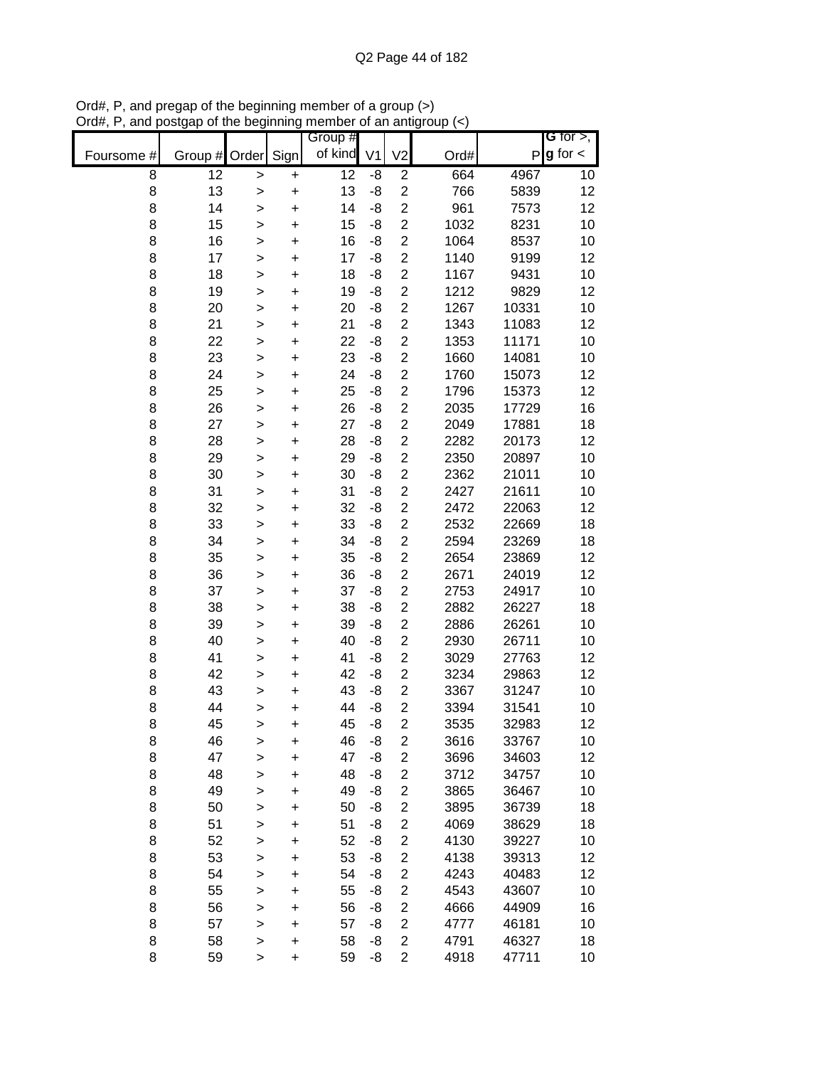|            |           |              |           | Group #         |                |                         |      |       | G for $>$ ,   |
|------------|-----------|--------------|-----------|-----------------|----------------|-------------------------|------|-------|---------------|
| Foursome # | Group $#$ | Order        | Sign      | of kind         | V <sub>1</sub> | V <sub>2</sub>          | Ord# | P     | $g$ for $\lt$ |
| 8          | 12        | $\mathbf{I}$ | $\pmb{+}$ | $\overline{12}$ | -8             | $\overline{c}$          | 664  | 4967  | 10            |
| 8          | 13        | >            | $\ddot{}$ | 13              | -8             | $\overline{c}$          | 766  | 5839  | 12            |
| 8          | 14        | $\mathbf{I}$ | $\ddot{}$ | 14              | -8             | $\overline{c}$          | 961  | 7573  | 12            |
| 8          | 15        | $\mathbf{I}$ | $\ddot{}$ | 15              | -8             | $\overline{c}$          | 1032 | 8231  | 10            |
| 8          | 16        | $\mathbf{I}$ | $\ddot{}$ | 16              | -8             | $\overline{\mathbf{c}}$ | 1064 | 8537  | 10            |
| 8          | 17        | $\geq$       | $\ddot{}$ | 17              | -8             | $\overline{\mathbf{c}}$ | 1140 | 9199  | 12            |
| 8          | 18        | $\mathbf{I}$ | $\ddot{}$ | 18              | -8             | $\overline{c}$          | 1167 | 9431  | 10            |
| 8          | 19        | $\mathbf{I}$ | $\ddot{}$ | 19              | -8             | $\overline{c}$          | 1212 | 9829  | 12            |
| 8          | 20        | >            | $\pmb{+}$ | 20              | -8             | $\overline{\mathbf{c}}$ | 1267 | 10331 | 10            |
| 8          | 21        | >            | $\ddot{}$ | 21              | -8             | 2                       | 1343 | 11083 | 12            |
| 8          | 22        | $\mathbf{I}$ | +         | 22              | -8             | $\overline{c}$          | 1353 | 11171 | 10            |
| 8          | 23        | $\mathbf{I}$ | $\ddot{}$ | 23              | -8             | $\overline{c}$          | 1660 | 14081 | 10            |
| 8          | 24        | $\mathbf{I}$ | $\ddot{}$ | 24              | -8             | $\overline{c}$          | 1760 | 15073 | 12            |
| 8          | 25        | $\geq$       | $\ddot{}$ | 25              | -8             | $\overline{\mathbf{c}}$ | 1796 | 15373 | 12            |
| 8          | 26        | $\geq$       | $\ddot{}$ | 26              | -8             | $\overline{\mathbf{c}}$ | 2035 | 17729 | 16            |
| 8          | 27        | $\mathbf{I}$ | $\ddot{}$ | 27              | -8             | $\overline{c}$          | 2049 | 17881 | 18            |
| 8          | 28        | >            | $\ddot{}$ | 28              | -8             | $\overline{c}$          | 2282 | 20173 | 12            |
| 8          | 29        | >            | $\ddot{}$ | 29              | -8             | $\overline{c}$          | 2350 | 20897 | 10            |
| 8          | 30        | >            | $\ddot{}$ | 30              | -8             | $\overline{c}$          | 2362 | 21011 | 10            |
| 8          | 31        | >            | $\ddot{}$ | 31              | -8             | $\overline{\mathbf{c}}$ | 2427 | 21611 | 10            |
| 8          | 32        | $\mathbf{I}$ | $\ddot{}$ | 32              | -8             | $\overline{c}$          | 2472 | 22063 | 12            |
| 8          | 33        | $\mathbf{I}$ | $\ddot{}$ | 33              | -8             | $\overline{\mathbf{c}}$ | 2532 | 22669 | 18            |
| 8          | 34        | $\mathbf{I}$ | $\ddot{}$ | 34              | -8             | $\overline{\mathbf{c}}$ | 2594 | 23269 | 18            |
| 8          | 35        | $\mathbf{I}$ | $\ddot{}$ | 35              | -8             | $\overline{\mathbf{c}}$ | 2654 | 23869 | 12            |
| 8          | 36        | >            | $\ddot{}$ | 36              | -8             | $\overline{c}$          | 2671 | 24019 | 12            |
| 8          | 37        | >            | $\pmb{+}$ | 37              | -8             | $\overline{\mathbf{c}}$ | 2753 | 24917 | 10            |
| 8          | 38        | >            | $\ddot{}$ | 38              | -8             | 2                       | 2882 | 26227 | 18            |
| 8          | 39        | >            | +         | 39              | -8             | 2                       | 2886 | 26261 | 10            |
| 8          | 40        | $\mathbf{I}$ | $\ddot{}$ | 40              | -8             | $\overline{2}$          | 2930 | 26711 | 10            |
| 8          | 41        | >            | +         | 41              | -8             | $\overline{c}$          | 3029 | 27763 | 12            |
| 8          | 42        | $\geq$       | $\ddot{}$ | 42              | -8             | $\overline{c}$          | 3234 | 29863 | 12            |
| 8          | 43        | >            | $\ddot{}$ | 43              | -8             | $\overline{c}$          | 3367 | 31247 | 10            |
| 8          | 44        | $\geq$       | $\ddot{}$ | 44              | -8             | $\overline{c}$          | 3394 | 31541 | 10            |
| 8          | 45        | >            | $\ddot{}$ | 45              | -8             | $\overline{2}$          | 3535 | 32983 | 12            |
| 8          | 46        | >            | +         | 46              | -8             | 2                       | 3616 | 33767 | 10            |
| 8          | 47        | >            | $\ddot{}$ | 47              | -8             | $\overline{\mathbf{c}}$ | 3696 | 34603 | 12            |
| 8          | 48        | $\mathbf{I}$ | $\ddot{}$ | 48              | -8             | $\overline{\mathbf{c}}$ | 3712 | 34757 | 10            |
| 8          | 49        | $\mathbf{I}$ | $\ddot{}$ | 49              | -8             | $\overline{\mathbf{c}}$ | 3865 | 36467 | 10            |
| 8          | 50        | $\mathbf{I}$ | $\ddot{}$ | 50              | -8             | $\overline{\mathbf{c}}$ | 3895 | 36739 | 18            |
| 8          | 51        | $\mathbf{I}$ | $\ddot{}$ | 51              | -8             | $\overline{\mathbf{c}}$ | 4069 | 38629 | 18            |
| 8          | 52        | >            | +         | 52              | -8             | $\overline{c}$          | 4130 | 39227 | 10            |
| 8          | 53        | >            | +         | 53              | -8             | $\overline{\mathbf{c}}$ | 4138 | 39313 | 12            |
| 8          | 54        | >            | +         | 54              | -8             | $\overline{\mathbf{c}}$ | 4243 | 40483 | 12            |
| 8          | 55        | >            | +         | 55              | -8             | $\overline{\mathbf{c}}$ | 4543 | 43607 | 10            |
| 8          | 56        | >            | +         | 56              | -8             | $\overline{\mathbf{c}}$ | 4666 | 44909 | 16            |
| 8          | 57        | $\mathbf{I}$ | $\ddot{}$ | 57              | -8             | $\overline{2}$          | 4777 | 46181 | 10            |
| 8          | 58        | >            | +         | 58              | -8             | $\overline{\mathbf{c}}$ | 4791 | 46327 | 18            |
| 8          | 59        | $\,$         | $\ddot{}$ | 59              | -8             | $\overline{c}$          | 4918 | 47711 | 10            |

Ord#, P, and pregap of the beginning member of a group (>) Ord#, P, and postgap of the beginning member of an antigroup (<)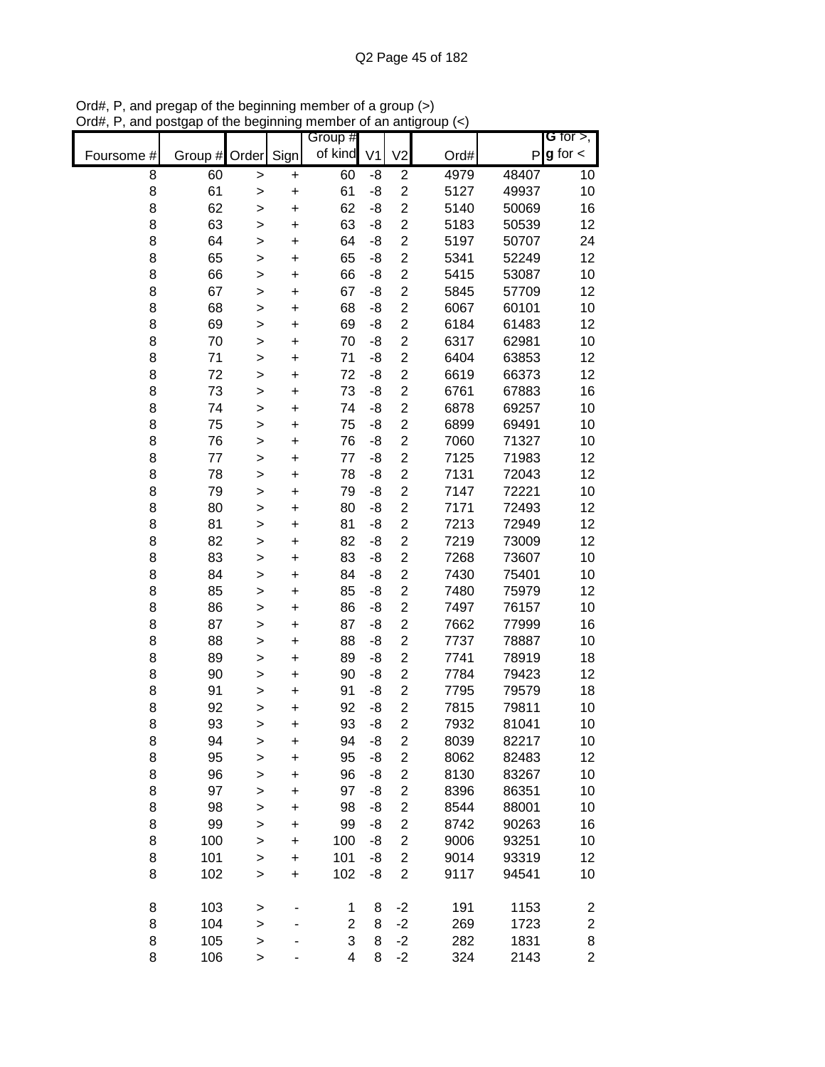|            |          |                   |                        | Group #        |                |                                  |              |                | G for $>$ ,             |
|------------|----------|-------------------|------------------------|----------------|----------------|----------------------------------|--------------|----------------|-------------------------|
| Foursome # | Group #  | Order             | Sign                   | of kind        | V <sub>1</sub> | V <sub>2</sub>                   | Ord#         | $\mathsf{P}$   | $g$ for $\lt$           |
| 8          | 60       | $\, > \,$         | +                      | 60             | -8             | $\overline{c}$                   | 4979         | 48407          | 10                      |
| 8          | 61       | >                 | $\ddot{}$              | 61             | -8             | $\overline{2}$                   | 5127         | 49937          | 10                      |
| 8          | 62       | $\mathbf{I}$      | $\ddot{}$              | 62             | -8             | $\overline{c}$                   | 5140         | 50069          | 16                      |
| 8          | 63       | >                 | $\ddot{}$              | 63             | -8             | $\overline{c}$                   | 5183         | 50539          | 12                      |
| 8          | 64       | $\geq$            | $\ddot{}$              | 64             | -8             | $\overline{c}$                   | 5197         | 50707          | 24                      |
| 8          | 65       | $\mathbf{I}$      | +                      | 65             | -8             | $\overline{\mathbf{c}}$          | 5341         | 52249          | 12                      |
| 8          | 66       | >                 | $\ddot{}$              | 66             | -8             | $\overline{c}$                   | 5415         | 53087          | 10                      |
| 8          | 67       | >                 | +                      | 67             | -8             | $\overline{c}$                   | 5845         | 57709          | 12                      |
| 8          | 68       | >                 | $\ddot{}$              | 68             | -8             | $\overline{c}$                   | 6067         | 60101          | 10                      |
| 8          | 69       | $\mathbf{I}$      | +                      | 69             | -8             | $\overline{c}$                   | 6184         | 61483          | 12                      |
| 8          | 70       | $\mathbf{I}$      | $\ddot{}$              | 70             | -8             | $\overline{c}$                   | 6317         | 62981          | 10                      |
| 8          | 71       | $\mathbf{I}$      | $\ddot{}$              | 71             | -8             | $\overline{\mathbf{c}}$          | 6404         | 63853          | 12                      |
| 8          | 72       | $\geq$            | $\ddot{}$              | 72             | -8             | $\overline{c}$                   | 6619         | 66373          | 12                      |
| 8          | 73       | $\geq$            | $\ddot{}$              | 73             | -8             | $\overline{\mathbf{c}}$          | 6761         | 67883          | 16                      |
| 8          | 74       | $\geq$            | $\ddot{}$              | 74             | -8             | $\overline{c}$                   | 6878         | 69257          | 10                      |
| 8          | 75       | >                 | $\ddot{}$              | 75             | -8             | $\overline{c}$                   | 6899         | 69491          | 10                      |
| 8          | 76       | >                 | $\ddot{}$              | 76             | -8             | $\overline{2}$                   | 7060         | 71327          | 10                      |
| 8          | 77       | $\mathbf{I}$      | $\ddot{}$              | 77             | -8             | $\overline{2}$                   | 7125         | 71983          | 12                      |
| 8          | 78       | $\mathbf{I}$      | $\ddot{}$              | 78             | -8             | $\overline{c}$                   | 7131         | 72043          | 12                      |
| 8          | 79       | $\mathbf{I}$      | $\ddot{}$              | 79             | -8             | $\overline{c}$                   | 7147         | 72221          | 10                      |
| 8          | 80       | $\mathbf{I}$      | $\ddot{}$              | 80             | -8             | $\overline{c}$                   | 7171         | 72493          | 12                      |
| 8          | 81       | $\geq$            | $\ddot{}$              | 81             | -8             | $\overline{c}$                   | 7213         | 72949          | 12                      |
| 8          | 82       | $\mathbf{I}$      | $\ddot{}$              | 82             | -8             | $\overline{c}$                   | 7219         | 73009          | 12                      |
| 8          | 83       | >                 | $\ddot{}$              | 83             | -8             | $\overline{c}$                   | 7268         | 73607          | 10                      |
| 8          | 84       | >                 | +                      | 84             | -8             | $\overline{2}$                   | 7430         | 75401          | 10                      |
| 8          | 85       | >                 | $\ddot{}$              | 85             | -8             | $\overline{c}$                   | 7480         | 75979          | 12                      |
| 8          | 86       | >                 | +                      | 86             | -8             | $\overline{c}$                   | 7497         | 76157          | 10                      |
| 8          | 87       | $\mathbf{I}$      | $\ddot{}$              | 87             | -8             | $\overline{2}$                   | 7662         | 77999          | 16                      |
| 8          | 88       | >                 | $\ddot{}$              | 88             | -8             | $\overline{c}$                   | 7737         | 78887          | 10                      |
| 8          | 89       | $\geq$            | $\ddot{}$              | 89             | -8             | $\overline{2}$                   | 7741         | 78919          | 18                      |
| 8<br>8     | 90<br>91 | $\geq$            | $\ddot{}$              | 90             | -8<br>-8       | $\overline{c}$<br>$\overline{c}$ | 7784<br>7795 | 79423<br>79579 | 12<br>18                |
| 8          | 92       | $\mathbf{I}$      | $\ddot{}$              | 91<br>92       | -8             | $\overline{c}$                   | 7815         | 79811          | 10                      |
| 8          | 93       | >                 | $\ddot{}$<br>$\ddot{}$ | 93             | -8             | $\overline{2}$                   | 7932         | 81041          | 10                      |
| 8          | 94       | $\geq$            | +                      | 94             | -8             | $\overline{c}$                   | 8039         | 82217          | 10                      |
| 8          | 95       | ><br>$\mathbf{I}$ | $\ddot{}$              | 95             | -8             | $\overline{2}$                   | 8062         | 82483          | 12                      |
| 8          | 96       | >                 | $\ddot{}$              | 96             | -8             | $\boldsymbol{2}$                 | 8130         | 83267          | 10                      |
| 8          | 97       | $\, > \,$         | $\ddot{}$              | 97             | -8             | $\overline{\mathbf{c}}$          | 8396         | 86351          | 10                      |
| 8          | 98       | >                 | $\ddot{}$              | 98             | -8             | $\mathbf 2$                      | 8544         | 88001          | 10                      |
| 8          | 99       | $\,$              | $\ddot{}$              | 99             | -8             | $\overline{c}$                   | 8742         | 90263          | 16                      |
| 8          | 100      | >                 | +                      | 100            | -8             | 2                                | 9006         | 93251          | 10                      |
| 8          | 101      | $\, > \,$         | $\ddot{}$              | 101            | -8             | 2                                | 9014         | 93319          | 12                      |
| 8          | 102      | $\mathbf{I}$      | $\ddot{}$              | 102            | -8             | $\overline{2}$                   | 9117         | 94541          | 10                      |
|            |          |                   |                        |                |                |                                  |              |                |                         |
| 8          | 103      | $\,>$             |                        | 1              | 8              | $-2$                             | 191          | 1153           | $\overline{\mathbf{c}}$ |
| 8          | 104      | $\,>$             |                        | $\overline{c}$ | 8              | $-2$                             | 269          | 1723           | $\overline{\mathbf{c}}$ |
| 8          | 105      | $\geq$            |                        | 3              | 8              | $-2$                             | 282          | 1831           | 8                       |
| 8          | 106      | $\,$              |                        | 4              | 8              | $-2$                             | 324          | 2143           | $\overline{2}$          |

Ord#, P, and pregap of the beginning member of a group (>) Ord#, P, and postgap of the beginning member of an antigroup (<)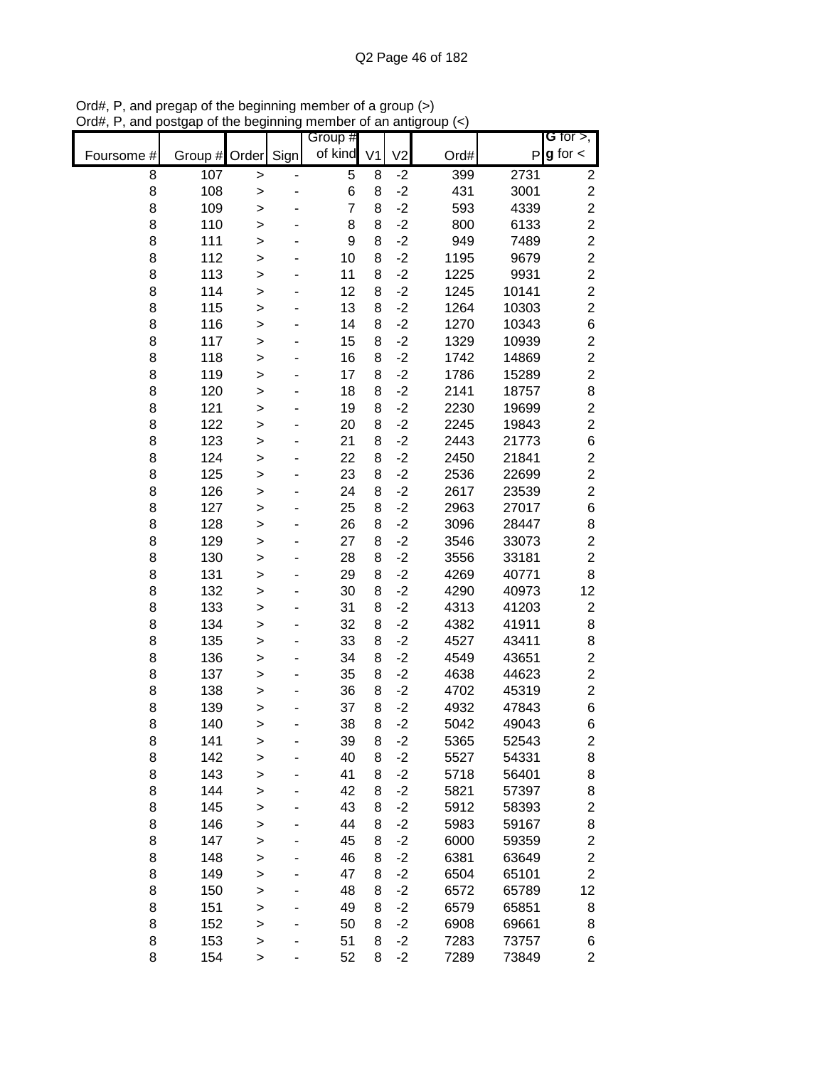|            |               |              |      | Group #        |    |                |      |       | G for $>$ ,             |
|------------|---------------|--------------|------|----------------|----|----------------|------|-------|-------------------------|
| Foursome # | Group # Order |              | Sign | of kind        | V1 | V <sub>2</sub> | Ord# | P     | $g$ for $\lt$           |
| 8          | 107           | $\mathbf{I}$ |      | 5              | 8  | $-2$           | 399  | 2731  | $\overline{\mathbf{c}}$ |
| 8          | 108           | >            |      | 6              | 8  | $-2$           | 431  | 3001  | $\overline{c}$          |
| 8          | 109           | >            |      | $\overline{7}$ | 8  | $-2$           | 593  | 4339  | $\overline{c}$          |
| 8          | 110           | >            |      | 8              | 8  | $-2$           | 800  | 6133  | $\overline{c}$          |
| 8          | 111           | $\mathbf{I}$ |      | 9              | 8  | $-2$           | 949  | 7489  | $\overline{c}$          |
| 8          | 112           | $\mathbf{I}$ |      | 10             | 8  | $-2$           | 1195 | 9679  | $\overline{c}$          |
| 8          | 113           | $\geq$       |      | 11             | 8  | $-2$           | 1225 | 9931  | $\overline{c}$          |
| 8          | 114           | >            |      | 12             | 8  | $-2$           | 1245 | 10141 | $\overline{c}$          |
| 8          | 115           | >            |      | 13             | 8  | $-2$           | 1264 | 10303 | $\overline{c}$          |
| 8          | 116           | >            |      | 14             | 8  | $-2$           | 1270 | 10343 | $\,$ 6 $\,$             |
| 8          | 117           | >            |      | 15             | 8  | $-2$           | 1329 | 10939 | $\overline{c}$          |
| 8          | 118           | $\mathbf{I}$ |      | 16             | 8  | $-2$           | 1742 | 14869 | $\overline{c}$          |
| 8          | 119           | $\mathbf{I}$ |      | 17             | 8  | $-2$           | 1786 | 15289 | $\overline{c}$          |
| 8          | 120           | $\mathbf{I}$ |      | 18             | 8  | $-2$           | 2141 | 18757 | 8                       |
| 8          | 121           | $\geq$       |      | 19             | 8  | $-2$           | 2230 | 19699 | $\overline{\mathbf{c}}$ |
| 8          | 122           | $\geq$       |      | 20             | 8  | $-2$           | 2245 | 19843 | $\overline{c}$          |
| 8          | 123           | >            |      | 21             | 8  | $-2$           | 2443 | 21773 | $\,$ 6 $\,$             |
| 8          | 124           | >            |      | 22             | 8  | $-2$           | 2450 | 21841 | $\overline{\mathbf{c}}$ |
| 8          | 125           | >            |      | 23             | 8  | $-2$           | 2536 | 22699 | $\overline{c}$          |
| 8          | 126           | >            |      | 24             | 8  | $-2$           | 2617 | 23539 | $\overline{c}$          |
| 8          | 127           | >            |      | 25             | 8  | $-2$           | 2963 | 27017 | $\,6$                   |
| 8          | 128           | $\mathbf{I}$ |      | 26             | 8  | $-2$           | 3096 | 28447 | 8                       |
| 8          | 129           | >            |      | 27             | 8  | $-2$           | 3546 | 33073 | $\overline{c}$          |
| 8          | 130           | $\geq$       |      | 28             | 8  | $-2$           | 3556 | 33181 | $\overline{c}$          |
| 8          | 131           | >            |      | 29             | 8  | $-2$           | 4269 | 40771 | 8                       |
| 8          | 132           | >            |      | 30             | 8  | $-2$           | 4290 | 40973 | 12                      |
| 8          | 133           | >            |      | 31             | 8  | $-2$           | 4313 | 41203 | $\overline{\mathbf{c}}$ |
| 8          | 134           | >            |      | 32             | 8  | $-2$           | 4382 | 41911 | 8                       |
| 8          | 135           | >            |      | 33             | 8  | $-2$           | 4527 | 43411 | 8                       |
| 8          | 136           | $\geq$       |      | 34             | 8  | $-2$           | 4549 | 43651 | $\overline{c}$          |
| 8          | 137           | >            |      | 35             | 8  | $-2$           | 4638 | 44623 | $\overline{\mathbf{c}}$ |
| 8          | 138           | $\geq$       |      | 36             | 8  | $-2$           | 4702 | 45319 | $\overline{c}$          |
| 8          | 139           | $\mathbf{I}$ |      | 37             | 8  | $-2$           | 4932 | 47843 | 6                       |
| 8          | 140           | $\geq$       |      | 38             | 8  | $-2$           | 5042 | 49043 | 6                       |
| 8          | 141           | >            |      | 39             | 8  | $-2$           | 5365 | 52543 | $\overline{\mathbf{c}}$ |
| 8          | 142           | >            |      | 40             | 8  | $-2$           | 5527 | 54331 | 8                       |
| 8          | 143           | >            |      | 41             | 8  | $-2$           | 5718 | 56401 | 8                       |
| 8          | 144           | $\mathbf{I}$ |      | 42             | 8  | $-2$           | 5821 | 57397 | 8                       |
| 8          | 145           | $\mathbf{I}$ |      | 43             | 8  | $-2$           | 5912 | 58393 | $\overline{c}$          |
| 8          | 146           | >            |      | 44             | 8  | $-2$           | 5983 | 59167 | 8                       |
| 8          | 147           | >            |      | 45             | 8  | $-2$           | 6000 | 59359 | $\overline{\mathbf{c}}$ |
| 8          | 148           | >            |      | 46             | 8  | $-2$           | 6381 | 63649 | $\overline{c}$          |
| 8          | 149           | >            |      | 47             | 8  | $-2$           | 6504 | 65101 | $\overline{2}$          |
| 8          | 150           | >            |      | 48             | 8  | $-2$           | 6572 | 65789 | 12                      |
| 8          | 151           | >            |      | 49             | 8  | $-2$           | 6579 | 65851 | 8                       |
| 8          | 152           | >            |      | 50             | 8  | $-2$           | 6908 | 69661 | 8                       |
| 8          | 153           | $\geq$       |      | 51             | 8  | $-2$           | 7283 | 73757 | 6                       |
| 8          | 154           | >            |      | 52             | 8  | $-2$           | 7289 | 73849 | $\overline{2}$          |

Ord#, P, and pregap of the beginning member of a group (>) Ord#, P, and postgap of the beginning member of an antigroup (<)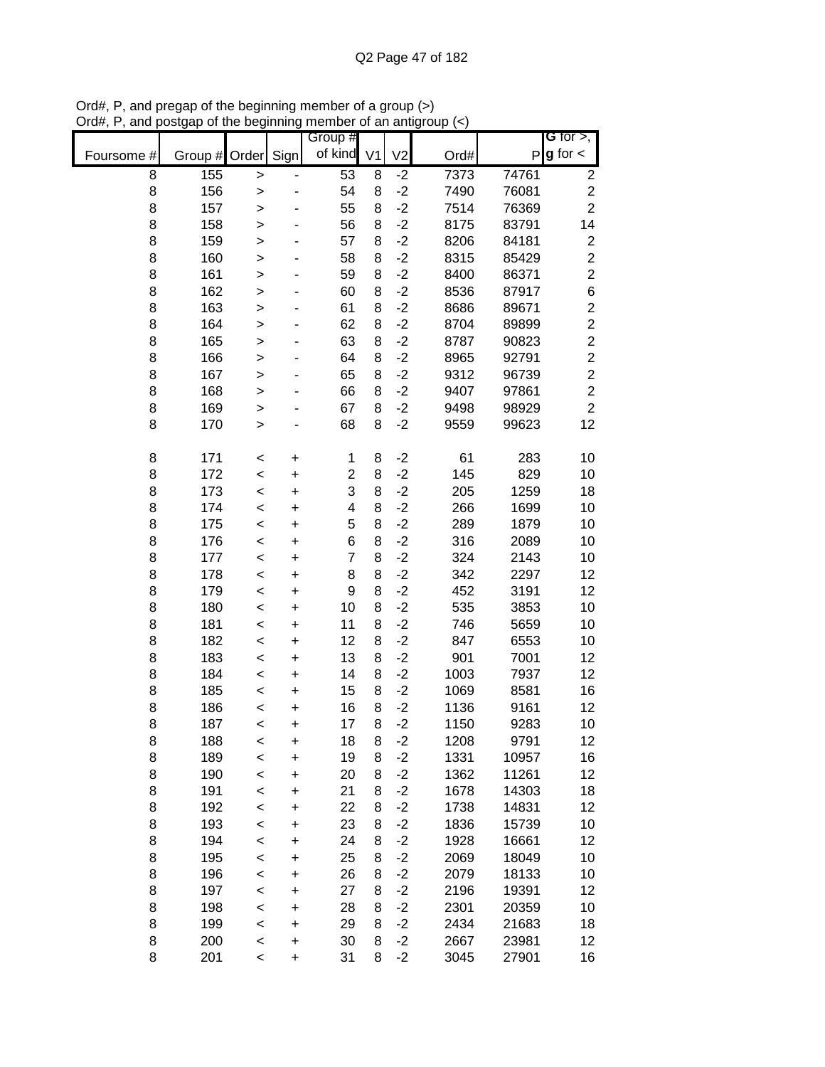|            |         |              |           | Group #        |                |                |      |       | G for $>$ ,             |
|------------|---------|--------------|-----------|----------------|----------------|----------------|------|-------|-------------------------|
| Foursome # | Group # | Order        | Sign      | of kind        | V <sub>1</sub> | V <sub>2</sub> | Ord# | P     | $g$ for $\lt$           |
| 8          | 155     | >            |           | 53             | 8              | $-2$           | 7373 | 74761 | $\overline{\mathbf{c}}$ |
| 8          | 156     | $\geq$       |           | 54             | 8              | $-2$           | 7490 | 76081 | $\overline{\mathbf{c}}$ |
| 8          | 157     | $\geq$       |           | 55             | 8              | $-2$           | 7514 | 76369 | $\overline{2}$          |
| 8          | 158     | $\mathbf{I}$ |           | 56             | 8              | $-2$           | 8175 | 83791 | 14                      |
| 8          | 159     | $\mathbf{I}$ |           | 57             | 8              | $-2$           | 8206 | 84181 | $\overline{\mathbf{c}}$ |
| 8          | 160     | $\mathbf{I}$ |           | 58             | 8              | $-2$           | 8315 | 85429 | $\overline{\mathbf{c}}$ |
| 8          | 161     | $\mathbf{I}$ |           | 59             | 8              | $-2$           | 8400 | 86371 | $\overline{c}$          |
| 8          | 162     | >            |           | 60             | 8              | $-2$           | 8536 | 87917 | 6                       |
| 8          | 163     | >            |           | 61             | 8              | $-2$           | 8686 | 89671 | $\overline{\mathbf{c}}$ |
| 8          | 164     | $\geq$       |           | 62             | 8              | $-2$           | 8704 | 89899 | $\boldsymbol{2}$        |
| 8          | 165     | $\geq$       |           | 63             | 8              | $-2$           | 8787 | 90823 | $\overline{c}$          |
| 8          | 166     | $\geq$       |           | 64             | 8              | $-2$           | 8965 | 92791 | $\overline{c}$          |
| 8          | 167     | $\geq$       |           | 65             | 8              | $-2$           | 9312 | 96739 | $\overline{c}$          |
| 8          | 168     | $\geq$       |           | 66             | 8              | $-2$           | 9407 | 97861 | $\overline{c}$          |
| 8          | 169     | $\mathbf{I}$ |           | 67             | 8              | $-2$           | 9498 | 98929 | $\overline{2}$          |
| 8          | 170     | >            |           | 68             | 8              | $-2$           | 9559 | 99623 | 12                      |
| 8          | 171     | $\,<$        | +         | 1              | 8              | $-2$           | 61   | 283   | 10                      |
| 8          | 172     | $\prec$      | $\ddot{}$ | $\overline{2}$ | 8              | $-2$           | 145  | 829   | 10                      |
| 8          | 173     | $\prec$      | $\ddot{}$ | 3              | 8              | $-2$           | 205  | 1259  | 18                      |
| 8          | 174     | $\prec$      | $\ddot{}$ | 4              | 8              | $-2$           | 266  | 1699  | 10                      |
| 8          | 175     | $\prec$      | $\ddot{}$ | 5              | 8              | $-2$           | 289  | 1879  | 10                      |
| 8          | 176     | $\prec$      | +         | 6              | 8              | $-2$           | 316  | 2089  | 10                      |
| 8          | 177     | $\prec$      | $\ddot{}$ | $\overline{7}$ | 8              | $-2$           | 324  | 2143  | 10                      |
| 8          | 178     | $\,<$        | +         | 8              | 8              | $-2$           | 342  | 2297  | 12                      |
| 8          | 179     | $\,<$        | +         | 9              | 8              | $-2$           | 452  | 3191  | 12                      |
| 8          | 180     | $\,<$        | +         | 10             | 8              | $-2$           | 535  | 3853  | 10                      |
| 8          | 181     | $\prec$      | $\ddot{}$ | 11             | 8              | $-2$           | 746  | 5659  | 10                      |
| 8          | 182     | $\prec$      | $\ddot{}$ | 12             | 8              | $-2$           | 847  | 6553  | 10                      |
| 8          | 183     | $\prec$      | $\ddot{}$ | 13             | 8              | $-2$           | 901  | 7001  | 12                      |
| 8          | 184     | $\prec$      | $\ddot{}$ | 14             | 8              | $-2$           | 1003 | 7937  | 12                      |
| 8          | 185     | $\prec$      | $\ddot{}$ | 15             | 8              | $-2$           | 1069 | 8581  | 16                      |
| 8          | 186     | $\prec$      | $\ddot{}$ | 16             | 8              | $-2$           | 1136 | 9161  | 12                      |
| 8          | 187     | $\,<$        | $\ddot{}$ | 17             | 8              | $-2$           | 1150 | 9283  | 10                      |
| 8          | 188     | $\prec$      | $\ddot{}$ | 18             | 8              | $-2$           | 1208 | 9791  | 12                      |
| 8          | 189     | $\prec$      | $\ddot{}$ | 19             | 8              | $-2$           | 1331 | 10957 | 16                      |
| 8          | 190     | $\prec$      | $\ddot{}$ | 20             | 8              | $-2$           | 1362 | 11261 | 12                      |
| 8          | 191     | $\prec$      | $\ddot{}$ | 21             | 8              | $-2$           | 1678 | 14303 | 18                      |
| 8          | 192     | $\prec$      | +         | 22             | 8              | $-2$           | 1738 | 14831 | 12                      |
| 8          | 193     | $\prec$      | +         | 23             | 8              | $-2$           | 1836 | 15739 | 10                      |
| 8          | 194     | $\prec$      | +         | 24             | 8              | $-2$           | 1928 | 16661 | 12                      |
| 8          | 195     | $\prec$      | +         | 25             | 8              | $-2$           | 2069 | 18049 | 10                      |
| 8          | 196     | $\prec$      | +         | 26             | 8              | $-2$           | 2079 | 18133 | 10                      |
| 8          | 197     | $\prec$      | +         | 27             | 8              | $-2$           | 2196 | 19391 | 12                      |
| 8          | 198     | $\prec$      | $\ddot{}$ | 28             | 8              | $-2$           | 2301 | 20359 | 10                      |
| 8          | 199     | $\prec$      | $\ddot{}$ | 29             | 8              | $-2$           | 2434 | 21683 | 18                      |
| 8          | 200     | $\prec$      | $\ddot{}$ | 30             | 8              | $-2$           | 2667 | 23981 | 12                      |
| 8          | 201     | $\,<$        | $\ddot{}$ | 31             | 8              | $-2$           | 3045 | 27901 | 16                      |

Ord#, P, and pregap of the beginning member of a group (>) Ord#, P, and postgap of the beginning member of an antigroup (<)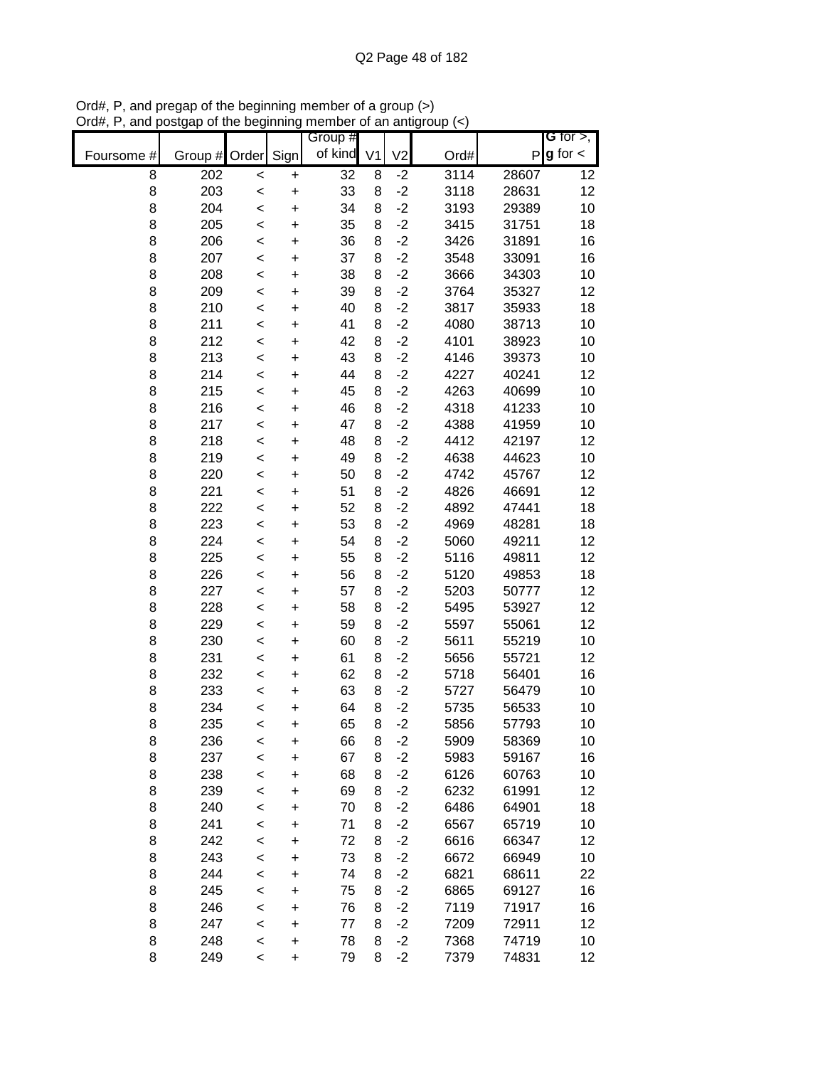|            |               |         |           | Group # |                |                |      |              | G for $>$ ,     |
|------------|---------------|---------|-----------|---------|----------------|----------------|------|--------------|-----------------|
| Foursome # | Group # Order |         | Sign      | of kind | V <sub>1</sub> | V <sub>2</sub> | Ord# | $\mathsf{P}$ | $g$ for $\lt$   |
| 8          | 202           | $\,<$   | +         | 32      | 8              | $-2$           | 3114 | 28607        | 12              |
| 8          | 203           | $\prec$ | $\ddot{}$ | 33      | 8              | $-2$           | 3118 | 28631        | 12              |
| 8          | 204           | $\prec$ | $\ddot{}$ | 34      | 8              | $-2$           | 3193 | 29389        | 10              |
| 8          | 205           | $\prec$ | $\ddot{}$ | 35      | 8              | $-2$           | 3415 | 31751        | 18              |
| 8          | 206           | $\prec$ | $\ddot{}$ | 36      | 8              | $-2$           | 3426 | 31891        | 16              |
| 8          | 207           | $\prec$ | +         | 37      | 8              | $-2$           | 3548 | 33091        | 16              |
| 8          | 208           | $\prec$ | $\ddot{}$ | 38      | 8              | $-2$           | 3666 | 34303        | 10              |
| 8          | 209           | $\prec$ | +         | 39      | 8              | $-2$           | 3764 | 35327        | 12              |
| 8          | 210           | <       | $\ddot{}$ | 40      | 8              | $-2$           | 3817 | 35933        | 18              |
| 8          | 211           | <       | +         | 41      | 8              | $-2$           | 4080 | 38713        | 10              |
| 8          | 212           | $\prec$ | $\ddot{}$ | 42      | 8              | $-2$           | 4101 | 38923        | 10              |
| 8          | 213           | $\prec$ | $\ddot{}$ | 43      | 8              | $-2$           | 4146 | 39373        | 10              |
| 8          | 214           | $\prec$ | $\ddot{}$ | 44      | 8              | $-2$           | 4227 | 40241        | 12              |
| 8          | 215           | $\prec$ | $\ddot{}$ | 45      | 8              | $-2$           | 4263 | 40699        | 10              |
| 8          | 216           | $\prec$ | $\ddot{}$ | 46      | 8              | $-2$           | 4318 | 41233        | 10              |
| 8          | 217           | $\prec$ | $\ddot{}$ | 47      | 8              | $-2$           | 4388 | 41959        | 10              |
| 8          | 218           | $\prec$ | $\ddot{}$ | 48      | 8              | $-2$           | 4412 | 42197        | 12              |
| 8          | 219           | $\prec$ | $\ddot{}$ | 49      | 8              | $-2$           | 4638 | 44623        | 10              |
| 8          | 220           | $\prec$ | $\ddot{}$ | 50      | 8              | $-2$           | 4742 | 45767        | 12              |
| 8          | 221           | $\prec$ | $\ddot{}$ | 51      | 8              | $-2$           | 4826 | 46691        | 12              |
| 8          | 222           | $\prec$ | $\ddot{}$ | 52      | 8              | $-2$           | 4892 | 47441        | 18              |
| 8          | 223           | $\prec$ | $\ddot{}$ | 53      | 8              | $-2$           | 4969 | 48281        | 18              |
| 8          | 224           | $\prec$ | $\ddot{}$ | 54      | 8              | $-2$           | 5060 | 49211        | 12              |
| 8          | 225           | $\prec$ | $\ddot{}$ | 55      | 8              | $-2$           | 5116 | 49811        | 12              |
| 8          | 226           | $\,<$   | +         | 56      | 8              | $-2$           | 5120 | 49853        | 18              |
| 8          | 227           | $\,<$   | $\ddot{}$ | 57      | 8              | $-2$           | 5203 | 50777        | 12              |
| 8          | 228           | $\,<$   | +         | 58      | 8              | $-2$           | 5495 | 53927        | 12              |
| 8          | 229           | $\,<$   | $\ddot{}$ | 59      | 8              | $-2$           | 5597 | 55061        | 12              |
| 8          | 230           | $\,<$   | $\ddot{}$ | 60      | 8              | $-2$           | 5611 | 55219        | 10              |
| 8          | 231           | $\prec$ | $\ddot{}$ | 61      | 8              | $-2$           | 5656 | 55721        | 12              |
| 8          | 232           | $\prec$ | $\ddot{}$ | 62      | 8              | $-2$           | 5718 | 56401        | 16              |
| 8          | 233           | $\prec$ | $\ddot{}$ | 63      | 8              | $-2$           | 5727 | 56479        | 10              |
| 8          | 234           | $\prec$ | $\ddot{}$ | 64      | 8              | $-2$           | 5735 | 56533        | 10              |
| 8          | 235           | <       | $\ddot{}$ | 65      | 8              | $-2$           | 5856 | 57793        | 10              |
| 8          | 236           | $\,<$   | +         | 66      | 8              | $-2$           | 5909 | 58369        | 10              |
| 8          | 237           | $\prec$ | $\ddot{}$ | 67      | 8              | $-2$           | 5983 | 59167        | 16              |
| 8          | 238           | $\,<$   | +         | 68      | 8              | $-2$           | 6126 | 60763        | 10              |
| 8          | 239           | <       | +         | 69      | 8              | $-2$           | 6232 | 61991        | 12              |
| 8          | 240           | $\prec$ | +         | 70      | 8              | $-2$           | 6486 | 64901        | 18              |
| 8          | 241           | $\prec$ | +         | 71      | 8              | $-2$           | 6567 | 65719        | 10              |
| 8          | 242           | $\,<$   | +         | 72      | 8              | $-2$           | 6616 | 66347        | 12              |
| 8          | 243           | <       | +         | 73      | 8              | $-2$           | 6672 | 66949        | 10              |
| 8          | 244           | $\prec$ | +         | 74      | 8              | $-2$           | 6821 | 68611        | 22              |
| 8          | 245           | $\,<$   | +         | 75      | 8              | $-2$           | 6865 | 69127        | 16              |
| 8          | 246           | <       | +         | 76      | 8              | $-2$           | 7119 | 71917        | 16              |
| 8          | 247           | $\,<$   | +         | 77      | 8              | $-2$           | 7209 | 72911        | 12              |
| 8          | 248           | $\,<$   | $\ddot{}$ | 78      | 8              | $-2$           | 7368 | 74719        | 10              |
| 8          | 249           | $\,<$   | +         | 79      | 8              | $-2$           | 7379 | 74831        | 12 <sub>2</sub> |

Ord#, P, and pregap of the beginning member of a group (>) Ord#, P, and postgap of the beginning member of an antigroup (<)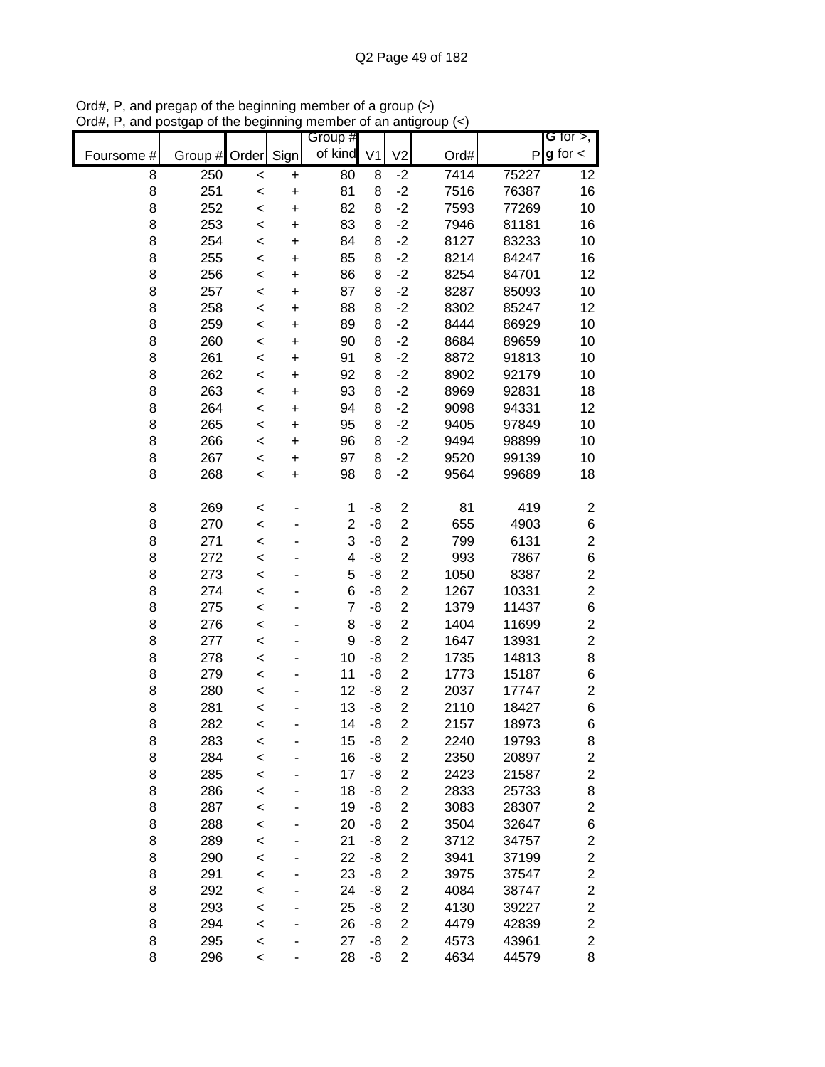|            |         |         |           | Group #        |                |                         |      |              | G for $>$ ,             |
|------------|---------|---------|-----------|----------------|----------------|-------------------------|------|--------------|-------------------------|
| Foursome # | Group # | Order   | Sign      | of kind        | V <sub>1</sub> | V <sub>2</sub>          | Ord# | $\mathsf{P}$ | $g$ for $\lt$           |
| 8          | 250     | $\,<$   | $\ddot{}$ | 80             | 8              | $-2$                    | 7414 | 75227        | 12                      |
| 8          | 251     | $\,<$   | $\ddot{}$ | 81             | 8              | $-2$                    | 7516 | 76387        | 16                      |
| 8          | 252     | $\prec$ | $\ddot{}$ | 82             | 8              | $-2$                    | 7593 | 77269        | 10                      |
| 8          | 253     | $\prec$ | $\ddot{}$ | 83             | 8              | $-2$                    | 7946 | 81181        | 16                      |
| 8          | 254     | $\prec$ | $\ddot{}$ | 84             | 8              | $-2$                    | 8127 | 83233        | 10                      |
| 8          | 255     | $\prec$ | $\ddot{}$ | 85             | 8              | $-2$                    | 8214 | 84247        | 16                      |
| 8          | 256     | $\prec$ | $\ddot{}$ | 86             | 8              | $-2$                    | 8254 | 84701        | 12                      |
| 8          | 257     | $\prec$ | +         | 87             | 8              | $-2$                    | 8287 | 85093        | 10                      |
| 8          | 258     | <       | $\ddot{}$ | 88             | 8              | $-2$                    | 8302 | 85247        | 12                      |
| 8          | 259     | <       | +         | 89             | 8              | $-2$                    | 8444 | 86929        | 10                      |
| 8          | 260     | <       | $\ddot{}$ | 90             | 8              | $-2$                    | 8684 | 89659        | 10                      |
| 8          | 261     | $\prec$ | $\ddot{}$ | 91             | 8              | $-2$                    | 8872 | 91813        | 10                      |
| 8          | 262     | <       | $\ddot{}$ | 92             | 8              | $-2$                    | 8902 | 92179        | 10                      |
| 8          | 263     | $\prec$ | $\ddot{}$ | 93             | 8              | $-2$                    | 8969 | 92831        | 18                      |
| 8          | 264     | $\prec$ | $\ddot{}$ | 94             | 8              | $-2$                    | 9098 | 94331        | 12                      |
| 8          | 265     | <       | $\ddot{}$ | 95             | 8              | $-2$                    | 9405 | 97849        | 10                      |
| 8          | 266     | <       | $\ddot{}$ | 96             | 8              | $-2$                    | 9494 | 98899        | 10                      |
| 8          | 267     | $\prec$ | $\ddot{}$ | 97             | 8              | $-2$                    | 9520 | 99139        | 10                      |
| 8          | 268     | <       | $\ddot{}$ | 98             | 8              | $-2$                    | 9564 | 99689        | 18                      |
|            |         |         |           |                |                |                         |      |              |                         |
| 8          | 269     | <       |           | 1              | -8             | $\overline{\mathbf{c}}$ | 81   | 419          | $\boldsymbol{2}$        |
| 8          | 270     | $\prec$ |           | $\overline{c}$ | -8             | $\overline{c}$          | 655  | 4903         | $\,$ 6 $\,$             |
| 8          | 271     | $\prec$ |           | 3              | -8             | $\overline{\mathbf{c}}$ | 799  | 6131         | $\overline{c}$          |
| 8          | 272     | $\prec$ |           | 4              | -8             | $\overline{c}$          | 993  | 7867         | 6                       |
| 8          | 273     | <       |           | 5              | -8             | $\overline{2}$          | 1050 | 8387         | $\overline{c}$          |
| 8          | 274     | <       |           | 6              | -8             | $\overline{c}$          | 1267 | 10331        | $\overline{c}$          |
| 8          | 275     | <       |           | $\overline{7}$ | -8             | $\overline{c}$          | 1379 | 11437        | $\,$ 6 $\,$             |
| 8          | 276     | <       |           | 8              | -8             | $\overline{2}$          | 1404 | 11699        | $\overline{\mathbf{c}}$ |
| 8          | 277     | $\prec$ |           | 9              | -8             | $\overline{c}$          | 1647 | 13931        | $\boldsymbol{2}$        |
| 8          | 278     | <       |           | 10             | -8             | $\overline{c}$          | 1735 | 14813        | 8                       |
| 8          | 279     | $\prec$ |           | 11             | -8             | $\overline{\mathbf{c}}$ | 1773 | 15187        | 6                       |
| 8          | 280     | $\prec$ |           | 12             | -8             | $\overline{2}$          | 2037 | 17747        | $\overline{\mathbf{c}}$ |
| 8          | 281     | $\prec$ |           | 13             | -8             | $\overline{c}$          | 2110 | 18427        | 6                       |
| 8          | 282     | <       |           | 14             | -8             | $\overline{c}$          | 2157 | 18973        | 6                       |
| 8          | 283     | <       |           | 15             | -8             | $\overline{\mathbf{c}}$ | 2240 | 19793        | 8                       |
| 8          | 284     | $\prec$ |           | 16             | -8             | $\overline{2}$          | 2350 | 20897        | $\mathbf{2}$            |
| 8          | 285     | $\prec$ |           | 17             | -8             | $\mathbf 2$             | 2423 | 21587        | $\overline{\mathbf{c}}$ |
| 8          | 286     | <       |           | 18             | -8             | $\overline{2}$          | 2833 | 25733        | 8                       |
| 8          | 287     | $\prec$ |           | 19             | -8             | $\boldsymbol{2}$        | 3083 | 28307        | $\overline{\mathbf{c}}$ |
| 8          | 288     | $\prec$ |           | 20             | -8             | $\overline{2}$          | 3504 | 32647        | $\,$ 6 $\,$             |
| 8          | 289     | <       |           | 21             | -8             | $\overline{c}$          | 3712 | 34757        | $\overline{\mathbf{c}}$ |
| 8          | 290     | <       |           | 22             | -8             | $\overline{2}$          | 3941 | 37199        | $\overline{c}$          |
| 8          | 291     | <       |           | 23             | -8             | $\overline{2}$          | 3975 | 37547        | $\overline{\mathbf{c}}$ |
| 8          | 292     | <       |           | 24             | -8             | $\overline{2}$          | 4084 | 38747        | $\mathbf{2}$            |
| 8          | 293     | <       |           | 25             | -8             | $\overline{2}$          | 4130 | 39227        | $\overline{\mathbf{c}}$ |
| 8          | 294     | $\prec$ |           | 26             | -8             | $\overline{c}$          | 4479 | 42839        | $\overline{\mathbf{c}}$ |
| 8          | 295     | <       |           | 27             | -8             | $\overline{2}$          | 4573 | 43961        | $\overline{c}$          |
| 8          | 296     | $\,<$   |           | 28             | -8             | $\overline{c}$          | 4634 | 44579        | 8                       |

Ord#, P, and pregap of the beginning member of a group (>) Ord#, P, and postgap of the beginning member of an antigroup (<)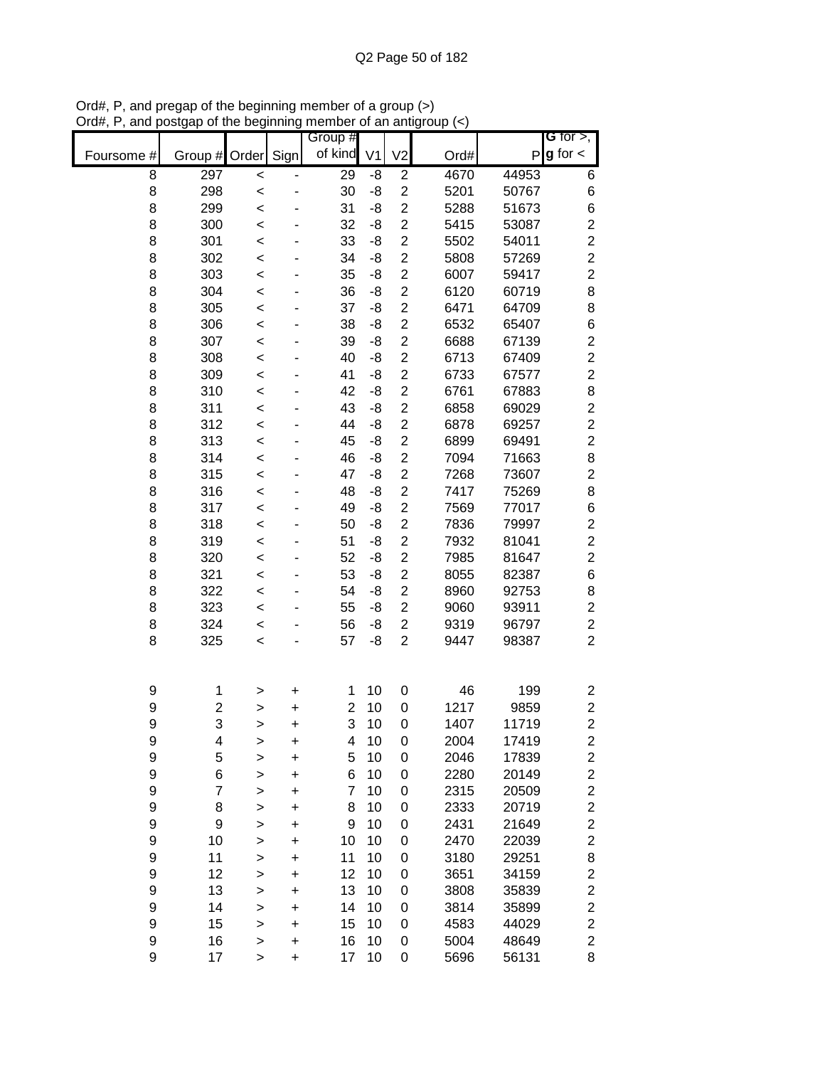|                       |                |                        |                | Group #         |                |                         |              |                | G for $>$ ,                               |
|-----------------------|----------------|------------------------|----------------|-----------------|----------------|-------------------------|--------------|----------------|-------------------------------------------|
| Foursome #            | Group #        | Order                  | Sign           | of kind         | V <sub>1</sub> | V <sub>2</sub>          | Ord#         | P              | $g$ for $\lt$                             |
| 8                     | 297            | $\prec$                |                | $\overline{29}$ | -8             | $\overline{\mathbf{c}}$ | 4670         | 44953          | 6                                         |
| 8                     | 298            | $\prec$                |                | 30              | -8             | $\overline{2}$          | 5201         | 50767          | 6                                         |
| 8                     | 299            | $\prec$                |                | 31              | -8             | $\overline{2}$          | 5288         | 51673          | 6                                         |
| 8                     | 300            | $\prec$                |                | 32              | -8             | $\overline{2}$          | 5415         | 53087          | $\overline{\mathbf{c}}$                   |
| 8                     | 301            | $\prec$                |                | 33              | -8             | $\overline{c}$          | 5502         | 54011          | $\overline{c}$                            |
| 8                     | 302            | $\prec$                |                | 34              | -8             | $\overline{2}$          | 5808         | 57269          | $\overline{c}$                            |
| 8                     | 303            | $\prec$                |                | 35              | -8             | $\overline{c}$          | 6007         | 59417          | $\overline{c}$                            |
| 8                     | 304            | $\,<$                  |                | 36              | -8             | $\overline{c}$          | 6120         | 60719          | $\bf8$                                    |
| 8                     | 305            | $\prec$                |                | 37              | -8             | $\overline{c}$          | 6471         | 64709          | 8                                         |
| 8                     | 306            | $\,<$                  |                | 38              | -8             | $\overline{2}$          | 6532         | 65407          | $\,$ 6 $\,$                               |
| 8                     | 307            | $\,<$                  |                | 39              | -8             | $\overline{2}$          | 6688         | 67139          | $\overline{\mathbf{c}}$                   |
| 8                     | 308            | $\prec$                |                | 40              | -8             | $\overline{2}$          | 6713         | 67409          | $\overline{c}$                            |
| 8                     | 309            | $\prec$                |                | 41              | -8             | $\overline{\mathbf{c}}$ | 6733         | 67577          | $\overline{c}$                            |
| 8                     | 310            | $\prec$                |                | 42              | -8             | $\overline{c}$          | 6761         | 67883          | 8                                         |
| 8                     | 311            | $\prec$                |                | 43              | -8             | $\overline{2}$          | 6858         | 69029          | $\overline{c}$                            |
| 8                     | 312            | $\,<$                  |                | 44              | -8             | $\overline{2}$          | 6878         | 69257          | $\overline{c}$                            |
| 8                     | 313            | $\,<$                  |                | 45              | -8             | $\overline{2}$          | 6899         | 69491          | $\overline{c}$                            |
| 8                     | 314            | $\prec$                |                | 46              | -8             | $\overline{c}$          | 7094         | 71663          | 8                                         |
| 8                     | 315            | $\prec$                |                | 47              | -8             | $\overline{c}$          | 7268         | 73607          | $\overline{c}$                            |
| 8                     | 316            | $\prec$                |                | 48              | -8             | $\overline{c}$          | 7417         | 75269          | 8                                         |
| 8                     | 317            | $\prec$                |                | 49              | -8             | $\overline{2}$          | 7569         | 77017          | 6                                         |
| 8                     | 318            | $\prec$                |                | 50              | -8             | $\overline{c}$          | 7836         | 79997          | $\overline{c}$                            |
| 8                     | 319            | $\,<$                  |                | 51              | -8             | $\overline{c}$          | 7932         | 81041          | $\overline{c}$                            |
| 8                     | 320            | $\,<$                  |                | 52              | -8             | $\overline{c}$          | 7985         | 81647          | $\overline{c}$                            |
| 8                     | 321            | $\,<$                  |                | 53              | -8             | $\overline{c}$          | 8055         | 82387          | $\,6$                                     |
| 8                     | 322            | $\,<$                  |                | 54              | -8             | $\overline{2}$          | 8960         | 92753          | 8                                         |
| 8                     | 323            | $\,<$                  |                | 55              | -8             | $\overline{2}$          | 9060         | 93911          | $\overline{c}$                            |
| 8                     | 324            | $\,<$                  |                | 56              | -8             | $\overline{c}$          | 9319         | 96797          | $\boldsymbol{2}$                          |
| 8                     | 325            | $\prec$                |                | 57              | -8             | $\overline{2}$          | 9447         | 98387          | $\overline{c}$                            |
|                       |                |                        |                |                 |                |                         |              |                |                                           |
| 9                     | 1              | >                      | +              | 1               | 10             | 0                       | 46           | 199            | 2                                         |
| 9                     | 2              | >                      | +              | $\overline{c}$  | 10             | 0                       | 1217         | 9859           | $\overline{c}$                            |
| 9                     | 3              | >                      | +              | 3               | 10             | 0                       | 1407         | 11719          | $\overline{c}$                            |
| 9                     | 4              | >                      | +              | 4               | 10             | 0                       | 2004         | 17419          | $\overline{\mathbf{c}}$                   |
| 9                     | 5              | $\geq$                 | +              | 5               | 10             | 0                       | 2046         | 17839          | $\overline{\mathbf{c}}$                   |
| 9                     | 6              | $\mathbf{I}$           | +              | 6<br>7          | 10             | 0                       | 2280         | 20149          | $\overline{\mathbf{c}}$                   |
| 9                     | $\overline{7}$ | >                      | +              |                 | 10             | 0                       | 2315         | 20509          | $\overline{\mathbf{c}}$<br>$\overline{c}$ |
| $\boldsymbol{9}$<br>9 | 8              | $\mathbf{I}$           | +              | 8<br>9          | 10<br>10       | 0                       | 2333         | 20719          | $\overline{c}$                            |
| 9                     | 9              | >                      | +              |                 |                | 0                       | 2431         | 21649          | $\overline{c}$                            |
| 9                     | 10<br>11       | >                      | +              | 10<br>11        | 10<br>10       | 0<br>0                  | 2470<br>3180 | 22039<br>29251 | 8                                         |
| 9                     | 12             | >                      | +<br>$\ddot{}$ | 12              | 10             | 0                       | 3651         | 34159          | $\overline{c}$                            |
| 9                     | 13             | $\geq$                 | +              | 13              | 10             | 0                       | 3808         | 35839          | $\overline{\mathbf{c}}$                   |
| 9                     | 14             | $\geq$<br>$\mathbf{I}$ | +              | 14              | 10             | 0                       | 3814         | 35899          | $\overline{\mathbf{c}}$                   |
| 9                     | 15             | $\geq$                 | +              | 15              | 10             | 0                       | 4583         | 44029          | $\overline{\mathbf{c}}$                   |
| 9                     | 16             | $\geq$                 | $\ddot{}$      | 16              | 10             | 0                       | 5004         | 48649          | $\overline{\mathbf{c}}$                   |
| 9                     | 17             | >                      | $\ddot{}$      | 17              | 10             | 0                       | 5696         | 56131          | 8                                         |

Ord#, P, and pregap of the beginning member of a group (>) Ord#, P, and postgap of the beginning member of an antigroup (<)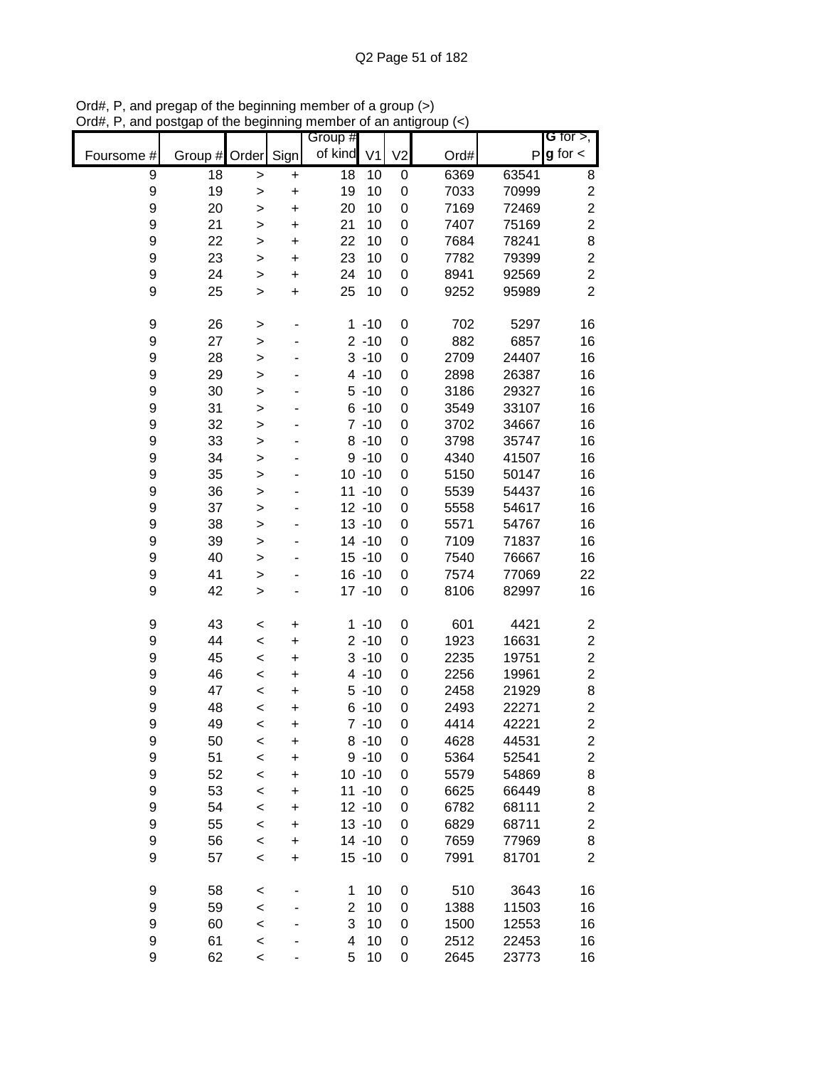|                       |               |                        |           | Group #         |                      |                |              |                | G for $>$ ,             |
|-----------------------|---------------|------------------------|-----------|-----------------|----------------------|----------------|--------------|----------------|-------------------------|
| Foursome #            | Group # Order |                        | Sign      | of kind         | V <sub>1</sub>       | V <sub>2</sub> | Ord#         | P              | $g$ for $\lt$           |
| $\boldsymbol{9}$      | 18            | $\geq$                 | $\ddot{}$ | $\overline{18}$ | 10                   | 0              | 6369         | 63541          | 8                       |
| $\boldsymbol{9}$      | 19            | $\geq$                 | $\ddot{}$ | 19              | 10                   | 0              | 7033         | 70999          | $\overline{c}$          |
| 9                     | 20            | $\geq$                 | $\ddot{}$ | 20              | 10                   | 0              | 7169         | 72469          | $\overline{c}$          |
| $\mathsf 9$           | 21            | $\mathbf{I}$           | $\ddot{}$ | 21              | 10                   | 0              | 7407         | 75169          | $\overline{c}$          |
| 9                     | 22            | $\geq$                 | $\ddot{}$ | 22              | 10                   | 0              | 7684         | 78241          | 8                       |
| $\mathsf 9$           | 23            | $\mathbf{I}$           | $\ddot{}$ | 23              | 10                   | 0              | 7782         | 79399          | $\overline{c}$          |
| 9                     | 24            | >                      | $\ddot{}$ | 24              | 10                   | 0              | 8941         | 92569          | $\overline{c}$          |
| 9                     | 25            | $\, > \,$              | $\ddot{}$ | 25              | 10                   | 0              | 9252         | 95989          | $\overline{2}$          |
| 9                     | 26            | $\geq$                 |           |                 | $1 - 10$             | 0              | 702          | 5297           | 16                      |
| 9                     | 27            | $\geq$                 |           |                 | $2 - 10$             | 0              | 882          | 6857           | 16                      |
| 9                     | 28            | $\geq$                 |           |                 | $3 - 10$             | 0              | 2709         | 24407          | 16                      |
| 9                     | 29            | $\geq$                 |           |                 | $4 - 10$             | 0              | 2898         | 26387          | 16                      |
| $\boldsymbol{9}$      | 30            | $\mathbf{I}$           |           |                 | $5 - 10$             | 0              | 3186         | 29327          | 16                      |
| $\boldsymbol{9}$      | 31            | >                      |           |                 | $6 - 10$<br>$7 - 10$ | 0              | 3549         | 33107          | 16                      |
| $\boldsymbol{9}$<br>9 | 32<br>33      | >                      |           |                 | $8 - 10$             | 0              | 3702         | 34667          | 16                      |
| $\boldsymbol{9}$      | 34            | $\geq$                 |           |                 | $9 - 10$             | 0              | 3798<br>4340 | 35747<br>41507 | 16<br>16                |
| $\boldsymbol{9}$      | 35            | $\geq$                 |           |                 | $10 - 10$            | 0<br>0         | 5150         | 50147          | 16                      |
| 9                     | 36            | $\geq$                 |           |                 | $11 - 10$            | 0              | 5539         | 54437          | 16                      |
| $\boldsymbol{9}$      | 37            | $\geq$<br>$\mathbf{I}$ |           |                 | $12 - 10$            | 0              | 5558         | 54617          | 16                      |
| 9                     | 38            |                        |           |                 | $13 - 10$            | 0              | 5571         | 54767          | 16                      |
| $\boldsymbol{9}$      | 39            | $\geq$<br>>            |           |                 | $14 - 10$            | 0              | 7109         | 71837          | 16                      |
| 9                     | 40            | >                      |           |                 | $15 - 10$            | 0              | 7540         | 76667          | 16                      |
| 9                     | 41            | >                      |           |                 | $16 - 10$            | 0              | 7574         | 77069          | 22                      |
| 9                     | 42            | $\geq$                 |           |                 | $17 - 10$            | 0              | 8106         | 82997          | 16                      |
| 9                     | 43            | $\,<$                  | $\ddot{}$ |                 | $1 - 10$             | 0              | 601          | 4421           | $\overline{\mathbf{c}}$ |
| $\boldsymbol{9}$      | 44            | $\prec$                | $\ddot{}$ |                 | $2 - 10$             | 0              | 1923         | 16631          | $\boldsymbol{2}$        |
| 9                     | 45            | $\prec$                | $\ddot{}$ |                 | $3 - 10$             | 0              | 2235         | 19751          | $\overline{c}$          |
| $\boldsymbol{9}$      | 46            | $\prec$                | $\ddot{}$ |                 | $4 - 10$             | 0              | 2256         | 19961          | $\overline{c}$          |
| $\boldsymbol{9}$      | 47            | $\prec$                | $\ddot{}$ |                 | $5 - 10$             | 0              | 2458         | 21929          | 8                       |
| 9                     | 48            | $\,<$                  | $\ddot{}$ |                 | $6 - 10$             | 0              | 2493         | 22271          | $\overline{c}$          |
| 9                     | 49            | $\,<$                  | $\ddot{}$ |                 | $7 - 10$             | 0              | 4414         | 42221          | $\overline{c}$          |
| 9                     | 50            | $\,<$                  | $\ddot{}$ |                 | $8 - 10$             | 0              | 4628         | 44531          | $\overline{\mathbf{c}}$ |
| 9                     | 51            | $\prec$                | $\ddot{}$ |                 | $9 - 10$             | 0              | 5364         | 52541          | $\boldsymbol{2}$        |
| $\boldsymbol{9}$      | 52            | $\prec$                | $\ddot{}$ |                 | $10 - 10$            | 0              | 5579         | 54869          | 8                       |
| 9                     | 53            | $\prec$                | +         |                 | $11 - 10$            | 0              | 6625         | 66449          | 8                       |
| 9                     | 54            | $\,<$                  | +         |                 | $12 - 10$            | 0              | 6782         | 68111          | $\overline{\mathbf{c}}$ |
| $\boldsymbol{9}$      | 55            | $\prec$                | +         |                 | $13 - 10$            | 0              | 6829         | 68711          | $\overline{c}$          |
| 9                     | 56            | $\prec$                | +         |                 | $14 - 10$            | 0              | 7659         | 77969          | 8                       |
| 9                     | 57            | $\,<$                  | $\ddot{}$ |                 | $15 - 10$            | 0              | 7991         | 81701          | $\overline{c}$          |
| 9                     | 58            | $\,<$                  |           | 1               | 10                   | 0              | 510          | 3643           | 16                      |
| 9                     | 59            | $\prec$                |           | $\overline{2}$  | 10                   | 0              | 1388         | 11503          | 16                      |
| 9                     | 60            | $\prec$                |           | 3               | 10                   | 0              | 1500         | 12553          | 16                      |
| 9                     | 61            | $\,<$                  |           | 4               | 10                   | 0              | 2512         | 22453          | 16                      |
| 9                     | 62            | $\prec$                |           | 5               | 10                   | 0              | 2645         | 23773          | 16                      |

Ord#, P, and pregap of the beginning member of a group (>) Ord#, P, and postgap of the beginning member of an antigroup (<)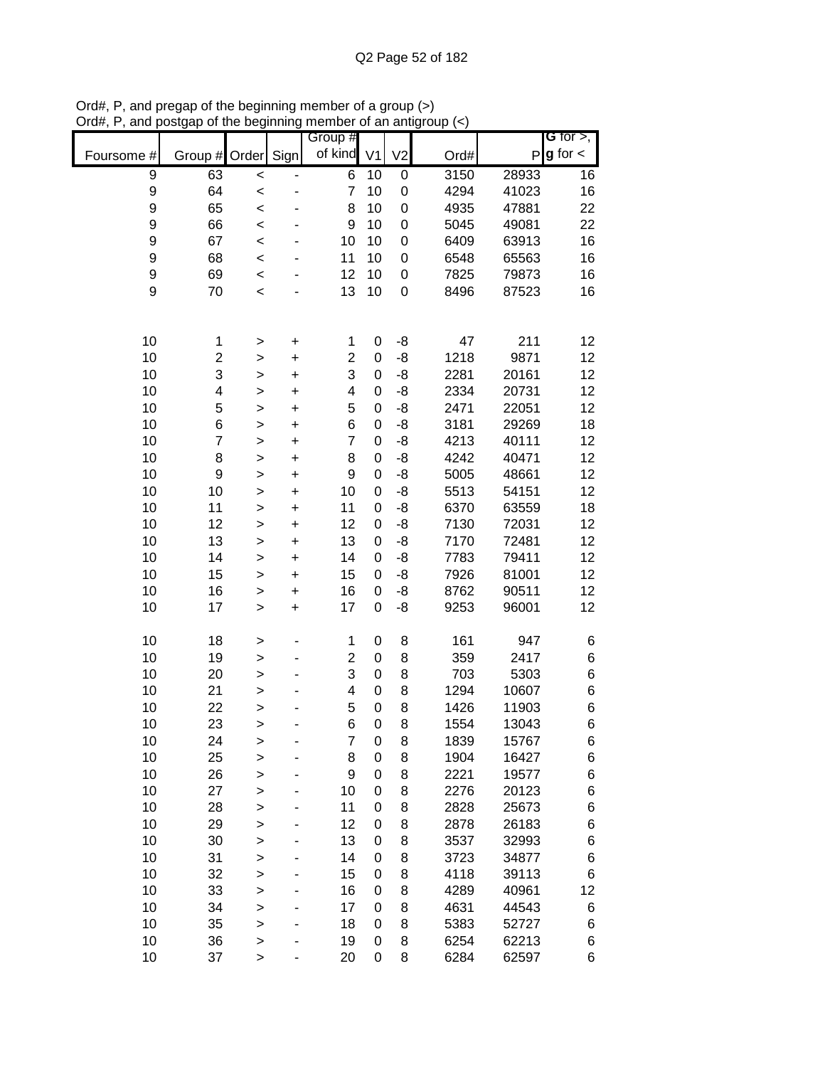|                  |                |                        |           | Group #                 |                |                  |      |       | G for $>$ ,   |
|------------------|----------------|------------------------|-----------|-------------------------|----------------|------------------|------|-------|---------------|
| Foursome #       | Group #        | Order Sign             |           | of kind                 | V <sub>1</sub> | V <sub>2</sub>   | Ord# | P     | $g$ for $\lt$ |
| $\boldsymbol{9}$ | 63             | $\prec$                |           | 6                       | 10             | 0                | 3150 | 28933 | 16            |
| 9                | 64             | $\prec$                |           | $\overline{7}$          | 10             | $\boldsymbol{0}$ | 4294 | 41023 | 16            |
| 9                | 65             | $\prec$                |           | 8                       | 10             | $\boldsymbol{0}$ | 4935 | 47881 | 22            |
| 9                | 66             | $\prec$                |           | 9                       | 10             | 0                | 5045 | 49081 | 22            |
| 9                | 67             | $\prec$                |           | 10                      | 10             | 0                | 6409 | 63913 | 16            |
| 9                | 68             | $\prec$                |           | 11                      | 10             | 0                | 6548 | 65563 | 16            |
| 9                | 69             | $\prec$                |           | 12                      | 10             | 0                | 7825 | 79873 | 16            |
| 9                | 70             | $\prec$                |           | 13                      | 10             | $\mathbf 0$      | 8496 | 87523 | 16            |
|                  |                |                        |           |                         |                |                  |      |       |               |
| 10               | 1              |                        | $\ddot{}$ | 1                       | 0              | -8               | 47   | 211   | 12            |
| 10               | $\overline{c}$ | $\geq$<br>$\geq$       | $\ddot{}$ | $\overline{c}$          | 0              | -8               | 1218 | 9871  | 12            |
| 10               | 3              |                        | $\ddot{}$ | 3                       | 0              | -8               | 2281 | 20161 | 12            |
| 10               | 4              | $\geq$<br>$\mathbf{I}$ | $\ddot{}$ | $\overline{\mathbf{4}}$ | 0              | $-8$             | 2334 | 20731 | 12            |
| 10               | 5              | >                      | $\ddot{}$ | 5                       | 0              | $-8$             | 2471 | 22051 | 12            |
| 10               | 6              | $\mathbf{I}$           | $\ddot{}$ | 6                       | 0              | $-8$             | 3181 | 29269 | 18            |
| 10               | $\overline{7}$ |                        | $\ddot{}$ | $\overline{7}$          | 0              | $-8$             | 4213 | 40111 | 12            |
| 10               | 8              | $\geq$                 | $\ddot{}$ | 8                       | 0              | $-8$             | 4242 | 40471 | 12            |
| 10               | 9              | $\geq$<br>$\geq$       | $\ddot{}$ | $\boldsymbol{9}$        | 0              | $-8$             | 5005 | 48661 | 12            |
| 10               | 10             | $\geq$                 | $\ddot{}$ | 10                      | 0              | -8               | 5513 | 54151 | 12            |
| 10               | 11             |                        | $\ddot{}$ | 11                      | 0              | $-8$             | 6370 | 63559 | 18            |
| 10               | 12             | $\geq$                 | $\ddot{}$ | 12                      | 0              | -8               | 7130 | 72031 | 12            |
| 10               | 13             | $\geq$                 | $\ddot{}$ | 13                      | 0              | -8               | 7170 | 72481 | 12            |
| 10               | 14             | $\geq$                 | $\ddot{}$ | 14                      | 0              | -8               | 7783 | 79411 | 12            |
| 10               | 15             | >                      | $\ddot{}$ | 15                      | 0              | $-8$             | 7926 | 81001 | 12            |
| 10               | 16             | >                      | $\ddot{}$ | 16                      | 0              | -8               | 8762 | 90511 | 12            |
| 10               | 17             | $\geq$<br>$\geq$       | $\ddot{}$ | 17                      | 0              | -8               | 9253 | 96001 | 12            |
|                  |                |                        |           |                         |                |                  |      |       |               |
| 10               | 18             | $\geq$                 |           | 1                       | 0              | 8                | 161  | 947   | 6             |
| 10               | 19             | $\geq$                 |           | $\overline{\mathbf{c}}$ | 0              | 8                | 359  | 2417  | 6             |
| 10               | 20             | $\geq$                 |           | 3                       | 0              | 8                | 703  | 5303  | 6             |
| 10               | 21             | >                      |           | $\overline{\mathbf{4}}$ | 0              | 8                | 1294 | 10607 | 6             |
| 10               | 22             | >                      |           | 5                       | 0              | 8                | 1426 | 11903 | 6             |
| 10               | 23             | >                      |           | 6                       | 0              | 8                | 1554 | 13043 | 6             |
| 10               | 24             | $\geq$                 |           | 7                       | 0              | 8                | 1839 | 15767 | 6             |
| 10               | 25             | $\geq$                 |           | 8                       | 0              | 8                | 1904 | 16427 | 6             |
| 10               | 26             | $\mathbf{I}$           |           | 9                       | 0              | 8                | 2221 | 19577 | 6             |
| 10               | 27             | >                      |           | 10                      | 0              | 8                | 2276 | 20123 | 6             |
| 10               | 28             | >                      |           | 11                      | 0              | 8                | 2828 | 25673 | 6             |
| 10               | 29             | >                      |           | 12                      | 0              | 8                | 2878 | 26183 | 6             |
| 10               | 30             | >                      |           | 13                      | 0              | 8                | 3537 | 32993 | 6             |
| 10               | 31             | $\geq$                 | -         | 14                      | 0              | 8                | 3723 | 34877 | 6             |
| 10               | 32             | $\geq$                 |           | 15                      | 0              | 8                | 4118 | 39113 | 6             |
| 10               | 33             | $\geq$                 |           | 16                      | 0              | 8                | 4289 | 40961 | 12            |
| 10               | 34             | $\geq$                 |           | 17                      | 0              | 8                | 4631 | 44543 | 6             |
| 10               | 35             | $\geq$                 |           | 18                      | 0              | 8                | 5383 | 52727 | 6             |
| 10               | 36             | $\geq$                 |           | 19                      | 0              | 8                | 6254 | 62213 | 6             |
| 10               | 37             | >                      |           | 20                      | 0              | 8                | 6284 | 62597 | 6             |

Ord#, P, and pregap of the beginning member of a group (>) Ord#, P, and postgap of the beginning member of an antigroup (<)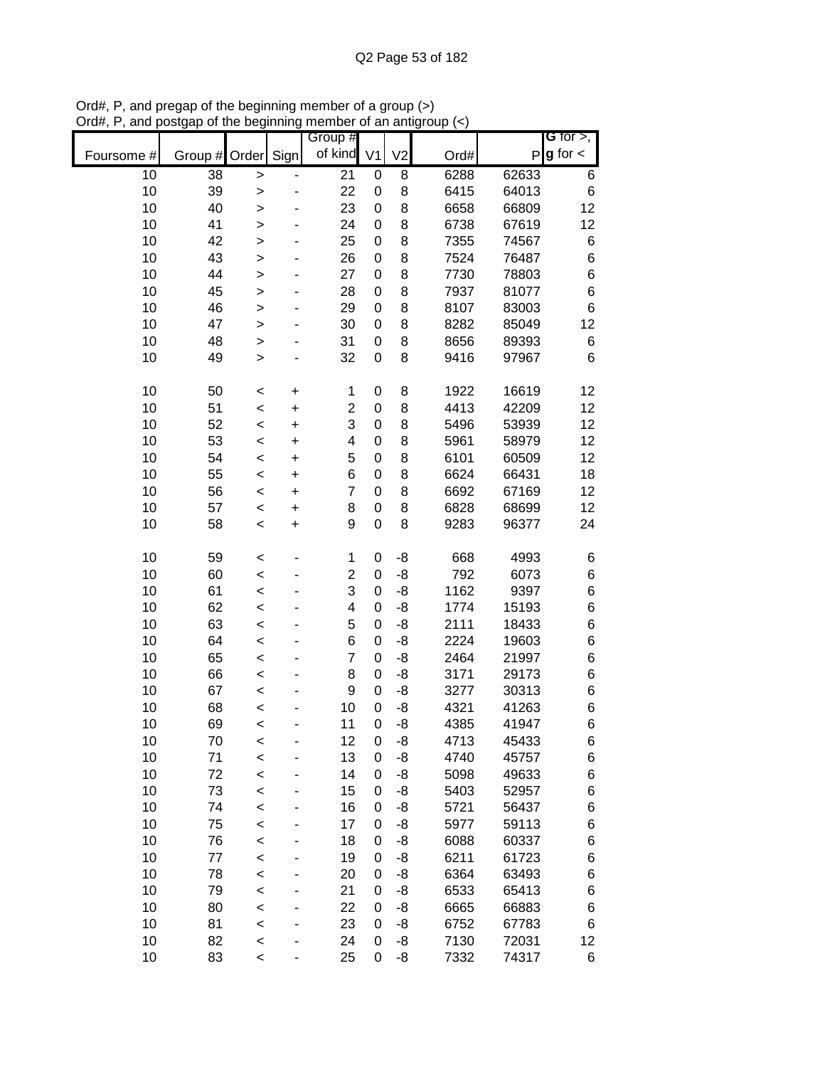|            |         |              |           | Group #        |                |                |      |       | G for $>$ ,   |
|------------|---------|--------------|-----------|----------------|----------------|----------------|------|-------|---------------|
| Foursome # | Group # | Order        | Sign      | of kind        | V <sub>1</sub> | V <sub>2</sub> | Ord# | P     | $g$ for $\lt$ |
| 10         | 38      | >            |           | 21             | 0              | 8              | 6288 | 62633 | 6             |
| 10         | 39      | $\geq$       |           | 22             | 0              | 8              | 6415 | 64013 | $\,6$         |
| 10         | 40      | $\geq$       |           | 23             | 0              | 8              | 6658 | 66809 | 12            |
| 10         | 41      | $\geq$       |           | 24             | 0              | 8              | 6738 | 67619 | 12            |
| 10         | 42      | $\mathbf{I}$ |           | 25             | 0              | 8              | 7355 | 74567 | 6             |
| 10         | 43      | $\geq$       |           | 26             | 0              | 8              | 7524 | 76487 | 6             |
| 10         | 44      | $\mathbf{I}$ |           | 27             | 0              | 8              | 7730 | 78803 | 6             |
| 10         | 45      | >            |           | 28             | 0              | 8              | 7937 | 81077 | 6             |
| 10         | 46      | >            |           | 29             | 0              | 8              | 8107 | 83003 | 6             |
| 10         | 47      | $\geq$       |           | 30             | 0              | 8              | 8282 | 85049 | 12            |
| 10         | 48      | $\geq$       |           | 31             | 0              | 8              | 8656 | 89393 | 6             |
| 10         | 49      | $\mathbf{I}$ |           | 32             | 0              | 8              | 9416 | 97967 | 6             |
| 10         | 50      | $\,<$        | $\ddot{}$ | 1              | 0              | 8              | 1922 | 16619 | 12            |
| 10         | 51      | $\prec$      | $\ddot{}$ | $\overline{2}$ | 0              | 8              | 4413 | 42209 | 12            |
| 10         | 52      | $\prec$      | $\ddot{}$ | 3              | 0              | 8              | 5496 | 53939 | 12            |
| 10         | 53      | $\,<$        | $\ddot{}$ | 4              | 0              | 8              | 5961 | 58979 | 12            |
| 10         | 54      | $\prec$      | $\ddot{}$ | 5              | 0              | 8              | 6101 | 60509 | 12            |
| 10         | 55      | $\prec$      | $\ddot{}$ | 6              | 0              | 8              | 6624 | 66431 | 18            |
| 10         | 56      | $\,<$        | $\ddot{}$ | 7              | 0              | 8              | 6692 | 67169 | 12            |
| 10         | 57      | $\prec$      | $\ddot{}$ | 8              | 0              | 8              | 6828 | 68699 | 12            |
| 10         | 58      | $\prec$      | $\ddot{}$ | 9              | $\mathbf 0$    | 8              | 9283 | 96377 | 24            |
| 10         | 59      | $\,<$        |           | 1              | 0              | -8             | 668  | 4993  | 6             |
| 10         | 60      | $\,<$        |           | 2              | 0              | -8             | 792  | 6073  | 6             |
| 10         | 61      | $\,<$        |           | 3              | 0              | -8             | 1162 | 9397  | 6             |
| 10         | 62      | $\,<$        |           | 4              | 0              | -8             | 1774 | 15193 | 6             |
| 10         | 63      | $\,<$        |           | 5              | 0              | -8             | 2111 | 18433 | 6             |
| 10         | 64      | $\,<$        |           | 6              | 0              | -8             | 2224 | 19603 | 6             |
| 10         | 65      | $\,<$        |           | $\overline{7}$ | 0              | -8             | 2464 | 21997 | 6             |
| 10         | 66      | $\prec$      |           | 8              | 0              | -8             | 3171 | 29173 | 6             |
| 10         | 67      | $\prec$      |           | 9              | 0              | $-8$           | 3277 | 30313 | 6             |
| 10         | 68      | $\prec$      |           | 10             | 0              | $-8$           | 4321 | 41263 | 6             |
| 10         | 69      | $\,<$        |           | 11             | 0              | -8             | 4385 | 41947 | 6             |
| 10         | 70      | $\,<$        |           | 12             | 0              | -8             | 4713 | 45433 | 6             |
| 10         | 71      | $\prec$      |           | 13             | 0              | -8             | 4740 | 45757 | 6             |
| 10         | 72      | $\prec$      |           | 14             | 0              | -8             | 5098 | 49633 | 6             |
| 10         | 73      | $\prec$      |           | 15             | 0              | -8             | 5403 | 52957 | 6             |
| 10         | 74      | $\prec$      |           | 16             | 0              | -8             | 5721 | 56437 | 6             |
| 10         | 75      | $\prec$      |           | 17             | 0              | -8             | 5977 | 59113 | 6             |
| 10         | 76      | $\prec$      |           | 18             | 0              | -8             | 6088 | 60337 | 6             |
| 10         | 77      | $\prec$      |           | 19             | 0              | -8             | 6211 | 61723 | 6             |
| 10         | 78      | $\prec$      | -         | 20             | 0              | -8             | 6364 | 63493 | 6             |
| 10         | 79      | $\prec$      | -         | 21             | 0              | -8             | 6533 | 65413 | 6             |
| 10         | 80      | $\,<$        |           | 22             | 0              | -8             | 6665 | 66883 | 6             |
| 10         | 81      | $\,<$        |           | 23             | 0              | -8             | 6752 | 67783 | 6             |
| 10         | 82      | $\prec$      |           | 24             | 0              | -8             | 7130 | 72031 | 12            |
| 10         | 83      | $\prec$      |           | 25             | 0              | -8             | 7332 | 74317 | 6             |

Ord#, P, and pregap of the beginning member of a group (>) Ord#, P, and postgap of the beginning member of an antigroup (<)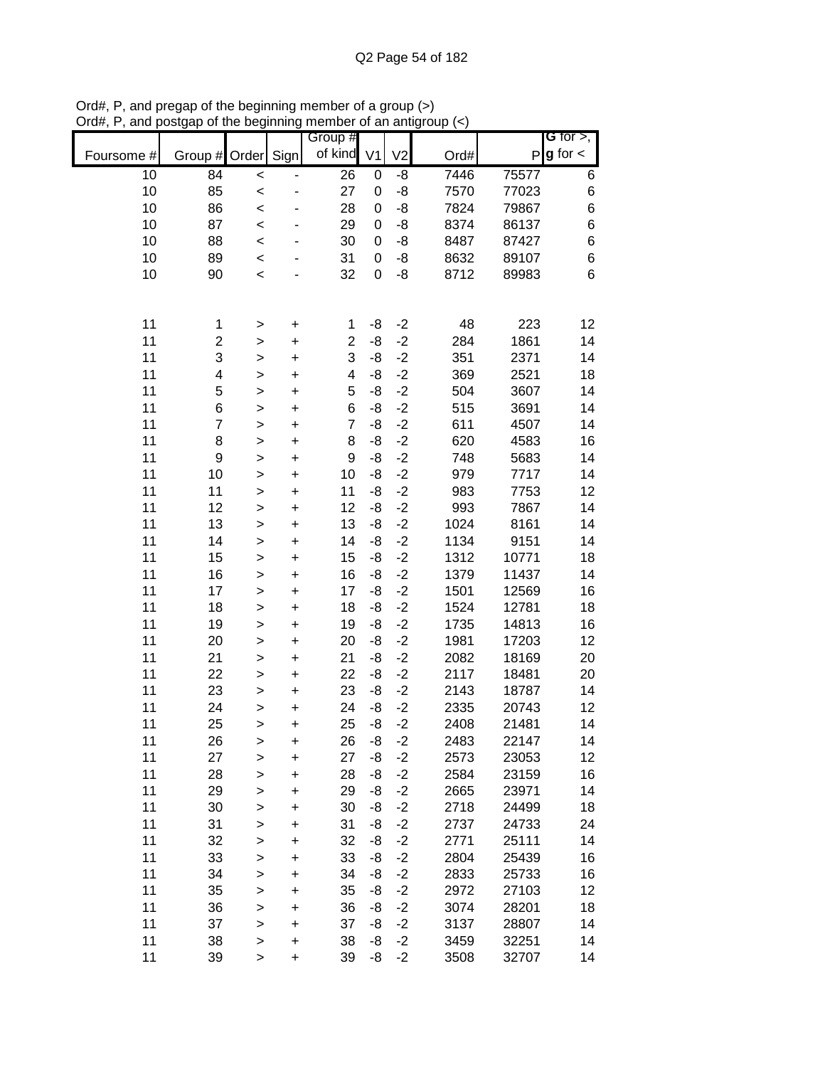| Group #<br><b>G</b> for $>$ ,<br>$g$ for $\lt$<br>of kind<br>Sign<br>V <sub>2</sub><br>V <sub>1</sub><br>P<br>Foursome #<br>Group #<br>Order<br>Ord#<br>10<br>84<br>26<br>7446<br>$\pmb{0}$<br>-8<br>75577<br>6<br>$\prec$<br>10<br>85<br>-8<br>6<br>27<br>7570<br>77023<br>0<br>$\prec$<br>6<br>10<br>86<br>-8<br>7824<br>79867<br>28<br>0<br>$\prec$<br>87<br>6<br>10<br>-8<br>8374<br>29<br>86137<br>0<br>$\prec$<br>10<br>6<br>88<br>-8<br>8487<br>30<br>87427<br>0<br>$\prec$ |
|------------------------------------------------------------------------------------------------------------------------------------------------------------------------------------------------------------------------------------------------------------------------------------------------------------------------------------------------------------------------------------------------------------------------------------------------------------------------------------|
|                                                                                                                                                                                                                                                                                                                                                                                                                                                                                    |
|                                                                                                                                                                                                                                                                                                                                                                                                                                                                                    |
|                                                                                                                                                                                                                                                                                                                                                                                                                                                                                    |
|                                                                                                                                                                                                                                                                                                                                                                                                                                                                                    |
|                                                                                                                                                                                                                                                                                                                                                                                                                                                                                    |
|                                                                                                                                                                                                                                                                                                                                                                                                                                                                                    |
| 10<br>6<br>89<br>-8<br>8632<br>31<br>89107<br>0<br>$\prec$                                                                                                                                                                                                                                                                                                                                                                                                                         |
| 6<br>10<br>90<br>32<br>-8<br>8712<br>0<br>89983<br>$\prec$                                                                                                                                                                                                                                                                                                                                                                                                                         |
|                                                                                                                                                                                                                                                                                                                                                                                                                                                                                    |
| 11<br>48<br>223<br>12<br>-8<br>$-2$<br>1<br>1<br>$\ddot{}$<br>$\geq$                                                                                                                                                                                                                                                                                                                                                                                                               |
| 11<br>$\overline{\mathbf{c}}$<br>$\overline{c}$<br>-8<br>$-2$<br>284<br>1861<br>14<br>$\ddot{}$<br>$\geq$                                                                                                                                                                                                                                                                                                                                                                          |
| 3<br>3<br>$-2$<br>11<br>351<br>14<br>-8<br>2371<br>$\ddot{}$<br>$\geq$                                                                                                                                                                                                                                                                                                                                                                                                             |
| $-2$<br>11<br>4<br>-8<br>369<br>2521<br>$\overline{\mathbf{4}}$<br>18<br>$\ddot{}$<br>$\geq$                                                                                                                                                                                                                                                                                                                                                                                       |
| 5<br>5<br>$-2$<br>11<br>-8<br>504<br>3607<br>14<br>$\ddot{}$<br>$\mathbf{I}$                                                                                                                                                                                                                                                                                                                                                                                                       |
| 11<br>6<br>6<br>$-2$<br>-8<br>515<br>3691<br>14<br>$\ddot{}$<br>$\mathbf{I}$                                                                                                                                                                                                                                                                                                                                                                                                       |
| 11<br>$\overline{7}$<br>$-2$<br>$\overline{7}$<br>-8<br>611<br>4507<br>14<br>$\ddot{}$<br>$\geq$                                                                                                                                                                                                                                                                                                                                                                                   |
| 11<br>8<br>$-2$<br>8<br>-8<br>620<br>4583<br>16<br>$\ddot{}$<br>$\geq$                                                                                                                                                                                                                                                                                                                                                                                                             |
| 11<br>9<br>$-2$<br>9<br>-8<br>748<br>5683<br>14<br>$\ddot{}$<br>$\geq$                                                                                                                                                                                                                                                                                                                                                                                                             |
| 11<br>10<br>10<br>$-2$<br>979<br>7717<br>-8<br>14<br>$\ddot{}$<br>$\geq$                                                                                                                                                                                                                                                                                                                                                                                                           |
| 11<br>$-2$<br>11<br>11<br>983<br>7753<br>-8<br>12<br>$\ddot{}$<br>$\geq$                                                                                                                                                                                                                                                                                                                                                                                                           |
| 11<br>12<br>12<br>$-2$<br>993<br>7867<br>14<br>-8<br>$\ddot{}$<br>$\mathbf{I}$                                                                                                                                                                                                                                                                                                                                                                                                     |
| 11<br>13<br>$-2$<br>1024<br>8161<br>14<br>13<br>-8<br>$\ddot{}$<br>$\geq$                                                                                                                                                                                                                                                                                                                                                                                                          |
| 11<br>14<br>$-2$<br>1134<br>9151<br>14<br>-8<br>14<br>$\ddot{}$<br>$\mathbf{I}$                                                                                                                                                                                                                                                                                                                                                                                                    |
| 11<br>15<br>$-2$<br>1312<br>10771<br>18<br>15<br>-8<br>$\ddot{}$<br>$\mathbf{I}$                                                                                                                                                                                                                                                                                                                                                                                                   |
| 11<br>16<br>$-2$<br>1379<br>16<br>-8<br>11437<br>14<br>$\ddot{}$<br>$\mathbf{I}$                                                                                                                                                                                                                                                                                                                                                                                                   |
| 11<br>17<br>$-2$<br>1501<br>17<br>-8<br>12569<br>16<br>$\ddot{}$<br>$\geq$                                                                                                                                                                                                                                                                                                                                                                                                         |
| 11<br>18<br>$-2$<br>18<br>-8<br>1524<br>12781<br>18<br>$\ddot{}$<br>$\geq$                                                                                                                                                                                                                                                                                                                                                                                                         |
| 11<br>$-2$<br>19<br>19<br>-8<br>1735<br>14813<br>16<br>$\ddot{}$<br>$\geq$                                                                                                                                                                                                                                                                                                                                                                                                         |
| 11<br>$-2$<br>1981<br>20<br>20<br>-8<br>17203<br>12<br>$\ddot{}$<br>$\geq$                                                                                                                                                                                                                                                                                                                                                                                                         |
| $-2$<br>11<br>21<br>21<br>-8<br>2082<br>18169<br>20<br>$\ddot{}$<br>$\geq$                                                                                                                                                                                                                                                                                                                                                                                                         |
| 11<br>22<br>22<br>$-2$<br>-8<br>2117<br>18481<br>20<br>$\ddot{}$<br>$\mathbf{I}$                                                                                                                                                                                                                                                                                                                                                                                                   |
| $-2$<br>11<br>23<br>23<br>-8<br>2143<br>18787<br>14<br>$\ddot{}$<br>$\mathbf{I}$                                                                                                                                                                                                                                                                                                                                                                                                   |
| $-2$<br>11<br>2335<br>24<br>24<br>-8<br>20743<br>12<br>$\ddot{}$<br>$\geq$                                                                                                                                                                                                                                                                                                                                                                                                         |
| $-2$<br>11<br>-8<br>25<br>25<br>2408<br>21481<br>14<br>$\ddot{}$<br>$\geq$                                                                                                                                                                                                                                                                                                                                                                                                         |
| 11<br>26<br>26<br>$-2$<br>2483<br>22147<br>14<br>-8<br>+<br>>                                                                                                                                                                                                                                                                                                                                                                                                                      |
| 11<br>$-2$<br>27<br>27<br>-8<br>2573<br>23053<br>12<br>$\ddot{}$<br>$\mathbf{I}$                                                                                                                                                                                                                                                                                                                                                                                                   |
| 11<br>28<br>28<br>$-2$<br>16<br>-8<br>2584<br>23159<br>$\mathbf{I}$<br>$\ddot{}$                                                                                                                                                                                                                                                                                                                                                                                                   |
| 11<br>29<br>29<br>$-2$<br>2665<br>-8<br>23971<br>14<br>$\geq$<br>$\ddot{}$                                                                                                                                                                                                                                                                                                                                                                                                         |
| 11<br>30<br>30<br>$-2$<br>2718<br>18<br>-8<br>24499<br>$\,$<br>$\pmb{+}$                                                                                                                                                                                                                                                                                                                                                                                                           |
| 11<br>31<br>31<br>$-2$<br>-8<br>2737<br>24733<br>24<br>$\,$<br>+                                                                                                                                                                                                                                                                                                                                                                                                                   |
| 11<br>32<br>32<br>$-2$<br>-8<br>2771<br>25111<br>14<br>$\geq$<br>$\ddot{}$                                                                                                                                                                                                                                                                                                                                                                                                         |
| $-2$<br>11<br>33<br>33<br>2804<br>-8<br>25439<br>16<br>$\ddot{}$<br>$\geq$                                                                                                                                                                                                                                                                                                                                                                                                         |
| $-2$<br>11<br>34<br>34<br>-8<br>2833<br>25733<br>16<br>$\ddot{}$<br>$\geq$                                                                                                                                                                                                                                                                                                                                                                                                         |
| 11<br>35<br>$-2$<br>35<br>-8<br>2972<br>27103<br>12<br>$\ddot{}$<br>$\geq$                                                                                                                                                                                                                                                                                                                                                                                                         |
| 36<br>$-2$<br>11<br>36<br>-8<br>3074<br>28201<br>18<br>$\geq$<br>$\ddot{}$                                                                                                                                                                                                                                                                                                                                                                                                         |
| 11<br>37<br>37<br>$-2$<br>-8<br>3137<br>28807<br>14<br>$\ddot{}$<br>$\geq$                                                                                                                                                                                                                                                                                                                                                                                                         |
| 11<br>38<br>38<br>$-2$<br>-8<br>3459<br>32251<br>14<br>$\ddot{}$<br>$\geq$                                                                                                                                                                                                                                                                                                                                                                                                         |
| 11<br>39<br>39<br>$-2$<br>3508<br>-8<br>32707<br>14<br>$\ddot{}$<br>>                                                                                                                                                                                                                                                                                                                                                                                                              |

Ord#, P, and pregap of the beginning member of a group (>) Ord#, P, and postgap of the beginning member of an antigroup (<)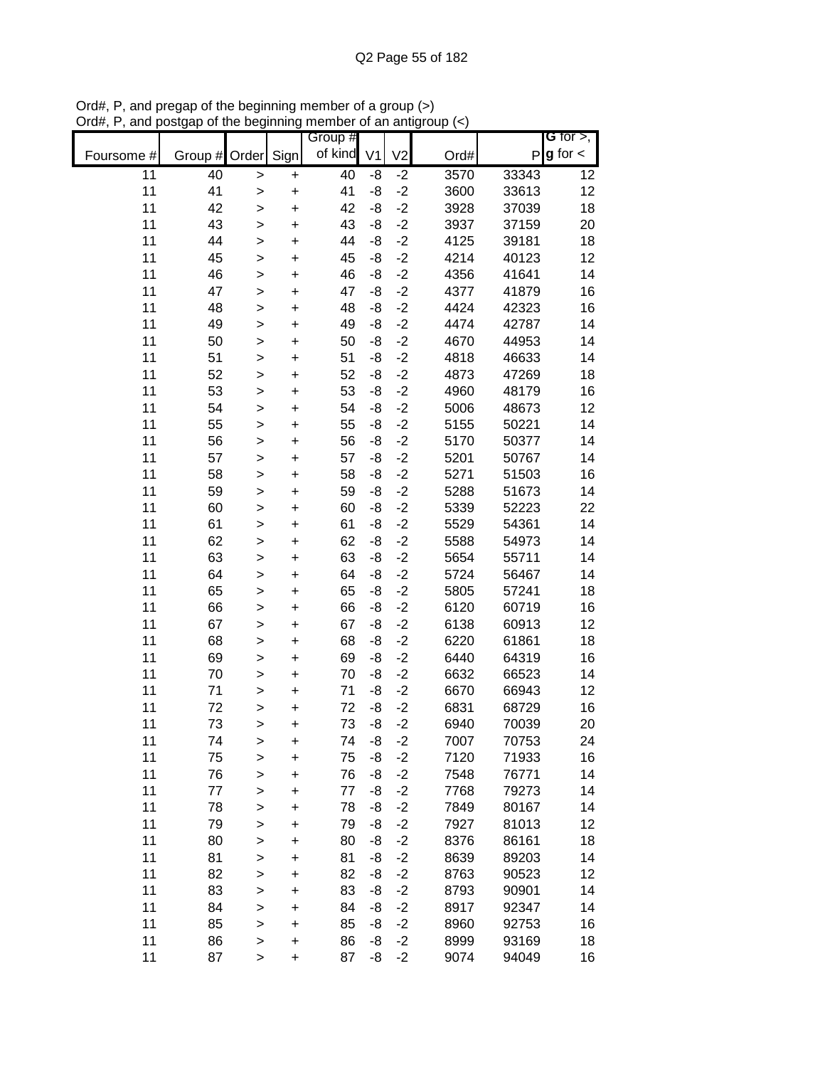|            |          |                        |           | Group #  |                |                |              |                | G for $>$ ,   |
|------------|----------|------------------------|-----------|----------|----------------|----------------|--------------|----------------|---------------|
| Foursome # | Group #  | Order                  | Sign      | of kind  | V <sub>1</sub> | V <sub>2</sub> | Ord#         | P              | $g$ for $\lt$ |
| 11         | 40       | $\geq$                 | $\ddot{}$ | 40       | -8             | $-2$           | 3570         | 33343          | 12            |
| 11         | 41       | $\geq$                 | $\ddot{}$ | 41       | $-8$           | $-2$           | 3600         | 33613          | 12            |
| 11         | 42       | $\geq$                 | $\ddot{}$ | 42       | -8             | $-2$           | 3928         | 37039          | 18            |
| 11         | 43       | $\geq$                 | $\ddot{}$ | 43       | -8             | $-2$           | 3937         | 37159          | 20            |
| 11         | 44       | $\mathbf{I}$           | $\ddot{}$ | 44       | -8             | $-2$           | 4125         | 39181          | 18            |
| 11         | 45       | $\mathbf{I}$           | $\ddot{}$ | 45       | $-8$           | $-2$           | 4214         | 40123          | 12            |
| 11         | 46       | $\mathbf{I}$           | $\ddot{}$ | 46       | -8             | $-2$           | 4356         | 41641          | 14            |
| 11         | 47       | $\mathbf{I}$           | $\ddot{}$ | 47       | -8             | $-2$           | 4377         | 41879          | 16            |
| 11         | 48       | $\mathbf{I}$           | $\ddot{}$ | 48       | -8             | $-2$           | 4424         | 42323          | 16            |
| 11         | 49       | $\geq$                 | $\ddot{}$ | 49       | -8             | $-2$           | 4474         | 42787          | 14            |
| 11         | 50       | $\geq$                 | $\ddot{}$ | 50       | -8             | $-2$           | 4670         | 44953          | 14            |
| 11         | 51       | $\geq$                 | $\ddot{}$ | 51       | -8             | $-2$           | 4818         | 46633          | 14            |
| 11         | 52       | $\geq$                 | $\ddot{}$ | 52       | -8             | $-2$           | 4873         | 47269          | 18            |
| 11         | 53       | $\geq$                 | $\ddot{}$ | 53       | -8             | $-2$           | 4960         | 48179          | 16            |
| 11         | 54       | $\mathbf{I}$           | $\ddot{}$ | 54       | -8             | $-2$           | 5006         | 48673          | 12            |
| 11         | 55       | $\mathbf{I}$           | $\ddot{}$ | 55       | -8             | $-2$           | 5155         | 50221          | 14            |
| 11         | 56       | $\geq$                 | $\ddot{}$ | 56       | -8             | $-2$           | 5170         | 50377          | 14            |
| 11         | 57       | $\geq$                 | $\ddot{}$ | 57       | -8             | $-2$           | 5201         | 50767          | 14            |
| 11         | 58       | $\geq$                 | $\ddot{}$ | 58       | -8             | $-2$           | 5271         | 51503          | 16            |
| 11         | 59       | $\geq$                 | $\ddot{}$ | 59       | -8             | $-2$           | 5288         | 51673          | 14            |
| 11         | 60       | $\geq$                 | $\ddot{}$ | 60       | -8             | $-2$           | 5339         | 52223          | 22            |
| 11         | 61       | $\mathbf{I}$           | +         | 61       | -8             | $-2$           | 5529         | 54361          | 14            |
| 11         | 62       | $\geq$                 | $\ddot{}$ | 62       | -8             | $-2$           | 5588         | 54973          | 14            |
| 11         | 63       | $\mathbf{I}$           | $\pmb{+}$ | 63       | -8             | $-2$           | 5654         | 55711          | 14            |
| 11         | 64       | $\mathbf{I}$           | $\ddot{}$ | 64       | -8             | $-2$           | 5724         | 56467          | 14            |
| 11         | 65       | $\geq$                 | +         | 65       | -8             | $-2$           | 5805         | 57241          | 18            |
| 11         | 66       | $\geq$                 | $\ddot{}$ | 66       | -8             | $-2$           | 6120         | 60719          | 16            |
| 11         | 67       | $\geq$                 | $\ddot{}$ | 67       | -8             | $-2$           | 6138         | 60913          | 12            |
| 11         | 68       | $\geq$                 | $\ddot{}$ | 68       | -8             | $-2$           | 6220         | 61861          | 18            |
| 11         | 69       | $\geq$                 | $\ddot{}$ | 69       | -8             | $-2$           | 6440         | 64319          | 16            |
| 11         | 70       | $\geq$                 | $\ddot{}$ | 70       | -8             | $-2$           | 6632         | 66523          | 14            |
| 11         | 71       | $\geq$                 | $\ddot{}$ | 71       | -8             | $-2$           | 6670         | 66943          | 12            |
| 11         | 72       | $\geq$                 | $\ddot{}$ | 72       | -8<br>-8       | $-2$<br>$-2$   | 6831         | 68729          | 16            |
| 11<br>11   | 73       | >                      | $\ddot{}$ | 73       |                |                | 6940         | 70039<br>70753 | 20            |
| 11         | 74<br>75 | $\geq$                 | +         | 74<br>75 | -8<br>-8       | $-2$<br>$-2$   | 7007<br>7120 | 71933          | 24<br>16      |
| 11         | 76       | $\geq$                 | +         | 76       | -8             | $-2$           | 7548         | 76771          | 14            |
| 11         | 77       | $\mathbf{I}$           | +         | 77       | -8             | $-2$           | 7768         | 79273          | 14            |
| 11         | 78       | $\mathbf{I}$           | +<br>+    | 78       | -8             | $-2$           | 7849         | 80167          | 14            |
| 11         | 79       | $\geq$                 | $\pmb{+}$ | 79       | -8             | $-2$           | 7927         | 81013          | 12            |
| 11         | 80       | $\geq$<br>$\mathbf{I}$ | +         | 80       | -8             | $-2$           | 8376         | 86161          | 18            |
| 11         | 81       | $\geq$                 | +         | 81       | -8             | $-2$           | 8639         | 89203          | 14            |
| 11         | 82       | $\geq$                 | $\ddot{}$ | 82       | -8             | $-2$           | 8763         | 90523          | 12            |
| 11         | 83       | $\geq$                 | $\ddot{}$ | 83       | -8             | $-2$           | 8793         | 90901          | 14            |
| 11         | 84       | $\geq$                 | +         | 84       | -8             | $-2$           | 8917         | 92347          | 14            |
| 11         | 85       | $\geq$                 | +         | 85       | -8             | $-2$           | 8960         | 92753          | 16            |
| 11         | 86       | $\geq$                 | $\ddot{}$ | 86       | -8             | $-2$           | 8999         | 93169          | 18            |
| 11         | 87       | $\, > \,$              | $\ddot{}$ | 87       | -8             | $-2$           | 9074         | 94049          | 16            |

Ord#, P, and pregap of the beginning member of a group (>) Ord#, P, and postgap of the beginning member of an antigroup (<)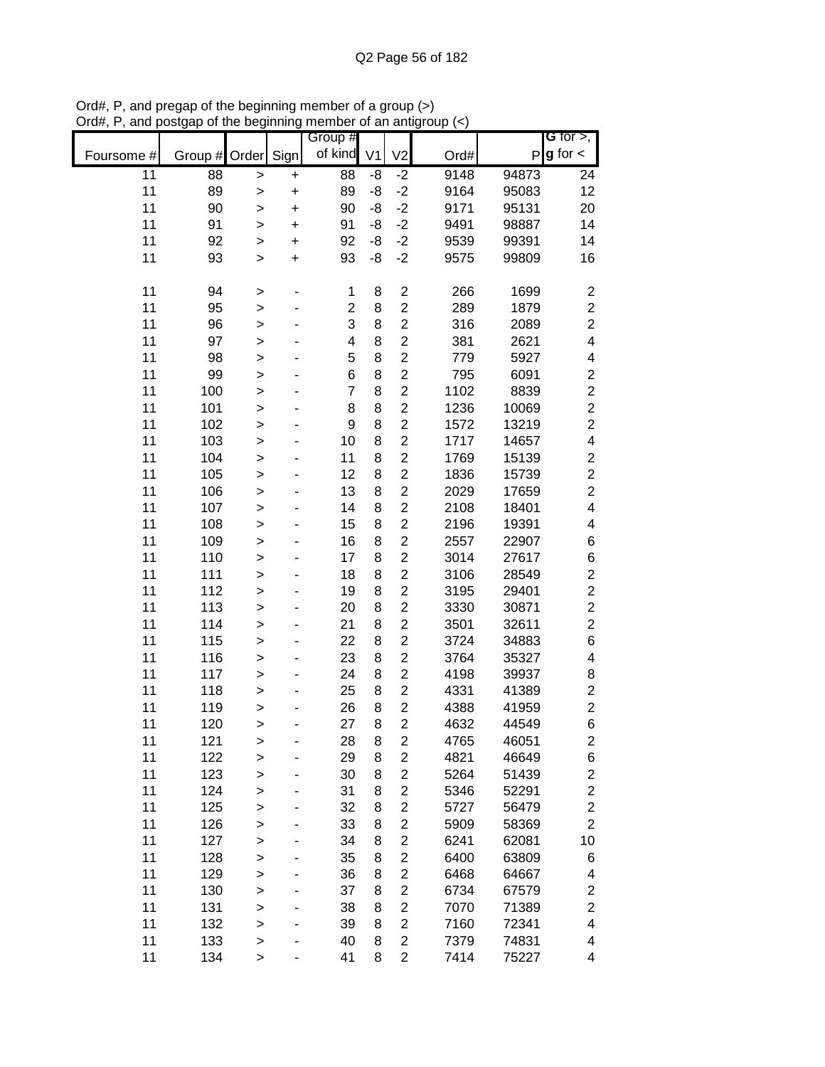|            |               |              |           | Group #        |                |                         |      |       | G for $>$ ,             |
|------------|---------------|--------------|-----------|----------------|----------------|-------------------------|------|-------|-------------------------|
| Foursome # | Group # Order |              | Sign      | of kind        | V <sub>1</sub> | V <sub>2</sub>          | Ord# | P     | $g$ for $\lt$           |
| 11         | 88            | $\geq$       | $\pmb{+}$ | 88             | -8             | $-2$                    | 9148 | 94873 | 24                      |
| 11         | 89            | $\mathbf{I}$ | $\ddot{}$ | 89             | -8             | $-2$                    | 9164 | 95083 | 12                      |
| 11         | 90            | >            | $\ddot{}$ | 90             | -8             | $-2$                    | 9171 | 95131 | 20                      |
| 11         | 91            | $\geq$       | $\ddot{}$ | 91             | -8             | $-2$                    | 9491 | 98887 | 14                      |
| 11         | 92            | >            | +         | 92             | -8             | $-2$                    | 9539 | 99391 | 14                      |
| 11         | 93            | $\,$         | $\ddot{}$ | 93             | -8             | $-2$                    | 9575 | 99809 | 16                      |
|            |               |              |           |                |                |                         |      |       |                         |
| 11         | 94            | >            |           | 1              | 8              | $\overline{\mathbf{c}}$ | 266  | 1699  | $\boldsymbol{2}$        |
| 11         | 95            | $\mathbf{I}$ |           | $\overline{2}$ | 8              | $\overline{2}$          | 289  | 1879  | $\boldsymbol{2}$        |
| 11         | 96            | $\mathbf{I}$ |           | 3              | 8              | $\overline{2}$          | 316  | 2089  | $\overline{c}$          |
| 11         | 97            | $\mathbf{I}$ |           | 4              | 8              | $\overline{\mathbf{c}}$ | 381  | 2621  | $\overline{\mathbf{4}}$ |
| 11         | 98            | $\geq$       |           | 5              | 8              | $\overline{c}$          | 779  | 5927  | 4                       |
| 11         | 99            | $\geq$       |           | 6              | 8              | $\overline{c}$          | 795  | 6091  | $\overline{\mathbf{c}}$ |
| 11         | 100           | $\mathbf{I}$ |           | $\overline{7}$ | 8              | $\overline{c}$          | 1102 | 8839  | $\overline{c}$          |
| 11         | 101           | >            |           | 8              | 8              | $\overline{c}$          | 1236 | 10069 | $\overline{c}$          |
| 11         | 102           | $\mathbf{I}$ |           | 9              | 8              | $\overline{c}$          | 1572 | 13219 | $\overline{2}$          |
| 11         | 103           | $\geq$       |           | 10             | 8              | $\overline{c}$          | 1717 | 14657 | 4                       |
| 11         | 104           | $\mathbf{I}$ |           | 11             | 8              | $\overline{c}$          | 1769 | 15139 | $\overline{c}$          |
| 11         | 105           | $\mathbf{I}$ |           | 12             | 8              | $\overline{c}$          | 1836 | 15739 | $\overline{c}$          |
| 11         | 106           | $\mathbf{I}$ |           | 13             | 8              | $\overline{c}$          | 2029 | 17659 | $\overline{c}$          |
| 11         | 107           | $\mathbf{I}$ |           | 14             | 8              | $\overline{c}$          | 2108 | 18401 | $\overline{\mathbf{4}}$ |
| 11         | 108           | $\geq$       |           | 15             | 8              | $\overline{c}$          | 2196 | 19391 | $\overline{\mathbf{4}}$ |
| 11         | 109           | $\mathbf{I}$ |           | 16             | 8              | $\overline{2}$          | 2557 | 22907 | $\,$ 6 $\,$             |
| 11         | 110           | >            |           | 17             | 8              | $\overline{c}$          | 3014 | 27617 | $\,$ 6 $\,$             |
| 11         | 111           | >            |           | 18             | 8              | $\overline{c}$          | 3106 | 28549 | $\boldsymbol{2}$        |
| 11         | 112           | $\mathbf{I}$ |           | 19             | 8              | $\overline{c}$          | 3195 | 29401 | $\overline{c}$          |
| 11         | 113           | $\mathbf{I}$ |           | 20             | 8              | $\overline{c}$          | 3330 | 30871 | $\overline{c}$          |
| 11         | 114           | $\mathbf{I}$ |           | 21             | 8              | $\overline{2}$          | 3501 | 32611 | $\overline{c}$          |
| 11         | 115           | $\geq$       |           | 22             | 8              | $\overline{2}$          | 3724 | 34883 | $\,$ 6 $\,$             |
| 11         | 116           | $\geq$       |           | 23             | 8              | $\overline{c}$          | 3764 | 35327 | 4                       |
| 11         | 117           | $\geq$       |           | 24             | 8              | $\overline{c}$          | 4198 | 39937 | 8                       |
| 11         | 118           | >            |           | 25             | 8              | $\overline{2}$          | 4331 | 41389 | $\boldsymbol{2}$        |
| 11         | 119           | $\mathbf{I}$ |           | 26             | 8              | $\overline{2}$          | 4388 | 41959 | $\overline{c}$          |
| 11         | 120           | >            |           | 27             | 8              | $\overline{c}$          | 4632 | 44549 | 6                       |
| 11         | 121           | $\geq$       |           | 28             | 8              | $\overline{\mathbf{c}}$ | 4765 | 46051 | $\overline{\mathbf{c}}$ |
| 11         | 122           | $\mathbf{I}$ |           | 29             | 8              | $\overline{\mathbf{c}}$ | 4821 | 46649 | 6                       |
| 11         | 123           | $\geq$       |           | 30             | 8              | $\overline{\mathbf{c}}$ | 5264 | 51439 | $\overline{\mathbf{c}}$ |
| 11         | 124           | $\geq$       |           | 31             | 8              | $\overline{\mathbf{c}}$ | 5346 | 52291 | $\overline{\mathbf{c}}$ |
| 11         | 125           | $\mathbf{I}$ |           | 32             | 8              | $\overline{c}$          | 5727 | 56479 | $\overline{c}$          |
| 11         | 126           | >            |           | 33             | 8              | $\overline{c}$          | 5909 | 58369 | $\overline{2}$          |
| 11         | 127           | $\geq$       |           | 34             | 8              | $\overline{c}$          | 6241 | 62081 | 10                      |
| 11         | 128           | $\mathbf{I}$ |           | 35             | 8              | $\overline{c}$          | 6400 | 63809 | 6                       |
| 11         | 129           | $\geq$       |           | 36             | 8              | $\overline{c}$          | 6468 | 64667 | 4                       |
| 11         | 130           | $\geq$       |           | 37             | 8              | $\overline{2}$          | 6734 | 67579 | $\overline{\mathbf{c}}$ |
| 11         | 131           | $\mathbf{I}$ |           | 38             | 8              | $\overline{c}$          | 7070 | 71389 | $\overline{\mathbf{c}}$ |
| 11         | 132           | $\geq$       |           | 39             | 8              | $\overline{c}$          | 7160 | 72341 | 4                       |
| 11         | 133           | $\mathbf{I}$ |           | 40             | 8              | $\overline{c}$          | 7379 | 74831 | 4                       |
| 11         | 134           | $\,$         |           | 41             | 8              | $\overline{c}$          | 7414 | 75227 | 4                       |

Ord#, P, and pregap of the beginning member of a group (>) Ord#, P, and postgap of the beginning member of an antigroup (<)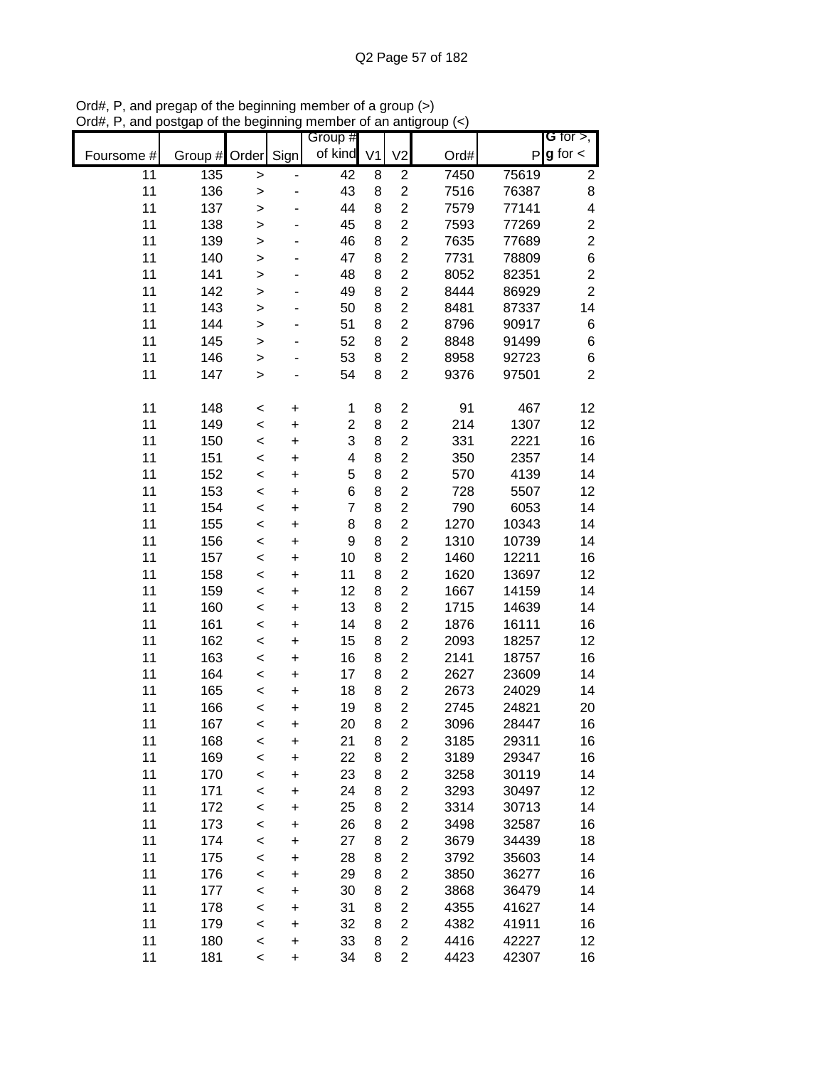|            |               |              |           | Group #                 |   |                         |      |       | G for $>$ ,             |
|------------|---------------|--------------|-----------|-------------------------|---|-------------------------|------|-------|-------------------------|
| Foursome # | Group # Order |              | Sign      | of kind V1              |   | V <sub>2</sub>          | Ord# | P     | $g$ for $\lt$           |
| 11         | 135           | >            |           | 42                      | 8 | $\overline{c}$          | 7450 | 75619 | 2                       |
| 11         | 136           | $\mathbf{I}$ |           | 43                      | 8 | $\overline{c}$          | 7516 | 76387 | 8                       |
| 11         | 137           | $\mathbf{I}$ |           | 44                      | 8 | $\overline{c}$          | 7579 | 77141 | $\overline{\mathbf{4}}$ |
| 11         | 138           | $\mathbf{I}$ |           | 45                      | 8 | $\overline{c}$          | 7593 | 77269 | $\boldsymbol{2}$        |
| 11         | 139           | $\geq$       |           | 46                      | 8 | $\overline{2}$          | 7635 | 77689 | $\overline{c}$          |
| 11         | 140           | $\geq$       |           | 47                      | 8 | $\overline{c}$          | 7731 | 78809 | 6                       |
| 11         | 141           | $\mathbf{I}$ |           | 48                      | 8 | $\overline{2}$          | 8052 | 82351 | $\overline{c}$          |
| 11         | 142           | >            |           | 49                      | 8 | $\overline{2}$          | 8444 | 86929 | $\overline{2}$          |
| 11         | 143           | $\geq$       |           | 50                      | 8 | $\overline{c}$          | 8481 | 87337 | 14                      |
| 11         | 144           | $\geq$       |           | 51                      | 8 | $\overline{c}$          | 8796 | 90917 | 6                       |
| 11         | 145           | $\mathbf{I}$ |           | 52                      | 8 | $\overline{2}$          | 8848 | 91499 | 6                       |
| 11         | 146           | $\mathbf{I}$ |           | 53                      | 8 | $\overline{c}$          | 8958 | 92723 | 6                       |
| 11         | 147           | $\geq$       |           | 54                      | 8 | $\overline{2}$          | 9376 | 97501 | $\overline{2}$          |
| 11         | 148           | $\,<$        | $\ddot{}$ | 1                       | 8 | $\overline{\mathbf{c}}$ | 91   | 467   | 12                      |
| 11         | 149           | $\prec$      | $\ddot{}$ | $\overline{2}$          | 8 | $\overline{c}$          | 214  | 1307  | 12                      |
| 11         | 150           | $\,<$        | $\ddot{}$ | 3                       | 8 | $\overline{c}$          | 331  | 2221  | 16                      |
| 11         | 151           | $\,<$        | $\ddot{}$ | $\overline{\mathbf{4}}$ | 8 | $\overline{c}$          | 350  | 2357  | 14                      |
| 11         | 152           | $\,<$        | $\ddot{}$ | 5                       | 8 | $\overline{c}$          | 570  | 4139  | 14                      |
| 11         | 153           | $\prec$      | $\ddot{}$ | 6                       | 8 | $\overline{c}$          | 728  | 5507  | 12                      |
| 11         | 154           | $\prec$      | $\ddot{}$ | $\overline{7}$          | 8 | $\overline{c}$          | 790  | 6053  | 14                      |
| 11         | 155           | $\,<$        | $\ddot{}$ | 8                       | 8 | $\overline{c}$          | 1270 | 10343 | 14                      |
| 11         | 156           | $\prec$      | +         | $\boldsymbol{9}$        | 8 | $\overline{2}$          | 1310 | 10739 | 14                      |
| 11         | 157           | $\prec$      | +         | 10                      | 8 | $\overline{c}$          | 1460 | 12211 | 16                      |
| 11         | 158           | $\,<$        | +         | 11                      | 8 | $\overline{2}$          | 1620 | 13697 | 12                      |
| 11         | 159           | $\,<$        | +         | 12                      | 8 | $\overline{2}$          | 1667 | 14159 | 14                      |
| 11         | 160           | $\,<$        | +         | 13                      | 8 | $\overline{2}$          | 1715 | 14639 | 14                      |
| 11         | 161           | $\,<$        | $\ddot{}$ | 14                      | 8 | $\overline{2}$          | 1876 | 16111 | 16                      |
| 11         | 162           | $\,<$        | $\ddot{}$ | 15                      | 8 | $\overline{2}$          | 2093 | 18257 | 12                      |
| 11         | 163           | $\,<$        | $\ddot{}$ | 16                      | 8 | $\overline{2}$          | 2141 | 18757 | 16                      |
| 11         | 164           | $\prec$      | +         | 17                      | 8 | $\overline{2}$          | 2627 | 23609 | 14                      |
| 11         | 165           | $\prec$      | $\ddot{}$ | 18                      | 8 | $\overline{c}$          | 2673 | 24029 | 14                      |
| 11         | 166           | $\prec$      | $\ddot{}$ | 19                      | 8 | $\overline{c}$          | 2745 | 24821 | 20                      |
| 11         | 167           | $\,<$        | $\ddot{}$ | 20                      | 8 | $\overline{2}$          | 3096 | 28447 | 16                      |
| 11         | 168           | $\,<$        | +         | 21                      | 8 | 2                       | 3185 | 29311 | 16                      |
| 11         | 169           | $\prec$      | +         | 22                      | 8 | $\overline{2}$          | 3189 | 29347 | 16                      |
| 11         | 170           | $\prec$      | +         | 23                      | 8 | $\overline{\mathbf{c}}$ | 3258 | 30119 | 14                      |
| 11         | 171           | $\prec$      | +         | 24                      | 8 | $\overline{c}$          | 3293 | 30497 | 12                      |
| 11         | 172           | $\prec$      | +         | 25                      | 8 | $\overline{c}$          | 3314 | 30713 | 14                      |
| 11         | 173           | $\prec$      | +         | 26                      | 8 | $\overline{c}$          | 3498 | 32587 | 16                      |
| 11         | 174           | $\prec$      | +         | 27                      | 8 | $\overline{c}$          | 3679 | 34439 | 18                      |
| 11         | 175           | $\,<$        | +         | 28                      | 8 | $\overline{c}$          | 3792 | 35603 | 14                      |
| 11         | 176           | $\,<$        | +         | 29                      | 8 | $\overline{c}$          | 3850 | 36277 | 16                      |
| 11         | 177           | $\,<$        | +         | 30                      | 8 | $\overline{c}$          | 3868 | 36479 | 14                      |
| 11         | 178           | $\,<$        | +         | 31                      | 8 | $\overline{2}$          | 4355 | 41627 | 14                      |
| 11         | 179           | $\prec$      | +         | 32                      | 8 | $\overline{c}$          | 4382 | 41911 | 16                      |
| 11         | 180           | $\,<$        | +         | 33                      | 8 | $\overline{2}$          | 4416 | 42227 | 12                      |
| 11         | 181           | $\prec$      | +         | 34                      | 8 | $\overline{c}$          | 4423 | 42307 | 16                      |

Ord#, P, and pregap of the beginning member of a group (>) Ord#, P, and postgap of the beginning member of an antigroup (<)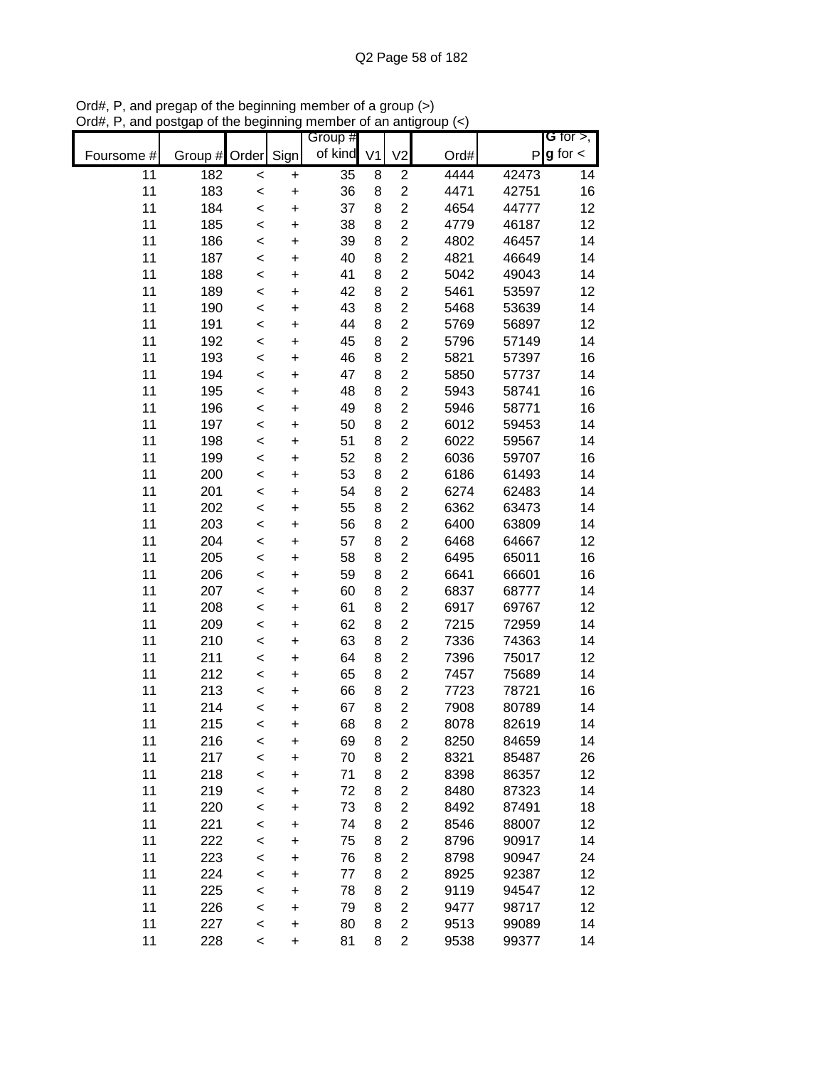|            |         |         |           | Group #         |   |                         |      |       | G for $>$ ,            |
|------------|---------|---------|-----------|-----------------|---|-------------------------|------|-------|------------------------|
| Foursome # | Group # | Order   | Sign      | of kind V1      |   | V <sub>2</sub>          | Ord# |       | $P$ <b>g</b> for $\lt$ |
| 11         | 182     | $\prec$ | $\ddot{}$ | $\overline{35}$ | 8 | $\overline{c}$          | 4444 | 42473 | 14                     |
| 11         | 183     | $\prec$ | $\ddot{}$ | 36              | 8 | $\overline{2}$          | 4471 | 42751 | 16                     |
| 11         | 184     | $\prec$ | $\ddot{}$ | 37              | 8 | $\overline{c}$          | 4654 | 44777 | 12                     |
| 11         | 185     | $\prec$ | $\ddot{}$ | 38              | 8 | $\overline{2}$          | 4779 | 46187 | 12                     |
| 11         | 186     | $\prec$ | +         | 39              | 8 | $\overline{c}$          | 4802 | 46457 | 14                     |
| 11         | 187     | $\prec$ | +         | 40              | 8 | $\overline{c}$          | 4821 | 46649 | 14                     |
| 11         | 188     | $\prec$ | +         | 41              | 8 | $\overline{2}$          | 5042 | 49043 | 14                     |
| 11         | 189     | $\,<$   | +         | 42              | 8 | $\overline{2}$          | 5461 | 53597 | 12                     |
| 11         | 190     | $\prec$ | +         | 43              | 8 | $\overline{2}$          | 5468 | 53639 | 14                     |
| 11         | 191     | $\,<$   | $\ddot{}$ | 44              | 8 | $\overline{2}$          | 5769 | 56897 | 12                     |
| 11         | 192     | $\prec$ | $\ddot{}$ | 45              | 8 | $\overline{\mathbf{c}}$ | 5796 | 57149 | 14                     |
| 11         | 193     | $\prec$ | $\ddot{}$ | 46              | 8 | $\overline{2}$          | 5821 | 57397 | 16                     |
| 11         | 194     | $\prec$ | $\ddot{}$ | 47              | 8 | $\overline{2}$          | 5850 | 57737 | 14                     |
| 11         | 195     | $\prec$ | $\ddot{}$ | 48              | 8 | $\overline{c}$          | 5943 | 58741 | 16                     |
| 11         | 196     | $\prec$ | $\ddot{}$ | 49              | 8 | $\overline{c}$          | 5946 | 58771 | 16                     |
| 11         | 197     | $\prec$ | $\ddot{}$ | 50              | 8 | $\overline{c}$          | 6012 | 59453 | 14                     |
| 11         | 198     | $\prec$ | $\ddot{}$ | 51              | 8 | $\overline{2}$          | 6022 | 59567 | 14                     |
| 11         | 199     | $\prec$ | $\ddot{}$ | 52              | 8 | $\overline{2}$          | 6036 | 59707 | 16                     |
| 11         | 200     | $\prec$ | $\ddot{}$ | 53              | 8 | $\overline{2}$          | 6186 | 61493 | 14                     |
| 11         | 201     | $\prec$ | $\ddot{}$ | 54              | 8 | $\overline{2}$          | 6274 | 62483 | 14                     |
| 11         | 202     | $\prec$ | $\ddot{}$ | 55              | 8 | $\overline{c}$          | 6362 | 63473 | 14                     |
| 11         | 203     | $\prec$ | +         | 56              | 8 | $\overline{\mathbf{c}}$ | 6400 | 63809 | 14                     |
| 11         | 204     | $\prec$ | +         | 57              | 8 | $\overline{c}$          | 6468 | 64667 | 12                     |
| 11         | 205     | $\prec$ | +         | 58              | 8 | $\overline{2}$          | 6495 | 65011 | 16                     |
| 11         | 206     | $\,<$   | +         | 59              | 8 | $\overline{2}$          | 6641 | 66601 | 16                     |
| 11         | 207     | $\,<$   | +         | 60              | 8 | $\overline{2}$          | 6837 | 68777 | 14                     |
| 11         | 208     | $\prec$ | $\ddot{}$ | 61              | 8 | $\overline{2}$          | 6917 | 69767 | 12                     |
| 11         | 209     | $\prec$ | $\ddot{}$ | 62              | 8 | $\overline{2}$          | 7215 | 72959 | 14                     |
| 11         | 210     | $\prec$ | $\ddot{}$ | 63              | 8 | $\overline{2}$          | 7336 | 74363 | 14                     |
| 11         | 211     | $\prec$ | $\ddot{}$ | 64              | 8 | $\overline{2}$          | 7396 | 75017 | 12                     |
| 11         | 212     | $\prec$ | $\ddot{}$ | 65              | 8 | $\overline{c}$          | 7457 | 75689 | 14                     |
| 11         | 213     | $\prec$ | $\ddot{}$ | 66              | 8 | $\overline{c}$          | 7723 | 78721 | 16                     |
| 11         | 214     | $\prec$ | $\ddot{}$ | 67              | 8 | $\overline{2}$          | 7908 | 80789 | 14                     |
| 11         | 215     | $\prec$ | $\ddot{}$ | 68              | 8 | $\overline{2}$          | 8078 | 82619 | 14                     |
| 11         | 216     | $\prec$ | +         | 69              | 8 | 2                       | 8250 | 84659 | 14                     |
| 11         | 217     | $\prec$ | $\ddot{}$ | 70              | 8 | 2                       | 8321 | 85487 | 26                     |
| 11         | 218     | $\prec$ | +         | 71              | 8 | $\overline{2}$          | 8398 | 86357 | 12                     |
| 11         | 219     | $\prec$ | +         | 72              | 8 | 2                       | 8480 | 87323 | 14                     |
| 11         | 220     | $\prec$ | +         | 73              | 8 | 2                       | 8492 | 87491 | 18                     |
| 11         | 221     | $\prec$ | +         | 74              | 8 | 2                       | 8546 | 88007 | 12                     |
| 11         | 222     | $\,<$   | +         | 75              | 8 | $\overline{2}$          | 8796 | 90917 | 14                     |
| 11         | 223     | $\,<$   | +         | 76              | 8 | $\overline{2}$          | 8798 | 90947 | 24                     |
| 11         | 224     | $\prec$ | +         | 77              | 8 | $\overline{2}$          | 8925 | 92387 | 12                     |
| 11         | 225     | $\prec$ | +         | 78              | 8 | $\overline{2}$          | 9119 | 94547 | 12                     |
| 11         | 226     | $\prec$ | +         | 79              | 8 | 2                       | 9477 | 98717 | 12                     |
| 11         | 227     | $\prec$ | +         | 80              | 8 | 2                       | 9513 | 99089 | 14                     |
| 11         | 228     | $\prec$ | $\ddot{}$ | 81              | 8 | 2                       | 9538 | 99377 | 14                     |

Ord#, P, and pregap of the beginning member of a group (>) Ord#, P, and postgap of the beginning member of an antigroup (<)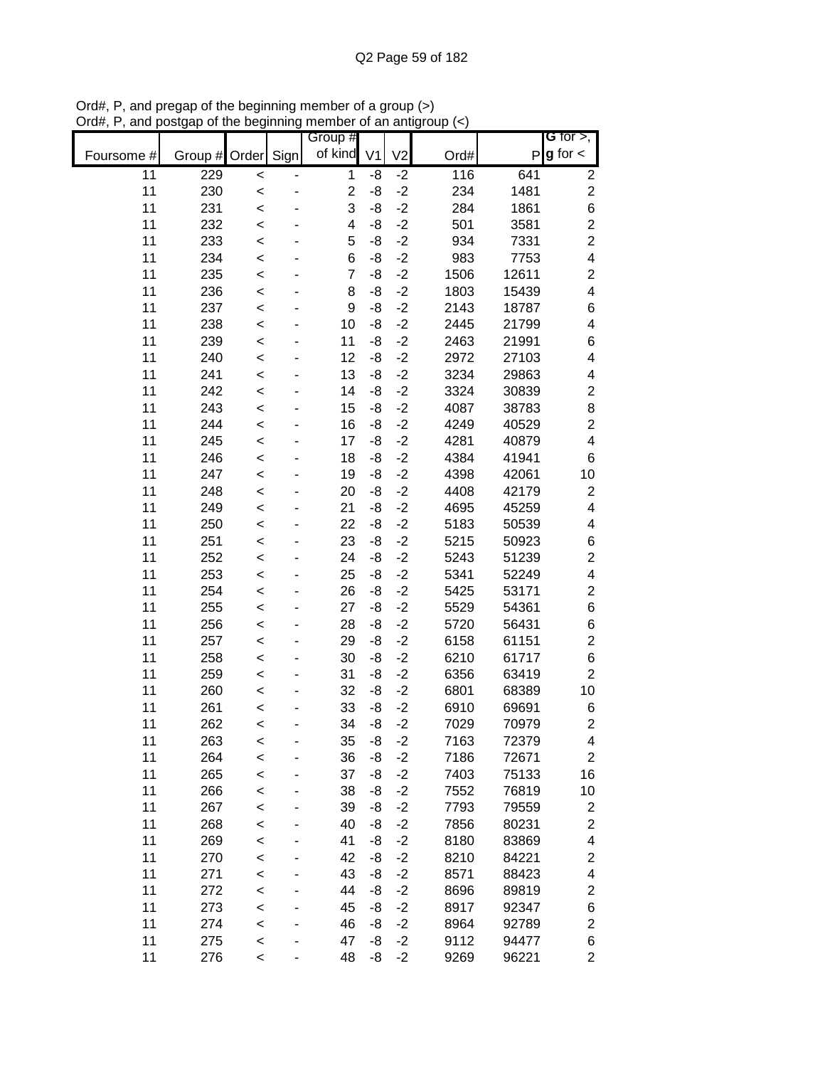|            |                    |         | Group #                 |                |                |      |       | G for $>$ ,             |
|------------|--------------------|---------|-------------------------|----------------|----------------|------|-------|-------------------------|
| Foursome # | Group # Order Sign |         | of kind                 | V <sub>1</sub> | V <sub>2</sub> | Ord# | P     | $g$ for $\lt$           |
| 11         | 229                | $\prec$ | $\mathbf 1$             | -8             | $-2$           | 116  | 641   | $\overline{c}$          |
| 11         | 230                | $\prec$ | $\overline{2}$          | -8             | $-2$           | 234  | 1481  | $\overline{c}$          |
| 11         | 231                | $\prec$ | 3                       | -8             | $-2$           | 284  | 1861  | 6                       |
| 11         | 232                | $\prec$ | $\overline{\mathbf{4}}$ | -8             | $-2$           | 501  | 3581  | $\overline{c}$          |
| 11         | 233                | $\prec$ | 5                       | -8             | $-2$           | 934  | 7331  | $\overline{c}$          |
| 11         | 234                | $\prec$ | 6                       | -8             | $-2$           | 983  | 7753  | $\overline{\mathbf{4}}$ |
| 11         | 235                | $\prec$ | $\overline{7}$          | -8             | $-2$           | 1506 | 12611 | $\overline{\mathbf{c}}$ |
| 11         | 236                | $\prec$ | 8                       | -8             | $-2$           | 1803 | 15439 | $\overline{\mathbf{4}}$ |
| 11         | 237                | $\prec$ | 9                       | -8             | $-2$           | 2143 | 18787 | 6                       |
| 11         | 238                | $\,<$   | 10                      | -8             | $-2$           | 2445 | 21799 | 4                       |
| 11         | 239                | $\,<$   | 11                      | -8             | $-2$           | 2463 | 21991 | 6                       |
| 11         | 240                | $\prec$ | 12                      | -8             | $-2$           | 2972 | 27103 | 4                       |
| 11         | 241                | $\,<$   | 13                      | -8             | $-2$           | 3234 | 29863 | 4                       |
| 11         | 242                | $\prec$ | 14                      | -8             | $-2$           | 3324 | 30839 | $\mathbf{2}$            |
| 11         | 243                | $\prec$ | 15                      | -8             | $-2$           | 4087 | 38783 | 8                       |
| 11         | 244                | $\prec$ | 16                      | -8             | $-2$           | 4249 | 40529 | $\overline{c}$          |
| 11         | 245                | $\prec$ | 17                      | -8             | $-2$           | 4281 | 40879 | $\overline{\mathbf{4}}$ |
| 11         | 246                | $\prec$ | 18                      | -8             | $-2$           | 4384 | 41941 | 6                       |
| 11         | 247                | $\prec$ | 19                      | -8             | $-2$           | 4398 | 42061 | 10                      |
| 11         | 248                | $\prec$ | 20                      | -8             | $-2$           | 4408 | 42179 | $\overline{c}$          |
| 11         | 249                | $\prec$ | 21                      | -8             | $-2$           | 4695 | 45259 | $\overline{\mathbf{4}}$ |
| 11         | 250                | $\prec$ | 22                      | -8             | $-2$           | 5183 | 50539 | 4                       |
| 11         | 251                | $\prec$ | 23                      | -8             | $-2$           | 5215 | 50923 | 6                       |
| 11         | 252                | $\prec$ | 24                      | -8             | $-2$           | 5243 | 51239 | $\overline{c}$          |
| 11         | 253                | $\prec$ | 25                      | -8             | $-2$           | 5341 | 52249 | $\overline{\mathbf{4}}$ |
| 11         | 254                | $\,<$   | 26                      | -8             | $-2$           | 5425 | 53171 | $\overline{c}$          |
| 11         | 255                | $\,<$   | 27                      | -8             | $-2$           | 5529 | 54361 | 6                       |
| 11         | 256                | $\,<$   | 28                      | -8             | $-2$           | 5720 | 56431 | 6                       |
| 11         | 257                | $\prec$ | 29                      | -8             | $-2$           | 6158 | 61151 | $\overline{c}$          |
| 11         | 258                | $\,<$   | 30                      | -8             | $-2$           | 6210 | 61717 | 6                       |
| 11         | 259                | $\,<$   | 31                      | -8             | $-2$           | 6356 | 63419 | $\overline{2}$          |
| 11         | 260                | $\prec$ | 32                      | -8             | $-2$           | 6801 | 68389 | 10                      |
| 11         | 261                | $\prec$ | 33                      | -8             | $-2$           | 6910 | 69691 | 6                       |
| 11         | 262                | $\prec$ | 34                      | -8             | $-2$           | 7029 | 70979 | $\overline{2}$          |
| 11         | 263                | $\,<$   | 35                      | -8             | $-2$           | 7163 | 72379 | 4                       |
| 11         | 264                | $\prec$ | 36                      | -8             | $-2$           | 7186 | 72671 | $\overline{c}$          |
| 11         | 265                | $\prec$ | 37                      | -8             | $-2$           | 7403 | 75133 | 16                      |
| 11         | 266                | $\prec$ | 38                      | -8             | $-2$           | 7552 | 76819 | 10                      |
| 11         | 267                | $\prec$ | 39                      | -8             | $-2$           | 7793 | 79559 | $\overline{\mathbf{c}}$ |
| 11         | 268                | $\prec$ | 40                      | -8             | $-2$           | 7856 | 80231 | $\boldsymbol{2}$        |
| 11         | 269                | $\prec$ | 41                      | -8             | $-2$           | 8180 | 83869 | 4                       |
| 11         | 270                | $\prec$ | 42                      | -8             | $-2$           | 8210 | 84221 | $\overline{\mathbf{c}}$ |
| 11         | 271                | $\prec$ | 43                      | -8             | $-2$           | 8571 | 88423 | 4                       |
| 11         | 272                | $\prec$ | 44                      | -8             | $-2$           | 8696 | 89819 | $\overline{\mathbf{c}}$ |
| 11         | 273                | $\prec$ | 45                      | -8             | $-2$           | 8917 | 92347 | 6                       |
| 11         | 274                | $\,<$   | 46                      | -8             | $-2$           | 8964 | 92789 | $\overline{c}$          |
| 11         | 275                | $\prec$ | 47                      | -8             | $-2$           | 9112 | 94477 | 6                       |
| 11         | 276                | $\prec$ | 48                      | -8             | $-2$           | 9269 | 96221 | $\overline{2}$          |

Ord#, P, and pregap of the beginning member of a group (>) Ord#, P, and postgap of the beginning member of an antigroup (<)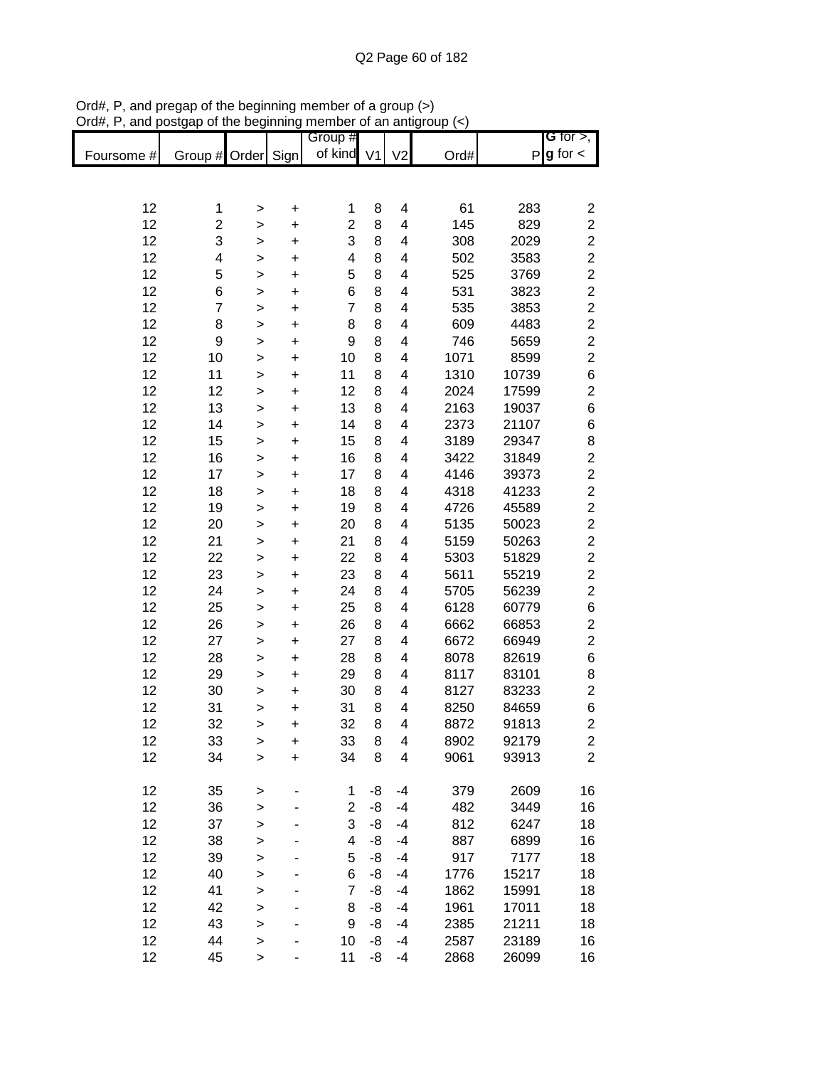|            |                         |              |                          | Group #                 |    |                |      |       | G for $>$ ,             |
|------------|-------------------------|--------------|--------------------------|-------------------------|----|----------------|------|-------|-------------------------|
| Foursome # | Group # Order Sign      |              |                          | of kind V1              |    | V <sub>2</sub> | Ord# |       | $P g$ for $\lt$         |
|            |                         |              |                          |                         |    |                |      |       |                         |
|            |                         |              |                          |                         |    |                |      |       |                         |
| 12         | 1                       | $\geq$       | $\ddot{}$                | 1                       | 8  | 4              | 61   | 283   | $\overline{\mathbf{c}}$ |
| 12         | $\overline{\mathbf{c}}$ | $\mathbf{I}$ | $\ddot{}$                | $\overline{2}$          | 8  | 4              | 145  | 829   | $\boldsymbol{2}$        |
| 12         | 3                       | $\mathbf{I}$ | +                        | 3                       | 8  | 4              | 308  | 2029  | $\overline{\mathbf{c}}$ |
| 12         | 4                       | >            | $\ddot{}$                | 4                       | 8  | 4              | 502  | 3583  | $\overline{c}$          |
| 12         | 5                       | >            | $\ddot{}$                | 5                       | 8  | 4              | 525  | 3769  | $\overline{c}$          |
| 12         | 6                       | $\mathbf{I}$ | $\ddot{}$                | 6                       | 8  | 4              | 531  | 3823  | $\overline{\mathbf{c}}$ |
| 12         | $\overline{7}$          | $\geq$       | $\ddot{}$                | $\overline{7}$          | 8  | 4              | 535  | 3853  | $\overline{\mathbf{c}}$ |
| 12         | 8                       | $\geq$       | $\ddot{}$                | 8                       | 8  | 4              | 609  | 4483  | $\overline{c}$          |
| 12         | $\boldsymbol{9}$        | $\geq$       | $\ddot{}$                | 9                       | 8  | 4              | 746  | 5659  | $\overline{c}$          |
| 12         | 10                      | $\geq$       | $\ddot{}$                | 10                      | 8  | 4              | 1071 | 8599  | $\overline{c}$          |
| 12         | 11                      | $\geq$       | +                        | 11                      | 8  | 4              | 1310 | 10739 | 6                       |
| 12         | 12                      | $\mathbf{I}$ | $\ddot{}$                | 12                      | 8  | 4              | 2024 | 17599 | $\overline{c}$          |
| 12         | 13                      | >            | $\ddot{}$                | 13                      | 8  | 4              | 2163 | 19037 | 6                       |
| 12         | 14                      | >            | +                        | 14                      | 8  | 4              | 2373 | 21107 | 6                       |
| 12         | 15                      | $\mathbf{I}$ | $\ddot{}$                | 15                      | 8  | 4              | 3189 | 29347 | 8                       |
| 12         | 16                      | $\mathbf{I}$ | $\ddot{}$                | 16                      | 8  | 4              | 3422 | 31849 | $\mathbf{2}$            |
| 12         | 17                      | $\mathbf{I}$ | $\ddot{}$                | 17                      | 8  | 4              | 4146 | 39373 | $\mathbf{2}$            |
| 12         | 18                      |              | $\ddot{}$                | 18                      | 8  | 4              | 4318 | 41233 | $\boldsymbol{2}$        |
| 12         | 19                      | $\geq$       |                          | 19                      | 8  | 4              | 4726 | 45589 | $\boldsymbol{2}$        |
| 12         |                         | $\geq$       | $\ddot{}$                | 20                      | 8  | 4              |      | 50023 | $\overline{c}$          |
| 12         | 20                      | $\geq$       | $\ddot{}$                |                         |    |                | 5135 |       | $\overline{c}$          |
|            | 21                      | $\geq$       | $\ddot{}$                | 21                      | 8  | 4              | 5159 | 50263 |                         |
| 12         | 22                      | $\mathbf{I}$ | $\ddot{}$                | 22                      | 8  | 4              | 5303 | 51829 | $\overline{c}$          |
| 12         | 23                      | $\,$         | $\ddot{}$                | 23                      | 8  | 4              | 5611 | 55219 | $\overline{c}$          |
| 12         | 24                      | $\geq$       | $\ddot{}$                | 24                      | 8  | 4              | 5705 | 56239 | $\overline{c}$          |
| 12         | 25                      | >            | $\ddot{}$                | 25                      | 8  | 4              | 6128 | 60779 | 6                       |
| 12         | 26                      | >            | $\ddot{}$                | 26                      | 8  | 4              | 6662 | 66853 | $\overline{\mathbf{c}}$ |
| 12         | 27                      | $\,$         | $\ddot{}$                | 27                      | 8  | 4              | 6672 | 66949 | $\overline{\mathbf{c}}$ |
| 12         | 28                      | >            | $\ddot{}$                | 28                      | 8  | 4              | 8078 | 82619 | 6                       |
| 12         | 29                      | >            | +                        | 29                      | 8  | 4              | 8117 | 83101 | 8                       |
| 12         | 30                      | >            | +                        | 30                      | 8  | 4              | 8127 | 83233 | $\mathbf{2}$            |
| 12         | 31                      | >            | +                        | 31                      | 8  | 4              | 8250 | 84659 | 6                       |
| 12         | 32                      | >            | $\ddot{}$                | 32                      | 8  | 4              | 8872 | 91813 | $\overline{2}$          |
| 12         | 33                      | $\geq$       | $\ddot{}$                | 33                      | 8  | 4              | 8902 | 92179 | $\overline{\mathbf{c}}$ |
| 12         | 34                      | $\mathbf{I}$ | $\ddot{}$                | 34                      | 8  | 4              | 9061 | 93913 | $\overline{2}$          |
|            |                         |              |                          |                         |    |                |      |       |                         |
| 12         | 35                      | $\geq$       | $\overline{\phantom{a}}$ | $\mathbf{1}$            | -8 | $-4$           | 379  | 2609  | 16                      |
| 12         | 36                      | $\geq$       |                          | $\overline{2}$          | -8 | $-4$           | 482  | 3449  | 16                      |
| 12         | 37                      | $\mathbf{I}$ |                          | 3                       | -8 | $-4$           | 812  | 6247  | 18                      |
| 12         | 38                      | $\mathbf{I}$ |                          | $\overline{\mathbf{4}}$ | -8 | $-4$           | 887  | 6899  | 16                      |
| 12         | 39                      | $\geq$       |                          | 5                       | -8 | $-4$           | 917  | 7177  | 18                      |
| 12         | 40                      | $\geq$       |                          | 6                       | -8 | $-4$           | 1776 | 15217 | 18                      |
| 12         | 41                      | $\geq$       |                          | $\overline{7}$          | -8 | $-4$           | 1862 | 15991 | 18                      |
| 12         | 42                      | $\geq$       |                          | 8                       | -8 | $-4$           | 1961 | 17011 | 18                      |
| 12         | 43                      | $\mathbf{I}$ |                          | 9                       | -8 | $-4$           | 2385 | 21211 | 18                      |
| 12         | 44                      | $\mathbf{I}$ |                          | 10                      | -8 | $-4$           | 2587 | 23189 | 16                      |
| 12         | 45                      | >            |                          | 11                      | -8 | $-4$           | 2868 | 26099 | 16                      |

Ord#, P, and pregap of the beginning member of a group (>) Ord#, P, and postgap of the beginning member of an antigroup (<)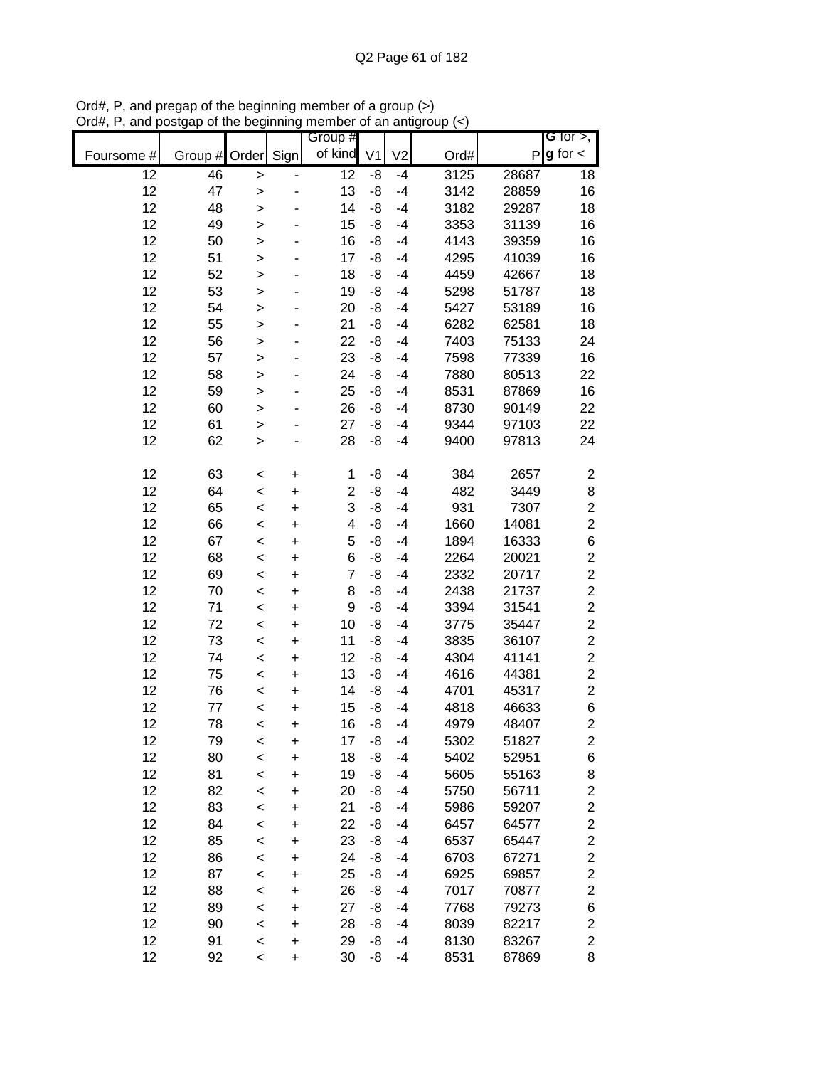|                 |               |              |           | Group #                 |                |                |      |       | G for $>$ ,             |
|-----------------|---------------|--------------|-----------|-------------------------|----------------|----------------|------|-------|-------------------------|
| Foursome #      | Group # Order |              | Sign      | of kind                 | V <sub>1</sub> | V <sub>2</sub> | Ord# | P     | $g$ for $\lt$           |
| $\overline{12}$ | 46            | $\geq$       |           | $\overline{12}$         | -8             | $-4$           | 3125 | 28687 | 18                      |
| 12              | 47            | $\mathbf{I}$ |           | 13                      | -8             | $-4$           | 3142 | 28859 | 16                      |
| 12              | 48            | >            |           | 14                      | -8             | $-4$           | 3182 | 29287 | 18                      |
| 12              | 49            | $\geq$       |           | 15                      | -8             | $-4$           | 3353 | 31139 | 16                      |
| 12              | 50            | >            |           | 16                      | -8             | $-4$           | 4143 | 39359 | 16                      |
| 12              | 51            | $\mathbf{I}$ |           | 17                      | -8             | $-4$           | 4295 | 41039 | 16                      |
| 12              | 52            | >            |           | 18                      | -8             | $-4$           | 4459 | 42667 | 18                      |
| 12              | 53            | $\geq$       |           | 19                      | -8             | $-4$           | 5298 | 51787 | 18                      |
| 12              | 54            | $\geq$       |           | 20                      | -8             | $-4$           | 5427 | 53189 | 16                      |
| 12              | 55            | $\mathbf{I}$ |           | 21                      | -8             | $-4$           | 6282 | 62581 | 18                      |
| 12              | 56            | $\mathbf{I}$ |           | 22                      | -8             | $-4$           | 7403 | 75133 | 24                      |
| 12              | 57            | $\geq$       |           | 23                      | -8             | $-4$           | 7598 | 77339 | 16                      |
| 12              | 58            | $\geq$       |           | 24                      | -8             | $-4$           | 7880 | 80513 | 22                      |
| 12              | 59            | $\geq$       |           | 25                      | -8             | $-4$           | 8531 | 87869 | 16                      |
| 12              | 60            | $\mathbf{I}$ |           | 26                      | -8             | $-4$           | 8730 | 90149 | 22                      |
| 12              | 61            | $\mathbf{I}$ |           | 27                      | -8             | $-4$           | 9344 | 97103 | 22                      |
| 12              | 62            | $\mathbf{I}$ |           | 28                      | -8             | $-4$           | 9400 | 97813 | 24                      |
|                 |               |              |           |                         |                |                |      |       |                         |
| 12              | 63            | $\,<$        | +         | 1                       | -8             | $-4$           | 384  | 2657  | $\overline{\mathbf{c}}$ |
| 12              | 64            | $\prec$      | $\ddot{}$ | $\overline{c}$          | -8             | $-4$           | 482  | 3449  | 8                       |
| 12              | 65            | $\prec$      | $\ddot{}$ | 3                       | -8             | $-4$           | 931  | 7307  | $\boldsymbol{2}$        |
| 12              | 66            | $\prec$      | +         | $\overline{\mathbf{4}}$ | -8             | $-4$           | 1660 | 14081 | $\boldsymbol{2}$        |
| 12              | 67            | $\prec$      | +         | 5                       | -8             | $-4$           | 1894 | 16333 | 6                       |
| 12              | 68            | $\prec$      | +         | 6                       | -8             | $-4$           | 2264 | 20021 | $\boldsymbol{2}$        |
| 12              | 69            | $\,<$        | +         | $\overline{7}$          | -8             | $-4$           | 2332 | 20717 | $\boldsymbol{2}$        |
| 12              | 70            | $\,<$        | +         | 8                       | -8             | $-4$           | 2438 | 21737 | $\overline{c}$          |
| 12              | 71            | $\,<$        | $\ddot{}$ | 9                       | -8             | $-4$           | 3394 | 31541 | $\overline{c}$          |
| 12              | 72            | $\,<$        | $\ddot{}$ | 10                      | -8             | $-4$           | 3775 | 35447 | $\overline{c}$          |
| 12              | 73            | $\prec$      | $\ddot{}$ | 11                      | -8             | $-4$           | 3835 | 36107 | $\boldsymbol{2}$        |
| 12              | 74            | $\prec$      | +         | 12                      | -8             | $-4$           | 4304 | 41141 | $\overline{c}$          |
| 12              | 75            | $\prec$      | $\ddot{}$ | 13                      | -8             | $-4$           | 4616 | 44381 | $\overline{2}$          |
| 12              | 76            | $\prec$      | $\ddot{}$ | 14                      | -8             | $-4$           | 4701 | 45317 | $\overline{c}$          |
| 12              | 77            | $\prec$      | $\ddot{}$ | 15                      | -8             | $-4$           | 4818 | 46633 | $\, 6$                  |
| 12              | 78            | $\,<$        | +         | 16                      | -8             | $-4$           | 4979 | 48407 | $\overline{c}$          |
| 12              | 79            | $\,<$        | +         | 17                      | -8             | $-4$           | 5302 | 51827 | $\overline{\mathbf{c}}$ |
| 12              | 80            | $\prec$      | +         | 18                      | -8             | $-4$           | 5402 | 52951 | $\,6$                   |
| 12              | 81            | $\prec$      | +         | 19                      | -8             | $-4$           | 5605 | 55163 | 8                       |
| 12              | 82            | $\prec$      | +         | 20                      | -8             | $-4$           | 5750 | 56711 | $\overline{\mathbf{c}}$ |
| 12              | 83            | $\prec$      | +         | 21                      | -8             | $-4$           | 5986 | 59207 | $\overline{c}$          |
| 12              | 84            | $\prec$      | +         | 22                      | -8             | $-4$           | 6457 | 64577 | $\overline{c}$          |
| 12              | 85            | $\,<$        | +         | 23                      | -8             | $-4$           | 6537 | 65447 | $\boldsymbol{2}$        |
| 12              | 86            | $\,<$        | +         | 24                      | -8             | $-4$           | 6703 | 67271 | $\overline{c}$          |
| 12              | 87            | $\prec$      | +         | 25                      | -8             | $-4$           | 6925 | 69857 | $\overline{c}$          |
| 12              | 88            | $\prec$      | +         | 26                      | -8             | $-4$           | 7017 | 70877 | $\overline{\mathbf{c}}$ |
| 12              | 89            | $\prec$      | +         | 27                      | -8             | $-4$           | 7768 | 79273 | 6                       |
| 12              | 90            | $\prec$      | $\ddot{}$ | 28                      | -8             | $-4$           | 8039 | 82217 | $\overline{\mathbf{c}}$ |
| 12              | 91            | $\prec$      | +         | 29                      | -8             | $-4$           | 8130 | 83267 | $\overline{\mathbf{c}}$ |
| 12              | 92            | $\,<$        | +         | 30                      | -8             | $-4$           | 8531 | 87869 | 8                       |

Ord#, P, and pregap of the beginning member of a group (>) Ord#, P, and postgap of the beginning member of an antigroup (<)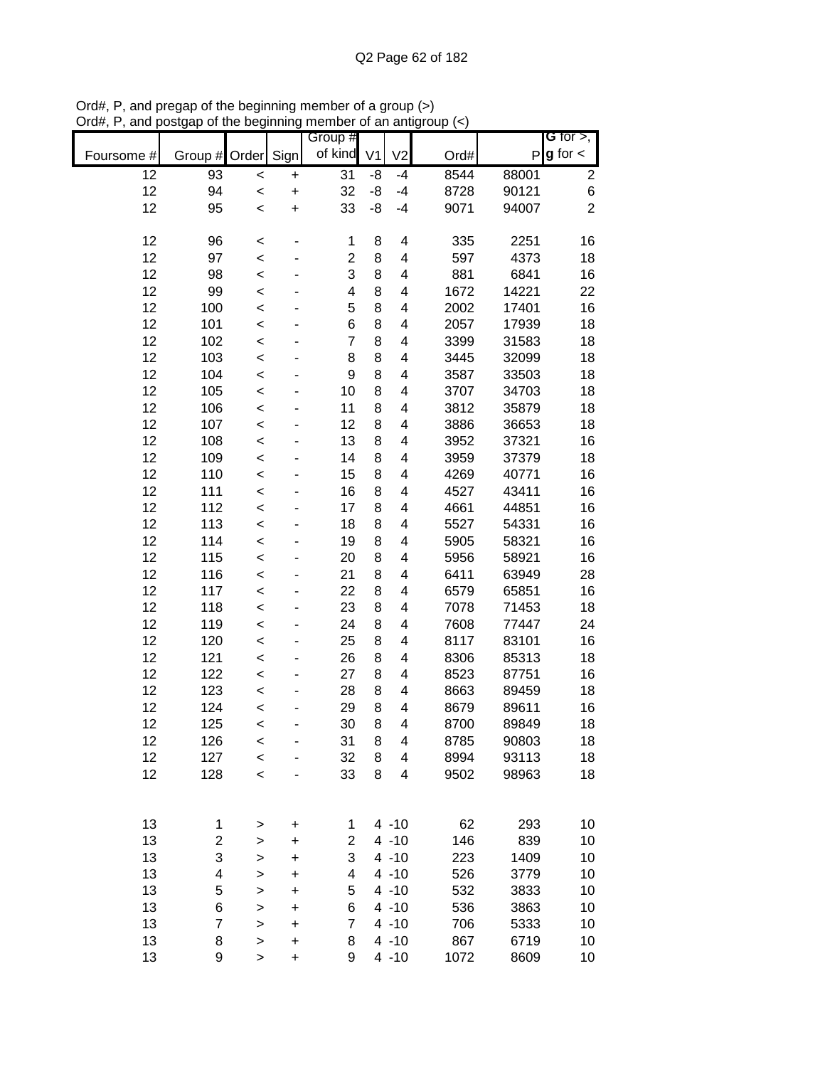|            |            |                    |           | Group #        |                |                         |              |                | <b>G</b> for $>$ , |
|------------|------------|--------------------|-----------|----------------|----------------|-------------------------|--------------|----------------|--------------------|
| Foursome # | Group #    | Order              | Sign      | of kind        | V <sub>1</sub> | V <sub>2</sub>          | Ord#         | P              | $g$ for $\lt$      |
| 12         | 93         | $\prec$            | $\ddot{}$ | 31             | -8             | $-4$                    | 8544         | 88001          | $\mathbf{2}$       |
| 12         | 94         | $\prec$            | $\ddot{}$ | 32             | -8             | $-4$                    | 8728         | 90121          | $\,$ 6 $\,$        |
| 12         | 95         | $\prec$            | $\ddot{}$ | 33             | -8             | $-4$                    | 9071         | 94007          | $\overline{2}$     |
| 12         | 96         | $\prec$            |           | 1              | 8              | 4                       | 335          | 2251           | 16                 |
| 12         | 97         | $\,<$              |           | $\overline{2}$ | 8              | 4                       | 597          | 4373           | 18                 |
| 12         | 98         | $\,<$              |           | 3              | 8              | 4                       | 881          | 6841           | 16                 |
| 12         | 99         | $\,<$              |           | 4              | 8              | 4                       | 1672         | 14221          | 22                 |
| 12         | 100        | $\,<$              |           | 5              | 8              | 4                       | 2002         | 17401          | 16                 |
| 12         | 101        | $\,<$              |           | 6              | 8              | 4                       | 2057         | 17939          | 18                 |
| 12         | 102        | $\prec$            |           | $\overline{7}$ | 8              | 4                       | 3399         | 31583          | 18                 |
| 12         | 103        | $\prec$            |           | 8              | 8              | 4                       | 3445         | 32099          | 18                 |
| 12         | 104        | $\prec$            |           | 9              | 8              | 4                       | 3587         | 33503          | 18                 |
| 12         | 105        | $\prec$            |           | 10             | 8              | 4                       | 3707         | 34703          | 18                 |
| 12         | 106        | $\prec$            |           | 11             | 8              | 4                       | 3812         | 35879          | 18                 |
| 12         | 107        | $\prec$            |           | 12             | 8              | 4                       | 3886         | 36653          | 18                 |
| 12         | 108        | $\prec$            |           | 13             | 8              | 4                       | 3952         | 37321          | 16                 |
| 12         | 109        | $\prec$            |           | 14             | 8              | 4                       | 3959         | 37379          | 18                 |
| 12         | 110        | $\prec$            |           | 15             | 8              | 4                       | 4269         | 40771          | 16                 |
| 12         | 111        | $\prec$            |           | 16             | 8              | 4                       | 4527         | 43411          | 16                 |
| 12         | 112        | $\prec$            |           | 17             | 8              | 4                       | 4661         | 44851          | 16                 |
| 12         | 113        | $\prec$            |           | 18             | 8              | 4                       | 5527         | 54331          | 16                 |
| 12         | 114        | $\prec$            |           | 19             | 8              | 4                       | 5905         | 58321          | 16                 |
| 12         | 115        | $\,<$              |           | 20             | 8              | 4                       | 5956         | 58921          | 16                 |
| 12         | 116        | $\,<$              |           | 21             | 8              | 4                       | 6411         | 63949          | 28                 |
| 12         | 117        | $\,<$              |           | 22             | 8              | 4                       | 6579         | 65851          | 16                 |
| 12         | 118        | $\prec$            |           | 23             | 8              | 4                       | 7078         | 71453          | 18                 |
| 12         | 119        | $\prec$            |           | 24             | 8              | 4                       | 7608         | 77447          | 24                 |
| 12<br>12   | 120<br>121 | $\prec$            |           | 25<br>26       | 8<br>8         | 4<br>4                  | 8117         | 83101          | 16                 |
| 12         | 122        | $\prec$            |           | 27             | 8              | 4                       | 8306<br>8523 | 85313<br>87751 | 18<br>16           |
| 12         | 123        | $\prec$<br>$\prec$ |           | 28             | 8              | 4                       | 8663         | 89459          | 18                 |
| 12         | 124        | $\prec$            |           | 29             | 8              | 4                       | 8679         | 89611          | 16                 |
| 12         | 125        | $\,<$              |           | 30             | 8              | $\overline{4}$          | 8700         | 89849          | 18                 |
| 12         | 126        | $\prec$            |           | 31             | 8              | 4                       | 8785         | 90803          | 18                 |
| 12         | 127        | $\prec$            |           | 32             | 8              | $\overline{\mathbf{4}}$ | 8994         | 93113          | 18                 |
| 12         | 128        | $\prec$            |           | 33             | 8              | 4                       | 9502         | 98963          | 18                 |
|            |            |                    |           |                |                |                         |              |                |                    |
| 13         | 1          |                    | +         | 1              |                | $4 - 10$                | 62           | 293            | 10                 |
| 13         | 2          | ><br>>             | $\ddot{}$ | $\overline{2}$ |                | $4 - 10$                | 146          | 839            | 10                 |
| 13         | 3          | $\mathbf{I}$       | $\ddot{}$ | 3              |                | $4 - 10$                | 223          | 1409           | 10                 |
| 13         | 4          | $\mathbf{I}$       | $\ddot{}$ | 4              |                | $4 - 10$                | 526          | 3779           | 10                 |
| 13         | 5          | $\mathbf{I}$       | $\ddot{}$ | 5              |                | $4 - 10$                | 532          | 3833           | 10                 |
| 13         | 6          | $\geq$             | $\ddot{}$ | 6              |                | $4 - 10$                | 536          | 3863           | 10                 |
| 13         | 7          | $\geq$             | $\ddot{}$ | $\overline{7}$ |                | $4 - 10$                | 706          | 5333           | 10                 |
| 13         | 8          | $\mathbf{I}$       | $\ddot{}$ | 8              |                | $4 - 10$                | 867          | 6719           | 10                 |
| 13         | 9          | >                  | $\ddot{}$ | 9              |                | $4 - 10$                | 1072         | 8609           | 10                 |

Ord#, P, and pregap of the beginning member of a group (>) Ord#, P, and postgap of the beginning member of an antigroup (<)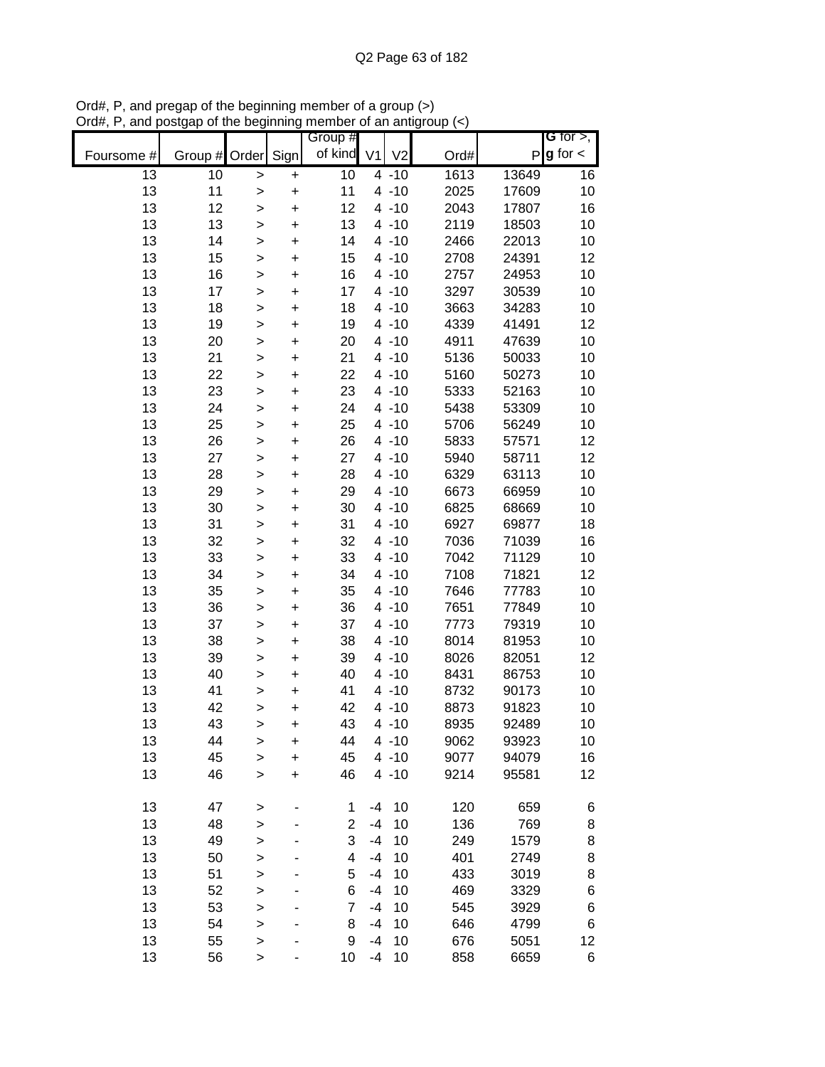|            |               |              |           | Group #        |                |                |      |       | <b>G</b> for $>$ , |
|------------|---------------|--------------|-----------|----------------|----------------|----------------|------|-------|--------------------|
| Foursome # | Group # Order |              | Sign      | of kind        | V <sub>1</sub> | V <sub>2</sub> | Ord# |       | $P g$ for $\lt$    |
| 13         | 10            | $\geq$       | $\pmb{+}$ | 10             |                | $4 - 10$       | 1613 | 13649 | 16                 |
| 13         | 11            | $\mathbf{I}$ | $\ddot{}$ | 11             |                | $4 - 10$       | 2025 | 17609 | 10                 |
| 13         | 12            | >            | $\ddot{}$ | 12             |                | $4 - 10$       | 2043 | 17807 | 16                 |
| 13         | 13            | $\geq$       | $\ddot{}$ | 13             |                | $4 - 10$       | 2119 | 18503 | 10                 |
| 13         | 14            | $\geq$       | +         | 14             |                | $4 - 10$       | 2466 | 22013 | 10                 |
| 13         | 15            | $\mathbf{I}$ | +         | 15             |                | $4 - 10$       | 2708 | 24391 | 12                 |
| 13         | 16            | >            | +         | 16             |                | $4 - 10$       | 2757 | 24953 | 10                 |
| 13         | 17            | $\mathbf{I}$ | $\ddot{}$ | 17             |                | $4 - 10$       | 3297 | 30539 | 10                 |
| 13         | 18            | $\geq$       | +         | 18             |                | $4 - 10$       | 3663 | 34283 | 10                 |
| 13         | 19            | $\geq$       | $\ddot{}$ | 19             |                | $4 - 10$       | 4339 | 41491 | 12                 |
| 13         | 20            | $\geq$       | $\ddot{}$ | 20             |                | $4 - 10$       | 4911 | 47639 | 10                 |
| 13         | 21            | $\geq$       | $\ddot{}$ | 21             |                | $4 - 10$       | 5136 | 50033 | 10                 |
| 13         | 22            | $\geq$       | $\ddot{}$ | 22             |                | $4 - 10$       | 5160 | 50273 | 10                 |
| 13         | 23            | $\mathbf{I}$ | $\ddot{}$ | 23             |                | $4 - 10$       | 5333 | 52163 | 10                 |
| 13         | 24            | $\mathbf{I}$ | $\ddot{}$ | 24             |                | $4 - 10$       | 5438 | 53309 | 10                 |
| 13         | 25            | $\geq$       | $\ddot{}$ | 25             |                | $4 - 10$       | 5706 | 56249 | 10                 |
| 13         | 26            | $\geq$       | $\ddot{}$ | 26             |                | $4 - 10$       | 5833 | 57571 | 12                 |
| 13         | 27            | $\mathbf{I}$ | $\ddot{}$ | 27             |                | $4 - 10$       | 5940 | 58711 | 12                 |
| 13         | 28            | $\mathbf{I}$ | $\ddot{}$ | 28             |                | $4 - 10$       | 6329 | 63113 | 10                 |
| 13         | 29            | $\mathbf{I}$ | $\ddot{}$ | 29             |                | $4 - 10$       | 6673 | 66959 | 10                 |
| 13         | 30            | $\mathbf{I}$ | $\ddot{}$ | 30             |                | $4 - 10$       | 6825 | 68669 | 10                 |
| 13         | 31            | $\mathbf{I}$ | +         | 31             |                | $4 - 10$       | 6927 | 69877 | 18                 |
| 13         | 32            | $\geq$       | +         | 32             |                | $4 - 10$       | 7036 | 71039 | 16                 |
| 13         | 33            | >            | +         | 33             |                | $4 - 10$       | 7042 | 71129 | 10                 |
| 13         | 34            | >            | +         | 34             |                | $4 - 10$       | 7108 | 71821 | 12                 |
| 13         | 35            | $\mathbf{I}$ | +         | 35             |                | $4 - 10$       | 7646 | 77783 | 10                 |
| 13         | 36            | $\geq$       | $\ddot{}$ | 36             |                | $4 - 10$       | 7651 | 77849 | 10                 |
| 13         | 37            | $\mathbf{I}$ | $\ddot{}$ | 37             |                | $4 - 10$       | 7773 | 79319 | 10                 |
| 13         | 38            | $\geq$       | $\ddot{}$ | 38             |                | $4 - 10$       | 8014 | 81953 | 10                 |
| 13         | 39            | $\geq$       | +         | 39             |                | $4 - 10$       | 8026 | 82051 | 12                 |
| 13         | 40            | $\geq$       | $\ddot{}$ | 40             |                | $4 - 10$       | 8431 | 86753 | 10                 |
| 13         | 41            | >            | $\ddot{}$ | 41             |                | $4 - 10$       | 8732 | 90173 | 10                 |
| 13         | 42            | $\geq$       | $\ddot{}$ | 42             |                | $4 - 10$       | 8873 | 91823 | 10                 |
| 13         | 43            | >            | +         | 43             |                | $4 - 10$       | 8935 | 92489 | 10                 |
| 13         | 44            | $\geq$       | +         | 44             |                | $4 - 10$       | 9062 | 93923 | 10                 |
| 13         | 45            | $\mathbf{I}$ | $\ddot{}$ | 45             |                | $4 - 10$       | 9077 | 94079 | 16                 |
| 13         | 46            | $\geq$       | $\ddot{}$ | 46             |                | $4 - 10$       | 9214 | 95581 | 12                 |
|            |               |              |           |                |                |                |      |       |                    |
| 13         | 47            | $\geq$       |           | 1              | $-4$           | 10             | 120  | 659   | 6                  |
| 13         | 48            | >            |           | $\overline{2}$ | $-4$           | 10             | 136  | 769   | 8                  |
| 13         | 49            | $\geq$       |           | 3              | -4             | 10             | 249  | 1579  | 8                  |
| 13         | 50            | $\geq$       |           | 4              | -4             | 10             | 401  | 2749  | 8                  |
| 13         | 51            | $\geq$       |           | 5              | $-4$           | 10             | 433  | 3019  | 8                  |
| 13         | 52            | $\geq$       |           | 6              | -4             | 10             | 469  | 3329  | 6                  |
| 13         | 53            | $\mathbf{I}$ |           | 7              | -4             | 10             | 545  | 3929  | 6                  |
| 13         | 54            | $\geq$       |           | 8              | -4             | 10             | 646  | 4799  | 6                  |
| 13         | 55            | $\geq$       |           | 9              | $-4$           | 10             | 676  | 5051  | 12                 |
| 13         | 56            | $\,$         |           | 10             | $-4$           | 10             | 858  | 6659  | 6                  |

Ord#, P, and pregap of the beginning member of a group (>) Ord#, P, and postgap of the beginning member of an antigroup (<)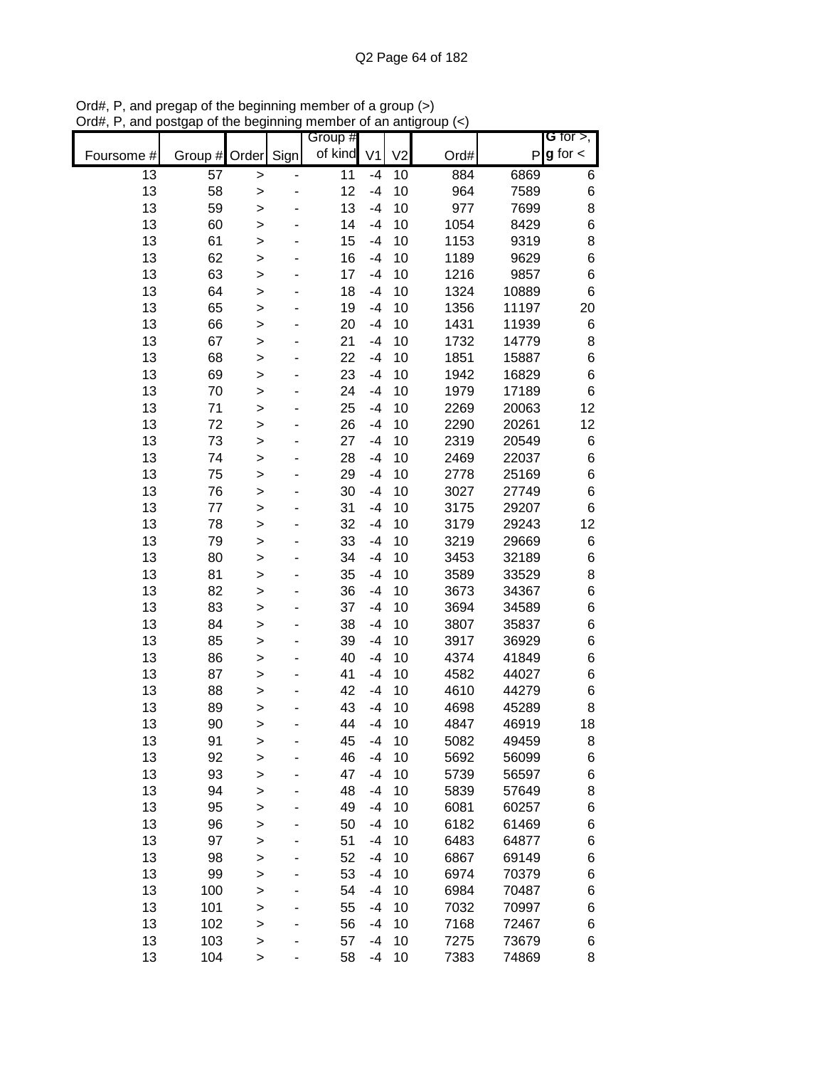|            |               |              |      | Group # |                |                |      |       | G for $>$ ,   |
|------------|---------------|--------------|------|---------|----------------|----------------|------|-------|---------------|
| Foursome # | Group # Order |              | Sign | of kind | V <sub>1</sub> | V <sub>2</sub> | Ord# | P     | $g$ for $\lt$ |
| 13         | 57            | >            |      | 11      | $-4$           | 10             | 884  | 6869  | 6             |
| 13         | 58            | >            |      | 12      | $-4$           | 10             | 964  | 7589  | $\,$ 6 $\,$   |
| 13         | 59            | $\mathbf{I}$ |      | 13      | $-4$           | 10             | 977  | 7699  | 8             |
| 13         | 60            | >            |      | 14      | $-4$           | 10             | 1054 | 8429  | 6             |
| 13         | 61            | $\geq$       |      | 15      | $-4$           | 10             | 1153 | 9319  | 8             |
| 13         | 62            | >            |      | 16      | $-4$           | 10             | 1189 | 9629  | 6             |
| 13         | 63            | $\mathbf{I}$ |      | 17      | $-4$           | 10             | 1216 | 9857  | $\,$ 6 $\,$   |
| 13         | 64            | >            |      | 18      | $-4$           | 10             | 1324 | 10889 | $\,6$         |
| 13         | 65            | >            |      | 19      | $-4$           | 10             | 1356 | 11197 | 20            |
| 13         | 66            | $\geq$       |      | 20      | $-4$           | 10             | 1431 | 11939 | 6             |
| 13         | 67            | $\geq$       |      | 21      | $-4$           | 10             | 1732 | 14779 | 8             |
| 13         | 68            | $\geq$       |      | 22      | $-4$           | 10             | 1851 | 15887 | $\,6$         |
| 13         | 69            | $\geq$       |      | 23      | $-4$           | 10             | 1942 | 16829 | $\,6$         |
| 13         | 70            | $\geq$       |      | 24      | $-4$           | 10             | 1979 | 17189 | $\,6$         |
| 13         | 71            | $\geq$       |      | 25      | $-4$           | 10             | 2269 | 20063 | 12            |
| 13         | 72            | >            |      | 26      | $-4$           | 10             | 2290 | 20261 | 12            |
| 13         | 73            | >            |      | 27      | $-4$           | 10             | 2319 | 20549 | 6             |
| 13         | 74            | $\geq$       |      | 28      | $-4$           | 10             | 2469 | 22037 | 6             |
| 13         | 75            | >            |      | 29      | $-4$           | 10             | 2778 | 25169 | 6             |
| 13         | 76            | $\geq$       |      | 30      | $-4$           | 10             | 3027 | 27749 | 6             |
| 13         | 77            | $\mathbf{I}$ |      | 31      | $-4$           | 10             | 3175 | 29207 | $\,6$         |
| 13         | 78            | $\mathbf{I}$ |      | 32      | $-4$           | 10             | 3179 | 29243 | 12            |
| 13         | 79            | >            |      | 33      | $-4$           | 10             | 3219 | 29669 | 6             |
| 13         | 80            | >            |      | 34      | $-4$           | 10             | 3453 | 32189 | $\,$ 6 $\,$   |
| 13         | 81            | >            |      | 35      | $-4$           | 10             | 3589 | 33529 | 8             |
| 13         | 82            | >            |      | 36      | $-4$           | 10             | 3673 | 34367 | $\,$ 6 $\,$   |
| 13         | 83            | $\geq$       |      | 37      | $-4$           | 10             | 3694 | 34589 | $\,6$         |
| 13         | 84            | $\geq$       |      | 38      | $-4$           | 10             | 3807 | 35837 | 6             |
| 13         | 85            | $\geq$       |      | 39      | $-4$           | 10             | 3917 | 36929 | 6             |
| 13         | 86            | $\geq$       |      | 40      | $-4$           | 10             | 4374 | 41849 | 6             |
| 13         | 87            | $\geq$       |      | 41      | $-4$           | 10             | 4582 | 44027 | 6             |
| 13         | 88            | $\geq$       |      | 42      | $-4$           | 10             | 4610 | 44279 | 6             |
| 13         | 89            | >            |      | 43      | $-4$           | 10             | 4698 | 45289 | 8             |
| 13         | 90            | >            |      | 44      | $-4$           | 10             | 4847 | 46919 | 18            |
| 13         | 91            | >            |      | 45      | $-4$           | 10             | 5082 | 49459 | 8             |
| 13         | 92            | $\geq$       |      | 46      | $-4$           | 10             | 5692 | 56099 | 6             |
| 13         | 93            | $\mathbf{I}$ |      | 47      | $-4$           | 10             | 5739 | 56597 | 6             |
| 13         | 94            | $\geq$       |      | 48      | $-4$           | 10             | 5839 | 57649 | 8             |
| 13         | 95            | >            |      | 49      | $-4$           | 10             | 6081 | 60257 | 6             |
| 13         | 96            | $\mathbf{I}$ |      | 50      | $-4$           | 10             | 6182 | 61469 | 6             |
| 13         | 97            | >            |      | 51      | $-4$           | 10             | 6483 | 64877 | 6             |
| 13         | 98            | >            |      | 52      | $-4$           | 10             | 6867 | 69149 | 6             |
| 13         | 99            | $\geq$       |      | 53      | $-4$           | 10             | 6974 | 70379 | 6             |
| 13         | 100           | >            |      | 54      | $-4$           | 10             | 6984 | 70487 | 6             |
| 13         | 101           | $\geq$       |      | 55      | $-4$           | 10             | 7032 | 70997 | 6             |
| 13         | 102           | $\geq$       |      | 56      | $-4$           | 10             | 7168 | 72467 | 6             |
| 13         | 103           | $\geq$       |      | 57      | $-4$           | 10             | 7275 | 73679 | 6             |
| 13         | 104           | >            |      | 58      | $-4$           | 10             | 7383 | 74869 | 8             |

Ord#, P, and pregap of the beginning member of a group (>) Ord#, P, and postgap of the beginning member of an antigroup (<)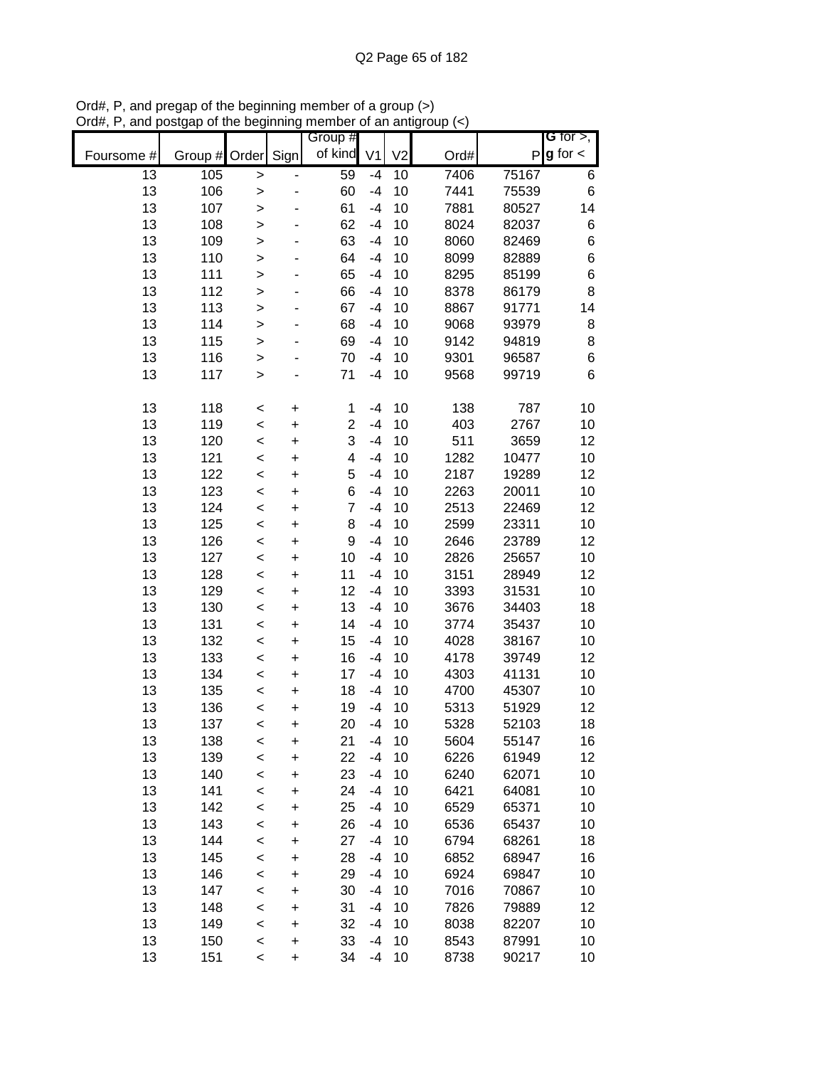|            |         |              |           | Group #        |                |                |      |       | G for $>$ ,   |
|------------|---------|--------------|-----------|----------------|----------------|----------------|------|-------|---------------|
| Foursome # | Group # | Order        | Sign      | of kind        | V <sub>1</sub> | V <sub>2</sub> | Ord# | P     | $g$ for $\lt$ |
| 13         | 105     | $\geq$       |           | 59             | $-4$           | 10             | 7406 | 75167 | 6             |
| 13         | 106     | >            |           | 60             | $-4$           | 10             | 7441 | 75539 | 6             |
| 13         | 107     | $\geq$       |           | 61             | $-4$           | 10             | 7881 | 80527 | 14            |
| 13         | 108     | $\mathbf{I}$ |           | 62             | $-4$           | 10             | 8024 | 82037 | $\,$ 6 $\,$   |
| 13         | 109     | $\mathbf{I}$ |           | 63             | $-4$           | 10             | 8060 | 82469 | $\,$ 6 $\,$   |
| 13         | 110     | >            |           | 64             | $-4$           | 10             | 8099 | 82889 | $\,6$         |
| 13         | 111     | >            |           | 65             | -4             | 10             | 8295 | 85199 | $\,$ 6 $\,$   |
| 13         | 112     | $\geq$       |           | 66             | $-4$           | 10             | 8378 | 86179 | 8             |
| 13         | 113     | $\geq$       |           | 67             | $-4$           | 10             | 8867 | 91771 | 14            |
| 13         | 114     | $\mathbf{I}$ |           | 68             | $-4$           | 10             | 9068 | 93979 | 8             |
| 13         | 115     | $\geq$       |           | 69             | $-4$           | 10             | 9142 | 94819 | 8             |
| 13         | 116     | $\geq$       |           | 70             | $-4$           | 10             | 9301 | 96587 | $\,6$         |
| 13         | 117     | $\geq$       |           | 71             | $-4$           | 10             | 9568 | 99719 | 6             |
| 13         | 118     | $\,<$        | $\ddot{}$ | 1              | $-4$           | 10             | 138  | 787   | 10            |
| 13         | 119     | $\prec$      | $\ddot{}$ | $\overline{c}$ | $-4$           | 10             | 403  | 2767  | 10            |
| 13         | 120     | $\prec$      | $\ddot{}$ | 3              | $-4$           | 10             | 511  | 3659  | 12            |
| 13         | 121     | $\prec$      | $\ddot{}$ | 4              | $-4$           | 10             | 1282 | 10477 | 10            |
| 13         | 122     | $\prec$      | $\ddot{}$ | 5              | $-4$           | 10             | 2187 | 19289 | 12            |
| 13         | 123     | $\,<$        | $\ddot{}$ | 6              | $-4$           | 10             | 2263 | 20011 | 10            |
| 13         | 124     | $\prec$      | $\ddot{}$ | $\overline{7}$ | $-4$           | 10             | 2513 | 22469 | 12            |
| 13         | 125     | $\,<$        | $\ddot{}$ | 8              | $-4$           | 10             | 2599 | 23311 | 10            |
| 13         | 126     | $\,<$        | +         | 9              | $-4$           | 10             | 2646 | 23789 | 12            |
| 13         | 127     | $\,<$        | $\ddot{}$ | 10             | $-4$           | 10             | 2826 | 25657 | 10            |
| 13         | 128     | $\,<$        | +         | 11             | $-4$           | 10             | 3151 | 28949 | 12            |
| 13         | 129     | $\,<$        | $\ddot{}$ | 12             | $-4$           | 10             | 3393 | 31531 | 10            |
| 13         | 130     | $\,<$        | $\ddot{}$ | 13             | $-4$           | 10             | 3676 | 34403 | 18            |
| 13         | 131     | $\prec$      | $\ddot{}$ | 14             | $-4$           | 10             | 3774 | 35437 | 10            |
| 13         | 132     | $\prec$      | $\ddot{}$ | 15             | $-4$           | 10             | 4028 | 38167 | 10            |
| 13         | 133     | $\prec$      | $\ddot{}$ | 16             | $-4$           | 10             | 4178 | 39749 | 12            |
| 13         | 134     | $\prec$      | $\ddot{}$ | 17             | $-4$           | 10             | 4303 | 41131 | 10            |
| 13         | 135     | $\,<$        | $\ddot{}$ | 18             | $-4$           | 10             | 4700 | 45307 | 10            |
| 13         | 136     | $\prec$      | $\ddot{}$ | 19             | $-4$           | 10             | 5313 | 51929 | 12            |
| 13         | 137     | <            | $\ddot{}$ | 20             | $-4$           | 10             | 5328 | 52103 | 18            |
| 13         | 138     | <            | +         | 21             | -4             | 10             | 5604 | 55147 | 16            |
| 13         | 139     | $\prec$      | +         | 22             | $-4$           | 10             | 6226 | 61949 | 12            |
| 13         | 140     | $\prec$      | +         | 23             | $-4$           | 10             | 6240 | 62071 | 10            |
| 13         | 141     | $\prec$      | +         | 24             | -4             | 10             | 6421 | 64081 | 10            |
| 13         | 142     | $\prec$      | +         | 25             | -4             | 10             | 6529 | 65371 | 10            |
| 13         | 143     | $\prec$      | +         | 26             | -4             | 10             | 6536 | 65437 | 10            |
| 13         | 144     | $\prec$      | +         | 27             | -4             | 10             | 6794 | 68261 | 18            |
| 13         | 145     | $\prec$      | +         | 28             | -4             | 10             | 6852 | 68947 | 16            |
| 13         | 146     | $\prec$      | $\ddot{}$ | 29             | -4             | 10             | 6924 | 69847 | 10            |
| 13         | 147     | $\prec$      | $\ddot{}$ | 30             | -4             | 10             | 7016 | 70867 | 10            |
| 13         | 148     | $\prec$      | $\ddot{}$ | 31             | -4             | 10             | 7826 | 79889 | 12            |
| 13         | 149     | $\prec$      | $\ddot{}$ | 32             | $-4$           | 10             | 8038 | 82207 | 10            |
| 13         | 150     | $\prec$      | +         | 33             | $-4$           | 10             | 8543 | 87991 | 10            |
| 13         | 151     | $\,<$        | $\ddot{}$ | 34             | $-4$           | 10             | 8738 | 90217 | 10            |

Ord#, P, and pregap of the beginning member of a group (>) Ord#, P, and postgap of the beginning member of an antigroup (<)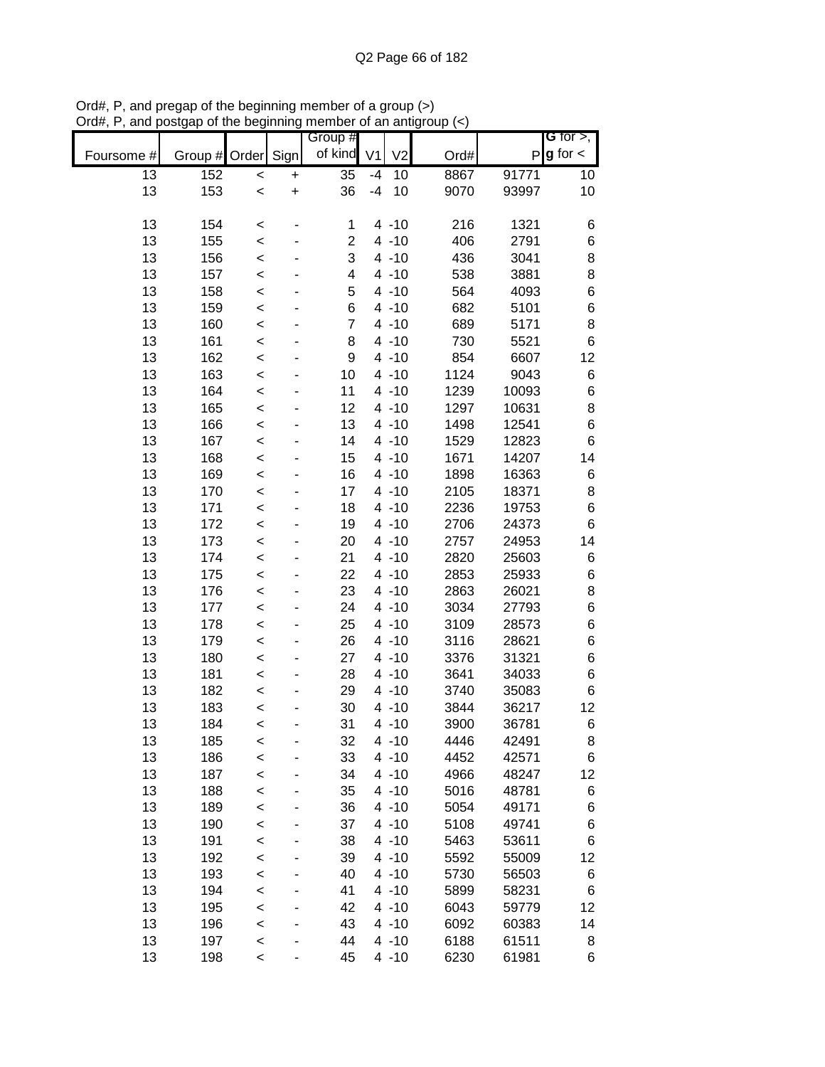|            |            |                    |           | Group #        |                |                      |              |                | G for $>$ ,   |
|------------|------------|--------------------|-----------|----------------|----------------|----------------------|--------------|----------------|---------------|
| Foursome # | Group #    | Order              | Sign      | of kind        | V <sub>1</sub> | V <sub>2</sub>       | Ord#         | P              | $g$ for $\lt$ |
| 13         | 152        | $\prec$            | $\ddot{}$ | 35             | $-4$           | 10                   | 8867         | 91771          | 10            |
| 13         | 153        | $\prec$            | $\ddot{}$ | 36             | $-4$           | 10                   | 9070         | 93997          | 10            |
|            |            |                    |           |                |                |                      |              |                |               |
| 13         | 154        | $\prec$            |           | 1              |                | $4 - 10$             | 216          | 1321           | 6             |
| 13         | 155        | $\prec$            |           | $\overline{c}$ |                | $4 - 10$             | 406          | 2791           | 6             |
| 13         | 156        | $\prec$            |           | 3              |                | $4 - 10$             | 436          | 3041           | 8             |
| 13         | 157        | $\prec$            |           | 4              |                | $4 - 10$             | 538          | 3881           | 8             |
| 13         | 158        | $\prec$            |           | 5              |                | $4 - 10$             | 564          | 4093           | 6             |
| 13         | 159        | $\prec$            |           | 6              |                | $4 - 10$             | 682          | 5101           | 6             |
| 13         | 160        | $\prec$            |           | $\overline{7}$ |                | $4 - 10$             | 689          | 5171           | 8             |
| 13         | 161        | $\prec$            |           | 8              |                | $4 - 10$             | 730          | 5521           | 6             |
| 13         | 162        | $\prec$            |           | 9              |                | $4 - 10$             | 854          | 6607           | 12            |
| 13         | 163        | $\prec$            |           | 10             |                | $4 - 10$             | 1124         | 9043           | 6             |
| 13         | 164        | $\prec$            |           | 11             |                | $4 - 10$             | 1239         | 10093          | 6             |
| 13         | 165        | $\prec$            |           | 12             |                | $4 - 10$             | 1297         | 10631          | 8             |
| 13         | 166        | $\prec$            |           | 13             |                | $4 - 10$             | 1498         | 12541          | 6             |
| 13         | 167        | $\prec$            |           | 14             |                | $4 - 10$             | 1529         | 12823          | 6             |
| 13         | 168        | $\prec$            |           | 15             |                | $4 - 10$             | 1671         | 14207          | 14            |
| 13         | 169        | $\prec$            |           | 16             |                | $4 - 10$             | 1898         | 16363          | 6             |
| 13         | 170        | $\prec$            |           | 17             |                | $4 - 10$             | 2105         | 18371          | 8             |
| 13         | 171        | $\prec$            |           | 18             |                | $4 - 10$             | 2236         | 19753          | 6             |
| 13         | 172        | $\prec$            |           | 19             |                | $4 - 10$             | 2706         | 24373          | 6             |
| 13         | 173        | $\prec$            |           | 20             |                | $4 - 10$             | 2757         | 24953          | 14            |
| 13         | 174        | $\,<$              |           | 21             |                | $4 - 10$             | 2820         | 25603          | 6             |
| 13         | 175        | $\,<$              |           | 22             |                | $4 - 10$             | 2853         | 25933          | 6             |
| 13         | 176        | $\prec$            |           | 23             |                | $4 - 10$             | 2863         | 26021          | 8             |
| 13         | 177        | $\prec$            |           | 24             |                | $4 - 10$             | 3034         | 27793          | 6             |
| 13         | 178        | $\prec$            |           | 25             |                | $4 - 10$             | 3109         | 28573          | 6             |
| 13         | 179        | $\prec$            |           | 26             |                | $4 - 10$             | 3116         | 28621          | 6             |
| 13         | 180        | $\prec$            |           | 27             |                | $4 - 10$             | 3376         | 31321          | 6             |
| 13         | 181        | $\prec$            |           | 28             |                | $4 - 10$             | 3641         | 34033          | 6             |
| 13         | 182        | $\prec$            |           | 29             |                | $4 - 10$             | 3740         | 35083          | 6             |
| 13         | 183        | $\prec$            |           | 30             |                | $4 - 10$             | 3844         | 36217          | 12            |
| 13         | 184        | $\,<$              |           | 31             |                | $4 - 10$             | 3900         | 36781          | 6             |
| 13         | 185        | $\prec$            |           | 32             |                | $4 - 10$             | 4446         | 42491          | 8             |
| 13<br>13   | 186        | $\prec$            |           | 33             |                | $4 - 10$             | 4452         | 42571          | 6             |
|            | 187        | $\prec$            |           | 34             |                | $4 - 10$             | 4966         | 48247          | 12            |
| 13<br>13   | 188        | $\prec$            |           | 35             |                | $4 - 10$<br>$4 - 10$ | 5016         | 48781          | 6             |
| 13         | 189<br>190 | $\prec$            |           | 36<br>37       |                | $4 - 10$             | 5054<br>5108 | 49171<br>49741 | 6             |
| 13         | 191        | $\prec$            |           | 38             |                | $4 - 10$             | 5463         | 53611          | 6<br>6        |
| 13         | 192        | $\prec$            |           | 39             |                | $4 - 10$             | 5592         | 55009          | 12            |
| 13         | 193        | $\prec$            |           | 40             |                | $4 - 10$             | 5730         | 56503          |               |
| 13         | 194        | $\prec$<br>$\prec$ |           | 41             |                | $4 - 10$             | 5899         | 58231          | 6<br>6        |
| 13         | 195        | $\prec$            |           | 42             |                | $4 - 10$             | 6043         | 59779          | 12            |
| 13         | 196        | $\prec$            |           | 43             |                | $4 - 10$             | 6092         | 60383          | 14            |
| 13         | 197        | $\prec$            |           | 44             |                | $4 - 10$             | 6188         | 61511          | 8             |
| 13         | 198        | $\prec$            |           | 45             |                | $4 - 10$             | 6230         | 61981          | 6             |
|            |            |                    |           |                |                |                      |              |                |               |

Ord#, P, and pregap of the beginning member of a group (>) Ord#, P, and postgap of the beginning member of an antigroup (<)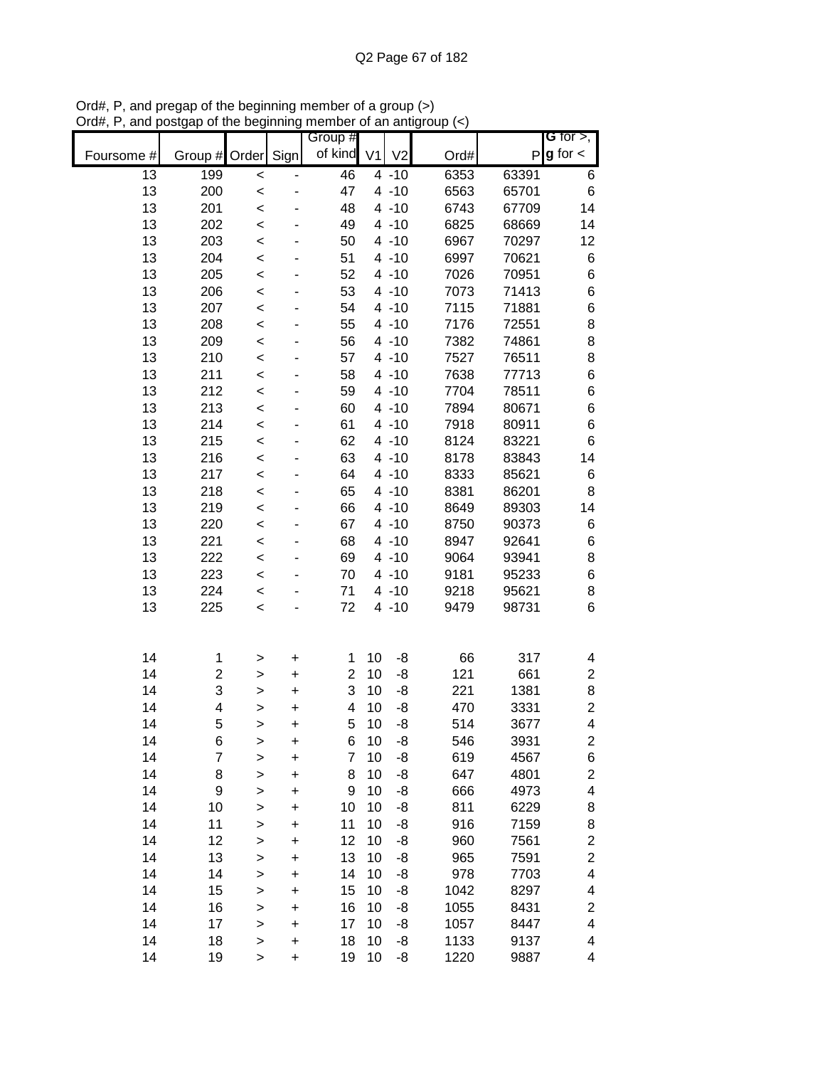|            |                  |                   |                        | Group #             |                |                      |              |                | G for $>$ ,              |
|------------|------------------|-------------------|------------------------|---------------------|----------------|----------------------|--------------|----------------|--------------------------|
| Foursome # | Group #          | Order             | Sign                   | of kind             | V <sub>1</sub> | V <sub>2</sub>       | Ord#         | P              | $g$ for $\lt$            |
| 13         | 199              | $\prec$           |                        | 46                  |                | $4 - 10$             | 6353         | 63391          | 6                        |
| 13         | 200              | $\prec$           |                        | 47                  |                | $4 - 10$             | 6563         | 65701          | $\,$ 6 $\,$              |
| 13         | 201              | $\prec$           |                        | 48                  |                | $4 - 10$             | 6743         | 67709          | 14                       |
| 13         | 202              | $\prec$           |                        | 49                  |                | $4 - 10$             | 6825         | 68669          | 14                       |
| 13         | 203              | $\prec$           |                        | 50                  |                | $4 - 10$             | 6967         | 70297          | 12                       |
| 13         | 204              | $\prec$           |                        | 51                  |                | $4 - 10$             | 6997         | 70621          | 6                        |
| 13         | 205              | <                 |                        | 52                  |                | $4 - 10$             | 7026         | 70951          | $\,$ 6 $\,$              |
| 13         | 206              | $\,<$             |                        | 53                  |                | $4 - 10$             | 7073         | 71413          | $\,$ 6 $\,$              |
| 13         | 207              | $\,<$             |                        | 54                  |                | $4 - 10$             | 7115         | 71881          | $\,6$                    |
| 13         | 208              | $\,<$             |                        | 55                  |                | $4 - 10$             | 7176         | 72551          | $\bf8$                   |
| 13         | 209              | $\prec$           |                        | 56                  |                | $4 - 10$             | 7382         | 74861          | 8                        |
| 13         | 210              | $\prec$           |                        | 57                  |                | $4 - 10$             | 7527         | 76511          | 8                        |
| 13         | 211              | $\prec$           |                        | 58                  |                | $4 - 10$             | 7638         | 77713          | $\,$ 6 $\,$              |
| 13         | 212              | $\prec$           |                        | 59                  |                | $4 - 10$             | 7704         | 78511          | $\,$ 6 $\,$              |
| 13         | 213              | $\prec$           |                        | 60                  |                | $4 - 10$             | 7894         | 80671          | $\,$ 6 $\,$              |
| 13         | 214              | $\prec$           |                        | 61                  |                | $4 - 10$             | 7918         | 80911          | $\,$ 6 $\,$              |
| 13         | 215              | $\prec$           |                        | 62                  |                | $4 - 10$             | 8124         | 83221          | $6\phantom{1}6$          |
| 13         | 216              | $\prec$           |                        | 63                  |                | $4 - 10$             | 8178         | 83843          | 14                       |
| 13         | 217              | $\prec$           |                        | 64                  |                | $4 - 10$             | 8333         | 85621          | 6                        |
| 13         | 218              | $\prec$           |                        | 65                  |                | $4 - 10$             | 8381         | 86201          | 8                        |
| 13         | 219              | $\prec$           |                        | 66                  |                | $4 - 10$             | 8649         | 89303          | 14                       |
| 13         | 220              | $\prec$           |                        | 67                  |                | $4 - 10$             | 8750         | 90373          | 6                        |
| 13         | 221<br>222       | $\,<$             |                        | 68                  |                | $4 - 10$             | 8947         | 92641          | $\,6$                    |
| 13<br>13   | 223              | <                 |                        | 69<br>70            |                | $4 - 10$<br>$4 - 10$ | 9064<br>9181 | 93941<br>95233 | 8<br>$\,6$               |
| 13         | 224              | $\prec$           |                        | 71                  |                | $4 - 10$             | 9218         | 95621          | 8                        |
| 13         | 225              | $\,<$             |                        | 72                  |                | $4 - 10$             | 9479         | 98731          | $\,6$                    |
|            |                  | $\,<$             |                        |                     |                |                      |              |                |                          |
|            |                  |                   |                        |                     |                |                      |              |                |                          |
| 14         | 1                | >                 | +                      | 1                   | 10             | -8                   | 66           | 317            | 4                        |
| 14         | $\boldsymbol{2}$ | >                 | $\ddot{}$              | $\overline{c}$<br>3 | 10             | -8                   | 121          | 661            | $\boldsymbol{2}$         |
| 14<br>14   | 3<br>4           | >                 | $\ddot{}$              | 4                   | 10<br>10       | -8<br>-8             | 221<br>470   | 1381<br>3331   | $\bf8$<br>$\overline{c}$ |
| 14         | 5                | >                 | $\ddot{}$<br>$\ddot{}$ | 5                   | 10             | -8                   | 514          | 3677           | 4                        |
| 14         | 6                | >                 | +                      | 6                   | 10             | -8                   | 546          | 3931           | 2                        |
| 14         | $\overline{7}$   | ><br>$\mathbf{I}$ | $\ddot{}$              | 7                   | 10             | -8                   | 619          | 4567           | 6                        |
| 14         | 8                | >                 | +                      | 8                   | 10             | -8                   | 647          | 4801           | $\overline{\mathbf{c}}$  |
| 14         | 9                | >                 | +                      | 9                   | 10             | -8                   | 666          | 4973           | 4                        |
| 14         | 10               | >                 | +                      | 10                  | 10             | -8                   | 811          | 6229           | 8                        |
| 14         | 11               | >                 | +                      | 11                  | 10             | -8                   | 916          | 7159           | 8                        |
| 14         | 12               | $\geq$            | +                      | 12                  | 10             | -8                   | 960          | 7561           | $\overline{\mathbf{c}}$  |
| 14         | 13               | $\geq$            | +                      | 13                  | 10             | -8                   | 965          | 7591           | $\overline{c}$           |
| 14         | 14               | $\geq$            | $\ddot{}$              | 14                  | 10             | -8                   | 978          | 7703           | 4                        |
| 14         | 15               | $\geq$            | $\ddot{}$              | 15                  | 10             | -8                   | 1042         | 8297           | 4                        |
| 14         | 16               | $\geq$            | $\ddot{}$              | 16                  | 10             | -8                   | 1055         | 8431           | $\overline{\mathbf{c}}$  |
| 14         | 17               | $\geq$            | +                      | 17                  | 10             | -8                   | 1057         | 8447           | 4                        |
| 14         | 18               | $\geq$            | $\ddot{}$              | 18                  | 10             | -8                   | 1133         | 9137           | 4                        |
| 14         | 19               | >                 | $\ddot{}$              | 19                  | 10             | -8                   | 1220         | 9887           | 4                        |

Ord#, P, and pregap of the beginning member of a group (>) Ord#, P, and postgap of the beginning member of an antigroup (<)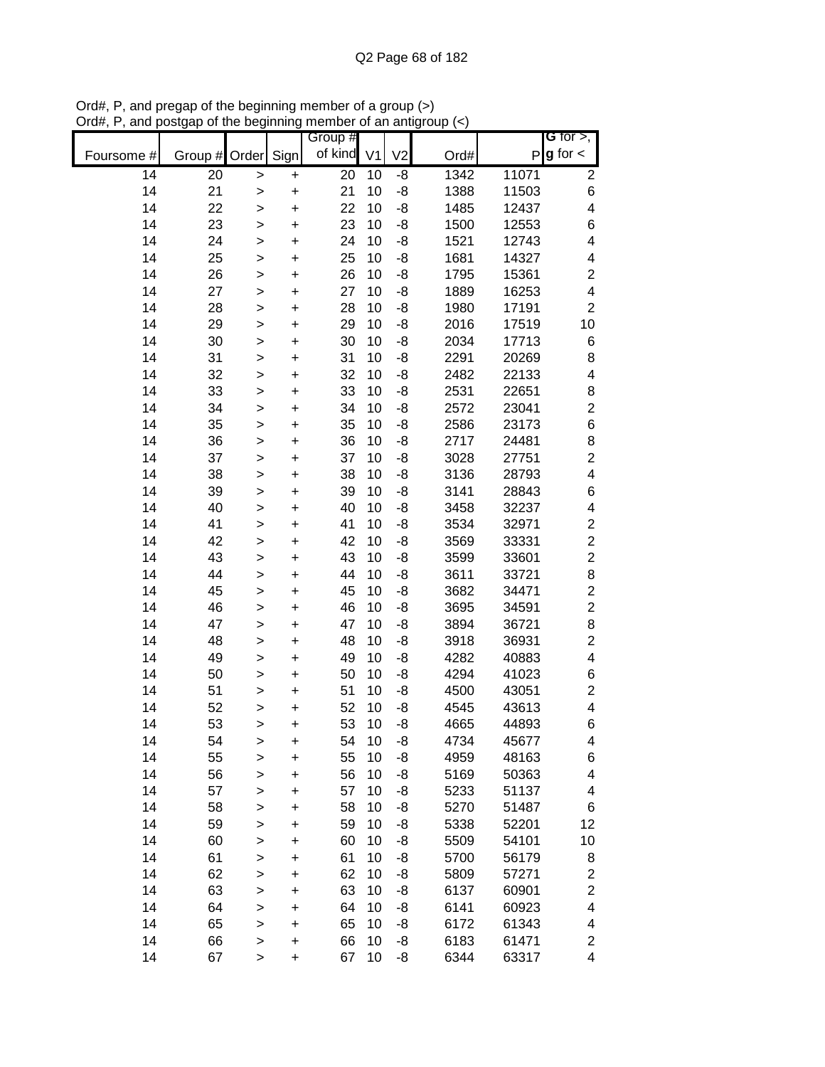|            |          |                  |           | Group #    |          |                |              |                | G for $>$ ,                               |
|------------|----------|------------------|-----------|------------|----------|----------------|--------------|----------------|-------------------------------------------|
| Foursome # | Group #  | Order            | Sign      | of kind V1 |          | V <sub>2</sub> | Ord#         |                | $P g$ for $\lt$                           |
| 14         | 20       | $\geq$           | +         | 20         | 10       | -8             | 1342         | 11071          | $\overline{c}$                            |
| 14         | 21       | $\geq$           | $\ddot{}$ | 21         | 10       | $-8$           | 1388         | 11503          | $\,$ 6 $\,$                               |
| 14         | 22       | >                | $\ddot{}$ | 22         | 10       | -8             | 1485         | 12437          | 4                                         |
| 14         | 23       | $\mathbf{I}$     | $\ddot{}$ | 23         | 10       | -8             | 1500         | 12553          | 6                                         |
| 14         | 24       | $\geq$           | $\ddot{}$ | 24         | 10       | -8             | 1521         | 12743          | $\overline{\mathbf{4}}$                   |
| 14         | 25       | $\mathbf{I}$     | +         | 25         | 10       | -8             | 1681         | 14327          | 4                                         |
| 14         | 26       | $\mathbf{I}$     | +         | 26         | 10       | -8             | 1795         | 15361          | $\overline{c}$                            |
| 14         | 27       | >                | +         | 27         | 10       | -8             | 1889         | 16253          | $\overline{\mathbf{4}}$                   |
| 14         | 28       | >                | +         | 28         | 10       | -8             | 1980         | 17191          | $\overline{c}$                            |
| 14         | 29       | $\geq$           | +         | 29         | 10       | -8             | 2016         | 17519          | 10                                        |
| 14         | 30       | $\geq$           | $\ddot{}$ | 30         | 10       | -8             | 2034         | 17713          | 6                                         |
| 14         | 31       | $\geq$           | $\ddot{}$ | 31         | 10       | -8             | 2291         | 20269          | 8                                         |
| 14         | 32       | $\geq$           | $\ddot{}$ | 32         | 10       | -8             | 2482         | 22133          | 4                                         |
| 14         | 33       | $\geq$           | $\ddot{}$ | 33         | 10       | -8             | 2531         | 22651          | 8                                         |
| 14         | 34       | $\mathbf{I}$     | $\ddot{}$ | 34         | 10       | -8             | 2572         | 23041          | $\overline{2}$                            |
| 14         | 35       | >                | $\ddot{}$ | 35         | 10       | -8             | 2586         | 23173          | $\,$ 6 $\,$                               |
| 14         | 36       | >                | $\ddot{}$ | 36         | 10       | $-8$           | 2717         | 24481          | 8                                         |
| 14         | 37       | $\geq$           | $\ddot{}$ | 37         | 10       | $-8$           | 3028         | 27751          | $\overline{\mathbf{c}}$                   |
| 14         | 38       | >                | $\ddot{}$ | 38         | 10       | -8             | 3136         | 28793          | $\overline{\mathbf{4}}$                   |
| 14         | 39       | >                | $\ddot{}$ | 39         | 10       | -8             | 3141         | 28843          | $\,$ 6 $\,$                               |
| 14         | 40       | $\mathbf{I}$     | $\ddot{}$ | 40         | 10       | -8             | 3458         | 32237          | $\overline{\mathbf{4}}$                   |
| 14         | 41       | $\mathbf{I}$     | $\ddot{}$ | 41         | 10       | -8             | 3534         | 32971          | $\boldsymbol{2}$                          |
| 14         | 42       | $\mathbf{I}$     | +         | 42         | 10       | -8             | 3569         | 33331          | $\overline{c}$                            |
| 14         | 43       | $\mathbf{I}$     | +         | 43         | 10       | -8             | 3599         | 33601          | $\overline{c}$                            |
| 14         | 44       | >                | +         | 44         | 10       | -8             | 3611         | 33721          | 8                                         |
| 14         | 45       | >                | +         | 45         | 10       | -8             | 3682         | 34471          | $\overline{\mathbf{c}}$                   |
| 14         | 46       | $\mathbf{I}$     | +         | 46         | 10       | -8             | 3695         | 34591          | $\overline{c}$                            |
| 14         | 47       | $\geq$           | $\ddot{}$ | 47         | 10       | -8             | 3894         | 36721          | 8                                         |
| 14         | 48       | $\mathbf{I}$     | $\ddot{}$ | 48         | 10       | -8             | 3918         | 36931          | $\overline{c}$                            |
| 14         | 49       | $\geq$           | $\ddot{}$ | 49         | 10       | -8             | 4282         | 40883          | 4                                         |
| 14         | 50       | $\geq$           | $\ddot{}$ | 50         | 10       | -8             | 4294         | 41023          | 6                                         |
| 14         | 51       | $\mathbf{I}$     | $\ddot{}$ | 51         | 10       | -8             | 4500         | 43051          | $\overline{c}$                            |
| 14         | 52       | >                | $\ddot{}$ | 52         | 10       | -8             | 4545         | 43613          | 4                                         |
| 14         | 53       | >                | $\ddot{}$ | 53         | 10       | -8             | 4665         | 44893          | 6                                         |
| 14<br>14   | 54       | >                | +         | 54         | 10<br>10 | -8             | 4734         | 45677          | 4                                         |
| 14         | 55       | $\geq$           | $\ddot{}$ | 55         | 10       | -8             | 4959         | 48163          | 6<br>4                                    |
| 14         | 56<br>57 | $\geq$           | $\ddot{}$ | 56<br>57   | 10       | -8             | 5169<br>5233 | 50363          | 4                                         |
| 14         | 58       | $\mathbf{I}$     | +         | 58         | 10       | -8             | 5270         | 51137<br>51487 | $\,$ 6 $\,$                               |
| 14         | 59       | $\mathbf{I}$     | +         | 59         | 10       | -8<br>-8       | 5338         | 52201          | 12                                        |
| 14         | 60       | $\geq$           | +         |            | 10       |                | 5509         | 54101          |                                           |
| 14         | 61       | $\geq$           | +         | 60<br>61   | 10       | -8<br>-8       | 5700         | 56179          | 10<br>8                                   |
| 14         | 62       | $\mathbf{I}$     | +         | 62         | 10       | -8             |              |                |                                           |
| 14         | 63       | $\geq$           | +<br>+    | 63         | 10       | -8             | 5809<br>6137 | 57271<br>60901 | $\overline{\mathbf{c}}$<br>$\overline{c}$ |
| 14         | 64       | $\geq$           | +         | 64         | 10       | -8             | 6141         | 60923          | 4                                         |
| 14         | 65       | $\geq$<br>$\geq$ | +         | 65         | 10       | -8             | 6172         | 61343          | 4                                         |
| 14         | 66       | $\geq$           | +         | 66         | 10       | -8             | 6183         | 61471          | $\overline{c}$                            |
| 14         | 67       | $\geq$           | +         | 67         | 10       | -8             | 6344         | 63317          | 4                                         |

Ord#, P, and pregap of the beginning member of a group (>) Ord#, P, and postgap of the beginning member of an antigroup (<)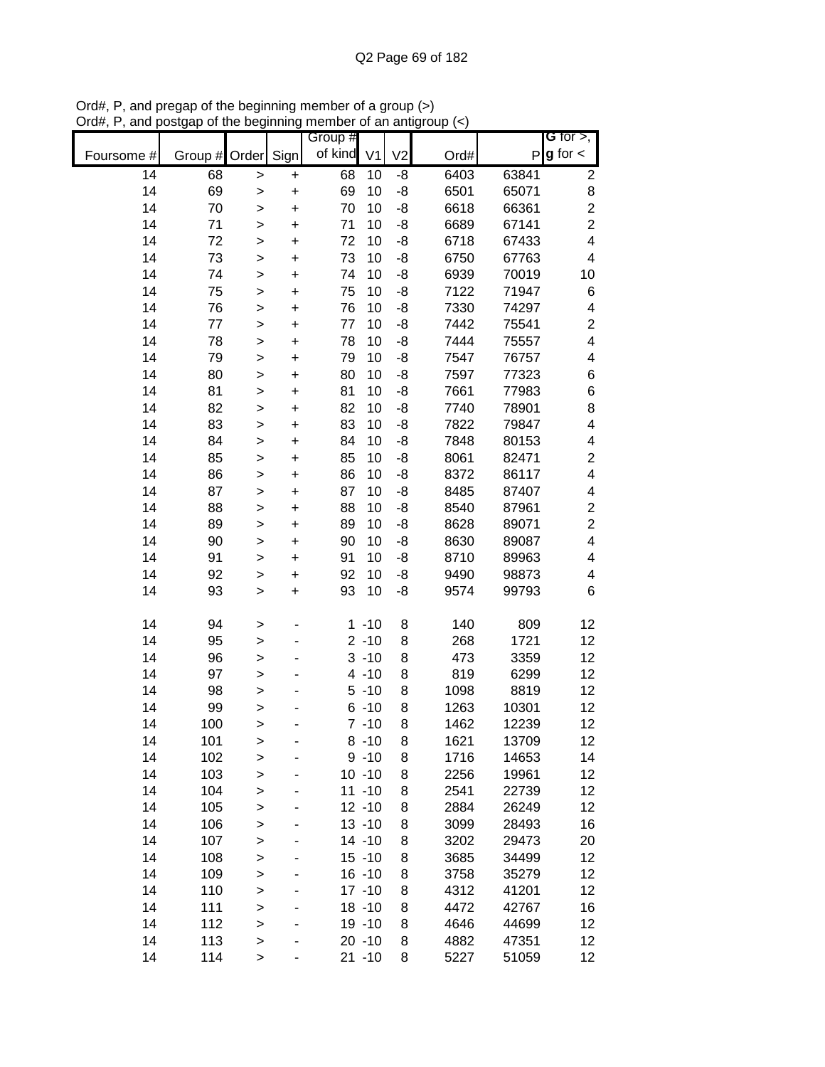|                 |         |              |           | Group # |                |                |      |       | G for $>$ ,              |
|-----------------|---------|--------------|-----------|---------|----------------|----------------|------|-------|--------------------------|
| Foursome #      | Group # | Order        | Sign      | of kind | V <sub>1</sub> | V <sub>2</sub> | Ord# | P     | $g$ for $\lt$            |
| $\overline{14}$ | 68      | $\geq$       | $\pmb{+}$ | 68      | 10             | -8             | 6403 | 63841 | $\overline{\mathbf{c}}$  |
| 14              | 69      | $\geq$       | $\ddot{}$ | 69      | 10             | -8             | 6501 | 65071 | 8                        |
| 14              | 70      | $\geq$       | $\ddot{}$ | 70      | 10             | -8             | 6618 | 66361 | $\overline{c}$           |
| 14              | 71      | $\,$         | $\ddot{}$ | 71      | 10             | -8             | 6689 | 67141 | $\overline{c}$           |
| 14              | 72      | $\mathbf{I}$ | $\ddot{}$ | 72      | 10             | -8             | 6718 | 67433 | $\overline{\mathbf{4}}$  |
| 14              | 73      | $\,$         | $\ddot{}$ | 73      | 10             | -8             | 6750 | 67763 | $\overline{\mathbf{4}}$  |
| 14              | 74      | >            | $\ddot{}$ | 74      | 10             | -8             | 6939 | 70019 | 10                       |
| 14              | 75      | $\,$         | $\ddot{}$ | 75      | 10             | -8             | 7122 | 71947 | 6                        |
| 14              | 76      | $\geq$       | $\ddot{}$ | 76      | 10             | -8             | 7330 | 74297 | 4                        |
| 14              | 77      | $\geq$       | $\ddot{}$ | 77      | 10             | -8             | 7442 | 75541 | $\overline{c}$           |
| 14              | 78      | $\geq$       | $\ddot{}$ | 78      | 10             | -8             | 7444 | 75557 | $\overline{\mathbf{4}}$  |
| 14              | 79      | $\geq$       | $\ddot{}$ | 79      | 10             | -8             | 7547 | 76757 | 4                        |
| 14              | 80      | $\geq$       | $\ddot{}$ | 80      | 10             | -8             | 7597 | 77323 | $\,6$                    |
| 14              | 81      | $\geq$       | $\ddot{}$ | 81      | 10             | -8             | 7661 | 77983 | $\,6$                    |
| 14              | 82      | $\geq$       | $\ddot{}$ | 82      | 10             | -8             | 7740 | 78901 | 8                        |
| 14              | 83      | $\mathbf{I}$ | $\ddot{}$ | 83      | 10             | -8             | 7822 | 79847 | 4                        |
| 14              | 84      | $\geq$       | $\ddot{}$ | 84      | 10             | -8             | 7848 | 80153 | 4                        |
| 14              | 85      | $\geq$       | $\ddot{}$ | 85      | 10             | -8             | 8061 | 82471 | $\overline{\mathbf{c}}$  |
| 14              | 86      | $\geq$       | $\ddot{}$ | 86      | 10             | -8             | 8372 | 86117 | $\overline{\mathbf{4}}$  |
| 14              | 87      | $\geq$       | $\ddot{}$ | 87      | 10             | -8             | 8485 | 87407 | 4                        |
| 14              | 88      | $\mathbf{I}$ | $\ddot{}$ | 88      | 10             | -8             | 8540 | 87961 | $\boldsymbol{2}$         |
| 14              | 89      | $\mathbf{I}$ | $\ddot{}$ | 89      | 10             | -8             | 8628 | 89071 | $\overline{c}$           |
| 14              | 90      | $\, > \,$    | $\ddot{}$ | 90      | 10             | -8             | 8630 | 89087 | $\overline{\mathbf{4}}$  |
| 14              | 91      | $\, > \,$    | $\pmb{+}$ | 91      | 10             | -8             | 8710 | 89963 | $\overline{\mathcal{A}}$ |
| 14              | 92      | >            | +         | 92      | 10             | -8             | 9490 | 98873 | 4                        |
| 14              | 93      | $\geq$       | $\ddot{}$ | 93      | 10             | -8             | 9574 | 99793 | 6                        |
| 14              | 94      | $\, > \,$    |           |         | $1 - 10$       | 8              | 140  | 809   | 12                       |
| 14              | 95      | $\geq$       |           |         | $2 - 10$       | 8              | 268  | 1721  | 12                       |
| 14              | 96      | $\mathbf{I}$ |           |         | $3 - 10$       | 8              | 473  | 3359  | 12                       |
| 14              | 97      | $\geq$       |           |         | $4 - 10$       | 8              | 819  | 6299  | 12                       |
| 14              | 98      | $\geq$       |           |         | $5 - 10$       | 8              | 1098 | 8819  | 12                       |
| 14              | 99      | $\mathbf{I}$ |           |         | $6 - 10$       | 8              | 1263 | 10301 | 12                       |
| 14              | 100     | >            |           |         | $7 - 10$       | 8              | 1462 | 12239 | 12                       |
| 14              | 101     | $\geq$       |           |         | $8 - 10$       | 8              | 1621 | 13709 | 12                       |
| 14              | 102     | $\mathbf{I}$ |           |         | $9 - 10$       | 8              | 1716 | 14653 | 14                       |
| 14              | 103     | $\geq$       |           |         | $10 - 10$      | 8              | 2256 | 19961 | 12                       |
| 14              | 104     | $\mathbf{I}$ |           |         | $11 - 10$      | 8              | 2541 | 22739 | 12                       |
| 14              | 105     | $\mathbf{I}$ |           |         | $12 - 10$      | 8              | 2884 | 26249 | 12                       |
| 14              | 106     | >            |           |         | $13 - 10$      | 8              | 3099 | 28493 | 16                       |
| 14              | 107     | $\geq$       |           |         | $14 - 10$      | 8              | 3202 | 29473 | 20                       |
| 14              | 108     | $\mathbf{I}$ |           |         | $15 - 10$      | 8              | 3685 | 34499 | 12                       |
| 14              | 109     | $\geq$       |           |         | $16 - 10$      | 8              | 3758 | 35279 | 12                       |
| 14              | 110     | $\geq$       |           |         | $17 - 10$      | 8              | 4312 | 41201 | 12                       |
| 14              | 111     | $\mathbf{I}$ |           |         | $18 - 10$      | 8              | 4472 | 42767 | 16                       |
| 14              | 112     | $\geq$       |           |         | 19 - 10        | 8              | 4646 | 44699 | 12                       |
| 14              | 113     | $\geq$       |           |         | $20 - 10$      | 8              | 4882 | 47351 | 12                       |
| 14              | 114     | $\,$         |           |         | $21 - 10$      | 8              | 5227 | 51059 | 12                       |

Ord#, P, and pregap of the beginning member of a group (>) Ord#, P, and postgap of the beginning member of an antigroup (<)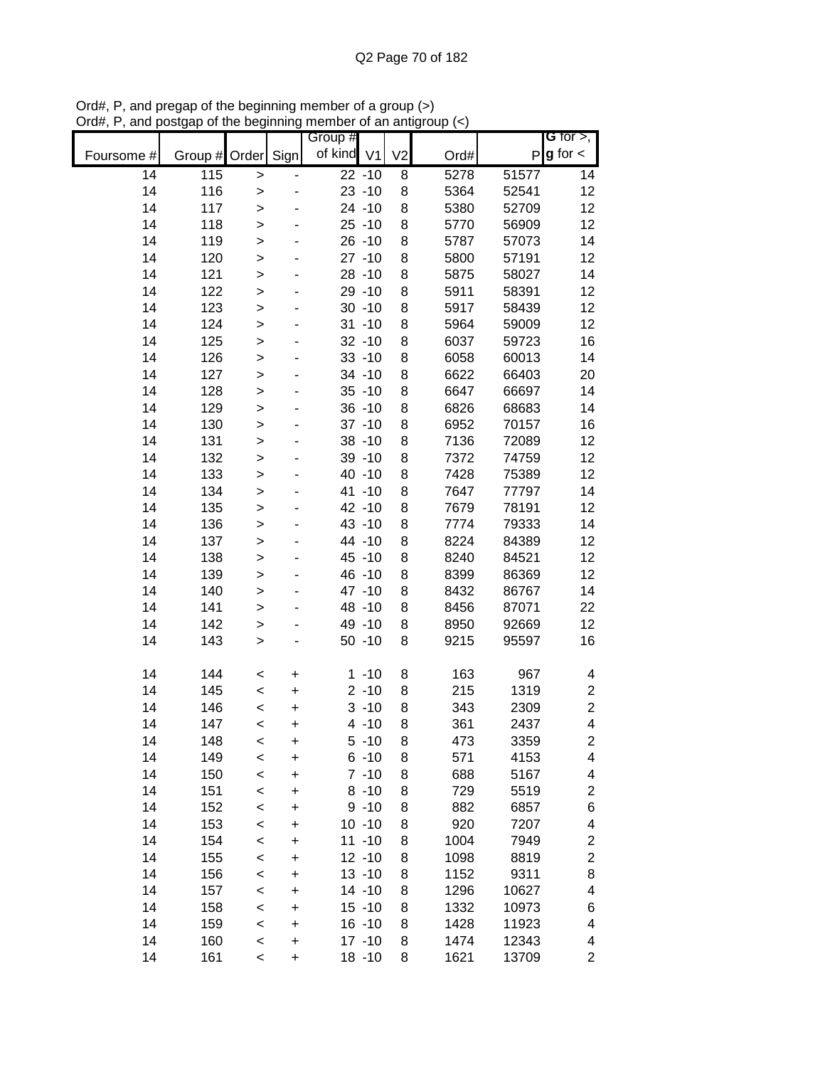|            |                    |              |           | Group #              |          |                |      |              | G for $>$ ,              |
|------------|--------------------|--------------|-----------|----------------------|----------|----------------|------|--------------|--------------------------|
| Foursome # | Group # Order Sign |              |           | of kind V1           |          | V <sub>2</sub> | Ord# | $\mathsf{P}$ | $g$ for $\lt$            |
| 14         | 115                | $\geq$       |           | $\overline{22 - 10}$ |          | 8              | 5278 | 51577        | 14                       |
| 14         | 116                | $\geq$       |           | $23 - 10$            |          | 8              | 5364 | 52541        | 12                       |
| 14         | 117                | $\geq$       |           | $24 - 10$            |          | 8              | 5380 | 52709        | 12                       |
| 14         | 118                | $\geq$       |           | $25 - 10$            |          | 8              | 5770 | 56909        | 12                       |
| 14         | 119                | $\geq$       |           | $26 - 10$            |          | 8              | 5787 | 57073        | 14                       |
| 14         | 120                | $\mathbf{I}$ |           | $27 - 10$            |          | 8              | 5800 | 57191        | 12                       |
| 14         | 121                | $\geq$       |           | $28 - 10$            |          | 8              | 5875 | 58027        | 14                       |
| 14         | 122                | $\geq$       |           | $29 - 10$            |          | 8              | 5911 | 58391        | 12                       |
| 14         | 123                | $\geq$       |           | $30 - 10$            |          | 8              | 5917 | 58439        | 12                       |
| 14         | 124                | $\geq$       |           | $31 - 10$            |          | 8              | 5964 | 59009        | 12                       |
| 14         | 125                | $\geq$       |           | $32 - 10$            |          | 8              | 6037 | 59723        | 16                       |
| 14         | 126                | $\geq$       |           | $33 - 10$            |          | 8              | 6058 | 60013        | 14                       |
| 14         | 127                | $\geq$       |           | 34 - 10              |          | 8              | 6622 | 66403        | 20                       |
| 14         | 128                | $\geq$       |           | $35 - 10$            |          | 8              | 6647 | 66697        | 14                       |
| 14         | 129                | $\geq$       |           | $36 - 10$            |          | 8              | 6826 | 68683        | 14                       |
| 14         | 130                | $\geq$       |           | $37 - 10$            |          | 8              | 6952 | 70157        | 16                       |
| 14         | 131                | $\geq$       |           | $38 - 10$            |          | 8              | 7136 | 72089        | 12                       |
| 14         | 132                | $\geq$       |           | 39 - 10              |          | 8              | 7372 | 74759        | 12                       |
| 14         | 133                | $\geq$       |           | 40 -10               |          | 8              | 7428 | 75389        | 12                       |
| 14         | 134                | $\geq$       |           | 41 -10               |          | 8              | 7647 | 77797        | 14                       |
| 14         | 135                | $\geq$       |           | 42 -10               |          | 8              | 7679 | 78191        | 12                       |
| 14         | 136                | $\geq$       |           | 43 -10               |          | 8              | 7774 | 79333        | 14                       |
| 14         | 137                | $\mathbf{I}$ |           | 44 -10               |          | 8              | 8224 | 84389        | 12                       |
| 14         | 138                | >            |           | 45 - 10              |          | 8              | 8240 | 84521        | 12                       |
| 14         | 139                | >            |           | 46 - 10              |          | 8              | 8399 | 86369        | 12                       |
| 14         | 140                | $\geq$       |           | 47 -10               |          | 8              | 8432 | 86767        | 14                       |
| 14         | 141                | $\geq$       |           | 48 - 10              |          | 8              | 8456 | 87071        | 22                       |
| 14         | 142                | $\geq$       |           | 49 - 10              |          | 8              | 8950 | 92669        | 12                       |
| 14         | 143                | $\geq$       |           | $50 - 10$            |          | 8              | 9215 | 95597        | 16                       |
| 14         | 144                | $\,<$        | +         |                      | $1 - 10$ | 8              | 163  | 967          | 4                        |
| 14         | 145                | $\prec$      | $\ddot{}$ |                      | $2 - 10$ | 8              | 215  | 1319         | $\overline{\mathbf{c}}$  |
| 14         | 146                | $\prec$      | $\ddot{}$ |                      | $3 - 10$ | 8              | 343  | 2309         | $\overline{2}$           |
| 14         | 147                | $\,<$        | +         |                      | $4 - 10$ | 8              | 361  | 2437         | 4                        |
| 14         | 148                | $\,<$        | +         |                      | $5 - 10$ | 8              | 473  | 3359         | $\overline{\mathbf{c}}$  |
| 14         | 149                | $\prec$      | +         |                      | $6 - 10$ | 8              | 571  | 4153         | $\overline{\mathcal{A}}$ |
| 14         | 150                | $\prec$      | +         |                      | $7 - 10$ | 8              | 688  | 5167         | 4                        |
| 14         | 151                | $\prec$      | +         |                      | $8 - 10$ | 8              | 729  | 5519         | $\boldsymbol{2}$         |
| 14         | 152                | $\prec$      | +         |                      | $9 - 10$ | 8              | 882  | 6857         | 6                        |
| 14         | 153                | $\prec$      | +         | $10 - 10$            |          | 8              | 920  | 7207         | 4                        |
| 14         | 154                | $\,<$        | +         | $11 - 10$            |          | 8              | 1004 | 7949         | $\mathbf{2}$             |
| 14         | 155                | $\prec$      | +         | $12 - 10$            |          | 8              | 1098 | 8819         | $\mathbf{2}$             |
| 14         | 156                | $\prec$      | +         | $13 - 10$            |          | 8              | 1152 | 9311         | 8                        |
| 14         | 157                | $\prec$      | +         | 14 - 10              |          | 8              | 1296 | 10627        | 4                        |
| 14         | 158                | $\prec$      | +         | $15 - 10$            |          | 8              | 1332 | 10973        | 6                        |
| 14         | 159                | $\,<$        | +         | $16 - 10$            |          | 8              | 1428 | 11923        | 4                        |
| 14         | 160                | $\prec$      | +         | $17 - 10$            |          | 8              | 1474 | 12343        | 4                        |
| 14         | 161                | $\prec$      | +         | $18 - 10$            |          | 8              | 1621 | 13709        | $\overline{c}$           |

Ord#, P, and pregap of the beginning member of a group (>) Ord#, P, and postgap of the beginning member of an antigroup (<)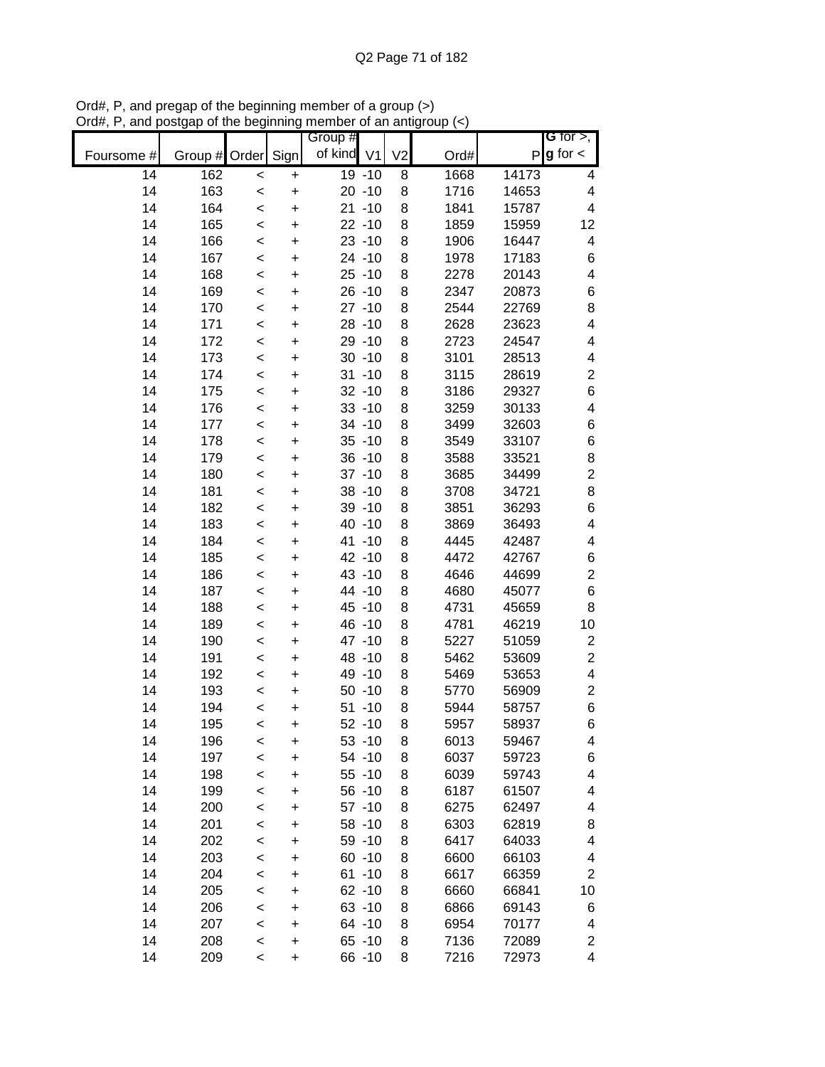|            |                    |         |           | Group #    |                |      |              | G for $>$ ,             |
|------------|--------------------|---------|-----------|------------|----------------|------|--------------|-------------------------|
| Foursome # | Group # Order Sign |         |           | of kind V1 | V <sub>2</sub> | Ord# | $\mathsf{P}$ | $g$ for $\lt$           |
| 14         | 162                | $\prec$ | +         | 19 -10     | 8              | 1668 | 14173        | 4                       |
| 14         | 163                | $\prec$ | $\ddot{}$ | $20 - 10$  | 8              | 1716 | 14653        | 4                       |
| 14         | 164                | $\,<$   | $\ddot{}$ | $21 - 10$  | 8              | 1841 | 15787        | $\overline{\mathbf{4}}$ |
| 14         | 165                | $\prec$ | $\ddot{}$ | $22 - 10$  | 8              | 1859 | 15959        | 12                      |
| 14         | 166                | $\prec$ | +         | $23 - 10$  | 8              | 1906 | 16447        | 4                       |
| 14         | 167                | $\prec$ | +         | 24 - 10    | 8              | 1978 | 17183        | $\,$ 6 $\,$             |
| 14         | 168                | $\prec$ | +         | $25 - 10$  | 8              | 2278 | 20143        | $\overline{\mathbf{4}}$ |
| 14         | 169                | $\,<$   | +         | $26 - 10$  | 8              | 2347 | 20873        | $\,$ 6 $\,$             |
| 14         | 170                | $\,<$   | +         | $27 - 10$  | 8              | 2544 | 22769        | $\bf8$                  |
| 14         | 171                | $\,<$   | $\ddot{}$ | $28 - 10$  | 8              | 2628 | 23623        | 4                       |
| 14         | 172                | $\,<$   | $\ddot{}$ | $29 - 10$  | 8              | 2723 | 24547        | 4                       |
| 14         | 173                | $\,<$   | $\ddot{}$ | $30 - 10$  | 8              | 3101 | 28513        | 4                       |
| 14         | 174                | $\prec$ | $\ddot{}$ | $31 - 10$  | 8              | 3115 | 28619        | $\boldsymbol{2}$        |
| 14         | 175                | $\prec$ | $\ddot{}$ | $32 - 10$  | 8              | 3186 | 29327        | $\,$ 6 $\,$             |
| 14         | 176                | $\,<$   | $\ddot{}$ | $33 - 10$  | 8              | 3259 | 30133        | 4                       |
| 14         | 177                | $\,<$   | $\ddot{}$ | 34 - 10    | 8              | 3499 | 32603        | $\,$ 6 $\,$             |
| 14         | 178                | $\,<$   | $\ddot{}$ | $35 - 10$  | 8              | 3549 | 33107        | $\,6$                   |
| 14         | 179                | $\prec$ | $\ddot{}$ | $36 - 10$  | 8              | 3588 | 33521        | $\bf8$                  |
| 14         | 180                | $\prec$ | $\ddot{}$ | $37 - 10$  | 8              | 3685 | 34499        | $\overline{2}$          |
| 14         | 181                | $\prec$ | $\ddot{}$ | $38 - 10$  | 8              | 3708 | 34721        | 8                       |
| 14         | 182                | $\prec$ | $\ddot{}$ | 39 - 10    | 8              | 3851 | 36293        | $\,6$                   |
| 14         | 183                | $\prec$ | +         | 40 -10     | 8              | 3869 | 36493        | $\overline{\mathbf{4}}$ |
| 14         | 184                | $\prec$ | +         | 41 -10     | 8              | 4445 | 42487        | 4                       |
| 14         | 185                | $\prec$ | +         | 42 -10     | 8              | 4472 | 42767        | $\,6$                   |
| 14         | 186                | $\,<$   | +         | 43 -10     | 8              | 4646 | 44699        | $\overline{\mathbf{c}}$ |
| 14         | 187                | $\,<$   | +         | 44 -10     | 8              | 4680 | 45077        | $\,$ 6 $\,$             |
| 14         | 188                | $\,<$   | $\ddot{}$ | 45 - 10    | 8              | 4731 | 45659        | 8                       |
| 14         | 189                | $\,<$   | $\ddot{}$ | 46 - 10    | 8              | 4781 | 46219        | 10                      |
| 14         | 190                | $\,<$   | $\ddot{}$ | 47 -10     | 8              | 5227 | 51059        | $\overline{c}$          |
| 14         | 191                | $\prec$ | $\ddot{}$ | 48 - 10    | 8              | 5462 | 53609        | $\overline{\mathbf{c}}$ |
| 14         | 192                | $\prec$ | $\ddot{}$ | 49 - 10    | 8              | 5469 | 53653        | 4                       |
| 14         | 193                | $\,<$   | $\ddot{}$ | $50 - 10$  | 8              | 5770 | 56909        | $\boldsymbol{2}$        |
| 14         | 194                | $\prec$ | $\ddot{}$ | $51 - 10$  | 8              | 5944 | 58757        | $\,6$                   |
| 14         | 195                | $\,<$   | +         | $52 - 10$  | 8              | 5957 | 58937        | 6                       |
| 14         | 196                | $\prec$ | +         | $53 - 10$  | 8              | 6013 | 59467        | 4                       |
| 14         | 197                | $\prec$ | +         | $54 - 10$  | 8              | 6037 | 59723        | 6                       |
| 14         | 198                | $\prec$ | +         | $55 - 10$  | 8              | 6039 | 59743        | 4                       |
| 14         | 199                | $\prec$ | +         | $56 - 10$  | 8              | 6187 | 61507        | 4                       |
| 14         | 200                | $\prec$ | +         | $57 - 10$  | 8              | 6275 | 62497        | 4                       |
| 14         | 201                | $\prec$ | +         | $58 - 10$  | 8              | 6303 | 62819        | 8                       |
| 14         | 202                | $\,<$   | +         | 59 - 10    | 8              | 6417 | 64033        | 4                       |
| 14         | 203                | $\,<$   | +         | $60 - 10$  | 8              | 6600 | 66103        | 4                       |
| 14         | 204                | $\prec$ | +         | $61 - 10$  | 8              | 6617 | 66359        | $\mathbf{2}$            |
| 14         | 205                | $\prec$ | +         | $62 - 10$  | 8              | 6660 | 66841        | 10                      |
| 14         | 206                | $\prec$ | +         | $63 - 10$  | 8              | 6866 | 69143        | 6                       |
| 14         | 207                | $\prec$ | $\ddot{}$ | 64 - 10    | 8              | 6954 | 70177        | 4                       |
| 14         | 208                | $\prec$ | +         | $65 - 10$  | 8              | 7136 | 72089        | $\overline{\mathbf{c}}$ |
| 14         | 209                | $\,<$   | +         | 66 -10     | 8              | 7216 | 72973        | 4                       |

Ord#, P, and pregap of the beginning member of a group (>) Ord#, P, and postgap of the beginning member of an antigroup (<)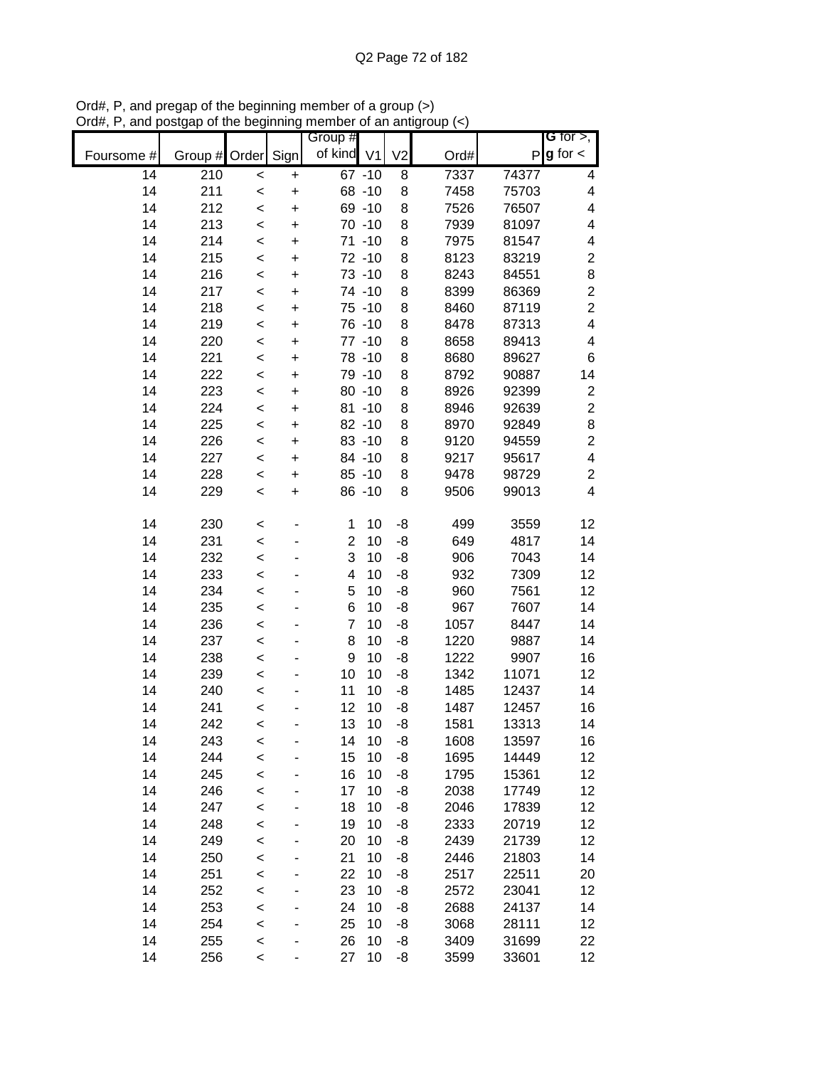|            |         |         |           | Group #              |                |      |       | G for $>$ ,              |
|------------|---------|---------|-----------|----------------------|----------------|------|-------|--------------------------|
| Foursome # | Group # | Order   | Sign      | of kind V1           | V <sub>2</sub> | Ord# | Ρ     | $g$ for $\lt$            |
| 14         | 210     | $\prec$ | $\ddot{}$ | $67 - 10$            | 8              | 7337 | 74377 | 4                        |
| 14         | 211     | $\prec$ | $\ddot{}$ | 68 - 10              | 8              | 7458 | 75703 | 4                        |
| 14         | 212     | $\prec$ | $\ddot{}$ | 69 - 10              | 8              | 7526 | 76507 | $\overline{\mathcal{A}}$ |
| 14         | 213     | $\prec$ | +         | $70 - 10$            | 8              | 7939 | 81097 | $\overline{\mathcal{A}}$ |
| 14         | 214     | $\prec$ | +         | 71 -10               | 8              | 7975 | 81547 | 4                        |
| 14         | 215     | $\prec$ | +         | 72 -10               | 8              | 8123 | 83219 | $\boldsymbol{2}$         |
| 14         | 216     | $\,<$   | +         | 73 -10               | 8              | 8243 | 84551 | 8                        |
| 14         | 217     | $\prec$ | +         | 74 -10               | 8              | 8399 | 86369 | $\overline{c}$           |
| 14         | 218     | $\,<$   | $\ddot{}$ | 75 -10               | 8              | 8460 | 87119 | $\overline{2}$           |
| 14         | 219     | $\prec$ | $\ddot{}$ | 76 -10               | 8              | 8478 | 87313 | 4                        |
| 14         | 220     | $\prec$ | $\ddot{}$ | 77 -10               | 8              | 8658 | 89413 | $\overline{\mathbf{4}}$  |
| 14         | 221     | $\prec$ | $\ddot{}$ | 78 -10               | 8              | 8680 | 89627 | 6                        |
| 14         | 222     | $\prec$ | $\ddot{}$ | 79 -10               | 8              | 8792 | 90887 | 14                       |
| 14         | 223     | $\prec$ | $\ddot{}$ | $80 - 10$            | 8              | 8926 | 92399 | $\boldsymbol{2}$         |
| 14         | 224     | $\prec$ | $\ddot{}$ | $81 - 10$            | 8              | 8946 | 92639 | $\overline{c}$           |
| 14         | 225     | $\prec$ | $\ddot{}$ | $82 - 10$            | 8              | 8970 | 92849 | 8                        |
| 14         | 226     | $\prec$ | $\ddot{}$ | 83 -10               | 8              | 9120 | 94559 | $\overline{c}$           |
| 14         | 227     | $\prec$ | $\ddot{}$ | 84 - 10              | 8              | 9217 | 95617 | $\overline{\mathbf{4}}$  |
| 14         | 228     | $\prec$ | $\ddot{}$ | $85 - 10$            | 8              | 9478 | 98729 | $\overline{c}$           |
| 14         | 229     | $\prec$ | $\ddot{}$ | 86 - 10              | 8              | 9506 | 99013 | $\overline{\mathbf{4}}$  |
| 14         | 230     | $\,<$   |           | 1<br>10              | -8             | 499  | 3559  | 12                       |
| 14         | 231     | $\prec$ |           | $\overline{2}$<br>10 | -8             | 649  | 4817  | 14                       |
| 14         | 232     | $\,<$   |           | 3<br>10              | -8             | 906  | 7043  | 14                       |
| 14         | 233     | $\,<$   |           | 10<br>4              | -8             | 932  | 7309  | 12                       |
| 14         | 234     | $\prec$ |           | 5<br>10              | -8             | 960  | 7561  | 12                       |
| 14         | 235     | $\prec$ |           | 6<br>10              | -8             | 967  | 7607  | 14                       |
| 14         | 236     | $\prec$ |           | $\overline{7}$<br>10 | -8             | 1057 | 8447  | 14                       |
| 14         | 237     | $\prec$ |           | 8<br>10              | -8             | 1220 | 9887  | 14                       |
| 14         | 238     | $\prec$ |           | 9<br>10              | -8             | 1222 | 9907  | 16                       |
| 14         | 239     | $\prec$ |           | 10<br>10             | -8             | 1342 | 11071 | 12                       |
| 14         | 240     | $\prec$ |           | 11<br>10             | -8             | 1485 | 12437 | 14                       |
| 14         | 241     | $\prec$ |           | 12<br>10             | -8             | 1487 | 12457 | 16                       |
| 14         | 242     | $\,<$   |           | 13<br>10             | -8             | 1581 | 13313 | 14                       |
| 14         | 243     | $\prec$ |           | 14<br>10             | -8             | 1608 | 13597 | 16                       |
| 14         | 244     | $\prec$ |           | 15<br>10             | -8             | 1695 | 14449 | 12                       |
| 14         | 245     | $\prec$ |           | 16<br>10             | -8             | 1795 | 15361 | 12                       |
| 14         | 246     | $\prec$ |           | 17<br>10             | -8             | 2038 | 17749 | 12                       |
| 14         | 247     | $\prec$ |           | 18<br>10             | -8             | 2046 | 17839 | 12                       |
| 14         | 248     | $\prec$ |           | 10<br>19             | -8             | 2333 | 20719 | 12                       |
| 14         | 249     | $\prec$ |           | 10<br>20             | -8             | 2439 | 21739 | 12                       |
| 14         | 250     | $\prec$ |           | 10<br>21             | -8             | 2446 | 21803 | 14                       |
| 14         | 251     | $\prec$ |           | 22<br>10             | -8             | 2517 | 22511 | 20                       |
| 14         | 252     | $\prec$ |           | 23<br>10             | -8             | 2572 | 23041 | 12                       |
| 14         | 253     | $\prec$ |           | 24<br>10             | -8             | 2688 | 24137 | 14                       |
| 14         | 254     | $\prec$ |           | 25<br>10             | -8             | 3068 | 28111 | 12                       |
| 14         | 255     | $\prec$ |           | 10<br>26             | -8             | 3409 | 31699 | 22                       |
| 14         | 256     | $\,<$   |           | 27<br>10             | -8             | 3599 | 33601 | 12                       |

Ord#, P, and pregap of the beginning member of a group (>) Ord#, P, and postgap of the beginning member of an antigroup (<)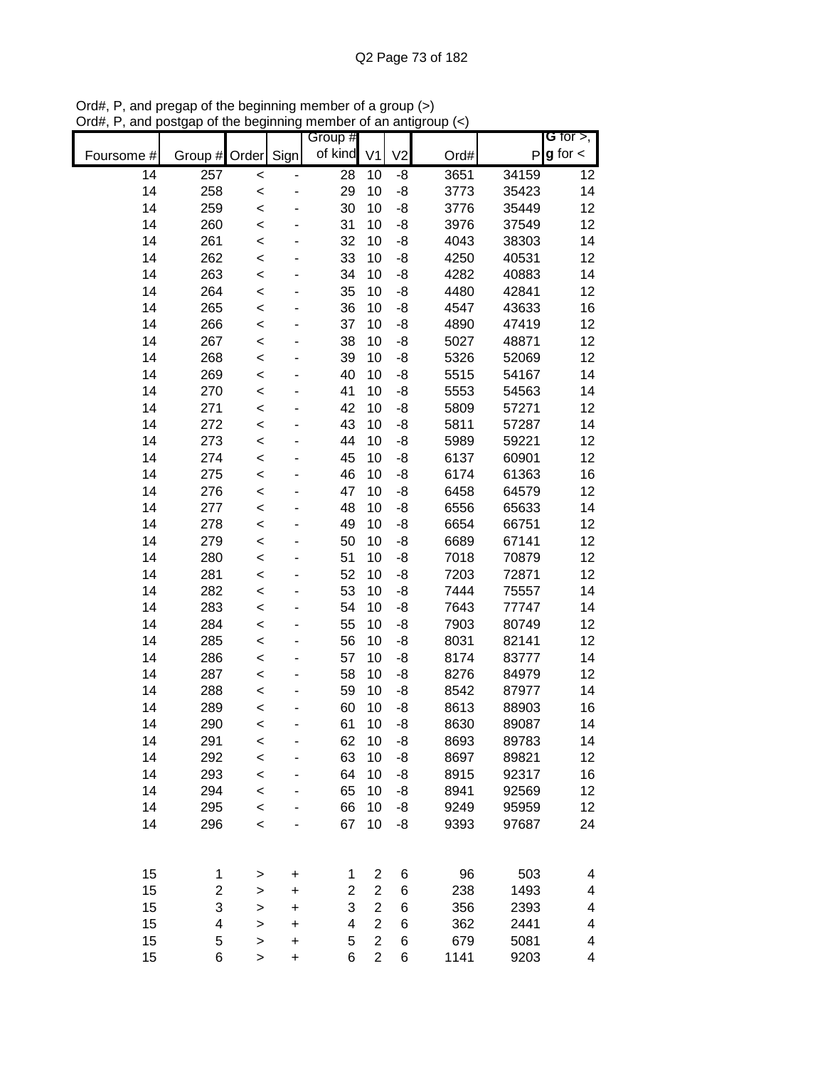|            |         |              |             | Group #         |                         |                |      |       | G for $>$ ,   |
|------------|---------|--------------|-------------|-----------------|-------------------------|----------------|------|-------|---------------|
| Foursome # | Group # | Order        | Sign        | of kind         | V <sub>1</sub>          | V <sub>2</sub> | Ord# | P     | $g$ for $\lt$ |
| 14         | 257     | $\prec$      |             | $\overline{28}$ | 10                      | -8             | 3651 | 34159 | 12            |
| 14         | 258     | $\prec$      |             | 29              | 10                      | -8             | 3773 | 35423 | 14            |
| 14         | 259     | $\prec$      |             | 30              | 10                      | -8             | 3776 | 35449 | 12            |
| 14         | 260     | $\prec$      |             | 31              | 10                      | -8             | 3976 | 37549 | 12            |
| 14         | 261     | $\prec$      |             | 32              | 10                      | -8             | 4043 | 38303 | 14            |
| 14         | 262     | $\prec$      |             | 33              | 10                      | -8             | 4250 | 40531 | 12            |
| 14         | 263     | $\prec$      |             | 34              | 10                      | -8             | 4282 | 40883 | 14            |
| 14         | 264     | $\prec$      |             | 35              | 10                      | -8             | 4480 | 42841 | 12            |
| 14         | 265     | $\prec$      |             | 36              | 10                      | -8             | 4547 | 43633 | 16            |
| 14         | 266     | $\prec$      |             | 37              | 10                      | -8             | 4890 | 47419 | 12            |
| 14         | 267     | $\prec$      |             | 38              | 10                      | -8             | 5027 | 48871 | 12            |
| 14         | 268     | $\prec$      |             | 39              | 10                      | -8             | 5326 | 52069 | 12            |
| 14         | 269     | $\prec$      |             | 40              | 10                      | -8             | 5515 | 54167 | 14            |
| 14         | 270     | $\prec$      |             | 41              | 10                      | -8             | 5553 | 54563 | 14            |
| 14         | 271     | $\prec$      |             | 42              | 10                      | -8             | 5809 | 57271 | 12            |
| 14         | 272     | $\prec$      |             | 43              | 10                      | -8             | 5811 | 57287 | 14            |
| 14         | 273     | $\prec$      |             | 44              | 10                      | -8             | 5989 | 59221 | 12            |
| 14         | 274     | $\prec$      |             | 45              | 10                      | -8             | 6137 | 60901 | 12            |
| 14         | 275     | $\prec$      |             | 46              | 10                      | -8             | 6174 | 61363 | 16            |
| 14         | 276     | $\prec$      |             | 47              | 10                      | -8             | 6458 | 64579 | 12            |
| 14         | 277     | $\prec$      |             | 48              | 10                      | -8             | 6556 | 65633 | 14            |
| 14         | 278     | $\prec$      |             | 49              | 10                      | -8             | 6654 | 66751 | 12            |
| 14         | 279     | $\prec$      |             | 50              | 10                      | -8             | 6689 | 67141 | 12            |
| 14         | 280     | $\prec$      |             | 51              | 10                      | -8             | 7018 | 70879 | 12            |
| 14         | 281     | $\prec$      |             | 52              | 10                      | -8             | 7203 | 72871 | 12            |
| 14         | 282     | $\prec$      |             | 53              | 10                      | -8             | 7444 | 75557 | 14            |
| 14         | 283     | $\prec$      |             | 54              | 10                      | -8             | 7643 | 77747 | 14            |
| 14         | 284     | $\prec$      |             | 55              | 10                      | -8             | 7903 | 80749 | 12            |
| 14         | 285     | $\prec$      |             | 56              | 10                      | -8             | 8031 | 82141 | 12            |
| 14         | 286     | $\prec$      |             | 57              | 10                      | -8             | 8174 | 83777 | 14            |
| 14         | 287     | $\prec$      |             | 58              | 10                      | -8             | 8276 | 84979 | 12            |
| 14         | 288     | $\prec$      |             | 59              | 10                      | -8             | 8542 | 87977 | 14            |
| 14         | 289     | $\prec$      |             | 60              | 10                      | -8             | 8613 | 88903 | 16            |
| 14         | 290     | $\prec$      |             | 61              | 10                      | -8             | 8630 | 89087 | 14            |
| 14         | 291     | $\prec$      |             | 62              | 10                      | -8             | 8693 | 89783 | 14            |
| 14         | 292     | $\prec$      |             | 63              | 10                      | -8             | 8697 | 89821 | 12            |
| 14         | 293     | $\prec$      |             | 64              | 10                      | -8             | 8915 | 92317 | 16            |
| 14         | 294     | $\prec$      |             | 65              | 10                      | -8             | 8941 | 92569 | 12            |
| 14         | 295     | $\prec$      |             | 66              | 10                      | -8             | 9249 | 95959 | 12            |
| 14         | 296     | $\prec$      |             | 67              | 10                      | -8             | 9393 | 97687 | 24            |
|            |         |              |             |                 |                         |                |      |       |               |
| 15         | 1       | $\,>$        | $\mathbf +$ | 1               | $\overline{\mathbf{c}}$ | 6              | 96   | 503   | 4             |
| 15         | 2       | $\geq$       | +           | $\overline{2}$  | $\mathbf{2}$            | 6              | 238  | 1493  | 4             |
| 15         | 3       | >            | +           | 3               | $\mathbf{2}$            | 6              | 356  | 2393  | 4             |
| 15         | 4       | >            | $\ddot{}$   | 4               | $\overline{2}$          | 6              | 362  | 2441  | 4             |
| 15         | 5       | $\geq$       | +           | 5               | $\overline{2}$          | 6              | 679  | 5081  | 4             |
| 15         | 6       | $\mathbf{I}$ | $\ddot{}$   | 6               | $\overline{2}$          | 6              | 1141 | 9203  | 4             |

Ord#, P, and pregap of the beginning member of a group (>) Ord#, P, and postgap of the beginning member of an antigroup (<)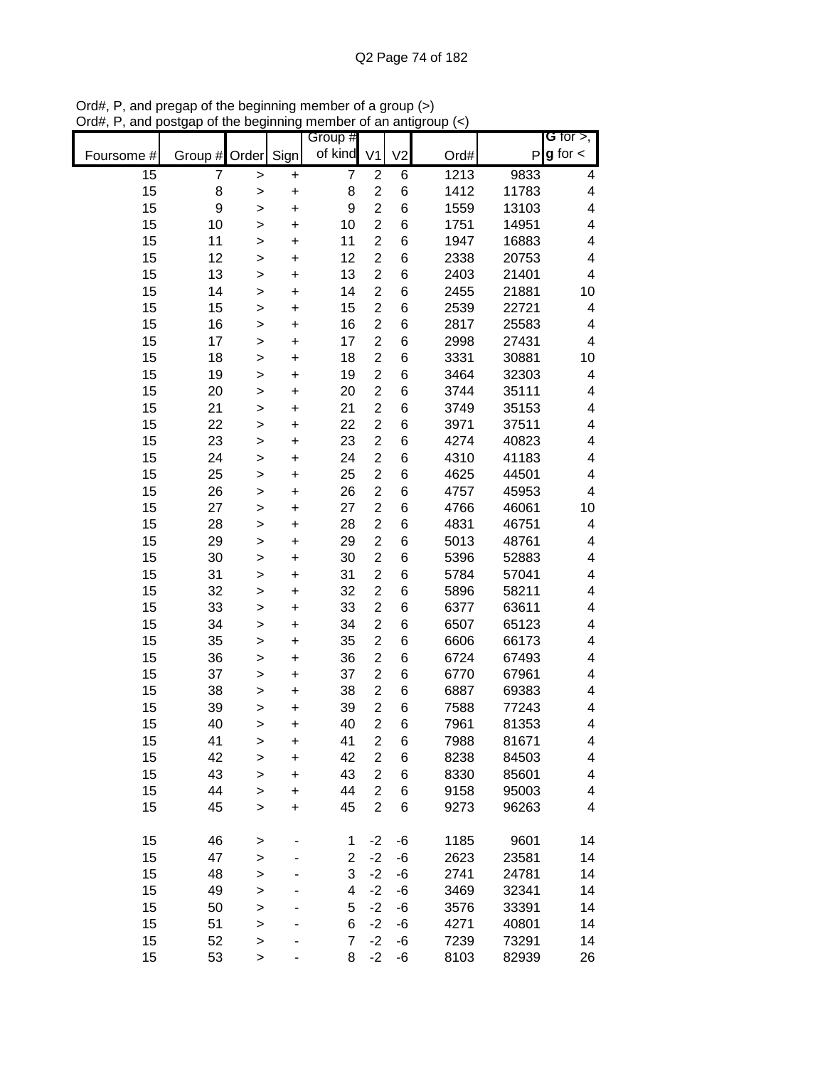|            |                |              |           | Group #        |                |                |      |       | G for $>$ ,             |
|------------|----------------|--------------|-----------|----------------|----------------|----------------|------|-------|-------------------------|
| Foursome # | Group # Order  |              | Sign      | of kind        | V <sub>1</sub> | V <sub>2</sub> | Ord# |       | $P g$ for $\lt$         |
| 15         | $\overline{7}$ | >            | $\pmb{+}$ | $\overline{7}$ | $\overline{c}$ | 6              | 1213 | 9833  | 4                       |
| 15         | 8              | >            | $\ddot{}$ | 8              | $\overline{2}$ | 6              | 1412 | 11783 | 4                       |
| 15         | 9              | >            | $\ddot{}$ | 9              | $\overline{2}$ | 6              | 1559 | 13103 | $\overline{\mathbf{4}}$ |
| 15         | 10             | $\mathbf{I}$ | $\ddot{}$ | 10             | $\overline{2}$ | 6              | 1751 | 14951 | 4                       |
| 15         | 11             | $\mathbf{I}$ | $\ddot{}$ | 11             | $\overline{2}$ | 6              | 1947 | 16883 | $\overline{\mathbf{4}}$ |
| 15         | 12             | $\geq$       | $\ddot{}$ | 12             | $\overline{2}$ | 6              | 2338 | 20753 | 4                       |
| 15         | 13             | >            | +         | 13             | $\overline{2}$ | 6              | 2403 | 21401 | $\overline{\mathbf{4}}$ |
| 15         | 14             | >            | +         | 14             | $\overline{2}$ | 6              | 2455 | 21881 | 10                      |
| 15         | 15             | >            | +         | 15             | $\overline{2}$ | 6              | 2539 | 22721 | 4                       |
| 15         | 16             | >            | +         | 16             | $\overline{2}$ | 6              | 2817 | 25583 | 4                       |
| 15         | 17             | >            | +         | 17             | $\overline{2}$ | 6              | 2998 | 27431 | 4                       |
| 15         | 18             | $\mathbf{I}$ | $\ddot{}$ | 18             | $\overline{2}$ | 6              | 3331 | 30881 | 10                      |
| 15         | 19             | $\mathbf{I}$ | $\ddot{}$ | 19             | $\overline{2}$ | 6              | 3464 | 32303 | 4                       |
| 15         | 20             | $\geq$       | $\ddot{}$ | 20             | $\overline{2}$ | 6              | 3744 | 35111 | 4                       |
| 15         | 21             | >            | +         | 21             | $\overline{2}$ | 6              | 3749 | 35153 | $\overline{\mathbf{4}}$ |
| 15         | 22             | $\geq$       | $\ddot{}$ | 22             | $\overline{2}$ | 6              | 3971 | 37511 | 4                       |
| 15         | 23             | >            | $\ddot{}$ | 23             | $\overline{2}$ | 6              | 4274 | 40823 | 4                       |
| 15         | 24             | >            | $\ddot{}$ | 24             | $\overline{2}$ | 6              | 4310 | 41183 | 4                       |
| 15         | 25             | >            | $\ddot{}$ | 25             | $\overline{2}$ | 6              | 4625 | 44501 | $\overline{\mathbf{4}}$ |
| 15         | 26             | >            | $\ddot{}$ | 26             | $\overline{2}$ | 6              | 4757 | 45953 | 4                       |
| 15         | 27             | >            | $\ddot{}$ | 27             | $\overline{2}$ | 6              | 4766 | 46061 | 10                      |
| 15         | 28             | >            | $\ddot{}$ | 28             | $\overline{2}$ | 6              | 4831 | 46751 | 4                       |
| 15         | 29             | $\geq$       | $\ddot{}$ | 29             | $\overline{2}$ | 6              | 5013 | 48761 | 4                       |
| 15         | 30             | >            | +         | 30             | $\overline{2}$ | 6              | 5396 | 52883 | $\overline{\mathbf{4}}$ |
| 15         | 31             | >            | +         | 31             | $\overline{2}$ | 6              | 5784 | 57041 | 4                       |
| 15         | 32             | >            | +         | 32             | $\overline{c}$ | 6              | 5896 | 58211 | 4                       |
| 15         | 33             | >            | +         | 33             | $\overline{2}$ | 6              | 6377 | 63611 | 4                       |
| 15         | 34             | >            | +         | 34             | $\overline{2}$ | 6              | 6507 | 65123 | 4                       |
| 15         | 35             | $\mathbf{I}$ | +         | 35             | $\overline{2}$ | 6              | 6606 | 66173 | 4                       |
| 15         | 36             | >            | +         | 36             | $\overline{2}$ | 6              | 6724 | 67493 | 4                       |
| 15         | 37             | $\geq$       | +         | 37             | $\overline{2}$ | 6              | 6770 | 67961 | 4                       |
| 15         | 38             | $\geq$       | +         | 38             | $\overline{2}$ | 6              | 6887 | 69383 | 4                       |
| 15         | 39             | >            | +         | 39             | $\overline{2}$ | 6              | 7588 | 77243 | 4                       |
| 15         | 40             | >            | $\ddot{}$ | 40             | $\overline{2}$ | 6              | 7961 | 81353 | 4                       |
| 15         | 41             | >            | +         | 41             | $\overline{2}$ | 6              | 7988 | 81671 | 4                       |
| 15         | 42             | >            | $\ddot{}$ | 42             | $\overline{2}$ | 6              | 8238 | 84503 | 4                       |
| 15         | 43             | $\geq$       | $\ddot{}$ | 43             | $\overline{2}$ | 6              | 8330 | 85601 | 4                       |
| 15         | 44             | $\mathbf{I}$ | $\ddot{}$ | 44             | $\overline{2}$ | 6              | 9158 | 95003 | 4                       |
| 15         | 45             | $\geq$       | $\ddot{}$ | 45             | $\overline{2}$ | 6              | 9273 | 96263 | 4                       |
|            |                |              |           |                |                |                |      |       |                         |
| 15         | 46             | >            |           | 1              | $-2$           | -6             | 1185 | 9601  | 14                      |
| 15         | 47             | >            |           | $\overline{c}$ | $-2$           | -6             | 2623 | 23581 | 14                      |
| 15         | 48             | $\geq$       |           | 3              | $-2$           | -6             | 2741 | 24781 | 14                      |
| 15         | 49             | $\geq$       |           | 4              | $-2$           | -6             | 3469 | 32341 | 14                      |
| 15         | 50             | $\geq$       |           | 5              | $-2$           | -6             | 3576 | 33391 | 14                      |
| 15         | 51             | $\mathbf{I}$ |           | 6              | $-2$           | -6             | 4271 | 40801 | 14                      |
| 15         | 52             | >            |           | $\overline{7}$ | $-2$           | -6             | 7239 | 73291 | 14                      |
| 15         | 53             | $\,$         |           | 8              | $-2$           | -6             | 8103 | 82939 | 26                      |

Ord#, P, and pregap of the beginning member of a group (>) Ord#, P, and postgap of the beginning member of an antigroup (<)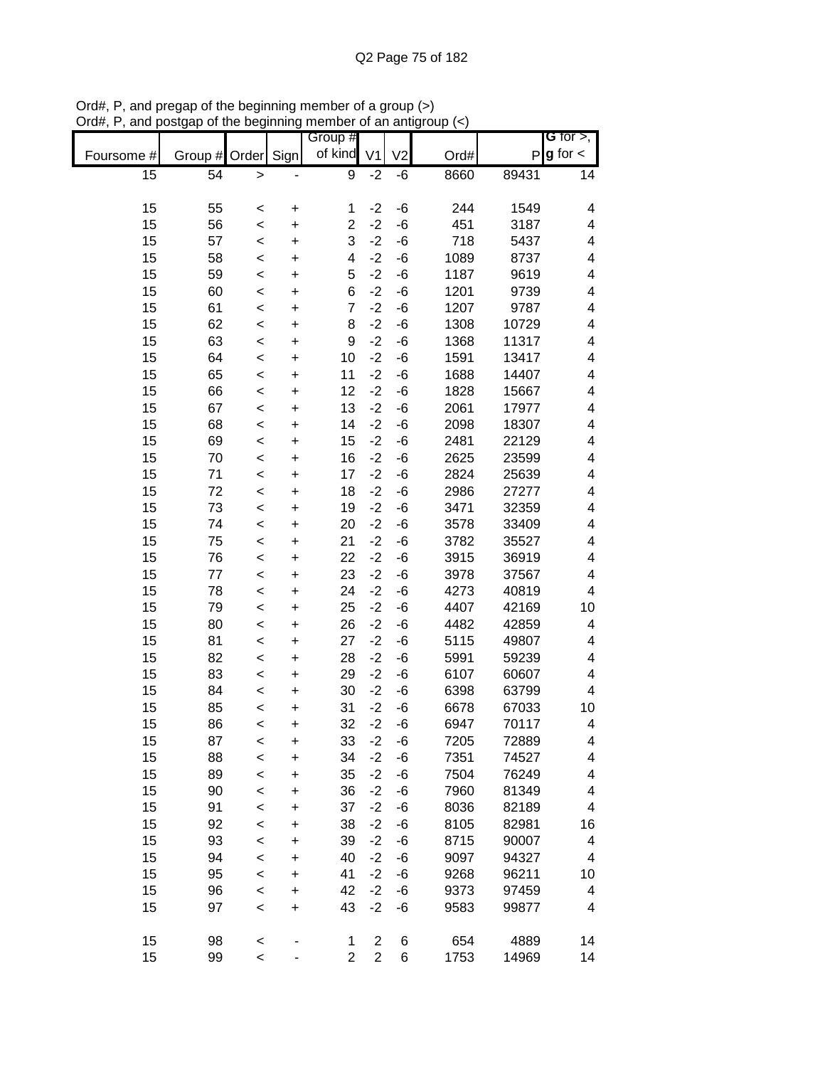|                 |         |                    |                        | Group #        |                |                |      |              | <b>G</b> for $>$ , |
|-----------------|---------|--------------------|------------------------|----------------|----------------|----------------|------|--------------|--------------------|
| Foursome #      | Group # | Order              | Sign                   | of kind        | V <sub>1</sub> | V <sub>2</sub> | Ord# | $\mathsf{P}$ | $g$ for $\lt$      |
| $\overline{15}$ | 54      |                    |                        |                |                |                |      | 89431        |                    |
|                 |         | $\geq$             |                        | 9              | $-2$           | -6             | 8660 |              | 14                 |
| 15              | 55      |                    |                        | 1              | $-2$           | -6             | 244  | 1549         | 4                  |
| 15              | 56      | $\prec$<br>$\prec$ | $\pmb{+}$<br>$\ddot{}$ | $\overline{2}$ | $-2$           | -6             | 451  | 3187         | 4                  |
| 15              | 57      | $\,<$              | +                      | 3              | $-2$           | $-6$           | 718  | 5437         | 4                  |
| 15              | 58      |                    |                        | 4              | $-2$           | $-6$           | 1089 | 8737         | 4                  |
| 15              | 59      | $\prec$            | $\pmb{+}$              | 5              | $-2$           | $-6$           | 1187 | 9619         | 4                  |
| 15              | 60      | $\prec$            | $\pmb{+}$              | 6              | $-2$           | -6             | 1201 | 9739         | 4                  |
| 15              | 61      | $\prec$            | +                      | $\overline{7}$ | $-2$           | -6             | 1207 | 9787         | 4                  |
|                 |         | $\prec$            | +                      | 8              | $-2$           |                |      |              |                    |
| 15              | 62      | $\prec$            | $\ddot{}$              |                |                | -6             | 1308 | 10729        | 4                  |
| 15              | 63      | $\prec$            | $\ddot{}$              | 9              | $-2$           | -6             | 1368 | 11317        | 4                  |
| 15              | 64      | $\prec$            | $\ddot{}$              | 10             | $-2$           | -6             | 1591 | 13417        | 4                  |
| 15              | 65      | $\prec$            | $\ddot{}$              | 11             | $-2$           | -6             | 1688 | 14407        | 4                  |
| 15              | 66      | $\prec$            | $\ddot{}$              | 12             | $-2$           | -6             | 1828 | 15667        | 4                  |
| 15              | 67      | $\prec$            | $\ddot{}$              | 13             | $-2$           | -6             | 2061 | 17977        | 4                  |
| 15              | 68      | $\,<$              | $\ddot{}$              | 14             | $-2$           | $-6$           | 2098 | 18307        | 4                  |
| 15              | 69      | $\prec$            | $\ddot{}$              | 15             | $-2$           | $-6$           | 2481 | 22129        | 4                  |
| 15              | 70      | $\prec$            | $\ddot{}$              | 16             | $-2$           | -6             | 2625 | 23599        | 4                  |
| 15              | 71      | $\prec$            | $\ddot{}$              | 17             | $-2$           | -6             | 2824 | 25639        | 4                  |
| 15              | 72      | $\prec$            | $\ddot{}$              | 18             | $-2$           | -6             | 2986 | 27277        | 4                  |
| 15              | 73      | $\,<$              | $\ddot{}$              | 19             | $-2$           | -6             | 3471 | 32359        | 4                  |
| 15              | 74      | $\prec$            | $\ddot{}$              | 20             | $-2$           | $-6$           | 3578 | 33409        | 4                  |
| 15              | 75      | $\prec$            | $\ddot{}$              | 21             | $-2$           | -6             | 3782 | 35527        | 4                  |
| 15              | 76      | $\prec$            | $\pmb{+}$              | 22             | $-2$           | -6             | 3915 | 36919        | 4                  |
| 15              | 77      | <                  | $\ddot{}$              | 23             | $-2$           | -6             | 3978 | 37567        | 4                  |
| 15              | 78      | $\prec$            | +                      | 24             | $-2$           | -6             | 4273 | 40819        | 4                  |
| 15              | 79      | $\prec$            | $\ddot{}$              | 25             | $-2$           | -6             | 4407 | 42169        | 10                 |
| 15              | 80      | $\prec$            | $\ddot{}$              | 26             | $-2$           | -6             | 4482 | 42859        | 4                  |
| 15              | 81      | $\,<$              | $\ddot{}$              | 27             | $-2$           | -6             | 5115 | 49807        | 4                  |
| 15              | 82      | $\prec$            | $\ddot{}$              | 28             | $-2$           | $-6$           | 5991 | 59239        | 4                  |
| 15              | 83      | $\prec$            | $\ddot{}$              | 29             | $-2$           | -6             | 6107 | 60607        | 4                  |
| 15              | 84      | $\prec$            | $\ddot{}$              | 30             | $-2$           | -6             | 6398 | 63799        | 4                  |
| 15              | 85      | $\prec$            | $\ddot{}$              | 31             | $-2$           | -6             | 6678 | 67033        | $10$               |
| 15              | 86      | <                  | $\ddot{}$              | 32             | $-2$           | $-6$           | 6947 | 70117        | 4                  |
| 15              | 87      | <                  | $\ddot{}$              | 33             | $-2$           | -6             | 7205 | 72889        | 4                  |
| 15              | 88      | $\prec$            | $\ddot{}$              | 34             | $-2$           | -6             | 7351 | 74527        | 4                  |
| 15              | 89      | $\prec$            | $\ddot{}$              | 35             | $-2$           | -6             | 7504 | 76249        | 4                  |
| 15              | 90      | $\prec$            | $\ddot{}$              | 36             | $-2$           | $-6$           | 7960 | 81349        | 4                  |
| 15              | 91      | $\prec$            | $\ddot{}$              | 37             | $-2$           | -6             | 8036 | 82189        | 4                  |
| 15              | 92      | $\prec$            | +                      | 38             | $-2$           | -6             | 8105 | 82981        | 16                 |
| 15              | 93      | $\prec$            | +                      | 39             | $-2$           | -6             | 8715 | 90007        | 4                  |
| 15              | 94      | $\prec$            | +                      | 40             | $-2$           | -6             | 9097 | 94327        | 4                  |
| 15              | 95      | $\prec$            | $\ddot{}$              | 41             | $-2$           | -6             | 9268 | 96211        | 10                 |
| 15              | 96      | $\prec$            | $\ddot{}$              | 42             | $-2$           | -6             | 9373 | 97459        | 4                  |
| 15              | 97      | $\,<$              | $\ddot{}$              | 43             | $-2$           | -6             | 9583 | 99877        | 4                  |
|                 |         |                    |                        |                |                |                |      |              |                    |
| 15              | 98      | $\prec$            |                        | 1              | $\mathbf{2}$   | 6              | 654  | 4889         | 14                 |
| 15              | 99      | $\prec$            |                        | $\overline{2}$ | $\overline{2}$ | 6              | 1753 | 14969        | 14                 |

Ord#, P, and pregap of the beginning member of a group (>) Ord#, P, and postgap of the beginning member of an antigroup (<)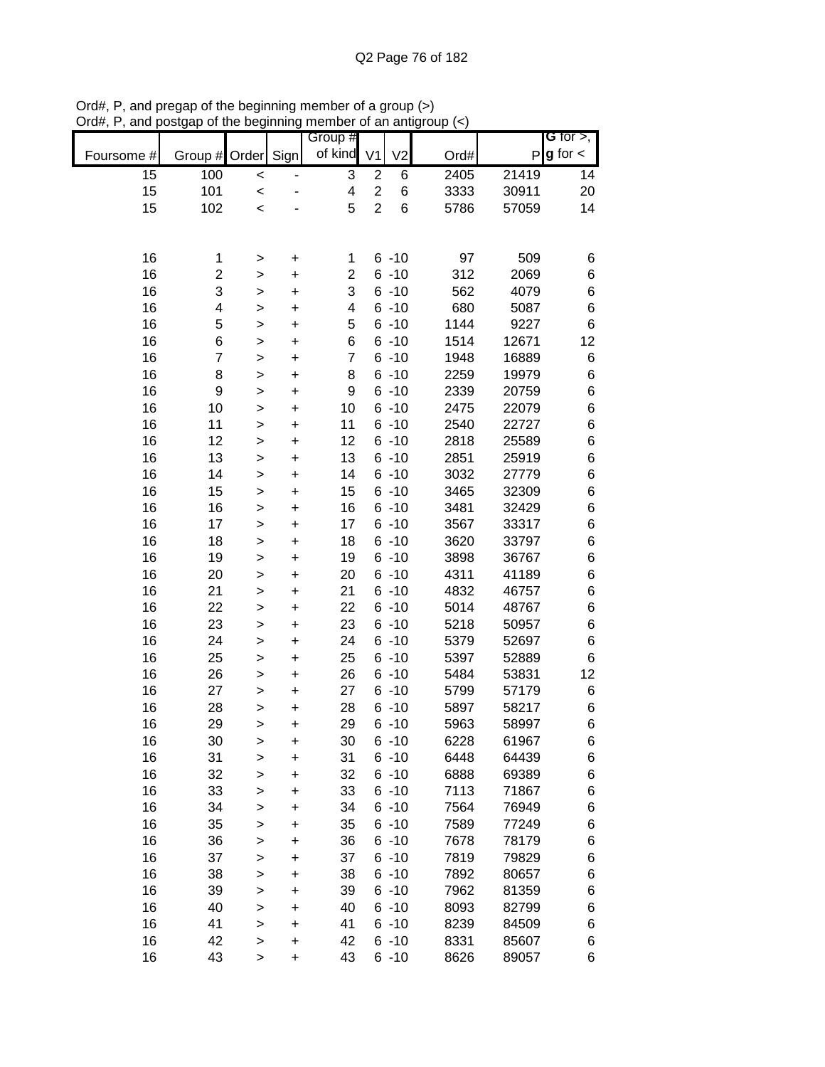|            |                |                |           | Group #                 |                         |                |      |       | <b>G</b> for $>$ , |
|------------|----------------|----------------|-----------|-------------------------|-------------------------|----------------|------|-------|--------------------|
| Foursome # | Group # Order  |                | Sign      | of kind                 | V <sub>1</sub>          | V <sub>2</sub> | Ord# | P     | $g$ for $\lt$      |
| 15         | 100            |                |           | 3                       | $\overline{\mathbf{c}}$ | 6              | 2405 | 21419 | 14                 |
| 15         | 101            | $\,<$<br>$\,<$ |           | $\overline{\mathbf{4}}$ | $\overline{2}$          | 6              | 3333 | 30911 | 20                 |
| 15         | 102            | $\prec$        |           | 5                       | $\overline{2}$          | 6              | 5786 | 57059 | 14                 |
|            |                |                |           |                         |                         |                |      |       |                    |
|            |                |                |           |                         |                         |                |      |       |                    |
| 16         | 1              | >              | +         | 1                       |                         | $6 - 10$       | 97   | 509   | 6                  |
| 16         | 2              | >              | +         | $\overline{2}$          |                         | $6 - 10$       | 312  | 2069  | 6                  |
| 16         | 3              | >              | $\ddot{}$ | 3                       |                         | $6 - 10$       | 562  | 4079  | 6                  |
| 16         | 4              | >              | $\ddot{}$ | $\overline{\mathbf{4}}$ |                         | $6 - 10$       | 680  | 5087  | $\,$ 6 $\,$        |
| 16         | 5              | $\, > \,$      | $\ddot{}$ | 5                       |                         | $6 - 10$       | 1144 | 9227  | $\,6$              |
| 16         | 6              | $\geq$         | $\ddot{}$ | 6                       |                         | $6 - 10$       | 1514 | 12671 | 12                 |
| 16         | $\overline{7}$ | >              | $\ddot{}$ | $\overline{7}$          |                         | $6 - 10$       | 1948 | 16889 | 6                  |
| 16         | 8              | >              | $\ddot{}$ | 8                       |                         | $6 - 10$       | 2259 | 19979 | $\,$ 6 $\,$        |
| 16         | 9              | >              | $\ddot{}$ | 9                       |                         | $6 - 10$       | 2339 | 20759 | $\,$ 6 $\,$        |
| 16         | 10             | >              | $\ddot{}$ | 10                      |                         | $6 - 10$       | 2475 | 22079 | $\,$ 6 $\,$        |
| 16         | 11             | >              | $\ddot{}$ | 11                      |                         | $6 - 10$       | 2540 | 22727 | $\,6$              |
| 16         | 12             | >              | $\ddot{}$ | 12                      |                         | $6 - 10$       | 2818 | 25589 | $\,$ 6 $\,$        |
| 16         | 13             | $\, > \,$      | $\ddot{}$ | 13                      |                         | $6 - 10$       | 2851 | 25919 | $\,$ 6 $\,$        |
| 16         | 14             | $\, > \,$      | $\ddot{}$ | 14                      |                         | $6 - 10$       | 3032 | 27779 | $\,$ 6 $\,$        |
| 16         | 15             | >              | +         | 15                      |                         | $6 - 10$       | 3465 | 32309 | $\,$ 6 $\,$        |
| 16         | 16             | >              | +         | 16                      |                         | $6 - 10$       | 3481 | 32429 | $\,$ 6 $\,$        |
| 16         | 17             | >              | +         | 17                      |                         | $6 - 10$       | 3567 | 33317 | $\,$ 6 $\,$        |
| 16         | 18             | >              | +         | 18                      |                         | $6 - 10$       | 3620 | 33797 | $\,$ 6 $\,$        |
| 16         | 19             | >              | +         | 19                      |                         | $6 - 10$       | 3898 | 36767 | 6                  |
| 16         | 20             | $\mathbf{I}$   | $\ddot{}$ | 20                      |                         | $6 - 10$       | 4311 | 41189 | 6                  |
| 16         | 21             | >              | $\ddot{}$ | 21                      |                         | $6 - 10$       | 4832 | 46757 | $\,$ 6 $\,$        |
| 16         | 22             | $\geq$         | $\ddot{}$ | 22                      |                         | $6 - 10$       | 5014 | 48767 | $\,$ 6 $\,$        |
| 16         | 23             | $\geq$         | $\ddot{}$ | 23                      |                         | $6 - 10$       | 5218 | 50957 | $\,$ 6 $\,$        |
| 16         | 24             | $\geq$         | $\ddot{}$ | 24                      |                         | $6 - 10$       | 5379 | 52697 | 6                  |
| 16         | 25             | >              | $\ddot{}$ | 25                      |                         | $6 - 10$       | 5397 | 52889 | 6                  |
| 16         | 26             | >              | $\ddot{}$ | 26                      |                         | $6 - 10$       | 5484 | 53831 | 12                 |
| 16         | 27             | >              | +         | 27                      |                         | $6 - 10$       | 5799 | 57179 | 6                  |
| 16         | 28             | $\mathbf{I}$   | $\ddot{}$ | 28                      |                         | $6 - 10$       | 5897 | 58217 | 6                  |
| 16         | 29             | $\geq$         | $\ddot{}$ | 29                      |                         | $6 - 10$       | 5963 | 58997 | 6                  |
| 16         | 30             | $\, > \,$      | +         | 30                      |                         | $6 - 10$       | 6228 | 61967 | 6                  |
| 16         | 31             | >              | +         | 31                      |                         | $6 - 10$       | 6448 | 64439 | 6                  |
| 16         | 32             | >              | +         | 32                      |                         | $6 - 10$       | 6888 | 69389 | 6                  |
| 16         | 33             | >              | +         | 33                      |                         | $6 - 10$       | 7113 | 71867 | 6                  |
| 16         | 34             | >              | +         | 34                      |                         | $6 - 10$       | 7564 | 76949 | 6                  |
| 16         | 35             | $\geq$         | +         | 35                      |                         | $6 - 10$       | 7589 | 77249 | 6                  |
| 16         | 36             | $\geq$         | +         | 36                      |                         | $6 - 10$       | 7678 | 78179 | 6                  |
| 16         | 37             | $\geq$         | +         | 37                      |                         | $6 - 10$       | 7819 | 79829 | 6                  |
| 16         | 38             | $\mathbf{I}$   | +         | 38                      |                         | $6 - 10$       | 7892 | 80657 | 6                  |
| 16         | 39             | $\mathbf{I}$   | +         | 39                      |                         | $6 - 10$       | 7962 | 81359 | 6                  |
| 16         | 40             | $\geq$         | +         | 40                      |                         | $6 - 10$       | 8093 | 82799 | 6                  |
| 16         | 41             | $\geq$         | $\ddot{}$ | 41                      |                         | $6 - 10$       | 8239 | 84509 | 6                  |
| 16         | 42             | $\, > \,$      | $\pmb{+}$ | 42                      |                         | $6 - 10$       | 8331 | 85607 | 6                  |
| 16         | 43             | >              | $\ddot{}$ | 43                      |                         | $6 - 10$       | 8626 | 89057 | 6                  |

Ord#, P, and pregap of the beginning member of a group (>) Ord#, P, and postgap of the beginning member of an antigroup (<)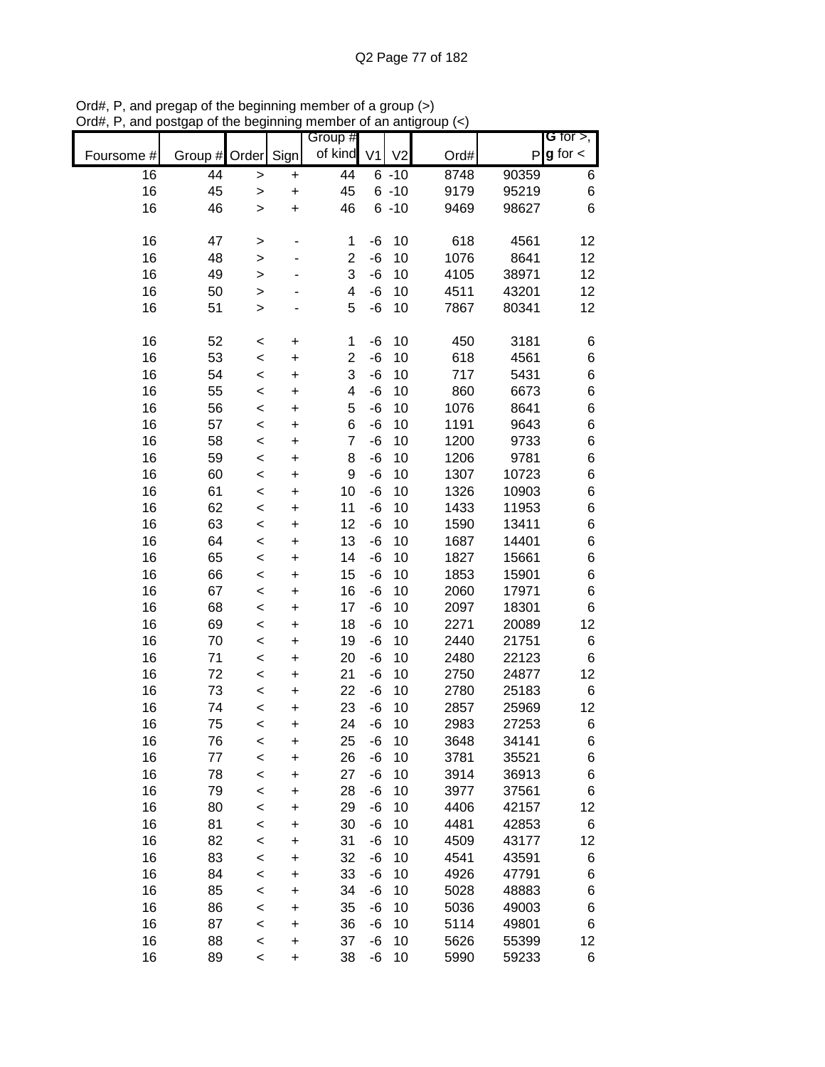|            |         |              |           | Group #                 |                |                |      |                | <b>G</b> for $>$ , |
|------------|---------|--------------|-----------|-------------------------|----------------|----------------|------|----------------|--------------------|
| Foursome # | Group # | Order        | Sign      | of kind                 | V <sub>1</sub> | V <sub>2</sub> | Ord# | P              | $g$ for $\lt$      |
| 16         | 44      | $\geq$       | $\ddot{}$ | 44                      |                | $6 - 10$       | 8748 | 90359          | 6                  |
| 16         | 45      | $\geq$       | $\ddot{}$ | 45                      |                | $6 - 10$       | 9179 | 95219          | 6                  |
| 16         | 46      | $\mathbf{I}$ | $\ddot{}$ | 46                      |                | $6 - 10$       | 9469 | 98627          | 6                  |
| 16         | 47      | $\geq$       |           | 1                       | $-6$           | 10             | 618  | 4561           | 12                 |
| 16         | 48      | >            |           | $\overline{c}$          | $-6$           | 10             | 1076 | 8641           | 12                 |
| 16         | 49      | $\mathbf{I}$ |           | 3                       | -6             | 10             | 4105 | 38971          | 12                 |
| 16         | 50      | $\geq$       |           | 4                       | -6             | 10             | 4511 | 43201          | 12                 |
| 16         | 51      | $\geq$       |           | 5                       | -6             | 10             | 7867 | 80341          | 12                 |
| 16         | 52      | $\,<$        | $\ddot{}$ | 1                       | $-6$           | 10             | 450  | 3181           | 6                  |
| 16         | 53      | $\prec$      | $\ddot{}$ | $\overline{c}$          | $-6$           | 10             | 618  | 4561           | 6                  |
| 16         | 54      | $\prec$      | $\ddot{}$ | 3                       | $-6$           | 10             | 717  | 5431           | 6                  |
| 16         | 55      | $\prec$      | $\ddot{}$ | $\overline{\mathbf{4}}$ | $-6$           | 10             | 860  | 6673           | 6                  |
| 16         | 56      |              | $\ddot{}$ | 5                       | -6             | 10             | 1076 | 8641           | 6                  |
| 16         | 57      | $\,<$        |           | 6                       | $-6$           | 10             | 1191 | 9643           | 6                  |
| 16         | 58      | $\,<$        | $\ddot{}$ | $\overline{7}$          | -6             | 10             | 1200 | 9733           | 6                  |
|            | 59      | $\,<$        | $\ddot{}$ |                         | -6             | 10             |      | 9781           | 6                  |
| 16         |         | $\prec$      | $\ddot{}$ | 8<br>9                  | -6             | 10             | 1206 |                |                    |
| 16         | 60      | $\,<$        | $\ddot{}$ |                         |                |                | 1307 | 10723          | 6                  |
| 16         | 61      | $\prec$      | $\ddot{}$ | 10                      | -6             | 10             | 1326 | 10903<br>11953 | 6                  |
| 16         | 62      | $\prec$      | +         | 11                      | -6             | 10             | 1433 |                | 6                  |
| 16         | 63      | $\prec$      | $\ddot{}$ | 12                      | -6             | 10             | 1590 | 13411          | 6                  |
| 16         | 64      | $\,<$        | $\ddot{}$ | 13                      | -6             | 10             | 1687 | 14401          | 6                  |
| 16         | 65      | $\prec$      | $\ddot{}$ | 14                      | -6             | 10             | 1827 | 15661          | 6                  |
| 16         | 66      | $\prec$      | $\ddot{}$ | 15                      | -6             | 10             | 1853 | 15901          | 6                  |
| 16         | 67      | $\prec$      | $\ddot{}$ | 16                      | -6             | 10             | 2060 | 17971          | 6                  |
| 16         | 68      | $\,<$        | $\ddot{}$ | 17                      | -6             | 10             | 2097 | 18301          | 6                  |
| 16         | 69      | $\,<$        | $\ddot{}$ | 18                      | -6             | 10             | 2271 | 20089          | 12                 |
| 16         | 70      | $\prec$      | $\ddot{}$ | 19                      | $-6$           | 10             | 2440 | 21751          | 6                  |
| 16         | 71      | $\prec$      | $\ddot{}$ | 20                      | $-6$           | 10             | 2480 | 22123          | 6                  |
| 16         | 72      | $\prec$      | $\ddot{}$ | 21                      | $-6$           | 10             | 2750 | 24877          | 12                 |
| 16         | 73      | $\,<$        | $\ddot{}$ | 22                      | -6             | 10             | 2780 | 25183          | 6                  |
| 16         | 74      | $\prec$      | $\ddot{}$ | 23                      | -6             | 10             | 2857 | 25969          | 12                 |
| 16         | 75      | $\,<$        | $\ddot{}$ | 24                      | -6             | 10             | 2983 | 27253          | 6                  |
| 16         | 76      | $\,<$        | +         | 25                      | -6             | 10             | 3648 | 34141          | 6                  |
| 16         | 77      | $\prec$      | +         | 26                      | -6             | 10             | 3781 | 35521          | 6                  |
| 16         | 78      | $\prec$      | +         | 27                      | $-6$           | 10             | 3914 | 36913          | 6                  |
| 16         | 79      | $\prec$      | +         | 28                      | -6             | 10             | 3977 | 37561          | 6                  |
| 16         | 80      | $\prec$      | +         | 29                      | -6             | 10             | 4406 | 42157          | 12                 |
| 16         | 81      | $\prec$      | +         | 30                      | -6             | 10             | 4481 | 42853          | 6                  |
| 16         | 82      | $\,<$        | +         | 31                      | $-6$           | 10             | 4509 | 43177          | 12                 |
| 16         | 83      | $\,<$        | $\ddot{}$ | 32                      | $-6$           | 10             | 4541 | 43591          | 6                  |
| 16         | 84      | $\prec$      | $\ddot{}$ | 33                      | $-6$           | 10             | 4926 | 47791          | 6                  |
| 16         | 85      | $\prec$      | $\ddot{}$ | 34                      | $-6$           | 10             | 5028 | 48883          | 6                  |
| 16         | 86      | $\,<$        | +         | 35                      | $-6$           | 10             | 5036 | 49003          | 6                  |
| 16         | 87      | $\prec$      | +         | 36                      | $-6$           | 10             | 5114 | 49801          | 6                  |
| 16         | 88      | $\,<$        | $\ddot{}$ | 37                      | $-6$           | 10             | 5626 | 55399          | 12                 |
| 16         | 89      | $\,<$        | +         | 38                      | $-6$           | 10             | 5990 | 59233          | 6                  |

Ord#, P, and pregap of the beginning member of a group (>) Ord#, P, and postgap of the beginning member of an antigroup (<)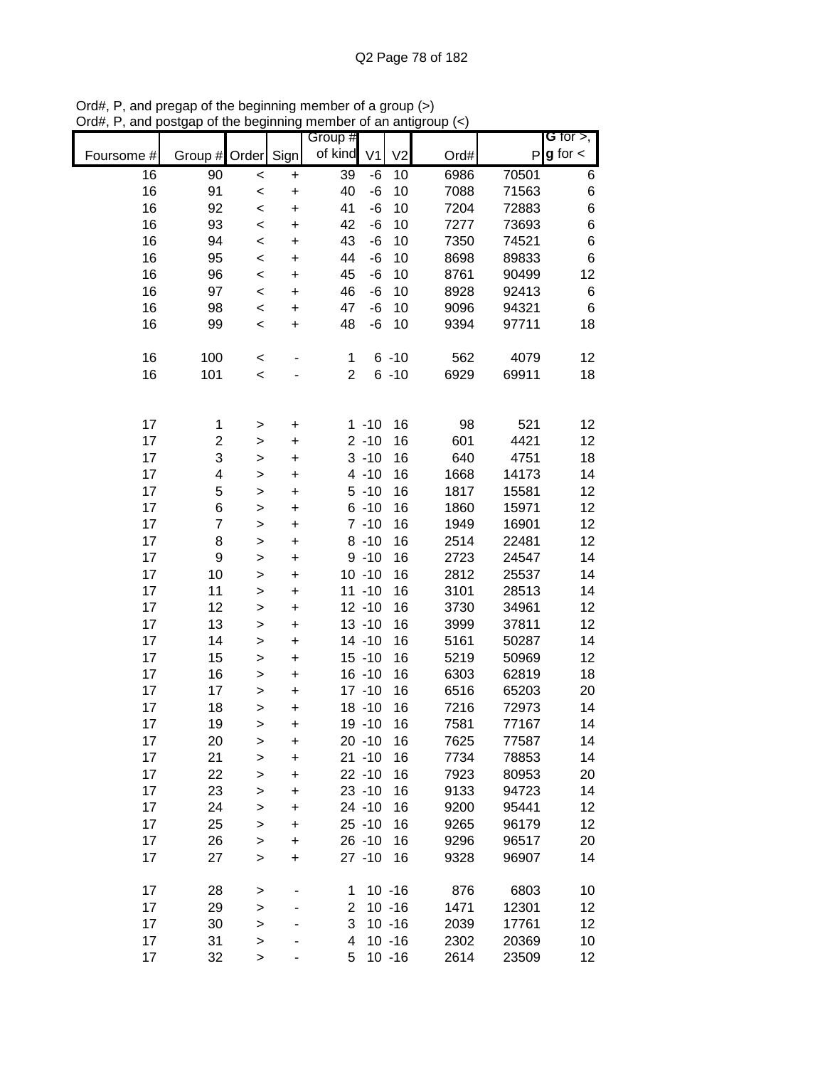|            |                         |              |           | Group #        |                |                |      |       | G for $>$ ,   |
|------------|-------------------------|--------------|-----------|----------------|----------------|----------------|------|-------|---------------|
| Foursome # | Group #                 | Order        | Sign      | of kind        | V <sub>1</sub> | V <sub>2</sub> | Ord# | P     | $g$ for $\lt$ |
| 16         | 90                      | $\prec$      | $\ddot{}$ | 39             | -6             | 10             | 6986 | 70501 | 6             |
| 16         | 91                      | $\prec$      | $\ddot{}$ | 40             | $-6$           | 10             | 7088 | 71563 | 6             |
| 16         | 92                      | $\prec$      | $\ddot{}$ | 41             | $-6$           | 10             | 7204 | 72883 | 6             |
| 16         | 93                      | $\prec$      | $\ddot{}$ | 42             | $-6$           | 10             | 7277 | 73693 | 6             |
| 16         | 94                      | $\prec$      | $\ddot{}$ | 43             | -6             | 10             | 7350 | 74521 | 6             |
| 16         | 95                      | $\prec$      | $\ddot{}$ | 44             | -6             | 10             | 8698 | 89833 | 6             |
| 16         | 96                      | $\prec$      | $\ddot{}$ | 45             | -6             | 10             | 8761 | 90499 | 12            |
| 16         | 97                      | $\,<$        | $\ddot{}$ | 46             | $-6$           | 10             | 8928 | 92413 | 6             |
| 16         | 98                      | $\prec$      | $\ddot{}$ | 47             | $-6$           | 10             | 9096 | 94321 | 6             |
| 16         | 99                      | $\prec$      | $\ddot{}$ | 48             | $-6$           | 10             | 9394 | 97711 | 18            |
| 16         | 100                     | $\prec$      |           | $\mathbf 1$    |                | $6 - 10$       | 562  | 4079  | 12            |
| 16         | 101                     | $\prec$      |           | $\overline{2}$ |                | $6 - 10$       | 6929 | 69911 | 18            |
|            |                         |              |           |                |                |                |      |       |               |
| 17         | 1                       | >            | $\pmb{+}$ |                | $1 - 10$       | 16             | 98   | 521   | 12            |
| 17         | $\overline{\mathbf{c}}$ | $\geq$       | $\ddot{}$ |                | $2 - 10$       | 16             | 601  | 4421  | 12            |
| 17         | 3                       | $\geq$       | $\ddot{}$ |                | $3 - 10$       | 16             | 640  | 4751  | 18            |
| 17         | 4                       | $\geq$       | $\ddot{}$ |                | $4 - 10$       | 16             | 1668 | 14173 | 14            |
| 17         | 5                       | $\geq$       | $\ddot{}$ |                | $5 - 10$       | 16             | 1817 | 15581 | 12            |
| 17         | 6                       | $\geq$       | $\ddot{}$ |                | $6 - 10$       | 16             | 1860 | 15971 | 12            |
| 17         | $\overline{7}$          | $\geq$       | $\ddot{}$ |                | $7 - 10$       | 16             | 1949 | 16901 | 12            |
| 17         | 8                       | $\geq$       | $\ddot{}$ |                | $8 - 10$       | 16             | 2514 | 22481 | 12            |
| 17         | $\boldsymbol{9}$        | $\mathbf{I}$ | $\ddot{}$ |                | $9 - 10$       | 16             | 2723 | 24547 | 14            |
| 17         | 10                      | $\geq$       | $\pmb{+}$ |                | $10 - 10$      | 16             | 2812 | 25537 | 14            |
| 17         | 11                      | $\geq$       | $\ddot{}$ |                | $11 - 10$      | 16             | 3101 | 28513 | 14            |
| 17         | 12                      | $\geq$       | $\ddot{}$ |                | $12 - 10$      | 16             | 3730 | 34961 | 12            |
| 17         | 13                      | $\geq$       | $\ddot{}$ |                | $13 - 10$      | 16             | 3999 | 37811 | 12            |
| 17         | 14                      | $\geq$       | $\ddot{}$ |                | $14 - 10$      | 16             | 5161 | 50287 | 14            |
| 17         | 15                      | $\mathbf{I}$ | $\ddot{}$ |                | $15 - 10$      | 16             | 5219 | 50969 | 12            |
| 17         | 16                      | >            | $\ddot{}$ |                | $16 - 10$      | 16             | 6303 | 62819 | 18            |
| 17         | 17                      | $\mathbf{I}$ | $\ddot{}$ |                | $17 - 10$      | 16             | 6516 | 65203 | 20            |
| 17         | 18                      | $\geq$       | $\ddot{}$ |                | $18 - 10$      | 16             | 7216 | 72973 | 14            |
| 17         | 19                      | $\geq$       | $\ddot{}$ |                | 19 - 10        | 16             | 7581 | 77167 | 14            |
| 17         | 20                      | >            | +         |                | $20 - 10$      | 16             | 7625 | 77587 | 14            |
| 17         | 21                      | $\mathbf{I}$ | $\ddot{}$ |                | $21 - 10$      | 16             | 7734 | 78853 | 14            |
| 17         | 22                      | $\geq$       | +         |                | $22 - 10$      | 16             | 7923 | 80953 | 20            |
| 17         | 23                      | $\mathbf{I}$ | +         |                | $23 - 10$      | 16             | 9133 | 94723 | 14            |
| 17         | 24                      | $\mathbf{I}$ | +         |                | $24 - 10$      | 16             | 9200 | 95441 | 12            |
| 17         | 25                      | $\mathbf{I}$ | +         |                | $25 - 10$      | 16             | 9265 | 96179 | 12            |
| 17         | 26                      | $\geq$       | +         |                | $26 - 10$      | 16             | 9296 | 96517 | 20            |
| 17         | 27                      | $\geq$       | $\ddot{}$ |                | $27 - 10$      | 16             | 9328 | 96907 | 14            |
| 17         | 28                      | $\, >$       |           | 1              |                | $10 - 16$      | 876  | 6803  | 10            |
| 17         | 29                      | $\geq$       |           | 2              |                | $10 - 16$      | 1471 | 12301 | 12            |
| 17         | 30                      | $\geq$       |           | 3              |                | $10 - 16$      | 2039 | 17761 | 12            |
| 17         | 31                      | $\geq$       |           | 4              |                | $10 - 16$      | 2302 | 20369 | 10            |
| 17         | 32                      | >            |           | 5              |                | $10 - 16$      | 2614 | 23509 | 12            |

Ord#, P, and pregap of the beginning member of a group (>) Ord#, P, and postgap of the beginning member of an antigroup (<)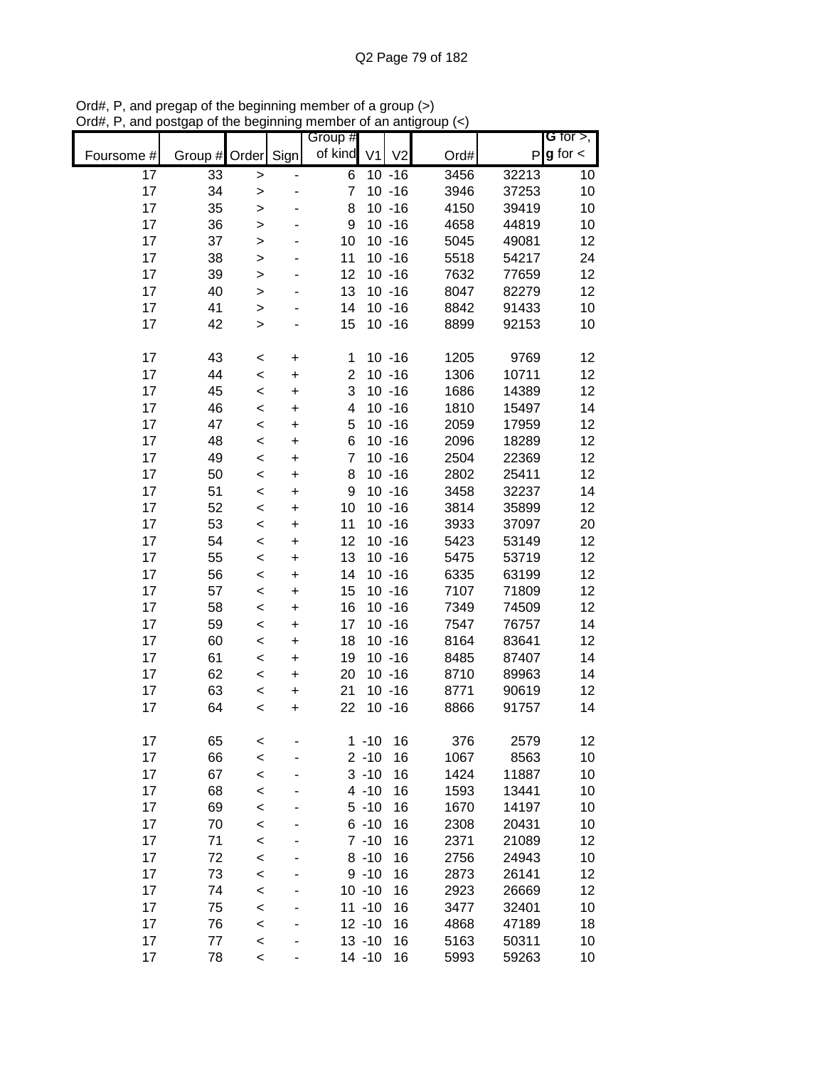|            |               |                        |           | Group #<br>of kind  | V <sub>1</sub> | V <sub>2</sub>         |              |                | G for $>$ ,<br>$P g$ for $\lt$ |
|------------|---------------|------------------------|-----------|---------------------|----------------|------------------------|--------------|----------------|--------------------------------|
| Foursome # | Group # Order |                        | Sign      |                     |                |                        | Ord#         |                |                                |
| 17<br>17   | 33            | $\geq$                 |           | 6<br>$\overline{7}$ |                | $10 - 16$              | 3456         | 32213          | 10                             |
| 17         | 34<br>35      | $\,>$                  |           | 8                   |                | $10 - 16$<br>$10 - 16$ | 3946<br>4150 | 37253<br>39419 | 10<br>10                       |
| 17         | 36            | >                      |           | 9                   |                | $10 - 16$              | 4658         | 44819          | 10                             |
| 17         | 37            | $\,>$                  |           | 10                  |                | $10 - 16$              | 5045         | 49081          | 12                             |
| 17         | 38            | $\mathbf{I}$           |           | 11                  |                | $10 - 16$              | 5518         | 54217          | 24                             |
| 17         | 39            | $\mathbf{I}$           |           | 12                  |                | $10 - 16$              | 7632         | 77659          | 12                             |
| 17         | 40            | >                      |           | 13                  |                | $10 - 16$              | 8047         | 82279          | 12                             |
| 17         | 41            | $\geq$<br>$\mathbf{I}$ |           | 14                  |                | $10 - 16$              | 8842         | 91433          | 10                             |
| 17         | 42            | $\geq$                 |           | 15                  |                | $10 - 16$              | 8899         | 92153          | 10                             |
|            |               |                        |           |                     |                |                        |              |                |                                |
| 17         | 43            | <                      | +         | 1                   |                | $10 - 16$              | 1205         | 9769           | 12                             |
| 17         | 44            | $\prec$                | $\ddot{}$ | $\overline{2}$      |                | $10 - 16$              | 1306         | 10711          | 12                             |
| 17         | 45            | $\prec$                | $\ddot{}$ | 3                   |                | $10 - 16$              | 1686         | 14389          | 12                             |
| 17         | 46            | $\,<$                  | $\ddot{}$ | 4                   |                | $10 - 16$              | 1810         | 15497          | 14                             |
| 17         | 47            | $\,<$                  | $\ddot{}$ | 5                   |                | $10 - 16$              | 2059         | 17959          | 12                             |
| 17         | 48            | $\,<$                  | $\ddot{}$ | 6                   |                | $10 - 16$              | 2096         | 18289          | 12                             |
| 17         | 49            | $\prec$                | $\ddot{}$ | $\overline{7}$      |                | $10 - 16$              | 2504         | 22369          | 12                             |
| 17         | 50            | $\,<$                  | $\ddot{}$ | 8                   |                | $10 - 16$              | 2802         | 25411          | 12                             |
| 17         | 51            | $\,<$                  | $\ddot{}$ | 9                   |                | $10 - 16$              | 3458         | 32237          | 14                             |
| 17         | 52            | $\,<$                  | $\ddot{}$ | 10                  |                | $10 - 16$              | 3814         | 35899          | 12                             |
| 17         | 53            | $\prec$                | +         | 11                  |                | $10 - 16$              | 3933         | 37097          | 20                             |
| 17         | 54            | $\,<$                  | +         | 12                  |                | $10 - 16$              | 5423         | 53149          | 12                             |
| 17         | 55            | $\,<$                  | +         | 13                  |                | $10 - 16$              | 5475         | 53719          | 12                             |
| 17         | 56            | $\,<$                  | $\ddot{}$ | 14                  |                | $10 - 16$              | 6335         | 63199          | 12                             |
| 17         | 57            | $\,<$                  | +         | 15                  |                | $10 - 16$              | 7107         | 71809          | 12                             |
| 17         | 58            | $\,<$                  | $\ddot{}$ | 16                  |                | $10 - 16$              | 7349         | 74509          | 12                             |
| 17         | 59            | $\,<$                  | $\ddot{}$ | 17                  |                | $10 - 16$              | 7547         | 76757          | 14                             |
| 17         | 60            | $\,<$                  | $\ddot{}$ | 18                  |                | $10 - 16$              | 8164         | 83641          | 12                             |
| 17         | 61            | $\prec$                | $\ddot{}$ | 19                  |                | $10 - 16$              | 8485         | 87407          | 14                             |
| 17         | 62            | $\prec$                | $\ddot{}$ | 20                  |                | $10 - 16$              | 8710         | 89963          | 14                             |
| 17         | 63            | $\,<$                  | +         | 21                  |                | $10 - 16$              | 8771         | 90619          | 12                             |
| 17         | 64            | $\,<$                  | $\ddot{}$ | 22                  |                | $10 - 16$              | 8866         | 91757          | 14                             |
|            |               |                        |           |                     |                |                        |              |                |                                |
| 17         | 65            | <                      |           | 1                   | $-10$          | 16                     | 376          | 2579           | 12                             |
| 17         | 66            | $\prec$                |           |                     | $2 - 10$       | 16                     | 1067         | 8563           | 10                             |
| 17         | 67            | $\prec$                |           |                     | $3 - 10$       | 16                     | 1424         | 11887          | 10                             |
| 17         | 68            | $\prec$                |           |                     | $4 - 10$       | 16                     | 1593         | 13441          | 10                             |
| 17         | 69            | $\prec$                |           |                     | $5 - 10$       | 16                     | 1670         | 14197          | 10                             |
| 17         | 70            | $\prec$                |           |                     | $6 - 10$       | 16                     | 2308         | 20431          | 10                             |
| 17         | 71            | <                      |           |                     | $7 - 10$       | 16                     | 2371         | 21089          | 12                             |
| 17         | 72            | $\prec$                |           |                     | $8 - 10$       | 16                     | 2756         | 24943          | 10                             |
| 17         | 73            | $\prec$                |           |                     | $9 - 10$       | 16                     | 2873         | 26141          | 12                             |
| 17         | 74            | $\prec$                |           |                     | $10 - 10$      | 16                     | 2923         | 26669          | 12                             |
| 17         | 75            | $\prec$                |           |                     | $11 - 10$      | 16                     | 3477         | 32401          | 10                             |
| 17         | 76            | $\prec$                |           |                     | $12 - 10$      | 16                     | 4868         | 47189          | 18                             |
| 17         | 77            | $\prec$                |           |                     | $13 - 10$      | 16                     | 5163         | 50311          | 10                             |
| 17         | 78            | $\prec$                |           |                     | $14 - 10$      | 16                     | 5993         | 59263          | 10                             |

Ord#, P, and pregap of the beginning member of a group (>) Ord#, P, and postgap of the beginning member of an antigroup (<)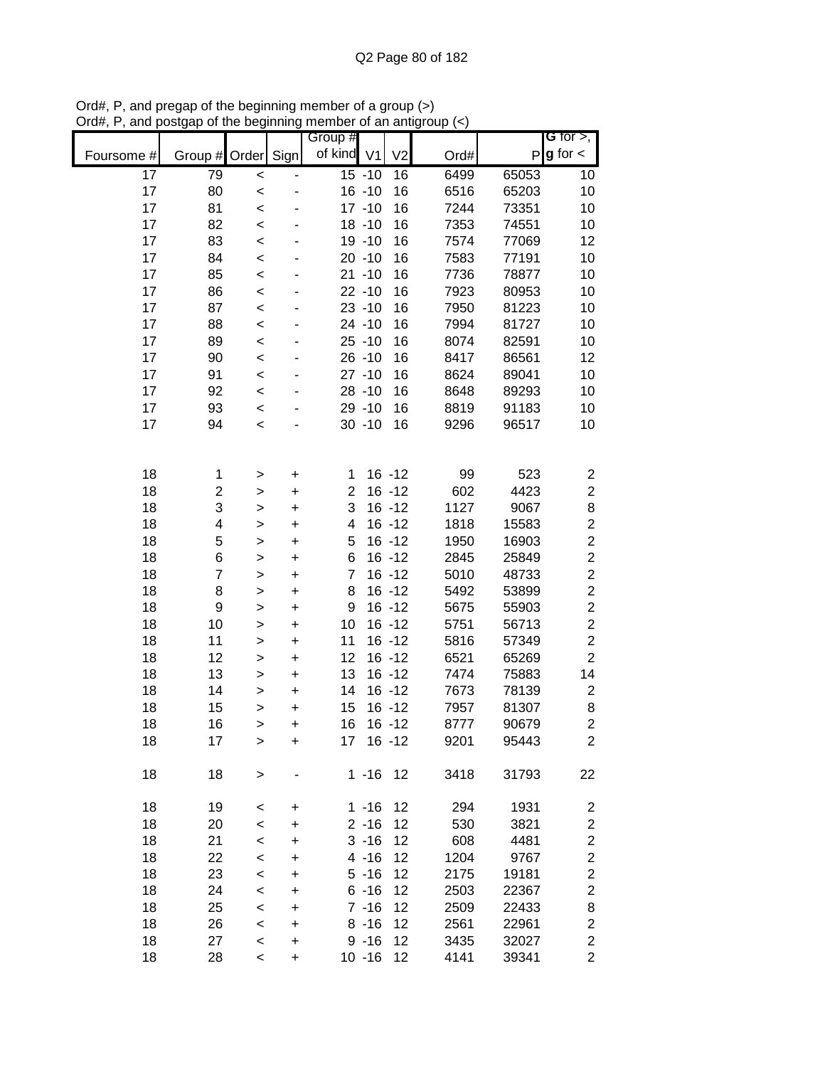| Foursome #      | Group #                 | Order            | Sign           | Group #<br>of kind V1 |                      | V <sub>2</sub> | Ord#         |                | G for $>$ ,<br>$P g$ for $\lt$ |
|-----------------|-------------------------|------------------|----------------|-----------------------|----------------------|----------------|--------------|----------------|--------------------------------|
| $\overline{17}$ | 79                      | $\prec$          |                |                       | $15 - 10$            | 16             | 6499         | 65053          | 10                             |
| 17              | 80                      | $\prec$          |                |                       | $16 - 10$            | 16             | 6516         | 65203          | 10                             |
| 17              | 81                      | $\prec$          |                |                       | $17 - 10$            | 16             | 7244         | 73351          | 10                             |
| 17              | 82                      | $\prec$          |                |                       | $18 - 10$            | 16             | 7353         | 74551          | 10                             |
| 17              | 83                      | $\prec$          |                |                       | 19 -10               | 16             | 7574         | 77069          | 12                             |
| 17              | 84                      | $\prec$          |                |                       | $20 - 10$            | 16             | 7583         | 77191          | 10                             |
| 17              | 85                      | $\prec$          |                |                       | $21 - 10$            | 16             | 7736         | 78877          | 10                             |
| 17              | 86                      | $\,<$            |                |                       | $22 - 10$            | 16             | 7923         | 80953          | 10                             |
| 17              | 87                      | $\,<$            |                |                       | $23 - 10$            | 16             | 7950         | 81223          | 10                             |
| 17              | 88                      | $\prec$          |                |                       | $24 - 10$            | 16             | 7994         | 81727          | 10                             |
| 17              | 89                      | $\prec$          |                |                       | $25 - 10$            | 16             | 8074         | 82591          | 10                             |
| 17              | 90                      | $\prec$          |                |                       | $26 - 10$            | 16             | 8417         | 86561          | 12                             |
| 17              | 91                      | $\prec$          |                |                       | $27 - 10$            | 16             | 8624         | 89041          | 10                             |
| 17              | 92                      | $\prec$          |                |                       | $28 - 10$            | 16             | 8648         | 89293          | 10                             |
| 17              | 93                      | $\prec$          |                |                       | 29 - 10              | 16             | 8819         | 91183          | 10                             |
| 17              | 94                      | $\,<$            |                |                       | $30 - 10$            | 16             | 9296         | 96517          | 10                             |
|                 |                         |                  |                |                       |                      |                |              |                |                                |
| 18              | 1                       | >                | $\ddot{}$      | 1                     |                      | $16 - 12$      | 99           | 523            | $\overline{\mathbf{c}}$        |
| 18              | $\overline{\mathbf{c}}$ | >                | $\ddot{}$      | $\overline{2}$        |                      | $16 - 12$      | 602          | 4423           | $\overline{c}$                 |
| 18              | 3                       | $\mathbf{I}$     | $\ddot{}$      | 3                     |                      | $16 - 12$      | 1127         | 9067           | 8                              |
| 18              | 4                       | >                | $\ddot{}$      | 4                     |                      | $16 - 12$      | 1818         | 15583          | $\overline{c}$                 |
| 18              | 5                       | >                | $\ddot{}$      | 5                     |                      | $16 - 12$      | 1950         | 16903          | $\overline{c}$                 |
| 18              | 6                       | >                | $\pmb{+}$      | 6                     |                      | $16 - 12$      | 2845         | 25849          | $\overline{c}$                 |
| 18              | 7                       | >                | $\ddot{}$      | $\overline{7}$        |                      | $16 - 12$      | 5010         | 48733          | $\overline{c}$                 |
| 18              | 8                       | >                | +              | 8                     |                      | $16 - 12$      | 5492         | 53899          | $\overline{\mathbf{c}}$        |
| 18              | 9                       | $\mathbf{I}$     | $\ddot{}$      | 9                     |                      | $16 - 12$      | 5675         | 55903          | $\overline{c}$                 |
| 18              | 10                      | $\mathbf{I}$     | $\ddot{}$      | 10                    |                      | $16 - 12$      | 5751         | 56713          | $\overline{\mathbf{c}}$        |
| 18              | 11                      | $\geq$           | $\ddot{}$      | 11                    |                      | $16 - 12$      | 5816         | 57349          | $\overline{c}$                 |
| 18              | 12                      | $\mathbf{I}$     | $\ddot{}$      | 12                    |                      | $16 - 12$      | 6521         | 65269          | $\overline{c}$                 |
| 18              | 13                      | $\geq$           | $\ddot{}$      | 13                    |                      | $16 - 12$      | 7474         | 75883          | 14                             |
| 18              | 14                      | >                | $\ddot{}$      | 14                    |                      | $16 - 12$      | 7673         | 78139          | $\overline{\mathbf{c}}$        |
| 18              | 15                      | $\mathbf{I}$     | $\ddot{}$      | 15                    |                      | $16 - 12$      | 7957         | 81307          | 8                              |
| 18              | 16                      | >                | $\ddot{}$      | 16                    |                      | $16 - 12$      | 8777         | 90679          | $\overline{c}$                 |
| 18              | 17                      | >                | +              | 17                    |                      | $16 - 12$      | 9201         | 95443          | $\overline{c}$                 |
| 18              | 18                      | $\mathbf{I}$     |                |                       | $1 - 16$ 12          |                | 3418         | 31793          | 22                             |
|                 |                         |                  |                |                       |                      |                |              |                |                                |
| 18              | 19                      | $\,<$            | +              |                       | $1 - 16$             | 12             | 294          | 1931           | 2                              |
| 18              | 20                      | $\,<$            | +              |                       | $2 - 16$             | 12             | 530          | 3821           | $\overline{\mathbf{c}}$        |
| 18              | 21                      | $\,<$            | +              |                       | $3 - 16$             | 12             | 608          | 4481           | $\overline{\mathbf{c}}$        |
| 18              | 22                      | $\,<$            | +              |                       | $4 - 16$             | 12             | 1204         | 9767           | $\overline{\mathbf{c}}$        |
| 18              | 23                      | $\,<$            | $\ddot{}$      |                       | $5 - 16$             | 12             | 2175         | 19181          | $\overline{c}$                 |
| 18              | 24                      | $\,<$            | +              |                       | $6 - 16$             | 12             | 2503         | 22367          | $\overline{\mathbf{c}}$        |
| 18<br>18        | 25<br>26                | $\prec$          | +<br>$\ddot{}$ |                       | $7 - 16$<br>$8 - 16$ | 12<br>12       | 2509<br>2561 | 22433          | 8<br>$\boldsymbol{2}$          |
| 18              | 27                      | $\,<$<br>$\prec$ | +              |                       | $9 - 16$             | 12             | 3435         | 22961<br>32027 | $\boldsymbol{2}$               |
| 18              | 28                      | $\,<$            | $\ddot{}$      |                       | $10 - 16$            | 12             | 4141         | 39341          | $\overline{2}$                 |
|                 |                         |                  |                |                       |                      |                |              |                |                                |

Ord#, P, and pregap of the beginning member of a group (>) Ord#, P, and postgap of the beginning member of an antigroup (<)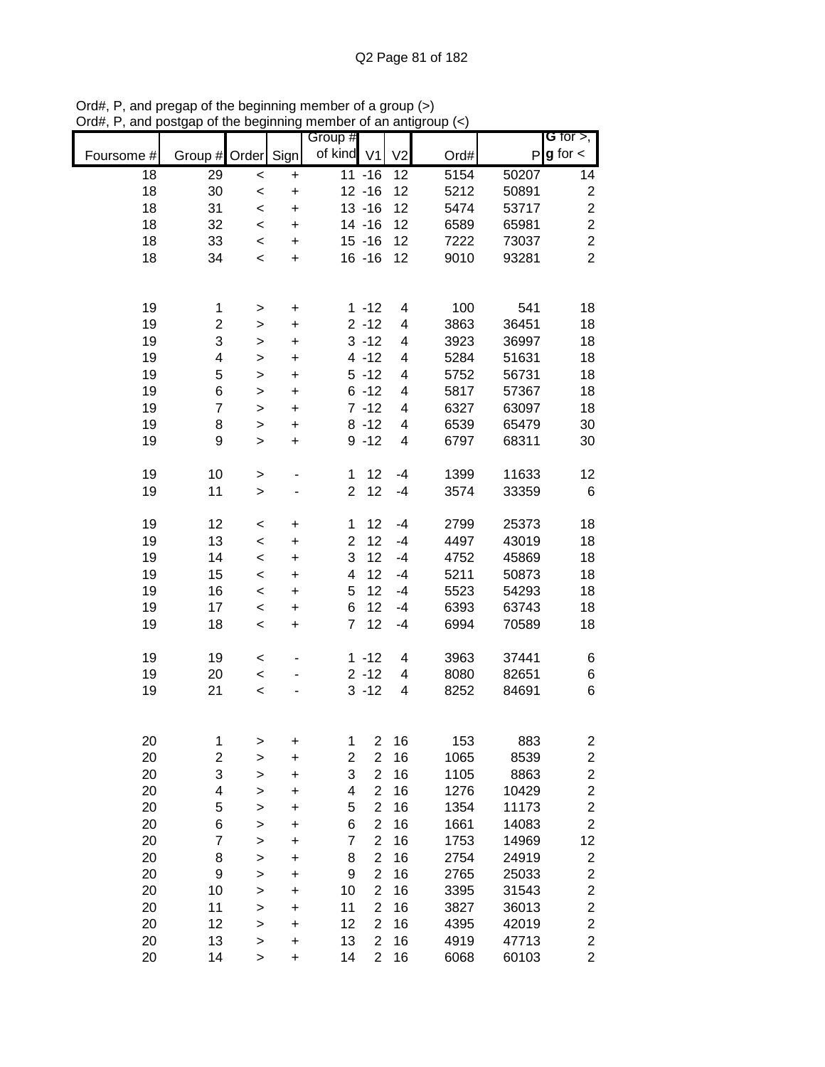|            |                         |              |                                  | Group #                 |                 |                         |      |       | G for $>$ ,             |
|------------|-------------------------|--------------|----------------------------------|-------------------------|-----------------|-------------------------|------|-------|-------------------------|
|            |                         |              |                                  |                         |                 |                         |      |       |                         |
| Foursome # | Group #                 | Order        | Sign                             | of kind V1              |                 | V <sub>2</sub>          | Ord# |       | $P g$ for $\lt$         |
| 18         | 29                      | $\prec$      | $\ddot{}$                        |                         | $11 - 16$       | 12                      | 5154 | 50207 | 14                      |
| 18         | 30                      | $\prec$      | $\begin{array}{c} + \end{array}$ |                         | $12 - 16$       | 12                      | 5212 | 50891 | $\boldsymbol{2}$        |
| 18         | 31                      | $\prec$      | $\ddot{}$                        |                         | $13 - 16$       | 12                      | 5474 | 53717 | $\overline{c}$          |
| 18         | 32                      | $\prec$      | $\ddot{}$                        |                         | $14 - 16$       | 12                      | 6589 | 65981 | $\overline{c}$          |
| 18         | 33                      | $\,<$        | $\ddot{}$                        |                         | $15 - 16$       | 12                      | 7222 | 73037 | $\overline{2}$          |
| 18         | 34                      | $\,<\,$      | $\ddot{}$                        |                         | $16 - 16$       | 12                      | 9010 | 93281 | $\overline{2}$          |
|            |                         |              |                                  |                         |                 |                         |      |       |                         |
|            |                         |              |                                  |                         |                 |                         |      |       |                         |
|            |                         |              |                                  |                         |                 |                         |      |       |                         |
| 19         | 1                       | $\, > \,$    | $\ddot{}$                        |                         | $1 - 12$        | 4                       | 100  | 541   | 18                      |
| 19         | 2                       | $\geq$       | $\ddot{}$                        |                         | $2 - 12$        | 4                       | 3863 | 36451 | 18                      |
| 19         | 3                       | $\,$         | $\ddot{}$                        |                         | $3 - 12$        | 4                       | 3923 | 36997 | 18                      |
| 19         | 4                       | $\,$         | $\ddot{}$                        |                         | $4 - 12$        | 4                       | 5284 | 51631 | 18                      |
| 19         | 5                       | $\mathbf{I}$ | $\ddot{}$                        |                         | $5 - 12$        | $\overline{\mathbf{4}}$ | 5752 | 56731 | 18                      |
| 19         | 6                       | $\mathbf{I}$ | $\ddot{}$                        |                         | $6 - 12$        | $\overline{\mathbf{4}}$ | 5817 | 57367 | 18                      |
| 19         | $\overline{7}$          | $\mathbf{I}$ | $\ddot{}$                        |                         | $7 - 12$        | $\overline{\mathbf{4}}$ | 6327 | 63097 | 18                      |
| 19         | 8                       | $\mathbf{I}$ | $\ddot{}$                        |                         | $8 - 12$        | $\overline{\mathbf{4}}$ | 6539 | 65479 | 30                      |
| 19         | 9                       | $\mathbf{L}$ | $\ddot{}$                        |                         | $9 - 12$        | $\overline{\mathbf{4}}$ | 6797 | 68311 | 30                      |
|            |                         |              |                                  |                         |                 |                         |      |       |                         |
| 19         | 10                      | $\, > \,$    |                                  | $\mathbf 1$             | 12              | $-4$                    | 1399 | 11633 | 12                      |
| 19         | 11                      | $\,$         |                                  | $\overline{2}$          | 12              | $-4$                    | 3574 | 33359 | $\,6$                   |
|            |                         |              |                                  |                         |                 |                         |      |       |                         |
| 19         | 12                      |              |                                  | 1                       | 12              | $-4$                    | 2799 | 25373 | 18                      |
| 19         |                         | $\,<$        | +                                |                         | 12              |                         | 4497 | 43019 | 18                      |
|            | 13                      | $\,<$        | $\ddot{}$                        | $\overline{c}$          |                 | $-4$                    |      |       |                         |
| 19         | 14                      | $\prec$      | $\ddot{}$                        | 3                       | 12              | $-4$                    | 4752 | 45869 | 18                      |
| 19         | 15                      | $\prec$      | $\ddot{}$                        | $\overline{\mathbf{4}}$ | 12 <sub>2</sub> | $-4$                    | 5211 | 50873 | 18                      |
| 19         | 16                      | $\prec$      | $\ddot{}$                        | 5                       | 12              | $-4$                    | 5523 | 54293 | 18                      |
| 19         | 17                      | $\prec$      | $\ddot{}$                        | 6                       | 12              | $-4$                    | 6393 | 63743 | 18                      |
| 19         | 18                      | $\,<\,$      | $\ddot{}$                        | $\overline{7}$          | 12              | $-4$                    | 6994 | 70589 | 18                      |
|            |                         |              |                                  |                         |                 |                         |      |       |                         |
| 19         | 19                      | $\,<$        |                                  |                         | $1 - 12$        | $\overline{4}$          | 3963 | 37441 | 6                       |
| 19         | 20                      | $\prec$      |                                  |                         | $2 - 12$        | $\overline{4}$          | 8080 | 82651 | 6                       |
| 19         | 21                      | $\prec$      |                                  |                         | $3 - 12$        | 4                       | 8252 | 84691 | 6                       |
|            |                         |              |                                  |                         |                 |                         |      |       |                         |
|            |                         |              |                                  |                         |                 |                         |      |       |                         |
| 20         | 1                       | >            | $\mathbf +$                      | 1                       | $\overline{2}$  | 16                      | 153  | 883   | 2                       |
| 20         | $\overline{\mathbf{c}}$ |              | $\ddot{}$                        | $\overline{c}$          | $\overline{2}$  | 16                      | 1065 | 8539  | $\overline{c}$          |
| 20         | 3                       | >            |                                  | 3                       | $\overline{2}$  | 16                      | 1105 | 8863  | $\overline{c}$          |
|            |                         | $\, > \,$    | +                                |                         |                 |                         |      |       |                         |
| 20         | 4                       | >            | +                                | 4                       | $\overline{2}$  | 16                      | 1276 | 10429 | $\overline{\mathbf{c}}$ |
| 20         | 5                       | $\geq$       | +                                | 5                       | 2               | 16                      | 1354 | 11173 | $\overline{\mathbf{c}}$ |
| 20         | 6                       | $\geq$       | $\ddot{}$                        | 6                       | $\overline{2}$  | 16                      | 1661 | 14083 | $\overline{c}$          |
| 20         | $\overline{7}$          | $\geq$       | $\ddot{}$                        | 7                       | $\overline{2}$  | 16                      | 1753 | 14969 | 12                      |
| 20         | 8                       | $\geq$       | $\ddot{}$                        | 8                       | $\overline{2}$  | 16                      | 2754 | 24919 | $\overline{\mathbf{c}}$ |
| 20         | 9                       | $\geq$       | $\ddot{}$                        | 9                       | $\overline{2}$  | 16                      | 2765 | 25033 | $\overline{\mathbf{c}}$ |
| 20         | 10                      | $\geq$       | $\ddot{}$                        | 10                      | $\overline{c}$  | 16                      | 3395 | 31543 | $\overline{c}$          |
| 20         | 11                      | $\geq$       | $\ddot{}$                        | 11                      | $\overline{2}$  | 16                      | 3827 | 36013 | $\overline{c}$          |
| 20         | 12                      | $\mathbf{I}$ | $\ddot{}$                        | 12                      | $\overline{2}$  | 16                      | 4395 | 42019 | $\overline{c}$          |
| 20         | 13                      | $\mathbf{I}$ | $\ddot{}$                        | 13                      | $\overline{2}$  | 16                      | 4919 | 47713 | $\overline{c}$          |
| 20         | 14                      | $\mathbf{I}$ | +                                | 14                      | $\overline{2}$  | 16                      | 6068 | 60103 | $\overline{2}$          |
|            |                         |              |                                  |                         |                 |                         |      |       |                         |

Ord#, P, and pregap of the beginning member of a group (>) Ord#, P, and postgap of the beginning member of an antigroup (<)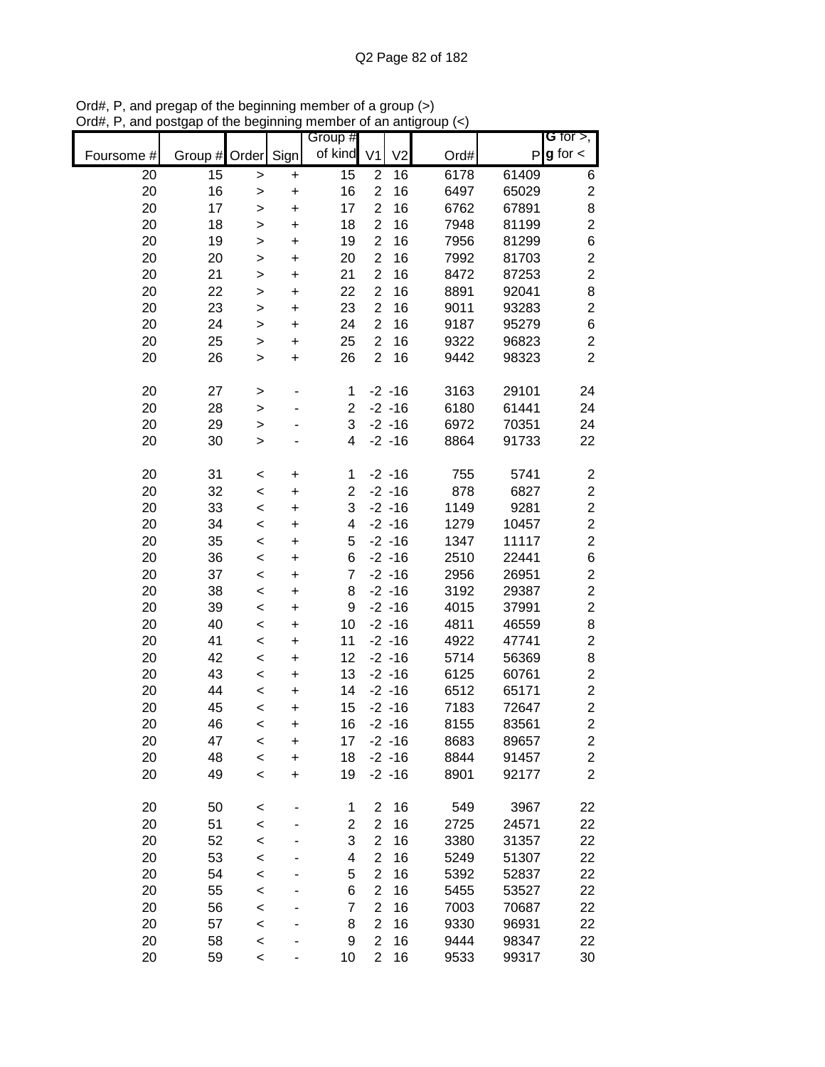|            |                 |              |           | Group #                 |                |                |      |       | G for $>$ ,             |
|------------|-----------------|--------------|-----------|-------------------------|----------------|----------------|------|-------|-------------------------|
| Foursome # | Group # Order   |              | Sign      | of kind                 | V <sub>1</sub> | V <sub>2</sub> | Ord# | P     | $g$ for $\lt$           |
| 20         | $\overline{15}$ | $\,$         | +         | 15                      | $\overline{2}$ | 16             | 6178 | 61409 | 6                       |
| 20         | 16              | $\mathbf{I}$ | $\ddot{}$ | 16                      | $\overline{2}$ | 16             | 6497 | 65029 | $\overline{\mathbf{c}}$ |
| 20         | 17              | >            | $\ddot{}$ | 17                      | $\overline{c}$ | 16             | 6762 | 67891 | 8                       |
| 20         | 18              | >            | $\ddot{}$ | 18                      | $\overline{2}$ | 16             | 7948 | 81199 | $\overline{c}$          |
| 20         | 19              | $\mathbf{I}$ | $\ddot{}$ | 19                      | $\overline{2}$ | 16             | 7956 | 81299 | 6                       |
| 20         | 20              | $\geq$       | $\ddot{}$ | 20                      | $\overline{2}$ | 16             | 7992 | 81703 | $\overline{\mathbf{c}}$ |
| 20         | 21              | $\mathbf{I}$ | $\ddot{}$ | 21                      | $\overline{c}$ | 16             | 8472 | 87253 | $\overline{c}$          |
| 20         | 22              | $\mathbf{I}$ | $\ddot{}$ | 22                      | $\mathbf{2}$   | 16             | 8891 | 92041 | 8                       |
| 20         | 23              | >            | $\ddot{}$ | 23                      | $\overline{2}$ | 16             | 9011 | 93283 | $\overline{c}$          |
| 20         | 24              | >            | $\ddot{}$ | 24                      | $\overline{2}$ | 16             | 9187 | 95279 | 6                       |
| 20         | 25              | >            | +         | 25                      | $\overline{2}$ | 16             | 9322 | 96823 | $\overline{c}$          |
| 20         | 26              | $\, > \,$    | $\ddot{}$ | 26                      | $\overline{2}$ | 16             | 9442 | 98323 | $\overline{c}$          |
| 20         | 27              | $\, > \,$    |           | 1                       |                | $-2 - 16$      | 3163 | 29101 | 24                      |
| 20         | 28              | $\geq$       |           | $\overline{c}$          |                | $-2 - 16$      | 6180 | 61441 | 24                      |
| 20         | 29              | $\geq$       |           | 3                       |                | $-2 - 16$      | 6972 | 70351 | 24                      |
| 20         | 30              | $\geq$       |           | 4                       |                | $-2 - 16$      | 8864 | 91733 | 22                      |
| 20         | 31              | $\,<$        | +         | 1                       |                | $-2 - 16$      | 755  | 5741  | $\overline{\mathbf{c}}$ |
| 20         | 32              | $\prec$      | $\ddot{}$ | $\overline{c}$          |                | $-2 - 16$      | 878  | 6827  | $\overline{c}$          |
| 20         | 33              | $\,<$        | $\ddot{}$ | 3                       |                | $-2 - 16$      | 1149 | 9281  | $\overline{c}$          |
| 20         | 34              | $\,<$        | $\ddot{}$ | 4                       |                | $-2 - 16$      | 1279 | 10457 | $\overline{\mathbf{c}}$ |
| 20         | 35              | $\prec$      | $\ddot{}$ | 5                       |                | $-2 - 16$      | 1347 | 11117 | $\overline{2}$          |
| 20         | 36              | $\prec$      | $\ddot{}$ | 6                       |                | $-2 - 16$      | 2510 | 22441 | 6                       |
| 20         | 37              | $\prec$      | $\ddot{}$ | 7                       |                | $-2 - 16$      | 2956 | 26951 | $\overline{\mathbf{c}}$ |
| 20         | 38              | $\prec$      | +         | 8                       |                | $-2 - 16$      | 3192 | 29387 | $\overline{c}$          |
| 20         | 39              | $\,<$        | +         | 9                       |                | $-2 - 16$      | 4015 | 37991 | $\overline{c}$          |
| 20         | 40              | $\,<$        | +         | 10                      |                | $-2 - 16$      | 4811 | 46559 | 8                       |
| 20         | 41              | $\,<$        | +         | 11                      |                | $-2 - 16$      | 4922 | 47741 | $\overline{c}$          |
| 20         | 42              | $\,<$        | +         | 12                      |                | $-2 - 16$      | 5714 | 56369 | 8                       |
| 20         | 43              | $\,<$        | $\ddot{}$ | 13                      |                | $-2 - 16$      | 6125 | 60761 | $\boldsymbol{2}$        |
| 20         | 44              | $\,<$        | $\ddot{}$ | 14                      |                | $-2 - 16$      | 6512 | 65171 | $\overline{\mathbf{c}}$ |
| 20         | 45              | $\,<$        | $\ddot{}$ | 15                      |                | $-2 - 16$      | 7183 | 72647 | $\overline{\mathbf{c}}$ |
| 20         | 46              | $\,<$        | $\ddot{}$ | 16                      |                | $-2 - 16$      | 8155 | 83561 | $\overline{2}$          |
| 20         | 47              | $\,<$        | +         | 17                      |                | $-2 - 16$      | 8683 | 89657 | 2                       |
| 20         | 48              | $\prec$      | $\ddot{}$ | 18                      |                | $-2 - 16$      | 8844 | 91457 | $\overline{\mathbf{c}}$ |
| 20         | 49              | $\,<$        | $\ddot{}$ | 19                      |                | $-2 - 16$      | 8901 | 92177 | $\overline{2}$          |
| 20         | 50              | $\,<$        |           | 1                       | $\overline{2}$ | 16             | 549  | 3967  | 22                      |
| 20         | 51              | $\prec$      |           | $\overline{\mathbf{c}}$ | $\mathbf{2}$   | 16             | 2725 | 24571 | 22                      |
| 20         | 52              | $\prec$      |           | 3                       | $\overline{2}$ | 16             | 3380 | 31357 | 22                      |
| 20         | 53              | $\prec$      |           | 4                       | $\overline{2}$ | 16             | 5249 | 51307 | 22                      |
| 20         | 54              | $\prec$      |           | 5                       | $\overline{2}$ | 16             | 5392 | 52837 | 22                      |
| 20         | 55              | $\prec$      |           | 6                       | $\overline{2}$ | 16             | 5455 | 53527 | 22                      |
| 20         | 56              | $\prec$      |           | 7                       | 2              | 16             | 7003 | 70687 | 22                      |
| 20         | 57              | $\prec$      |           | 8                       | 2              | 16             | 9330 | 96931 | 22                      |
| 20         | 58              | $\prec$      |           | 9                       | $\overline{2}$ | 16             | 9444 | 98347 | 22                      |
| 20         | 59              | $\,<$        |           | 10                      | $\overline{2}$ | 16             | 9533 | 99317 | 30                      |

Ord#, P, and pregap of the beginning member of a group (>) Ord#, P, and postgap of the beginning member of an antigroup (<)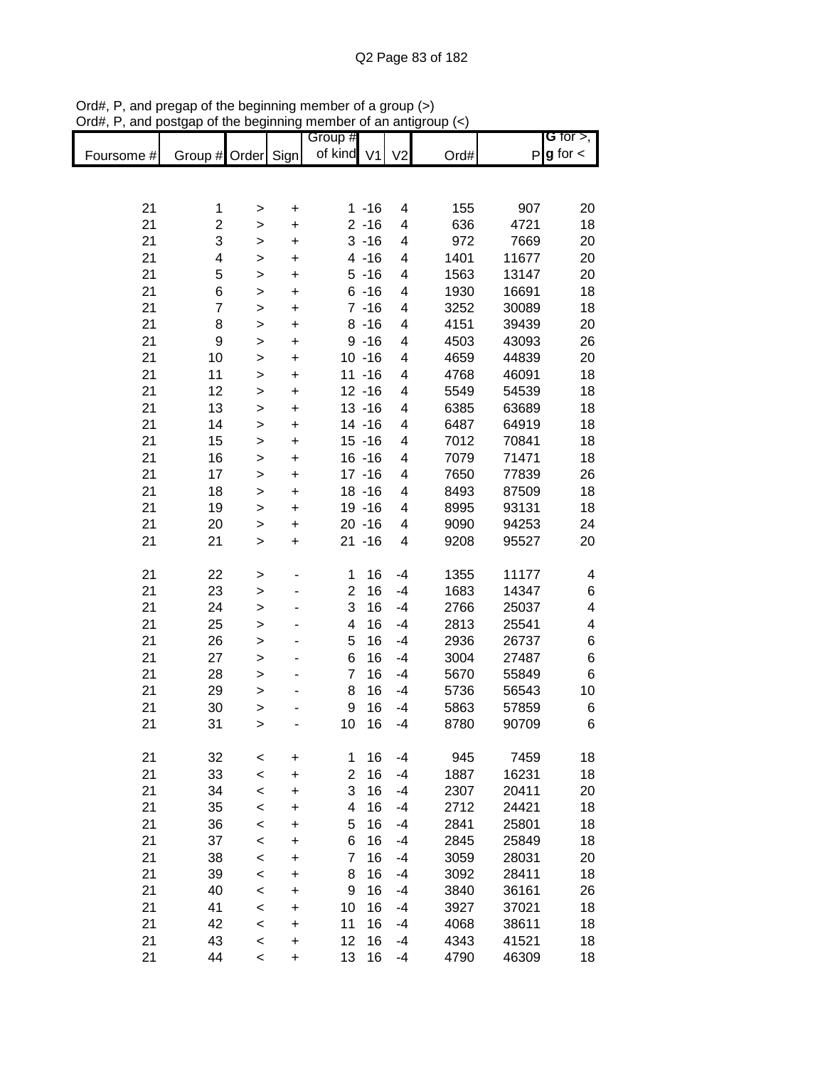|            |                         |              |           | Group #                 |           |                         |      |       | G for $>$ ,            |
|------------|-------------------------|--------------|-----------|-------------------------|-----------|-------------------------|------|-------|------------------------|
| Foursome # | Group # Order           |              | Sign      | of kind V1              |           | V <sub>2</sub>          | Ord# |       | $P$ <b>g</b> for $\lt$ |
|            |                         |              |           |                         |           |                         |      |       |                        |
|            |                         |              |           |                         |           |                         |      |       |                        |
| 21         | 1                       | $\, > \,$    | $\pmb{+}$ |                         | $1 - 16$  | 4                       | 155  | 907   | 20                     |
| 21         | $\overline{\mathbf{c}}$ | $\,$         | $\ddot{}$ |                         | $2 - 16$  | 4                       | 636  | 4721  | 18                     |
| 21         | 3                       | $\,$         | $\ddot{}$ |                         | $3 - 16$  | 4                       | 972  | 7669  | 20                     |
| 21         | 4                       | $\mathbf{I}$ | +         |                         | $4 - 16$  | 4                       | 1401 | 11677 | 20                     |
| 21         | 5                       | $\mathbf{I}$ | $\pmb{+}$ |                         | $5 - 16$  | 4                       | 1563 | 13147 | 20                     |
| 21         | 6                       | >            | $\pmb{+}$ |                         | $6 - 16$  | 4                       | 1930 | 16691 | 18                     |
| 21         | $\overline{7}$          | >            | $\pmb{+}$ |                         | $7 - 16$  | 4                       | 3252 | 30089 | 18                     |
| 21         | 8                       | $\mathbf{I}$ | $\pmb{+}$ |                         | $8 - 16$  | 4                       | 4151 | 39439 | 20                     |
| 21         | 9                       | $\geq$       | $\ddot{}$ |                         | $9 - 16$  | 4                       | 4503 | 43093 | 26                     |
| 21         | 10                      | $\mathbf{I}$ | $\ddot{}$ |                         | $10 - 16$ | 4                       | 4659 | 44839 | 20                     |
| 21         | 11                      | $\geq$       | $\ddot{}$ |                         | $11 - 16$ | 4                       | 4768 | 46091 | 18                     |
| 21         | 12                      | $\geq$       | $\ddot{}$ |                         | $12 - 16$ | 4                       | 5549 | 54539 | 18                     |
| 21         | 13                      | $\mathbf{I}$ | $\ddot{}$ |                         | $13 - 16$ | 4                       | 6385 | 63689 | 18                     |
| 21         | 14                      | $\,$         | $\ddot{}$ |                         | $14 - 16$ | 4                       | 6487 | 64919 | 18                     |
| 21         | 15                      | $\,$         | $\ddot{}$ |                         | $15 - 16$ | 4                       | 7012 | 70841 | 18                     |
| 21         | 16                      | $\geq$       | $\ddot{}$ |                         | $16 - 16$ | 4                       | 7079 | 71471 | 18                     |
| 21         | 17                      | $\geq$       | $\ddot{}$ |                         | $17 - 16$ | 4                       | 7650 | 77839 | 26                     |
| 21         | 18                      | $\geq$       | $\ddot{}$ |                         | $18 - 16$ | 4                       | 8493 | 87509 | 18                     |
| 21         | 19                      | $\,$         | $\ddot{}$ |                         | 19 - 16   | 4                       | 8995 | 93131 | 18                     |
| 21         | 20                      | $\mathbf{I}$ | $\ddot{}$ |                         | $20 - 16$ | 4                       | 9090 | 94253 | 24                     |
| 21         | 21                      | $\mathbf{I}$ | $\ddot{}$ |                         | $21 - 16$ | $\overline{\mathbf{4}}$ | 9208 | 95527 | 20                     |
|            |                         |              |           |                         |           |                         |      |       |                        |
| 21         | 22                      | $\, > \,$    |           | 1                       | 16        | $-4$                    | 1355 | 11177 | 4                      |
| 21         | 23                      | >            |           | $\overline{2}$          | 16        | $-4$                    | 1683 | 14347 | 6                      |
| 21         | 24                      | $\geq$       | -         | 3                       | 16        | $-4$                    | 2766 | 25037 | 4                      |
| 21         | 25                      | $\geq$       |           | 4                       | 16        | $-4$                    | 2813 | 25541 | 4                      |
| 21         | 26                      | $\geq$       |           | 5                       | 16        | $-4$                    | 2936 | 26737 | 6                      |
| 21         | 27                      | $\mathbf{I}$ |           | 6                       | 16        | $-4$                    | 3004 | 27487 | 6                      |
| 21         | 28                      | $\mathbf{I}$ | ٠         | $\overline{7}$          | 16        | $-4$                    | 5670 | 55849 | 6                      |
| 21         | 29                      | $\mathbf{I}$ |           | 8                       | 16        | $-4$                    | 5736 | 56543 | 10                     |
| 21         | 30                      | $\mathbf{I}$ |           | $\boldsymbol{9}$        | 16        | $-4$                    | 5863 | 57859 | 6                      |
| 21         | 31                      | $\geq$       |           | 10                      | 16        | $-4$                    | 8780 | 90709 | 6                      |
|            |                         |              |           |                         |           |                         |      |       |                        |
| 21         | 32                      | $\,<$        | $\pmb{+}$ | 1                       | 16        | $-4$                    | 945  | 7459  | 18                     |
| 21         | 33                      | $\,<$        | $\ddot{}$ | $\overline{\mathbf{c}}$ | 16        | $-4$                    | 1887 | 16231 | 18                     |
| 21         | 34                      | $\,<$        | +         | 3                       | 16        | $-4$                    | 2307 | 20411 | 20                     |
| 21         | 35                      | $\,<$        | +         | 4                       | 16        | $-4$                    | 2712 | 24421 | 18                     |
| 21         | 36                      | $\prec$      | +         | 5                       | 16        | $-4$                    | 2841 | 25801 | 18                     |
| 21         | 37                      | $\,<$        | +         | 6                       | 16        | $-4$                    | 2845 | 25849 | 18                     |
| 21         | 38                      | $\,<$        | +         | 7                       | 16        | $-4$                    | 3059 | 28031 | 20                     |
| 21         | 39                      | $\,<$        | +         | 8                       | 16        | $-4$                    | 3092 | 28411 | 18                     |
| 21         | 40                      | $\,<\,$      | +         | 9                       | 16        | -4                      | 3840 | 36161 | 26                     |
| 21         | 41                      | $\,<\,$      | +         | 10                      | 16        | -4                      | 3927 | 37021 | 18                     |
| 21         | 42                      | $\,<\,$      | +         | 11                      | 16        | -4                      | 4068 | 38611 | 18                     |
| 21         | 43                      | $\,<$        | +         | 12                      | 16        | $-4$                    | 4343 | 41521 | 18                     |
| 21         | 44                      | $\,<$        | $\pmb{+}$ | 13                      | 16        | -4                      | 4790 | 46309 | 18                     |

Ord#, P, and pregap of the beginning member of a group (>) Ord#, P, and postgap of the beginning member of an antigroup (<)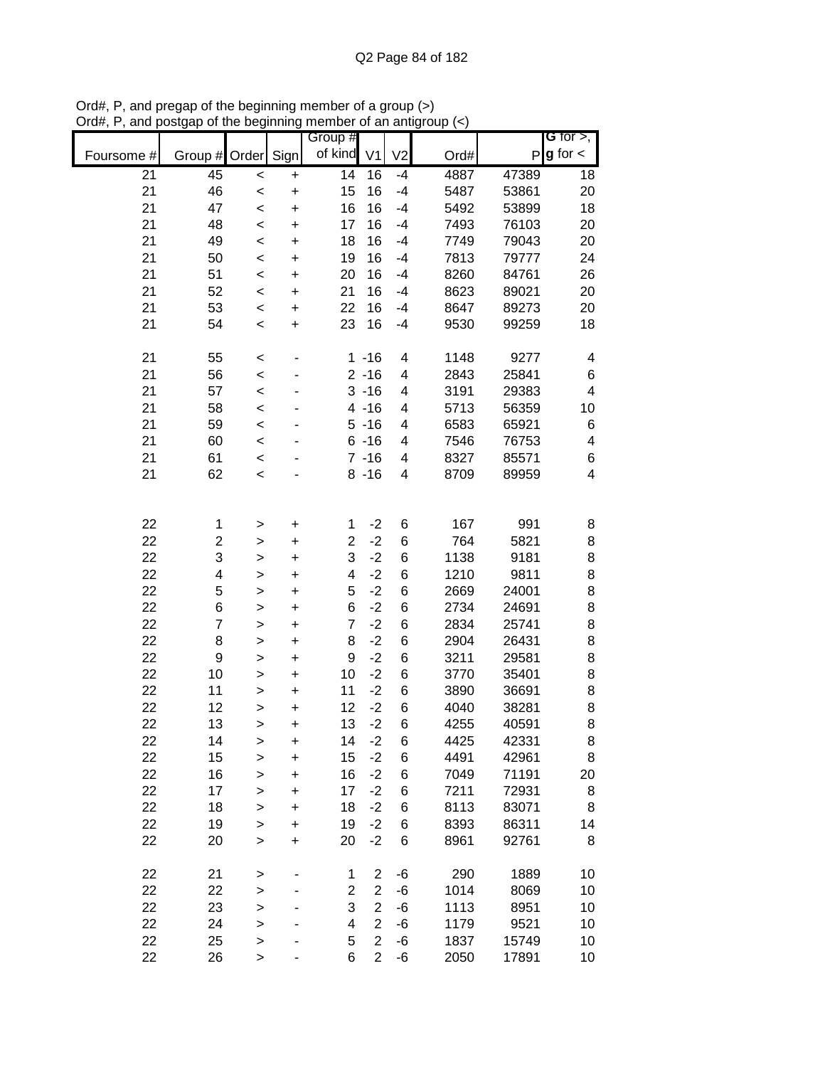|            |                         |              |           | Group #                 |                |                |      |       | G for $>$ ,             |
|------------|-------------------------|--------------|-----------|-------------------------|----------------|----------------|------|-------|-------------------------|
| Foursome # | Group #                 | Order        | Sign      | of kind                 | V <sub>1</sub> | V <sub>2</sub> | Ord# | P     | $g$ for $\lt$           |
| 21         | 45                      | $\prec$      | $\ddot{}$ | $\overline{14}$         | 16             | $-4$           | 4887 | 47389 | 18                      |
| 21         | 46                      | $\prec$      | $\ddot{}$ | 15                      | 16             | $-4$           | 5487 | 53861 | 20                      |
| 21         | 47                      | $\,<$        | $\ddot{}$ | 16                      | 16             | $-4$           | 5492 | 53899 | 18                      |
| 21         | 48                      | $\prec$      | $\ddot{}$ | 17                      | 16             | $-4$           | 7493 | 76103 | 20                      |
| 21         | 49                      | $\,<$        | $\ddot{}$ | 18                      | 16             | $-4$           | 7749 | 79043 | 20                      |
| 21         | 50                      | $\,<$        | $\ddot{}$ | 19                      | 16             | $-4$           | 7813 | 79777 | 24                      |
| 21         | 51                      | $\,<$        | $\ddot{}$ | 20                      | 16             | $-4$           | 8260 | 84761 | 26                      |
| 21         | 52                      | $\,<$        | +         | 21                      | 16             | $-4$           | 8623 | 89021 | 20                      |
| 21         | 53                      | $\,<$        | $\ddot{}$ | 22                      | 16             | $-4$           | 8647 | 89273 | 20                      |
| 21         | 54                      | $\,<$        | $\ddot{}$ | 23                      | 16             | $-4$           | 9530 | 99259 | 18                      |
| 21         | 55                      | $\,<$        |           |                         | $1 - 16$       | 4              | 1148 | 9277  | 4                       |
| 21         | 56                      | $\prec$      |           |                         | $2 - 16$       | 4              | 2843 | 25841 | 6                       |
| 21         | 57                      | $\prec$      |           |                         | $3 - 16$       | 4              | 3191 | 29383 | $\overline{\mathbf{4}}$ |
| 21         | 58                      | $\prec$      |           |                         | $4 - 16$       | 4              | 5713 | 56359 | 10                      |
| 21         | 59                      | $\prec$      |           |                         | $5 - 16$       | 4              | 6583 | 65921 | 6                       |
| 21         | 60                      | $\prec$      |           |                         | $6 - 16$       | 4              | 7546 | 76753 | 4                       |
| 21         | 61                      | $\prec$      |           |                         | $7 - 16$       | 4              | 8327 | 85571 | 6                       |
| 21         | 62                      | $\,<$        |           |                         | $8 - 16$       | 4              | 8709 | 89959 | $\overline{\mathbf{4}}$ |
|            |                         |              |           |                         |                |                |      |       |                         |
| 22         | 1                       | >            | +         | 1                       | $-2$           | 6              | 167  | 991   | 8                       |
| 22         | $\overline{\mathbf{c}}$ | >            | $\ddot{}$ | $\overline{c}$          | $-2$           | 6              | 764  | 5821  | 8                       |
| 22         | 3                       | >            | $\ddot{}$ | 3                       | $-2$           | 6              | 1138 | 9181  | 8                       |
| 22         | 4                       | $\geq$       | +         | 4                       | $-2$           | 6              | 1210 | 9811  | 8                       |
| 22         | 5                       | $\geq$       | $\ddot{}$ | 5                       | $-2$           | 6              | 2669 | 24001 | 8                       |
| 22         | 6                       | $\geq$       | $\ddot{}$ | 6                       | $-2$           | 6              | 2734 | 24691 | 8                       |
| 22         | $\overline{7}$          | $\mathbf{I}$ | $\ddot{}$ | $\overline{7}$          | $-2$           | 6              | 2834 | 25741 | 8                       |
| 22         | 8                       | $\mathbf{I}$ | $\ddot{}$ | 8                       | $-2$           | 6              | 2904 | 26431 | 8                       |
| 22         | 9                       | $\mathbf{I}$ | $\ddot{}$ | 9                       | $-2$           | 6              | 3211 | 29581 | 8                       |
| 22         | 10                      | >            | $\ddot{}$ | 10                      | $-2$           | 6              | 3770 | 35401 | 8                       |
| 22         | 11                      | >            | $\ddot{}$ | 11                      | $-2$           | 6              | 3890 | 36691 | 8                       |
| 22         | 12                      | $\geq$       | $\ddot{}$ | 12                      | $-2$           | 6              | 4040 | 38281 | 8                       |
| 22         | 13                      | $\mathbf{I}$ | $\ddot{}$ | 13                      | $-2$           | 6              | 4255 | 40591 | 8                       |
| 22         | 14                      | >            | $\ddot{}$ | 14                      | $-2$           | 6              | 4425 | 42331 | 8                       |
| 22         | 15                      | $\mathbf{I}$ | $\ddot{}$ | 15                      | $-2$           | 6              | 4491 | 42961 | 8                       |
| 22         | 16                      | >            | +         | 16                      | $-2$           | 6              | 7049 | 71191 | 20                      |
| 22         | 17                      | $\mathbf{I}$ | +         | 17                      | $-2$           | 6              | 7211 | 72931 | 8                       |
| 22         | 18                      | $\mathbf{I}$ | +         | 18                      | $-2$           | 6              | 8113 | 83071 | 8                       |
| 22         | 19                      | $\mathbf{I}$ | $\ddot{}$ | 19                      | $-2$           | 6              | 8393 | 86311 | 14                      |
| 22         | 20                      | $\geq$       | $\ddot{}$ | 20                      | $-2$           | 6              | 8961 | 92761 | 8                       |
| 22         | 21                      | $\geq$       |           | 1                       | $\overline{2}$ | -6             | 290  | 1889  | 10                      |
| 22         | 22                      | $\geq$       |           | $\overline{\mathbf{c}}$ | $\overline{c}$ | -6             | 1014 | 8069  | 10                      |
| 22         | 23                      | $\geq$       |           | 3                       | $\overline{2}$ | -6             | 1113 | 8951  | 10                      |
| 22         | 24                      | $\geq$       |           | 4                       | $\overline{2}$ | -6             | 1179 | 9521  | 10                      |
| 22         | 25                      | $\geq$       |           | 5                       | $\overline{2}$ | -6             | 1837 | 15749 | 10                      |
| 22         | 26                      | >            |           | 6                       | $\overline{2}$ | -6             | 2050 | 17891 | 10                      |

Ord#, P, and pregap of the beginning member of a group (>) Ord#, P, and postgap of the beginning member of an antigroup (<)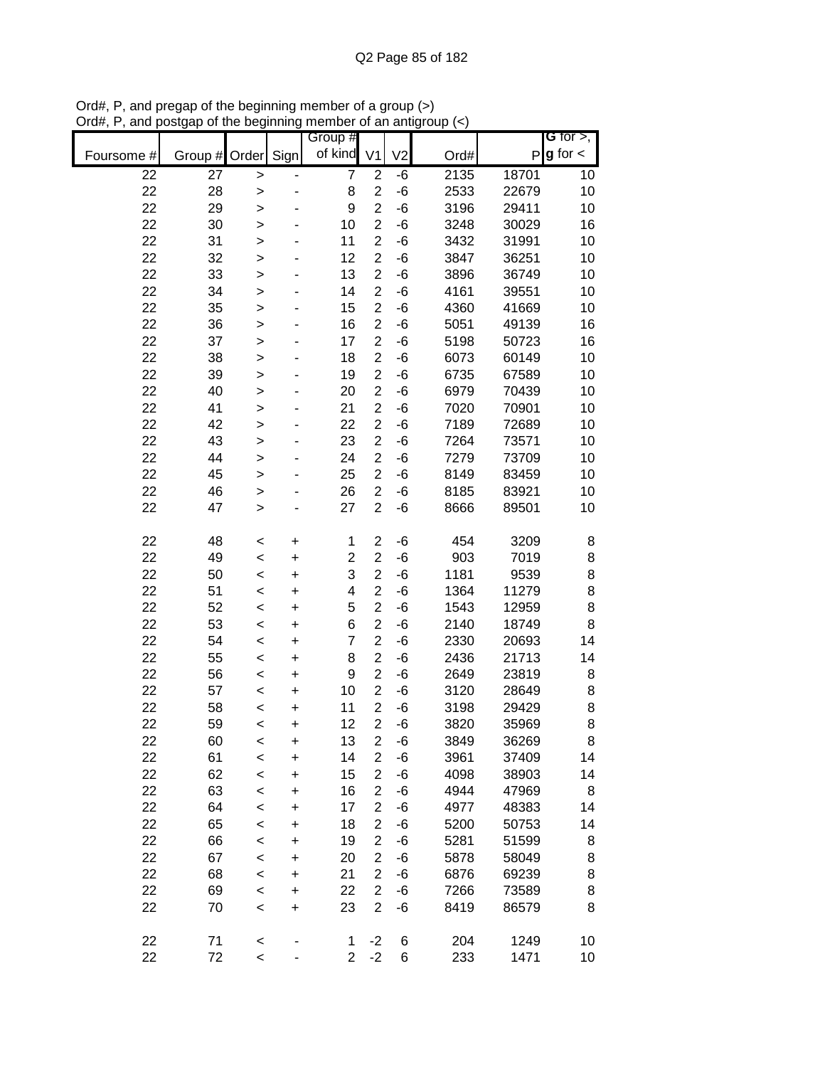|            |         |              |           | Group #        |                         |                |      |       | G for $>$ ,            |
|------------|---------|--------------|-----------|----------------|-------------------------|----------------|------|-------|------------------------|
| Foursome # | Group # | Order        | Sign      | of kind        | V <sub>1</sub>          | V <sub>2</sub> | Ord# |       | $P$ <b>g</b> for $\lt$ |
| 22         | 27      | >            |           | $\overline{7}$ | $\overline{2}$          | -6             | 2135 | 18701 | 10                     |
| 22         | 28      | $\mathbf{I}$ |           | 8              | $\overline{c}$          | $-6$           | 2533 | 22679 | 10                     |
| 22         | 29      | $\mathbf{I}$ |           | 9              | $\overline{2}$          | -6             | 3196 | 29411 | 10                     |
| 22         | 30      | $\mathbf{I}$ |           | 10             | $\overline{c}$          | -6             | 3248 | 30029 | 16                     |
| 22         | 31      | $\geq$       |           | 11             | $\overline{2}$          | $-6$           | 3432 | 31991 | 10                     |
| 22         | 32      | $\mathbf{I}$ |           | 12             | $\overline{2}$          | -6             | 3847 | 36251 | 10                     |
| 22         | 33      | $\mathbf{I}$ |           | 13             | $\overline{2}$          | -6             | 3896 | 36749 | 10                     |
| 22         | 34      | >            |           | 14             | $\overline{2}$          | -6             | 4161 | 39551 | 10                     |
| 22         | 35      | >            |           | 15             | $\overline{2}$          | -6             | 4360 | 41669 | 10                     |
| 22         | 36      | $\mathbf{I}$ |           | 16             | $\overline{2}$          | -6             | 5051 | 49139 | 16                     |
| 22         | 37      | $\mathbf{I}$ |           | 17             | $\overline{2}$          | -6             | 5198 | 50723 | 16                     |
| 22         | 38      | $\mathbf{I}$ |           | 18             | $\overline{2}$          | -6             | 6073 | 60149 | 10                     |
| 22         | 39      | $\geq$       |           | 19             | $\overline{2}$          | -6             | 6735 | 67589 | 10                     |
| 22         | 40      | $\geq$       |           | 20             | $\overline{2}$          | -6             | 6979 | 70439 | 10                     |
| 22         | 41      | $\geq$       |           | 21             | $\overline{2}$          | -6             | 7020 | 70901 | 10                     |
| 22         | 42      | >            |           | 22             | $\overline{2}$          | -6             | 7189 | 72689 | 10                     |
| 22         | 43      | $\geq$       |           | 23             | $\overline{2}$          | $-6$           | 7264 | 73571 | 10                     |
| 22         | 44      | $\geq$       |           | 24             | $\overline{c}$          | $-6$           | 7279 | 73709 | 10                     |
| 22         | 45      | $\mathbf{I}$ |           | 25             | $\overline{2}$          | $-6$           | 8149 | 83459 | 10                     |
| 22         | 46      | $\mathbf{I}$ |           | 26             | $\overline{2}$          | -6             | 8185 | 83921 | 10                     |
| 22         | 47      | $\mathbf{I}$ |           | 27             | $\overline{2}$          | $-6$           | 8666 | 89501 | 10                     |
| 22         | 48      | $\,<$        | +         | 1              | $\boldsymbol{2}$        | -6             | 454  | 3209  | 8                      |
| 22         | 49      | $\prec$      | $\ddot{}$ | $\overline{2}$ | $\overline{2}$          | -6             | 903  | 7019  | 8                      |
| 22         | 50      | $\,<$        | +         | 3              | $\overline{2}$          | -6             | 1181 | 9539  | 8                      |
| 22         | 51      | $\,<$        | +         | 4              | $\overline{2}$          | -6             | 1364 | 11279 | 8                      |
| 22         | 52      | $\,<$        | +         | 5              | $\overline{2}$          | -6             | 1543 | 12959 | 8                      |
| 22         | 53      | $\,<$        | $\ddot{}$ | 6              | $\overline{2}$          | -6             | 2140 | 18749 | 8                      |
| 22         | 54      | $\,<$        | $\ddot{}$ | $\overline{7}$ | $\overline{2}$          | -6             | 2330 | 20693 | 14                     |
| 22         | 55      | $\,<$        | $\ddot{}$ | 8              | $\overline{2}$          | -6             | 2436 | 21713 | 14                     |
| 22         | 56      | $\prec$      | $\ddot{}$ | 9              | $\overline{2}$          | -6             | 2649 | 23819 | 8                      |
| 22         | 57      | $\,<$        | $\ddot{}$ | 10             | $\overline{2}$          | -6             | 3120 | 28649 | 8                      |
| 22         | 58      | $\,<$        | $\ddot{}$ | 11             | $\overline{2}$          | -6             | 3198 | 29429 | 8                      |
| 22         | 59      | $\,<$        | $\ddot{}$ | 12             | $\overline{2}$          | -6             | 3820 | 35969 | 8                      |
| 22         | 60      | <            | +         | 13             | $\overline{\mathbf{c}}$ | -6             | 3849 | 36269 | 8                      |
| 22         | 61      | $\prec$      | $\ddot{}$ | 14             | $\overline{2}$          | -6             | 3961 | 37409 | 14                     |
| 22         | 62      | $\,<$        | $\ddot{}$ | 15             | $\boldsymbol{2}$        | -6             | 4098 | 38903 | 14                     |
| 22         | 63      | $\,<$        | $\ddot{}$ | 16             | $\boldsymbol{2}$        | -6             | 4944 | 47969 | 8                      |
| 22         | 64      | $\prec$      | +         | 17             | $\overline{2}$          | -6             | 4977 | 48383 | 14                     |
| 22         | 65      | $\prec$      | +         | 18             | $\overline{2}$          | -6             | 5200 | 50753 | 14                     |
| 22         | 66      | $\,<$        | +         | 19             | $\overline{2}$          | -6             | 5281 | 51599 | 8                      |
| 22         | 67      | $\,<$        | +         | 20             | $\overline{2}$          | -6             | 5878 | 58049 | 8                      |
| 22         | 68      | $\prec$      | +         | 21             | $\overline{2}$          | -6             | 6876 | 69239 | 8                      |
| 22         | 69      | $\prec$      | $\ddot{}$ | 22             | $\overline{2}$          | -6             | 7266 | 73589 | 8                      |
| 22         | 70      | $\,<$        | $\ddot{}$ | 23             | $\overline{2}$          | -6             | 8419 | 86579 | 8                      |
| 22         | 71      | $\,<$        |           | 1              | $-2$                    | 6              | 204  | 1249  | 10                     |
| 22         | 72      | $\prec$      |           | $\overline{2}$ | $-2$                    | 6              | 233  | 1471  | 10                     |

Ord#, P, and pregap of the beginning member of a group (>) Ord#, P, and postgap of the beginning member of an antigroup (<)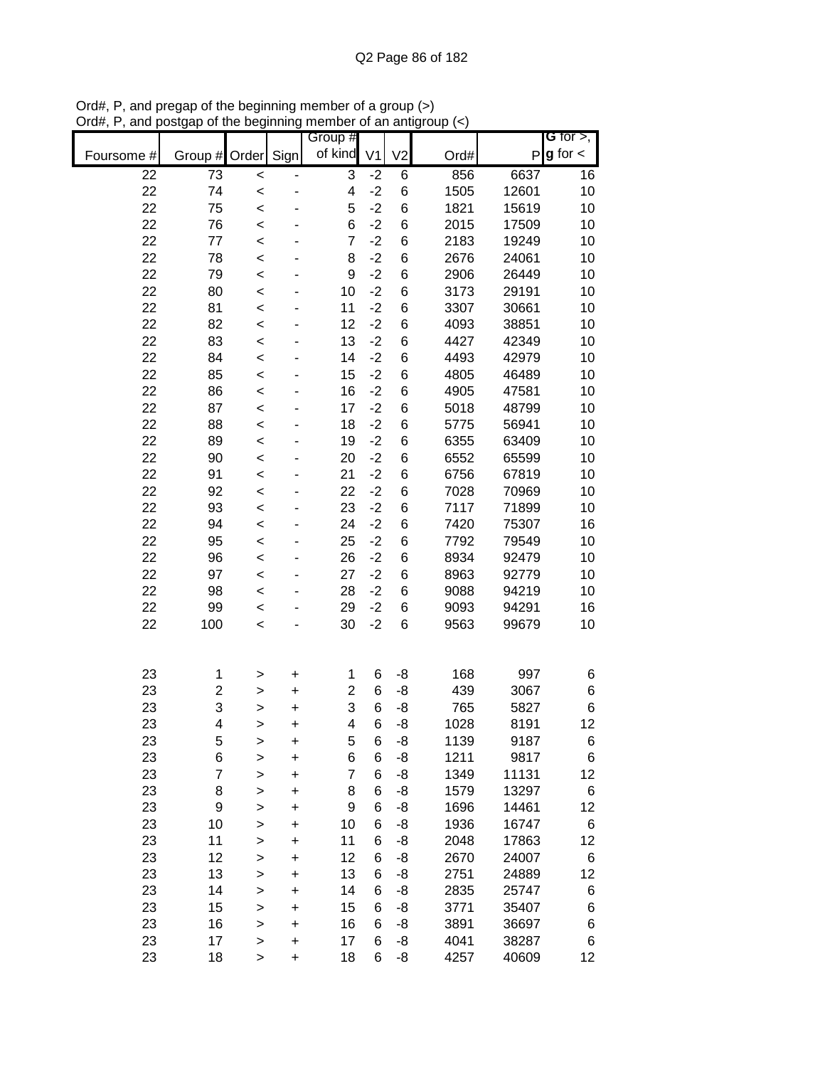|                 |                         |              |      | Group #        |      |                |      |              | <b>G</b> for $>$ , |
|-----------------|-------------------------|--------------|------|----------------|------|----------------|------|--------------|--------------------|
| Foursome #      | Group #                 | Order        | Sign | of kind V1     |      | V <sub>2</sub> | Ord# | $\mathsf{P}$ | $g$ for $\lt$      |
| $\overline{22}$ | 73                      | $\prec$      |      | 3              | $-2$ | 6              | 856  | 6637         | 16                 |
| 22              | 74                      | $\prec$      |      | 4              | $-2$ | 6              | 1505 | 12601        | 10                 |
| 22              | 75                      | $\prec$      |      | 5              | $-2$ | 6              | 1821 | 15619        | 10                 |
| 22              | 76                      | $\prec$      |      | 6              | $-2$ | 6              | 2015 | 17509        | 10                 |
| 22              | 77                      | $\prec$      |      | $\overline{7}$ | $-2$ | 6              | 2183 | 19249        | 10                 |
| 22              | 78                      | $\prec$      |      | 8              | $-2$ | 6              | 2676 | 24061        | 10                 |
| 22              | 79                      | $\prec$      |      | 9              | $-2$ | 6              | 2906 | 26449        | 10                 |
| 22              | 80                      | $\,<$        |      | 10             | $-2$ | 6              | 3173 | 29191        | 10                 |
| 22              | 81                      | $\prec$      |      | 11             | $-2$ | 6              | 3307 | 30661        | 10                 |
| 22              | 82                      | $\,<$        |      | 12             | $-2$ | 6              | 4093 | 38851        | 10                 |
| 22              | 83                      | $\prec$      |      | 13             | $-2$ | 6              | 4427 | 42349        | 10                 |
| 22              | 84                      | $\prec$      |      | 14             | $-2$ | 6              | 4493 | 42979        | 10                 |
| 22              | 85                      | $\prec$      |      | 15             | $-2$ | 6              | 4805 | 46489        | 10                 |
| 22              | 86                      | $\prec$      |      | 16             | $-2$ | 6              | 4905 | 47581        | 10                 |
| 22              | 87                      | $\prec$      |      | 17             | $-2$ | 6              | 5018 | 48799        | 10                 |
| 22              | 88                      | $\,<$        |      | 18             | $-2$ | 6              | 5775 | 56941        | 10                 |
| 22              | 89                      | $\prec$      |      | 19             | $-2$ | 6              | 6355 | 63409        | 10                 |
| 22              | 90                      | $\prec$      |      | 20             | $-2$ | 6              | 6552 | 65599        | 10                 |
| 22              | 91                      | $\prec$      |      | 21             | $-2$ | 6              | 6756 | 67819        | 10                 |
| 22              | 92                      | $\prec$      |      | 22             | $-2$ | 6              | 7028 | 70969        | 10                 |
| 22              | 93                      | $\prec$      |      | 23             | $-2$ | 6              | 7117 | 71899        | 10                 |
| 22              | 94                      | $\prec$      |      | 24             | $-2$ | 6              | 7420 | 75307        | 16                 |
| 22              | 95                      | $\prec$      |      | 25             | $-2$ | 6              | 7792 | 79549        | 10                 |
| 22              | 96                      | $\prec$      |      | 26             | $-2$ | 6              | 8934 | 92479        | 10                 |
| 22              | 97                      | $\,<$        |      | 27             | $-2$ | 6              | 8963 | 92779        | 10                 |
| 22              | 98                      | $\,<$        |      | 28             | $-2$ | 6              | 9088 | 94219        | 10                 |
| 22              | 99                      | $\,<$        |      | 29             | $-2$ | 6              | 9093 | 94291        | 16                 |
| 22              | 100                     | $\prec$      |      | 30             | $-2$ | 6              | 9563 | 99679        | 10                 |
|                 |                         |              |      |                |      |                |      |              |                    |
| 23              | 1                       | >            | +    | 1              | 6    | -8             | 168  | 997          | 6                  |
| 23              | $\overline{\mathbf{c}}$ | >            | +    | $\overline{2}$ | 6    | -8             | 439  | 3067         | $\,6$              |
| 23              | 3                       | >            | +    | 3              | 6    | -8             | 765  | 5827         | $\,6$              |
| 23              | 4                       | >            | +    | $\overline{4}$ | 6    | -8             | 1028 | 8191         | 12                 |
| 23              | 5                       | >            | +    | 5              | 6    | -8             | 1139 | 9187         | 6                  |
| 23              | 6                       | >            | +    | 6              | 6    | -8             | 1211 | 9817         | 6                  |
| 23              | $\overline{7}$          | $\mathbf{I}$ | +    | $\overline{7}$ | 6    | -8             | 1349 | 11131        | 12                 |
| 23              | 8                       | >            | +    | 8              | 6    | -8             | 1579 | 13297        | 6                  |
| 23              | 9                       | >            | +    | 9              | 6    | -8             | 1696 | 14461        | 12                 |
| 23              | 10                      | >            | +    | 10             | 6    | -8             | 1936 | 16747        | 6                  |
| 23              | 11                      | >            | +    | 11             | 6    | -8             | 2048 | 17863        | 12                 |
| 23              | 12                      | $\mathbf{I}$ | +    | 12             | 6    | -8             | 2670 | 24007        | 6                  |
| 23              | 13                      | $\mathbf{I}$ | +    | 13             | 6    | -8             | 2751 | 24889        | 12                 |
| 23              | 14                      | $\mathbf{I}$ | +    | 14             | 6    | -8             | 2835 | 25747        | 6                  |
| 23              | 15                      | $\mathbf{I}$ | +    | 15             | 6    | -8             | 3771 | 35407        | 6                  |
| 23              | 16                      | $\geq$       | +    | 16             | 6    | -8             | 3891 | 36697        | 6                  |
| 23              | 17                      | $\geq$       | +    | 17             | 6    | -8             | 4041 | 38287        | 6                  |
| 23              | 18                      | >            | +    | 18             | 6    | -8             | 4257 | 40609        | 12 <sub>2</sub>    |

Ord#, P, and pregap of the beginning member of a group (>) Ord#, P, and postgap of the beginning member of an antigroup (<)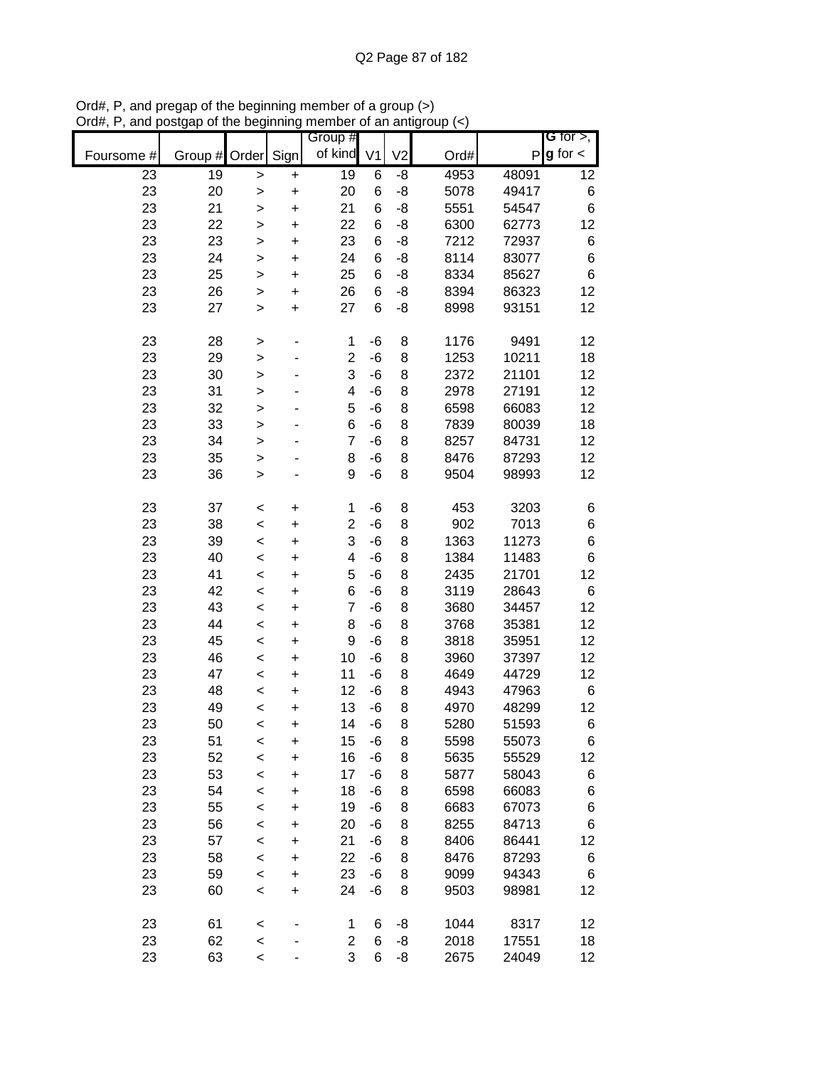|            |         |              |           | Group #             |                |                |              |                | G for $>$ ,   |
|------------|---------|--------------|-----------|---------------------|----------------|----------------|--------------|----------------|---------------|
| Foursome # | Group # | Order Sign   |           | of kind             | V <sub>1</sub> | V <sub>2</sub> | Ord#         | P              | $g$ for $\lt$ |
| 23         | 19      | $\geq$       | $\pmb{+}$ | $\overline{19}$     | 6              | -8             | 4953         | 48091          | 12            |
| 23         | 20      | $\geq$       | $\ddot{}$ | 20                  | 6              | -8             | 5078         | 49417          | 6             |
| 23         | 21      | $\geq$       | $\ddot{}$ | 21                  | 6              | -8             | 5551         | 54547          | 6             |
| 23         | 22      | $\geq$       | $\ddot{}$ | 22                  | 6              | -8             | 6300         | 62773          | 12            |
| 23         | 23      | $\geq$       | $\ddot{}$ | 23                  | 6              | -8             | 7212         | 72937          | 6             |
| 23         | 24      | $\geq$       | $\ddot{}$ | 24                  | 6              | -8             | 8114         | 83077          | 6             |
| 23         | 25      | >            | $\ddot{}$ | 25                  | 6              | -8             | 8334         | 85627          | 6             |
| 23         | 26      | $\mathbf{I}$ | $\ddot{}$ | 26                  | 6              | -8             | 8394         | 86323          | 12            |
| 23         | 27      | $\mathbf{I}$ | $\ddot{}$ | 27                  | 6              | -8             | 8998         | 93151          | 12            |
|            |         |              |           |                     |                |                |              |                |               |
| 23         | 28      | $\,$         | ٠         | 1                   | -6             | 8              | 1176         | 9491           | 12            |
| 23         | 29      | $\geq$       |           | $\overline{c}$      | $-6$           | 8              | 1253         | 10211          | 18            |
| 23         | 30      | $\geq$       |           | 3                   | $-6$           | 8              | 2372         | 21101          | 12            |
| 23         | 31      | $\geq$       |           | 4                   | $-6$           | 8              | 2978         | 27191          | 12            |
| 23         | 32      | $\geq$       |           | 5                   | $-6$           | 8              | 6598         | 66083          | 12            |
| 23         | 33      | $\mathbf{I}$ |           | 6                   | $-6$           | 8              | 7839         | 80039          | 18            |
| 23         | 34      | $\geq$       |           | $\overline{7}$      | $-6$           | 8              | 8257         | 84731          | 12            |
| 23         | 35      | $\geq$       |           | 8                   | $-6$           | 8              | 8476         | 87293          | 12            |
| 23         | 36      | $\geq$       |           | 9                   | $-6$           | 8              | 9504         | 98993          | 12            |
| 23         | 37      |              |           |                     | $-6$           | 8              | 453          | 3203           |               |
| 23         | 38      | $\prec$      | $\pmb{+}$ | 1<br>$\overline{c}$ | $-6$           | 8              | 902          | 7013           | 6<br>6        |
| 23         | 39      | $\prec$      | +         | 3                   | $-6$           | 8              | 1363         | 11273          | 6             |
| 23         | 40      | $\prec$      | +         | 4                   | $-6$           | 8              | 1384         | 11483          | 6             |
| 23         | 41      | $\prec$      | +         | 5                   | $-6$           | 8              | 2435         | 21701          | 12            |
| 23         | 42      | $\prec$      | $\ddot{}$ | 6                   | $-6$           | 8              | 3119         | 28643          | 6             |
| 23         | 43      | $\,<$        | $\pmb{+}$ | $\overline{7}$      | $-6$           | 8              | 3680         | 34457          | 12            |
| 23         | 44      | $\prec$      | $\ddot{}$ | 8                   | $-6$           | 8              | 3768         | 35381          | 12            |
| 23         | 45      | $\prec$      | $\ddot{}$ | 9                   | $-6$           | 8              | 3818         | 35951          | 12            |
| 23         | 46      | $\prec$      | $\ddot{}$ | 10                  | $-6$           | 8              | 3960         | 37397          | 12            |
| 23         | 47      | $\prec$      | $\ddot{}$ | 11                  | $-6$           | 8              | 4649         | 44729          | 12            |
| 23         | 48      | $\prec$      | $\ddot{}$ | 12                  | $-6$           | 8              | 4943         |                |               |
| 23         | 49      | $\prec$      | $\ddot{}$ | 13                  | $-6$           | 8              | 4970         | 47963<br>48299 | 6<br>12       |
| 23         | 50      | $\prec$      | $\ddot{}$ | 14                  | $-6$           | 8              | 5280         | 51593          | 6             |
|            | 51      | $\prec$      | $\ddot{}$ | 15                  |                |                |              | 55073          |               |
| 23<br>23   | 52      | $\prec$      | +         | 16                  | -6<br>-6       | 8<br>8         | 5598<br>5635 | 55529          | 6<br>12       |
| 23         | 53      | $\prec$      | $\ddot{}$ | 17                  | -6             | 8              | 5877         | 58043          |               |
| 23         | 54      | $\prec$      | $\ddot{}$ | 18                  | $-6$           |                |              | 66083          | 6             |
|            |         | $\prec$      | +         |                     |                | 8              | 6598         |                | 6             |
| 23         | 55      | $\prec$      | +         | 19                  | -6             | 8              | 6683         | 67073          | 6             |
| 23         | 56      | $\prec$      | +         | 20                  | -6             | 8              | 8255         | 84713          | 6             |
| 23         | 57      | $\prec$      | +         | 21                  | -6             | 8              | 8406         | 86441          | 12            |
| 23         | 58      | $\prec$      | +         | 22                  | -6             | 8              | 8476         | 87293          | 6             |
| 23         | 59      | $\prec$      | $\ddot{}$ | 23                  | $-6$           | 8              | 9099         | 94343          | 6             |
| 23         | 60      | $\prec$      | $\ddot{}$ | 24                  | -6             | 8              | 9503         | 98981          | 12            |
| 23         | 61      | $\prec$      |           | 1                   | 6              | -8             | 1044         | 8317           | 12            |
| 23         | 62      | $\prec$      |           | $\mathbf{2}$        | 6              | -8             | 2018         | 17551          | 18            |
| 23         | 63      | $\prec$      |           | 3                   | 6              | -8             | 2675         | 24049          | 12            |

Ord#, P, and pregap of the beginning member of a group (>) Ord#, P, and postgap of the beginning member of an antigroup (<)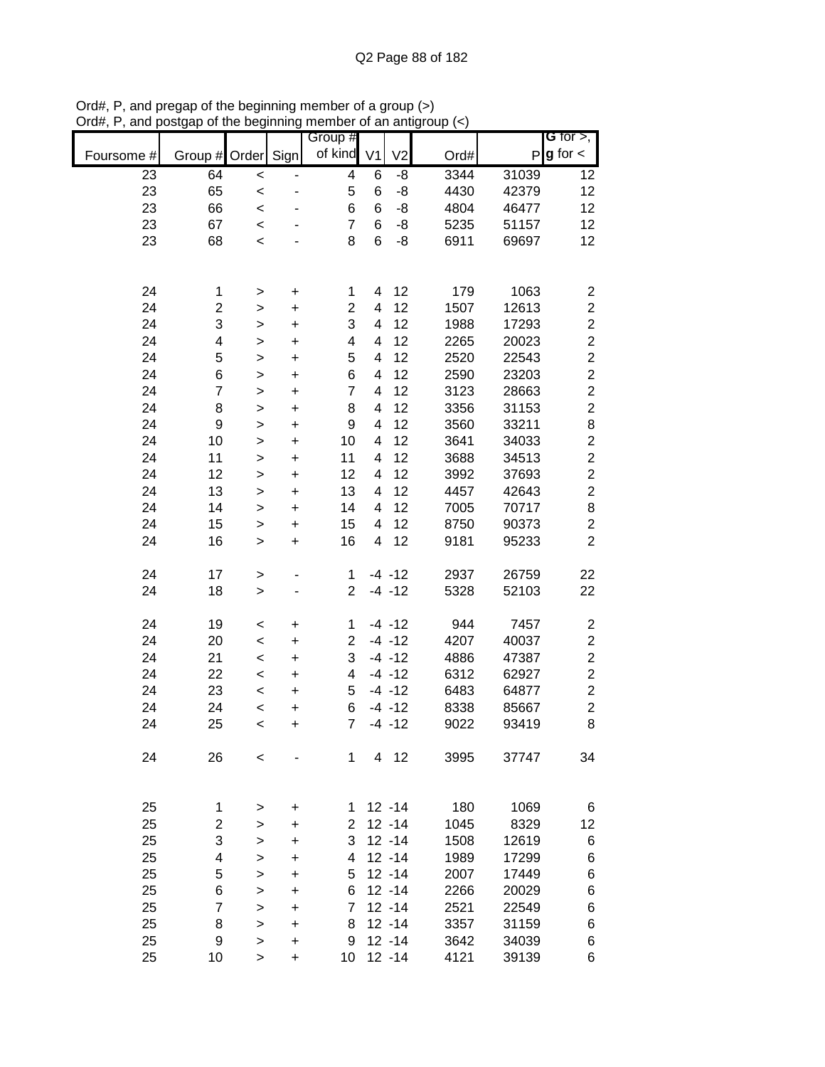|            |                         |                |                | Group #                 |                         |                |      |       | G for $>$ ,             |
|------------|-------------------------|----------------|----------------|-------------------------|-------------------------|----------------|------|-------|-------------------------|
| Foursome # | Group # Order           |                | Sign           | of kind                 | V <sub>1</sub>          | V <sub>2</sub> | Ord# | P     | $g$ for $\lt$           |
| 23         | 64                      | $\prec$        |                | $\overline{\mathbf{4}}$ | 6                       | -8             | 3344 | 31039 | 12                      |
| 23         | 65                      | $\prec$        |                | 5                       | 6                       | -8             | 4430 | 42379 | 12                      |
| 23         | 66                      | $\prec$        |                | 6                       | 6                       | -8             | 4804 | 46477 | 12                      |
| 23         | 67                      | $\prec$        |                | $\overline{7}$          | 6                       | -8             | 5235 | 51157 | 12                      |
| 23         | 68                      | $\,<$          |                | 8                       | 6                       | -8             | 6911 | 69697 | 12                      |
|            |                         |                |                |                         |                         |                |      |       |                         |
| 24         | 1                       | $\geq$         | $\pmb{+}$      | 1                       | 4                       | 12             | 179  | 1063  | $\boldsymbol{2}$        |
| 24         | 2                       | $\mathbf{I}$   | $\ddot{}$      | $\overline{2}$          | 4                       | 12             | 1507 | 12613 | $\overline{\mathbf{c}}$ |
| 24         | 3                       | $\mathbf{I}$   | $\ddot{}$      | 3                       | 4                       | 12             | 1988 | 17293 | $\overline{c}$          |
| 24         | 4                       | $\mathbf{L}$   | $\ddot{}$      | $\overline{\mathbf{4}}$ | 4                       | 12             | 2265 | 20023 | $\overline{c}$          |
| 24         | 5                       | $\geq$         | $\ddot{}$      | 5                       | 4                       | 12             | 2520 | 22543 | $\overline{\mathbf{c}}$ |
| 24         | 6                       | $\geq$         | $\ddot{}$      | 6                       | 4                       | 12             | 2590 | 23203 | $\overline{c}$          |
| 24         | $\overline{7}$          | $\,$           | $\ddot{}$      | $\overline{7}$          | 4                       | 12             | 3123 | 28663 | $\overline{c}$          |
| 24         | 8                       | $\,$           | $\ddot{}$      | 8                       | 4                       | 12             | 3356 | 31153 | $\overline{c}$          |
| 24         | $\boldsymbol{9}$        | $\geq$         | $\ddot{}$      | 9                       | 4                       | 12             | 3560 | 33211 | 8                       |
| 24         | 10                      | $\geq$         | $\ddot{}$      | 10                      | $\overline{\mathbf{4}}$ | 12             | 3641 | 34033 | $\overline{c}$          |
| 24         | 11                      | $\geq$         | $\ddot{}$      | 11                      | $\overline{\mathbf{4}}$ | 12             | 3688 | 34513 | $\overline{c}$          |
| 24         | 12                      | >              | $\ddot{}$      | 12                      | 4                       | 12             | 3992 | 37693 | $\overline{c}$          |
| 24         | 13                      | $\mathbf{L}$   | $\ddot{}$      | 13                      | 4                       | 12             | 4457 | 42643 | $\overline{c}$          |
| 24         | 14                      | >              | $\ddot{}$      | 14                      | 4                       | 12             | 7005 | 70717 | 8                       |
| 24         | 15                      | >              | +              | 15                      | 4                       | 12             | 8750 | 90373 | $\overline{2}$          |
| 24         | 16                      | >              | +              | 16                      | 4                       | 12             | 9181 | 95233 | $\overline{c}$          |
| 24         | 17                      | >              |                | 1                       |                         | $-4 - 12$      | 2937 | 26759 | 22                      |
| 24         | 18                      | $\mathbf{I}$   |                | $\overline{2}$          |                         | $-4 - 12$      | 5328 | 52103 | 22                      |
| 24         | 19                      | $\,<$          | +              | 1                       |                         | $-4 - 12$      | 944  | 7457  | $\overline{\mathbf{c}}$ |
| 24         | 20                      | $\prec$        | $\ddot{}$      | $\overline{2}$          |                         | $-4 - 12$      | 4207 | 40037 | $\overline{\mathbf{c}}$ |
| 24         | 21                      | $\prec$        | $\ddot{}$      | 3                       |                         | $-4 - 12$      | 4886 | 47387 | $\overline{c}$          |
| 24         | 22                      | $\prec$        | $\ddot{}$      | 4                       |                         | $-4 - 12$      | 6312 | 62927 | $\overline{c}$          |
| 24         | 23                      | $\prec$        | $\ddot{}$      | 5                       |                         | $-4 - 12$      | 6483 | 64877 | $\overline{c}$          |
| 24         | 24                      | $\prec$        | $\ddot{}$      | 6                       |                         | $-4 - 12$      | 8338 | 85667 | $\overline{c}$          |
| 24         | 25                      | $\,<$          | $\ddot{}$      | $\overline{7}$          |                         | $-4 - 12$      | 9022 | 93419 | 8                       |
| 24         | 26                      | $\,<\,$        |                | $\mathbf 1$             |                         | 4 12           | 3995 | 37747 | 34                      |
| 25         | 1                       |                |                | 1                       |                         | $12 - 14$      | 180  | 1069  | 6                       |
| 25         | $\overline{c}$          | >              | +              | $\mathbf{2}^{\prime}$   |                         | $12 - 14$      | 1045 | 8329  | 12                      |
| 25         | 3                       | >              | +              | 3                       |                         | $12 - 14$      | 1508 | 12619 | 6                       |
| 25         | $\overline{\mathbf{4}}$ | >              | +<br>$\ddot{}$ | 4                       |                         | $12 - 14$      | 1989 | 17299 | 6                       |
| 25         | 5                       | $\, > \,$      |                | 5                       |                         | $12 - 14$      | 2007 | 17449 | 6                       |
| 25         | 6                       | $\,$           | $\ddot{}$      | 6                       |                         | $12 - 14$      | 2266 | 20029 | 6                       |
| 25         | $\overline{7}$          | $\,$<br>$\geq$ | +<br>$\ddot{}$ | $\overline{7}$          |                         | $12 - 14$      | 2521 | 22549 | 6                       |
| 25         | 8                       | $\geq$         | $\ddot{}$      | 8                       |                         | $12 - 14$      | 3357 | 31159 | 6                       |
| 25         | 9                       | $\mathbf{I}$   | $\ddot{}$      | 9                       |                         | $12 - 14$      | 3642 | 34039 | 6                       |
| 25         | 10                      | $\geq$         | $\ddot{}$      | 10                      |                         | $12 - 14$      | 4121 | 39139 | 6                       |
|            |                         |                |                |                         |                         |                |      |       |                         |

Ord#, P, and pregap of the beginning member of a group (>) Ord#, P, and postgap of the beginning member of an antigroup (<)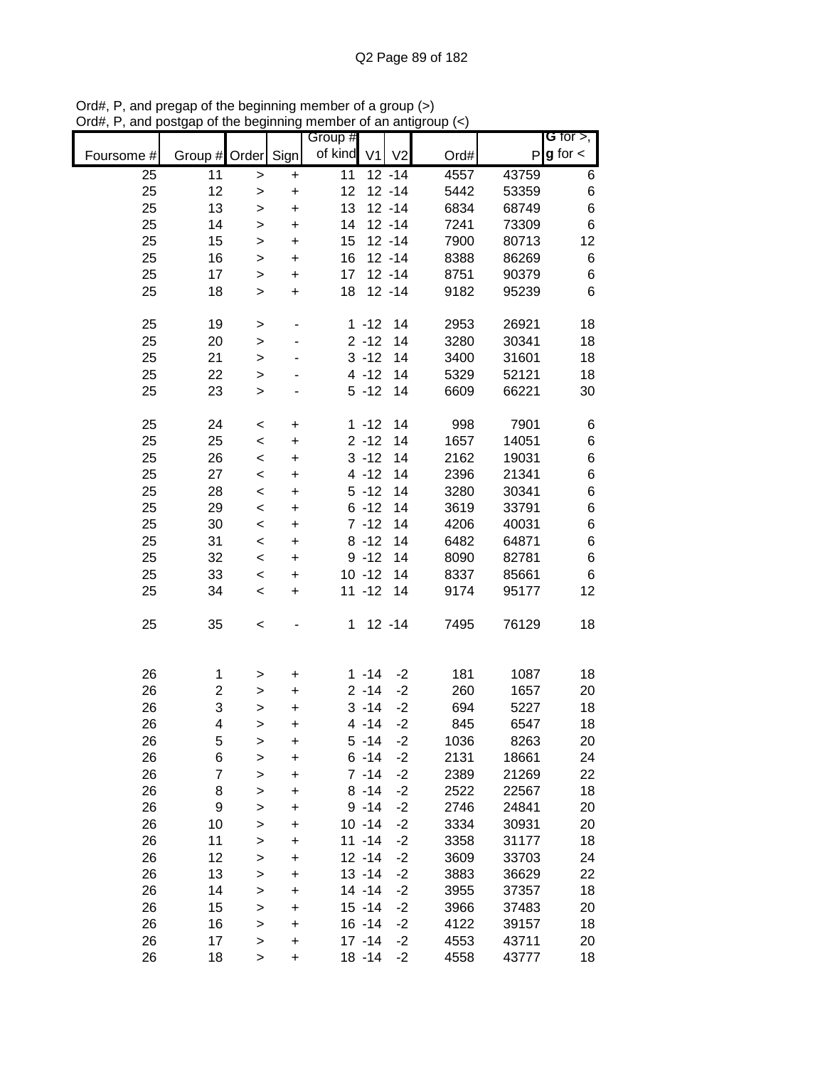|            |                |              |           | Group # |                |                |      |       | <b>G</b> for $>$ , |
|------------|----------------|--------------|-----------|---------|----------------|----------------|------|-------|--------------------|
| Foursome # | Group #        | Order        | Sign      | of kind | V <sub>1</sub> | V <sub>2</sub> | Ord# | P     | $g$ for $\lt$      |
| 25         | 11             | $\geq$       | $\ddot{}$ | 11      |                | $12 - 14$      | 4557 | 43759 | 6                  |
| 25         | 12             | >            | $\ddot{}$ | 12      |                | $12 - 14$      | 5442 | 53359 | $\,6$              |
| 25         | 13             | >            | $\ddot{}$ | 13      |                | $12 - 14$      | 6834 | 68749 | $\,6$              |
| 25         | 14             | $\mathbf{I}$ | $\ddot{}$ | 14      |                | $12 - 14$      | 7241 | 73309 | $\,6$              |
| 25         | 15             | >            | $\ddot{}$ | 15      |                | $12 - 14$      | 7900 | 80713 | 12                 |
| 25         | 16             | >            | $\ddot{}$ | 16      |                | $12 - 14$      | 8388 | 86269 | 6                  |
| 25         | 17             | $\, > \,$    | $\ddot{}$ | 17      |                | $12 - 14$      | 8751 | 90379 | 6                  |
| 25         | 18             | $\, > \,$    | $\ddot{}$ | 18      |                | $12 - 14$      | 9182 | 95239 | 6                  |
| 25         | 19             | $\, > \,$    | ۰         |         | $1 - 12$       | 14             | 2953 | 26921 | 18                 |
| 25         | 20             | $\geq$       |           |         | $2 - 12$       | 14             | 3280 | 30341 | 18                 |
| 25         | 21             | $\geq$       |           |         | $3 - 12$       | 14             | 3400 | 31601 | 18                 |
| 25         | 22             | $\mathbf{I}$ |           |         | $4 - 12$       | 14             | 5329 | 52121 | 18                 |
| 25         | 23             | >            |           |         | $5 - 12$       | 14             | 6609 | 66221 | 30                 |
| 25         | 24             | $\,<$        | +         |         | $1 - 12$       | 14             | 998  | 7901  | 6                  |
| 25         | 25             | $\,<$        | $\ddot{}$ |         | $2 - 12$       | 14             | 1657 | 14051 | 6                  |
| 25         | 26             | $\,<$        | $\ddot{}$ |         | $3 - 12$       | 14             | 2162 | 19031 | $\,6$              |
| 25         | 27             | $\,<$        | $\ddot{}$ |         | $4 - 12$       | 14             | 2396 | 21341 | $\,6$              |
| 25         | 28             | $\,<$        | $\ddot{}$ |         | $5 - 12$       | 14             | 3280 | 30341 | $\,6$              |
| 25         | 29             | $\,<$        | $\ddot{}$ |         | $6 - 12$       | 14             | 3619 | 33791 | $\,$ 6 $\,$        |
| 25         | 30             |              | $\ddot{}$ |         | $7 - 12$       | 14             | 4206 | 40031 | $\,$ 6 $\,$        |
| 25         | 31             | $\,<$        |           |         | $8 - 12$       | 14             | 6482 | 64871 | $\,$ 6 $\,$        |
|            |                | $\,<$        | +         |         |                |                |      |       |                    |
| 25         | 32             | $\,<$        | +         |         | $9 - 12$       | 14             | 8090 | 82781 | $\,6$              |
| 25         | 33             | $\,<$        | +         |         | $10 - 12$      | 14             | 8337 | 85661 | 6                  |
| 25         | 34             | $\,<$        | $\ddot{}$ |         | $11 - 12$      | 14             | 9174 | 95177 | 12                 |
| 25         | 35             | $\,<$        |           | 1       |                | $12 - 14$      | 7495 | 76129 | 18                 |
| 26         | 1              | >            | +         |         | $1 - 14$       | $-2$           | 181  | 1087  | 18                 |
| 26         | $\overline{c}$ | >            | $\ddot{}$ |         | $2 - 14$       | $-2$           | 260  | 1657  | 20                 |
| 26         | 3              | >            | $\ddot{}$ |         | $3 - 14$       | $-2$           | 694  | 5227  | 18                 |
| 26         | 4              | >            | $\ddot{}$ |         | $4 - 14$       | $-2$           | 845  | 6547  | 18                 |
| 26         | 5              | >            | +         |         | $5 - 14$       | $-2$           | 1036 | 8263  | 20                 |
| 26         | 6              | >            | $\ddot{}$ |         | $6 - 14$       | $-2$           | 2131 | 18661 | 24                 |
| 26         | 7              | >            | +         |         | $7 - 14$       | $-2$           | 2389 | 21269 | 22                 |
| 26         | 8              |              | +         |         | $8 - 14$       | $-2$           | 2522 | 22567 | 18                 |
| 26         | 9              | >            |           |         | $9 - 14$       | $-2$           | 2746 | 24841 | 20                 |
| 26         | 10             | >            | +         |         | $10 - 14$      | $-2$           | 3334 | 30931 | 20                 |
| 26         | 11             | >            | +         |         | $11 - 14$      |                |      | 31177 |                    |
|            |                | >            | +         |         |                | $-2$           | 3358 |       | 18                 |
| 26         | 12             | $\geq$       | $\ddot{}$ |         | $12 - 14$      | $-2$           | 3609 | 33703 | 24                 |
| 26         | 13             | $\mathbf{I}$ | $\ddot{}$ |         | $13 - 14$      | $-2$           | 3883 | 36629 | 22                 |
| 26         | 14             | $\mathbf{I}$ | $\ddot{}$ |         | $14 - 14$      | $-2$           | 3955 | 37357 | 18                 |
| 26         | 15             | $\geq$       | $\ddot{}$ |         | $15 - 14$      | $-2$           | 3966 | 37483 | 20                 |
| 26         | 16             | $\geq$       | $\ddot{}$ |         | $16 - 14$      | $-2$           | 4122 | 39157 | 18                 |
| 26         | 17             | >            | $\ddot{}$ |         | $17 - 14$      | $-2$           | 4553 | 43711 | 20                 |
| 26         | 18             | >            | $\ddot{}$ |         | $18 - 14$      | $-2$           | 4558 | 43777 | 18                 |

Ord#, P, and pregap of the beginning member of a group (>) Ord#, P, and postgap of the beginning member of an antigroup (<)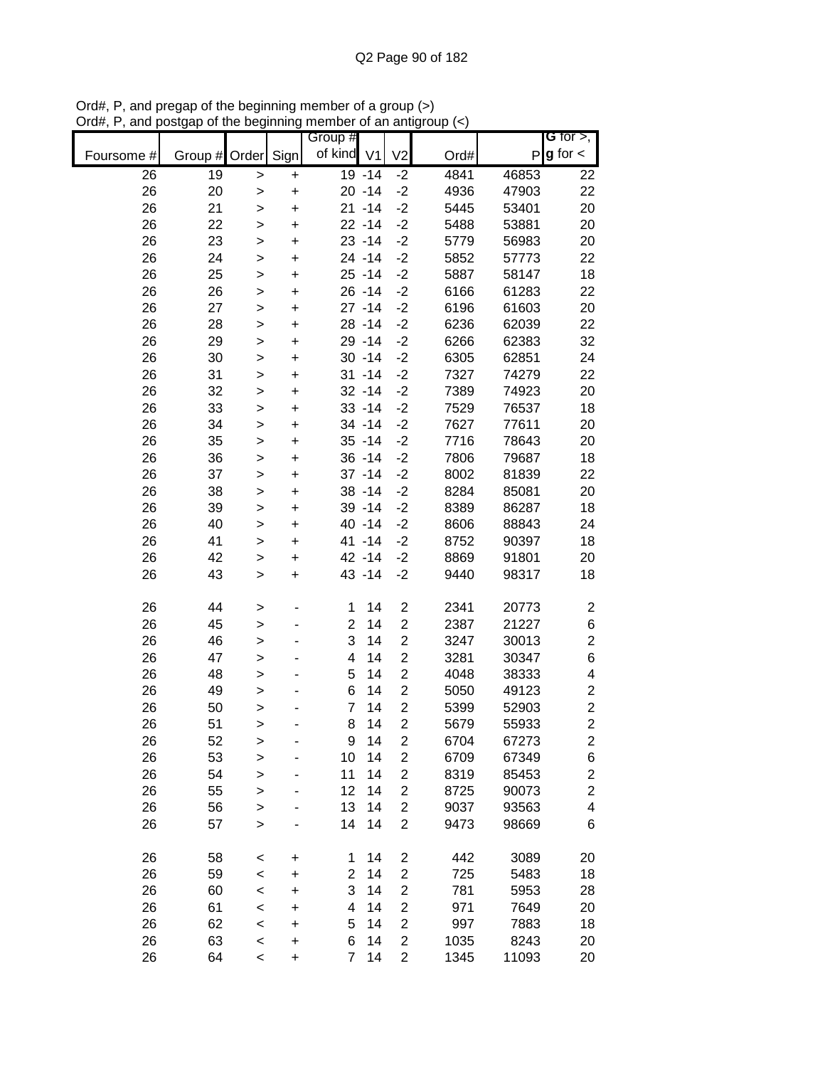|            |          |              |                        | Group #        |                |                                           |              |               | G for $>$ ,             |
|------------|----------|--------------|------------------------|----------------|----------------|-------------------------------------------|--------------|---------------|-------------------------|
| Foursome # | Group #  | Order        | Sign                   | of kind        | V <sub>1</sub> | V <sub>2</sub>                            | Ord#         | P             | $g$ for $\lt$           |
| 26         | 19       | $\geq$       | $\ddot{}$              |                | 19 - 14        | $-2$                                      | 4841         | 46853         | 22                      |
| 26         | 20       | $\mathbf{I}$ | $\ddot{}$              |                | $20 - 14$      | $-2$                                      | 4936         | 47903         | 22                      |
| 26         | 21       | $\mathbf{I}$ | $\ddot{}$              |                | $21 - 14$      | $-2$                                      | 5445         | 53401         | 20                      |
| 26         | 22       | $\mathbf{I}$ | $\ddot{}$              |                | $22 - 14$      | $-2$                                      | 5488         | 53881         | 20                      |
| 26         | 23       | $\mathbf{I}$ | $\ddot{}$              |                | $23 - 14$      | $-2$                                      | 5779         | 56983         | 20                      |
| 26         | 24       | >            | $\ddot{}$              |                | 24 - 14        | $-2$                                      | 5852         | 57773         | 22                      |
| 26         | 25       | >            | $\ddot{}$              |                | $25 - 14$      | $-2$                                      | 5887         | 58147         | 18                      |
| 26         | 26       | $\geq$       | $\ddot{}$              |                | $26 - 14$      | $-2$                                      | 6166         | 61283         | 22                      |
| 26         | 27       | $\geq$       | $\ddot{}$              |                | $27 - 14$      | $-2$                                      | 6196         | 61603         | 20                      |
| 26         | 28       | $\geq$       | $\ddot{}$              |                | 28 - 14        | $-2$                                      | 6236         | 62039         | 22                      |
| 26         | 29       | $\geq$       | $\ddot{}$              |                | 29 - 14        | $-2$                                      | 6266         | 62383         | 32                      |
| 26         | 30       | $\geq$       | $\ddot{}$              |                | $30 - 14$      | $-2$                                      | 6305         | 62851         | 24                      |
| 26         | 31       | $\mathbf{I}$ | $\ddot{}$              |                | $31 - 14$      | $-2$                                      | 7327         | 74279         | 22                      |
| 26         | 32       | >            | $\ddot{}$              |                | $32 - 14$      | $-2$                                      | 7389         | 74923         | 20                      |
| 26         | 33       | >            | $\ddot{}$              |                | $33 - 14$      | $-2$                                      | 7529         | 76537         | 18                      |
| 26         | 34       | >            | $\ddot{}$              |                | 34 - 14        | $-2$                                      | 7627         | 77611         | 20                      |
| 26         | 35       | $\geq$       | $\ddot{}$              |                | $35 - 14$      | $-2$                                      | 7716         | 78643         | 20                      |
| 26         | 36       | $\geq$       | $\ddot{}$              |                | $36 - 14$      | $-2$                                      | 7806         | 79687         | 18                      |
| 26         | 37       | $\geq$       | $\ddot{}$              |                | $37 - 14$      | $-2$                                      | 8002         | 81839         | 22                      |
| 26         | 38       | $\mathbf{I}$ | $\ddot{}$              |                | $38 - 14$      | $-2$                                      | 8284         | 85081         | 20                      |
| 26         | 39       | >            | $\ddot{}$              |                | 39 - 14        | $-2$                                      | 8389         | 86287         | 18                      |
| 26         | 40       | $\mathbf{I}$ | $\ddot{}$              |                | 40 -14         | $-2$                                      | 8606         | 88843         | 24                      |
| 26         | 41       | >            | $\pmb{+}$              |                | 41 -14         | $-2$                                      | 8752         | 90397         | 18                      |
| 26         | 42       | >            | $\ddot{}$              |                | 42 - 14        | $-2$                                      | 8869         | 91801         | 20                      |
| 26         | 43       | $\geq$       | $\ddot{}$              |                | 43 - 14        | $-2$                                      | 9440         | 98317         | 18                      |
|            |          |              |                        |                |                |                                           |              |               |                         |
| 26         | 44       | $\geq$       |                        | 1              | 14             | $\boldsymbol{2}$                          | 2341         | 20773         | $\overline{\mathbf{c}}$ |
| 26         | 45       | $\geq$       |                        | $\overline{2}$ | 14             | $\mathbf 2$                               | 2387         | 21227         | $\boldsymbol{6}$        |
| 26         | 46       | $\mathbf{I}$ |                        | 3              | 14             | $\mathbf 2$                               | 3247         | 30013         | $\overline{\mathbf{c}}$ |
| 26         | 47       | $\geq$       |                        | 4              | 14             | $\overline{c}$                            | 3281         | 30347         | 6                       |
| 26         | 48       | >            |                        | 5              | 14             | $\overline{c}$                            | 4048         | 38333         | 4                       |
| 26         | 49       | >            |                        | 6              | 14             | $\overline{c}$                            | 5050         | 49123         | $\overline{\mathbf{c}}$ |
| 26         | 50       | $\geq$       |                        | $\overline{7}$ | 14             | $\overline{2}$                            | 5399         | 52903         | $\overline{c}$          |
| 26         | 51       | $\geq$       |                        | 8              | 14             | $\overline{2}$                            | 5679         | 55933         | $\overline{2}$          |
| 26         | 52       | $\geq$       |                        | 9              | 14             | $\overline{\mathbf{c}}$                   | 6704         | 67273         | 2                       |
| 26         | 53       | $\geq$       |                        | 10             | 14             | $\mathbf 2$                               | 6709         | 67349         | $\boldsymbol{6}$        |
| 26         | 54       | $\geq$       |                        | 11             | 14             | $\boldsymbol{2}$                          | 8319         | 85453         | $\overline{\mathbf{c}}$ |
| 26         | 55       | $\mathbf{I}$ |                        | 12             | 14             | $\overline{\mathbf{c}}$                   | 8725         | 90073         | $\overline{c}$          |
| 26         | 56       | >            |                        | 13             | 14             | $\overline{c}$                            | 9037         | 93563         | $\overline{\mathbf{4}}$ |
| 26         | 57       | $\mathbf{I}$ |                        | 14             | 14             | $\overline{2}$                            | 9473         | 98669         | 6                       |
|            |          |              |                        |                |                |                                           |              |               |                         |
| 26<br>26   | 58<br>59 | $\,<$        | +                      | 1<br>2         | 14<br>14       | $\overline{c}$<br>$\overline{\mathbf{c}}$ | 442<br>725   | 3089<br>5483  | 20<br>18                |
| 26         | 60       | $\prec$      | $\ddot{}$<br>$\ddot{}$ | 3              | 14             | $\overline{\mathbf{c}}$                   | 781          | 5953          | 28                      |
| 26         | 61       | $\prec$      |                        | 4              | 14             | $\overline{c}$                            | 971          | 7649          | 20                      |
|            |          | $\,<$        | $\ddot{}$              |                | 14             | $\overline{\mathbf{c}}$                   |              |               |                         |
| 26<br>26   | 62       | $\prec$      | $\ddot{}$              | 5<br>6         | 14             | $\overline{c}$                            | 997          | 7883          | 18                      |
| 26         | 63       | $\prec$      | $\ddot{}$              | $\overline{7}$ | 14             | $\overline{2}$                            | 1035<br>1345 | 8243<br>11093 | 20                      |
|            | 64       | $\,<$        | $\ddot{}$              |                |                |                                           |              |               | 20                      |

Ord#, P, and pregap of the beginning member of a group (>) Ord#, P, and postgap of the beginning member of an antigroup (<)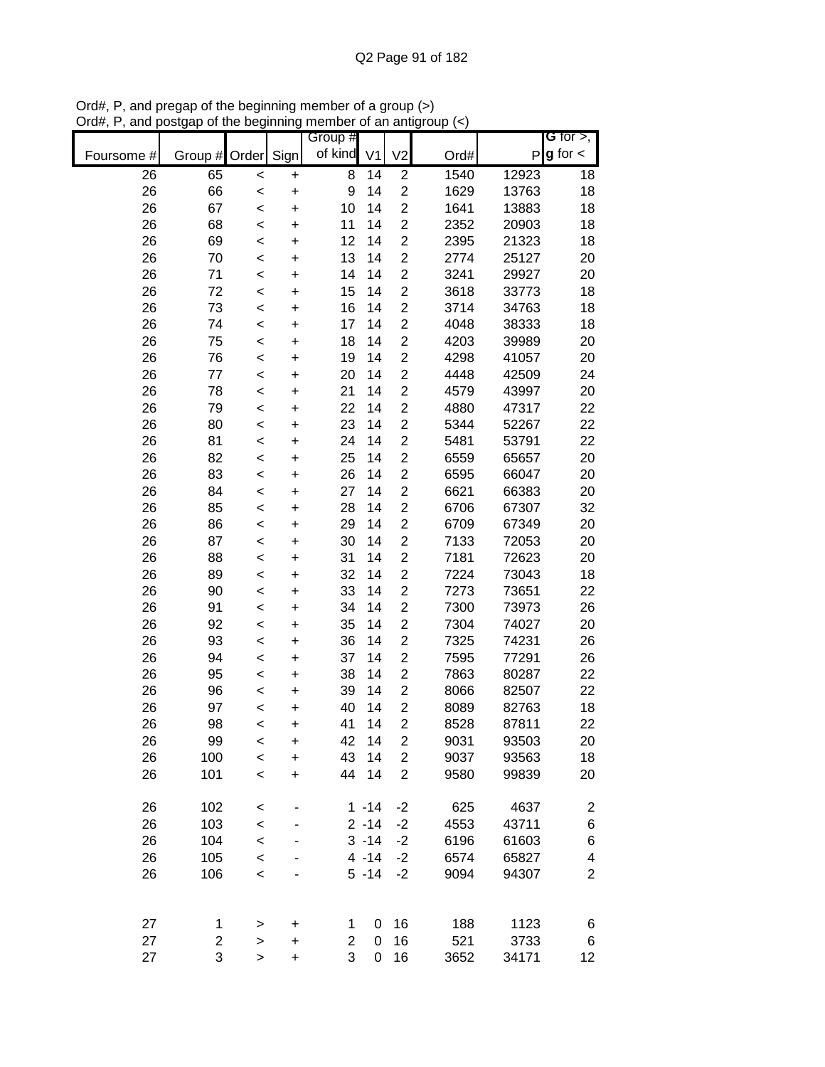|            |         |           |           | Group # |                |                         |      |       | G for $>$ ,             |
|------------|---------|-----------|-----------|---------|----------------|-------------------------|------|-------|-------------------------|
| Foursome # | Group # | Order     | Sign      | of kind | V <sub>1</sub> | V <sub>2</sub>          | Ord# | P     | $g$ for $\lt$           |
| 26         | 65      | $\,<$     | +         | 8       | 14             | $\overline{c}$          | 1540 | 12923 | 18                      |
| 26         | 66      | $\prec$   | $\ddot{}$ | 9       | 14             | $\overline{\mathbf{c}}$ | 1629 | 13763 | 18                      |
| 26         | 67      | $\prec$   | $\ddot{}$ | 10      | 14             | $\overline{2}$          | 1641 | 13883 | 18                      |
| 26         | 68      | $\prec$   | $\ddot{}$ | 11      | 14             | $\boldsymbol{2}$        | 2352 | 20903 | 18                      |
| 26         | 69      | $\prec$   | $\ddot{}$ | 12      | 14             | $\boldsymbol{2}$        | 2395 | 21323 | 18                      |
| 26         | 70      | $\prec$   | $\ddot{}$ | 13      | 14             | $\overline{\mathbf{c}}$ | 2774 | 25127 | 20                      |
| 26         | 71      | $\prec$   | $\ddot{}$ | 14      | 14             | $\overline{c}$          | 3241 | 29927 | 20                      |
| 26         | 72      | $\prec$   | +         | 15      | 14             | $\overline{\mathbf{c}}$ | 3618 | 33773 | 18                      |
| 26         | 73      | <         | $\ddot{}$ | 16      | 14             | $\overline{c}$          | 3714 | 34763 | 18                      |
| 26         | 74      | <         | $\ddot{}$ | 17      | 14             | $\overline{c}$          | 4048 | 38333 | 18                      |
| 26         | 75      | $\prec$   | $\ddot{}$ | 18      | 14             | $\overline{c}$          | 4203 | 39989 | 20                      |
| 26         | 76      | $\prec$   | $\ddot{}$ | 19      | 14             | $\mathbf 2$             | 4298 | 41057 | 20                      |
| 26         | 77      | $\prec$   | $\ddot{}$ | 20      | 14             | $\overline{\mathbf{c}}$ | 4448 | 42509 | 24                      |
| 26         | 78      | $\prec$   | $\ddot{}$ | 21      | 14             | $\boldsymbol{2}$        | 4579 | 43997 | 20                      |
| 26         | 79      | $\prec$   | $\ddot{}$ | 22      | 14             | $\overline{c}$          | 4880 | 47317 | 22                      |
| 26         | 80      | $\prec$   | $\ddot{}$ | 23      | 14             | $\overline{c}$          | 5344 | 52267 | 22                      |
| 26         | 81      | <         | $\ddot{}$ | 24      | 14             | $\overline{c}$          | 5481 | 53791 | 22                      |
| 26         | 82      | $\prec$   | $\ddot{}$ | 25      | 14             | $\overline{c}$          | 6559 | 65657 | 20                      |
| 26         | 83      | $\prec$   | $\ddot{}$ | 26      | 14             | $\overline{c}$          | 6595 | 66047 | 20                      |
| 26         | 84      | $\prec$   | $\ddot{}$ | 27      | 14             | $\overline{c}$          | 6621 | 66383 | 20                      |
| 26         | 85      | $\prec$   | $\ddot{}$ | 28      | 14             | $\mathbf 2$             | 6706 | 67307 | 32                      |
| 26         | 86      | $\prec$   | $\ddot{}$ | 29      | 14             | $\mathbf 2$             | 6709 | 67349 | 20                      |
| 26         | 87      | $\prec$   | $\ddot{}$ | 30      | 14             | $\overline{c}$          | 7133 | 72053 | 20                      |
| 26         | 88      | $\prec$   | $\ddot{}$ | 31      | 14             | $\overline{c}$          | 7181 | 72623 | 20                      |
| 26         | 89      | $\prec$   | +         | 32      | 14             | $\overline{\mathbf{c}}$ | 7224 | 73043 | 18                      |
| 26         | 90      | <         | $\ddot{}$ | 33      | 14             | $\overline{c}$          | 7273 | 73651 | 22                      |
| 26         | 91      | <         | +         | 34      | 14             | 2                       | 7300 | 73973 | 26                      |
| 26         | 92      | $\prec$   | $\ddot{}$ | 35      | 14             | $\overline{c}$          | 7304 | 74027 | 20                      |
| 26         | 93      | $\prec$   | $\ddot{}$ | 36      | 14             | $\overline{c}$          | 7325 | 74231 | 26                      |
| 26         | 94      | $\prec$   | $\ddot{}$ | 37      | 14             | $\overline{2}$          | 7595 | 77291 | 26                      |
| 26         | 95      | $\prec$   | $\ddot{}$ | 38      | 14             | $\overline{c}$          | 7863 | 80287 | 22                      |
| 26         | 96      | $\prec$   | $\ddot{}$ | 39      | 14             | $\overline{2}$          | 8066 | 82507 | 22                      |
| 26         | 97      | $\prec$   | $\ddot{}$ | 40      | 14             | $\overline{2}$          | 8089 | 82763 | 18                      |
| 26         | 98      | <         | $\ddot{}$ | 41      | 14             | $\overline{2}$          | 8528 | 87811 | 22                      |
| 26         | 99      | <         | +         | 42      | 14             | $\overline{c}$          | 9031 | 93503 | 20                      |
| 26         | 100     | $\prec$   | $\ddot{}$ | 43      | 14             | $\overline{2}$          | 9037 | 93563 | 18                      |
| 26         | 101     | $\prec$   | $\ddot{}$ | 44      | 14             | $\overline{2}$          | 9580 | 99839 | 20                      |
| 26         | 102     | $\,<$     |           |         | $1 - 14$       | $-2$                    | 625  | 4637  | $\overline{\mathbf{c}}$ |
| 26         | 103     | $\prec$   |           |         | $2 - 14$       | $-2$                    | 4553 | 43711 | $\,$ 6 $\,$             |
| 26         | 104     | $\prec$   |           |         | $3 - 14$       | $-2$                    | 6196 | 61603 | $\,$ 6 $\,$             |
| 26         | 105     | $\prec$   |           |         | $4 - 14$       | $-2$                    | 6574 | 65827 | 4                       |
| 26         | 106     | $\prec$   |           |         | $5 - 14$       | $-2$                    | 9094 | 94307 | $\overline{2}$          |
|            |         |           |           |         |                |                         |      |       |                         |
| 27         | 1       | $\, > \,$ | +         | 1       | 0              | 16                      | 188  | 1123  | 6                       |
| 27         | 2       | $\geq$    | $\ddot{}$ | 2       | 0              | 16                      | 521  | 3733  | 6                       |
| 27         | 3       | $\, > \,$ | $\ddot{}$ | 3       | $\pmb{0}$      | 16                      | 3652 | 34171 | 12                      |

Ord#, P, and pregap of the beginning member of a group (>) Ord#, P, and postgap of the beginning member of an antigroup (<)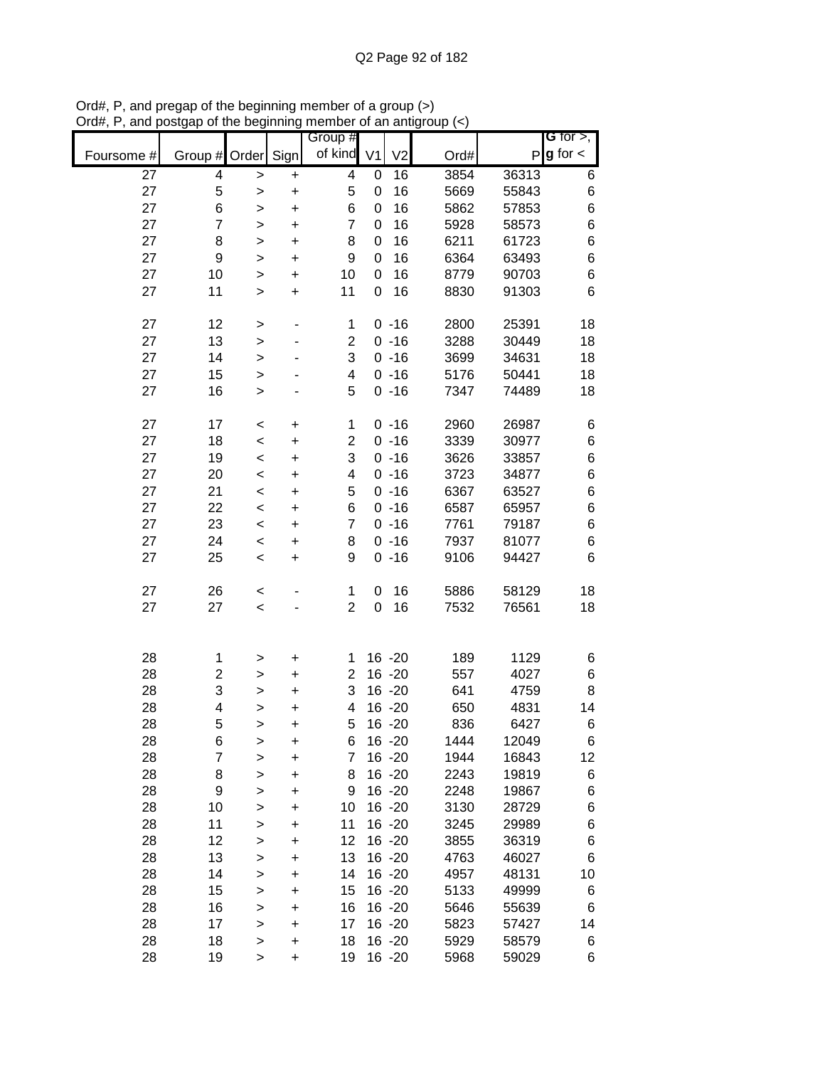|            |                  |              |                          | Group #                 |                  |                |      |       | G for $>$ ,   |
|------------|------------------|--------------|--------------------------|-------------------------|------------------|----------------|------|-------|---------------|
| Foursome # | Group # Order    |              | Sign                     | of kind                 | V <sub>1</sub>   | V <sub>2</sub> | Ord# | P     | $g$ for $\lt$ |
| 27         | 4                | $\,$         | $\ddot{}$                | 4                       | $\mathbf 0$      | 16             | 3854 | 36313 | 6             |
| 27         | 5                | $\,$         | $\ddot{}$                | 5                       | $\mathbf 0$      | 16             | 5669 | 55843 | 6             |
| 27         | 6                | >            | $\ddot{}$                | 6                       | $\mathbf 0$      | 16             | 5862 | 57853 | 6             |
| 27         | $\overline{7}$   | $\,$         | $\ddot{}$                | $\overline{7}$          | 0                | 16             | 5928 | 58573 | 6             |
| 27         | 8                | $\,$         | $\ddot{}$                | 8                       | 0                | 16             | 6211 | 61723 | 6             |
| 27         | $\boldsymbol{9}$ | $\geq$       | $\ddot{}$                | 9                       | 0                | 16             | 6364 | 63493 | 6             |
| 27         | 10               | $\,$         | $\ddot{}$                | 10                      | 0                | 16             | 8779 | 90703 | 6             |
| 27         | 11               | $\, > \,$    | $\ddot{}$                | 11                      | 0                | 16             | 8830 | 91303 | 6             |
| 27         | 12               | >            | $\overline{\phantom{0}}$ | 1                       |                  | $0 - 16$       | 2800 | 25391 | 18            |
| 27         | 13               | $\,$         | ٠                        | $\overline{2}$          |                  | $0 - 16$       | 3288 | 30449 | 18            |
| 27         | 14               | $\,$         |                          | 3                       |                  | $0 - 16$       | 3699 | 34631 | 18            |
| 27         | 15               | $\geq$       |                          | 4                       |                  | $0 - 16$       | 5176 | 50441 | 18            |
| 27         | 16               | $\mathbf{I}$ |                          | 5                       |                  | $0 - 16$       | 7347 | 74489 | 18            |
| 27         | 17               | $\,<$        | $\ddot{}$                | $\mathbf{1}$            |                  | $0 - 16$       | 2960 | 26987 | 6             |
| 27         | 18               | $\prec$      | $\ddot{}$                | $\overline{c}$          |                  | $0 - 16$       | 3339 | 30977 | 6             |
| 27         | 19               | $\prec$      | $\ddot{}$                | 3                       |                  | $0 - 16$       | 3626 | 33857 | 6             |
| 27         | 20               | $\prec$      | $\ddot{}$                | $\overline{\mathbf{4}}$ |                  | $0 - 16$       | 3723 | 34877 | 6             |
| 27         | 21               | $\prec$      | $\ddot{}$                | 5                       |                  | $0 - 16$       | 6367 | 63527 | 6             |
| 27         | 22               | $\prec$      | $\ddot{}$                | 6                       |                  | $0 - 16$       | 6587 | 65957 | 6             |
| 27         | 23               | $\prec$      | $\ddot{}$                | $\overline{7}$          |                  | $0 - 16$       | 7761 | 79187 | 6             |
| 27         | 24               | $\prec$      | $\ddot{}$                | 8                       |                  | $0 - 16$       | 7937 | 81077 | 6             |
| 27         | 25               | $\,<$        | $\ddot{}$                | 9                       |                  | $0 - 16$       | 9106 | 94427 | 6             |
| 27         | 26               | $\,<$        |                          | 1                       | 0                | 16             | 5886 | 58129 | 18            |
| 27         | 27               | $\prec$      |                          | $\overline{2}$          | $\boldsymbol{0}$ | 16             | 7532 | 76561 | 18            |
| 28         | 1                | >            | $\pmb{+}$                | 1                       |                  | $16 - 20$      | 189  | 1129  | 6             |
| 28         | 2                | $\,$         | $\ddot{}$                | $\overline{2}$          |                  | $16 - 20$      | 557  | 4027  | 6             |
| 28         | 3                | >            | +                        | 3                       |                  | $16 - 20$      | 641  | 4759  | 8             |
| 28         | 4                | >            | $\ddot{}$                | 4                       |                  | $16 - 20$      | 650  | 4831  | 14            |
| 28         | 5                | >            | $\ddot{}$                | 5                       |                  | $16 - 20$      | 836  | 6427  | 6             |
| 28         | 6                | >            | $\ddot{}$                | 6                       |                  | $16 - 20$      | 1444 | 12049 | 6             |
| 28         | 7                | >            | $\ddot{}$                | 7                       |                  | 16 -20         | 1944 | 16843 | 12            |
| 28         | 8                | >            | $\ddot{}$                | 8                       |                  | $16 - 20$      | 2243 | 19819 | 6             |
| 28         | 9                | >            | $\ddot{}$                | 9                       |                  | 16 - 20        | 2248 | 19867 | 6             |
| 28         | 10               | $\,$         | $\ddot{}$                | 10                      |                  | 16 - 20        | 3130 | 28729 | 6             |
| 28         | 11               | $\mathbf{I}$ | +                        | 11                      |                  | 16 - 20        | 3245 | 29989 | 6             |
| 28         | 12               | >            | +                        | 12                      |                  | 16 - 20        | 3855 | 36319 | 6             |
| 28         | 13               | >            | +                        | 13                      |                  | 16 -20         | 4763 | 46027 | 6             |
| 28         | 14               | $\,$         | +                        | 14                      |                  | $16 - 20$      | 4957 | 48131 | 10            |
| 28         | 15               | $\,$         | +                        | 15                      |                  | $16 - 20$      | 5133 | 49999 | 6             |
| 28         | 16               | >            | +                        | 16                      |                  | $16 - 20$      | 5646 | 55639 | 6             |
| 28         | 17               | $\,$         | +                        | 17                      |                  | $16 - 20$      | 5823 | 57427 | 14            |
| 28         | 18               | $\, > \,$    | $\ddot{}$                | 18                      |                  | $16 - 20$      | 5929 | 58579 | 6             |
| 28         | 19               | $\,$         | $\ddot{}$                | 19                      |                  | $16 - 20$      | 5968 | 59029 | 6             |

Ord#, P, and pregap of the beginning member of a group (>) Ord#, P, and postgap of the beginning member of an antigroup (<)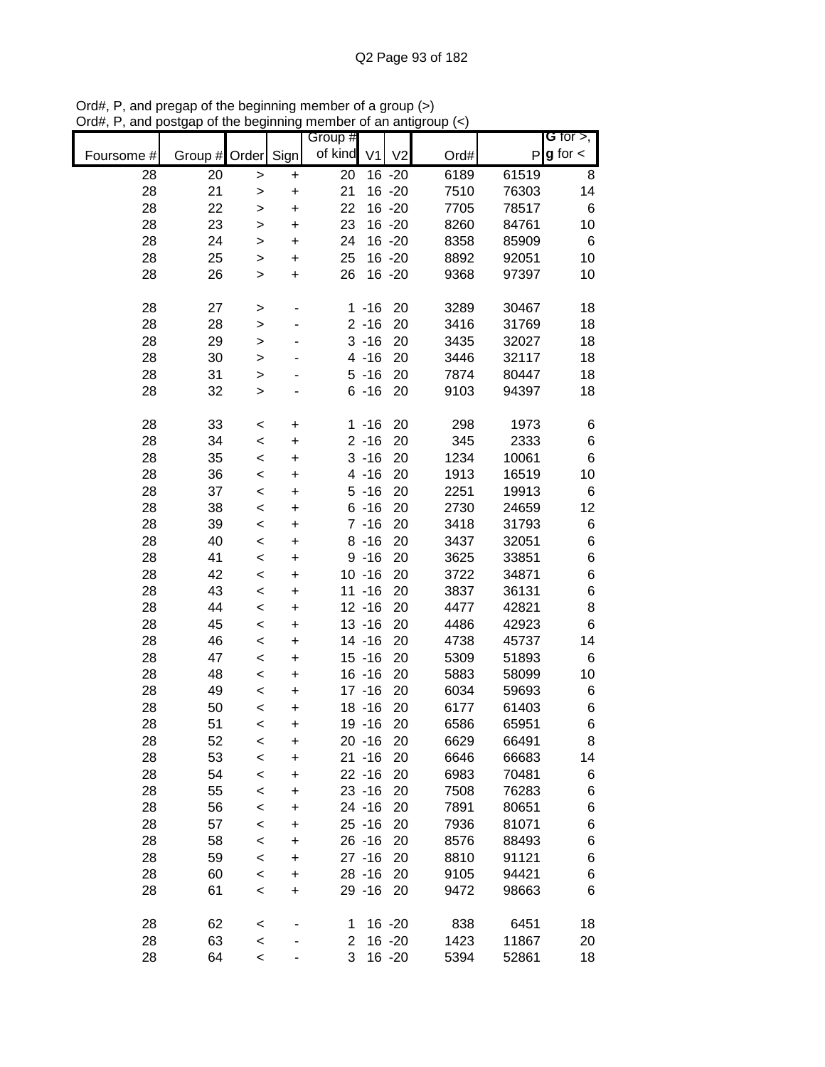|            |         |              |           | Group #         |                |                |      |       | G for $>$ ,   |
|------------|---------|--------------|-----------|-----------------|----------------|----------------|------|-------|---------------|
| Foursome # | Group # | Order        | Sign      | of kind         | V <sub>1</sub> | V <sub>2</sub> | Ord# | P     | $g$ for $\lt$ |
| 28         | 20      | >            | +         | $\overline{20}$ |                | $16 - 20$      | 6189 | 61519 | 8             |
| 28         | 21      | >            | $\ddot{}$ | 21              |                | $16 - 20$      | 7510 | 76303 | 14            |
| 28         | 22      | >            | $\ddot{}$ | 22              |                | $16 - 20$      | 7705 | 78517 | 6             |
| 28         | 23      | >            | $\ddot{}$ | 23              |                | $16 - 20$      | 8260 | 84761 | 10            |
| 28         | 24      | >            | $\ddot{}$ | 24              |                | $16 - 20$      | 8358 | 85909 | 6             |
| 28         | 25      | >            | $\ddot{}$ | 25              |                | $16 - 20$      | 8892 | 92051 | 10            |
| 28         | 26      | >            | $\ddot{}$ | 26              |                | $16 - 20$      | 9368 | 97397 | 10            |
|            |         |              |           |                 |                |                |      |       |               |
| 28         | 27      | >            | ۰         |                 | $1 - 16$       | 20             | 3289 | 30467 | 18            |
| 28         | 28      | $\geq$       |           |                 | $2 - 16$       | 20             | 3416 | 31769 | 18            |
| 28         | 29      | $\geq$       |           |                 | $3 - 16$       | 20             | 3435 | 32027 | 18            |
| 28         | 30      | $\mathbf{I}$ |           |                 | $4 - 16$       | 20             | 3446 | 32117 | 18            |
| 28         | 31      | $\geq$       |           |                 | $5 - 16$       | 20             | 7874 | 80447 | 18            |
| 28         | 32      | >            |           |                 | $6 - 16$       | 20             | 9103 | 94397 | 18            |
| 28         | 33      | $\,<$        | $\ddot{}$ | $\mathbf 1$     | $-16$          | 20             | 298  | 1973  | 6             |
| 28         | 34      | $\prec$      | $\ddot{}$ |                 | $2 - 16$       | 20             | 345  | 2333  | 6             |
| 28         | 35      | $\prec$      | $\ddot{}$ |                 | $3 - 16$       | 20             | 1234 | 10061 | $\,6$         |
| 28         | 36      | $\prec$      | $\ddot{}$ |                 | $4 - 16$       | 20             | 1913 | 16519 | 10            |
| 28         | 37      | $\prec$      | $\ddot{}$ |                 | $5 - 16$       | 20             | 2251 | 19913 | 6             |
| 28         | 38      | $\prec$      | $\ddot{}$ |                 | $6 - 16$       | 20             | 2730 | 24659 | 12            |
| 28         | 39      | $\prec$      | +         |                 | $7 - 16$       | 20             | 3418 | 31793 | 6             |
| 28         | 40      | $\prec$      | +         |                 | $8 - 16$       | 20             | 3437 | 32051 | 6             |
| 28         | 41      | $\prec$      | +         |                 | $9 - 16$       | 20             | 3625 | 33851 | $\,$ 6 $\,$   |
| 28         | 42      | $\,<$        | +         |                 | $10 - 16$      | 20             | 3722 | 34871 | $\,$ 6 $\,$   |
| 28         | 43      | $\,<$        | +         |                 | $11 - 16$      | 20             | 3837 | 36131 | $\,6$         |
| 28         | 44      | $\prec$      | $\ddot{}$ |                 | $12 - 16$      | 20             | 4477 | 42821 | 8             |
| 28         | 45      | $\prec$      | $\ddot{}$ |                 | $13 - 16$      | 20             | 4486 | 42923 | $\,6$         |
| 28         | 46      | $\prec$      | $\ddot{}$ |                 | $14 - 16$      | 20             | 4738 | 45737 | 14            |
| 28         | 47      | $\,<$        | $\ddot{}$ |                 | $15 - 16$      | 20             | 5309 | 51893 | 6             |
| 28         | 48      | $\,<$        | $\ddot{}$ |                 | $16 - 16$      | 20             | 5883 | 58099 | 10            |
| 28         | 49      | $\,<$        | $\ddot{}$ |                 | $17 - 16$      | 20             | 6034 | 59693 | 6             |
| 28         | 50      | $\,<$        | $\ddot{}$ |                 | $18 - 16$      | 20             | 6177 | 61403 | $\,6$         |
| 28         | 51      | $\,<$        | $\ddot{}$ |                 | 19 - 16        | 20             | 6586 | 65951 | 6             |
| 28         | 52      | <            | +         |                 | $20 - 16$      | 20             | 6629 | 66491 | 8             |
| 28         | 53      | $\prec$      | $\ddot{}$ |                 | $21 - 16$      | 20             | 6646 | 66683 | 14            |
| 28         | 54      | $\,<$        | +         |                 | $22 - 16$      | 20             | 6983 | 70481 | 6             |
| 28         | 55      | $\,<$        | +         |                 | $23 - 16$      | 20             | 7508 | 76283 | 6             |
| 28         | 56      | $\,<$        | +         |                 | $24 - 16$      | 20             | 7891 | 80651 | 6             |
| 28         | 57      |              |           |                 | $25 - 16$      | 20             | 7936 | 81071 | 6             |
| 28         | 58      | $\,<$        | +         |                 | $26 - 16$      |                |      |       |               |
|            |         | $\,<$        | +         |                 | $27 - 16$      | 20             | 8576 | 88493 | 6             |
| 28         | 59      | $\,<$        | +         |                 |                | 20             | 8810 | 91121 | 6             |
| 28         | 60      | $\,<$        | $\ddot{}$ |                 | $28 - 16$      | 20             | 9105 | 94421 | 6             |
| 28         | 61      | $\,<$        | $\ddot{}$ |                 | $29 - 16$      | 20             | 9472 | 98663 | 6             |
| 28         | 62      | $\,<$        |           | 1               |                | $16 - 20$      | 838  | 6451  | 18            |
| 28         | 63      | $\prec$      |           | $\overline{2}$  |                | $16 - 20$      | 1423 | 11867 | 20            |
| 28         | 64      | $\,<$        |           | 3               |                | $16 - 20$      | 5394 | 52861 | 18            |

Ord#, P, and pregap of the beginning member of a group (>) Ord#, P, and postgap of the beginning member of an antigroup (<)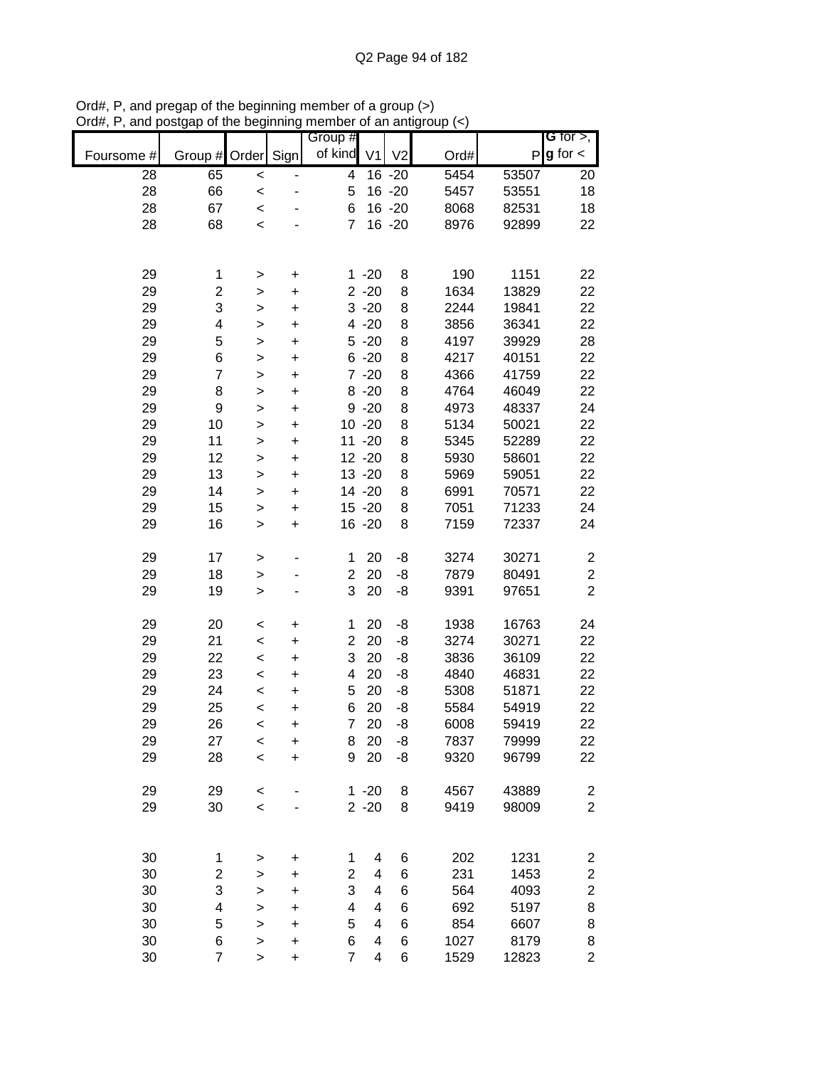|            |                              |              |           | Group #                 |                |                |      |       | G for $>$ ,                                        |
|------------|------------------------------|--------------|-----------|-------------------------|----------------|----------------|------|-------|----------------------------------------------------|
| Foursome # | Group #                      | Order        | Sign      | of kind                 | V <sub>1</sub> | V <sub>2</sub> | Ord# | P     | $g$ for $\lt$                                      |
|            |                              |              |           |                         |                |                |      |       |                                                    |
| 28         | 65                           | $\prec$      |           | $\overline{\mathbf{4}}$ |                | $16 - 20$      | 5454 | 53507 | 20                                                 |
| 28         | 66                           | $\prec$      |           | 5                       |                | 16 - 20        | 5457 | 53551 | 18                                                 |
| 28         | 67                           | $\prec$      |           | 6                       |                | 16 - 20        | 8068 | 82531 | 18                                                 |
| 28         | 68                           | $\prec$      |           | $\overline{7}$          |                | 16 - 20        | 8976 | 92899 | 22                                                 |
|            |                              |              |           |                         |                |                |      |       |                                                    |
|            |                              |              |           |                         |                |                |      |       |                                                    |
| 29         | 1                            | $\, > \,$    | $\ddot{}$ |                         | $1 - 20$       | 8              | 190  | 1151  | 22                                                 |
| 29         | $\overline{c}$               | $\geq$       | $\ddot{}$ |                         | $2 - 20$       | 8              | 1634 | 13829 | 22                                                 |
| 29         | 3                            | $\geq$       | $\ddot{}$ |                         | $3 - 20$       | 8              | 2244 | 19841 | 22                                                 |
| 29         | 4                            | $\geq$       | $\ddot{}$ |                         | $4 - 20$       | 8              | 3856 | 36341 | 22                                                 |
| 29         | 5                            | $\geq$       | $\ddot{}$ |                         | $5 - 20$       | 8              | 4197 | 39929 | 28                                                 |
| 29         | 6                            | $\mathbf{I}$ | $\ddot{}$ |                         | $6 - 20$       | 8              | 4217 | 40151 | 22                                                 |
| 29         | $\overline{7}$               | $\mathbf{I}$ | $\ddot{}$ |                         | $7 - 20$       | 8              | 4366 | 41759 | 22                                                 |
| 29         | 8                            | $\geq$       | $\ddot{}$ |                         | $8 - 20$       | $\,8\,$        | 4764 | 46049 | 22                                                 |
| 29         | $\boldsymbol{9}$             | $\geq$       | $\ddot{}$ |                         | $9 - 20$       | $\,8\,$        | 4973 | 48337 | 24                                                 |
| 29         | 10                           | >            | $\ddot{}$ |                         | $10 - 20$      | 8              | 5134 | 50021 | 22                                                 |
| 29         | 11                           | $\mathbf{L}$ | $\ddot{}$ | 11                      | $-20$          | 8              | 5345 | 52289 | 22                                                 |
| 29         | 12                           | $\geq$       | $\ddot{}$ |                         | $12 - 20$      | 8              | 5930 | 58601 | 22                                                 |
| 29         | 13                           | $\mathbf{I}$ | $\ddot{}$ |                         | $13 - 20$      | 8              | 5969 | 59051 | 22                                                 |
| 29         | 14                           | >            | $\ddot{}$ |                         | 14 -20         | 8              | 6991 | 70571 | 22                                                 |
| 29         | 15                           | >            | $\ddot{}$ |                         | $15 - 20$      | 8              | 7051 | 71233 | 24                                                 |
| 29         | 16                           | >            | $\ddot{}$ |                         | 16 -20         | 8              | 7159 | 72337 | 24                                                 |
|            |                              |              |           |                         |                |                |      |       |                                                    |
| 29         | 17                           | $\, > \,$    |           | 1                       | 20             | -8             | 3274 | 30271 | $\boldsymbol{2}$                                   |
| 29         | 18                           | $\mathbf{I}$ |           | $\overline{c}$          | 20             | -8             | 7879 | 80491 | $\boldsymbol{2}$                                   |
| 29         | 19                           | $\geq$       |           | 3                       | 20             | -8             | 9391 | 97651 | $\overline{2}$                                     |
|            |                              |              |           |                         |                |                |      |       |                                                    |
| 29         | 20                           | $\prec$      | $\ddot{}$ | $\mathbf 1$             | 20             | -8             | 1938 | 16763 | 24                                                 |
| 29         | 21                           | $\prec$      | $\ddot{}$ | $\overline{c}$          | 20             | -8             | 3274 | 30271 | 22                                                 |
| 29         | 22                           | $\prec$      | $\ddot{}$ | 3                       | 20             | -8             | 3836 | 36109 | 22                                                 |
| 29         | 23                           | $\prec$      | $\ddot{}$ | 4                       | 20             | -8             | 4840 | 46831 | 22                                                 |
| 29         | 24                           | $\prec$      | $\ddot{}$ | 5                       | 20             | -8             | 5308 | 51871 | 22                                                 |
| 29         | 25                           | $\prec$      | $\ddot{}$ | 6                       | 20             | -8             | 5584 | 54919 | 22                                                 |
| 29         | 26                           | $\prec$      | +         | $\overline{7}$          | 20             | -8             | 6008 | 59419 | 22                                                 |
| 29         | 27                           | $\prec$      | +         | 8                       | 20             | -8             | 7837 | 79999 | 22                                                 |
| 29         | 28                           | $\prec$      | $\ddot{}$ | 9                       | 20             | -8             | 9320 | 96799 | 22                                                 |
|            |                              |              |           |                         |                |                |      |       |                                                    |
| 29         | 29                           | $\,<$        |           |                         | $1 - 20$       | 8              | 4567 | 43889 | 2                                                  |
| 29         | 30                           | $\prec$      |           |                         | $2 - 20$       | 8              | 9419 | 98009 | $\overline{c}$                                     |
|            |                              |              |           |                         |                |                |      |       |                                                    |
|            |                              |              |           |                         |                |                |      |       |                                                    |
| 30         |                              |              |           | 1                       | 4              | 6              | 202  | 1231  |                                                    |
| 30         | 1                            | $\,$         | $\ddot{}$ | $\overline{\mathbf{c}}$ | 4              |                | 231  | 1453  | $\overline{\mathbf{c}}$                            |
| 30         | $\overline{\mathbf{c}}$<br>3 | >            | $\ddot{}$ | 3                       | 4              | 6              |      |       | $\overline{\mathbf{c}}$<br>$\overline{\mathbf{c}}$ |
|            |                              | $\mathbf{I}$ | $\ddot{}$ |                         | 4              | 6              | 564  | 4093  |                                                    |
| 30         | 4                            | $\mathbf{I}$ | $\ddot{}$ | 4                       | 4              | 6              | 692  | 5197  | 8                                                  |
| 30         | 5                            | $\mathbf{I}$ | $\ddot{}$ | 5                       |                | 6              | 854  | 6607  | 8                                                  |
| 30         | 6                            | >            | $\ddot{}$ | 6                       | 4              | 6              | 1027 | 8179  | 8                                                  |
| 30         | $\overline{7}$               | >            | $\ddot{}$ | $\overline{7}$          | 4              | 6              | 1529 | 12823 | $\overline{c}$                                     |

Ord#, P, and pregap of the beginning member of a group (>) Ord#, P, and postgap of the beginning member of an antigroup (<)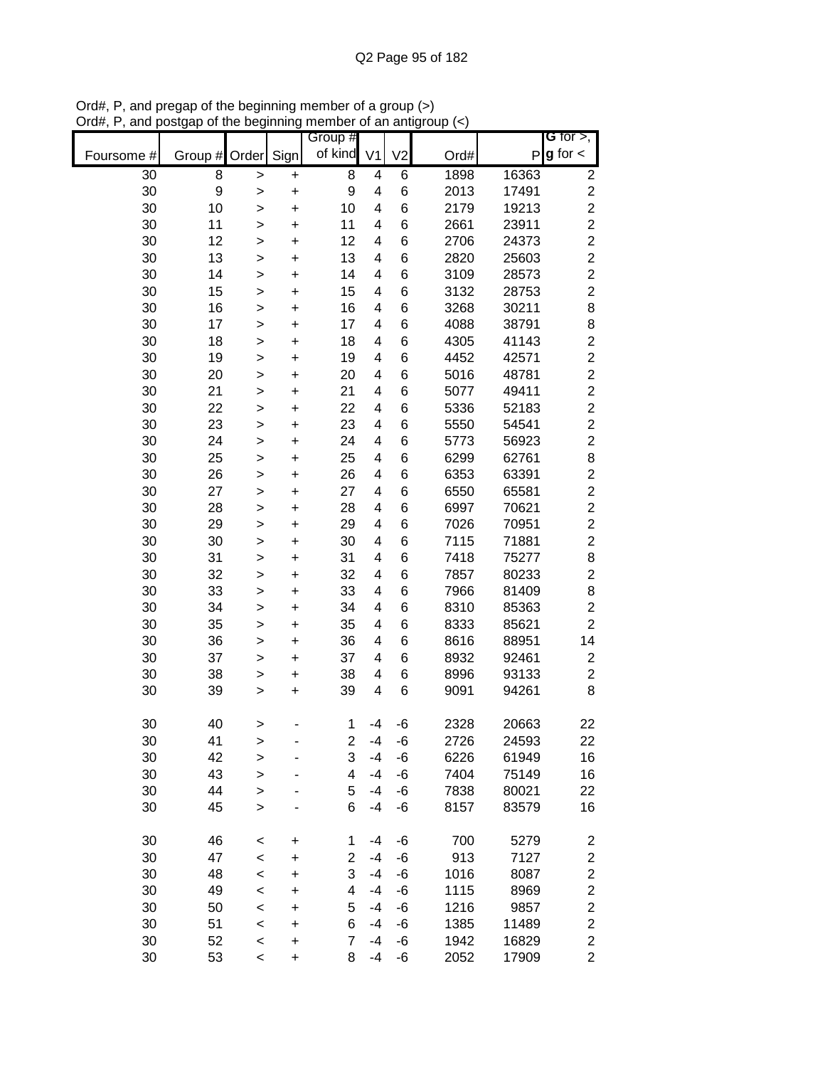|            |               |              |           | Group #                 |                |                |      |       | G for $>$ ,             |
|------------|---------------|--------------|-----------|-------------------------|----------------|----------------|------|-------|-------------------------|
| Foursome # | Group # Order |              | Sign      | of kind                 | V <sub>1</sub> | V <sub>2</sub> | Ord# |       | $P g$ for $\lt$         |
| 30         | 8             | >            | $\pmb{+}$ | 8                       | 4              | 6              | 1898 | 16363 | $\boldsymbol{2}$        |
| 30         | 9             | >            | $\ddot{}$ | 9                       | $\overline{4}$ | 6              | 2013 | 17491 | $\overline{c}$          |
| 30         | 10            | >            | $\ddot{}$ | 10                      | 4              | 6              | 2179 | 19213 | $\overline{c}$          |
| 30         | 11            | $\mathbf{I}$ | $\ddot{}$ | 11                      | $\overline{4}$ | 6              | 2661 | 23911 | $\overline{c}$          |
| 30         | 12            | >            | $\ddot{}$ | 12                      | 4              | 6              | 2706 | 24373 | $\overline{c}$          |
| 30         | 13            | $\geq$       | $\ddot{}$ | 13                      | 4              | 6              | 2820 | 25603 | $\overline{c}$          |
| 30         | 14            | >            | +         | 14                      | 4              | 6              | 3109 | 28573 | $\overline{c}$          |
| 30         | 15            | >            | $\pmb{+}$ | 15                      | 4              | 6              | 3132 | 28753 | $\overline{2}$          |
| 30         | 16            | >            | +         | 16                      | 4              | 6              | 3268 | 30211 | 8                       |
| 30         | 17            | >            | +         | 17                      | 4              | 6              | 4088 | 38791 | 8                       |
| 30         | 18            | >            | +         | 18                      | 4              | 6              | 4305 | 41143 | $\overline{c}$          |
| 30         | 19            | $\mathbf{I}$ | $\ddot{}$ | 19                      | 4              | 6              | 4452 | 42571 | $\overline{c}$          |
| 30         | 20            | >            | +         | 20                      | 4              | 6              | 5016 | 48781 | $\overline{c}$          |
| 30         | 21            | $\geq$       | $\ddot{}$ | 21                      | 4              | 6              | 5077 | 49411 | $\overline{c}$          |
| 30         | 22            | $\geq$       | $\ddot{}$ | 22                      | $\overline{4}$ | 6              | 5336 | 52183 | $\overline{c}$          |
| 30         | 23            | $\geq$       | $\ddot{}$ | 23                      | $\overline{4}$ | 6              | 5550 | 54541 | $\overline{c}$          |
| 30         | 24            | >            | $\ddot{}$ | 24                      | 4              | 6              | 5773 | 56923 | $\overline{c}$          |
| 30         | 25            | >            | $\ddot{}$ | 25                      | 4              | 6              | 6299 | 62761 | 8                       |
| 30         | 26            | >            | $\ddot{}$ | 26                      | 4              | 6              | 6353 | 63391 | $\overline{\mathbf{c}}$ |
| 30         | 27            | >            | $\ddot{}$ | 27                      | 4              | 6              | 6550 | 65581 | $\overline{c}$          |
| 30         | 28            | >            | $\ddot{}$ | 28                      | 4              | 6              | 6997 | 70621 | $\overline{c}$          |
| 30         | 29            | >            | $\ddot{}$ | 29                      | 4              | 6              | 7026 | 70951 | $\overline{c}$          |
| 30         | 30            | >            | $\ddot{}$ | 30                      | 4              | 6              | 7115 | 71881 | $\overline{c}$          |
| 30         | 31            | >            | +         | 31                      | 4              | 6              | 7418 | 75277 | 8                       |
| 30         | 32            | >            | $\pmb{+}$ | 32                      | 4              | 6              | 7857 | 80233 | $\overline{\mathbf{c}}$ |
| 30         | 33            | >            | +         | 33                      | 4              | 6              | 7966 | 81409 | 8                       |
| 30         | 34            | >            | +         | 34                      | 4              | 6              | 8310 | 85363 | $\overline{\mathbf{c}}$ |
| 30         | 35            | >            | +         | 35                      | 4              | 6              | 8333 | 85621 | $\overline{c}$          |
| 30         | 36            | >            | $\ddot{}$ | 36                      | 4              | 6              | 8616 | 88951 | 14                      |
| 30         | 37            | >            | +         | 37                      | 4              | 6              | 8932 | 92461 | $\boldsymbol{2}$        |
| 30         | 38            | $\geq$       | +         | 38                      | 4              | 6              | 8996 | 93133 | $\overline{\mathbf{c}}$ |
| 30         | 39            | >            | +         | 39                      | 4              | 6              | 9091 | 94261 | 8                       |
|            |               |              |           |                         |                |                |      |       |                         |
| 30         | 40            | >            |           | 1                       | -4             | -6             | 2328 | 20663 | 22                      |
| 30         | 41            | >            |           | 2                       | -4             | -6             | 2726 | 24593 | 22                      |
| 30         | 42            | $\geq$       |           | 3                       | $-4$           | -6             | 6226 | 61949 | 16                      |
| 30         | 43            | $\mathbf{I}$ |           | $\overline{\mathbf{4}}$ | $-4$           | -6             | 7404 | 75149 | 16                      |
| 30         | 44            | $\mathbf{I}$ |           | 5                       | $-4$           | -6             | 7838 | 80021 | 22                      |
| 30         | 45            | $\geq$       |           | 6                       | $-4$           | -6             | 8157 | 83579 | 16                      |
|            |               |              |           |                         |                |                |      |       |                         |
| 30         | 46            | $\prec$      | +         | 1                       | -4             | -6             | 700  | 5279  | $\overline{\mathbf{c}}$ |
| 30         | 47            | <            | +         | $\overline{c}$          | $-4$           | -6             | 913  | 7127  | $\boldsymbol{2}$        |
| 30         | 48            | <            | +         | 3                       | $-4$           | -6             | 1016 | 8087  | $\overline{\mathbf{c}}$ |
| 30         | 49            | <            | +         | 4                       | -4             | -6             | 1115 | 8969  | $\overline{\mathbf{c}}$ |
| 30         | 50            | <            | +         | 5                       | -4             | -6             | 1216 | 9857  | $\overline{\mathbf{c}}$ |
| 30         | 51            | <            | $\ddot{}$ | 6                       | -4             | -6             | 1385 | 11489 | $\overline{\mathbf{c}}$ |
| 30         | 52            | $\prec$      | +         | $\overline{7}$          | $-4$           | -6             | 1942 | 16829 | $\boldsymbol{2}$        |
| 30         | 53            | $\prec$      | $\ddot{}$ | 8                       | $-4$           | -6             | 2052 | 17909 | $\overline{2}$          |

Ord#, P, and pregap of the beginning member of a group (>) Ord#, P, and postgap of the beginning member of an antigroup (<)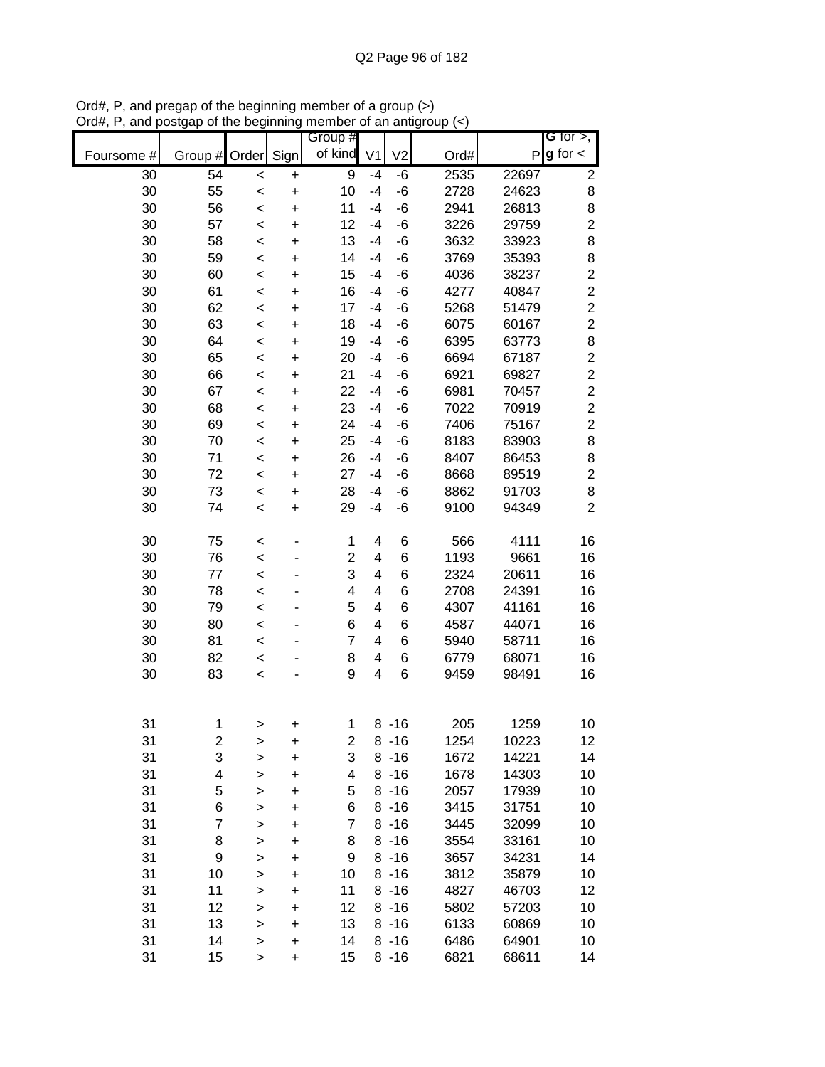|            |          |                |                        | Group #                 |                |                |              |                | G for $>$ ,                               |
|------------|----------|----------------|------------------------|-------------------------|----------------|----------------|--------------|----------------|-------------------------------------------|
| Foursome # | Group #  | Order          | Sign                   | of kind                 | V <sub>1</sub> | V <sub>2</sub> | Ord#         |                | $P$ <b>g</b> for $\lt$                    |
| 30         | 54       | $\,<\,$        | +                      | 9                       | -4             | -6             | 2535         | 22697          | $\overline{2}$                            |
| 30         | 55       | $\,<$          | $\ddot{}$              | 10                      | $-4$           | -6             | 2728         | 24623          | 8                                         |
| 30         | 56       | $\prec$        | $\ddot{}$              | 11                      | $-4$           | -6             | 2941         | 26813          | 8                                         |
| 30         | 57       | $\,<$          | $\ddot{}$              | 12                      | $-4$           | -6             | 3226         | 29759          | $\overline{c}$                            |
| 30         | 58       | $\prec$        | $\ddot{}$              | 13                      | $-4$           | -6             | 3632         | 33923          | 8                                         |
| 30         | 59       | $\,<$          | +                      | 14                      | $-4$           | -6             | 3769         | 35393          | 8                                         |
| 30         | 60       | $\prec$        | +                      | 15                      | $-4$           | -6             | 4036         | 38237          | $\overline{c}$                            |
| 30         | 61       | $\prec$        | +                      | 16                      | -4             | -6             | 4277         | 40847          | $\overline{c}$                            |
| 30         | 62       | <              | +                      | 17                      | -4             | -6             | 5268         | 51479          | $\overline{c}$                            |
| 30         | 63       | $\,<$          | +                      | 18                      | -4             | -6             | 6075         | 60167          | $\overline{\mathbf{c}}$                   |
| 30         | 64       | $\,<$          | $\ddot{}$              | 19                      | $-4$           | -6             | 6395         | 63773          | 8                                         |
| 30<br>30   | 65<br>66 | $\,<$          | $\ddot{}$              | 20<br>21                | -4<br>-4       | -6<br>-6       | 6694<br>6921 | 67187<br>69827 | $\overline{\mathbf{c}}$<br>$\overline{c}$ |
| 30         | 67       | $\,<$<br>$\,<$ | $\ddot{}$<br>$\ddot{}$ | 22                      | $-4$           | -6             | 6981         | 70457          | $\overline{\mathbf{c}}$                   |
| 30         | 68       | $\,<$          | $\ddot{}$              | 23                      | $-4$           | -6             | 7022         | 70919          | $\overline{c}$                            |
| 30         | 69       | $\,<$          | $\ddot{}$              | 24                      | $-4$           | -6             | 7406         | 75167          | $\overline{c}$                            |
| 30         | 70       | $\,<$          | $\ddot{}$              | 25                      | $-4$           | -6             | 8183         | 83903          | 8                                         |
| 30         | 71       | $\,<$          | $\ddot{}$              | 26                      | $-4$           | -6             | 8407         | 86453          | $\bf8$                                    |
| 30         | 72       | $\,<$          | $\ddot{}$              | 27                      | $-4$           | -6             | 8668         | 89519          | $\overline{\mathbf{c}}$                   |
| 30         | 73       | $\,<$          | $\ddot{}$              | 28                      | $-4$           | -6             | 8862         | 91703          | 8                                         |
| 30         | 74       | $\,<$          | $\ddot{}$              | 29                      | $-4$           | -6             | 9100         | 94349          | $\overline{2}$                            |
|            |          |                |                        |                         |                |                |              |                |                                           |
| 30         | 75       | $\,<$          |                        | 1                       | 4              | 6              | 566          | 4111           | 16                                        |
| 30         | 76       | $\prec$        |                        | $\overline{c}$          | 4              | 6              | 1193         | 9661           | 16                                        |
| 30         | 77       | $\,<$          |                        | 3                       | 4              | 6              | 2324         | 20611          | 16                                        |
| 30         | 78       | $\,<$          |                        | 4                       | 4              | 6              | 2708         | 24391          | 16                                        |
| 30         | 79       | $\,<$          |                        | 5                       | 4              | 6              | 4307         | 41161          | 16                                        |
| 30         | 80       | $\,<$          |                        | 6                       | 4              | 6              | 4587         | 44071          | 16                                        |
| 30         | 81       | $\,<$          |                        | 7                       | 4              | 6              | 5940         | 58711          | 16                                        |
| 30         | 82       | $\,<$          |                        | 8                       | 4              | 6              | 6779         | 68071          | 16                                        |
| 30         | 83       | $\prec$        |                        | 9                       | $\overline{4}$ | 6              | 9459         | 98491          | 16                                        |
|            |          |                |                        |                         |                |                |              |                |                                           |
| 31         | 1        | >              | +                      | 1                       |                | $8 - 16$       | 205          | 1259           | 10                                        |
| 31         | 2        | >              | $\mathbf +$            | $\overline{c}$          |                | $8 - 16$       | 1254         | 10223          | 12                                        |
| 31         | 3        | >              | $\ddot{}$              | 3                       |                | $8 - 16$       | 1672         | 14221          | 14                                        |
| 31         | 4        | >              | +                      | $\overline{\mathbf{4}}$ |                | $8 - 16$       | 1678         | 14303          | 10                                        |
| 31         | 5        | $\mathbf{I}$   | $\ddot{}$              | 5                       |                | $8 - 16$       | 2057         | 17939          | 10                                        |
| 31         | 6        | >              | +                      | 6                       |                | $8 - 16$       | 3415         | 31751          | 10                                        |
| 31         | 7        | >              | +                      | 7                       |                | $8 - 16$       | 3445         | 32099          | 10                                        |
| 31         | 8        | >              | +                      | 8                       |                | $8 - 16$       | 3554         | 33161          | 10                                        |
| 31         | 9        | >              | +                      | 9                       |                | $8 - 16$       | 3657         | 34231          | 14                                        |
| 31         | 10       | $\mathbf{I}$   | +                      | 10                      |                | $8 - 16$       | 3812         | 35879          | 10                                        |
| 31         | 11       | $\mathbf{I}$   | +                      | 11                      |                | $8 - 16$       | 4827         | 46703          | 12                                        |
| 31         | 12       | $\mathbf{I}$   | +                      | 12                      |                | $8 - 16$       | 5802         | 57203          | 10                                        |
| 31         | 13       | $\mathbf{I}$   | +                      | 13                      |                | $8 - 16$       | 6133         | 60869          | 10                                        |
| 31         | 14       | $\mathbf{L}$   | +                      | 14                      |                | $8 - 16$       | 6486         | 64901          | 10                                        |
| 31         | 15       | $\, > \,$      | +                      | 15                      |                | $8 - 16$       | 6821         | 68611          | 14                                        |

Ord#, P, and pregap of the beginning member of a group (>) Ord#, P, and postgap of the beginning member of an antigroup (<)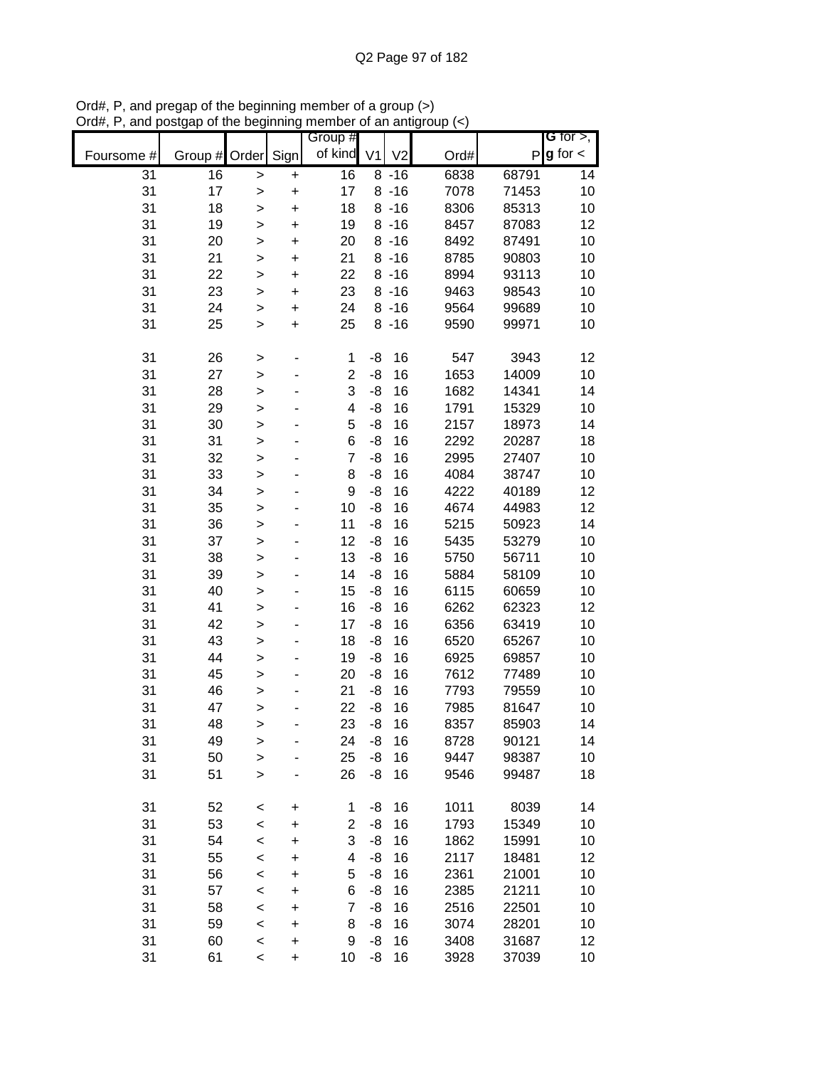|            |         |              |           | Group #                 |                |                |      |       | G for $>$ ,     |
|------------|---------|--------------|-----------|-------------------------|----------------|----------------|------|-------|-----------------|
| Foursome # | Group # | Order        | Sign      | of kind                 | V <sub>1</sub> | V <sub>2</sub> | Ord# |       | $P g$ for $\lt$ |
| 31         | 16      | $\geq$       | $\pmb{+}$ | 16                      |                | $8 - 16$       | 6838 | 68791 | 14              |
| 31         | 17      | $\geq$       | $\ddot{}$ | 17                      |                | $8 - 16$       | 7078 | 71453 | 10              |
| 31         | 18      | >            | $\ddot{}$ | 18                      |                | $8 - 16$       | 8306 | 85313 | 10              |
| 31         | 19      | $\mathbf{I}$ | $\ddot{}$ | 19                      |                | $8 - 16$       | 8457 | 87083 | 12              |
| 31         | 20      | $\mathbf{I}$ | $\ddot{}$ | 20                      |                | $8 - 16$       | 8492 | 87491 | 10              |
| 31         | 21      | $\mathbf{I}$ | $\ddot{}$ | 21                      |                | $8 - 16$       | 8785 | 90803 | 10              |
| 31         | 22      | >            | $\pmb{+}$ | 22                      |                | $8 - 16$       | 8994 | 93113 | 10              |
| 31         | 23      | >            | $\ddot{}$ | 23                      |                | $8 - 16$       | 9463 | 98543 | 10              |
| 31         | 24      | $\geq$       | +         | 24                      |                | $8 - 16$       | 9564 | 99689 | 10              |
| 31         | 25      | $\mathbf{L}$ | $\ddot{}$ | 25                      |                | $8 - 16$       | 9590 | 99971 | 10              |
|            |         |              |           |                         |                |                |      |       |                 |
| 31         | 26      | $\,$         |           | 1                       | -8             | 16             | 547  | 3943  | 12              |
| 31         | 27      | $\geq$       |           | $\mathbf 2$             | -8             | 16             | 1653 | 14009 | 10              |
| 31         | 28      | $\geq$       |           | 3                       | -8             | 16             | 1682 | 14341 | 14              |
| 31         | 29      | >            |           | $\overline{\mathbf{4}}$ | -8             | 16             | 1791 | 15329 | 10              |
| 31         | 30      | $\mathbf{I}$ |           | 5                       | -8             | 16             | 2157 | 18973 | 14              |
| 31         | 31      | $\geq$       |           | 6                       | -8             | 16             | 2292 | 20287 | 18              |
| 31         | 32      | $\geq$       |           | $\overline{7}$          | -8             | 16             | 2995 | 27407 | 10              |
| 31         | 33      | $\geq$       |           | 8                       | -8             | 16             | 4084 | 38747 | 10              |
| 31         | 34      | $\geq$       |           | 9                       | -8             | 16             | 4222 | 40189 | 12              |
| 31         | 35      | $\geq$       |           | 10                      | -8             | 16             | 4674 | 44983 | 12              |
| 31         | 36      | $\geq$       |           | 11                      | -8             | 16             | 5215 | 50923 | 14              |
| 31         | 37      | $\mathbf{I}$ |           | 12                      | -8             | 16             | 5435 | 53279 | 10              |
| 31         | 38      | >            |           | 13                      | -8             | 16             | 5750 | 56711 | 10              |
| 31         | 39      | >            |           | 14                      | -8             | 16             | 5884 | 58109 | 10              |
| 31         | 40      | $\mathbf{I}$ |           | 15                      | -8             | 16             | 6115 | 60659 | 10              |
| 31         | 41      | $\mathbf{I}$ |           | 16                      | -8             | 16             | 6262 | 62323 | 12              |
| 31         | 42      | $\mathbf{I}$ |           | 17                      | -8             | 16             | 6356 | 63419 | 10              |
| 31         | 43      | $\geq$       |           | 18                      | -8             | 16             | 6520 | 65267 | 10              |
| 31         | 44      | $\geq$       |           | 19                      | -8             | 16             | 6925 | 69857 | 10              |
| 31         | 45      | $\geq$       |           | 20                      | -8             | 16             | 7612 | 77489 | 10              |
| 31         | 46      | >            |           | 21                      | -8             | 16             | 7793 | 79559 | 10              |
| 31         | 47      | $\mathbf{I}$ |           | 22                      | -8             | 16             | 7985 | 81647 | 10              |
| 31         | 48      | $\geq$       |           | 23                      | -8             | 16             | 8357 | 85903 | 14              |
| 31         | 49      | $\geq$       |           | 24                      | -8             | 16             | 8728 | 90121 | 14              |
| 31         | 50      | $\geq$       |           | 25                      | -8             | 16             | 9447 | 98387 | 10              |
| 31         | 51      | $\mathbf{L}$ |           | 26                      | -8             | 16             | 9546 | 99487 | 18              |
| 31         | 52      | $\prec$      | +         | 1                       | -8             | 16             | 1011 | 8039  | 14              |
| 31         | 53      | $\prec$      | +         | $\overline{c}$          | -8             | 16             | 1793 | 15349 | 10              |
| 31         | 54      | $\prec$      | +         | 3                       | -8             | 16             | 1862 | 15991 | 10              |
| 31         | 55      | $\prec$      | $\ddot{}$ | 4                       | -8             | 16             | 2117 | 18481 | 12              |
| 31         | 56      | $\prec$      | $\ddot{}$ | 5                       | -8             | 16             | 2361 | 21001 | 10              |
| 31         | 57      | $\prec$      | $\ddot{}$ | 6                       | -8             | 16             | 2385 | 21211 | 10              |
| 31         | 58      | $\prec$      | +         | 7                       | -8             | 16             | 2516 | 22501 | 10              |
| 31         | 59      | $\prec$      | $\ddot{}$ | 8                       | -8             | 16             | 3074 | 28201 | 10              |
| 31         | 60      | $\prec$      | +         | 9                       | -8             | 16             | 3408 | 31687 | 12              |
| 31         | 61      | $\prec$      | $\ddot{}$ | 10                      | -8             | 16             | 3928 | 37039 | 10              |

Ord#, P, and pregap of the beginning member of a group (>) Ord#, P, and postgap of the beginning member of an antigroup (<)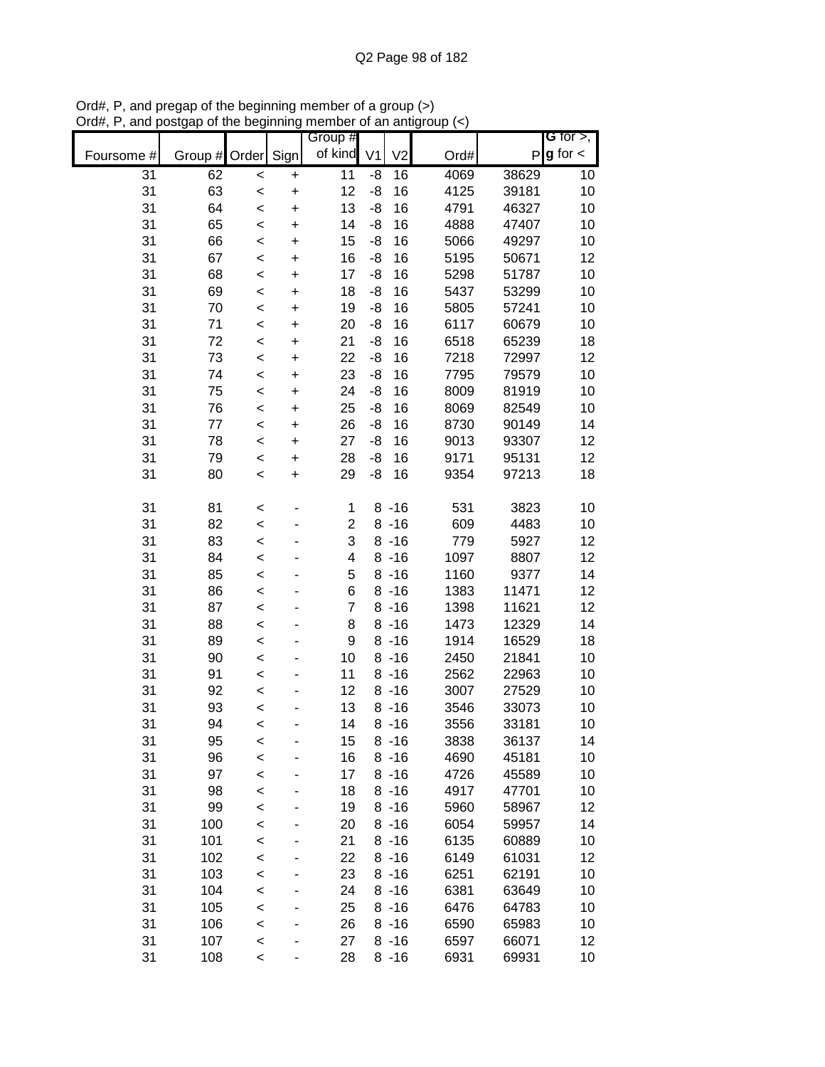|                 |               |         |           | Group #                 |                |                |      |              | <b>G</b> for $>$ , |
|-----------------|---------------|---------|-----------|-------------------------|----------------|----------------|------|--------------|--------------------|
| Foursome #      | Group # Order |         | Sign      | of kind                 | V <sub>1</sub> | V <sub>2</sub> | Ord# | $\mathsf{P}$ | $g$ for $\lt$      |
| $\overline{31}$ | 62            | $\prec$ | $\pmb{+}$ | 11                      | -8             | 16             | 4069 | 38629        | 10                 |
| 31              | 63            | $\prec$ | $\ddot{}$ | 12                      | -8             | 16             | 4125 | 39181        | 10                 |
| 31              | 64            | $\prec$ | $\ddot{}$ | 13                      | -8             | 16             | 4791 | 46327        | 10                 |
| 31              | 65            | $\prec$ | $\ddot{}$ | 14                      | -8             | 16             | 4888 | 47407        | 10                 |
| 31              | 66            | $\prec$ | +         | 15                      | -8             | 16             | 5066 | 49297        | 10                 |
| 31              | 67            | $\prec$ | +         | 16                      | -8             | 16             | 5195 | 50671        | 12                 |
| 31              | 68            | $\prec$ | +         | 17                      | -8             | 16             | 5298 | 51787        | 10                 |
| 31              | 69            | $\,<$   | +         | 18                      | -8             | 16             | 5437 | 53299        | 10                 |
| 31              | 70            | $\prec$ | +         | 19                      | -8             | 16             | 5805 | 57241        | 10                 |
| 31              | 71            | $\,<$   | $\ddot{}$ | 20                      | -8             | 16             | 6117 | 60679        | 10                 |
| 31              | 72            | $\,<$   | $\ddot{}$ | 21                      | -8             | 16             | 6518 | 65239        | 18                 |
| 31              | 73            | $\prec$ | $\ddot{}$ | 22                      | -8             | 16             | 7218 | 72997        | 12                 |
| 31              | 74            | $\prec$ | $\ddot{}$ | 23                      | -8             | 16             | 7795 | 79579        | 10                 |
| 31              | 75            | $\prec$ | $\ddot{}$ | 24                      | -8             | 16             | 8009 | 81919        | 10                 |
| 31              | 76            | $\prec$ | $\ddot{}$ | 25                      | -8             | 16             | 8069 | 82549        | 10                 |
| 31              | 77            | $\prec$ | $\ddot{}$ | 26                      | -8             | 16             | 8730 | 90149        | 14                 |
| 31              | 78            | $\prec$ | $\ddot{}$ | 27                      | -8             | 16             | 9013 | 93307        | 12                 |
| 31              | 79            | $\prec$ | $\ddot{}$ | 28                      | -8             | 16             | 9171 | 95131        | 12                 |
| 31              | 80            | $\prec$ | $\ddot{}$ | 29                      | -8             | 16             | 9354 | 97213        | 18                 |
|                 |               |         |           |                         |                |                |      |              |                    |
| 31              | 81            | $\,<$   |           | 1                       |                | $8 - 16$       | 531  | 3823         | 10                 |
| 31              | 82            | $\prec$ |           | $\overline{\mathbf{c}}$ |                | $8 - 16$       | 609  | 4483         | 10                 |
| 31              | 83            | $\prec$ |           | 3                       |                | $8 - 16$       | 779  | 5927         | 12                 |
| 31              | 84            | $\prec$ |           | 4                       |                | $8 - 16$       | 1097 | 8807         | 12                 |
| 31              | 85            | $\,<$   |           | 5                       |                | $8 - 16$       | 1160 | 9377         | 14                 |
| 31              | 86            | $\prec$ |           | 6                       |                | $8 - 16$       | 1383 | 11471        | 12                 |
| 31              | 87            | $\,<$   |           | $\overline{7}$          |                | $8 - 16$       | 1398 | 11621        | 12                 |
| 31              | 88            | $\prec$ |           | 8                       |                | $8 - 16$       | 1473 | 12329        | 14                 |
| 31              | 89            | $\prec$ |           | 9                       |                | $8 - 16$       | 1914 | 16529        | 18                 |
| 31              | 90            | $\prec$ |           | 10                      |                | $8 - 16$       | 2450 | 21841        | 10                 |
| 31              | 91            | $\prec$ |           | 11                      |                | $8 - 16$       | 2562 | 22963        | 10                 |
| 31              | 92            | $\prec$ |           | 12                      |                | $8 - 16$       | 3007 | 27529        | 10                 |
| 31              | 93            | $\prec$ |           | 13                      |                | $8 - 16$       | 3546 | 33073        | 10                 |
| 31              | 94            | $\,<$   |           | 14                      |                | $8 - 16$       | 3556 | 33181        | 10                 |
| 31              | 95            | $\,<$   |           | 15                      |                | $8 - 16$       | 3838 | 36137        | 14                 |
| 31              | 96            | $\prec$ |           | 16                      |                | $8 - 16$       | 4690 | 45181        | 10                 |
| 31              | 97            | $\prec$ |           | 17                      |                | $8 - 16$       | 4726 | 45589        | 10                 |
| 31              | 98            | $\prec$ |           | 18                      |                | $8 - 16$       | 4917 | 47701        | 10                 |
| 31              | 99            | $\prec$ |           | 19                      |                | $8 - 16$       | 5960 | 58967        | 12                 |
| 31              | 100           | $\prec$ |           | 20                      |                | $8 - 16$       | 6054 | 59957        | 14                 |
| 31              | 101           | $\,<$   |           | 21                      |                | $8 - 16$       | 6135 | 60889        | 10                 |
| 31              | 102           | $\,<$   |           | 22                      |                | $8 - 16$       | 6149 | 61031        | 12                 |
| 31              | 103           | $\prec$ |           | 23                      |                | $8 - 16$       | 6251 | 62191        | 10                 |
| 31              | 104           | $\prec$ |           | 24                      |                | $8 - 16$       | 6381 | 63649        | 10                 |
| 31              | 105           | $\prec$ |           | 25                      |                | $8 - 16$       | 6476 | 64783        | 10                 |
| 31              | 106           | $\prec$ |           | 26                      |                | $8 - 16$       | 6590 | 65983        | 10                 |
| 31              | 107           | $\prec$ |           | 27                      |                | $8 - 16$       | 6597 | 66071        | 12                 |
| 31              | 108           | $\,<$   |           | 28                      |                | $8 - 16$       | 6931 | 69931        | 10                 |

Ord#, P, and pregap of the beginning member of a group (>) Ord#, P, and postgap of the beginning member of an antigroup (<)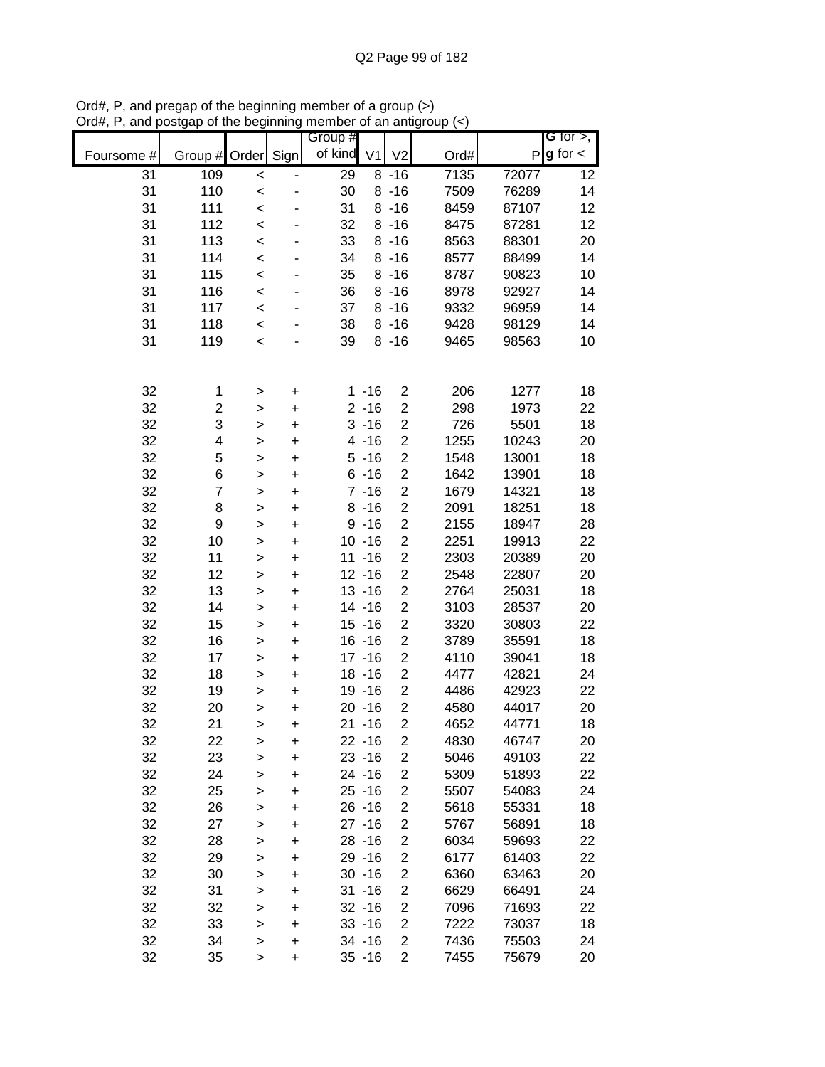|            |                         |              |           | Group # |                |                         |      |       | G for $>$ ,   |
|------------|-------------------------|--------------|-----------|---------|----------------|-------------------------|------|-------|---------------|
| Foursome # | Group # Order           |              | Sign      | of kind | V <sub>1</sub> | V <sub>2</sub>          | Ord# | P     | $g$ for $\lt$ |
| 31         | 109                     | $\prec$      |           | 29      |                | $8 - 16$                | 7135 | 72077 | 12            |
| 31         | 110                     | $\prec$      |           | 30      |                | $8 - 16$                | 7509 | 76289 | 14            |
| 31         | 111                     | $\prec$      |           | 31      |                | $8 - 16$                | 8459 | 87107 | 12            |
| 31         | 112                     | $\prec$      |           | 32      |                | $8 - 16$                | 8475 | 87281 | 12            |
| 31         | 113                     | $\prec$      |           | 33      |                | $8 - 16$                | 8563 | 88301 | 20            |
| 31         | 114                     | $\prec$      |           | 34      |                | $8 - 16$                | 8577 | 88499 | 14            |
| 31         | 115                     | $\prec$      | ٠         | 35      |                | $8 - 16$                | 8787 | 90823 | 10            |
| 31         | 116                     | $\prec$      |           | 36      |                | $8 - 16$                | 8978 | 92927 | 14            |
| 31         | 117                     | $\prec$      |           | 37      |                | $8 - 16$                | 9332 | 96959 | 14            |
| 31         | 118                     | $\prec$      |           | 38      |                | $8 - 16$                | 9428 | 98129 | 14            |
| 31         | 119                     | $\prec$      |           | 39      |                | $8 - 16$                | 9465 | 98563 | 10            |
|            |                         |              |           |         |                |                         |      |       |               |
|            |                         |              |           |         |                |                         |      |       |               |
| 32         | 1                       | >            | $\ddot{}$ |         | $1 - 16$       | $\overline{c}$          | 206  | 1277  | 18            |
| 32         | $\overline{\mathbf{c}}$ | $\geq$       | $\ddot{}$ |         | $2 - 16$       | $\overline{\mathbf{c}}$ | 298  | 1973  | 22            |
| 32         | 3                       | $\geq$       | $\ddot{}$ |         | $3 - 16$       | $\overline{\mathbf{c}}$ | 726  | 5501  | 18            |
| 32         | 4                       | $\geq$       | $\ddot{}$ |         | $4 - 16$       | $\overline{\mathbf{c}}$ | 1255 | 10243 | 20            |
| 32         | 5                       | $\geq$       | $\ddot{}$ |         | $5 - 16$       | $\overline{\mathbf{c}}$ | 1548 | 13001 | 18            |
| 32         | 6                       | $\geq$       | $\ddot{}$ |         | $6 - 16$       | $\overline{\mathbf{c}}$ | 1642 | 13901 | 18            |
| 32         | $\overline{7}$          | $\geq$       | $\ddot{}$ |         | $7 - 16$       | $\overline{\mathbf{c}}$ | 1679 | 14321 | 18            |
| 32         | 8                       | $\geq$       | $\ddot{}$ |         | $8 - 16$       | $\overline{\mathbf{c}}$ | 2091 | 18251 | 18            |
| 32         | $\boldsymbol{9}$        | >            | $\ddot{}$ |         | $9 - 16$       | $\overline{\mathbf{c}}$ | 2155 | 18947 | 28            |
| 32         | 10                      | $\mathbf{I}$ | $\ddot{}$ |         | $10 - 16$      | $\overline{c}$          | 2251 | 19913 | 22            |
| 32         | 11                      | $\geq$       | $\ddot{}$ |         | $11 - 16$      | $\overline{c}$          | 2303 | 20389 | 20            |
| 32         | 12                      | $\geq$       | $\ddot{}$ |         | $12 - 16$      | $\overline{2}$          | 2548 | 22807 | 20            |
| 32         | 13                      | $\geq$       | $\ddot{}$ |         | $13 - 16$      | $\overline{c}$          | 2764 | 25031 | 18            |
| 32         | 14                      | $\geq$       | $\ddot{}$ |         | $14 - 16$      | $\overline{c}$          | 3103 | 28537 | 20            |
| 32         | 15                      | $\geq$       | $\ddot{}$ |         | $15 - 16$      | $\overline{c}$          | 3320 | 30803 | 22            |
| 32         | 16                      | $\geq$       | $\ddot{}$ |         | $16 - 16$      | $\overline{c}$          | 3789 | 35591 | 18            |
| 32         | 17                      | >            | $\ddot{}$ |         | $17 - 16$      | $\overline{c}$          | 4110 | 39041 | 18            |
| 32         | 18                      | $\mathbf{I}$ | $\ddot{}$ |         | $18 - 16$      | $\overline{c}$          | 4477 | 42821 | 24            |
| 32         | 19                      | $\geq$       | $\ddot{}$ |         | 19 - 16        | $\overline{\mathbf{c}}$ | 4486 | 42923 | 22            |
| 32         | 20                      | $\geq$       | $\ddot{}$ |         | $20 - 16$      | $\overline{c}$          | 4580 | 44017 | 20            |
| 32         | 21                      | $\geq$       | $\ddot{}$ | 21      | $-16$          | $\overline{2}$          | 4652 | 44771 | 18            |
| 32         | 22                      | >            | +         |         | $22 - 16$      | 2                       | 4830 | 46747 | 20            |
| 32         | 23                      | $\geq$       | +         |         | $23 - 16$      | 2                       | 5046 | 49103 | 22            |
| 32         | 24                      | $\geq$       | +         |         | $24 - 16$      | $\overline{\mathbf{c}}$ | 5309 | 51893 | 22            |
| 32         | 25                      | $\mathbf{I}$ | $\ddot{}$ |         | $25 - 16$      | 2                       | 5507 | 54083 | 24            |
| 32         | 26                      | $\mathbf{I}$ | $\ddot{}$ |         | $26 - 16$      | $\overline{\mathbf{c}}$ | 5618 | 55331 | 18            |
| 32         | 27                      | $\geq$       | $\ddot{}$ |         | $27 - 16$      | $\overline{\mathbf{c}}$ | 5767 | 56891 | 18            |
| 32         | 28                      | $\geq$       | $\ddot{}$ |         | $28 - 16$      | $\overline{c}$          | 6034 | 59693 | 22            |
| 32         | 29                      | $\geq$       | $\ddot{}$ |         | 29 - 16        | $\overline{\mathbf{c}}$ | 6177 | 61403 | 22            |
| 32         | 30                      | $\geq$       | $\ddot{}$ |         | $30 - 16$      | $\overline{c}$          | 6360 | 63463 | 20            |
| 32         | 31                      | $\geq$       | $\ddot{}$ |         | $31 - 16$      | $\overline{c}$          | 6629 | 66491 | 24            |
| 32         | 32                      | $\geq$       | $\ddot{}$ |         | $32 - 16$      | $\overline{\mathbf{c}}$ | 7096 | 71693 | 22            |
| 32         | 33                      | $\geq$       | $\ddot{}$ |         | $33 - 16$      | $\overline{c}$          | 7222 | 73037 | 18            |
| 32         | 34                      | $\, > \,$    | $\ddot{}$ |         | 34 - 16        | $\overline{c}$          | 7436 | 75503 | 24            |
| 32         | 35                      | >            | $\ddot{}$ |         | $35 - 16$      | $\overline{\mathbf{c}}$ | 7455 | 75679 | 20            |

Ord#, P, and pregap of the beginning member of a group (>) Ord#, P, and postgap of the beginning member of an antigroup (<)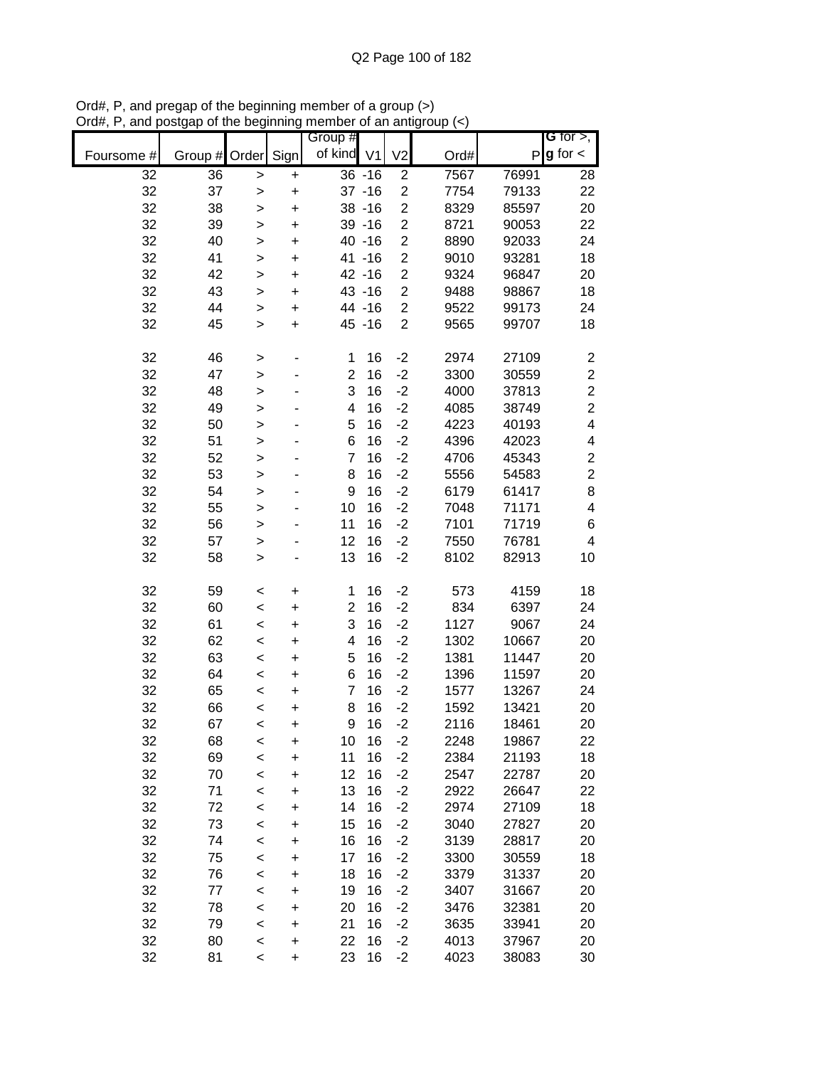|            |                 |                |                        | Group #        |           |                         |              |                | G for $>$ ,              |
|------------|-----------------|----------------|------------------------|----------------|-----------|-------------------------|--------------|----------------|--------------------------|
| Foursome # | Group #         | Order          | Sign                   | of kind V1     |           | V <sub>2</sub>          | Ord#         | P              | $g$ for $\lt$            |
| 32         | $\overline{36}$ | >              | $\ddot{}$              |                | $36 - 16$ | $\overline{c}$          | 7567         | 76991          | 28                       |
| 32         | 37              | >              | $\ddot{}$              |                | $37 - 16$ | $\overline{2}$          | 7754         | 79133          | 22                       |
| 32         | 38              | >              | $\ddot{}$              |                | $38 - 16$ | $\overline{\mathbf{c}}$ | 8329         | 85597          | 20                       |
| 32         | 39              | >              | $\ddot{}$              |                | $39 - 16$ | $\overline{c}$          | 8721         | 90053          | 22                       |
| 32         | 40              | $\geq$         | $\ddot{}$              |                | 40 - 16   | $\overline{\mathbf{c}}$ | 8890         | 92033          | 24                       |
| 32         | 41              | $\mathbf{I}$   | $\ddot{}$              |                | 41 - 16   | $\overline{c}$          | 9010         | 93281          | 18                       |
| 32         | 42              | $\mathbf{I}$   | $\ddot{}$              |                | 42 -16    | $\mathbf 2$             | 9324         | 96847          | 20                       |
| 32         | 43              | >              | $\ddot{}$              |                | 43 - 16   | $\overline{c}$          | 9488         | 98867          | 18                       |
| 32         | 44              | >              | $\ddot{}$              |                | 44 - 16   | $\overline{\mathbf{c}}$ | 9522         | 99173          | 24                       |
| 32         | 45              | $\mathbf{I}$   | $\ddot{}$              |                | 45 - 16   | $\overline{2}$          | 9565         | 99707          | 18                       |
| 32         | 46              | >              |                        | 1              | 16        | $-2$                    | 2974         | 27109          | $\overline{\mathbf{c}}$  |
| 32         | 47              | $\geq$         |                        | $\overline{c}$ | 16        | $-2$                    | 3300         | 30559          | $\overline{\mathbf{c}}$  |
| 32         | 48              | $\geq$         |                        | 3              | 16        | $-2$                    | 4000         | 37813          | $\overline{c}$           |
| 32         | 49              | $\geq$         |                        | 4              | 16        | $-2$                    | 4085         | 38749          | $\overline{c}$           |
| 32         | 50              | $\geq$         |                        | 5              | 16        | $-2$                    | 4223         | 40193          | $\overline{\mathbf{4}}$  |
| 32         | 51              | >              |                        | 6              | 16        | $-2$                    | 4396         | 42023          | 4                        |
| 32         | 52              | >              |                        | $\overline{7}$ | 16        | $-2$                    | 4706         | 45343          | $\overline{\mathbf{c}}$  |
| 32         | 53              | $\mathbf{I}$   |                        | 8              | 16        | $-2$                    | 5556         | 54583          | $\overline{c}$           |
| 32         | 54              | $\geq$         |                        | 9              | 16        | $-2$                    | 6179         | 61417          | 8                        |
| 32         | 55              | $\geq$         |                        | 10             | 16        | $-2$                    | 7048         | 71171          | 4                        |
| 32         | 56              | $\geq$         |                        | 11             | 16        | $-2$                    | 7101         | 71719          | 6                        |
| 32         | 57              | >              |                        | 12             | 16        | $-2$                    | 7550         | 76781          | $\overline{\mathcal{A}}$ |
| 32         | 58              | >              |                        | 13             | 16        | $-2$                    | 8102         | 82913          | 10                       |
| 32         | 59              | $\,<$          | +                      | 1              | 16        | $-2$                    | 573          | 4159           | 18                       |
| 32         | 60              | $\,<$          | +                      | $\overline{2}$ | 16        | $-2$                    | 834          | 6397           | 24                       |
| 32         | 61              | $\,<$          | +                      | 3              | 16        | $-2$                    | 1127         | 9067           | 24                       |
| 32         | 62              | $\,<$          | $\ddot{}$              | 4              | 16        | $-2$                    | 1302         | 10667          | 20                       |
| 32         | 63              | $\,<$          | $\ddot{}$              | 5              | 16        | $-2$                    | 1381         | 11447          | 20                       |
| 32         | 64              | $\,<$          | $\ddot{}$              | 6              | 16        | $-2$                    | 1396         | 11597          | 20                       |
| 32         | 65              | $\,<$          | $\ddot{}$              | $\overline{7}$ | 16        | $-2$                    | 1577         | 13267          | 24                       |
| 32         | 66              | $\,<$          | $\ddot{}$              | 8              | 16        | $-2$                    | 1592         | 13421          | 20                       |
| 32         | 67              | $\,<$          | $\ddot{}$              | 9              | 16        | $-2$                    | 2116         | 18461          | 20                       |
| 32         | 68              | $\,<$          | +                      | 10             | 16        | $-2$                    | 2248         | 19867          | 22                       |
| 32         | 69              | $\,<$          | $\ddot{}$              | 11             | 16        | $-2$                    | 2384         | 21193          | 18                       |
| 32         | 70              | $\,<$          | $\ddot{}$              | 12             | 16        | $-2$                    | 2547         | 22787          | 20                       |
| 32         | 71              | $\prec$        | $\ddot{}$              | 13             | 16        | $-2$                    | 2922         | 26647          | 22                       |
| 32         | 72              | $\prec$        | $\ddot{}$              | 14             | 16        | $-2$                    | 2974         | 27109          | 18                       |
| 32         | 73              | $\prec$        | +                      | 15             | 16        | $-2$                    | 3040         | 27827          | 20                       |
| 32         | 74              | $\,<$          | +                      | 16             | 16        | $-2$                    | 3139         | 28817          | 20                       |
| 32         | 75              | $\prec$        | +                      | 17             | 16        | $-2$                    | 3300         | 30559          | 18                       |
| 32         | 76              | $\prec$        | +                      | 18             | 16        | $-2$                    | 3379         | 31337          | 20                       |
| 32         | 77              | $\,<$          | +                      | 19             | 16        | $-2$                    | 3407         | 31667          | 20                       |
| 32         | 78              | $\,<$          | +                      | 20             | 16        | $-2$                    | 3476         | 32381          | 20                       |
| 32<br>32   | 79<br>80        | $\,<$          | $\ddot{}$              | 21<br>22       | 16<br>16  | $-2$<br>$-2$            | 3635<br>4013 | 33941<br>37967 | 20                       |
| 32         | 81              | $\,<$<br>$\,<$ | $\ddot{}$<br>$\ddot{}$ | 23             | 16        | $-2$                    | 4023         | 38083          | 20<br>30                 |
|            |                 |                |                        |                |           |                         |              |                |                          |

Ord#, P, and pregap of the beginning member of a group (>) Ord#, P, and postgap of the beginning member of an antigroup (<)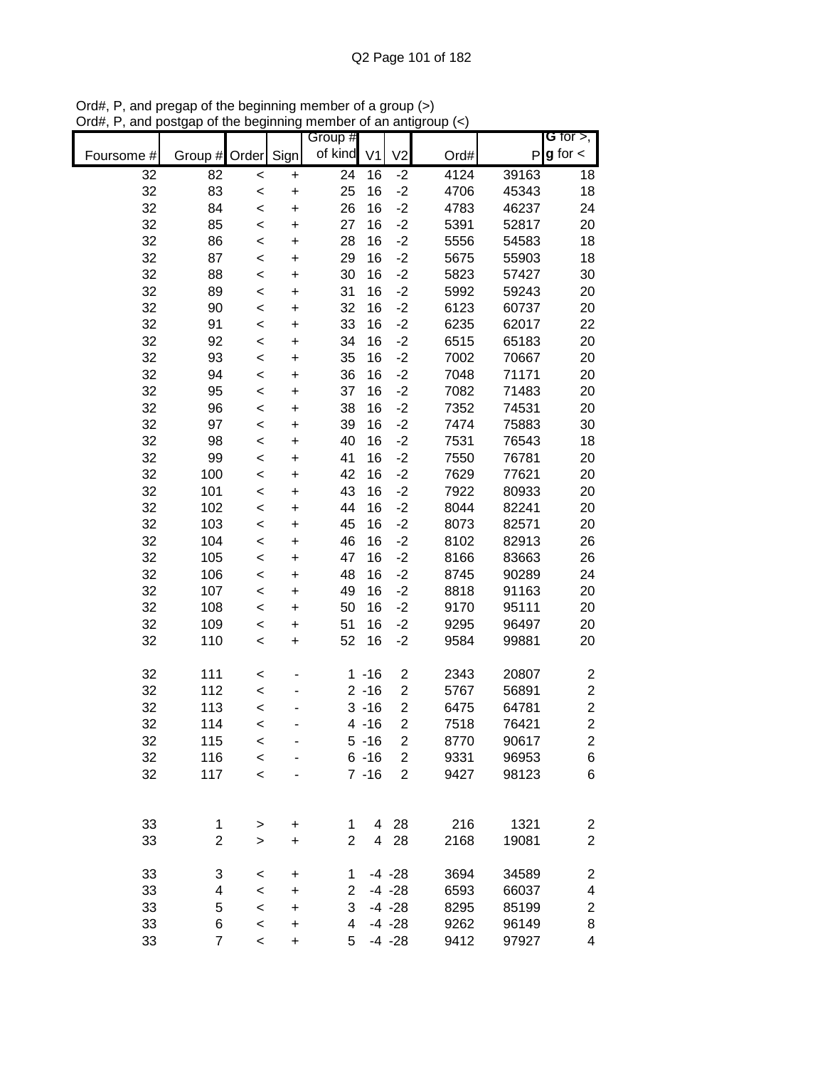|            |                |           |           | Group #        |                |                         |      |       | <b>G</b> for $>$ ,      |
|------------|----------------|-----------|-----------|----------------|----------------|-------------------------|------|-------|-------------------------|
| Foursome # | Group #        | Order     | Sign      | of kind        | V <sub>1</sub> | V <sub>2</sub>          | Ord# | P     | $g$ for $\lt$           |
| 32         | 82             | $\prec$   | $\ddot{}$ | 24             | 16             | $-2$                    | 4124 | 39163 | 18                      |
| 32         | 83             | $\prec$   | $\ddot{}$ | 25             | 16             | $-2$                    | 4706 | 45343 | 18                      |
| 32         | 84             | $\,<$     | $\ddot{}$ | 26             | 16             | $-2$                    | 4783 | 46237 | 24                      |
| 32         | 85             | $\prec$   | $\ddot{}$ | 27             | 16             | $-2$                    | 5391 | 52817 | 20                      |
| 32         | 86             | $\prec$   | $\ddot{}$ | 28             | 16             | $-2$                    | 5556 | 54583 | 18                      |
| 32         | 87             | $\prec$   | $\ddot{}$ | 29             | 16             | $-2$                    | 5675 | 55903 | 18                      |
| 32         | 88             | $\prec$   | $\ddot{}$ | 30             | 16             | $-2$                    | 5823 | 57427 | 30                      |
| 32         | 89             | $\prec$   | $\ddot{}$ | 31             | 16             | $-2$                    | 5992 | 59243 | 20                      |
| 32         | 90             | $\prec$   | $\ddot{}$ | 32             | 16             | $-2$                    | 6123 | 60737 | 20                      |
| 32         | 91             | $\prec$   | $\ddot{}$ | 33             | 16             | $-2$                    | 6235 | 62017 | 22                      |
| 32         | 92             | $\,<$     | $\ddot{}$ | 34             | 16             | $-2$                    | 6515 | 65183 | 20                      |
| 32         | 93             | $\,<$     | $\ddot{}$ | 35             | 16             | $-2$                    | 7002 | 70667 | 20                      |
| 32         | 94             | $\,<$     | $\ddot{}$ | 36             | 16             | $-2$                    | 7048 | 71171 | 20                      |
| 32         | 95             | $\,<$     | $\ddot{}$ | 37             | 16             | $-2$                    | 7082 | 71483 | 20                      |
| 32         | 96             | $\prec$   | $\ddot{}$ | 38             | 16             | $-2$                    | 7352 | 74531 | 20                      |
| 32         | 97             | $\prec$   | $\ddot{}$ | 39             | 16             | $-2$                    | 7474 | 75883 | 30                      |
| 32         | 98             | $\prec$   | $\ddot{}$ | 40             | 16             | $-2$                    | 7531 | 76543 | 18                      |
| 32         | 99             | $\prec$   | $\ddot{}$ | 41             | 16             | $-2$                    | 7550 | 76781 | 20                      |
| 32         | 100            | $\prec$   | $\ddot{}$ | 42             | 16             | $-2$                    | 7629 | 77621 | 20                      |
| 32         | 101            | $\prec$   | $\ddot{}$ | 43             | 16             | $-2$                    | 7922 | 80933 | 20                      |
| 32         | 102            | $\prec$   | $\ddot{}$ | 44             | 16             | $-2$                    | 8044 | 82241 | 20                      |
| 32         | 103            | $\prec$   | $\ddot{}$ | 45             | 16             | $-2$                    | 8073 | 82571 | 20                      |
| 32         | 104            | $\prec$   | $\ddot{}$ | 46             | 16             | $-2$                    | 8102 | 82913 | 26                      |
| 32         | 105            | $\prec$   | $\ddot{}$ | 47             | 16             | $-2$                    | 8166 | 83663 | 26                      |
| 32         | 106            | $\prec$   | $\ddot{}$ | 48             | 16             | $-2$                    | 8745 | 90289 | 24                      |
| 32         | 107            | $\,<$     | $\ddot{}$ | 49             | 16             | $-2$                    | 8818 | 91163 | 20                      |
| 32         | 108            | $\,<$     | +         | 50             | 16             | $-2$                    | 9170 | 95111 | 20                      |
| 32         | 109            | $\,<$     | +         | 51             | 16             | $-2$                    | 9295 | 96497 | 20                      |
| 32         | 110            | $\,<$     | $\ddot{}$ | 52             | 16             | $-2$                    | 9584 | 99881 | 20                      |
| 32         | 111            | $\,<$     |           |                | $1 - 16$       | $\overline{\mathbf{c}}$ | 2343 | 20807 | $\overline{\mathbf{c}}$ |
| 32         | 112            | $\prec$   |           |                | $2 - 16$       | $\overline{c}$          | 5767 | 56891 | $\overline{\mathbf{c}}$ |
| 32         | 113            | $\prec$   |           |                | $3 - 16$       | $\mathbf 2$             | 6475 | 64781 | $\overline{c}$          |
| 32         | 114            | $\prec$   |           |                | $4 - 16$       | $\overline{2}$          | 7518 | 76421 | $\overline{2}$          |
| 32         | 115            | $\,<$     |           |                | $5 - 16$       | 2                       | 8770 | 90617 | $\overline{\mathbf{c}}$ |
| 32         | 116            | $\prec$   |           |                | $6 - 16$       | $\overline{2}$          | 9331 | 96953 | $\,6$                   |
| 32         | 117            | $\,<$     |           |                | $7 - 16$       | $\overline{2}$          | 9427 | 98123 | $6\phantom{1}$          |
|            |                |           |           |                |                |                         |      |       |                         |
| 33         | 1              | >         | $\pmb{+}$ | 1              |                | 4 28                    | 216  | 1321  | $\overline{\mathbf{c}}$ |
| 33         | $\overline{c}$ | $\, > \,$ | $\ddot{}$ | $\overline{2}$ |                | 4 28                    | 2168 | 19081 | $\boldsymbol{2}$        |
|            |                |           |           |                |                |                         |      |       |                         |
| 33         | 3              | $\,<$     | $\ddot{}$ | 1              |                | $-4 - 28$               | 3694 | 34589 | $\overline{\mathbf{c}}$ |
| 33         | 4              | $\prec$   | +         | 2              |                | $-4 - 28$               | 6593 | 66037 | $\overline{\mathbf{4}}$ |
| 33         | 5              | $\prec$   | +         | 3              |                | $-4 - 28$               | 8295 | 85199 | $\overline{c}$          |
| 33         | 6              | $\,<$     | $\ddot{}$ | 4              |                | $-4 - 28$               | 9262 | 96149 | 8                       |
| 33         | 7              | $\,<$     | $\ddot{}$ | 5              |                | $-4 - 28$               | 9412 | 97927 | 4                       |

Ord#, P, and pregap of the beginning member of a group (>) Ord#, P, and postgap of the beginning member of an antigroup (<)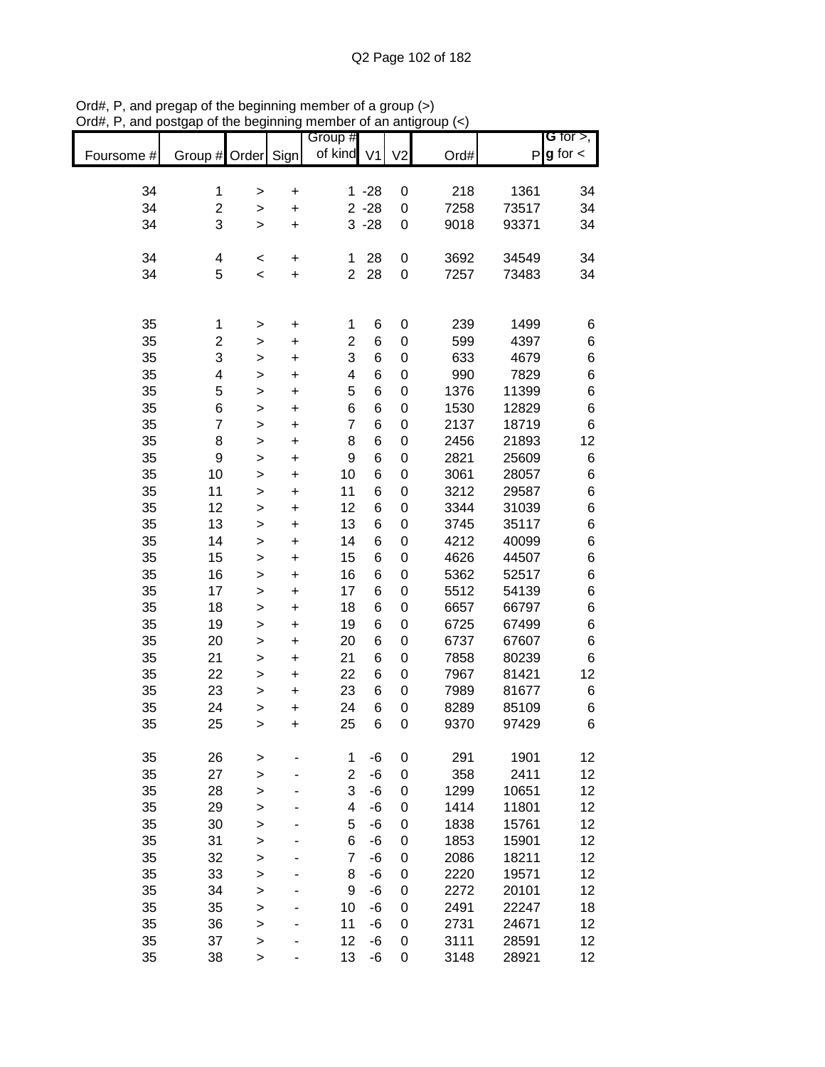| Foursome # | Group # Order  |              | Sign                   | Group #<br>of kind V1   |                 | V <sub>2</sub>   | Ord# |       | G for $>$ ,<br>$P$ <b>g</b> for $\lt$ |
|------------|----------------|--------------|------------------------|-------------------------|-----------------|------------------|------|-------|---------------------------------------|
| 34         | 1              |              |                        |                         | $1 - 28$        | $\boldsymbol{0}$ | 218  | 1361  | 34                                    |
| 34         | $\overline{2}$ | $\mathbf{I}$ | $\ddot{}$              |                         | $2 - 28$        | $\pmb{0}$        | 7258 | 73517 | 34                                    |
| 34         | 3              | ><br>>       | $\ddot{}$<br>$\ddot{}$ |                         | $3 - 28$        | $\mathbf 0$      | 9018 | 93371 | 34                                    |
|            |                |              |                        |                         |                 |                  |      |       |                                       |
| 34         | 4              | <            | $\ddot{}$              | 1                       | 28              | $\pmb{0}$        | 3692 | 34549 | 34                                    |
| 34         | 5              | $\,<$        | $\ddot{}$              | $\overline{2}$          | 28              | $\mathbf 0$      | 7257 | 73483 | 34                                    |
|            |                |              |                        |                         |                 |                  |      |       |                                       |
| 35         | 1              | >            | +                      | 1                       | 6               | 0                | 239  | 1499  | 6                                     |
| 35         | $\overline{c}$ | >            | $\pmb{+}$              | $\overline{\mathbf{c}}$ | $\,$ 6 $\,$     | $\mathbf 0$      | 599  | 4397  | $\,6$                                 |
| 35         | 3              | >            | +                      | 3                       | $6\phantom{1}6$ | $\mathbf 0$      | 633  | 4679  | $\,6$                                 |
| 35         | 4              | >            | $\ddot{}$              | 4                       | $\,6$           | $\mathbf 0$      | 990  | 7829  | 6                                     |
| 35         | 5              | $\mathbf{I}$ | $\ddot{}$              | 5                       | $6\phantom{1}6$ | $\mathbf 0$      | 1376 | 11399 | 6                                     |
| 35         | 6              | $\mathbf{I}$ | $\ddot{}$              | 6                       | $6\phantom{1}6$ | $\mathbf 0$      | 1530 | 12829 | 6                                     |
| 35         | $\overline{7}$ | $\geq$       | +                      | $\overline{7}$          | $6\phantom{1}6$ | $\mathbf 0$      | 2137 | 18719 | $\,6$                                 |
| 35         | 8              | $\geq$       | +                      | 8                       | $6\phantom{1}6$ | $\mathbf 0$      | 2456 | 21893 | 12                                    |
| 35         | 9              | $\geq$       | $\ddot{}$              | 9                       | $6\phantom{1}6$ | $\mathbf 0$      | 2821 | 25609 | 6                                     |
| 35         | 10             | $\geq$       | $\ddot{}$              | 10                      | $6\phantom{1}6$ | $\mathbf 0$      | 3061 | 28057 | $\,6$                                 |
| 35         | 11             | >            | $\ddot{}$              | 11                      | $6\phantom{1}6$ | $\mathbf 0$      | 3212 | 29587 | $\,6$                                 |
| 35         | 12             | $\mathbf{I}$ | +                      | 12                      | 6               | $\mathbf 0$      | 3344 | 31039 | $\,6$                                 |
| 35         | 13             | $\mathbf{I}$ | +                      | 13                      | $\,6$           | $\pmb{0}$        | 3745 | 35117 | $\,6$                                 |
| 35         | 14             | $\mathbf{I}$ | $\ddot{}$              | 14                      | 6               | $\pmb{0}$        | 4212 | 40099 | $\,6$                                 |
| 35         | 15             | $\mathbf{I}$ | $\ddot{}$              | 15                      | 6               | $\pmb{0}$        | 4626 | 44507 | $\,6$                                 |
| 35         | 16             | $\mathbf{I}$ | +                      | 16                      | 6               | $\mathbf 0$      | 5362 | 52517 | $\,6$                                 |
| 35         | 17             | >            | +                      | 17                      | 6               | $\mathbf 0$      | 5512 | 54139 | $\,6$                                 |
| 35         | 18             | >            | $\ddot{}$              | 18                      | 6               | $\mathbf 0$      | 6657 | 66797 | $\,$ 6 $\,$                           |
| 35         | 19             | >            | +                      | 19                      | 6               | $\mathbf 0$      | 6725 | 67499 | $\,$ 6 $\,$                           |
| 35         | 20             | >            | +                      | 20                      | 6               | $\mathbf 0$      | 6737 | 67607 | $\,$ 6 $\,$                           |
| 35         | 21             | >            | +                      | 21                      | 6               | $\mathbf 0$      | 7858 | 80239 | 6                                     |
| 35         | 22             | >            | $\ddot{}$              | 22                      | 6               | 0                | 7967 | 81421 | 12                                    |
| 35         | 23             | >            | +                      | 23                      | 6               | 0                | 7989 | 81677 | 6                                     |
| 35         | 24             | $\geq$       | $\ddot{}$              | 24                      | 6               | 0                | 8289 | 85109 | 6                                     |
| 35         | 25             | $\geq$       | +                      | 25                      | 6               | 0                | 9370 | 97429 | 6                                     |
| 35         | 26             | >            |                        | 1                       | -6              | $\mathbf 0$      | 291  | 1901  | 12                                    |
| 35         | 27             | $\geq$       |                        | $\overline{2}$          | -6              | $\mathbf 0$      | 358  | 2411  | 12                                    |
| 35         | 28             | $\geq$       |                        | 3                       | $-6$            | $\boldsymbol{0}$ | 1299 | 10651 | 12                                    |
| 35         | 29             | $\mathbf{I}$ |                        | $\overline{\mathbf{4}}$ | $-6$            | $\boldsymbol{0}$ | 1414 | 11801 | 12                                    |
| 35         | 30             | $\mathbf{I}$ |                        | 5                       | $-6$            | $\boldsymbol{0}$ | 1838 | 15761 | 12                                    |
| 35         | 31             | $\mathbf{I}$ |                        | 6                       | -6              | $\mathbf 0$      | 1853 | 15901 | 12                                    |
| 35         | 32             | $\mathbf{I}$ |                        | 7                       | -6              | $\mathbf 0$      | 2086 | 18211 | 12                                    |
| 35         | 33             | $\mathbf{I}$ |                        | 8                       | -6              | $\mathbf 0$      | 2220 | 19571 | 12                                    |
| 35         | 34             | $\mathbf{I}$ |                        | 9                       | -6              | $\mathbf 0$      | 2272 | 20101 | 12                                    |
| 35         | 35             | >            |                        | 10                      | -6              | $\mathbf 0$      | 2491 | 22247 | 18                                    |
| 35         | 36             | >            |                        | 11                      | -6              | $\mathbf 0$      | 2731 | 24671 | 12                                    |
| 35         | 37             | >            |                        | 12                      | -6              | 0                | 3111 | 28591 | 12                                    |
| 35         | 38             | $\geq$       |                        | 13                      | $-6$            | 0                | 3148 | 28921 | 12                                    |

Ord#, P, and pregap of the beginning member of a group (>) Ord#, P, and postgap of the beginning member of an antigroup (<)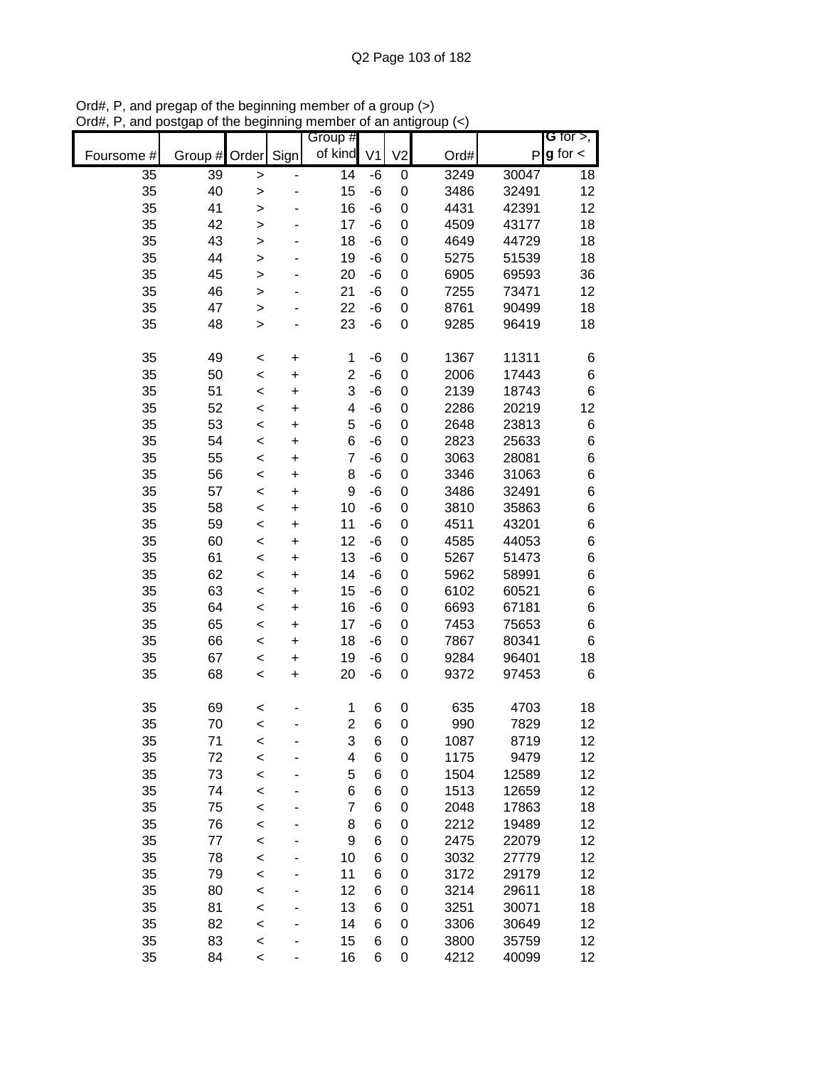|            |          |              |           | Group #        |                |                  |              |                | G for $>$ ,     |
|------------|----------|--------------|-----------|----------------|----------------|------------------|--------------|----------------|-----------------|
| Foursome # | Group #  | Order        | Sign      | of kind        | V <sub>1</sub> | V <sub>2</sub>   | Ord#         | $\mathsf{P}$   | $g$ for $\lt$   |
| 35         | 39       | >            |           | 14             | -6             | $\pmb{0}$        | 3249         | 30047          | 18              |
| 35         | 40       | >            |           | 15             | -6             | 0                | 3486         | 32491          | 12              |
| 35         | 41       | $\mathbf{I}$ |           | 16             | -6             | 0                | 4431         | 42391          | 12              |
| 35         | 42       | >            |           | 17             | -6             | 0                | 4509         | 43177          | 18              |
| 35         | 43       | $\geq$       |           | 18             | -6             | 0                | 4649         | 44729          | 18              |
| 35         | 44       | $\mathbf{I}$ |           | 19             | -6             | $\mathbf 0$      | 5275         | 51539          | 18              |
| 35         | 45       | $\mathbf{I}$ |           | 20             | -6             | 0                | 6905         | 69593          | 36              |
| 35         | 46       | >            |           | 21             | -6             | 0                | 7255         | 73471          | 12              |
| 35         | 47       | >            |           | 22             | -6             | $\mathbf 0$      | 8761         | 90499          | 18              |
| 35         | 48       | $\mathbf{I}$ |           | 23             | -6             | 0                | 9285         | 96419          | 18              |
| 35         | 49       | $\,<$        | $\ddot{}$ | 1              | -6             | 0                | 1367         | 11311          | 6               |
| 35         | 50       | $\,<$        | $\ddot{}$ | $\overline{2}$ | -6             | $\mathbf 0$      | 2006         | 17443          | 6               |
| 35         | 51       | $\prec$      | $\ddot{}$ | 3              | -6             | $\boldsymbol{0}$ | 2139         | 18743          | 6               |
| 35         | 52       | $\prec$      | $\ddot{}$ | 4              | -6             | $\boldsymbol{0}$ | 2286         | 20219          | 12              |
| 35         | 53       | $\,<$        | $\ddot{}$ | 5              | -6             | $\boldsymbol{0}$ | 2648         | 23813          | 6               |
| 35         | 54       | $\,<$        | $\ddot{}$ | 6              | -6             | $\mathbf 0$      | 2823         | 25633          | 6               |
| 35         | 55       | $\,<$        | $\ddot{}$ | $\overline{7}$ | -6             | $\mathbf 0$      | 3063         | 28081          | 6               |
| 35         | 56       | $\,<$        | $\ddot{}$ | 8              | -6             | 0                | 3346         | 31063          | 6               |
| 35         | 57       | $\,<$        | $\ddot{}$ | 9              | -6             | 0                | 3486         | 32491          | 6               |
| 35         | 58       | $\,<$        | $\ddot{}$ | 10             | -6             | 0                | 3810         | 35863          | 6               |
| 35         | 59       | $\,<$        | $\ddot{}$ | 11             | -6             | 0                | 4511         | 43201          | 6               |
| 35         | 60       | $\,<$        | +         | 12             | -6             | $\mathbf 0$      | 4585         | 44053          | 6               |
| 35         | 61       | $\,<$        | +         | 13             | -6             | 0                | 5267         | 51473          | 6               |
| 35         | 62       | $\,<$        | +         | 14             | -6             | 0                | 5962         | 58991          | 6               |
| 35         | 63       | $\,<$        | +         | 15             | -6             | $\mathbf 0$      | 6102         | 60521          | 6               |
| 35         | 64       | $\,<$        | $\ddot{}$ | 16             | -6             | 0                | 6693         | 67181          | 6               |
| 35         | 65       | $\,<$        | $\ddot{}$ | 17             | -6             | 0                | 7453         | 75653          | 6               |
| 35         | 66       | $\,<$        | +         | 18             | -6             | 0                | 7867         | 80341          | 6               |
| 35         | 67       | $\,<$        | +         | 19             | -6             | 0                | 9284         | 96401          | 18              |
| 35         | 68       | $\prec$      | $\ddot{}$ | 20             | -6             | 0                | 9372         | 97453          | 6               |
| 35         | 69       | <            |           | 1              | 6              | 0                | 635          | 4703           | 18              |
| 35         | 70       | $\,<$        |           | $\overline{2}$ | 6              | 0                | 990          | 7829           | 12              |
| 35         | 71       | <            |           | 3              | 6              | 0                | 1087         | 8719           | 12              |
| 35         | 72       | $\prec$      |           | 4              | 6              | 0                | 1175         | 9479           | 12              |
| 35         | 73       | $\,<$        |           | 5              | 6              | 0                | 1504         | 12589          | 12              |
| 35         | 74       | $\,<$        |           | 6              | 6              | 0                | 1513         | 12659          | 12              |
| 35         | 75       | $\,<$        |           | $\overline{7}$ | 6              | 0                | 2048         | 17863          | 18              |
| 35         | 76       | $\prec$      |           | 8              | 6              | 0                | 2212         | 19489          | 12              |
| 35         | 77       | $\,<$        |           | 9              | 6              | 0                | 2475         | 22079          | 12              |
| 35         | 78       | $\,<$        |           | 10             | 6              | 0                | 3032         | 27779          | 12              |
| 35         | 79       | $\,<$        |           | 11             | 6              | 0                | 3172         | 29179          | 12              |
| 35         | 80       | $\,<$        |           | 12             | 6              | 0                | 3214         | 29611          | 18              |
| 35         | 81       | $\,<$        |           | 13             | 6              | 0                | 3251         | 30071          | 18              |
| 35<br>35   | 82<br>83 | $\,<$        |           | 14<br>15       | 6<br>6         | 0<br>0           | 3306<br>3800 | 30649<br>35759 | 12<br>12        |
| 35         | 84       | $\,<$        |           | 16             | 6              | 0                | 4212         | 40099          | 12 <sub>2</sub> |
|            |          | $\,<$        |           |                |                |                  |              |                |                 |

Ord#, P, and pregap of the beginning member of a group (>) Ord#, P, and postgap of the beginning member of an antigroup (<)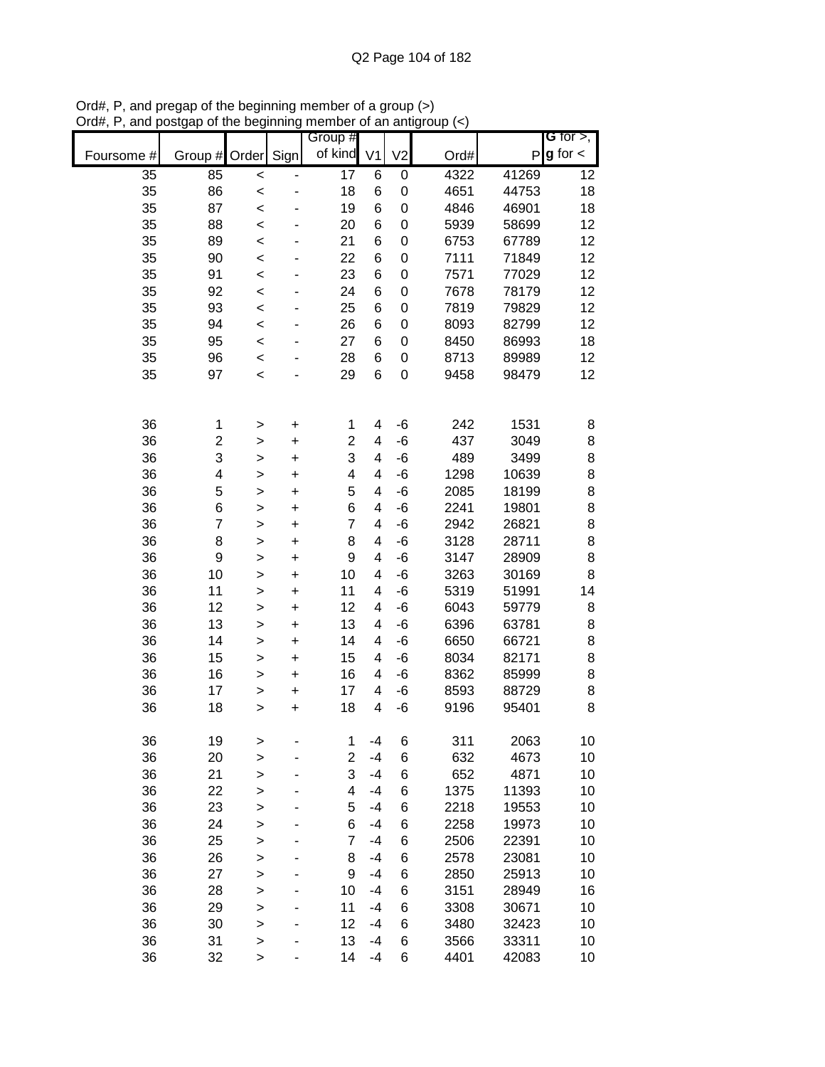|            |                         |              |                              | Group #                 |                |                |      |       | G for $>$ ,     |
|------------|-------------------------|--------------|------------------------------|-------------------------|----------------|----------------|------|-------|-----------------|
| Foursome # | Group #                 | Order        | Sign                         | of kind                 | V <sub>1</sub> | V <sub>2</sub> | Ord# |       | $P g$ for $\lt$ |
| 35         | 85                      | $\prec$      | $\qquad \qquad \blacksquare$ | $\overline{17}$         | 6              | 0              | 4322 | 41269 | 12              |
| 35         | 86                      | $\,<$        |                              | 18                      | 6              | 0              | 4651 | 44753 | 18              |
| 35         | 87                      | $\prec$      | -                            | 19                      | 6              | 0              | 4846 | 46901 | 18              |
| 35         | 88                      | $\prec$      |                              | 20                      | 6              | 0              | 5939 | 58699 | 12              |
| 35         | 89                      | $\prec$      |                              | 21                      | 6              | 0              | 6753 | 67789 | 12              |
| 35         | 90                      | $\prec$      |                              | 22                      | 6              | 0              | 7111 | 71849 | 12              |
| 35         | 91                      | $\prec$      |                              | 23                      | 6              | 0              | 7571 | 77029 | 12              |
| 35         | 92                      | $\,<$        |                              | 24                      | 6              | 0              | 7678 | 78179 | 12              |
| 35         | 93                      | $\,<$        |                              | 25                      | 6              | 0              | 7819 | 79829 | 12              |
| 35         | 94                      | $\,<$        |                              | 26                      | 6              | 0              | 8093 | 82799 | 12              |
| 35         | 95                      | $\,<$        | ä,                           | 27                      | 6              | 0              | 8450 | 86993 | 18              |
| 35         | 96                      | $\,<$        |                              | 28                      | 6              | 0              | 8713 | 89989 | 12              |
| 35         | 97                      | $\,<$        |                              | 29                      | 6              | 0              | 9458 | 98479 | 12              |
|            |                         |              |                              |                         |                |                |      |       |                 |
|            |                         |              |                              |                         |                |                |      |       |                 |
| 36         | 1                       | >            | $\ddot{}$                    | 1                       | 4              | $-6$           | 242  | 1531  | 8               |
| 36         | $\overline{\mathbf{c}}$ | >            | $\ddot{}$                    | 2                       | 4              | $-6$           | 437  | 3049  | 8               |
| 36         | 3                       | >            | $\ddot{}$                    | 3                       | 4              | $-6$           | 489  | 3499  | 8               |
| 36         | 4                       | $\geq$       | $\ddot{}$                    | $\overline{\mathbf{4}}$ | 4              | $-6$           | 1298 | 10639 | 8               |
| 36         | 5                       | >            | $\ddot{}$                    | 5                       | 4              | $-6$           | 2085 | 18199 | 8               |
| 36         | 6                       | $\mathbf{I}$ | $\ddot{}$                    | 6                       | 4              | $-6$           | 2241 | 19801 | 8               |
| 36         | $\overline{7}$          | >            | $\ddot{}$                    | $\overline{7}$          | 4              | $-6$           | 2942 | 26821 | 8               |
| 36         | 8                       | $\mathbf{I}$ | $\ddot{}$                    | 8                       | 4              | $-6$           | 3128 | 28711 | 8               |
| 36         | $\boldsymbol{9}$        | >            | $\ddot{}$                    | 9                       | 4              | $-6$           | 3147 | 28909 | 8               |
| 36         | 10                      | >            | $\ddot{}$                    | 10                      | 4              | $-6$           | 3263 | 30169 | 8               |
| 36         | 11                      | >            | +                            | 11                      | 4              | $-6$           | 5319 | 51991 | 14              |
| 36         | 12                      | >            | $\ddot{}$                    | 12                      | 4              | $-6$           | 6043 | 59779 | 8               |
| 36         | 13                      | >            | +                            | 13                      | 4              | -6             | 6396 | 63781 | 8               |
| 36         | 14                      | $\mathbf{I}$ | $\ddot{}$                    | 14                      | 4              | -6             | 6650 | 66721 | 8               |
| 36         | 15                      | >            | $\ddot{}$                    | 15                      | 4              | -6             | 8034 | 82171 | 8               |
| 36         | 16                      | $\mathbf{I}$ | $\ddot{}$                    | 16                      | 4              | -6             | 8362 | 85999 | 8               |
| 36         | 17                      | >            | $\ddot{}$                    | 17                      | 4              | $-6$           | 8593 | 88729 | 8               |
| 36         | 18                      | $\mathbf{I}$ | $\ddot{}$                    | 18                      | 4              | $-6$           | 9196 | 95401 | 8               |
| 36         | 19                      | >            |                              | 1                       | $-4$           | 6              | 311  | 2063  | 10              |
| 36         | 20                      | >            |                              | 2                       | $-4$           | 6              | 632  | 4673  | 10              |
| 36         | 21                      | $\geq$       |                              | 3                       | $-4$           | 6              | 652  | 4871  | 10              |
| 36         | 22                      | $\geq$       |                              | 4                       | $-4$           | 6              | 1375 | 11393 | 10              |
| 36         | 23                      | $\mathbf{I}$ |                              | 5                       | $-4$           | 6              | 2218 | 19553 | 10              |
| 36         | 24                      | $\geq$       |                              | 6                       | $-4$           | 6              | 2258 | 19973 | 10              |
| 36         | 25                      | $\geq$       |                              | 7                       | $-4$           | 6              | 2506 | 22391 | 10              |
| 36         | 26                      | >            |                              | 8                       | $-4$           | 6              | 2578 | 23081 | 10              |
| 36         | 27                      | >            |                              | 9                       | $-4$           | 6              | 2850 | 25913 | 10              |
| 36         | 28                      | >            |                              | 10                      | -4             | 6              | 3151 | 28949 | 16              |
| 36         | 29                      | $\geq$       | -                            | 11                      | $-4$           | 6              | 3308 | 30671 | 10              |
| 36         | 30                      | $\geq$       |                              | 12                      | $-4$           | 6              | 3480 | 32423 | 10              |
| 36         | 31                      | $\mathbf{I}$ |                              | 13                      | $-4$           | 6              | 3566 | 33311 | 10              |
| 36         | 32                      | $\geq$       |                              | 14                      | $-4$           | 6              | 4401 | 42083 | 10              |

Ord#, P, and pregap of the beginning member of a group (>) Ord#, P, and postgap of the beginning member of an antigroup (<)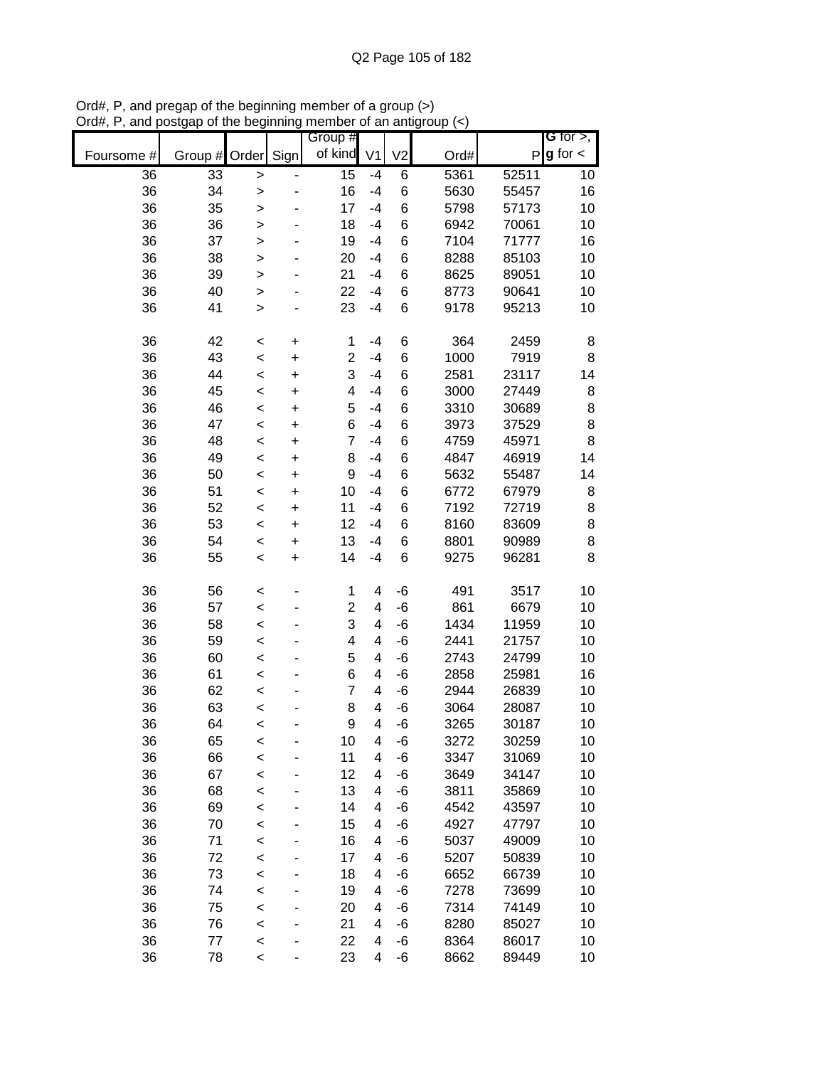|            |         |              |           | Group #        |                |                |      |       | G for $>$ ,            |
|------------|---------|--------------|-----------|----------------|----------------|----------------|------|-------|------------------------|
| Foursome # | Group # | Order        | Sign      | of kind        | V <sub>1</sub> | V <sub>2</sub> | Ord# |       | $P$ <b>g</b> for $\lt$ |
| 36         | 33      | $\mathbf{I}$ |           | 15             | -4             | 6              | 5361 | 52511 | 10                     |
| 36         | 34      | $\geq$       |           | 16             | $-4$           | 6              | 5630 | 55457 | 16                     |
| 36         | 35      | $\geq$       |           | 17             | $-4$           | 6              | 5798 | 57173 | 10                     |
| 36         | 36      | >            |           | 18             | -4             | 6              | 6942 | 70061 | 10                     |
| 36         | 37      | $\mathbf{I}$ |           | 19             | $-4$           | 6              | 7104 | 71777 | 16                     |
| 36         | 38      | $\mathbf{I}$ |           | 20             | $-4$           | 6              | 8288 | 85103 | 10                     |
| 36         | 39      | >            |           | 21             | $-4$           | 6              | 8625 | 89051 | 10                     |
| 36         | 40      | >            |           | 22             | -4             | 6              | 8773 | 90641 | 10                     |
| 36         | 41      | $\,$         |           | 23             | $-4$           | 6              | 9178 | 95213 | 10                     |
|            |         |              |           |                |                |                |      |       |                        |
| 36         | 42      | $\,<$        | $\pmb{+}$ | 1              | -4             | 6              | 364  | 2459  | 8                      |
| 36         | 43      | $\prec$      | $\ddot{}$ | $\overline{c}$ | $-4$           | 6              | 1000 | 7919  | 8                      |
| 36         | 44      | $\,<$        | $\ddot{}$ | 3              | $-4$           | 6              | 2581 | 23117 | 14                     |
| 36         | 45      | $\prec$      | $\ddot{}$ | 4              | $-4$           | 6              | 3000 | 27449 | 8                      |
| 36         | 46      | $\prec$      | $\ddot{}$ | 5              | $-4$           | 6              | 3310 | 30689 | 8                      |
| 36         | 47      | $\prec$      | $\ddot{}$ | 6              | $-4$           | 6              | 3973 | 37529 | 8                      |
| 36         | 48      | $\,<$        | $\ddot{}$ | $\overline{7}$ | $-4$           | 6              | 4759 | 45971 | 8                      |
| 36         | 49      | $\prec$      | $\ddot{}$ | 8              | $-4$           | 6              | 4847 | 46919 | 14                     |
| 36         | 50      | $\prec$      | $\ddot{}$ | 9              | $-4$           | 6              | 5632 | 55487 | 14                     |
| 36         | 51      | $\prec$      | $\ddot{}$ | 10             | $-4$           | 6              | 6772 | 67979 | 8                      |
| 36         | 52      | $\prec$      | $\ddot{}$ | 11             | $-4$           | 6              | 7192 | 72719 | $\bf8$                 |
| 36         | 53      | $\,<$        | $\ddot{}$ | 12             | $-4$           | 6              | 8160 | 83609 | 8                      |
| 36         | 54      | $\prec$      | $\pmb{+}$ | 13             | $-4$           | 6              | 8801 | 90989 | 8                      |
| 36         | 55      | $\prec$      | $\ddot{}$ | 14             | $-4$           | 6              | 9275 | 96281 | 8                      |
|            |         |              |           |                |                |                |      |       |                        |
| 36         | 56      | <            |           | 1              | 4              | -6             | 491  | 3517  | 10                     |
| 36         | 57      | $\,<$        |           | $\overline{2}$ | 4              | $-6$           | 861  | 6679  | 10                     |
| 36         | 58      | $\,<$        |           | 3              | 4              | -6             | 1434 | 11959 | 10                     |
| 36         | 59      | $\prec$      |           | 4              | 4              | -6             | 2441 | 21757 | 10                     |
| 36         | 60      | $\,<$        |           | 5              | 4              | -6             | 2743 | 24799 | 10                     |
| 36         | 61      | $\prec$      |           | 6              | 4              | -6             | 2858 | 25981 | 16                     |
| 36         | 62      | $\prec$      |           | $\overline{7}$ | 4              | -6             | 2944 | 26839 | 10                     |
| 36         | 63      | $\prec$      |           | 8              | 4              | -6             | 3064 | 28087 | 10                     |
| 36         | 64      | $\,<$        |           | 9              | 4              | $-6$           | 3265 | 30187 | 10                     |
| 36         | 65      | <            |           | 10             | 4              | -6             | 3272 | 30259 | 10                     |
| 36         | 66      | $\prec$      |           | 11             | 4              | -6             | 3347 | 31069 | 10                     |
| 36         | 67      | $\prec$      |           | 12             | 4              | -6             | 3649 | 34147 | 10                     |
| 36         | 68      | $\prec$      |           | 13             | 4              | -6             | 3811 | 35869 | 10                     |
| 36         | 69      | $\prec$      |           | 14             | 4              | -6             | 4542 | 43597 | 10                     |
| 36         | 70      | $\prec$      |           | 15             | 4              | -6             | 4927 | 47797 | 10                     |
| 36         | 71      | $\prec$      |           | 16             | 4              | -6             | 5037 | 49009 | 10                     |
| 36         | 72      | $\,<$        |           | 17             | 4              | -6             | 5207 | 50839 | 10                     |
| 36         | 73      | $\prec$      |           | 18             | 4              | -6             | 6652 | 66739 | 10                     |
| 36         | 74      | $\,<$        |           | 19             | 4              | -6             | 7278 | 73699 | 10                     |
| 36         | 75      | $\prec$      |           | 20             | 4              | -6             | 7314 | 74149 | 10                     |
| 36         | 76      | $\prec$      |           | 21             | 4              | -6             | 8280 | 85027 | 10                     |
| 36         | 77      | $\,<$        |           | 22             | 4              | -6             | 8364 | 86017 | 10                     |
| 36         | 78      | $\prec$      |           | 23             | 4              | -6             | 8662 | 89449 | 10                     |

Ord#, P, and pregap of the beginning member of a group (>) Ord#, P, and postgap of the beginning member of an antigroup (<)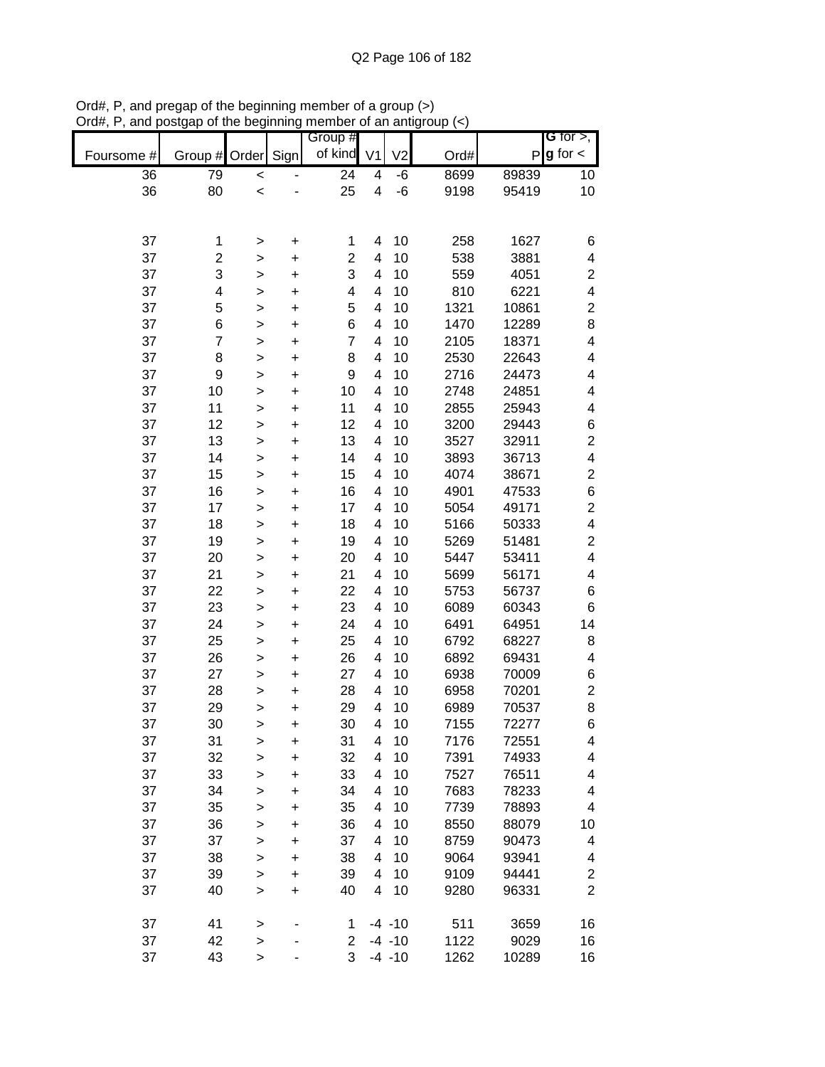|            |                |              |           | Group #         |                |                |      |       | G for $>$ ,             |
|------------|----------------|--------------|-----------|-----------------|----------------|----------------|------|-------|-------------------------|
| Foursome # | Group #        | Order Sign   |           | of kind         | V <sub>1</sub> | V <sub>2</sub> | Ord# | P     | $g$ for $\lt$           |
| 36         | 79             | $\prec$      |           | $\overline{24}$ | 4              | -6             | 8699 | 89839 | 10                      |
| 36         | 80             | $\prec$      |           | 25              | 4              | $-6$           | 9198 | 95419 | 10                      |
|            |                |              |           |                 |                |                |      |       |                         |
|            |                |              |           |                 |                |                |      |       |                         |
| 37         | 1              | >            | +         | 1               | 4              | 10             | 258  | 1627  | 6                       |
| 37         | $\overline{c}$ | >            | $\pmb{+}$ | $\overline{c}$  | 4              | 10             | 538  | 3881  | $\overline{\mathbf{4}}$ |
| 37         | 3              | >            | $\pmb{+}$ | 3               | 4              | 10             | 559  | 4051  | $\boldsymbol{2}$        |
| 37         | 4              | >            | $\pmb{+}$ | 4               | 4              | 10             | 810  | 6221  | $\overline{\mathbf{4}}$ |
| 37         | 5              | $\geq$       | $\pmb{+}$ | 5               | 4              | 10             | 1321 | 10861 | $\boldsymbol{2}$        |
| 37         | 6              | $\geq$       | $\ddot{}$ | 6               | 4              | 10             | 1470 | 12289 | 8                       |
| 37         | $\overline{7}$ | $\geq$       | $\ddot{}$ | $\overline{7}$  | 4              | 10             | 2105 | 18371 | $\overline{\mathbf{4}}$ |
| 37         | 8              | $\geq$       | $\ddot{}$ | 8               | 4              | 10             | 2530 | 22643 | 4                       |
| 37         | 9              | $\geq$       | $\ddot{}$ | 9               | 4              | 10             | 2716 | 24473 | 4                       |
| 37         | 10             | $\geq$       | $\ddot{}$ | 10              | 4              | 10             | 2748 | 24851 | 4                       |
| 37         | 11             | >            | $\ddot{}$ | 11              | 4              | 10             | 2855 | 25943 | 4                       |
| 37         | 12             | $\mathbf{I}$ | $\ddot{}$ | 12              | 4              | 10             | 3200 | 29443 | $\,$ 6 $\,$             |
| 37         | 13             | $\geq$       | $\ddot{}$ | 13              | 4              | 10             | 3527 | 32911 | $\boldsymbol{2}$        |
| 37         | 14             | $\geq$       | $\ddot{}$ | 14              | 4              | 10             | 3893 | 36713 | $\overline{\mathbf{4}}$ |
| 37         | 15             | $\geq$       | $\ddot{}$ | 15              | 4              | 10             | 4074 | 38671 | $\boldsymbol{2}$        |
| 37         | 16             | $\geq$       | $\ddot{}$ | 16              | 4              | 10             | 4901 | 47533 | $\,$ 6 $\,$             |
| 37         | 17             | $\mathbf{I}$ | $\ddot{}$ | 17              | 4              | 10             | 5054 | 49171 | $\boldsymbol{2}$        |
| 37         | 18             | $\geq$       | $\pmb{+}$ | 18              | 4              | 10             | 5166 | 50333 | $\overline{\mathbf{4}}$ |
| 37         | 19             | $\geq$       | $\pmb{+}$ | 19              | 4              | 10             | 5269 | 51481 | $\boldsymbol{2}$        |
| 37         | 20             | $\geq$       | $\pmb{+}$ | 20              | 4              | 10             | 5447 | 53411 | $\overline{\mathbf{4}}$ |
| 37         | 21             | >            | $\pmb{+}$ | 21              | 4              | 10             | 5699 | 56171 | 4                       |
| 37         | 22             | $\geq$       | $\pmb{+}$ | 22              | 4              | 10             | 5753 | 56737 | 6                       |
| 37         | 23             | $\geq$       | $\ddot{}$ | 23              | 4              | 10             | 6089 | 60343 | 6                       |
| 37         | 24             | $\geq$       | $\ddot{}$ | 24              | 4              | 10             | 6491 | 64951 | 14                      |
| 37         | 25             | $\geq$       | $\ddot{}$ | 25              | 4              | 10             | 6792 | 68227 | 8                       |
| 37         | 26             | $\geq$       | $\ddot{}$ | 26              | 4              | 10             | 6892 | 69431 | $\overline{\mathbf{4}}$ |
| 37         | 27             | $\geq$       | $\ddot{}$ | 27              | 4              | 10             | 6938 | 70009 | 6                       |
| 37         | 28             | >            | $\ddot{}$ | 28              | 4              | 10             | 6958 | 70201 | $\boldsymbol{2}$        |
| 37         | 29             | >            | $\ddot{}$ | 29              | 4              | 10             | 6989 | 70537 | $\bf8$                  |
| 37         | 30             | >            | $\ddot{}$ | 30              | 4              | 10             | 7155 | 72277 | 6                       |
| 37         | 31             | $\geq$       | $\ddot{}$ | 31              | 4              | 10             | 7176 | 72551 | 4                       |
| 37         | 32             | $\geq$       | $\ddot{}$ | 32              | 4              | 10             | 7391 | 74933 | 4                       |
| 37         | 33             | $\mathbf{I}$ | $\ddot{}$ | 33              | 4              | 10             | 7527 | 76511 | 4                       |
| 37         | 34             | $\geq$       | $\pmb{+}$ | 34              | 4              | 10             | 7683 | 78233 | 4                       |
| 37         | 35             | $\geq$       | $\ddot{}$ | 35              | 4              | 10             | 7739 | 78893 | 4                       |
| 37         | 36             | $\geq$       | $\pmb{+}$ | 36              | 4              | 10             | 8550 | 88079 | 10                      |
| 37         | 37             | $\mathbf{I}$ | +         | 37              | 4              | 10             | 8759 | 90473 | 4                       |
| 37         | 38             | $\geq$       | $\ddot{}$ | 38              | 4              | 10             | 9064 | 93941 | 4                       |
| 37         | 39             | $\geq$       | $\ddot{}$ | 39              | 4              | 10             | 9109 | 94441 | $\overline{\mathbf{c}}$ |
| 37         | 40             | $\geq$       | $\ddot{}$ | 40              | 4              | 10             | 9280 | 96331 | $\overline{2}$          |
|            |                |              |           |                 |                |                |      |       |                         |
| 37         | 41             | $\geq$       |           | 1               |                | $-4 - 10$      | 511  | 3659  | 16                      |
| 37         | 42             | $\geq$       |           | $\overline{2}$  |                | $-4 - 10$      | 1122 | 9029  | 16                      |
| 37         | 43             | $\geq$       |           | 3               |                | $-4 - 10$      | 1262 | 10289 | 16                      |

Ord#, P, and pregap of the beginning member of a group (>) Ord#, P, and postgap of the beginning member of an antigroup (<)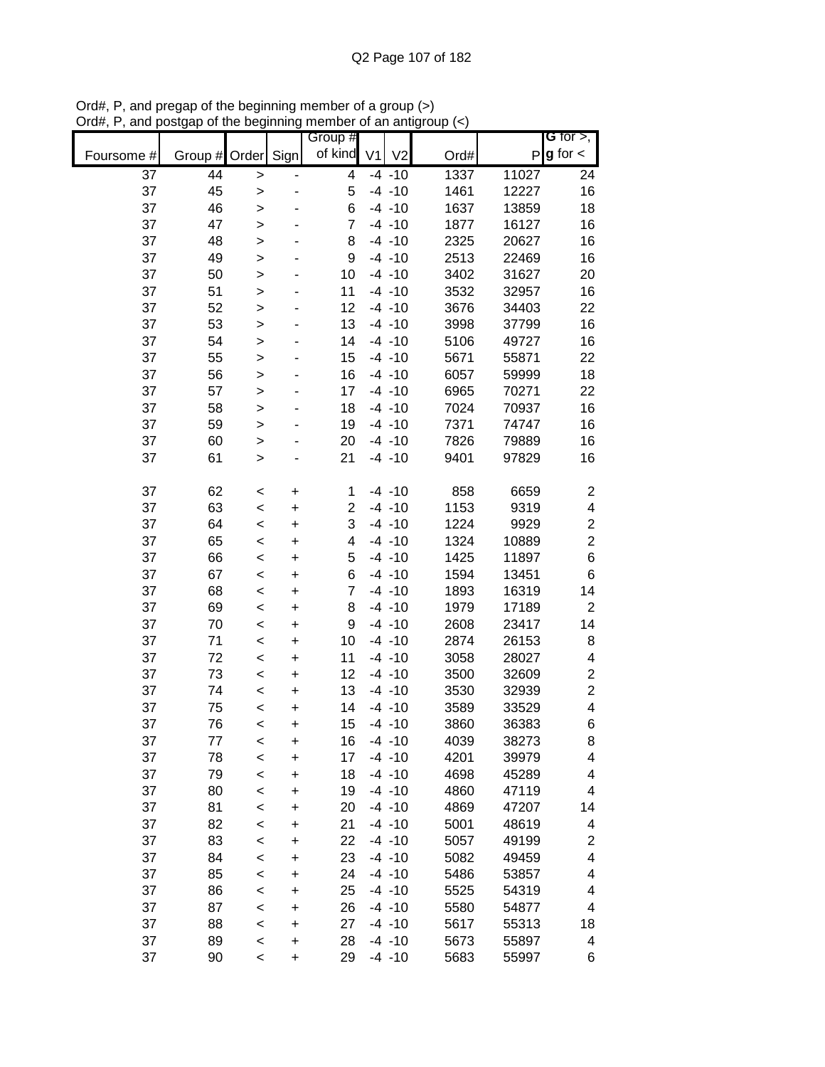|            |               |              |           | Group #        |                |      |       | G for $>$ ,             |
|------------|---------------|--------------|-----------|----------------|----------------|------|-------|-------------------------|
| Foursome # | Group # Order |              | Sign      | of kind V1     | V <sub>2</sub> | Ord# | P     | $g$ for $\lt$           |
| 37         | 44            | $\mathbf{I}$ |           | 4              | $-4 - 10$      | 1337 | 11027 | 24                      |
| 37         | 45            | >            |           | 5              | $-4 - 10$      | 1461 | 12227 | 16                      |
| 37         | 46            | >            |           | 6              | $-4 - 10$      | 1637 | 13859 | 18                      |
| 37         | 47            | $\mathbf{I}$ |           | $\overline{7}$ | $-4 - 10$      | 1877 | 16127 | 16                      |
| 37         | 48            | $\mathbf{I}$ |           | 8              | $-4 - 10$      | 2325 | 20627 | 16                      |
| 37         | 49            | $\geq$       |           | 9              | $-4 - 10$      | 2513 | 22469 | 16                      |
| 37         | 50            | $\geq$       |           | 10             | $-4 - 10$      | 3402 | 31627 | 20                      |
| 37         | 51            | $\geq$       |           | 11             | $-4 - 10$      | 3532 | 32957 | 16                      |
| 37         | 52            | >            |           | 12             | $-4 - 10$      | 3676 | 34403 | 22                      |
| 37         | 53            | >            |           | 13             | $-4 - 10$      | 3998 | 37799 | 16                      |
| 37         | 54            | $\mathbf{I}$ |           | 14             | $-4 - 10$      | 5106 | 49727 | 16                      |
| 37         | 55            | $\mathbf{I}$ |           | 15             | $-4 - 10$      | 5671 | 55871 | 22                      |
| 37         | 56            | $\mathbf{I}$ |           | 16             | $-4 - 10$      | 6057 | 59999 | 18                      |
| 37         | 57            | $\geq$       |           | 17             | $-4 - 10$      | 6965 | 70271 | 22                      |
| 37         | 58            | $\geq$       |           | 18             | $-4 - 10$      | 7024 | 70937 | 16                      |
| 37         | 59            | $\geq$       |           | 19             | $-4 - 10$      | 7371 | 74747 | 16                      |
| 37         | 60            | >            |           | 20             | $-4 - 10$      | 7826 | 79889 | 16                      |
| 37         | 61            | >            |           | 21             | $-4 - 10$      | 9401 | 97829 | 16                      |
|            |               |              |           |                |                |      |       |                         |
| 37         | 62            | $\,<$        | +         | 1              | $-4 - 10$      | 858  | 6659  | $\overline{\mathbf{c}}$ |
| 37         | 63            | $\prec$      | $\ddot{}$ | $\overline{c}$ | $-4 - 10$      | 1153 | 9319  | $\overline{\mathbf{4}}$ |
| 37         | 64            | $\prec$      | $\ddot{}$ | 3              | $-4 - 10$      | 1224 | 9929  | $\boldsymbol{2}$        |
| 37         | 65            | $\,<$        | +         | 4              | $-4 - 10$      | 1324 | 10889 | $\overline{c}$          |
| 37         | 66            | $\,<$        | +         | 5              | $-4 - 10$      | 1425 | 11897 | 6                       |
| 37         | 67            | $\,<$        | +         | 6              | $-4 - 10$      | 1594 | 13451 | 6                       |
| 37         | 68            | $\,<$        | +         | $\overline{7}$ | $-4 - 10$      | 1893 | 16319 | 14                      |
| 37         | 69            | $\,<$        | +         | 8              | $-4 - 10$      | 1979 | 17189 | $\overline{c}$          |
| 37         | 70            | $\,<$        | +         | 9              | $-4 - 10$      | 2608 | 23417 | 14                      |
| 37         | 71            | $\,<$        | $\ddot{}$ | 10             | $-4 - 10$      | 2874 | 26153 | 8                       |
| 37         | 72            | $\,<$        | $\ddot{}$ | 11             | $-4 - 10$      | 3058 | 28027 | 4                       |
| 37         | 73            | $\,<$        | $\ddot{}$ | 12             | $-4 - 10$      | 3500 | 32609 | $\boldsymbol{2}$        |
| 37         | 74            | $\prec$      | +         | 13             | $-4 - 10$      | 3530 | 32939 | $\boldsymbol{2}$        |
| 37         | 75            | $\prec$      | $\ddot{}$ | 14             | $-4 - 10$      | 3589 | 33529 | $\overline{\mathbf{4}}$ |
| 37         | 76            | $\,<$        | $\ddot{}$ | 15             | $-4 - 10$      | 3860 | 36383 | 6                       |
| 37         | 77            | $\,<$        | +         | 16             | $-4 - 10$      | 4039 | 38273 | 8                       |
| 37         | 78            | $\prec$      | +         | 17             | $-4 - 10$      | 4201 | 39979 | 4                       |
| 37         | 79            | $\prec$      | $\ddot{}$ | 18             | $-4 - 10$      | 4698 | 45289 | 4                       |
| 37         | 80            | $\prec$      | +         | 19             | $-4 - 10$      | 4860 | 47119 | 4                       |
| 37         | 81            | $\prec$      | +         | 20             | $-4 - 10$      | 4869 | 47207 | 14                      |
| 37         | 82            | $\prec$      | +         | 21             | $-4 - 10$      | 5001 | 48619 | 4                       |
| 37         | 83            | $\prec$      | +         | 22             | $-4 - 10$      | 5057 | 49199 | $\overline{\mathbf{c}}$ |
| 37         | 84            | $\prec$      | +         | 23             | $-4 - 10$      | 5082 | 49459 | 4                       |
| 37         | 85            | $\prec$      | +         | 24             | $-4 - 10$      | 5486 | 53857 | 4                       |
| 37         | 86            | $\prec$      | +         | 25             | $-4 - 10$      | 5525 | 54319 | 4                       |
| 37         | 87            | $\prec$      | $\ddot{}$ | 26             | $-4 - 10$      | 5580 | 54877 | 4                       |
| 37         | 88            | $\,<$        | +         | 27             | $-4 - 10$      | 5617 | 55313 | 18                      |
| 37         | 89            | $\,<$        | +         | 28             | $-4 - 10$      | 5673 | 55897 | 4                       |
| 37         | 90            | $\,<$        | +         | 29             | $-4 - 10$      | 5683 | 55997 | 6                       |

Ord#, P, and pregap of the beginning member of a group (>) Ord#, P, and postgap of the beginning member of an antigroup (<)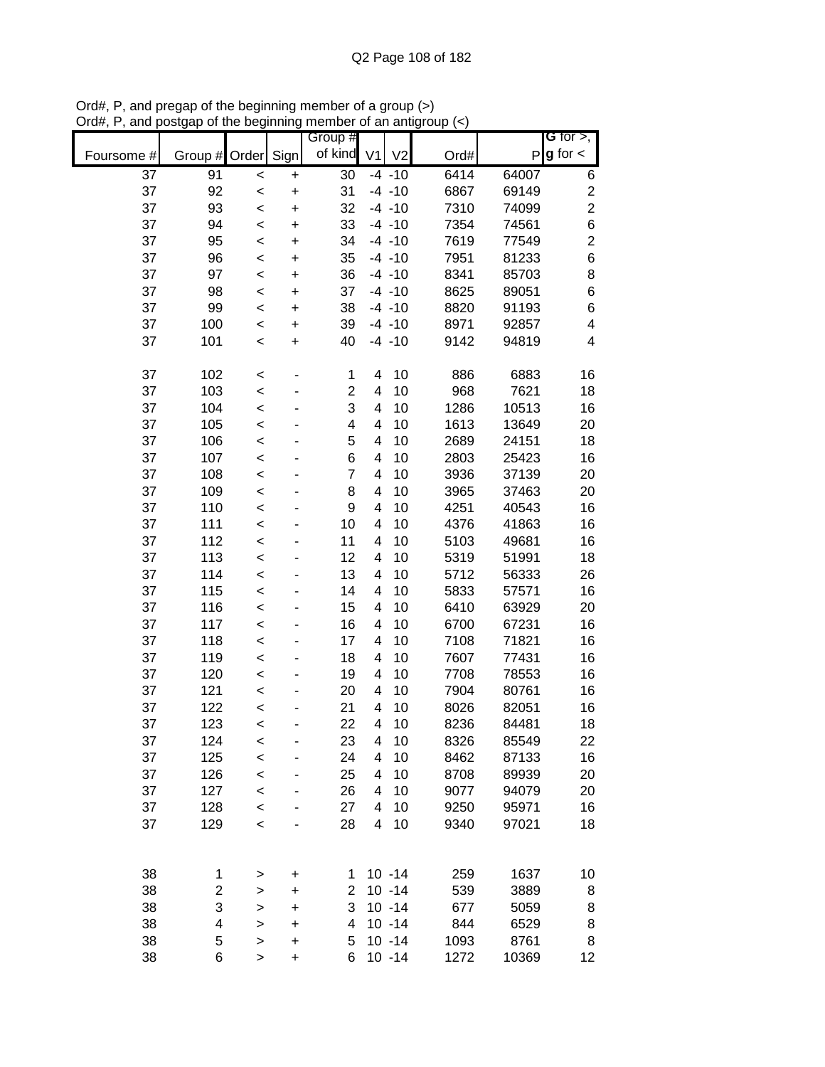|            |           |              |           | Group #        |                         |                |      |       | G for $>$ ,              |
|------------|-----------|--------------|-----------|----------------|-------------------------|----------------|------|-------|--------------------------|
| Foursome # | Group $#$ | Order        | Sign      | of kind        | V <sub>1</sub>          | V <sub>2</sub> | Ord# |       | $P g$ for $\lt$          |
| 37         | 91        | $\,<$        | $\ddot{}$ | 30             |                         | $-4 - 10$      | 6414 | 64007 | 6                        |
| 37         | 92        | $\,<$        | $\ddot{}$ | 31             |                         | $-4 - 10$      | 6867 | 69149 | $\boldsymbol{2}$         |
| 37         | 93        | $\,<$        | $\ddot{}$ | 32             |                         | $-4 - 10$      | 7310 | 74099 | $\overline{2}$           |
| 37         | 94        | $\prec$      | $\ddot{}$ | 33             |                         | $-4 - 10$      | 7354 | 74561 | 6                        |
| 37         | 95        | $\prec$      | $\ddot{}$ | 34             |                         | $-4 - 10$      | 7619 | 77549 | $\overline{\mathbf{c}}$  |
| 37         | 96        | $\,<$        | $\ddot{}$ | 35             |                         | $-4 - 10$      | 7951 | 81233 | 6                        |
| 37         | 97        | $\,<$        | $\ddot{}$ | 36             |                         | $-4 - 10$      | 8341 | 85703 | 8                        |
| 37         | 98        | $\,<$        | +         | 37             |                         | $-4 - 10$      | 8625 | 89051 | 6                        |
| 37         | 99        | $\,<$        | +         | 38             |                         | $-4 - 10$      | 8820 | 91193 | 6                        |
| 37         | 100       | $\,<$        | +         | 39             |                         | $-4 - 10$      | 8971 | 92857 | $\overline{\mathcal{A}}$ |
| 37         | 101       | $\,<$        | $\ddot{}$ | 40             |                         | $-4 - 10$      | 9142 | 94819 | 4                        |
| 37         | 102       | $\,<$        |           | 1              | 4                       | 10             | 886  | 6883  | 16                       |
| 37         | 103       | $\,<$        |           | $\overline{2}$ | 4                       | 10             | 968  | 7621  | 18                       |
| 37         | 104       | $\,<$        |           | 3              | 4                       | 10             | 1286 | 10513 | 16                       |
| 37         | 105       | $\prec$      |           | 4              | 4                       | 10             | 1613 | 13649 | 20                       |
| 37         | 106       | $\prec$      |           | 5              | 4                       | 10             | 2689 | 24151 | 18                       |
| 37         | 107       | $\prec$      |           | 6              | $\overline{\mathbf{4}}$ | 10             | 2803 | 25423 | 16                       |
| 37         | 108       | $\prec$      |           | $\overline{7}$ | 4                       | 10             | 3936 | 37139 | 20                       |
| 37         | 109       | $\,<$        |           | 8              | 4                       | 10             | 3965 | 37463 | 20                       |
| 37         | 110       | $\prec$      |           | 9              | 4                       | 10             | 4251 | 40543 | 16                       |
| 37         | 111       | $\prec$      |           | 10             | 4                       | 10             | 4376 | 41863 | 16                       |
| 37         | 112       | $\,<$        |           | 11             | 4                       | 10             | 5103 | 49681 | 16                       |
| 37         | 113       | $\,<$        |           | 12             | 4                       | 10             | 5319 | 51991 | 18                       |
| 37         | 114       | $\prec$      |           | 13             | 4                       | 10             | 5712 | 56333 | 26                       |
| 37         | 115       | $\prec$      |           | 14             | 4                       | 10             | 5833 | 57571 | 16                       |
| 37         | 116       | $\,<$        |           | 15             | 4                       | 10             | 6410 | 63929 | 20                       |
| 37         | 117       | $\,<$        |           | 16             | 4                       | 10             | 6700 | 67231 | 16                       |
| 37         | 118       | $\,<$        |           | 17             | 4                       | 10             | 7108 | 71821 | 16                       |
| 37         | 119       | $\,<$        |           | 18             | 4                       | 10             | 7607 | 77431 | 16                       |
| 37         | 120       | $\,<$        |           | 19             | 4                       | 10             | 7708 | 78553 | 16                       |
| 37         | 121       | $\,<$        |           | 20             | 4                       | 10             | 7904 | 80761 | 16                       |
| 37         | 122       | $\,<$        |           | 21             | 4                       | 10             | 8026 | 82051 | 16                       |
| 37         | 123       | $\prec$      |           | 22             | 4                       | 10             | 8236 | 84481 | 18                       |
| 37         | 124       | $\,<$        |           | 23             | 4                       | 10             | 8326 | 85549 | 22                       |
| 37         | 125       | $\prec$      |           | 24             | 4                       | 10             | 8462 | 87133 | 16                       |
| 37         | 126       | $\prec$      |           | 25             | 4                       | 10             | 8708 | 89939 | 20                       |
| 37         | 127       | $\prec$      |           | 26             | 4                       | 10             | 9077 | 94079 | 20                       |
| 37         | 128       | $\prec$      |           | 27             | 4                       | 10             | 9250 | 95971 | 16                       |
| 37         | 129       | $\,<$        |           | 28             | 4                       | 10             | 9340 | 97021 | 18                       |
|            |           |              |           |                |                         |                |      |       |                          |
| 38         | 1         | >            | +         | 1              |                         | $10 - 14$      | 259  | 1637  | 10                       |
| 38         | 2         | >            | +         | 2              |                         | $10 - 14$      | 539  | 3889  | 8                        |
| 38         | 3         | >            | +         | 3              |                         | $10 - 14$      | 677  | 5059  | 8                        |
| 38         | 4         | $\geq$       | $\ddot{}$ | 4              |                         | $10 - 14$      | 844  | 6529  | 8                        |
| 38         | 5         | $\mathbf{I}$ | $\ddot{}$ | 5              |                         | $10 - 14$      | 1093 | 8761  | 8                        |
| 38         | 6         | $\,$         | $\ddot{}$ | 6              |                         | $10 - 14$      | 1272 | 10369 | 12                       |

Ord#, P, and pregap of the beginning member of a group (>) Ord#, P, and postgap of the beginning member of an antigroup (<)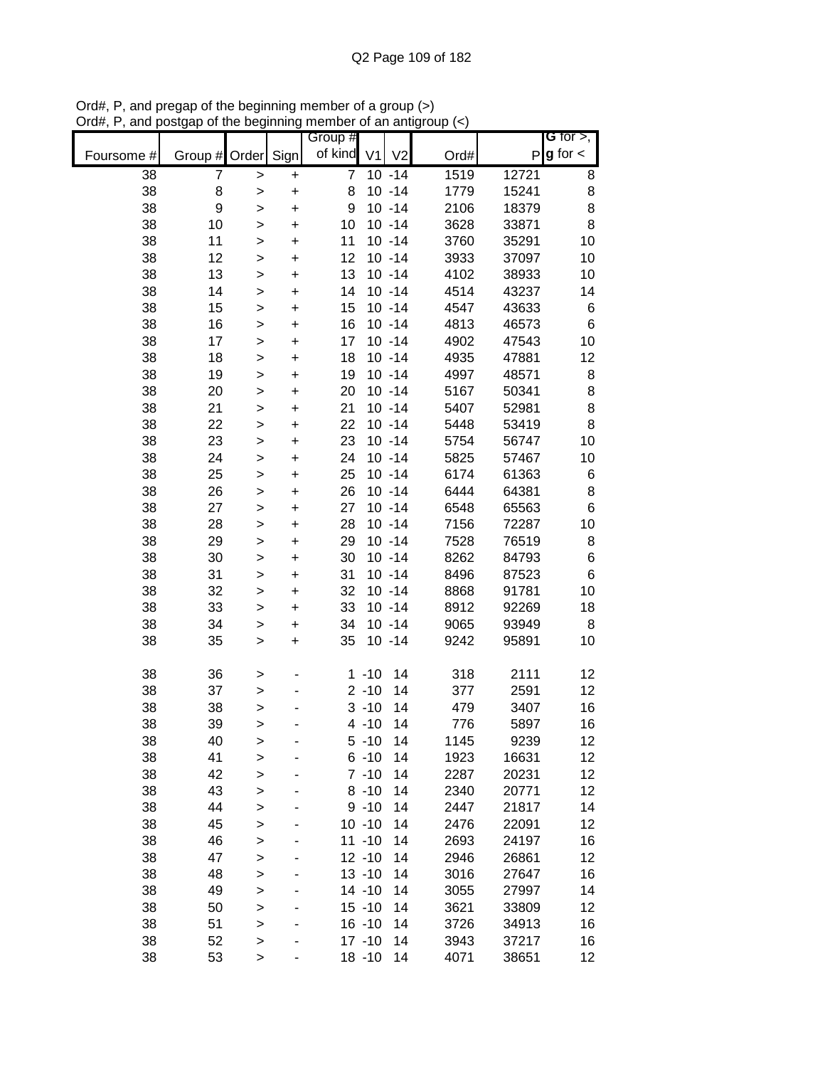|            |                  |              |           | Group #        |                |                |      |       | G for $>$ ,     |
|------------|------------------|--------------|-----------|----------------|----------------|----------------|------|-------|-----------------|
| Foursome # | Group # Order    |              | Sign      | of kind        | V <sub>1</sub> | V <sub>2</sub> | Ord# |       | $P g$ for $\lt$ |
| 38         | 7                | $\geq$       | $\pmb{+}$ | $\overline{7}$ |                | $10 - 14$      | 1519 | 12721 | 8               |
| 38         | 8                | >            | $\ddot{}$ | 8              |                | $10 - 14$      | 1779 | 15241 | 8               |
| 38         | $\boldsymbol{9}$ | $\geq$       | $\ddot{}$ | 9              |                | $10 - 14$      | 2106 | 18379 | 8               |
| 38         | 10               | $\geq$       | $\ddot{}$ | 10             |                | $10 - 14$      | 3628 | 33871 | 8               |
| 38         | 11               | >            | $\ddot{}$ | 11             |                | $10 - 14$      | 3760 | 35291 | 10              |
| 38         | 12               | $\mathbf{I}$ | $\ddot{}$ | 12             |                | $10 - 14$      | 3933 | 37097 | 10              |
| 38         | 13               | $\geq$       | +         | 13             |                | $10 - 14$      | 4102 | 38933 | 10              |
| 38         | 14               | >            | +         | 14             |                | $10 - 14$      | 4514 | 43237 | 14              |
| 38         | 15               | >            | +         | 15             |                | $10 - 14$      | 4547 | 43633 | 6               |
| 38         | 16               | >            | +         | 16             |                | $10 - 14$      | 4813 | 46573 | $\,6$           |
| 38         | 17               | $\geq$       | +         | 17             |                | $10 - 14$      | 4902 | 47543 | 10              |
| 38         | 18               | $\geq$       | $\ddot{}$ | 18             |                | $10 - 14$      | 4935 | 47881 | 12              |
| 38         | 19               | $\geq$       | $\ddot{}$ | 19             |                | $10 - 14$      | 4997 | 48571 | 8               |
| 38         | 20               | $\geq$       | $\ddot{}$ | 20             |                | $10 - 14$      | 5167 | 50341 | 8               |
| 38         | 21               | $\geq$       | $\ddot{}$ | 21             |                | $10 - 14$      | 5407 | 52981 | 8               |
| 38         | 22               | >            | $\ddot{}$ | 22             |                | $10 - 14$      | 5448 | 53419 | 8               |
| 38         | 23               | >            | $\ddot{}$ | 23             |                | $10 - 14$      | 5754 | 56747 | 10              |
| 38         | 24               | >            | $\ddot{}$ | 24             |                | $10 - 14$      | 5825 | 57467 | 10              |
| 38         | 25               | >            | $\ddot{}$ | 25             |                | $10 - 14$      | 6174 | 61363 | 6               |
| 38         | 26               | $\geq$       | $\ddot{}$ | 26             |                | $10 - 14$      | 6444 | 64381 | 8               |
| 38         | 27               | >            | $\ddot{}$ | 27             |                | $10 - 14$      | 6548 | 65563 | $\,6$           |
| 38         | 28               | >            | $\ddot{}$ | 28             |                | $10 - 14$      | 7156 | 72287 | 10              |
| 38         | 29               | $\mathbf{I}$ | $\ddot{}$ | 29             |                | $10 - 14$      | 7528 | 76519 | 8               |
| 38         | 30               | >            | +         | 30             |                | $10 - 14$      | 8262 | 84793 | $\,$ 6 $\,$     |
| 38         | 31               | >            | +         | 31             |                | $10 - 14$      | 8496 | 87523 | $6\phantom{1}6$ |
| 38         | 32               | >            | +         | 32             |                | $10 - 14$      | 8868 | 91781 | 10              |
| 38         | 33               | >            | +         | 33             |                | $10 - 14$      | 8912 | 92269 | 18              |
| 38         | 34               | $\geq$       | +         | 34             |                | $10 - 14$      | 9065 | 93949 | 8               |
| 38         | 35               | $\mathbf{I}$ | $\ddot{}$ | 35             |                | $10 - 14$      | 9242 | 95891 | 10              |
| 38         | 36               | $\mathbf{I}$ |           |                | $1 - 10$       | 14             | 318  | 2111  | 12              |
| 38         | 37               | $\geq$       |           |                | $2 - 10$       | 14             | 377  | 2591  | 12              |
| 38         | 38               | >            |           |                | $3 - 10$       | 14             | 479  | 3407  | 16              |
| 38         | 39               | >            |           |                | $4 - 10$       | 14             | 776  | 5897  | 16              |
| 38         | 40               | >            |           |                | $5 - 10$       | 14             | 1145 | 9239  | 12              |
| 38         | 41               | $\geq$       |           |                | $6 - 10$       | 14             | 1923 | 16631 | 12              |
| 38         | 42               | $\geq$       |           |                | $7 - 10$       | 14             | 2287 | 20231 | 12              |
| 38         | 43               | >            |           |                | $8 - 10$       | 14             | 2340 | 20771 | 12              |
| 38         | 44               | $\geq$       |           |                | $9 - 10$       | 14             | 2447 | 21817 | 14              |
| 38         | 45               | $\geq$       |           |                | $10 - 10$      | 14             | 2476 | 22091 | 12              |
| 38         | 46               | $\mathbf{I}$ |           |                | $11 - 10$      | 14             | 2693 | 24197 | 16              |
| 38         | 47               | >            |           |                | $12 - 10$      | 14             | 2946 | 26861 | 12              |
| 38         | 48               | >            |           |                | $13 - 10$      | 14             | 3016 | 27647 | 16              |
| 38         | 49               | >            |           |                | $14 - 10$      | 14             | 3055 | 27997 | 14              |
| 38         | 50               | $\geq$       |           |                | $15 - 10$      | 14             | 3621 | 33809 | 12              |
| 38         | 51               | $\geq$       |           |                | $16 - 10$      | 14             | 3726 | 34913 | 16              |
| 38         | 52               | $\geq$       |           |                | $17 - 10$      | 14             | 3943 | 37217 | 16              |
| 38         | 53               | $\mathbf{I}$ |           |                | $18 - 10$      | 14             | 4071 | 38651 | 12              |

Ord#, P, and pregap of the beginning member of a group (>) Ord#, P, and postgap of the beginning member of an antigroup (<)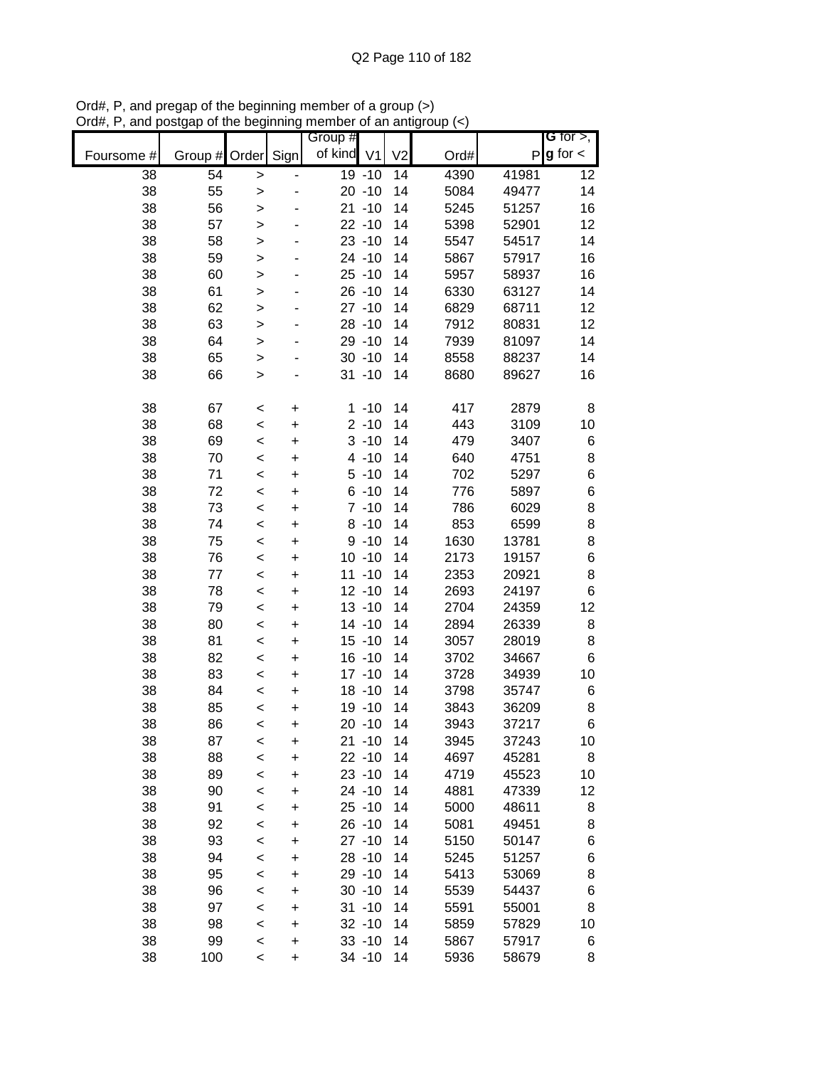|            |               |              |           | Group #    |           |                |      |              | G for $>$ ,   |
|------------|---------------|--------------|-----------|------------|-----------|----------------|------|--------------|---------------|
| Foursome # | Group # Order |              | Sign      | of kind V1 |           | V <sub>2</sub> | Ord# | $\mathsf{P}$ | $g$ for $\lt$ |
| 38         | 54            | >            |           |            | 19 -10    | 14             | 4390 | 41981        | 12            |
| 38         | 55            | >            |           |            | $20 - 10$ | 14             | 5084 | 49477        | 14            |
| 38         | 56            | >            |           |            | $21 - 10$ | 14             | 5245 | 51257        | 16            |
| 38         | 57            | >            |           |            | $22 - 10$ | 14             | 5398 | 52901        | 12            |
| 38         | 58            | >            |           |            | $23 - 10$ | 14             | 5547 | 54517        | 14            |
| 38         | 59            | $\geq$       |           |            | 24 -10    | 14             | 5867 | 57917        | 16            |
| 38         | 60            | >            |           |            | $25 - 10$ | 14             | 5957 | 58937        | 16            |
| 38         | 61            | >            |           |            | $26 - 10$ | 14             | 6330 | 63127        | 14            |
| 38         | 62            | >            |           |            | $27 - 10$ | 14             | 6829 | 68711        | 12            |
| 38         | 63            | >            |           |            | $28 - 10$ | 14             | 7912 | 80831        | 12            |
| 38         | 64            | $\geq$       |           |            | 29 - 10   | 14             | 7939 | 81097        | 14            |
| 38         | 65            | $\geq$       |           |            | $30 - 10$ | 14             | 8558 | 88237        | 14            |
| 38         | 66            | $\mathbf{I}$ |           |            | $31 - 10$ | 14             | 8680 | 89627        | 16            |
| 38         | 67            | $\,<$        | +         |            | $1 - 10$  | 14             | 417  | 2879         | 8             |
| 38         | 68            | $\prec$      | $\ddot{}$ |            | $2 - 10$  | 14             | 443  | 3109         | 10            |
| 38         | 69            | $\prec$      | +         |            | $3 - 10$  | 14             | 479  | 3407         | 6             |
| 38         | 70            | <            | $\ddot{}$ |            | $4 - 10$  | 14             | 640  | 4751         | 8             |
| 38         | 71            | <            | $\ddot{}$ |            | $5 - 10$  | 14             | 702  | 5297         | 6             |
| 38         | 72            | $\prec$      | +         |            | $6 - 10$  | 14             | 776  | 5897         | 6             |
| 38         | 73            | $\prec$      | $\ddot{}$ |            | $7 - 10$  | 14             | 786  | 6029         | 8             |
| 38         | 74            | $\prec$      | +         |            | $8 - 10$  | 14             | 853  | 6599         | 8             |
| 38         | 75            | $\prec$      | +         |            | $9 - 10$  | 14             | 1630 | 13781        | 8             |
| 38         | 76            | $\prec$      | +         |            | $10 - 10$ | 14             | 2173 | 19157        | 6             |
| 38         | 77            | $\prec$      | +         |            | $11 - 10$ | 14             | 2353 | 20921        | 8             |
| 38         | 78            | $\prec$      | +         |            | $12 - 10$ | 14             | 2693 | 24197        | 6             |
| 38         | 79            | <            | +         |            | $13 - 10$ | 14             | 2704 | 24359        | 12            |
| 38         | 80            | <            | +         |            | 14 -10    | 14             | 2894 | 26339        | 8             |
| 38         | 81            | $\prec$      | +         |            | $15 - 10$ | 14             | 3057 | 28019        | 8             |
| 38         | 82            | $\,<$        | +         |            | $16 - 10$ | 14             | 3702 | 34667        | 6             |
| 38         | 83            | $\prec$      | +         |            | $17 - 10$ | 14             | 3728 | 34939        | 10            |
| 38         | 84            | $\prec$      | +         |            | $18 - 10$ | 14             | 3798 | 35747        | 6             |
| 38         | 85            | $\prec$      | +         |            | 19 - 10   | 14             | 3843 | 36209        | 8             |
| 38         | 86            | $\prec$      | $\ddot{}$ |            | $20 - 10$ | 14             | 3943 | 37217        | 6             |
| 38         | 87            | <            | +         |            | $21 - 10$ | 14             | 3945 | 37243        | 10            |
| 38         | 88            | $\prec$      | +         |            | $22 - 10$ | 14             | 4697 | 45281        | 8             |
| 38         | 89            | $\prec$      | +         |            | $23 - 10$ | 14             | 4719 | 45523        | 10            |
| 38         | 90            | $\prec$      | +         |            | $24 - 10$ | 14             | 4881 | 47339        | 12            |
| 38         | 91            | $\prec$      | +         |            | $25 - 10$ | 14             | 5000 | 48611        | 8             |
| 38         | 92            | $\prec$      | +         |            | $26 - 10$ | 14             | 5081 | 49451        | 8             |
| 38         | 93            | $\prec$      | +         |            | $27 - 10$ | 14             | 5150 | 50147        | 6             |
| 38         | 94            | $\prec$      | +         |            | $28 - 10$ | 14             | 5245 | 51257        | 6             |
| 38         | 95            | $\prec$      | +         |            | 29 - 10   | 14             | 5413 | 53069        | 8             |
| 38         | 96            | $\prec$      | +         |            | $30 - 10$ | 14             | 5539 | 54437        | 6             |
| 38         | 97            | <            | +         |            | $31 - 10$ | 14             | 5591 | 55001        | 8             |
| 38         | 98            | $\prec$      | +         |            | $32 - 10$ | 14             | 5859 | 57829        | 10            |
| 38         | 99            | $\,<$        | +         |            | $33 - 10$ | 14             | 5867 | 57917        | 6             |
| 38         | 100           | $\,<$        | +         |            | 34 - 10   | 14             | 5936 | 58679        | 8             |

Ord#, P, and pregap of the beginning member of a group (>) Ord#, P, and postgap of the beginning member of an antigroup (<)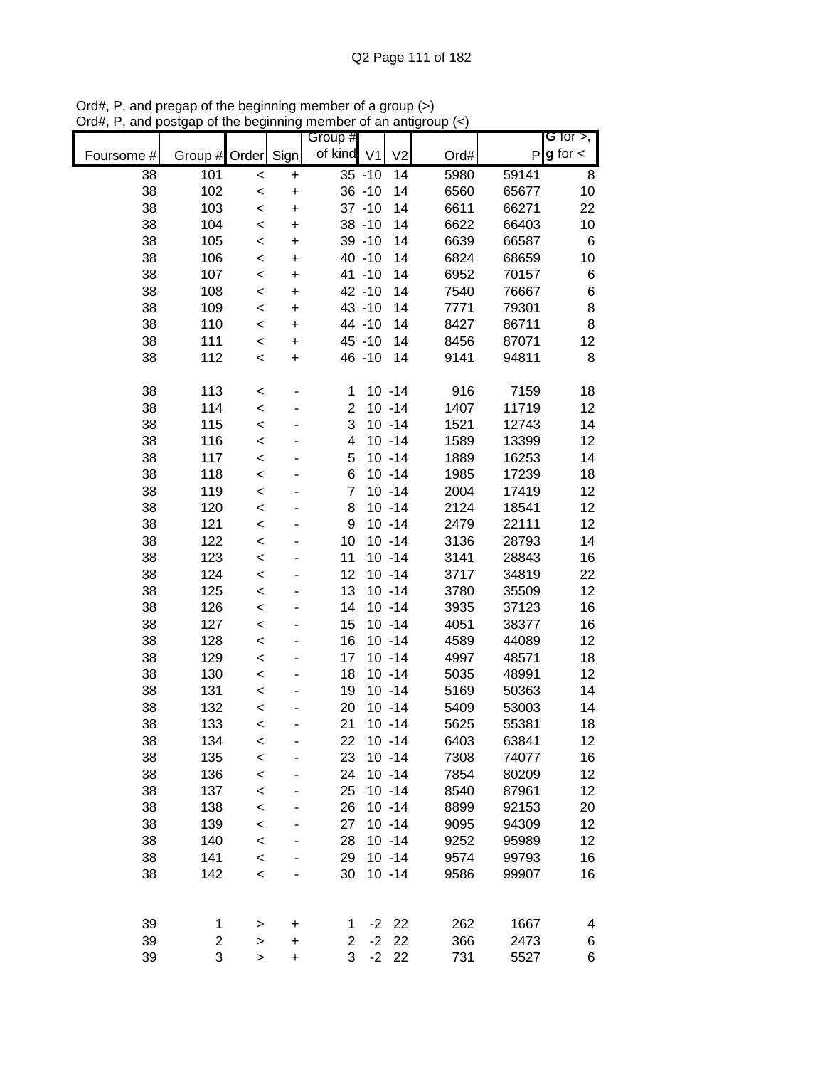| $P g$ for $\lt$<br>of kind V1<br>V <sub>2</sub><br>Sign<br>Ord#<br>Group #<br>Order<br>Foursome #<br>5980<br>38<br>101<br>$35 - 10$<br>14<br>59141<br>8<br>+<br>$\,<$<br>38<br>102<br>$36 - 10$<br>14<br>6560<br>10<br>65677<br>$\ddot{}$<br>$\,<$<br>38<br>103<br>$37 - 10$<br>14<br>6611<br>66271<br>22<br>$\ddot{}$<br>$\,<$<br>38<br>104<br>$38 - 10$<br>14<br>6622<br>66403<br>10<br>$\ddot{}$<br>$\,<$<br>38<br>105<br>39 - 10<br>6639<br>66587<br>6<br>14<br>$\ddot{}$<br>$\,<$<br>38<br>106<br>40 -10<br>14<br>6824<br>68659<br>10<br>$\,<$<br>+<br>38<br>107<br>41 -10<br>14<br>6952<br>70157<br>6<br>$\,<$<br>+<br>6<br>38<br>108<br>42 -10<br>7540<br>76667<br>14<br>$\,<$<br>+<br>$\bf8$<br>38<br>109<br>43 -10<br>7771<br>79301<br>14<br>$\,<$<br>+<br>8<br>38<br>110<br>44 -10<br>8427<br>86711<br>14<br>$\,<$<br>+<br>38<br>111<br>45 - 10<br>14<br>8456<br>87071<br>12<br>$\ddot{}$<br>$\,<$<br>8<br>38<br>112<br>46 - 10<br>14<br>9141<br>94811<br>$\ddot{}$<br>$\,<$<br>38<br>113<br>$10 - 14$<br>916<br>7159<br>18<br>1<br>$\,<$<br>$\overline{2}$<br>$10 - 14$<br>1407<br>38<br>114<br>11719<br>12<br>$\prec$<br>3<br>$10 - 14$<br>38<br>115<br>1521<br>14<br>12743<br>$\prec$<br>$10 - 14$<br>38<br>116<br>4<br>1589<br>12<br>13399<br>$\,<$<br>$10 - 14$<br>38<br>117<br>5<br>1889<br>16253<br>14<br>$\prec$<br>6<br>38<br>118<br>$10 - 14$<br>1985<br>17239<br>18<br>$\prec$<br>38<br>119<br>$\overline{7}$<br>$10 - 14$<br>2004<br>17419<br>12<br>$\prec$<br>38<br>120<br>$10 - 14$<br>2124<br>18541<br>12<br>8<br>$\,<$<br>38<br>121<br>9<br>$10 - 14$<br>2479<br>22111<br>12<br>$\,<$<br>38<br>122<br>10<br>$10 - 14$<br>3136<br>28793<br>14<br>$\,<$<br>38<br>123<br>11<br>$10 - 14$<br>3141<br>28843<br>16<br>$\prec$<br>38<br>124<br>12<br>$10 - 14$<br>3717<br>34819<br>22<br>$\,<$<br>38<br>125<br>13<br>$10 - 14$<br>12<br>3780<br>35509<br>$\,<$<br>38<br>126<br>14<br>$10 - 14$<br>3935<br>16<br>37123<br>$\,<$<br>38<br>127<br>15<br>$10 - 14$<br>4051<br>16<br>38377<br>$\,<$<br>38<br>128<br>16<br>$10 - 14$<br>4589<br>44089<br>12<br>$\,<$<br>38<br>129<br>17<br>4997<br>18<br>$10 - 14$<br>48571<br>$\,<$<br>38<br>130<br>18<br>$10 - 14$<br>5035<br>12<br>48991<br>$\prec$<br>38<br>$10 - 14$<br>5169<br>14<br>131<br>19<br>50363<br>$\prec$<br>38<br>$10 - 14$<br>132<br>20<br>5409<br>53003<br>14<br>$\,<$<br>38<br>133<br>21<br>$10 - 14$<br>5625<br>55381<br>18<br>$\,<$<br>$10 - 14$<br>38<br>6403<br>63841<br>12<br>134<br>22<br>$\,<$<br>38<br>135<br>$10 - 14$<br>7308<br>16<br>23<br>74077<br>$\prec$<br>38<br>12<br>136<br>24<br>$10 - 14$<br>7854<br>80209<br>$\prec$<br>38<br>12<br>137<br>25<br>$10 - 14$<br>8540<br>87961<br>$\prec$<br>38<br>138<br>$10 - 14$<br>8899<br>26<br>92153<br>20<br>$\prec$<br>38<br>139<br>$10 - 14$<br>12<br>27<br>9095<br>94309<br>$\prec$<br>140<br>38<br>28<br>$10 - 14$<br>9252<br>95989<br>12<br>$\prec$<br>38<br>$10 - 14$<br>16<br>141<br>29<br>9574<br>99793<br>$\,<$<br>$10 - 14$<br>38<br>142<br>30<br>9586<br>99907<br>16<br>$\prec$<br>39<br>$-2$ 22<br>262<br>1667<br>1<br>4<br>><br>+<br>1<br>39<br>$-2$<br>22<br>2<br>366<br>2<br>2473<br>6<br>$\mathbf{L}$<br>+<br>3<br>39<br>3<br>$-2$<br>22<br>731<br>5527<br>6<br>$\mathbf{L}$<br>$\ddot{}$ |  |  | Group # |  |  | $G$ for $>$ , |
|----------------------------------------------------------------------------------------------------------------------------------------------------------------------------------------------------------------------------------------------------------------------------------------------------------------------------------------------------------------------------------------------------------------------------------------------------------------------------------------------------------------------------------------------------------------------------------------------------------------------------------------------------------------------------------------------------------------------------------------------------------------------------------------------------------------------------------------------------------------------------------------------------------------------------------------------------------------------------------------------------------------------------------------------------------------------------------------------------------------------------------------------------------------------------------------------------------------------------------------------------------------------------------------------------------------------------------------------------------------------------------------------------------------------------------------------------------------------------------------------------------------------------------------------------------------------------------------------------------------------------------------------------------------------------------------------------------------------------------------------------------------------------------------------------------------------------------------------------------------------------------------------------------------------------------------------------------------------------------------------------------------------------------------------------------------------------------------------------------------------------------------------------------------------------------------------------------------------------------------------------------------------------------------------------------------------------------------------------------------------------------------------------------------------------------------------------------------------------------------------------------------------------------------------------------------------------------------------------------------------------------------------------------------------------------------------------------------------------------------------------------------------------------------------------------------------------------------------------------------------------------------------------------------------------------------------------------------------------------------------------------------------------------------------------------------------------------------------------------------------------------------------------------------------------------------------------------------------------------------------------|--|--|---------|--|--|---------------|
|                                                                                                                                                                                                                                                                                                                                                                                                                                                                                                                                                                                                                                                                                                                                                                                                                                                                                                                                                                                                                                                                                                                                                                                                                                                                                                                                                                                                                                                                                                                                                                                                                                                                                                                                                                                                                                                                                                                                                                                                                                                                                                                                                                                                                                                                                                                                                                                                                                                                                                                                                                                                                                                                                                                                                                                                                                                                                                                                                                                                                                                                                                                                                                                                                                                    |  |  |         |  |  |               |
|                                                                                                                                                                                                                                                                                                                                                                                                                                                                                                                                                                                                                                                                                                                                                                                                                                                                                                                                                                                                                                                                                                                                                                                                                                                                                                                                                                                                                                                                                                                                                                                                                                                                                                                                                                                                                                                                                                                                                                                                                                                                                                                                                                                                                                                                                                                                                                                                                                                                                                                                                                                                                                                                                                                                                                                                                                                                                                                                                                                                                                                                                                                                                                                                                                                    |  |  |         |  |  |               |
|                                                                                                                                                                                                                                                                                                                                                                                                                                                                                                                                                                                                                                                                                                                                                                                                                                                                                                                                                                                                                                                                                                                                                                                                                                                                                                                                                                                                                                                                                                                                                                                                                                                                                                                                                                                                                                                                                                                                                                                                                                                                                                                                                                                                                                                                                                                                                                                                                                                                                                                                                                                                                                                                                                                                                                                                                                                                                                                                                                                                                                                                                                                                                                                                                                                    |  |  |         |  |  |               |
|                                                                                                                                                                                                                                                                                                                                                                                                                                                                                                                                                                                                                                                                                                                                                                                                                                                                                                                                                                                                                                                                                                                                                                                                                                                                                                                                                                                                                                                                                                                                                                                                                                                                                                                                                                                                                                                                                                                                                                                                                                                                                                                                                                                                                                                                                                                                                                                                                                                                                                                                                                                                                                                                                                                                                                                                                                                                                                                                                                                                                                                                                                                                                                                                                                                    |  |  |         |  |  |               |
|                                                                                                                                                                                                                                                                                                                                                                                                                                                                                                                                                                                                                                                                                                                                                                                                                                                                                                                                                                                                                                                                                                                                                                                                                                                                                                                                                                                                                                                                                                                                                                                                                                                                                                                                                                                                                                                                                                                                                                                                                                                                                                                                                                                                                                                                                                                                                                                                                                                                                                                                                                                                                                                                                                                                                                                                                                                                                                                                                                                                                                                                                                                                                                                                                                                    |  |  |         |  |  |               |
|                                                                                                                                                                                                                                                                                                                                                                                                                                                                                                                                                                                                                                                                                                                                                                                                                                                                                                                                                                                                                                                                                                                                                                                                                                                                                                                                                                                                                                                                                                                                                                                                                                                                                                                                                                                                                                                                                                                                                                                                                                                                                                                                                                                                                                                                                                                                                                                                                                                                                                                                                                                                                                                                                                                                                                                                                                                                                                                                                                                                                                                                                                                                                                                                                                                    |  |  |         |  |  |               |
|                                                                                                                                                                                                                                                                                                                                                                                                                                                                                                                                                                                                                                                                                                                                                                                                                                                                                                                                                                                                                                                                                                                                                                                                                                                                                                                                                                                                                                                                                                                                                                                                                                                                                                                                                                                                                                                                                                                                                                                                                                                                                                                                                                                                                                                                                                                                                                                                                                                                                                                                                                                                                                                                                                                                                                                                                                                                                                                                                                                                                                                                                                                                                                                                                                                    |  |  |         |  |  |               |
|                                                                                                                                                                                                                                                                                                                                                                                                                                                                                                                                                                                                                                                                                                                                                                                                                                                                                                                                                                                                                                                                                                                                                                                                                                                                                                                                                                                                                                                                                                                                                                                                                                                                                                                                                                                                                                                                                                                                                                                                                                                                                                                                                                                                                                                                                                                                                                                                                                                                                                                                                                                                                                                                                                                                                                                                                                                                                                                                                                                                                                                                                                                                                                                                                                                    |  |  |         |  |  |               |
|                                                                                                                                                                                                                                                                                                                                                                                                                                                                                                                                                                                                                                                                                                                                                                                                                                                                                                                                                                                                                                                                                                                                                                                                                                                                                                                                                                                                                                                                                                                                                                                                                                                                                                                                                                                                                                                                                                                                                                                                                                                                                                                                                                                                                                                                                                                                                                                                                                                                                                                                                                                                                                                                                                                                                                                                                                                                                                                                                                                                                                                                                                                                                                                                                                                    |  |  |         |  |  |               |
|                                                                                                                                                                                                                                                                                                                                                                                                                                                                                                                                                                                                                                                                                                                                                                                                                                                                                                                                                                                                                                                                                                                                                                                                                                                                                                                                                                                                                                                                                                                                                                                                                                                                                                                                                                                                                                                                                                                                                                                                                                                                                                                                                                                                                                                                                                                                                                                                                                                                                                                                                                                                                                                                                                                                                                                                                                                                                                                                                                                                                                                                                                                                                                                                                                                    |  |  |         |  |  |               |
|                                                                                                                                                                                                                                                                                                                                                                                                                                                                                                                                                                                                                                                                                                                                                                                                                                                                                                                                                                                                                                                                                                                                                                                                                                                                                                                                                                                                                                                                                                                                                                                                                                                                                                                                                                                                                                                                                                                                                                                                                                                                                                                                                                                                                                                                                                                                                                                                                                                                                                                                                                                                                                                                                                                                                                                                                                                                                                                                                                                                                                                                                                                                                                                                                                                    |  |  |         |  |  |               |
|                                                                                                                                                                                                                                                                                                                                                                                                                                                                                                                                                                                                                                                                                                                                                                                                                                                                                                                                                                                                                                                                                                                                                                                                                                                                                                                                                                                                                                                                                                                                                                                                                                                                                                                                                                                                                                                                                                                                                                                                                                                                                                                                                                                                                                                                                                                                                                                                                                                                                                                                                                                                                                                                                                                                                                                                                                                                                                                                                                                                                                                                                                                                                                                                                                                    |  |  |         |  |  |               |
|                                                                                                                                                                                                                                                                                                                                                                                                                                                                                                                                                                                                                                                                                                                                                                                                                                                                                                                                                                                                                                                                                                                                                                                                                                                                                                                                                                                                                                                                                                                                                                                                                                                                                                                                                                                                                                                                                                                                                                                                                                                                                                                                                                                                                                                                                                                                                                                                                                                                                                                                                                                                                                                                                                                                                                                                                                                                                                                                                                                                                                                                                                                                                                                                                                                    |  |  |         |  |  |               |
|                                                                                                                                                                                                                                                                                                                                                                                                                                                                                                                                                                                                                                                                                                                                                                                                                                                                                                                                                                                                                                                                                                                                                                                                                                                                                                                                                                                                                                                                                                                                                                                                                                                                                                                                                                                                                                                                                                                                                                                                                                                                                                                                                                                                                                                                                                                                                                                                                                                                                                                                                                                                                                                                                                                                                                                                                                                                                                                                                                                                                                                                                                                                                                                                                                                    |  |  |         |  |  |               |
|                                                                                                                                                                                                                                                                                                                                                                                                                                                                                                                                                                                                                                                                                                                                                                                                                                                                                                                                                                                                                                                                                                                                                                                                                                                                                                                                                                                                                                                                                                                                                                                                                                                                                                                                                                                                                                                                                                                                                                                                                                                                                                                                                                                                                                                                                                                                                                                                                                                                                                                                                                                                                                                                                                                                                                                                                                                                                                                                                                                                                                                                                                                                                                                                                                                    |  |  |         |  |  |               |
|                                                                                                                                                                                                                                                                                                                                                                                                                                                                                                                                                                                                                                                                                                                                                                                                                                                                                                                                                                                                                                                                                                                                                                                                                                                                                                                                                                                                                                                                                                                                                                                                                                                                                                                                                                                                                                                                                                                                                                                                                                                                                                                                                                                                                                                                                                                                                                                                                                                                                                                                                                                                                                                                                                                                                                                                                                                                                                                                                                                                                                                                                                                                                                                                                                                    |  |  |         |  |  |               |
|                                                                                                                                                                                                                                                                                                                                                                                                                                                                                                                                                                                                                                                                                                                                                                                                                                                                                                                                                                                                                                                                                                                                                                                                                                                                                                                                                                                                                                                                                                                                                                                                                                                                                                                                                                                                                                                                                                                                                                                                                                                                                                                                                                                                                                                                                                                                                                                                                                                                                                                                                                                                                                                                                                                                                                                                                                                                                                                                                                                                                                                                                                                                                                                                                                                    |  |  |         |  |  |               |
|                                                                                                                                                                                                                                                                                                                                                                                                                                                                                                                                                                                                                                                                                                                                                                                                                                                                                                                                                                                                                                                                                                                                                                                                                                                                                                                                                                                                                                                                                                                                                                                                                                                                                                                                                                                                                                                                                                                                                                                                                                                                                                                                                                                                                                                                                                                                                                                                                                                                                                                                                                                                                                                                                                                                                                                                                                                                                                                                                                                                                                                                                                                                                                                                                                                    |  |  |         |  |  |               |
|                                                                                                                                                                                                                                                                                                                                                                                                                                                                                                                                                                                                                                                                                                                                                                                                                                                                                                                                                                                                                                                                                                                                                                                                                                                                                                                                                                                                                                                                                                                                                                                                                                                                                                                                                                                                                                                                                                                                                                                                                                                                                                                                                                                                                                                                                                                                                                                                                                                                                                                                                                                                                                                                                                                                                                                                                                                                                                                                                                                                                                                                                                                                                                                                                                                    |  |  |         |  |  |               |
|                                                                                                                                                                                                                                                                                                                                                                                                                                                                                                                                                                                                                                                                                                                                                                                                                                                                                                                                                                                                                                                                                                                                                                                                                                                                                                                                                                                                                                                                                                                                                                                                                                                                                                                                                                                                                                                                                                                                                                                                                                                                                                                                                                                                                                                                                                                                                                                                                                                                                                                                                                                                                                                                                                                                                                                                                                                                                                                                                                                                                                                                                                                                                                                                                                                    |  |  |         |  |  |               |
|                                                                                                                                                                                                                                                                                                                                                                                                                                                                                                                                                                                                                                                                                                                                                                                                                                                                                                                                                                                                                                                                                                                                                                                                                                                                                                                                                                                                                                                                                                                                                                                                                                                                                                                                                                                                                                                                                                                                                                                                                                                                                                                                                                                                                                                                                                                                                                                                                                                                                                                                                                                                                                                                                                                                                                                                                                                                                                                                                                                                                                                                                                                                                                                                                                                    |  |  |         |  |  |               |
|                                                                                                                                                                                                                                                                                                                                                                                                                                                                                                                                                                                                                                                                                                                                                                                                                                                                                                                                                                                                                                                                                                                                                                                                                                                                                                                                                                                                                                                                                                                                                                                                                                                                                                                                                                                                                                                                                                                                                                                                                                                                                                                                                                                                                                                                                                                                                                                                                                                                                                                                                                                                                                                                                                                                                                                                                                                                                                                                                                                                                                                                                                                                                                                                                                                    |  |  |         |  |  |               |
|                                                                                                                                                                                                                                                                                                                                                                                                                                                                                                                                                                                                                                                                                                                                                                                                                                                                                                                                                                                                                                                                                                                                                                                                                                                                                                                                                                                                                                                                                                                                                                                                                                                                                                                                                                                                                                                                                                                                                                                                                                                                                                                                                                                                                                                                                                                                                                                                                                                                                                                                                                                                                                                                                                                                                                                                                                                                                                                                                                                                                                                                                                                                                                                                                                                    |  |  |         |  |  |               |
|                                                                                                                                                                                                                                                                                                                                                                                                                                                                                                                                                                                                                                                                                                                                                                                                                                                                                                                                                                                                                                                                                                                                                                                                                                                                                                                                                                                                                                                                                                                                                                                                                                                                                                                                                                                                                                                                                                                                                                                                                                                                                                                                                                                                                                                                                                                                                                                                                                                                                                                                                                                                                                                                                                                                                                                                                                                                                                                                                                                                                                                                                                                                                                                                                                                    |  |  |         |  |  |               |
|                                                                                                                                                                                                                                                                                                                                                                                                                                                                                                                                                                                                                                                                                                                                                                                                                                                                                                                                                                                                                                                                                                                                                                                                                                                                                                                                                                                                                                                                                                                                                                                                                                                                                                                                                                                                                                                                                                                                                                                                                                                                                                                                                                                                                                                                                                                                                                                                                                                                                                                                                                                                                                                                                                                                                                                                                                                                                                                                                                                                                                                                                                                                                                                                                                                    |  |  |         |  |  |               |
|                                                                                                                                                                                                                                                                                                                                                                                                                                                                                                                                                                                                                                                                                                                                                                                                                                                                                                                                                                                                                                                                                                                                                                                                                                                                                                                                                                                                                                                                                                                                                                                                                                                                                                                                                                                                                                                                                                                                                                                                                                                                                                                                                                                                                                                                                                                                                                                                                                                                                                                                                                                                                                                                                                                                                                                                                                                                                                                                                                                                                                                                                                                                                                                                                                                    |  |  |         |  |  |               |
|                                                                                                                                                                                                                                                                                                                                                                                                                                                                                                                                                                                                                                                                                                                                                                                                                                                                                                                                                                                                                                                                                                                                                                                                                                                                                                                                                                                                                                                                                                                                                                                                                                                                                                                                                                                                                                                                                                                                                                                                                                                                                                                                                                                                                                                                                                                                                                                                                                                                                                                                                                                                                                                                                                                                                                                                                                                                                                                                                                                                                                                                                                                                                                                                                                                    |  |  |         |  |  |               |
|                                                                                                                                                                                                                                                                                                                                                                                                                                                                                                                                                                                                                                                                                                                                                                                                                                                                                                                                                                                                                                                                                                                                                                                                                                                                                                                                                                                                                                                                                                                                                                                                                                                                                                                                                                                                                                                                                                                                                                                                                                                                                                                                                                                                                                                                                                                                                                                                                                                                                                                                                                                                                                                                                                                                                                                                                                                                                                                                                                                                                                                                                                                                                                                                                                                    |  |  |         |  |  |               |
|                                                                                                                                                                                                                                                                                                                                                                                                                                                                                                                                                                                                                                                                                                                                                                                                                                                                                                                                                                                                                                                                                                                                                                                                                                                                                                                                                                                                                                                                                                                                                                                                                                                                                                                                                                                                                                                                                                                                                                                                                                                                                                                                                                                                                                                                                                                                                                                                                                                                                                                                                                                                                                                                                                                                                                                                                                                                                                                                                                                                                                                                                                                                                                                                                                                    |  |  |         |  |  |               |
|                                                                                                                                                                                                                                                                                                                                                                                                                                                                                                                                                                                                                                                                                                                                                                                                                                                                                                                                                                                                                                                                                                                                                                                                                                                                                                                                                                                                                                                                                                                                                                                                                                                                                                                                                                                                                                                                                                                                                                                                                                                                                                                                                                                                                                                                                                                                                                                                                                                                                                                                                                                                                                                                                                                                                                                                                                                                                                                                                                                                                                                                                                                                                                                                                                                    |  |  |         |  |  |               |
|                                                                                                                                                                                                                                                                                                                                                                                                                                                                                                                                                                                                                                                                                                                                                                                                                                                                                                                                                                                                                                                                                                                                                                                                                                                                                                                                                                                                                                                                                                                                                                                                                                                                                                                                                                                                                                                                                                                                                                                                                                                                                                                                                                                                                                                                                                                                                                                                                                                                                                                                                                                                                                                                                                                                                                                                                                                                                                                                                                                                                                                                                                                                                                                                                                                    |  |  |         |  |  |               |
|                                                                                                                                                                                                                                                                                                                                                                                                                                                                                                                                                                                                                                                                                                                                                                                                                                                                                                                                                                                                                                                                                                                                                                                                                                                                                                                                                                                                                                                                                                                                                                                                                                                                                                                                                                                                                                                                                                                                                                                                                                                                                                                                                                                                                                                                                                                                                                                                                                                                                                                                                                                                                                                                                                                                                                                                                                                                                                                                                                                                                                                                                                                                                                                                                                                    |  |  |         |  |  |               |
|                                                                                                                                                                                                                                                                                                                                                                                                                                                                                                                                                                                                                                                                                                                                                                                                                                                                                                                                                                                                                                                                                                                                                                                                                                                                                                                                                                                                                                                                                                                                                                                                                                                                                                                                                                                                                                                                                                                                                                                                                                                                                                                                                                                                                                                                                                                                                                                                                                                                                                                                                                                                                                                                                                                                                                                                                                                                                                                                                                                                                                                                                                                                                                                                                                                    |  |  |         |  |  |               |
|                                                                                                                                                                                                                                                                                                                                                                                                                                                                                                                                                                                                                                                                                                                                                                                                                                                                                                                                                                                                                                                                                                                                                                                                                                                                                                                                                                                                                                                                                                                                                                                                                                                                                                                                                                                                                                                                                                                                                                                                                                                                                                                                                                                                                                                                                                                                                                                                                                                                                                                                                                                                                                                                                                                                                                                                                                                                                                                                                                                                                                                                                                                                                                                                                                                    |  |  |         |  |  |               |
|                                                                                                                                                                                                                                                                                                                                                                                                                                                                                                                                                                                                                                                                                                                                                                                                                                                                                                                                                                                                                                                                                                                                                                                                                                                                                                                                                                                                                                                                                                                                                                                                                                                                                                                                                                                                                                                                                                                                                                                                                                                                                                                                                                                                                                                                                                                                                                                                                                                                                                                                                                                                                                                                                                                                                                                                                                                                                                                                                                                                                                                                                                                                                                                                                                                    |  |  |         |  |  |               |
|                                                                                                                                                                                                                                                                                                                                                                                                                                                                                                                                                                                                                                                                                                                                                                                                                                                                                                                                                                                                                                                                                                                                                                                                                                                                                                                                                                                                                                                                                                                                                                                                                                                                                                                                                                                                                                                                                                                                                                                                                                                                                                                                                                                                                                                                                                                                                                                                                                                                                                                                                                                                                                                                                                                                                                                                                                                                                                                                                                                                                                                                                                                                                                                                                                                    |  |  |         |  |  |               |
|                                                                                                                                                                                                                                                                                                                                                                                                                                                                                                                                                                                                                                                                                                                                                                                                                                                                                                                                                                                                                                                                                                                                                                                                                                                                                                                                                                                                                                                                                                                                                                                                                                                                                                                                                                                                                                                                                                                                                                                                                                                                                                                                                                                                                                                                                                                                                                                                                                                                                                                                                                                                                                                                                                                                                                                                                                                                                                                                                                                                                                                                                                                                                                                                                                                    |  |  |         |  |  |               |
|                                                                                                                                                                                                                                                                                                                                                                                                                                                                                                                                                                                                                                                                                                                                                                                                                                                                                                                                                                                                                                                                                                                                                                                                                                                                                                                                                                                                                                                                                                                                                                                                                                                                                                                                                                                                                                                                                                                                                                                                                                                                                                                                                                                                                                                                                                                                                                                                                                                                                                                                                                                                                                                                                                                                                                                                                                                                                                                                                                                                                                                                                                                                                                                                                                                    |  |  |         |  |  |               |
|                                                                                                                                                                                                                                                                                                                                                                                                                                                                                                                                                                                                                                                                                                                                                                                                                                                                                                                                                                                                                                                                                                                                                                                                                                                                                                                                                                                                                                                                                                                                                                                                                                                                                                                                                                                                                                                                                                                                                                                                                                                                                                                                                                                                                                                                                                                                                                                                                                                                                                                                                                                                                                                                                                                                                                                                                                                                                                                                                                                                                                                                                                                                                                                                                                                    |  |  |         |  |  |               |
|                                                                                                                                                                                                                                                                                                                                                                                                                                                                                                                                                                                                                                                                                                                                                                                                                                                                                                                                                                                                                                                                                                                                                                                                                                                                                                                                                                                                                                                                                                                                                                                                                                                                                                                                                                                                                                                                                                                                                                                                                                                                                                                                                                                                                                                                                                                                                                                                                                                                                                                                                                                                                                                                                                                                                                                                                                                                                                                                                                                                                                                                                                                                                                                                                                                    |  |  |         |  |  |               |
|                                                                                                                                                                                                                                                                                                                                                                                                                                                                                                                                                                                                                                                                                                                                                                                                                                                                                                                                                                                                                                                                                                                                                                                                                                                                                                                                                                                                                                                                                                                                                                                                                                                                                                                                                                                                                                                                                                                                                                                                                                                                                                                                                                                                                                                                                                                                                                                                                                                                                                                                                                                                                                                                                                                                                                                                                                                                                                                                                                                                                                                                                                                                                                                                                                                    |  |  |         |  |  |               |
|                                                                                                                                                                                                                                                                                                                                                                                                                                                                                                                                                                                                                                                                                                                                                                                                                                                                                                                                                                                                                                                                                                                                                                                                                                                                                                                                                                                                                                                                                                                                                                                                                                                                                                                                                                                                                                                                                                                                                                                                                                                                                                                                                                                                                                                                                                                                                                                                                                                                                                                                                                                                                                                                                                                                                                                                                                                                                                                                                                                                                                                                                                                                                                                                                                                    |  |  |         |  |  |               |
|                                                                                                                                                                                                                                                                                                                                                                                                                                                                                                                                                                                                                                                                                                                                                                                                                                                                                                                                                                                                                                                                                                                                                                                                                                                                                                                                                                                                                                                                                                                                                                                                                                                                                                                                                                                                                                                                                                                                                                                                                                                                                                                                                                                                                                                                                                                                                                                                                                                                                                                                                                                                                                                                                                                                                                                                                                                                                                                                                                                                                                                                                                                                                                                                                                                    |  |  |         |  |  |               |
|                                                                                                                                                                                                                                                                                                                                                                                                                                                                                                                                                                                                                                                                                                                                                                                                                                                                                                                                                                                                                                                                                                                                                                                                                                                                                                                                                                                                                                                                                                                                                                                                                                                                                                                                                                                                                                                                                                                                                                                                                                                                                                                                                                                                                                                                                                                                                                                                                                                                                                                                                                                                                                                                                                                                                                                                                                                                                                                                                                                                                                                                                                                                                                                                                                                    |  |  |         |  |  |               |
|                                                                                                                                                                                                                                                                                                                                                                                                                                                                                                                                                                                                                                                                                                                                                                                                                                                                                                                                                                                                                                                                                                                                                                                                                                                                                                                                                                                                                                                                                                                                                                                                                                                                                                                                                                                                                                                                                                                                                                                                                                                                                                                                                                                                                                                                                                                                                                                                                                                                                                                                                                                                                                                                                                                                                                                                                                                                                                                                                                                                                                                                                                                                                                                                                                                    |  |  |         |  |  |               |
|                                                                                                                                                                                                                                                                                                                                                                                                                                                                                                                                                                                                                                                                                                                                                                                                                                                                                                                                                                                                                                                                                                                                                                                                                                                                                                                                                                                                                                                                                                                                                                                                                                                                                                                                                                                                                                                                                                                                                                                                                                                                                                                                                                                                                                                                                                                                                                                                                                                                                                                                                                                                                                                                                                                                                                                                                                                                                                                                                                                                                                                                                                                                                                                                                                                    |  |  |         |  |  |               |

Ord#, P, and pregap of the beginning member of a group (>) Ord#, P, and postgap of the beginning member of an antigroup (<)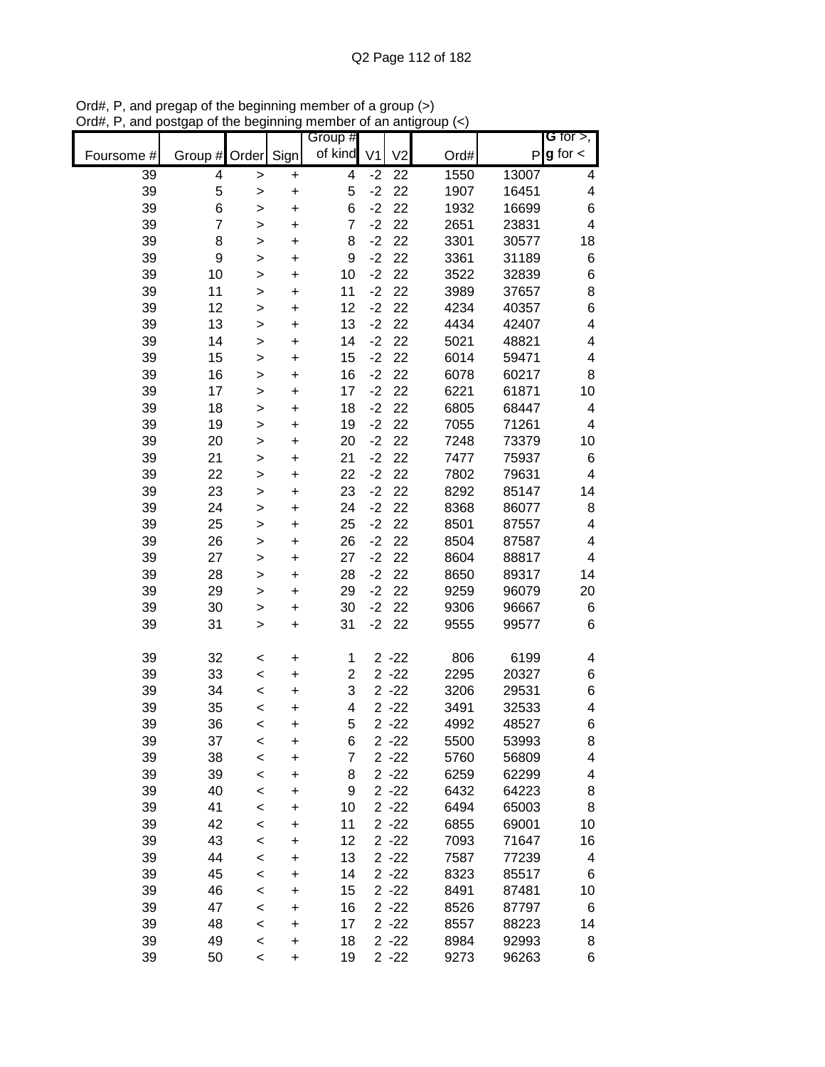|            |                  |              |           | Group #        |                |                 |      |       | <b>G</b> for $>$ ,      |
|------------|------------------|--------------|-----------|----------------|----------------|-----------------|------|-------|-------------------------|
| Foursome # | Group #          | Order        | Sign      | of kind        | V <sub>1</sub> | V <sub>2</sub>  | Ord# | Ρ     | $g$ for $\lt$           |
| 39         | 4                | >            | +         | 4              | $-2$           | $\overline{22}$ | 1550 | 13007 | 4                       |
| 39         | 5                | >            | $\ddot{}$ | 5              | $-2$           | 22              | 1907 | 16451 | 4                       |
| 39         | 6                | >            | $\ddot{}$ | 6              | $-2$           | 22              | 1932 | 16699 | 6                       |
| 39         | $\overline{7}$   | >            | +         | $\overline{7}$ | $-2$           | 22              | 2651 | 23831 | $\overline{\mathbf{4}}$ |
| 39         | 8                | >            | +         | 8              | $-2$           | 22              | 3301 | 30577 | 18                      |
| 39         | $\boldsymbol{9}$ | >            | $\ddot{}$ | 9              | $-2$           | 22              | 3361 | 31189 | 6                       |
| 39         | 10               | >            | $\ddot{}$ | 10             | $-2$           | 22              | 3522 | 32839 | 6                       |
| 39         | 11               | >            | +         | 11             | $-2$           | 22              | 3989 | 37657 | 8                       |
| 39         | 12               | >            | +         | 12             | $-2$           | 22              | 4234 | 40357 | $\,$ 6 $\,$             |
| 39         | 13               | >            | +         | 13             | $-2$           | 22              | 4434 | 42407 | $\overline{\mathbf{4}}$ |
| 39         | 14               | >            | +         | 14             | $-2$           | 22              | 5021 | 48821 | 4                       |
| 39         | 15               | >            | +         | 15             | $-2$           | 22              | 6014 | 59471 | 4                       |
| 39         | 16               | >            | +         | 16             | $-2$           | 22              | 6078 | 60217 | 8                       |
| 39         | 17               | $\geq$       | $\ddot{}$ | 17             | $-2$           | 22              | 6221 | 61871 | 10                      |
| 39         | 18               | $\geq$       | $\ddot{}$ | 18             | $-2$           | 22              | 6805 | 68447 | 4                       |
| 39         | 19               | >            | +         | 19             | $-2$           | 22              | 7055 | 71261 | 4                       |
| 39         | 20               | >            | +         | 20             | $-2$           | 22              | 7248 | 73379 | 10                      |
| 39         | 21               | >            | $\ddot{}$ | 21             | $-2$           | 22              | 7477 | 75937 | 6                       |
| 39         | 22               | >            | $\ddot{}$ | 22             | $-2$           | 22              | 7802 | 79631 | 4                       |
| 39         | 23               | >            | $\ddot{}$ | 23             | $-2$           | 22              | 8292 | 85147 | 14                      |
| 39         | 24               | >            | $\ddot{}$ | 24             | $-2$           | 22              | 8368 | 86077 | 8                       |
| 39         | 25               | >            | +         | 25             | $-2$           | 22              | 8501 | 87557 | $\overline{\mathbf{4}}$ |
| 39         | 26               | >            | $\ddot{}$ | 26             | $-2$           | 22              | 8504 | 87587 | 4                       |
| 39         | 27               | >            | $\ddot{}$ | 27             | $-2$           | 22              | 8604 | 88817 | 4                       |
| 39         | 28               | $\mathbf{I}$ | +         | 28             | $-2$           | 22              | 8650 | 89317 | 14                      |
| 39         | 29               | >            | +         | 29             | $-2$           | 22              | 9259 | 96079 | 20                      |
| 39         | 30               | >            | +         | 30             | $-2$           | 22              | 9306 | 96667 | 6                       |
| 39         | 31               | >            | +         | 31             | $-2$           | 22              | 9555 | 99577 | $\,6$                   |
| 39         | 32               | $\,<$        | +         | 1              |                | $2 - 22$        | 806  | 6199  | 4                       |
| 39         | 33               | $\,<$        | +         | $\overline{2}$ |                | $2 - 22$        | 2295 | 20327 | 6                       |
| 39         | 34               | $\,<$        | +         | 3              |                | $2 - 22$        | 3206 | 29531 | 6                       |
| 39         | 35               | $\,<$        | +         | 4              |                | $2 - 22$        | 3491 | 32533 | 4                       |
| 39         | 36               | $\,<$        | +         | 5              |                | $2 - 22$        | 4992 | 48527 | 6                       |
| 39         | 37               | $\,<$        | +         | 6              |                | $2 - 22$        | 5500 | 53993 | 8                       |
| 39         | 38               | $\prec$      | +         | 7              |                | $2 - 22$        | 5760 | 56809 | 4                       |
| 39         | 39               | $\,<\,$      | +         | 8              |                | $2 - 22$        | 6259 | 62299 | 4                       |
| 39         | 40               | $\prec$      | +         | 9              |                | $2 - 22$        | 6432 | 64223 | 8                       |
| 39         | 41               | $\prec$      | $\ddot{}$ | 10             |                | $2 - 22$        | 6494 | 65003 | 8                       |
| 39         | 42               | $\prec$      | +         | 11             |                | $2 - 22$        | 6855 | 69001 | 10                      |
| 39         | 43               | $\prec$      | +         | 12             |                | $2 - 22$        | 7093 | 71647 | 16                      |
| 39         | 44               | $\prec$      | +         | 13             |                | $2 - 22$        | 7587 | 77239 | 4                       |
| 39         | 45               | $\prec$      | +         | 14             |                | $2 - 22$        | 8323 | 85517 | 6                       |
| 39         | 46               | $\prec$      | +         | 15             |                | $2 - 22$        | 8491 | 87481 | 10                      |
| 39         | 47               | $\prec$      | +         | 16             |                | $2 - 22$        | 8526 | 87797 | 6                       |
| 39         | 48               | $\,<$        | +         | 17             |                | $2 - 22$        | 8557 | 88223 | 14                      |
| 39         | 49               | $\prec$      | +         | 18             |                | $2 - 22$        | 8984 | 92993 | 8                       |
| 39         | 50               | $\,<\,$      | +         | 19             |                | $2 - 22$        | 9273 | 96263 | 6                       |

Ord#, P, and pregap of the beginning member of a group (>) Ord#, P, and postgap of the beginning member of an antigroup (<)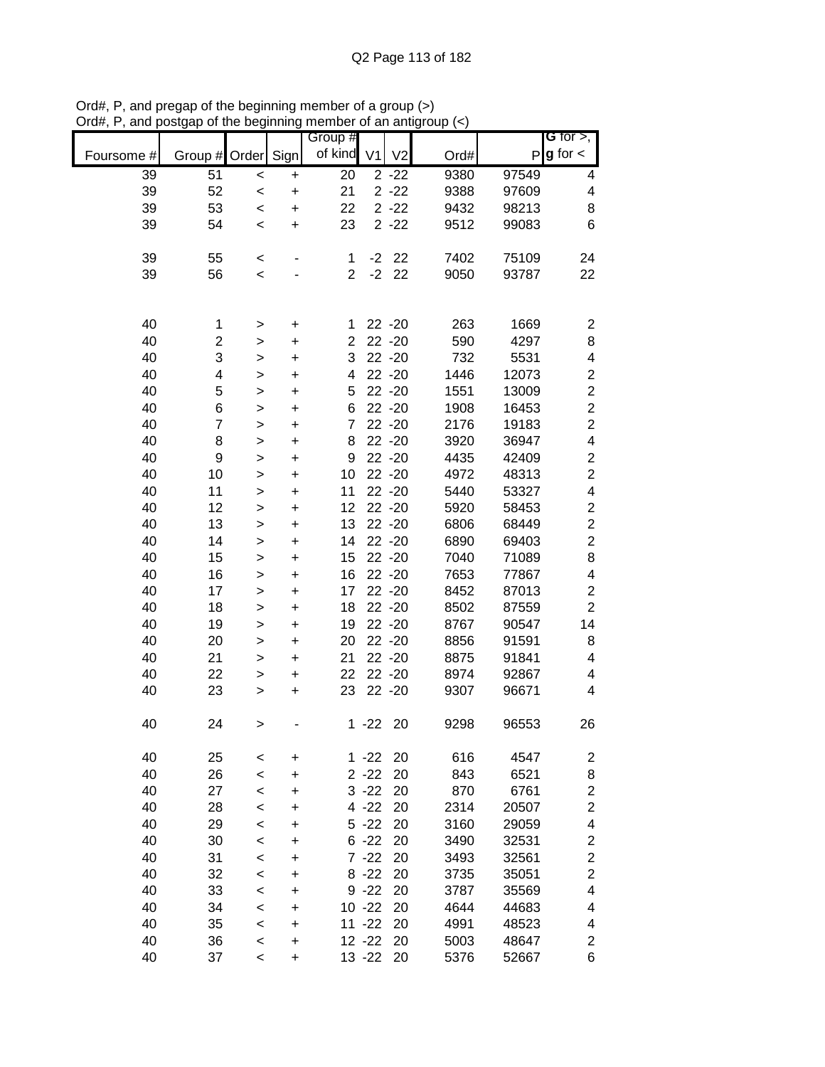|            |                    |              |           | Group #        |                |                |      |       | G for $>$ ,             |
|------------|--------------------|--------------|-----------|----------------|----------------|----------------|------|-------|-------------------------|
| Foursome # | Group # Order Sign |              |           | of kind        | V <sub>1</sub> | V <sub>2</sub> | Ord# | P     | $g$ for $\lt$           |
| 39         | 51                 | $\prec$      | $\ddot{}$ | 20             |                | $2 - 22$       | 9380 | 97549 | 4                       |
| 39         | 52                 | $\,<$        | $\ddot{}$ | 21             |                | $2 - 22$       | 9388 | 97609 | 4                       |
| 39         | 53                 | $\,<$        | $\ddot{}$ | 22             |                | $2 - 22$       | 9432 | 98213 | 8                       |
| 39         | 54                 | $\,<$        | $\ddot{}$ | 23             |                | $2 - 22$       | 9512 | 99083 | 6                       |
|            |                    |              |           |                |                |                |      |       |                         |
| 39         | 55                 | $\,<$        |           | 1              | $-2$           | 22             | 7402 | 75109 | 24                      |
| 39         | 56                 | $\,<$        |           | $\overline{2}$ | $-2$           | 22             | 9050 | 93787 | 22                      |
|            |                    |              |           |                |                |                |      |       |                         |
|            |                    |              |           |                |                |                |      |       |                         |
| 40         | 1                  | >            | +         | 1              |                | $22 - 20$      | 263  | 1669  | $\overline{\mathbf{c}}$ |
| 40         | 2                  | >            | $\ddot{}$ | 2              |                | 22 - 20        | 590  | 4297  | 8                       |
| 40         | 3                  | $\mathbf{I}$ | +         | 3              |                | 22 - 20        | 732  | 5531  | 4                       |
| 40         | 4                  | $\mathbf{I}$ | $\ddot{}$ | 4              |                | 22 - 20        | 1446 | 12073 | $\boldsymbol{2}$        |
| 40         | 5                  | $\geq$       | +         | 5              |                | $22 - 20$      | 1551 | 13009 | $\boldsymbol{2}$        |
| 40         | 6                  | $\geq$       | $\ddot{}$ | 6              |                | $22 - 20$      | 1908 | 16453 | $\overline{\mathbf{c}}$ |
| 40         | $\overline{7}$     | $\mathbf{I}$ | $\ddot{}$ | $\overline{7}$ |                | 22 - 20        | 2176 | 19183 | $\overline{c}$          |
| 40         | 8                  | $\mathbf{I}$ | $\ddot{}$ | 8              |                | $22 - 20$      | 3920 | 36947 | 4                       |
| 40         | 9                  | $\geq$       | $\ddot{}$ | 9              |                | $22 - 20$      | 4435 | 42409 | $\overline{\mathbf{c}}$ |
| 40         | 10                 | $\geq$       | +         | 10             |                | $22 - 20$      | 4972 | 48313 | $\overline{c}$          |
| 40         | 11                 | $\geq$       | $\ddot{}$ | 11             |                | 22 - 20        | 5440 | 53327 | 4                       |
| 40         | 12                 | $\mathbf{I}$ | $\ddot{}$ | 12             |                | $22 - 20$      | 5920 | 58453 | $\boldsymbol{2}$        |
| 40         | 13                 | $\mathbf{I}$ | $\ddot{}$ | 13             |                | $22 - 20$      | 6806 | 68449 | $\boldsymbol{2}$        |
| 40         | 14                 | $\geq$       | +         | 14             |                | $22 - 20$      | 6890 | 69403 | $\overline{\mathbf{c}}$ |
| 40         | 15                 | >            | +         | 15             |                | $22 - 20$      | 7040 | 71089 | 8                       |
| 40         | 16                 | >            | +         | 16             |                | $22 - 20$      | 7653 | 77867 | 4                       |
| 40         | 17                 | >            | +         | 17             |                | $22 - 20$      | 8452 | 87013 | 2                       |
| 40         | 18                 | >            | +         | 18             |                | $22 - 20$      | 8502 | 87559 | $\overline{c}$          |
| 40         | 19                 | >            | $\ddot{}$ | 19             |                | $22 - 20$      | 8767 | 90547 | 14                      |
| 40         | 20                 | $\mathbf{I}$ | +         | 20             |                | $22 - 20$      | 8856 | 91591 | 8                       |
| 40         | 21                 | >            | +         | 21             |                | 22 - 20        | 8875 | 91841 | 4                       |
| 40         | 22                 | $\mathbf{I}$ | $\pmb{+}$ | 22             |                | $22 - 20$      | 8974 | 92867 | 4                       |
| 40         | 23                 | >            | $\ddot{}$ | 23             |                | $22 - 20$      | 9307 | 96671 | 4                       |
|            |                    |              |           |                |                |                |      |       |                         |
| 40         | 24                 | >            |           |                | $1 - 22$       | 20             | 9298 | 96553 | 26                      |
|            |                    |              |           |                |                |                |      |       |                         |
| 40         | 25                 | $\,<$        | $\ddot{}$ | 1              | $-22$          | 20             | 616  | 4547  | $\overline{\mathbf{c}}$ |
| 40         | 26                 | $\,<$        | $\ddot{}$ |                | $2 - 22$       | 20             | 843  | 6521  | 8                       |
| 40         | 27                 | $\,<$        | $\ddot{}$ |                | $3 - 22$       | 20             | 870  | 6761  | $\overline{\mathbf{c}}$ |
| 40         | 28                 | $\,<$        | +         |                | $4 - 22$       | 20             | 2314 | 20507 | $\overline{\mathbf{c}}$ |
| 40         | 29                 | $\,<$        | +         |                | $5 - 22$       | 20             | 3160 | 29059 | 4                       |
| 40         | 30                 | $\,<$        | +         | 6              | $-22$          | 20             | 3490 | 32531 | $\overline{\mathbf{c}}$ |
| 40         | 31                 | $\,<$        | +         |                | $7 - 22$       | 20             | 3493 | 32561 | $\overline{\mathbf{c}}$ |
| 40         | 32                 | $\,<$        | +         |                | $8 - 22$       | 20             | 3735 | 35051 | $\overline{\mathbf{c}}$ |
| 40         | 33                 | $\,<$        | +         |                | $9 - 22$       | 20             | 3787 | 35569 | 4                       |
| 40         | 34                 | $\,<\,$      | +         |                | $10 - 22$      | 20             | 4644 | 44683 | 4                       |
| 40         | 35                 | $\,<$        | $\ddot{}$ |                | $11 - 22$      | 20             | 4991 | 48523 | 4                       |
| 40         | 36                 | $\,<$        | $\ddot{}$ |                | $12 - 22$      | 20             | 5003 | 48647 | $\overline{\mathbf{c}}$ |
| 40         | 37                 | $\,<\,$      | +         |                | $13 - 22$      | 20             | 5376 | 52667 | 6                       |

Ord#, P, and pregap of the beginning member of a group (>) Ord#, P, and postgap of the beginning member of an antigroup (<)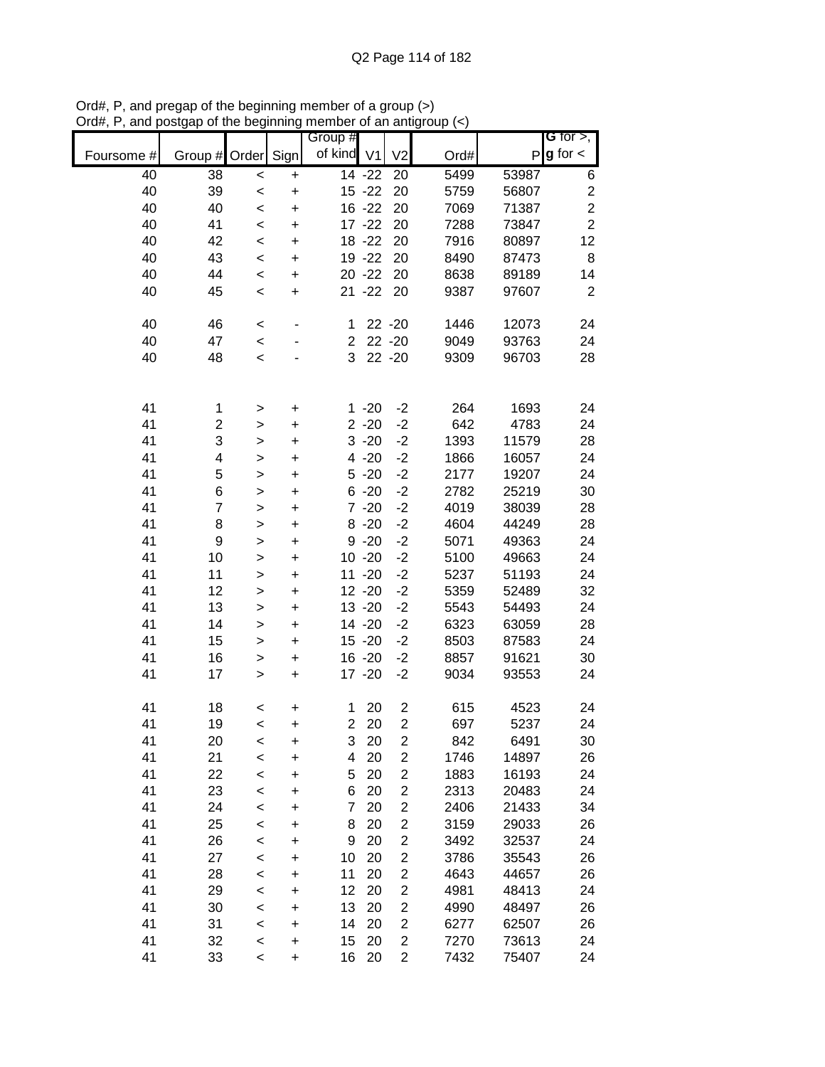|            |                    |              |           | Group #        |                     |                         |      |       | G for $>$ ,             |
|------------|--------------------|--------------|-----------|----------------|---------------------|-------------------------|------|-------|-------------------------|
| Foursome # | Group # Order Sign |              |           | of kind V1     |                     | V <sub>2</sub>          | Ord# | P     | $g$ for $\lt$           |
| 40         | 38                 | $\prec$      | $\ddot{}$ |                | $\overline{14}$ -22 | 20                      | 5499 | 53987 | 6                       |
| 40         | 39                 | $\prec$      | $\ddot{}$ |                | $15 - 22$           | 20                      | 5759 | 56807 | $\overline{\mathbf{c}}$ |
| 40         | 40                 | $\prec$      | $\ddot{}$ |                | $16 - 22$           | 20                      | 7069 | 71387 | $\overline{c}$          |
| 40         | 41                 | $\prec$      | $\ddot{}$ |                | $17 - 22$           | 20                      | 7288 | 73847 | $\overline{2}$          |
| 40         | 42                 | $\prec$      | $\ddot{}$ |                | 18 - 22             | 20                      | 7916 | 80897 | 12                      |
| 40         | 43                 | $\prec$      | $\ddot{}$ |                | 19 - 22             | 20                      | 8490 | 87473 | 8                       |
| 40         | 44                 | $\prec$      | $\ddot{}$ |                | $20 - 22$           | 20                      | 8638 | 89189 | 14                      |
| 40         | 45                 | $\prec$      | $\ddot{}$ |                | $21 - 22$           | 20                      | 9387 | 97607 | $\overline{2}$          |
|            |                    |              |           |                |                     |                         |      |       |                         |
| 40         | 46                 | $\,<$        |           | 1              |                     | $22 - 20$               | 1446 | 12073 | 24                      |
| 40         | 47                 | $\prec$      |           | $\overline{c}$ |                     | $22 - 20$               | 9049 | 93763 | 24                      |
| 40         | 48                 | $\prec$      |           | 3              |                     | $22 - 20$               | 9309 | 96703 | 28                      |
|            |                    |              |           |                |                     |                         |      |       |                         |
| 41         | 1                  | >            | $\ddot{}$ |                | $1 - 20$            | $-2$                    | 264  | 1693  | 24                      |
| 41         | $\overline{c}$     | $\,$         | $\ddot{}$ |                | $2 - 20$            | $-2$                    | 642  | 4783  | 24                      |
| 41         | 3                  | $\geq$       | $\ddot{}$ |                | $3 - 20$            | $-2$                    | 1393 | 11579 | 28                      |
| 41         | 4                  | $\geq$       | $\ddot{}$ |                | $4 - 20$            | $-2$                    | 1866 | 16057 | 24                      |
| 41         | 5                  | $\geq$       | $\ddot{}$ |                | $5 - 20$            | $-2$                    | 2177 | 19207 | 24                      |
| 41         | 6                  | $\geq$       | $\ddot{}$ |                | $6 - 20$            | $-2$                    | 2782 | 25219 | 30                      |
| 41         | $\overline{7}$     | $\mathbf{I}$ | $\ddot{}$ |                | $7 - 20$            | $-2$                    | 4019 | 38039 | 28                      |
| 41         | 8                  | $\geq$       | $\ddot{}$ |                | $8 - 20$            | $-2$                    | 4604 | 44249 | 28                      |
| 41         | $\boldsymbol{9}$   | $\geq$       | $\ddot{}$ |                | $9 - 20$            | $-2$                    | 5071 | 49363 | 24                      |
| 41         | 10                 | $\,$         | $\ddot{}$ |                | $10 - 20$           | $-2$                    | 5100 | 49663 | 24                      |
| 41         | 11                 | $\,$         | $\ddot{}$ |                | $11 - 20$           | $-2$                    | 5237 | 51193 | 24                      |
| 41         | 12                 | $\geq$       | +         |                | $12 - 20$           | $-2$                    | 5359 | 52489 | 32                      |
| 41         | 13                 | $\geq$       | $\ddot{}$ |                | $13 - 20$           | $-2$                    | 5543 | 54493 | 24                      |
| 41         | 14                 | $\mathbf{I}$ | $\ddot{}$ |                | 14 -20              | $-2$                    | 6323 | 63059 | 28                      |
| 41         | 15                 | $\geq$       | $\ddot{}$ |                | $15 - 20$           | $-2$                    | 8503 | 87583 | 24                      |
| 41         | 16                 | $\geq$       | $\ddot{}$ |                | $16 - 20$           | $-2$                    | 8857 | 91621 | 30                      |
| 41         | 17                 | $\,$         | $\ddot{}$ |                | $17 - 20$           | $-2$                    | 9034 | 93553 | 24                      |
|            |                    |              |           |                |                     |                         |      |       |                         |
| 41         | 18                 | $\,<$        | $\ddot{}$ | 1              | 20                  | $\overline{c}$          | 615  | 4523  | 24                      |
| 41         | 19                 | $\,<$        | $\ddot{}$ | $\overline{2}$ | 20                  | $\overline{2}$          | 697  | 5237  | 24                      |
| 41         | 20                 | $\prec$      | $\ddot{}$ | 3              | 20                  | $\overline{\mathbf{c}}$ | 842  | 6491  | 30                      |
| 41         | 21                 | $\prec$      | $\ddot{}$ | 4              | 20                  | $\overline{\mathbf{c}}$ | 1746 | 14897 | 26                      |
| 41         | 22                 | $\prec$      | $\ddot{}$ | 5              | 20                  | $\overline{c}$          | 1883 | 16193 | 24                      |
| 41         | 23                 | $\prec$      | +         | 6              | 20                  | $\overline{\mathbf{c}}$ | 2313 | 20483 | 24                      |
| 41         | 24                 | $\prec$      | +         | 7              | 20                  | $\overline{c}$          | 2406 | 21433 | 34                      |
| 41         | 25                 | $\prec$      | +         | 8              | 20                  | $\overline{\mathbf{c}}$ | 3159 | 29033 | 26                      |
| 41         | 26                 | $\prec$      | +         | 9              | 20                  | $\overline{c}$          | 3492 | 32537 | 24                      |
| 41         | 27                 | $\prec$      | $\ddot{}$ | 10             | 20                  | 2                       | 3786 | 35543 | 26                      |
| 41         | 28                 | $\prec$      | $\ddot{}$ | 11             | 20                  | $\overline{c}$          | 4643 | 44657 | 26                      |
| 41         | 29                 | $\prec$      | $\ddot{}$ | 12             | 20                  | $\overline{\mathbf{c}}$ | 4981 | 48413 | 24                      |
| 41         | 30                 | $\prec$      | $\ddot{}$ | 13             | 20                  | $\overline{\mathbf{c}}$ | 4990 | 48497 | 26                      |
| 41         | 31                 | $\prec$      | $\ddot{}$ | 14             | 20                  | $\overline{c}$          | 6277 | 62507 | 26                      |
| 41         | 32                 | $\prec$      | $\ddot{}$ | 15             | 20                  | $\mathbf 2$             | 7270 | 73613 | 24                      |
| 41         | 33                 | $\,<$        | $\ddot{}$ | 16             | 20                  | $\overline{2}$          | 7432 | 75407 | 24                      |

Ord#, P, and pregap of the beginning member of a group (>) Ord#, P, and postgap of the beginning member of an antigroup (<)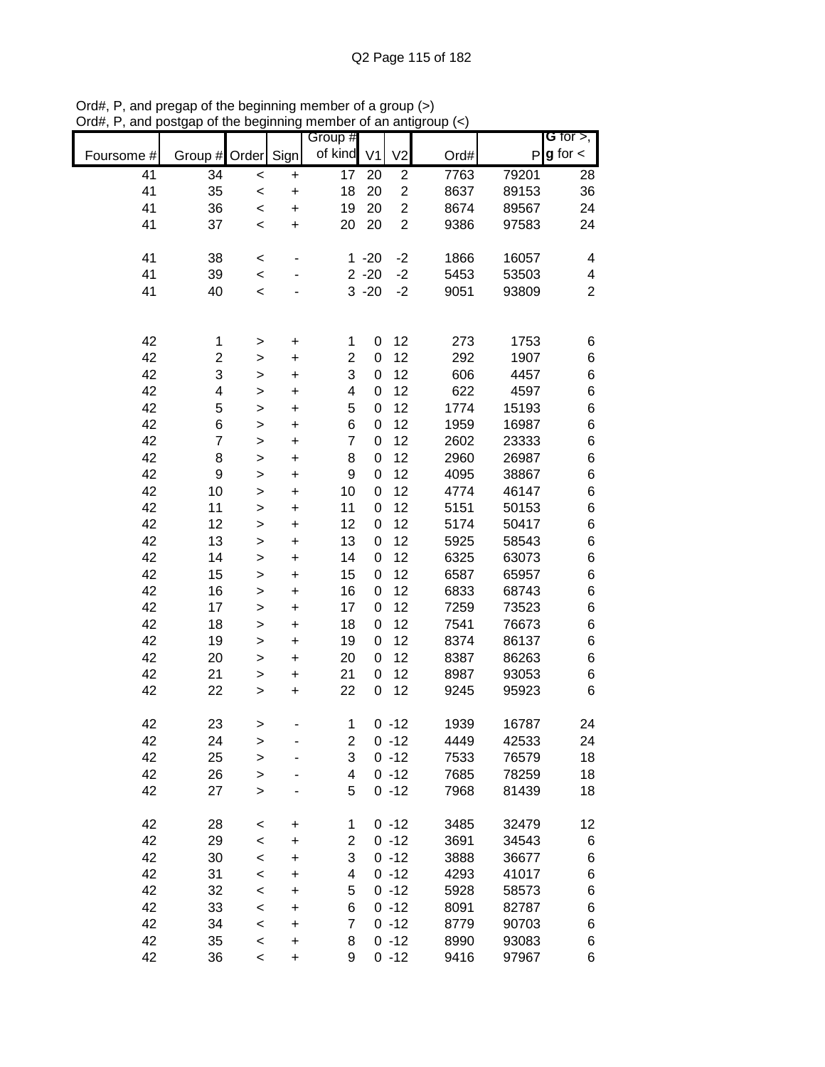|            |                         |                          |           | Group #        |                  |                |      |       | G for $>$ ,    |
|------------|-------------------------|--------------------------|-----------|----------------|------------------|----------------|------|-------|----------------|
| Foursome # | Group # Order           |                          | Sign      | of kind V1     |                  | V <sub>2</sub> | Ord# | P     | $g$ for $\lt$  |
| 41         | 34                      | $\prec$                  | $\ddot{}$ | 17             | 20               | $\overline{2}$ | 7763 | 79201 | 28             |
| 41         | 35                      | $\prec$                  | $\ddot{}$ | 18             | 20               | $\overline{2}$ | 8637 | 89153 | 36             |
| 41         | 36                      | $\prec$                  | $\ddot{}$ | 19             | 20               | $\overline{2}$ | 8674 | 89567 | 24             |
| 41         | 37                      | $\,<$                    | $\ddot{}$ | 20             | 20               | $\overline{2}$ | 9386 | 97583 | 24             |
| 41         | 38                      | $\,<$                    |           | $\mathbf 1$    | $-20$            | $-2$           | 1866 | 16057 | 4              |
| 41         | 39                      | $\prec$                  |           |                | $2 - 20$         | $-2$           | 5453 | 53503 | 4              |
| 41         | 40                      | $\,<\,$                  |           |                | $3 - 20$         | $-2$           | 9051 | 93809 | $\overline{2}$ |
|            |                         |                          |           |                |                  |                |      |       |                |
| 42         | 1                       | >                        | $\pmb{+}$ | 1              | 0                | 12             | 273  | 1753  | 6              |
| 42         | $\overline{\mathbf{c}}$ | >                        | $\ddot{}$ | $\overline{2}$ | 0                | 12             | 292  | 1907  | 6              |
| 42         | 3                       | $\geq$                   | +         | 3              | 0                | 12             | 606  | 4457  | 6              |
| 42         | 4                       | $\geq$                   | $\ddot{}$ | 4              | $\mathbf 0$      | 12             | 622  | 4597  | 6              |
| 42         | 5                       | $\geq$                   | $\ddot{}$ | 5              | 0                | 12             | 1774 | 15193 | 6              |
| 42         | 6                       | >                        | $\ddot{}$ | 6              | $\boldsymbol{0}$ | 12             | 1959 | 16987 | 6              |
| 42         | $\overline{7}$          | $\,$                     | $\ddot{}$ | $\overline{7}$ | $\boldsymbol{0}$ | 12             | 2602 | 23333 | 6              |
| 42         | 8                       | $\,$                     | $\ddot{}$ | 8              | 0                | 12             | 2960 | 26987 | 6              |
| 42         | $\boldsymbol{9}$        | $\, > \,$                | $\ddot{}$ | 9              | 0                | 12             | 4095 | 38867 | 6              |
| 42         | 10                      | $\geq$                   | $\ddot{}$ | 10             | 0                | 12             | 4774 | 46147 | 6              |
| 42         | 11                      | >                        | $\ddot{}$ | 11             | 0                | 12             | 5151 | 50153 | 6              |
| 42         | 12                      | $\geq$                   | $\ddot{}$ | 12             | 0                | 12             | 5174 | 50417 | 6              |
| 42         | 13                      | $\,$                     | $\ddot{}$ | 13             | 0                | 12             | 5925 | 58543 | 6              |
| 42         | 14                      | >                        | +         | 14             | 0                | 12             | 6325 | 63073 | 6              |
| 42         | 15                      | >                        | +         | 15             | 0                | 12             | 6587 | 65957 | 6              |
| 42         | 16                      | >                        | +         | 16             | 0                | 12             | 6833 | 68743 | 6              |
| 42         | 17                      | >                        | +         | 17             | 0                | 12             | 7259 | 73523 | 6              |
| 42         | 18                      | >                        | +         | 18             | 0                | 12             | 7541 | 76673 | 6              |
| 42         | 19                      | >                        | $\ddot{}$ | 19             | 0                | 12             | 8374 | 86137 | 6              |
| 42         | 20                      | >                        | $\ddot{}$ | 20             | 0                | 12             | 8387 | 86263 | 6              |
| 42         | 21                      | $\,$                     | $\ddot{}$ | 21             | 0                | 12             | 8987 | 93053 | 6              |
| 42         | 22                      | $\,$                     | $\ddot{}$ | 22             | 0                | 12             | 9245 | 95923 | 6              |
| 42         | 23                      | >                        |           | 1              |                  | $0 - 12$       | 1939 | 16787 | 24             |
| 42         | 24                      | >                        |           | 2              |                  | $0 - 12$       | 4449 | 42533 | 24             |
| 42         | 25                      | >                        |           | 3              |                  | $0 - 12$       | 7533 | 76579 | 18             |
| 42         | 26                      | >                        |           | 4              |                  | $0 - 12$       | 7685 | 78259 | 18             |
| 42         | 27                      | $\mathbf{r}$             |           | 5              |                  | $0 - 12$       | 7968 | 81439 | 18             |
| 42         | 28                      | $\,<\,$                  | +         | 1              |                  | $0 - 12$       | 3485 | 32479 | 12             |
| 42         | 29                      | $\,<$                    | +         | 2              |                  | $0 - 12$       | 3691 | 34543 | 6              |
| 42         | 30                      | $\prec$                  | +         | 3              |                  | $0 - 12$       | 3888 | 36677 | 6              |
| 42         | 31                      | $\,<\,$                  | +         | 4              |                  | $0 - 12$       | 4293 | 41017 | 6              |
| 42         | 32                      | $\,<\,$                  | +         | 5              |                  | $0 - 12$       | 5928 | 58573 | 6              |
| 42         | 33                      | $\,<\,$                  | +         | 6              |                  | $0 - 12$       | 8091 | 82787 | 6              |
| 42         | 34                      | $\,<\,$                  | $\ddot{}$ | 7              |                  | $0 - 12$       | 8779 | 90703 | 6              |
| 42         | 35                      | $\prec$                  | $\ddot{}$ | 8              |                  | $0 - 12$       | 8990 | 93083 | 6              |
| 42         | 36                      | $\overline{\phantom{0}}$ | +         | 9              |                  | $0 - 12$       | 9416 | 97967 | 6              |

Ord#, P, and pregap of the beginning member of a group (>) Ord#, P, and postgap of the beginning member of an antigroup (<)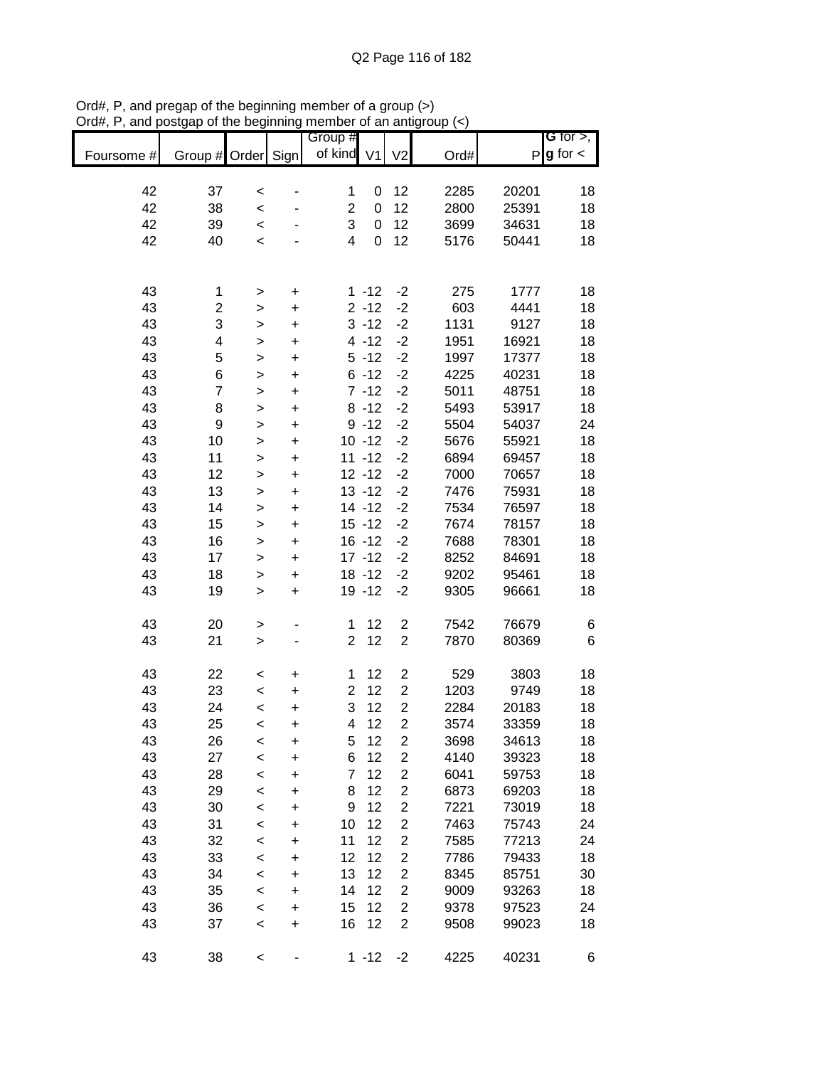| Foursome # | Group # Order  |              | Sign        | Group #<br>of kind V1   |             | V <sub>2</sub>          | Ord# |       | G for $>$ ,<br>$P$ g for $\lt$ |
|------------|----------------|--------------|-------------|-------------------------|-------------|-------------------------|------|-------|--------------------------------|
|            |                |              |             |                         |             |                         |      |       |                                |
| 42         | 37             | $\,<$        |             | 1                       | 0           | 12                      | 2285 | 20201 | 18                             |
| 42         | 38             | $\prec$      |             | $\overline{c}$          | 0           | 12                      | 2800 | 25391 | 18                             |
| 42         | 39             | $\prec$      |             | 3                       | 0           | 12                      | 3699 | 34631 | 18                             |
| 42         | 40             | $\,<$        |             | $\overline{\mathbf{4}}$ | $\mathbf 0$ | 12                      | 5176 | 50441 | 18                             |
|            |                |              |             |                         |             |                         |      |       |                                |
| 43         | 1              | >            | $\mathbf +$ |                         | $1 - 12$    | $-2$                    | 275  | 1777  | 18                             |
| 43         | $\overline{c}$ | >            | +           |                         | $2 - 12$    | $-2$                    | 603  | 4441  | 18                             |
| 43         | 3              | >            | $\ddot{}$   |                         | $3 - 12$    | $-2$                    | 1131 | 9127  | 18                             |
| 43         | 4              | $\mathbf{I}$ | $\ddot{}$   |                         | $4 - 12$    | $-2$                    | 1951 | 16921 | 18                             |
| 43         | 5              | $\mathbf{I}$ | $\ddot{}$   |                         | $5 - 12$    | $-2$                    | 1997 | 17377 | 18                             |
| 43         | 6              | $\geq$       | $\ddot{}$   |                         | $6 - 12$    | $-2$                    | 4225 | 40231 | 18                             |
| 43         | $\overline{7}$ | $\geq$       | $\ddot{}$   |                         | $7 - 12$    | $-2$                    | 5011 | 48751 | 18                             |
| 43         | 8              | $\geq$       | $\ddot{}$   |                         | $8 - 12$    | $-2$                    | 5493 | 53917 | 18                             |
| 43         | 9              | $\geq$       | $\ddot{}$   |                         | $9 - 12$    | $-2$                    | 5504 | 54037 | 24                             |
| 43         | 10             | $\,>$        | $\ddot{}$   |                         | $10 - 12$   | $-2$                    | 5676 | 55921 | 18                             |
| 43         | 11             | $\mathbf{I}$ | $\ddot{}$   |                         | $11 - 12$   | $-2$                    | 6894 | 69457 | 18                             |
| 43         | 12             | $\mathbf{I}$ | $\ddot{}$   |                         | $12 - 12$   | $-2$                    | 7000 | 70657 | 18                             |
| 43         | 13             | $\mathbf{I}$ | $\ddot{}$   |                         | $13 - 12$   | $-2$                    | 7476 | 75931 | 18                             |
| 43         | 14             | $\mathbf{I}$ | $\ddot{}$   |                         | $14 - 12$   | $-2$                    | 7534 | 76597 | 18                             |
| 43         | 15             | $\geq$       | $\ddot{}$   |                         | $15 - 12$   | $-2$                    | 7674 | 78157 | 18                             |
| 43         | 16             | $\mathbf{I}$ | $\ddot{}$   |                         | $16 - 12$   | $-2$                    | 7688 | 78301 | 18                             |
| 43         | 17             | $\mathbf{I}$ | $\ddot{}$   |                         | $17 - 12$   | $-2$                    | 8252 | 84691 | 18                             |
| 43         | 18             | >            | $\mathbf +$ |                         | $18 - 12$   | $-2$                    | 9202 | 95461 | 18                             |
| 43         | 19             | $\geq$       | $\ddot{}$   |                         | 19 - 12     | $-2$                    | 9305 | 96661 | 18                             |
| 43         | 20             | $\geq$       |             | $\mathbf{1}$            | 12          | $\mathbf 2$             | 7542 | 76679 | 6                              |
| 43         | 21             | $\geq$       |             | $\overline{c}$          | 12          | $\mathbf 2$             | 7870 | 80369 | 6                              |
| 43         | 22             | $\,<$        | $\ddot{}$   | 1                       | 12          | $\overline{\mathbf{c}}$ | 529  | 3803  | 18                             |
| 43         | 23             | $\prec$      | $\ddot{}$   | $\overline{2}$          | 12          | $\overline{2}$          | 1203 | 9749  | 18                             |
| 43         | 24             | $\prec$      | $\ddot{}$   | 3                       | 12          | $\overline{c}$          | 2284 | 20183 | 18                             |
| 43         | 25             | $\,<$        | $\ddot{}$   | 4                       | 12          | $\overline{2}$          | 3574 | 33359 | 18                             |
| 43         | 26             | <            | +           | 5                       | 12          | $\overline{\mathbf{c}}$ | 3698 | 34613 | 18                             |
| 43         | 27             | $\,<$        | $\ddot{}$   | 6                       | 12          | $\boldsymbol{2}$        | 4140 | 39323 | 18                             |
| 43         | 28             | $\,<$        | +           | $\overline{7}$          | 12          | $\overline{\mathbf{c}}$ | 6041 | 59753 | 18                             |
| 43         | 29             | $\,<$        | +           | 8                       | 12          | $\boldsymbol{2}$        | 6873 | 69203 | 18                             |
| 43         | 30             | $\prec$      | +           | 9                       | 12          | $\overline{\mathbf{c}}$ | 7221 | 73019 | 18                             |
| 43         | 31             | $\,<$        | $\ddot{}$   | 10                      | 12          | $\overline{c}$          | 7463 | 75743 | 24                             |
| 43         | 32             | $\,<$        | +           | 11                      | 12          | $\overline{\mathbf{c}}$ | 7585 | 77213 | 24                             |
| 43         | 33             | $\,<$        | +           | 12                      | 12          | $\overline{\mathbf{c}}$ | 7786 | 79433 | 18                             |
| 43         | 34             | $\,<$        | $\ddot{}$   | 13                      | 12          | $\mathbf 2$             | 8345 | 85751 | 30                             |
| 43         | 35             | $\,<$        | $\ddot{}$   | 14                      | 12          | $\overline{\mathbf{c}}$ | 9009 | 93263 | 18                             |
| 43         | 36             | $\,<$        | $\ddot{}$   | 15                      | 12          | $\mathbf 2$             | 9378 | 97523 | 24                             |
| 43         | 37             | $\,<$        | $\ddot{}$   | 16                      | 12          | $\overline{c}$          | 9508 | 99023 | 18                             |
| 43         | 38             | $\,<$        | -           |                         | $1 - 12$    | $-2$                    | 4225 | 40231 | 6                              |

Ord#, P, and pregap of the beginning member of a group (>) Ord#, P, and postgap of the beginning member of an antigroup (<)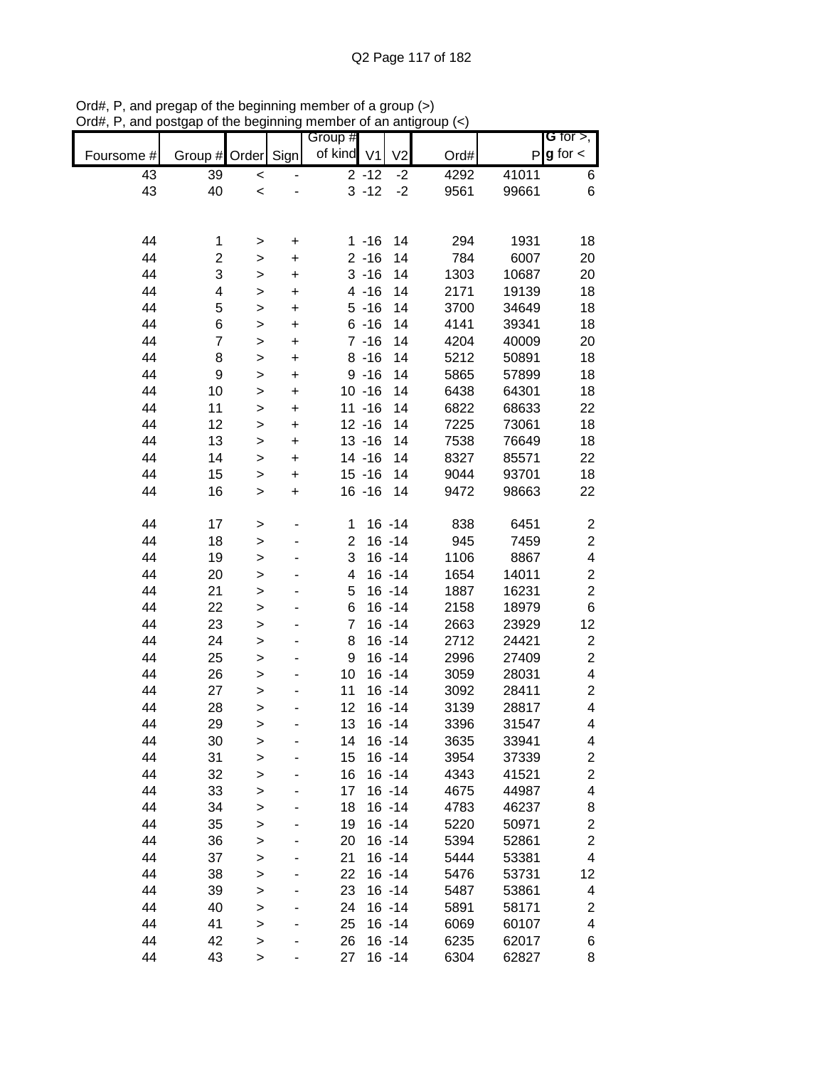|            |                         |              |           | Group #        |           |                |      |       | G for $>$ ,              |
|------------|-------------------------|--------------|-----------|----------------|-----------|----------------|------|-------|--------------------------|
| Foursome # | Group #                 | Order        | Sign      | of kind V1     |           | V <sub>2</sub> | Ord# | P     | $g$ for $\lt$            |
| 43         | 39                      | $\,<$        |           |                | $2 - 12$  | $-2$           | 4292 | 41011 | 6                        |
| 43         | 40                      | $\prec$      |           |                | $3 - 12$  | $-2$           | 9561 | 99661 | 6                        |
|            |                         |              |           |                |           |                |      |       |                          |
|            |                         |              |           |                |           |                |      |       |                          |
| 44         | 1                       | >            | +         |                | $1 - 16$  | 14             | 294  | 1931  | 18                       |
| 44         | $\overline{\mathbf{c}}$ | >            | $\ddot{}$ |                | $2 - 16$  | 14             | 784  | 6007  | 20                       |
| 44         | 3                       | >            | $\ddot{}$ |                | $3 - 16$  | 14             | 1303 | 10687 | 20                       |
| 44         | 4                       | >            | $\pmb{+}$ |                | $4 - 16$  | 14             | 2171 | 19139 | 18                       |
| 44         | 5                       | >            | +         |                | $5 - 16$  | 14             | 3700 | 34649 | 18                       |
| 44         | 6                       | >            | +         |                | $6 - 16$  | 14             | 4141 | 39341 | 18                       |
| 44         | 7                       | $\geq$       | $\ddot{}$ |                | $7 - 16$  | 14             | 4204 | 40009 | 20                       |
| 44         | 8                       | $\mathbf{I}$ | $\ddot{}$ |                | $8 - 16$  | 14             | 5212 | 50891 | 18                       |
| 44         | 9                       | $\geq$       | $\ddot{}$ |                | $9 - 16$  | 14             | 5865 | 57899 | 18                       |
| 44         | 10                      | $\geq$       | $\ddot{}$ |                | $10 - 16$ | 14             | 6438 | 64301 | 18                       |
| 44         | 11                      | $\,$         | $\ddot{}$ |                | $11 - 16$ | 14             | 6822 | 68633 | 22                       |
| 44         | 12                      | >            | $\ddot{}$ |                | $12 - 16$ | 14             | 7225 | 73061 | 18                       |
| 44         | 13                      | >            | $\ddot{}$ |                | $13 - 16$ | 14             | 7538 | 76649 | 18                       |
| 44         | 14                      | $\mathbf{I}$ | $\ddot{}$ |                | $14 - 16$ | 14             | 8327 | 85571 | 22                       |
| 44         | 15                      | $\,$         | $\ddot{}$ |                | $15 - 16$ | 14             | 9044 | 93701 | 18                       |
| 44         | 16                      | $\,$         | $\ddot{}$ |                | $16 - 16$ | 14             | 9472 | 98663 | 22                       |
| 44         | 17                      | $\, > \,$    |           | 1              |           | $16 - 14$      | 838  | 6451  | $\overline{\mathbf{c}}$  |
| 44         | 18                      | $\, > \,$    |           | $\overline{c}$ |           | $16 - 14$      | 945  | 7459  | $\boldsymbol{2}$         |
| 44         | 19                      | $\,$         |           | 3              |           | $16 - 14$      | 1106 | 8867  | $\overline{\mathbf{4}}$  |
| 44         | 20                      | >            |           | 4              |           | $16 - 14$      | 1654 | 14011 | $\boldsymbol{2}$         |
| 44         | 21                      | $\, > \,$    |           | 5              |           | $16 - 14$      | 1887 | 16231 | $\overline{c}$           |
| 44         | 22                      | >            |           | 6              |           | $16 - 14$      | 2158 | 18979 | 6                        |
| 44         | 23                      | $\mathbf{I}$ |           | 7              |           | $16 - 14$      | 2663 | 23929 | 12                       |
| 44         | 24                      | $\,$         |           | 8              |           | $16 - 14$      | 2712 | 24421 | $\overline{\mathbf{c}}$  |
| 44         | 25                      | $\geq$       |           | 9              |           | $16 - 14$      | 2996 | 27409 | $\overline{\mathbf{c}}$  |
| 44         | 26                      | $\mathbf{I}$ |           | 10             |           | $16 - 14$      | 3059 | 28031 | 4                        |
| 44         | 27                      | $\mathbf{I}$ |           | 11             |           | $16 - 14$      | 3092 | 28411 | $\boldsymbol{2}$         |
| 44         | 28                      | >            |           | 12             |           | $16 - 14$      | 3139 | 28817 | $\overline{\mathcal{A}}$ |
| 44         | 29                      | >            |           | 13             |           | $16 - 14$      | 3396 | 31547 | 4                        |
| 44         | 30                      | >            |           | 14             |           | $16 - 14$      | 3635 | 33941 | 4                        |
| 44         | 31                      | $\geq$       |           | 15             |           | $16 - 14$      | 3954 | 37339 | $\overline{\mathbf{c}}$  |
| 44         | 32                      | $\,$         |           | 16             |           | $16 - 14$      | 4343 | 41521 | $\mathbf{2}$             |
| 44         | 33                      | $\mathbf{I}$ |           | 17             |           | $16 - 14$      | 4675 | 44987 | $\overline{\mathcal{A}}$ |
| 44         | 34                      | $\mathbf{I}$ |           | 18             |           | $16 - 14$      | 4783 | 46237 | 8                        |
| 44         | 35                      | $\,$         |           | 19             |           | $16 - 14$      | 5220 | 50971 | $\mathbf{2}$             |
| 44         | 36                      | >            |           | 20             |           | $16 - 14$      | 5394 | 52861 | $\mathbf{2}$             |
| 44         | 37                      | >            |           | 21             |           | $16 - 14$      | 5444 | 53381 | 4                        |
| 44         | 38                      | $\mathbf{I}$ |           | 22             |           | $16 - 14$      | 5476 | 53731 | 12                       |
| 44         | 39                      | $\mathbf{I}$ |           | 23             |           | $16 - 14$      | 5487 | 53861 | 4                        |
| 44         | 40                      | $\mathbf{I}$ |           | 24             |           | $16 - 14$      | 5891 | 58171 | $\overline{\mathbf{c}}$  |
| 44         | 41                      | $\mathbf{I}$ |           | 25             |           | $16 - 14$      | 6069 | 60107 | 4                        |
| 44         | 42                      | $\mathbf{I}$ |           | 26             |           | $16 - 14$      | 6235 | 62017 | 6                        |
| 44         | 43                      | $\,$         |           | 27             |           | $16 - 14$      | 6304 | 62827 | 8                        |

Ord#, P, and pregap of the beginning member of a group (>) Ord#, P, and postgap of the beginning member of an antigroup (<)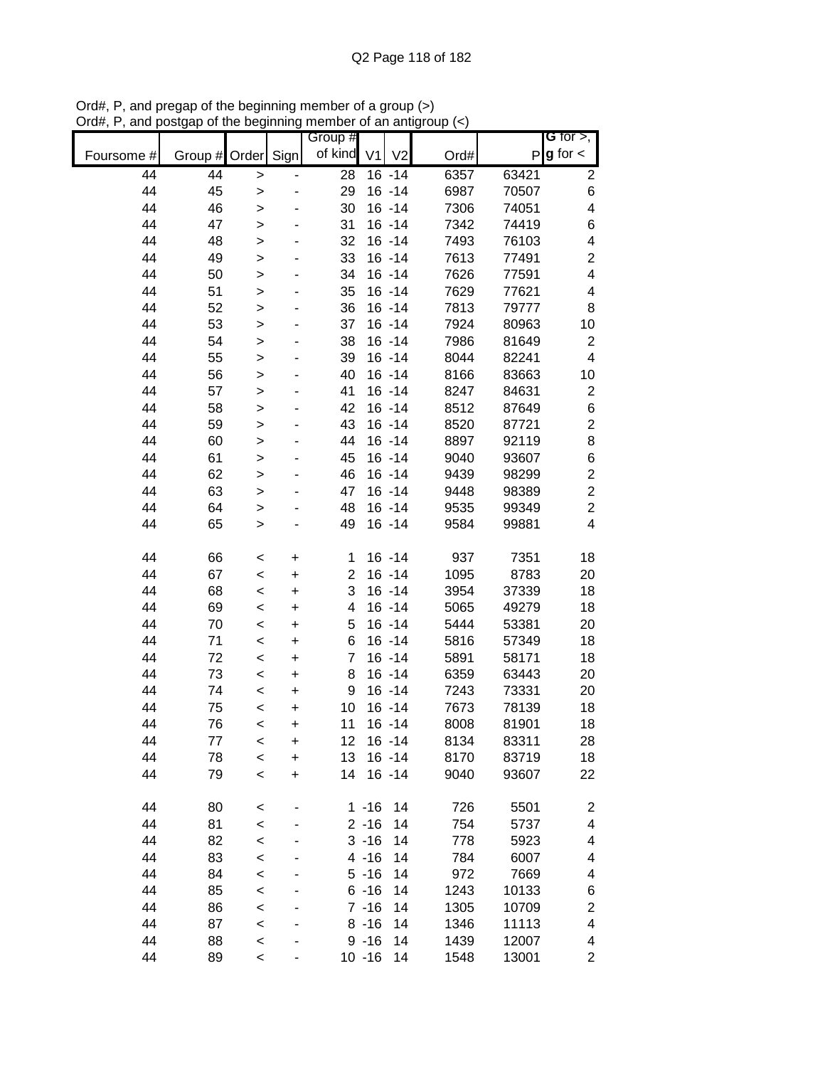|            |               |              |           | Group #        |           |                        |              |                | <b>G</b> for $>$ ,               |
|------------|---------------|--------------|-----------|----------------|-----------|------------------------|--------------|----------------|----------------------------------|
| Foursome # | Group # Order |              | Sign      | of kind        | V1        | V <sub>2</sub>         | Ord#         |                | $P$ <b>g</b> for $\lt$           |
| 44         | 44            | $\mathbf{L}$ |           | 28             |           | $16 - 14$              | 6357         | 63421          | $\overline{\mathbf{c}}$          |
| 44         | 45            | $\, > \,$    |           | 29             |           | $16 - 14$              | 6987         | 70507          | 6                                |
| 44         | 46            | $\, > \,$    |           | 30             |           | $16 - 14$              | 7306         | 74051          | 4                                |
| 44         | 47            | $\,$         |           | 31             |           | $16 - 14$              | 7342         | 74419          | 6                                |
| 44         | 48            | $\,$         |           | 32             |           | $16 - 14$              | 7493         | 76103          | 4                                |
| 44         | 49            | $\,$         |           | 33             |           | $16 - 14$              | 7613         | 77491          | $\overline{\mathbf{c}}$          |
| 44         | 50            | $\,$         |           | 34             |           | $16 - 14$              | 7626         | 77591          | $\overline{\mathbf{4}}$          |
| 44         | 51            | $\,$         |           | 35             |           | $16 - 14$              | 7629         | 77621          | 4                                |
| 44         | 52            | $\,$         |           | 36             |           | $16 - 14$              | 7813         | 79777          | 8                                |
| 44         | 53            | >            |           | 37             |           | $16 - 14$              | 7924         | 80963          | 10                               |
| 44         | 54            | $\, > \,$    |           | 38             |           | $16 - 14$              | 7986         | 81649          | $\boldsymbol{2}$                 |
| 44         | 55            | $\,$         |           | 39             |           | $16 - 14$              | 8044         | 82241          | 4                                |
| 44         | 56            | $\,$         |           | 40             |           | $16 - 14$              | 8166         | 83663          | 10                               |
| 44         | 57            | $\geq$       |           | 41             |           | $16 - 14$              | 8247         | 84631          | $\overline{c}$                   |
| 44         | 58            | $\mathbf{L}$ |           | 42             |           | $16 - 14$              | 8512         | 87649          | $\,$ 6 $\,$                      |
| 44         | 59            | $\geq$       |           | 43             |           | $16 - 14$              | 8520         | 87721          | $\overline{\mathbf{c}}$          |
| 44<br>44   | 60            | $\mathbf{I}$ |           | 44             |           | $16 - 14$<br>$16 - 14$ | 8897         | 92119          | 8                                |
| 44         | 61<br>62      | $\,$         |           | 45<br>46       |           | $16 - 14$              | 9040<br>9439 | 93607<br>98299 | $\,6$<br>$\overline{\mathbf{c}}$ |
| 44         | 63            | >            |           | 47             |           | $16 - 14$              | 9448         | 98389          | $\overline{\mathbf{c}}$          |
| 44         | 64            | $\, > \,$    |           | 48             |           | $16 - 14$              | 9535         | 99349          | $\overline{c}$                   |
| 44         | 65            | ><br>$\,$    |           | 49             |           | $16 - 14$              | 9584         | 99881          | $\overline{\mathbf{4}}$          |
|            |               |              |           |                |           |                        |              |                |                                  |
| 44         | 66            | <            | +         | 1              |           | $16 - 14$              | 937          | 7351           | 18                               |
| 44         | 67            | $\prec$      | +         | $\overline{c}$ |           | $16 - 14$              | 1095         | 8783           | 20                               |
| 44         | 68            | $\,<$        | +         | 3              |           | $16 - 14$              | 3954         | 37339          | 18                               |
| 44         | 69            | $\prec$      | +         | 4              |           | $16 - 14$              | 5065         | 49279          | 18                               |
| 44         | 70            | $\,<$        | +         | 5              |           | $16 - 14$              | 5444         | 53381          | 20                               |
| 44         | 71            | $\,<$        | +         | 6              |           | $16 - 14$              | 5816         | 57349          | 18                               |
| 44         | 72            | $\,<$        | +         | 7              |           | $16 - 14$              | 5891         | 58171          | 18                               |
| 44         | 73            | $\,<$        | +         | 8              |           | $16 - 14$              | 6359         | 63443          | 20                               |
| 44         | 74            | $\prec$      | +         | 9              |           | $16 - 14$              | 7243         | 73331          | 20                               |
| 44         | 75            | $\prec$      | $\ddot{}$ | 10             |           | $16 - 14$              | 7673         | 78139          | 18                               |
| 44         | 76            | $\prec$      | $\ddot{}$ | 11             |           | $16 - 14$              | 8008         | 81901          | 18                               |
| 44         | 77            | $\,<$        | +         | 12             |           | $16 - 14$              | 8134         | 83311          | 28                               |
| 44         | 78            | $\prec$      | $\ddot{}$ | 13             |           | $16 - 14$              | 8170         | 83719          | 18                               |
| 44         | 79            | $\prec$      | $\ddot{}$ | 14             |           | $16 - 14$              | 9040         | 93607          | 22                               |
| 44         | 80            | $\prec$      |           |                | $1 - 16$  | 14                     | 726          | 5501           | $\overline{\mathbf{c}}$          |
| 44         | 81            | $\prec$      |           |                | $2 - 16$  | 14                     | 754          | 5737           | 4                                |
| 44         | 82            | $\prec$      |           |                | $3 - 16$  | 14                     | 778          | 5923           | 4                                |
| 44         | 83            | $\prec$      |           |                | $4 - 16$  | 14                     | 784          | 6007           | 4                                |
| 44         | 84            | $\prec$      |           |                | $5 - 16$  | 14                     | 972          | 7669           | 4                                |
| 44         | 85            | $\prec$      |           |                | $6 - 16$  | 14                     | 1243         | 10133          | 6                                |
| 44         | 86            | $\prec$      |           |                | $7 - 16$  | 14                     | 1305         | 10709          | $\overline{\mathbf{c}}$          |
| 44         | 87            | $\prec$      |           |                | $8 - 16$  | 14                     | 1346         | 11113          | 4                                |
| 44         | 88            | $\,<$        |           |                | $9 - 16$  | 14                     | 1439         | 12007          | 4                                |
| 44         | 89            | $\,<$        |           |                | $10 - 16$ | 14                     | 1548         | 13001          | 2                                |

Ord#, P, and pregap of the beginning member of a group (>) Ord#, P, and postgap of the beginning member of an antigroup (<)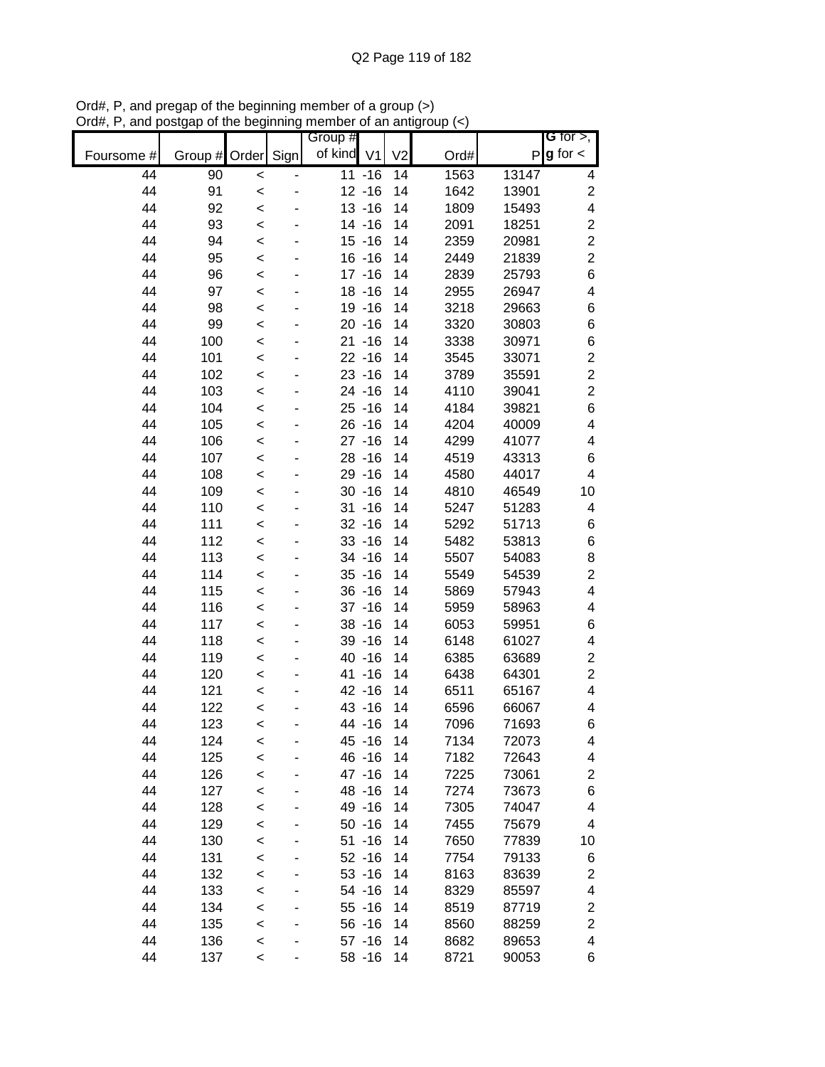|            |                    |         | Group #    |           |                |      |       | G for $>$ ,             |
|------------|--------------------|---------|------------|-----------|----------------|------|-------|-------------------------|
| Foursome # | Group # Order Sign |         | of kind V1 |           | V <sub>2</sub> | Ord# | P     | $g$ for $\lt$           |
| 44         | 90                 | $\prec$ |            | $11 - 16$ | 14             | 1563 | 13147 | 4                       |
| 44         | 91                 | $\prec$ |            | $12 - 16$ | 14             | 1642 | 13901 | $\overline{\mathbf{c}}$ |
| 44         | 92                 | $\prec$ |            | $13 - 16$ | 14             | 1809 | 15493 | 4                       |
| 44         | 93                 | $\prec$ |            | $14 - 16$ | 14             | 2091 | 18251 | $\overline{\mathbf{c}}$ |
| 44         | 94                 | $\prec$ |            | $15 - 16$ | 14             | 2359 | 20981 | $\overline{c}$          |
| 44         | 95                 | $\prec$ |            | $16 - 16$ | 14             | 2449 | 21839 | $\overline{2}$          |
| 44         | 96                 | $\prec$ |            | $17 - 16$ | 14             | 2839 | 25793 | 6                       |
| 44         | 97                 | $\prec$ |            | $18 - 16$ | 14             | 2955 | 26947 | 4                       |
| 44         | 98                 | $\prec$ |            | 19 - 16   | 14             | 3218 | 29663 | 6                       |
| 44         | 99                 | $\prec$ |            | $20 - 16$ | 14             | 3320 | 30803 | 6                       |
| 44         | 100                | $\prec$ |            | $21 - 16$ | 14             | 3338 | 30971 | 6                       |
| 44         | 101                | $\prec$ |            | $22 - 16$ | 14             | 3545 | 33071 | $\overline{\mathbf{c}}$ |
| 44         | 102                | $\prec$ |            | $23 - 16$ | 14             | 3789 | 35591 | $\overline{c}$          |
| 44         | 103                | $\prec$ |            | 24 - 16   | 14             | 4110 | 39041 | $\overline{2}$          |
| 44         | 104                | $\prec$ |            | $25 - 16$ | 14             | 4184 | 39821 | 6                       |
| 44         | 105                | $\prec$ |            | $26 - 16$ | 14             | 4204 | 40009 | 4                       |
| 44         | 106                | $\prec$ |            | $27 - 16$ | 14             | 4299 | 41077 | 4                       |
| 44         | 107                | $\prec$ |            | $28 - 16$ | 14             | 4519 | 43313 | 6                       |
| 44         | 108                | $\prec$ |            | 29 - 16   | 14             | 4580 | 44017 | 4                       |
| 44         | 109                | $\prec$ |            | $30 - 16$ | 14             | 4810 | 46549 | 10                      |
| 44         | 110                | $\prec$ |            | $31 - 16$ | 14             | 5247 | 51283 | 4                       |
| 44         | 111                | $\prec$ |            | $32 - 16$ | 14             | 5292 | 51713 | 6                       |
| 44         | 112                | $\prec$ |            | $33 - 16$ | 14             | 5482 | 53813 | 6                       |
| 44         | 113                | $\prec$ |            | 34 - 16   | 14             | 5507 | 54083 | 8                       |
| 44         | 114                | $\prec$ |            | $35 - 16$ | 14             | 5549 | 54539 | $\overline{\mathbf{c}}$ |
| 44         | 115                | $\,<$   |            | $36 - 16$ | 14             | 5869 | 57943 | 4                       |
| 44         | 116                | $\,<$   |            | $37 - 16$ | 14             | 5959 | 58963 | 4                       |
| 44         | 117                | $\,<$   |            | $38 - 16$ | 14             | 6053 | 59951 | 6                       |
| 44         | 118                | $\prec$ |            | $39 - 16$ | 14             | 6148 | 61027 | 4                       |
| 44         | 119                | $\,<$   |            | 40 - 16   | 14             | 6385 | 63689 | $\overline{\mathbf{c}}$ |
| 44         | 120                | $\prec$ |            | 41 -16    | 14             | 6438 | 64301 | $\overline{\mathbf{c}}$ |
| 44         | 121                | $\prec$ |            | 42 - 16   | 14             | 6511 | 65167 | 4                       |
| 44         | 122                | $\prec$ |            | 43 - 16   | 14             | 6596 | 66067 | 4                       |
| 44         | 123                | $\prec$ |            | 44 -16    | 14             | 7096 | 71693 | 6                       |
| 44         | 124                | $\,<$   |            | 45 - 16   | 14             | 7134 | 72073 | 4                       |
| 44         | 125                | $\prec$ |            | 46 - 16   | 14             | 7182 | 72643 | 4                       |
| 44         | 126                | $\prec$ |            | 47 - 16   | 14             | 7225 | 73061 | 2                       |
| 44         | 127                | $\prec$ |            | 48 - 16   | 14             | 7274 | 73673 | 6                       |
| 44         | 128                | $\prec$ |            | 49 - 16   | 14             | 7305 | 74047 | 4                       |
| 44         | 129                | $\prec$ |            | $50 - 16$ | 14             | 7455 | 75679 | 4                       |
| 44         | 130                | $\prec$ |            | $51 - 16$ | 14             | 7650 | 77839 | 10                      |
| 44         | 131                | $\prec$ |            | $52 - 16$ | 14             | 7754 | 79133 | 6                       |
| 44         | 132                | $\prec$ |            | $53 - 16$ | 14             | 8163 | 83639 | $\overline{\mathbf{c}}$ |
| 44         | 133                | $\prec$ |            | 54 - 16   | 14             | 8329 | 85597 | 4                       |
| 44         | 134                | $\,<$   |            | $55 - 16$ | 14             | 8519 | 87719 | 2                       |
| 44         | 135                | $\prec$ |            | 56 - 16   | 14             | 8560 | 88259 | $\overline{c}$          |
| 44         | 136                | $\,<$   |            | $57 - 16$ | 14             | 8682 | 89653 | 4                       |
| 44         | 137                | $\,<$   |            | $58 - 16$ | 14             | 8721 | 90053 | 6                       |

Ord#, P, and pregap of the beginning member of a group (>) Ord#, P, and postgap of the beginning member of an antigroup (<)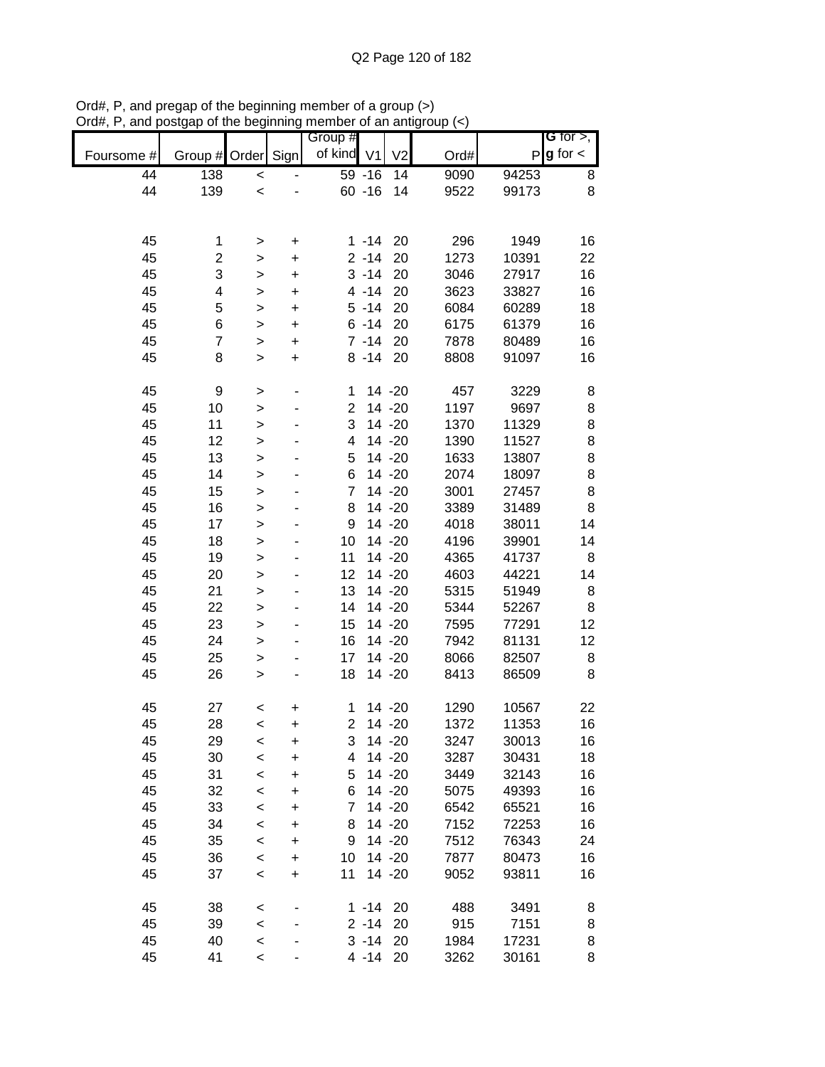|            |                         |                |           | Group #                  |                |                |      |       | <b>G</b> for $>$ , |
|------------|-------------------------|----------------|-----------|--------------------------|----------------|----------------|------|-------|--------------------|
| Foursome # | Group #                 | Order          | Sign      | of kind                  | V <sub>1</sub> | V <sub>2</sub> | Ord# | P     | $g$ for $\lt$      |
| 44         | $\overline{138}$        | $\prec$        |           |                          | $59 - 16$      | 14             | 9090 | 94253 | 8                  |
| 44         | 139                     | $\prec$        |           |                          | $60 - 16$      | 14             | 9522 | 99173 | 8                  |
|            |                         |                |           |                          |                |                |      |       |                    |
|            |                         |                |           |                          |                |                |      |       |                    |
| 45         | 1                       | >              | $\ddot{}$ |                          | $1 - 14$       | 20             | 296  | 1949  | 16                 |
| 45         | $\overline{\mathbf{c}}$ | >              | +         |                          | $2 - 14$       | 20             | 1273 | 10391 | 22                 |
| 45         | 3                       | >              | $\ddot{}$ |                          | $3 - 14$       | 20             | 3046 | 27917 | 16                 |
| 45         | 4                       | $\geq$         | +         |                          | $4 - 14$       | 20             | 3623 | 33827 | 16                 |
| 45         | 5                       | $\geq$         | $\ddot{}$ |                          | $5 - 14$       | 20             | 6084 | 60289 | 18                 |
| 45         | 6                       | $\geq$         | $\ddot{}$ |                          | $6 - 14$       | 20             | 6175 | 61379 | 16                 |
| 45         | $\overline{7}$          | $\geq$         | $\ddot{}$ |                          | $7 - 14$       | 20             | 7878 | 80489 | 16                 |
| 45         | 8                       | $\geq$         | $\ddot{}$ |                          | $8 - 14$       | 20             | 8808 | 91097 | 16                 |
|            |                         |                |           |                          |                |                |      |       |                    |
| 45         | 9                       | >              |           | 1                        |                | 14 -20         | 457  | 3229  | 8                  |
| 45         | 10                      | >              |           | $\overline{2}$           |                | 14 -20         | 1197 | 9697  | 8                  |
| 45         | 11                      | $\geq$         |           | 3                        |                | 14 -20         | 1370 | 11329 | 8                  |
| 45         | 12                      | $\geq$         |           | $\overline{\mathcal{A}}$ |                | 14 -20         | 1390 | 11527 | 8                  |
| 45         | 13                      | $\geq$         |           | 5                        |                | 14 -20         | 1633 | 13807 | 8                  |
| 45         | 14                      | $\geq$         |           | 6                        |                | 14 -20         | 2074 | 18097 | 8                  |
| 45         | 15                      | $\geq$         |           | 7                        |                | 14 -20         | 3001 | 27457 | 8                  |
| 45         | 16                      | $\geq$         |           | 8                        |                | 14 -20         | 3389 | 31489 | 8                  |
| 45         | 17                      | $\mathbf{I}$   |           | 9                        |                | 14 -20         | 4018 | 38011 | 14                 |
| 45         | 18                      | >              |           | 10                       |                | 14 -20         | 4196 | 39901 | 14                 |
| 45         | 19                      | >              |           | 11                       |                | 14 -20         | 4365 | 41737 | 8                  |
| 45         | 20                      | $\geq$         |           | 12                       |                | 14 -20         | 4603 | 44221 | 14                 |
| 45         | 21                      | $\geq$         |           | 13                       |                | 14 -20         | 5315 | 51949 | 8                  |
| 45         | 22                      | $\geq$         |           | 14                       |                | 14 -20         | 5344 | 52267 | 8                  |
| 45         | 23                      | $\geq$         |           | 15                       |                | 14 -20         | 7595 | 77291 | 12                 |
| 45         | 24                      | $\geq$         |           | 16                       |                | 14 -20         | 7942 | 81131 | 12                 |
| 45         | 25                      | $\geq$         |           | 17                       |                | 14 -20         | 8066 | 82507 | 8                  |
| 45         | 26                      | >              |           | 18                       |                | 14 -20         | 8413 | 86509 | 8                  |
| 45         | 27                      |                | +         | 1                        |                | 14 - 20        | 1290 | 10567 | 22                 |
| 45         | 28                      | $\,<$<br>$\,<$ | $\ddot{}$ | $\overline{2}$           |                | 14 -20         | 1372 | 11353 | 16                 |
| 45         | 29                      | $\,<$          | +         | 3                        |                | 14 - 20        | 3247 | 30013 | 16                 |
| 45         | 30                      | $\prec$        | $\ddot{}$ | 4                        |                | 14 -20         | 3287 | 30431 | 18                 |
| 45         | 31                      | $\,<$          | +         | 5                        |                | 14 -20         | 3449 | 32143 | 16                 |
| 45         | 32                      | $\,<$          | +         | 6                        |                | 14 -20         | 5075 | 49393 | 16                 |
| 45         | 33                      | $\prec$        | +         | 7                        |                | 14 -20         | 6542 | 65521 | 16                 |
| 45         | 34                      | $\,<$          | +         | 8                        |                | 14 -20         | 7152 | 72253 | 16                 |
| 45         | 35                      | $\,<$          | +         | 9                        |                | 14 -20         | 7512 | 76343 | 24                 |
| 45         | 36                      | $\prec$        | $\ddot{}$ | 10                       |                | 14 -20         | 7877 | 80473 | 16                 |
| 45         | 37                      | $\prec$        | $\ddot{}$ | 11                       |                | 14 -20         | 9052 | 93811 | 16                 |
|            |                         |                |           |                          |                |                |      |       |                    |
| 45         | 38                      | $\,<$          |           |                          | $1 - 14$       | 20             | 488  | 3491  | 8                  |
| 45         | 39                      | $\prec$        |           |                          | $2 - 14$       | 20             | 915  | 7151  | 8                  |
| 45         | 40                      | $\prec$        |           |                          | $3 - 14$       | 20             | 1984 | 17231 | 8                  |
| 45         | 41                      | $\prec$        |           |                          | 4 -14 20       |                | 3262 | 30161 | 8                  |

Ord#, P, and pregap of the beginning member of a group (>) Ord#, P, and postgap of the beginning member of an antigroup (<)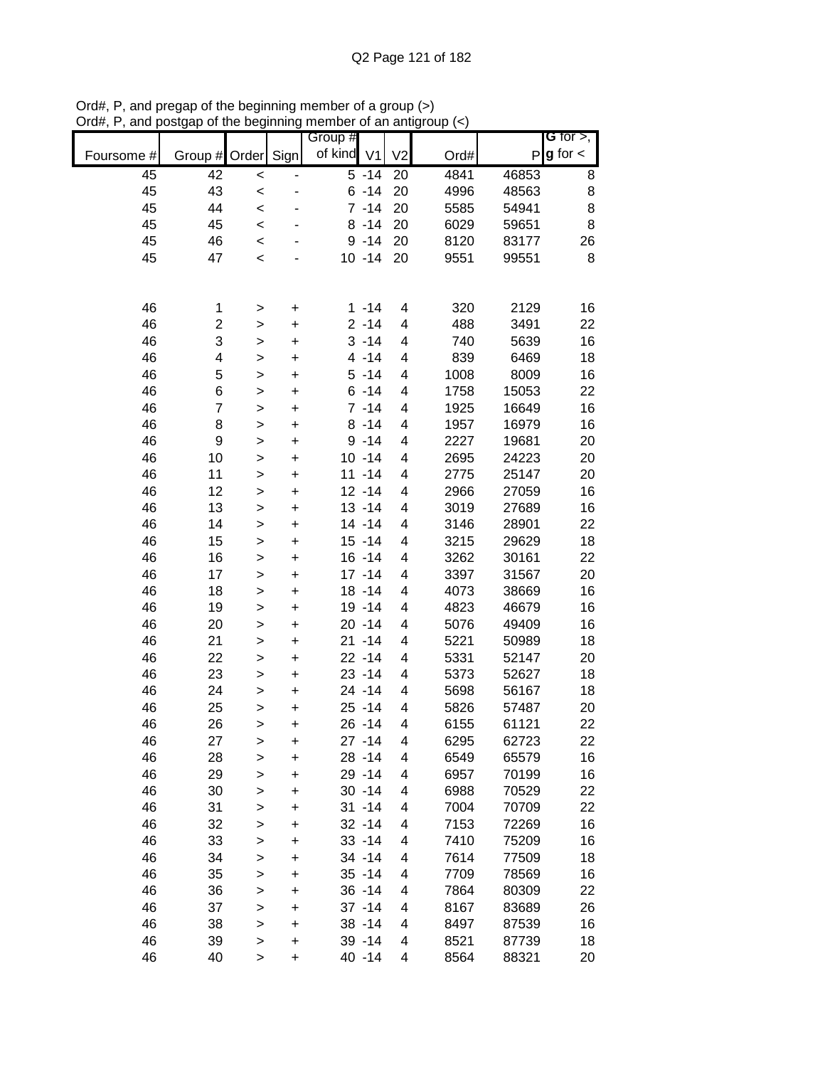|            |                 |              |           | Group #    |                    |                          |      |       | G for $>$ ,   |
|------------|-----------------|--------------|-----------|------------|--------------------|--------------------------|------|-------|---------------|
| Foursome # | Group #         | Order        | Sign      | of kind V1 |                    | V <sub>2</sub>           | Ord# | P     | $g$ for $\lt$ |
| 45         | $\overline{42}$ | $\prec$      |           |            | $\overline{5}$ -14 | 20                       | 4841 | 46853 | 8             |
| 45         | 43              | $\prec$      |           |            | $6 - 14$           | 20                       | 4996 | 48563 | 8             |
| 45         | 44              | $\,<$        |           |            | $7 - 14$           | 20                       | 5585 | 54941 | 8             |
| 45         | 45              | $\prec$      |           |            | $8 - 14$           | 20                       | 6029 | 59651 | 8             |
| 45         | 46              | $\prec$      |           |            | $9 - 14$           | 20                       | 8120 | 83177 | 26            |
| 45         | 47              | $\prec$      |           |            | $10 - 14$          | 20                       | 9551 | 99551 | 8             |
|            |                 |              |           |            |                    |                          |      |       |               |
|            |                 |              |           |            |                    |                          |      |       |               |
| 46         | 1               | >            | $\ddot{}$ |            | $1 - 14$           | 4                        | 320  | 2129  | 16            |
| 46         | 2               | $\geq$       | $\ddot{}$ |            | $2 - 14$           | 4                        | 488  | 3491  | 22            |
| 46         | 3               | $\geq$       | $\ddot{}$ |            | $3 - 14$           | 4                        | 740  | 5639  | 16            |
| 46         | 4               | $\mathbf{I}$ | $\ddot{}$ |            | $4 - 14$           | 4                        | 839  | 6469  | 18            |
| 46         | 5               | $\geq$       | $\ddot{}$ |            | $5 - 14$           | 4                        | 1008 | 8009  | 16            |
| 46         | 6               | $\geq$       | $\ddot{}$ |            | $6 - 14$           | 4                        | 1758 | 15053 | 22            |
| 46         | $\overline{7}$  | >            | $\ddot{}$ |            | $7 - 14$           | 4                        | 1925 | 16649 | 16            |
| 46         | 8               | $\,$         | $\ddot{}$ |            | $8 - 14$           | 4                        | 1957 | 16979 | 16            |
| 46         | 9               | $\geq$       | $\ddot{}$ |            | $9 - 14$           | $\overline{\mathcal{A}}$ | 2227 | 19681 | 20            |
| 46         | 10              | $\geq$       | $\ddot{}$ |            | $10 - 14$          | 4                        | 2695 | 24223 | 20            |
| 46         | 11              | $\geq$       | $\ddot{}$ |            | $11 - 14$          | 4                        | 2775 | 25147 | 20            |
| 46         | 12              | $\geq$       | $\ddot{}$ |            | $12 - 14$          | 4                        | 2966 | 27059 | 16            |
| 46         | 13              | $\,$         | $\ddot{}$ |            | $13 - 14$          | 4                        | 3019 | 27689 | 16            |
| 46         | 14              | $\,$         | $\ddot{}$ |            | $14 - 14$          | 4                        | 3146 | 28901 | 22            |
| 46         | 15              | $\mathbf{I}$ | $\ddot{}$ |            | $15 - 14$          | 4                        | 3215 | 29629 | 18            |
| 46         | 16              | $\, > \,$    | $\ddot{}$ |            | $16 - 14$          | 4                        | 3262 | 30161 | 22            |
| 46         | 17              | $\,$         | $\ddot{}$ |            | $17 - 14$          | 4                        | 3397 | 31567 | 20            |
| 46         | 18              | $\,$         | $\ddot{}$ |            | $18 - 14$          | 4                        | 4073 | 38669 | 16            |
| 46         | 19              | $\mathbf{I}$ | $\ddot{}$ |            | 19 - 14            | 4                        | 4823 | 46679 | 16            |
| 46         | 20              | $\mathbf{I}$ | $\ddot{}$ |            | $20 - 14$          | 4                        | 5076 | 49409 | 16            |
| 46         | 21              | $\mathbf{L}$ | $\ddot{}$ |            | $21 - 14$          | 4                        | 5221 | 50989 | 18            |
| 46         | 22              | $\geq$       | $\ddot{}$ |            | $22 - 14$          | 4                        | 5331 | 52147 | 20            |
| 46         | 23              | $\mathbf{I}$ | $\ddot{}$ |            | $23 - 14$          | 4                        | 5373 | 52627 | 18            |
| 46         | 24              | $\, > \,$    | $\ddot{}$ |            | 24 - 14            | $\overline{\mathcal{A}}$ | 5698 | 56167 | 18            |
| 46         | 25              | $\mathbf{I}$ | $\ddot{}$ |            | $25 - 14$          | 4                        | 5826 | 57487 | 20            |
| 46         | 26              | $\geq$       | $\ddot{}$ |            | $26 - 14$          | $\overline{\mathbf{4}}$  | 6155 | 61121 | 22            |
| 46         | 27              | $\, > \,$    | $\ddot{}$ |            | $27 - 14$          | 4                        | 6295 | 62723 | 22            |
| 46         | 28              | >            | $\ddot{}$ |            | $28 - 14$          | 4                        | 6549 | 65579 | 16            |
| 46         | 29              | $\,$         | $\ddot{}$ |            | 29 - 14            | 4                        | 6957 | 70199 | 16            |
| 46         | 30              | >            | +         |            | $30 - 14$          | 4                        | 6988 | 70529 | 22            |
| 46         | 31              | $\mathbf{I}$ | +         |            | $31 - 14$          | 4                        | 7004 | 70709 | 22            |
| 46         | 32              | >            | +         |            | $32 - 14$          | 4                        | 7153 | 72269 | 16            |
| 46         | 33              | $\,$         | +         |            | $33 - 14$          | 4                        | 7410 | 75209 | 16            |
| 46         | 34              | >            | +         |            | 34 - 14            | 4                        | 7614 | 77509 | 18            |
| 46         | 35              | $\mathbf{I}$ | $\ddot{}$ |            | $35 - 14$          | 4                        | 7709 | 78569 | 16            |
| 46         | 36              | $\mathbf{I}$ | $\ddot{}$ |            | $36 - 14$          | 4                        | 7864 | 80309 | 22            |
| 46         | 37              | >            | $\ddot{}$ |            | $37 - 14$          | 4                        | 8167 | 83689 | 26            |
| 46         | 38              | $\mathbf{L}$ | $\ddot{}$ |            | $38 - 14$          | 4                        | 8497 | 87539 | 16            |
| 46         | 39              | >            | $\ddot{}$ |            | 39 - 14            | 4                        | 8521 | 87739 | 18            |
| 46         | 40              | >            | $\ddot{}$ |            | 40 - 14            | 4                        | 8564 | 88321 | 20            |

Ord#, P, and pregap of the beginning member of a group (>) Ord#, P, and postgap of the beginning member of an antigroup (<)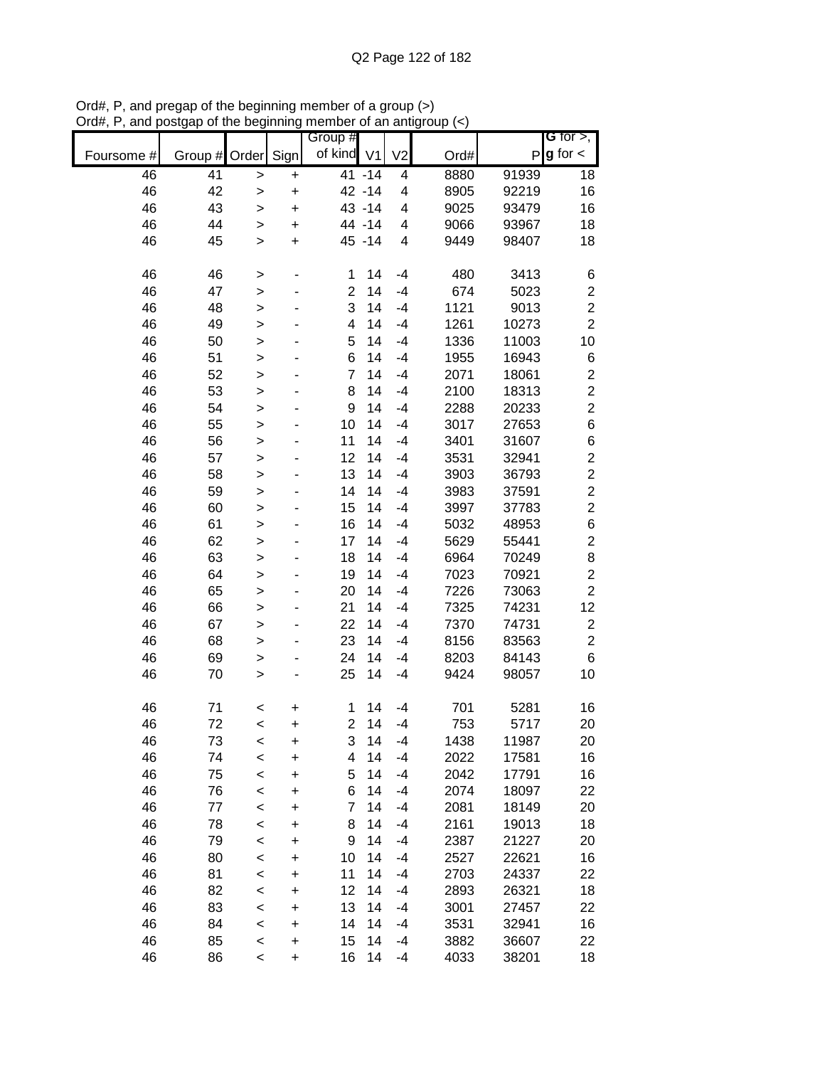|            |         |              |           | Group #        |         |                |      |       | G for $>$ ,             |
|------------|---------|--------------|-----------|----------------|---------|----------------|------|-------|-------------------------|
| Foursome # | Group # | Order        | Sign      | of kind V1     |         | V <sub>2</sub> | Ord# |       | $P g$ for $\lt$         |
| 46         | 41      | >            | +         |                | 41 -14  | 4              | 8880 | 91939 | 18                      |
| 46         | 42      | >            | $\ddot{}$ |                | 42 - 14 | 4              | 8905 | 92219 | 16                      |
| 46         | 43      | $\mathbf{I}$ | $\ddot{}$ |                | 43 - 14 | 4              | 9025 | 93479 | 16                      |
| 46         | 44      | >            | $\ddot{}$ |                | 44 - 14 | 4              | 9066 | 93967 | 18                      |
| 46         | 45      | $\mathbf{I}$ | $\ddot{}$ |                | 45 - 14 | 4              | 9449 | 98407 | 18                      |
|            |         |              |           |                |         |                |      |       |                         |
| 46         | 46      | $\, > \,$    |           | 1              | 14      | $-4$           | 480  | 3413  | 6                       |
| 46         | 47      | >            |           | $\overline{2}$ | 14      | $-4$           | 674  | 5023  | $\overline{c}$          |
| 46         | 48      | >            |           | 3              | 14      | $-4$           | 1121 | 9013  | $\overline{c}$          |
| 46         | 49      | $\mathbf{I}$ |           | 4              | 14      | $-4$           | 1261 | 10273 | $\overline{2}$          |
| 46         | 50      | $\geq$       |           | 5              | 14      | $-4$           | 1336 | 11003 | 10                      |
| 46         | 51      | $\geq$       |           | 6              | 14      | $-4$           | 1955 | 16943 | 6                       |
| 46         | 52      | $\geq$       |           | $\overline{7}$ | 14      | $-4$           | 2071 | 18061 | $\overline{\mathbf{c}}$ |
| 46         | 53      | $\geq$       |           | 8              | 14      | $-4$           | 2100 | 18313 | $\overline{c}$          |
| 46         | 54      | $\geq$       |           | 9              | 14      | $-4$           | 2288 | 20233 | $\overline{2}$          |
| 46         | 55      | >            |           | 10             | 14      | $-4$           | 3017 | 27653 | $\,$ 6 $\,$             |
| 46         | 56      | >            |           | 11             | 14      | $-4$           | 3401 | 31607 | $\,$ 6 $\,$             |
| 46         | 57      | $\mathbf{I}$ |           | 12             | 14      | $-4$           | 3531 | 32941 | $\overline{c}$          |
| 46         | 58      | $\mathbf{I}$ |           | 13             | 14      | $-4$           | 3903 | 36793 | $\overline{c}$          |
| 46         | 59      | $\geq$       |           | 14             | 14      | $-4$           | 3983 | 37591 | $\overline{c}$          |
| 46         | 60      | $\geq$       |           | 15             | 14      | $-4$           | 3997 | 37783 | $\overline{c}$          |
| 46         | 61      | $\mathbf{I}$ |           | 16             | 14      | $-4$           | 5032 | 48953 | $\,6$                   |
| 46         | 62      | $\mathbf{I}$ |           | 17             | 14      | $-4$           | 5629 | 55441 | $\overline{c}$          |
| 46         | 63      | >            |           | 18             | 14      | $-4$           | 6964 | 70249 | 8                       |
| 46         | 64      | >            |           | 19             | 14      | $-4$           | 7023 | 70921 | $\overline{c}$          |
| 46         | 65      | >            |           | 20             | 14      | $-4$           | 7226 | 73063 | $\overline{c}$          |
| 46         | 66      | >            |           | 21             | 14      | -4             | 7325 | 74231 | 12                      |
| 46         | 67      | $\mathbf{I}$ |           | 22             | 14      | -4             | 7370 | 74731 | $\overline{\mathbf{c}}$ |
| 46         | 68      | >            |           | 23             | 14      | $-4$           | 8156 | 83563 | $\overline{c}$          |
| 46         | 69      | $\mathbf{I}$ |           | 24             | 14      | $-4$           | 8203 | 84143 | $6\phantom{1}6$         |
| 46         | 70      | $\geq$       | ٠         | 25             | 14      | $-4$           | 9424 | 98057 | 10                      |
| 46         | 71      | <            | +         | 1              | 14      | $-4$           | 701  | 5281  | 16                      |
| 46         | 72      | $\,<$        | $\ddot{}$ | $\overline{2}$ | 14      | $-4$           | 753  | 5717  | 20                      |
| 46         | 73      | <            | +         | 3              | 14      | $-4$           | 1438 | 11987 | 20                      |
| 46         | 74      | $\,<$        | $\ddot{}$ | 4              | 14      | $-4$           | 2022 | 17581 | 16                      |
| 46         | 75      | $\,<$        | +         | 5              | 14      | $-4$           | 2042 | 17791 | 16                      |
| 46         | 76      | $\,<$        | +         | 6              | 14      | $-4$           | 2074 | 18097 | 22                      |
| 46         | 77      | $\,<$        | +         | 7              | 14      | $-4$           | 2081 | 18149 | 20                      |
| 46         | 78      | $\,<$        | +         | 8              | 14      | $-4$           | 2161 | 19013 | 18                      |
| 46         | 79      | $\,<$        | +         | 9              | 14      | -4             | 2387 | 21227 | 20                      |
| 46         | 80      | $\,<$        | +         | 10             | 14      | $-4$           | 2527 | 22621 | 16                      |
| 46         | 81      | $\,<$        | +         | 11             | 14      | -4             | 2703 | 24337 | 22                      |
| 46         | 82      | $\,<$        | +         | 12             | 14      | -4             | 2893 | 26321 | 18                      |
| 46         | 83      | $\,<$        | +         | 13             | 14      | -4             | 3001 | 27457 | 22                      |
| 46         | 84      | $\,<$        | +         | 14             | 14      | -4             | 3531 | 32941 | 16                      |
| 46         | 85      | $\,<$        | +         | 15             | 14      | -4             | 3882 | 36607 | 22                      |
| 46         | 86      | $\prec$      | +         | 16             | 14      | -4             | 4033 | 38201 | 18                      |

Ord#, P, and pregap of the beginning member of a group (>) Ord#, P, and postgap of the beginning member of an antigroup (<)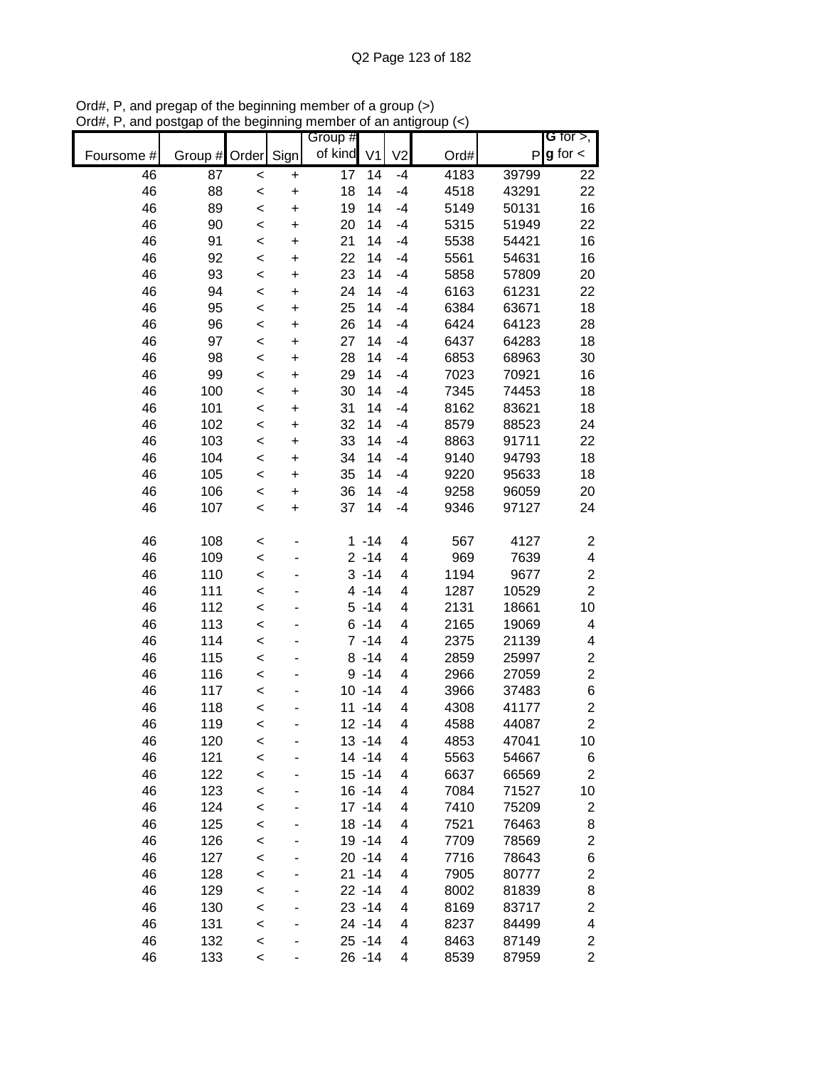|            |               |         |           | Group # |                      |                          |      |       | G for $>$ ,                  |
|------------|---------------|---------|-----------|---------|----------------------|--------------------------|------|-------|------------------------------|
| Foursome # | Group # Order |         | Sign      | of kind | V <sub>1</sub>       | V <sub>2</sub>           | Ord# |       | $P g$ for $\lt$              |
| 46         | 87            | $\,<$   | $\ddot{}$ | 17      | 14                   | $-4$                     | 4183 | 39799 | 22                           |
| 46         | 88            | $\,<$   | $\ddot{}$ | 18      | 14                   | $-4$                     | 4518 | 43291 | 22                           |
| 46         | 89            | $\prec$ | $\ddot{}$ | 19      | 14                   | $-4$                     | 5149 | 50131 | 16                           |
| 46         | 90            | $\prec$ | $\ddot{}$ | 20      | 14                   | $-4$                     | 5315 | 51949 | 22                           |
| 46         | 91            | $\,<$   | $\ddot{}$ | 21      | 14                   | $-4$                     | 5538 | 54421 | 16                           |
| 46         | 92            | $\,<$   | $\ddot{}$ | 22      | 14                   | $-4$                     | 5561 | 54631 | 16                           |
| 46         | 93            | $\prec$ | +         | 23      | 14                   | $-4$                     | 5858 | 57809 | 20                           |
| 46         | 94            | $\,<$   | +         | 24      | 14                   | $-4$                     | 6163 | 61231 | 22                           |
| 46         | 95            | $\prec$ | +         | 25      | 14                   | $-4$                     | 6384 | 63671 | 18                           |
| 46         | 96            | $\,<$   | +         | 26      | 14                   | $-4$                     | 6424 | 64123 | 28                           |
| 46         | 97            | $\,<$   | +         | 27      | 14                   | $-4$                     | 6437 | 64283 | 18                           |
| 46         | 98            | $\,<$   | $\ddot{}$ | 28      | 14                   | $-4$                     | 6853 | 68963 | 30                           |
| 46         | 99            | $\,<$   | $\ddot{}$ | 29      | 14                   | $-4$                     | 7023 | 70921 | 16                           |
| 46         | 100           | $\,<$   | $\ddot{}$ | 30      | 14                   | $-4$                     | 7345 | 74453 | 18                           |
| 46         | 101           | $\prec$ | $\ddot{}$ | 31      | 14                   | $-4$                     | 8162 | 83621 | 18                           |
| 46         | 102           | $\prec$ | $\ddot{}$ | 32      | 14                   | $-4$                     | 8579 | 88523 | 24                           |
| 46         | 103           | $\prec$ | $\ddot{}$ | 33      | 14                   | $-4$                     | 8863 | 91711 | 22                           |
| 46         | 104           | $\,<$   | $\ddot{}$ | 34      | 14                   | $-4$                     | 9140 | 94793 | 18                           |
| 46         | 105           | $\,<$   | $\ddot{}$ | 35      | 14                   | $-4$                     | 9220 | 95633 | 18                           |
| 46         | 106           | $\prec$ | $\ddot{}$ | 36      | 14                   | $-4$                     | 9258 | 96059 | 20                           |
| 46         | 107           | $\prec$ | $\ddot{}$ | 37      | 14                   | $-4$                     | 9346 | 97127 | 24                           |
| 46         | 108           |         |           | 1       | $-14$                | $\overline{\mathbf{4}}$  | 567  | 4127  |                              |
| 46         |               | <       |           |         | $2 - 14$             | $\overline{\mathcal{A}}$ | 969  |       | $\overline{\mathbf{c}}$<br>4 |
|            | 109           | $\prec$ |           |         | $3 - 14$             | 4                        |      | 7639  | $\overline{c}$               |
| 46         | 110           | $\prec$ |           |         | $4 - 14$             | 4                        | 1194 | 9677  | $\overline{c}$               |
| 46         | 111           | $\prec$ |           |         | $5 - 14$             |                          | 1287 | 10529 |                              |
| 46         | 112           | <       |           |         |                      | 4<br>4                   | 2131 | 18661 | 10                           |
| 46         | 113           | <       |           |         | $6 - 14$<br>$7 - 14$ | 4                        | 2165 | 19069 | 4                            |
| 46         | 114           | $\prec$ |           |         | $8 - 14$             | 4                        | 2375 | 21139 | 4                            |
| 46         | 115           | $\,<$   |           |         |                      |                          | 2859 | 25997 | $\overline{\mathbf{c}}$      |
| 46         | 116           | $\prec$ |           |         | $9 - 14$             | 4                        | 2966 | 27059 | $\overline{c}$               |
| 46         | 117           | $\prec$ |           |         | $10 - 14$            | 4                        | 3966 | 37483 | 6                            |
| 46         | 118           | $\prec$ |           |         | $11 - 14$            | 4                        | 4308 | 41177 | $\overline{c}$               |
| 46         | 119           | $\prec$ |           |         | $12 - 14$            | 4                        | 4588 | 44087 | $\overline{2}$               |
| 46         | 120           | $\,<$   |           |         | $13 - 14$            | 4                        | 4853 | 47041 | 10                           |
| 46         | 121           | $\prec$ |           |         | $14 - 14$            | 4                        | 5563 | 54667 | 6                            |
| 46         | 122           | $\prec$ |           |         | $15 - 14$            | 4                        | 6637 | 66569 | $\overline{c}$               |
| 46         | 123           | $\,<$   |           |         | $16 - 14$            | 4                        | 7084 | 71527 | 10                           |
| 46         | 124           | $\prec$ |           |         | $17 - 14$            | 4                        | 7410 | 75209 | $\overline{c}$               |
| 46         | 125           | $\prec$ |           |         | $18 - 14$            | 4                        | 7521 | 76463 | 8                            |
| 46         | 126           | $\prec$ |           |         | 19 - 14              | 4                        | 7709 | 78569 | $\overline{\mathbf{c}}$      |
| 46         | 127           | $\prec$ |           |         | $20 - 14$            | 4                        | 7716 | 78643 | 6                            |
| 46         | 128           | $\prec$ |           |         | $21 - 14$            | 4                        | 7905 | 80777 | $\overline{\mathbf{c}}$      |
| 46         | 129           | $\prec$ |           |         | $22 - 14$            | 4                        | 8002 | 81839 | 8                            |
| 46         | 130           | $\prec$ |           |         | $23 - 14$            | 4                        | 8169 | 83717 | $\overline{\mathbf{c}}$      |
| 46         | 131           | $\prec$ |           |         | 24 - 14              | 4                        | 8237 | 84499 | 4                            |
| 46         | 132           | $\,<$   |           |         | $25 - 14$            | 4                        | 8463 | 87149 | $\overline{\mathbf{c}}$      |
| 46         | 133           | $\,<$   |           |         | $26 - 14$            | 4                        | 8539 | 87959 | $\overline{c}$               |

Ord#, P, and pregap of the beginning member of a group (>) Ord#, P, and postgap of the beginning member of an antigroup (<)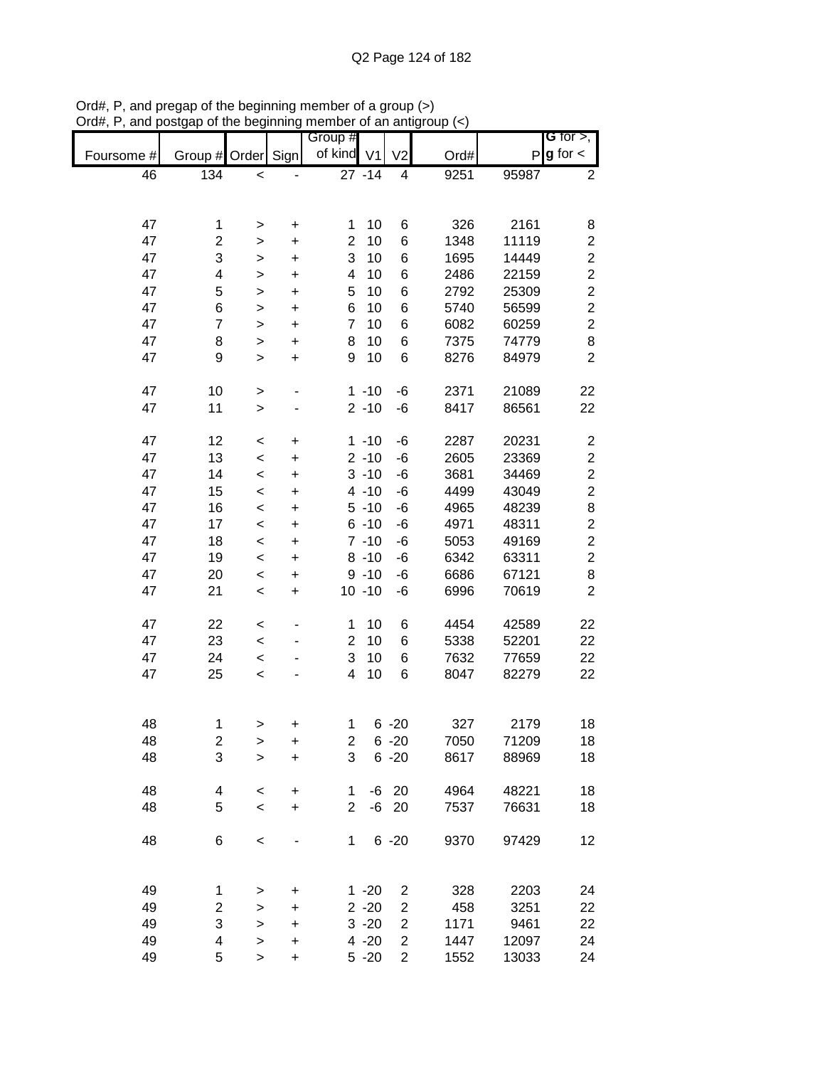|            |                         |              |           | Group #        |           |                |      |              | <b>G</b> for $>$ ,      |
|------------|-------------------------|--------------|-----------|----------------|-----------|----------------|------|--------------|-------------------------|
| Foursome # | Group # Order           |              | Sign      | of kind V1     |           | V <sub>2</sub> | Ord# | $\mathsf{P}$ | $g$ for $\lt$           |
| 46         | 134                     | $\,<\,$      |           |                | $27 - 14$ | 4              | 9251 | 95987        | 2                       |
|            |                         |              |           |                |           |                |      |              |                         |
|            |                         |              |           |                |           |                |      |              |                         |
| 47         | 1                       | $\, > \,$    | $\ddot{}$ | 1              | 10        | 6              | 326  | 2161         | 8                       |
| 47         | $\overline{\mathbf{c}}$ | >            | +         | $\overline{c}$ | 10        | 6              | 1348 | 11119        | $\overline{\mathbf{c}}$ |
| 47         | 3                       | >            | $\ddot{}$ | 3              | 10        | 6              | 1695 | 14449        | $\overline{c}$          |
| 47         | 4                       |              |           | 4              | 10        | 6              | 2486 | 22159        | $\overline{c}$          |
|            |                         | >            | $\ddot{}$ |                |           |                |      |              |                         |
| 47         | 5                       | >            | +         | 5              | 10        | 6              | 2792 | 25309        | $\overline{c}$          |
| 47         | 6                       | $\geq$       | +         | 6              | 10        | 6              | 5740 | 56599        | $\overline{c}$          |
| 47         | 7                       | $\, > \,$    | $\ddot{}$ | $\overline{7}$ | 10        | 6              | 6082 | 60259        | $\overline{c}$          |
| 47         | 8                       | $\mathbf{I}$ | $\ddot{}$ | 8              | 10        | 6              | 7375 | 74779        | 8                       |
| 47         | 9                       | $\geq$       | $\ddot{}$ | 9              | 10        | 6              | 8276 | 84979        | $\overline{2}$          |
|            |                         |              |           |                |           |                |      |              |                         |
| 47         | 10                      | $\,$         |           |                | $1 - 10$  | -6             | 2371 | 21089        | 22                      |
| 47         | 11                      | >            |           |                | $2 - 10$  | -6             | 8417 | 86561        | 22                      |
|            |                         |              |           |                |           |                |      |              |                         |
| 47         | 12                      | $\,<\,$      | $\ddot{}$ |                | $1 - 10$  | -6             | 2287 | 20231        | $\overline{\mathbf{c}}$ |
| 47         | 13                      | $\,<$        | $\ddot{}$ |                | $2 - 10$  | -6             | 2605 | 23369        | $\overline{\mathbf{c}}$ |
| 47         | 14                      | $\,<$        | $\ddot{}$ |                | $3 - 10$  | -6             | 3681 | 34469        | $\overline{c}$          |
| 47         | 15                      | $\,<$        | $\ddot{}$ |                | $4 - 10$  | -6             | 4499 | 43049        | $\overline{c}$          |
| 47         | 16                      |              |           |                | $5 - 10$  | -6             | 4965 | 48239        | 8                       |
|            |                         | $\,<$        | $\ddot{}$ |                |           |                |      |              |                         |
| 47         | 17                      | $\,<$        | +         |                | $6 - 10$  | $-6$           | 4971 | 48311        | $\overline{c}$          |
| 47         | 18                      | $\,<$        | +         |                | $7 - 10$  | -6             | 5053 | 49169        | $\overline{c}$          |
| 47         | 19                      | $\,<\,$      | +         |                | $8 - 10$  | -6             | 6342 | 63311        | $\overline{c}$          |
| 47         | 20                      | $\,<\,$      | +         |                | $9 - 10$  | -6             | 6686 | 67121        | 8                       |
| 47         | 21                      | $\,<$        | +         |                | $10 - 10$ | -6             | 6996 | 70619        | $\overline{c}$          |
|            |                         |              |           |                |           |                |      |              |                         |
| 47         | 22                      | $\,<$        |           | 1              | 10        | 6              | 4454 | 42589        | 22                      |
| 47         | 23                      | $\,<$        |           | $\overline{2}$ | 10        | 6              | 5338 | 52201        | 22                      |
| 47         | 24                      | $\,<$        | ٠         | 3              | 10        | 6              | 7632 | 77659        | 22                      |
| 47         | 25                      | $\,<$        |           | 4              | 10        | 6              | 8047 | 82279        | 22                      |
|            |                         |              |           |                |           |                |      |              |                         |
|            |                         |              |           |                |           |                |      |              |                         |
| 48         |                         |              |           | 1              |           | $6 - 20$       | 327  | 2179         | 18                      |
|            | 1                       | >            | +         |                |           |                |      |              |                         |
| 48         | $\overline{\mathbf{c}}$ | >            | $\ddot{}$ | 2              |           | $6 - 20$       | 7050 | 71209        | 18                      |
| 48         | 3                       | $\mathbf{I}$ | $\ddot{}$ | 3              |           | $6 - 20$       | 8617 | 88969        | 18                      |
|            |                         |              |           |                |           |                |      |              |                         |
| 48         | 4                       | $\,<$        | $\ddot{}$ | 1              |           | $-6$ 20        | 4964 | 48221        | 18                      |
| 48         | 5                       | $\,<\,$      | $\ddot{}$ | $\overline{2}$ |           | $-6$ 20        | 7537 | 76631        | 18                      |
|            |                         |              |           |                |           |                |      |              |                         |
| 48         | 6                       | $\,<$        |           | 1              |           | $6 - 20$       | 9370 | 97429        | 12                      |
|            |                         |              |           |                |           |                |      |              |                         |
|            |                         |              |           |                |           |                |      |              |                         |
| 49         | 1                       | >            | $\ddot{}$ |                | $1 - 20$  | 2              | 328  | 2203         | 24                      |
| 49         | 2                       | >            | +         |                | $2 - 20$  | 2              | 458  | 3251         | 22                      |
| 49         | 3                       | $\geq$       | +         |                | $3 - 20$  | 2              | 1171 | 9461         | 22                      |
| 49         | 4                       | $\mathbf{I}$ | +         |                | $4 - 20$  | $\overline{c}$ | 1447 | 12097        | 24                      |
| 49         | 5                       | $\mathbf{I}$ | $\ddot{}$ |                | $5 - 20$  | $\overline{2}$ | 1552 | 13033        | 24                      |
|            |                         |              |           |                |           |                |      |              |                         |

Ord#, P, and pregap of the beginning member of a group (>) Ord#, P, and postgap of the beginning member of an antigroup (<)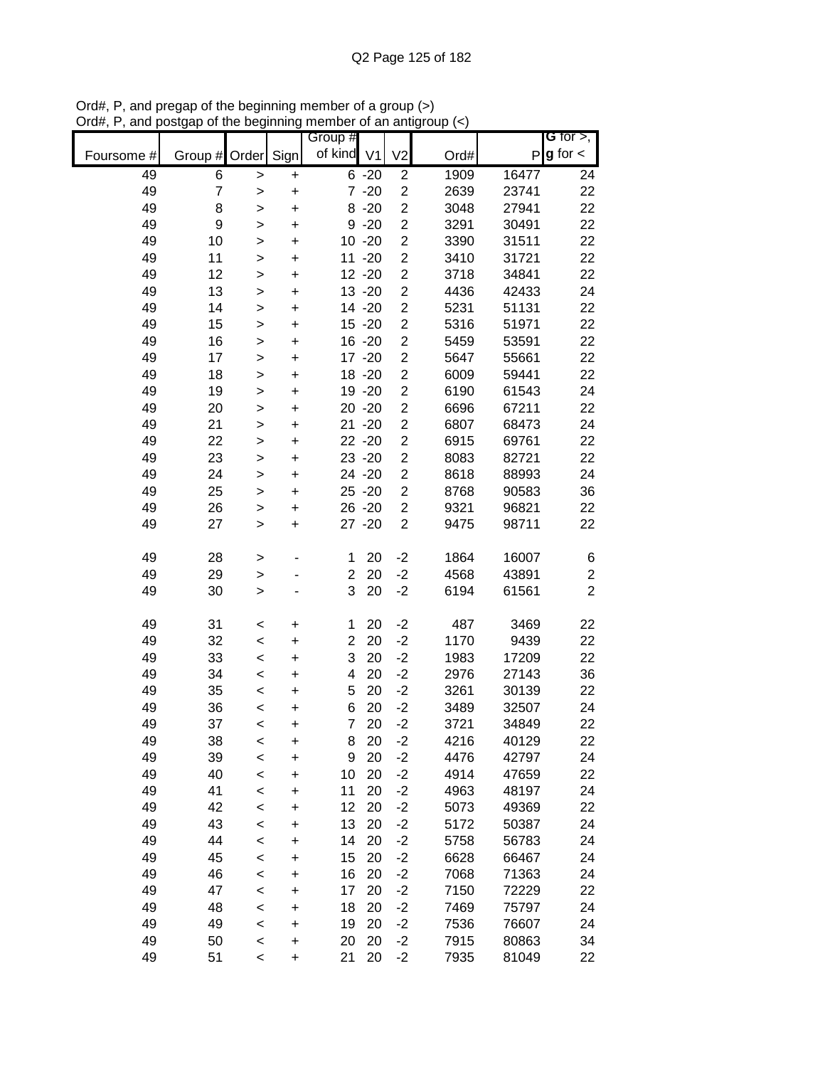|            |                  |              |                        | Group #        |                        |                                                    |              |                | G for $>$ ,             |
|------------|------------------|--------------|------------------------|----------------|------------------------|----------------------------------------------------|--------------|----------------|-------------------------|
| Foursome # | Group #          | Order        | Sign                   | of kind V1     |                        | V <sub>2</sub>                                     | Ord#         | P              | $g$ for $\lt$           |
| 49         | 6                | $\geq$       | $\ddot{}$              |                | $6 - 20$               | $\overline{c}$                                     | 1909         | 16477          | 24                      |
| 49         | 7                | >            | $\ddot{}$              |                | $7 - 20$               | $\overline{c}$                                     | 2639         | 23741          | 22                      |
| 49         | 8                | >            | $\ddot{}$              |                | $8 - 20$               | $\overline{c}$                                     | 3048         | 27941          | 22                      |
| 49         | $\boldsymbol{9}$ | >            | +                      |                | $9 - 20$               | $\overline{\mathbf{c}}$                            | 3291         | 30491          | 22                      |
| 49         | 10               | $\mathbf{I}$ | $\ddot{}$              |                | $10 - 20$              | $\overline{\mathbf{c}}$                            | 3390         | 31511          | 22                      |
| 49         | 11               | $\mathbf{I}$ | $\ddot{}$              |                | $11 - 20$              | $\overline{\mathbf{c}}$                            | 3410         | 31721          | 22                      |
| 49         | 12               | $\mathbf{I}$ | $\ddot{}$              |                | $12 - 20$              | $\overline{\mathbf{c}}$                            | 3718         | 34841          | 22                      |
| 49         | 13               | >            | +                      |                | 13 - 20                | $\overline{\mathbf{c}}$                            | 4436         | 42433          | 24                      |
| 49         | 14               | $\mathbf{I}$ | +                      |                | 14 -20                 | $\overline{c}$                                     | 5231         | 51131          | 22                      |
| 49         | 15               | >            | +                      |                | $15 - 20$              | $\overline{c}$                                     | 5316         | 51971          | 22                      |
| 49         | 16               | >            | +                      |                | 16 -20                 | $\overline{2}$                                     | 5459         | 53591          | 22                      |
| 49         | 17               | $\mathbf{I}$ | +                      |                | 17 - 20                | $\overline{2}$                                     | 5647         | 55661          | 22                      |
| 49         | 18               | $\mathbf{I}$ | $\ddot{}$              |                | 18 - 20                | $\overline{2}$                                     | 6009         | 59441          | 22                      |
| 49         | 19               | $\mathbf{I}$ | $\ddot{}$              |                | 19 - 20                | $\overline{\mathbf{c}}$                            | 6190<br>6696 | 61543          | 24                      |
| 49<br>49   | 20<br>21         | $\geq$       | $\ddot{}$              |                | $20 - 20$<br>$21 - 20$ | $\overline{\mathbf{c}}$<br>$\overline{\mathbf{c}}$ | 6807         | 67211<br>68473 | 22<br>24                |
| 49         | 22               | $\mathbf{I}$ | $\ddot{}$              |                | 22 - 20                | $\overline{c}$                                     | 6915         | 69761          | 22                      |
| 49         | 23               | $\mathbf{I}$ | $\ddot{}$<br>$\ddot{}$ |                | 23 - 20                | $\overline{\mathbf{c}}$                            | 8083         | 82721          | 22                      |
| 49         | 24               | >            | $\ddot{}$              |                | 24 - 20                | $\overline{\mathbf{c}}$                            | 8618         | 88993          | 24                      |
| 49         | 25               | ><br>>       | $\ddot{}$              |                | $25 - 20$              | $\overline{c}$                                     | 8768         | 90583          | 36                      |
| 49         | 26               | $\geq$       | $\ddot{}$              |                | 26 - 20                | $\overline{2}$                                     | 9321         | 96821          | 22                      |
| 49         | 27               | $\mathbf{I}$ | $\ddot{}$              |                | 27 - 20                | $\overline{2}$                                     | 9475         | 98711          | 22                      |
|            |                  |              |                        |                |                        |                                                    |              |                |                         |
| 49         | 28               | >            |                        | 1              | 20                     | $-2$                                               | 1864         | 16007          | 6                       |
| 49         | 29               | >            |                        | $\overline{c}$ | 20                     | $-2$                                               | 4568         | 43891          | $\overline{\mathbf{c}}$ |
| 49         | 30               | $\mathbf{I}$ |                        | 3              | 20                     | $-2$                                               | 6194         | 61561          | $\overline{2}$          |
| 49         | 31               | <            | +                      | 1              | 20                     | $-2$                                               | 487          | 3469           | 22                      |
| 49         | 32               | $\,<$        | +                      | $\overline{2}$ | 20                     | $-2$                                               | 1170         | 9439           | 22                      |
| 49         | 33               | $\,<$        | +                      | 3              | 20                     | $-2$                                               | 1983         | 17209          | 22                      |
| 49         | 34               | $\,<$        | +                      | 4              | 20                     | $-2$                                               | 2976         | 27143          | 36                      |
| 49         | 35               | $\,<$        | +                      | 5              | 20                     | $-2$                                               | 3261         | 30139          | 22                      |
| 49         | 36               | $\,<$        | +                      | 6              | 20                     | $-2$                                               | 3489         | 32507          | 24                      |
| 49         | 37               | $\,<$        | +                      | $\overline{7}$ | 20                     | $-2$                                               | 3721         | 34849          | 22                      |
| 49         | 38               | $\,<$        | +                      | 8              | 20                     | $-2$                                               | 4216         | 40129          | 22                      |
| 49         | 39               | $\prec$      | +                      | 9              | 20                     | $-2$                                               | 4476         | 42797          | 24                      |
| 49         | 40               | $\prec$      | +                      | 10             | 20                     | $-2$                                               | 4914         | 47659          | 22                      |
| 49         | 41               | $\prec$      | $\ddot{}$              | 11             | 20                     | $-2$                                               | 4963         | 48197          | 24                      |
| 49         | 42               | $\prec$      | $\ddot{}$              | 12             | 20                     | $-2$                                               | 5073         | 49369          | 22                      |
| 49         | 43               | $\prec$      | +                      | 13             | 20                     | $-2$                                               | 5172         | 50387          | 24                      |
| 49         | 44               | $\prec$      | +                      | 14             | 20                     | $-2$                                               | 5758         | 56783          | 24                      |
| 49         | 45               | $\prec$      | +                      | 15             | 20                     | $-2$                                               | 6628         | 66467          | 24                      |
| 49         | 46               | $\prec$      | +                      | 16             | 20                     | $-2$                                               | 7068         | 71363          | 24                      |
| 49         | 47               | $\prec$      | +                      | 17             | 20                     | $-2$                                               | 7150         | 72229          | 22                      |
| 49         | 48               | $\,<$        | +                      | 18             | 20                     | $-2$                                               | 7469         | 75797          | 24                      |
| 49         | 49               | $\prec$      | +                      | 19             | 20                     | $-2$                                               | 7536         | 76607          | 24                      |
| 49<br>49   | 50<br>51         | $\,<$        | +                      | 20<br>21       | 20<br>20               | $-2$<br>$-2$                                       | 7915<br>7935 | 80863<br>81049 | 34<br>22                |
|            |                  | $\,<$        | +                      |                |                        |                                                    |              |                |                         |

Ord#, P, and pregap of the beginning member of a group (>) Ord#, P, and postgap of the beginning member of an antigroup (<)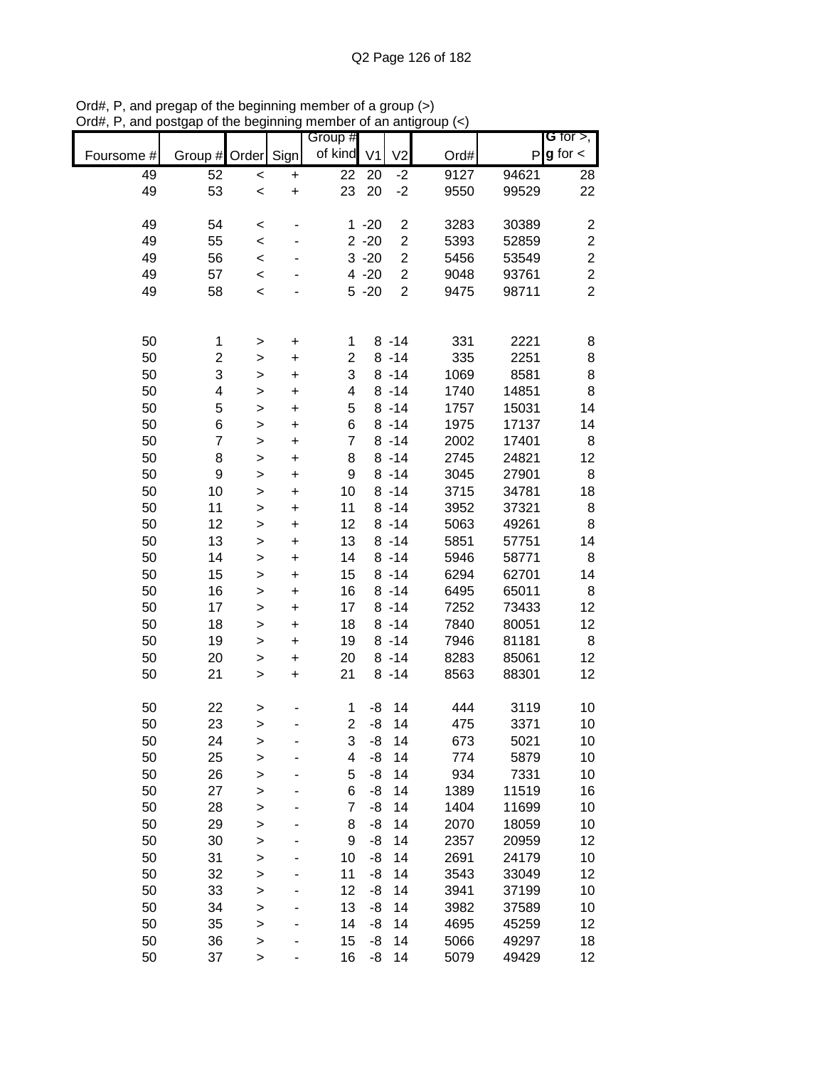|            |                         |              |           | Group #        |                |                  |      |       | <b>G</b> for $>$ ,      |
|------------|-------------------------|--------------|-----------|----------------|----------------|------------------|------|-------|-------------------------|
| Foursome # | Group #                 | Order Sign   |           | of kind        | V <sub>1</sub> | V <sub>2</sub>   | Ord# | P     | $g$ for $\lt$           |
| 49         | 52                      | $\,<$        | +         | 22             | 20             | $-2$             | 9127 | 94621 | 28                      |
| 49         | 53                      | $\prec$      | $\ddot{}$ | 23             | 20             | $-2$             | 9550 | 99529 | 22                      |
|            |                         |              |           |                |                |                  |      |       |                         |
| 49         | 54                      | $\prec$      |           |                | $1 - 20$       | $\boldsymbol{2}$ | 3283 | 30389 | 2                       |
| 49         | 55                      | $\prec$      |           |                | $2 - 20$       | $\overline{c}$   | 5393 | 52859 | $\overline{\mathbf{c}}$ |
| 49         | 56                      | $\prec$      |           |                | $3 - 20$       | $\boldsymbol{2}$ | 5456 | 53549 | $\overline{c}$          |
| 49         | 57                      | $\,<$        |           |                | $4 - 20$       | $\overline{c}$   | 9048 | 93761 | $\overline{c}$          |
| 49         | 58                      | $\prec$      |           |                | $5 - 20$       | $\overline{2}$   | 9475 | 98711 | $\overline{2}$          |
|            |                         |              |           |                |                |                  |      |       |                         |
|            |                         |              |           |                |                |                  |      |       |                         |
| 50         | 1                       | $\geq$       | $\ddot{}$ | 1              |                | $8 - 14$         | 331  | 2221  | 8                       |
| 50         | $\overline{\mathbf{c}}$ | $\geq$       | $\ddot{}$ | $\overline{c}$ |                | $8 - 14$         | 335  | 2251  | 8                       |
| 50         | 3                       | $\geq$       | $\ddot{}$ | 3              |                | $8 - 14$         | 1069 | 8581  | 8                       |
| 50         | 4                       | $\geq$       | $\ddot{}$ | 4              |                | $8 - 14$         | 1740 | 14851 | 8                       |
| 50         | 5                       | $\mathbf{I}$ | $\ddot{}$ | 5              |                | $8 - 14$         | 1757 | 15031 | 14                      |
| 50         | 6                       | >            | $\ddot{}$ | 6              |                | $8 - 14$         | 1975 | 17137 | 14                      |
| 50         | $\overline{7}$          | $\mathbf{I}$ | $\ddot{}$ | $\overline{7}$ |                | $8 - 14$         | 2002 | 17401 | 8                       |
| 50         | 8                       | $\geq$       | $\ddot{}$ | 8              |                | $8 - 14$         | 2745 | 24821 | 12                      |
| 50         | $\boldsymbol{9}$        | $\geq$       | $\ddot{}$ | 9              |                | $8 - 14$         | 3045 | 27901 | 8                       |
| 50         | 10                      | $\geq$       | $\ddot{}$ | 10             |                | $8 - 14$         | 3715 | 34781 | 18                      |
| 50         | 11                      | $\geq$       | $\ddot{}$ | 11             |                | $8 - 14$         | 3952 | 37321 | 8                       |
| 50         | 12                      | $\geq$       | $\ddot{}$ | 12             |                | $8 - 14$         | 5063 | 49261 | 8                       |
| 50         | 13                      | $\geq$       | $\pmb{+}$ | 13             |                | $8 - 14$         | 5851 | 57751 | 14                      |
| 50         | 14                      | $\mathbf{I}$ | $\ddot{}$ | 14             |                | $8 - 14$         | 5946 | 58771 | 8                       |
| 50         | 15                      | >            | $\ddot{}$ | 15             |                | $8 - 14$         | 6294 | 62701 | 14                      |
| 50         | 16                      | >            | $\ddot{}$ | 16             |                | $8 - 14$         | 6495 | 65011 | 8                       |
| 50         | 17                      | $\geq$       | +         | 17             |                | $8 - 14$         | 7252 | 73433 | 12                      |
| 50         | 18                      | $\geq$       | $\ddot{}$ | 18             |                | $8 - 14$         | 7840 | 80051 | 12                      |
| 50         | 19                      | $\mathbf{I}$ | $\ddot{}$ | 19             |                | $8 - 14$         | 7946 | 81181 | 8                       |
| 50         | 20                      | $\geq$       | $\ddot{}$ | 20             |                | $8 - 14$         | 8283 | 85061 | 12                      |
| 50         | 21                      | $\geq$       | $\ddot{}$ | 21             |                | $8 - 14$         | 8563 | 88301 | 12                      |
|            |                         |              |           |                |                |                  |      |       |                         |
| 50         | 22                      | >            |           | 1              | -8             | 14               | 444  | 3119  | 10                      |
| 50         | 23                      | >            |           | $\overline{2}$ | -8             | 14               | 475  | 3371  | 10                      |
| 50         | 24                      | >            | ٠         | 3              | -8             | 14               | 673  | 5021  | 10                      |
| 50         | 25                      | $\geq$       |           | 4              | -8             | 14               | 774  | 5879  | 10                      |
| 50         | 26                      | >            |           | 5              | -8             | 14               | 934  | 7331  | 10                      |
| 50         | 27                      | $\geq$       |           | 6              | -8             | 14               | 1389 | 11519 | 16                      |
| 50         | 28                      | $\geq$       |           | 7              | -8             | 14               | 1404 | 11699 | 10                      |
| 50         | 29                      | $\geq$       |           | 8              | -8             | 14               | 2070 | 18059 | 10                      |
| 50         | 30                      | >            |           | 9              | -8             | 14               | 2357 | 20959 | 12                      |
| 50         | 31                      | >            |           | 10             | -8             | 14               | 2691 | 24179 | 10                      |
| 50         | 32                      | $\geq$       | -         | 11             | -8             | 14               | 3543 | 33049 | 12                      |
| 50         | 33                      | $\geq$       | -         | 12             | -8             | 14               | 3941 | 37199 | 10                      |
| 50         | 34                      | $\geq$       |           | 13             | -8             | 14               | 3982 | 37589 | 10                      |
| 50         | 35                      | $\geq$       |           | 14             | -8             | 14               | 4695 | 45259 | 12                      |
| 50         | 36                      | $\geq$       |           | 15             | -8             | 14               | 5066 | 49297 | 18                      |
| 50         | 37                      | >            |           | 16             | -8             | 14               | 5079 | 49429 | 12                      |

Ord#, P, and pregap of the beginning member of a group (>) Ord#, P, and postgap of the beginning member of an antigroup (<)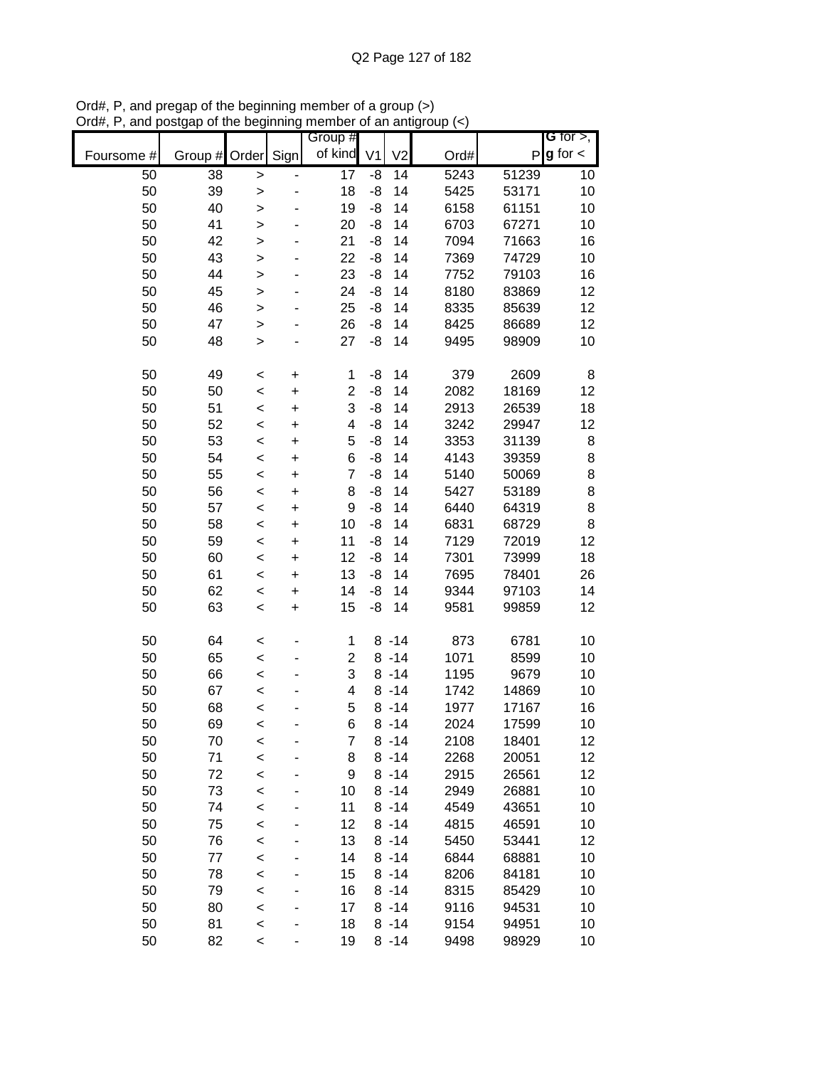|            |         |              |           | Group #        |                |                |      |              | G for $>$ ,   |
|------------|---------|--------------|-----------|----------------|----------------|----------------|------|--------------|---------------|
| Foursome # | Group # | Order        | Sign      | of kind        | V <sub>1</sub> | V <sub>2</sub> | Ord# | $\mathsf{P}$ | $g$ for $\lt$ |
| 50         | 38      | $\, > \,$    |           | 17             | -8             | 14             | 5243 | 51239        | 10            |
| 50         | 39      | $\geq$       |           | 18             | -8             | 14             | 5425 | 53171        | 10            |
| 50         | 40      | $\geq$       |           | 19             | -8             | 14             | 6158 | 61151        | 10            |
| 50         | 41      | $\geq$       |           | 20             | -8             | 14             | 6703 | 67271        | 10            |
| 50         | 42      | $\geq$       |           | 21             | -8             | 14             | 7094 | 71663        | 16            |
| 50         | 43      | $\geq$       |           | 22             | -8             | 14             | 7369 | 74729        | 10            |
| 50         | 44      | $\mathbf{I}$ |           | 23             | -8             | 14             | 7752 | 79103        | 16            |
| 50         | 45      | >            |           | 24             | -8             | 14             | 8180 | 83869        | 12            |
| 50         | 46      | $\mathbf{I}$ |           | 25             | -8             | 14             | 8335 | 85639        | 12            |
| 50         | 47      | $\geq$       |           | 26             | -8             | 14             | 8425 | 86689        | 12            |
| 50         | 48      | $\geq$       |           | 27             | -8             | 14             | 9495 | 98909        | 10            |
|            |         |              |           |                |                |                |      |              |               |
| 50         | 49      | $\,<$        | +         | 1              | -8             | 14             | 379  | 2609         | 8             |
| 50         | 50      | $\prec$      | $\ddot{}$ | $\overline{c}$ | -8             | 14             | 2082 | 18169        | 12            |
| 50         | 51      | $\prec$      | $\ddot{}$ | 3              | -8             | 14             | 2913 | 26539        | 18            |
| 50         | 52      | $\prec$      | $\ddot{}$ | 4              | -8             | 14             | 3242 | 29947        | 12            |
| 50         | 53      | $\,<$        | $\ddot{}$ | 5              | -8             | 14             | 3353 | 31139        | 8             |
| 50         | 54      | $\prec$      | $\ddot{}$ | 6              | -8             | 14             | 4143 | 39359        | $\bf8$        |
| 50         | 55      | $\prec$      | $\ddot{}$ | 7              | -8             | 14             | 5140 | 50069        | $\bf8$        |
| 50         | 56      | $\prec$      | $\ddot{}$ | 8              | -8             | 14             | 5427 | 53189        | $\bf8$        |
| 50         | 57      | $\,<$        | $\ddot{}$ | 9              | -8             | 14             | 6440 | 64319        | 8             |
| 50         | 58      | $\prec$      | $\ddot{}$ | 10             | -8             | 14             | 6831 | 68729        | 8             |
| 50         | 59      | $\prec$      | +         | 11             | -8             | 14             | 7129 | 72019        | 12            |
| 50         | 60      | $\,<$        | +         | 12             | -8             | 14             | 7301 | 73999        | 18            |
| 50         | 61      | $\,<$        | +         | 13             | -8             | 14             | 7695 | 78401        | 26            |
| 50         | 62      | $\,<$        | +         | 14             | -8             | 14             | 9344 | 97103        | 14            |
| 50         | 63      | $\,<$        | $\ddot{}$ | 15             | -8             | 14             | 9581 | 99859        | 12            |
| 50         | 64      | $\,<$        |           | 1              |                | $8 - 14$       | 873  | 6781         | 10            |
| 50         | 65      | $\,<$        |           | $\overline{2}$ |                | $8 - 14$       | 1071 | 8599         | 10            |
| 50         | 66      | $\prec$      |           | 3              |                | $8 - 14$       | 1195 | 9679         | 10            |
| 50         | 67      | $\prec$      |           | 4              |                | $8 - 14$       | 1742 | 14869        | 10            |
| 50         | 68      | $\prec$      |           | 5              |                | $8 - 14$       | 1977 | 17167        | 16            |
| 50         | 69      | $\,<$        |           | 6              |                | $8 - 14$       | 2024 | 17599        | 10            |
| 50         | 70      | $\,<$        |           | 7              |                | $8 - 14$       | 2108 | 18401        | 12            |
| 50         | 71      | $\prec$      |           | 8              |                | $8 - 14$       | 2268 | 20051        | 12            |
| 50         | 72      | $\prec$      |           | 9              |                | $8 - 14$       | 2915 | 26561        | 12            |
| 50         | 73      | $\prec$      |           | 10             |                | $8 - 14$       | 2949 | 26881        | 10            |
| 50         | 74      | $\prec$      |           | 11             |                | $8 - 14$       | 4549 | 43651        | 10            |
| 50         | 75      | $\prec$      |           | 12             |                | $8 - 14$       | 4815 | 46591        | 10            |
| 50         | 76      | $\prec$      |           | 13             |                | $8 - 14$       | 5450 | 53441        | 12            |
| 50         | 77      | $\prec$      |           | 14             |                | $8 - 14$       | 6844 | 68881        | 10            |
| 50         | 78      | $\prec$      | -         | 15             |                | $8 - 14$       | 8206 | 84181        | 10            |
| 50         | 79      | $\prec$      | -         | 16             |                | $8 - 14$       | 8315 | 85429        | 10            |
| 50         | 80      | $\prec$      |           | 17             |                | $8 - 14$       | 9116 | 94531        | 10            |
| 50         | 81      | $\,<$        |           | 18             |                | $8 - 14$       | 9154 | 94951        | 10            |
| 50         | 82      | $\prec$      |           | 19             |                | $8 - 14$       | 9498 | 98929        | 10            |

Ord#, P, and pregap of the beginning member of a group (>) Ord#, P, and postgap of the beginning member of an antigroup (<)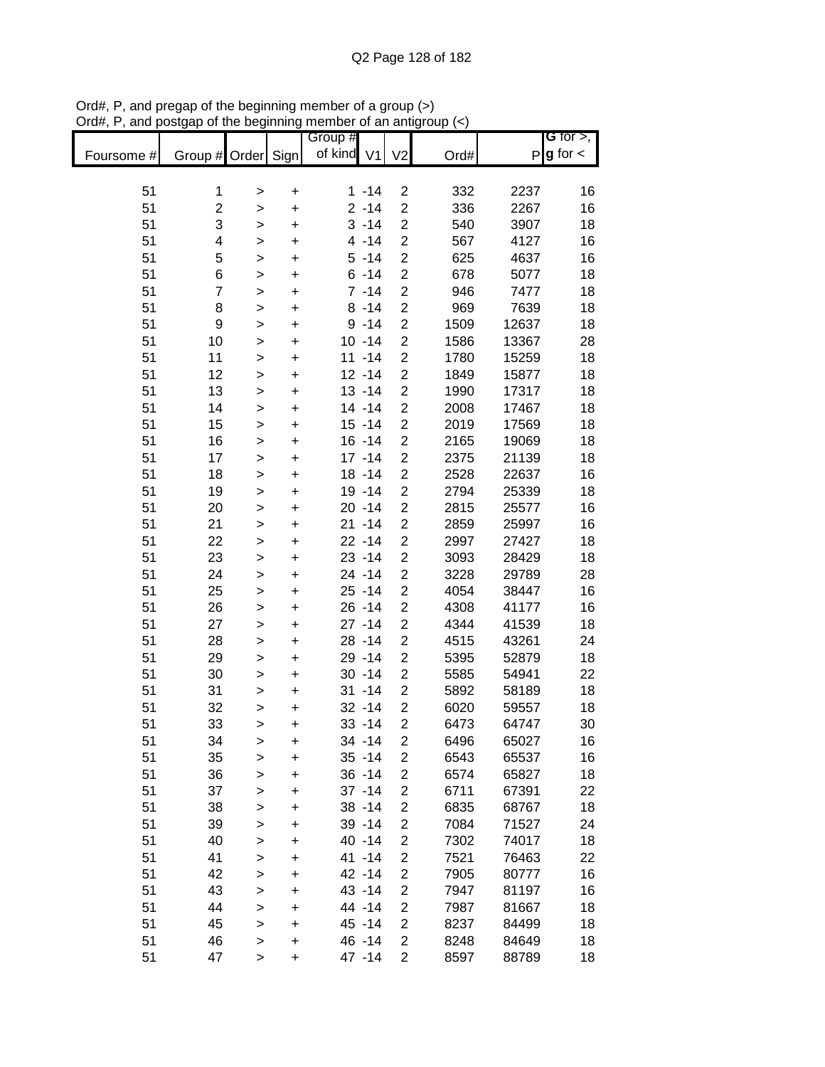|            |                         |              |           | Group #    |           |                         |      |       | G for $>$ ,            |
|------------|-------------------------|--------------|-----------|------------|-----------|-------------------------|------|-------|------------------------|
| Foursome # | Group # Order Sign      |              |           | of kind V1 |           | V <sub>2</sub>          | Ord# |       | $P$ <b>g</b> for $\lt$ |
|            |                         |              |           |            |           |                         |      |       |                        |
| 51         | 1                       | >            | $\ddot{}$ |            | $1 - 14$  | $\overline{c}$          | 332  | 2237  | 16                     |
| 51         | $\overline{\mathbf{c}}$ | >            | $\ddot{}$ |            | $2 - 14$  | $\overline{c}$          | 336  | 2267  | 16                     |
| 51         | 3                       | $\,$         | $\ddot{}$ |            | $3 - 14$  | $\overline{\mathbf{c}}$ | 540  | 3907  | 18                     |
| 51         | 4                       | $\,$         | $\ddot{}$ |            | $4 - 14$  | $\overline{\mathbf{c}}$ | 567  | 4127  | 16                     |
| 51         | 5                       | $\,$         | $\ddot{}$ |            | $5 - 14$  | $\overline{c}$          | 625  | 4637  | 16                     |
| 51         | 6                       | >            | $\ddot{}$ |            | $6 - 14$  | $\boldsymbol{2}$        | 678  | 5077  | 18                     |
| 51         | 7                       | >            | $\ddot{}$ |            | $7 - 14$  | $\overline{c}$          | 946  | 7477  | 18                     |
| 51         | 8                       | >            | $\pmb{+}$ |            | $8 - 14$  | $\overline{\mathbf{c}}$ | 969  | 7639  | 18                     |
| 51         | 9                       | $\, > \,$    | $\ddot{}$ |            | $9 - 14$  | $\overline{c}$          | 1509 | 12637 | 18                     |
| 51         | 10                      | $\mathbf{I}$ | +         |            | $10 - 14$ | $\overline{\mathbf{c}}$ | 1586 | 13367 | 28                     |
| 51         | 11                      | $\geq$       | $\ddot{}$ |            | $11 - 14$ | $\overline{c}$          | 1780 | 15259 | 18                     |
| 51         | 12                      | $\geq$       | $\ddot{}$ |            | $12 - 14$ | $\overline{\mathbf{c}}$ | 1849 | 15877 | 18                     |
| 51         | 13                      | $\mathbf{I}$ | $\ddot{}$ |            | $13 - 14$ | $\overline{\mathbf{c}}$ | 1990 | 17317 | 18                     |
| 51         | 14                      | $\geq$       | $\ddot{}$ |            | $14 - 14$ | $\overline{c}$          | 2008 | 17467 | 18                     |
| 51         | 15                      | $\,$         | $\ddot{}$ |            | $15 - 14$ | $\overline{\mathbf{c}}$ | 2019 | 17569 | 18                     |
| 51         | 16                      | >            | $\ddot{}$ |            | $16 - 14$ | $\overline{\mathbf{c}}$ | 2165 | 19069 | 18                     |
| 51         | 17                      | >            | $\ddot{}$ |            | $17 - 14$ | $\overline{2}$          | 2375 | 21139 | 18                     |
| 51         | 18                      | $\,$         | $\ddot{}$ |            | $18 - 14$ | $\overline{\mathbf{c}}$ | 2528 | 22637 | 16                     |
| 51         | 19                      | $\mathbf{I}$ | $\ddot{}$ |            | 19 - 14   | $\overline{\mathbf{c}}$ | 2794 | 25339 | 18                     |
| 51         | 20                      | $\geq$       | $\ddot{}$ |            | $20 - 14$ | $\overline{c}$          | 2815 | 25577 | 16                     |
| 51         | 21                      | $\,$         | $\ddot{}$ |            | $21 - 14$ | $\overline{\mathbf{c}}$ | 2859 | 25997 | 16                     |
| 51         | 22                      | $\,$         | $\ddot{}$ |            | $22 - 14$ | $\overline{c}$          | 2997 | 27427 | 18                     |
| 51         | 23                      | $\, > \,$    | $\ddot{}$ |            | $23 - 14$ | $\overline{\mathbf{c}}$ | 3093 | 28429 | 18                     |
| 51         | 24                      | >            | $\ddot{}$ |            | 24 - 14   | $\overline{\mathbf{c}}$ | 3228 | 29789 | 28                     |
| 51         | 25                      | >            | $\ddot{}$ |            | $25 - 14$ | $\overline{\mathbf{c}}$ | 4054 | 38447 | 16                     |
| 51         | 26                      | $\, > \,$    | $\ddot{}$ |            | $26 - 14$ | $\overline{\mathbf{c}}$ | 4308 | 41177 | 16                     |
| 51         | 27                      | >            | +         |            | $27 - 14$ | $\overline{\mathbf{c}}$ | 4344 | 41539 | 18                     |
| 51         | 28                      | $\geq$       | $\ddot{}$ |            | $28 - 14$ | $\overline{c}$          | 4515 | 43261 | 24                     |
| 51         | 29                      | $\, > \,$    | $\ddot{}$ |            | 29 - 14   | 2                       | 5395 | 52879 | 18                     |
| 51         | 30                      | $\,$         | $\ddot{}$ |            | $30 - 14$ | $\overline{c}$          | 5585 | 54941 | 22                     |
| 51         | 31                      | $\mathbf{I}$ | $\ddot{}$ |            | $31 - 14$ | $\overline{c}$          | 5892 | 58189 | 18                     |
| 51         | 32                      | $\,$         | $\ddot{}$ |            | $32 - 14$ | $\overline{2}$          | 6020 | 59557 | 18                     |
| 51         | 33                      | >            | $\ddot{}$ |            | $33 - 14$ | $\overline{2}$          | 6473 | 64747 | 30                     |
| 51         | 34                      | >            | +         |            | 34 - 14   | 2                       | 6496 | 65027 | 16                     |
| 51         | 35                      | >            | $\ddot{}$ |            | $35 - 14$ | $\overline{\mathbf{c}}$ | 6543 | 65537 | 16                     |
| 51         | 36                      | $\mathbf{I}$ | $\ddot{}$ |            | $36 - 14$ | $\overline{c}$          | 6574 | 65827 | 18                     |
| 51         | 37                      | $\,$         | $\ddot{}$ |            | $37 - 14$ | $\overline{\mathbf{c}}$ | 6711 | 67391 | 22                     |
| 51         | 38                      | $\,$         | $\ddot{}$ |            | $38 - 14$ | $\overline{\mathbf{c}}$ | 6835 | 68767 | 18                     |
| 51         | 39                      | $\,$         | $\ddot{}$ |            | 39 - 14   | $\overline{\mathbf{c}}$ | 7084 | 71527 | 24                     |
| 51         | 40                      | $\,$         | $\ddot{}$ |            | 40 - 14   | $\overline{\mathbf{c}}$ | 7302 | 74017 | 18                     |
| 51         | 41                      | >            | +         |            | 41 -14    | $\overline{\mathbf{c}}$ | 7521 | 76463 | 22                     |
| 51         | 42                      | $\, > \,$    | +         |            | 42 -14    | $\overline{\mathbf{c}}$ | 7905 | 80777 | 16                     |
| 51         | 43                      | $\, > \,$    | +         |            | 43 - 14   | 2                       | 7947 | 81197 | 16                     |
| 51         | 44                      | $\mathbf{I}$ | +         |            | 44 - 14   | 2                       | 7987 | 81667 | 18                     |
| 51         | 45                      | $\,$         | $\ddot{}$ |            | 45 - 14   | $\overline{2}$          | 8237 | 84499 | 18                     |
| 51         | 46                      | $\,$         | $\ddot{}$ |            | 46 - 14   | $\overline{c}$          | 8248 | 84649 | 18                     |
| 51         | 47                      | $\mathbf{I}$ | $\ddot{}$ |            | 47 - 14   | $\overline{2}$          | 8597 | 88789 | 18                     |

Ord#, P, and pregap of the beginning member of a group (>) Ord#, P, and postgap of the beginning member of an antigroup (<)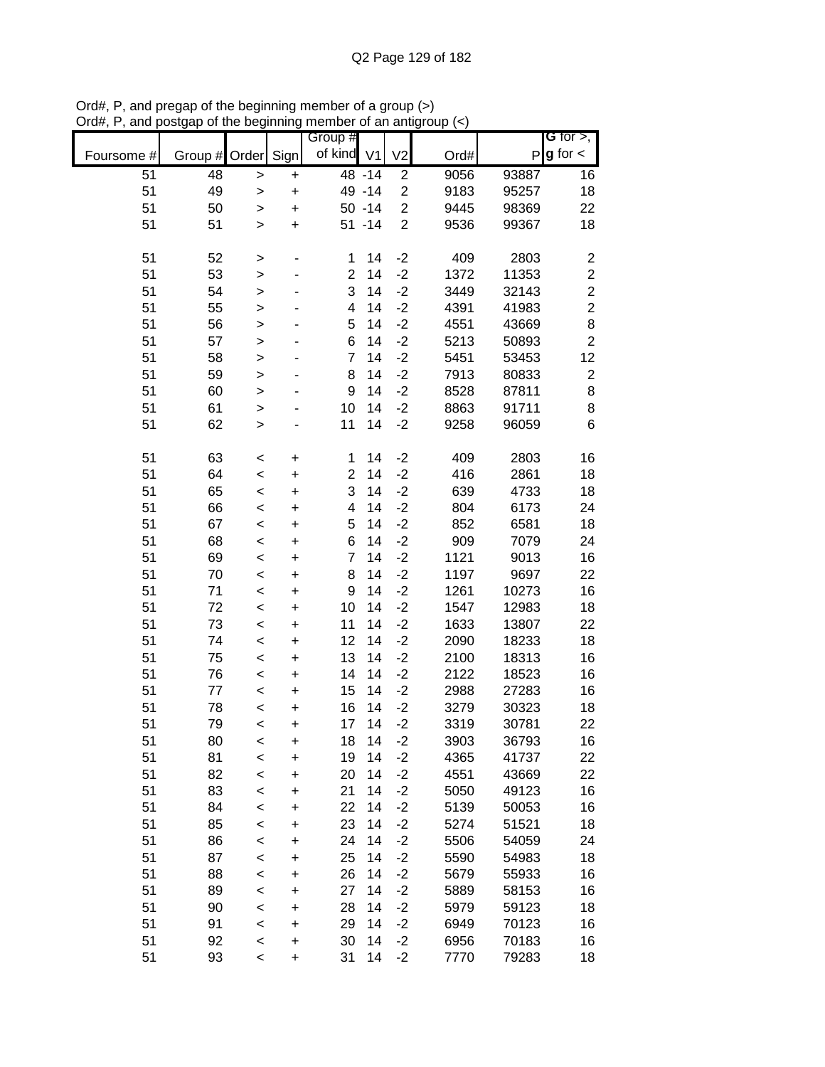|            |          |              |           | Group #        |                |                |              |                | G for $>$ ,             |
|------------|----------|--------------|-----------|----------------|----------------|----------------|--------------|----------------|-------------------------|
| Foursome # | Group #  | Order        | Sign      | of kind        | V <sub>1</sub> | V <sub>2</sub> | Ord#         |                | $P$ <b>g</b> for $\lt$  |
| 51         | 48       | $\, > \,$    | $\ddot{}$ |                | 48 - 14        | $\overline{c}$ | 9056         | 93887          | 16                      |
| 51         | 49       | $\, > \,$    | $\ddot{}$ |                | 49 - 14        | $\overline{c}$ | 9183         | 95257          | 18                      |
| 51         | 50       | $\mathbf{I}$ | $\ddot{}$ |                | $50 - 14$      | $\overline{2}$ | 9445         | 98369          | 22                      |
| 51         | 51       | $\,$         | $\ddot{}$ |                | $51 - 14$      | $\overline{2}$ | 9536         | 99367          | 18                      |
|            |          |              |           |                |                |                |              |                |                         |
| 51         | 52       | >            |           | 1              | 14             | $-2$           | 409          | 2803           | $\overline{\mathbf{c}}$ |
| 51         | 53       | $\,$         |           | $\overline{2}$ | 14             | $-2$           | 1372         | 11353          | $\overline{c}$          |
| 51         | 54       | >            |           | 3              | 14             | $-2$           | 3449         | 32143          | $\overline{c}$          |
| 51         | 55       | $\, > \,$    |           | 4              | 14             | $-2$           | 4391         | 41983          | $\overline{c}$          |
| 51         | 56       | $\geq$       |           | 5              | 14             | $-2$           | 4551         | 43669          | 8<br>$\overline{2}$     |
| 51         | 57       | $\geq$       |           | 6<br>7         | 14<br>14       | $-2$<br>$-2$   | 5213         | 50893          |                         |
| 51<br>51   | 58<br>59 | $\mathbf{I}$ |           | 8              | 14             | $-2$           | 5451<br>7913 | 53453<br>80833 | 12<br>$\overline{c}$    |
| 51         | 60       | $\geq$       |           | 9              | 14             | $-2$           | 8528         | 87811          | 8                       |
|            |          | $\geq$       |           | 10             | 14             | $-2$           |              |                |                         |
| 51         | 61       | $\geq$       |           |                |                |                | 8863         | 91711          | 8                       |
| 51         | 62       | >            |           | 11             | 14             | $-2$           | 9258         | 96059          | 6                       |
| 51         | 63       | $\,<$        | $\ddot{}$ | 1              | 14             | $-2$           | 409          | 2803           | 16                      |
| 51         | 64       | $\prec$      | $\ddot{}$ | $\overline{2}$ | 14             | $-2$           | 416          | 2861           | 18                      |
| 51         | 65       | $\,<$        | $\ddot{}$ | 3              | 14             | $-2$           | 639          | 4733           | 18                      |
| 51         | 66       | $\,<$        | $\ddot{}$ | 4              | 14             | $-2$           | 804          | 6173           | 24                      |
| 51         | 67       | $\,<$        | $\ddot{}$ | 5              | 14             | $-2$           | 852          | 6581           | 18                      |
| 51         | 68       | $\,<$        | $\ddot{}$ | 6              | 14             | $-2$           | 909          | 7079           | 24                      |
| 51         | 69       | $\,<$        | $\ddot{}$ | $\overline{7}$ | 14             | $-2$           | 1121         | 9013           | 16                      |
| 51         | 70       | $\,<$        | $\ddot{}$ | 8              | 14             | $-2$           | 1197         | 9697           | 22                      |
| 51         | 71       | $\,<$        | $\ddot{}$ | 9              | 14             | $-2$           | 1261         | 10273          | 16                      |
| 51         | 72       | $\,<$        | +         | 10             | 14             | $-2$           | 1547         | 12983          | 18                      |
| 51         | 73       | $\,<$        | $\ddot{}$ | 11             | 14             | $-2$           | 1633         | 13807          | 22                      |
| 51         | 74       | $\,<$        | $\ddot{}$ | 12             | 14             | $-2$           | 2090         | 18233          | 18                      |
| 51         | 75       | $\,<$        | $\ddot{}$ | 13             | 14             | $-2$           | 2100         | 18313          | 16                      |
| 51         | 76       | $\prec$      | $\ddot{}$ | 14             | 14             | $-2$           | 2122         | 18523          | 16                      |
| 51         | 77       | $\prec$      | $\ddot{}$ | 15             | 14             | $-2$           | 2988         | 27283          | 16                      |
| 51         | 78       | $\,<$        | $\ddot{}$ | 16             | 14             | $-2$           | 3279         | 30323          | 18                      |
| 51         | 79       | $\,<$        | $\ddot{}$ | 17             | 14             | $-2$           | 3319         | 30781          | 22                      |
| 51         | 80       | <            | $\ddot{}$ | 18             | 14             | $-2$           | 3903         | 36793          | 16                      |
| 51         | 81       | $\prec$      | $\ddot{}$ | 19             | 14             | $-2$           | 4365         | 41737          | 22                      |
| 51         | 82       | $\prec$      | $\ddot{}$ | 20             | 14             | $-2$           | 4551         | 43669          | 22                      |
| 51         | 83       | $\prec$      | $\ddot{}$ | 21             | 14             | $-2$           | 5050         | 49123          | 16                      |
| 51         | 84       | $\prec$      | $\ddot{}$ | 22             | 14             | $-2$           | 5139         | 50053          | 16                      |
| 51         | 85       | $\,<$        | $\ddot{}$ | 23             | 14             | $-2$           | 5274         | 51521          | 18                      |
| 51         | 86       | $\prec$      | +         | 24             | 14             | $-2$           | 5506         | 54059          | 24                      |
| 51         | 87       | $\,<$        | $\ddot{}$ | 25             | 14             | $-2$           | 5590         | 54983          | 18                      |
| 51         | 88       | $\prec$      | $\ddot{}$ | 26             | 14             | $-2$           | 5679         | 55933          | 16                      |
| 51         | 89       | $\,<$        | $\ddot{}$ | 27             | 14             | $-2$           | 5889         | 58153          | 16                      |
| 51         | 90       | $\prec$      | $\ddot{}$ | 28             | 14             | $-2$           | 5979         | 59123          | 18                      |
| 51         | 91       | $\,<$        | $\ddot{}$ | 29             | 14             | $-2$           | 6949         | 70123          | 16                      |
| 51         | 92       | $\,<$        | $\ddot{}$ | 30             | 14             | $-2$           | 6956         | 70183          | 16                      |
| 51         | 93       | $\,<$        | +         | 31             | 14             | $-2$           | 7770         | 79283          | 18                      |

Ord#, P, and pregap of the beginning member of a group (>) Ord#, P, and postgap of the beginning member of an antigroup (<)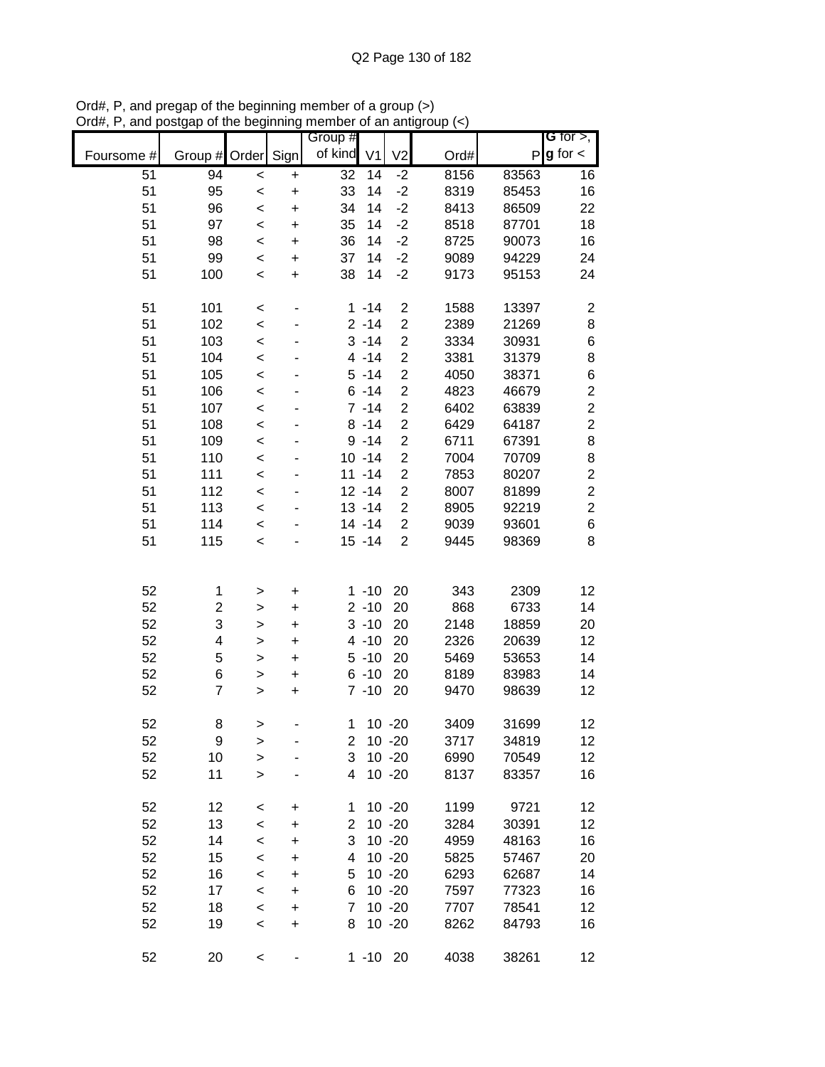|            |                          |              |           | Group #        |                |                         |      |       | G for $>$ ,             |
|------------|--------------------------|--------------|-----------|----------------|----------------|-------------------------|------|-------|-------------------------|
| Foursome # | Group #                  | Order Sign   |           | of kind        | V <sub>1</sub> | V <sub>2</sub>          | Ord# | P     | $g$ for $\lt$           |
| 51         | 94                       | $\,<$        | +         | 32             | 14             | $-2$                    | 8156 | 83563 | 16                      |
| 51         | 95                       | $\prec$      | $\ddot{}$ | 33             | 14             | $-2$                    | 8319 | 85453 | 16                      |
| 51         | 96                       | $\prec$      | $\ddot{}$ | 34             | 14             | $-2$                    | 8413 | 86509 | 22                      |
| 51         | 97                       | $\prec$      | $\ddot{}$ | 35             | 14             | $-2$                    | 8518 | 87701 | 18                      |
| 51         | 98                       | $\prec$      | $\ddot{}$ | 36             | 14             | $-2$                    | 8725 | 90073 | 16                      |
| 51         | 99                       | $\prec$      | +         | 37             | 14             | $-2$                    | 9089 | 94229 | 24                      |
| 51         | 100                      | $\prec$      | $\ddot{}$ | 38             | 14             | $-2$                    | 9173 | 95153 | 24                      |
| 51         | 101                      | $\,<$        | -         |                | $1 - 14$       | $\overline{c}$          | 1588 | 13397 | $\overline{\mathbf{c}}$ |
| 51         | 102                      | $\,<$        |           |                | $2 - 14$       | 2                       | 2389 | 21269 | 8                       |
| 51         | 103                      | $\prec$      |           |                | $3 - 14$       | $\overline{c}$          | 3334 | 30931 | 6                       |
| 51         | 104                      | $\,<$        |           |                | $4 - 14$       | $\overline{c}$          | 3381 | 31379 | 8                       |
| 51         | 105                      | $\prec$      |           |                | $5 - 14$       | $\overline{c}$          | 4050 | 38371 | 6                       |
| 51         | 106                      | $\prec$      |           |                | $6 - 14$       | $\overline{\mathbf{c}}$ | 4823 | 46679 | $\overline{\mathbf{c}}$ |
| 51         | 107                      | $\prec$      |           |                | $7 - 14$       | $\overline{c}$          | 6402 | 63839 | $\overline{c}$          |
| 51         | 108                      | $\prec$      |           |                | $8 - 14$       | $\overline{c}$          | 6429 | 64187 | $\overline{c}$          |
| 51         | 109                      | $\prec$      |           |                | $9 - 14$       | $\overline{\mathbf{c}}$ | 6711 | 67391 | 8                       |
| 51         | 110                      | $\prec$      | ٠         |                | $10 - 14$      | $\overline{\mathbf{c}}$ | 7004 | 70709 | 8                       |
| 51         | 111                      | $\prec$      | ٠         |                | $11 - 14$      | $\overline{\mathbf{c}}$ | 7853 | 80207 | $\boldsymbol{2}$        |
| 51         | 112                      | $\prec$      |           |                | $12 - 14$      | $\overline{\mathbf{c}}$ | 8007 | 81899 | $\overline{c}$          |
| 51         | 113                      | $\prec$      |           |                | $13 - 14$      | $\overline{\mathbf{c}}$ | 8905 | 92219 | $\overline{c}$          |
| 51         | 114                      | $\prec$      |           |                | 14 - 14        | $\overline{c}$          | 9039 | 93601 | 6                       |
| 51         | 115                      | $\prec$      |           |                | $15 - 14$      | $\overline{2}$          | 9445 | 98369 | 8                       |
|            |                          |              |           |                |                |                         |      |       |                         |
|            |                          |              |           |                |                |                         |      |       |                         |
| 52         | 1                        | >            | +         |                | $1 - 10$       | 20                      | 343  | 2309  | 12                      |
| 52         | $\overline{c}$           | $\geq$       | $\pmb{+}$ |                | $2 - 10$       | 20                      | 868  | 6733  | 14                      |
| 52         | 3                        | $\geq$       | $\ddot{}$ |                | $3 - 10$       | 20                      | 2148 | 18859 | 20                      |
| 52         | 4                        | >            | $\ddot{}$ |                | $4 - 10$       | 20                      | 2326 | 20639 | 12                      |
| 52         | 5                        | $\geq$       | $\ddot{}$ |                | $5 - 10$       | 20                      | 5469 | 53653 | 14                      |
| 52         | 6                        | $\geq$       | $\pmb{+}$ |                | $6 - 10$       | 20                      | 8189 | 83983 | 14                      |
| 52         | $\overline{\mathcal{I}}$ | $\mathbf{I}$ | $\ddot{}$ |                | $7 - 10$       | 20                      | 9470 | 98639 | 12                      |
| 52         | 8                        | >            |           | 1              |                | $10 - 20$               | 3409 | 31699 | 12                      |
| 52         | 9                        | >            |           | 2              |                | $10 - 20$               | 3717 | 34819 | 12                      |
| 52         | 10                       | $\geq$       |           | 3              |                | $10 - 20$               | 6990 | 70549 | 12                      |
| 52         | 11                       | $\geq$       |           | $\overline{4}$ |                | $10 - 20$               | 8137 | 83357 | 16                      |
|            |                          |              |           |                |                |                         |      |       |                         |
| 52         | 12                       | $\,<$        | +         | 1              |                | $10 - 20$               | 1199 | 9721  | 12                      |
| 52         | 13                       | $\prec$      | +         | $\overline{2}$ |                | $10 - 20$               | 3284 | 30391 | 12                      |
| 52         | 14                       | $\prec$      | +         | 3              |                | $10 - 20$               | 4959 | 48163 | 16                      |
| 52         | 15                       | $\prec$      | +         | 4              |                | $10 - 20$               | 5825 | 57467 | 20                      |
| 52         | 16                       | $\prec$      | +         | 5              |                | $10 - 20$               | 6293 | 62687 | 14                      |
| 52         | 17                       | $\prec$      | +         | 6              |                | $10 - 20$               | 7597 | 77323 | 16                      |
| 52         | 18                       | $\prec$      | $\ddot{}$ | 7              |                | $10 - 20$               | 7707 | 78541 | 12                      |
| 52         | 19                       | $\prec$      | $\ddot{}$ | 8              |                | $10 - 20$               | 8262 | 84793 | 16                      |
| 52         | 20                       | $\,<$        |           |                | $1 - 10$ 20    |                         | 4038 | 38261 | 12                      |

Ord#, P, and pregap of the beginning member of a group (>) Ord#, P, and postgap of the beginning member of an antigroup (<)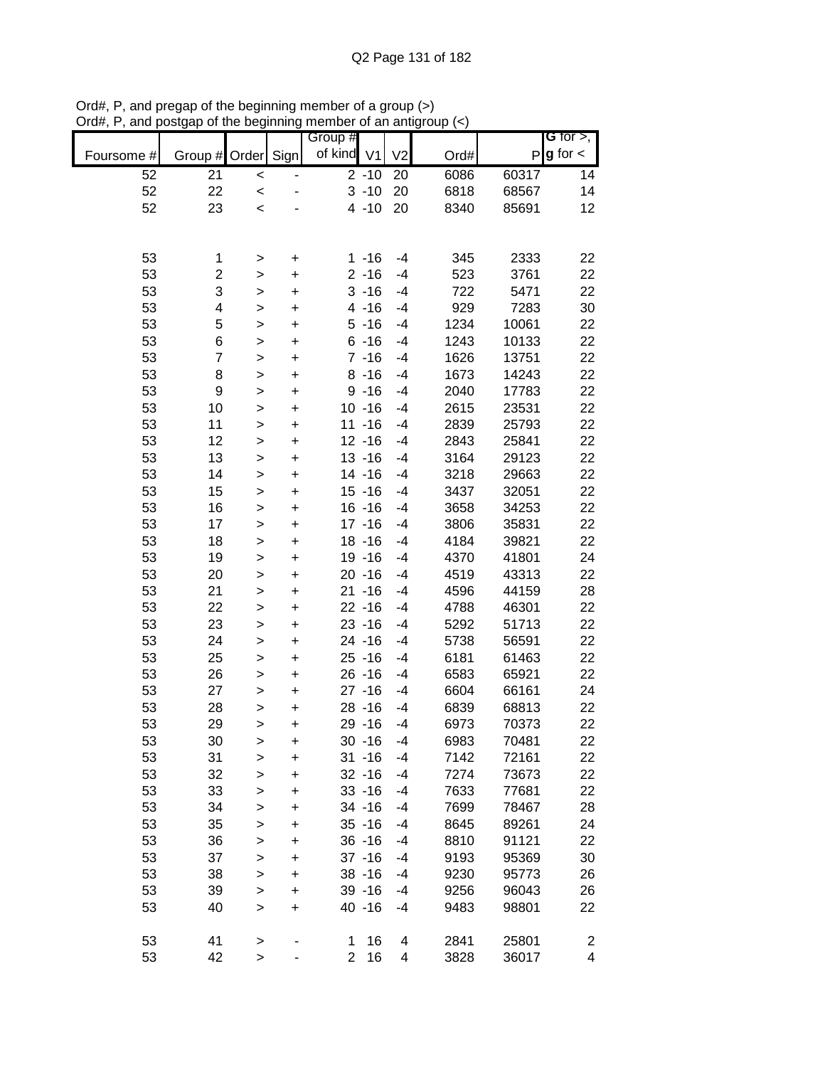|            |                         |              |           | Group #        |                |                |      |       | G for $>$ ,             |
|------------|-------------------------|--------------|-----------|----------------|----------------|----------------|------|-------|-------------------------|
| Foursome # | Group # Order           |              | Sign      | of kind        | V <sub>1</sub> | V <sub>2</sub> | Ord# | P     | $g$ for $\lt$           |
| 52         | 21                      | $\,<$        |           |                | $2 - 10$       | 20             | 6086 | 60317 | 14                      |
| 52         | 22                      | $\prec$      |           |                | $3 - 10$       | 20             | 6818 | 68567 | 14                      |
| 52         | 23                      | $\prec$      |           |                | $4 - 10$       | 20             | 8340 | 85691 | 12                      |
|            |                         |              |           |                |                |                |      |       |                         |
|            |                         |              |           |                |                |                |      |       |                         |
| 53         | 1                       | >            | +         |                | $1 - 16$       | -4             | 345  | 2333  | 22                      |
| 53         | $\overline{\mathbf{c}}$ | >            | +         |                | $2 - 16$       | $-4$           | 523  | 3761  | 22                      |
| 53         | 3                       | >            | +         |                | $3 - 16$       | -4             | 722  | 5471  | 22                      |
| 53         | 4                       | >            | +         |                | $4 - 16$       | -4             | 929  | 7283  | 30                      |
| 53         | 5                       | >            | +         |                | $5 - 16$       | -4             | 1234 | 10061 | 22                      |
| 53         | 6                       | $\geq$       | $\ddot{}$ |                | $6 - 16$       | $-4$           | 1243 | 10133 | 22                      |
| 53         | $\overline{7}$          | >            | $\ddot{}$ |                | $7 - 16$       | $-4$           | 1626 | 13751 | 22                      |
| 53         | 8                       | $\geq$       | $\ddot{}$ |                | $8 - 16$       | $-4$           | 1673 | 14243 | 22                      |
| 53         | 9                       | $\geq$       | $\ddot{}$ |                | $9 - 16$       | $-4$           | 2040 | 17783 | 22                      |
| 53         | 10                      | $\geq$       | $\ddot{}$ |                | $10 - 16$      | $-4$           | 2615 | 23531 | 22                      |
| 53         | 11                      | >            | $\ddot{}$ |                | $11 - 16$      | $-4$           | 2839 | 25793 | 22                      |
| 53         | 12                      | >            | $\ddot{}$ |                | $12 - 16$      | $-4$           | 2843 | 25841 | 22                      |
| 53         | 13                      | $\geq$       | $\ddot{}$ |                | $13 - 16$      | $-4$           | 3164 | 29123 | 22                      |
| 53         | 14                      | $\geq$       | $\ddot{}$ |                | $14 - 16$      | $-4$           | 3218 | 29663 | 22                      |
| 53         | 15                      | $\geq$       | $\ddot{}$ |                | $15 - 16$      | $-4$           | 3437 | 32051 | 22                      |
| 53         | 16                      | $\geq$       | $\ddot{}$ |                | $16 - 16$      | $-4$           | 3658 | 34253 | 22                      |
| 53         | 17                      | $\mathbf{I}$ | $\ddot{}$ |                | $17 - 16$      | $-4$           | 3806 | 35831 | 22                      |
| 53         | 18                      | >            | $\ddot{}$ |                | $18 - 16$      | $-4$           | 4184 | 39821 | 22                      |
| 53         | 19                      | >            | $\ddot{}$ |                | $19 - 16$      | $-4$           | 4370 | 41801 | 24                      |
| 53         | 20                      | >            | $\pmb{+}$ |                | $20 - 16$      | $-4$           | 4519 | 43313 | 22                      |
| 53         | 21                      | >            | $\ddot{}$ |                | $21 - 16$      | -4             | 4596 | 44159 | 28                      |
| 53         | 22                      | $\geq$       | +         |                | $22 - 16$      | -4             | 4788 | 46301 | 22                      |
| 53         | 23                      | $\mathbf{I}$ | $\ddot{}$ |                | $23 - 16$      | $-4$           | 5292 | 51713 | 22                      |
| 53         | 24                      | >            | $\ddot{}$ |                | $24 - 16$      | -4             | 5738 | 56591 | 22                      |
| 53         | 25                      | $\geq$       | $\ddot{}$ |                | $25 - 16$      | -4             | 6181 | 61463 | 22                      |
| 53         | 26                      | $\geq$       | $\ddot{}$ |                | $26 - 16$      | $-4$           | 6583 | 65921 | 22                      |
| 53         | 27                      | >            | $\ddot{}$ |                | $27 - 16$      | $-4$           | 6604 | 66161 | 24                      |
| 53         | 28                      | >            | $\ddot{}$ |                | $28 - 16$      | $-4$           | 6839 | 68813 | 22                      |
| 53         | 29                      | >            | $\ddot{}$ |                | $29 - 16$      | $-4$           | 6973 | 70373 | 22                      |
| 53         | 30                      | >            | +         |                | $30 - 16$      | -4             | 6983 | 70481 | 22                      |
| 53         | 31                      | $\geq$       | $\ddot{}$ |                | $31 - 16$      | $-4$           | 7142 | 72161 | 22                      |
| 53         | 32                      | >            | $\ddot{}$ |                | $32 - 16$      | -4             | 7274 | 73673 | 22                      |
| 53         | 33                      | $\mathbf{I}$ | $\ddot{}$ |                | $33 - 16$      | -4             | 7633 | 77681 | 22                      |
| 53         | 34                      | $\geq$       | +         |                | $34 - 16$      | -4             | 7699 | 78467 | 28                      |
| 53         | 35                      | $\mathbf{I}$ | +         |                | $35 - 16$      | -4             | 8645 | 89261 | 24                      |
| 53         | 36                      | >            | +         |                | $36 - 16$      | -4             | 8810 | 91121 | 22                      |
| 53         | 37                      | $\mathbf{I}$ | +         |                | $37 - 16$      | -4             | 9193 | 95369 | 30                      |
| 53         | 38                      | $\geq$       | +         |                | $38 - 16$      | -4             | 9230 | 95773 | 26                      |
| 53         | 39                      | $\geq$       | +         |                | $39 - 16$      | -4             | 9256 | 96043 | 26                      |
| 53         | 40                      | $\mathbf{I}$ | $\ddot{}$ |                | 40 - 16        | -4             | 9483 | 98801 | 22                      |
|            |                         |              |           |                |                |                |      |       |                         |
| 53         | 41                      | $\geq$       |           | 1              | 16             | 4              | 2841 | 25801 | $\overline{\mathbf{c}}$ |
| 53         | 42                      | $\geq$       |           | $\overline{2}$ | 16             | 4              | 3828 | 36017 | 4                       |

Ord#, P, and pregap of the beginning member of a group (>) Ord#, P, and postgap of the beginning member of an antigroup (<)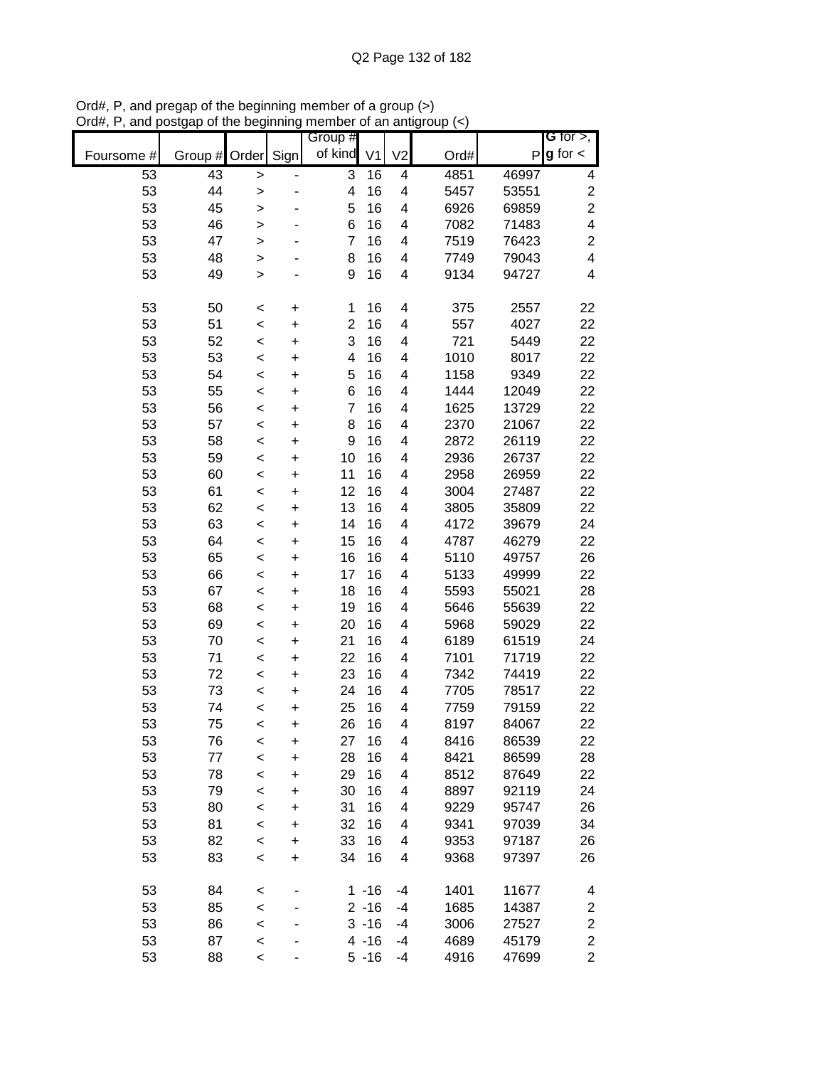|            |         |              |                          | Group #        |                |                         |      |       | <b>G</b> for $>$ ,      |
|------------|---------|--------------|--------------------------|----------------|----------------|-------------------------|------|-------|-------------------------|
| Foursome # | Group # | Order        | Sign                     | of kind        | V <sub>1</sub> | V <sub>2</sub>          | Ord# | P     | $g$ for $\lt$           |
| 53         | 43      | $\geq$       | $\overline{\phantom{0}}$ | 3              | 16             | 4                       | 4851 | 46997 | 4                       |
| 53         | 44      | >            |                          | 4              | 16             | 4                       | 5457 | 53551 | $\boldsymbol{2}$        |
| 53         | 45      | >            |                          | 5              | 16             | 4                       | 6926 | 69859 | $\overline{2}$          |
| 53         | 46      | $\geq$       |                          | 6              | 16             | 4                       | 7082 | 71483 | $\overline{\mathbf{4}}$ |
| 53         | 47      | $\mathbf{I}$ |                          | 7              | 16             | $\overline{\mathbf{4}}$ | 7519 | 76423 | $\boldsymbol{2}$        |
| 53         | 48      | $\geq$       |                          | 8              | 16             | $\overline{\mathbf{4}}$ | 7749 | 79043 | $\overline{\mathbf{4}}$ |
| 53         | 49      | $\geq$       |                          | 9              | 16             | $\overline{\mathbf{4}}$ | 9134 | 94727 | $\overline{\mathbf{4}}$ |
| 53         | 50      | $\prec$      | +                        | 1              | 16             | 4                       | 375  | 2557  | 22                      |
| 53         | 51      | $\,<$        | +                        | $\overline{c}$ | 16             | 4                       | 557  | 4027  | 22                      |
| 53         | 52      | $\,<$        | +                        | 3              | 16             | 4                       | 721  | 5449  | 22                      |
| 53         | 53      | $\,<$        | +                        | 4              | 16             | 4                       | 1010 | 8017  | 22                      |
| 53         | 54      | $\,<$        | $\ddot{}$                | 5              | 16             | 4                       | 1158 | 9349  | 22                      |
| 53         | 55      | $\,<$        | $\ddot{}$                | 6              | 16             | 4                       | 1444 | 12049 | 22                      |
| 53         | 56      |              | $\ddot{}$                | $\overline{7}$ | 16             | 4                       | 1625 | 13729 | 22                      |
| 53         | 57      | $\,<$        |                          | 8              | 16             | 4                       | 2370 | 21067 | 22                      |
| 53         | 58      | $\prec$      | $\ddot{}$                | 9              | 16             | 4                       | 2872 | 26119 | 22                      |
| 53         | 59      | $\prec$      | $\ddot{}$                | 10             | 16             | $\overline{\mathbf{4}}$ | 2936 | 26737 | 22                      |
| 53         | 60      | $\prec$      | $\ddot{}$                | 11             | 16             | 4                       | 2958 | 26959 | 22                      |
| 53         |         | $\prec$      | $\ddot{}$                | 12             | 16             | $\overline{\mathbf{4}}$ |      | 27487 | 22                      |
|            | 61      | $\prec$      | $\ddot{}$                | 13             |                |                         | 3004 |       |                         |
| 53         | 62      | $\prec$      | $\ddot{}$                |                | 16             | 4                       | 3805 | 35809 | 22                      |
| 53         | 63      | $\,<$        | $\ddot{}$                | 14             | 16             | $\overline{\mathbf{4}}$ | 4172 | 39679 | 24                      |
| 53         | 64      | $\prec$      | $\ddot{}$                | 15             | 16             | $\overline{\mathbf{4}}$ | 4787 | 46279 | 22                      |
| 53         | 65      | $\prec$      | $\ddot{}$                | 16             | 16             | 4                       | 5110 | 49757 | 26                      |
| 53         | 66      | $\prec$      | +                        | 17             | 16             | 4                       | 5133 | 49999 | 22                      |
| 53         | 67      | $\,<$        | $\ddot{}$                | 18             | 16             | 4                       | 5593 | 55021 | 28                      |
| 53         | 68      | $\,<$        | $\ddot{}$                | 19             | 16             | 4                       | 5646 | 55639 | 22                      |
| 53         | 69      | $\,<$        | $\ddot{}$                | 20             | 16             | 4                       | 5968 | 59029 | 22                      |
| 53         | 70      | $\,<$        | $\ddot{}$                | 21             | 16             | 4                       | 6189 | 61519 | 24                      |
| 53         | 71      | $\,<$        | $\ddot{}$                | 22             | 16             | 4                       | 7101 | 71719 | 22                      |
| 53         | 72      | $\,<$        | $\ddot{}$                | 23             | 16             | 4                       | 7342 | 74419 | 22                      |
| 53         | 73      | $\,<$        | $\ddot{}$                | 24             | 16             | 4                       | 7705 | 78517 | 22                      |
| 53         | 74      | $\prec$      | $\ddot{}$                | 25             | 16             | 4                       | 7759 | 79159 | 22                      |
| 53         | 75      | $\,<$        | $\ddot{}$                | 26             | 16             | 4                       | 8197 | 84067 | 22                      |
| 53         | 76      | $\,<$        | +                        | 27             | 16             | 4                       | 8416 | 86539 | 22                      |
| 53         | 77      | $\prec$      | $\ddot{}$                | 28             | 16             | 4                       | 8421 | 86599 | 28                      |
| 53         | 78      | $\,<$        | $\ddot{}$                | 29             | 16             | 4                       | 8512 | 87649 | 22                      |
| 53         | 79      | $\,<$        | $\ddot{}$                | 30             | 16             | 4                       | 8897 | 92119 | 24                      |
| 53         | 80      | $\prec$      | $\ddot{}$                | 31             | 16             | 4                       | 9229 | 95747 | 26                      |
| 53         | 81      | $\prec$      | $\ddot{}$                | 32             | 16             | 4                       | 9341 | 97039 | 34                      |
| 53         | 82      | $\prec$      | +                        | 33             | 16             | 4                       | 9353 | 97187 | 26                      |
| 53         | 83      | $\,<$        | +                        | 34             | 16             | 4                       | 9368 | 97397 | 26                      |
| 53         | 84      | $\,<$        |                          |                | $1 - 16$       | $-4$                    | 1401 | 11677 | 4                       |
| 53         | 85      | $\,<$        |                          |                | $2 - 16$       | -4                      | 1685 | 14387 | $\boldsymbol{2}$        |
| 53         | 86      | $\prec$      |                          |                | $3 - 16$       | $-4$                    | 3006 | 27527 | $\overline{\mathbf{c}}$ |
| 53         | 87      | $\prec$      |                          |                | $4 - 16$       | $-4$                    | 4689 | 45179 | $\boldsymbol{2}$        |
| 53         | 88      | $\,<$        |                          |                | $5 - 16$       | -4                      | 4916 | 47699 | $\overline{c}$          |

Ord#, P, and pregap of the beginning member of a group (>) Ord#, P, and postgap of the beginning member of an antigroup (<)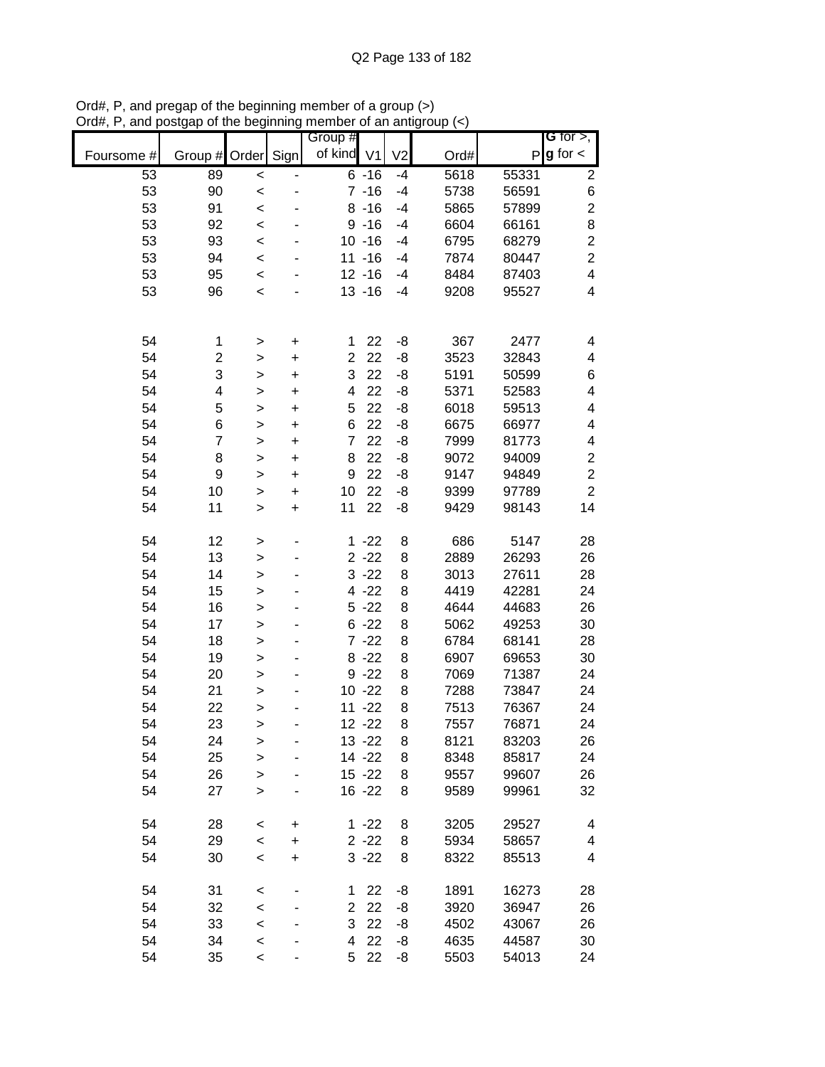|            |                |              |                              | Group #                 |           |                |      |       | G for $>$ ,             |
|------------|----------------|--------------|------------------------------|-------------------------|-----------|----------------|------|-------|-------------------------|
| Foursome # | Group #        | Order        | Sign                         | of kind V1              |           | V <sub>2</sub> | Ord# |       | $P g$ for $\lt$         |
| 53         | 89             | $\prec$      | $\qquad \qquad \blacksquare$ |                         | $6 - 16$  | $-4$           | 5618 | 55331 | $\boldsymbol{2}$        |
| 53         | 90             | $\prec$      |                              |                         | $7 - 16$  | $-4$           | 5738 | 56591 | $\,$ 6 $\,$             |
| 53         | 91             | $\prec$      |                              |                         | $8 - 16$  | $-4$           | 5865 | 57899 | $\overline{c}$          |
| 53         | 92             | $\prec$      |                              |                         | $9 - 16$  | $-4$           | 6604 | 66161 | 8                       |
| 53         | 93             | $\prec$      |                              |                         | $10 - 16$ | $-4$           | 6795 | 68279 | $\overline{c}$          |
| 53         | 94             | $\prec$      |                              |                         | $11 - 16$ | $-4$           | 7874 | 80447 | $\overline{2}$          |
| 53         | 95             | $\prec$      |                              |                         | $12 - 16$ | $-4$           | 8484 | 87403 | $\overline{\mathbf{4}}$ |
| 53         | 96             | $\prec$      |                              |                         | $13 - 16$ | $-4$           | 9208 | 95527 | $\overline{\mathbf{4}}$ |
|            |                |              |                              |                         |           |                |      |       |                         |
| 54         | 1              | >            | $\pmb{+}$                    | 1                       | 22        | -8             | 367  | 2477  | 4                       |
| 54         | 2              | $\geq$       | $\ddot{}$                    | $\overline{2}$          | 22        | -8             | 3523 | 32843 | 4                       |
| 54         | 3              | $\geq$       | $\ddot{}$                    | 3                       | 22        | -8             | 5191 | 50599 | 6                       |
| 54         | 4              | $\geq$       | $\ddot{}$                    | $\overline{\mathbf{4}}$ | 22        | -8             | 5371 | 52583 | 4                       |
| 54         | 5              | $\geq$       | $\ddot{}$                    | 5                       | 22        | -8             | 6018 | 59513 | 4                       |
| 54         | 6              | $\geq$       | $\ddot{}$                    | 6                       | 22        | -8             | 6675 | 66977 | 4                       |
| 54         | $\overline{7}$ | >            | $\ddot{}$                    | $\overline{7}$          | 22        | $-8$           | 7999 | 81773 | 4                       |
| 54         | 8              | $\mathbf{I}$ | $\ddot{}$                    | 8                       | 22        | -8             | 9072 | 94009 | $\overline{c}$          |
| 54         | 9              | $\mathbf{I}$ | $\ddot{}$                    | 9                       | 22        | -8             | 9147 | 94849 | $\overline{2}$          |
| 54         | 10             | $\geq$       | $\ddot{}$                    | 10                      | 22        | -8             | 9399 | 97789 | $\overline{2}$          |
| 54         | 11             | $\mathbf{I}$ | $\ddot{}$                    | 11                      | 22        | -8             | 9429 | 98143 | 14                      |
|            |                |              |                              |                         |           |                |      |       |                         |
| 54         | 12             | >            | ٠                            | $\mathbf 1$             | $-22$     | 8              | 686  | 5147  | 28                      |
| 54         | 13             | $\geq$       |                              |                         | $2 - 22$  | 8              | 2889 | 26293 | 26                      |
| 54         | 14             | $\mathbf{I}$ |                              |                         | $3 - 22$  | 8              | 3013 | 27611 | 28                      |
| 54         | 15             | >            |                              |                         | $4 - 22$  | 8              | 4419 | 42281 | 24                      |
| 54         | 16             | >            |                              |                         | $5 - 22$  | 8              | 4644 | 44683 | 26                      |
| 54         | 17             | $\geq$       | ۰                            |                         | $6 - 22$  | 8              | 5062 | 49253 | 30                      |
| 54         | 18             | $\geq$       |                              |                         | $7 - 22$  | 8              | 6784 | 68141 | 28                      |
| 54         | 19             | $\geq$       |                              |                         | $8 - 22$  | 8              | 6907 | 69653 | 30                      |
| 54         | 20             | $\geq$       |                              |                         | $9 - 22$  | 8              | 7069 | 71387 | 24                      |
| 54         | 21             | $\geq$       |                              |                         | $10 - 22$ | 8              | 7288 | 73847 | 24                      |
| 54         | 22             | $\geq$       |                              |                         | $11 - 22$ | 8              | 7513 | 76367 | 24                      |
| 54         | 23             | >            |                              |                         | $12 - 22$ | 8              | 7557 | 76871 | 24                      |
| 54         | 24             | >            |                              |                         | $13 - 22$ | 8              | 8121 | 83203 | 26                      |
| 54         | 25             | $\geq$       |                              |                         | 14 - 22   | 8              | 8348 | 85817 | 24                      |
| 54         | 26             | $\geq$       |                              |                         | $15 - 22$ | 8              | 9557 | 99607 | 26                      |
| 54         | 27             | $\mathbf{I}$ |                              |                         | $16 - 22$ | 8              | 9589 | 99961 | 32                      |
| 54         | 28             | $\,<$        | +                            |                         | $1 - 22$  | 8              | 3205 | 29527 | 4                       |
| 54         | 29             | $\prec$      | +                            |                         | $2 - 22$  | 8              | 5934 | 58657 | 4                       |
| 54         | 30             | $\,<$        | $\ddot{}$                    |                         | $3 - 22$  | 8              | 8322 | 85513 | 4                       |
|            |                |              |                              |                         |           |                |      |       |                         |
| 54         | 31             | <            |                              | 1                       | 22        | -8             | 1891 | 16273 | 28                      |
| 54         | 32             | $\prec$      | ۰                            | $\overline{c}$          | 22        | -8             | 3920 | 36947 | 26                      |
| 54         | 33             | $\prec$      |                              | 3                       | 22        | -8             | 4502 | 43067 | 26                      |
| 54         | 34             | $\prec$      |                              | 4                       | 22        | -8             | 4635 | 44587 | 30                      |
| 54         | 35             | $\,<$        |                              | 5                       | 22        | -8             | 5503 | 54013 | 24                      |

Ord#, P, and pregap of the beginning member of a group (>) Ord#, P, and postgap of the beginning member of an antigroup (<)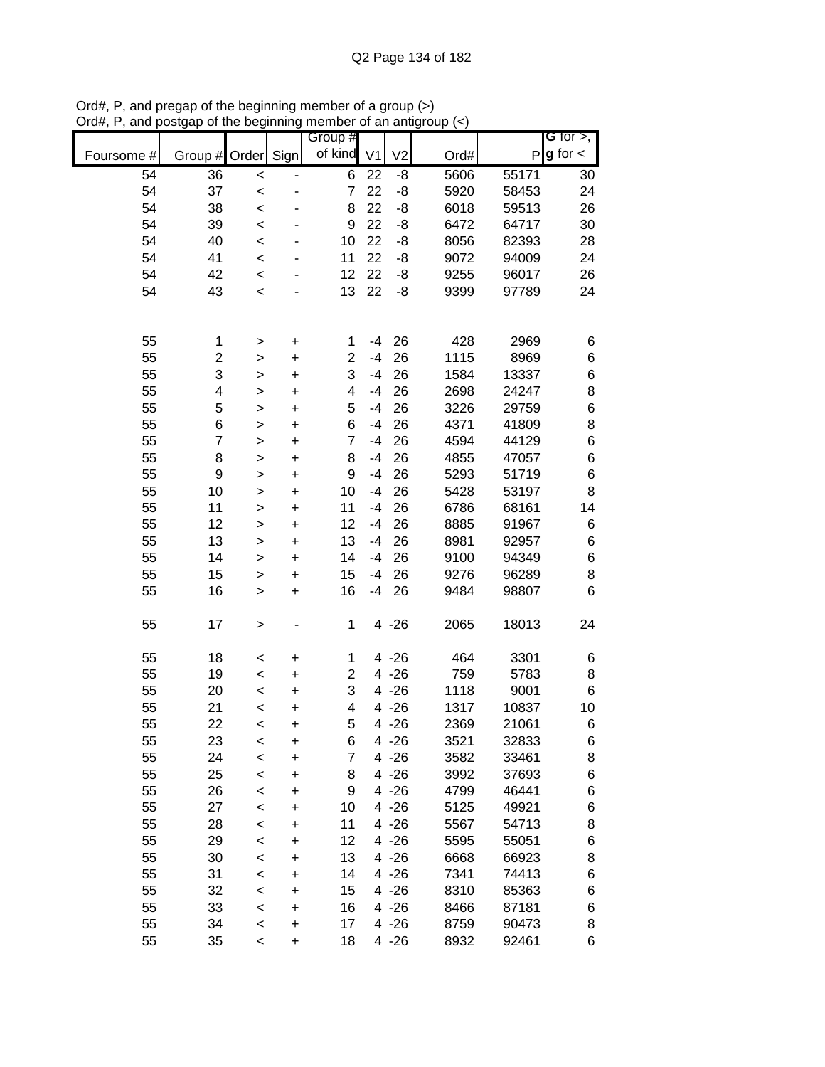|            |                |              |           | Group #                 |                |                |      |       | G for $>$ ,     |
|------------|----------------|--------------|-----------|-------------------------|----------------|----------------|------|-------|-----------------|
| Foursome # | Group #        | Order        | Sign      | of kind                 | V <sub>1</sub> | V <sub>2</sub> | Ord# |       | $P g$ for $\lt$ |
| 54         | 36             | $\,<$        |           | 6                       | 22             | -8             | 5606 | 55171 | 30              |
| 54         | 37             | $\prec$      | -         | $\overline{7}$          | 22             | $-8$           | 5920 | 58453 | 24              |
| 54         | 38             | $\prec$      |           | 8                       | 22             | -8             | 6018 | 59513 | 26              |
| 54         | 39             | $\prec$      |           | 9                       | 22             | -8             | 6472 | 64717 | 30              |
| 54         | 40             | $\prec$      |           | 10                      | 22             | -8             | 8056 | 82393 | 28              |
| 54         | 41             | $\prec$      |           | 11                      | 22             | -8             | 9072 | 94009 | 24              |
| 54         | 42             | $\prec$      |           | 12                      | 22             | -8             | 9255 | 96017 | 26              |
| 54         | 43             | $\prec$      |           | 13                      | 22             | -8             | 9399 | 97789 | 24              |
|            |                |              |           |                         |                |                |      |       |                 |
| 55         |                |              |           |                         | -4             | 26             | 428  | 2969  |                 |
| 55         | 1              | >            | $\pmb{+}$ | 1<br>$\overline{c}$     | $-4$           | 26             | 1115 | 8969  | 6               |
|            | $\overline{c}$ | $\geq$       | $\ddot{}$ |                         |                |                |      |       | $\,6$           |
| 55         | 3              | $\mathbf{I}$ | $\ddot{}$ | 3                       | $-4$           | 26             | 1584 | 13337 | $\,$ 6 $\,$     |
| 55         | 4              | $\mathbf{I}$ | $\ddot{}$ | $\overline{\mathbf{4}}$ | $-4$           | 26             | 2698 | 24247 | 8               |
| 55         | 5              | $\,$         | $\ddot{}$ | 5                       | $-4$           | 26             | 3226 | 29759 | 6               |
| 55         | 6              | >            | $\ddot{}$ | 6                       | $-4$           | 26             | 4371 | 41809 | 8               |
| 55         | $\overline{7}$ | $\,$         | $\ddot{}$ | $\overline{7}$          | $-4$           | 26             | 4594 | 44129 | 6               |
| 55         | 8              | $\mathbf{I}$ | $\ddot{}$ | 8                       | $-4$           | 26             | 4855 | 47057 | $\,$ 6 $\,$     |
| 55         | 9              | $\mathbf{I}$ | $\ddot{}$ | 9                       | $-4$           | 26             | 5293 | 51719 | $\,$ 6 $\,$     |
| 55         | 10             | $\geq$       | $\ddot{}$ | 10                      | $-4$           | 26             | 5428 | 53197 | 8               |
| 55         | 11             | $\geq$       | $\ddot{}$ | 11                      | $-4$           | 26             | 6786 | 68161 | 14              |
| 55         | 12             | $\,$         | $\ddot{}$ | 12                      | $-4$           | 26             | 8885 | 91967 | 6               |
| 55         | 13             | $\,$         | $\pmb{+}$ | 13                      | $-4$           | 26             | 8981 | 92957 | $\,$ 6 $\,$     |
| 55         | 14             | $\,$         | $\ddot{}$ | 14                      | $-4$           | 26             | 9100 | 94349 | 6               |
| 55         | 15             | $\, > \,$    | $\pmb{+}$ | 15                      | $-4$           | 26             | 9276 | 96289 | 8               |
| 55         | 16             | $\,$         | $\ddot{}$ | 16                      | $-4$           | 26             | 9484 | 98807 | 6               |
| 55         | 17             | $\, > \,$    |           | 1                       |                | $4 - 26$       | 2065 | 18013 | 24              |
| 55         | 18             | $\,<$        | $\pmb{+}$ | 1                       |                | $4 - 26$       | 464  | 3301  | 6               |
| 55         | 19             | $\prec$      | $\ddot{}$ | $\overline{c}$          |                | $4 - 26$       | 759  | 5783  | 8               |
| 55         | 20             | $\,<$        | $\ddot{}$ | 3                       |                | $4 - 26$       | 1118 | 9001  | 6               |
| 55         | 21             | $\prec$      | +         | $\overline{\mathbf{4}}$ |                | $4 - 26$       | 1317 | 10837 | 10              |
| 55         | 22             | $\prec$      | $\ddot{}$ | 5                       |                | $4 - 26$       | 2369 | 21061 | 6               |
| 55         | 23             | $\,<$        | +         | 6                       |                | $4 - 26$       | 3521 | 32833 | 6               |
| 55         | 24             | $\prec$      | $\ddot{}$ | $\overline{7}$          |                | $4 - 26$       | 3582 | 33461 | 8               |
| 55         | 25             | $\,<$        | +         | 8                       |                | $4 - 26$       | 3992 | 37693 | 6               |
| 55         | 26             |              |           | 9                       |                | $4 - 26$       | 4799 | 46441 | 6               |
| 55         | 27             | $\prec$      | +         | 10                      |                | $4 - 26$       |      | 49921 | 6               |
| 55         | 28             | $\,<$        | +         | 11                      |                |                | 5125 |       |                 |
|            |                | $\prec$      | +         |                         |                | $4 - 26$       | 5567 | 54713 | 8               |
| 55         | 29             | $\prec$      | +         | 12                      |                | $4 - 26$       | 5595 | 55051 | 6               |
| 55         | 30             | $\prec$      | +         | 13                      |                | $4 - 26$       | 6668 | 66923 | 8               |
| 55         | 31             | $\prec$      | +         | 14                      |                | $4 - 26$       | 7341 | 74413 | 6               |
| 55         | 32             | $\,<$        | +         | 15                      |                | $4 - 26$       | 8310 | 85363 | 6               |
| 55         | 33             | $\,<$        | +         | 16                      |                | $4 - 26$       | 8466 | 87181 | 6               |
| 55         | 34             | $\,<$        | $\pmb{+}$ | 17                      |                | $4 - 26$       | 8759 | 90473 | 8               |
| 55         | 35             | $\,<$        | $\ddot{}$ | 18                      |                | $4 - 26$       | 8932 | 92461 | 6               |

Ord#, P, and pregap of the beginning member of a group (>) Ord#, P, and postgap of the beginning member of an antigroup (<)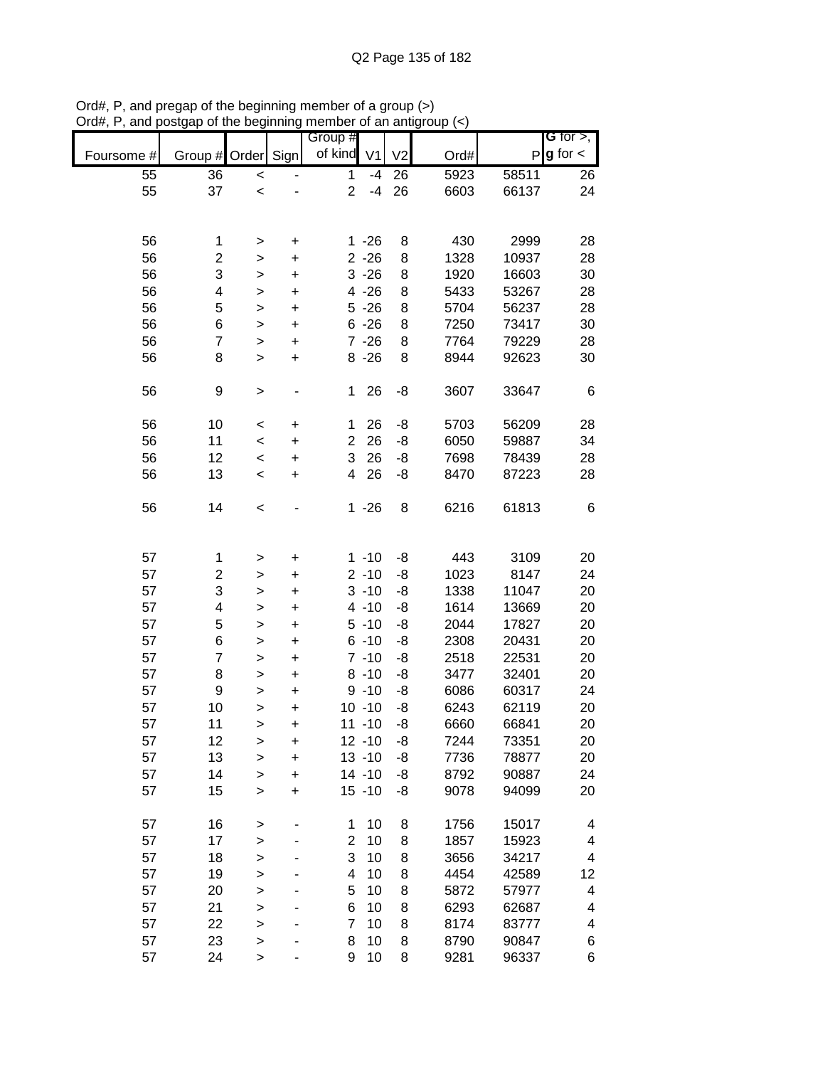|            |                         |                        |                | Group #        |                      |                |              |                | G for $>$ ,   |
|------------|-------------------------|------------------------|----------------|----------------|----------------------|----------------|--------------|----------------|---------------|
| Foursome # | Group #                 | Order                  | Sign           | of kind        | V <sub>1</sub>       | V <sub>2</sub> | Ord#         | $\mathsf{P}$   | $g$ for $\lt$ |
| 55         | 36                      | $\,<$                  |                | 1              | $-4$                 | 26             | 5923         | 58511          | 26            |
| 55         | 37                      | $\,<$                  |                | $\overline{2}$ | $-4$                 | 26             | 6603         | 66137          | 24            |
|            |                         |                        |                |                |                      |                |              |                |               |
|            |                         |                        |                |                |                      |                |              |                |               |
| 56         | 1                       | >                      | +              |                | $1 - 26$             | 8              | 430          | 2999           | 28            |
| 56         | $\overline{\mathbf{c}}$ | >                      | +              |                | $2 - 26$             | 8              | 1328         | 10937          | 28            |
| 56         | 3                       | >                      | +              |                | $3 - 26$             | 8              | 1920         | 16603          | 30            |
| 56         | 4                       | >                      | $\ddot{}$      |                | $4 - 26$             | 8              | 5433         | 53267          | 28            |
| 56<br>56   | 5                       | >                      | +              |                | $5 - 26$<br>$6 - 26$ | 8<br>8         | 5704         | 56237          | 28            |
| 56         | 6<br>7                  | >                      | +<br>$\ddot{}$ |                | $7 - 26$             | 8              | 7250<br>7764 | 73417<br>79229 | 30<br>28      |
| 56         | 8                       | $\geq$<br>$\mathbf{I}$ | $\ddot{}$      |                | $8 - 26$             | 8              | 8944         | 92623          | 30            |
|            |                         |                        |                |                |                      |                |              |                |               |
| 56         | 9                       | >                      |                | 1              | 26                   | -8             | 3607         | 33647          | 6             |
|            |                         |                        |                |                |                      |                |              |                |               |
| 56         | 10                      | $\,<$                  | $\ddot{}$      | 1              | 26                   | -8             | 5703         | 56209          | 28            |
| 56         | 11                      | $\,<$                  | $\ddot{}$      | $\overline{2}$ | 26                   | -8             | 6050         | 59887          | 34            |
| 56         | 12                      | $\,<$                  | $\ddot{}$      | 3              | 26                   | -8             | 7698         | 78439          | 28            |
| 56         | 13                      | $\,<$                  | $\ddot{}$      | 4              | 26                   | -8             | 8470         | 87223          | 28            |
| 56         | 14                      | $\,<$                  |                |                | $1 - 26$             | 8              | 6216         | 61813          | 6             |
|            |                         |                        |                |                |                      |                |              |                |               |
|            |                         |                        |                |                |                      |                |              |                |               |
| 57         | 1                       | >                      | +              |                | $1 - 10$             | -8             | 443          | 3109           | 20            |
| 57         | $\overline{c}$          | >                      | +              |                | $2 - 10$             | -8             | 1023         | 8147           | 24            |
| 57         | 3                       | >                      | +              |                | $3 - 10$             | -8             | 1338         | 11047          | 20            |
| 57         | 4                       | >                      | +              |                | $4 - 10$             | -8             | 1614         | 13669          | 20            |
| 57         | 5                       | >                      | $\ddot{}$      |                | $5 - 10$             | -8             | 2044         | 17827          | 20            |
| 57         | 6                       | >                      | +              |                | $6 - 10$             | -8             | 2308         | 20431          | 20            |
| 57         | $\overline{7}$          | $\geq$                 | +              |                | $7 - 10$             | -8             | 2518         | 22531          | 20            |
| 57         | 8                       | >                      | +              |                | $8 - 10$             | -8             | 3477         | 32401          | 20            |
| 57         | 9                       | >                      | $\ddot{}$      |                | $9 - 10$             | -8             | 6086         | 60317          | 24            |
| 57         | 10                      | >                      | +              |                | $10 - 10$            | -8             | 6243         | 62119          | 20            |
| 57         | 11                      | >                      | $\ddot{}$      |                | $11 - 10$            | -8             | 6660         | 66841          | 20            |
| 57         | 12                      | >                      | +              |                | $12 - 10$            | -8             | 7244         | 73351          | 20            |
| 57         | 13                      | $\geq$                 | $\ddot{}$      |                | $13 - 10$            | -8             | 7736         | 78877          | 20            |
| 57         | 14                      | $\mathbf{I}$           | $\ddot{}$      |                | $14 - 10$            | -8             | 8792         | 90887          | 24            |
| 57         | 15                      | $\geq$                 | $\ddot{}$      |                | $15 - 10$            | -8             | 9078         | 94099          | 20            |
|            |                         |                        |                |                |                      |                |              |                |               |
| 57         | 16                      | $\, > \,$              |                | 1              | 10                   | 8              | 1756         | 15017          | 4             |
| 57         | 17                      | >                      |                | $\overline{2}$ | 10                   | 8              | 1857         | 15923          | 4             |
| 57         | 18                      | >                      |                | 3              | 10                   | 8              | 3656         | 34217          | 4             |
| 57         | 19                      | $\geq$                 |                | 4              | 10                   | 8              | 4454         | 42589          | 12            |
| 57         | 20                      | $\geq$                 |                | 5              | 10                   | 8              | 5872         | 57977          | 4             |
| 57         | 21                      | $\geq$                 |                | 6              | 10                   | 8              | 6293         | 62687          | 4             |
| 57         | 22                      | $\geq$                 |                | 7              | 10                   | 8              | 8174         | 83777          | 4             |
| 57         | 23                      | $\geq$                 |                | 8              | 10                   | 8              | 8790         | 90847          | 6             |
| 57         | 24                      | $\,$                   |                | 9              | 10                   | 8              | 9281         | 96337          | 6             |

Ord#, P, and pregap of the beginning member of a group (>) Ord#, P, and postgap of the beginning member of an antigroup (<)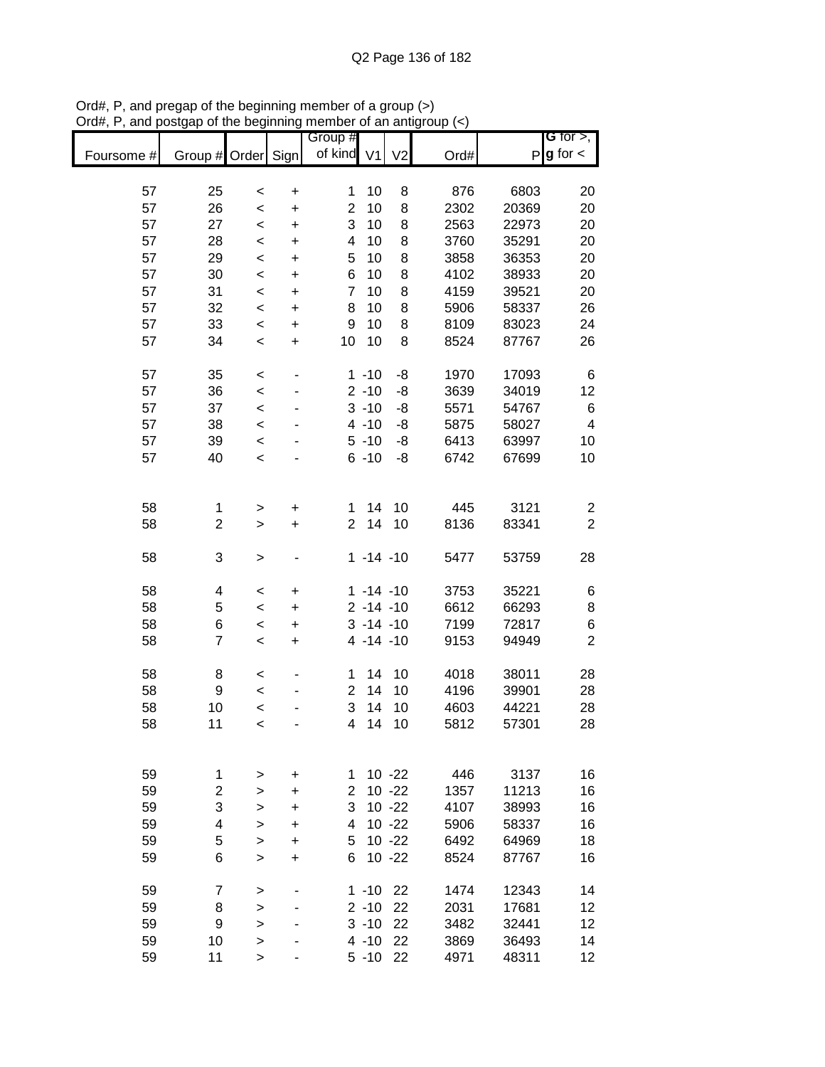|            |                |           |                | Group #        |               |                |      |       | G for $>$ ,             |
|------------|----------------|-----------|----------------|----------------|---------------|----------------|------|-------|-------------------------|
| Foursome # | Group # Order  |           | Sign           | of kind V1     |               | V <sub>2</sub> | Ord# | P     | $g$ for $\lt$           |
|            |                |           |                |                |               |                |      |       |                         |
| 57         | 25             | $\,<$     | $\pmb{+}$      | 1              | 10            | 8              | 876  | 6803  | 20                      |
| 57         | 26             | $\,<$     | $\ddot{}$      | $\overline{2}$ | 10            | 8              | 2302 | 20369 | 20                      |
| 57         | 27             | $\,<$     | $\ddot{}$      | 3              | 10            | 8              | 2563 | 22973 | 20                      |
| 57         | 28             | $\prec$   | $\ddot{}$      | 4              | 10            | 8              | 3760 | 35291 | 20                      |
| 57         | 29             | $\prec$   | $\ddot{}$      | 5              | 10            | 8              | 3858 | 36353 | 20                      |
| 57         | 30             | $\prec$   | $\ddot{}$      | 6              | 10            | 8              | 4102 | 38933 | 20                      |
| 57         | 31             | $\prec$   | $\ddot{}$      | $\overline{7}$ | 10            | 8              | 4159 | 39521 | 20                      |
| 57         | 32             | $\prec$   | $\ddot{}$      | 8              | 10            | 8              | 5906 | 58337 | 26                      |
| 57         | 33             | $\,<$     | +              | 9              | 10            | 8              | 8109 | 83023 | 24                      |
| 57         | 34             | $\,<$     | $\ddot{}$      | 10             | 10            | 8              | 8524 | 87767 | 26                      |
| 57         | 35             | $\,<$     | ٠              |                | $1 - 10$      | -8             | 1970 | 17093 | 6                       |
| 57         | 36             | $\prec$   |                |                | $2 - 10$      | -8             | 3639 | 34019 | 12                      |
| 57         | 37             | $\prec$   |                |                | $3 - 10$      | -8             | 5571 | 54767 | 6                       |
| 57         | 38             | $\,<$     |                |                | $4 - 10$      | -8             | 5875 | 58027 | $\overline{\mathbf{4}}$ |
| 57         | 39             | $\prec$   |                |                | $5 - 10$      | -8             | 6413 | 63997 | 10                      |
| 57         | 40             | $\,<$     |                |                | $6 - 10$      | -8             | 6742 | 67699 | 10                      |
|            |                |           |                |                |               |                |      |       |                         |
|            |                |           |                |                |               |                |      |       |                         |
| 58         | 1              | $\geq$    | $\pmb{+}$      | 1              | 14            | 10             | 445  | 3121  | $\overline{\mathbf{c}}$ |
| 58         | 2              | $\geq$    | $\ddot{}$      | $\overline{c}$ | 14            | 10             | 8136 | 83341 | $\overline{2}$          |
|            |                |           |                |                |               |                |      |       |                         |
| 58         | 3              | $\,$      |                |                | $1 - 14 - 10$ |                | 5477 | 53759 | 28                      |
| 58         | 4              | $\,<$     | +              |                | $1 - 14 - 10$ |                | 3753 | 35221 | 6                       |
| 58         | 5              | $\,<$     | +              |                | $2 - 14 - 10$ |                | 6612 | 66293 | 8                       |
| 58         | 6              | $\,<\,$   | +              |                | $3 - 14 - 10$ |                | 7199 | 72817 | $\,6$                   |
| 58         | $\overline{7}$ | $\,<$     | +              |                | $4 - 14 - 10$ |                | 9153 | 94949 | $\overline{2}$          |
|            |                |           |                |                |               |                |      |       |                         |
| 58         | 8              | $\,<$     |                | 1              | 14            | 10             | 4018 | 38011 | 28                      |
| 58         | 9              | $\,<$     |                | $\overline{c}$ | 14            | 10             | 4196 | 39901 | 28                      |
| 58         | 10             | $\prec$   |                | 3              | 14            | 10             | 4603 | 44221 | 28                      |
| 58         | 11             | $\prec$   |                | 4              | 14            | 10             | 5812 | 57301 | 28                      |
|            |                |           |                |                |               |                |      |       |                         |
| 59         | 1              |           |                | 1              |               | $10 - 22$      | 446  | 3137  | 16                      |
| 59         | $\overline{c}$ | >         | +<br>$\ddot{}$ | $\overline{2}$ |               | $10 - 22$      | 1357 | 11213 | 16                      |
| 59         | 3              | >         | $\ddot{}$      | 3              |               | $10 - 22$      | 4107 | 38993 | 16                      |
| 59         | 4              | $\, > \,$ | $\ddot{}$      | 4              |               | $10 - 22$      | 5906 | 58337 | 16                      |
| 59         | 5              | $\geq$    |                | 5              |               | $10 - 22$      | 6492 | 64969 | 18                      |
| 59         | 6              | $\geq$    | $\ddot{}$      | 6              |               | $10 - 22$      | 8524 |       |                         |
|            |                | $\geq$    | +              |                |               |                |      | 87767 | 16                      |
| 59         | 7              | >         |                |                | $1 - 10$      | 22             | 1474 | 12343 | 14                      |
| 59         | 8              | >         |                |                | $2 - 10$      | 22             | 2031 | 17681 | 12                      |
| 59         | 9              | >         |                |                | $3 - 10$      | 22             | 3482 | 32441 | 12                      |
| 59         | 10             | >         |                |                | $4 - 10$      | 22             | 3869 | 36493 | 14                      |
| 59         | 11             | $\, > \,$ |                |                | $5 - 10$      | 22             | 4971 | 48311 | 12                      |

Ord#, P, and pregap of the beginning member of a group (>) Ord#, P, and postgap of the beginning member of an antigroup (<)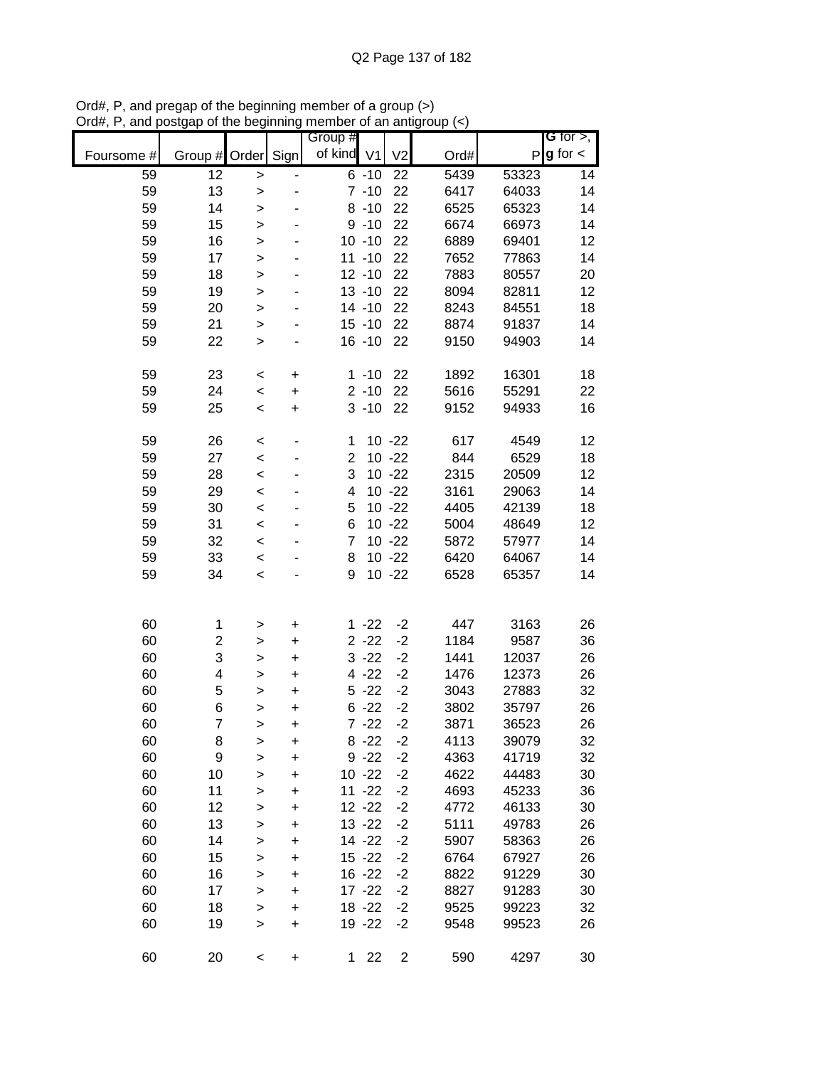|            |                |              |           | Group #        |           |                |      |       | G for $>$ ,   |
|------------|----------------|--------------|-----------|----------------|-----------|----------------|------|-------|---------------|
| Foursome # | Group # Order  |              | Sign      | of kind V1     |           | V <sub>2</sub> | Ord# | P     | $g$ for $\lt$ |
| 59         | 12             | >            |           |                | $6 - 10$  | 22             | 5439 | 53323 | 14            |
| 59         | 13             | $\geq$       |           |                | $7 - 10$  | 22             | 6417 | 64033 | 14            |
| 59         | 14             | $\mathbf{I}$ |           |                | $8 - 10$  | 22             | 6525 | 65323 | 14            |
| 59         | 15             | $\geq$       |           |                | $9 - 10$  | 22             | 6674 | 66973 | 14            |
| 59         | 16             | $\mathbf{I}$ |           |                | $10 - 10$ | 22             | 6889 | 69401 | 12            |
| 59         | 17             | $\mathbf{I}$ |           |                | $11 - 10$ | 22             | 7652 | 77863 | 14            |
| 59         | 18             | $\mathbf{I}$ |           |                | $12 - 10$ | 22             | 7883 | 80557 | 20            |
| 59         | 19             | >            |           |                | $13 - 10$ | 22             | 8094 | 82811 | 12            |
| 59         | 20             | $\mathbf{I}$ |           |                | $14 - 10$ | 22             | 8243 | 84551 | 18            |
| 59         | 21             | $\geq$       | ٠         |                | $15 - 10$ | 22             | 8874 | 91837 | 14            |
| 59         | 22             | $\geq$       |           |                | $16 - 10$ | 22             | 9150 | 94903 | 14            |
| 59         | 23             | $\,<$        | +         |                | $1 - 10$  | 22             | 1892 | 16301 | 18            |
| 59         | 24             | $\prec$      | $\ddot{}$ |                | $2 - 10$  | 22             | 5616 | 55291 | 22            |
| 59         | 25             | $\,<$        | $\ddot{}$ |                | $3 - 10$  | 22             | 9152 | 94933 | 16            |
| 59         | 26             | $\,<$        |           | 1              |           | $10 - 22$      | 617  | 4549  | 12            |
| 59         | 27             | $\prec$      |           | $\overline{2}$ |           | $10 - 22$      | 844  | 6529  | 18            |
| 59         | 28             | $\prec$      |           | 3              |           | $10 - 22$      | 2315 | 20509 | 12            |
| 59         | 29             | $\prec$      |           | 4              |           | $10 - 22$      | 3161 | 29063 | 14            |
| 59         | 30             | $\prec$      |           | 5              |           | $10 - 22$      | 4405 | 42139 | 18            |
| 59         | 31             | $\prec$      |           | 6              |           | $10 - 22$      | 5004 | 48649 | 12            |
| 59         | 32             | $\,<$        |           | $\overline{7}$ |           | $10 - 22$      | 5872 | 57977 | 14            |
| 59         | 33             | $\,<$        |           | 8              |           | $10 - 22$      | 6420 | 64067 | 14            |
| 59         | 34             | $\prec$      |           | 9              |           | $10 - 22$      | 6528 | 65357 | 14            |
|            |                |              |           |                |           |                |      |       |               |
| 60         | 1              | $\geq$       | +         |                | $1 - 22$  | $-2$           | 447  | 3163  | 26            |
| 60         | 2              | $\geq$       | $\ddot{}$ |                | $2 - 22$  | $-2$           | 1184 | 9587  | 36            |
| 60         | 3              | $\mathbf{I}$ | $\ddot{}$ |                | $3 - 22$  | $-2$           | 1441 | 12037 | 26            |
| 60         | 4              | $\mathbf{I}$ | $\ddot{}$ |                | $4 - 22$  | $-2$           | 1476 | 12373 | 26            |
| 60         | 5              | $\mathbf{I}$ | $\ddot{}$ |                | $5 - 22$  | $-2$           | 3043 | 27883 | 32            |
| 60         | 6              | >            | $\ddot{}$ |                | $6 - 22$  | $-2$           | 3802 | 35797 | 26            |
| 60         | $\overline{7}$ | $\geq$       | $\ddot{}$ |                | $7 - 22$  | $-2$           | 3871 | 36523 | 26            |
| 60         | 8              | >            | +         |                | $8 - 22$  | $-2$           | 4113 | 39079 | 32            |
| 60         | 9              | $\mathbf{I}$ | $\ddot{}$ |                | $9 - 22$  | $-2$           | 4363 | 41719 | 32            |
| 60         | 10             | $\mathbf{I}$ | $\ddot{}$ |                | $10 - 22$ | $-2$           | 4622 | 44483 | 30            |
| 60         | 11             | $\mathbf{I}$ | $\ddot{}$ |                | $11 - 22$ | $-2$           | 4693 | 45233 | 36            |
| 60         | 12             | $\mathbf{I}$ | +         |                | $12 - 22$ | $-2$           | 4772 | 46133 | 30            |
| 60         | 13             | $\mathbf{I}$ | +         |                | $13 - 22$ | $-2$           | 5111 | 49783 | 26            |
| 60         | 14             | $\mathbf{I}$ | +         |                | 14 - 22   | $-2$           | 5907 | 58363 | 26            |
| 60         | 15             | $\mathbf{I}$ | +         |                | $15 - 22$ | $-2$           | 6764 | 67927 | 26            |
| 60         | 16             | $\mathbf{I}$ | +         |                | $16 - 22$ | $-2$           | 8822 | 91229 | 30            |
| 60         | 17             | $\mathbf{I}$ | +         |                | $17 - 22$ | $-2$           | 8827 | 91283 | 30            |
| 60         | 18             | $\mathbf{I}$ | $\ddot{}$ |                | $18 - 22$ | $-2$           | 9525 | 99223 | 32            |
| 60         | 19             | $\mathbf{I}$ | $\ddot{}$ |                | 19 - 22   | $-2$           | 9548 | 99523 | 26            |
| 60         | 20             | $\,<$        | $\pmb{+}$ | 1              | 22        | $\overline{2}$ | 590  | 4297  | 30            |

Ord#, P, and pregap of the beginning member of a group (>) Ord#, P, and postgap of the beginning member of an antigroup (<)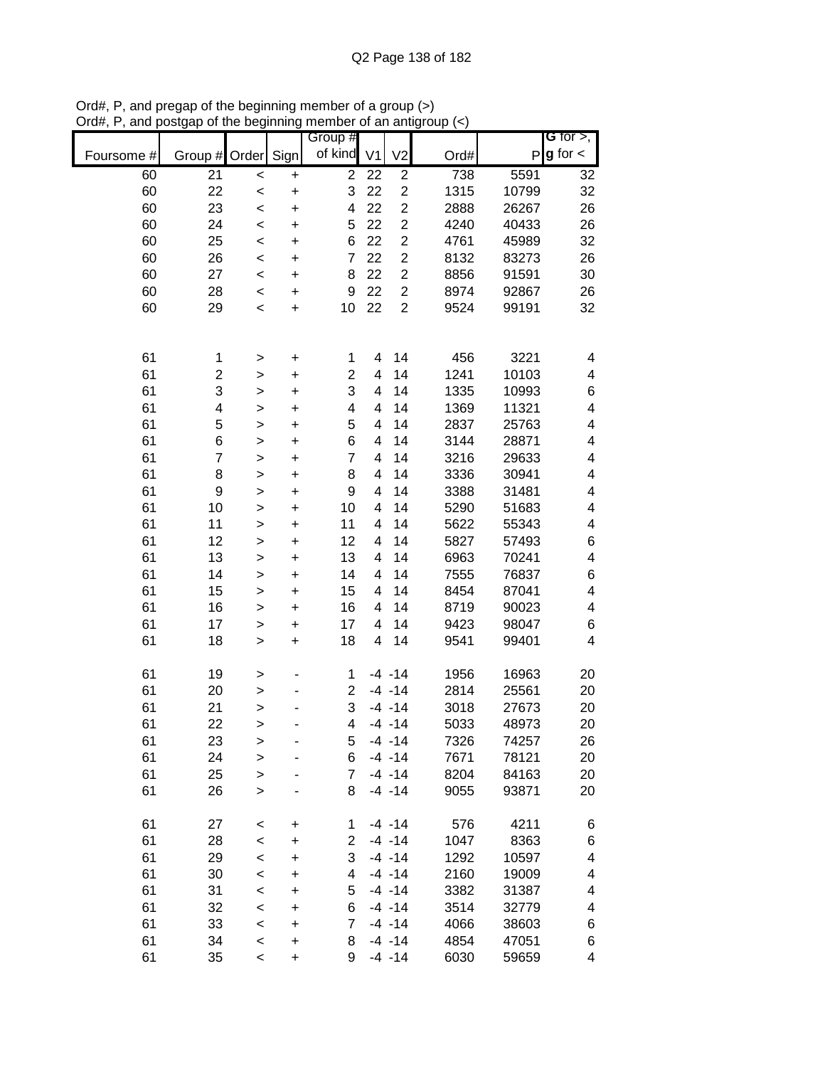|            |                         |              |           | Group #        |                |                         |      |       | G for $>$ ,             |
|------------|-------------------------|--------------|-----------|----------------|----------------|-------------------------|------|-------|-------------------------|
| Foursome # | Group #                 | Order        | Sign      | of kind        | V <sub>1</sub> | V <sub>2</sub>          | Ord# | P     | $g$ for $\lt$           |
| 60         | $\overline{21}$         | $\prec$      | $\ddot{}$ | $\overline{c}$ | 22             | $\overline{c}$          | 738  | 5591  | 32                      |
| 60         | 22                      | $\,<$        | $\ddot{}$ | 3              | 22             | $\overline{c}$          | 1315 | 10799 | 32                      |
| 60         | 23                      | $\prec$      | $\ddot{}$ | 4              | 22             | $\overline{c}$          | 2888 | 26267 | 26                      |
| 60         | 24                      | $\prec$      | $\ddot{}$ | 5              | 22             | $\overline{c}$          | 4240 | 40433 | 26                      |
| 60         | 25                      | $\prec$      | $\ddot{}$ | 6              | 22             | $\mathbf 2$             | 4761 | 45989 | 32                      |
| 60         | 26                      | $\prec$      | $\ddot{}$ | 7              | 22             | $\overline{\mathbf{c}}$ | 8132 | 83273 | 26                      |
| 60         | 27                      | $\prec$      | $\ddot{}$ | 8              | 22             | $\mathbf 2$             | 8856 | 91591 | 30                      |
| 60         | 28                      | $\prec$      | $\ddot{}$ | 9              | 22             | $\overline{c}$          | 8974 | 92867 | 26                      |
| 60         | 29                      | $\prec$      | $\ddot{}$ | 10             | 22             | $\overline{2}$          | 9524 | 99191 | 32                      |
|            |                         |              |           |                |                |                         |      |       |                         |
| 61         | 1                       | >            | $\ddot{}$ | 1              | 4              | 14                      | 456  | 3221  | 4                       |
| 61         | $\overline{\mathbf{c}}$ | $\geq$       | $\ddot{}$ | 2              | 4              | 14                      | 1241 | 10103 | 4                       |
| 61         | 3                       | $\mathbf{I}$ | $\ddot{}$ | 3              | 4              | 14                      | 1335 | 10993 | 6                       |
| 61         | 4                       | $\geq$       | $\ddot{}$ | 4              | 4              | 14                      | 1369 | 11321 | 4                       |
| 61         | 5                       | $\mathbf{I}$ | $\ddot{}$ | 5              | 4              | 14                      | 2837 | 25763 | 4                       |
| 61         | 6                       | >            | $\ddot{}$ | 6              | 4              | 14                      | 3144 | 28871 | 4                       |
| 61         | $\overline{7}$          | >            | $\ddot{}$ | $\overline{7}$ | 4              | 14                      | 3216 | 29633 | 4                       |
| 61         | 8                       | $\mathbf{I}$ | $\ddot{}$ | 8              | 4              | 14                      | 3336 | 30941 | 4                       |
| 61         | 9                       | $\geq$       | $\ddot{}$ | 9              | 4              | 14                      | 3388 | 31481 | 4                       |
| 61         | 10                      | $\geq$       | $\ddot{}$ | 10             | 4              | 14                      | 5290 | 51683 | 4                       |
| 61         | 11                      | $\geq$       | $\ddot{}$ | 11             | 4              | 14                      | 5622 | 55343 | 4                       |
| 61         | 12                      | $\geq$       | $\ddot{}$ | 12             | 4              | 14                      | 5827 | 57493 | 6                       |
| 61         | 13                      | $\geq$       | $\ddot{}$ | 13             | 4              | 14                      | 6963 | 70241 | $\overline{\mathbf{4}}$ |
| 61         | 14                      | >            | $\ddot{}$ | 14             | 4              | 14                      | 7555 | 76837 | 6                       |
| 61         | 15                      | >            | $\ddot{}$ | 15             | 4              | 14                      | 8454 | 87041 | $\overline{\mathbf{4}}$ |
| 61         | 16                      | >            | $\ddot{}$ | 16             | 4              | 14                      | 8719 | 90023 | 4                       |
| 61         | 17                      | $\geq$       | $\ddot{}$ | 17             | 4              | 14                      | 9423 | 98047 | 6                       |
| 61         | 18                      | >            | $\ddot{}$ | 18             | 4              | 14                      | 9541 | 99401 | 4                       |
| 61         | 19                      | >            |           | 1              |                | $-4 - 14$               | 1956 | 16963 | 20                      |
| 61         | 20                      | $\geq$       |           | 2              |                | $-4 - 14$               | 2814 | 25561 | 20                      |
| 61         | 21                      | $\geq$       |           | 3              |                | $-4 - 14$               | 3018 | 27673 | 20                      |
| 61         | 22                      | >            |           | 4              |                | $-4 - 14$               | 5033 | 48973 | 20                      |
| 61         | 23                      | >            |           | 5              |                | $-4 - 14$               | 7326 | 74257 | 26                      |
| 61         | 24                      | $\mathbf{I}$ |           | 6              |                | $-4 - 14$               | 7671 | 78121 | 20                      |
| 61         | 25                      | $\geq$       |           | $\overline{7}$ |                | $-4 - 14$               | 8204 | 84163 | 20                      |
| 61         | 26                      | >            |           | 8              |                | $-4 - 14$               | 9055 | 93871 | 20                      |
| 61         | 27                      | $\,<\,$      | +         | 1              |                | $-4 - 14$               | 576  | 4211  | 6                       |
| 61         | 28                      | $\,<$        | +         | $\overline{c}$ |                | $-4 - 14$               | 1047 | 8363  | 6                       |
| 61         | 29                      | $\prec$      | +         | 3              |                | $-4 - 14$               | 1292 | 10597 | 4                       |
| 61         | 30                      | $\,<$        | +         | 4              |                | $-4 - 14$               | 2160 | 19009 | 4                       |
| 61         | 31                      | $\,<$        | $\ddot{}$ | 5              |                | $-4 - 14$               | 3382 | 31387 | 4                       |
| 61         | 32                      | $\,<$        | $\ddot{}$ | 6              |                | $-4 - 14$               | 3514 | 32779 | 4                       |
| 61         | 33                      | $\prec$      | $\ddot{}$ | 7              |                | $-4 - 14$               | 4066 | 38603 | 6                       |
| 61         | 34                      | $\prec$      | $\ddot{}$ | 8              |                | $-4 - 14$               | 4854 | 47051 | 6                       |
| 61         | 35                      | $\,<$        | $\ddot{}$ | 9              |                | $-4 - 14$               | 6030 | 59659 | 4                       |

Ord#, P, and pregap of the beginning member of a group (>) Ord#, P, and postgap of the beginning member of an antigroup (<)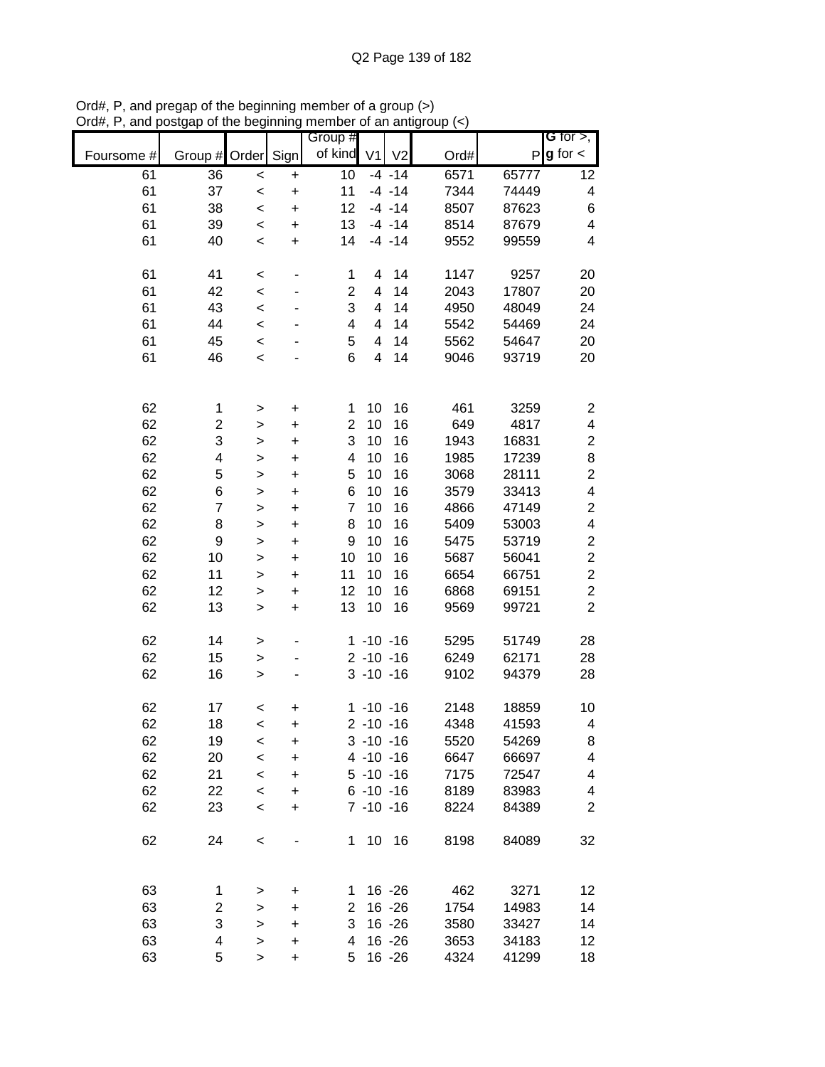|            |                         |              |                          | Group #        |                |                |      |       | G for $>$ ,              |
|------------|-------------------------|--------------|--------------------------|----------------|----------------|----------------|------|-------|--------------------------|
| Foursome # | Group #                 | Order        | Sign                     | of kind        | V <sub>1</sub> | V <sub>2</sub> | Ord# | P     | $g$ for $\lt$            |
| 61         | 36                      | $\prec$      | $\ddot{}$                | 10             |                | $-4 - 14$      | 6571 | 65777 | 12                       |
| 61         | 37                      | $\prec$      | $\ddot{}$                | 11             |                | $-4 - 14$      | 7344 | 74449 | 4                        |
| 61         | 38                      | $\prec$      | $\ddot{}$                | 12             |                | $-4 - 14$      | 8507 | 87623 | $\,6$                    |
| 61         | 39                      | $\prec$      | $\ddot{}$                | 13             |                | $-4 - 14$      | 8514 | 87679 | $\overline{\mathcal{A}}$ |
| 61         | 40                      | $\,<$        | $\ddot{}$                | 14             |                | $-4 - 14$      | 9552 | 99559 | $\overline{\mathbf{4}}$  |
|            |                         |              |                          |                |                |                |      |       |                          |
| 61         | 41                      | $\,<$        | -                        | 1              | 4              | 14             | 1147 | 9257  | 20                       |
| 61         | 42                      | $\prec$      |                          | $\overline{c}$ | 4              | 14             | 2043 | 17807 | 20                       |
| 61         | 43                      | $\prec$      | ٠                        | 3              | 4              | 14             | 4950 | 48049 | 24                       |
| 61         | 44                      | $\prec$      |                          | 4              | 4              | 14             | 5542 | 54469 | 24                       |
| 61         | 45                      | $\prec$      |                          | 5              | 4              | 14             | 5562 | 54647 | 20                       |
| 61         | 46                      | $\prec$      |                          | 6              | 4              | 14             | 9046 | 93719 | 20                       |
|            |                         |              |                          |                |                |                |      |       |                          |
| 62         | 1                       | $\, > \,$    | $\ddot{}$                | 1              | 10             | 16             | 461  | 3259  | $\overline{\mathbf{c}}$  |
| 62         | $\overline{\mathbf{c}}$ | $\,$         | $\ddot{}$                | 2              | 10             | 16             | 649  | 4817  | 4                        |
| 62         | 3                       | $\geq$       | $\ddot{}$                | 3              | 10             | 16             | 1943 | 16831 | $\boldsymbol{2}$         |
| 62         | 4                       | $\geq$       | $\ddot{}$                | 4              | 10             | 16             | 1985 | 17239 | 8                        |
| 62         | 5                       | $\mathbf{I}$ | $\ddot{}$                | 5              | 10             | 16             | 3068 | 28111 | $\overline{c}$           |
| 62         | 6                       | $\mathbf{I}$ | $\ddot{}$                | 6              | 10             | 16             | 3579 | 33413 | 4                        |
| 62         | $\overline{7}$          | $\mathbf{I}$ | $\ddot{}$                | 7              | 10             | 16             | 4866 | 47149 | $\overline{\mathbf{c}}$  |
| 62         | 8                       | $\mathbf{I}$ | $\ddot{}$                | 8              | 10             | 16             | 5409 | 53003 | 4                        |
| 62         | $\boldsymbol{9}$        | $\geq$       | $\ddot{}$                | 9              | 10             | 16             | 5475 | 53719 | $\boldsymbol{2}$         |
| 62         | 10                      | $\,$         | $\ddot{}$                | 10             | 10             | 16             | 5687 | 56041 | $\overline{c}$           |
| 62         | 11                      | $\,$         | $\ddot{}$                | 11             | 10             | 16             | 6654 | 66751 | $\overline{c}$           |
| 62         | 12                      | $\geq$       | $\ddot{}$                | 12             | 10             | 16             | 6868 | 69151 | $\overline{c}$           |
| 62         | 13                      | $\mathbf{I}$ | $\ddot{}$                | 13             | 10             | 16             | 9569 | 99721 | $\overline{2}$           |
|            |                         |              |                          |                |                |                |      |       |                          |
| 62         | 14                      | $\,$         |                          |                | $1 - 10 - 16$  |                | 5295 | 51749 | 28                       |
| 62         | 15                      | $\geq$       | $\overline{\phantom{0}}$ |                | $2 - 10 - 16$  |                | 6249 | 62171 | 28                       |
| 62         | 16                      | $\geq$       |                          |                | $3 - 10 - 16$  |                | 9102 | 94379 | 28                       |
| 62         | 17                      | $\,<$        | +                        |                | $1 - 10 - 16$  |                | 2148 | 18859 | 10                       |
| 62         | 18                      | $\,<$        | $\ddot{}$                |                | $2 - 10 - 16$  |                | 4348 | 41593 | 4                        |
| 62         | 19                      | $\,<$        | +                        |                | $3 - 10 - 16$  |                | 5520 | 54269 | 8                        |
| 62         | 20                      | $\prec$      | $\ddot{}$                |                | $4 - 10 - 16$  |                | 6647 | 66697 | 4                        |
| 62         | 21                      | $\prec$      | $\ddot{}$                |                | $5 - 10 - 16$  |                | 7175 | 72547 | 4                        |
| 62         | 22                      | $\prec$      | $\ddot{}$                |                | $6 - 10 - 16$  |                | 8189 | 83983 | 4                        |
| 62         | 23                      | $\,<$        | $\ddot{}$                |                | $7 - 10 - 16$  |                | 8224 | 84389 | $\overline{2}$           |
|            |                         |              |                          |                |                |                |      |       |                          |
| 62         | 24                      | $\,<$        |                          | $\mathbf 1$    |                | 10 16          | 8198 | 84089 | 32                       |
|            |                         |              |                          |                |                |                |      |       |                          |
| 63         | 1                       | >            | $\pmb{+}$                | 1.             |                | $16 - 26$      | 462  | 3271  | 12                       |
| 63         | $\overline{\mathbf{c}}$ | >            | $\ddot{}$                | 2              |                | $16 - 26$      | 1754 | 14983 | 14                       |
| 63         | 3                       | $\geq$       | $\ddot{}$                | 3              |                | $16 - 26$      | 3580 | 33427 | 14                       |
| 63         | 4                       | $\mathbf{I}$ | $\ddot{}$                | 4              |                | $16 - 26$      | 3653 | 34183 | 12                       |
| 63         | 5                       | $\,$         | $\ddot{}$                | 5              |                | $16 - 26$      | 4324 | 41299 | 18                       |

Ord#, P, and pregap of the beginning member of a group (>) Ord#, P, and postgap of the beginning member of an antigroup (<)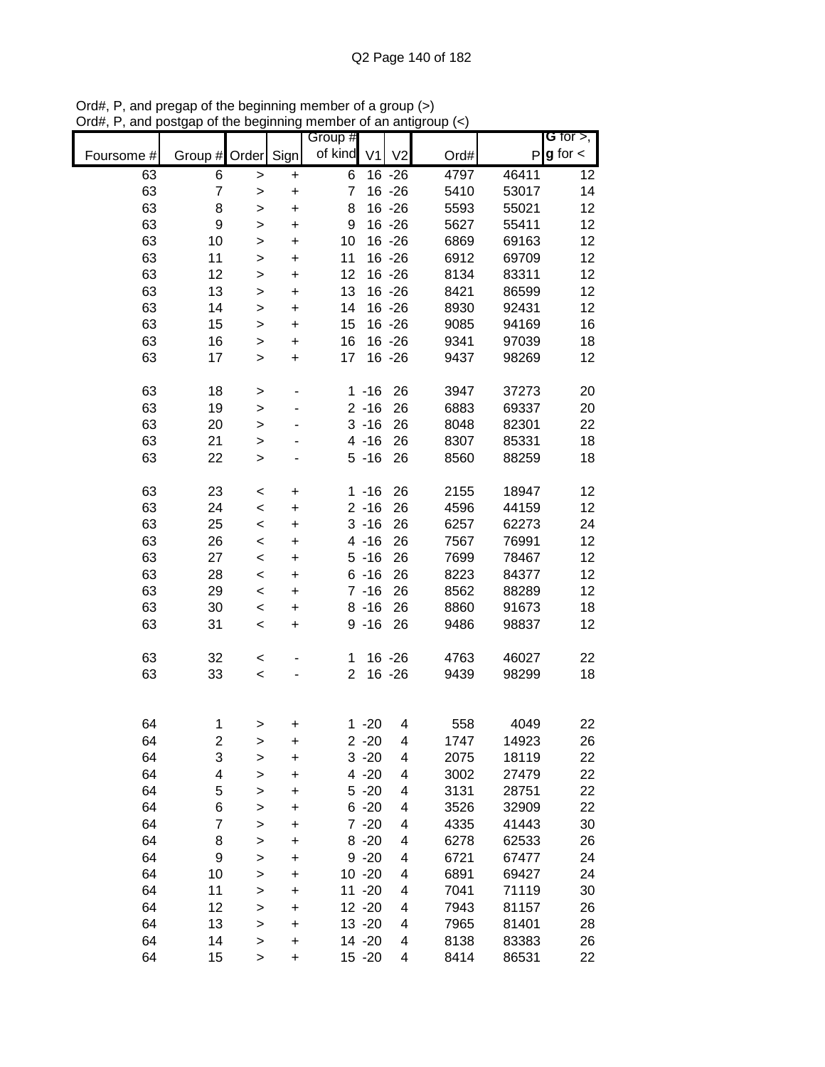|            |                  |              |           | Group #        |                |                |      |       | G for $>$ ,   |
|------------|------------------|--------------|-----------|----------------|----------------|----------------|------|-------|---------------|
| Foursome # | Group #          | Order        | Sign      | of kind        | V <sub>1</sub> | V <sub>2</sub> | Ord# | P     | $g$ for $\lt$ |
| 63         | 6                | >            | +         | 6              |                | $16 - 26$      | 4797 | 46411 | 12            |
| 63         | $\overline{7}$   | >            | $\ddot{}$ | 7              |                | $16 - 26$      | 5410 | 53017 | 14            |
| 63         | 8                | >            | $\ddot{}$ | 8              |                | $16 - 26$      | 5593 | 55021 | 12            |
| 63         | $\boldsymbol{9}$ | >            | $\ddot{}$ | 9              |                | $16 - 26$      | 5627 | 55411 | 12            |
| 63         | 10               | $\mathbf{I}$ | $\ddot{}$ | 10             |                | $16 - 26$      | 6869 | 69163 | 12            |
| 63         | 11               | >            | $\ddot{}$ | 11             |                | 16 - 26        | 6912 | 69709 | 12            |
| 63         | 12               | >            | $\ddot{}$ | 12             |                | $16 - 26$      | 8134 | 83311 | 12            |
| 63         | 13               | >            | $\ddot{}$ | 13             |                | $16 - 26$      | 8421 | 86599 | 12            |
| 63         | 14               | $\geq$       | $\ddot{}$ | 14             |                | $16 - 26$      | 8930 | 92431 | 12            |
| 63         | 15               | $\mathbf{I}$ | +         | 15             |                | $16 - 26$      | 9085 | 94169 | 16            |
| 63         | 16               | $\geq$       | $\ddot{}$ | 16             |                | $16 - 26$      | 9341 | 97039 | 18            |
| 63         | 17               | $\mathbf{I}$ | $\ddot{}$ | 17             |                | $16 - 26$      | 9437 | 98269 | 12            |
| 63         | 18               | >            | ٠         |                | $1 - 16$       | 26             | 3947 | 37273 | 20            |
| 63         | 19               | $\mathbf{I}$ |           |                | $2 - 16$       | 26             | 6883 | 69337 | 20            |
| 63         | 20               | >            |           |                | $3 - 16$       | 26             | 8048 | 82301 | 22            |
| 63         | 21               | $\mathbf{I}$ |           |                | $4 - 16$       | 26             | 8307 | 85331 | 18            |
| 63         | 22               | $\mathbf{I}$ |           |                | $5 - 16$       | 26             | 8560 | 88259 | 18            |
| 63         | 23               | $\,<$        | $\ddot{}$ |                | $1 - 16$       | 26             | 2155 | 18947 | 12            |
| 63         | 24               | $\,<$        | $\ddot{}$ |                | $2 - 16$       | 26             | 4596 | 44159 | 12            |
| 63         | 25               | $\,<$        | $\ddot{}$ |                | $3 - 16$       | 26             | 6257 | 62273 | 24            |
| 63         | 26               | $\,<$        | +         |                | $4 - 16$       | 26             | 7567 | 76991 | 12            |
| 63         | 27               | $\,<$        | +         |                | $5 - 16$       | 26             | 7699 | 78467 | 12            |
| 63         | 28               | $\,<$        | +         |                | $6 - 16$       | 26             | 8223 | 84377 | 12            |
| 63         | 29               | $\,<$        | +         |                | $7 - 16$       | 26             | 8562 | 88289 | 12            |
| 63         | 30               | $\,<$        | +         |                | $8 - 16$       | 26             | 8860 | 91673 | 18            |
| 63         | 31               | $\,<$        | $\ddot{}$ |                | $9 - 16$       | 26             | 9486 | 98837 | 12            |
| 63         | 32               | $\,<$        |           | 1              |                | 16 - 26        | 4763 | 46027 | 22            |
| 63         | 33               | $\prec$      |           | $\overline{2}$ |                | $16 - 26$      | 9439 | 98299 | 18            |
|            |                  |              |           |                |                |                |      |       |               |
| 64         | 1                |              |           |                | $1 - 20$       | 4              | 558  | 4049  | 22            |
| 64         | 2                | >            | +<br>+    |                | $2 - 20$       | 4              | 1747 | 14923 | 26            |
| 64         | 3                | ><br>>       | $\ddot{}$ |                | $3 - 20$       | 4              | 2075 | 18119 | 22            |
| 64         | 4                | >            | $\ddot{}$ |                | $4 - 20$       | 4              | 3002 | 27479 | 22            |
| 64         | 5                | $\mathbf{I}$ | +         |                | $5 - 20$       | 4              | 3131 | 28751 | 22            |
| 64         | 6                | $\geq$       | +         |                | $6 - 20$       | 4              | 3526 | 32909 | 22            |
| 64         | 7                | >            | +         |                | $7 - 20$       | 4              | 4335 | 41443 | 30            |
| 64         | 8                | >            | +         |                | $8 - 20$       | 4              | 6278 | 62533 | 26            |
| 64         | 9                | >            | +         |                | $9 - 20$       | 4              | 6721 | 67477 | 24            |
| 64         | 10               | >            | +         |                | $10 - 20$      | 4              | 6891 | 69427 | 24            |
| 64         | 11               | $\geq$       | +         |                | $11 - 20$      | 4              | 7041 | 71119 | 30            |
| 64         | 12               | $\mathbf{I}$ | +         |                | $12 - 20$      | 4              | 7943 | 81157 | 26            |
| 64         | 13               | $\mathbf{I}$ | +         |                | $13 - 20$      | 4              | 7965 | 81401 | 28            |
| 64         | 14               | $\geq$       | +         |                | 14 -20         | 4              | 8138 | 83383 | 26            |
| 64         | 15               | $\,$         | +         |                | $15 - 20$      | 4              | 8414 | 86531 | 22            |

Ord#, P, and pregap of the beginning member of a group (>) Ord#, P, and postgap of the beginning member of an antigroup (<)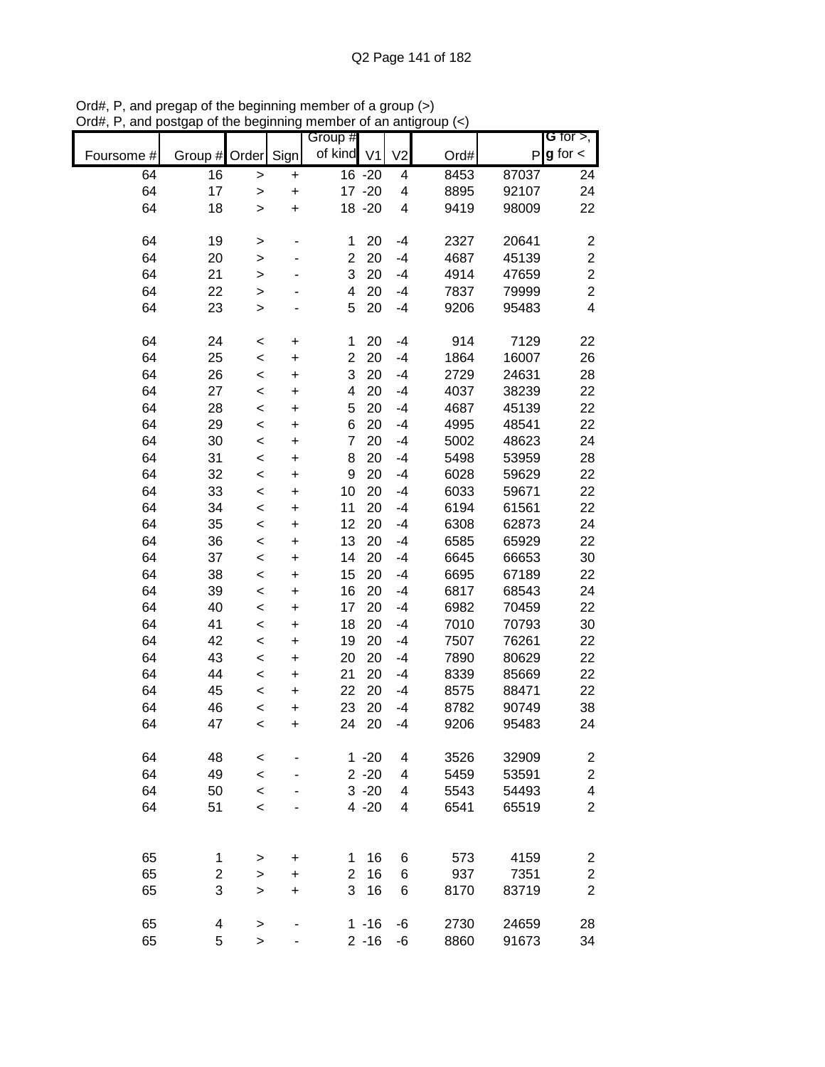|            |                |                    |                          | Group #                 |           |                          |      |       | G for $>$ ,             |
|------------|----------------|--------------------|--------------------------|-------------------------|-----------|--------------------------|------|-------|-------------------------|
| Foursome # | Group #        | Order              | Sign                     | of kind V1              |           | V <sub>2</sub>           | Ord# | P     | $g$ for $\lt$           |
| 64         | 16             | $\geq$             | $\ddot{}$                |                         | 16 -20    | 4                        | 8453 | 87037 | 24                      |
| 64         | 17             | $\geq$             | $\ddot{}$                |                         | $17 - 20$ | 4                        | 8895 | 92107 | 24                      |
| 64         | 18             | $\geq$             | $\ddot{}$                |                         | 18 - 20   | $\overline{\mathcal{A}}$ | 9419 | 98009 | 22                      |
|            |                |                    |                          |                         |           |                          |      |       |                         |
| 64         | 19             | $\geq$             | -                        | 1                       | 20        | $-4$                     | 2327 | 20641 | $\boldsymbol{2}$        |
| 64         | 20             | $\geq$             |                          | $\overline{c}$          | 20        | $-4$                     | 4687 | 45139 | $\overline{c}$          |
| 64         | 21             | >                  |                          | 3                       | 20        | $-4$                     | 4914 | 47659 | $\overline{c}$          |
| 64         | 22             | $\geq$             |                          | 4                       | 20        | $-4$                     | 7837 | 79999 | $\overline{2}$          |
| 64         | 23             | $\geq$             |                          | 5                       | 20        | $-4$                     | 9206 | 95483 | 4                       |
| 64         | 24             |                    |                          |                         | 20        |                          | 914  | 7129  | 22                      |
| 64         | 25             | $\prec$<br>$\prec$ | $\ddot{}$<br>$\ddot{}$   | 1<br>$\overline{2}$     | 20        | $-4$<br>$-4$             | 1864 | 16007 | 26                      |
| 64         | 26             | $\prec$            | $\ddot{}$                | 3                       | 20        | $-4$                     | 2729 | 24631 | 28                      |
| 64         | 27             | $\prec$            | $\ddot{}$                | $\overline{\mathbf{4}}$ | 20        | $-4$                     | 4037 | 38239 | 22                      |
| 64         | 28             | $\prec$            | $\ddot{}$                | 5                       | 20        | $-4$                     | 4687 | 45139 | 22                      |
| 64         | 29             | $\prec$            | $\ddot{}$                | 6                       | 20        | $-4$                     | 4995 | 48541 | 22                      |
| 64         | 30             | $\prec$            | $\ddot{}$                | $\overline{7}$          | 20        | $-4$                     | 5002 | 48623 | 24                      |
| 64         | 31             | $\prec$            | $\ddot{}$                | 8                       | 20        | $-4$                     | 5498 | 53959 | 28                      |
| 64         | 32             | $\prec$            | $\ddot{}$                | 9                       | 20        | $-4$                     | 6028 | 59629 | 22                      |
| 64         | 33             | $\prec$            | $\ddot{}$                | 10                      | 20        | $-4$                     | 6033 | 59671 | 22                      |
| 64         | 34             | $\prec$            | $\ddot{}$                | 11                      | 20        | $-4$                     | 6194 | 61561 | 22                      |
| 64         | 35             | $\prec$            | +                        | 12                      | 20        | $-4$                     | 6308 | 62873 | 24                      |
| 64         | 36             | $\prec$            | $\ddot{}$                | 13                      | 20        | $-4$                     | 6585 | 65929 | 22                      |
| 64         | 37             | $\,<$              | +                        | 14                      | 20        | $-4$                     | 6645 | 66653 | 30                      |
| 64         | 38             | $\,<$              | $\ddot{}$                | 15                      | 20        | $-4$                     | 6695 | 67189 | 22                      |
| 64         | 39             | $\,<$              | +                        | 16                      | 20        | $-4$                     | 6817 | 68543 | 24                      |
| 64         | 40             | $\,<$              | $\ddot{}$                | 17                      | 20        | $-4$                     | 6982 | 70459 | 22                      |
| 64         | 41             | $\,<$              | $\ddot{}$                | 18                      | 20        | $-4$                     | 7010 | 70793 | 30                      |
| 64         | 42             | $\prec$            | $\ddot{}$                | 19                      | 20        | $-4$                     | 7507 | 76261 | 22                      |
| 64         | 43             | $\prec$            | $\ddot{}$                | 20                      | 20        | $-4$                     | 7890 | 80629 | 22                      |
| 64         | 44             | $\prec$            | $\ddot{}$                | 21                      | 20        | $-4$                     | 8339 | 85669 | 22                      |
| 64         | 45             | $\prec$            | $\ddot{}$                | 22                      | 20        | $-4$                     | 8575 | 88471 | 22                      |
| 64         | 46             | $\prec$            | $\ddot{}$                | 23                      | 20        | $-4$                     | 8782 | 90749 | 38                      |
| 64         | 47             | $\,<$              | $\ddot{}$                | 24                      | 20        | $-4$                     | 9206 | 95483 | 24                      |
|            |                |                    |                          |                         |           |                          |      |       |                         |
| 64         | 48             | $\,<$              |                          |                         | $1 - 20$  | 4                        | 3526 | 32909 | $\overline{\mathbf{c}}$ |
| 64         | 49             | $\prec$            |                          |                         | $2 - 20$  | $\overline{\mathbf{4}}$  | 5459 | 53591 | $\overline{c}$          |
| 64         | 50             | $\,<$              |                          |                         | $3 - 20$  | 4                        | 5543 | 54493 | 4                       |
| 64         | 51             | $\,<$              |                          |                         | $4 - 20$  | 4                        | 6541 | 65519 | $\overline{c}$          |
|            |                |                    |                          |                         |           |                          |      |       |                         |
| 65         | 1              | >                  | +                        | 1                       | 16        | 6                        | 573  | 4159  | 2                       |
| 65         | $\overline{c}$ | $\geq$             | +                        | 2                       | 16        | 6                        | 937  | 7351  | $\overline{\mathbf{c}}$ |
| 65         | 3              | >                  | $\ddot{}$                | 3                       | 16        | 6                        | 8170 | 83719 | $\overline{2}$          |
|            |                |                    |                          |                         |           |                          |      |       |                         |
| 65         | 4              | >                  |                          |                         | $1 - 16$  | -6                       | 2730 | 24659 | 28                      |
| 65         | 5              | $\geq$             | $\overline{\phantom{0}}$ |                         | $2 - 16$  | -6                       | 8860 | 91673 | 34                      |

Ord#, P, and pregap of the beginning member of a group (>) Ord#, P, and postgap of the beginning member of an antigroup (<)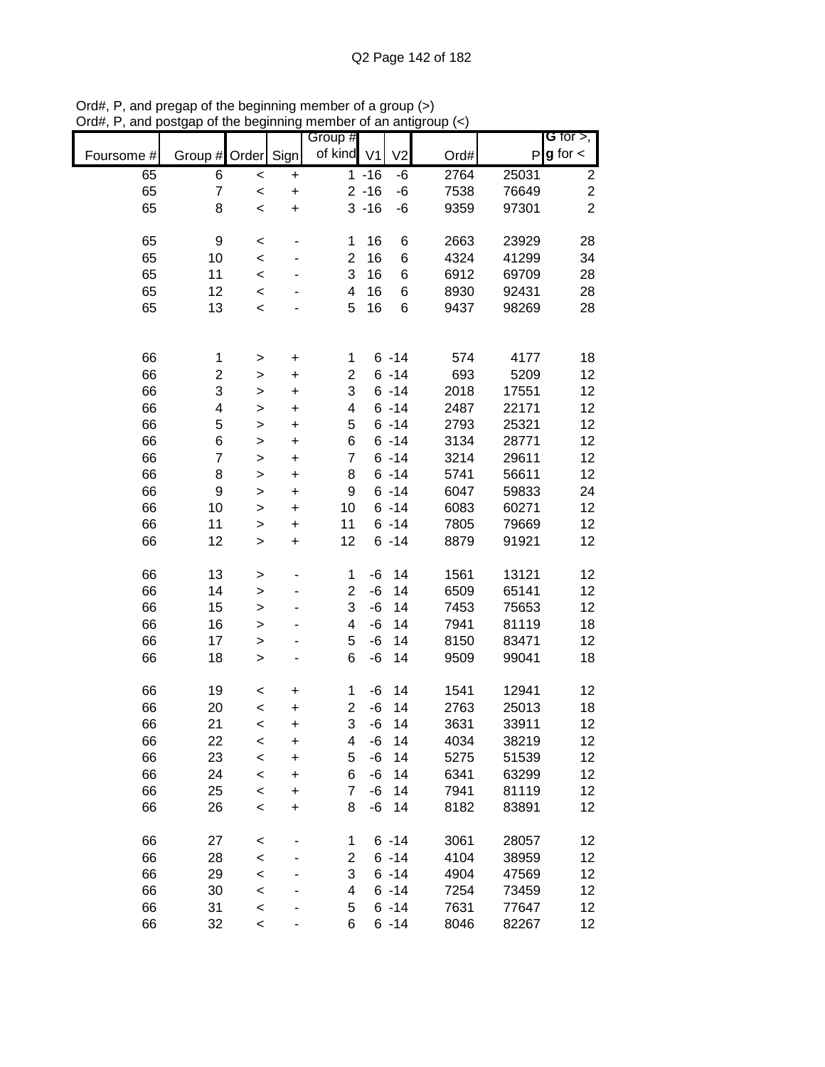|            |                         |              |                          | Group #        |          |                |      |       | <b>G</b> for $>$ ,      |
|------------|-------------------------|--------------|--------------------------|----------------|----------|----------------|------|-------|-------------------------|
| Foursome # | Group #                 | Order        | Sign                     | of kind V1     |          | V <sub>2</sub> | Ord# | P     | $g$ for $\lt$           |
| 65         | 6                       | $\prec$      | $\ddot{}$                |                | $1 - 16$ | -6             | 2764 | 25031 | $\overline{\mathbf{c}}$ |
| 65         | $\overline{7}$          | $\prec$      | $\ddot{}$                |                | $2 - 16$ | -6             | 7538 | 76649 | $\overline{c}$          |
| 65         | 8                       | $\prec$      | $\ddot{}$                |                | $3 - 16$ | -6             | 9359 | 97301 | $\overline{2}$          |
|            |                         |              |                          |                |          |                |      |       |                         |
| 65         | 9                       | $\prec$      | $\overline{\phantom{0}}$ | 1              | 16       | 6              | 2663 | 23929 | 28                      |
| 65         | 10                      | $\prec$      |                          | $\overline{2}$ | 16       | 6              | 4324 | 41299 | 34                      |
| 65         | 11                      | $\prec$      |                          | 3              | 16       | 6              | 6912 | 69709 | 28                      |
| 65         | 12                      | $\prec$      |                          | 4              | 16       | 6              | 8930 | 92431 | 28                      |
| 65         | 13                      | $\,<$        |                          | 5              | 16       | 6              | 9437 | 98269 | 28                      |
|            |                         |              |                          |                |          |                |      |       |                         |
|            |                         |              |                          |                |          |                |      |       |                         |
| 66         | 1                       | $\, > \,$    | $\ddot{}$                | 1              |          | $6 - 14$       | 574  | 4177  | 18                      |
| 66         | $\overline{\mathbf{c}}$ | $\mathbf{I}$ | $\ddot{}$                | $\overline{c}$ |          | $6 - 14$       | 693  | 5209  | 12                      |
| 66         | 3                       | $\geq$       | $\ddot{}$                | 3              |          | $6 - 14$       | 2018 | 17551 | 12                      |
| 66         | 4                       | $\mathbf{I}$ | $\ddot{}$                | 4              |          | $6 - 14$       | 2487 | 22171 | 12                      |
| 66         | 5                       | $\mathbf{I}$ | $\ddot{}$                | 5              |          | $6 - 14$       | 2793 | 25321 | 12                      |
| 66         | 6                       | $\geq$       | $\ddot{}$                | 6              |          | $6 - 14$       | 3134 | 28771 | 12                      |
| 66         | $\overline{7}$          | $\geq$       | $\ddot{}$                | $\overline{7}$ |          | $6 - 14$       | 3214 | 29611 | 12                      |
| 66         | 8                       | $\geq$       | $\ddot{}$                | 8              |          | $6 - 14$       | 5741 | 56611 | 12                      |
| 66         | 9                       | $\geq$       | $\ddot{}$                | 9              |          | $6 - 14$       | 6047 | 59833 | 24                      |
| 66         | 10                      | $\mathbf{I}$ | $\ddot{}$                | 10             |          | $6 - 14$       | 6083 | 60271 | 12                      |
| 66         | 11                      | $\geq$       | $\ddot{}$                | 11             |          | $6 - 14$       | 7805 | 79669 | 12                      |
| 66         | 12                      | $\,$         | $\ddot{}$                | 12             |          | $6 - 14$       | 8879 | 91921 | 12                      |
|            |                         |              |                          |                |          |                |      |       |                         |
| 66         | 13                      | >            | $\overline{\phantom{0}}$ | 1              | -6       | 14             | 1561 | 13121 | 12                      |
| 66         | 14                      | $\geq$       | -                        | $\overline{2}$ | $-6$     | 14             | 6509 | 65141 | 12                      |
| 66         | 15                      | $\geq$       | ٠                        | 3              | $-6$     | 14             | 7453 | 75653 | 12                      |
| 66         | 16                      | $\geq$       |                          | 4              | $-6$     | 14             | 7941 | 81119 | 18                      |
| 66         | 17                      | $\geq$       | ٠                        | 5              | $-6$     | 14             | 8150 | 83471 | 12                      |
| 66         | 18                      | $\geq$       | -                        | 6              | $-6$     | 14             | 9509 | 99041 | 18                      |
|            |                         |              |                          |                |          |                |      |       |                         |
| 66         | 19                      | $\,<$        | +                        | $\mathbf{1}$   | $-6$     | 14             | 1541 | 12941 | 12                      |
| 66         | 20                      | $\prec$      | $\ddot{}$                | 2              | $-6$     | 14             | 2763 | 25013 | 18                      |
| 66         | 21                      | $\,<$        | $\ddot{}$                | 3              | $-6$     | 14             | 3631 | 33911 | 12                      |
| 66         | 22                      | $\,<$        | +                        | 4              | -6       | 14             | 4034 | 38219 | 12                      |
| 66         | 23                      | $\prec$      | $\ddot{}$                | 5              | $-6$     | 14             | 5275 | 51539 | 12                      |
| 66         | 24                      | $\prec$      | $\ddot{}$                | 6              | $-6$     | 14             | 6341 | 63299 | 12                      |
| 66         | 25                      | $\prec$      | $\ddot{}$                | 7              | $-6$     | 14             | 7941 | 81119 | 12                      |
| 66         | 26                      | $\prec$      | $\ddot{}$                | 8              | -6       | 14             | 8182 | 83891 | 12                      |
|            |                         |              |                          |                |          |                |      |       |                         |
| 66         | 27                      | $\,<$        |                          | 1              |          | $6 - 14$       | 3061 | 28057 | 12                      |
| 66         | 28                      | $\prec$      | ۰                        | 2              |          | $6 - 14$       | 4104 | 38959 | 12                      |
| 66         | 29                      | $\prec$      |                          | 3              |          | $6 - 14$       | 4904 | 47569 | 12                      |
| 66         | 30                      | $\prec$      |                          | 4              |          | $6 - 14$       | 7254 | 73459 | 12                      |
| 66         | 31                      | $\prec$      |                          | 5              |          | $6 - 14$       | 7631 | 77647 | 12                      |
| 66         | 32                      | $\prec$      |                          | 6              |          | $6 - 14$       | 8046 | 82267 | 12                      |

Ord#, P, and pregap of the beginning member of a group (>) Ord#, P, and postgap of the beginning member of an antigroup (<)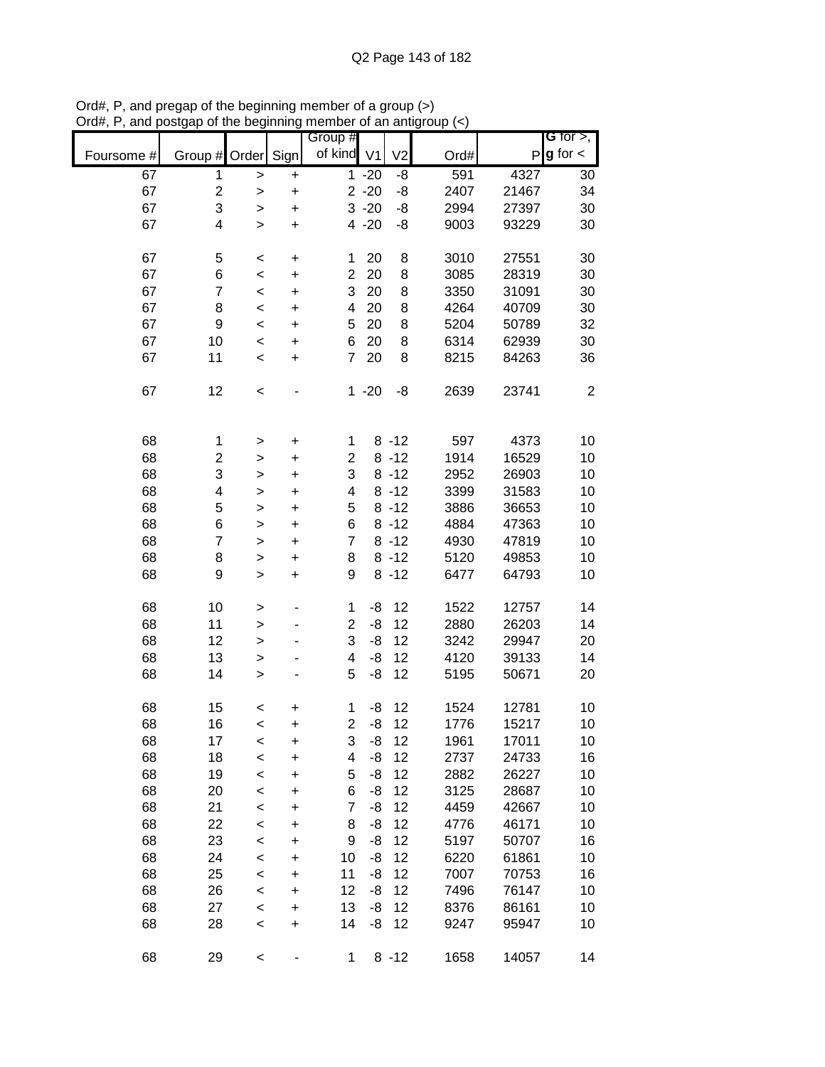|            |                         |              |           |                       |          |                |      |              | G for $>$ ,      |
|------------|-------------------------|--------------|-----------|-----------------------|----------|----------------|------|--------------|------------------|
|            |                         |              |           | Group #<br>of kind V1 |          |                |      | $\mathsf{P}$ | $g$ for $\lt$    |
| Foursome # | Group #                 | Order        | Sign      |                       |          | V <sub>2</sub> | Ord# |              |                  |
| 67         | 1                       | $\mathbf{L}$ | $\ddot{}$ |                       | $1 - 20$ | -8             | 591  | 4327         | 30               |
| 67         | $\overline{\mathbf{c}}$ | $\,>$        | $\ddot{}$ |                       | $2 - 20$ | -8             | 2407 | 21467        | 34               |
| 67         | 3                       | >            | $\ddot{}$ |                       | $3 - 20$ | -8             | 2994 | 27397        | 30               |
| 67         | $\overline{\mathbf{4}}$ | $\geq$       | $\ddot{}$ |                       | $4 - 20$ | -8             | 9003 | 93229        | 30               |
|            |                         |              |           |                       |          |                |      |              |                  |
| 67         | 5                       | $\,<$        | $\ddot{}$ | 1                     | 20       | 8              | 3010 | 27551        | 30               |
| 67         | 6                       | $\prec$      | $\ddot{}$ | $\overline{c}$        | 20       | 8              | 3085 | 28319        | 30               |
| 67         | $\overline{7}$          | $\,<\,$      | $\ddot{}$ | 3                     | 20       | 8              | 3350 | 31091        | 30               |
| 67         | 8                       | $\,<\,$      | +         | 4                     | 20       | 8              | 4264 | 40709        | 30               |
| 67         | 9                       | $\,<$        | $\ddot{}$ | 5                     | 20       | 8              | 5204 | 50789        | 32               |
| 67         | 10                      | $\prec$      | $\ddot{}$ | 6                     | 20       | 8              | 6314 | 62939        | 30               |
| 67         | 11                      | $\prec$      | $\ddot{}$ | $\overline{7}$        | 20       | 8              | 8215 | 84263        | 36               |
|            |                         |              |           |                       |          |                |      |              |                  |
| 67         | 12                      | $\,<$        |           |                       | $1 - 20$ | -8             | 2639 | 23741        | $\boldsymbol{2}$ |
|            |                         |              |           |                       |          |                |      |              |                  |
|            |                         |              |           |                       |          |                |      |              |                  |
| 68         | $\mathbf 1$             | >            | $\ddot{}$ | $\mathbf{1}$          |          | $8 - 12$       | 597  | 4373         | 10               |
| 68         | $\overline{c}$          | >            | $\ddot{}$ | $\overline{c}$        |          | $8 - 12$       | 1914 | 16529        | 10               |
| 68         | 3                       | $\mathbf{I}$ | $\ddot{}$ | 3                     |          | $8 - 12$       | 2952 | 26903        | 10               |
| 68         | $\overline{\mathbf{4}}$ | $\mathbf{I}$ | $\ddot{}$ | 4                     |          | $8 - 12$       | 3399 | 31583        | 10               |
| 68         | 5                       | $\geq$       | $\ddot{}$ | 5                     |          | $8 - 12$       | 3886 | 36653        | 10               |
| 68         | 6                       | $\mathbf{I}$ | $\ddot{}$ | 6                     |          | $8 - 12$       | 4884 | 47363        | 10               |
| 68         | $\overline{7}$          | >            | $\ddot{}$ | $\overline{7}$        |          | $8 - 12$       | 4930 | 47819        | 10               |
| 68         | 8                       |              |           | 8                     |          | $8 - 12$       | 5120 | 49853        | 10               |
|            | 9                       | >            | $\ddot{}$ | 9                     |          |                |      |              |                  |
| 68         |                         | $\, > \,$    | $\ddot{}$ |                       |          | $8 - 12$       | 6477 | 64793        | 10               |
|            |                         |              |           |                       |          |                |      |              |                  |
| 68         | 10                      | $\,$         |           | $\mathbf{1}$          | -8       | 12             | 1522 | 12757        | 14               |
| 68         | 11                      | $\mathbf{I}$ | -         | $\overline{c}$        | -8       | 12             | 2880 | 26203        | 14               |
| 68         | 12                      | $\geq$       |           | 3                     | -8       | 12             | 3242 | 29947        | 20               |
| 68         | 13                      | $\mathbf{I}$ | -         | 4                     | -8       | 12             | 4120 | 39133        | 14               |
| 68         | 14                      | $\mathbf{I}$ |           | 5                     | -8       | 12             | 5195 | 50671        | 20               |
|            |                         |              |           |                       |          |                |      |              |                  |
| 68         | 15                      | $\,<$        | +         | 1                     | -8       | 12             | 1524 | 12781        | 10               |
| 68         | 16                      | $\prec$      | $\ddot{}$ | $\overline{2}$        | -8       | 12             | 1776 | 15217        | 10               |
| 68         | 17                      | $\,<$        | +         | 3                     | -8       | 12             | 1961 | 17011        | 10               |
| 68         | 18                      | $\,<$        | $\ddot{}$ | 4                     | -8       | 12             | 2737 | 24733        | 16               |
| 68         | 19                      | $\,<$        | $\ddot{}$ | 5                     | -8       | 12             | 2882 | 26227        | 10               |
| 68         | 20                      | $\,<$        | +         | 6                     | -8       | 12             | 3125 | 28687        | 10               |
| 68         | 21                      | $\,<$        | +         | 7                     | -8       | 12             | 4459 | 42667        | 10               |
| 68         | 22                      | $\prec$      | +         | 8                     | -8       | 12             | 4776 | 46171        | 10               |
| 68         | 23                      | $\,<$        | +         | 9                     | -8       | 12             | 5197 | 50707        | 16               |
| 68         | 24                      | $\,<$        | +         | 10                    | -8       | 12             | 6220 | 61861        | 10               |
| 68         | 25                      | $\,<$        | +         | 11                    | -8       | 12             | 7007 | 70753        | 16               |
| 68         | 26                      | $\,<$        | +         | 12                    | -8       | 12             | 7496 | 76147        | 10               |
| 68         | 27                      | $\,<$        | +         | 13                    | -8       | 12             | 8376 | 86161        | 10               |
| 68         | 28                      | $\prec$      | +         | 14                    | -8       | 12             | 9247 | 95947        | 10               |
|            |                         |              |           |                       |          |                |      |              |                  |
| 68         | 29                      | $\,<$        |           | $\mathbf{1}$          |          | $8 - 12$       | 1658 | 14057        | 14               |

Ord#, P, and pregap of the beginning member of a group (>) Ord#, P, and postgap of the beginning member of an antigroup (<)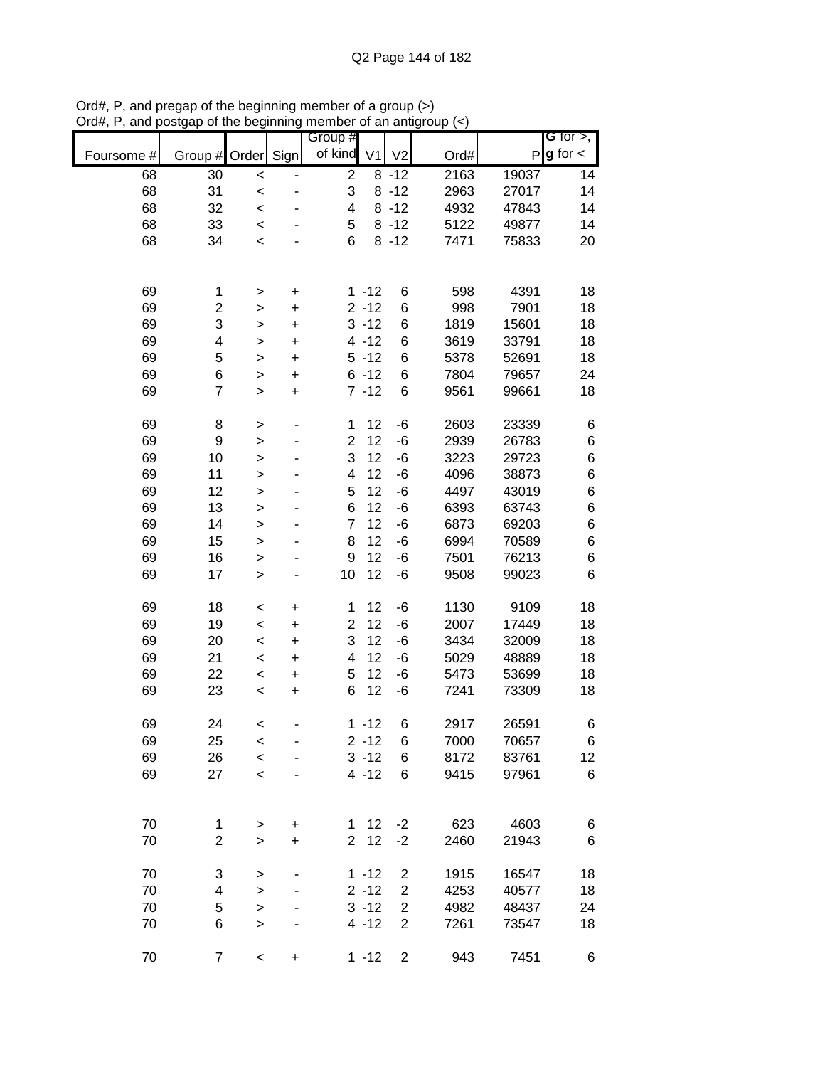|            |                    |              |             | Group #                 |                |                |      |       | <b>G</b> for $>$ , |
|------------|--------------------|--------------|-------------|-------------------------|----------------|----------------|------|-------|--------------------|
| Foursome # | Group # Order Sign |              |             | of kind                 | V <sub>1</sub> | V <sub>2</sub> | Ord# | P     | $g$ for $\lt$      |
|            |                    |              |             |                         |                |                |      |       |                    |
| 68         | 30                 | $\prec$      |             | $\overline{c}$          |                | $8 - 12$       | 2163 | 19037 | 14                 |
| 68         | 31                 | $\prec$      |             | 3                       |                | $8 - 12$       | 2963 | 27017 | 14                 |
| 68         | 32                 | $\prec$      |             | 4                       |                | $8 - 12$       | 4932 | 47843 | 14                 |
| 68         | 33                 | $\prec$      |             | 5                       |                | $8 - 12$       | 5122 | 49877 | 14                 |
| 68         | 34                 | $\,<$        |             | 6                       |                | $8 - 12$       | 7471 | 75833 | 20                 |
|            |                    |              |             |                         |                |                |      |       |                    |
|            |                    |              |             |                         |                |                |      |       |                    |
| 69         | 1                  | >            | $\mathbf +$ |                         | $1 - 12$       | 6              | 598  | 4391  | 18                 |
| 69         | 2                  | >            | $\ddot{}$   |                         | $2 - 12$       | 6              | 998  | 7901  | 18                 |
| 69         | 3                  | $\mathbf{I}$ | $\ddot{}$   |                         | $3 - 12$       | 6              | 1819 | 15601 | 18                 |
| 69         | 4                  | $\mathbf{I}$ | $\ddot{}$   |                         | $4 - 12$       | 6              | 3619 | 33791 | 18                 |
| 69         | 5                  | $\geq$       | +           |                         | $5 - 12$       | 6              | 5378 | 52691 | 18                 |
| 69         | 6                  | $\geq$       | $\ddot{}$   |                         | $6 - 12$       | 6              | 7804 | 79657 | 24                 |
| 69         | $\overline{7}$     | $\geq$       | $\ddot{}$   |                         | $7 - 12$       | 6              | 9561 | 99661 | 18                 |
|            |                    |              |             |                         |                |                |      |       |                    |
| 69         | 8                  | >            |             | 1                       | 12             | -6             | 2603 | 23339 | 6                  |
| 69         | 9                  | $\geq$       |             | $\overline{\mathbf{c}}$ | 12             | -6             | 2939 | 26783 | 6                  |
| 69         | 10                 | $\geq$       |             | 3                       | 12             | -6             | 3223 | 29723 | 6                  |
| 69         | 11                 | $\geq$       |             | 4                       | 12             | -6             | 4096 | 38873 | 6                  |
| 69         | 12                 | $\geq$       |             | 5                       | 12             | -6             | 4497 | 43019 | 6                  |
| 69         | 13                 | $\geq$       |             | 6                       | 12             | -6             | 6393 | 63743 | 6                  |
| 69         | 14                 | $\mathbf{I}$ |             | $\overline{7}$          | 12             | -6             | 6873 | 69203 | 6                  |
| 69         | 15                 | $\mathbf{I}$ |             | 8                       | 12             | -6             | 6994 | 70589 | 6                  |
| 69         | 16                 | >            |             | 9                       | 12             | -6             | 7501 | 76213 | 6                  |
| 69         | 17                 | $\geq$       |             | 10                      | 12             | -6             | 9508 | 99023 | 6                  |
|            |                    |              |             |                         |                |                |      |       |                    |
| 69         | 18                 | $\,<$        | $\ddot{}$   | 1                       | 12             | -6             | 1130 | 9109  | 18                 |
| 69         | 19                 | $\,<$        | $\ddot{}$   | $\overline{c}$          | 12             | -6             | 2007 | 17449 | 18                 |
| 69         | 20                 | $\,<$        | $\ddot{}$   | 3                       | 12             | -6             | 3434 | 32009 | 18                 |
| 69         | 21                 | $\prec$      | $\ddot{}$   | 4                       | 12             | -6             | 5029 | 48889 | 18                 |
| 69         | 22                 | $\prec$      | $\ddot{}$   | 5                       | 12             | -6             | 5473 | 53699 | 18                 |
| 69         | 23                 | $\,<\,$      | $\ddot{}$   | 6                       | 12             | -6             | 7241 | 73309 | 18                 |
|            |                    |              |             |                         |                |                |      |       |                    |
| 69         | 24                 | $\,<$        |             |                         | $1 - 12$       | 6              | 2917 | 26591 | 6                  |
| 69         | 25                 | $\,<$        |             |                         | $2 - 12$       | 6              | 7000 | 70657 | 6                  |
| 69         | 26                 | $\prec$      |             |                         | $3 - 12$       | 6              | 8172 | 83761 | 12                 |
| 69         | 27                 | $\prec$      |             |                         | $4 - 12$       | 6              | 9415 | 97961 | 6                  |
|            |                    |              |             |                         |                |                |      |       |                    |
|            |                    |              |             |                         |                |                |      |       |                    |
| 70         | 1                  | $\,>$        | $\ddot{}$   | 1                       | 12             | $-2$           | 623  | 4603  | 6                  |
| 70         | 2                  | $\geq$       | +           | $\overline{2}$          | 12             | $-2$           | 2460 | 21943 | 6                  |
|            |                    |              |             |                         |                |                |      |       |                    |
| 70         | 3                  | $\geq$       |             |                         | $1 - 12$       | $\overline{2}$ | 1915 | 16547 | 18                 |
| 70         | 4                  | $\geq$       |             |                         | $2 - 12$       | $\overline{2}$ | 4253 | 40577 | 18                 |
| 70         | 5                  | $\geq$       |             |                         | $3 - 12$       | $\mathbf 2$    | 4982 | 48437 | 24                 |
| 70         | 6                  | $\geq$       |             |                         | $4 - 12$       | $\overline{2}$ | 7261 | 73547 | 18                 |
|            |                    |              |             |                         |                |                |      |       |                    |
| 70         | 7                  | $\,<$        | $\ddot{}$   |                         | $1 - 12$       | $\overline{2}$ | 943  | 7451  | 6                  |
|            |                    |              |             |                         |                |                |      |       |                    |

Ord#, P, and pregap of the beginning member of a group (>) Ord#, P, and postgap of the beginning member of an antigroup (<)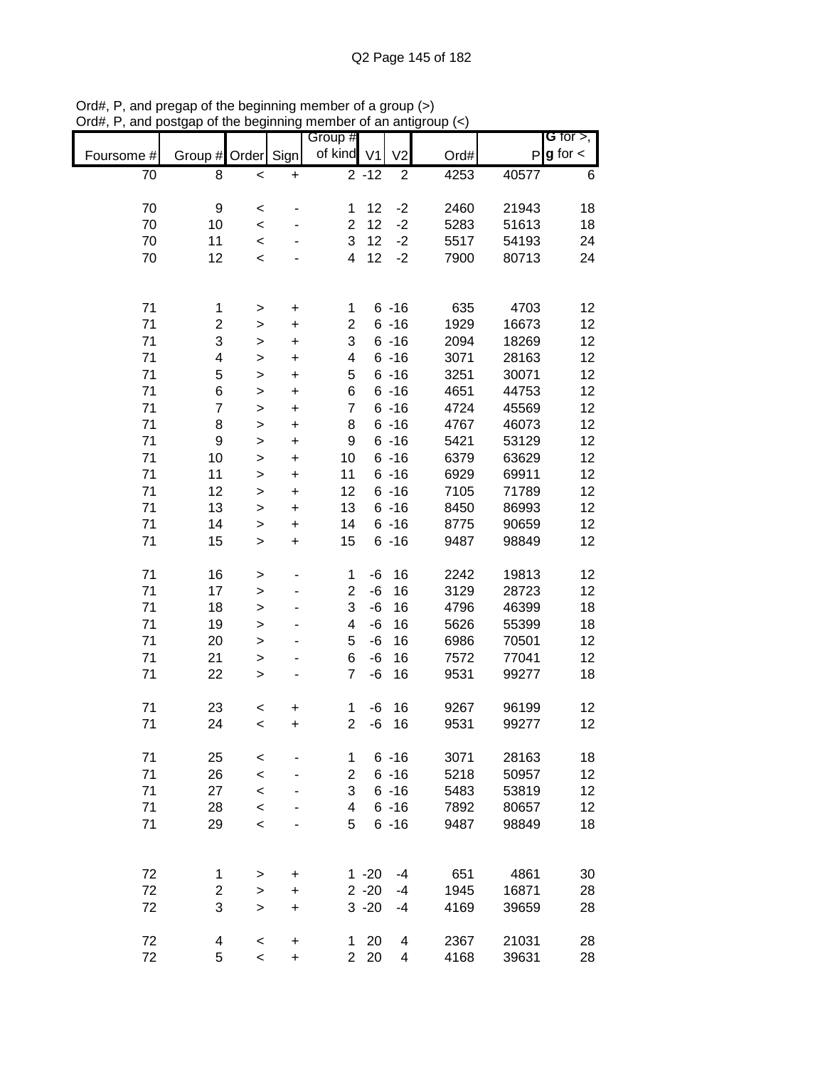|            |                         |              |           | Group #                 |          |                |      |              | G for $>$ ,   |
|------------|-------------------------|--------------|-----------|-------------------------|----------|----------------|------|--------------|---------------|
|            |                         |              |           | of kind V1              |          |                |      |              | $g$ for $\lt$ |
| Foursome # | Group #                 | Order        | Sign      |                         |          | V <sub>2</sub> | Ord# | $\mathsf{P}$ |               |
| 70         | 8                       | $\prec$      | $\ddot{}$ |                         | $2 - 12$ | $\overline{2}$ | 4253 | 40577        | 6             |
|            |                         |              |           |                         |          |                |      |              |               |
| 70         | 9                       | $\prec$      |           | 1                       | 12       | $-2$           | 2460 | 21943        | 18            |
| 70         | 10                      | $\prec$      |           | $\overline{2}$          | 12       | $-2$           | 5283 | 51613        | 18            |
| 70         | 11                      | $\prec$      |           | 3                       | 12       | $-2$           | 5517 | 54193        | 24            |
| 70         | 12                      | $\prec$      |           | $\overline{\mathbf{4}}$ | 12       | $-2$           | 7900 | 80713        | 24            |
|            |                         |              |           |                         |          |                |      |              |               |
|            |                         |              |           |                         |          |                |      |              |               |
|            |                         |              |           |                         |          |                |      |              |               |
| 71         | 1                       | $\,$         | $\ddot{}$ | 1                       |          | $6 - 16$       | 635  | 4703         | 12            |
| 71         | $\overline{\mathbf{c}}$ | $\mathbf{I}$ | $\ddot{}$ | $\overline{c}$          |          | $6 - 16$       | 1929 | 16673        | 12            |
| 71         | 3                       | $\mathbf{I}$ | $\ddot{}$ | 3                       |          | $6 - 16$       | 2094 | 18269        | 12            |
| 71         | 4                       | $\mathbf{I}$ | $\ddot{}$ | 4                       |          | $6 - 16$       | 3071 | 28163        | 12            |
| 71         | 5                       | $\mathbf{I}$ | $\ddot{}$ | 5                       |          | $6 - 16$       | 3251 | 30071        | 12            |
| 71         | 6                       | $\geq$       | $\ddot{}$ | 6                       |          | $6 - 16$       | 4651 | 44753        | 12            |
| 71         | $\overline{7}$          |              |           | $\overline{7}$          |          | $6 - 16$       | 4724 | 45569        | 12            |
|            |                         | $\mathbf{I}$ | $\ddot{}$ |                         |          |                |      |              |               |
| 71         | 8                       | $\geq$       | $\ddot{}$ | 8                       |          | $6 - 16$       | 4767 | 46073        | 12            |
| 71         | 9                       | $\geq$       | $\ddot{}$ | 9                       |          | $6 - 16$       | 5421 | 53129        | 12            |
| 71         | 10                      | $\geq$       | $\ddot{}$ | 10                      |          | $6 - 16$       | 6379 | 63629        | 12            |
| 71         | 11                      | $\geq$       | $\ddot{}$ | 11                      |          | $6 - 16$       | 6929 | 69911        | 12            |
| 71         | 12                      | $\geq$       | $\ddot{}$ | 12                      |          | $6 - 16$       | 7105 | 71789        | 12            |
| 71         | 13                      | $\,$         | $\ddot{}$ | 13                      |          | $6 - 16$       | 8450 | 86993        | 12            |
| 71         | 14                      |              |           | 14                      |          | $6 - 16$       | 8775 | 90659        | 12            |
|            |                         | $\mathbf{I}$ | $\ddot{}$ |                         |          |                |      |              |               |
| 71         | 15                      | $\geq$       | $\ddot{}$ | 15                      |          | $6 - 16$       | 9487 | 98849        | 12            |
|            |                         |              |           |                         |          |                |      |              |               |
| 71         | 16                      | $\, > \,$    | -         | 1                       | $-6$     | 16             | 2242 | 19813        | 12            |
| 71         | 17                      | $\geq$       | -         | $\overline{2}$          | $-6$     | 16             | 3129 | 28723        | 12            |
| 71         | 18                      | $\geq$       | -         | 3                       | $-6$     | 16             | 4796 | 46399        | 18            |
| 71         | 19                      | $\geq$       | -         | 4                       | $-6$     | 16             | 5626 | 55399        | 18            |
| 71         | 20                      | $\mathbf{I}$ |           | 5                       | $-6$     | 16             | 6986 | 70501        | 12            |
| 71         | 21                      |              |           | 6                       | $-6$     | 16             | 7572 | 77041        | 12            |
|            |                         | $\mathbf{I}$ |           |                         |          |                |      |              |               |
| 71         | 22                      | $\mathbf{I}$ |           | $\overline{7}$          | $-6$     | 16             | 9531 | 99277        | 18            |
|            |                         |              |           |                         |          |                |      |              |               |
| 71         | 23                      | $\prec$      | +         | $\mathbf 1$             | $-6$     | 16             | 9267 | 96199        | 12            |
| 71         | 24                      | $\prec$      | +         | $\overline{\mathbf{c}}$ | $-6$     | 16             | 9531 | 99277        | 12            |
|            |                         |              |           |                         |          |                |      |              |               |
| 71         | 25                      | $\,<$        |           | 1                       |          | $6 - 16$       | 3071 | 28163        | 18            |
| 71         | 26                      | $\prec$      |           | 2                       |          | $6 - 16$       | 5218 | 50957        | 12            |
| 71         | 27                      | $\prec$      | -         | 3                       |          | $6 - 16$       | 5483 | 53819        | 12            |
|            |                         |              |           |                         |          |                |      |              |               |
| 71         | 28                      | $\,<$        | -         | 4                       |          | $6 - 16$       | 7892 | 80657        | 12            |
| 71         | 29                      | $\prec$      |           | 5                       |          | $6 - 16$       | 9487 | 98849        | 18            |
|            |                         |              |           |                         |          |                |      |              |               |
|            |                         |              |           |                         |          |                |      |              |               |
| 72         | 1                       | >            | +         |                         | $1 - 20$ | $-4$           | 651  | 4861         | 30            |
| 72         | $\overline{\mathbf{c}}$ | $\mathbf{I}$ | $\ddot{}$ |                         | $2 - 20$ | -4             | 1945 | 16871        | 28            |
| 72         | 3                       | $\,$         | $\ddot{}$ |                         | $3 - 20$ | -4             | 4169 | 39659        | 28            |
|            |                         |              |           |                         |          |                |      |              |               |
| 72         | 4                       | $\,<\,$      | +         | 1                       | 20       | 4              | 2367 | 21031        | 28            |
|            | 5                       |              |           | $\overline{2}$          | 20       |                |      |              |               |
| 72         |                         | $\,<$        | $\ddot{}$ |                         |          | 4              | 4168 | 39631        | 28            |

Ord#, P, and pregap of the beginning member of a group (>) Ord#, P, and postgap of the beginning member of an antigroup (<)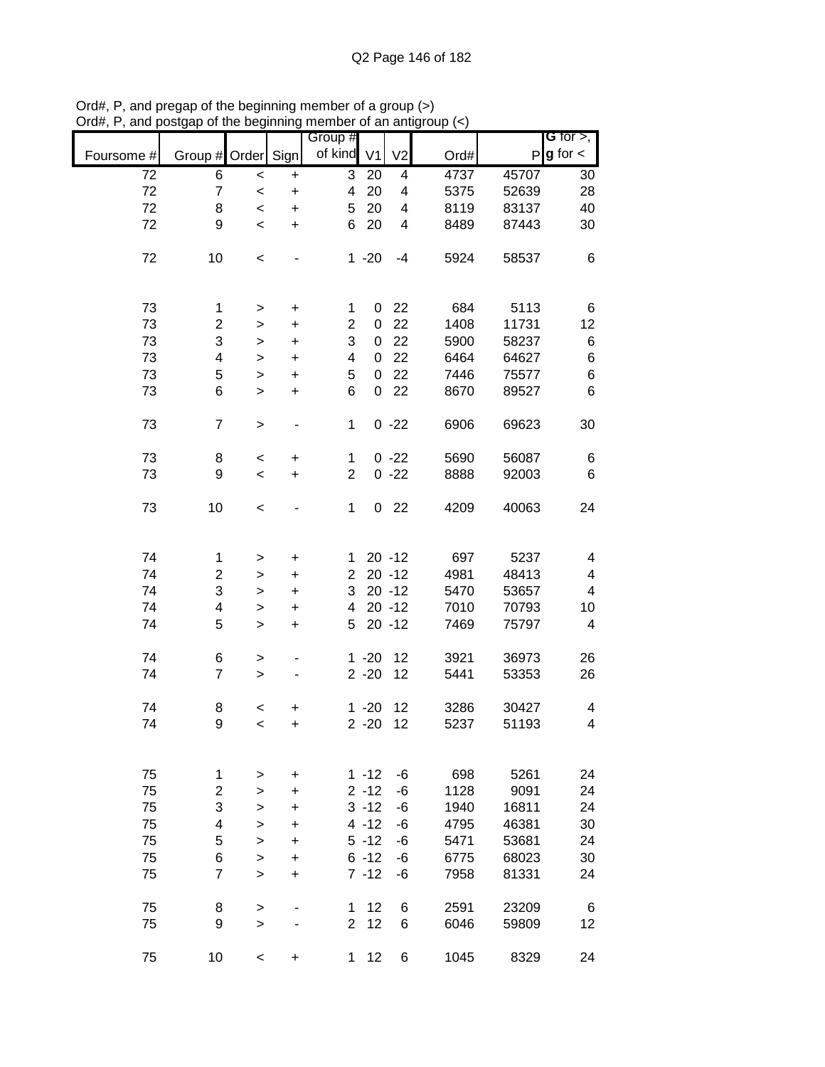|            |                         |                          |                | Group #        |                |                         |      |       | G for $>$ ,   |
|------------|-------------------------|--------------------------|----------------|----------------|----------------|-------------------------|------|-------|---------------|
| Foursome # | Group # Order Sign      |                          |                | of kind        | V <sub>1</sub> | V <sub>2</sub>          | Ord# | P     | $g$ for $\lt$ |
| 72         | 6                       | $\,<\,$                  | $\ddot{}$      | 3              | 20             | 4                       | 4737 | 45707 | 30            |
| 72         | $\overline{7}$          | $\,<\,$                  | $\ddot{}$      | 4              | 20             | 4                       | 5375 | 52639 | 28            |
| 72         | 8                       | $\,<$                    | $\ddot{}$      | 5              | 20             | 4                       | 8119 | 83137 | 40            |
| 72         | 9                       | $\,<$                    | $\ddot{}$      | 6              | 20             | $\overline{\mathbf{4}}$ | 8489 | 87443 | 30            |
| 72         | 10                      | $\,<\,$                  |                |                | $1 - 20$       | $-4$                    | 5924 | 58537 | 6             |
|            |                         |                          |                |                |                |                         |      |       |               |
| 73         | 1                       | $\, > \,$                | +              | 1              | 0              | 22                      | 684  | 5113  | 6             |
| 73         | $\overline{\mathbf{c}}$ | >                        | $\ddot{}$      | $\overline{2}$ | 0              | 22                      | 1408 | 11731 | 12            |
| 73         | 3                       | $\, > \,$                | $\ddot{}$      | 3              | 0              | 22                      | 5900 | 58237 | 6             |
| 73         | 4                       | $\, > \,$                | $\ddot{}$      | 4              | 0              | 22                      | 6464 | 64627 | 6             |
| 73         | 5                       | $\geq$                   | $\ddot{}$      | 5              | 0              | 22                      | 7446 | 75577 | 6             |
| 73         | 6                       | $\geq$                   | $\ddot{}$      | 6              | 0              | 22                      | 8670 | 89527 | 6             |
| 73         | $\overline{7}$          | $\, > \,$                |                | 1              |                | $0 -22$                 | 6906 | 69623 | 30            |
| 73         | 8                       | $\,<$                    | $\ddot{}$      | $\mathbf{1}$   |                | $0 -22$                 | 5690 | 56087 | 6             |
| 73         | 9                       | $\overline{\phantom{a}}$ | $\ddot{}$      | $\overline{2}$ |                | $0 -22$                 | 8888 | 92003 | 6             |
|            |                         |                          |                |                |                |                         |      |       |               |
| 73         | 10                      | $\,<\,$                  |                | 1              | 0              | 22                      | 4209 | 40063 | 24            |
|            |                         |                          |                |                |                |                         |      |       |               |
| 74         | 1                       | $\, > \,$                | +              | $\mathbf 1$    |                | $20 - 12$               | 697  | 5237  | 4             |
| 74         | $\overline{\mathbf{c}}$ | >                        | +              | $\overline{2}$ |                | $20 - 12$               | 4981 | 48413 | 4             |
| 74         | 3                       | $\, > \,$                | +              | 3              |                | $20 - 12$               | 5470 | 53657 | 4             |
| 74         | 4                       | $\,>$                    | +              | 4              |                | $20 - 12$               | 7010 | 70793 | 10            |
| 74         | 5                       | $\geq$                   | $\ddot{}$      | 5              |                | $20 - 12$               | 7469 | 75797 | 4             |
| 74         | 6                       | $\,>$                    |                |                | $1 - 20$       | 12                      | 3921 | 36973 | 26            |
| 74         | $\overline{7}$          | $\geq$                   | $\blacksquare$ |                | $2 - 20$       | 12                      | 5441 | 53353 | 26            |
| 74         | 8                       | $\,<$                    | +              |                | $1 - 20$       | 12                      | 3286 | 30427 | 4             |
| 74         | 9                       | $\overline{\phantom{0}}$ | $\ddot{}$      |                | $2 - 20$       | 12                      | 5237 | 51193 | 4             |
|            |                         |                          |                |                |                |                         |      |       |               |
| 75         | 1                       | >                        | $\ddot{}$      |                | $1 - 12$       | -6                      | 698  | 5261  | 24            |
| 75         | $\overline{c}$          | $\, > \,$                | $\ddot{}$      |                | $2 - 12$       | $-6$                    | 1128 | 9091  | 24            |
| 75         | 3                       | >                        | +              |                | $3 - 12$       | -6                      | 1940 | 16811 | 24            |
| 75         | $\overline{\mathbf{4}}$ | >                        | +              |                | $4 - 12$       | -6                      | 4795 | 46381 | 30            |
| 75         | 5                       | >                        | $\ddot{}$      |                | $5 - 12$       | -6                      | 5471 | 53681 | 24            |
| 75         | 6                       | $\, > \,$                | +              |                | $6 - 12$       | -6                      | 6775 | 68023 | 30            |
| 75         | $\overline{7}$          |                          |                |                | $7 - 12$       | -6                      | 7958 | 81331 | 24            |
|            |                         | $\, > \,$                | +              |                |                |                         |      |       |               |
| 75         | 8                       | $\geq$                   |                | $\mathbf 1$    | 12             | 6                       | 2591 | 23209 | 6             |
| 75         | 9                       | $\geq$                   |                | $\overline{2}$ | 12             | 6                       | 6046 | 59809 | 12            |
| 75         | 10                      | $\,<\,$                  | $\ddot{}$      | $\mathbf 1$    | 12             | 6                       | 1045 | 8329  | 24            |

Ord#, P, and pregap of the beginning member of a group (>) Ord#, P, and postgap of the beginning member of an antigroup (<)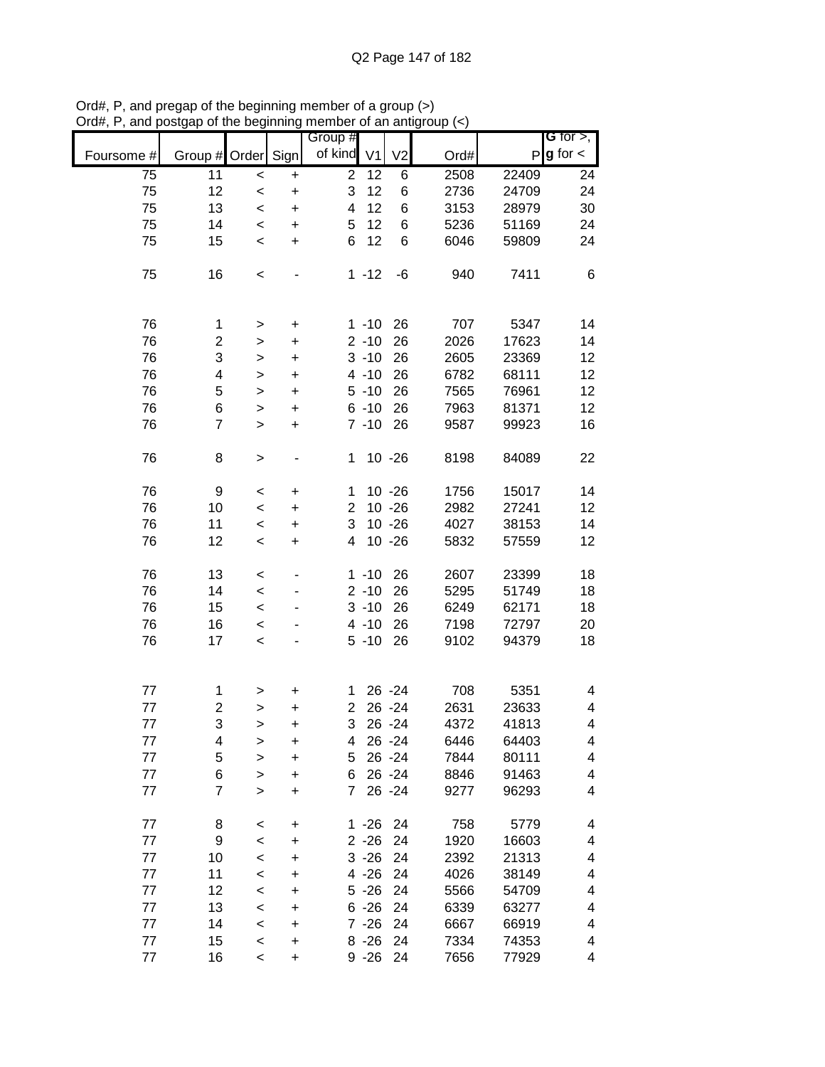|            |                    |                          |           | Group #        |          |                |      |       | G for $>$ ,   |
|------------|--------------------|--------------------------|-----------|----------------|----------|----------------|------|-------|---------------|
| Foursome # | Group # Order Sign |                          |           | of kind V1     |          | V <sub>2</sub> | Ord# | P     | $g$ for $\lt$ |
| 75         | 11                 | $\,<$                    | $\ddot{}$ | $\overline{2}$ | 12       | 6              | 2508 | 22409 | 24            |
| 75         | 12                 | $\prec$                  | $\ddot{}$ | 3              | 12       | 6              | 2736 | 24709 | 24            |
| 75         | 13                 | $\prec$                  | $\ddot{}$ | 4              | 12       | 6              | 3153 | 28979 | 30            |
| 75         | 14                 | $\prec$                  | $\ddot{}$ | 5              | 12       | 6              | 5236 | 51169 | 24            |
| 75         | 15                 | $\prec$                  | $\ddot{}$ | 6              | 12       | 6              | 6046 | 59809 | 24            |
| 75         | 16                 | $\,<$                    |           |                | $1 - 12$ | -6             | 940  | 7411  | 6             |
| 76         | 1                  | >                        | +         |                | $1 - 10$ | 26             | 707  | 5347  | 14            |
| 76         | $\overline{c}$     | $\,$                     | $\ddot{}$ |                | $2 - 10$ | 26             | 2026 | 17623 | 14            |
| 76         | 3                  | $\,$                     | $\ddot{}$ |                | $3 - 10$ | 26             | 2605 | 23369 | 12            |
| 76         | 4                  | $\geq$                   | +         |                | $4 - 10$ | 26             | 6782 | 68111 | 12            |
| 76         | 5                  | $\mathbf{I}$             | $\ddot{}$ |                | $5 - 10$ | 26             | 7565 | 76961 | 12            |
| 76         | 6                  | $\geq$                   | $\ddot{}$ |                | $6 - 10$ | 26             | 7963 | 81371 | 12            |
| 76         | $\overline{7}$     | $\, > \,$                | $\ddot{}$ |                | $7 - 10$ | 26             | 9587 | 99923 | 16            |
| 76         | 8                  | >                        |           | 1              |          | $10 - 26$      | 8198 | 84089 | 22            |
| 76         | 9                  | $\,<$                    | $\ddot{}$ | 1              |          | $10 - 26$      | 1756 | 15017 | 14            |
| 76         | 10                 | $\prec$                  | $\ddot{}$ | $\overline{c}$ |          | $10 - 26$      | 2982 | 27241 | 12            |
| 76         | 11                 | $\,<$                    | +         | 3              |          | $10 - 26$      | 4027 | 38153 | 14            |
| 76         | 12                 | $\prec$                  | +         | 4              |          | $10 - 26$      | 5832 | 57559 | 12            |
|            |                    |                          |           |                |          |                |      |       |               |
| 76         | 13                 | $\,<$                    |           |                | $1 - 10$ | 26             | 2607 | 23399 | 18            |
| 76         | 14                 | $\,<$                    |           |                | $2 - 10$ | 26             | 5295 | 51749 | 18            |
| 76         | 15                 | $\,<$                    |           |                | $3 - 10$ | 26             | 6249 | 62171 | 18            |
| 76         | 16                 | $\,<$                    |           |                | $4 - 10$ | 26             | 7198 | 72797 | 20            |
| 76         | 17                 | $\prec$                  |           |                | $5 - 10$ | 26             | 9102 | 94379 | 18            |
| 77         | 1                  | >                        | $\ddot{}$ | 1              |          | 26 - 24        | 708  | 5351  | 4             |
| 77         | 2                  | >                        | +         | 2              |          | 26 - 24        | 2631 | 23633 | 4             |
| 77         | 3                  | $\geq$                   | $\ddot{}$ | 3              |          | 26 - 24        | 4372 | 41813 | 4             |
| 77         | 4                  | >                        | +         | 4              |          | 26 - 24        | 6446 | 64403 | 4             |
| 77         | 5                  | >                        | +         | 5              |          | 26 - 24        | 7844 | 80111 | 4             |
| $77$       | 6                  | >                        | +         | 6              |          | 26 - 24        | 8846 | 91463 | 4             |
| 77         | $\overline{7}$     | $\geq$                   | +         | $\overline{7}$ |          | 26 - 24        | 9277 | 96293 | 4             |
| 77         | 8                  | $\,<$                    | +         |                | $1 - 26$ | 24             | 758  | 5779  | 4             |
| 77         | 9                  | $\,<$                    | +         |                | $2 - 26$ | 24             | 1920 | 16603 | 4             |
| 77         | 10                 | $\,<$                    | +         |                | $3 - 26$ | 24             | 2392 | 21313 | 4             |
| 77         | 11                 | $\,<$                    | +         |                | $4 - 26$ | 24             | 4026 | 38149 | 4             |
| 77         | 12                 | $\,<$                    | +         |                | $5 - 26$ | 24             | 5566 | 54709 | 4             |
| $77$       | 13                 | $\,<$                    | +         |                | $6 - 26$ | 24             | 6339 | 63277 | 4             |
| $77$       | 14                 | $\prec$                  | +         |                | $7 - 26$ | 24             | 6667 | 66919 | 4             |
| $77$       | 15                 | $\,<$                    | $\ddot{}$ |                | $8 - 26$ | 24             | 7334 | 74353 | 4             |
| 77         | 16                 | $\overline{\phantom{0}}$ | +         |                | $9 - 26$ | 24             | 7656 | 77929 | 4             |

Ord#, P, and pregap of the beginning member of a group (>) Ord#, P, and postgap of the beginning member of an antigroup (<)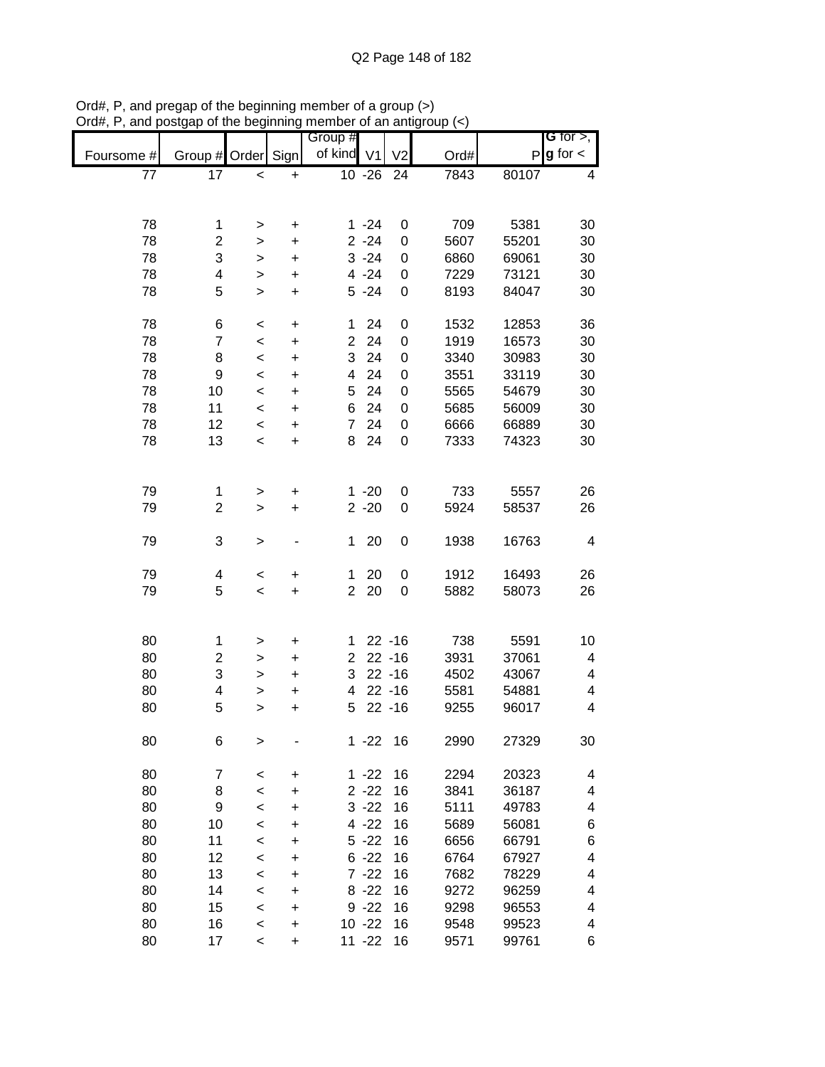|            |                |           |           | Group #        |                     |                  |      |              | <b>G</b> for $>$ , |
|------------|----------------|-----------|-----------|----------------|---------------------|------------------|------|--------------|--------------------|
| Foursome # | Group #        | Order     | Sign      | of kind        | V <sub>1</sub>      | V <sub>2</sub>   | Ord# | $\mathsf{P}$ | $g$ for $\lt$      |
| 77         | 17             | $\,<$     | $\ddot{}$ |                | $\overline{10}$ -26 | 24               | 7843 | 80107        | 4                  |
|            |                |           |           |                |                     |                  |      |              |                    |
|            |                |           |           |                |                     |                  |      |              |                    |
| 78         | 1              | >         | +         |                | $1 - 24$            | 0                | 709  | 5381         | 30                 |
| 78         | $\overline{2}$ | >         | +         |                | $2 - 24$            | 0                | 5607 | 55201        | 30                 |
| 78         | 3              | >         | +         |                | $3 - 24$            | 0                | 6860 | 69061        | 30                 |
| 78         | 4              | >         | +         |                | $4 - 24$            | 0                | 7229 | 73121        | 30                 |
| 78         | 5              | $\geq$    | +         |                | $5 - 24$            | $\mathbf 0$      | 8193 | 84047        | 30                 |
|            |                |           |           |                |                     |                  |      |              |                    |
| 78         | 6              | $\,<$     | $\pmb{+}$ | 1              | 24                  | 0                | 1532 | 12853        | 36                 |
| 78         | $\overline{7}$ | $\,<$     | $\ddot{}$ | $\overline{2}$ | 24                  | 0                | 1919 | 16573        | 30                 |
| 78         | 8              | $\,<$     | +         | 3              | 24                  | 0                | 3340 | 30983        | 30                 |
| 78         | 9              | $\prec$   | $\ddot{}$ | 4              | 24                  | 0                | 3551 | 33119        | 30                 |
| 78         | 10             | $\,<$     | $\ddot{}$ | 5              | 24                  | 0                | 5565 | 54679        | 30                 |
| 78         | 11             | $\,<$     | $\ddot{}$ | 6              | 24                  | $\mathbf 0$      | 5685 | 56009        | 30                 |
| 78         | 12             | $\,<\,$   | $\ddot{}$ | $\overline{7}$ | 24                  | 0                | 6666 | 66889        | 30                 |
| 78         | 13             | $\,<$     | $\ddot{}$ | 8              | 24                  | 0                | 7333 | 74323        | 30                 |
|            |                |           |           |                |                     |                  |      |              |                    |
| 79         | 1              |           |           |                | $1 - 20$            |                  | 733  | 5557         | 26                 |
| 79         | 2              | $\, > \,$ | +         |                | $2 - 20$            | 0<br>0           | 5924 | 58537        |                    |
|            |                | $\geq$    | +         |                |                     |                  |      |              | 26                 |
| 79         | 3              | >         |           | 1              | 20                  | $\boldsymbol{0}$ | 1938 | 16763        | 4                  |
|            |                |           |           |                |                     |                  |      |              |                    |
| 79         | 4              | $\,<$     | +         | 1              | 20                  | 0                | 1912 | 16493        | 26                 |
| 79         | 5              | $\,<$     | $\ddot{}$ | $\overline{2}$ | 20                  | 0                | 5882 | 58073        | 26                 |
|            |                |           |           |                |                     |                  |      |              |                    |
|            |                |           |           |                |                     |                  |      |              |                    |
| 80         | 1              | >         | $\pmb{+}$ | 1              |                     | $22 - 16$        | 738  | 5591         | 10                 |
| 80         | $\overline{c}$ | $\, > \,$ | $\ddot{}$ | $\overline{2}$ |                     | $22 - 16$        | 3931 | 37061        | 4                  |
| 80         | 3              | >         | +         | 3              |                     | $22 - 16$        | 4502 | 43067        | 4                  |
| 80         | 4              | >         | +         | 4              |                     | $22 - 16$        | 5581 | 54881        | 4                  |
| 80         | 5              | >         | +         | 5              |                     | $22 - 16$        | 9255 | 96017        | 4                  |
|            |                |           |           |                |                     |                  |      |              |                    |
| 80         | 6              | >         |           | 1.             | $-22$               | 16               | 2990 | 27329        | 30                 |
|            |                |           |           |                |                     |                  |      |              |                    |
| 80         | 7              | $\,<$     | +         |                | $1 - 22$            | 16               | 2294 | 20323        | 4                  |
| 80         | 8              | $\prec$   | +         |                | $2 - 22$            | 16               | 3841 | 36187        | 4                  |
| 80         | 9              | $\,<$     | +         |                | $3 - 22$            | 16               | 5111 | 49783        | 4                  |
| 80         | 10             | $\,<$     | +         |                | $4 - 22$            | 16               | 5689 | 56081        | 6                  |
| 80         | 11             | $\,<$     | +         |                | $5 - 22$            | 16               | 6656 | 66791        | 6                  |
| 80         | 12             | $\,<$     | +         |                | $6 - 22$            | 16               | 6764 | 67927        | 4                  |
| 80         | 13             | $\,<$     | +         |                | $7 - 22$            | 16               | 7682 | 78229        | 4                  |
| 80         | 14             | $\,<$     | +         |                | $8 - 22$            | 16               | 9272 | 96259        | 4                  |
| 80         | 15             | $\,<$     | +         |                | $9 - 22$            | 16               | 9298 | 96553        | 4                  |
| 80         | 16             | $\,<$     | +         |                | $10 - 22$           | 16               | 9548 | 99523        | 4                  |
| 80         | 17             | $\,<\,$   | +         |                | $11 - 22$           | 16               | 9571 | 99761        | 6                  |

Ord#, P, and pregap of the beginning member of a group (>) Ord#, P, and postgap of the beginning member of an antigroup (<)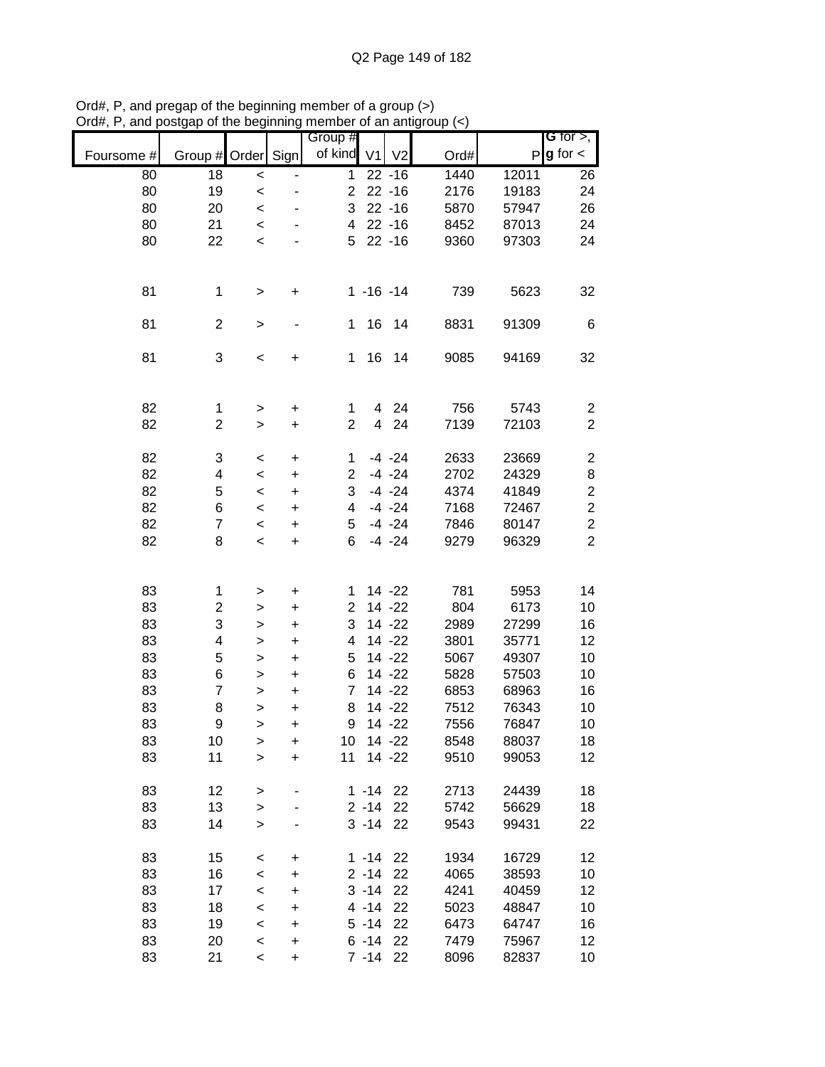|            |                         |                          |           | Group #                 |                     |                |      |       | <b>G</b> for $>$ ,      |
|------------|-------------------------|--------------------------|-----------|-------------------------|---------------------|----------------|------|-------|-------------------------|
| Foursome # | Group # Order Sign      |                          |           | of kind                 | V <sub>1</sub>      | V <sub>2</sub> | Ord# | P     | $g$ for $\lt$           |
| 80         | 18                      | $\prec$                  |           | $\mathbf 1$             |                     | $22 - 16$      | 1440 | 12011 | 26                      |
| 80         | 19                      | $\prec$                  |           | $\overline{\mathbf{c}}$ |                     | $22 - 16$      | 2176 | 19183 | 24                      |
| 80         | 20                      | $\prec$                  |           | 3                       |                     | $22 - 16$      | 5870 | 57947 | 26                      |
| 80         | 21                      | $\prec$                  |           | 4                       |                     | $22 - 16$      | 8452 | 87013 | 24                      |
| 80         | 22                      | $\prec$                  |           | 5                       |                     | $22 - 16$      | 9360 | 97303 | 24                      |
|            |                         |                          |           |                         |                     |                |      |       |                         |
| 81         | 1                       | $\,$                     | +         |                         | $1 - 16 - 14$       |                | 739  | 5623  | 32                      |
| 81         | $\overline{c}$          | $\, >$                   |           | 1                       | 16                  | 14             | 8831 | 91309 | 6                       |
| 81         | 3                       | $\,<$                    | +         | $\mathbf{1}$            | 16                  | 14             | 9085 | 94169 | 32                      |
|            |                         |                          |           |                         |                     |                |      |       |                         |
| 82         | $\mathbf{1}$            | $\, >$                   | $\ddot{}$ | 1                       | 4<br>$\overline{4}$ | 24             | 756  | 5743  | $\overline{c}$          |
| 82         | $\overline{\mathbf{c}}$ | $\geq$                   | $\ddot{}$ | $\overline{2}$          |                     | 24             | 7139 | 72103 | $\overline{2}$          |
| 82         | 3                       | $\,<$                    | $\ddot{}$ | 1                       |                     | $-4 -24$       | 2633 | 23669 | $\overline{\mathbf{c}}$ |
| 82         | $\overline{\mathbf{4}}$ | $\,<$                    | $\ddot{}$ | $\overline{c}$          |                     | $-4 -24$       | 2702 | 24329 | 8                       |
| 82         | 5                       | $\,<$                    | $\ddot{}$ | 3                       |                     | $-4 -24$       | 4374 | 41849 | $\overline{\mathbf{c}}$ |
| 82         | 6                       | $\,<$                    | +         | 4                       |                     | $-4 -24$       | 7168 | 72467 | $\boldsymbol{2}$        |
| 82         | $\overline{7}$          | $\,<$                    | +         | 5                       |                     | $-4 -24$       | 7846 | 80147 | $\overline{c}$          |
| 82         | 8                       | $\prec$                  | +         | 6                       |                     | $-4 -24$       | 9279 | 96329 | $\overline{2}$          |
|            |                         |                          |           |                         |                     |                |      |       |                         |
| 83         | 1                       | $\,$                     | $\pmb{+}$ | 1                       |                     | $14 - 22$      | 781  | 5953  | 14                      |
| 83         | 2                       | $\,$                     | $\ddot{}$ | $\overline{2}$          |                     | $14 - 22$      | 804  | 6173  | 10                      |
| 83         | 3                       | $\mathbf{I}$             | $\ddot{}$ | 3                       |                     | $14 - 22$      | 2989 | 27299 | 16                      |
| 83         | 4                       | $\geq$                   | $\ddot{}$ | 4                       |                     | $14 - 22$      | 3801 | 35771 | 12                      |
| 83         | 5                       | $\mathbf{I}$             | $\ddot{}$ | 5                       |                     | $14 - 22$      | 5067 | 49307 | 10                      |
| 83         | 6                       | $\,$                     | $\ddot{}$ | 6                       |                     | $14 - 22$      | 5828 | 57503 | 10                      |
| 83         | $\overline{7}$          | $\geq$                   | $\ddot{}$ | $\overline{7}$          |                     | $14 - 22$      | 6853 | 68963 | 16                      |
| 83         | 8                       | $\geq$                   | $\ddot{}$ | 8                       |                     | $14 - 22$      | 7512 | 76343 | 10                      |
| 83         | 9                       | $\mathbf{I}$             | $\ddot{}$ | 9                       |                     | 14 - 22        | 7556 | 76847 | $10$                    |
| 83         | 10                      | $\geq$                   | $\ddot{}$ | 10                      |                     | 14 -22         | 8548 | 88037 | 18                      |
| 83         | 11                      | $\mathbf{I}$             | $\ddot{}$ | 11                      |                     | $14 - 22$      | 9510 | 99053 | 12                      |
| 83         | 12                      | $\, > \,$                |           |                         | $1 - 14$            | 22             | 2713 | 24439 | 18                      |
| 83         | 13                      | $\,$                     |           |                         | $2 - 14$            | 22             | 5742 | 56629 | 18                      |
| 83         | 14                      | $\geq$                   |           |                         | $3 - 14$            | 22             | 9543 | 99431 | 22                      |
|            |                         |                          |           |                         |                     |                |      |       |                         |
| 83         | 15                      | $\,<$                    | $\pmb{+}$ |                         | $1 - 14$            | 22             | 1934 | 16729 | 12                      |
| 83         | 16                      | $\,<$                    | $\ddot{}$ |                         | $2 - 14$            | 22             | 4065 | 38593 | 10                      |
| 83         | 17                      | $\,<$                    | $\ddot{}$ |                         | $3 - 14$            | 22             | 4241 | 40459 | 12                      |
| 83         | 18                      | $\,<$                    | +         |                         | $4 - 14$            | 22             | 5023 | 48847 | 10                      |
| 83         | 19                      | $\,<$                    | $\ddot{}$ |                         | $5 - 14$            | 22             | 6473 | 64747 | 16                      |
| 83         | 20                      | $\,<$                    | $\ddot{}$ |                         | $6 - 14$            | 22             | 7479 | 75967 | 12                      |
| 83         | 21                      | $\overline{\phantom{a}}$ | $\ddot{}$ |                         | $7 - 14$            | 22             | 8096 | 82837 | 10                      |

Ord#, P, and pregap of the beginning member of a group (>) Ord#, P, and postgap of the beginning member of an antigroup (<)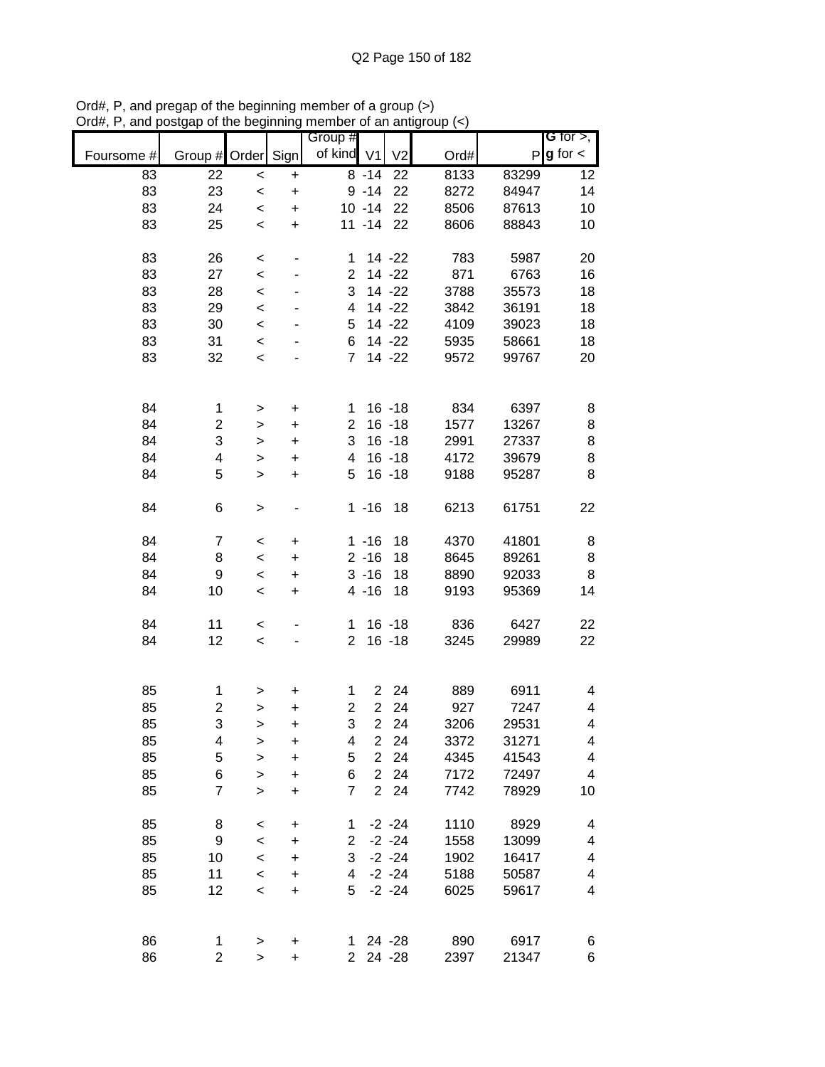|            |                         |              |           | Group #        |                |                |      |       | G for $>$ ,             |
|------------|-------------------------|--------------|-----------|----------------|----------------|----------------|------|-------|-------------------------|
| Foursome # | Group # Order           |              | Sign      | of kind        | V <sub>1</sub> | V <sub>2</sub> | Ord# | P     | $g$ for $\lt$           |
| 83         | 22                      | $\prec$      | $\ddot{}$ |                | $8 - 14$       | 22             | 8133 | 83299 | 12                      |
| 83         | 23                      | $\prec$      | $\ddot{}$ |                | $9 - 14$       | 22             | 8272 | 84947 | 14                      |
| 83         | 24                      | $\,<$        | $\ddot{}$ |                | $10 - 14$      | 22             | 8506 | 87613 | 10                      |
| 83         | 25                      | $\prec$      | $\ddot{}$ |                | $11 - 14$      | 22             | 8606 | 88843 | 10                      |
| 83         | 26                      | $\,<$        | -         | 1              |                | 14 - 22        | 783  | 5987  | 20                      |
| 83         | 27                      | $\,<$        |           | $\overline{2}$ |                | 14 -22         | 871  | 6763  | 16                      |
| 83         | 28                      | $\prec$      | ٠         | 3              |                | 14 -22         | 3788 | 35573 | 18                      |
| 83         | 29                      | $\prec$      |           | 4              |                | 14 -22         | 3842 | 36191 | 18                      |
| 83         | 30                      | $\prec$      |           | 5              |                | 14 -22         | 4109 | 39023 | 18                      |
| 83         | 31                      | $\prec$      |           | 6              |                | 14 -22         | 5935 | 58661 | 18                      |
| 83         | 32                      | $\prec$      |           | $\overline{7}$ |                | 14 - 22        | 9572 | 99767 | 20                      |
|            |                         |              |           |                |                |                |      |       |                         |
| 84         | $\mathbf 1$             | $\, > \,$    | $\ddot{}$ | 1              |                | $16 - 18$      | 834  | 6397  | 8                       |
| 84         | $\overline{\mathbf{c}}$ | $\mathbf{I}$ | $\ddot{}$ | $\overline{2}$ |                | $16 - 18$      | 1577 | 13267 | 8                       |
| 84         | 3                       | $\,$         | $\ddot{}$ | 3              |                | $16 - 18$      | 2991 | 27337 | $\bf8$                  |
| 84         | 4                       | $\geq$       | $\ddot{}$ | 4              |                | $16 - 18$      | 4172 | 39679 | 8                       |
| 84         | 5                       | $\mathbf{I}$ | $\ddot{}$ | 5              |                | $16 - 18$      | 9188 | 95287 | 8                       |
| 84         | 6                       | $\, > \,$    |           |                | $1 - 16$       | 18             | 6213 | 61751 | 22                      |
| 84         | 7                       | $\,<\,$      | +         |                | $1 - 16$       | 18             | 4370 | 41801 | 8                       |
| 84         | 8                       | $\,<$        | +         |                | $2 - 16$       | 18             | 8645 | 89261 | 8                       |
| 84         | 9                       | $\,<$        | +         |                | $3 - 16$       | 18             | 8890 | 92033 | 8                       |
| 84         | 10                      | $\,<$        | $\ddot{}$ |                | $4 - 16$       | 18             | 9193 | 95369 | 14                      |
|            |                         |              |           |                |                |                |      |       |                         |
| 84         | 11                      | $\,<$        |           | 1.             |                | $16 - 18$      | 836  | 6427  | 22                      |
| 84         | 12                      | $\prec$      |           | $\overline{2}$ |                | $16 - 18$      | 3245 | 29989 | 22                      |
|            |                         |              |           |                |                |                |      |       |                         |
| 85         | 1                       | >            | +         | 1              | $\overline{2}$ | 24             | 889  | 6911  | 4                       |
| 85         | $\overline{\mathbf{c}}$ | $\geq$       | $\ddot{}$ | $\overline{c}$ | $\overline{2}$ | 24             | 927  | 7247  | 4                       |
| 85         | 3                       | >            | $\ddot{}$ | 3              | $\overline{2}$ | 24             | 3206 | 29531 | 4                       |
| 85         | 4                       | >            | $\ddot{}$ | 4              | $\overline{2}$ | 24             | 3372 | 31271 | 4                       |
| 85         | 5                       | $\,$         | $\ddot{}$ | 5              | $\overline{2}$ | 24             | 4345 | 41543 | 4                       |
| 85         | 6                       | $\mathbf{I}$ | +         | 6              | $\overline{2}$ | 24             | 7172 | 72497 | $\overline{\mathbf{4}}$ |
| 85         | $\overline{7}$          | $\geq$       | $\ddot{}$ | $\overline{7}$ | $\overline{2}$ | 24             | 7742 | 78929 | 10                      |
| 85         | 8                       | $\,<$        | +         | 1              |                | $-2 - 24$      | 1110 | 8929  | 4                       |
| 85         | 9                       | $\,<$        | +         | $\overline{c}$ |                | $-2 - 24$      | 1558 | 13099 | 4                       |
| 85         | 10                      | $\,<$        | $\ddot{}$ | 3              |                | $-2 - 24$      | 1902 | 16417 | 4                       |
| 85         | 11                      | $\prec$      | $\ddot{}$ | 4              |                | $-2 - 24$      | 5188 | 50587 | 4                       |
| 85         | 12                      | $\prec$      | $\ddot{}$ | 5              |                | $-2 - 24$      | 6025 | 59617 | 4                       |
|            |                         |              |           |                |                |                |      |       |                         |
| 86         | 1                       | $\,>$        | +         | 1.             |                | 24 - 28        | 890  | 6917  | 6                       |
| 86         | $\overline{c}$          | $\mathbf{I}$ | $\ddot{}$ | $\overline{2}$ |                | 24 - 28        | 2397 | 21347 | 6                       |

Ord#, P, and pregap of the beginning member of a group (>) Ord#, P, and postgap of the beginning member of an antigroup (<)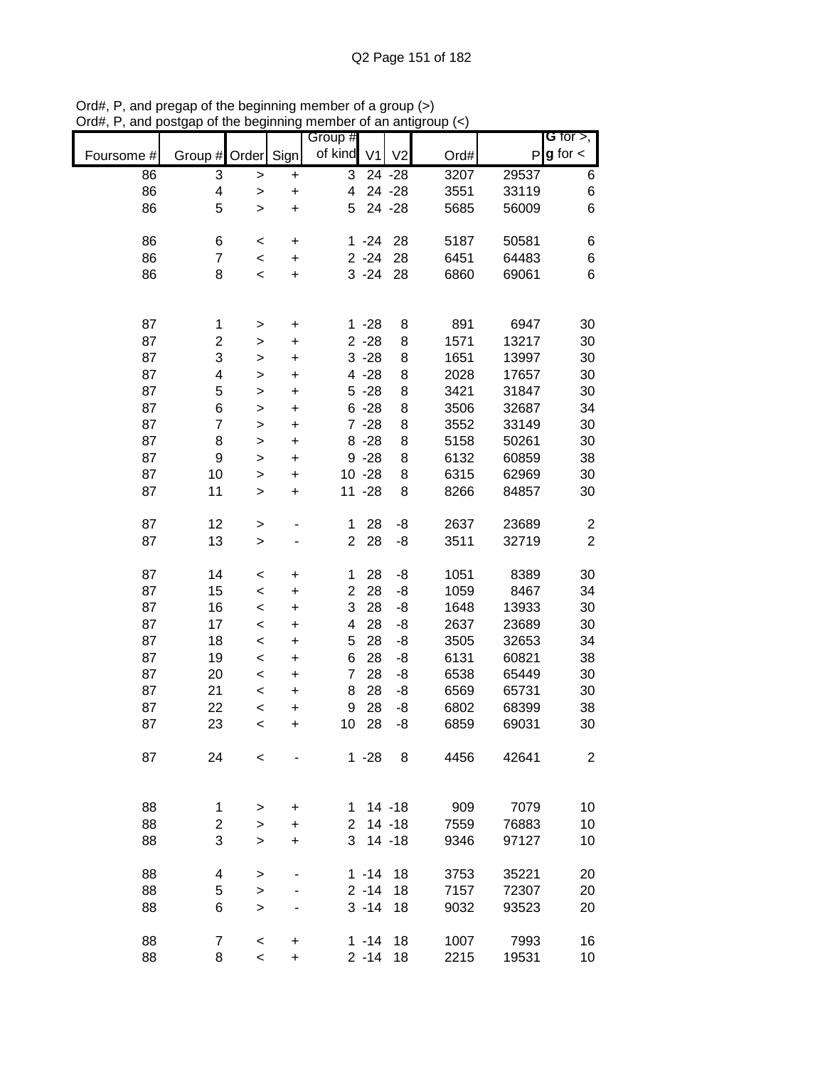|            |                |                          |                | Group #                 |                |                |      |       | G for $>$ ,             |
|------------|----------------|--------------------------|----------------|-------------------------|----------------|----------------|------|-------|-------------------------|
| Foursome # | Group #        | Order Sign               |                | of kind                 | V <sub>1</sub> | V <sub>2</sub> | Ord# |       | $P$ <b>g</b> for $\lt$  |
| 86         | 3              | >                        | $\pmb{+}$      | 3                       |                | 24 - 28        | 3207 | 29537 | 6                       |
| 86         | 4              | $\,$                     | $\ddot{}$      | $\overline{\mathbf{4}}$ |                | 24 - 28        | 3551 | 33119 | 6                       |
| 86         | 5              | $\mathbf{L}$             | $\ddot{}$      | 5                       |                | 24 - 28        | 5685 | 56009 | 6                       |
| 86         | 6              | $\,<$                    | $\pmb{+}$      |                         | $1 - 24$       | 28             | 5187 | 50581 | 6                       |
| 86         | $\overline{7}$ | $\prec$                  | $\pmb{+}$      |                         | $2 - 24$       | 28             | 6451 | 64483 | 6                       |
| 86         | 8              | $\prec$                  | $\ddot{}$      |                         | $3 - 24$       | 28             | 6860 | 69061 | 6                       |
|            |                |                          |                |                         |                |                |      |       |                         |
| 87         | 1              | $\, > \,$                | $\pmb{+}$      |                         | $1 - 28$       | 8              | 891  | 6947  | 30                      |
| 87         | 2              | $\,$                     | $\ddot{}$      |                         | $2 - 28$       | 8              | 1571 | 13217 | 30                      |
| 87         | 3              | $\,$                     | $\pmb{+}$      |                         | $3 - 28$       | 8              | 1651 | 13997 | 30                      |
| 87         | 4              | $\mathbf{L}$             | $\ddot{}$      |                         | $4 - 28$       | 8              | 2028 | 17657 | 30                      |
| 87         | 5              | $\mathbf{I}$             | $\pmb{+}$      |                         | $5 - 28$       | 8              | 3421 | 31847 | 30                      |
| 87         | 6              | $\mathbf{I}$             | $\ddot{}$      |                         | $6 - 28$       | 8              | 3506 | 32687 | 34                      |
| 87         | $\overline{7}$ | $\,$                     | $\ddot{}$      |                         | $7 - 28$       | 8              | 3552 | 33149 | 30                      |
| 87         | 8              | $\geq$                   | $\ddot{}$      |                         | $8 - 28$       | 8              | 5158 | 50261 | 30                      |
| 87         | 9              | $\,$                     | $\pmb{+}$      |                         | $9 - 28$       | 8              | 6132 | 60859 | 38                      |
| 87         | 10             | $\,$                     | $\ddot{}$      |                         | $10 - 28$      | 8              | 6315 | 62969 | 30                      |
| 87         | 11             | $\mathbf{I}$             | $\ddot{}$      |                         | $11 - 28$      | 8              | 8266 | 84857 | 30                      |
| 87         | 12             | $\,$                     |                | 1                       | 28             | -8             | 2637 | 23689 | $\overline{\mathbf{c}}$ |
| 87         | 13             | $\geq$                   |                | $\overline{2}$          | 28             | -8             | 3511 | 32719 | $\overline{2}$          |
| 87         | 14             | $\,<$                    | +              | 1                       | 28             | -8             | 1051 | 8389  | 30                      |
| 87         | 15             | $\,<$                    | +              | $\overline{c}$          | 28             | -8             | 1059 | 8467  | 34                      |
| 87         | 16             | $\,<$                    | $\pmb{+}$      | 3                       | 28             | -8             | 1648 | 13933 | 30                      |
| 87         | 17             | $\,<$                    | $\pmb{+}$      | 4                       | 28             | -8             | 2637 | 23689 | 30                      |
| 87         | 18             | $\prec$                  | $\pmb{+}$      | 5                       | 28             | -8             | 3505 | 32653 | 34                      |
| 87         | 19             | $\,<$                    | $\pmb{+}$      | 6                       | 28             | -8             | 6131 | 60821 | 38                      |
| 87         | 20             | $\prec$                  | $\pmb{+}$      | $\overline{7}$          | 28             | -8             | 6538 | 65449 | 30                      |
| 87         | 21             | $\prec$                  | $\ddot{}$      | 8                       | 28             | -8             | 6569 | 65731 | 30                      |
| 87         | 22             | $\prec$                  | $\ddot{}$      | $\boldsymbol{9}$        | 28             | -8             | 6802 | 68399 | 38                      |
| 87         | 23             | $\prec$                  | $\ddot{}$      | 10                      | 28             | -8             | 6859 | 69031 | 30                      |
| 87         | 24             | $\,<$                    |                |                         | $1 - 28$       | 8              | 4456 | 42641 | 2                       |
| 88         | $\mathbf{1}$   |                          |                | 1.                      |                | $14 - 18$      | 909  | 7079  | 10                      |
| 88         | $\overline{2}$ | >                        | +<br>$\ddot{}$ | $\overline{2}$          |                | $14 - 18$      | 7559 | 76883 | 10                      |
| 88         | 3              | $\, > \,$                | $\ddot{}$      | 3                       |                | $14 - 18$      | 9346 | 97127 | 10                      |
|            |                | $\, > \,$                |                |                         |                |                |      |       |                         |
| 88         | 4              | >                        |                |                         | $1 - 14$       | 18             | 3753 | 35221 | 20                      |
| 88         | 5              | $\, > \,$                |                |                         | $2 - 14$       | 18             | 7157 | 72307 | 20                      |
| 88         | 6              | $\geq$                   |                |                         | $3 - 14$       | 18             | 9032 | 93523 | 20                      |
| 88         | $\overline{7}$ | $\,<$                    | +              |                         | $1 - 14$       | 18             | 1007 | 7993  | 16                      |
| 88         | 8              | $\overline{\phantom{a}}$ | $\ddot{}$      |                         | $2 - 14$       | 18             | 2215 | 19531 | 10                      |

Ord#, P, and pregap of the beginning member of a group (>) Ord#, P, and postgap of the beginning member of an antigroup (<)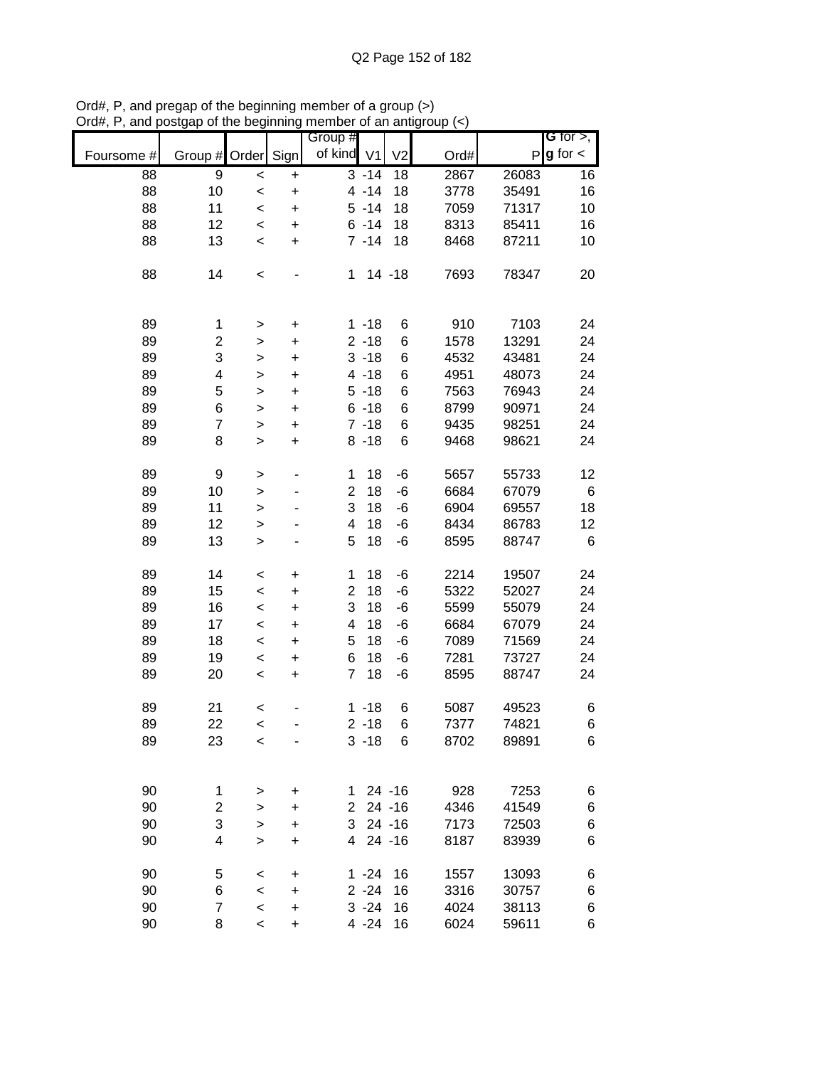|            |                         |              |           | Group #        |          |                |      |       | $G$ for $>$ , |
|------------|-------------------------|--------------|-----------|----------------|----------|----------------|------|-------|---------------|
| Foursome # | Group # Order Sign      |              |           | of kind V1     |          | V <sub>2</sub> | Ord# | P     | $g$ for $\lt$ |
| 88         | 9                       | $\,<$        | $\ddot{}$ |                | $3 - 14$ | 18             | 2867 | 26083 | 16            |
| 88         | 10                      | $\prec$      | $\ddot{}$ |                | $4 - 14$ | 18             | 3778 | 35491 | 16            |
| 88         | 11                      | $\prec$      | $\ddot{}$ |                | $5 - 14$ | 18             | 7059 | 71317 | 10            |
| 88         | 12                      | $\prec$      | $\ddot{}$ |                | $6 - 14$ | 18             | 8313 | 85411 | 16            |
| 88         | 13                      | $\,<$        | $\ddot{}$ |                | $7 - 14$ | 18             | 8468 | 87211 | 10            |
| 88         | 14                      | $\,<$        |           | 1              |          | $14 - 18$      | 7693 | 78347 | 20            |
| 89         | 1                       | $\,$         | $\ddot{}$ |                | $1 - 18$ | 6              | 910  | 7103  | 24            |
| 89         | $\overline{c}$          | $\,$         | $\ddot{}$ |                | $2 - 18$ | 6              | 1578 | 13291 | 24            |
| 89         | 3                       | $\geq$       | $\ddot{}$ |                | $3 - 18$ | 6              | 4532 | 43481 | 24            |
| 89         | 4                       | $\mathbf{I}$ | $\ddot{}$ |                | $4 - 18$ | 6              | 4951 | 48073 | 24            |
| 89         | 5                       | $\geq$       | $\ddot{}$ |                | $5 - 18$ | 6              | 7563 | 76943 | 24            |
| 89         | 6                       | $\mathbf{I}$ | $\ddot{}$ |                | $6 - 18$ | 6              | 8799 | 90971 | 24            |
| 89         | $\overline{7}$          | $\mathbf{I}$ | $\ddot{}$ |                | $7 - 18$ | 6              | 9435 | 98251 | 24            |
| 89         | 8                       | $\geq$       | +         |                | $8 - 18$ | 6              | 9468 | 98621 | 24            |
| 89         | 9                       | $\,$         | ۰         | 1              | 18       | -6             | 5657 | 55733 | 12            |
| 89         | 10                      | $\geq$       |           | $\overline{2}$ | 18       | -6             | 6684 | 67079 | $\,6$         |
| 89         | 11                      | $\geq$       |           | 3              | 18       | -6             | 6904 | 69557 | 18            |
| 89         | 12                      | $\mathbf{I}$ |           | 4              | 18       | -6             | 8434 | 86783 | 12            |
| 89         | 13                      | $\mathbf{I}$ |           | 5              | 18       | -6             | 8595 | 88747 | 6             |
| 89         | 14                      | $\,<$        | +         | 1              | 18       | -6             | 2214 | 19507 | 24            |
| 89         | 15                      | $\,<$        | +         | $\overline{2}$ | 18       | -6             | 5322 | 52027 | 24            |
| 89         | 16                      | $\,<$        | $\ddot{}$ | 3              | 18       | -6             | 5599 | 55079 | 24            |
| 89         | 17                      | $\,<$        | +         | 4              | 18       | -6             | 6684 | 67079 | 24            |
| 89         | 18                      | $\,<$        | +         | 5              | 18       | -6             | 7089 | 71569 | 24            |
| 89         | 19                      | $\,<$        | $\ddot{}$ | 6              | 18       | -6             | 7281 | 73727 | 24            |
| 89         | 20                      | $\prec$      | $\ddot{}$ | $\overline{7}$ | 18       | -6             | 8595 | 88747 | 24            |
| 89         | 21                      | $\,<$        |           |                | $1 - 18$ | 6              | 5087 | 49523 | 6             |
| 89         | 22                      | $\prec$      |           |                | $2 - 18$ | 6              | 7377 | 74821 | 6             |
| 89         | 23                      | $\,<$        |           |                | $3 - 18$ | 6              | 8702 | 89891 | 6             |
|            |                         |              |           |                |          |                |      |       |               |
| 90         | 1                       | >            | +         | 1.             |          | $24 - 16$      | 928  | 7253  | 6             |
| 90         | $\overline{\mathbf{c}}$ | >            | +         | 2              |          | $24 - 16$      | 4346 | 41549 | 6             |
| 90         | 3                       | $\,$         | +         | 3              |          | $24 - 16$      | 7173 | 72503 | 6             |
| 90         | 4                       | $\, > \,$    | +         | $\overline{4}$ |          | $24 - 16$      | 8187 | 83939 | 6             |
| 90         | 5                       | <            | +         |                | $1 - 24$ | 16             | 1557 | 13093 | 6             |
| 90         | 6                       | $\,<$        | +         |                | $2 - 24$ | 16             | 3316 | 30757 | 6             |
| 90         | $\overline{7}$          | $\prec$      | +         |                | $3 - 24$ | 16             | 4024 | 38113 | 6             |
| 90         | 8                       | $\prec$      | +         |                | $4 - 24$ | 16             | 6024 | 59611 | 6             |

Ord#, P, and pregap of the beginning member of a group (>) Ord#, P, and postgap of the beginning member of an antigroup (<)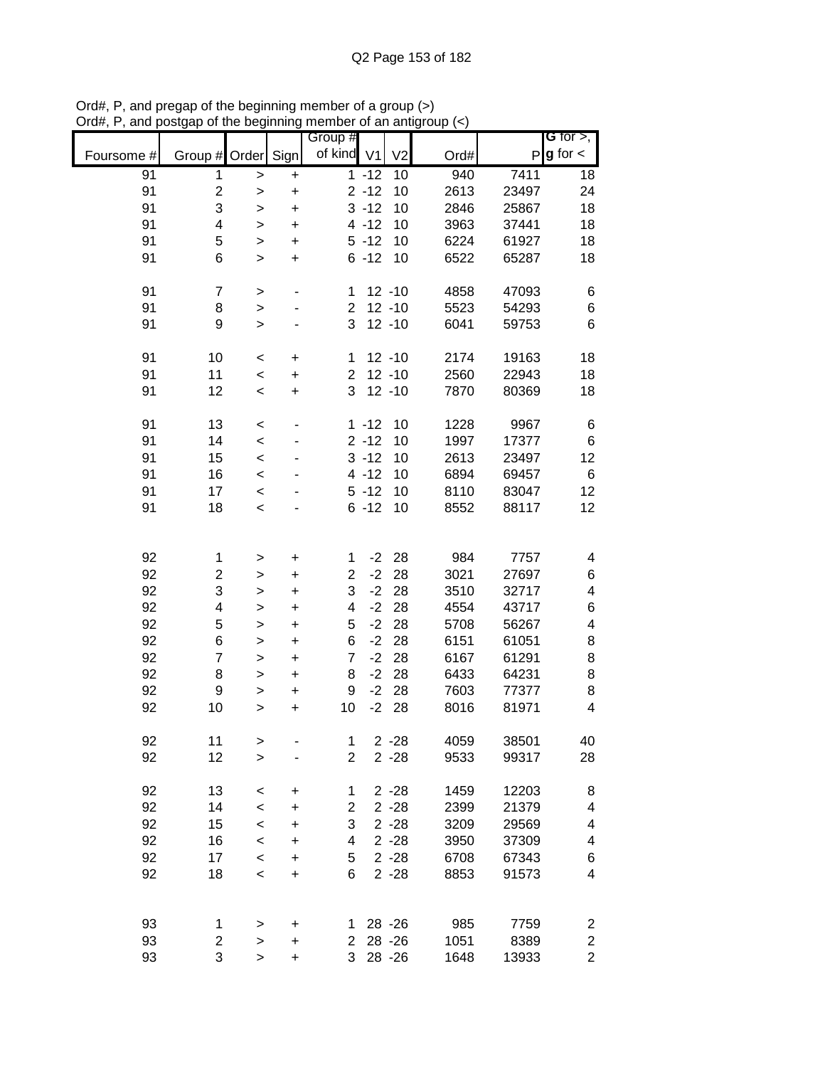|            |                         |              |                              | Group #             |          |                        |      |       | G for $>$ ,             |
|------------|-------------------------|--------------|------------------------------|---------------------|----------|------------------------|------|-------|-------------------------|
| Foursome # | Group # Order Sign      |              |                              | of kind V1          |          | V <sub>2</sub>         | Ord# | P     | $g$ for $\lt$           |
| 91         | 1                       | $\,$         | +                            |                     | $1 - 12$ | 10                     | 940  | 7411  | 18                      |
| 91         | $\overline{\mathbf{c}}$ | $\geq$       | $\ddot{}$                    |                     | $2 - 12$ | 10                     | 2613 | 23497 | 24                      |
| 91         | 3                       | >            | $\ddot{}$                    |                     | $3 - 12$ | 10                     | 2846 | 25867 | 18                      |
| 91         | 4                       | $\,$         | $\ddot{}$                    |                     | $4 - 12$ | 10                     | 3963 | 37441 | 18                      |
| 91         | 5                       | $\mathbf{I}$ | $\ddot{}$                    |                     | $5 - 12$ | 10                     | 6224 | 61927 | 18                      |
| 91         | 6                       | $\, > \,$    | $\ddot{}$                    |                     | $6 - 12$ | 10                     | 6522 | 65287 | 18                      |
|            |                         |              |                              |                     |          |                        |      |       |                         |
| 91         | 7                       | $\, > \,$    | $\qquad \qquad \blacksquare$ | 1                   |          | $12 - 10$<br>$12 - 10$ | 4858 | 47093 | 6                       |
| 91         | 8                       | $\geq$       | $\overline{\phantom{a}}$     | $\overline{2}$<br>3 |          | $12 - 10$              | 5523 | 54293 | $\,6$<br>$6\phantom{1}$ |
| 91         | 9                       | $\,$         |                              |                     |          |                        | 6041 | 59753 |                         |
| 91         | 10                      | $\,<$        | $\ddot{}$                    | 1                   |          | $12 - 10$              | 2174 | 19163 | 18                      |
| 91         | 11                      | $\prec$      | $\ddot{}$                    | $\overline{2}$      |          | $12 - 10$              | 2560 | 22943 | 18                      |
| 91         | 12                      | $\,<\,$      | $\ddot{}$                    | 3                   |          | $12 - 10$              | 7870 | 80369 | 18                      |
| 91         | 13                      | $\,<\,$      |                              |                     | $1 - 12$ | 10                     | 1228 | 9967  | 6                       |
| 91         | 14                      | $\,<$        |                              |                     | $2 - 12$ | 10                     | 1997 | 17377 | $\,6$                   |
| 91         | 15                      | $\prec$      |                              |                     | $3 - 12$ | 10                     | 2613 | 23497 | 12                      |
| 91         | 16                      | $\prec$      |                              |                     | $4 - 12$ | 10                     | 6894 | 69457 | 6                       |
| 91         | 17                      | $\,<$        |                              |                     | $5 - 12$ | 10                     | 8110 | 83047 | 12                      |
| 91         | 18                      | $\prec$      |                              |                     | $6 - 12$ | 10                     | 8552 | 88117 | 12                      |
|            |                         |              |                              |                     |          |                        |      |       |                         |
|            |                         |              |                              |                     |          |                        |      |       |                         |
| 92         | 1                       | >            | +                            | 1                   | $-2$     | 28                     | 984  | 7757  | 4                       |
| 92         | 2                       | >            | +                            | $\overline{c}$      | $-2$     | 28                     | 3021 | 27697 | 6                       |
| 92         | 3                       | >            | +                            | 3                   | $-2$     | 28                     | 3510 | 32717 | 4                       |
| 92         | 4                       | $\mathbf{I}$ | $\ddot{}$                    | 4                   | $-2$     | 28                     | 4554 | 43717 | 6                       |
| 92         | 5                       | $\mathbf{I}$ | $\ddot{}$                    | 5                   | $-2$     | 28                     | 5708 | 56267 | $\overline{\mathbf{4}}$ |
| 92         | 6                       | $\,>$        | $\ddot{}$                    | 6                   | $-2$     | 28                     | 6151 | 61051 | 8                       |
| 92         | $\overline{7}$          | $\mathbf{I}$ | $\ddot{}$                    | $\overline{7}$      | $-2$     | 28                     | 6167 | 61291 | 8                       |
| 92         | 8                       | $\mathbf{I}$ | $\ddot{}$                    | 8                   | $-2$     | 28                     | 6433 | 64231 | 8                       |
| 92         | 9                       | >            | $\ddot{}$                    | 9                   | $-2$     | 28                     | 7603 | 77377 | 8                       |
| 92         | 10                      | $\, > \,$    | $\ddot{}$                    | 10                  | $-2$     | 28                     | 8016 | 81971 | $\overline{\mathbf{4}}$ |
| 92         | 11                      | $\geq$       |                              | 1                   |          | $2 - 28$               | 4059 | 38501 | 40                      |
| 92         | 12                      | $\mathbf{I}$ |                              | $\overline{2}$      |          | $2 - 28$               | 9533 | 99317 | 28                      |
|            |                         |              |                              |                     |          |                        |      |       |                         |
| 92         | 13                      | $\,<$        | +                            | 1                   |          | $2 - 28$               | 1459 | 12203 | 8                       |
| 92         | 14                      | $\prec$      | +                            | $\overline{c}$      |          | $2 - 28$               | 2399 | 21379 | 4                       |
| 92         | 15                      | $\prec$      | +                            | 3                   |          | $2 - 28$               | 3209 | 29569 | 4                       |
| 92         | 16                      | $\prec$      | +                            | 4                   |          | $2 - 28$               | 3950 | 37309 | 4                       |
| 92         | 17                      | $\,<$        | +                            | 5                   |          | $2 - 28$               | 6708 | 67343 | 6                       |
| 92         | 18                      | $\prec$      | $\ddot{}$                    | 6                   |          | $2 - 28$               | 8853 | 91573 | 4                       |
|            |                         |              |                              |                     |          |                        |      |       |                         |
| 93         | 1                       | >            | +                            | 1.                  |          | 28 - 26                | 985  | 7759  | 2                       |
| 93         | 2                       | $\, > \,$    | $\ddot{}$                    | $\overline{2}$      |          | 28 - 26                | 1051 | 8389  | $\boldsymbol{2}$        |
| 93         | 3                       | $\,$         | $\ddot{}$                    | 3                   |          | 28 - 26                | 1648 | 13933 | $\overline{2}$          |

Ord#, P, and pregap of the beginning member of a group (>) Ord#, P, and postgap of the beginning member of an antigroup (<)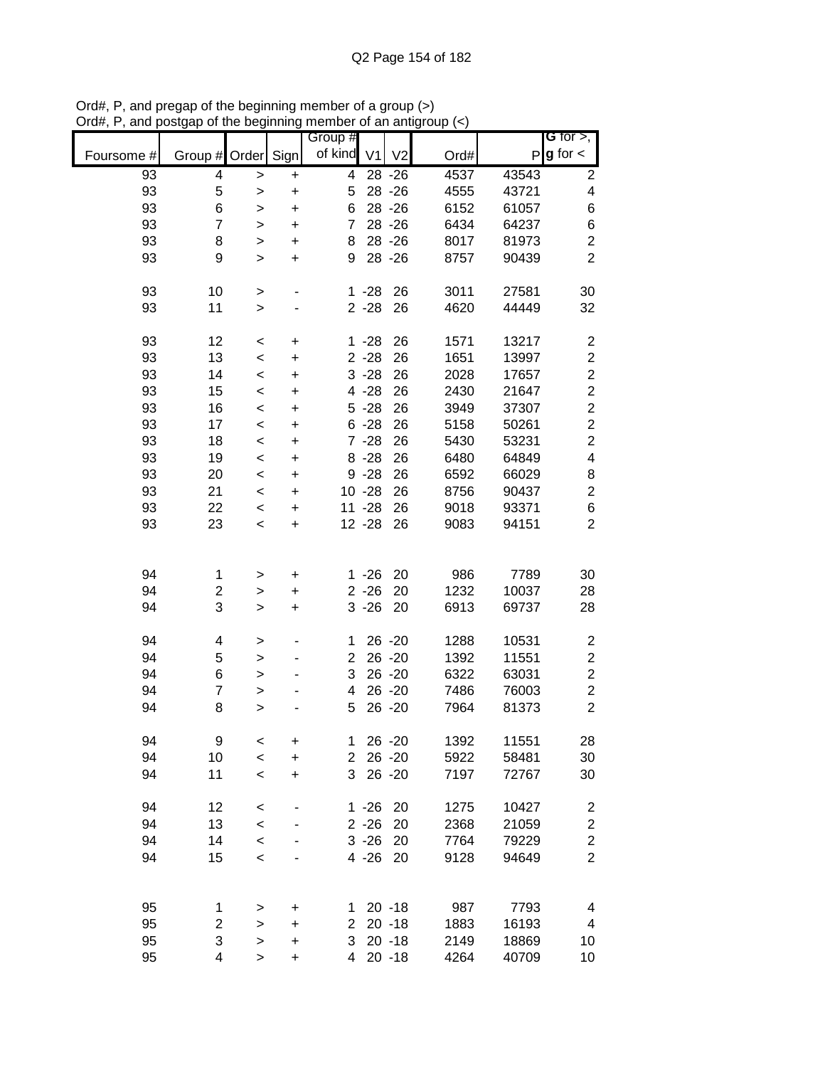|            |                         |              |           | Group #        |                |                |      |       | G for $>$ ,             |
|------------|-------------------------|--------------|-----------|----------------|----------------|----------------|------|-------|-------------------------|
| Foursome # | Group #                 | Order        | Sign      | of kind        | V <sub>1</sub> | V <sub>2</sub> | Ord# | P     | $g$ for $\lt$           |
| 93         | 4                       | >            | +         | 4              |                | 28 - 26        | 4537 | 43543 | 2                       |
| 93         | 5                       | >            | $\ddot{}$ | 5              |                | 28 - 26        | 4555 | 43721 | 4                       |
| 93         | 6                       | >            | $\ddot{}$ | 6              |                | 28 - 26        | 6152 | 61057 | 6                       |
| 93         | $\overline{7}$          | >            | $\ddot{}$ | $\overline{7}$ |                | 28 - 26        | 6434 | 64237 | 6                       |
| 93         | 8                       | $\, > \,$    | $\ddot{}$ | 8              |                | 28 - 26        | 8017 | 81973 | $\overline{c}$          |
| 93         | 9                       | $\, > \,$    | $\ddot{}$ | 9              |                | 28 - 26        | 8757 | 90439 | $\overline{2}$          |
| 93         | 10                      | >            |           |                | $1 - 28$       | 26             | 3011 | 27581 | 30                      |
| 93         | 11                      | $\mathbf{I}$ |           |                | $2 - 28$       | 26             | 4620 | 44449 | 32                      |
| 93         | 12                      | $\,<$        | $\pmb{+}$ |                | $1 - 28$       | 26             | 1571 | 13217 | 2                       |
| 93         | 13                      | $\,<$        | $\ddot{}$ |                | $2 - 28$       | 26             | 1651 | 13997 | $\overline{\mathbf{c}}$ |
| 93         | 14                      | $\prec$      | $\ddot{}$ |                | $3 - 28$       | 26             | 2028 | 17657 | $\overline{\mathbf{c}}$ |
| 93         | 15                      | $\prec$      | $\ddot{}$ |                | $4 - 28$       | 26             | 2430 | 21647 | $\overline{c}$          |
| 93         | 16                      | $\prec$      | $\ddot{}$ |                | $5 - 28$       | 26             | 3949 | 37307 | $\overline{c}$          |
| 93         | 17                      | $\prec$      | $\ddot{}$ |                | $6 - 28$       | 26             | 5158 | 50261 | $\overline{c}$          |
| 93         | 18                      | $\prec$      | $\ddot{}$ |                | $7 - 28$       | 26             | 5430 | 53231 | $\overline{2}$          |
| 93         | 19                      | $\prec$      | $\ddot{}$ |                | $8 - 28$       | 26             | 6480 | 64849 | 4                       |
| 93         | 20                      | $\prec$      | $\ddot{}$ |                | $9 - 28$       | 26             | 6592 | 66029 | 8                       |
| 93         | 21                      | $\,<$        | $\ddot{}$ |                | $10 - 28$      | 26             | 8756 | 90437 | $\overline{c}$          |
| 93         | 22                      | $\,<$        | $\ddot{}$ |                | $11 - 28$      | 26             | 9018 | 93371 | 6                       |
| 93         | 23                      | $\prec$      | $\ddot{}$ |                | $12 - 28$      | 26             | 9083 | 94151 | $\overline{2}$          |
|            |                         |              |           |                |                |                |      |       |                         |
| 94         | 1                       | >            | +         |                | $1 - 26$       | 20             | 986  | 7789  | 30                      |
| 94         | $\overline{\mathbf{c}}$ | >            | +         |                | $2 - 26$       | 20             | 1232 | 10037 | 28                      |
| 94         | 3                       | $\,$         | $\ddot{}$ |                | $3 - 26$       | 20             | 6913 | 69737 | 28                      |
| 94         | 4                       | >            | ٠         | 1              |                | $26 - 20$      | 1288 | 10531 | $\overline{\mathbf{c}}$ |
| 94         | 5                       | $\,$         | ٠         | $\overline{2}$ |                | 26 - 20        | 1392 | 11551 | $\overline{\mathbf{c}}$ |
| 94         | 6                       | $\mathbf{I}$ | ÷         | 3              |                | 26 - 20        | 6322 | 63031 | $\overline{\mathbf{c}}$ |
| 94         | 7                       | $\,$         |           | 4              |                | 26 - 20        | 7486 | 76003 | $\overline{2}$          |
| 94         | 8                       | >            |           | 5              |                | 26 - 20        | 7964 | 81373 | $\overline{2}$          |
| 94         | 9                       | $\,<$        | +         | 1              |                | $26 - 20$      | 1392 | 11551 | 28                      |
| 94         | 10                      | $\prec$      | $\ddot{}$ | $\overline{2}$ |                | $26 - 20$      | 5922 | 58481 | 30                      |
| 94         | 11                      | $\,<$        | $\ddot{}$ | 3              |                | $26 - 20$      | 7197 | 72767 | 30                      |
| 94         | 12                      | $\,<$        |           |                | $1 - 26$       | 20             | 1275 | 10427 | $\overline{\mathbf{c}}$ |
| 94         | 13                      | $\prec$      |           |                | $2 - 26$       | 20             | 2368 | 21059 | $\overline{\mathbf{c}}$ |
| 94         | 14                      | $\prec$      |           |                | $3 - 26$       | 20             | 7764 | 79229 | $\overline{\mathbf{c}}$ |
| 94         | 15                      | $\prec$      |           |                | $4 - 26$       | 20             | 9128 | 94649 | $\overline{2}$          |
|            |                         |              |           |                |                |                |      |       |                         |
| 95         | 1                       | >            | +         | 1.             |                | $20 - 18$      | 987  | 7793  | 4                       |
| 95         | $\overline{\mathbf{c}}$ | >            | +         | $\overline{2}$ |                | $20 - 18$      | 1883 | 16193 | 4                       |
| 95         | 3                       | $\,$         | $\ddot{}$ | 3              |                | $20 - 18$      | 2149 | 18869 | 10                      |
| 95         | 4                       | $\, > \,$    | $\ddot{}$ | $\overline{4}$ |                | $20 - 18$      | 4264 | 40709 | 10                      |

Ord#, P, and pregap of the beginning member of a group (>) Ord#, P, and postgap of the beginning member of an antigroup (<)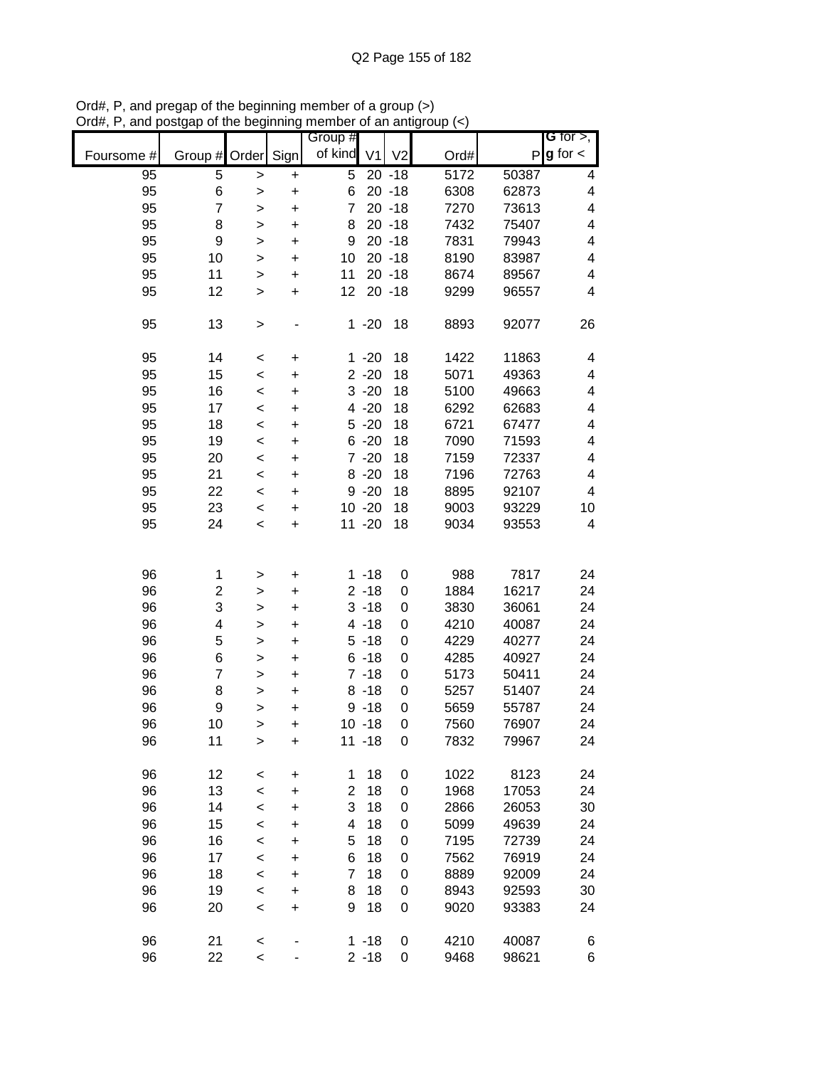|            |         |              |           | Group #        |                |                |      |       | G for $>$ ,             |
|------------|---------|--------------|-----------|----------------|----------------|----------------|------|-------|-------------------------|
| Foursome # | Group # | Order        | Sign      | of kind        | V <sub>1</sub> | V <sub>2</sub> | Ord# | P     | $g$ for $\lt$           |
| 95         | 5       | >            | +         | 5              |                | $20 - 18$      | 5172 | 50387 | 4                       |
| 95         | 6       | $\geq$       | $\ddot{}$ | 6              |                | $20 - 18$      | 6308 | 62873 | 4                       |
| 95         | 7       | $\geq$       | $\ddot{}$ | 7              |                | $20 - 18$      | 7270 | 73613 | 4                       |
| 95         | 8       | >            | $\ddot{}$ | 8              |                | $20 - 18$      | 7432 | 75407 | 4                       |
| 95         | 9       | $\mathbf{I}$ | $\ddot{}$ | 9              |                | $20 - 18$      | 7831 | 79943 | 4                       |
| 95         | 10      | >            | $\ddot{}$ | 10             |                | $20 - 18$      | 8190 | 83987 | $\overline{\mathbf{4}}$ |
| 95         | 11      | >            | $\ddot{}$ | 11             |                | $20 - 18$      | 8674 | 89567 | 4                       |
| 95         | 12      | >            | $\ddot{}$ | 12             |                | $20 - 18$      | 9299 | 96557 | 4                       |
| 95         | 13      | $\, > \,$    |           |                | $1 - 20$       | 18             | 8893 | 92077 | 26                      |
| 95         | 14      | $\,<$        | +         |                | $1 - 20$       | 18             | 1422 | 11863 | 4                       |
| 95         | 15      | $\prec$      | $\ddot{}$ |                | $2 - 20$       | 18             | 5071 | 49363 | 4                       |
| 95         | 16      | $\prec$      | $\ddot{}$ |                | $3 - 20$       | 18             | 5100 | 49663 | 4                       |
| 95         | 17      | $\prec$      | $\ddot{}$ |                | $4 - 20$       | 18             | 6292 | 62683 | 4                       |
| 95         | 18      | $\,<$        | $\ddot{}$ |                | $5 - 20$       | 18             | 6721 | 67477 | $\overline{\mathbf{4}}$ |
| 95         | 19      | $\,<$        | $\ddot{}$ |                | $6 - 20$       | 18             | 7090 | 71593 | 4                       |
| 95         | 20      | $\,<$        | $\ddot{}$ |                | $7 - 20$       | 18             | 7159 | 72337 | 4                       |
| 95         | 21      | $\,<$        | $\ddot{}$ |                | $8 - 20$       | 18             | 7196 | 72763 | 4                       |
| 95         | 22      | $\prec$      | $\ddot{}$ |                | $9 - 20$       | 18             | 8895 | 92107 | 4                       |
| 95         | 23      | $\,<$        | $\ddot{}$ |                | $10 - 20$      | 18             | 9003 | 93229 | 10                      |
| 95         | 24      | $\prec$      | $\ddot{}$ |                | $11 - 20$      | 18             | 9034 | 93553 | 4                       |
|            |         |              |           |                |                |                |      |       |                         |
| 96         | 1       | >            | +         |                | $1 - 18$       | 0              | 988  | 7817  | 24                      |
| 96         | 2       | >            | +         |                | $2 - 18$       | 0              | 1884 | 16217 | 24                      |
| 96         | 3       | >            | +         |                | $3 - 18$       | 0              | 3830 | 36061 | 24                      |
| 96         | 4       | $\geq$       | $\ddot{}$ |                | $4 - 18$       | 0              | 4210 | 40087 | 24                      |
| 96         | 5       | >            | $\ddot{}$ |                | $5 - 18$       | 0              | 4229 | 40277 | 24                      |
| 96         | 6       | $\mathbf{I}$ | $\ddot{}$ |                | $6 - 18$       | 0              | 4285 | 40927 | 24                      |
| 96         | 7       | $\mathbf{I}$ | $\ddot{}$ |                | $7 - 18$       | 0              | 5173 | 50411 | 24                      |
| 96         | 8       | >            | $\ddot{}$ |                | $8 - 18$       | 0              | 5257 | 51407 | 24                      |
| 96         | 9       | >            | $\ddot{}$ |                | $9 - 18$       | 0              | 5659 | 55787 | 24                      |
| 96         | 10      | >            | $\ddot{}$ |                | $10 - 18$      | 0              | 7560 | 76907 | 24                      |
| 96         | 11      | $\geq$       | $\ddot{}$ |                | $11 - 18$      | 0              | 7832 | 79967 | 24                      |
| 96         | 12      | <            | +         | 1              | 18             | 0              | 1022 | 8123  | 24                      |
| 96         | 13      | $\prec$      | $\ddot{}$ | $\overline{c}$ | 18             | 0              | 1968 | 17053 | 24                      |
| 96         | 14      | $\,<$        | +         | 3              | 18             | 0              | 2866 | 26053 | 30                      |
| 96         | 15      | $\prec$      | +         | 4              | 18             | 0              | 5099 | 49639 | 24                      |
| 96         | 16      | $\prec$      | +         | 5              | 18             | 0              | 7195 | 72739 | 24                      |
| 96         | 17      | $\,<$        | $\ddot{}$ | 6              | 18             | 0              | 7562 | 76919 | 24                      |
| 96         | 18      | $\prec$      | $\ddot{}$ | 7              | 18             | 0              | 8889 | 92009 | 24                      |
| 96         | 19      | $\,<$        | +         | 8              | 18             | 0              | 8943 | 92593 | 30                      |
| 96         | 20      | $\,<$        | $\ddot{}$ | 9              | 18             | 0              | 9020 | 93383 | 24                      |
| 96         | 21      | $\,<$        |           |                | $1 - 18$       | 0              | 4210 | 40087 | 6                       |
| 96         | 22      | $\prec$      |           |                | $2 - 18$       | 0              | 9468 | 98621 | 6                       |

Ord#, P, and pregap of the beginning member of a group (>) Ord#, P, and postgap of the beginning member of an antigroup (<)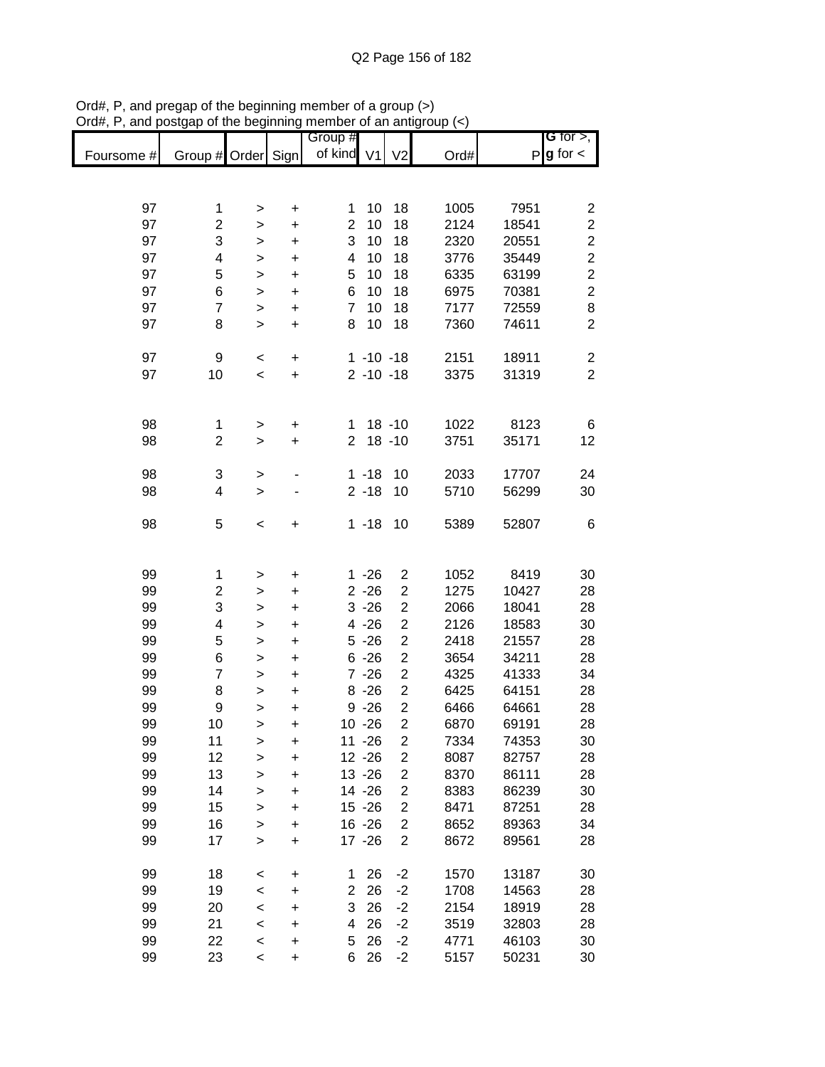|            |                         |           |             | Group #             |               |                         |              |                | G for $>$ ,             |
|------------|-------------------------|-----------|-------------|---------------------|---------------|-------------------------|--------------|----------------|-------------------------|
| Foursome # | Group # Order Sign      |           |             | of kind V1          |               | V <sub>2</sub>          | Ord#         |                | $P g$ for $\lt$         |
|            |                         |           |             |                     |               |                         |              |                |                         |
|            |                         |           |             |                     |               |                         |              |                |                         |
| 97         | 1                       | >         | $\ddot{}$   | 1                   | 10            | 18                      | 1005         | 7951           | 2                       |
| 97         | $\overline{c}$          | $\geq$    | $\ddot{}$   | $\overline{2}$      | 10            | 18                      | 2124         | 18541          | 2                       |
| 97         | 3                       | >         | $\ddot{}$   | 3                   | 10            | 18                      | 2320         | 20551          | $\overline{\mathbf{c}}$ |
| 97         | 4                       | >         | $\ddot{}$   | 4                   | 10            | 18                      | 3776         | 35449          | $\overline{c}$          |
| 97         | 5                       | >         | +           | 5                   | 10            | 18                      | 6335         | 63199          | $\overline{\mathbf{c}}$ |
| 97<br>97   | 6<br>$\overline{7}$     | $\,>$     | $\ddot{}$   | 6<br>$\overline{7}$ | 10<br>10      | 18                      | 6975         | 70381          | $\boldsymbol{2}$        |
| 97         | 8                       | >         | $\ddot{}$   | 8                   | 10            | 18<br>18                | 7177<br>7360 | 72559<br>74611 | 8<br>$\overline{c}$     |
|            |                         | $\, > \,$ | $\ddot{}$   |                     |               |                         |              |                |                         |
| 97         | 9                       | <         | +           |                     | $1 - 10 - 18$ |                         | 2151         | 18911          | 2                       |
| 97         | 10                      | $\,<$     | +           |                     | $2 - 10 - 18$ |                         | 3375         | 31319          | $\overline{2}$          |
|            |                         |           |             |                     |               |                         |              |                |                         |
|            |                         |           |             |                     |               |                         |              |                |                         |
| 98         | 1                       | $\,>$     | +           | 1                   |               | $18 - 10$               | 1022         | 8123           | 6                       |
| 98         | $\overline{c}$          | $\geq$    | $\ddot{}$   | $\overline{2}$      |               | $18 - 10$               | 3751         | 35171          | 12                      |
| 98         | 3                       | $\,>$     |             |                     | $1 - 18$      | 10                      | 2033         | 17707          | 24                      |
| 98         | 4                       | $\geq$    |             |                     | $2 - 18$      | 10                      | 5710         | 56299          | 30                      |
|            |                         |           |             |                     |               |                         |              |                |                         |
| 98         | 5                       | $\,<$     | +           |                     | $1 - 18$      | 10                      | 5389         | 52807          | 6                       |
|            |                         |           |             |                     |               |                         |              |                |                         |
|            |                         |           |             |                     |               |                         |              |                |                         |
| 99         | 1                       | >         | +           |                     | $1 - 26$      | $\overline{\mathbf{c}}$ | 1052         | 8419           | 30                      |
| 99         | $\overline{\mathbf{c}}$ | >         | +           |                     | $2 - 26$      | 2                       | 1275         | 10427          | 28                      |
| 99         | 3                       | >         | $\mathbf +$ |                     | $3 - 26$      | $\overline{\mathbf{c}}$ | 2066         | 18041          | 28                      |
| 99         | 4                       | >         | $\mathbf +$ |                     | $4 - 26$      | $\overline{\mathbf{c}}$ | 2126         | 18583          | 30                      |
| 99         | 5                       | >         | +           |                     | $5 - 26$      | $\overline{\mathbf{c}}$ | 2418         | 21557          | 28                      |
| 99         | 6                       | >         | +           |                     | $6 - 26$      | $\overline{\mathbf{c}}$ | 3654         | 34211          | 28                      |
| 99         | 7                       | >         | $\ddot{}$   |                     | $7 - 26$      | $\overline{\mathbf{c}}$ | 4325         | 41333          | 34                      |
| 99         | 8                       | >         | +           |                     | $8 - 26$      | $\overline{\mathbf{c}}$ | 6425         | 64151          | 28                      |
| 99         | 9                       | $\geq$    | $\ddot{}$   |                     | $9 - 26$      | $\overline{c}$          | 6466         | 64661          | 28                      |
| 99         | 10                      | $\geq$    | $\ddot{}$   |                     | $10 - 26$     | $\overline{c}$          | 6870         | 69191          | 28                      |
| 99         | 11                      | >         | $\ddot{}$   |                     | $11 - 26$     | 2                       | 7334         | 74353          | 30                      |
| 99         | 12                      | >         | $\ddot{}$   |                     | $12 - 26$     | $\overline{c}$          | 8087         | 82757          | 28                      |
| 99         | 13                      | >         | $\ddot{}$   |                     | $13 - 26$     | $\overline{c}$          | 8370         | 86111          | 28                      |
| 99         | 14                      | $\geq$    | +           |                     | 14 - 26       | $\overline{\mathbf{c}}$ | 8383         | 86239          | 30                      |
| 99         | 15                      | $\geq$    | $\ddot{}$   |                     | $15 - 26$     | $\overline{\mathbf{c}}$ | 8471         | 87251          | 28                      |
| 99         | 16                      | $\geq$    | $\ddot{}$   |                     | $16 - 26$     | $\overline{\mathbf{c}}$ | 8652         | 89363          | 34                      |
| 99         | 17                      | $\geq$    | $\ddot{}$   |                     | $17 - 26$     | $\overline{2}$          | 8672         | 89561          | 28                      |
| 99         | 18                      | <         | $\mathbf +$ | 1                   | 26            | $-2$                    | 1570         | 13187          | 30                      |
| 99         | 19                      | $\prec$   | +           | $\overline{2}$      | 26            | $-2$                    | 1708         | 14563          | 28                      |
| 99         | 20                      | <         | +           | 3                   | 26            | $-2$                    | 2154         | 18919          | 28                      |
| 99         | 21                      | <         | +           | 4                   | 26            | $-2$                    | 3519         | 32803          | 28                      |
| 99         | 22                      | <         | +           | 5                   | 26            | $-2$                    | 4771         | 46103          | 30                      |
| 99         | 23                      | $\,<$     | $\ddot{}$   | 6                   | 26            | $-2$                    | 5157         | 50231          | 30                      |
|            |                         |           |             |                     |               |                         |              |                |                         |

Ord#, P, and pregap of the beginning member of a group (>) Ord#, P, and postgap of the beginning member of an antigroup (<)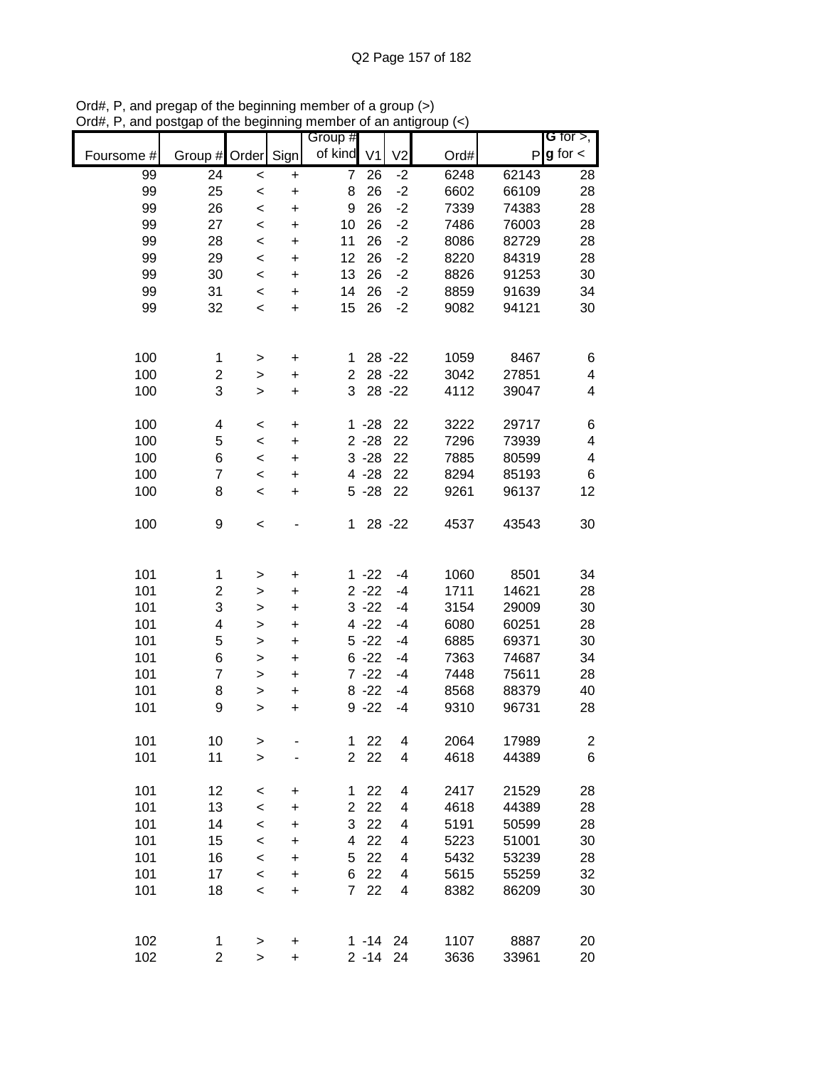|            |                         |              |           | Group #        |                |                          |      |       | G for $>$ ,    |
|------------|-------------------------|--------------|-----------|----------------|----------------|--------------------------|------|-------|----------------|
| Foursome # | Group # Order Sign      |              |           | of kind        | V <sub>1</sub> | V <sub>2</sub>           | Ord# | P     | $g$ for $\lt$  |
| 99         | 24                      | $\prec$      | $\ddot{}$ | $\overline{7}$ | 26             | $-2$                     | 6248 | 62143 | 28             |
| 99         | 25                      | $\,<$        | $\ddot{}$ | 8              | 26             | $-2$                     | 6602 | 66109 | 28             |
| 99         | 26                      | $\,<$        | $\ddot{}$ | 9              | 26             | $-2$                     | 7339 | 74383 | 28             |
| 99         | 27                      | $\prec$      | $\ddot{}$ | 10             | 26             | $-2$                     | 7486 | 76003 | 28             |
| 99         | 28                      | $\,<$        | $\ddot{}$ | 11             | 26             | $-2$                     | 8086 | 82729 | 28             |
| 99         | 29                      | $\,<$        | $\ddot{}$ | 12             | 26             | $-2$                     | 8220 | 84319 | 28             |
| 99         | 30                      | $\,<$        | +         | 13             | 26             | $-2$                     | 8826 | 91253 | 30             |
| 99         | 31                      | $\,<$        | +         | 14             | 26             | $-2$                     | 8859 | 91639 | 34             |
| 99         | 32                      | $\,<$        | $\ddot{}$ | 15             | 26             | $-2$                     | 9082 | 94121 | 30             |
|            |                         |              |           |                |                |                          |      |       |                |
| 100        | 1                       | $\,>$        | +         | 1.             |                | 28 - 22                  | 1059 | 8467  | 6              |
| 100        | $\overline{c}$          | >            | $\ddot{}$ | $\overline{2}$ |                | 28 - 22                  | 3042 | 27851 | 4              |
| 100        | 3                       | $\geq$       | $\ddot{}$ | 3              |                | 28 - 22                  | 4112 | 39047 | 4              |
|            |                         |              |           |                |                |                          |      |       |                |
| 100        | 4                       | $\,<$        | $\ddot{}$ |                | $1 - 28$       | 22                       | 3222 | 29717 | 6              |
| 100        | 5                       | $\prec$      | $\ddot{}$ |                | $2 - 28$       | 22                       | 7296 | 73939 | 4              |
| 100        | 6                       | $\,<$        | $\ddot{}$ |                | $3 - 28$       | 22                       | 7885 | 80599 | 4              |
| 100        | $\overline{7}$          | $\,<$        | $\ddot{}$ |                | $4 - 28$       | 22                       | 8294 | 85193 | 6              |
| 100        | 8                       | $\,<$        | $\ddot{}$ |                | $5 - 28$       | 22                       | 9261 | 96137 | 12             |
| 100        | 9                       | $\,<$        |           | 1              |                | 28 - 22                  | 4537 | 43543 | 30             |
|            |                         |              |           |                |                |                          |      |       |                |
| 101        | 1                       | >            | +         |                | $1 - 22$       | -4                       | 1060 | 8501  | 34             |
| 101        | $\overline{\mathbf{c}}$ | >            | +         |                | $2 - 22$       | -4                       | 1711 | 14621 | 28             |
| 101        | 3                       | >            | +         |                | $3 - 22$       | -4                       | 3154 | 29009 | 30             |
| 101        | 4                       | >            | +         |                | $4 - 22$       | -4                       | 6080 | 60251 | 28             |
| 101        | 5                       | $\mathbf{L}$ | $\ddot{}$ |                | $5 - 22$       | -4                       | 6885 | 69371 | 30             |
| 101        | 6                       | >            | $\ddot{}$ |                | $6 - 22$       | -4                       | 7363 | 74687 | 34             |
| 101        | $\overline{7}$          | $\,>$        | $\ddot{}$ |                | $7 - 22$       | -4                       | 7448 | 75611 | 28             |
| 101        | 8                       | >            | $\pmb{+}$ |                | $8 - 22$       | -4                       | 8568 | 88379 | 40             |
| 101        | 9                       | >            | $\ddot{}$ |                | $9 - 22$       | $-4$                     | 9310 | 96731 | 28             |
|            |                         |              |           |                |                |                          |      |       |                |
| 101        | 10                      | >            |           | 1              | 22             | $\overline{\mathbf{4}}$  | 2064 | 17989 | $\overline{c}$ |
| 101        | 11                      | $\geq$       |           | $\overline{2}$ | 22             | 4                        | 4618 | 44389 | 6              |
| 101        | 12                      | $\prec$      | $\ddot{}$ | 1              | 22             | 4                        | 2417 | 21529 | 28             |
| 101        | 13                      | $\prec$      | $\ddot{}$ | $\overline{2}$ | 22             | $\overline{\mathcal{A}}$ | 4618 | 44389 | 28             |
| 101        | 14                      | $\prec$      | $\ddot{}$ | 3              | 22             | 4                        | 5191 | 50599 | 28             |
| 101        | 15                      | $\prec$      | $\ddot{}$ | 4              | 22             | 4                        | 5223 | 51001 | 30             |
| 101        | 16                      | $\prec$      | +         | 5              | 22             | 4                        | 5432 | 53239 | 28             |
| 101        | 17                      | $\prec$      | $\ddot{}$ | 6              | 22             | 4                        | 5615 | 55259 | 32             |
| 101        | 18                      | $\prec$      | $\ddot{}$ | $\overline{7}$ | 22             | $\overline{\mathbf{4}}$  | 8382 | 86209 | 30             |
|            |                         |              |           |                |                |                          |      |       |                |
| 102        | 1                       | $\, > \,$    | $\pmb{+}$ |                | $1 - 14$ 24    |                          | 1107 | 8887  | 20             |
| 102        | $\overline{c}$          | $\mathbf{L}$ | $\ddot{}$ |                | $2 - 14$ 24    |                          | 3636 | 33961 | 20             |

Ord#, P, and pregap of the beginning member of a group (>) Ord#, P, and postgap of the beginning member of an antigroup (<)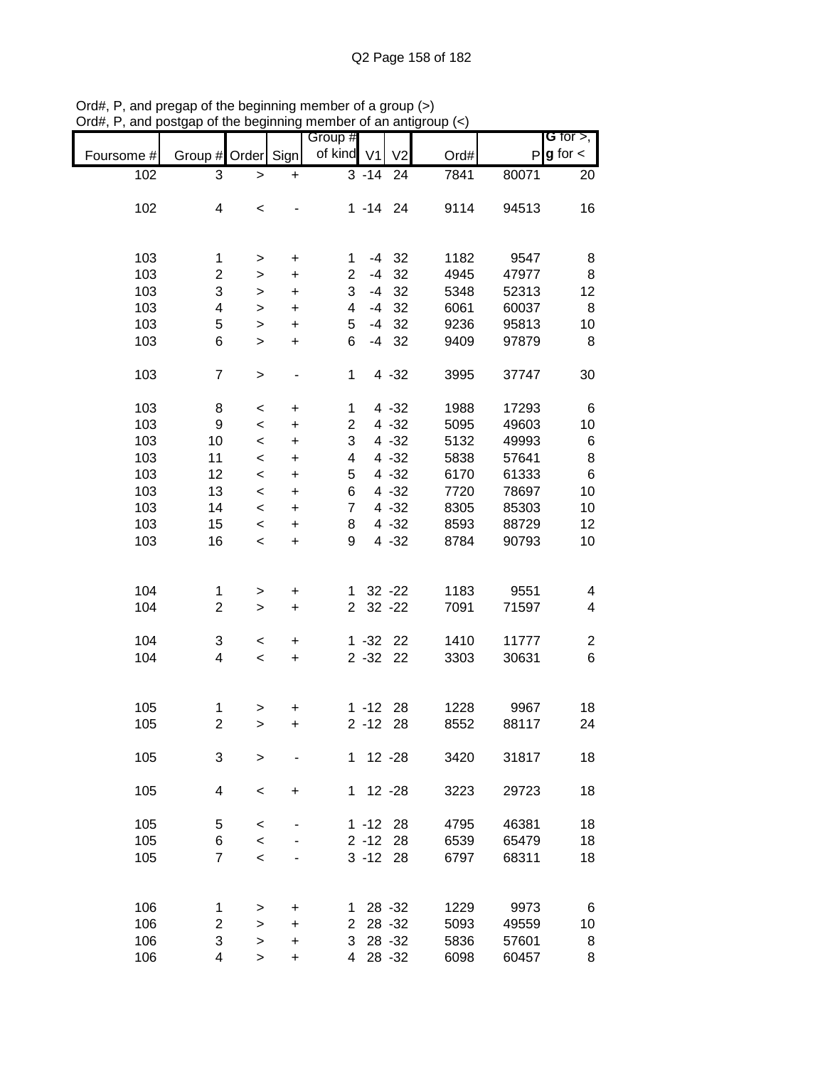|            |                          |           |           | Group #                 |                     |                |      |       | G for $>$ ,   |
|------------|--------------------------|-----------|-----------|-------------------------|---------------------|----------------|------|-------|---------------|
| Foursome # | Group # Order            |           | Sign      | of kind V1              |                     | V <sub>2</sub> | Ord# | P     | $g$ for $\lt$ |
| 102        | 3                        | $\,$      | +         |                         | $\overline{3} - 14$ | 24             | 7841 | 80071 | 20            |
|            |                          |           |           |                         |                     |                |      |       |               |
| 102        | $\overline{\mathcal{A}}$ | $\,<$     |           |                         | $1 - 14$ 24         |                | 9114 | 94513 | 16            |
|            |                          |           |           |                         |                     |                |      |       |               |
|            |                          |           |           |                         |                     |                |      |       |               |
|            |                          |           |           |                         |                     |                |      |       |               |
| 103        | 1                        | >         | +         | 1                       |                     | $-4$ 32        | 1182 | 9547  | 8             |
| 103        | 2                        | >         | +         | $\overline{\mathbf{c}}$ | $-4$                | 32             | 4945 | 47977 | 8             |
| 103        | 3                        | >         | +         | 3                       | -4                  | 32             | 5348 | 52313 | 12            |
| 103        | 4                        | >         | +         | 4                       | -4                  | 32             | 6061 | 60037 | 8             |
| 103        | 5                        | $\, > \,$ | $\ddot{}$ | 5                       | $-4$                | 32             | 9236 | 95813 | 10            |
| 103        | 6                        | $\, > \,$ | $\ddot{}$ | 6                       | $-4$                | 32             | 9409 | 97879 | 8             |
|            |                          |           |           |                         |                     |                |      |       |               |
| 103        | $\overline{7}$           | $\, > \,$ |           | 1                       |                     | $4 - 32$       | 3995 | 37747 | 30            |
|            |                          |           |           |                         |                     |                |      |       |               |
| 103        |                          |           |           |                         |                     |                | 1988 |       |               |
|            | 8                        | $\,<$     | $\ddot{}$ | 1                       |                     | $4 - 32$       |      | 17293 | 6             |
| 103        | $\boldsymbol{9}$         | $\,<$     | $\ddot{}$ | $\overline{2}$          |                     | $4 - 32$       | 5095 | 49603 | 10            |
| 103        | 10                       | $\,<$     | $\ddot{}$ | 3                       |                     | $4 - 32$       | 5132 | 49993 | 6             |
| 103        | 11                       | $\,<$     | $\ddot{}$ | 4                       |                     | $4 - 32$       | 5838 | 57641 | 8             |
| 103        | 12                       | $\,<$     | $\ddot{}$ | 5                       |                     | $4 - 32$       | 6170 | 61333 | 6             |
| 103        | 13                       | $\,<$     | $\ddot{}$ | 6                       |                     | $4 - 32$       | 7720 | 78697 | 10            |
| 103        | 14                       | $\,<$     | $\ddot{}$ | $\overline{7}$          |                     | $4 - 32$       | 8305 | 85303 | 10            |
| 103        | 15                       | $\,<$     | +         | 8                       |                     | $4 - 32$       | 8593 | 88729 | 12            |
| 103        | 16                       | $\,<$     | $\ddot{}$ | 9                       |                     | $4 - 32$       | 8784 | 90793 | 10            |
|            |                          |           |           |                         |                     |                |      |       |               |
|            |                          |           |           |                         |                     |                |      |       |               |
| 104        | 1                        |           |           | 1                       |                     | $32 - 22$      | 1183 | 9551  | 4             |
|            |                          | >         | +         |                         |                     |                |      |       |               |
| 104        | $\overline{2}$           | $\, > \,$ | $\ddot{}$ | $\overline{2}$          |                     | $32 - 22$      | 7091 | 71597 | 4             |
|            |                          |           |           |                         |                     |                |      |       |               |
| 104        | 3                        | $\,<$     | +         |                         | $1 - 32$ 22         |                | 1410 | 11777 | 2             |
| 104        | 4                        | $\,<$     | $\ddot{}$ |                         | $2 - 32$            | 22             | 3303 | 30631 | 6             |
|            |                          |           |           |                         |                     |                |      |       |               |
|            |                          |           |           |                         |                     |                |      |       |               |
| 105        | 1                        | >         | +         |                         | $1 - 12$ 28         |                | 1228 | 9967  | 18            |
| 105        | $\overline{c}$           | $\geq$    | $\ddot{}$ |                         | $2 - 12$            | 28             | 8552 | 88117 | 24            |
|            |                          |           |           |                         |                     |                |      |       |               |
| 105        | 3                        | >         |           |                         | $1 12 -28$          |                | 3420 | 31817 | 18            |
|            |                          |           |           |                         |                     |                |      |       |               |
| 105        | 4                        | $\,<\,$   | +         |                         | $1 12 -28$          |                | 3223 | 29723 | 18            |
|            |                          |           |           |                         |                     |                |      |       |               |
|            |                          |           |           |                         | $1 - 12$ 28         |                | 4795 |       | 18            |
| 105        | 5                        | $\,<$     |           |                         |                     |                |      | 46381 |               |
| 105        | 6                        | $\prec$   |           |                         | $2 - 12$ 28         |                | 6539 | 65479 | 18            |
| 105        | $\overline{7}$           | $\,<$     |           |                         | $3 - 12$ 28         |                | 6797 | 68311 | 18            |
|            |                          |           |           |                         |                     |                |      |       |               |
|            |                          |           |           |                         |                     |                |      |       |               |
| 106        | 1                        | >         | +         | 1.                      |                     | 28 - 32        | 1229 | 9973  | 6             |
| 106        | 2                        | $\, > \,$ | +         | $\overline{2}$          |                     | 28 - 32        | 5093 | 49559 | 10            |
| 106        | 3                        | >         | +         | 3                       |                     | 28 - 32        | 5836 | 57601 | 8             |
| 106        | 4                        | $\, > \,$ | +         | 4                       |                     | 28 - 32        | 6098 | 60457 | 8             |

Ord#, P, and pregap of the beginning member of a group (>) Ord#, P, and postgap of the beginning member of an antigroup (<)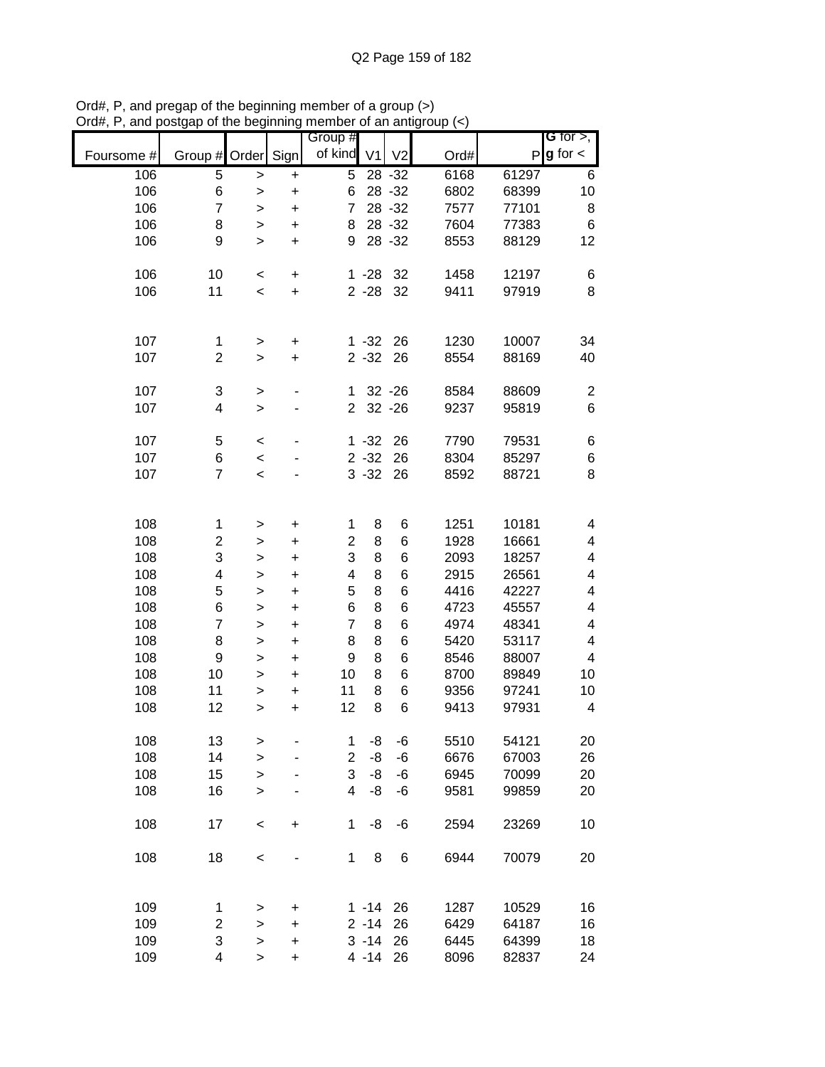|            |                |           |           | Group #        |                |                |      |       | G for $>$ ,      |
|------------|----------------|-----------|-----------|----------------|----------------|----------------|------|-------|------------------|
| Foursome # | Group #        | Order     | Sign      | of kind        | V <sub>1</sub> | V <sub>2</sub> | Ord# | P     | $g$ for $\lt$    |
| 106        | 5              | >         | $\ddot{}$ | 5              |                | $28 - 32$      | 6168 | 61297 | 6                |
| 106        | 6              | >         | $\ddot{}$ | 6              |                | 28 - 32        | 6802 | 68399 | 10               |
| 106        | $\overline{7}$ | >         | $\ddot{}$ | 7              |                | 28 - 32        | 7577 | 77101 | 8                |
| 106        | 8              | >         | $\ddot{}$ | 8              |                | 28 - 32        | 7604 | 77383 | 6                |
| 106        | 9              | $\geq$    | $\ddot{}$ | 9              |                | 28 - 32        | 8553 | 88129 | 12               |
|            |                |           |           |                |                |                |      |       |                  |
| 106        | 10             | $\,<$     | $\pmb{+}$ |                | $1 - 28$       | 32             | 1458 | 12197 | 6                |
| 106        | 11             | $\,<$     | $\ddot{}$ |                | $2 - 28$       | 32             | 9411 | 97919 | 8                |
|            |                |           |           |                |                |                |      |       |                  |
|            |                |           |           |                |                |                |      |       |                  |
| 107        | 1              | $\, > \,$ | $\pmb{+}$ |                | $1 - 32$       | 26             | 1230 | 10007 | 34               |
| 107        | $\overline{2}$ | $\, > \,$ | $\ddot{}$ |                | $2 - 32$       | 26             | 8554 | 88169 | 40               |
|            |                |           |           |                |                |                |      |       |                  |
| 107        | 3              | $\,$      | ٠         | 1              |                | $32 - 26$      | 8584 | 88609 | $\boldsymbol{2}$ |
| 107        | 4              | $\, > \,$ |           | $\overline{2}$ |                | $32 - 26$      | 9237 | 95819 | 6                |
|            |                |           |           |                |                |                |      |       |                  |
| 107        | 5              | $\,<$     |           |                | $1 - 32$       | 26             | 7790 | 79531 | 6                |
| 107        | 6              | $\,<$     |           |                | $2 - 32$       | 26             | 8304 | 85297 | 6                |
| 107        | 7              | $\prec$   |           |                | $3 - 32$       | 26             | 8592 | 88721 | 8                |
|            |                |           |           |                |                |                |      |       |                  |
|            |                |           |           |                |                |                |      |       |                  |
| 108        | 1              | >         | +         | 1              | 8              | 6              | 1251 | 10181 | 4                |
| 108        | 2              | >         | +         | 2              | 8              | 6              | 1928 | 16661 | 4                |
| 108        | 3              | >         | +         | 3              | 8              | 6              | 2093 | 18257 | 4                |
| 108        | 4              | >         | +         | 4              | 8              | 6              | 2915 | 26561 | 4                |
| 108        | 5              | >         | +         | 5              | 8              | 6              | 4416 | 42227 | 4                |
| 108        | 6              | >         | +         | 6              | 8              | 6              | 4723 | 45557 | 4                |
| 108        | $\overline{7}$ | >         | $\ddot{}$ | $\overline{7}$ | 8              | 6              | 4974 | 48341 | 4                |
| 108        | 8              | >         | $\ddot{}$ | 8              | 8              | 6              | 5420 | 53117 | 4                |
| 108        | 9              | $\geq$    | $\ddot{}$ | 9              | 8              | 6              | 8546 | 88007 | 4                |
| 108        | 10             | $\, > \,$ | $\ddot{}$ | 10             | 8              | 6              | 8700 | 89849 | 10               |
| 108        | 11             | >         | $\ddot{}$ | 11             | 8              | 6              | 9356 | 97241 | 10               |
| 108        | 12             | >         | $\ddot{}$ | 12             | 8              | 6              | 9413 | 97931 | 4                |
|            |                |           |           |                |                |                |      |       |                  |
| 108        | 13             | >         |           | 1              | -8             | $-6$           | 5510 | 54121 | 20               |
| 108        | 14             | >         |           | $\overline{c}$ | -8             | -6             | 6676 | 67003 | 26               |
| 108        | 15             | >         |           | 3              | -8             | -6             | 6945 | 70099 | 20               |
| 108        | 16             | $\, > \,$ |           | $\overline{4}$ | -8             | -6             | 9581 | 99859 | 20               |
|            |                |           |           |                |                |                |      |       |                  |
| 108        | 17             | $\,<$     | $\pmb{+}$ | $\mathbf 1$    | -8             | $-6$           | 2594 | 23269 | 10               |
|            |                |           |           |                |                |                |      |       |                  |
| 108        | 18             | $\,<$     |           | $\mathbf{1}$   | 8              | 6              | 6944 | 70079 | 20               |
|            |                |           |           |                |                |                |      |       |                  |
|            |                |           |           |                |                |                |      |       |                  |
| 109        | 1              | >         | $\pmb{+}$ |                | $1 - 14$       | 26             | 1287 | 10529 | 16               |
| 109        | 2              | >         | +         |                | $2 - 14$       | 26             | 6429 | 64187 | 16               |
| 109        | 3              | >         | $\ddot{}$ |                | $3 - 14$       | 26             | 6445 | 64399 | 18               |
| 109        | 4              | >         | $\ddot{}$ |                | $4 - 14$       | 26             | 8096 | 82837 | 24               |
|            |                |           |           |                |                |                |      |       |                  |

Ord#, P, and pregap of the beginning member of a group (>) Ord#, P, and postgap of the beginning member of an antigroup (<)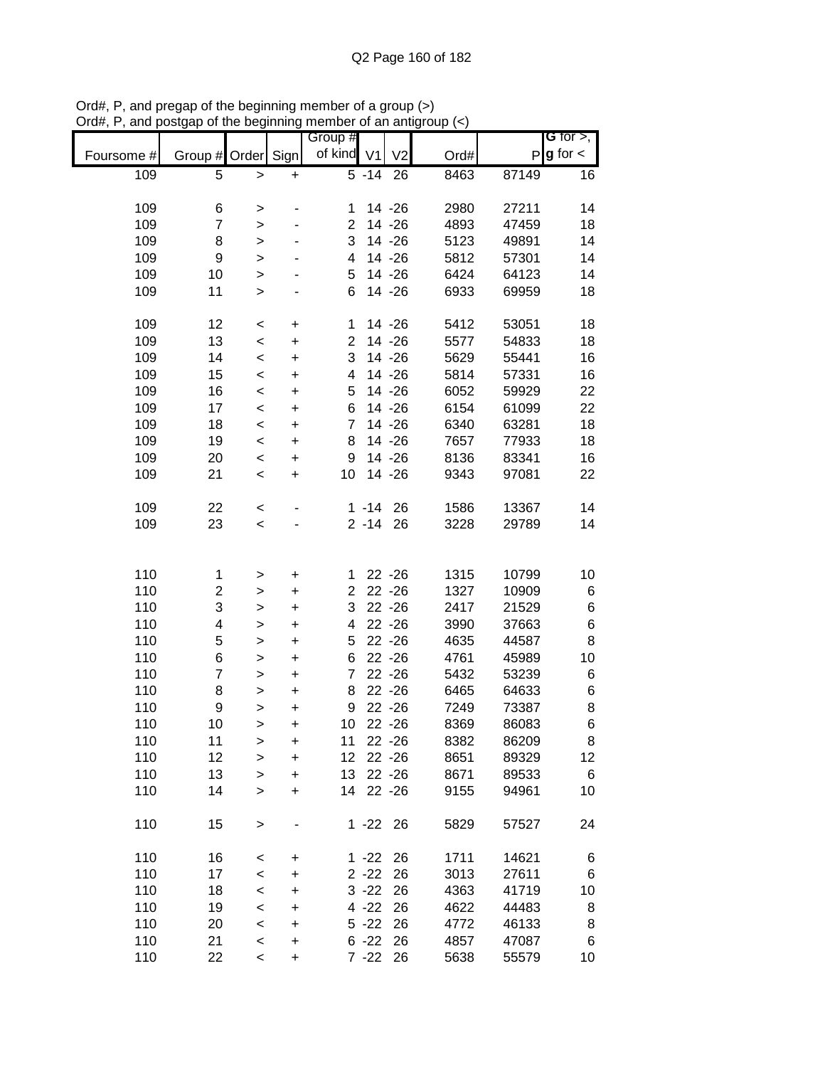|            |                  |                          |           | Group #        |                    |                |      |       | G for $>$ ,   |
|------------|------------------|--------------------------|-----------|----------------|--------------------|----------------|------|-------|---------------|
| Foursome # | Group # Order    |                          | Sign      | of kind V1     |                    | V <sub>2</sub> | Ord# | P     | $g$ for $\lt$ |
| 109        | 5                | $\mathbf{I}$             | +         |                | $\overline{5}$ -14 | 26             | 8463 | 87149 | 16            |
|            |                  |                          |           |                |                    |                |      |       |               |
| 109        | 6                | >                        |           | 1              |                    | 14 - 26        | 2980 | 27211 | 14            |
| 109        | $\overline{7}$   | $\geq$                   |           | 2              |                    | 14 - 26        | 4893 | 47459 | 18            |
| 109        | 8                | $\geq$                   |           | 3              |                    | 14 - 26        | 5123 | 49891 | 14            |
| 109        | 9                | $\mathbf{I}$             |           | 4              |                    | 14 - 26        | 5812 | 57301 | 14            |
| 109        | 10               |                          |           | 5              |                    | 14 - 26        | 6424 | 64123 | 14            |
| 109        | 11               | >                        |           | 6              |                    | 14 - 26        | 6933 |       |               |
|            |                  | $\, > \,$                |           |                |                    |                |      | 69959 | 18            |
|            |                  |                          |           |                |                    |                |      |       |               |
| 109        | 12               | $\,<$                    | $\ddot{}$ | 1              |                    | 14 - 26        | 5412 | 53051 | 18            |
| 109        | 13               | $\prec$                  | $\ddot{}$ | $\overline{2}$ |                    | 14 - 26        | 5577 | 54833 | 18            |
| 109        | 14               | $\prec$                  | $\ddot{}$ | 3              |                    | 14 - 26        | 5629 | 55441 | 16            |
| 109        | 15               | $\prec$                  | $\ddot{}$ | 4              |                    | 14 - 26        | 5814 | 57331 | 16            |
| 109        | 16               | $\prec$                  | $\ddot{}$ | 5              |                    | 14 - 26        | 6052 | 59929 | 22            |
| 109        | 17               | $\prec$                  | $\ddot{}$ | 6              |                    | $14 - 26$      | 6154 | 61099 | 22            |
| 109        | 18               | $\prec$                  | $\ddot{}$ | 7              |                    | 14 - 26        | 6340 | 63281 | 18            |
| 109        | 19               | $\prec$                  | $\ddot{}$ | 8              |                    | 14 - 26        | 7657 | 77933 | 18            |
| 109        | 20               | $\prec$                  | $\ddot{}$ | 9              |                    | 14 - 26        | 8136 | 83341 | 16            |
| 109        | 21               | $\,<$                    | $\ddot{}$ | 10             |                    | 14 - 26        | 9343 | 97081 | 22            |
|            |                  |                          |           |                |                    |                |      |       |               |
| 109        | 22               |                          |           |                | $1 - 14$           | 26             | 1586 | 13367 | 14            |
|            |                  | $\prec$                  |           |                |                    |                |      |       |               |
| 109        | 23               | $\prec$                  |           |                | $2 - 14$           | 26             | 3228 | 29789 | 14            |
|            |                  |                          |           |                |                    |                |      |       |               |
|            |                  |                          |           |                |                    |                |      |       |               |
| 110        | 1                | >                        | +         | 1              |                    | $22 - 26$      | 1315 | 10799 | 10            |
| 110        | 2                | >                        | +         | $\overline{2}$ |                    | $22 - 26$      | 1327 | 10909 | 6             |
| 110        | 3                | $\mathbf{I}$             | $\ddot{}$ | 3              |                    | $22 - 26$      | 2417 | 21529 | 6             |
| 110        | 4                | >                        | $\ddot{}$ | 4              |                    | $22 - 26$      | 3990 | 37663 | 6             |
| 110        | 5                | $\geq$                   | $\ddot{}$ | 5              |                    | $22 - 26$      | 4635 | 44587 | 8             |
| 110        | 6                | $\geq$                   | $\ddot{}$ | 6              |                    | $22 - 26$      | 4761 | 45989 | 10            |
| 110        | 7                | $\mathbf{I}$             | $\ddot{}$ | 7              |                    | $22 - 26$      | 5432 | 53239 | 6             |
| 110        | 8                | >                        | $\ddot{}$ | 8              |                    | $22 - 26$      | 6465 | 64633 | 6             |
| 110        | $\boldsymbol{9}$ | $\geq$                   | $\ddot{}$ | 9              |                    | $22 - 26$      | 7249 | 73387 | 8             |
| 110        | 10               |                          |           | 10             |                    | $22 - 26$      |      | 86083 | 6             |
|            |                  | >                        | $\ddot{}$ |                |                    |                | 8369 |       |               |
| 110        | 11               | >                        | +         | 11             |                    | $22 - 26$      | 8382 | 86209 | 8             |
| 110        | 12               | >                        | $\ddot{}$ | 12             |                    | $22 - 26$      | 8651 | 89329 | 12            |
| 110        | 13               | $\geq$                   | $\ddot{}$ | 13             |                    | $22 - 26$      | 8671 | 89533 | 6             |
| 110        | 14               | $\geq$                   | +         | 14             |                    | $22 - 26$      | 9155 | 94961 | 10            |
|            |                  |                          |           |                |                    |                |      |       |               |
| 110        | 15               | >                        |           |                | $1 - 22$ 26        |                | 5829 | 57527 | 24            |
|            |                  |                          |           |                |                    |                |      |       |               |
| 110        | 16               | $\,<$                    | +         |                | $1 - 22$           | 26             | 1711 | 14621 | 6             |
| 110        | 17               | $\,<$                    | +         |                | $2 - 22$           | 26             | 3013 | 27611 | 6             |
| 110        | 18               | $\,<$                    | +         |                | $3 - 22$           | 26             | 4363 | 41719 | 10            |
| 110        | 19               | $\,<$                    | +         |                | $4 - 22$           | 26             | 4622 | 44483 | 8             |
| 110        | 20               | $\,<$                    | +         |                | $5 - 22$           | 26             | 4772 | 46133 | 8             |
|            |                  |                          |           |                |                    |                |      |       |               |
| 110        | 21               | $\,<$                    | +         |                | $6 - 22$           | 26             | 4857 | 47087 | 6             |
| 110        | 22               | $\overline{\phantom{0}}$ | +         |                | $7 - 22$           | 26             | 5638 | 55579 | 10            |

Ord#, P, and pregap of the beginning member of a group (>) Ord#, P, and postgap of the beginning member of an antigroup (<)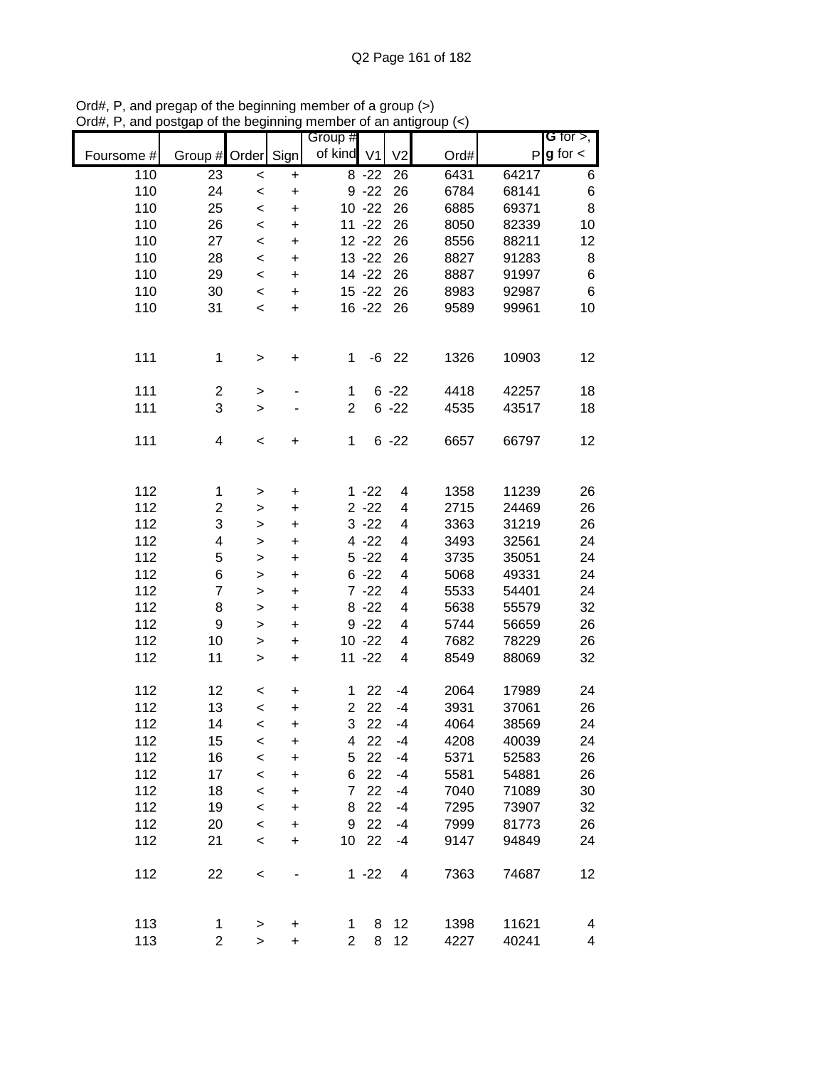|            |                          |              |           | Group #         |           |                          |      |       | G for $>$ ,   |
|------------|--------------------------|--------------|-----------|-----------------|-----------|--------------------------|------|-------|---------------|
| Foursome # | Group #                  | Order        | Sign      | of kind V1      |           | V <sub>2</sub>           | Ord# | P     | $g$ for $\lt$ |
| 110        | 23                       | $\,<$        | $\ddot{}$ |                 | $8 - 22$  | 26                       | 6431 | 64217 | 6             |
| 110        | 24                       | $\,<$        | $\ddot{}$ |                 | $9 - 22$  | 26                       | 6784 | 68141 | $\,6$         |
| 110        | 25                       | $\,<$        | $\ddot{}$ |                 | $10 - 22$ | 26                       | 6885 | 69371 | 8             |
| 110        | 26                       | $\,<$        | $\ddot{}$ |                 | $11 - 22$ | 26                       | 8050 | 82339 | 10            |
| 110        | 27                       | $\,<$        | +         |                 | $12 - 22$ | 26                       | 8556 | 88211 | 12            |
| 110        | 28                       | $\,<$        | $\ddot{}$ |                 | $13 - 22$ | 26                       | 8827 | 91283 | 8             |
| 110        | 29                       | $\,<$        | $\ddot{}$ |                 | 14 - 22   | 26                       | 8887 | 91997 | $\,6$         |
| 110        | 30                       | $\,<$        | $\ddot{}$ |                 | $15 - 22$ | 26                       | 8983 | 92987 | 6             |
| 110        | 31                       | $\,<$        | $\ddot{}$ |                 | $16 - 22$ | 26                       | 9589 | 99961 | 10            |
| 111        | 1                        | >            | $\ddot{}$ | 1               |           | $-6$ 22                  | 1326 | 10903 | 12            |
| 111        | $\boldsymbol{2}$         | $\, > \,$    |           | $\mathbf{1}$    |           | $6 - 22$                 | 4418 | 42257 | 18            |
| 111        | 3                        | $\, > \,$    |           | $\overline{2}$  |           | $6 - 22$                 | 4535 | 43517 | 18            |
| 111        | $\overline{\mathcal{A}}$ | $\,<$        | +         | $\mathbf{1}$    |           | $6 - 22$                 | 6657 | 66797 | 12            |
| 112        | 1                        | >            | $\pmb{+}$ |                 | $1 - 22$  | $\overline{\mathbf{4}}$  | 1358 | 11239 | 26            |
| 112        | $\overline{c}$           | >            | $\ddot{}$ |                 | $2 - 22$  | $\overline{\mathbf{4}}$  | 2715 | 24469 | 26            |
| 112        | 3                        | >            | $\ddot{}$ |                 | $3 - 22$  | 4                        | 3363 | 31219 | 26            |
| 112        | $\overline{\mathbf{4}}$  | >            | $\ddot{}$ |                 | $4 - 22$  | 4                        | 3493 | 32561 | 24            |
| 112        | 5                        | >            | $\ddot{}$ |                 | $5 - 22$  | 4                        | 3735 | 35051 | 24            |
| 112        | 6                        | $\,$         | $\ddot{}$ |                 | $6 - 22$  | 4                        | 5068 | 49331 | 24            |
| 112        | $\overline{7}$           | $\,$         | $\ddot{}$ |                 | $7 - 22$  | 4                        | 5533 | 54401 | 24            |
| 112        | 8                        | $\mathbf{I}$ | $\ddot{}$ |                 | $8 - 22$  | $\overline{\mathbf{4}}$  | 5638 | 55579 | 32            |
| 112        | $\boldsymbol{9}$         | $\geq$       | $\ddot{}$ |                 | $9 - 22$  | $\overline{\mathbf{4}}$  | 5744 | 56659 | 26            |
| 112        | 10                       | $\,$         | $\ddot{}$ |                 | $10 - 22$ | $\overline{\mathbf{4}}$  | 7682 | 78229 | 26            |
| 112        | 11                       | $\, > \,$    | $\ddot{}$ |                 | $11 - 22$ | $\overline{\mathcal{A}}$ | 8549 | 88069 | 32            |
| 112        | 12                       | $\,<\,$      | +         | 1               | 22        | $-4$                     | 2064 | 17989 | 24            |
| 112        | 13                       | $\prec$      | $\ddot{}$ | $\overline{2}$  | 22        | $-4$                     | 3931 | 37061 | 26            |
| 112        | 14                       | $\,<$        | $\ddot{}$ | 3               | 22        | -4                       | 4064 | 38569 | 24            |
| 112        | 15                       | $\,<$        | +         | 4               | 22        | $-4$                     | 4208 | 40039 | 24            |
| 112        | 16                       | $\prec$      | $\ddot{}$ | 5               | 22        | $-4$                     | 5371 | 52583 | 26            |
| 112        | 17                       | $\prec$      | +         | 6               | 22        | -4                       | 5581 | 54881 | 26            |
| 112        | 18                       | $\prec$      | +         | $\overline{7}$  | 22        | $-4$                     | 7040 | 71089 | 30            |
| 112        | 19                       | $\prec$      | +         | 8               | 22        | $-4$                     | 7295 | 73907 | 32            |
| 112        | 20                       | $\,<$        | +         | 9               | 22        | $-4$                     | 7999 | 81773 | 26            |
| 112        | 21                       | $\,<$        | $\ddot{}$ | 10 <sup>°</sup> | 22        | $-4$                     | 9147 | 94849 | 24            |
| 112        | 22                       | $\prec$      |           |                 | $1 - 22$  | 4                        | 7363 | 74687 | 12            |
| 113        | 1                        | $\, > \,$    | +         | 1               | 8         | 12                       | 1398 | 11621 | 4             |
| 113        | $\overline{c}$           | $\geq$       | $\ddot{}$ | $\overline{2}$  | 8         | 12                       | 4227 | 40241 | 4             |

Ord#, P, and pregap of the beginning member of a group (>) Ord#, P, and postgap of the beginning member of an antigroup (<)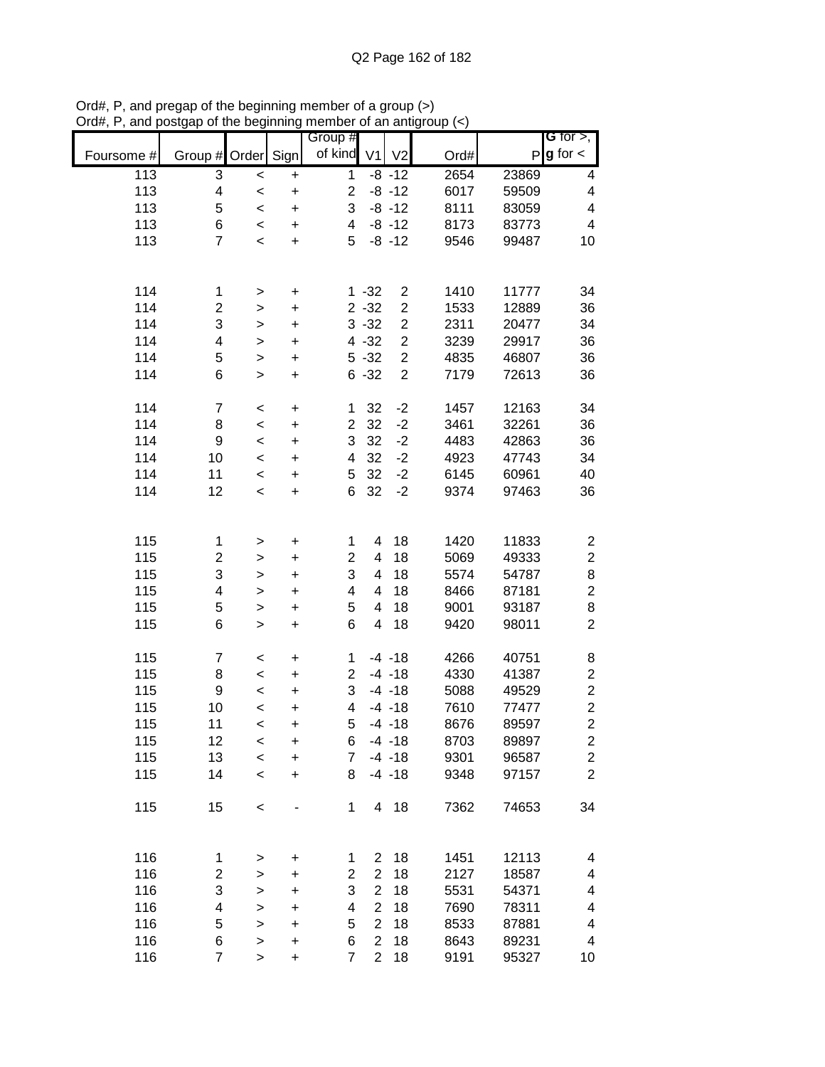|            |                         |                    |                        | Group #                 |                |                |      |       | <b>G</b> for $>$ ,       |
|------------|-------------------------|--------------------|------------------------|-------------------------|----------------|----------------|------|-------|--------------------------|
| Foursome # | Group # Order           |                    | Sign                   | of kind                 | V <sub>1</sub> | V <sub>2</sub> | Ord# | P     | $g$ for $\lt$            |
| 113        | 3                       |                    |                        | $\mathbf{1}$            |                | $-8 - 12$      | 2654 | 23869 | 4                        |
| 113        | 4                       | $\prec$<br>$\prec$ | $\ddot{}$<br>$\ddot{}$ | $\overline{\mathbf{c}}$ |                | $-8 - 12$      | 6017 | 59509 | 4                        |
| 113        | 5                       | $\,<$              | $\ddot{}$              | 3                       |                | $-8 - 12$      | 8111 | 83059 | 4                        |
| 113        | 6                       | $\prec$            | $\ddot{}$              | $\overline{\mathbf{4}}$ |                | $-8 - 12$      | 8173 | 83773 | $\overline{\mathcal{A}}$ |
| 113        | $\overline{7}$          | $\prec$            | $\ddot{}$              | 5                       |                | $-8 - 12$      | 9546 | 99487 | 10                       |
|            |                         |                    |                        |                         |                |                |      |       |                          |
|            |                         |                    |                        |                         |                |                |      |       |                          |
| 114        | 1                       | $\geq$             | $\pmb{+}$              |                         | $1 - 32$       | $\overline{c}$ | 1410 | 11777 | 34                       |
| 114        | $\overline{\mathbf{c}}$ | $\geq$             | $\ddot{}$              |                         | $2 - 32$       | $\overline{2}$ | 1533 | 12889 | 36                       |
| 114        | 3                       | $\geq$             | $\ddot{}$              |                         | $3 - 32$       | $\overline{c}$ | 2311 | 20477 | 34                       |
| 114        | 4                       | $\geq$             | $\ddot{}$              |                         | $4 - 32$       | $\overline{2}$ | 3239 | 29917 | 36                       |
| 114        | 5                       | $\geq$             | $\ddot{}$              |                         | $5 - 32$       | $\overline{c}$ | 4835 | 46807 | 36                       |
| 114        | 6                       | $\mathbf{I}$       | $\ddot{}$              |                         | $6 - 32$       | $\overline{2}$ | 7179 | 72613 | 36                       |
|            |                         |                    |                        |                         |                |                |      |       |                          |
| 114        | $\overline{7}$          | $\,<$              | $\ddot{}$              | 1                       | 32             | $-2$           | 1457 | 12163 | 34                       |
| 114        | 8                       | $\prec$            | $\ddot{}$              | $\overline{\mathbf{c}}$ | 32             | $-2$           | 3461 | 32261 | 36                       |
| 114        | $\boldsymbol{9}$        | $\prec$            | $\ddot{}$              | 3                       | 32             | $-2$           | 4483 | 42863 | 36                       |
| 114        | 10                      | $\prec$            | $\ddot{}$              | $\overline{\mathbf{4}}$ | 32             | $-2$           | 4923 | 47743 | 34                       |
| 114        | 11                      | $\prec$            | $\ddot{}$              | 5                       | 32             | $-2$           | 6145 | 60961 | 40                       |
| 114        | 12                      | $\prec$            | $\ddot{}$              | 6                       | 32             | $-2$           | 9374 | 97463 | 36                       |
|            |                         |                    |                        |                         |                |                |      |       |                          |
|            |                         |                    |                        |                         |                |                |      |       |                          |
| 115        | 1                       | >                  | +                      | 1                       | 4              | 18             | 1420 | 11833 | 2                        |
| 115        | 2                       | >                  | $\ddot{}$              | $\overline{c}$          | 4              | 18             | 5069 | 49333 | $\overline{c}$           |
| 115        | 3                       | $\mathbf{I}$       | +                      | 3                       | 4              | 18             | 5574 | 54787 | 8                        |
| 115        | 4                       | $\mathbf{I}$       | $\ddot{}$              | 4                       | 4              | 18             | 8466 | 87181 | $\overline{c}$           |
| 115        | 5                       | $\geq$             | $\ddot{}$              | 5                       | 4              | 18             | 9001 | 93187 | 8                        |
| 115        | 6                       | $\mathbf{I}$       | $\ddot{}$              | 6                       | 4              | 18             | 9420 | 98011 | $\overline{c}$           |
|            |                         |                    |                        |                         |                |                |      |       |                          |
| 115        | $\boldsymbol{7}$        | $\,<$              | $\pmb{+}$              | 1                       |                | $-4 - 18$      | 4266 | 40751 | 8                        |
| 115        | 8                       | $\prec$            | $\ddot{}$              | $\overline{\mathbf{c}}$ |                | $-4 - 18$      | 4330 | 41387 | $\overline{\mathbf{c}}$  |
| 115        | $\boldsymbol{9}$        | $\prec$            | $\ddot{}$              | 3                       |                | $-4 - 18$      | 5088 | 49529 | $\overline{c}$           |
| 115        | 10                      | $\prec$            | $\ddot{}$              | 4                       |                | $-4 - 18$      | 7610 | 77477 | $\overline{\mathbf{c}}$  |
| 115        | 11                      | $\,<$              | $\ddot{}$              | 5                       |                | $-4 - 18$      | 8676 | 89597 | $\overline{c}$           |
| 115        | 12                      | $\prec$            | $\ddot{}$              | 6                       |                | $-4 - 18$      | 8703 | 89897 | $\overline{\mathbf{c}}$  |
| 115        | 13                      | $\prec$            | $\ddot{}$              | $\overline{7}$          |                | $-4 - 18$      | 9301 | 96587 | $\mathbf{2}$             |
| 115        | 14                      | $\prec$            | $\ddot{}$              | 8                       |                | $-4 - 18$      | 9348 | 97157 | $\overline{2}$           |
| 115        | 15                      |                    |                        | $\mathbf{1}$            |                | 4 18           | 7362 | 74653 | 34                       |
|            |                         | $\prec$            |                        |                         |                |                |      |       |                          |
|            |                         |                    |                        |                         |                |                |      |       |                          |
| 116        | 1                       | >                  | $\ddot{}$              | 1                       | $\overline{2}$ | 18             | 1451 | 12113 | 4                        |
| 116        | $\boldsymbol{2}$        | $\geq$             | $\ddot{}$              | $\overline{c}$          | $\overline{2}$ | 18             | 2127 | 18587 | 4                        |
| 116        | 3                       | $\geq$             | $\ddot{}$              | 3                       | $\overline{2}$ | 18             | 5531 | 54371 | 4                        |
| 116        | 4                       | $\geq$             | $\ddot{}$              | 4                       | $\overline{2}$ | 18             | 7690 | 78311 | 4                        |
| 116        | 5                       | $\geq$             | $\ddot{}$              | 5                       | $\overline{2}$ | 18             | 8533 | 87881 | 4                        |
| 116        | 6                       | $\geq$             | $\ddot{}$              | 6                       | $\overline{2}$ | 18             | 8643 | 89231 | 4                        |
| 116        | $\overline{7}$          | $\mathbf{I}$       | $\ddot{}$              | $\overline{7}$          | $\overline{2}$ | 18             | 9191 | 95327 | 10                       |

Ord#, P, and pregap of the beginning member of a group (>) Ord#, P, and postgap of the beginning member of an antigroup (<)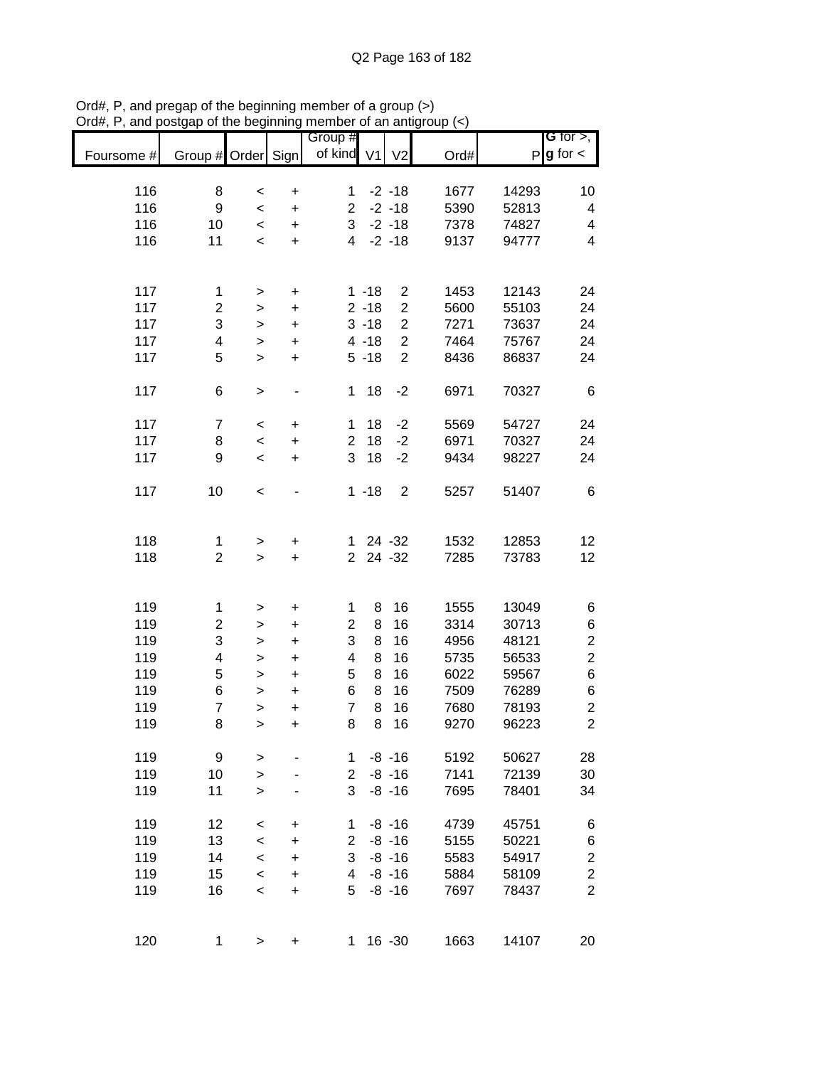|            |                          |              |           | Group #        |                |                |      |              | G for $>$ ,      |
|------------|--------------------------|--------------|-----------|----------------|----------------|----------------|------|--------------|------------------|
| Foursome # | Group # Order Sign       |              |           | of kind        | V <sub>1</sub> | V <sub>2</sub> | Ord# | $\mathsf{P}$ | $g$ for $\lt$    |
| 116        | 8                        | $\prec$      | $\pmb{+}$ | 1              |                | $-2 - 18$      | 1677 | 14293        | 10               |
| 116        | $\boldsymbol{9}$         | $\,<\,$      | $\ddot{}$ | $\overline{2}$ |                | $-2 - 18$      | 5390 | 52813        | 4                |
| 116        | 10                       | $\,<$        | $\ddot{}$ | 3              |                | $-2 - 18$      | 7378 | 74827        | 4                |
| 116        | 11                       | $\,<$        | $\ddot{}$ | 4              |                | $-2 - 18$      | 9137 | 94777        | 4                |
|            |                          |              |           |                |                |                |      |              |                  |
| 117        | 1                        | $\, > \,$    | $\ddot{}$ |                | $1 - 18$       | $\overline{c}$ | 1453 | 12143        | 24               |
| 117        | $\overline{c}$           | $\, > \,$    | $\ddot{}$ |                | $2 - 18$       | $\overline{c}$ | 5600 | 55103        | 24               |
| 117        | 3                        | $\,$         | $\ddot{}$ |                | $3 - 18$       | $\overline{c}$ | 7271 | 73637        | 24               |
| 117        | $\overline{\mathcal{A}}$ | $\mathbf{I}$ | $\ddot{}$ |                | $4 - 18$       | $\overline{c}$ | 7464 | 75767        | 24               |
| 117        | 5                        | $\geq$       | +         |                | $5 - 18$       | $\overline{2}$ | 8436 | 86837        | 24               |
| 117        | 6                        | $\,$         |           | 1              | 18             | $-2$           | 6971 | 70327        | 6                |
| 117        | $\overline{7}$           | $\,<\,$      | $\ddot{}$ | 1              | 18             | $-2$           | 5569 | 54727        | 24               |
| 117        | 8                        | $\prec$      | $\ddot{}$ | $\overline{c}$ | 18             | $-2$           | 6971 | 70327        | 24               |
| 117        | 9                        | $\,<\,$      | $\ddot{}$ | 3              | 18             | $-2$           | 9434 | 98227        | 24               |
| 117        | 10                       | $\,<$        |           |                | $1 - 18$       | $\overline{2}$ | 5257 | 51407        | 6                |
|            |                          |              |           |                |                |                |      |              |                  |
| 118        | 1                        | $\, > \,$    | +         | $\mathbf 1$    |                | 24 - 32        | 1532 | 12853        | 12               |
| 118        | $\overline{c}$           | $\geq$       | $\ddot{}$ | $\overline{2}$ |                | $24 - 32$      | 7285 | 73783        | 12               |
| 119        | 1                        | $\, > \,$    | $\pmb{+}$ | 1              | 8              | 16             | 1555 | 13049        | 6                |
| 119        | $\overline{c}$           | $\geq$       | $\ddot{}$ | $\overline{2}$ | 8              | 16             | 3314 | 30713        | 6                |
| 119        | 3                        | $\, > \,$    | +         | 3              | 8              | 16             | 4956 | 48121        | $\boldsymbol{2}$ |
| 119        | 4                        | $\mathbf{L}$ | $\ddot{}$ | 4              | 8              | 16             | 5735 | 56533        | $\overline{c}$   |
| 119        | 5                        | $\mathbf{L}$ | $\ddot{}$ | 5              | 8              | 16             | 6022 | 59567        | $\,6$            |
| 119        | 6                        | $\, > \,$    | $\ddot{}$ | 6              | 8              | 16             | 7509 | 76289        | 6                |
| 119        | $\overline{7}$           | $\mathbf{I}$ | $\ddot{}$ | $\overline{7}$ | 8              | 16             | 7680 | 78193        | $\overline{c}$   |
| 119        | 8                        | $\mathbf{I}$ | $\ddot{}$ | 8              | 8              | 16             | 9270 | 96223        | $\overline{2}$   |
| 119        | 9                        | $\, > \,$    |           | 1.             |                | $-8 - 16$      | 5192 | 50627        | 28               |
| 119        | 10                       | $\geq$       |           | $\overline{c}$ |                | $-8 - 16$      | 7141 | 72139        | 30               |
| 119        | 11                       | $\, > \,$    |           | 3              |                | $-8 - 16$      | 7695 | 78401        | 34               |
| 119        | 12                       | $\,<\,$      | +         | 1              |                | $-8 - 16$      | 4739 | 45751        | 6                |
| 119        | 13                       | $\prec$      | $\ddot{}$ | $\overline{2}$ |                | $-8 - 16$      | 5155 | 50221        | 6                |
| 119        | 14                       | $\,<$        | $\ddot{}$ | 3              |                | $-8 - 16$      | 5583 | 54917        | $\boldsymbol{2}$ |
| 119        | 15                       | $\,<\,$      | +         | 4              |                | $-8 - 16$      | 5884 | 58109        | $\boldsymbol{2}$ |
| 119        | 16                       | $\,<\,$      | +         | 5              |                | $-8 - 16$      | 7697 | 78437        | $\overline{2}$   |
|            |                          |              |           |                |                |                |      |              |                  |
| 120        | 1                        | $\,$         | +         | 1.             |                | $16 - 30$      | 1663 | 14107        | 20               |

Ord#, P, and pregap of the beginning member of a group (>) Ord#, P, and postgap of the beginning member of an antigroup (<)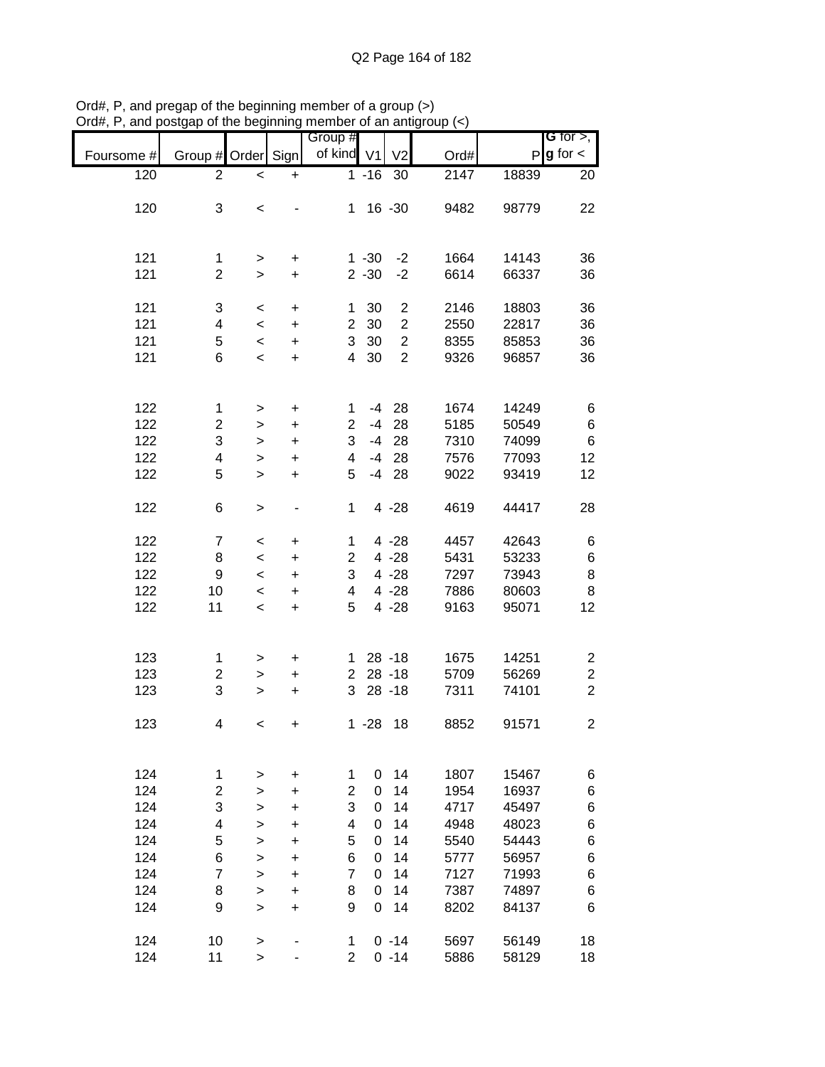|            |                         |              |           |                         |          |                  |      |       | <b>G</b> for $>$ ,      |
|------------|-------------------------|--------------|-----------|-------------------------|----------|------------------|------|-------|-------------------------|
|            |                         |              |           | Group #                 |          |                  |      |       |                         |
| Foursome # | Group # Order           |              | Sign      | of kind V1              |          | V <sub>2</sub>   | Ord# | P     | $g$ for $\lt$           |
| 120        | 2                       | $\,<$        | $\ddot{}$ |                         | $1 - 16$ | 30               | 2147 | 18839 | 20                      |
|            |                         |              |           |                         |          |                  |      |       |                         |
| 120        | 3                       |              |           | $\mathbf 1$             |          | $16 - 30$        | 9482 | 98779 | 22                      |
|            |                         | $\,<$        |           |                         |          |                  |      |       |                         |
|            |                         |              |           |                         |          |                  |      |       |                         |
|            |                         |              |           |                         |          |                  |      |       |                         |
| 121        | 1                       | >            | +         |                         | $1 - 30$ | $-2$             | 1664 | 14143 | 36                      |
| 121        | $\overline{2}$          | $\,>$        | $\ddot{}$ |                         | $2 - 30$ | $-2$             | 6614 | 66337 | 36                      |
|            |                         |              |           |                         |          |                  |      |       |                         |
|            |                         |              |           |                         |          |                  |      |       |                         |
| 121        | 3                       | $\,<$        | +         | 1                       | 30       | $\overline{c}$   | 2146 | 18803 | 36                      |
| 121        | 4                       | $\,<$        | $\ddot{}$ | $\overline{2}$          | 30       | $\overline{c}$   | 2550 | 22817 | 36                      |
| 121        | 5                       | $\prec$      | $\ddot{}$ | 3                       | 30       | $\boldsymbol{2}$ | 8355 | 85853 | 36                      |
| 121        | 6                       | $\,<$        | $\ddot{}$ | 4                       | 30       | $\overline{2}$   | 9326 | 96857 | 36                      |
|            |                         |              |           |                         |          |                  |      |       |                         |
|            |                         |              |           |                         |          |                  |      |       |                         |
|            |                         |              |           |                         |          |                  |      |       |                         |
| 122        | $\mathbf 1$             | $\, > \,$    | $\ddot{}$ | 1                       | -4       | 28               | 1674 | 14249 | 6                       |
| 122        | $\overline{\mathbf{c}}$ | >            | $\ddot{}$ | $\overline{2}$          | $-4$     | 28               | 5185 | 50549 | 6                       |
| 122        | 3                       | $\,>$        | $\ddot{}$ | 3                       | $-4$     | 28               | 7310 | 74099 | 6                       |
| 122        | 4                       | $\mathbf{I}$ | $\ddot{}$ | 4                       | $-4$     | 28               | 7576 | 77093 | 12                      |
| 122        | 5                       | $\geq$       | $\ddot{}$ | 5                       | $-4$     | 28               | 9022 | 93419 | 12                      |
|            |                         |              |           |                         |          |                  |      |       |                         |
|            |                         |              |           |                         |          |                  |      |       |                         |
| 122        | 6                       | $\, > \,$    | -         | 1                       |          | $4 - 28$         | 4619 | 44417 | 28                      |
|            |                         |              |           |                         |          |                  |      |       |                         |
| 122        | $\overline{7}$          | $\,<\,$      | +         | 1                       |          | $4 - 28$         | 4457 | 42643 | 6                       |
| 122        | 8                       | $\,<$        | +         | $\overline{2}$          |          | $4 - 28$         | 5431 | 53233 | 6                       |
| 122        | 9                       | $\,<$        | +         | 3                       |          | $4 - 28$         | 7297 | 73943 | 8                       |
|            |                         |              |           |                         |          |                  |      |       |                         |
| 122        | 10                      | $\,<$        | $\ddot{}$ | 4                       |          | $4 - 28$         | 7886 | 80603 | 8                       |
| 122        | 11                      | $\prec$      | $\ddot{}$ | 5                       |          | $4 - 28$         | 9163 | 95071 | 12                      |
|            |                         |              |           |                         |          |                  |      |       |                         |
|            |                         |              |           |                         |          |                  |      |       |                         |
| 123        | 1                       | $\, > \,$    | +         | 1.                      |          | $28 - 18$        | 1675 | 14251 | $\overline{\mathbf{c}}$ |
| 123        | 2                       | >            | $\ddot{}$ | $\overline{2}$          |          | $28 - 18$        | 5709 | 56269 | $\overline{\mathbf{c}}$ |
| 123        | 3                       |              |           | 3                       |          | $28 - 18$        | 7311 | 74101 | $\overline{2}$          |
|            |                         | $\, > \,$    | $\ddot{}$ |                         |          |                  |      |       |                         |
|            |                         |              |           |                         |          |                  |      |       |                         |
| 123        | 4                       | $\,<$        | $\pmb{+}$ |                         | $1 - 28$ | 18               | 8852 | 91571 | $\overline{c}$          |
|            |                         |              |           |                         |          |                  |      |       |                         |
|            |                         |              |           |                         |          |                  |      |       |                         |
| 124        | 1                       | >            | +         | 1                       | 0        | 14               | 1807 | 15467 | 6                       |
| 124        | $\overline{c}$          | $\,$         | $\ddot{}$ | $\overline{\mathbf{c}}$ | 0        | 14               | 1954 | 16937 | 6                       |
|            |                         |              |           |                         |          |                  |      |       |                         |
| 124        | 3                       | >            | +         | 3                       | 0        | 14               | 4717 | 45497 | 6                       |
| 124        | 4                       | $\, > \,$    | $\ddot{}$ | 4                       | 0        | 14               | 4948 | 48023 | 6                       |
| 124        | 5                       | $\geq$       | +         | 5                       | 0        | 14               | 5540 | 54443 | 6                       |
| 124        | 6                       | $\,>$        | $\ddot{}$ | 6                       | 0        | 14               | 5777 | 56957 | 6                       |
| 124        | 7                       | $\mathbf{I}$ | $\ddot{}$ | $\overline{7}$          | $\Omega$ | 14               | 7127 | 71993 | 6                       |
|            |                         |              |           |                         |          |                  |      |       |                         |
| 124        | 8                       | $\mathbf{I}$ | $\ddot{}$ | 8                       | 0        | 14               | 7387 | 74897 | 6                       |
| 124        | 9                       | $\geq$       | $\ddot{}$ | 9                       | 0        | 14               | 8202 | 84137 | 6                       |
|            |                         |              |           |                         |          |                  |      |       |                         |
| 124        | 10                      | $\, >$       |           | 1                       |          | $0 - 14$         | 5697 | 56149 | 18                      |
| 124        | 11                      | $\,$         |           | $\overline{2}$          |          | $0 - 14$         | 5886 | 58129 | 18                      |

Ord#, P, and pregap of the beginning member of a group (>) Ord#, P, and postgap of the beginning member of an antigroup (<)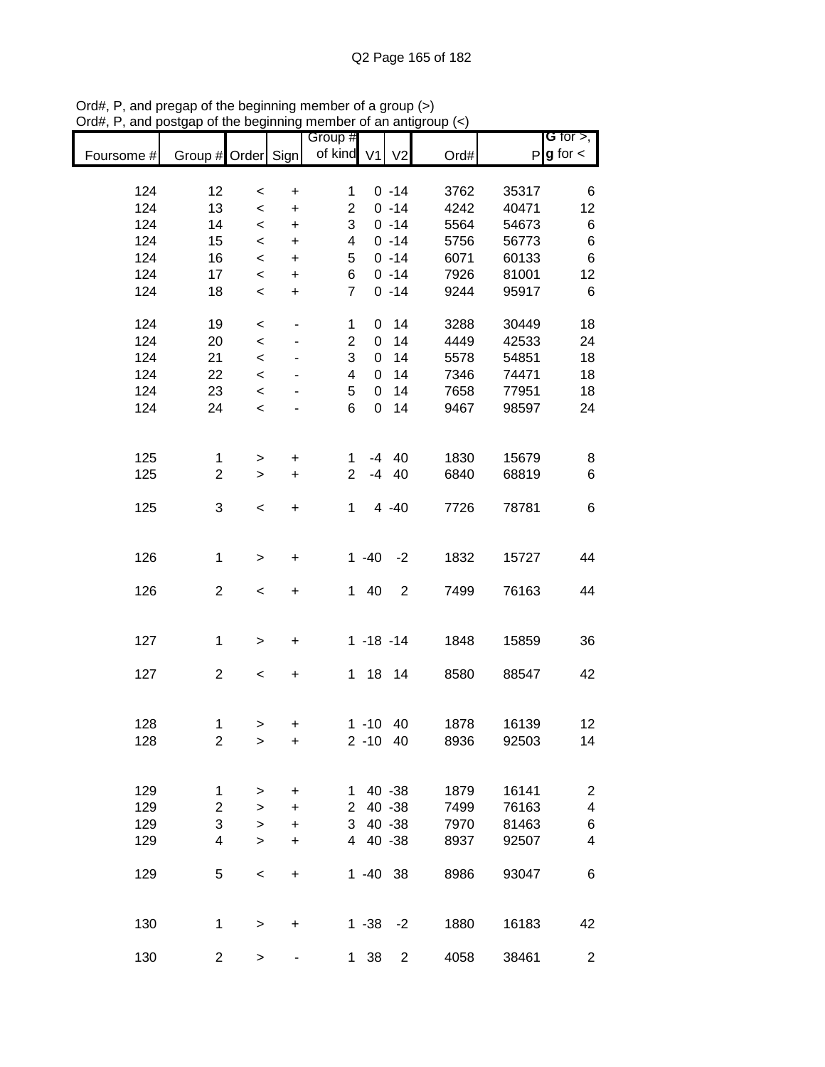|            |                    |                          |                          |                |               |                |      |       | G for $>$ ,             |
|------------|--------------------|--------------------------|--------------------------|----------------|---------------|----------------|------|-------|-------------------------|
|            |                    |                          |                          | Group #        |               |                |      |       |                         |
| Foursome # | Group # Order Sign |                          |                          | of kind V1     |               | V <sub>2</sub> | Ord# |       | $P$ <b>g</b> for $\lt$  |
|            |                    |                          |                          |                |               |                |      |       |                         |
| 124        | 12                 | $\,<\,$                  | $\pmb{+}$                | 1              |               | $0 - 14$       | 3762 | 35317 | 6                       |
| 124        | 13                 | $\,<\,$                  | $\ddot{}$                | $\overline{2}$ |               | $0 - 14$       | 4242 | 40471 | 12                      |
| 124        | 14                 | $\,<\,$                  | $\ddot{}$                | 3              |               | $0 - 14$       | 5564 | 54673 | 6                       |
| 124        | 15                 | $\prec$                  | $\ddot{}$                | 4              |               | $0 - 14$       | 5756 | 56773 | 6                       |
| 124        | 16                 | $\prec$                  | $\ddot{}$                | 5              |               | $0 - 14$       | 6071 | 60133 | 6                       |
| 124        | 17                 | $\prec$                  | $\ddot{}$                | 6              |               | $0 - 14$       | 7926 | 81001 | 12                      |
| 124        | 18                 | $\,<\,$                  | $\ddot{}$                | $\overline{7}$ |               | $0 - 14$       | 9244 | 95917 | 6                       |
|            |                    |                          |                          |                |               |                |      |       |                         |
| 124        | 19                 | $\,<\,$                  | $\overline{\phantom{m}}$ | 1              | 0             | 14             | 3288 | 30449 | 18                      |
| 124        | 20                 | $\,<\,$                  | ٠                        | $\overline{2}$ | 0             | 14             | 4449 | 42533 | 24                      |
| 124        | 21                 | $\,<\,$                  | ۰                        | 3              | 0             | 14             | 5578 | 54851 | 18                      |
| 124        | 22                 |                          |                          | 4              | 0             | 14             | 7346 | 74471 | 18                      |
|            |                    | $\prec$                  |                          |                |               |                |      |       |                         |
| 124        | 23                 | $\prec$                  |                          | 5              | 0             | 14             | 7658 | 77951 | 18                      |
| 124        | 24                 | $\,<\,$                  |                          | 6              | $\mathbf 0$   | 14             | 9467 | 98597 | 24                      |
|            |                    |                          |                          |                |               |                |      |       |                         |
|            |                    |                          |                          |                |               |                |      |       |                         |
| 125        | $\mathbf 1$        | $\,$                     | $\ddot{}$                | 1              |               | $-4$ 40        | 1830 | 15679 | 8                       |
| 125        | $\overline{c}$     | $\geq$                   | $\ddot{}$                | $\overline{2}$ | $-4$          | 40             | 6840 | 68819 | 6                       |
|            |                    |                          |                          |                |               |                |      |       |                         |
| 125        | 3                  | $\overline{\phantom{a}}$ | $\ddot{}$                | 1              |               | $4 - 40$       | 7726 | 78781 | 6                       |
|            |                    |                          |                          |                |               |                |      |       |                         |
|            |                    |                          |                          |                |               |                |      |       |                         |
| 126        | 1                  | $\, > \,$                | +                        |                | $1 - 40$      | $-2$           | 1832 | 15727 | 44                      |
|            |                    |                          |                          |                |               |                |      |       |                         |
| 126        | $\overline{c}$     | $\,<\,$                  | +                        | 1              | 40            | $\overline{2}$ | 7499 | 76163 | 44                      |
|            |                    |                          |                          |                |               |                |      |       |                         |
|            |                    |                          |                          |                |               |                |      |       |                         |
| 127        | 1                  | $\mathbf{I}$             | $\ddot{}$                |                | $1 - 18 - 14$ |                | 1848 | 15859 | 36                      |
|            |                    |                          |                          |                |               |                |      |       |                         |
| 127        | $\overline{c}$     | $\,<\,$                  | $\pmb{+}$                | $\mathbf 1$    | 18            | 14             | 8580 | 88547 | 42                      |
|            |                    |                          |                          |                |               |                |      |       |                         |
|            |                    |                          |                          |                |               |                |      |       |                         |
| 128        | 1                  |                          | +                        |                | $1 - 10$ 40   |                | 1878 | 16139 | 12                      |
| 128        | $\overline{2}$     | >                        |                          |                | $2 - 10$ 40   |                | 8936 | 92503 | 14                      |
|            |                    | >                        | +                        |                |               |                |      |       |                         |
|            |                    |                          |                          |                |               |                |      |       |                         |
|            |                    |                          |                          |                |               |                |      |       |                         |
| 129        | 1                  | $\,$                     | $\ddot{}$                | 1              |               | 40 - 38        | 1879 | 16141 | $\overline{\mathbf{c}}$ |
| 129        | $\overline{2}$     | $\, > \,$                | $\ddot{}$                | 2 <sup>1</sup> |               | 40 - 38        | 7499 | 76163 | $\overline{\mathbf{4}}$ |
| 129        | 3                  | $\,$                     | $\ddot{}$                | 3              |               | 40 - 38        | 7970 | 81463 | 6                       |
| 129        | 4                  | $\geq$                   | $\ddot{}$                | $\overline{4}$ |               | 40 - 38        | 8937 | 92507 | 4                       |
|            |                    |                          |                          |                |               |                |      |       |                         |
| 129        | 5                  | $\,<$                    | $\ddot{}$                |                | $1 - 40$ 38   |                | 8986 | 93047 | 6                       |
|            |                    |                          |                          |                |               |                |      |       |                         |
|            |                    |                          |                          |                |               |                |      |       |                         |
| 130        | 1                  | $\mathbf{I}$             | $\ddot{}$                |                | $1 - 38$      | $-2$           | 1880 | 16183 | 42                      |
|            |                    |                          |                          |                |               |                |      |       |                         |
| 130        | $\overline{c}$     | $\mathbf{L}$             |                          | 1              | 38            | $\overline{2}$ | 4058 | 38461 | $\overline{c}$          |

Ord#, P, and pregap of the beginning member of a group (>) Ord#, P, and postgap of the beginning member of an antigroup (<)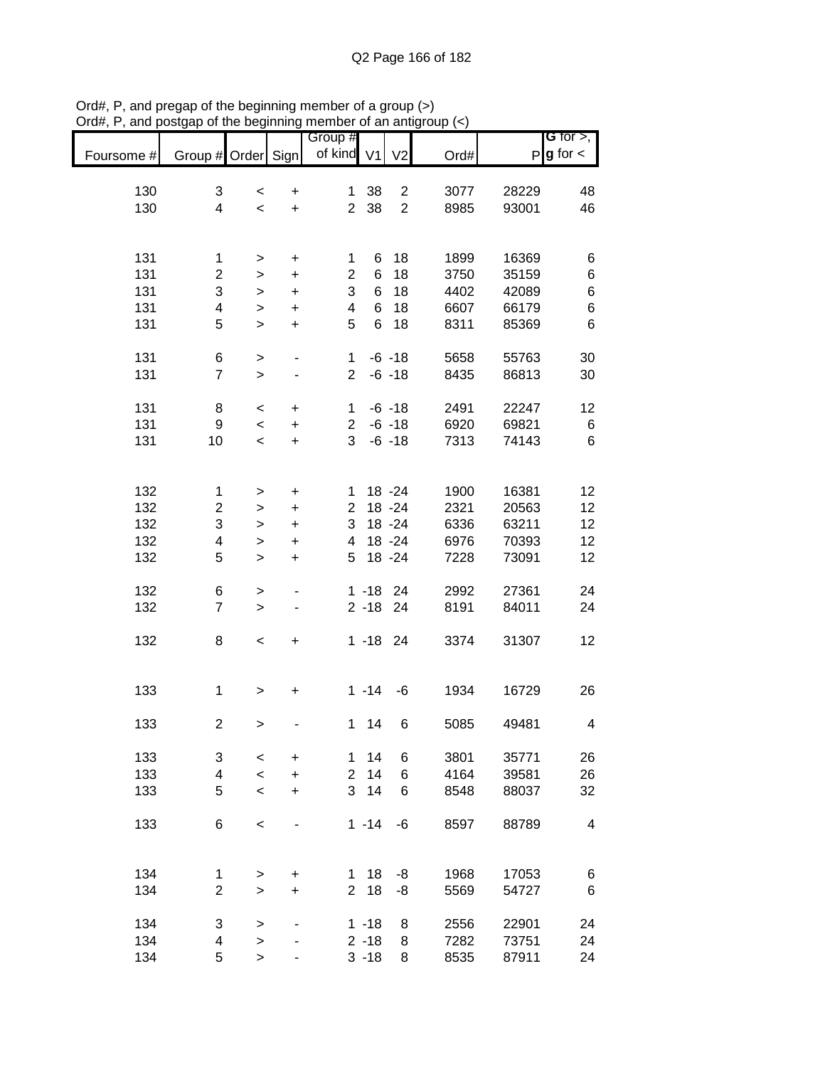|            |                         |                          |                          | Group #                 |          |                |      |              | <b>G</b> for $>$ , |
|------------|-------------------------|--------------------------|--------------------------|-------------------------|----------|----------------|------|--------------|--------------------|
| Foursome # | Group # Order           |                          | Sign                     | of kind V1              |          | V <sub>2</sub> | Ord# | $\mathsf{P}$ | $g$ for $\lt$      |
|            |                         |                          |                          |                         |          |                |      |              |                    |
| 130        | 3                       | $\,<\,$                  | $\ddot{}$                | $\mathbf{1}$            | 38       | $\overline{c}$ | 3077 | 28229        | 48                 |
| 130        | $\overline{\mathbf{4}}$ | $\,<\,$                  | $\ddot{}$                | $\overline{2}$          | 38       | $\overline{2}$ | 8985 | 93001        | 46                 |
|            |                         |                          |                          |                         |          |                |      |              |                    |
| 131        | 1                       | >                        | +                        | 1                       | 6        | 18             | 1899 | 16369        | 6                  |
| 131        | $\overline{c}$          | >                        | $\ddot{}$                | $\overline{2}$          | 6        | 18             | 3750 | 35159        | 6                  |
| 131        | 3                       | >                        | $\ddot{}$                | 3                       | 6        | 18             | 4402 | 42089        | 6                  |
| 131        | 4                       | $\, > \,$                | $\ddot{}$                | $\overline{\mathbf{4}}$ | 6        | 18             | 6607 | 66179        | 6                  |
| 131        | 5                       | $\geq$                   | $\ddot{}$                | 5                       | 6        | 18             | 8311 | 85369        | 6                  |
| 131        | 6                       | $\,$                     | $\overline{\phantom{0}}$ | $\mathbf{1}$            |          | $-6 - 18$      | 5658 | 55763        | 30                 |
| 131        | $\overline{7}$          | $\mathbf{I}$             |                          | $\overline{2}$          |          | $-6 - 18$      | 8435 | 86813        | 30                 |
|            |                         |                          |                          |                         |          |                |      |              |                    |
| 131        | 8                       | $\,<\,$                  | $\ddot{}$                | $\mathbf{1}$            |          | $-6 - 18$      | 2491 | 22247        | 12                 |
| 131        | $\boldsymbol{9}$        | $\overline{\phantom{a}}$ | $\ddot{}$                | $\overline{2}$          |          | $-6 - 18$      | 6920 | 69821        | 6                  |
| 131        | 10                      | $\,<\,$                  | $\ddot{}$                | 3                       |          | $-6 - 18$      | 7313 | 74143        | 6                  |
|            |                         |                          |                          |                         |          |                |      |              |                    |
| 132        | 1                       | $\, > \,$                | +                        | 1                       |          | $18 - 24$      | 1900 | 16381        | 12                 |
| 132        | $\mathbf 2$             | >                        | +                        | $\overline{2}$          |          | 18 - 24        | 2321 | 20563        | 12                 |
| 132        | 3                       |                          |                          | 3                       |          | 18 - 24        | 6336 | 63211        | 12                 |
|            |                         | >                        | $\ddot{}$                |                         |          | 18 - 24        |      | 70393        |                    |
| 132        | 4                       | >                        | +                        | 4                       |          |                | 6976 |              | 12                 |
| 132        | 5                       | $\, > \,$                | $\ddot{}$                | 5                       |          | 18 - 24        | 7228 | 73091        | 12                 |
| 132        | 6                       | $\,$                     |                          |                         | $1 - 18$ | -24            | 2992 | 27361        | 24                 |
| 132        | $\overline{7}$          | $\geq$                   |                          |                         | $2 - 18$ | 24             | 8191 | 84011        | 24                 |
|            |                         |                          |                          |                         |          |                |      |              |                    |
| 132        | 8                       | $\,<$                    | $\ddot{}$                |                         | $1 - 18$ | 24             | 3374 | 31307        | 12                 |
|            |                         |                          |                          |                         |          |                |      |              |                    |
| 133        | 1                       | >                        | $\ddot{}$                |                         | $1 - 14$ | $-6$           | 1934 | 16729        | 26                 |
|            |                         |                          |                          |                         |          |                |      |              |                    |
| 133        | $\boldsymbol{2}$        | $\geq$                   |                          | $\mathbf 1$             | 14       | 6              | 5085 | 49481        | 4                  |
| 133        | 3                       | $\,<\,$                  | $\ddot{}$                | 1                       | 14       | 6              | 3801 | 35771        | 26                 |
| 133        | $\overline{\mathbf{4}}$ | $\overline{\phantom{0}}$ | +                        | $\overline{2}$          | 14       | 6              | 4164 | 39581        | 26                 |
| 133        | 5                       | $\,<$                    |                          | 3                       | 14       | 6              | 8548 | 88037        | 32                 |
|            |                         |                          | +                        |                         |          |                |      |              |                    |
| 133        | 6                       | $\,<$                    |                          |                         | $1 - 14$ | -6             | 8597 | 88789        | 4                  |
|            |                         |                          |                          |                         |          |                |      |              |                    |
| 134        |                         |                          |                          | 1                       | 18       | -8             | 1968 | 17053        |                    |
| 134        | 1<br>$\overline{2}$     | $\, > \,$                | $\ddot{}$<br>$\ddot{}$   | $\overline{2}$          | 18       | -8             | 5569 | 54727        | 6<br>6             |
|            |                         | $\, > \,$                |                          |                         |          |                |      |              |                    |
| 134        | 3                       | >                        |                          |                         | $1 - 18$ | 8              | 2556 | 22901        | 24                 |
| 134        | 4                       | $\geq$                   |                          |                         | $2 - 18$ | 8              | 7282 | 73751        | 24                 |
| 134        | 5                       | >                        |                          |                         | $3 - 18$ | 8              | 8535 | 87911        | 24                 |

Ord#, P, and pregap of the beginning member of a group (>) Ord#, P, and postgap of the beginning member of an antigroup (<)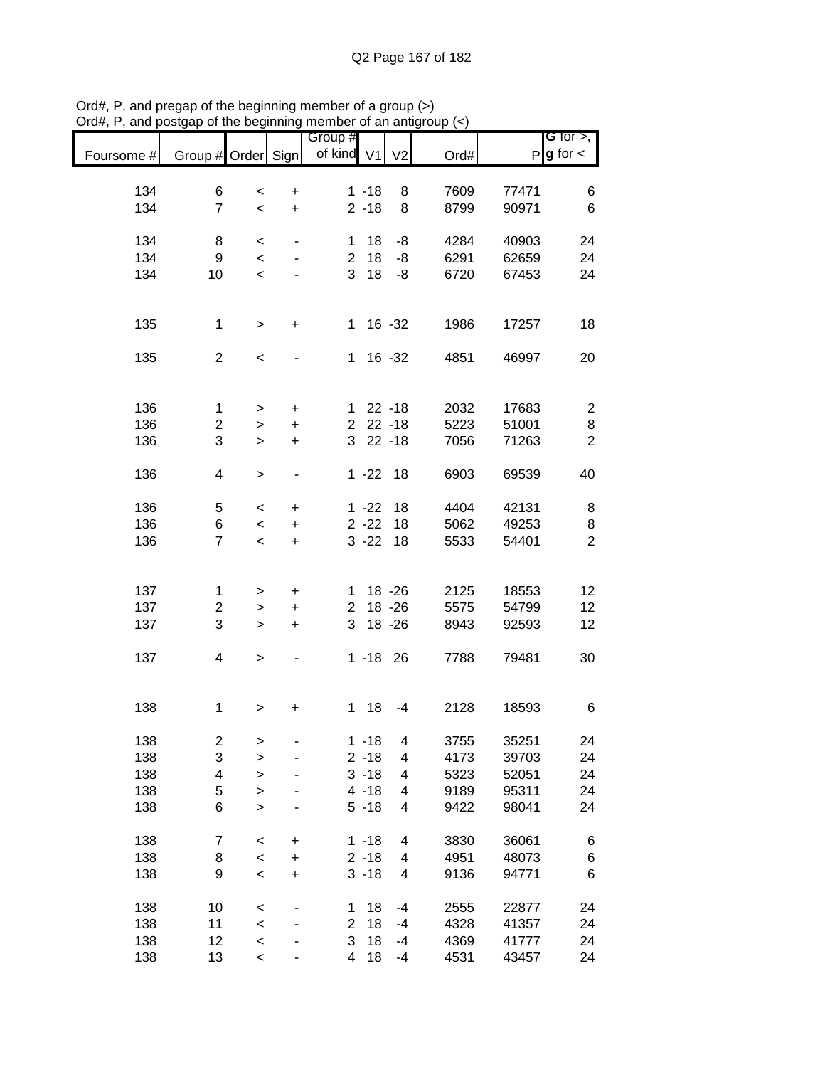| Foursome # | Group # Order Sign      |                          |                          | Group #<br>of kind V1 |                      | V <sub>2</sub> | Ord#         |                | G for $>$ ,<br>$P g$ for $\lt$ |
|------------|-------------------------|--------------------------|--------------------------|-----------------------|----------------------|----------------|--------------|----------------|--------------------------------|
|            |                         |                          |                          |                       |                      |                |              |                |                                |
| 134<br>134 | 6<br>$\overline{7}$     | $\,<$                    | $\ddot{}$                |                       | $1 - 18$<br>$2 - 18$ | 8<br>8         | 7609<br>8799 | 77471<br>90971 | 6<br>6                         |
|            |                         | $\overline{\phantom{a}}$ | $\ddot{}$                |                       |                      |                |              |                |                                |
| 134        | 8                       | $\,<$                    |                          | 1                     | 18                   | -8             | 4284         | 40903          | 24                             |
| 134        | 9                       | $\,<\,$                  |                          | $\overline{2}$        | 18                   | -8             | 6291         | 62659          | 24                             |
| 134        | 10                      | $\,<$                    |                          | 3                     | 18                   | -8             | 6720         | 67453          | 24                             |
|            |                         |                          |                          |                       |                      |                |              |                |                                |
| 135        | 1                       | >                        | +                        | 1.                    |                      | $16 - 32$      | 1986         | 17257          | 18                             |
|            |                         |                          |                          |                       |                      |                |              |                |                                |
| 135        | $\overline{2}$          | $\,<$                    |                          | 1                     |                      | 16 - 32        | 4851         | 46997          | 20                             |
|            |                         |                          |                          |                       |                      |                |              |                |                                |
| 136        | 1                       | >                        | +                        | 1.                    |                      | $22 - 18$      | 2032         | 17683          | $\overline{\mathbf{c}}$        |
| 136        | 2                       | >                        | $\ddot{}$                | $\overline{2}$        |                      | $22 - 18$      | 5223         | 51001          | 8                              |
| 136        | 3                       | >                        | $\ddot{}$                | 3                     |                      | $22 - 18$      | 7056         | 71263          | $\overline{2}$                 |
|            |                         |                          |                          |                       |                      |                |              |                |                                |
| 136        | 4                       | >                        |                          |                       | $1 - 22$             | 18             | 6903         | 69539          | 40                             |
|            |                         |                          |                          |                       |                      |                |              |                |                                |
| 136        | 5                       | $\,<\,$                  | $\ddot{}$                |                       | $1 - 22$             | 18             | 4404         | 42131          | 8                              |
| 136        | 6<br>$\overline{7}$     | $\,<$                    | +                        |                       | $2 - 22$             | 18             | 5062         | 49253          | 8<br>$\overline{2}$            |
| 136        |                         | $\,<\,$                  | $\ddot{}$                |                       | $3 - 22$             | 18             | 5533         | 54401          |                                |
|            |                         |                          |                          |                       |                      |                |              |                |                                |
| 137        | 1                       | >                        | $\mathbf +$              | 1.                    |                      | $18 - 26$      | 2125         | 18553          | 12                             |
| 137        | $\overline{2}$          | >                        | $\ddot{}$                | $\overline{2}$        |                      | $18 - 26$      | 5575         | 54799          | 12                             |
| 137        | 3                       | >                        | $\ddot{}$                | 3                     |                      | 18 - 26        | 8943         | 92593          | 12                             |
|            |                         |                          |                          |                       |                      |                |              |                |                                |
| 137        | 4                       | $\,$                     | $\overline{\phantom{a}}$ |                       | $1 - 18$ 26          |                | 7788         | 79481          | 30                             |
|            |                         |                          |                          |                       |                      |                |              |                |                                |
| 138        | 1                       | >                        | +                        | 1                     | 18                   | $-4$           | 2128         | 18593          | 6                              |
|            |                         |                          |                          |                       |                      |                |              |                |                                |
| 138        | $\overline{\mathbf{c}}$ | >                        |                          |                       | $1 - 18$             | 4              | 3755         | 35251          | 24                             |
| 138        | 3                       | >                        |                          |                       | $2 - 18$             | 4              | 4173         | 39703          | 24                             |
| 138        | $\overline{\mathbf{4}}$ | >                        |                          |                       | $3 - 18$             | 4              | 5323         | 52051          | 24                             |
| 138        | 5                       | >                        |                          |                       | $4 - 18$             | 4              | 9189         | 95311          | 24                             |
| 138        | 6                       | $\geq$                   |                          |                       | $5 - 18$             | 4              | 9422         | 98041          | 24                             |
| 138        | 7                       | $\,<$                    | $\ddot{}$                |                       | $1 - 18$             | 4              | 3830         | 36061          | 6                              |
| 138        | 8                       | $\prec$                  | $\ddot{}$                |                       | $2 - 18$             | 4              | 4951         | 48073          | 6                              |
| 138        | 9                       | $\,<$                    | $\ddot{}$                |                       | $3 - 18$             | 4              | 9136         | 94771          | 6                              |
|            |                         |                          |                          |                       |                      |                |              |                |                                |
| 138<br>138 | 10                      | <                        |                          | 1<br>$\overline{2}$   | 18<br>18             | $-4$           | 2555         | 22877          | 24                             |
|            | 11                      | $\prec$                  |                          | 3                     | 18                   | -4             | 4328         | 41357          | 24                             |
| 138<br>138 | 12                      | $\prec$                  |                          | 4                     | 18                   | -4<br>$-4$     | 4369<br>4531 | 41777<br>43457 | 24<br>24                       |
|            | 13                      | $\,<$                    |                          |                       |                      |                |              |                |                                |

Ord#, P, and pregap of the beginning member of a group (>) Ord#, P, and postgap of the beginning member of an antigroup (<)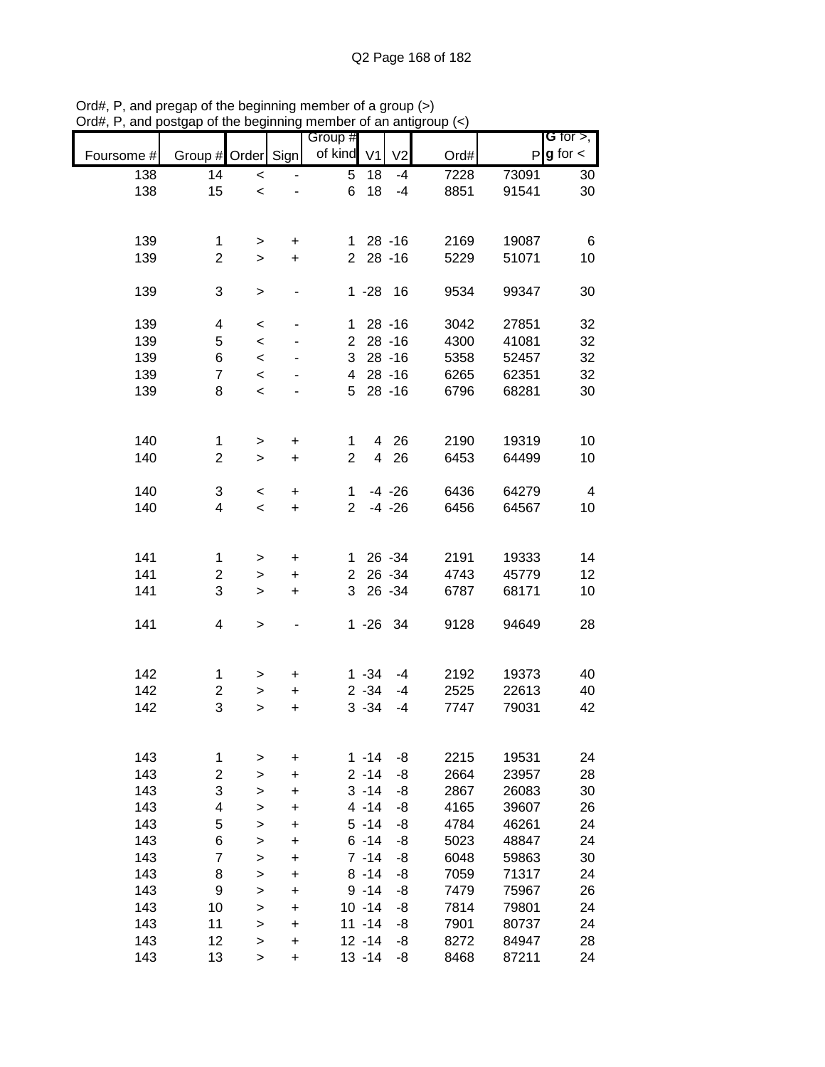|            |                    |                          |                          | Group #        |                |                |      |       | G for $>$ ,<br>$g$ for $\lt$ |
|------------|--------------------|--------------------------|--------------------------|----------------|----------------|----------------|------|-------|------------------------------|
| Foursome # | Group # Order Sign |                          |                          | of kind        | V <sub>1</sub> | V <sub>2</sub> | Ord# | P     |                              |
| 138        | 14                 | $\overline{\phantom{0}}$ |                          | $\overline{5}$ | 18             | $-4$           | 7228 | 73091 | 30                           |
| 138        | 15                 | $\,<$                    |                          | 6              | 18             | $-4$           | 8851 | 91541 | 30                           |
|            |                    |                          |                          |                |                |                |      |       |                              |
|            |                    |                          |                          |                |                |                |      |       |                              |
| 139        | 1                  | >                        | +                        | 1.             |                | $28 - 16$      | 2169 | 19087 | 6                            |
| 139        | $\overline{2}$     | $\geq$                   | $\ddot{}$                | $\overline{2}$ |                | $28 - 16$      | 5229 | 51071 | 10                           |
|            |                    |                          |                          |                |                |                |      |       |                              |
| 139        | 3                  | $\, > \,$                |                          |                | $1 - 28$       | 16             | 9534 | 99347 | 30                           |
|            |                    |                          |                          |                |                |                |      |       |                              |
| 139        | 4                  | $\,<$                    | $\overline{\phantom{0}}$ | 1.             |                | $28 - 16$      | 3042 | 27851 | 32                           |
| 139        | 5                  | $\,<$                    | ٠                        | $\overline{2}$ |                | $28 - 16$      | 4300 | 41081 | 32                           |
|            |                    |                          |                          |                |                |                |      |       |                              |
| 139        | 6                  | $\,<\,$                  |                          | 3              |                | $28 - 16$      | 5358 | 52457 | 32                           |
| 139        | $\overline{7}$     | $\prec$                  |                          | 4              |                | $28 - 16$      | 6265 | 62351 | 32                           |
| 139        | 8                  | $\,<\,$                  |                          | 5              |                | $28 - 16$      | 6796 | 68281 | 30                           |
|            |                    |                          |                          |                |                |                |      |       |                              |
|            |                    |                          |                          |                |                |                |      |       |                              |
| 140        | $\mathbf{1}$       | >                        | $\pmb{+}$                | 1              |                | 4 26           | 2190 | 19319 | 10                           |
| 140        | $\overline{2}$     | $\, > \,$                | $\ddot{}$                | $\overline{2}$ | $\overline{4}$ | 26             | 6453 | 64499 | 10                           |
|            |                    |                          |                          |                |                |                |      |       |                              |
| 140        | 3                  | $\,<$                    | $\ddot{}$                | $\mathbf 1$    |                | $-4 - 26$      | 6436 | 64279 | 4                            |
| 140        | 4                  | $\,<\,$                  | $\ddot{}$                | $\overline{2}$ |                | $-4 - 26$      | 6456 | 64567 | 10                           |
|            |                    |                          |                          |                |                |                |      |       |                              |
|            |                    |                          |                          |                |                |                |      |       |                              |
| 141        | 1                  | >                        | +                        | $\mathbf{1}$   |                | 26 - 34        | 2191 | 19333 | 14                           |
| 141        | $\overline{2}$     | >                        | +                        | $\overline{2}$ |                | 26 - 34        | 4743 | 45779 | 12                           |
| 141        | 3                  | $\, > \,$                | $\ddot{}$                | 3              |                | 26 - 34        | 6787 | 68171 | 10                           |
|            |                    |                          |                          |                |                |                |      |       |                              |
| 141        | 4                  |                          |                          |                |                | 1 -26 34       | 9128 | 94649 | 28                           |
|            |                    | $\,$                     |                          |                |                |                |      |       |                              |
|            |                    |                          |                          |                |                |                |      |       |                              |
|            |                    |                          |                          |                |                |                |      |       |                              |
| 142        | 1                  | >                        | +                        |                | $1 - 34$       | $-4$           | 2192 | 19373 | 40                           |
| 142        | 2                  | >                        | $\ddot{}$                |                | $2 - 34$       | $-4$           | 2525 | 22613 | 40                           |
| 142        | 3                  | >                        | $\ddot{}$                |                | $3 - 34$       | $-4$           | 7747 | 79031 | 42                           |
|            |                    |                          |                          |                |                |                |      |       |                              |
|            |                    |                          |                          |                |                |                |      |       |                              |
| 143        | 1                  | >                        | $\ddot{}$                |                | $1 - 14$       | -8             | 2215 | 19531 | 24                           |
| 143        | $\mathbf 2$        | >                        | $\ddot{}$                |                | $2 - 14$       | -8             | 2664 | 23957 | 28                           |
| 143        | 3                  | $\geq$                   | $\ddot{}$                |                | $3 - 14$       | -8             | 2867 | 26083 | 30                           |
| 143        | 4                  | $\, > \,$                | $\ddot{}$                |                | $4 - 14$       | -8             | 4165 | 39607 | 26                           |
| 143        | 5                  | >                        | +                        |                | $5 - 14$       | -8             | 4784 | 46261 | 24                           |
| 143        | 6                  | >                        | +                        |                | $6 - 14$       | -8             | 5023 | 48847 | 24                           |
| 143        | $\overline{7}$     | >                        | +                        |                | $7 - 14$       | -8             | 6048 | 59863 | 30                           |
| 143        | 8                  | $\geq$                   | $\ddot{}$                |                | $8 - 14$       | -8             | 7059 | 71317 | 24                           |
| 143        | 9                  | $\geq$                   | $\ddot{}$                |                | $9 - 14$       | -8             | 7479 | 75967 | 26                           |
| 143        | 10                 |                          | $\ddot{}$                |                | $10 - 14$      | -8             | 7814 | 79801 | 24                           |
| 143        | 11                 | $\geq$                   |                          |                | $11 - 14$      | -8             |      |       |                              |
|            |                    | $\geq$                   | $\ddot{}$                |                |                |                | 7901 | 80737 | 24                           |
| 143        | 12                 | $\mathbf{I}$             | +                        |                | $12 - 14$      | -8             | 8272 | 84947 | 28                           |
| 143        | 13                 | $\,$                     | $\ddot{}$                |                | $13 - 14$      | -8             | 8468 | 87211 | 24                           |

Ord#, P, and pregap of the beginning member of a group (>) Ord#, P, and postgap of the beginning member of an antigroup (<)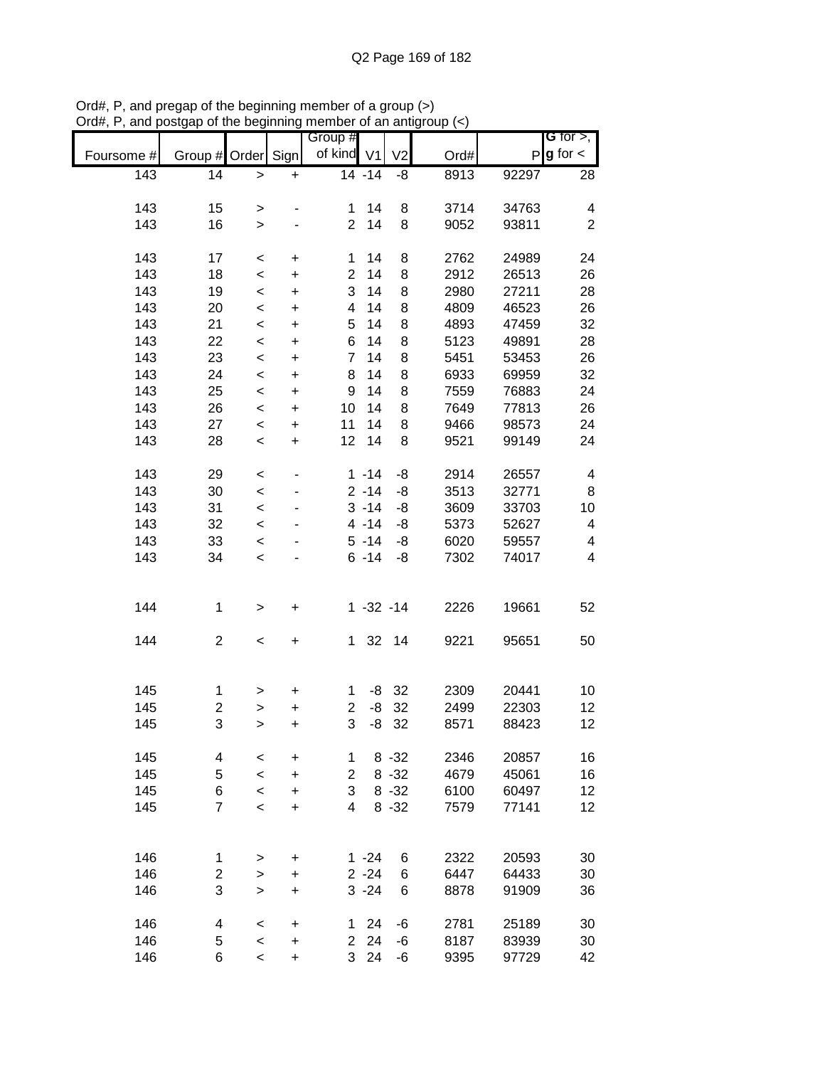| Foursome # | Group # Order  |                          | Sign                   | Group #<br>of kind V1   |                    | V <sub>2</sub> | Ord#         | $\mathsf{P}$   | G for $>$ ,<br>$g$ for $\lt$ |
|------------|----------------|--------------------------|------------------------|-------------------------|--------------------|----------------|--------------|----------------|------------------------------|
| 143        | 14             | $\geq$                   | $\ddot{}$              |                         | $\frac{1}{14}$ -14 | -8             | 8913         | 92297          | 28                           |
| 143        | 15             |                          |                        | 1                       | 14                 |                |              |                | 4                            |
| 143        | 16             | $\, > \,$<br>$\geq$      |                        | $\overline{2}$          | 14                 | 8<br>8         | 3714<br>9052 | 34763<br>93811 | $\overline{2}$               |
|            |                |                          |                        |                         |                    |                |              |                |                              |
| 143        | 17             | $\,<$                    | $\pmb{+}$              | 1                       | 14                 | 8              | 2762         | 24989          | 24                           |
| 143        | 18             | $\prec$                  | $\ddot{}$              | $\overline{2}$          | 14                 | 8              | 2912         | 26513          | 26                           |
| 143        | 19             | $\,<\,$                  | +                      | 3                       | 14                 | 8              | 2980         | 27211          | 28                           |
| 143        | 20             | $\,<\,$                  | +                      | 4                       | 14                 | 8              | 4809         | 46523          | 26                           |
| 143<br>143 | 21<br>22       | $\,<\,$                  | $\ddot{}$              | 5<br>6                  | 14<br>14           | 8<br>8         | 4893<br>5123 | 47459<br>49891 | 32<br>28                     |
| 143        | 23             | $\prec$<br>$\prec$       | $\ddot{}$<br>$\ddot{}$ | $\overline{7}$          | 14                 | 8              | 5451         | 53453          | 26                           |
| 143        | 24             | $\prec$                  | $\ddot{}$              | 8                       | 14                 | 8              | 6933         | 69959          | 32                           |
| 143        | 25             | $\prec$                  | $\ddot{}$              | 9                       | 14                 | 8              | 7559         | 76883          | 24                           |
| 143        | 26             | $\prec$                  | $\ddot{}$              | 10                      | 14                 | 8              | 7649         | 77813          | 26                           |
| 143        | 27             | $\prec$                  | $\ddot{}$              | 11                      | 14                 | 8              | 9466         | 98573          | 24                           |
| 143        | 28             | $\,<\,$                  | $\ddot{}$              | 12                      | 14                 | 8              | 9521         | 99149          | 24                           |
|            |                |                          |                        |                         |                    |                |              |                |                              |
| 143        | 29             | $\,<$                    |                        |                         | $1 - 14$           | -8             | 2914         | 26557          | 4                            |
| 143        | 30             | $\,<$                    |                        |                         | $2 - 14$           | -8             | 3513         | 32771          | 8                            |
| 143        | 31             | $\prec$                  |                        |                         | $3 - 14$           | -8             | 3609         | 33703          | 10                           |
| 143        | 32             | $\prec$                  |                        |                         | $4 - 14$           | -8             | 5373         | 52627          | 4                            |
| 143        | 33             | $\prec$                  |                        |                         | $5 - 14$           | -8             | 6020         | 59557          | 4                            |
| 143        | 34             | $\,<\,$                  |                        |                         | $6 - 14$           | -8             | 7302         | 74017          | 4                            |
|            |                |                          |                        |                         |                    |                |              |                |                              |
| 144        | 1              | $\mathbf{I}$             | +                      |                         | $1 - 32 - 14$      |                | 2226         | 19661          | 52                           |
| 144        | $\overline{c}$ | $\,<$                    | $\pmb{+}$              | 1                       | 32                 | 14             | 9221         | 95651          | 50                           |
|            |                |                          |                        |                         |                    |                |              |                |                              |
| 145        | 1              | >                        | $\ddot{}$              | 1                       | -8                 | 32             | 2309         | 20441          | 10                           |
| 145        | $\overline{c}$ | $\geq$                   | $\ddot{}$              | $\overline{\mathbf{c}}$ | -8                 | 32             | 2499         | 22303          | 12                           |
| 145        | 3              | >                        | $\ddot{}$              | 3                       | -8                 | 32             | 8571         | 88423          | 12                           |
|            |                |                          |                        |                         |                    |                |              |                |                              |
| 145        | 4              | $\,<$                    | $\ddot{}$              | 1                       |                    | $8 - 32$       | 2346         | 20857          | 16                           |
| 145        | 5              | $\,<\,$                  | $\ddot{}$              | 2                       |                    | $8 - 32$       | 4679         | 45061          | 16                           |
| 145        | 6              | $\,<\,$                  | +                      | 3                       |                    | $8 - 32$       | 6100         | 60497          | 12                           |
| 145        | $\overline{7}$ | $\overline{\phantom{a}}$ | +                      | 4                       |                    | $8 - 32$       | 7579         | 77141          | 12                           |
|            |                |                          |                        |                         |                    |                |              |                |                              |
| 146        | 1              | >                        | +                      |                         | $1 - 24$           | 6              | 2322         | 20593          | 30                           |
| 146        | $\overline{2}$ | $\,$                     | $\ddot{}$              |                         | $2 - 24$           | 6              | 6447         | 64433          | 30                           |
| 146        | 3              | $\geq$                   | $\ddot{}$              |                         | $3 - 24$           | 6              | 8878         | 91909          | 36                           |
| 146        | 4              | $\,<\,$                  | +                      | 1                       | 24                 | -6             | 2781         | 25189          | 30                           |
| 146        | 5              | $\prec$                  | $\ddot{}$              | $\overline{2}$          | 24                 | -6             | 8187         | 83939          | 30                           |
| 146        | 6              | $\overline{\phantom{a}}$ | $\ddot{}$              | 3                       | 24                 | -6             | 9395         | 97729          | 42                           |

Ord#, P, and pregap of the beginning member of a group (>) Ord#, P, and postgap of the beginning member of an antigroup (<)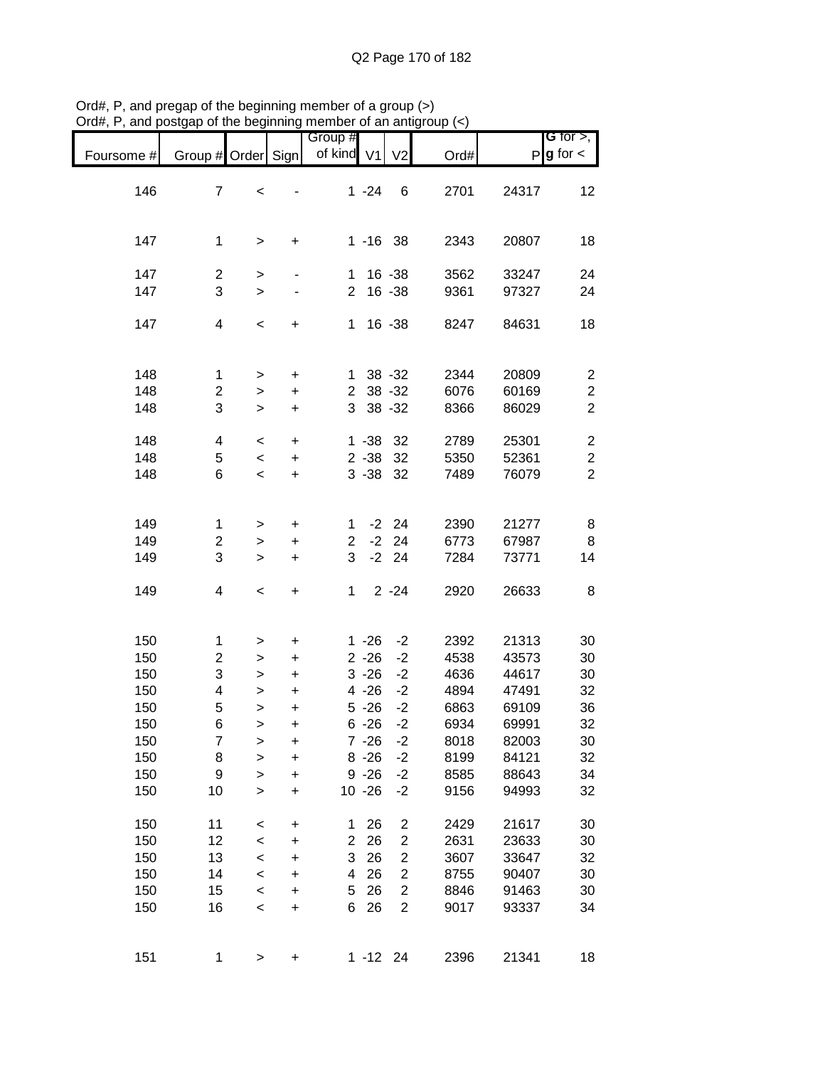|            |                         |              |           | Group #                 |             |                         |      |       | G for $>$ ,             |
|------------|-------------------------|--------------|-----------|-------------------------|-------------|-------------------------|------|-------|-------------------------|
| Foursome # | Group # Order Sign      |              |           | of kind V1              |             | V <sub>2</sub>          | Ord# | P     | $g$ for $\lt$           |
| 146        | $\overline{7}$          | $\,<$        |           |                         | $1 - 24$    | 6                       | 2701 | 24317 | 12                      |
|            |                         |              |           |                         |             |                         |      |       |                         |
|            |                         |              |           |                         |             |                         |      |       |                         |
| 147        | 1                       | $\, > \,$    | +         |                         | $1 - 16$ 38 |                         | 2343 | 20807 | 18                      |
| 147        | $\overline{\mathbf{c}}$ | $\, > \,$    |           | 1.                      |             | $16 - 38$               | 3562 | 33247 | 24                      |
| 147        | 3                       | $\, > \,$    |           | $\overline{2}$          |             | 16 - 38                 | 9361 | 97327 | 24                      |
|            |                         |              |           |                         |             |                         |      |       |                         |
| 147        | 4                       | $\,<$        | +         | $\mathbf{1}$            |             | 16 - 38                 | 8247 | 84631 | 18                      |
|            |                         |              |           |                         |             |                         |      |       |                         |
| 148        | 1                       | $\, > \,$    | $\ddot{}$ | 1                       |             | $38 - 32$               | 2344 | 20809 | $\overline{c}$          |
| 148        | $\boldsymbol{2}$        | $\mathbf{I}$ | $\ddot{}$ | $\overline{2}$          |             | $38 - 32$               | 6076 | 60169 | $\boldsymbol{2}$        |
| 148        | 3                       | $\,$         | $\ddot{}$ | 3                       |             | 38 - 32                 | 8366 | 86029 | $\overline{2}$          |
| 148        | 4                       | $\,<\,$      | $\ddot{}$ |                         | $1 - 38$    | 32                      | 2789 | 25301 | $\overline{\mathbf{c}}$ |
| 148        | 5                       | $\prec$      | $\ddot{}$ |                         | $2 - 38$    | 32                      | 5350 | 52361 | $\overline{c}$          |
| 148        | 6                       | $\,<$        | $\ddot{}$ |                         | $3 - 38$    | 32                      | 7489 | 76079 | $\overline{2}$          |
|            |                         |              |           |                         |             |                         |      |       |                         |
|            |                         |              |           |                         |             |                         |      |       |                         |
| 149        | 1                       | >            | +         | 1                       |             | $-2$ 24                 | 2390 | 21277 | 8                       |
| 149        | $\boldsymbol{2}$        | >            | $\pmb{+}$ | $\overline{\mathbf{c}}$ | $-2$        | 24                      | 6773 | 67987 | 8                       |
| 149        | 3                       | $\, > \,$    | $\ddot{}$ | 3                       | $-2$        | 24                      | 7284 | 73771 | 14                      |
| 149        | 4                       | $\,<$        | $\ddot{}$ | $\mathbf 1$             |             | $2 - 24$                | 2920 | 26633 | 8                       |
|            |                         |              |           |                         |             |                         |      |       |                         |
|            |                         |              |           |                         |             |                         |      |       |                         |
| 150        | 1                       | >            | +         |                         | $1 - 26$    | $-2$                    | 2392 | 21313 | 30                      |
| 150        | $\overline{c}$          | $\, > \,$    | $\ddot{}$ |                         | $2 - 26$    | $-2$                    | 4538 | 43573 | 30                      |
| 150        | 3                       | $\mathbf{I}$ | +         |                         | $3 - 26$    | $-2$                    | 4636 | 44617 | 30                      |
| 150        | 4                       | $\mathbf{I}$ | $\ddot{}$ |                         | $4 - 26$    | $-2$                    | 4894 | 47491 | 32                      |
| 150        | 5                       | $\mathbf{I}$ | $\ddot{}$ |                         | $5 - 26$    | $-2$                    | 6863 | 69109 | 36                      |
| 150        | 6                       | $\geq$       | $\ddot{}$ |                         | $6 - 26$    | $-2$                    | 6934 | 69991 | 32                      |
| 150        | $\overline{7}$          | >            | $\pmb{+}$ |                         | $7 - 26$    | $-2$                    | 8018 | 82003 | 30                      |
| 150        | 8                       | $\geq$       | $\ddot{}$ |                         | $8 - 26$    | $-2$                    | 8199 | 84121 | 32                      |
| 150        | $\boldsymbol{9}$        | $\geq$       | $\ddot{}$ |                         | $9 - 26$    | $-2$                    | 8585 | 88643 | 34                      |
| 150        | 10                      | $\mathbf{I}$ | $\ddot{}$ |                         | $10 - 26$   | $-2$                    | 9156 | 94993 | 32                      |
| 150        | 11                      | $\prec$      | $\pmb{+}$ | 1                       | 26          | $\overline{\mathbf{c}}$ | 2429 | 21617 | 30                      |
| 150        | 12                      | $\prec$      | +         | $\overline{c}$          | 26          | $\overline{c}$          | 2631 | 23633 | 30                      |
| 150        | 13                      | $\prec$      | $\ddot{}$ | 3                       | 26          | $\overline{c}$          | 3607 | 33647 | 32                      |
| 150        | 14                      | $\,<$        | $\ddot{}$ | 4                       | 26          | $\overline{\mathbf{c}}$ | 8755 | 90407 | 30                      |
| 150        | 15                      | $\,<$        | $\ddot{}$ | 5                       | 26          | $\overline{c}$          | 8846 | 91463 | 30                      |
| 150        | 16                      |              |           | 6                       | 26          | $\overline{2}$          |      |       |                         |
|            |                         | $\,<$        | $\ddot{}$ |                         |             |                         | 9017 | 93337 | 34                      |
|            |                         |              |           |                         |             |                         |      |       |                         |
| 151        | 1                       | >            | $\pmb{+}$ |                         | $1 - 12$ 24 |                         | 2396 | 21341 | 18                      |

Ord#, P, and pregap of the beginning member of a group (>) Ord#, P, and postgap of the beginning member of an antigroup (<)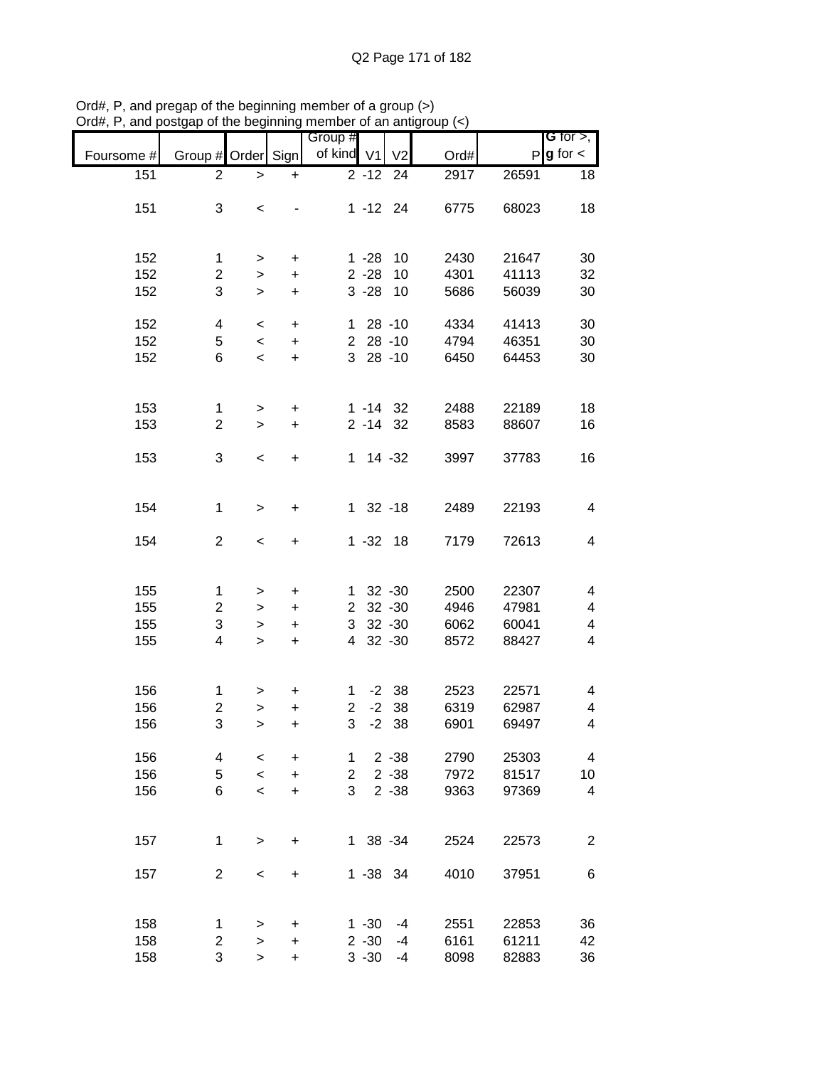|            |                    |              |           | Group #        |               |                |      |              | $G$ for $>$ , |
|------------|--------------------|--------------|-----------|----------------|---------------|----------------|------|--------------|---------------|
|            |                    |              |           |                |               |                |      |              |               |
| Foursome # | Group # Order Sign |              |           | of kind V1     |               | V <sub>2</sub> | Ord# | $\mathsf{P}$ | $g$ for $\lt$ |
| 151        | $\overline{2}$     | $\,>$        | $\ddot{}$ |                | $2 - 12$      | 24             | 2917 | 26591        | 18            |
|            |                    |              |           |                |               |                |      |              |               |
| 151        | 3                  | $\,<$        |           |                | $1 - 12$ 24   |                | 6775 | 68023        | 18            |
|            |                    |              |           |                |               |                |      |              |               |
|            |                    |              |           |                |               |                |      |              |               |
|            |                    |              |           |                |               |                |      |              |               |
| 152        | 1                  | $\, > \,$    | $\ddot{}$ |                | $1 - 28$      | 10             | 2430 | 21647        | 30            |
| 152        | $\overline{c}$     | $\mathbf{I}$ | +         |                | $2 - 28$      | 10             | 4301 | 41113        | 32            |
| 152        | 3                  | $\geq$       | $\ddot{}$ |                | $3 - 28$      | 10             | 5686 | 56039        | 30            |
|            |                    |              |           |                |               |                |      |              |               |
| 152        | 4                  | $\,<$        | $\ddot{}$ | 1              |               | $28 - 10$      | 4334 | 41413        | 30            |
| 152        |                    |              |           | $\overline{2}$ |               | $28 - 10$      | 4794 | 46351        | 30            |
|            | 5                  | $\,<\,$      | $\ddot{}$ |                |               |                |      |              |               |
| 152        | 6                  | $\,<\,$      | $\ddot{}$ | 3              |               | $28 - 10$      | 6450 | 64453        | 30            |
|            |                    |              |           |                |               |                |      |              |               |
|            |                    |              |           |                |               |                |      |              |               |
| 153        | 1                  | $\,$         | $\ddot{}$ |                | $1 - 14$ 32   |                | 2488 | 22189        | 18            |
| 153        | $\overline{c}$     | $\geq$       | $\ddot{}$ |                | $2 - 14$ 32   |                | 8583 | 88607        | 16            |
|            |                    |              |           |                |               |                |      |              |               |
|            |                    |              |           | $\mathbf{1}$   |               |                |      |              |               |
| 153        | 3                  | $\,<$        | $\ddot{}$ |                |               | $14 - 32$      | 3997 | 37783        | 16            |
|            |                    |              |           |                |               |                |      |              |               |
|            |                    |              |           |                |               |                |      |              |               |
| 154        | 1                  | $\,>$        | $\ddot{}$ |                | $1 \t32 - 18$ |                | 2489 | 22193        | 4             |
|            |                    |              |           |                |               |                |      |              |               |
| 154        | $\overline{2}$     | $\,<$        | +         |                | $1 - 32 18$   |                | 7179 | 72613        | 4             |
|            |                    |              |           |                |               |                |      |              |               |
|            |                    |              |           |                |               |                |      |              |               |
|            |                    |              |           |                |               |                |      |              |               |
| 155        | 1                  | >            | $\ddot{}$ | 1              |               | $32 - 30$      | 2500 | 22307        | 4             |
| 155        | $\overline{c}$     | $\, > \,$    | $\ddot{}$ | $\overline{2}$ |               | $32 - 30$      | 4946 | 47981        | 4             |
| 155        | 3                  | $\,>$        | $\ddot{}$ | 3              |               | $32 - 30$      | 6062 | 60041        | 4             |
| 155        | 4                  | $\, > \,$    | $\ddot{}$ | 4              |               | $32 - 30$      | 8572 | 88427        | 4             |
|            |                    |              |           |                |               |                |      |              |               |
|            |                    |              |           |                |               |                |      |              |               |
|            |                    |              |           |                |               | $-2$ 38        |      |              |               |
| 156        | 1                  | >            | +         | 1              |               |                | 2523 | 22571        | 4             |
| 156        | $\overline{c}$     | $\geq$       | $\ddot{}$ | $\overline{2}$ | $-2$          | 38             | 6319 | 62987        | 4             |
| 156        | 3                  | >            | $\ddot{}$ | 3              | $-2$          | 38             | 6901 | 69497        | 4             |
|            |                    |              |           |                |               |                |      |              |               |
| 156        | 4                  | <            | +         | 1              |               | $2 - 38$       | 2790 | 25303        | 4             |
| 156        | 5                  | $\,<\,$      | $\ddot{}$ | $\overline{2}$ |               | $2 - 38$       | 7972 | 81517        | 10            |
| 156        | 6                  | $\,<\,$      | $\ddot{}$ | 3              |               | $2 - 38$       | 9363 | 97369        | 4             |
|            |                    |              |           |                |               |                |      |              |               |
|            |                    |              |           |                |               |                |      |              |               |
|            |                    |              |           |                |               |                |      |              |               |
| 157        | 1                  | $\,>$        | $\ddot{}$ |                | 1 38 -34      |                | 2524 | 22573        | 2             |
|            |                    |              |           |                |               |                |      |              |               |
| 157        | $\overline{2}$     | $\,<\,$      | $\ddot{}$ |                | 1 -38 34      |                | 4010 | 37951        | 6             |
|            |                    |              |           |                |               |                |      |              |               |
|            |                    |              |           |                |               |                |      |              |               |
| 158        | 1                  |              |           |                |               |                |      |              |               |
|            |                    | $\, > \,$    | $\ddot{}$ |                | $1 - 30$      | -4             | 2551 | 22853        | 36            |
| 158        | 2                  | $\geq$       | $\ddot{}$ |                | $2 - 30$      | -4             | 6161 | 61211        | 42            |
| 158        | 3                  | $\, > \,$    | $\ddot{}$ |                | $3 - 30$      | -4             | 8098 | 82883        | 36            |

Ord#, P, and pregap of the beginning member of a group (>) Ord#, P, and postgap of the beginning member of an antigroup (<)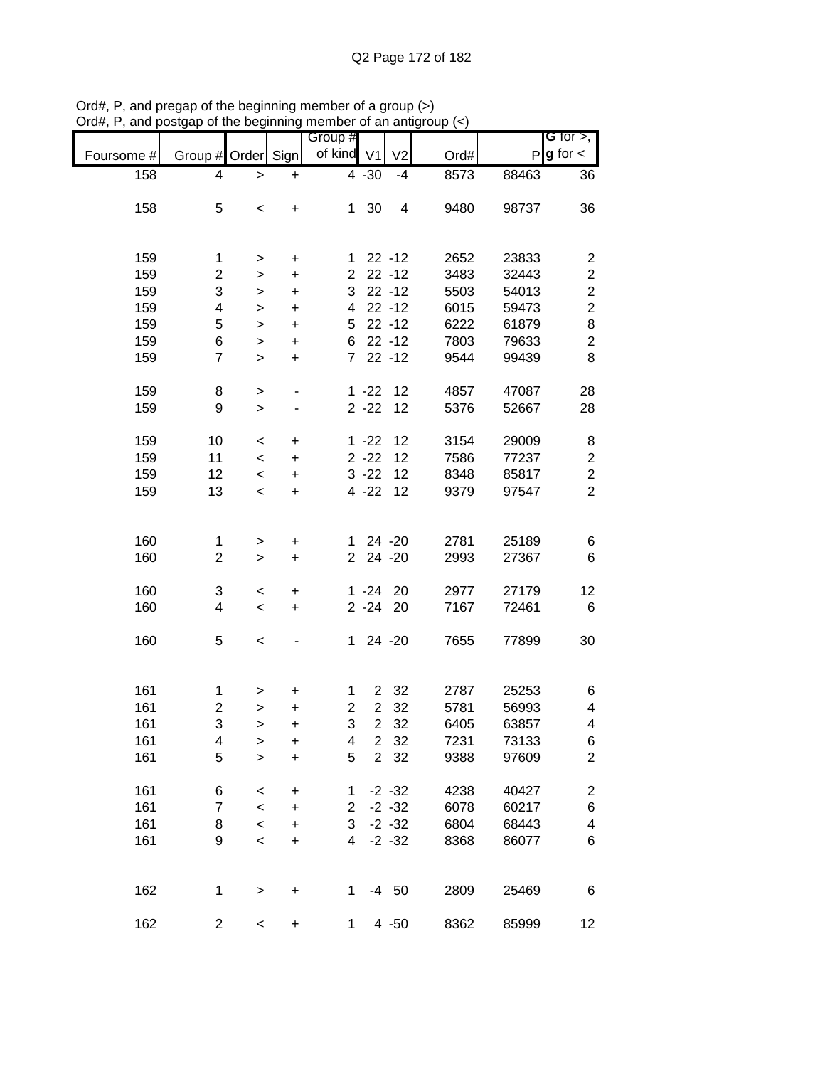|            |                         |           |           | Group #        |                |                |      |       | <b>G</b> for $>$ ,      |
|------------|-------------------------|-----------|-----------|----------------|----------------|----------------|------|-------|-------------------------|
|            | Group # Order Sign      |           |           | of kind V1     |                | V <sub>2</sub> |      | P     | $g$ for $\lt$           |
| Foursome # |                         |           |           |                |                |                | Ord# |       |                         |
| 158        | 4                       | >         | +         |                | $4 - 30$       | $-4$           | 8573 | 88463 | 36                      |
|            |                         |           |           |                |                |                |      |       |                         |
| 158        | 5                       | $\,<$     | +         | 1              | 30             | 4              | 9480 | 98737 | 36                      |
|            |                         |           |           |                |                |                |      |       |                         |
|            |                         |           |           |                |                |                |      |       |                         |
| 159        | 1                       | $\, > \,$ | +         | 1              |                | $22 - 12$      | 2652 | 23833 | $\overline{\mathbf{c}}$ |
| 159        | 2                       | >         | +         | $\overline{2}$ |                | $22 - 12$      | 3483 | 32443 | $\mathbf{2}$            |
| 159        | 3                       | >         | +         | 3              |                | $22 - 12$      | 5503 | 54013 | $\boldsymbol{2}$        |
| 159        | 4                       | >         | $\ddot{}$ | 4              |                | $22 - 12$      | 6015 | 59473 | $\overline{c}$          |
| 159        | 5                       | >         | $\ddot{}$ | 5              |                | $22 - 12$      | 6222 | 61879 | 8                       |
| 159        | 6                       | $\,$      | $\ddot{}$ | 6              |                | $22 - 12$      | 7803 | 79633 | $\overline{c}$          |
| 159        | $\overline{7}$          | $\geq$    | $\ddot{}$ | $\overline{7}$ |                | $22 - 12$      | 9544 | 99439 | 8                       |
|            |                         |           |           |                |                |                |      |       |                         |
| 159        | 8                       | $\,$      |           |                | $1 - 22$       | 12             | 4857 | 47087 | 28                      |
| 159        | 9                       | $\, > \,$ |           |                | $2 - 22$       | 12             | 5376 | 52667 | 28                      |
|            |                         |           |           |                |                |                |      |       |                         |
| 159        | 10                      | $\,<$     | $\ddot{}$ |                | $1 - 22$       | 12             | 3154 | 29009 | 8                       |
| 159        | 11                      | $\,<$     | $\ddot{}$ |                | $2 - 22$       | 12             | 7586 | 77237 | $\boldsymbol{2}$        |
| 159        | 12                      | $\,<$     | $\ddot{}$ |                | $3 - 22$       | 12             | 8348 | 85817 | $\overline{2}$          |
| 159        | 13                      | $\,<$     | $\ddot{}$ |                | $4 - 22$       | 12             | 9379 | 97547 | $\overline{c}$          |
|            |                         |           |           |                |                |                |      |       |                         |
|            |                         |           |           |                |                |                |      |       |                         |
| 160        | 1                       | $\, > \,$ | +         | $\mathbf 1$    |                | 24 - 20        | 2781 | 25189 | 6                       |
| 160        | $\overline{\mathbf{c}}$ | $\, > \,$ | +         | $\overline{2}$ |                | 24 - 20        | 2993 | 27367 | 6                       |
|            |                         |           |           |                |                |                |      |       |                         |
| 160        | 3                       | $\,<$     | +         |                | $1 - 24$       | 20             | 2977 | 27179 | 12                      |
| 160        | 4                       | $\,<$     | $\ddot{}$ |                | $2 - 24$       | 20             | 7167 | 72461 | 6                       |
|            |                         |           |           |                |                |                |      |       |                         |
| 160        | 5                       | $\,<$     |           | 1              |                | 24 - 20        | 7655 | 77899 | 30                      |
|            |                         |           |           |                |                |                |      |       |                         |
|            |                         |           |           |                |                |                |      |       |                         |
| 161        | 1                       | >         | +         | 1              | $\overline{2}$ | 32             | 2787 | 25253 | 6                       |
| 161        | 2                       | $\geq$    | +         | $\overline{2}$ | $\overline{2}$ | 32             | 5781 | 56993 | 4                       |
| 161        | 3                       | >         | +         | 3              | $\overline{2}$ | 32             | 6405 | 63857 | 4                       |
| 161        | 4                       | $\geq$    | +         | 4              | $\overline{2}$ | 32             | 7231 | 73133 | 6                       |
| 161        | 5                       | $\geq$    | $\ddot{}$ | 5              | $\overline{2}$ | 32             | 9388 | 97609 | $\overline{c}$          |
|            |                         |           |           |                |                |                |      |       |                         |
| 161        | 6                       | $\,<$     | +         | 1              |                | $-2 - 32$      | 4238 | 40427 | $\overline{\mathbf{c}}$ |
| 161        | 7                       | $\prec$   | +         | $\overline{2}$ |                | $-2 - 32$      | 6078 | 60217 | $\,$ 6 $\,$             |
| 161        | 8                       | $\prec$   | +         | 3              |                | $-2 - 32$      | 6804 | 68443 | 4                       |
| 161        | 9                       | $\prec$   | +         | 4              |                | $-2 - 32$      | 8368 | 86077 | 6                       |
|            |                         |           |           |                |                |                |      |       |                         |
|            |                         |           |           |                |                |                |      |       |                         |
| 162        | 1                       | $\,$      | $\ddot{}$ | $\mathbf 1$    |                | $-4$ 50        | 2809 | 25469 | 6                       |
|            |                         |           |           |                |                |                |      |       |                         |
| 162        | 2                       | $\,<$     | $\ddot{}$ | 1              |                | $4 - 50$       | 8362 | 85999 | 12                      |

Ord#, P, and pregap of the beginning member of a group (>) Ord#, P, and postgap of the beginning member of an antigroup (<)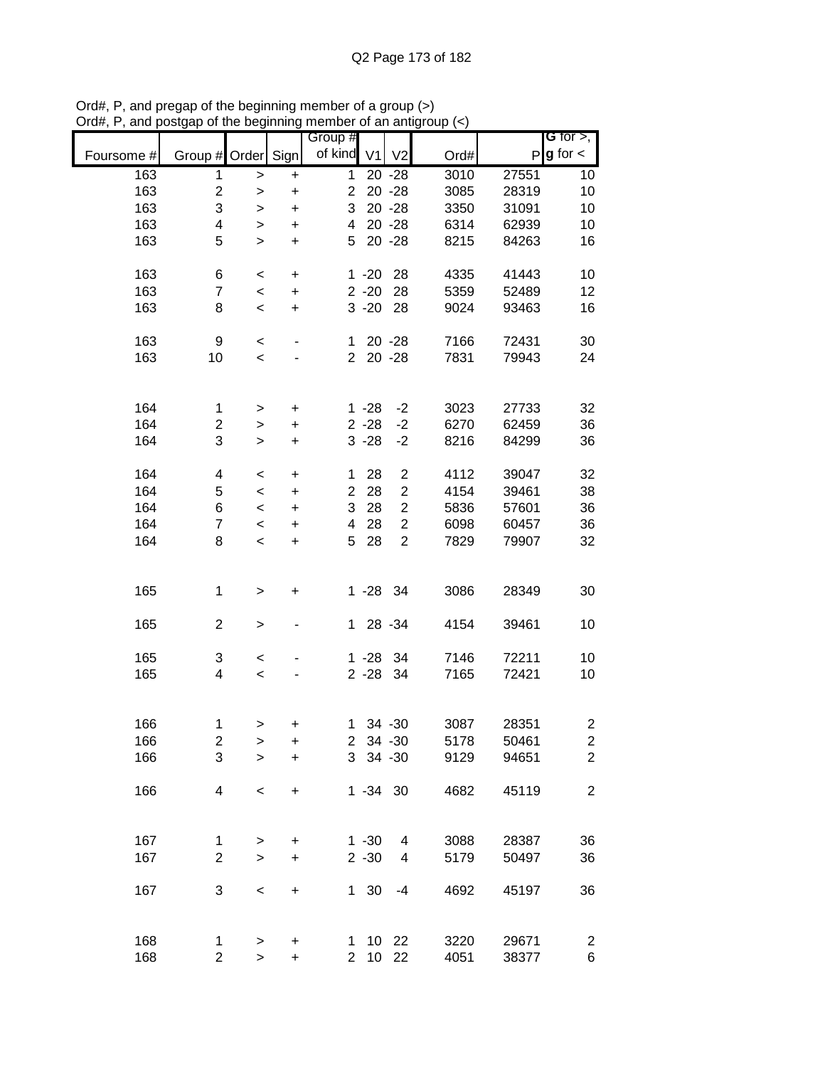|            |                         |              |                                  | Group #                 |                |                         |      |       | G for $>$ ,             |
|------------|-------------------------|--------------|----------------------------------|-------------------------|----------------|-------------------------|------|-------|-------------------------|
|            | Group #                 | Order Sign   |                                  | of kind                 | V <sub>1</sub> | V <sub>2</sub>          | Ord# |       | $P$ <b>g</b> for $\lt$  |
| Foursome # |                         |              |                                  |                         |                |                         |      |       |                         |
| 163        | 1                       | >            | $\ddot{}$                        | 1                       |                | $20 - 28$               | 3010 | 27551 | 10                      |
| 163        | $\mathbf 2$             | >            | $\ddot{}$                        | $\overline{2}$          |                | $20 - 28$               | 3085 | 28319 | 10                      |
| 163        | 3                       | >            | $\ddot{}$                        | 3                       |                | $20 - 28$               | 3350 | 31091 | 10                      |
| 163        | $\overline{\mathbf{4}}$ | $\, > \,$    | $\ddot{}$                        | $\overline{\mathbf{4}}$ |                | $20 - 28$               | 6314 | 62939 | 10                      |
| 163        | 5                       | $\, > \,$    | $\ddot{}$                        | 5                       |                | $20 - 28$               | 8215 | 84263 | 16                      |
|            |                         |              |                                  |                         |                |                         |      |       |                         |
| 163        | 6                       | $\,<$        | $\ddot{}$                        |                         | $1 - 20$       | 28                      | 4335 | 41443 | 10                      |
| 163        | 7                       | $\,<$        | $\ddot{}$                        |                         | $2 - 20$       | 28                      | 5359 | 52489 | 12                      |
| 163        | 8                       | $\,<$        | $\ddot{}$                        |                         | $3 - 20$       | 28                      | 9024 | 93463 | 16                      |
|            |                         |              |                                  |                         |                |                         |      |       |                         |
|            |                         |              |                                  |                         |                |                         |      |       |                         |
| 163        | 9                       | $\,<$        | ٠                                | $\mathbf{1}$            |                | $20 - 28$               | 7166 | 72431 | 30                      |
| 163        | 10                      | $\,<$        |                                  | $\overline{2}$          |                | $20 - 28$               | 7831 | 79943 | 24                      |
|            |                         |              |                                  |                         |                |                         |      |       |                         |
|            |                         |              |                                  |                         |                |                         |      |       |                         |
| 164        | 1                       | >            | $\ddot{}$                        |                         | $1 - 28$       | $-2$                    | 3023 | 27733 | 32                      |
| 164        | $\overline{c}$          | $\, > \,$    | $\ddot{}$                        |                         | $2 - 28$       | $-2$                    | 6270 | 62459 | 36                      |
| 164        | 3                       | $\,$         | $\ddot{}$                        |                         | $3 - 28$       | $-2$                    | 8216 | 84299 | 36                      |
|            |                         |              |                                  |                         |                |                         |      |       |                         |
| 164        | 4                       | $\,<$        | $\ddot{}$                        | 1                       | 28             | $\overline{c}$          | 4112 | 39047 | 32                      |
| 164        | 5                       | $\prec$      | $\ddot{}$                        | $\overline{c}$          | 28             | $\overline{\mathbf{c}}$ | 4154 | 39461 | 38                      |
| 164        | 6                       | $\prec$      | $\ddot{}$                        | 3                       | 28             | $\overline{c}$          | 5836 | 57601 | 36                      |
| 164        | $\overline{7}$          | $\prec$      | $\ddot{}$                        | $\overline{\mathbf{4}}$ | 28             | $\overline{c}$          | 6098 | 60457 | 36                      |
| 164        | 8                       | $\,<$        | $\ddot{}$                        | 5                       | 28             | $\overline{2}$          | 7829 | 79907 | 32                      |
|            |                         |              |                                  |                         |                |                         |      |       |                         |
|            |                         |              |                                  |                         |                |                         |      |       |                         |
| 165        | 1                       |              | $\pmb{+}$                        |                         | 1 -28 34       |                         | 3086 | 28349 | 30                      |
|            |                         | >            |                                  |                         |                |                         |      |       |                         |
| 165        | $\overline{2}$          |              |                                  | $\mathbf 1$             |                | 28 - 34                 |      |       |                         |
|            |                         | >            |                                  |                         |                |                         | 4154 | 39461 | 10                      |
|            |                         |              |                                  |                         |                |                         |      |       |                         |
| 165        | 3                       | $\,<$        |                                  |                         | 1 -28 34       |                         | 7146 | 72211 | 10                      |
| 165        | 4                       | $\,<$        |                                  |                         | $2 - 28$       | 34                      | 7165 | 72421 | 10                      |
|            |                         |              |                                  |                         |                |                         |      |       |                         |
|            |                         |              |                                  |                         |                |                         |      |       |                         |
| 166        | 1                       | >            | $\pmb{+}$                        | $\mathbf 1$             |                | 34 - 30                 | 3087 | 28351 | $\overline{\mathbf{c}}$ |
| 166        | $\overline{c}$          | $\geq$       | $\ddot{}$                        |                         | 2 34 -30       |                         | 5178 | 50461 | $\overline{c}$          |
| 166        | 3                       | $\geq$       | $\ddot{}$                        |                         | 3 34 - 30      |                         | 9129 | 94651 | $\overline{2}$          |
|            |                         |              |                                  |                         |                |                         |      |       |                         |
| 166        | 4                       | $\,<$        | $\ddot{}$                        |                         | $1 - 34$ 30    |                         | 4682 | 45119 | $\mathbf{2}$            |
|            |                         |              |                                  |                         |                |                         |      |       |                         |
|            |                         |              |                                  |                         |                |                         |      |       |                         |
| 167        | 1                       | $\, > \,$    | +                                |                         | $1 - 30$       | 4                       | 3088 | 28387 | 36                      |
| 167        | $\overline{c}$          | $\,$         | $\ddot{}$                        |                         | $2 - 30$       | 4                       | 5179 | 50497 | 36                      |
|            |                         |              |                                  |                         |                |                         |      |       |                         |
| 167        | 3                       | $\prec$      | $\begin{array}{c} + \end{array}$ |                         | 1 30           | $-4$                    | 4692 | 45197 | 36                      |
|            |                         |              |                                  |                         |                |                         |      |       |                         |
|            |                         |              |                                  |                         |                |                         |      |       |                         |
|            |                         |              |                                  |                         |                |                         |      |       |                         |
| 168        | 1                       | $\,$         | $\ddot{}$                        | 1.                      |                | 10 22                   | 3220 | 29671 | $\overline{\mathbf{c}}$ |
| 168        | $\overline{c}$          | $\mathbf{I}$ | $\ddot{}$                        | $\overline{2}$          |                | 10 22                   | 4051 | 38377 | 6                       |

Ord#, P, and pregap of the beginning member of a group (>) Ord#, P, and postgap of the beginning member of an antigroup (<)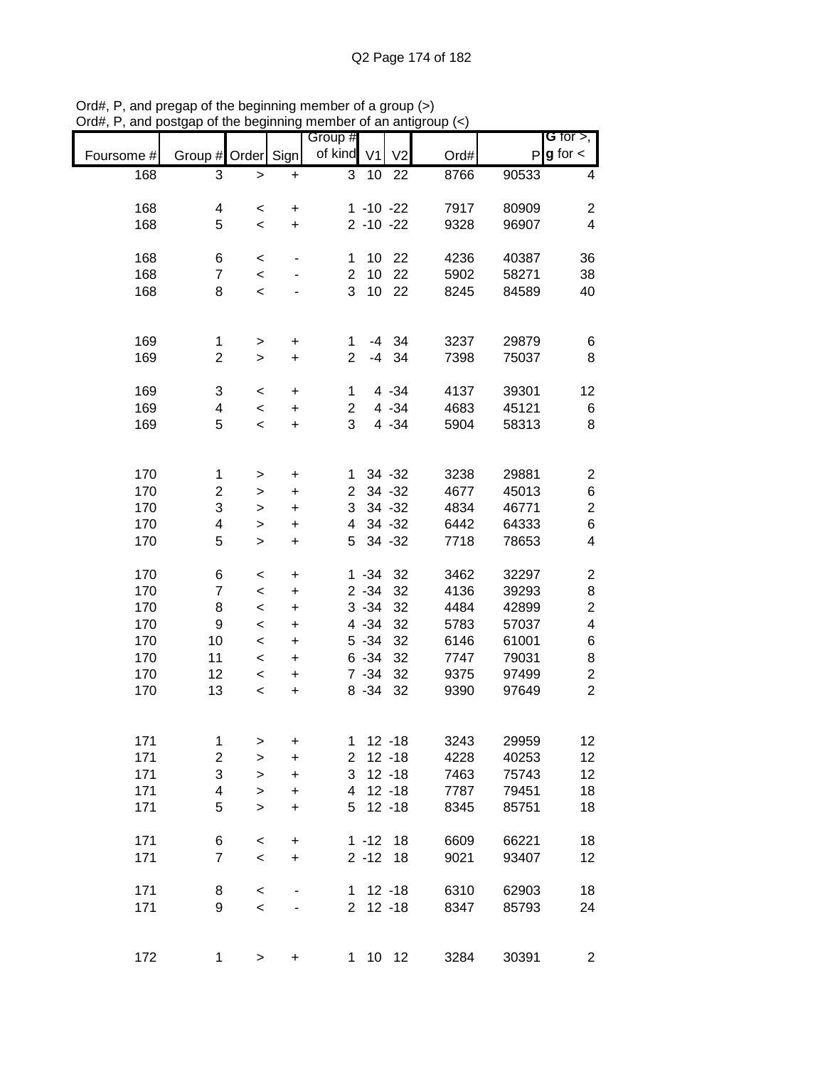|            |                         |                    |                | Group #        |                |                |      |       | <b>G</b> for $>$ ,      |
|------------|-------------------------|--------------------|----------------|----------------|----------------|----------------|------|-------|-------------------------|
| Foursome # | Group # Order           |                    | Sign           | of kind        | V <sub>1</sub> | V <sub>2</sub> | Ord# |       | $P$ g for $\lt$         |
| 168        | 3                       | $\,>$              | $\ddot{}$      | 3              | 10             | 22             | 8766 | 90533 | 4                       |
| 168        | 4                       |                    |                |                | $1 - 10 - 22$  |                | 7917 | 80909 | $\overline{c}$          |
| 168        | 5                       | $\,<\,$<br>$\,<\,$ | +<br>$\ddot{}$ |                | $2 - 10 - 22$  |                | 9328 | 96907 | $\overline{\mathbf{4}}$ |
|            |                         |                    |                |                |                |                |      |       |                         |
| 168        | 6                       | $\,<$              |                | 1              | 10             | 22             | 4236 | 40387 | 36                      |
| 168        | $\overline{7}$          | $\,<$              |                | $\overline{2}$ | 10             | 22             | 5902 | 58271 | 38                      |
| 168        | 8                       | $\,<$              |                | 3              | 10             | 22             | 8245 | 84589 | 40                      |
|            |                         |                    |                |                |                |                |      |       |                         |
| 169        | 1                       | $\, > \,$          | +              | 1              |                | $-4$ 34        | 3237 | 29879 | 6                       |
| 169        | $\overline{2}$          | $\geq$             | $\ddot{}$      | $\overline{2}$ | $-4$           | 34             | 7398 | 75037 | 8                       |
|            |                         |                    |                |                |                |                |      |       |                         |
| 169        | 3                       | $\,<$              | $\ddot{}$      | $\mathbf{1}$   |                | 4 - 34         | 4137 | 39301 | 12                      |
| 169        | 4                       | $\,<\,$            | $\ddot{}$      | $\overline{2}$ |                | 4 - 34         | 4683 | 45121 | 6                       |
| 169        | 5                       | $\,<$              | $\ddot{}$      | 3              |                | $4 - 34$       | 5904 | 58313 | 8                       |
|            |                         |                    |                |                |                |                |      |       |                         |
| 170        | 1                       | >                  | $\pmb{+}$      | 1              |                | 34 - 32        | 3238 | 29881 | $\overline{c}$          |
| 170        | 2                       | >                  | $\ddot{}$      | $\overline{c}$ |                | 34 - 32        | 4677 | 45013 | 6                       |
| 170        | 3                       | $\, > \,$          | $\ddot{}$      | 3              |                | 34 - 32        | 4834 | 46771 | $\overline{c}$          |
| 170        | 4                       | $\geq$             | +              | 4              |                | 34 - 32        | 6442 | 64333 | $\,6$                   |
| 170        | 5                       | $\geq$             | +              | 5              |                | 34 - 32        | 7718 | 78653 | 4                       |
| 170        | 6                       | <                  | +              |                | $1 - 34$       | 32             | 3462 | 32297 | $\overline{c}$          |
| 170        | $\overline{7}$          | $\,<\,$            | +              |                | $2 - 34$       | 32             | 4136 | 39293 | 8                       |
| 170        | 8                       | $\,<\,$            | $\ddot{}$      |                | $3 - 34$       | 32             | 4484 | 42899 | $\overline{c}$          |
| 170        | 9                       | $\,<\,$            | +              |                | 4 - 34         | 32             | 5783 | 57037 | 4                       |
| 170        | 10                      | $\,<\,$            | $\ddot{}$      |                | $5 - 34$       | 32             | 6146 | 61001 | 6                       |
| 170        | 11                      | $\,<$              | +              |                | $6 - 34$       | 32             | 7747 | 79031 | 8                       |
| 170        | 12                      | $\,<$              | $\ddot{}$      |                | $7 - 34$       | 32             | 9375 | 97499 | $\overline{\mathbf{c}}$ |
| 170        | 13                      | $\,<$              | $\ddot{}$      |                | $8 - 34$       | 32             | 9390 | 97649 | $\overline{2}$          |
|            |                         |                    |                |                |                |                |      |       |                         |
| 171        | $\mathbf 1$             | $\,$               | $\ddot{}$      | 1              |                | $12 - 18$      | 3243 | 29959 | 12                      |
| 171        | $\overline{\mathbf{c}}$ | $\,$               | $\ddot{}$      | $\overline{2}$ |                | $12 - 18$      | 4228 | 40253 | 12                      |
| 171        | 3                       | $\, > \,$          | $\ddot{}$      | 3              |                | $12 - 18$      | 7463 | 75743 | 12                      |
| 171        | 4                       | $\mathbf{I}$       | $\ddot{}$      | 4              |                | $12 - 18$      | 7787 | 79451 | 18                      |
| 171        | 5                       | $\geq$             | $\ddot{}$      | 5              |                | $12 - 18$      | 8345 | 85751 | 18                      |
| 171        | 6                       | $\,<$              | $\ddot{}$      |                | $1 - 12$       | 18             | 6609 | 66221 | 18                      |
| 171        | $\overline{7}$          | $\,<$              | $\ddot{}$      |                | $2 - 12$       | 18             | 9021 | 93407 | 12                      |
|            |                         |                    |                |                |                |                |      |       |                         |
| 171        | 8                       | $\,<$              |                | 1              |                | $12 - 18$      | 6310 | 62903 | 18                      |
| 171        | 9                       | $\prec$            |                | $2^{\circ}$    |                | $12 - 18$      | 8347 | 85793 | 24                      |
|            |                         |                    |                |                |                |                |      |       |                         |
| 172        | $\mathbf{1}$            | $\,$               | $\ddot{}$      | 1              |                | 10 12          | 3284 | 30391 | $\overline{2}$          |

Ord#, P, and pregap of the beginning member of a group (>) Ord#, P, and postgap of the beginning member of an antigroup (<)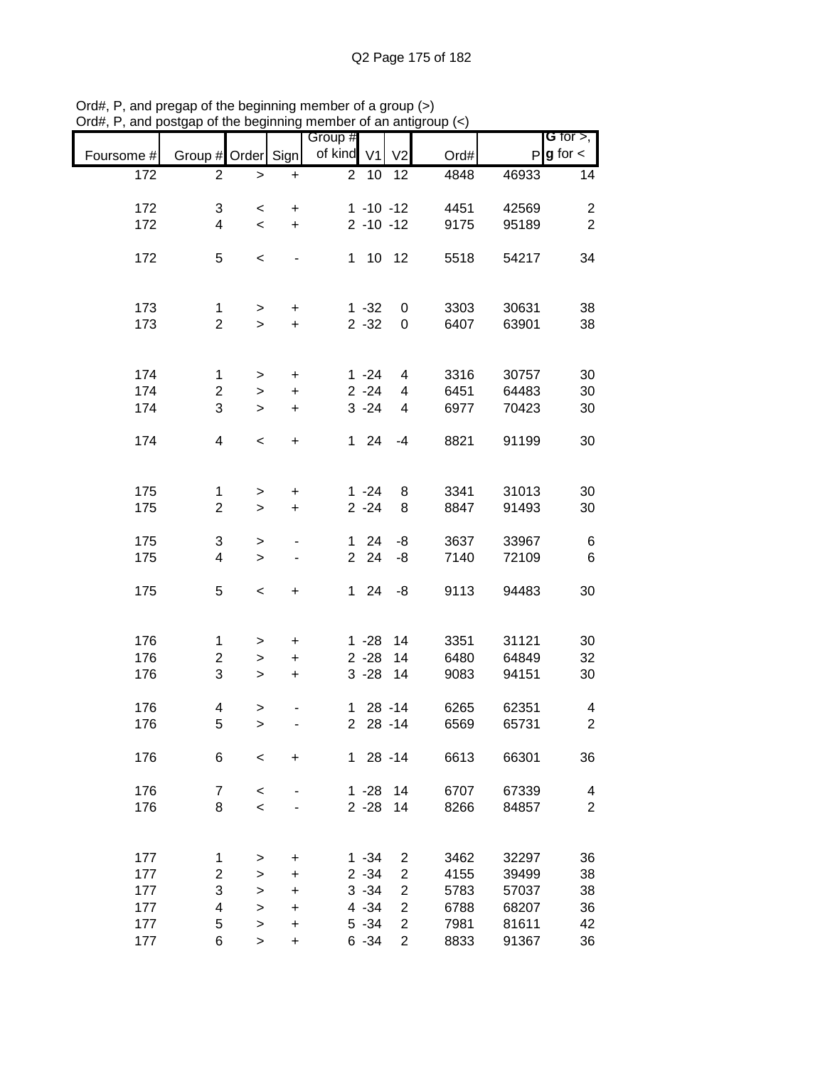|            |                         |           |                              | Group #        |                |                |      |       | G for $>$ ,     |
|------------|-------------------------|-----------|------------------------------|----------------|----------------|----------------|------|-------|-----------------|
| Foursome # | Group # Order Sign      |           |                              | of kind        | V <sub>1</sub> | V <sub>2</sub> | Ord# |       | $P g$ for $\lt$ |
| 172        | $\overline{2}$          | $\, > \,$ | $\ddot{}$                    | $\overline{2}$ | 10             | 12             | 4848 | 46933 | 14              |
|            |                         |           |                              |                |                |                |      |       |                 |
| 172        | 3                       | $\,<$     | $\ddot{}$                    |                | $1 - 10 - 12$  |                | 4451 | 42569 | $\overline{c}$  |
| 172        | $\overline{4}$          | $\prec$   | $\ddot{}$                    |                | $2 - 10 - 12$  |                | 9175 | 95189 | $\overline{2}$  |
| 172        | 5                       | $\,<$     |                              | 1              | 10             | 12             | 5518 | 54217 | 34              |
|            |                         |           |                              |                |                |                |      |       |                 |
|            |                         |           |                              |                |                |                |      |       |                 |
| 173        | 1                       | $\, > \,$ | +                            |                | $1 - 32$       | 0              | 3303 | 30631 | 38              |
| 173        | $\overline{2}$          | $\, > \,$ | $\ddot{}$                    |                | $2 - 32$       | 0              | 6407 | 63901 | 38              |
|            |                         |           |                              |                |                |                |      |       |                 |
|            |                         |           |                              |                |                |                |      |       |                 |
| 174        | 1                       | $\,>$     | $\ddot{}$                    |                | $1 - 24$       | 4              | 3316 | 30757 | 30              |
| 174        | 2                       | $\geq$    | $\ddot{}$                    |                | $2 - 24$       | 4              | 6451 | 64483 | 30              |
| 174        | 3                       | $\, > \,$ | $\ddot{}$                    |                | $3 - 24$       | 4              | 6977 | 70423 | 30              |
|            |                         |           |                              |                | 24             |                | 8821 | 91199 |                 |
| 174        | 4                       | $\,<$     | $\ddot{}$                    | $\mathbf 1$    |                | $-4$           |      |       | 30              |
|            |                         |           |                              |                |                |                |      |       |                 |
| 175        | 1                       | $\,>$     | $\ddot{}$                    |                | $1 - 24$       | 8              | 3341 | 31013 | 30              |
| 175        | $\overline{2}$          | $\geq$    | $\ddot{}$                    |                | $2 - 24$       | 8              | 8847 | 91493 | 30              |
|            |                         |           |                              |                |                |                |      |       |                 |
| 175        | 3                       | $\,$      | $\qquad \qquad \blacksquare$ | $\mathbf 1$    | 24             | -8             | 3637 | 33967 | 6               |
| 175        | 4                       | $\, > \,$ |                              | $\overline{2}$ | 24             | -8             | 7140 | 72109 | 6               |
|            |                         |           |                              |                |                |                |      |       |                 |
| 175        | 5                       | $\,<$     | +                            | $\mathbf 1$    | 24             | -8             | 9113 | 94483 | 30              |
|            |                         |           |                              |                |                |                |      |       |                 |
| 176        | 1                       |           | $\ddot{}$                    |                | $1 - 28$       | 14             | 3351 | 31121 | 30              |
| 176        | $\overline{\mathbf{c}}$ | $\,$      | $\ddot{}$                    |                | $2 - 28$       | 14             | 6480 | 64849 | 32              |
|            | 3                       | $\,$      |                              |                |                |                |      |       |                 |
| 176        |                         | $\, >$    | $\ddot{}$                    |                | $3 - 28$       | 14             | 9083 | 94151 | 30              |
| 176        | 4                       | >         |                              | 1.             |                | $28 - 14$      | 6265 | 62351 | 4               |
| 176        | 5                       | $\geq$    |                              | $\overline{2}$ |                | $28 - 14$      | 6569 | 65731 | $\overline{c}$  |
|            |                         |           |                              |                |                |                |      |       |                 |
| 176        | 6                       | $\,<$     | $\ddot{}$                    |                | $128 - 14$     |                | 6613 | 66301 | 36              |
|            |                         |           |                              |                |                |                |      |       |                 |
| 176        | $\overline{7}$          | $\,<$     |                              |                | $1 - 28$       | 14             | 6707 | 67339 | 4               |
| 176        | 8                       | $\prec$   |                              |                | $2 - 28$       | 14             | 8266 | 84857 | $\overline{2}$  |
|            |                         |           |                              |                |                |                |      |       |                 |
|            |                         |           |                              |                |                |                |      |       |                 |
| 177        | 1                       | >         | +                            |                | $1 - 34$       | 2              | 3462 | 32297 | 36              |
| 177        | 2                       | >         | +                            |                | $2 - 34$       | $\overline{2}$ | 4155 | 39499 | 38              |
| 177        | 3                       | >         | +                            |                | $3 - 34$       | $\overline{c}$ | 5783 | 57037 | 38              |
| 177        | 4                       | $\geq$    | +                            |                | $4 - 34$       | $\overline{2}$ | 6788 | 68207 | 36              |
| 177        | 5                       | $\geq$    | +                            |                | $5 - 34$       | $\overline{c}$ | 7981 | 81611 | 42              |
| 177        | 6                       | $\,$      | $\ddot{}$                    |                | $6 - 34$       | $\overline{2}$ | 8833 | 91367 | 36              |

Ord#, P, and pregap of the beginning member of a group (>) Ord#, P, and postgap of the beginning member of an antigroup (<)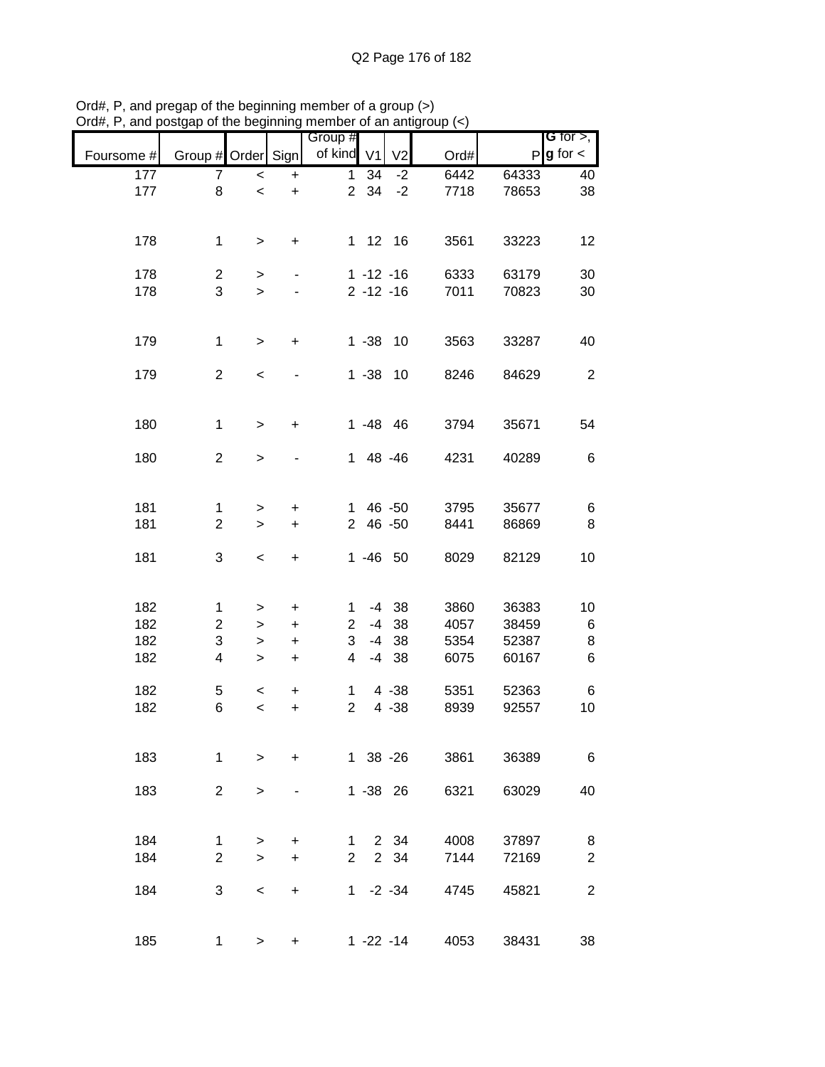|            | Group # Order Sign |           |           | Group #<br>of kind             | V <sub>1</sub> | V <sub>2</sub> |      | P     | G for $>$ ,<br>$g$ for $\lt$ |
|------------|--------------------|-----------|-----------|--------------------------------|----------------|----------------|------|-------|------------------------------|
| Foursome # |                    |           |           |                                |                |                | Ord# |       |                              |
| 177        | 7                  | $\prec$   | $\ddot{}$ | $\mathbf{1}$<br>$\overline{2}$ | 34<br>34       | $-2$<br>$-2$   | 6442 | 64333 | 40                           |
| 177        | 8                  | $\,<$     | $\ddot{}$ |                                |                |                | 7718 | 78653 | 38                           |
|            |                    |           |           |                                |                |                |      |       |                              |
| 178        | $\mathbf 1$        | $\,>$     | +         |                                |                | 1 12 16        | 3561 | 33223 | 12                           |
|            |                    |           |           |                                |                |                |      |       |                              |
| 178        | $\overline{c}$     | $\, > \,$ |           |                                |                | $1 - 12 - 16$  | 6333 | 63179 | 30                           |
| 178        | 3                  | $\geq$    |           |                                |                | $2 - 12 - 16$  | 7011 | 70823 | 30                           |
|            |                    |           |           |                                |                |                |      |       |                              |
|            |                    |           |           |                                |                |                |      |       |                              |
| 179        | $\mathbf 1$        | $\geq$    | $\ddot{}$ |                                | $1 - 38$       | 10             | 3563 | 33287 | 40                           |
|            |                    |           |           |                                |                |                |      |       |                              |
| 179        | $\overline{2}$     | $\,<$     |           |                                |                | $1 - 38$ 10    | 8246 | 84629 | $\overline{2}$               |
|            |                    |           |           |                                |                |                |      |       |                              |
|            |                    |           |           |                                |                |                |      |       |                              |
| 180        | $\mathbf 1$        | $\,>$     | $\ddot{}$ |                                |                | $1 - 48$ 46    | 3794 | 35671 | 54                           |
| 180        | $\overline{2}$     | $\,>$     |           |                                |                | 1 48 -46       | 4231 | 40289 | 6                            |
|            |                    |           |           |                                |                |                |      |       |                              |
|            |                    |           |           |                                |                |                |      |       |                              |
| 181        | $\mathbf 1$        | >         | +         | 1.                             |                | 46 - 50        | 3795 | 35677 | 6                            |
| 181        | $\overline{2}$     | $\,>$     | $\ddot{}$ | $\overline{2}$                 |                | 46 - 50        | 8441 | 86869 | 8                            |
|            |                    |           |           |                                |                |                |      |       |                              |
| 181        | 3                  | $\,<$     | $\ddot{}$ |                                |                | $1 - 46$ 50    | 8029 | 82129 | 10                           |
|            |                    |           |           |                                |                |                |      |       |                              |
|            |                    |           |           |                                |                |                |      |       |                              |
| 182        | 1                  | $\, > \,$ | +         | 1                              |                | $-4$ 38        | 3860 | 36383 | 10                           |
| 182        | $\overline{2}$     | $\geq$    | $\ddot{}$ | $\overline{2}$                 | $-4$           | 38             | 4057 | 38459 | $\,6$                        |
| 182        | 3                  | >         | $\ddot{}$ | 3                              | $-4$           | 38             | 5354 | 52387 | 8                            |
| 182        | 4                  | $\,>$     | $\ddot{}$ | 4                              | $-4$           | 38             | 6075 | 60167 | 6                            |
|            |                    |           |           |                                |                |                |      |       |                              |
| 182        | 5                  | $\,<\,$   | +         | 1<br>$\overline{2}$            |                | $4 - 38$       | 5351 | 52363 | 6                            |
| 182        | 6                  | $\,<$     | $\ddot{}$ |                                |                | $4 - 38$       | 8939 | 92557 | 10                           |
|            |                    |           |           |                                |                |                |      |       |                              |
| 183        | 1                  | $\geq$    | $\ddot{}$ |                                |                | 1 38 -26       | 3861 | 36389 | 6                            |
|            |                    |           |           |                                |                |                |      |       |                              |
| 183        | $\overline{2}$     | $\,>$     |           |                                |                | 1 - 38 26      | 6321 | 63029 | 40                           |
|            |                    |           |           |                                |                |                |      |       |                              |
|            |                    |           |           |                                |                |                |      |       |                              |
| 184        | 1                  | >         | +         | 1                              |                | 2 34           | 4008 | 37897 | 8                            |
| 184        | $\overline{2}$     | $\geq$    | $\ddot{}$ | $\overline{2}$                 |                | 2 34           | 7144 | 72169 | $\overline{2}$               |
|            |                    |           |           |                                |                |                |      |       |                              |
| 184        | 3                  | $\,<$     | +         | 1                              |                | $-2 - 34$      | 4745 | 45821 | $\boldsymbol{2}$             |
|            |                    |           |           |                                |                |                |      |       |                              |
|            |                    |           |           |                                |                |                |      |       |                              |
| 185        | $\mathbf{1}$       | $\, > \,$ | +         |                                |                | $1 - 22 - 14$  | 4053 | 38431 | 38                           |

Ord#, P, and pregap of the beginning member of a group (>) Ord#, P, and postgap of the beginning member of an antigroup (<)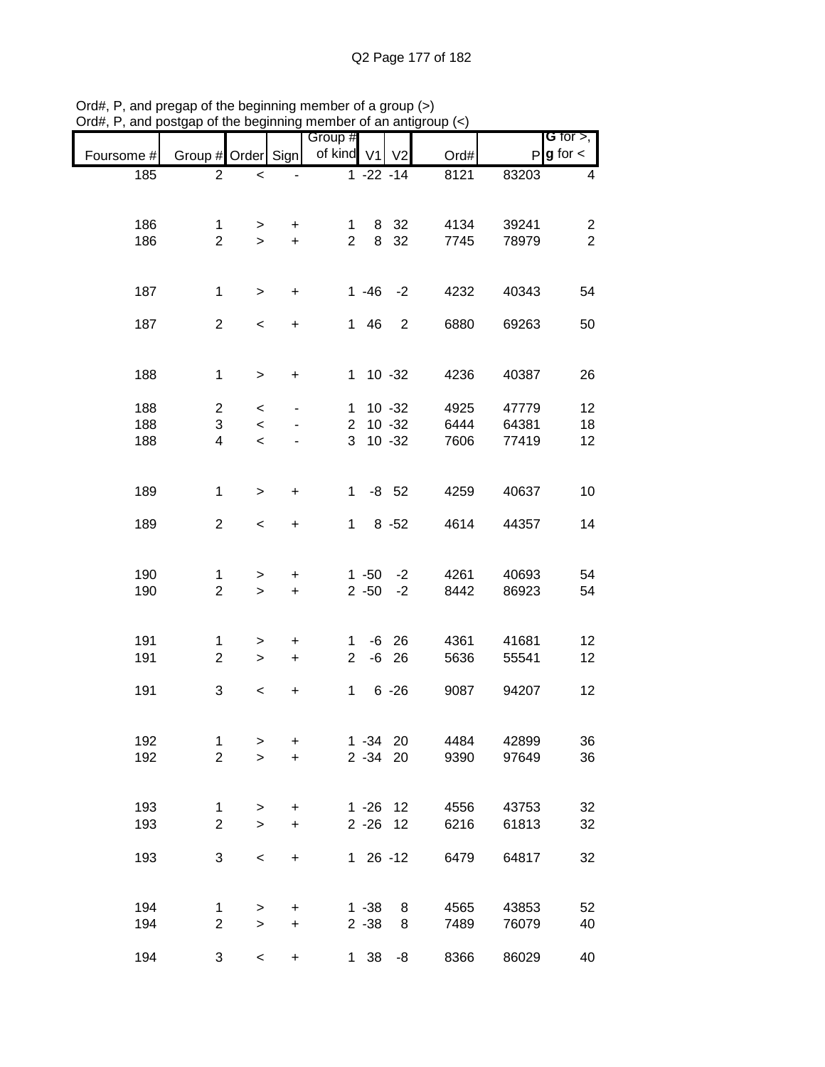| Foursome # | Group # Order Sign |              |                                  | Group #<br>of kind | V <sub>1</sub> | V <sub>2</sub> | Ord# | P     | $G$ for $>$ ,<br>$g$ for $\lt$ |
|------------|--------------------|--------------|----------------------------------|--------------------|----------------|----------------|------|-------|--------------------------------|
| 185        | $\overline{2}$     | $\,<\,$      |                                  |                    | $1 - 22 - 14$  |                | 8121 | 83203 | 4                              |
|            |                    |              |                                  |                    |                |                |      |       |                                |
| 186        | 1                  | >            | $\ddot{}$                        | 1                  | 8              | 32             | 4134 | 39241 | 2                              |
| 186        | $\overline{2}$     | $\geq$       | $\ddot{}$                        | $\overline{2}$     | 8              | 32             | 7745 | 78979 | $\overline{2}$                 |
|            |                    |              |                                  |                    |                |                |      |       |                                |
| 187        | 1                  | $\geq$       | $\ddot{}$                        |                    | $1 - 46$       | $-2$           | 4232 | 40343 | 54                             |
| 187        | $\overline{2}$     | $\,<\,$      | $\ddot{}$                        | 1                  | 46             | $\overline{2}$ | 6880 | 69263 | 50                             |
|            |                    |              |                                  |                    |                |                |      |       |                                |
| 188        | $\mathbf{1}$       | $\geq$       | $\ddot{}$                        | 1                  |                | $10 - 32$      | 4236 | 40387 | 26                             |
|            |                    |              |                                  |                    |                |                |      |       |                                |
| 188        | $\overline{2}$     | $\,<\,$      |                                  | $\mathbf{1}$       |                | $10 - 32$      | 4925 | 47779 | 12                             |
| 188        | 3                  | $\,<\,$      |                                  | $\overline{2}$     |                | $10 - 32$      | 6444 | 64381 | 18                             |
| 188        | 4                  | $\,<\,$      |                                  | 3                  |                | $10 - 32$      | 7606 | 77419 | 12                             |
|            |                    |              |                                  |                    |                |                |      |       |                                |
|            |                    |              |                                  |                    |                |                |      |       |                                |
| 189        | 1                  | $\,>$        | $\ddot{}$                        | $\mathbf 1$        |                | $-8$ 52        | 4259 | 40637 | 10                             |
| 189        | $\overline{2}$     | $\,<$        | +                                | $\mathbf 1$        |                | $8 - 52$       | 4614 | 44357 | 14                             |
|            |                    |              |                                  |                    |                |                |      |       |                                |
| 190        | 1                  | >            | $\ddot{}$                        |                    | $1 - 50$       | $-2$           | 4261 | 40693 | 54                             |
| 190        | $\overline{c}$     | $\geq$       | $\ddot{}$                        |                    | $2 - 50$       | $-2$           | 8442 | 86923 | 54                             |
|            |                    |              |                                  |                    |                |                |      |       |                                |
| 191        | 1                  | >            | +                                | 1                  | -6             | 26             | 4361 | 41681 | 12                             |
| 191        | $\overline{2}$     | $\geq$       | $\ddot{}$                        | $\overline{2}$     | $-6$           | 26             | 5636 | 55541 | 12                             |
| 191        | 3                  | $\,<\,$      | +                                | $\mathbf{1}$       |                | $6 - 26$       | 9087 | 94207 | 12                             |
|            |                    |              |                                  |                    |                |                |      |       |                                |
| 192        | $\mathbf 1$        | $\, >$       | $\ddot{}$                        |                    | $1 - 34 20$    |                | 4484 | 42899 | 36                             |
| 192        | $\overline{c}$     | $\mathbf{I}$ | $\ddot{}$                        |                    | 2 -34 20       |                | 9390 | 97649 | 36                             |
|            |                    |              |                                  |                    |                |                |      |       |                                |
|            |                    |              |                                  |                    |                |                |      |       |                                |
| 193        | 1                  | $\, > \,$    | $\ddot{}$                        |                    | $1 - 26$ 12    |                | 4556 | 43753 | 32                             |
| 193        | $\overline{c}$     | $\geq$       | $\ddot{}$                        |                    | $2 - 26$ 12    |                | 6216 | 61813 | 32                             |
| 193        | 3                  | $\,<$        | $\ddot{}$                        |                    | $126 - 12$     |                | 6479 | 64817 | 32                             |
|            |                    |              |                                  |                    |                |                |      |       |                                |
| 194        | $\mathbf{1}$       | $\geq$       | $\begin{array}{c} + \end{array}$ |                    | $1 - 38$       | 8              | 4565 | 43853 | 52                             |
| 194        | $\overline{c}$     | $\geq$       | $\ddot{}$                        |                    | $2 - 38$       | 8              | 7489 | 76079 | 40                             |
|            |                    |              |                                  |                    |                |                |      |       |                                |
| 194        | 3                  | $\prec$      | $\ddot{}$                        | 1 <sup>1</sup>     | 38             | $-8$           | 8366 | 86029 | 40                             |

Ord#, P, and pregap of the beginning member of a group (>) Ord#, P, and postgap of the beginning member of an antigroup (<)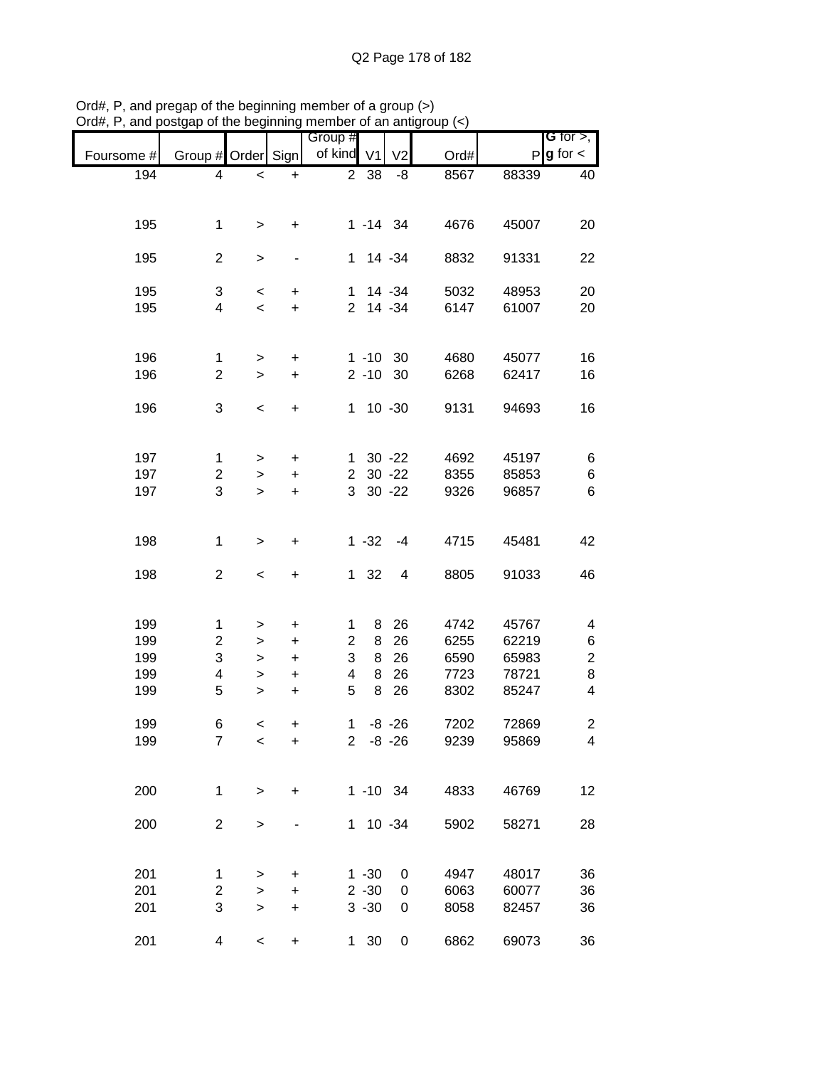|            |                         |              |           | Group #        |                |                |      |              | G for $>$ ,             |
|------------|-------------------------|--------------|-----------|----------------|----------------|----------------|------|--------------|-------------------------|
|            |                         |              |           |                |                |                |      |              |                         |
| Foursome # | Group # Order Sign      |              |           | of kind        | V <sub>1</sub> | V <sub>2</sub> | Ord# | $\mathsf{P}$ | $g$ for $\lt$           |
| 194        | 4                       | $\,<$        | +         | $\overline{2}$ | 38             | -8             | 8567 | 88339        | 40                      |
|            |                         |              |           |                |                |                |      |              |                         |
|            |                         |              |           |                |                |                |      |              |                         |
| 195        | 1                       | >            | +         |                | $1 - 14$ 34    |                | 4676 | 45007        | 20                      |
|            |                         |              |           |                |                |                |      |              |                         |
| 195        | $\overline{2}$          | $\, > \,$    | -         | 1.             |                | 14 - 34        | 8832 | 91331        | 22                      |
|            |                         |              |           |                |                |                |      |              |                         |
|            |                         |              |           |                |                |                | 5032 |              |                         |
| 195        | 3                       | $\,<$        | +         | 1              |                | 14 - 34        |      | 48953        | 20                      |
| 195        | $\overline{\mathbf{4}}$ | $\,<$        | $\ddot{}$ | $\overline{2}$ |                | 14 - 34        | 6147 | 61007        | 20                      |
|            |                         |              |           |                |                |                |      |              |                         |
|            |                         |              |           |                |                |                |      |              |                         |
| 196        | 1                       | $\,$         | $\ddot{}$ |                | $1 - 10$ 30    |                | 4680 | 45077        | 16                      |
| 196        | $\overline{2}$          | $\geq$       | $\ddot{}$ |                | $2 - 10$       | 30             | 6268 | 62417        | 16                      |
|            |                         |              |           |                |                |                |      |              |                         |
| 196        | 3                       | $\prec$      | $\ddot{}$ | $\mathbf 1$    |                | $10 - 30$      | 9131 | 94693        | 16                      |
|            |                         |              |           |                |                |                |      |              |                         |
|            |                         |              |           |                |                |                |      |              |                         |
| 197        | 1                       |              |           | 1              |                | $30 - 22$      | 4692 | 45197        | 6                       |
|            |                         | >            | $\pmb{+}$ |                |                |                | 8355 |              |                         |
| 197        | $\overline{\mathbf{c}}$ | $\mathbf{I}$ | $\ddot{}$ | $\overline{c}$ |                | $30 - 22$      |      | 85853        | 6                       |
| 197        | 3                       | $\geq$       | $\ddot{}$ | 3              |                | $30 - 22$      | 9326 | 96857        | 6                       |
|            |                         |              |           |                |                |                |      |              |                         |
|            |                         |              |           |                |                |                |      |              |                         |
| 198        | 1                       | >            | +         |                | $1 - 32$       | $-4$           | 4715 | 45481        | 42                      |
|            |                         |              |           |                |                |                |      |              |                         |
| 198        | $\overline{2}$          | $\,<$        | +         | 1              | 32             | 4              | 8805 | 91033        | 46                      |
|            |                         |              |           |                |                |                |      |              |                         |
|            |                         |              |           |                |                |                |      |              |                         |
| 199        | 1                       | >            | +         | 1              | 8              | 26             | 4742 | 45767        | 4                       |
| 199        | $\overline{c}$          | >            | $\ddot{}$ | $\overline{c}$ | 8              | 26             | 6255 | 62219        | 6                       |
|            | 3                       |              |           | 3              | 8              |                |      |              |                         |
| 199        |                         | $\, > \,$    | $\ddot{}$ |                |                | 26             | 6590 | 65983        | $\overline{\mathbf{c}}$ |
| 199        | 4                       | $\mathbf{I}$ | $\ddot{}$ | 4              | 8              | 26             | 7723 | 78721        | 8                       |
| 199        | 5                       | $\,$         | $\ddot{}$ | 5              | 8              | 26             | 8302 | 85247        | 4                       |
|            |                         |              |           |                |                |                |      |              |                         |
| 199        | 6                       | $\,<$        | +         | 1              |                | $-8 - 26$      | 7202 | 72869        | 2                       |
| 199        | $\overline{7}$          | $\,<$        | +         | $2^{\circ}$    |                | $-8 - 26$      | 9239 | 95869        | 4                       |
|            |                         |              |           |                |                |                |      |              |                         |
|            |                         |              |           |                |                |                |      |              |                         |
| 200        | 1                       | $\,>$        | $\ddot{}$ |                | $1 - 10$ 34    |                | 4833 | 46769        | 12                      |
|            |                         |              |           |                |                |                |      |              |                         |
| 200        | $\overline{2}$          |              |           |                | $1 10 - 34$    |                | 5902 | 58271        | 28                      |
|            |                         | $\,$         |           |                |                |                |      |              |                         |
|            |                         |              |           |                |                |                |      |              |                         |
|            |                         |              |           |                |                |                |      |              |                         |
| 201        | 1                       | >            | +         |                | $1 - 30$       | 0              | 4947 | 48017        | 36                      |
| 201        | $\overline{c}$          | $\mathbf{I}$ | $\ddot{}$ |                | $2 - 30$       | 0              | 6063 | 60077        | 36                      |
| 201        | 3                       | $\geq$       | $\ddot{}$ |                | $3 - 30$       | 0              | 8058 | 82457        | 36                      |
|            |                         |              |           |                |                |                |      |              |                         |
| 201        | 4                       | $\,<$        | $\ddot{}$ | $\mathbf{1}$   | 30             | 0              | 6862 | 69073        | 36                      |

Ord#, P, and pregap of the beginning member of a group (>) Ord#, P, and postgap of the beginning member of an antigroup (<)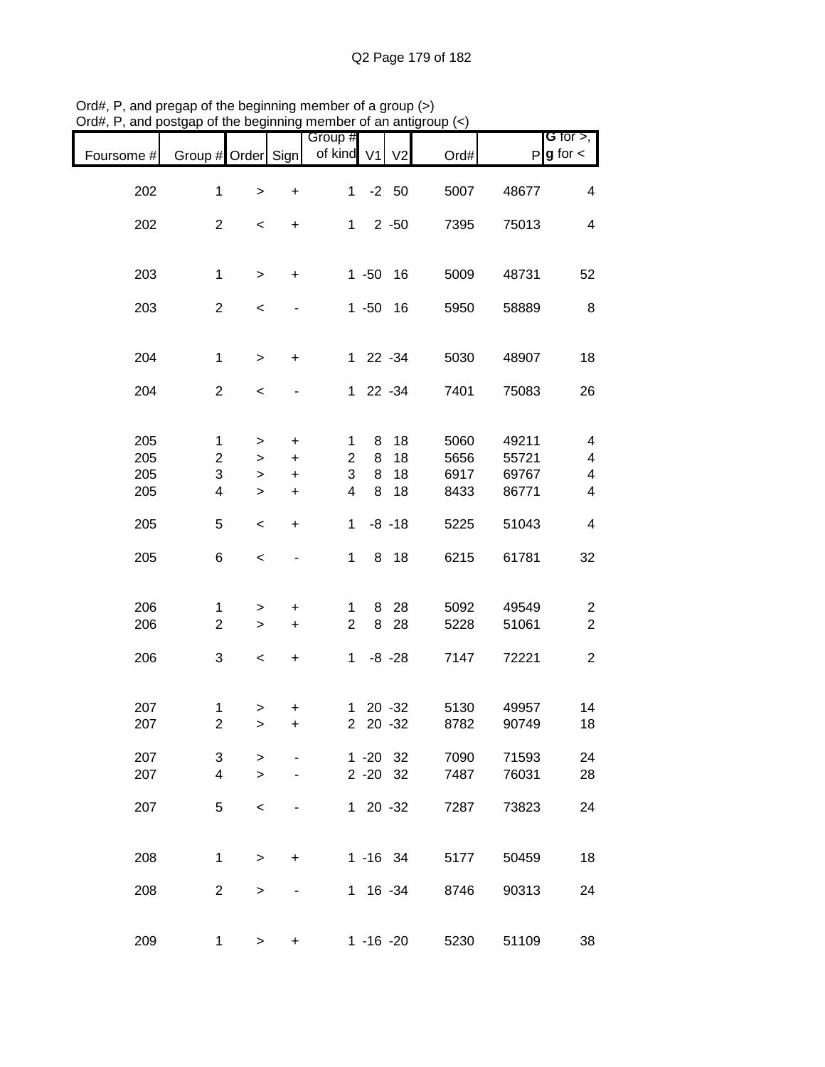|            |                    |              |           | Group #        |             |                |      |       | <b>G</b> for $>$ ,      |
|------------|--------------------|--------------|-----------|----------------|-------------|----------------|------|-------|-------------------------|
| Foursome # | Group # Order Sign |              |           | of kind V1     |             | V <sub>2</sub> | Ord# |       | $P$ <b>g</b> for $\lt$  |
| 202        | 1                  | $\mathbf{I}$ | +         | $\mathbf{1}$   |             | $-2$ 50        | 5007 | 48677 | 4                       |
| 202        | $\overline{2}$     | $\,<$        | +         | $\mathbf{1}$   |             | $2 - 50$       | 7395 | 75013 | 4                       |
|            |                    |              |           |                |             |                |      |       |                         |
| 203        | $\mathbf 1$        | $\,$         | +         |                | $1 - 50$    | 16             | 5009 | 48731 | 52                      |
| 203        | $\overline{2}$     | $\,<$        |           |                | $1 - 50$    | 16             | 5950 | 58889 | 8                       |
| 204        | $\mathbf 1$        |              |           |                | 1 22 -34    |                | 5030 | 48907 | 18                      |
|            |                    | $\mathbf{I}$ | +         |                |             |                |      |       |                         |
| 204        | $\overline{2}$     | $\,<$        |           |                | 1 22 -34    |                | 7401 | 75083 | 26                      |
|            |                    |              |           |                |             |                |      |       |                         |
| 205        | 1                  | >            | $\ddot{}$ | 1              | 8           | 18             | 5060 | 49211 | 4                       |
| 205        | $\overline{c}$     | $\, > \,$    | $\ddot{}$ | $\overline{2}$ | 8           | 18             | 5656 | 55721 | 4                       |
| 205        | 3                  | $\, > \,$    | $\ddot{}$ | 3              | 8           | 18             | 6917 | 69767 | 4                       |
| 205        | 4                  | $\, > \,$    | $\ddot{}$ | 4              | 8           | 18             | 8433 | 86771 | 4                       |
| 205        | 5                  | $\,<$        | $\ddot{}$ | $\mathbf 1$    |             | $-8 - 18$      | 5225 | 51043 | 4                       |
| 205        | 6                  | $\,<$        |           | $\mathbf{1}$   |             | 8 18           | 6215 | 61781 | 32                      |
| 206        | 1                  | >            | +         | $\mathbf{1}$   | 8           | 28             | 5092 | 49549 | $\overline{c}$          |
| 206        | $\overline{2}$     | $\, > \,$    | +         | $\overline{2}$ | 8           | 28             | 5228 | 51061 | $\boldsymbol{2}$        |
| 206        | 3                  | $\,<$        | $\ddot{}$ | $\mathbf 1$    |             | $-8 - 28$      | 7147 | 72221 | $\overline{\mathbf{c}}$ |
|            |                    |              |           |                |             |                |      |       |                         |
| 207        | 1                  | >            | +         | 1              |             | $20 - 32$      | 5130 | 49957 | 14                      |
| 207        | $\overline{c}$     | $\geq$       | $\ddot{}$ | $\overline{2}$ |             | $20 - 32$      | 8782 | 90749 | 18                      |
| 207        | 3                  | >            |           |                | $1 - 20$ 32 |                | 7090 | 71593 | 24                      |
| 207        | 4                  | $\geq$       |           |                | $2 - 20$ 32 |                | 7487 | 76031 | 28                      |
|            |                    |              |           |                |             |                |      |       |                         |
| 207        | 5                  | $\,<\,$      |           |                | $120 -32$   |                | 7287 | 73823 | 24                      |
| 208        | $\mathbf{1}$       | $\geq$       | $+$       |                | $1 - 16$ 34 |                | 5177 | 50459 | 18                      |
|            |                    |              |           |                |             |                |      |       |                         |
| 208        | $\overline{2}$     | >            |           |                | $1 16 - 34$ |                | 8746 | 90313 | 24                      |
| 209        | 1                  | >            | +         |                | 1 -16 -20   |                | 5230 | 51109 | 38                      |

Ord#, P, and pregap of the beginning member of a group (>) Ord#, P, and postgap of the beginning member of an antigroup (<)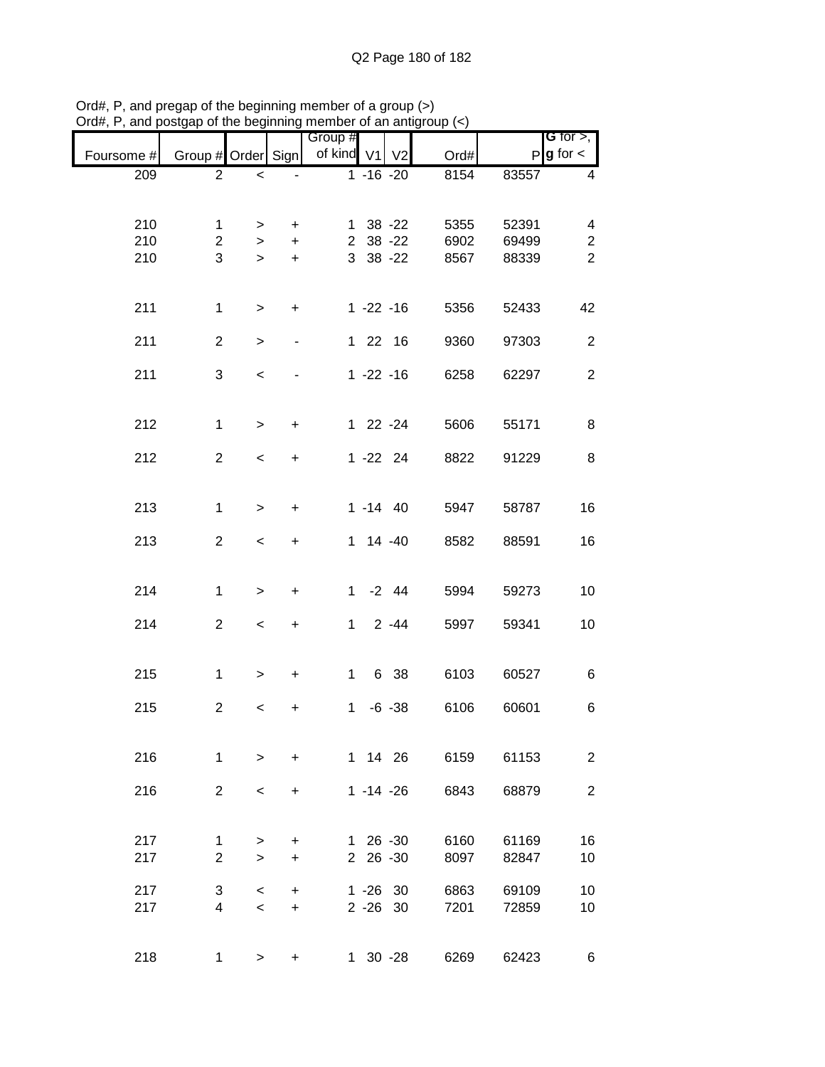| .          |                    |                          |                          |                       |               |                |      |       |                                |
|------------|--------------------|--------------------------|--------------------------|-----------------------|---------------|----------------|------|-------|--------------------------------|
| Foursome # | Group # Order Sign |                          |                          | Group #<br>of kind V1 |               | V <sub>2</sub> | Ord# |       | G for $>$ ,<br>$P g$ for $\lt$ |
| 209        | $\overline{2}$     | $\,<$                    |                          |                       | $1 - 16 - 20$ |                | 8154 | 83557 | 4                              |
|            |                    |                          |                          |                       |               |                |      |       |                                |
| 210        | 1                  | >                        | $\ddot{}$                |                       | $1 \t38 - 22$ |                | 5355 | 52391 | 4                              |
| 210        | $\overline{2}$     | $\, > \,$                | $+$                      |                       | 2 38 -22      |                | 6902 | 69499 | $\overline{c}$                 |
| 210        | 3                  | $\,$                     | $\ddot{}$                |                       | 3 38 -22      |                | 8567 | 88339 | $\overline{2}$                 |
|            |                    |                          |                          |                       |               |                |      |       |                                |
| 211        | $\mathbf{1}$       | $\geq$                   | $\ddot{}$                |                       | $1 - 22 - 16$ |                | 5356 | 52433 | 42                             |
|            |                    |                          |                          |                       |               |                |      |       |                                |
| 211        | $\overline{2}$     | $\,$                     | $\overline{\phantom{0}}$ |                       | 1 22 16       |                | 9360 | 97303 | $\overline{2}$                 |
| 211        | 3                  | $\,<$                    |                          |                       | $1 - 22 - 16$ |                | 6258 | 62297 | $\overline{2}$                 |
|            |                    |                          |                          |                       |               |                |      |       |                                |
| 212        | $\mathbf{1}$       | $\geq$                   | $\ddot{}$                |                       | 1 22 -24      |                | 5606 | 55171 | 8                              |
|            |                    |                          |                          |                       |               |                |      |       |                                |
| 212        | $\overline{2}$     | $\overline{\phantom{a}}$ | $\ddot{}$                |                       | $1 - 22$ 24   |                | 8822 | 91229 | 8                              |
|            |                    |                          |                          |                       |               |                |      |       |                                |
| 213        | $\mathbf 1$        | $\geq$                   | $\ddot{}$                |                       | $1 - 14$ 40   |                | 5947 | 58787 | 16                             |
| 213        | $\overline{c}$     | $\,<\,$                  | $\ddot{}$                |                       | $1 14 - 40$   |                | 8582 | 88591 | 16                             |
|            |                    |                          |                          |                       |               |                |      |       |                                |
| 214        | $\mathbf{1}$       | $\,$                     | $\ddot{}$                |                       | $1 -2 44$     |                | 5994 | 59273 | 10                             |
|            |                    |                          |                          |                       |               |                |      |       |                                |
| 214        | $\overline{2}$     | $\,<$                    | $\ddot{}$                | $1 -$                 |               | $2 - 44$       | 5997 | 59341 | 10                             |
|            |                    |                          |                          |                       |               |                |      |       |                                |
| 215        | 1                  | $\geq$                   | $\ddot{}$                | $\mathbf 1$           |               | 6 38           | 6103 | 60527 | 6                              |
| 215        | $\overline{2}$     | $\,<$                    | $\ddot{}$                | $\mathbf 1$           |               | $-6 - 38$      | 6106 | 60601 | 6                              |
|            |                    |                          |                          |                       |               |                |      |       |                                |
|            |                    |                          |                          |                       |               |                |      |       |                                |
| 216        | 1                  | $\, > \,$                | $\ddot{}$                |                       | 1 14 26       |                | 6159 | 61153 | $\overline{2}$                 |
| 216        | $\overline{2}$     | $\,<$                    | +                        |                       | $1 - 14 - 26$ |                | 6843 | 68879 | $\overline{2}$                 |
|            |                    |                          |                          |                       |               |                |      |       |                                |
| 217        | 1                  | $\, > \,$                | $\ddot{}$                |                       | $126 - 30$    |                | 6160 | 61169 | 16                             |
| 217        | $\overline{2}$     | $\,$                     | $\ddot{}$                |                       | 2 26 -30      |                | 8097 | 82847 | 10                             |
|            |                    |                          |                          |                       |               |                |      |       |                                |
| 217        | 3                  | $\,<\,$                  | $\ddot{}$                |                       | $1 - 26$ 30   |                | 6863 | 69109 | 10                             |
| 217        | 4                  | $\prec$                  | $\ddot{}$                |                       | 2 - 26 30     |                | 7201 | 72859 | 10                             |
|            |                    |                          |                          |                       |               |                |      |       |                                |
| 218        | 1                  | >                        | +                        |                       | $1 \t30 -28$  |                | 6269 | 62423 | 6                              |

Ord#, P, and pregap of the beginning member of a group (>) Ord#, P, and postgap of the beginning member of an antigroup (<)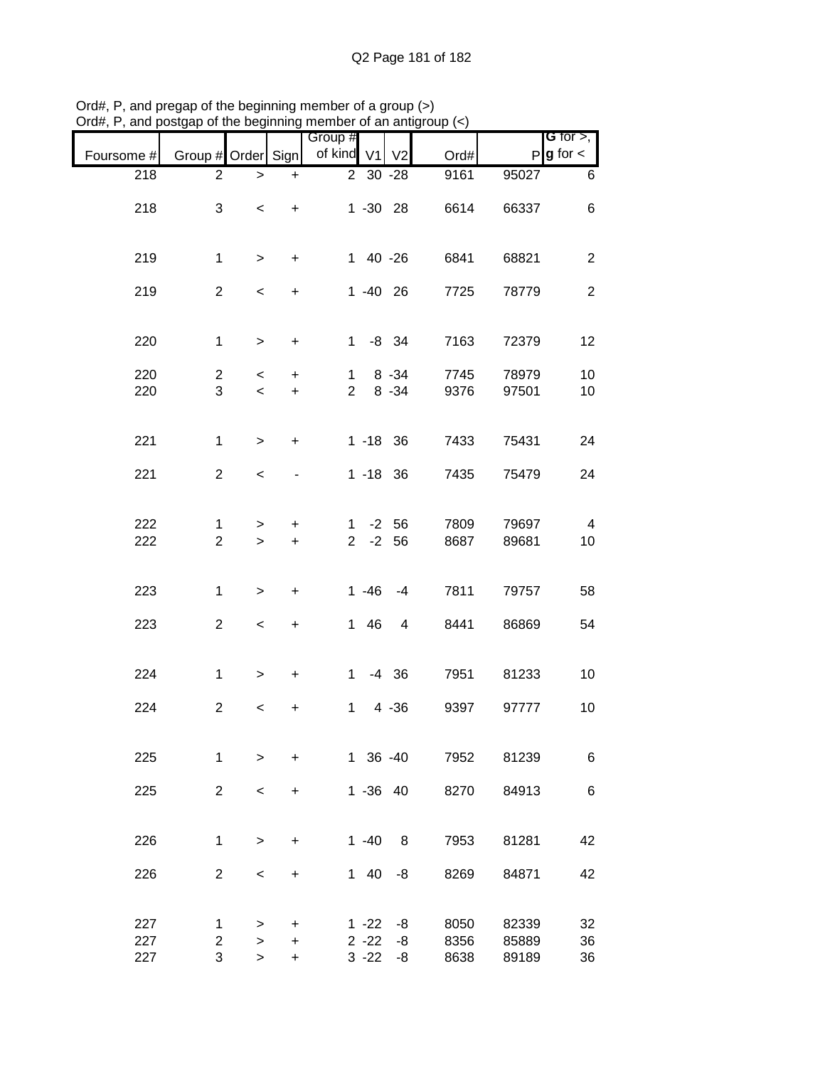| Foursome # | Group # Order Sign  |                                   |                  | Group #<br>of kind             | V <sub>1</sub> | V <sub>2</sub>       | Ord#         | P              | G for $>$ ,<br>$g$ for $\lt$ |
|------------|---------------------|-----------------------------------|------------------|--------------------------------|----------------|----------------------|--------------|----------------|------------------------------|
| 218        | $\overline{2}$      | $\mathbf{I}$                      | +                |                                | 2 30 -28       |                      | 9161         | 95027          | 6                            |
| 218        | 3                   | $\overline{\phantom{a}}$          | $\ddot{}$        |                                | $1 - 30$ 28    |                      | 6614         | 66337          | 6                            |
| 219        | $\mathbf{1}$        | $\geq$                            | +                |                                | 1 40 -26       |                      | 6841         | 68821          | $\overline{c}$               |
| 219        | $\overline{2}$      | $\,<$                             | $\ddot{}$        |                                | $1 - 40$ 26    |                      | 7725         | 78779          | $\overline{2}$               |
| 220        | $\mathbf{1}$        | $\geq$                            | $\ddot{}$        | $\mathbf 1$                    |                | $-8$ 34              | 7163         | 72379          | 12                           |
| 220<br>220 | $\overline{c}$<br>3 | $\overline{\phantom{a}}$<br>$\,<$ | $+$<br>$\ddot{}$ | $\mathbf{1}$<br>$\overline{2}$ |                | $8 - 34$<br>$8 - 34$ | 7745<br>9376 | 78979<br>97501 | 10<br>10                     |
|            |                     |                                   |                  |                                |                |                      |              |                |                              |
| 221        | $\mathbf{1}$        | $\geq$                            | $\ddot{}$        |                                | $1 - 18$ 36    |                      | 7433         | 75431          | 24                           |
| 221        | $\overline{2}$      | $\,<$                             |                  |                                | $1 - 18$ 36    |                      | 7435         | 75479          | 24                           |
|            |                     |                                   |                  |                                |                |                      |              |                |                              |
| 222        | 1                   | >                                 | +                | 1                              |                | $-2$ 56              | 7809         | 79697          | $\overline{4}$               |
| 222        | $\overline{2}$      | $\geq$                            | $\ddot{}$        | 2 <sup>7</sup>                 |                | $-2$ 56              | 8687         | 89681          | 10                           |
|            |                     |                                   |                  |                                |                |                      |              |                |                              |
| 223        | $\mathbf{1}$        | $\mathbf{I}$                      | $\ddot{}$        |                                | $1 - 46$       | $-4$                 | 7811         | 79757          | 58                           |
| 223        | $\overline{2}$      | $\,<$                             | +                | $\mathbf{1}$                   | 46             | 4                    | 8441         | 86869          | 54                           |
| 224        | $\mathbf 1$         | $\,>$                             | +                | $\mathbf{1}$                   |                | $-4$ 36              | 7951         | 81233          | 10                           |
| 224        | $\overline{2}$      | $\,<$                             | +                | $\mathbf 1$                    |                | $4 - 36$             | 9397         | 97777          | 10                           |
|            |                     |                                   |                  |                                |                |                      |              |                |                              |
| 225        | 1                   | $\geq$                            | $\ddot{}$        |                                | 1 36 -40       |                      | 7952         | 81239          | 6                            |
| 225        | $\overline{2}$      | $\prec$                           | +                |                                | $1 - 36$ 40    |                      | 8270         | 84913          | 6                            |
|            |                     |                                   |                  |                                |                |                      |              |                |                              |
| 226        | 1                   | $\geq$                            | +                |                                | $1 - 40$       | 8                    | 7953         | 81281          | 42                           |
| 226        | $\overline{2}$      | $\,<\,$                           | +                | 1                              | 40             | -8                   | 8269         | 84871          | 42                           |
|            |                     |                                   |                  |                                |                |                      |              |                |                              |
| 227        | 1                   | >                                 | +                |                                | $1 - 22$       | -8                   | 8050         | 82339          | 32                           |
| 227        | $\overline{2}$      | $\, > \,$                         | +                |                                | $2 - 22$       | -8                   | 8356         | 85889          | 36                           |
| 227        | 3                   | $\, > \,$                         | $\ddot{}$        |                                | $3 - 22$       | -8                   | 8638         | 89189          | 36                           |

Ord#, P, and pregap of the beginning member of a group (>) Ord#, P, and postgap of the beginning member of an antigroup (<)